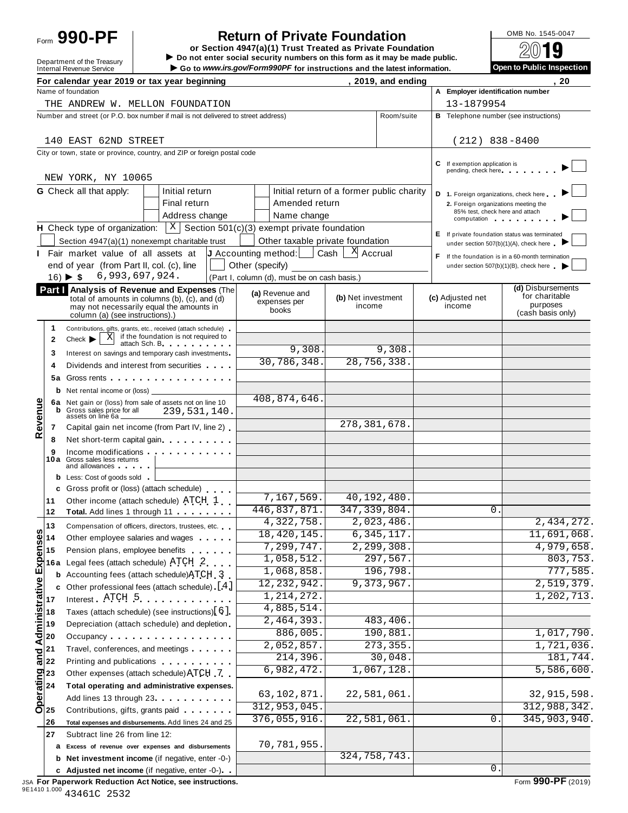Form **990-PF**

## **Return of Private Foundation**<br>
tion 4947(a)(1) Trust Treated as Private Foundation<br>
2019

Point **or Section 4947(a)(1) Trust Treated as Private Foundation**<br>
Department of the Treasury **I Do not enter social security numbers on this form as it may be made public.**<br>
Department of the Treasury **I Do not enter soc** Internal Revenue Service I internal Revenue Service I internal Revenue Service I internal Revenue Service I internal Revenue Service I internal Revenue Service I internal Revenue Service I internal Revenue Service I inspe

|                                                       | For calendar year 2019 or tax year beginning                                                                                                                                                                                                                         |                                                                       | , 2019, and ending                        |            |                                                                                                                                                                                                                                                                 | . 20                                                                 |
|-------------------------------------------------------|----------------------------------------------------------------------------------------------------------------------------------------------------------------------------------------------------------------------------------------------------------------------|-----------------------------------------------------------------------|-------------------------------------------|------------|-----------------------------------------------------------------------------------------------------------------------------------------------------------------------------------------------------------------------------------------------------------------|----------------------------------------------------------------------|
|                                                       | Name of foundation                                                                                                                                                                                                                                                   |                                                                       |                                           |            | A Employer identification number                                                                                                                                                                                                                                |                                                                      |
|                                                       | THE ANDREW W. MELLON FOUNDATION                                                                                                                                                                                                                                      |                                                                       |                                           |            | 13-1879954                                                                                                                                                                                                                                                      |                                                                      |
|                                                       | Number and street (or P.O. box number if mail is not delivered to street address)                                                                                                                                                                                    |                                                                       |                                           | Room/suite | <b>B</b> Telephone number (see instructions)                                                                                                                                                                                                                    |                                                                      |
|                                                       | 140 EAST 62ND STREET                                                                                                                                                                                                                                                 |                                                                       |                                           |            | $(212)$ 838-8400                                                                                                                                                                                                                                                |                                                                      |
|                                                       | City or town, state or province, country, and ZIP or foreign postal code                                                                                                                                                                                             |                                                                       |                                           |            |                                                                                                                                                                                                                                                                 |                                                                      |
|                                                       | NEW YORK, NY 10065                                                                                                                                                                                                                                                   |                                                                       |                                           |            | C If exemption application is<br>pending, check here experience and the pending of the state of the state of the state of the state of the state of the state of the state of the state of the state of the state of the state of the state of the state of the |                                                                      |
|                                                       | <b>G</b> Check all that apply:<br>Initial return                                                                                                                                                                                                                     |                                                                       | Initial return of a former public charity |            | D 1. Foreign organizations, check here                                                                                                                                                                                                                          |                                                                      |
|                                                       | Final return                                                                                                                                                                                                                                                         | Amended return                                                        |                                           |            | 2. Foreign organizations meeting the                                                                                                                                                                                                                            |                                                                      |
|                                                       | Address change                                                                                                                                                                                                                                                       | Name change                                                           |                                           |            | 85% test, check here and attach<br>computation computation                                                                                                                                                                                                      |                                                                      |
|                                                       | <b>H</b> Check type of organization: $X \mid X$ Section 501(c)(3) exempt private foundation                                                                                                                                                                          |                                                                       |                                           |            |                                                                                                                                                                                                                                                                 | E If private foundation status was terminated                        |
|                                                       | Section 4947(a)(1) nonexempt charitable trust                                                                                                                                                                                                                        | Other taxable private foundation                                      |                                           |            |                                                                                                                                                                                                                                                                 | under section 507(b)(1)(A), check here                               |
|                                                       | Fair market value of all assets at                                                                                                                                                                                                                                   | <b>J</b> Accounting method: $\vert$ Cash $\vert$ <sup>X</sup> Accrual |                                           |            |                                                                                                                                                                                                                                                                 | F If the foundation is in a 60-month termination                     |
|                                                       | end of year (from Part II, col. (c), line                                                                                                                                                                                                                            | Other (specify)                                                       |                                           |            |                                                                                                                                                                                                                                                                 | under section 507(b)(1)(B), check here                               |
|                                                       | 6,993,697,924.<br>$16)$ $\blacktriangleright$ \$                                                                                                                                                                                                                     | (Part I, column (d), must be on cash basis.)                          |                                           |            |                                                                                                                                                                                                                                                                 |                                                                      |
|                                                       | Part I Analysis of Revenue and Expenses (The<br>total of amounts in columns (b), (c), and (d)<br>may not necessarily equal the amounts in<br>column (a) (see instructions).)                                                                                         | (a) Revenue and<br>expenses per<br>books                              | (b) Net investment<br>income              |            | (c) Adjusted net<br>income                                                                                                                                                                                                                                      | (d) Disbursements<br>for charitable<br>purposes<br>(cash basis only) |
| 1.                                                    | Contributions, gifts, grants, etc., received (attach schedule)                                                                                                                                                                                                       |                                                                       |                                           |            |                                                                                                                                                                                                                                                                 |                                                                      |
| $\mathbf{2}$                                          | $\overline{X}$ if the foundation is not required to<br>$Check$ $\blacktriangleright$<br>attach Sch. B. Particular and The Parties                                                                                                                                    |                                                                       |                                           |            |                                                                                                                                                                                                                                                                 |                                                                      |
| 3                                                     | Interest on savings and temporary cash investments                                                                                                                                                                                                                   | 9,308.                                                                |                                           | 9,308.     |                                                                                                                                                                                                                                                                 |                                                                      |
| 4                                                     | Dividends and interest from securities                                                                                                                                                                                                                               | 30,786,348.                                                           | 28, 756, 338.                             |            |                                                                                                                                                                                                                                                                 |                                                                      |
|                                                       | 5a Gross rents                                                                                                                                                                                                                                                       |                                                                       |                                           |            |                                                                                                                                                                                                                                                                 |                                                                      |
|                                                       |                                                                                                                                                                                                                                                                      |                                                                       |                                           |            |                                                                                                                                                                                                                                                                 |                                                                      |
|                                                       | 6a Net gain or (loss) from sale of assets not on line 10                                                                                                                                                                                                             | 408,874,646.                                                          |                                           |            |                                                                                                                                                                                                                                                                 |                                                                      |
| evenue                                                | Gross sales price for all<br>239,531,140.<br>assets on line 6a _                                                                                                                                                                                                     |                                                                       |                                           |            |                                                                                                                                                                                                                                                                 |                                                                      |
| 7<br>≃                                                | Capital gain net income (from Part IV, line 2)                                                                                                                                                                                                                       |                                                                       | 278, 381, 678.                            |            |                                                                                                                                                                                                                                                                 |                                                                      |
| 8                                                     | Net short-term capital gain                                                                                                                                                                                                                                          |                                                                       |                                           |            |                                                                                                                                                                                                                                                                 |                                                                      |
| 9                                                     | Income modifications <b>and the contract of the contract of the contract of the contract of the contract of the contract of the contract of the contract of the contract of the contract of the contract of the contract of the </b><br>10a Gross sales less returns |                                                                       |                                           |            |                                                                                                                                                                                                                                                                 |                                                                      |
|                                                       | and allowances and the state of                                                                                                                                                                                                                                      |                                                                       |                                           |            |                                                                                                                                                                                                                                                                 |                                                                      |
|                                                       | <b>b</b> Less: Cost of goods sold<br>c Gross profit or (loss) (attach schedule)                                                                                                                                                                                      |                                                                       |                                           |            |                                                                                                                                                                                                                                                                 |                                                                      |
| 11                                                    | Other income (attach schedule) ATCH 1                                                                                                                                                                                                                                | 7,167,569.                                                            | 40, 192, 480.                             |            |                                                                                                                                                                                                                                                                 |                                                                      |
| 12                                                    | Total. Add lines 1 through 11                                                                                                                                                                                                                                        | 446,837,871.                                                          | 347, 339, 804.                            |            | $\mathbf{0}$ .                                                                                                                                                                                                                                                  |                                                                      |
| 13                                                    | Compensation of officers, directors, trustees, etc.                                                                                                                                                                                                                  | 4,322,758.                                                            | 2,023,486.                                |            |                                                                                                                                                                                                                                                                 | 2,434,272.                                                           |
| ın                                                    | Other employee salaries and wages                                                                                                                                                                                                                                    | 18,420,145.                                                           | 6, 345, 117.                              |            |                                                                                                                                                                                                                                                                 | 11,691,068.                                                          |
|                                                       | Pension plans, employee benefits                                                                                                                                                                                                                                     | 7,299,747.                                                            | 2, 299, 308.                              |            |                                                                                                                                                                                                                                                                 | 4,979,658.                                                           |
|                                                       | <b>16a</b> Legal fees (attach schedule) $\text{ATCH}$ 2                                                                                                                                                                                                              | 1,058,512.                                                            | 297,567.                                  |            |                                                                                                                                                                                                                                                                 | 803,753.                                                             |
| Administrative Expenses<br>Administrative To to the A | <b>b</b> Accounting fees (attach schedule) ATCH 3                                                                                                                                                                                                                    | 1,068,858.                                                            | 196,798.                                  |            |                                                                                                                                                                                                                                                                 | 777,585.                                                             |
|                                                       | c Other professional fees (attach schedule) $[4]$                                                                                                                                                                                                                    | 12, 232, 942.                                                         | 9,373,967.                                |            |                                                                                                                                                                                                                                                                 | 2,519,379.                                                           |
|                                                       | Interest $ATCH$ 5                                                                                                                                                                                                                                                    | 1, 214, 272.                                                          |                                           |            |                                                                                                                                                                                                                                                                 | 1,202,713.                                                           |
|                                                       | Taxes (attach schedule) (see instructions)[6].                                                                                                                                                                                                                       | 4,885,514.                                                            |                                           |            |                                                                                                                                                                                                                                                                 |                                                                      |
|                                                       | Depreciation (attach schedule) and depletion                                                                                                                                                                                                                         | 2,464,393.                                                            | 483,406.                                  |            |                                                                                                                                                                                                                                                                 |                                                                      |
|                                                       | Occupancy                                                                                                                                                                                                                                                            | 886,005.                                                              | 190, 881.                                 |            |                                                                                                                                                                                                                                                                 | 1,017,790.                                                           |
| 21<br>and                                             | Travel, conferences, and meetings                                                                                                                                                                                                                                    | 2,052,857.<br>214,396.                                                | 273, 355.                                 |            |                                                                                                                                                                                                                                                                 | 1,721,036.                                                           |
| 22                                                    | Printing and publications <b>Community</b> Printing and publications                                                                                                                                                                                                 | 6,982,472.                                                            | 30,048.<br>1,067,128.                     |            |                                                                                                                                                                                                                                                                 | 181,744.<br>5,586,600.                                               |
|                                                       | Other expenses (attach schedule) ATCH 7                                                                                                                                                                                                                              |                                                                       |                                           |            |                                                                                                                                                                                                                                                                 |                                                                      |
|                                                       | Total operating and administrative expenses.                                                                                                                                                                                                                         | 63,102,871.                                                           | 22,581,061.                               |            |                                                                                                                                                                                                                                                                 | 32, 915, 598.                                                        |
| derating<br>$\frac{23}{24}$<br>$\frac{23}{25}$        | Add lines 13 through 23 <b>Add lines</b> 13 through 23                                                                                                                                                                                                               | 312,953,045.                                                          |                                           |            |                                                                                                                                                                                                                                                                 | 312,988,342.                                                         |
|                                                       | Contributions, gifts, grants paid                                                                                                                                                                                                                                    | 376,055,916.                                                          | 22,581,061.                               |            | 0                                                                                                                                                                                                                                                               | 345, 903, 940.                                                       |
| 26                                                    | Total expenses and disbursements. Add lines 24 and 25                                                                                                                                                                                                                |                                                                       |                                           |            |                                                                                                                                                                                                                                                                 |                                                                      |
| 27                                                    | Subtract line 26 from line 12:<br>a Excess of revenue over expenses and disbursements                                                                                                                                                                                | 70,781,955.                                                           |                                           |            |                                                                                                                                                                                                                                                                 |                                                                      |
|                                                       | <b>b</b> Net investment income (if negative, enter -0-)                                                                                                                                                                                                              |                                                                       | 324, 758, 743.                            |            |                                                                                                                                                                                                                                                                 |                                                                      |
|                                                       |                                                                                                                                                                                                                                                                      |                                                                       |                                           |            |                                                                                                                                                                                                                                                                 |                                                                      |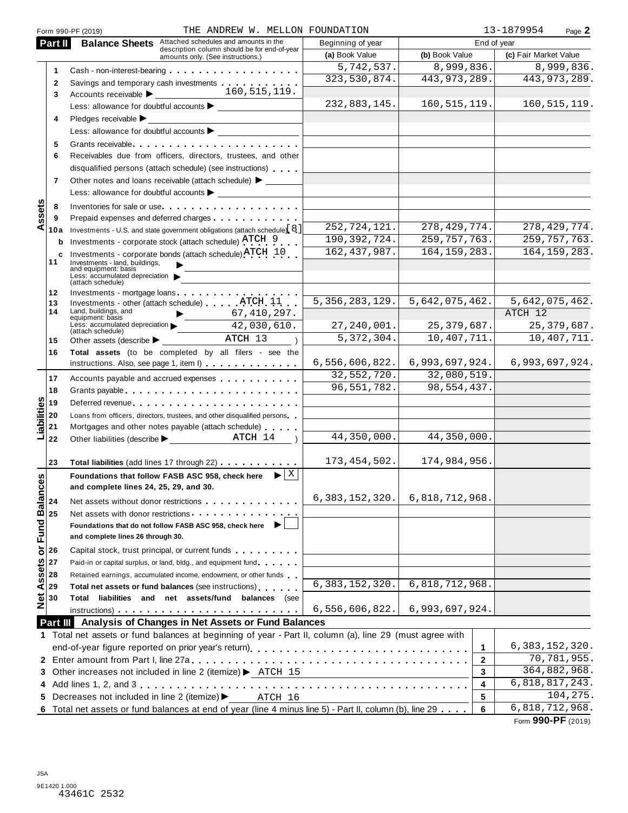|                | THE ANDREW W. MELLON FOUNDATION<br>Form 990-PF (2019)                                                                                                                                                                                |                   |                                 | 13-1879954<br>Page 2  |
|----------------|--------------------------------------------------------------------------------------------------------------------------------------------------------------------------------------------------------------------------------------|-------------------|---------------------------------|-----------------------|
| Part II        | <b>Balance Sheets</b> Attached schedules and amounts in the<br>description column should be for end-of-year                                                                                                                          | Beginning of year | End of year                     |                       |
|                | amounts only. (See instructions.)                                                                                                                                                                                                    | (a) Book Value    | (b) Book Value                  | (c) Fair Market Value |
| 1              | Cash - non-interest-bearing entries and the set of the set of the set of the set of the set of the set of the                                                                                                                        | 5,742,537.        | 8,999,836.                      | 8,999,836.            |
| $\mathbf{2}$   | Savings and temporary cash investments                                                                                                                                                                                               | 323,530,874.      | 443, 973, 289.                  | 443, 973, 289.        |
| 3              | 160,515,119.<br>Accounts receivable > _________                                                                                                                                                                                      |                   |                                 |                       |
|                | Less: allowance for doubtful accounts >                                                                                                                                                                                              | 232,883,145.      | 160, 515, 119.                  | 160, 515, 119.        |
| 4              |                                                                                                                                                                                                                                      |                   |                                 |                       |
|                | Less: allowance for doubtful accounts                                                                                                                                                                                                |                   |                                 |                       |
| 5              | Grants receivable entering the contract of the contract of the contract of the contract of the contract of the                                                                                                                       |                   |                                 |                       |
| 6              | Receivables due from officers, directors, trustees, and other                                                                                                                                                                        |                   |                                 |                       |
|                | disqualified persons (attach schedule) (see instructions)                                                                                                                                                                            |                   |                                 |                       |
| $\overline{7}$ | Other notes and loans receivable (attach schedule) >                                                                                                                                                                                 |                   |                                 |                       |
|                | Less: allowance for doubtful accounts > _________                                                                                                                                                                                    |                   |                                 |                       |
| 8              | Inventories for sale or use.                                                                                                                                                                                                         |                   |                                 |                       |
| 9              |                                                                                                                                                                                                                                      |                   |                                 |                       |
|                | 10a Investments - U.S. and state government obligations (attach schedule) 8                                                                                                                                                          | 252, 724, 121.    | 278, 429, 774.                  | 278, 429, 774.        |
|                | <b>b</b> Investments - corporate stock (attach schedule) ATCH 9                                                                                                                                                                      | 190, 392, 724.    | 259, 757, 763.                  | 259, 757, 763.        |
| c              | Investments - corporate bonds (attach schedule) $\text{ATCH}$ 10                                                                                                                                                                     | 162, 437, 987.    | 164, 159, 283.                  | 164, 159, 283.        |
| 11             | Investments - land, buildings,<br>and equipment: basis<br>Less: accumulated depreciation<br>(attach schedule)                                                                                                                        |                   |                                 |                       |
| 12             | Investments - mortgage loans                                                                                                                                                                                                         |                   |                                 |                       |
| 13             |                                                                                                                                                                                                                                      |                   | $5,356,283,129.$ 5,642,075,462. | 5,642,075,462.        |
| 14             | Land, buildings, and<br>67, 410, 297.<br>equipment: basis                                                                                                                                                                            |                   |                                 | ATCH 12               |
|                | Less: $accumulated depreciation$<br>$\frac{42,030,610}$ .                                                                                                                                                                            | $27,240,001$ .    | 25, 379, 687.                   | 25, 379, 687.         |
| 15             | (attach schedule)<br>Other assets (describe $\blacktriangleright$ _ ATCH $\overline{13}$                                                                                                                                             | 5,372,304.        | 10,407,711.                     | 10,407,711.           |
| 16             | Total assets (to be completed by all filers - see the                                                                                                                                                                                |                   |                                 |                       |
|                | instructions. Also, see page 1, item I)                                                                                                                                                                                              |                   | $6,556,606,822.$ 6,993,697,924. | 6,993,697,924.        |
| 17             | Accounts payable and accrued expenses                                                                                                                                                                                                | 32,552,720.       | 32,080,519.                     |                       |
| 18             | Grants payable                                                                                                                                                                                                                       | 96,551,782.       | 98,554,437.                     |                       |
| 19             | Deferred revenue                                                                                                                                                                                                                     |                   |                                 |                       |
| 20             | Loans from officers, directors, trustees, and other disqualified persons                                                                                                                                                             |                   |                                 |                       |
| 21             | Mortgages and other notes payable (attach schedule)                                                                                                                                                                                  |                   |                                 |                       |
| 22             | ATCH 14<br>Other liabilities (describe >                                                                                                                                                                                             | 44,350,000.       | 44,350,000.                     |                       |
|                |                                                                                                                                                                                                                                      |                   |                                 |                       |
| 23             | Total liabilities (add lines 17 through 22) [10]                                                                                                                                                                                     | 173, 454, 502.    | 174,984,956.                    |                       |
|                | $\blacktriangleright$ $\mathbf{X}$<br>Foundations that follow FASB ASC 958, check here                                                                                                                                               |                   |                                 |                       |
|                | and complete lines 24, 25, 29, and 30.                                                                                                                                                                                               |                   |                                 |                       |
| 24             | Net assets without donor restrictions entitled assets without and contact the set of the set of the set of the                                                                                                                       | 6,383,152,320.    | 6,818,712,968.                  |                       |
| 25             | Net assets with donor restrictions <b>with a set of the set of the set of the set of the set of the set of the set of the set of the set of the set of the set of the set of the set of the set of the set of the set of the set</b> |                   |                                 |                       |
|                | Foundations that do not follow FASB ASC 958, check here $\blacktriangleright$                                                                                                                                                        |                   |                                 |                       |
|                | and complete lines 26 through 30.                                                                                                                                                                                                    |                   |                                 |                       |
| 26             | Capital stock, trust principal, or current funds                                                                                                                                                                                     |                   |                                 |                       |
| 27             | Paid-in or capital surplus, or land, bldg., and equipment fund                                                                                                                                                                       |                   |                                 |                       |
| 28             | Retained earnings, accumulated income, endowment, or other funds                                                                                                                                                                     |                   |                                 |                       |
| 29             | Total net assets or fund balances (see instructions)                                                                                                                                                                                 | 6,383,152,320.    | 6,818,712,968.                  |                       |
| 30             | Total liabilities and net assets/fund balances (see                                                                                                                                                                                  |                   |                                 |                       |
|                |                                                                                                                                                                                                                                      | 6,556,606,822.    | 6,993,697,924.                  |                       |
|                | <b>Part III</b> Analysis of Changes in Net Assets or Fund Balances                                                                                                                                                                   |                   |                                 |                       |
|                | 1 Total net assets or fund balances at beginning of year - Part II, column (a), line 29 (must agree with                                                                                                                             |                   |                                 |                       |
|                | end-of-year figure reported on prior year's return)                                                                                                                                                                                  |                   | 1                               | 6, 383, 152, 320.     |
|                |                                                                                                                                                                                                                                      |                   | $\mathbf{2}$                    | 70,781,955.           |
|                | 3 Other increases not included in line 2 (itemize) > ATCH 15                                                                                                                                                                         |                   | 3                               | 364,882,968.          |
|                |                                                                                                                                                                                                                                      |                   | 4                               | 6,818,817,243.        |
|                | 5 Decreases not included in line 2 (itemize) ><br>ATCH 16                                                                                                                                                                            |                   | 5                               | 104,275.              |
|                | 6 Total net assets or fund balances at end of year (line 4 minus line 5) - Part II, column (b), line 29                                                                                                                              |                   | 6                               | 6,818,712,968.        |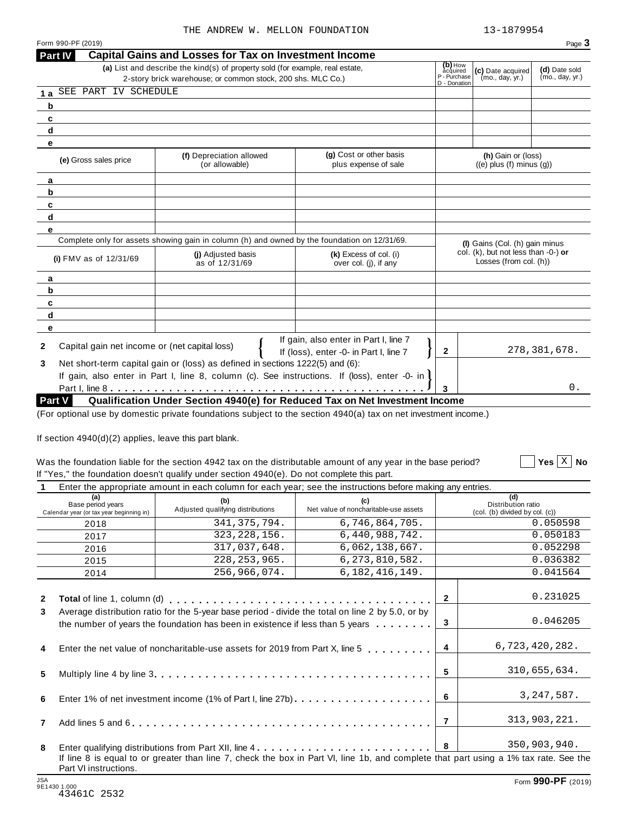| Form 990-PF (2019)                                    |                                                                                                                                              |                                                                                                                 |                                                     |                                                               | Page 3                           |
|-------------------------------------------------------|----------------------------------------------------------------------------------------------------------------------------------------------|-----------------------------------------------------------------------------------------------------------------|-----------------------------------------------------|---------------------------------------------------------------|----------------------------------|
| Part IV                                               | <b>Capital Gains and Losses for Tax on Investment Income</b>                                                                                 |                                                                                                                 |                                                     |                                                               |                                  |
|                                                       | (a) List and describe the kind(s) of property sold (for example, real estate,<br>2-story brick warehouse; or common stock, 200 shs. MLC Co.) |                                                                                                                 | (b) How<br>acquired<br>P - Purchase<br>D - Donation | (c) Date acquired<br>(mo., day, yr.)                          | (d) Date sold<br>(mo., day, yr.) |
| SEE PART IV SCHEDULE<br>1 a                           |                                                                                                                                              |                                                                                                                 |                                                     |                                                               |                                  |
| b                                                     |                                                                                                                                              |                                                                                                                 |                                                     |                                                               |                                  |
| c                                                     |                                                                                                                                              |                                                                                                                 |                                                     |                                                               |                                  |
| d                                                     |                                                                                                                                              |                                                                                                                 |                                                     |                                                               |                                  |
| e                                                     |                                                                                                                                              |                                                                                                                 |                                                     |                                                               |                                  |
| (e) Gross sales price                                 | (f) Depreciation allowed<br>(or allowable)                                                                                                   | (g) Cost or other basis<br>plus expense of sale                                                                 |                                                     | (h) Gain or (loss)<br>$((e)$ plus $(f)$ minus $(g)$ )         |                                  |
| a                                                     |                                                                                                                                              |                                                                                                                 |                                                     |                                                               |                                  |
| b                                                     |                                                                                                                                              |                                                                                                                 |                                                     |                                                               |                                  |
| c                                                     |                                                                                                                                              |                                                                                                                 |                                                     |                                                               |                                  |
| d                                                     |                                                                                                                                              |                                                                                                                 |                                                     |                                                               |                                  |
| e                                                     |                                                                                                                                              |                                                                                                                 |                                                     |                                                               |                                  |
|                                                       | Complete only for assets showing gain in column (h) and owned by the foundation on 12/31/69.                                                 |                                                                                                                 |                                                     | (I) Gains (Col. (h) gain minus                                |                                  |
| (i) FMV as of $12/31/69$                              | (i) Adjusted basis<br>as of 12/31/69                                                                                                         | (k) Excess of col. (i)<br>over col. (j), if any                                                                 |                                                     | col. (k), but not less than -0-) or<br>Losses (from col. (h)) |                                  |
| a                                                     |                                                                                                                                              |                                                                                                                 |                                                     |                                                               |                                  |
| b                                                     |                                                                                                                                              |                                                                                                                 |                                                     |                                                               |                                  |
| c                                                     |                                                                                                                                              |                                                                                                                 |                                                     |                                                               |                                  |
| d                                                     |                                                                                                                                              |                                                                                                                 |                                                     |                                                               |                                  |
| е                                                     |                                                                                                                                              |                                                                                                                 |                                                     |                                                               |                                  |
| Capital gain net income or (net capital loss)<br>2    |                                                                                                                                              | If gain, also enter in Part I, line 7<br>If (loss), enter -0- in Part I, line 7                                 | $\mathbf{2}$                                        |                                                               | 278, 381, 678.                   |
|                                                       | Net short-term capital gain or (loss) as defined in sections 1222(5) and (6):                                                                |                                                                                                                 |                                                     |                                                               |                                  |
|                                                       | If gain, also enter in Part I, line 8, column (c). See instructions. If (loss), enter -0- in                                                 |                                                                                                                 |                                                     |                                                               |                                  |
|                                                       |                                                                                                                                              |                                                                                                                 | 3                                                   |                                                               | 0.                               |
| Part V                                                |                                                                                                                                              | Qualification Under Section 4940(e) for Reduced Tax on Net Investment Income                                    |                                                     |                                                               |                                  |
|                                                       |                                                                                                                                              | (For optional use by domestic private foundations subject to the section 4940(a) tax on net investment income.) |                                                     |                                                               |                                  |
|                                                       |                                                                                                                                              |                                                                                                                 |                                                     |                                                               |                                  |
| If section 4940(d)(2) applies, leave this part blank. |                                                                                                                                              |                                                                                                                 |                                                     |                                                               |                                  |
|                                                       |                                                                                                                                              | Was the foundation liable for the section 4942 tax on the distributable amount of any year in the base period?  |                                                     |                                                               | Yes $\vert X \vert$<br><b>No</b> |
|                                                       | If "Yes," the foundation doesn't qualify under section 4940(e). Do not complete this part.                                                   |                                                                                                                 |                                                     |                                                               |                                  |
| $\mathbf 1$                                           |                                                                                                                                              | Enter the appropriate amount in each column for each year; see the instructions before making any entries.      |                                                     |                                                               |                                  |
| (a)                                                   | $\mathbf{L}$                                                                                                                                 | $\mathbf{A}$                                                                                                    |                                                     | (d)                                                           |                                  |

| (a)<br>Base period years<br>Calendar year (or tax year beginning in) | (b)<br>Adjusted qualifying distributions                                                                                                                                          | (c)<br>Net value of noncharitable-use assets                                                                                         |                | (d)<br>Distribution ratio<br>(col. (b) divided by col. (c)) |
|----------------------------------------------------------------------|-----------------------------------------------------------------------------------------------------------------------------------------------------------------------------------|--------------------------------------------------------------------------------------------------------------------------------------|----------------|-------------------------------------------------------------|
| 2018                                                                 | 341, 375, 794.                                                                                                                                                                    | 6,746,864,705.                                                                                                                       |                | 0.050598                                                    |
| 2017                                                                 | 323, 228, 156.                                                                                                                                                                    | 6,440,988,742.                                                                                                                       |                | 0.050183                                                    |
| 2016                                                                 | 317,037,648.                                                                                                                                                                      | 6,062,138,667.                                                                                                                       |                | 0.052298                                                    |
| 2015                                                                 | 228, 253, 965.                                                                                                                                                                    | 6, 273, 810, 582.                                                                                                                    |                | 0.036382                                                    |
| 2014                                                                 | 256,966,074.                                                                                                                                                                      | 6, 182, 416, 149.                                                                                                                    |                | 0.041564                                                    |
| $\mathbf{2}$                                                         |                                                                                                                                                                                   |                                                                                                                                      | $\mathbf{2}$   | 0.231025                                                    |
| 3                                                                    | Average distribution ratio for the 5-year base period - divide the total on line 2 by 5.0, or by<br>the number of years the foundation has been in existence if less than 5 years |                                                                                                                                      | 3              | 0.046205                                                    |
| 4                                                                    | Enter the net value of noncharitable-use assets for 2019 from Part X, line 5                                                                                                      |                                                                                                                                      | $\overline{4}$ | 6,723,420,282.                                              |
| 5                                                                    |                                                                                                                                                                                   |                                                                                                                                      | 5              | 310,655,634.                                                |
| 6                                                                    |                                                                                                                                                                                   |                                                                                                                                      | 6              | 3, 247, 587.                                                |
| 7                                                                    |                                                                                                                                                                                   |                                                                                                                                      | 7              | 313,903,221.                                                |
| 8                                                                    |                                                                                                                                                                                   | Enter qualifying distributions from Part XII, line 4                                                                                 | 8              | 350,903,940.                                                |
| Part VI instructions.                                                |                                                                                                                                                                                   | If line 8 is equal to or greater than line 7, check the box in Part VI, line 1b, and complete that part using a 1% tax rate. See the |                |                                                             |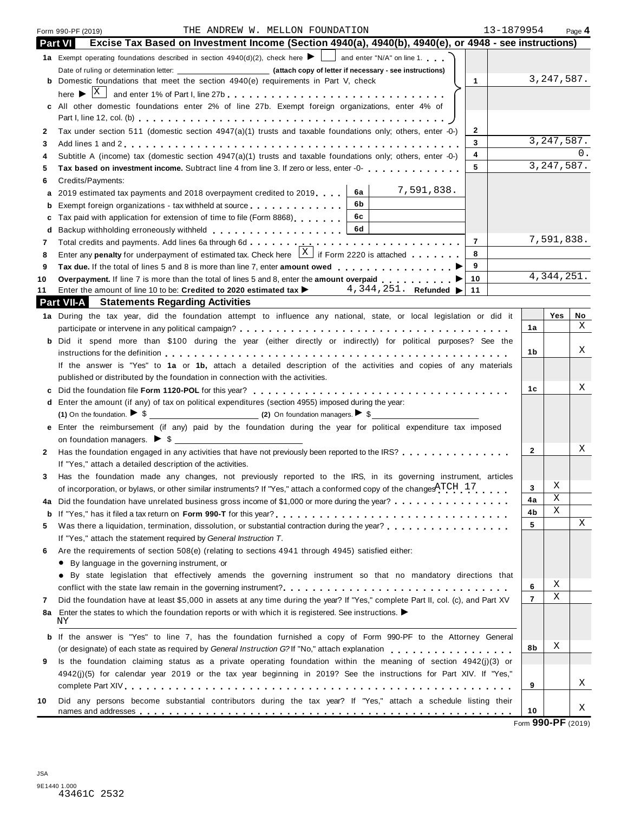| Part VI      | THE ANDREW W. MELLON FOUNDATION<br>13-1879954<br>Form 990-PF (2019)                                                                       |                |              | Page 4 |
|--------------|-------------------------------------------------------------------------------------------------------------------------------------------|----------------|--------------|--------|
|              | Excise Tax Based on Investment Income (Section 4940(a), 4940(b), 4940(e), or 4948 - see instructions)                                     |                |              |        |
|              | 1a Exempt operating foundations described in section $4940(d)(2)$ , check here $\blacktriangleright$ and enter "N/A" on line 1.           |                |              |        |
|              | <b>b</b> Domestic foundations that meet the section 4940(e) requirements in Part V, check<br>$\mathbf{1}$                                 |                | 3, 247, 587. |        |
|              |                                                                                                                                           |                |              |        |
|              | c All other domestic foundations enter 2% of line 27b. Exempt foreign organizations, enter 4% of                                          |                |              |        |
|              |                                                                                                                                           |                |              |        |
| $\mathbf{2}$ | Tax under section 511 (domestic section 4947(a)(1) trusts and taxable foundations only; others, enter -0-)<br>$\mathbf{2}$                |                |              |        |
| 3            | 3                                                                                                                                         |                | 3, 247, 587. |        |
| 4            | 4<br>Subtitle A (income) tax (domestic section 4947(a)(1) trusts and taxable foundations only; others, enter -0-)                         |                |              |        |
| 5            | 5<br>Tax based on investment income. Subtract line 4 from line 3. If zero or less, enter -0-                                              |                | 3, 247, 587. |        |
| 6            | Credits/Payments:                                                                                                                         |                |              |        |
| а            | 7,591,838.<br>6a<br>2019 estimated tax payments and 2018 overpayment credited to 2019                                                     |                |              |        |
| b            | 6b<br>Exempt foreign organizations - tax withheld at source entitled at some results in the computation of the sense                      |                |              |        |
| c            | 6c<br>Tax paid with application for extension of time to file (Form 8868)                                                                 |                |              |        |
| d            | 6d                                                                                                                                        |                |              |        |
| 7            | $\overline{7}$                                                                                                                            |                | 7,591,838.   |        |
| 8            | Enter any <b>penalty</b> for underpayment of estimated tax. Check here $\begin{bmatrix} X \\ \end{bmatrix}$ if Form 2220 is attached<br>8 |                |              |        |
| 9            | 9                                                                                                                                         |                |              |        |
| 10           | 10<br>Overpayment. If line 7 is more than the total of lines 5 and 8, enter the amount overpaid $\blacksquare$                            |                | 4, 344, 251. |        |
| 11           | Enter the amount of line 10 to be: Credited to 2020 estimated tax $\blacktriangleright$ 4, 344, 251. Refunded $\blacktriangleright$ 11    |                |              |        |
|              | <b>Part VII-A</b> Statements Regarding Activities                                                                                         |                |              |        |
|              | 1a During the tax year, did the foundation attempt to influence any national, state, or local legislation or did it                       |                | Yes          | No     |
|              |                                                                                                                                           | 1a             |              | X      |
|              | <b>b</b> Did it spend more than \$100 during the year (either directly or indirectly) for political purposes? See the                     |                |              |        |
|              |                                                                                                                                           | 1b             |              | Χ      |
|              | If the answer is "Yes" to 1a or 1b, attach a detailed description of the activities and copies of any materials                           |                |              |        |
|              | published or distributed by the foundation in connection with the activities.                                                             |                |              |        |
| c            |                                                                                                                                           | 1c             |              | Χ      |
|              | d Enter the amount (if any) of tax on political expenditures (section 4955) imposed during the year:                                      |                |              |        |
|              | (1) On the foundation. $\triangleright$ \$                                                                                                |                |              |        |
|              | Enter the reimbursement (if any) paid by the foundation during the year for political expenditure tax imposed                             |                |              |        |
|              | on foundation managers. $\triangleright$ \$                                                                                               |                |              |        |
| 2            | Has the foundation engaged in any activities that have not previously been reported to the IRS?                                           | 2              |              | Χ      |
|              | If "Yes," attach a detailed description of the activities.                                                                                |                |              |        |
| 3            | Has the foundation made any changes, not previously reported to the IRS, in its governing instrument, articles                            |                |              |        |
|              | of incorporation, or bylaws, or other similar instruments? If "Yes," attach a conformed copy of the changes $ATCH$ 17                     | 3              | X            |        |
| 4a           | Did the foundation have unrelated business gross income of \$1,000 or more during the year?                                               | 4a             | Χ            |        |
| b            |                                                                                                                                           | 4b             | Χ            |        |
| 5            | Was there a liquidation, termination, dissolution, or substantial contraction during the year?<br>                                        | 5              |              | X      |
|              | If "Yes," attach the statement required by General Instruction T.                                                                         |                |              |        |
| 6            | Are the requirements of section 508(e) (relating to sections 4941 through 4945) satisfied either:                                         |                |              |        |
|              | • By language in the governing instrument, or                                                                                             |                |              |        |
|              | • By state legislation that effectively amends the governing instrument so that no mandatory directions that                              |                |              |        |
|              | conflict with the state law remain in the governing instrument?                                                                           | 6              | Χ            |        |
| 7            | Did the foundation have at least \$5,000 in assets at any time during the year? If "Yes," complete Part II, col. (c), and Part XV         | $\overline{7}$ | Χ            |        |
| 8a           | Enter the states to which the foundation reports or with which it is registered. See instructions.                                        |                |              |        |
|              | ΝY                                                                                                                                        |                |              |        |
|              | <b>b</b> If the answer is "Yes" to line 7, has the foundation furnished a copy of Form 990-PF to the Attorney General                     |                |              |        |
|              |                                                                                                                                           | 8b             | Χ            |        |
|              |                                                                                                                                           |                |              |        |
|              | Is the foundation claiming status as a private operating foundation within the meaning of section $4942(j)(3)$ or                         |                |              |        |
|              | 4942(j)(5) for calendar year 2019 or the tax year beginning in 2019? See the instructions for Part XIV. If "Yes,"                         |                |              |        |
| 9            |                                                                                                                                           | 9              |              | Χ      |
| 10           | Did any persons become substantial contributors during the tax year? If "Yes," attach a schedule listing their                            |                |              | Χ      |

| 10 Did any persons become substantial contributors during the tax year? If "Yes," attach a schedule listing their |  |  |  |  |  |  |  |  |
|-------------------------------------------------------------------------------------------------------------------|--|--|--|--|--|--|--|--|
|                                                                                                                   |  |  |  |  |  |  |  |  |
|                                                                                                                   |  |  |  |  |  |  |  |  |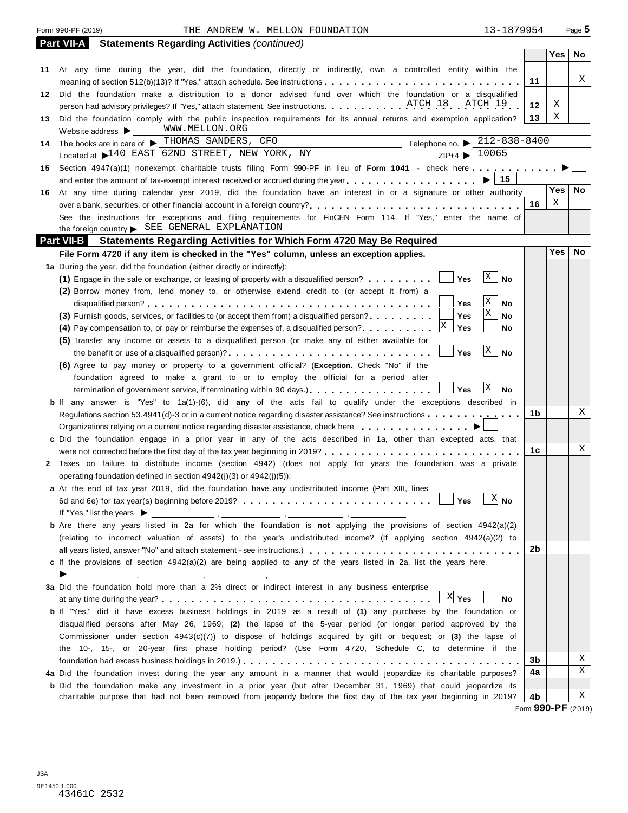|     | Form 990-PF (2019)<br>13-1879954<br>THE ANDREW W. MELLON FOUNDATION                                                                                              |    |            | Page 5    |
|-----|------------------------------------------------------------------------------------------------------------------------------------------------------------------|----|------------|-----------|
|     | <b>Part VII-A</b><br><b>Statements Regarding Activities (continued)</b>                                                                                          |    |            |           |
|     |                                                                                                                                                                  |    | Yes        | No.       |
|     | 11 At any time during the year, did the foundation, directly or indirectly, own a controlled entity within the                                                   |    |            |           |
|     |                                                                                                                                                                  | 11 |            | X         |
|     | 12 Did the foundation make a distribution to a donor advised fund over which the foundation or a disqualified                                                    |    |            |           |
|     | person had advisory privileges? If "Yes," attach statement. See instructions. ATCH 18 ATCH 19                                                                    | 12 | Χ          |           |
|     | 13 Did the foundation comply with the public inspection requirements for its annual returns and exemption application?                                           | 13 | Χ          |           |
|     | WWW.MELLON.ORG<br>Website address $\blacktriangleright$                                                                                                          |    |            |           |
| 14  | The books are in care of $\blacktriangleright$ THOMAS SANDERS, CFO<br>Telephone no. $\triangleright$ 212-838-8400<br><u> 1989 - Johann Barbara, martin a</u>     |    |            |           |
|     | Located at 140 EAST 62ND STREET, NEW YORK, NY<br>$ZIP+4$ $\triangleright$ 10065                                                                                  |    |            |           |
| 15  | Section 4947(a)(1) nonexempt charitable trusts filing Form 990-PF in lieu of Form 1041 - check here                                                              |    |            |           |
|     | $\blacktriangleright$ 15<br>and enter the amount of tax-exempt interest received or accrued during the year $\ldots$ , $\ldots$ , $\ldots$ , $\ldots$ , $\ldots$ |    |            |           |
| 16. | At any time during calendar year 2019, did the foundation have an interest in or a signature or other authority                                                  |    | <b>Yes</b> | <b>No</b> |
|     |                                                                                                                                                                  | 16 | X          |           |
|     | See the instructions for exceptions and filing requirements for FinCEN Form 114. If "Yes," enter the name of                                                     |    |            |           |
|     | the foreign country > SEE GENERAL EXPLANATION                                                                                                                    |    |            |           |
|     | <b>Part VII-B</b><br><b>Statements Regarding Activities for Which Form 4720 May Be Required</b>                                                                  |    |            |           |
|     | File Form 4720 if any item is checked in the "Yes" column, unless an exception applies.                                                                          |    | <b>Yes</b> | No        |
|     | 1a During the year, did the foundation (either directly or indirectly):                                                                                          |    |            |           |
|     | X<br>Yes<br><b>No</b><br>(1) Engage in the sale or exchange, or leasing of property with a disqualified person?                                                  |    |            |           |
|     | (2) Borrow money from, lend money to, or otherwise extend credit to (or accept it from) a                                                                        |    |            |           |
|     | Χ<br>Yes<br>No                                                                                                                                                   |    |            |           |
|     | Χ<br>(3) Furnish goods, services, or facilities to (or accept them from) a disqualified person?<br>Yes<br>No                                                     |    |            |           |
|     | Yes<br>No<br>(4) Pay compensation to, or pay or reimburse the expenses of, a disqualified person?                                                                |    |            |           |
|     | (5) Transfer any income or assets to a disqualified person (or make any of either available for                                                                  |    |            |           |
|     | X<br>Yes<br><b>No</b>                                                                                                                                            |    |            |           |
|     | (6) Agree to pay money or property to a government official? (Exception. Check "No" if the                                                                       |    |            |           |
|     | foundation agreed to make a grant to or to employ the official for a period after                                                                                |    |            |           |
|     | Χ<br>Yes<br>No<br>termination of government service, if terminating within 90 days.)                                                                             |    |            |           |
|     | <b>b</b> If any answer is "Yes" to 1a(1)-(6), did any of the acts fail to qualify under the exceptions described in                                              |    |            | X         |
|     | Regulations section 53.4941(d)-3 or in a current notice regarding disaster assistance? See instructions                                                          | 1b |            |           |
|     | Organizations relying on a current notice regarding disaster assistance, check here                                                                              |    |            |           |
|     | c Did the foundation engage in a prior year in any of the acts described in 1a, other than excepted acts, that                                                   |    |            | X         |
|     | were not corrected before the first day of the tax year beginning in 2019?                                                                                       | 1с |            |           |
|     | 2 Taxes on failure to distribute income (section 4942) (does not apply for years the foundation was a private                                                    |    |            |           |
|     | operating foundation defined in section $4942(j)(3)$ or $4942(j)(5)$ :                                                                                           |    |            |           |
|     | <b>a</b> At the end of tax year 2019, did the foundation have any undistributed income (Part XIII, lines<br>$X$ No<br>Yes                                        |    |            |           |
|     | If "Yes," list the years $\blacktriangleright$                                                                                                                   |    |            |           |
|     | <b>b</b> Are there any years listed in 2a for which the foundation is not applying the provisions of section $4942(a)(2)$                                        |    |            |           |
|     | (relating to incorrect valuation of assets) to the year's undistributed income? (If applying section 4942(a)(2) to                                               |    |            |           |
|     |                                                                                                                                                                  | 2b |            |           |
|     | c If the provisions of section $4942(a)(2)$ are being applied to any of the years listed in 2a, list the years here.                                             |    |            |           |
|     |                                                                                                                                                                  |    |            |           |
|     | 3a Did the foundation hold more than a 2% direct or indirect interest in any business enterprise                                                                 |    |            |           |
|     | $X$ Yes<br>No                                                                                                                                                    |    |            |           |
|     | <b>b</b> If "Yes," did it have excess business holdings in 2019 as a result of (1) any purchase by the foundation or                                             |    |            |           |
|     | disqualified persons after May 26, 1969; (2) the lapse of the 5-year period (or longer period approved by the                                                    |    |            |           |
|     | Commissioner under section $4943(c)(7)$ ) to dispose of holdings acquired by gift or bequest; or (3) the lapse of                                                |    |            |           |
|     | the 10-, 15-, or 20-year first phase holding period? (Use Form 4720, Schedule C, to determine if the                                                             |    |            |           |
|     |                                                                                                                                                                  | 3b |            | Χ         |
|     | 4a Did the foundation invest during the year any amount in a manner that would jeopardize its charitable purposes?                                               | 4a |            | X         |
|     | <b>b</b> Did the foundation make any investment in a prior year (but after December 31, 1969) that could jeopardize its                                          |    |            |           |
|     | charitable purpose that had not been removed from jeopardy before the first day of the tax year beginning in 2019?                                               | 4b |            | Χ         |
|     |                                                                                                                                                                  |    | 0.0000     |           |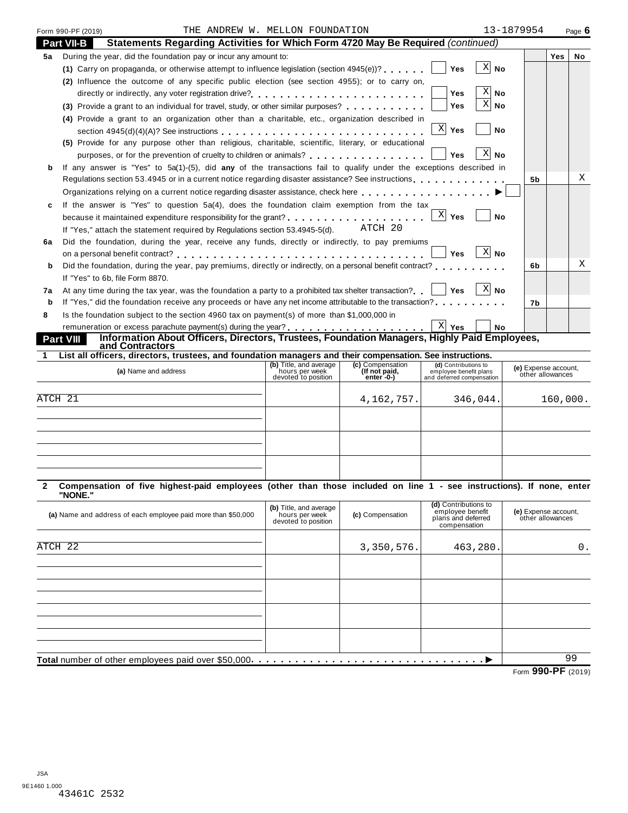|    | THE ANDREW W. MELLON FOUNDATION<br>Form 990-PF (2019)                                                                               | 13-1879954     |                |     | Page $6$  |
|----|-------------------------------------------------------------------------------------------------------------------------------------|----------------|----------------|-----|-----------|
|    | <b>Part VII-B</b><br>Statements Regarding Activities for Which Form 4720 May Be Required (continued)                                |                |                |     |           |
| 5а | During the year, did the foundation pay or incur any amount to:                                                                     |                |                | Yes | <b>No</b> |
|    | Yes<br>(1) Carry on propaganda, or otherwise attempt to influence legislation (section $4945(e)$ )?                                 | X<br><b>No</b> |                |     |           |
|    | (2) Influence the outcome of any specific public election (see section 4955); or to carry on,                                       |                |                |     |           |
|    | <b>Yes</b>                                                                                                                          | $X $ No        |                |     |           |
|    | Yes<br>(3) Provide a grant to an individual for travel, study, or other similar purposes?                                           | $X $ No        |                |     |           |
|    | (4) Provide a grant to an organization other than a charitable, etc., organization described in                                     |                |                |     |           |
|    | $\mathbf{x}$<br><b>Yes</b>                                                                                                          | <b>No</b>      |                |     |           |
|    | (5) Provide for any purpose other than religious, charitable, scientific, literary, or educational                                  |                |                |     |           |
|    | Yes<br>purposes, or for the prevention of cruelty to children or animals?                                                           | X<br><b>No</b> |                |     |           |
| b  | If any answer is "Yes" to 5a(1)-(5), did any of the transactions fail to qualify under the exceptions described in                  |                |                |     |           |
|    | Regulations section 53.4945 or in a current notice regarding disaster assistance? See instructions.                                 |                | 5 <sub>b</sub> |     | X         |
|    |                                                                                                                                     |                |                |     |           |
|    | If the answer is "Yes" to question 5a(4), does the foundation claim exemption from the tax                                          |                |                |     |           |
|    | $X$ Yes                                                                                                                             | No             |                |     |           |
|    | ATCH 20<br>If "Yes," attach the statement required by Regulations section 53.4945-5(d).                                             |                |                |     |           |
| 6a | Did the foundation, during the year, receive any funds, directly or indirectly, to pay premiums                                     |                |                |     |           |
|    | <b>Yes</b>                                                                                                                          | $X$ No         |                |     |           |
| b  | Did the foundation, during the year, pay premiums, directly or indirectly, on a personal benefit contract?                          |                | 6b             |     | X         |
|    | If "Yes" to 6b, file Form 8870.                                                                                                     |                |                |     |           |
| 7а | At any time during the tax year, was the foundation a party to a prohibited tax shelter transaction? $\vert$ Yes                    | $X $ No        |                |     |           |
| b  | If "Yes," did the foundation receive any proceeds or have any net income attributable to the transaction?                           |                | 7b             |     |           |
| 8  | Is the foundation subject to the section 4960 tax on payment(s) of more than \$1,000,000 in                                         |                |                |     |           |
|    | $X$ Yes                                                                                                                             | <b>No</b>      |                |     |           |
|    | Information About Officers, Directors, Trustees, Foundation Managers, Highly Paid Employees,<br><b>Part VIII</b><br>and Contractors |                |                |     |           |

| mar an enterior an eeler of it acteed, and realization managere and then ecompensation eco-mon actional |                                                                 |                                                   |                                                                             |                                          |  |  |  |
|---------------------------------------------------------------------------------------------------------|-----------------------------------------------------------------|---------------------------------------------------|-----------------------------------------------------------------------------|------------------------------------------|--|--|--|
| (a) Name and address                                                                                    | (b) Title, and average<br>hours per week<br>devoted to position | (c) Compensation<br>(If not paid,<br>$enter - 0-$ | (d) Contributions to<br>employee benefit plans<br>and deferred compensation | (e) Expense account,<br>other allowances |  |  |  |
| ATCH 21                                                                                                 |                                                                 | 4, 162, 757.                                      | 346,044.                                                                    | 160,000.                                 |  |  |  |
|                                                                                                         |                                                                 |                                                   |                                                                             |                                          |  |  |  |
|                                                                                                         |                                                                 |                                                   |                                                                             |                                          |  |  |  |
|                                                                                                         |                                                                 |                                                   |                                                                             |                                          |  |  |  |

# **2 Compensation of five highest-paid employees (other than those included on line 1 - see instructions). If none, enter "NONE."**

| (a) Name and address of each employee paid more than \$50,000 | (b) Title, and average<br>hours per week<br>devoted to position | (c) Compensation | (d) Contributions to<br>employee benefit<br>plans and deferred<br>compensation | (e) Expense account,<br>other allowances |
|---------------------------------------------------------------|-----------------------------------------------------------------|------------------|--------------------------------------------------------------------------------|------------------------------------------|
|                                                               |                                                                 |                  |                                                                                |                                          |
| ATCH 22                                                       |                                                                 | 3,350,576.       | 463,280.                                                                       | 0.                                       |
|                                                               |                                                                 |                  |                                                                                |                                          |
|                                                               |                                                                 |                  |                                                                                |                                          |
|                                                               |                                                                 |                  |                                                                                |                                          |
|                                                               |                                                                 |                  |                                                                                |                                          |
|                                                               |                                                                 |                  |                                                                                |                                          |
|                                                               |                                                                 |                  |                                                                                |                                          |
|                                                               |                                                                 |                  |                                                                                |                                          |
|                                                               |                                                                 |                  |                                                                                |                                          |
|                                                               |                                                                 |                  |                                                                                | 99                                       |
|                                                               |                                                                 |                  |                                                                                | Form 990-PF (2019)                       |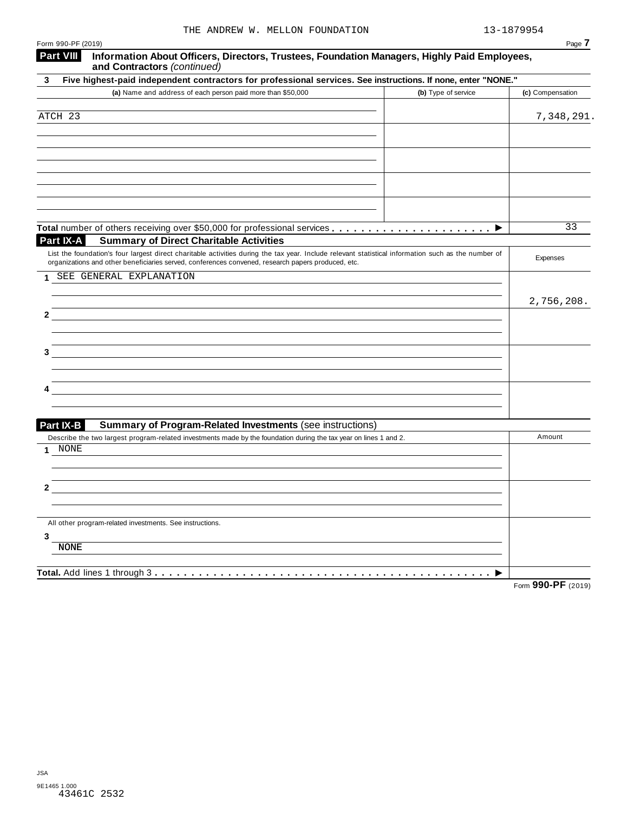| Form 990-PF (2019)                                                                                                                                  | Page 7           |
|-----------------------------------------------------------------------------------------------------------------------------------------------------|------------------|
| <b>Part VIII</b><br>Information About Officers, Directors, Trustees, Foundation Managers, Highly Paid Employees,<br>and Contractors (continued)     |                  |
| Five highest-paid independent contractors for professional services. See instructions. If none, enter "NONE."<br>3                                  |                  |
| (a) Name and address of each person paid more than \$50,000<br>(b) Type of service                                                                  | (c) Compensation |
|                                                                                                                                                     |                  |
| ATCH 23                                                                                                                                             | 7,348,291.       |
|                                                                                                                                                     |                  |
|                                                                                                                                                     |                  |
|                                                                                                                                                     |                  |
|                                                                                                                                                     |                  |
|                                                                                                                                                     |                  |
|                                                                                                                                                     |                  |
|                                                                                                                                                     |                  |
| Part IX-A<br><b>Summary of Direct Charitable Activities</b>                                                                                         | 33               |
| List the foundation's four largest direct charitable activities during the tax year. Include relevant statistical information such as the number of |                  |
| organizations and other beneficiaries served, conferences convened, research papers produced, etc.                                                  | Expenses         |
| SEE GENERAL EXPLANATION<br>1.                                                                                                                       |                  |
|                                                                                                                                                     |                  |
|                                                                                                                                                     | 2,756,208.       |
| 2                                                                                                                                                   |                  |
|                                                                                                                                                     |                  |
|                                                                                                                                                     |                  |
|                                                                                                                                                     |                  |
|                                                                                                                                                     |                  |
|                                                                                                                                                     |                  |
|                                                                                                                                                     |                  |
|                                                                                                                                                     |                  |
| Part IX-B<br><b>Summary of Program-Related Investments (see instructions)</b>                                                                       | Amount           |
| Describe the two largest program-related investments made by the foundation during the tax year on lines 1 and 2.<br>NONE<br>1                      |                  |
|                                                                                                                                                     |                  |
|                                                                                                                                                     |                  |
| 2                                                                                                                                                   |                  |
|                                                                                                                                                     |                  |
|                                                                                                                                                     |                  |
| All other program-related investments. See instructions.                                                                                            |                  |
| 3<br><b>NONE</b>                                                                                                                                    |                  |
|                                                                                                                                                     |                  |
|                                                                                                                                                     |                  |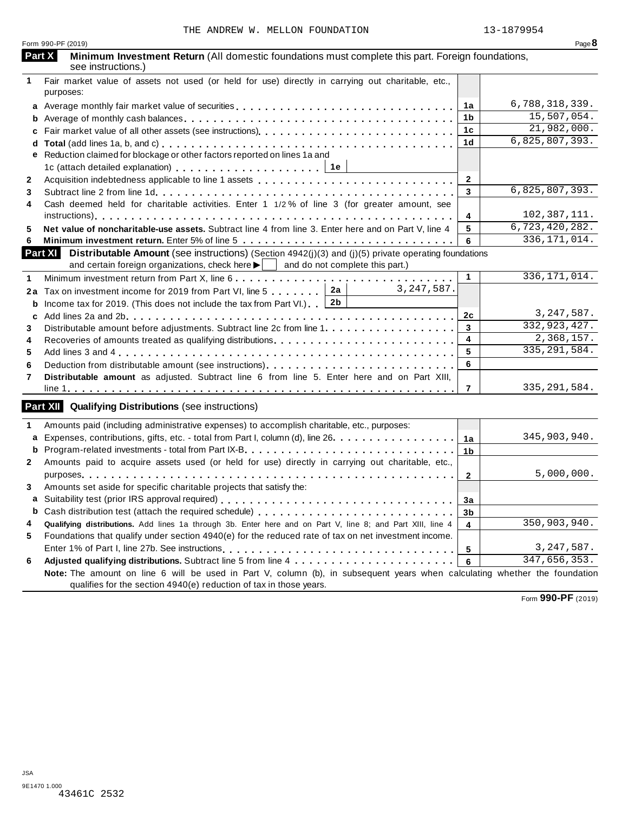|              | Form 990-PF (2019)                                                                                                                                                                                                             |                | Page $8$       |
|--------------|--------------------------------------------------------------------------------------------------------------------------------------------------------------------------------------------------------------------------------|----------------|----------------|
|              | Part X<br>Minimum Investment Return (All domestic foundations must complete this part. Foreign foundations,<br>see instructions.)                                                                                              |                |                |
| 1            | Fair market value of assets not used (or held for use) directly in carrying out charitable, etc.,<br>purposes:                                                                                                                 |                |                |
|              | a Average monthly fair market value of securities                                                                                                                                                                              | 1a             | 6,788,318,339. |
| b            |                                                                                                                                                                                                                                | 1 <sub>b</sub> | 15,507,054.    |
| c            |                                                                                                                                                                                                                                | 1 <sub>c</sub> | 21,982,000.    |
| d            |                                                                                                                                                                                                                                | 1 <sub>d</sub> | 6,825,807,393. |
| е            | Reduction claimed for blockage or other factors reported on lines 1a and                                                                                                                                                       |                |                |
|              | 1c (attach detailed explanation) entitled and success and the set of the set of the set of the set of the set of the set of the set of the set of the set of the set of the set of the set of the set of the set of the set of |                |                |
| $\mathbf{2}$ |                                                                                                                                                                                                                                | $\mathbf 2$    |                |
|              |                                                                                                                                                                                                                                | 3              | 6,825,807,393. |
| 4            | Cash deemed held for charitable activities. Enter 1 1/2% of line 3 (for greater amount, see                                                                                                                                    |                |                |
|              |                                                                                                                                                                                                                                | 4              | 102, 387, 111. |
|              | Net value of noncharitable-use assets. Subtract line 4 from line 3. Enter here and on Part V, line 4                                                                                                                           | 5              | 6,723,420,282. |
| 6            |                                                                                                                                                                                                                                | 6              | 336, 171, 014. |
|              | <b>Part XI</b> Distributable Amount (see instructions) (Section 4942(j)(3) and (j)(5) private operating foundations                                                                                                            |                |                |
|              | and certain foreign organizations, check here $\blacktriangleright$   and do not complete this part.)                                                                                                                          |                |                |
|              |                                                                                                                                                                                                                                | $\mathbf{1}$   | 336, 171, 014. |
| 2a           | 3, 247, 587.<br>Tax on investment income for 2019 from Part VI, line 5 2a                                                                                                                                                      |                |                |
| b            | Income tax for 2019. (This does not include the tax from Part VI.) $2b$                                                                                                                                                        |                |                |
| C            |                                                                                                                                                                                                                                | 2c             | 3, 247, 587.   |
| 3            |                                                                                                                                                                                                                                | 3              | 332,923,427.   |
|              | Recoveries of amounts treated as qualifying distributions                                                                                                                                                                      | 4              | 2,368,157.     |
|              |                                                                                                                                                                                                                                | 5              | 335, 291, 584. |
|              |                                                                                                                                                                                                                                | 6              |                |
| 7            | Distributable amount as adjusted. Subtract line 6 from line 5. Enter here and on Part XIII,                                                                                                                                    |                |                |
|              |                                                                                                                                                                                                                                | $\overline{7}$ | 335, 291, 584. |
|              | <b>Part XII Qualifying Distributions</b> (see instructions)                                                                                                                                                                    |                |                |
|              | Amounts paid (including administrative expenses) to accomplish charitable, etc., purposes:                                                                                                                                     |                |                |
| a            | Expenses, contributions, gifts, etc. - total from Part I, column (d), line 26.                                                                                                                                                 | 1a             | 345,903,940.   |
| b            |                                                                                                                                                                                                                                | 1 <sub>b</sub> |                |
|              | Amounts paid to acquire assets used (or held for use) directly in carrying out charitable, etc.,                                                                                                                               |                |                |
|              |                                                                                                                                                                                                                                | $\mathbf{2}$   | 5,000,000.     |
|              | Amounts set aside for specific charitable projects that satisfy the:                                                                                                                                                           |                |                |
| a            |                                                                                                                                                                                                                                | 3a             |                |
| b            | Cash distribution test (attach the required schedule)                                                                                                                                                                          | 3 <sub>b</sub> |                |
|              | Qualifying distributions. Add lines 1a through 3b. Enter here and on Part V, line 8; and Part XIII, line 4                                                                                                                     | 4              | 350,903,940.   |
| 5            | Foundations that qualify under section 4940(e) for the reduced rate of tax on net investment income.                                                                                                                           |                |                |
|              |                                                                                                                                                                                                                                | 5              | 3, 247, 587.   |
| 6            |                                                                                                                                                                                                                                | 6              | 347,656,353.   |
|              | Note: The amount on line 6 will be used in Part V, column (b), in subsequent years when calculating whether the foundation<br>qualifies for the section 4940(e) reduction of tax in those years.                               |                |                |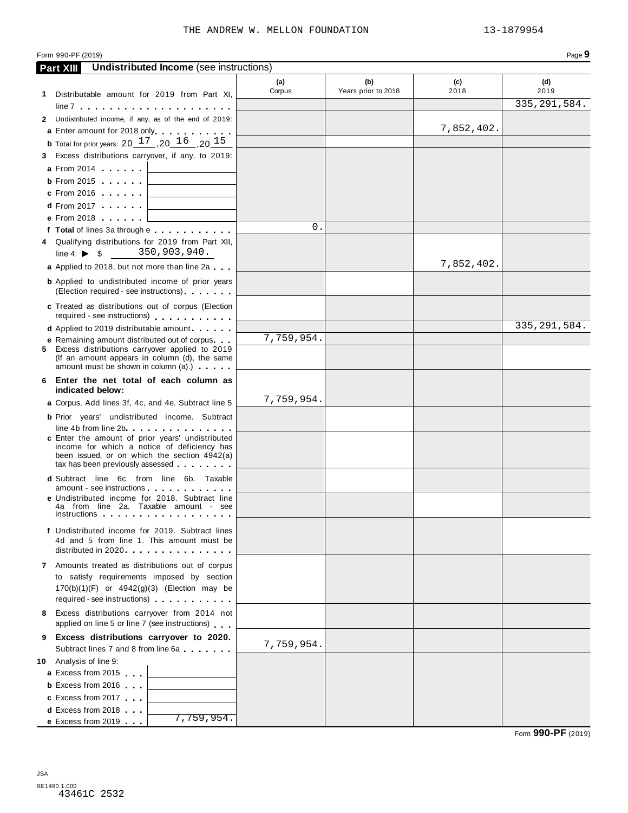| Form 990-PF (2019)     |                                                                                                                                                                                                                                                                                                                                                                                   |               |                            |             | Page 9         |
|------------------------|-----------------------------------------------------------------------------------------------------------------------------------------------------------------------------------------------------------------------------------------------------------------------------------------------------------------------------------------------------------------------------------|---------------|----------------------------|-------------|----------------|
| <b>Part XIII</b>       | <b>Undistributed Income</b> (see instructions)                                                                                                                                                                                                                                                                                                                                    |               |                            |             |                |
|                        | 1 Distributable amount for 2019 from Part XI,                                                                                                                                                                                                                                                                                                                                     | (a)<br>Corpus | (b)<br>Years prior to 2018 | (c)<br>2018 | (d)<br>2019    |
|                        |                                                                                                                                                                                                                                                                                                                                                                                   |               |                            |             | 335, 291, 584. |
|                        | 2 Undistributed income, if any, as of the end of 2019:                                                                                                                                                                                                                                                                                                                            |               |                            |             |                |
|                        | a Enter amount for 2018 only.                                                                                                                                                                                                                                                                                                                                                     |               |                            | 7,852,402.  |                |
|                        | <b>b</b> Total for prior years: $20 \frac{17}{16}$ , $20 \frac{16}{16}$ , $20 \frac{15}{15}$                                                                                                                                                                                                                                                                                      |               |                            |             |                |
|                        | 3 Excess distributions carryover, if any, to 2019:                                                                                                                                                                                                                                                                                                                                |               |                            |             |                |
|                        | a From 2014                                                                                                                                                                                                                                                                                                                                                                       |               |                            |             |                |
|                        | $\mathsf b$ From 2015                                                                                                                                                                                                                                                                                                                                                             |               |                            |             |                |
|                        | c From 2016                                                                                                                                                                                                                                                                                                                                                                       |               |                            |             |                |
|                        | d From 2017                                                                                                                                                                                                                                                                                                                                                                       |               |                            |             |                |
|                        | e From 2018 [                                                                                                                                                                                                                                                                                                                                                                     | 0.            |                            |             |                |
|                        | f Total of lines 3a through e                                                                                                                                                                                                                                                                                                                                                     |               |                            |             |                |
|                        | 4 Qualifying distributions for 2019 from Part XII,<br>line 4: $\triangleright$ \$ 350,903,940.                                                                                                                                                                                                                                                                                    |               |                            |             |                |
|                        | a Applied to 2018, but not more than line 2a                                                                                                                                                                                                                                                                                                                                      |               |                            | 7,852,402.  |                |
|                        | <b>b</b> Applied to undistributed income of prior years<br>(Election required - see instructions)                                                                                                                                                                                                                                                                                 |               |                            |             |                |
|                        | c Treated as distributions out of corpus (Election<br>required - see instructions)                                                                                                                                                                                                                                                                                                |               |                            |             |                |
|                        | <b>d</b> Applied to 2019 distributable amount                                                                                                                                                                                                                                                                                                                                     |               |                            |             | 335, 291, 584. |
|                        | <b>e</b> Remaining amount distributed out of corpus                                                                                                                                                                                                                                                                                                                               | 7,759,954.    |                            |             |                |
|                        | 5 Excess distributions carryover applied to 2019<br>(If an amount appears in column (d), the same<br>amount must be shown in column (a).)                                                                                                                                                                                                                                         |               |                            |             |                |
|                        | 6 Enter the net total of each column as<br>indicated below:                                                                                                                                                                                                                                                                                                                       |               |                            |             |                |
|                        | a Corpus. Add lines 3f, 4c, and 4e. Subtract line 5                                                                                                                                                                                                                                                                                                                               | 7,759,954.    |                            |             |                |
|                        | <b>b</b> Prior years' undistributed income. Subtract<br>line 4b from line 2b experience in the set of the set of the set of the set of the set of the set of the set of                                                                                                                                                                                                           |               |                            |             |                |
|                        | c Enter the amount of prior years' undistributed<br>income for which a notice of deficiency has<br>been issued, or on which the section 4942(a)<br>tax has been previously assessed entitled as a set of the set of the set of the set of the set of the set of the set of the set of the set of the set of the set of the set of the set of the set of the set of the set of the |               |                            |             |                |
|                        | <b>d</b> Subtract line 6c from line 6b. Taxable                                                                                                                                                                                                                                                                                                                                   |               |                            |             |                |
|                        | amount - see instructions and a series of the set of the set of the set of the set of the set of the                                                                                                                                                                                                                                                                              |               |                            |             |                |
|                        | <b>e</b> Undistributed income for 2018. Subtract line<br>4a from line 2a. Taxable amount - see<br>instructions in the contract of the contract of the contract of the contract of the contract of the contract o                                                                                                                                                                  |               |                            |             |                |
|                        | f Undistributed income for 2019. Subtract lines<br>4d and 5 from line 1. This amount must be<br>distributed in 2020.                                                                                                                                                                                                                                                              |               |                            |             |                |
|                        | 7 Amounts treated as distributions out of corpus<br>to satisfy requirements imposed by section<br>$170(b)(1)(F)$ or $4942(g)(3)$ (Election may be<br>required - see instructions)                                                                                                                                                                                                 |               |                            |             |                |
| 8.                     | Excess distributions carryover from 2014 not<br>applied on line 5 or line 7 (see instructions)                                                                                                                                                                                                                                                                                    |               |                            |             |                |
| 9.                     | Excess distributions carryover to 2020.                                                                                                                                                                                                                                                                                                                                           | 7,759,954.    |                            |             |                |
|                        | Subtract lines 7 and 8 from line 6a                                                                                                                                                                                                                                                                                                                                               |               |                            |             |                |
| 10 Analysis of line 9: |                                                                                                                                                                                                                                                                                                                                                                                   |               |                            |             |                |
|                        | a Excess from 2015                                                                                                                                                                                                                                                                                                                                                                |               |                            |             |                |
|                        | <b>b</b> Excess from 2016                                                                                                                                                                                                                                                                                                                                                         |               |                            |             |                |
|                        | c Excess from 2017                                                                                                                                                                                                                                                                                                                                                                |               |                            |             |                |
|                        | <b>d</b> Excess from 2018<br>7,759,954.                                                                                                                                                                                                                                                                                                                                           |               |                            |             |                |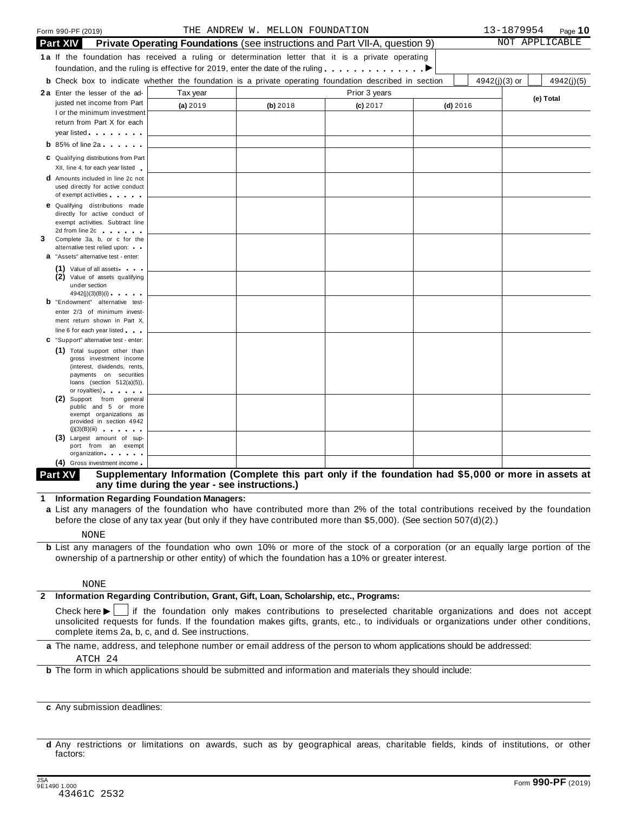| Form 990-PF (2019)                                                                                                                                                                                                             |                                                                                                              | THE ANDREW W. MELLON FOUNDATION |                |            | 13-1879954    | Page $10$  |
|--------------------------------------------------------------------------------------------------------------------------------------------------------------------------------------------------------------------------------|--------------------------------------------------------------------------------------------------------------|---------------------------------|----------------|------------|---------------|------------|
| <b>Part XIV</b><br>Private Operating Foundations (see instructions and Part VII-A, question 9)                                                                                                                                 |                                                                                                              |                                 | NOT APPLICABLE |            |               |            |
| <b>1a</b> If the foundation has received a ruling or determination letter that it is a private operating                                                                                                                       | foundation, and the ruling is effective for 2019, enter the date of the ruling $\dots \dots \dots$           |                                 |                |            |               |            |
|                                                                                                                                                                                                                                | <b>b</b> Check box to indicate whether the foundation is a private operating foundation described in section |                                 |                |            | 4942(j)(3) or | 4942(j)(5) |
| 2a Enter the lesser of the ad-                                                                                                                                                                                                 | Tax year                                                                                                     |                                 | Prior 3 years  |            |               |            |
| justed net income from Part<br>I or the minimum investment<br>return from Part X for each                                                                                                                                      | (a) 2019                                                                                                     | (b) 2018                        | $(c)$ 2017     | $(d)$ 2016 |               | (e) Total  |
|                                                                                                                                                                                                                                |                                                                                                              |                                 |                |            |               |            |
| $b$ 85% of line 2a $\ldots$                                                                                                                                                                                                    |                                                                                                              |                                 |                |            |               |            |
| C Qualifying distributions from Part<br>XII, line 4, for each year listed                                                                                                                                                      |                                                                                                              |                                 |                |            |               |            |
| <b>d</b> Amounts included in line 2c not<br>used directly for active conduct<br>of exempt activities and the set of exempt activities                                                                                          |                                                                                                              |                                 |                |            |               |            |
| <b>e</b> Qualifying distributions made<br>directly for active conduct of<br>exempt activities. Subtract line<br>2d from line 2c and the state of the state of the state of the state of the state of the state of the state of |                                                                                                              |                                 |                |            |               |            |
| 3<br>Complete 3a, b, or c for the<br>alternative test relied upon:<br><b>a</b> "Assets" alternative test - enter:                                                                                                              |                                                                                                              |                                 |                |            |               |            |
| (1) Value of all assets<br>(2) Value of assets qualifying<br>under section<br>4942(j)(3)(B)(i)                                                                                                                                 |                                                                                                              |                                 |                |            |               |            |
| <b>b</b> "Endowment" alternative test-                                                                                                                                                                                         |                                                                                                              |                                 |                |            |               |            |
| enter 2/3 of minimum invest-                                                                                                                                                                                                   |                                                                                                              |                                 |                |            |               |            |
| ment return shown in Part X,<br>line 6 for each year listed                                                                                                                                                                    |                                                                                                              |                                 |                |            |               |            |
| C "Support" alternative test - enter:                                                                                                                                                                                          |                                                                                                              |                                 |                |            |               |            |
| (1) Total support other than<br>gross investment income<br>(interest, dividends, rents,<br>payments on securities<br>loans (section 512(a)(5)),                                                                                |                                                                                                              |                                 |                |            |               |            |
| or royalties) and the control of the control of<br>Support from general<br>public and 5 or more<br>exempt organizations as<br>provided in section 4942<br>(j)(3)(B)(iii)                                                       |                                                                                                              |                                 |                |            |               |            |
| (3) Largest amount of sup-<br>port from an exempt<br>organization                                                                                                                                                              |                                                                                                              |                                 |                |            |               |            |
| (4) Gross investment income                                                                                                                                                                                                    |                                                                                                              |                                 |                |            |               |            |

### **(4)** Gross investment income income in the part only if the foundation had \$5,000 or more in assets at **Part XV** Supplementary Information (Complete this part only if the foundation had \$5,000 or more in assets at **any time during the year - see instructions.)**

**1 Information Regarding Foundation Managers:**

**a** List any managers of the foundation who have contributed more than 2% of the total contributions received by the foundation before the close of any tax year (but only if they have contributed more than \$5,000). (See section 507(d)(2).)

NONE

**b** List any managers of the foundation who own 10% or more of the stock of a corporation (or an equally large portion of the ownership of a partnership or other entity) of which the foundation has a 10% or greater interest.

#### NONE

## **2 Information Regarding Contribution, Grant, Gift, Loan, Scholarship, etc., Programs:**<br>Check here  $\blacktriangleright$  if the foundation only makes contributions to preselected ch

 $\Box$  if the foundation only makes contributions to preselected charitable organizations and does not accept unsolicited requests for funds. If the foundation makes gifts, grants, etc., to individuals or organizations under other conditions, complete items 2a, b, c, and d. See instructions.

**a** The name, address, and telephone number or email address of the person to whom applications should be addressed:

[ATCH 24](#page-414-0)

**b** The form in which applications should be submitted and information and materials they should include:

**c** Any submission deadlines:

**d** Any restrictions or limitations on awards, such as by geographical areas, charitable fields, kinds of institutions, or other factors: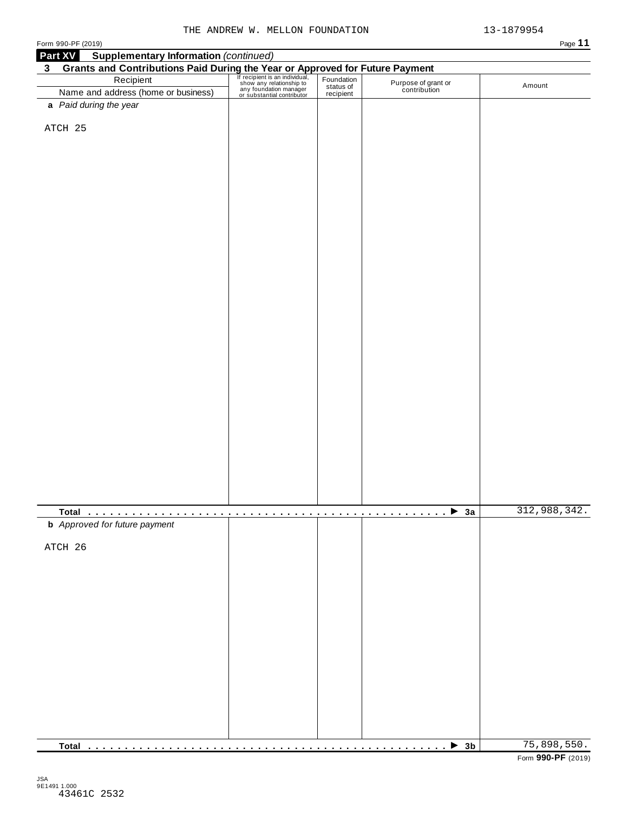| וו⊬י |  |
|------|--|
|------|--|

| Form 990-PF (2019)                                                                                                                                                                                                                                   |  |                                     | Page 11      |
|------------------------------------------------------------------------------------------------------------------------------------------------------------------------------------------------------------------------------------------------------|--|-------------------------------------|--------------|
| <b>Supplementary Information (continued)</b><br>Part XV                                                                                                                                                                                              |  |                                     |              |
| Grants and Contributions Paid During the Year or Approved for Future Payment<br>Recipient Recipient Recipient San individual, Foundation<br>Name and address (home or business) and status of the Contribution<br>Magnetic Status of<br>$\mathbf{3}$ |  |                                     |              |
|                                                                                                                                                                                                                                                      |  |                                     | Amount       |
| Name and address (home or business)                                                                                                                                                                                                                  |  | Purpose of grant or<br>contribution |              |
| a Paid during the year                                                                                                                                                                                                                               |  |                                     |              |
|                                                                                                                                                                                                                                                      |  |                                     |              |
| ATCH 25                                                                                                                                                                                                                                              |  |                                     |              |
|                                                                                                                                                                                                                                                      |  |                                     |              |
|                                                                                                                                                                                                                                                      |  |                                     |              |
|                                                                                                                                                                                                                                                      |  |                                     |              |
|                                                                                                                                                                                                                                                      |  |                                     |              |
|                                                                                                                                                                                                                                                      |  |                                     |              |
|                                                                                                                                                                                                                                                      |  |                                     |              |
|                                                                                                                                                                                                                                                      |  |                                     |              |
|                                                                                                                                                                                                                                                      |  |                                     |              |
|                                                                                                                                                                                                                                                      |  |                                     |              |
|                                                                                                                                                                                                                                                      |  |                                     |              |
|                                                                                                                                                                                                                                                      |  |                                     |              |
|                                                                                                                                                                                                                                                      |  |                                     |              |
|                                                                                                                                                                                                                                                      |  |                                     |              |
|                                                                                                                                                                                                                                                      |  |                                     |              |
|                                                                                                                                                                                                                                                      |  |                                     |              |
|                                                                                                                                                                                                                                                      |  |                                     |              |
|                                                                                                                                                                                                                                                      |  |                                     |              |
|                                                                                                                                                                                                                                                      |  |                                     |              |
|                                                                                                                                                                                                                                                      |  |                                     |              |
|                                                                                                                                                                                                                                                      |  |                                     |              |
|                                                                                                                                                                                                                                                      |  |                                     |              |
|                                                                                                                                                                                                                                                      |  |                                     |              |
|                                                                                                                                                                                                                                                      |  |                                     |              |
|                                                                                                                                                                                                                                                      |  |                                     |              |
|                                                                                                                                                                                                                                                      |  |                                     |              |
|                                                                                                                                                                                                                                                      |  |                                     |              |
|                                                                                                                                                                                                                                                      |  |                                     |              |
|                                                                                                                                                                                                                                                      |  |                                     |              |
|                                                                                                                                                                                                                                                      |  |                                     |              |
|                                                                                                                                                                                                                                                      |  |                                     |              |
|                                                                                                                                                                                                                                                      |  |                                     |              |
|                                                                                                                                                                                                                                                      |  |                                     |              |
|                                                                                                                                                                                                                                                      |  |                                     | 312,988,342. |
| <b>b</b> Approved for future payment                                                                                                                                                                                                                 |  |                                     |              |
|                                                                                                                                                                                                                                                      |  |                                     |              |
| ATCH 26                                                                                                                                                                                                                                              |  |                                     |              |
|                                                                                                                                                                                                                                                      |  |                                     |              |
|                                                                                                                                                                                                                                                      |  |                                     |              |
|                                                                                                                                                                                                                                                      |  |                                     |              |
|                                                                                                                                                                                                                                                      |  |                                     |              |
|                                                                                                                                                                                                                                                      |  |                                     |              |
|                                                                                                                                                                                                                                                      |  |                                     |              |
|                                                                                                                                                                                                                                                      |  |                                     |              |
|                                                                                                                                                                                                                                                      |  |                                     |              |
|                                                                                                                                                                                                                                                      |  |                                     |              |
|                                                                                                                                                                                                                                                      |  |                                     |              |
|                                                                                                                                                                                                                                                      |  |                                     |              |
|                                                                                                                                                                                                                                                      |  |                                     |              |
|                                                                                                                                                                                                                                                      |  |                                     |              |
|                                                                                                                                                                                                                                                      |  |                                     |              |
|                                                                                                                                                                                                                                                      |  |                                     |              |
|                                                                                                                                                                                                                                                      |  |                                     |              |
|                                                                                                                                                                                                                                                      |  | $\triangleright$ 3b                 | 75,898,550.  |
|                                                                                                                                                                                                                                                      |  | .                                   |              |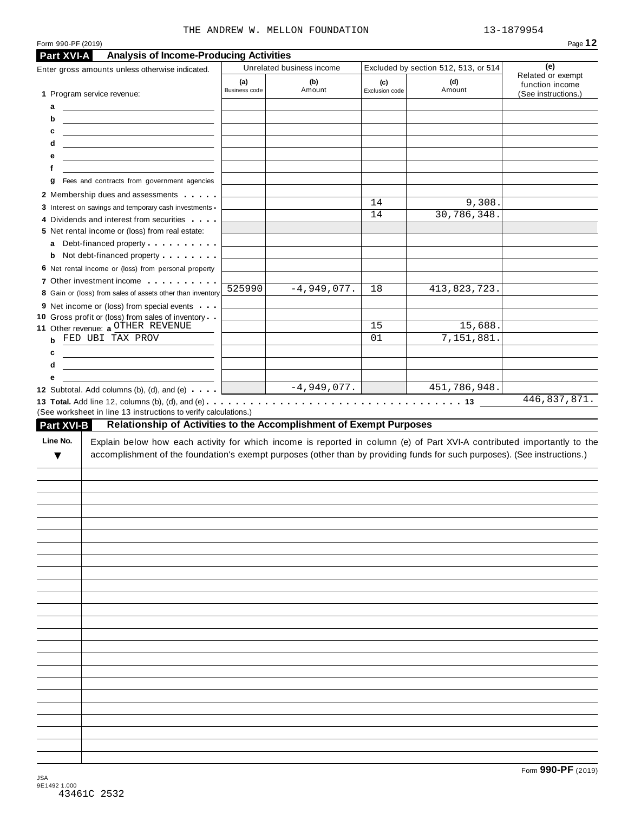|  |  | THE ANDREW W. MELLON FOUNDATION |
|--|--|---------------------------------|
|  |  |                                 |

13-1879954

| Form 990-PF (2019)<br><b>Analysis of Income-Producing Activities</b><br>Part XVI-A                                                                                                                                                                        |               |                           |                |                                      |                                        |
|-----------------------------------------------------------------------------------------------------------------------------------------------------------------------------------------------------------------------------------------------------------|---------------|---------------------------|----------------|--------------------------------------|----------------------------------------|
| Enter gross amounts unless otherwise indicated.                                                                                                                                                                                                           |               | Unrelated business income |                | Excluded by section 512, 513, or 514 | (e)                                    |
|                                                                                                                                                                                                                                                           | (a)           | (b)                       | (c)            | (d)                                  | Related or exempt                      |
| 1 Program service revenue:                                                                                                                                                                                                                                | Business code | Amount                    | Exclusion code | Amount                               | function income<br>(See instructions.) |
| а<br><u> The Communication of the Communication</u>                                                                                                                                                                                                       |               |                           |                |                                      |                                        |
| b<br><u> 1989 - Andrea State Barbara, amerikan personal di personal dengan personal dengan personal dengan personal de</u>                                                                                                                                |               |                           |                |                                      |                                        |
| c<br><u> Alexander (Alexander Alexander Alexander Alexander Alexander Alexander Alexander Alexander Alexander Alexander</u>                                                                                                                               |               |                           |                |                                      |                                        |
| d<br><u> 1989 - Johann Harry Harry Harry Harry Harry Harry Harry Harry Harry Harry Harry Harry Harry Harry Harry Harry</u>                                                                                                                                |               |                           |                |                                      |                                        |
| е<br><u> 1989 - Johann Barn, mars and de Branch Barn, mars and de Branch Barn, mars and de Branch Barn, mars and de Br</u>                                                                                                                                |               |                           |                |                                      |                                        |
| f                                                                                                                                                                                                                                                         |               |                           |                |                                      |                                        |
| Fees and contracts from government agencies<br>g                                                                                                                                                                                                          |               |                           |                |                                      |                                        |
| 2 Membership dues and assessments                                                                                                                                                                                                                         |               |                           | 14             | 9,308.                               |                                        |
| 3 Interest on savings and temporary cash investments                                                                                                                                                                                                      |               |                           | 14             | 30,786,348.                          |                                        |
| 4 Dividends and interest from securities                                                                                                                                                                                                                  |               |                           |                |                                      |                                        |
| 5 Net rental income or (loss) from real estate:                                                                                                                                                                                                           |               |                           |                |                                      |                                        |
| Debt-financed property<br>a                                                                                                                                                                                                                               |               |                           |                |                                      |                                        |
| <b>b</b> Not debt-financed property <b>contains the State of State Inc.</b><br>6 Net rental income or (loss) from personal property                                                                                                                       |               |                           |                |                                      |                                        |
| 7 Other investment income                                                                                                                                                                                                                                 |               |                           |                |                                      |                                        |
| 8 Gain or (loss) from sales of assets other than inventory                                                                                                                                                                                                | 525990        | $-4,949,077.$             | 18             | 413,823,723.                         |                                        |
| 9 Net income or (loss) from special events                                                                                                                                                                                                                |               |                           |                |                                      |                                        |
| 10 Gross profit or (loss) from sales of inventory                                                                                                                                                                                                         |               |                           |                |                                      |                                        |
| 11 Other revenue: a OTHER REVENUE                                                                                                                                                                                                                         |               |                           | 15             | 15,688.                              |                                        |
| FED UBI TAX PROV                                                                                                                                                                                                                                          |               |                           | 01             | 7,151,881.                           |                                        |
| c                                                                                                                                                                                                                                                         |               |                           |                |                                      |                                        |
|                                                                                                                                                                                                                                                           |               |                           |                |                                      |                                        |
| d                                                                                                                                                                                                                                                         |               |                           |                |                                      |                                        |
| е                                                                                                                                                                                                                                                         |               |                           |                |                                      |                                        |
| 12 Subtotal. Add columns (b), (d), and (e) $\qquad$<br>(See worksheet in line 13 instructions to verify calculations.)<br>Relationship of Activities to the Accomplishment of Exempt Purposes<br><b>Part XVI-B</b>                                        | $\sim$ $\sim$ | $-4,949,077.$             |                | 451,786,948.                         |                                        |
| Explain below how each activity for which income is reported in column (e) of Part XVI-A contributed importantly to the<br>accomplishment of the foundation's exempt purposes (other than by providing funds for such purposes). (See instructions.)<br>▼ |               |                           |                |                                      | 446,837,871.                           |
|                                                                                                                                                                                                                                                           |               |                           |                |                                      |                                        |
| Line No.                                                                                                                                                                                                                                                  |               |                           |                |                                      |                                        |
|                                                                                                                                                                                                                                                           |               |                           |                |                                      |                                        |
|                                                                                                                                                                                                                                                           |               |                           |                |                                      |                                        |
|                                                                                                                                                                                                                                                           |               |                           |                |                                      |                                        |
|                                                                                                                                                                                                                                                           |               |                           |                |                                      |                                        |
|                                                                                                                                                                                                                                                           |               |                           |                |                                      |                                        |
|                                                                                                                                                                                                                                                           |               |                           |                |                                      |                                        |
|                                                                                                                                                                                                                                                           |               |                           |                |                                      |                                        |
|                                                                                                                                                                                                                                                           |               |                           |                |                                      |                                        |
|                                                                                                                                                                                                                                                           |               |                           |                |                                      |                                        |
|                                                                                                                                                                                                                                                           |               |                           |                |                                      |                                        |
|                                                                                                                                                                                                                                                           |               |                           |                |                                      |                                        |
|                                                                                                                                                                                                                                                           |               |                           |                |                                      |                                        |
|                                                                                                                                                                                                                                                           |               |                           |                |                                      |                                        |
|                                                                                                                                                                                                                                                           |               |                           |                |                                      |                                        |
|                                                                                                                                                                                                                                                           |               |                           |                |                                      |                                        |
|                                                                                                                                                                                                                                                           |               |                           |                |                                      |                                        |
|                                                                                                                                                                                                                                                           |               |                           |                |                                      |                                        |
|                                                                                                                                                                                                                                                           |               |                           |                |                                      |                                        |
|                                                                                                                                                                                                                                                           |               |                           |                |                                      |                                        |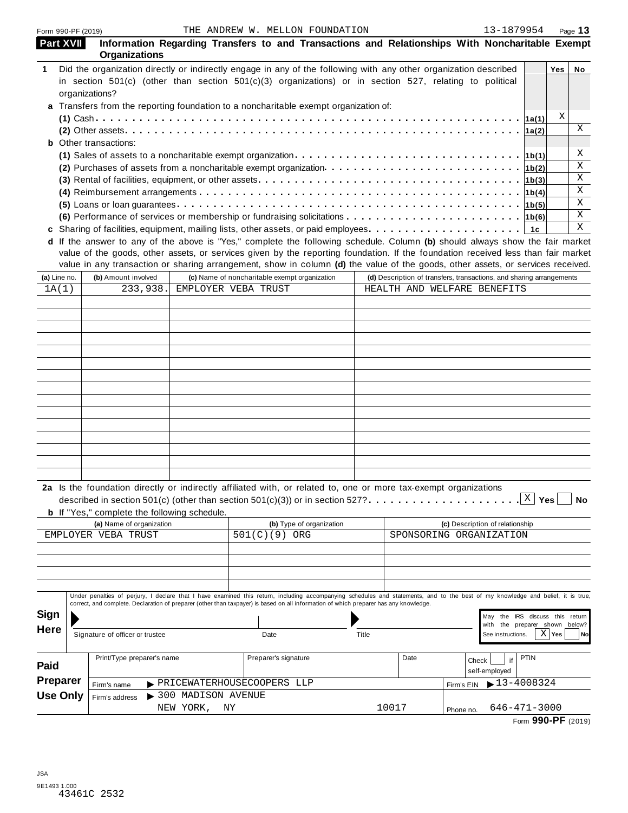|              | Form 990-PF (2019) |                                                                                                        |                      | THE ANDREW W. MELLON FOUNDATION                                                                                                                                                                                                                   |       |       | 13-1879954                                                                                                                                                                                                                                                           | Page 13         |
|--------------|--------------------|--------------------------------------------------------------------------------------------------------|----------------------|---------------------------------------------------------------------------------------------------------------------------------------------------------------------------------------------------------------------------------------------------|-------|-------|----------------------------------------------------------------------------------------------------------------------------------------------------------------------------------------------------------------------------------------------------------------------|-----------------|
|              | <b>Part XVII</b>   | <b>Organizations</b>                                                                                   |                      |                                                                                                                                                                                                                                                   |       |       | Information Regarding Transfers to and Transactions and Relationships With Noncharitable Exempt                                                                                                                                                                      |                 |
|              |                    |                                                                                                        |                      | Did the organization directly or indirectly engage in any of the following with any other organization described<br>in section $501(c)$ (other than section $501(c)(3)$ organizations) or in section 527, relating to political                   |       |       |                                                                                                                                                                                                                                                                      | Yes<br>No       |
|              |                    | organizations?                                                                                         |                      |                                                                                                                                                                                                                                                   |       |       |                                                                                                                                                                                                                                                                      |                 |
|              |                    |                                                                                                        |                      | a Transfers from the reporting foundation to a noncharitable exempt organization of:                                                                                                                                                              |       |       |                                                                                                                                                                                                                                                                      |                 |
|              |                    |                                                                                                        |                      |                                                                                                                                                                                                                                                   |       |       |                                                                                                                                                                                                                                                                      | Χ               |
|              |                    |                                                                                                        |                      |                                                                                                                                                                                                                                                   |       |       |                                                                                                                                                                                                                                                                      | X               |
|              |                    | <b>b</b> Other transactions:                                                                           |                      |                                                                                                                                                                                                                                                   |       |       |                                                                                                                                                                                                                                                                      |                 |
|              |                    |                                                                                                        |                      |                                                                                                                                                                                                                                                   |       |       |                                                                                                                                                                                                                                                                      | Χ               |
|              |                    |                                                                                                        |                      |                                                                                                                                                                                                                                                   |       |       |                                                                                                                                                                                                                                                                      | Χ<br>Χ          |
|              |                    |                                                                                                        |                      |                                                                                                                                                                                                                                                   |       |       |                                                                                                                                                                                                                                                                      | Χ               |
|              |                    |                                                                                                        |                      |                                                                                                                                                                                                                                                   |       |       |                                                                                                                                                                                                                                                                      | Χ               |
|              |                    |                                                                                                        |                      |                                                                                                                                                                                                                                                   |       |       | (6) Performance of services or membership or fundraising solicitations $\cdots \cdots \cdots \cdots \cdots \cdots \cdots \cdot 16(6)$                                                                                                                                | Χ               |
|              |                    |                                                                                                        |                      |                                                                                                                                                                                                                                                   |       |       | 1с                                                                                                                                                                                                                                                                   | X               |
|              |                    |                                                                                                        |                      |                                                                                                                                                                                                                                                   |       |       | d If the answer to any of the above is "Yes," complete the following schedule. Column (b) should always show the fair market                                                                                                                                         |                 |
|              |                    |                                                                                                        |                      |                                                                                                                                                                                                                                                   |       |       | value of the goods, other assets, or services given by the reporting foundation. If the foundation received less than fair market<br>value in any transaction or sharing arrangement, show in column (d) the value of the goods, other assets, or services received. |                 |
| (a) Line no. |                    | (b) Amount involved                                                                                    |                      | (c) Name of noncharitable exempt organization                                                                                                                                                                                                     |       |       | (d) Description of transfers, transactions, and sharing arrangements                                                                                                                                                                                                 |                 |
| 1A(1)        |                    | 233,938.                                                                                               |                      | EMPLOYER VEBA TRUST                                                                                                                                                                                                                               |       |       | HEALTH AND WELFARE BENEFITS                                                                                                                                                                                                                                          |                 |
|              |                    |                                                                                                        |                      |                                                                                                                                                                                                                                                   |       |       |                                                                                                                                                                                                                                                                      |                 |
|              |                    |                                                                                                        |                      |                                                                                                                                                                                                                                                   |       |       |                                                                                                                                                                                                                                                                      |                 |
|              |                    |                                                                                                        |                      |                                                                                                                                                                                                                                                   |       |       |                                                                                                                                                                                                                                                                      |                 |
|              |                    |                                                                                                        |                      |                                                                                                                                                                                                                                                   |       |       |                                                                                                                                                                                                                                                                      |                 |
|              |                    |                                                                                                        |                      |                                                                                                                                                                                                                                                   |       |       |                                                                                                                                                                                                                                                                      |                 |
|              |                    |                                                                                                        |                      |                                                                                                                                                                                                                                                   |       |       |                                                                                                                                                                                                                                                                      |                 |
|              |                    |                                                                                                        |                      |                                                                                                                                                                                                                                                   |       |       |                                                                                                                                                                                                                                                                      |                 |
|              |                    |                                                                                                        |                      |                                                                                                                                                                                                                                                   |       |       |                                                                                                                                                                                                                                                                      |                 |
|              |                    |                                                                                                        |                      |                                                                                                                                                                                                                                                   |       |       |                                                                                                                                                                                                                                                                      |                 |
|              |                    |                                                                                                        |                      |                                                                                                                                                                                                                                                   |       |       |                                                                                                                                                                                                                                                                      |                 |
|              |                    |                                                                                                        |                      |                                                                                                                                                                                                                                                   |       |       |                                                                                                                                                                                                                                                                      |                 |
|              |                    |                                                                                                        |                      |                                                                                                                                                                                                                                                   |       |       |                                                                                                                                                                                                                                                                      |                 |
|              |                    |                                                                                                        |                      |                                                                                                                                                                                                                                                   |       |       |                                                                                                                                                                                                                                                                      |                 |
|              |                    |                                                                                                        |                      |                                                                                                                                                                                                                                                   |       |       |                                                                                                                                                                                                                                                                      |                 |
|              |                    | <b>b</b> If "Yes," complete the following schedule.<br>(a) Name of organization<br>EMPLOYER VEBA TRUST |                      | 2a Is the foundation directly or indirectly affiliated with, or related to, one or more tax-exempt organizations<br>described in section 501(c) (other than section 501(c)(3)) or in section 527?<br>(b) Type of organization<br>501(C)(9)<br>ORG |       |       | $\mathbf{X}$<br>(c) Description of relationship<br>SPONSORING ORGANIZATION                                                                                                                                                                                           | Yes<br>No       |
|              |                    |                                                                                                        |                      |                                                                                                                                                                                                                                                   |       |       |                                                                                                                                                                                                                                                                      |                 |
|              |                    |                                                                                                        |                      |                                                                                                                                                                                                                                                   |       |       |                                                                                                                                                                                                                                                                      |                 |
|              |                    |                                                                                                        |                      | correct, and complete. Declaration of preparer (other than taxpayer) is based on all information of which preparer has any knowledge.                                                                                                             |       |       | Under penalties of perjury, I declare that I have examined this return, including accompanying schedules and statements, and to the best of my knowledge and belief, it is true,                                                                                     |                 |
| Sign         |                    |                                                                                                        |                      |                                                                                                                                                                                                                                                   |       |       | May the IRS discuss this return                                                                                                                                                                                                                                      |                 |
| <b>Here</b>  |                    |                                                                                                        |                      |                                                                                                                                                                                                                                                   |       |       | with the preparer shown below?                                                                                                                                                                                                                                       |                 |
|              |                    | Signature of officer or trustee                                                                        |                      | Date                                                                                                                                                                                                                                              | Title |       | See instructions.                                                                                                                                                                                                                                                    | $X$   Yes<br>No |
|              |                    | Print/Type preparer's name                                                                             |                      | Preparer's signature                                                                                                                                                                                                                              |       | Date  | <b>PTIN</b><br>Check<br>if                                                                                                                                                                                                                                           |                 |
| Paid         |                    |                                                                                                        |                      |                                                                                                                                                                                                                                                   |       |       | self-employed                                                                                                                                                                                                                                                        |                 |
| Preparer     |                    | Firm's name                                                                                            |                      | > PRICEWATERHOUSECOOPERS LLP                                                                                                                                                                                                                      |       |       | $13 - 4008324$<br>Firm's EIN                                                                                                                                                                                                                                         |                 |
|              | <b>Use Only</b>    | Firm's address                                                                                         | > 300 MADISON AVENUE |                                                                                                                                                                                                                                                   |       |       |                                                                                                                                                                                                                                                                      |                 |
|              |                    |                                                                                                        | NEW YORK,            | ΝY                                                                                                                                                                                                                                                |       | 10017 | $646 - 471 - 3000$<br>Phone no.                                                                                                                                                                                                                                      |                 |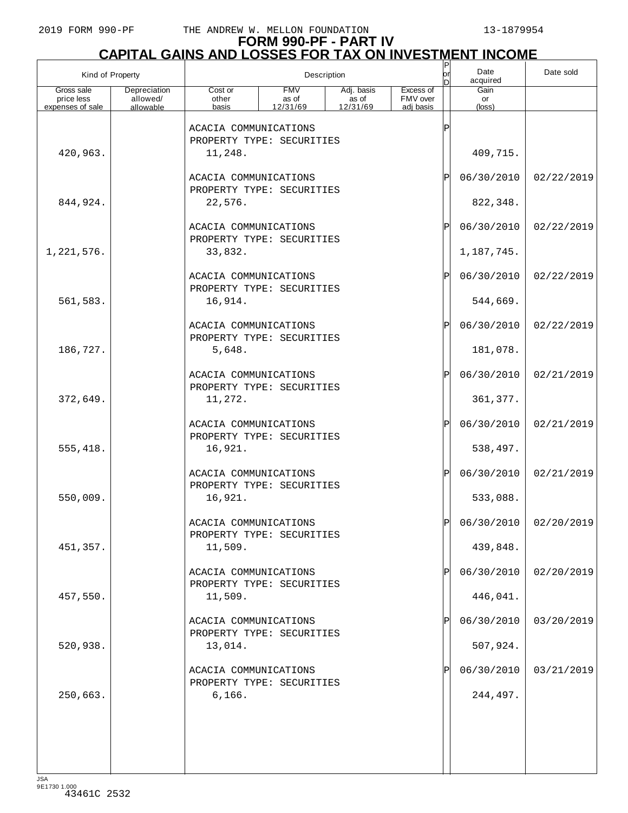#### **FORM 990-PF - PART IV CAPITAL GAINS AND LOSSES FOR TAX ON INVESTMENT INCOME**

|                                              | Kind of Property<br>Description       |                                  |                                 |                                 |                                    | $\vert P$<br>lor<br>n | Date<br>acquired              | Date sold               |
|----------------------------------------------|---------------------------------------|----------------------------------|---------------------------------|---------------------------------|------------------------------------|-----------------------|-------------------------------|-------------------------|
| Gross sale<br>price less<br>expenses of sale | Depreciation<br>allowed/<br>allowable | Cost or<br>other<br>basis        | <b>FMV</b><br>as of<br>12/31/69 | Adj. basis<br>as of<br>12/31/69 | Excess of<br>FMV over<br>adi basis |                       | Gain<br>or<br>$(\text{loss})$ |                         |
| 420,963.                                     |                                       | ACACIA COMMUNICATIONS<br>11,248. | PROPERTY TYPE: SECURITIES       |                                 |                                    | Ρ                     | 409,715.                      |                         |
| 844,924.                                     |                                       | ACACIA COMMUNICATIONS<br>22,576. | PROPERTY TYPE: SECURITIES       |                                 |                                    | ΙP                    | 06/30/2010<br>822,348.        | 02/22/2019              |
|                                              |                                       | ACACIA COMMUNICATIONS            | PROPERTY TYPE: SECURITIES       |                                 |                                    | ΙP                    | 06/30/2010                    | 02/22/2019              |
| 1,221,576.                                   |                                       | 33,832.                          |                                 |                                 |                                    |                       | 1,187,745.                    |                         |
| 561,583.                                     |                                       | ACACIA COMMUNICATIONS<br>16,914. | PROPERTY TYPE: SECURITIES       |                                 |                                    | ΙP                    | 06/30/2010<br>544,669.        | 02/22/2019              |
|                                              |                                       | ACACIA COMMUNICATIONS            | PROPERTY TYPE: SECURITIES       |                                 |                                    | ΙP                    | 06/30/2010                    | 02/22/2019              |
| 186,727.                                     |                                       | 5,648.<br>ACACIA COMMUNICATIONS  |                                 |                                 |                                    | ΙP                    | 181,078.<br>06/30/2010        | 02/21/2019              |
| 372,649.                                     |                                       | 11,272.                          | PROPERTY TYPE: SECURITIES       |                                 |                                    |                       | 361, 377.                     |                         |
| 555,418.                                     |                                       | ACACIA COMMUNICATIONS<br>16,921. | PROPERTY TYPE: SECURITIES       |                                 |                                    | ΙP                    | 06/30/2010<br>538,497.        | 02/21/2019              |
| 550,009.                                     |                                       | ACACIA COMMUNICATIONS<br>16,921. | PROPERTY TYPE: SECURITIES       |                                 |                                    | ΙP                    | 06/30/2010<br>533,088.        | 02/21/2019              |
| 451,357.                                     |                                       | ACACIA COMMUNICATIONS<br>11,509. | PROPERTY TYPE: SECURITIES       |                                 |                                    |                       | 439,848.                      | $06/30/2010$ 02/20/2019 |
| 457,550.                                     |                                       | ACACIA COMMUNICATIONS<br>11,509. | PROPERTY TYPE: SECURITIES       |                                 |                                    |                       | 06/30/2010<br>446,041.        | 02/20/2019              |
|                                              |                                       | ACACIA COMMUNICATIONS            | PROPERTY TYPE: SECURITIES       |                                 |                                    |                       | 06/30/2010                    | 03/20/2019              |
| 520,938.                                     |                                       | 13,014.<br>ACACIA COMMUNICATIONS | PROPERTY TYPE: SECURITIES       |                                 |                                    |                       | 507,924.<br>06/30/2010        | 03/21/2019              |
| 250,663.                                     |                                       | 6,166.                           |                                 |                                 |                                    |                       | 244,497.                      |                         |
|                                              |                                       |                                  |                                 |                                 |                                    |                       |                               |                         |
| ICA                                          |                                       |                                  |                                 |                                 |                                    |                       |                               |                         |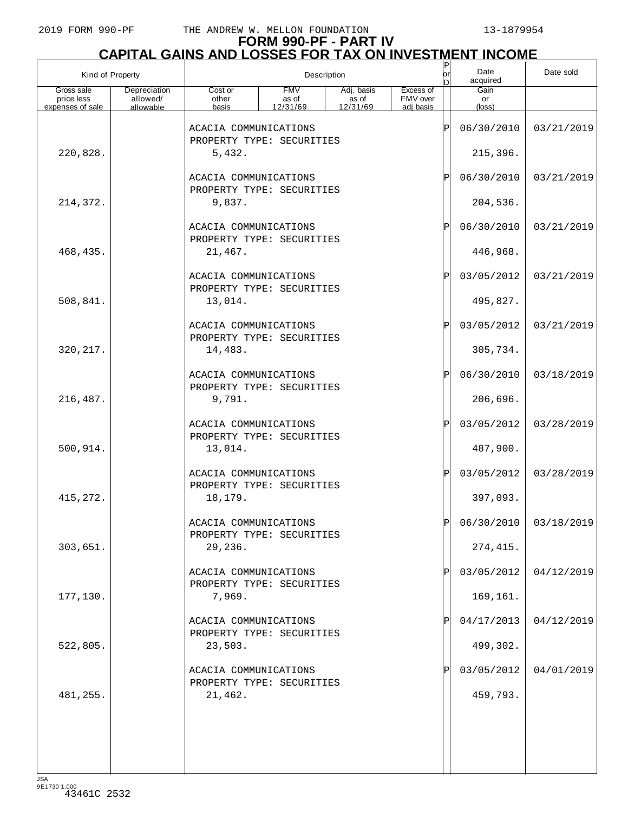## **FORM 990-PF - PART IV CAPITAL GAINS AND LOSSES FOR TAX ON INVESTMENT INCOME** P

| Kind of Property                             |                                       |                                                               | Description                     |                                               |                                    | $\sf P$<br>or | Date<br>acquired       | Date sold               |
|----------------------------------------------|---------------------------------------|---------------------------------------------------------------|---------------------------------|-----------------------------------------------|------------------------------------|---------------|------------------------|-------------------------|
| Gross sale<br>price less<br>expenses of sale | Depreciation<br>allowed/<br>allowable | Cost or<br>other<br>basis                                     | <b>FMV</b><br>as of<br>12/31/69 | Adj. basis<br>$\frac{1}{2}$ as of<br>12/31/69 | Excess of<br>FMV over<br>adj basis |               | Gain<br>or<br>(loss)   |                         |
|                                              |                                       | ACACIA COMMUNICATIONS                                         |                                 |                                               |                                    | ΙÞΙ           | 06/30/2010             | 03/21/2019              |
| 220,828.                                     |                                       | PROPERTY TYPE: SECURITIES<br>5,432.                           |                                 |                                               |                                    |               | 215,396.               |                         |
|                                              |                                       | ACACIA COMMUNICATIONS<br>PROPERTY TYPE: SECURITIES            |                                 |                                               |                                    | ΙÞΙ           | 06/30/2010             | 03/21/2019              |
| 214,372.                                     |                                       | 9,837.                                                        |                                 |                                               |                                    |               | 204,536.               |                         |
|                                              |                                       | ACACIA COMMUNICATIONS<br>PROPERTY TYPE: SECURITIES            |                                 |                                               |                                    | ΙÞΙ           | 06/30/2010             | 03/21/2019              |
| 468,435.                                     |                                       | 21,467.                                                       |                                 |                                               |                                    |               | 446,968.               |                         |
|                                              |                                       | ACACIA COMMUNICATIONS<br>PROPERTY TYPE: SECURITIES            |                                 |                                               |                                    | ΙÞΙ           | 03/05/2012             | 03/21/2019              |
| 508,841.                                     |                                       | 13,014.                                                       |                                 |                                               |                                    |               | 495,827.               |                         |
|                                              |                                       | ACACIA COMMUNICATIONS<br>PROPERTY TYPE: SECURITIES            |                                 |                                               |                                    | ΙÞΙ           | 03/05/2012             | 03/21/2019              |
| 320, 217.                                    |                                       | 14,483.                                                       |                                 |                                               |                                    |               | 305,734.               |                         |
|                                              |                                       | ACACIA COMMUNICATIONS<br>PROPERTY TYPE: SECURITIES            |                                 |                                               |                                    | ΙÞΙ           | 06/30/2010             | 03/18/2019              |
| 216,487.                                     |                                       | 9,791.                                                        |                                 |                                               |                                    |               | 206,696.               |                         |
| 500,914.                                     |                                       | ACACIA COMMUNICATIONS<br>PROPERTY TYPE: SECURITIES<br>13,014. |                                 |                                               |                                    | ΙÞΙ           | 03/05/2012<br>487,900. | 03/28/2019              |
|                                              |                                       | ACACIA COMMUNICATIONS                                         |                                 |                                               |                                    | ΙÞΙ           | 03/05/2012             | 03/28/2019              |
| 415, 272.                                    |                                       | PROPERTY TYPE: SECURITIES<br>18,179.                          |                                 |                                               |                                    |               | 397,093.               |                         |
|                                              |                                       | ACACIA COMMUNICATIONS                                         |                                 |                                               |                                    | וסו           |                        | $06/30/2010$ 03/18/2019 |
| 303,651.                                     |                                       | PROPERTY TYPE: SECURITIES<br>29,236.                          |                                 |                                               |                                    |               | 274,415.               |                         |
|                                              |                                       | ACACIA COMMUNICATIONS                                         |                                 |                                               |                                    | ΙPΙ           | 03/05/2012             | 04/12/2019              |
| 177,130.                                     |                                       | PROPERTY TYPE: SECURITIES<br>7,969.                           |                                 |                                               |                                    |               | 169,161.               |                         |
|                                              |                                       | ACACIA COMMUNICATIONS                                         |                                 |                                               |                                    | ΙPΙ           | 04/17/2013             | 04/12/2019              |
| 522,805.                                     |                                       | PROPERTY TYPE: SECURITIES<br>23,503.                          |                                 |                                               |                                    |               | 499,302.               |                         |
|                                              |                                       | ACACIA COMMUNICATIONS<br>PROPERTY TYPE: SECURITIES            |                                 |                                               |                                    | ΙP            | 03/05/2012             | 04/01/2019              |
| 481,255.                                     |                                       | 21,462.                                                       |                                 |                                               |                                    |               | 459,793.               |                         |
|                                              |                                       |                                                               |                                 |                                               |                                    |               |                        |                         |
|                                              |                                       |                                                               |                                 |                                               |                                    |               |                        |                         |
|                                              |                                       |                                                               |                                 |                                               |                                    |               |                        |                         |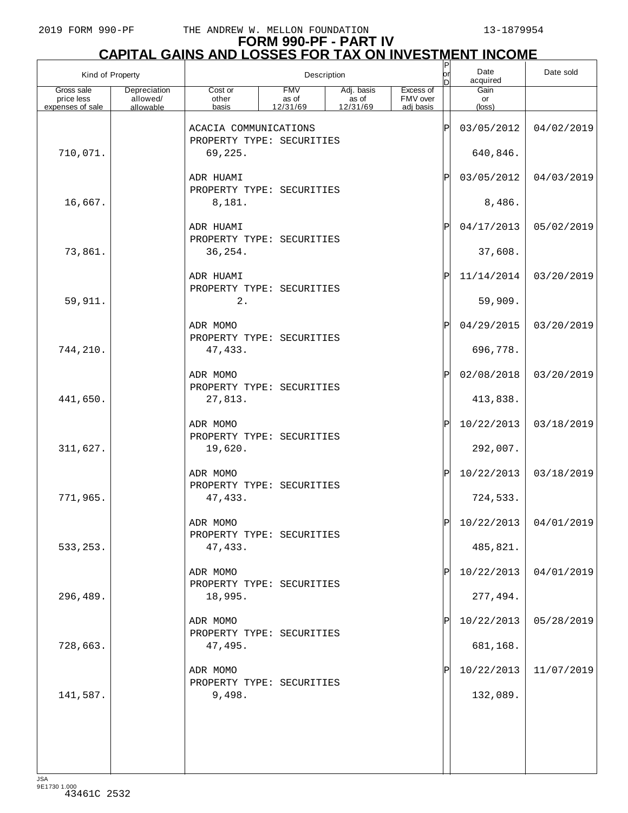| Kind of Property                             |                                       | Description                           |                                 |                                 |                                    | P<br> or          | Date<br>acquired     | Date sold               |
|----------------------------------------------|---------------------------------------|---------------------------------------|---------------------------------|---------------------------------|------------------------------------|-------------------|----------------------|-------------------------|
| Gross sale<br>price less<br>expenses of sale | Depreciation<br>allowed/<br>allowable | Cost or<br>other<br>basis             | <b>FMV</b><br>as of<br>12/31/69 | Adj. basis<br>as of<br>12/31/69 | Excess of<br>FMV over<br>adj basis |                   | Gain<br>or<br>(loss) |                         |
|                                              |                                       | ACACIA COMMUNICATIONS                 |                                 |                                 |                                    | $\mathsf P$       | 03/05/2012           | 04/02/2019              |
| 710,071.                                     |                                       | PROPERTY TYPE: SECURITIES<br>69,225.  |                                 |                                 |                                    |                   | 640,846.             |                         |
|                                              |                                       | ADR HUAMI                             |                                 |                                 |                                    | P                 | 03/05/2012           | 04/03/2019              |
| 16,667.                                      |                                       | PROPERTY TYPE: SECURITIES<br>8,181.   |                                 |                                 |                                    |                   | 8,486.               |                         |
|                                              |                                       | ADR HUAMI                             |                                 |                                 |                                    | $\mathbf P$       | 04/17/2013           | 05/02/2019              |
| 73,861.                                      |                                       | PROPERTY TYPE: SECURITIES<br>36,254.  |                                 |                                 |                                    |                   | 37,608.              |                         |
|                                              |                                       | ADR HUAMI                             |                                 |                                 |                                    | $\mathsf{P}\vert$ | 11/14/2014           | 03/20/2019              |
| 59,911.                                      |                                       | PROPERTY TYPE: SECURITIES<br>2.       |                                 |                                 |                                    |                   | 59,909.              |                         |
|                                              |                                       | ADR MOMO<br>PROPERTY TYPE: SECURITIES |                                 |                                 |                                    | P                 | 04/29/2015           | 03/20/2019              |
| 744,210.                                     |                                       | 47,433.                               |                                 |                                 |                                    |                   | 696,778.             |                         |
|                                              |                                       | ADR MOMO<br>PROPERTY TYPE: SECURITIES |                                 |                                 |                                    | P                 | 02/08/2018           | 03/20/2019              |
| 441,650.                                     |                                       | 27,813.                               |                                 |                                 |                                    |                   | 413,838.             |                         |
|                                              |                                       | ADR MOMO<br>PROPERTY TYPE: SECURITIES |                                 |                                 |                                    | P                 | 10/22/2013           | 03/18/2019              |
| 311,627.                                     |                                       | 19,620.                               |                                 |                                 |                                    |                   | 292,007.             |                         |
|                                              |                                       | ADR MOMO<br>PROPERTY TYPE: SECURITIES |                                 |                                 |                                    | $ \mathbf{P} $    | 10/22/2013           | 03/18/2019              |
| 771,965.                                     |                                       | 47,433.                               |                                 |                                 |                                    |                   | 724,533.             |                         |
|                                              |                                       | ADR MOMO<br>PROPERTY TYPE: SECURITIES |                                 |                                 |                                    | DI                |                      | $10/22/2013$ 04/01/2019 |
| 533, 253.                                    |                                       | 47,433.                               |                                 |                                 |                                    |                   | 485,821.             |                         |
|                                              |                                       | ADR MOMO<br>PROPERTY TYPE: SECURITIES |                                 |                                 |                                    | P                 | 10/22/2013           | 04/01/2019              |
| 296,489.                                     |                                       | 18,995.                               |                                 |                                 |                                    |                   | 277,494.             |                         |
|                                              |                                       | ADR MOMO<br>PROPERTY TYPE: SECURITIES |                                 |                                 |                                    | P                 | 10/22/2013           | 05/28/2019              |
| 728,663.                                     |                                       | 47,495.                               |                                 |                                 |                                    |                   | 681,168.             |                         |
|                                              |                                       | ADR MOMO<br>PROPERTY TYPE: SECURITIES |                                 |                                 |                                    |                   | 10/22/2013           | 11/07/2019              |
| 141,587.                                     |                                       | 9,498.                                |                                 |                                 |                                    |                   | 132,089.             |                         |
|                                              |                                       |                                       |                                 |                                 |                                    |                   |                      |                         |
|                                              |                                       |                                       |                                 |                                 |                                    |                   |                      |                         |
|                                              |                                       |                                       |                                 |                                 |                                    |                   |                      |                         |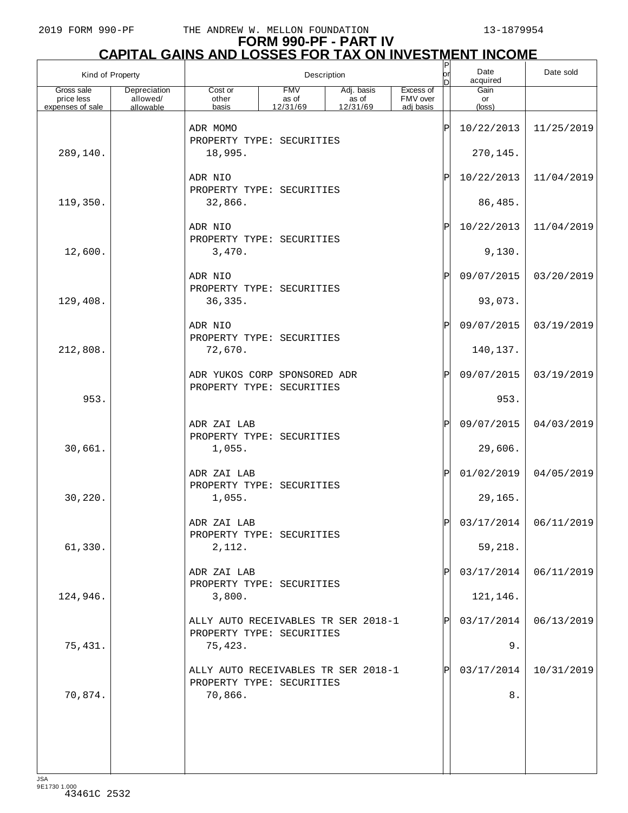|                          | Kind of Property         |                                                                  | Description         |                                           |                       |   | Date<br>acquired | Date sold  |
|--------------------------|--------------------------|------------------------------------------------------------------|---------------------|-------------------------------------------|-----------------------|---|------------------|------------|
| Gross sale<br>price less | Depreciation<br>allowed/ | Cost or<br>other                                                 | <b>FMV</b><br>as of | Adj. basis<br>as of<br>$\frac{12}{31/69}$ | Excess of<br>FMV over |   | Gain<br>or       |            |
| expenses of sale         | allowable                | basis                                                            | 12/31/69            |                                           | adi basis             |   | $(\text{loss})$  |            |
|                          |                          | ADR MOMO<br>PROPERTY TYPE: SECURITIES                            |                     |                                           |                       | Ρ | 10/22/2013       | 11/25/2019 |
| 289,140.                 |                          | 18,995.                                                          |                     |                                           |                       |   | 270,145.         |            |
|                          |                          | ADR NIO                                                          |                     |                                           |                       | P | 10/22/2013       | 11/04/2019 |
|                          |                          | PROPERTY TYPE: SECURITIES                                        |                     |                                           |                       |   |                  |            |
| 119,350.                 |                          | 32,866.                                                          |                     |                                           |                       |   | 86,485.          |            |
|                          |                          | ADR NIO                                                          |                     |                                           |                       | P | 10/22/2013       | 11/04/2019 |
| 12,600.                  |                          | PROPERTY TYPE: SECURITIES<br>3,470.                              |                     |                                           |                       |   | 9,130.           |            |
|                          |                          |                                                                  |                     |                                           |                       |   |                  |            |
|                          |                          | ADR NIO<br>PROPERTY TYPE: SECURITIES                             |                     |                                           |                       | Ρ | 09/07/2015       | 03/20/2019 |
| 129,408.                 |                          | 36,335.                                                          |                     |                                           |                       |   | 93,073.          |            |
|                          |                          | ADR NIO                                                          |                     |                                           |                       | P | 09/07/2015       | 03/19/2019 |
| 212,808.                 |                          | PROPERTY TYPE: SECURITIES<br>72,670.                             |                     |                                           |                       |   | 140,137.         |            |
|                          |                          |                                                                  |                     |                                           |                       |   |                  |            |
|                          |                          | ADR YUKOS CORP SPONSORED ADR<br>PROPERTY TYPE: SECURITIES        |                     |                                           |                       | P | 09/07/2015       | 03/19/2019 |
| 953.                     |                          |                                                                  |                     |                                           |                       |   | 953.             |            |
|                          |                          | ADR ZAI LAB                                                      |                     |                                           |                       | P | 09/07/2015       | 04/03/2019 |
|                          |                          | PROPERTY TYPE: SECURITIES                                        |                     |                                           |                       |   |                  |            |
| 30,661.                  |                          | 1,055.                                                           |                     |                                           |                       |   | 29,606.          |            |
|                          |                          | ADR ZAI LAB                                                      |                     |                                           |                       | P | 01/02/2019       | 04/05/2019 |
| 30,220.                  |                          | PROPERTY TYPE: SECURITIES<br>1,055.                              |                     |                                           |                       |   | 29,165.          |            |
|                          |                          | ADR ZAI LAB                                                      |                     |                                           |                       |   | 03/17/2014       | 06/11/2019 |
|                          |                          | PROPERTY TYPE: SECURITIES                                        |                     |                                           |                       |   |                  |            |
| 61,330.                  |                          | 2,112.                                                           |                     |                                           |                       |   | 59,218.          |            |
|                          |                          | ADR ZAI LAB                                                      |                     |                                           |                       | Ρ | 03/17/2014       | 06/11/2019 |
| 124,946.                 |                          | PROPERTY TYPE: SECURITIES<br>3,800.                              |                     |                                           |                       |   | 121,146.         |            |
|                          |                          |                                                                  |                     |                                           |                       |   |                  |            |
|                          |                          | ALLY AUTO RECEIVABLES TR SER 2018-1<br>PROPERTY TYPE: SECURITIES |                     |                                           |                       | Ρ | 03/17/2014       | 06/13/2019 |
| 75,431.                  |                          | 75,423.                                                          |                     |                                           |                       |   | 9.               |            |
|                          |                          | ALLY AUTO RECEIVABLES TR SER 2018-1                              |                     |                                           |                       | Ρ | 03/17/2014       | 10/31/2019 |
| 70,874.                  |                          | PROPERTY TYPE: SECURITIES<br>70,866.                             |                     |                                           |                       |   | 8.               |            |
|                          |                          |                                                                  |                     |                                           |                       |   |                  |            |
|                          |                          |                                                                  |                     |                                           |                       |   |                  |            |
|                          |                          |                                                                  |                     |                                           |                       |   |                  |            |
|                          |                          |                                                                  |                     |                                           |                       |   |                  |            |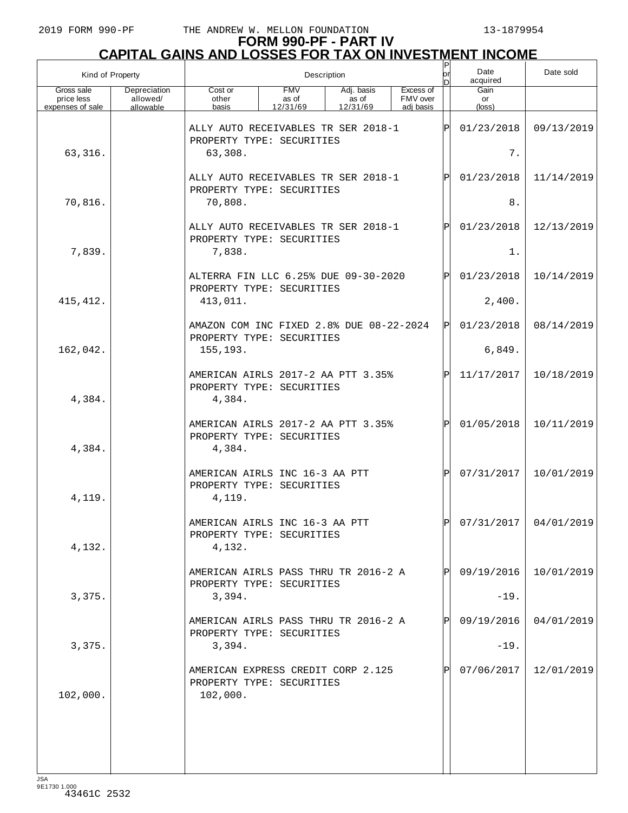| Kind of Property                             |                                       | Description                                                                 |                                 |                                 |                                    |            | Date<br>acquired     | Date sold               |
|----------------------------------------------|---------------------------------------|-----------------------------------------------------------------------------|---------------------------------|---------------------------------|------------------------------------|------------|----------------------|-------------------------|
| Gross sale<br>price less<br>expenses of sale | Depreciation<br>allowed/<br>allowable | Cost or<br>other<br>basis                                                   | <b>FMV</b><br>as of<br>12/31/69 | Adj. basis<br>as of<br>12/31/69 | Excess of<br>FMV over<br>adi basis |            | Gain<br>or<br>(loss) |                         |
|                                              |                                       | ALLY AUTO RECEIVABLES TR SER 2018-1<br>PROPERTY TYPE: SECURITIES            |                                 |                                 |                                    | ΙÞΙ        | 01/23/2018           | 09/13/2019              |
| 63,316.                                      |                                       | 63,308.                                                                     |                                 |                                 |                                    |            | 7.                   |                         |
|                                              |                                       | ALLY AUTO RECEIVABLES TR SER 2018-1<br>PROPERTY TYPE: SECURITIES            |                                 |                                 | ΙÞΙ                                | 01/23/2018 | 11/14/2019           |                         |
| 70,816.                                      |                                       | 70,808.                                                                     |                                 |                                 |                                    | 8.         |                      |                         |
|                                              |                                       | ALLY AUTO RECEIVABLES TR SER 2018-1<br>PROPERTY TYPE: SECURITIES            |                                 |                                 |                                    | ΙÞΙ        | 01/23/2018           | 12/13/2019              |
| 7,839.                                       |                                       | 7,838.                                                                      |                                 |                                 |                                    |            | 1.                   |                         |
|                                              |                                       | ALTERRA FIN LLC 6.25% DUE 09-30-2020<br>PROPERTY TYPE: SECURITIES           |                                 |                                 |                                    | ΙÞΙ        | 01/23/2018           | 10/14/2019              |
| 415, 412.                                    |                                       | 413,011.                                                                    |                                 |                                 |                                    |            | 2,400.               |                         |
|                                              |                                       | AMAZON COM INC FIXED 2.8% DUE 08-22-2024<br>PROPERTY TYPE: SECURITIES       |                                 |                                 |                                    | ΙÞΙ        | 01/23/2018           | 08/14/2019              |
| 162,042.                                     |                                       | 155, 193.                                                                   |                                 |                                 |                                    |            | 6,849.               |                         |
| 4,384.                                       |                                       | AMERICAN AIRLS 2017-2 AA PTT 3.35%<br>PROPERTY TYPE: SECURITIES<br>4,384.   |                                 |                                 |                                    | lPl        | 11/17/2017           | 10/18/2019              |
| 4,384.                                       |                                       | AMERICAN AIRLS 2017-2 AA PTT 3.35%<br>PROPERTY TYPE: SECURITIES<br>4,384.   |                                 |                                 |                                    | ΙÞΙ        | 01/05/2018           | 10/11/2019              |
| 4,119.                                       |                                       | AMERICAN AIRLS INC 16-3 AA PTT<br>PROPERTY TYPE: SECURITIES<br>4,119.       |                                 |                                 |                                    | lPl        | 07/31/2017           | 10/01/2019              |
| 4,132.                                       |                                       | AMERICAN AIRLS INC 16-3 AA PTT<br>PROPERTY TYPE: SECURITIES<br>4,132.       |                                 |                                 |                                    | lÞl        |                      | $07/31/2017$ 04/01/2019 |
|                                              |                                       | AMERICAN AIRLS PASS THRU TR 2016-2 A                                        |                                 |                                 |                                    | IPI.       | 09/19/2016           | 10/01/2019              |
| 3,375.                                       |                                       | PROPERTY TYPE: SECURITIES<br>3,394.                                         |                                 |                                 |                                    |            | $-19.$               |                         |
|                                              |                                       | AMERICAN AIRLS PASS THRU TR 2016-2 A<br>PROPERTY TYPE: SECURITIES           |                                 |                                 |                                    | IPI        | 09/19/2016           | 04/01/2019              |
| 3,375.                                       |                                       | 3,394.                                                                      |                                 |                                 |                                    |            | $-19.$               |                         |
| 102,000.                                     |                                       | AMERICAN EXPRESS CREDIT CORP 2.125<br>PROPERTY TYPE: SECURITIES<br>102,000. |                                 |                                 |                                    | IPI        | 07/06/2017           | 12/01/2019              |
|                                              |                                       |                                                                             |                                 |                                 |                                    |            |                      |                         |
|                                              |                                       |                                                                             |                                 |                                 |                                    |            |                      |                         |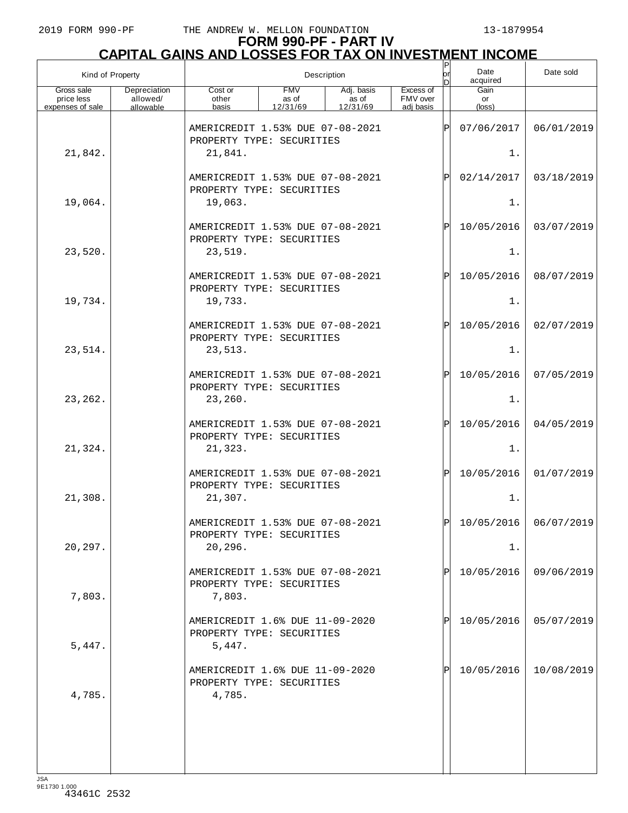| Kind of Property                             |                                       |                                                                          |                                                               | Description                     |                                    | or<br>n     | Date<br>acquired     | Date sold               |
|----------------------------------------------|---------------------------------------|--------------------------------------------------------------------------|---------------------------------------------------------------|---------------------------------|------------------------------------|-------------|----------------------|-------------------------|
| Gross sale<br>price less<br>expenses of sale | Depreciation<br>allowed/<br>allowable | Cost or<br>other<br>basis                                                | <b>FMV</b><br>as of<br>12/31/69                               | Adj. basis<br>as of<br>12/31/69 | Excess of<br>FMV over<br>adi basis |             | Gain<br>or<br>(loss) |                         |
| 21,842.                                      |                                       | AMERICREDIT 1.53% DUE 07-08-2021<br>PROPERTY TYPE: SECURITIES<br>21,841. |                                                               |                                 |                                    | Þ           | 07/06/2017<br>$1$ .  | 06/01/2019              |
|                                              |                                       | AMERICREDIT 1.53% DUE 07-08-2021<br>PROPERTY TYPE: SECURITIES            |                                                               |                                 | Ρ                                  | 02/14/2017  | 03/18/2019           |                         |
| 19,064.                                      |                                       | 19,063.                                                                  |                                                               |                                 |                                    | 1.          |                      |                         |
|                                              |                                       | AMERICREDIT 1.53% DUE 07-08-2021<br>PROPERTY TYPE: SECURITIES            |                                                               |                                 |                                    | $\mathbf P$ | 10/05/2016           | 03/07/2019              |
| 23,520.                                      |                                       | 23,519.                                                                  |                                                               |                                 |                                    |             | $1$ .                |                         |
| 19,734.                                      |                                       | AMERICREDIT 1.53% DUE 07-08-2021<br>PROPERTY TYPE: SECURITIES<br>19,733. |                                                               |                                 |                                    | $\mathbf P$ | 10/05/2016<br>$1$ .  | 08/07/2019              |
|                                              |                                       |                                                                          | AMERICREDIT 1.53% DUE 07-08-2021<br>PROPERTY TYPE: SECURITIES |                                 |                                    |             |                      | 02/07/2019              |
| 23,514.                                      |                                       | 23,513.                                                                  |                                                               |                                 |                                    |             | 1.                   |                         |
| 23, 262.                                     |                                       | AMERICREDIT 1.53% DUE 07-08-2021<br>PROPERTY TYPE: SECURITIES<br>23,260. |                                                               |                                 |                                    | Þ           | 10/05/2016<br>$1$ .  | 07/05/2019              |
|                                              |                                       | AMERICREDIT 1.53% DUE 07-08-2021                                         |                                                               |                                 |                                    | P           | 10/05/2016           | 04/05/2019              |
| 21,324.                                      |                                       | PROPERTY TYPE: SECURITIES<br>21,323.                                     |                                                               |                                 |                                    |             | 1.                   |                         |
| 21,308.                                      |                                       | AMERICREDIT 1.53% DUE 07-08-2021<br>PROPERTY TYPE: SECURITIES            |                                                               |                                 |                                    | ΙP          | 10/05/2016<br>$1$ .  | 01/07/2019              |
|                                              |                                       | 21,307.<br>AMERICREDIT 1.53% DUE 07-08-2021                              |                                                               |                                 |                                    | lÞI         |                      | $10/05/2016$ 06/07/2019 |
| 20,297.                                      |                                       | PROPERTY TYPE: SECURITIES<br>20, 296.                                    |                                                               |                                 |                                    |             | 1.                   |                         |
| 7,803.                                       |                                       | AMERICREDIT 1.53% DUE 07-08-2021<br>PROPERTY TYPE: SECURITIES<br>7,803.  |                                                               |                                 |                                    |             | 10/05/2016           | 09/06/2019              |
| 5,447.                                       |                                       | AMERICREDIT 1.6% DUE 11-09-2020<br>PROPERTY TYPE: SECURITIES<br>5,447.   |                                                               |                                 |                                    |             | 10/05/2016           | 05/07/2019              |
| 4,785.                                       |                                       | AMERICREDIT 1.6% DUE 11-09-2020<br>PROPERTY TYPE: SECURITIES<br>4,785.   |                                                               |                                 |                                    |             | 10/05/2016           | 10/08/2019              |
|                                              |                                       |                                                                          |                                                               |                                 |                                    |             |                      |                         |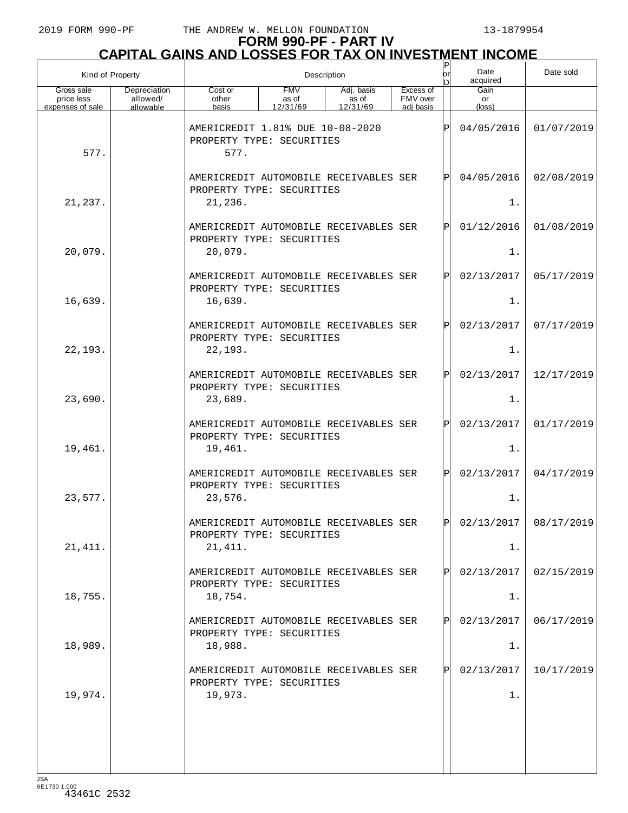| Kind of Property                             |                                       |                                                                                |                                 | Description                            |                                    | lor<br>n     | Date<br>acquired     | Date sold               |
|----------------------------------------------|---------------------------------------|--------------------------------------------------------------------------------|---------------------------------|----------------------------------------|------------------------------------|--------------|----------------------|-------------------------|
| Gross sale<br>price less<br>expenses of sale | Depreciation<br>allowed/<br>allowable | Cost or<br>other<br>basis                                                      | <b>FMV</b><br>as of<br>12/31/69 | Adj. basis<br>as of<br>12/31/69        | Excess of<br>FMV over<br>adi basis |              | Gain<br>or<br>(loss) |                         |
| 577.                                         |                                       | AMERICREDIT 1.81% DUE 10-08-2020<br>PROPERTY TYPE: SECURITIES<br>577.          |                                 |                                        | Þ                                  | 04/05/2016   | 01/07/2019           |                         |
|                                              |                                       | AMERICREDIT AUTOMOBILE RECEIVABLES SER<br>PROPERTY TYPE: SECURITIES            |                                 |                                        | P                                  | 04/05/2016   | 02/08/2019           |                         |
| 21,237.                                      |                                       | 21,236.                                                                        |                                 |                                        |                                    |              | 1.                   |                         |
| 20,079.                                      |                                       | PROPERTY TYPE: SECURITIES<br>20,079.                                           |                                 | AMERICREDIT AUTOMOBILE RECEIVABLES SER |                                    | P            | 01/12/2016<br>1.     | 01/08/2019              |
|                                              |                                       |                                                                                |                                 |                                        |                                    |              |                      |                         |
| 16,639.                                      |                                       | AMERICREDIT AUTOMOBILE RECEIVABLES SER<br>PROPERTY TYPE: SECURITIES<br>16,639. |                                 |                                        |                                    | P            | 02/13/2017<br>$1$ .  | 05/17/2019              |
|                                              |                                       |                                                                                |                                 |                                        |                                    |              |                      |                         |
| 22,193.                                      |                                       | AMERICREDIT AUTOMOBILE RECEIVABLES SER<br>PROPERTY TYPE: SECURITIES<br>22,193. |                                 |                                        |                                    | P            | 02/13/2017<br>1.     | 07/17/2019              |
|                                              |                                       |                                                                                |                                 |                                        |                                    |              |                      |                         |
| 23,690.                                      |                                       | PROPERTY TYPE: SECURITIES<br>23,689.                                           |                                 | AMERICREDIT AUTOMOBILE RECEIVABLES SER |                                    | P            | 02/13/2017<br>$1$ .  | 12/17/2019              |
|                                              |                                       |                                                                                |                                 |                                        |                                    |              |                      |                         |
|                                              |                                       | AMERICREDIT AUTOMOBILE RECEIVABLES SER<br>PROPERTY TYPE: SECURITIES            |                                 |                                        |                                    | P            | 02/13/2017           | 01/17/2019              |
| 19,461.                                      |                                       | 19,461.                                                                        |                                 |                                        |                                    |              | 1.                   |                         |
|                                              |                                       | PROPERTY TYPE: SECURITIES                                                      |                                 | AMERICREDIT AUTOMOBILE RECEIVABLES SER |                                    | $\mathbf{P}$ | 02/13/2017           | 04/17/2019              |
| 23,577.                                      |                                       | 23,576.                                                                        |                                 |                                        |                                    |              | 1.                   |                         |
|                                              |                                       | PROPERTY TYPE: SECURITIES                                                      |                                 | AMERICREDIT AUTOMOBILE RECEIVABLES SER |                                    | lÞI          |                      | $02/13/2017$ 08/17/2019 |
| 21, 411.                                     |                                       | 21, 411.                                                                       |                                 |                                        |                                    |              | 1.                   |                         |
|                                              |                                       | PROPERTY TYPE: SECURITIES                                                      |                                 | AMERICREDIT AUTOMOBILE RECEIVABLES SER |                                    | P            | 02/13/2017           | 02/15/2019              |
| 18,755.                                      |                                       | 18,754.                                                                        |                                 |                                        |                                    |              | 1.                   |                         |
|                                              |                                       | PROPERTY TYPE: SECURITIES                                                      |                                 | AMERICREDIT AUTOMOBILE RECEIVABLES SER |                                    | P            | 02/13/2017           | 06/17/2019              |
| 18,989.                                      |                                       | 18,988.                                                                        |                                 |                                        |                                    |              | 1.                   |                         |
|                                              |                                       | AMERICREDIT AUTOMOBILE RECEIVABLES SER<br>PROPERTY TYPE: SECURITIES            |                                 |                                        |                                    |              | 02/13/2017           | 10/17/2019              |
| 19,974.                                      |                                       | 19,973.                                                                        |                                 |                                        |                                    |              | $1$ .                |                         |
|                                              |                                       |                                                                                |                                 |                                        |                                    |              |                      |                         |
|                                              |                                       |                                                                                |                                 |                                        |                                    |              |                      |                         |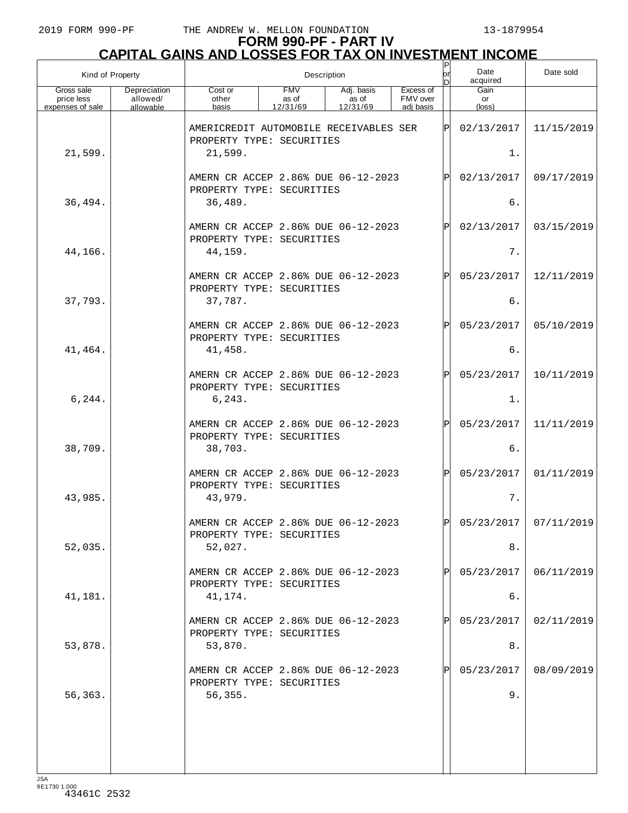| Kind of Property                             |                                       | $\sf P$<br>Date<br>lor<br>Description<br>acquired<br>n                         |                                 |                                 |                                    |     |                               | Date sold               |
|----------------------------------------------|---------------------------------------|--------------------------------------------------------------------------------|---------------------------------|---------------------------------|------------------------------------|-----|-------------------------------|-------------------------|
| Gross sale<br>price less<br>expenses of sale | Depreciation<br>allowed/<br>allowable | Cost or<br>other<br>basis                                                      | <b>FMV</b><br>as of<br>12/31/69 | Adj. basis<br>as of<br>12/31/69 | Excess of<br>FMV over<br>adi basis |     | Gain<br>or<br>$(\text{loss})$ |                         |
| 21,599.                                      |                                       | AMERICREDIT AUTOMOBILE RECEIVABLES SER<br>PROPERTY TYPE: SECURITIES<br>21,599. |                                 |                                 |                                    | ΙP  | 02/13/2017<br>1.              | 11/15/2019              |
|                                              |                                       | AMERN CR ACCEP 2.86% DUE 06-12-2023<br>PROPERTY TYPE: SECURITIES               |                                 |                                 |                                    | P   | 02/13/2017                    | 09/17/2019              |
| 36,494.                                      |                                       | 36,489.                                                                        |                                 |                                 |                                    |     | б.                            |                         |
| 44,166.                                      |                                       | AMERN CR ACCEP 2.86% DUE 06-12-2023<br>PROPERTY TYPE: SECURITIES<br>44,159.    |                                 |                                 |                                    | P   | 02/13/2017<br>7.              | 03/15/2019              |
|                                              |                                       | AMERN CR ACCEP 2.86% DUE 06-12-2023<br>PROPERTY TYPE: SECURITIES               |                                 |                                 |                                    | P   | 05/23/2017                    | 12/11/2019              |
| 37,793.                                      |                                       | 37,787.                                                                        |                                 |                                 |                                    |     | 6.                            |                         |
| 41,464.                                      |                                       | AMERN CR ACCEP 2.86% DUE 06-12-2023<br>PROPERTY TYPE: SECURITIES<br>41,458.    |                                 |                                 |                                    | P   | 05/23/2017<br>б.              | 05/10/2019              |
|                                              |                                       |                                                                                |                                 |                                 |                                    |     |                               |                         |
| 6,244.                                       |                                       | AMERN CR ACCEP 2.86% DUE 06-12-2023<br>PROPERTY TYPE: SECURITIES<br>6, 243.    |                                 |                                 |                                    | P   | 05/23/2017<br>1.              | 10/11/2019              |
|                                              |                                       | AMERN CR ACCEP 2.86% DUE 06-12-2023<br>PROPERTY TYPE: SECURITIES               |                                 |                                 |                                    | P   | 05/23/2017                    | 11/11/2019              |
| 38,709.                                      |                                       | 38,703.                                                                        |                                 |                                 |                                    |     | б.                            |                         |
| 43,985.                                      |                                       | AMERN CR ACCEP 2.86% DUE 06-12-2023<br>PROPERTY TYPE: SECURITIES<br>43,979.    |                                 |                                 |                                    | P   | 05/23/2017<br>7.              | 01/11/2019              |
|                                              |                                       | AMERN CR ACCEP 2.86% DUE 06-12-2023<br>PROPERTY TYPE: SECURITIES               |                                 |                                 |                                    | ldl |                               | $05/23/2017$ 07/11/2019 |
| 52,035.                                      |                                       | 52,027.                                                                        |                                 |                                 |                                    |     | 8.                            |                         |
|                                              |                                       | AMERN CR ACCEP 2.86% DUE 06-12-2023<br>PROPERTY TYPE: SECURITIES               |                                 |                                 |                                    |     | 05/23/2017<br>б.              | 06/11/2019              |
| 41,181.                                      |                                       | 41,174.                                                                        |                                 |                                 |                                    |     |                               |                         |
| 53,878.                                      |                                       | AMERN CR ACCEP 2.86% DUE 06-12-2023<br>PROPERTY TYPE: SECURITIES<br>53,870.    |                                 |                                 |                                    |     | 05/23/2017<br>8.              | 02/11/2019              |
|                                              |                                       | AMERN CR ACCEP 2.86% DUE 06-12-2023<br>PROPERTY TYPE: SECURITIES               |                                 |                                 |                                    |     | 05/23/2017                    | 08/09/2019              |
| 56,363.                                      |                                       | 56, 355.                                                                       |                                 |                                 |                                    |     | 9.                            |                         |
|                                              |                                       |                                                                                |                                 |                                 |                                    |     |                               |                         |
|                                              |                                       |                                                                                |                                 |                                 |                                    |     |                               |                         |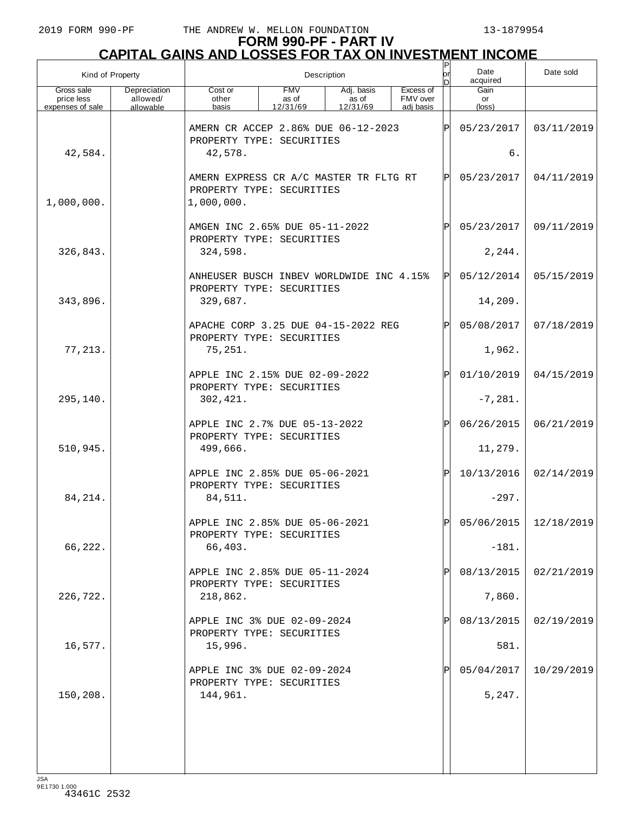| Kind of Property                             |                                       | Description                                                                       |                                 |                                 |                                    |              | Date<br>acquired     | Date sold               |
|----------------------------------------------|---------------------------------------|-----------------------------------------------------------------------------------|---------------------------------|---------------------------------|------------------------------------|--------------|----------------------|-------------------------|
| Gross sale<br>price less<br>expenses of sale | Depreciation<br>allowed/<br>allowable | Cost or<br>other<br>basis                                                         | <b>FMV</b><br>as of<br>12/31/69 | Adj. basis<br>as of<br>12/31/69 | Excess of<br>FMV over<br>adi basis |              | Gain<br>or<br>(loss) |                         |
|                                              |                                       | AMERN CR ACCEP 2.86% DUE 06-12-2023<br>PROPERTY TYPE: SECURITIES                  |                                 |                                 |                                    | ΙPΙ          | 05/23/2017           | 03/11/2019              |
| 42,584.                                      |                                       | 42,578.                                                                           |                                 |                                 |                                    | б.           |                      |                         |
| 1,000,000.                                   |                                       | AMERN EXPRESS CR A/C MASTER TR FLTG RT<br>PROPERTY TYPE: SECURITIES<br>1,000,000. |                                 |                                 | lPl                                | 05/23/2017   | 04/11/2019           |                         |
|                                              |                                       | AMGEN INC 2.65% DUE 05-11-2022<br>PROPERTY TYPE: SECURITIES                       |                                 |                                 |                                    | ΙÞΙ          | 05/23/2017           | 09/11/2019              |
| 326,843.                                     |                                       | 324,598.                                                                          |                                 |                                 |                                    |              | 2, 244.              |                         |
|                                              |                                       | ANHEUSER BUSCH INBEV WORLDWIDE INC 4.15%<br>PROPERTY TYPE: SECURITIES             |                                 |                                 |                                    | ΙPΙ          | 05/12/2014           | 05/15/2019              |
| 343,896.                                     |                                       | 329,687.                                                                          |                                 |                                 |                                    |              | 14,209.              |                         |
|                                              |                                       | APACHE CORP 3.25 DUE 04-15-2022 REG<br>PROPERTY TYPE: SECURITIES                  |                                 |                                 |                                    | ΙPΙ          | 05/08/2017           | 07/18/2019              |
| 77,213.                                      |                                       | 75,251.                                                                           |                                 |                                 |                                    |              | 1,962.               |                         |
|                                              |                                       | APPLE INC 2.15% DUE 02-09-2022<br>PROPERTY TYPE: SECURITIES                       |                                 |                                 |                                    | ΙPΙ          | 01/10/2019           | 04/15/2019              |
| 295,140.                                     |                                       | 302, 421.                                                                         |                                 |                                 |                                    |              | $-7, 281.$           |                         |
|                                              |                                       | APPLE INC 2.7% DUE 05-13-2022<br>PROPERTY TYPE: SECURITIES                        |                                 |                                 |                                    | ΙÞΙ          | 06/26/2015           | 06/21/2019              |
| 510,945.                                     |                                       | 499,666.                                                                          |                                 |                                 |                                    |              | 11,279.              |                         |
|                                              |                                       | APPLE INC 2.85% DUE 05-06-2021<br>PROPERTY TYPE: SECURITIES                       |                                 |                                 |                                    | ΙÞΙ          | 10/13/2016           | 02/14/2019              |
| 84, 214.                                     |                                       | 84,511.                                                                           |                                 |                                 |                                    |              | $-297.$              |                         |
|                                              |                                       | APPLE INC 2.85% DUE 05-06-2021<br>PROPERTY TYPE: SECURITIES                       |                                 |                                 |                                    | Þl           |                      | 05/06/2015   12/18/2019 |
| 66,222.                                      |                                       | 66,403.                                                                           |                                 |                                 |                                    |              | $-181.$              |                         |
|                                              |                                       | APPLE INC 2.85% DUE 05-11-2024<br>PROPERTY TYPE: SECURITIES                       |                                 |                                 |                                    | $\mathsf{P}$ | 08/13/2015           | 02/21/2019              |
| 226,722.                                     |                                       | 218,862.                                                                          |                                 |                                 |                                    |              | 7,860.               |                         |
|                                              |                                       | APPLE INC 3% DUE 02-09-2024<br>PROPERTY TYPE: SECURITIES                          |                                 |                                 |                                    | P            | 08/13/2015           | 02/19/2019              |
| 16,577.                                      |                                       | 15,996.                                                                           |                                 |                                 |                                    |              | 581.                 |                         |
|                                              |                                       | APPLE INC 3% DUE 02-09-2024<br>PROPERTY TYPE: SECURITIES                          |                                 |                                 |                                    | P            | 05/04/2017           | 10/29/2019              |
| 150,208.                                     |                                       | 144,961.                                                                          |                                 |                                 |                                    |              | 5,247.               |                         |
|                                              |                                       |                                                                                   |                                 |                                 |                                    |              |                      |                         |
|                                              |                                       |                                                                                   |                                 |                                 |                                    |              |                      |                         |
| 194                                          |                                       |                                                                                   |                                 |                                 |                                    |              |                      |                         |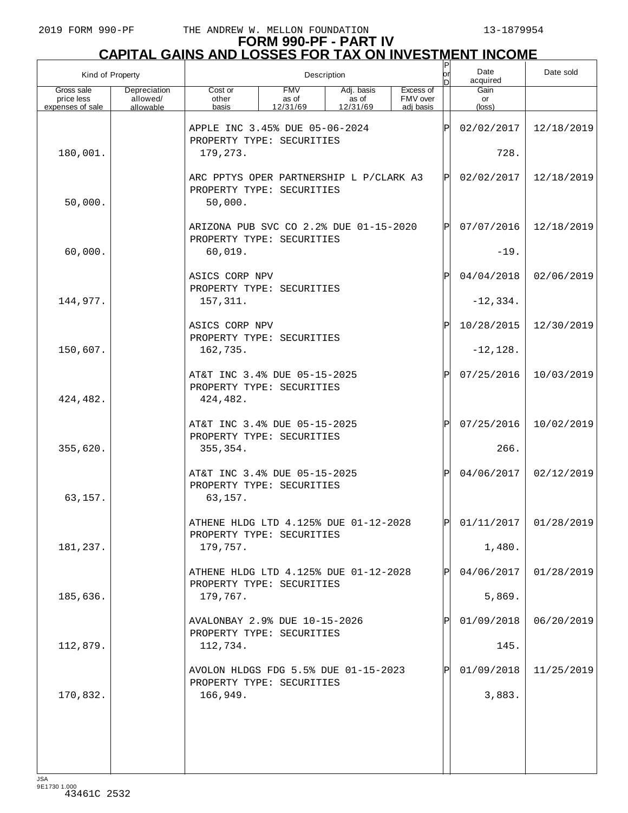#### **FORM 990-PF - PART IV CAPITAL GAINS AND LOSSES FOR TAX ON INVESTMENT INCOME**

| Kind of Property                             |                                       |                                                                       |                                                                      | Description                     |                                    | $\sf P$<br>or | Date<br>acquired              | Date sold               |
|----------------------------------------------|---------------------------------------|-----------------------------------------------------------------------|----------------------------------------------------------------------|---------------------------------|------------------------------------|---------------|-------------------------------|-------------------------|
| Gross sale<br>price less<br>expenses of sale | Depreciation<br>allowed/<br>allowable | Cost or<br>other<br>basis                                             | <b>FMV</b><br>as of<br>12/31/69                                      | Adj. basis<br>as of<br>12/31/69 | Excess of<br>FMV over<br>adi basis |               | Gain<br>or<br>$(\text{loss})$ |                         |
|                                              |                                       | APPLE INC 3.45% DUE 05-06-2024<br>PROPERTY TYPE: SECURITIES           |                                                                      |                                 |                                    | ΙÞΙ           | 02/02/2017                    | 12/18/2019              |
| 180,001.                                     |                                       | 179,273.                                                              |                                                                      |                                 |                                    |               | 728.                          |                         |
| 50,000.                                      |                                       | 50,000.                                                               | ARC PPTYS OPER PARTNERSHIP L P/CLARK A3<br>PROPERTY TYPE: SECURITIES |                                 |                                    |               |                               | 12/18/2019              |
|                                              |                                       | ARIZONA PUB SVC CO 2.2% DUE 01-15-2020<br>PROPERTY TYPE: SECURITIES   |                                                                      |                                 |                                    | ΙÞΙ           | 07/07/2016                    | 12/18/2019              |
| 60,000.                                      |                                       | 60,019.                                                               |                                                                      |                                 |                                    |               | $-19.$                        |                         |
|                                              |                                       | ASICS CORP NPV<br>PROPERTY TYPE: SECURITIES                           |                                                                      |                                 |                                    | ΙÞΙ           | 04/04/2018                    | 02/06/2019              |
| 144,977.                                     |                                       | 157,311.                                                              |                                                                      |                                 |                                    |               | $-12, 334.$                   |                         |
|                                              |                                       | ASICS CORP NPV<br>PROPERTY TYPE: SECURITIES                           |                                                                      |                                 |                                    | ΙÞΙ           | 10/28/2015                    | 12/30/2019              |
| 150,607.                                     |                                       | 162,735.                                                              |                                                                      |                                 |                                    |               | $-12, 128.$                   |                         |
| 424,482.                                     |                                       | AT&T INC 3.4% DUE 05-15-2025<br>PROPERTY TYPE: SECURITIES<br>424,482. |                                                                      |                                 |                                    | ΙÞΙ           | 07/25/2016                    | 10/03/2019              |
|                                              |                                       | AT&T INC 3.4% DUE 05-15-2025<br>PROPERTY TYPE: SECURITIES             |                                                                      |                                 |                                    | ΙÞΙ           | 07/25/2016                    | 10/02/2019              |
| 355,620.                                     |                                       | 355, 354.                                                             |                                                                      |                                 |                                    |               | 266.                          |                         |
| 63,157.                                      |                                       | AT&T INC 3.4% DUE 05-15-2025<br>PROPERTY TYPE: SECURITIES<br>63,157.  |                                                                      |                                 |                                    | Pl            | 04/06/2017                    | 02/12/2019              |
|                                              |                                       | ATHENE HLDG LTD 4.125% DUE 01-12-2028<br>PROPERTY TYPE: SECURITIES    |                                                                      |                                 |                                    | lol           |                               | $01/11/2017$ 01/28/2019 |
| 181,237.                                     |                                       | 179,757.                                                              |                                                                      |                                 |                                    |               | 1,480.                        |                         |
|                                              |                                       | ATHENE HLDG LTD 4.125% DUE 01-12-2028<br>PROPERTY TYPE: SECURITIES    |                                                                      |                                 |                                    | $\mathbf{P}$  | 04/06/2017                    | 01/28/2019              |
| 185,636.                                     |                                       | 179,767.                                                              |                                                                      |                                 |                                    |               | 5,869.                        |                         |
|                                              |                                       | AVALONBAY 2.9% DUE 10-15-2026<br>PROPERTY TYPE: SECURITIES            |                                                                      |                                 |                                    | $\mathbf{P}$  | 01/09/2018                    | 06/20/2019              |
| 112,879.                                     |                                       | 112,734.                                                              |                                                                      |                                 |                                    |               | 145.                          |                         |
|                                              |                                       | AVOLON HLDGS FDG 5.5% DUE 01-15-2023<br>PROPERTY TYPE: SECURITIES     |                                                                      |                                 |                                    | IPI           | 01/09/2018                    | 11/25/2019              |
| 170,832.                                     |                                       | 166,949.                                                              |                                                                      |                                 |                                    |               | 3,883.                        |                         |
|                                              |                                       |                                                                       |                                                                      |                                 |                                    |               |                               |                         |
|                                              |                                       |                                                                       |                                                                      |                                 |                                    |               |                               |                         |
|                                              |                                       |                                                                       |                                                                      |                                 |                                    |               |                               |                         |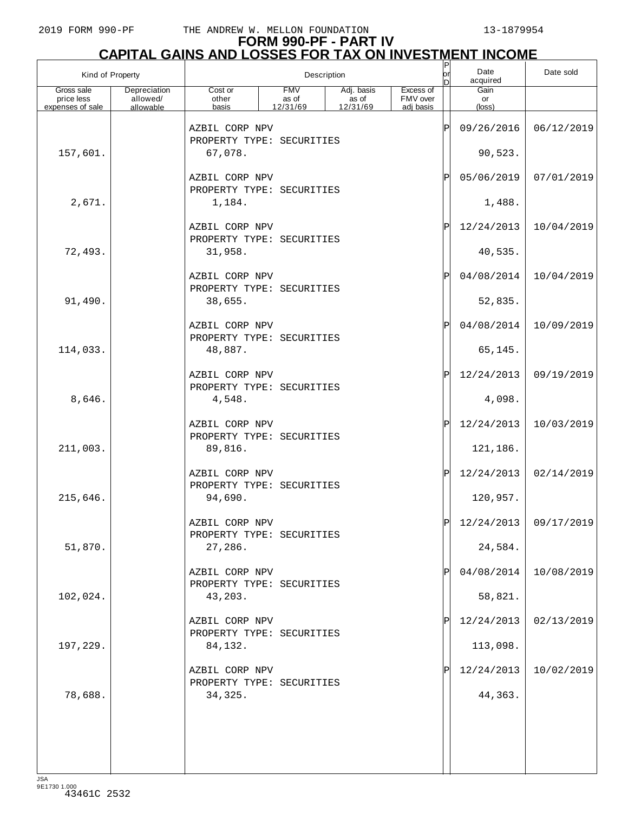#### **FORM 990-PF - PART IV CAPITAL GAINS AND LOSSES FOR TAX ON INVESTMENT INCOME**

|                                              | Kind of Property                      |                                                        |                                 | Description                                   |                                    | P<br> or<br>n | Date<br>acquired              | Date sold               |
|----------------------------------------------|---------------------------------------|--------------------------------------------------------|---------------------------------|-----------------------------------------------|------------------------------------|---------------|-------------------------------|-------------------------|
| Gross sale<br>price less<br>expenses of sale | Depreciation<br>allowed/<br>allowable | Cost or<br>other<br>basis                              | <b>FMV</b><br>as of<br>12/31/69 | Adj. basis<br>$\frac{1}{2}$ as of<br>12/31/69 | Excess of<br>FMV over<br>adj basis |               | Gain<br>or<br>$(\text{loss})$ |                         |
|                                              |                                       | AZBIL CORP NPV<br>PROPERTY TYPE: SECURITIES            |                                 |                                               |                                    | ΙP            | 09/26/2016                    | 06/12/2019              |
| 157,601.                                     |                                       | 67,078.                                                |                                 |                                               |                                    |               | 90,523.                       |                         |
|                                              |                                       | AZBIL CORP NPV<br>PROPERTY TYPE: SECURITIES            |                                 |                                               |                                    | ΙP            | 05/06/2019                    | 07/01/2019              |
| 2,671.                                       |                                       | 1,184.                                                 |                                 |                                               |                                    |               | 1,488.                        |                         |
|                                              |                                       | AZBIL CORP NPV<br>PROPERTY TYPE: SECURITIES            |                                 |                                               |                                    | ΙP            | 12/24/2013                    | 10/04/2019              |
| 72,493.                                      |                                       | 31,958.                                                |                                 |                                               |                                    |               | 40,535.                       |                         |
|                                              |                                       | AZBIL CORP NPV<br>PROPERTY TYPE: SECURITIES            |                                 |                                               |                                    | ΙP            | 04/08/2014                    | 10/04/2019              |
| 91,490.                                      |                                       | 38,655.                                                |                                 |                                               |                                    |               | 52,835.                       |                         |
|                                              |                                       | AZBIL CORP NPV<br>PROPERTY TYPE: SECURITIES            |                                 |                                               |                                    | ΙP            | 04/08/2014                    | 10/09/2019              |
| 114,033.                                     |                                       | 48,887.                                                |                                 |                                               |                                    |               | 65,145.                       |                         |
|                                              |                                       | AZBIL CORP NPV<br>PROPERTY TYPE: SECURITIES            |                                 |                                               |                                    | ΙP            | 12/24/2013                    | 09/19/2019              |
| 8,646.                                       |                                       | 4,548.                                                 |                                 |                                               |                                    |               | 4,098.                        |                         |
| 211,003.                                     |                                       | AZBIL CORP NPV<br>PROPERTY TYPE: SECURITIES<br>89,816. |                                 |                                               |                                    | ΙP            | 12/24/2013<br>121,186.        | 10/03/2019              |
|                                              |                                       |                                                        |                                 |                                               |                                    |               |                               |                         |
|                                              |                                       | AZBIL CORP NPV<br>PROPERTY TYPE: SECURITIES            |                                 |                                               |                                    | ΙP            | 12/24/2013                    | 02/14/2019              |
| 215,646.                                     |                                       | 94,690.                                                |                                 |                                               |                                    |               | 120,957.                      |                         |
|                                              |                                       | AZBIL CORP NPV<br>PROPERTY TYPE: SECURITIES            |                                 |                                               |                                    |               |                               | $12/24/2013$ 09/17/2019 |
| 51,870.                                      |                                       | 27,286.                                                |                                 |                                               |                                    |               | 24,584.                       |                         |
|                                              |                                       | AZBIL CORP NPV<br>PROPERTY TYPE: SECURITIES            |                                 |                                               |                                    | IP            | 04/08/2014                    | 10/08/2019              |
| 102,024.                                     |                                       | 43,203.                                                |                                 |                                               |                                    |               | 58,821.                       |                         |
|                                              |                                       | AZBIL CORP NPV<br>PROPERTY TYPE: SECURITIES            |                                 |                                               |                                    |               | 12/24/2013                    | 02/13/2019              |
| 197,229.                                     |                                       | 84,132.                                                |                                 |                                               |                                    |               | 113,098.                      |                         |
|                                              |                                       | AZBIL CORP NPV<br>PROPERTY TYPE: SECURITIES            |                                 |                                               |                                    |               | 12/24/2013                    | 10/02/2019              |
| 78,688.                                      |                                       | 34,325.                                                |                                 |                                               |                                    |               | 44,363.                       |                         |
|                                              |                                       |                                                        |                                 |                                               |                                    |               |                               |                         |
|                                              |                                       |                                                        |                                 |                                               |                                    |               |                               |                         |
|                                              |                                       |                                                        |                                 |                                               |                                    |               |                               |                         |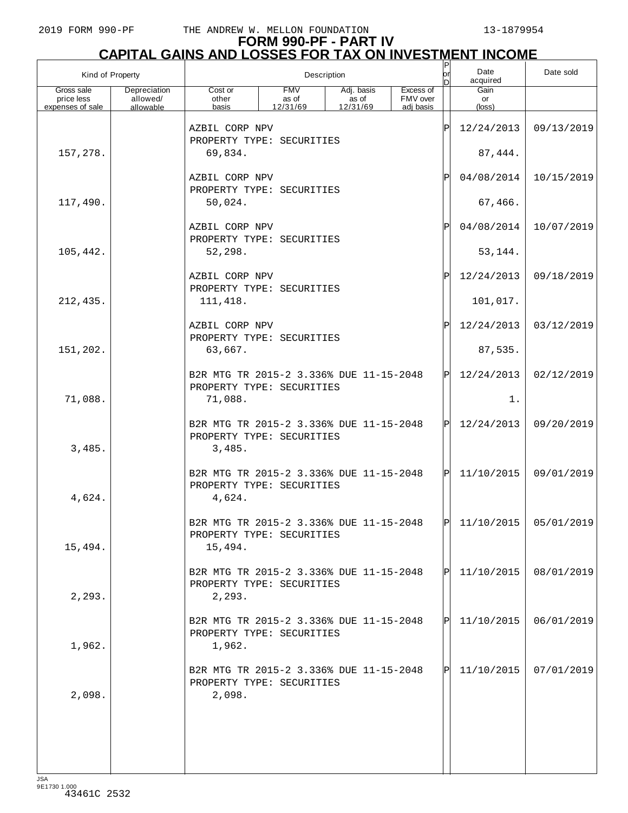|                          | Kind of Property         |                                                                                 |                     | Description         |                       | P<br>lor | Date<br>acquired        | Date sold  |
|--------------------------|--------------------------|---------------------------------------------------------------------------------|---------------------|---------------------|-----------------------|----------|-------------------------|------------|
| Gross sale<br>price less | Depreciation<br>allowed/ | Cost or<br>other                                                                | <b>FMV</b><br>as of | Adj. basis<br>as of | Excess of<br>FMV over |          | Gain<br>or              |            |
| expenses of sale         | allowable                | basis                                                                           | 12/31/69            | 12/31/69            | adj basis             |          | $(\text{loss})$         |            |
|                          |                          | AZBIL CORP NPV<br>PROPERTY TYPE: SECURITIES                                     |                     |                     |                       | ΙP       | 12/24/2013              | 09/13/2019 |
| 157,278.                 |                          | 69,834.                                                                         |                     |                     |                       |          | 87,444.                 |            |
|                          |                          | AZBIL CORP NPV<br>PROPERTY TYPE: SECURITIES                                     |                     |                     |                       | Ρ        | 04/08/2014              | 10/15/2019 |
| 117,490.                 |                          | 50,024.                                                                         |                     |                     |                       |          | 67,466.                 |            |
|                          |                          | AZBIL CORP NPV<br>PROPERTY TYPE: SECURITIES                                     |                     |                     |                       | Ρ        | 04/08/2014              | 10/07/2019 |
| 105,442.                 |                          | 52,298.                                                                         |                     |                     |                       |          | 53,144.                 |            |
|                          |                          | AZBIL CORP NPV<br>PROPERTY TYPE: SECURITIES                                     |                     |                     |                       | P        | 12/24/2013              | 09/18/2019 |
| 212,435.                 |                          | 111,418.                                                                        |                     |                     |                       |          | 101,017.                |            |
|                          |                          | AZBIL CORP NPV<br>PROPERTY TYPE: SECURITIES                                     |                     |                     |                       | Ρ        | 12/24/2013              | 03/12/2019 |
| 151,202.                 |                          | 63,667.                                                                         |                     |                     |                       |          | 87,535.                 |            |
|                          |                          | B2R MTG TR 2015-2 3.336% DUE 11-15-2048<br>PROPERTY TYPE: SECURITIES            |                     |                     |                       | ΙPΙ      | 12/24/2013              | 02/12/2019 |
| 71,088.                  |                          | 71,088.                                                                         |                     |                     |                       |          | 1.                      |            |
| 3,485.                   |                          | B2R MTG TR 2015-2 3.336% DUE 11-15-2048<br>PROPERTY TYPE: SECURITIES<br>3,485.  |                     |                     |                       | ΙPΙ      | 12/24/2013              | 09/20/2019 |
| 4,624.                   |                          | B2R MTG TR 2015-2 3.336% DUE 11-15-2048<br>PROPERTY TYPE: SECURITIES<br>4,624.  |                     |                     |                       | ΙPΙ      | 11/10/2015              | 09/01/2019 |
| 15,494.                  |                          | B2R MTG TR 2015-2 3.336% DUE 11-15-2048<br>PROPERTY TYPE: SECURITIES<br>15,494. |                     |                     |                       | احا      | $11/10/2015$ 05/01/2019 |            |
| 2, 293.                  |                          | B2R MTG TR 2015-2 3.336% DUE 11-15-2048<br>PROPERTY TYPE: SECURITIES<br>2,293.  |                     |                     |                       | ΙPΙ      | 11/10/2015              | 08/01/2019 |
| 1,962.                   |                          | B2R MTG TR 2015-2 3.336% DUE 11-15-2048<br>PROPERTY TYPE: SECURITIES<br>1,962.  |                     |                     |                       | ΙЫ       | 11/10/2015              | 06/01/2019 |
| 2,098.                   |                          | B2R MTG TR 2015-2 3.336% DUE 11-15-2048<br>PROPERTY TYPE: SECURITIES<br>2,098.  |                     |                     |                       | ΙPΙ      | 11/10/2015              | 07/01/2019 |
|                          |                          |                                                                                 |                     |                     |                       |          |                         |            |
|                          |                          |                                                                                 |                     |                     |                       |          |                         |            |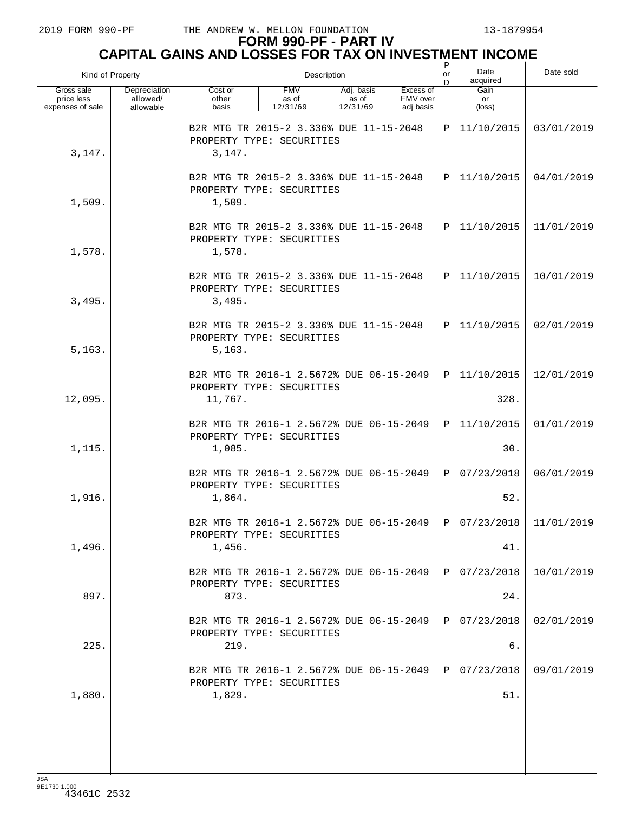## **FORM 990-PF - PART IV CAPITAL GAINS AND LOSSES FOR TAX ON INVESTMENT INCOME** P

| Kind of Property                             |                                       |                                                                                 | Description                     |                                 |                                    | or<br>In.  | Date<br>Date sold<br>acquired          |            |  |  |
|----------------------------------------------|---------------------------------------|---------------------------------------------------------------------------------|---------------------------------|---------------------------------|------------------------------------|------------|----------------------------------------|------------|--|--|
| Gross sale<br>price less<br>expenses of sale | Depreciation<br>allowed/<br>allowable | Cost or<br>other<br>basis                                                       | <b>FMV</b><br>as of<br>12/31/69 | Adj. basis<br>as of<br>12/31/69 | Excess of<br>FMV over<br>adi basis |            | Gain<br>or<br>$(\text{loss})$          |            |  |  |
| 3,147.                                       |                                       | B2R MTG TR 2015-2 3.336% DUE 11-15-2048<br>PROPERTY TYPE: SECURITIES<br>3,147.  |                                 |                                 | ΙP                                 | 11/10/2015 | 03/01/2019                             |            |  |  |
| 1,509.                                       |                                       | B2R MTG TR 2015-2 3.336% DUE 11-15-2048<br>PROPERTY TYPE: SECURITIES<br>1,509.  |                                 |                                 | ΙP                                 | 11/10/2015 | 04/01/2019                             |            |  |  |
| 1,578.                                       |                                       | B2R MTG TR 2015-2 3.336% DUE 11-15-2048<br>PROPERTY TYPE: SECURITIES<br>1,578.  |                                 |                                 |                                    | ΙP         | 11/10/2015                             | 11/01/2019 |  |  |
| 3,495.                                       |                                       | B2R MTG TR 2015-2 3.336% DUE 11-15-2048<br>PROPERTY TYPE: SECURITIES<br>3,495.  |                                 |                                 |                                    | ΙP         | 11/10/2015                             | 10/01/2019 |  |  |
| 5, 163.                                      |                                       | B2R MTG TR 2015-2 3.336% DUE 11-15-2048<br>PROPERTY TYPE: SECURITIES<br>5, 163. |                                 |                                 |                                    | ΙP         | 11/10/2015                             | 02/01/2019 |  |  |
|                                              |                                       | B2R MTG TR 2016-1 2.5672% DUE 06-15-2049<br>PROPERTY TYPE: SECURITIES           |                                 |                                 |                                    | ΙP         | 11/10/2015                             | 12/01/2019 |  |  |
| 12,095.                                      |                                       | 11,767.                                                                         |                                 |                                 |                                    |            | 328.                                   |            |  |  |
| 1,115.                                       |                                       | B2R MTG TR 2016-1 2.5672% DUE 06-15-2049<br>PROPERTY TYPE: SECURITIES<br>1,085. |                                 |                                 |                                    | ΙPΙ        | 11/10/2015<br>30.                      | 01/01/2019 |  |  |
|                                              |                                       | B2R MTG TR 2016-1 2.5672% DUE 06-15-2049<br>PROPERTY TYPE: SECURITIES           |                                 |                                 |                                    | ΙPΙ        | 07/23/2018                             | 06/01/2019 |  |  |
| 1,916.                                       |                                       | 1,864.                                                                          |                                 |                                 |                                    |            | 52.                                    |            |  |  |
| 1,496.                                       |                                       | B2R MTG TR 2016-1 2.5672% DUE 06-15-2049<br>PROPERTY TYPE: SECURITIES<br>1,456. |                                 |                                 |                                    |            | $ P $ 07/23/2018 $ $ 11/01/2019<br>41. |            |  |  |
|                                              |                                       | B2R MTG TR 2016-1 2.5672% DUE 06-15-2049                                        |                                 |                                 |                                    | IPI        | 07/23/2018                             | 10/01/2019 |  |  |
| 897.                                         |                                       | PROPERTY TYPE: SECURITIES<br>873.                                               |                                 |                                 |                                    |            | 24.                                    |            |  |  |
|                                              |                                       | B2R MTG TR 2016-1 2.5672% DUE 06-15-2049<br>PROPERTY TYPE: SECURITIES           |                                 |                                 |                                    | IPI        | 07/23/2018                             | 02/01/2019 |  |  |
| 225.                                         |                                       | 219.                                                                            |                                 |                                 |                                    |            | б.                                     |            |  |  |
|                                              |                                       | B2R MTG TR 2016-1 2.5672% DUE 06-15-2049<br>PROPERTY TYPE: SECURITIES           |                                 |                                 |                                    | IPI        | 07/23/2018                             | 09/01/2019 |  |  |
| 1,880.                                       |                                       | 1,829.                                                                          |                                 |                                 |                                    |            | 51.                                    |            |  |  |
|                                              |                                       |                                                                                 |                                 |                                 |                                    |            |                                        |            |  |  |
|                                              |                                       |                                                                                 |                                 |                                 |                                    |            |                                        |            |  |  |
| ICA                                          |                                       |                                                                                 |                                 |                                 |                                    |            |                                        |            |  |  |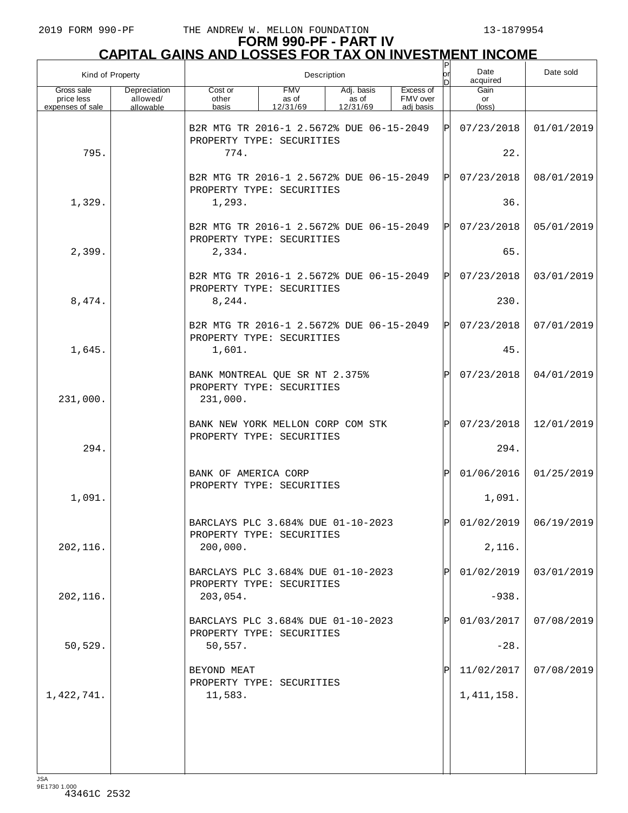#### **FORM 990-PF - PART IV CAPITAL GAINS AND LOSSES FOR TAX ON INVESTMENT INCOME**

| Kind of Property                             |                                       |                                                                         |                                 | Description                     |                                    | $\sf P$<br>or<br>n | Date<br>acquired     | Date sold  |
|----------------------------------------------|---------------------------------------|-------------------------------------------------------------------------|---------------------------------|---------------------------------|------------------------------------|--------------------|----------------------|------------|
| Gross sale<br>price less<br>expenses of sale | Depreciation<br>allowed/<br>allowable | Cost or<br>other<br>basis                                               | <b>FMV</b><br>as of<br>12/31/69 | Adj. basis<br>as of<br>12/31/69 | Excess of<br>FMV over<br>adj basis |                    | Gain<br>or<br>(loss) |            |
|                                              |                                       | B2R MTG TR 2016-1 2.5672% DUE 06-15-2049<br>PROPERTY TYPE: SECURITIES   |                                 |                                 |                                    | ΙPΙ                | 07/23/2018           | 01/01/2019 |
| 795.                                         |                                       | 774.                                                                    |                                 |                                 |                                    |                    | 22.                  |            |
|                                              |                                       | B2R MTG TR 2016-1 2.5672% DUE 06-15-2049<br>PROPERTY TYPE: SECURITIES   |                                 | ΙPΙ                             | 07/23/2018                         | 08/01/2019         |                      |            |
| 1,329.                                       |                                       | 1,293.                                                                  |                                 |                                 |                                    |                    | 36.                  |            |
|                                              |                                       | B2R MTG TR 2016-1 2.5672% DUE 06-15-2049<br>PROPERTY TYPE: SECURITIES   |                                 |                                 |                                    | ΙPΙ                | 07/23/2018           | 05/01/2019 |
| 2,399.                                       |                                       | 2,334.                                                                  |                                 |                                 |                                    |                    | 65.                  |            |
|                                              |                                       | B2R MTG TR 2016-1 2.5672% DUE 06-15-2049<br>PROPERTY TYPE: SECURITIES   |                                 |                                 |                                    | ΙPΙ                | 07/23/2018           | 03/01/2019 |
| 8,474.                                       |                                       | 8,244.                                                                  |                                 |                                 |                                    |                    | 230.                 |            |
|                                              |                                       | B2R MTG TR 2016-1 2.5672% DUE 06-15-2049<br>PROPERTY TYPE: SECURITIES   |                                 |                                 |                                    | ΙPΙ                | 07/23/2018           | 07/01/2019 |
| 1,645.                                       |                                       | 1,601.                                                                  |                                 |                                 |                                    |                    | 45.                  |            |
| 231,000.                                     |                                       | BANK MONTREAL QUE SR NT 2.375%<br>PROPERTY TYPE: SECURITIES<br>231,000. |                                 |                                 |                                    | Þl                 | 07/23/2018           | 04/01/2019 |
|                                              |                                       | BANK NEW YORK MELLON CORP COM STK<br>PROPERTY TYPE: SECURITIES          |                                 |                                 |                                    | ΙÞΙ                | 07/23/2018           | 12/01/2019 |
| 294.                                         |                                       |                                                                         |                                 |                                 |                                    |                    | 294.                 |            |
|                                              |                                       | BANK OF AMERICA CORP<br>PROPERTY TYPE: SECURITIES                       |                                 |                                 |                                    | ΙÞΙ                | 01/06/2016           | 01/25/2019 |
| 1,091.                                       |                                       |                                                                         |                                 |                                 |                                    |                    | 1,091.               |            |
|                                              |                                       | BARCLAYS PLC 3.684% DUE 01-10-2023<br>PROPERTY TYPE: SECURITIES         |                                 |                                 |                                    | ldl                | 01/02/2019           | 06/19/2019 |
| 202,116.                                     |                                       | 200,000.                                                                |                                 |                                 |                                    |                    | 2,116.               |            |
|                                              |                                       | BARCLAYS PLC 3.684% DUE 01-10-2023<br>PROPERTY TYPE: SECURITIES         |                                 |                                 |                                    | $\mathbf{P}$       | 01/02/2019           | 03/01/2019 |
| 202,116.                                     |                                       | 203,054.                                                                |                                 |                                 |                                    |                    | $-938.$              |            |
|                                              |                                       | BARCLAYS PLC 3.684% DUE 01-10-2023<br>PROPERTY TYPE: SECURITIES         |                                 |                                 |                                    | $\mathbf{P}$       | 01/03/2017           | 07/08/2019 |
| 50,529.                                      |                                       | 50,557.                                                                 |                                 |                                 |                                    |                    | $-28.$               |            |
|                                              |                                       | BEYOND MEAT<br>PROPERTY TYPE: SECURITIES                                |                                 |                                 |                                    | P                  | 11/02/2017           | 07/08/2019 |
| 1,422,741.                                   |                                       | 11,583.                                                                 |                                 |                                 |                                    |                    | 1, 411, 158.         |            |
|                                              |                                       |                                                                         |                                 |                                 |                                    |                    |                      |            |
|                                              |                                       |                                                                         |                                 |                                 |                                    |                    |                      |            |
| $-$ ISA                                      |                                       |                                                                         |                                 |                                 |                                    |                    |                      |            |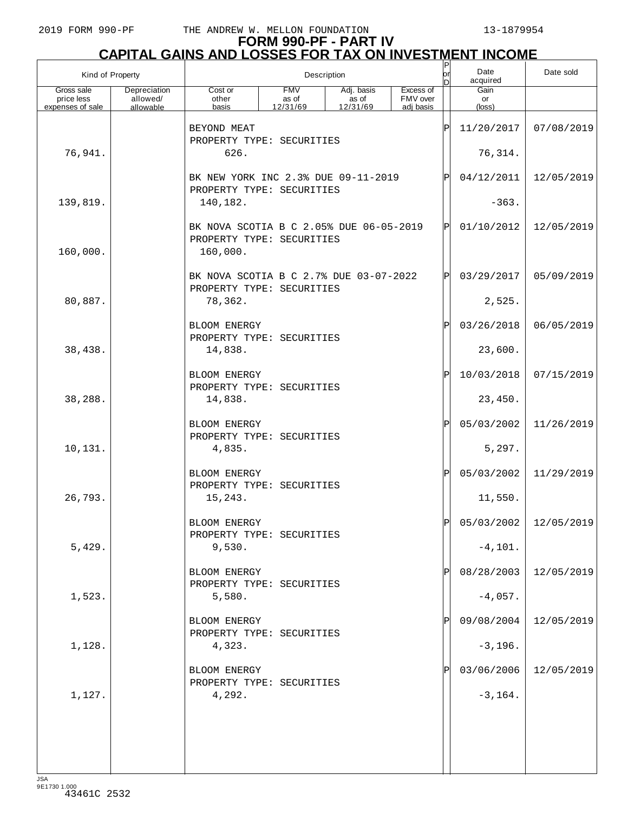## **FORM 990-PF - PART IV CAPITAL GAINS AND LOSSES FOR TAX ON INVESTMENT INCOME** P

| Kind of Property                             |                                       |                                                                                  |                                 | Description                     |                                    | P<br>or<br>n | Date<br>acquired     | Date sold                 |
|----------------------------------------------|---------------------------------------|----------------------------------------------------------------------------------|---------------------------------|---------------------------------|------------------------------------|--------------|----------------------|---------------------------|
| Gross sale<br>price less<br>expenses of sale | Depreciation<br>allowed/<br>allowable | Cost or<br>other<br>basis                                                        | <b>FMV</b><br>as of<br>12/31/69 | Adj. basis<br>as of<br>12/31/69 | Excess of<br>FMV over<br>adj basis |              | Gain<br>or<br>(loss) |                           |
|                                              |                                       | BEYOND MEAT<br>PROPERTY TYPE: SECURITIES                                         |                                 |                                 |                                    | ΙP           | 11/20/2017           | 07/08/2019                |
| 76,941.                                      |                                       | 626.                                                                             |                                 |                                 |                                    |              | 76,314.              |                           |
|                                              |                                       | BK NEW YORK INC 2.3% DUE 09-11-2019<br>PROPERTY TYPE: SECURITIES                 |                                 |                                 | P                                  | 04/12/2011   | 12/05/2019           |                           |
| 139,819.                                     |                                       | 140,182.                                                                         |                                 |                                 |                                    | $-363.$      |                      |                           |
| 160,000.                                     |                                       | BK NOVA SCOTIA B C 2.05% DUE 06-05-2019<br>PROPERTY TYPE: SECURITIES<br>160,000. |                                 |                                 |                                    | ΙPΙ          | 01/10/2012           | 12/05/2019                |
|                                              |                                       | BK NOVA SCOTIA B C 2.7% DUE 03-07-2022<br>PROPERTY TYPE: SECURITIES              |                                 |                                 |                                    | ΙP           | 03/29/2017           | 05/09/2019                |
| 80,887.                                      |                                       | 78,362.                                                                          |                                 |                                 |                                    |              | 2,525.               |                           |
|                                              |                                       | BLOOM ENERGY<br>PROPERTY TYPE: SECURITIES                                        |                                 |                                 |                                    | P            | 03/26/2018           | 06/05/2019                |
| 38,438.                                      |                                       | 14,838.                                                                          |                                 |                                 |                                    |              | 23,600.              |                           |
|                                              |                                       | BLOOM ENERGY<br>PROPERTY TYPE: SECURITIES                                        |                                 |                                 |                                    | ΙP           | 10/03/2018           | 07/15/2019                |
| 38,288.                                      |                                       | 14,838.                                                                          |                                 |                                 |                                    |              | 23,450.              |                           |
|                                              |                                       | BLOOM ENERGY<br>PROPERTY TYPE: SECURITIES                                        |                                 |                                 |                                    | ΙP           | 05/03/2002           | 11/26/2019                |
| 10,131.                                      |                                       | 4,835.                                                                           |                                 |                                 |                                    |              | 5,297.               |                           |
|                                              |                                       | <b>BLOOM ENERGY</b><br>PROPERTY TYPE: SECURITIES                                 |                                 |                                 |                                    | ΙP           | 05/03/2002           | 11/29/2019                |
| 26,793.                                      |                                       | 15,243.                                                                          |                                 |                                 |                                    |              | 11,550.              |                           |
|                                              |                                       | BLOOM ENERGY<br>PROPERTY TYPE: SECURITIES                                        |                                 |                                 |                                    | D            |                      | $05/03/2002$   12/05/2019 |
| 5,429.                                       |                                       | 9,530.                                                                           |                                 |                                 |                                    |              | $-4, 101.$           |                           |
|                                              |                                       | BLOOM ENERGY<br>PROPERTY TYPE: SECURITIES                                        |                                 |                                 |                                    |              | 08/28/2003           | 12/05/2019                |
| 1,523.                                       |                                       | 5,580.                                                                           |                                 |                                 |                                    |              | $-4,057.$            |                           |
|                                              |                                       | BLOOM ENERGY<br>PROPERTY TYPE: SECURITIES                                        |                                 |                                 |                                    |              | 09/08/2004           | 12/05/2019                |
| 1,128.                                       |                                       | 4,323.                                                                           |                                 |                                 |                                    |              | $-3,196.$            |                           |
|                                              |                                       | BLOOM ENERGY<br>PROPERTY TYPE: SECURITIES                                        |                                 |                                 |                                    |              | 03/06/2006           | 12/05/2019                |
| 1,127.                                       |                                       | 4,292.                                                                           |                                 |                                 |                                    |              | $-3, 164.$           |                           |
|                                              |                                       |                                                                                  |                                 |                                 |                                    |              |                      |                           |
|                                              |                                       |                                                                                  |                                 |                                 |                                    |              |                      |                           |
| ICA                                          |                                       |                                                                                  |                                 |                                 |                                    |              |                      |                           |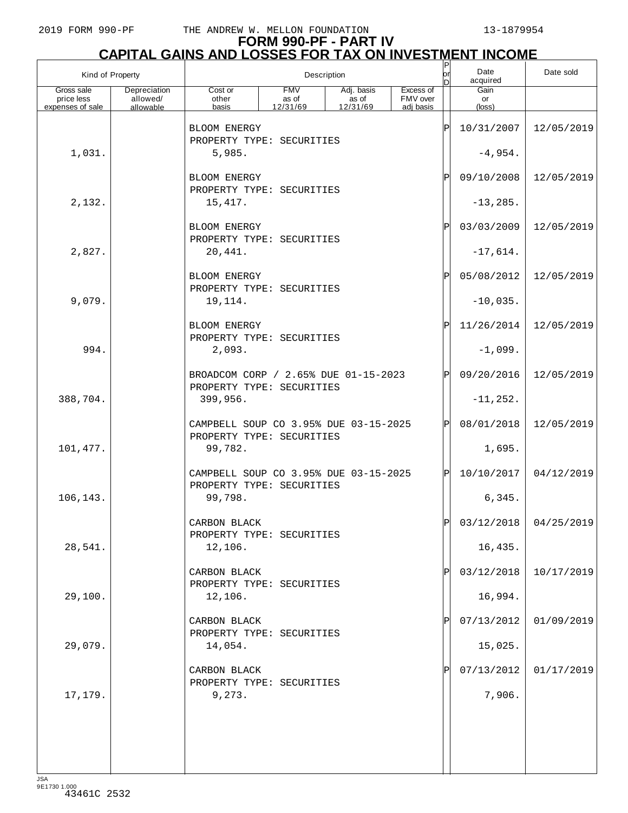## **FORM 990-PF - PART IV CAPITAL GAINS AND LOSSES FOR TAX ON INVESTMENT INCOME** P

| Kind of Property                             |                                       |                                                                    |                                 | Description                     |                                    | $\vert P$<br>lor<br>n | Date<br>acquired     | Date sold               |
|----------------------------------------------|---------------------------------------|--------------------------------------------------------------------|---------------------------------|---------------------------------|------------------------------------|-----------------------|----------------------|-------------------------|
| Gross sale<br>price less<br>expenses of sale | Depreciation<br>allowed/<br>allowable | Cost or<br>other<br>basis                                          | <b>FMV</b><br>as of<br>12/31/69 | Adj. basis<br>as of<br>12/31/69 | Excess of<br>FMV over<br>adi basis |                       | Gain<br>or<br>(loss) |                         |
|                                              |                                       | <b>BLOOM ENERGY</b><br>PROPERTY TYPE: SECURITIES                   |                                 |                                 |                                    | ΙP                    | 10/31/2007           | 12/05/2019              |
| 1,031.                                       |                                       | 5,985.                                                             |                                 |                                 |                                    |                       | $-4,954.$            |                         |
|                                              |                                       | <b>BLOOM ENERGY</b><br>PROPERTY TYPE: SECURITIES                   |                                 |                                 |                                    | ΙP                    | 09/10/2008           | 12/05/2019              |
| 2,132.                                       |                                       | 15, 417.                                                           |                                 |                                 |                                    |                       | $-13, 285.$          |                         |
|                                              |                                       | BLOOM ENERGY<br>PROPERTY TYPE: SECURITIES                          |                                 |                                 |                                    | ΙP                    | 03/03/2009           | 12/05/2019              |
| 2,827.                                       |                                       | 20,441.                                                            |                                 |                                 |                                    |                       | $-17,614.$           |                         |
|                                              |                                       | BLOOM ENERGY<br>PROPERTY TYPE: SECURITIES                          |                                 |                                 |                                    | ΙP                    | 05/08/2012           | 12/05/2019              |
| 9,079.                                       |                                       | 19,114.                                                            |                                 |                                 |                                    |                       | $-10,035.$           |                         |
|                                              |                                       | BLOOM ENERGY<br>PROPERTY TYPE: SECURITIES                          |                                 |                                 |                                    | ΙP                    | 11/26/2014           | 12/05/2019              |
| 994.                                         |                                       | 2,093.                                                             |                                 |                                 |                                    |                       | $-1,099.$            |                         |
|                                              |                                       | BROADCOM CORP / 2.65% DUE 01-15-2023<br>PROPERTY TYPE: SECURITIES  |                                 |                                 |                                    | ΙP                    | 09/20/2016           | 12/05/2019              |
| 388,704.                                     |                                       | 399,956.                                                           |                                 |                                 |                                    |                       | $-11, 252.$          |                         |
|                                              |                                       | CAMPBELL SOUP CO 3.95% DUE 03-15-2025<br>PROPERTY TYPE: SECURITIES |                                 |                                 |                                    | ΙP                    | 08/01/2018           | 12/05/2019              |
| 101,477.                                     |                                       | 99,782.                                                            |                                 |                                 |                                    |                       | 1,695.               |                         |
|                                              |                                       | CAMPBELL SOUP CO 3.95% DUE 03-15-2025<br>PROPERTY TYPE: SECURITIES |                                 |                                 |                                    | ΙPΙ                   | 10/10/2017           | 04/12/2019              |
| 106,143.                                     |                                       | 99,798.                                                            |                                 |                                 |                                    |                       | 6,345.               |                         |
|                                              |                                       | CARBON BLACK<br>PROPERTY TYPE: SECURITIES                          |                                 |                                 |                                    |                       |                      | $03/12/2018$ 04/25/2019 |
| 28,541.                                      |                                       | 12,106.                                                            |                                 |                                 |                                    |                       | 16,435.              |                         |
|                                              |                                       | CARBON BLACK<br>PROPERTY TYPE: SECURITIES                          |                                 |                                 |                                    | ΙP                    | 03/12/2018           | 10/17/2019              |
| 29,100.                                      |                                       | 12,106.                                                            |                                 |                                 |                                    |                       | 16,994.              |                         |
|                                              |                                       | CARBON BLACK<br>PROPERTY TYPE: SECURITIES                          |                                 |                                 |                                    |                       | 07/13/2012           | 01/09/2019              |
| 29,079.                                      |                                       | 14,054.                                                            |                                 |                                 |                                    |                       | 15,025.              |                         |
|                                              |                                       | CARBON BLACK<br>PROPERTY TYPE: SECURITIES                          |                                 |                                 |                                    |                       | 07/13/2012           | 01/17/2019              |
| 17,179.                                      |                                       | 9,273.                                                             |                                 |                                 |                                    |                       | 7,906.               |                         |
|                                              |                                       |                                                                    |                                 |                                 |                                    |                       |                      |                         |
|                                              |                                       |                                                                    |                                 |                                 |                                    |                       |                      |                         |
|                                              |                                       |                                                                    |                                 |                                 |                                    |                       |                      |                         |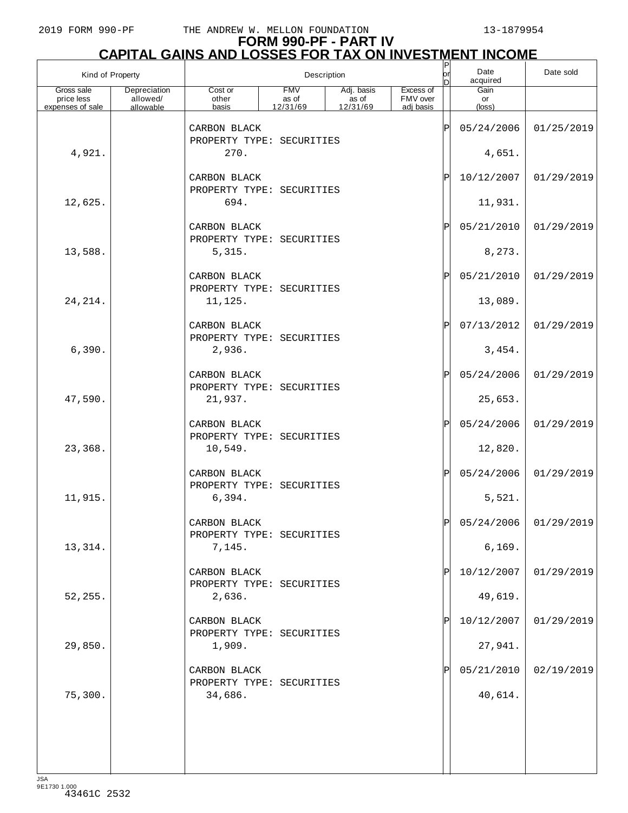## **FORM 990-PF - PART IV CAPITAL GAINS AND LOSSES FOR TAX ON INVESTMENT INCOME** P

| Kind of Property                             |                                       | $\frac{P}{\text{or}}$<br>Description      |                                 |                                 |                                    |    | Date<br>acquired              | Date sold             |
|----------------------------------------------|---------------------------------------|-------------------------------------------|---------------------------------|---------------------------------|------------------------------------|----|-------------------------------|-----------------------|
| Gross sale<br>price less<br>expenses of sale | Depreciation<br>allowed/<br>allowable | Cost or<br>other<br>basis                 | <b>FMV</b><br>as of<br>12/31/69 | Adj. basis<br>as of<br>12/31/69 | Excess of<br>FMV over<br>adi basis |    | Gain<br>or<br>$(\text{loss})$ |                       |
|                                              |                                       | CARBON BLACK<br>PROPERTY TYPE: SECURITIES |                                 |                                 |                                    | ΙP | 05/24/2006                    | 01/25/2019            |
| 4,921.                                       |                                       | 270.                                      |                                 |                                 |                                    |    | 4,651.                        |                       |
|                                              |                                       | CARBON BLACK<br>PROPERTY TYPE: SECURITIES |                                 |                                 |                                    | ΙP | 10/12/2007                    | 01/29/2019            |
| 12,625.                                      |                                       | 694.                                      |                                 |                                 |                                    |    | 11,931.                       |                       |
|                                              |                                       | CARBON BLACK<br>PROPERTY TYPE: SECURITIES |                                 |                                 |                                    | ΙP | 05/21/2010                    | 01/29/2019            |
| 13,588.                                      |                                       | 5,315.                                    |                                 |                                 |                                    |    | 8,273.                        |                       |
|                                              |                                       | CARBON BLACK<br>PROPERTY TYPE: SECURITIES |                                 |                                 |                                    | ΙP | 05/21/2010                    | 01/29/2019            |
| 24, 214.                                     |                                       | 11,125.                                   |                                 |                                 |                                    |    | 13,089.                       |                       |
|                                              |                                       | CARBON BLACK<br>PROPERTY TYPE: SECURITIES |                                 |                                 |                                    | ΙP | 07/13/2012                    | 01/29/2019            |
| 6,390.                                       |                                       | 2,936.                                    |                                 |                                 |                                    |    | 3,454.                        |                       |
|                                              |                                       | CARBON BLACK<br>PROPERTY TYPE: SECURITIES |                                 |                                 |                                    | ΙP | 05/24/2006                    | 01/29/2019            |
| 47,590.                                      |                                       | 21,937.                                   |                                 |                                 |                                    |    | 25,653.                       |                       |
|                                              |                                       | CARBON BLACK<br>PROPERTY TYPE: SECURITIES |                                 |                                 |                                    | ΙP | 05/24/2006                    | 01/29/2019            |
| 23,368.                                      |                                       | 10,549.                                   |                                 |                                 |                                    |    | 12,820.                       |                       |
|                                              |                                       | CARBON BLACK<br>PROPERTY TYPE: SECURITIES |                                 |                                 |                                    | ΙP | 05/24/2006                    | 01/29/2019            |
| 11,915.                                      |                                       | 6,394.                                    |                                 |                                 |                                    |    | 5,521.                        |                       |
|                                              |                                       | CARBON BLACK                              |                                 |                                 |                                    | Þ  |                               | 05/24/2006 01/29/2019 |
| 13,314.                                      |                                       | PROPERTY TYPE: SECURITIES<br>7,145.       |                                 |                                 |                                    |    | 6,169.                        |                       |
|                                              |                                       | CARBON BLACK                              |                                 |                                 |                                    | IP | 10/12/2007                    | 01/29/2019            |
| 52,255.                                      |                                       | PROPERTY TYPE: SECURITIES<br>2,636.       |                                 |                                 |                                    |    | 49,619.                       |                       |
|                                              |                                       | CARBON BLACK<br>PROPERTY TYPE: SECURITIES |                                 |                                 |                                    |    | 10/12/2007                    | 01/29/2019            |
| 29,850.                                      |                                       | 1,909.                                    |                                 |                                 |                                    |    | 27,941.                       |                       |
|                                              |                                       | CARBON BLACK                              |                                 |                                 |                                    | P  | 05/21/2010                    | 02/19/2019            |
| 75,300.                                      |                                       | PROPERTY TYPE: SECURITIES<br>34,686.      |                                 |                                 |                                    |    | 40,614.                       |                       |
|                                              |                                       |                                           |                                 |                                 |                                    |    |                               |                       |
|                                              |                                       |                                           |                                 |                                 |                                    |    |                               |                       |
| 10A                                          |                                       |                                           |                                 |                                 |                                    |    |                               |                       |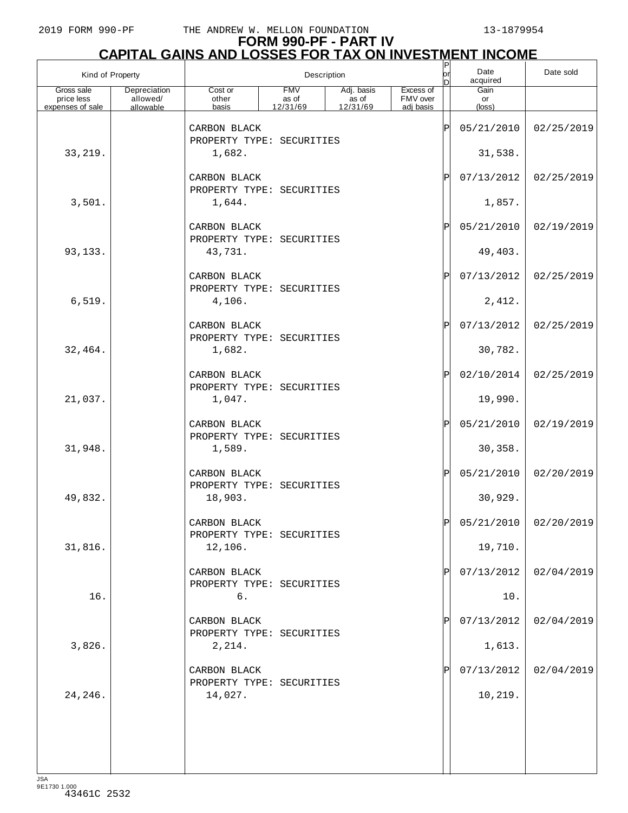## **FORM 990-PF - PART IV CAPITAL GAINS AND LOSSES FOR TAX ON INVESTMENT INCOME** P

| Kind of Property                             |                                       | Description                                         |                                 |                                  |                                    |               | Date<br>acquired              | Date sold             |
|----------------------------------------------|---------------------------------------|-----------------------------------------------------|---------------------------------|----------------------------------|------------------------------------|---------------|-------------------------------|-----------------------|
| Gross sale<br>price less<br>expenses of sale | Depreciation<br>allowed/<br>allowable | Cost or<br>other<br>basis                           | <b>FMV</b><br>as of<br>12/31/69 | Adj. basis<br>$\frac{12}{31/69}$ | Excess of<br>FMV over<br>adi basis |               | Gain<br>or<br>$(\text{loss})$ |                       |
|                                              |                                       | CARBON BLACK<br>PROPERTY TYPE: SECURITIES           |                                 |                                  |                                    | Þ             | 05/21/2010                    | 02/25/2019            |
| 33, 219.                                     |                                       | 1,682.                                              |                                 |                                  |                                    |               | 31,538.                       |                       |
|                                              |                                       | CARBON BLACK<br>PROPERTY TYPE: SECURITIES           |                                 |                                  |                                    | $_\mathrm{P}$ | 07/13/2012                    | 02/25/2019            |
| 3,501.                                       |                                       | 1,644.                                              |                                 |                                  |                                    |               | 1,857.                        |                       |
|                                              |                                       | CARBON BLACK<br>PROPERTY TYPE: SECURITIES           |                                 |                                  |                                    | Ρ             | 05/21/2010                    | 02/19/2019            |
| 93,133.                                      |                                       | 43,731.                                             |                                 |                                  |                                    |               | 49,403.                       |                       |
|                                              |                                       | CARBON BLACK<br>PROPERTY TYPE: SECURITIES           |                                 |                                  |                                    | Ρ             | 07/13/2012                    | 02/25/2019            |
| 6,519.                                       |                                       | 4,106.                                              |                                 |                                  |                                    |               | 2,412.                        |                       |
|                                              |                                       | CARBON BLACK<br>PROPERTY TYPE: SECURITIES           |                                 |                                  |                                    | Ρ             | 07/13/2012                    | 02/25/2019            |
| 32,464.                                      |                                       | 1,682.                                              |                                 |                                  |                                    |               | 30,782.                       |                       |
|                                              |                                       | CARBON BLACK<br>PROPERTY TYPE: SECURITIES           |                                 |                                  |                                    | $_\mathrm{P}$ | 02/10/2014                    | 02/25/2019            |
| 21,037.                                      |                                       | 1,047.                                              |                                 |                                  |                                    |               | 19,990.                       |                       |
| 31,948.                                      |                                       | CARBON BLACK<br>PROPERTY TYPE: SECURITIES<br>1,589. |                                 |                                  |                                    | Ρ             | 05/21/2010<br>30,358.         | 02/19/2019            |
|                                              |                                       |                                                     |                                 |                                  |                                    |               |                               |                       |
|                                              |                                       | CARBON BLACK<br>PROPERTY TYPE: SECURITIES           |                                 |                                  |                                    | $\mathbf{P}$  | 05/21/2010                    | 02/20/2019            |
| 49,832.                                      |                                       | 18,903.                                             |                                 |                                  |                                    |               | 30,929.                       |                       |
|                                              |                                       | CARBON BLACK<br>PROPERTY TYPE: SECURITIES           |                                 |                                  |                                    | DI            |                               | 05/21/2010 02/20/2019 |
| 31,816.                                      |                                       | 12,106.                                             |                                 |                                  |                                    |               | 19,710.                       |                       |
|                                              |                                       | CARBON BLACK<br>PROPERTY TYPE: SECURITIES           |                                 |                                  |                                    | Pl            | 07/13/2012                    | 02/04/2019            |
| 16.                                          |                                       | б.                                                  |                                 |                                  |                                    |               | 10.                           |                       |
|                                              |                                       | CARBON BLACK<br>PROPERTY TYPE: SECURITIES           |                                 |                                  |                                    |               | 07/13/2012                    | 02/04/2019            |
| 3,826.                                       |                                       | 2,214.                                              |                                 |                                  |                                    |               | 1,613.                        |                       |
|                                              |                                       | CARBON BLACK<br>PROPERTY TYPE: SECURITIES           |                                 |                                  |                                    |               | 07/13/2012                    | 02/04/2019            |
| 24,246.                                      |                                       | 14,027.                                             |                                 |                                  |                                    |               | 10,219.                       |                       |
|                                              |                                       |                                                     |                                 |                                  |                                    |               |                               |                       |
|                                              |                                       |                                                     |                                 |                                  |                                    |               |                               |                       |
|                                              |                                       |                                                     |                                 |                                  |                                    |               |                               |                       |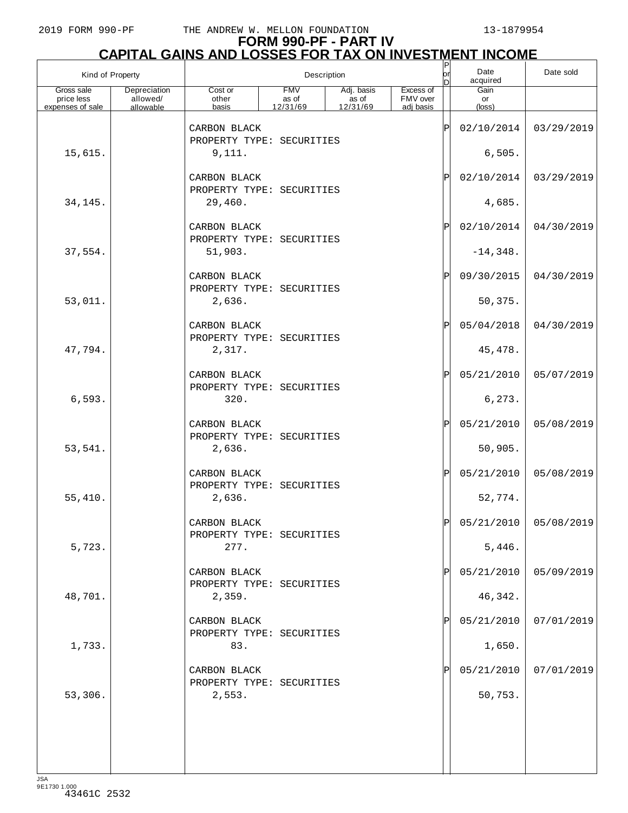## **FORM 990-PF - PART IV CAPITAL GAINS AND LOSSES FOR TAX ON INVESTMENT INCOME** P

| Kind of Property                             |                                       | Description                                   |                                 |                                           |                                    |          | Date<br>acquired              | Date sold             |
|----------------------------------------------|---------------------------------------|-----------------------------------------------|---------------------------------|-------------------------------------------|------------------------------------|----------|-------------------------------|-----------------------|
| Gross sale<br>price less<br>expenses of sale | Depreciation<br>allowed/<br>allowable | $\overline{\text{Cost or}}$<br>other<br>basis | <b>FMV</b><br>as of<br>12/31/69 | Adj. basis<br>as of<br>$\frac{12}{31/69}$ | Excess of<br>FMV over<br>adj basis |          | Gain<br>or<br>$(\text{loss})$ |                       |
|                                              |                                       | CARBON BLACK<br>PROPERTY TYPE: SECURITIES     |                                 |                                           |                                    | Ρ        | 02/10/2014                    | 03/29/2019            |
| 15,615.                                      |                                       | 9,111.                                        |                                 |                                           |                                    |          | 6,505.                        |                       |
|                                              |                                       | CARBON BLACK<br>PROPERTY TYPE: SECURITIES     |                                 |                                           |                                    | Ρ        | 02/10/2014                    | 03/29/2019            |
| 34,145.                                      |                                       | 29,460.                                       |                                 |                                           |                                    |          | 4,685.                        |                       |
|                                              |                                       | CARBON BLACK<br>PROPERTY TYPE: SECURITIES     |                                 |                                           |                                    | Ρ        | 02/10/2014                    | 04/30/2019            |
| 37,554.                                      |                                       | 51,903.                                       |                                 |                                           |                                    |          | $-14,348.$                    |                       |
|                                              |                                       | CARBON BLACK<br>PROPERTY TYPE: SECURITIES     |                                 |                                           |                                    | Ρ        | 09/30/2015                    | 04/30/2019            |
| 53,011.                                      |                                       | 2,636.                                        |                                 |                                           |                                    |          | 50,375.                       |                       |
|                                              |                                       | CARBON BLACK<br>PROPERTY TYPE: SECURITIES     |                                 |                                           |                                    | Ρ        | 05/04/2018                    | 04/30/2019            |
| 47,794.                                      |                                       | 2,317.                                        |                                 |                                           |                                    |          | 45, 478.                      |                       |
|                                              |                                       | CARBON BLACK<br>PROPERTY TYPE: SECURITIES     |                                 |                                           |                                    | Ρ        | 05/21/2010                    | 05/07/2019            |
| 6,593.                                       |                                       | 320.                                          |                                 |                                           |                                    |          | 6,273.                        |                       |
|                                              |                                       | CARBON BLACK<br>PROPERTY TYPE: SECURITIES     |                                 |                                           |                                    | Ρ        | 05/21/2010                    | 05/08/2019            |
| 53,541.                                      |                                       | 2,636.                                        |                                 |                                           |                                    |          | 50,905.                       |                       |
|                                              |                                       | CARBON BLACK<br>PROPERTY TYPE: SECURITIES     |                                 |                                           |                                    | Ρ        | 05/21/2010                    | 05/08/2019            |
| 55,410.                                      |                                       | 2,636.                                        |                                 |                                           |                                    |          | 52,774.                       |                       |
|                                              |                                       | CARBON BLACK<br>PROPERTY TYPE: SECURITIES     |                                 |                                           |                                    | <b>D</b> |                               | 05/21/2010 05/08/2019 |
| 5,723.                                       |                                       | 277.                                          |                                 |                                           |                                    |          | 5,446.                        |                       |
|                                              |                                       | CARBON BLACK<br>PROPERTY TYPE: SECURITIES     |                                 |                                           |                                    |          | 05/21/2010                    | 05/09/2019            |
| 48,701.                                      |                                       | 2,359.                                        |                                 |                                           |                                    |          | 46,342.                       |                       |
|                                              |                                       | CARBON BLACK<br>PROPERTY TYPE: SECURITIES     |                                 |                                           |                                    |          | 05/21/2010                    | 07/01/2019            |
| 1,733.                                       |                                       | 83.                                           |                                 |                                           |                                    |          | 1,650.                        |                       |
|                                              |                                       | CARBON BLACK                                  |                                 |                                           |                                    |          | 05/21/2010                    | 07/01/2019            |
| 53,306.                                      |                                       | PROPERTY TYPE: SECURITIES<br>2,553.           |                                 |                                           |                                    |          | 50,753.                       |                       |
|                                              |                                       |                                               |                                 |                                           |                                    |          |                               |                       |
|                                              |                                       |                                               |                                 |                                           |                                    |          |                               |                       |
|                                              |                                       |                                               |                                 |                                           |                                    |          |                               |                       |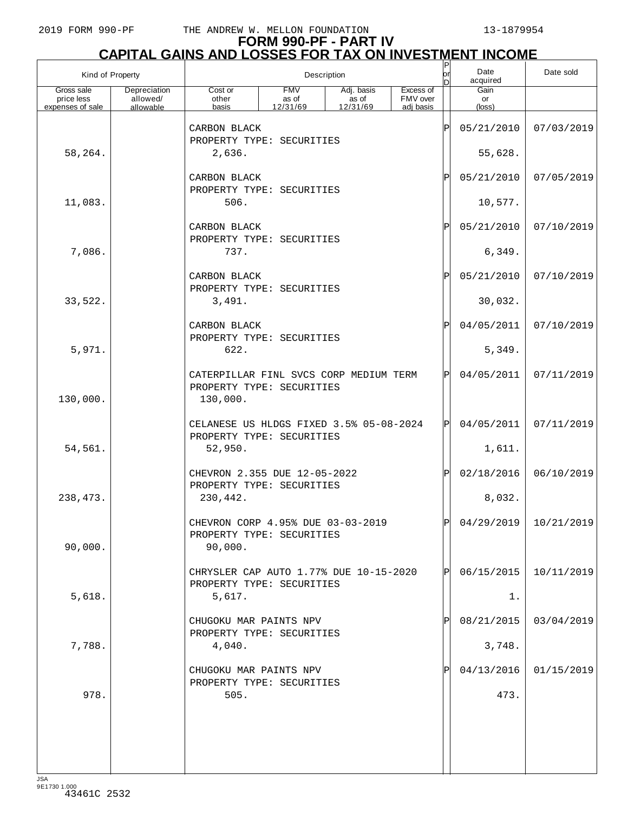|                                              | Kind of Property                      | Description                                                                     |                                                                |                                 |                                    |             | Date<br>acquired              | Date sold               |
|----------------------------------------------|---------------------------------------|---------------------------------------------------------------------------------|----------------------------------------------------------------|---------------------------------|------------------------------------|-------------|-------------------------------|-------------------------|
| Gross sale<br>price less<br>expenses of sale | Depreciation<br>allowed/<br>allowable | Cost or<br>other<br>basis                                                       | <b>FMV</b><br>as of<br>12/31/69                                | Adj. basis<br>as of<br>12/31/69 | Excess of<br>FMV over<br>adi basis |             | Gain<br>or<br>$(\text{loss})$ |                         |
|                                              |                                       | CARBON BLACK                                                                    |                                                                |                                 |                                    | ΙP          | 05/21/2010                    | 07/03/2019              |
| 58,264.                                      |                                       | PROPERTY TYPE: SECURITIES<br>2,636.                                             |                                                                |                                 |                                    |             | 55,628.                       |                         |
|                                              |                                       | CARBON BLACK<br>PROPERTY TYPE: SECURITIES                                       |                                                                |                                 |                                    | P           | 05/21/2010                    | 07/05/2019              |
| 11,083.                                      |                                       | 506.                                                                            |                                                                |                                 |                                    |             | 10,577.                       |                         |
|                                              |                                       | CARBON BLACK<br>PROPERTY TYPE: SECURITIES                                       |                                                                |                                 |                                    | $\mathbf P$ | 05/21/2010                    | 07/10/2019              |
| 7,086.                                       |                                       | 737.                                                                            |                                                                |                                 |                                    |             | 6,349.                        |                         |
|                                              |                                       | CARBON BLACK<br>PROPERTY TYPE: SECURITIES                                       |                                                                |                                 |                                    | P           | 05/21/2010                    | 07/10/2019              |
| 33,522.                                      |                                       | 3,491.                                                                          |                                                                |                                 |                                    |             | 30,032.                       |                         |
|                                              |                                       | CARBON BLACK<br>PROPERTY TYPE: SECURITIES                                       |                                                                |                                 |                                    | $\mathbf P$ | 04/05/2011                    | 07/10/2019              |
| 5,971.                                       |                                       | 622.                                                                            |                                                                |                                 |                                    |             | 5,349.                        |                         |
| 130,000.                                     |                                       | CATERPILLAR FINL SVCS CORP MEDIUM TERM<br>PROPERTY TYPE: SECURITIES<br>130,000. |                                                                |                                 |                                    | Þl          | 04/05/2011                    | 07/11/2019              |
|                                              |                                       | CELANESE US HLDGS FIXED 3.5% 05-08-2024                                         |                                                                |                                 |                                    | ΙPΙ         | 04/05/2011                    | 07/11/2019              |
| 54,561.                                      |                                       | PROPERTY TYPE: SECURITIES<br>52,950.                                            |                                                                |                                 |                                    |             | 1,611.                        |                         |
|                                              |                                       | CHEVRON 2.355 DUE 12-05-2022<br>PROPERTY TYPE: SECURITIES                       |                                                                |                                 |                                    | ΙPΙ         | 02/18/2016                    | 06/10/2019              |
| 238,473.                                     |                                       | 230,442.                                                                        |                                                                |                                 |                                    |             | 8,032.                        |                         |
| 90,000.                                      |                                       | 90,000.                                                                         | CHEVRON CORP 4.95% DUE 03-03-2019<br>PROPERTY TYPE: SECURITIES |                                 |                                    |             |                               | $04/29/2019$ 10/21/2019 |
|                                              |                                       | CHRYSLER CAP AUTO 1.77% DUE 10-15-2020                                          |                                                                |                                 |                                    | ΙPΙ         | 06/15/2015                    | 10/11/2019              |
| 5,618.                                       |                                       | PROPERTY TYPE: SECURITIES<br>5,617.                                             |                                                                |                                 |                                    |             | $1$ .                         |                         |
|                                              |                                       | CHUGOKU MAR PAINTS NPV<br>PROPERTY TYPE: SECURITIES                             |                                                                |                                 |                                    |             | 08/21/2015                    | 03/04/2019              |
| 7,788.                                       |                                       | 4,040.                                                                          |                                                                |                                 |                                    |             | 3,748.                        |                         |
|                                              |                                       | CHUGOKU MAR PAINTS NPV<br>PROPERTY TYPE: SECURITIES                             |                                                                |                                 |                                    |             | 04/13/2016                    | 01/15/2019              |
| 978.                                         |                                       | 505.                                                                            |                                                                |                                 |                                    |             | 473.                          |                         |
|                                              |                                       |                                                                                 |                                                                |                                 |                                    |             |                               |                         |
|                                              |                                       |                                                                                 |                                                                |                                 |                                    |             |                               |                         |
|                                              |                                       |                                                                                 |                                                                |                                 |                                    |             |                               |                         |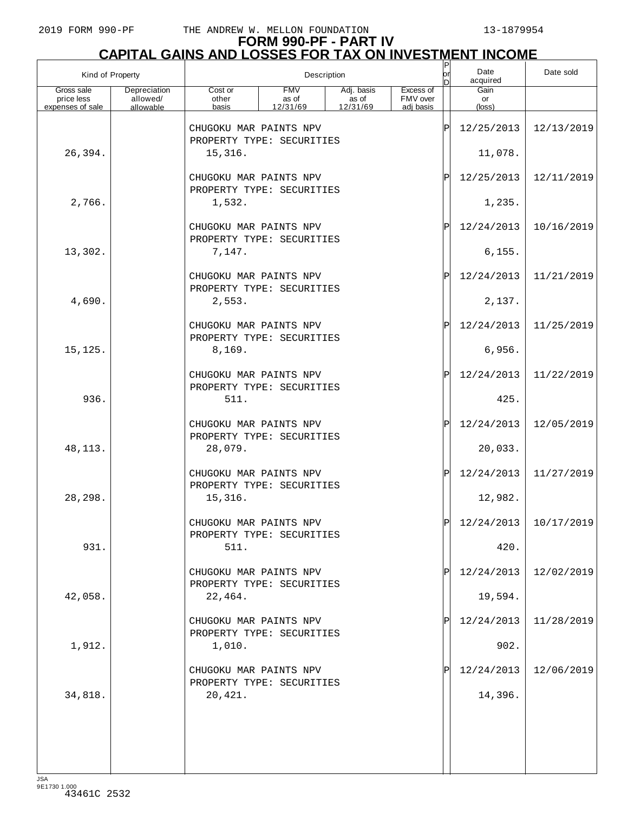#### **FORM 990-PF - PART IV CAPITAL GAINS AND LOSSES FOR TAX ON INVESTMENT INCOME**

| Kind of Property         |                          | Description                                         |                     |                     |                       |    | Date<br>acquired | Date sold             |
|--------------------------|--------------------------|-----------------------------------------------------|---------------------|---------------------|-----------------------|----|------------------|-----------------------|
| Gross sale<br>price less | Depreciation<br>allowed/ | Cost or<br>other                                    | <b>FMV</b><br>as of | Adj. basis<br>as of | Excess of<br>FMV over |    | Gain<br>or       |                       |
| expenses of sale         | allowable                | basis                                               | 12/31/69            | 12/31/69            | adi basis             |    | (loss)           |                       |
|                          |                          | CHUGOKU MAR PAINTS NPV<br>PROPERTY TYPE: SECURITIES |                     |                     |                       | ΙP | 12/25/2013       | 12/13/2019            |
| 26,394.                  |                          | 15,316.                                             |                     |                     |                       |    | 11,078.          |                       |
|                          |                          | CHUGOKU MAR PAINTS NPV<br>PROPERTY TYPE: SECURITIES |                     |                     |                       | Ρ  | 12/25/2013       | 12/11/2019            |
| 2,766.                   |                          | 1,532.                                              |                     |                     |                       |    | 1,235.           |                       |
|                          |                          | CHUGOKU MAR PAINTS NPV<br>PROPERTY TYPE: SECURITIES |                     |                     |                       | Ρ  | 12/24/2013       | 10/16/2019            |
| 13,302.                  |                          | 7,147.                                              |                     |                     |                       |    | 6, 155.          |                       |
|                          |                          | CHUGOKU MAR PAINTS NPV<br>PROPERTY TYPE: SECURITIES |                     |                     |                       | P  | 12/24/2013       | 11/21/2019            |
| 4,690.                   |                          | 2,553.                                              |                     |                     |                       |    | 2,137.           |                       |
|                          |                          | CHUGOKU MAR PAINTS NPV<br>PROPERTY TYPE: SECURITIES |                     |                     |                       | Ρ  | 12/24/2013       | 11/25/2019            |
| 15, 125.                 |                          | 8,169.                                              |                     |                     |                       |    | 6,956.           |                       |
|                          |                          | CHUGOKU MAR PAINTS NPV<br>PROPERTY TYPE: SECURITIES |                     |                     |                       | P  | 12/24/2013       | 11/22/2019            |
| 936.                     |                          | 511.                                                |                     |                     |                       |    | 425.             |                       |
|                          |                          | CHUGOKU MAR PAINTS NPV<br>PROPERTY TYPE: SECURITIES |                     |                     |                       | Ρ  | 12/24/2013       | 12/05/2019            |
| 48, 113.                 |                          | 28,079.                                             |                     |                     |                       |    | 20,033.          |                       |
|                          |                          | CHUGOKU MAR PAINTS NPV<br>PROPERTY TYPE: SECURITIES |                     |                     |                       | P  | 12/24/2013       | 11/27/2019            |
| 28,298.                  |                          | 15,316.                                             |                     |                     |                       |    | 12,982.          |                       |
|                          |                          | CHUGOKU MAR PAINTS NPV<br>PROPERTY TYPE: SECURITIES |                     |                     |                       |    |                  | 12/24/2013 10/17/2019 |
| 931.                     |                          | 511.                                                |                     |                     |                       |    | 420.             |                       |
|                          |                          | CHUGOKU MAR PAINTS NPV<br>PROPERTY TYPE: SECURITIES |                     |                     |                       |    | 12/24/2013       | 12/02/2019            |
| 42,058.                  |                          | 22,464.                                             |                     |                     |                       |    | 19,594.          |                       |
|                          |                          | CHUGOKU MAR PAINTS NPV<br>PROPERTY TYPE: SECURITIES |                     |                     |                       |    | 12/24/2013       | 11/28/2019            |
| 1,912.                   |                          | 1,010.                                              |                     |                     |                       |    | 902.             |                       |
|                          |                          | CHUGOKU MAR PAINTS NPV<br>PROPERTY TYPE: SECURITIES |                     |                     |                       |    | 12/24/2013       | 12/06/2019            |
| 34,818.                  |                          | 20,421.                                             |                     |                     |                       |    | 14,396.          |                       |
|                          |                          |                                                     |                     |                     |                       |    |                  |                       |
|                          |                          |                                                     |                     |                     |                       |    |                  |                       |
|                          |                          |                                                     |                     |                     |                       |    |                  |                       |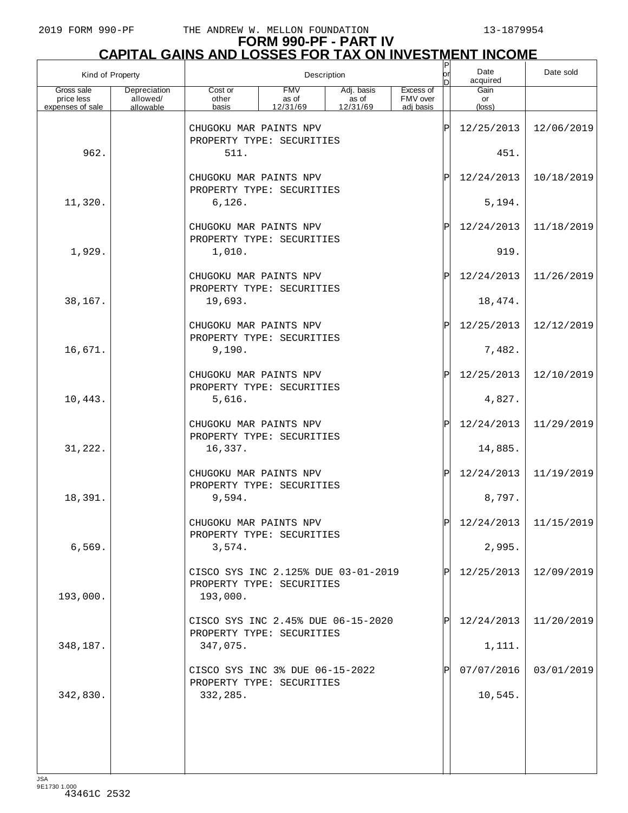#### **FORM 990-PF - PART IV CAPITAL GAINS AND LOSSES FOR TAX ON INVESTMENT INCOME**

| Kind of Property         |                          | Description                                                                  |                     |                     |                       |    | Date<br>acquired | Date sold  |
|--------------------------|--------------------------|------------------------------------------------------------------------------|---------------------|---------------------|-----------------------|----|------------------|------------|
| Gross sale<br>price less | Depreciation<br>allowed/ | Cost or<br>other                                                             | <b>FMV</b><br>as of | Adj. basis<br>as of | Excess of<br>FMV over |    | Gain<br>or       |            |
| expenses of sale         | allowable                | basis                                                                        | 12/31/69            | 12/31/69            | adi basis             |    | (loss)           |            |
|                          |                          | CHUGOKU MAR PAINTS NPV<br>PROPERTY TYPE: SECURITIES                          |                     |                     |                       | ΙP | 12/25/2013       | 12/06/2019 |
| 962.                     |                          | 511.                                                                         |                     |                     |                       |    | 451.             |            |
|                          |                          | CHUGOKU MAR PAINTS NPV<br>PROPERTY TYPE: SECURITIES                          |                     |                     |                       | ΙP | 12/24/2013       | 10/18/2019 |
| 11,320.                  |                          | 6, 126.                                                                      |                     |                     |                       |    | 5,194.           |            |
|                          |                          | CHUGOKU MAR PAINTS NPV<br>PROPERTY TYPE: SECURITIES                          |                     |                     |                       | ΙP | 12/24/2013       | 11/18/2019 |
| 1,929.                   |                          | 1,010.                                                                       |                     |                     |                       |    | 919.             |            |
|                          |                          | CHUGOKU MAR PAINTS NPV<br>PROPERTY TYPE: SECURITIES                          |                     |                     |                       | ΙP | 12/24/2013       | 11/26/2019 |
| 38,167.                  |                          | 19,693.                                                                      |                     |                     |                       |    | 18,474.          |            |
|                          |                          | CHUGOKU MAR PAINTS NPV<br>PROPERTY TYPE: SECURITIES                          |                     |                     |                       | ΙP | 12/25/2013       | 12/12/2019 |
| 16,671.                  |                          | 9,190.                                                                       |                     |                     |                       |    | 7,482.           |            |
|                          |                          | CHUGOKU MAR PAINTS NPV<br>PROPERTY TYPE: SECURITIES                          |                     |                     |                       | ΙP | 12/25/2013       | 12/10/2019 |
| 10,443.                  |                          | 5,616.                                                                       |                     |                     |                       |    | 4,827.           |            |
|                          |                          | CHUGOKU MAR PAINTS NPV<br>PROPERTY TYPE: SECURITIES                          |                     |                     |                       | ΙP | 12/24/2013       | 11/29/2019 |
| 31,222.                  |                          | 16,337.                                                                      |                     |                     |                       |    | 14,885.          |            |
|                          |                          | CHUGOKU MAR PAINTS NPV<br>PROPERTY TYPE: SECURITIES                          |                     |                     |                       | ΙP | 12/24/2013       | 11/19/2019 |
| 18,391.                  |                          | 9,594.                                                                       |                     |                     |                       |    | 8,797.           |            |
|                          |                          | CHUGOKU MAR PAINTS NPV<br>PROPERTY TYPE: SECURITIES                          |                     |                     |                       |    | 12/24/2013       | 11/15/2019 |
| 6,569.                   |                          | 3,574.                                                                       |                     |                     |                       |    | 2,995.           |            |
| 193,000.                 |                          | CISCO SYS INC 2.125% DUE 03-01-2019<br>PROPERTY TYPE: SECURITIES<br>193,000. |                     |                     |                       | IP | 12/25/2013       | 12/09/2019 |
|                          |                          | CISCO SYS INC 2.45% DUE 06-15-2020<br>PROPERTY TYPE: SECURITIES              |                     |                     |                       |    | 12/24/2013       | 11/20/2019 |
| 348,187.                 |                          | 347,075.                                                                     |                     |                     |                       |    | 1,111.           |            |
|                          |                          | CISCO SYS INC 3% DUE 06-15-2022<br>PROPERTY TYPE: SECURITIES                 |                     |                     |                       |    | 07/07/2016       | 03/01/2019 |
| 342,830.                 |                          | 332,285.                                                                     |                     |                     |                       |    | 10,545.          |            |
|                          |                          |                                                                              |                     |                     |                       |    |                  |            |
|                          |                          |                                                                              |                     |                     |                       |    |                  |            |
|                          |                          |                                                                              |                     |                     |                       |    |                  |            |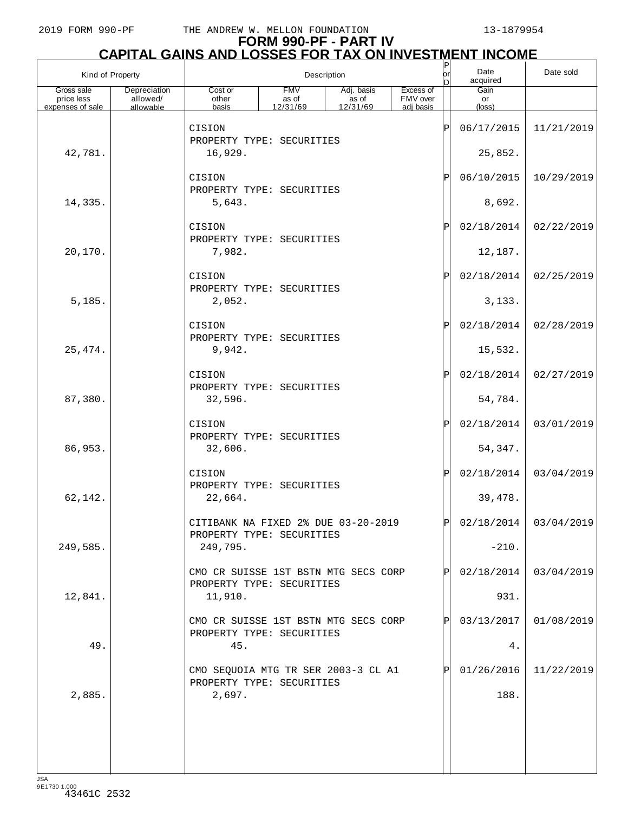#### **FORM 990-PF - PART IV CAPITAL GAINS AND LOSSES FOR TAX ON INVESTMENT INCOME**

| Kind of Property         |                          | Description                                                       |                     |                     |                       |    | Date<br>acquired | Date sold               |
|--------------------------|--------------------------|-------------------------------------------------------------------|---------------------|---------------------|-----------------------|----|------------------|-------------------------|
| Gross sale<br>price less | Depreciation<br>allowed/ | Cost or<br>other                                                  | <b>FMV</b><br>as of | Adj. basis<br>as of | Excess of<br>FMV over |    | Gain<br>or       |                         |
| expenses of sale         | allowable                | basis                                                             | 12/31/69            | 12/31/69            | adj basis             |    | $(\text{loss})$  |                         |
|                          |                          | CISION<br>PROPERTY TYPE: SECURITIES                               |                     |                     |                       | ΙP | 06/17/2015       | 11/21/2019              |
| 42,781.                  |                          | 16,929.                                                           |                     |                     |                       |    | 25,852.          |                         |
|                          |                          | CISION                                                            |                     |                     |                       | ΙP | 06/10/2015       | 10/29/2019              |
| 14,335.                  |                          | PROPERTY TYPE: SECURITIES<br>5,643.                               |                     |                     |                       |    | 8,692.           |                         |
|                          |                          | CISION<br>PROPERTY TYPE: SECURITIES                               |                     |                     |                       | ΙP | 02/18/2014       | 02/22/2019              |
| 20,170.                  |                          | 7,982.                                                            |                     |                     |                       |    | 12,187.          |                         |
|                          |                          | CISION<br>PROPERTY TYPE: SECURITIES                               |                     |                     |                       | ΙP | 02/18/2014       | 02/25/2019              |
| 5,185.                   |                          | 2,052.                                                            |                     |                     |                       |    | 3,133.           |                         |
|                          |                          | CISION<br>PROPERTY TYPE: SECURITIES                               |                     |                     |                       | ΙP | 02/18/2014       | 02/28/2019              |
| 25, 474.                 |                          | 9,942.                                                            |                     |                     |                       |    | 15,532.          |                         |
|                          |                          | CISION                                                            |                     |                     |                       | ΙP | 02/18/2014       | 02/27/2019              |
| 87,380.                  |                          | PROPERTY TYPE: SECURITIES<br>32,596.                              |                     |                     |                       |    | 54,784.          |                         |
|                          |                          | CISION<br>PROPERTY TYPE: SECURITIES                               |                     |                     |                       | ΙP | 02/18/2014       | 03/01/2019              |
| 86,953.                  |                          | 32,606.                                                           |                     |                     |                       |    | 54,347.          |                         |
|                          |                          | CISION<br>PROPERTY TYPE: SECURITIES                               |                     |                     |                       | ΙP | 02/18/2014       | 03/04/2019              |
| 62,142.                  |                          | 22,664.                                                           |                     |                     |                       |    | 39,478.          |                         |
|                          |                          | CITIBANK NA FIXED 2% DUE 03-20-2019<br>PROPERTY TYPE: SECURITIES  |                     |                     |                       |    |                  | $02/18/2014$ 03/04/2019 |
| 249,585.                 |                          | 249,795.                                                          |                     |                     |                       |    | $-210.$          |                         |
|                          |                          | CMO CR SUISSE 1ST BSTN MTG SECS CORP<br>PROPERTY TYPE: SECURITIES |                     |                     |                       | IP | 02/18/2014       | 03/04/2019              |
| 12,841.                  |                          | 11,910.                                                           |                     |                     |                       |    | 931.             |                         |
|                          |                          | CMO CR SUISSE 1ST BSTN MTG SECS CORP<br>PROPERTY TYPE: SECURITIES |                     |                     |                       | IP | 03/13/2017       | 01/08/2019              |
| 49.                      |                          | 45.                                                               |                     |                     |                       |    | 4.               |                         |
|                          |                          | CMO SEQUOIA MTG TR SER 2003-3 CL A1<br>PROPERTY TYPE: SECURITIES  |                     |                     |                       | IP | 01/26/2016       | 11/22/2019              |
| 2,885.                   |                          | 2,697.                                                            |                     |                     |                       |    | 188.             |                         |
|                          |                          |                                                                   |                     |                     |                       |    |                  |                         |
|                          |                          |                                                                   |                     |                     |                       |    |                  |                         |
|                          |                          |                                                                   |                     |                     |                       |    |                  |                         |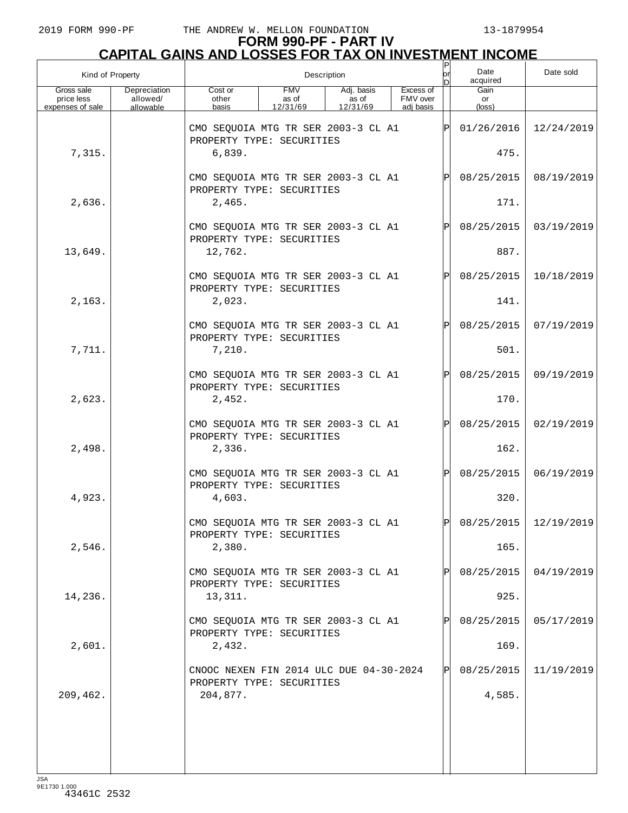| Kind of Property                             |                                       |                                                                      | Description                     | ΙP<br>lor<br>n                  | Date<br>acquired                   | Date sold |                      |                       |
|----------------------------------------------|---------------------------------------|----------------------------------------------------------------------|---------------------------------|---------------------------------|------------------------------------|-----------|----------------------|-----------------------|
| Gross sale<br>price less<br>expenses of sale | Depreciation<br>allowed/<br>allowable | Cost or<br>other<br>basis                                            | <b>FMV</b><br>as of<br>12/31/69 | Adj. basis<br>as of<br>12/31/69 | Excess of<br>FMV over<br>adi basis |           | Gain<br>or<br>(loss) |                       |
|                                              |                                       | CMO SEQUOIA MTG TR SER 2003-3 CL A1<br>PROPERTY TYPE: SECURITIES     |                                 |                                 |                                    | ΙÞΙ       | 01/26/2016           | 12/24/2019            |
| 7,315.                                       |                                       | 6,839.                                                               |                                 |                                 |                                    |           | 475.                 |                       |
|                                              |                                       | CMO SEQUOIA MTG TR SER 2003-3 CL A1<br>PROPERTY TYPE: SECURITIES     |                                 |                                 |                                    | lPl.      | 08/25/2015           | 08/19/2019            |
| 2,636.                                       |                                       | 2,465.                                                               |                                 |                                 |                                    |           | 171.                 |                       |
|                                              |                                       | CMO SEQUOIA MTG TR SER 2003-3 CL A1<br>PROPERTY TYPE: SECURITIES     |                                 |                                 |                                    | lÞI.      | 08/25/2015           | 03/19/2019            |
| 13,649.                                      |                                       | 12,762.                                                              |                                 |                                 |                                    |           | 887.                 |                       |
|                                              |                                       | CMO SEQUOIA MTG TR SER 2003-3 CL A1<br>PROPERTY TYPE: SECURITIES     |                                 |                                 |                                    | lPl       | 08/25/2015           | 10/18/2019            |
| 2,163.                                       |                                       | 2,023.                                                               |                                 |                                 |                                    |           | 141.                 |                       |
|                                              |                                       | CMO SEQUOIA MTG TR SER 2003-3 CL A1<br>PROPERTY TYPE: SECURITIES     |                                 |                                 |                                    | lÞI.      | 08/25/2015           | 07/19/2019            |
| 7,711.                                       |                                       | 7,210.                                                               |                                 |                                 |                                    |           | 501.                 |                       |
|                                              |                                       | CMO SEQUOIA MTG TR SER 2003-3 CL A1<br>PROPERTY TYPE: SECURITIES     |                                 |                                 |                                    | lPl       | 08/25/2015           | 09/19/2019            |
| 2,623.                                       |                                       | 2,452.                                                               |                                 |                                 |                                    |           | 170.                 |                       |
|                                              |                                       | CMO SEQUOIA MTG TR SER 2003-3 CL A1<br>PROPERTY TYPE: SECURITIES     |                                 |                                 |                                    | lÞI.      | 08/25/2015           | 02/19/2019            |
| 2,498.                                       |                                       | 2,336.                                                               |                                 |                                 |                                    |           | 162.                 |                       |
|                                              |                                       | CMO SEQUOIA MTG TR SER 2003-3 CL A1<br>PROPERTY TYPE: SECURITIES     |                                 |                                 |                                    | lPl       | 08/25/2015           | 06/19/2019            |
| 4,923.                                       |                                       | 4,603.                                                               |                                 |                                 |                                    |           | 320.                 |                       |
|                                              |                                       | CMO SEQUOIA MTG TR SER 2003-3 CL A1<br>PROPERTY TYPE: SECURITIES     |                                 |                                 |                                    | lpl.      |                      | 08/25/2015 12/19/2019 |
| 2,546.                                       |                                       | 2,380.                                                               |                                 |                                 |                                    |           | 165.                 |                       |
|                                              |                                       | CMO SEQUOIA MTG TR SER 2003-3 CL A1<br>PROPERTY TYPE: SECURITIES     |                                 |                                 |                                    |           | 08/25/2015           | 04/19/2019            |
| 14,236.                                      |                                       | 13,311.                                                              |                                 |                                 |                                    |           | 925.                 |                       |
|                                              |                                       | CMO SEQUOIA MTG TR SER 2003-3 CL A1<br>PROPERTY TYPE: SECURITIES     |                                 |                                 |                                    |           | 08/25/2015           | 05/17/2019            |
| 2,601.                                       |                                       | 2,432.                                                               |                                 |                                 |                                    |           | 169.                 |                       |
|                                              |                                       | CNOOC NEXEN FIN 2014 ULC DUE 04-30-2024<br>PROPERTY TYPE: SECURITIES |                                 |                                 |                                    | IPI       | 08/25/2015           | 11/19/2019            |
| 209,462.                                     |                                       | 204,877.                                                             |                                 |                                 |                                    |           | 4,585.               |                       |
|                                              |                                       |                                                                      |                                 |                                 |                                    |           |                      |                       |
|                                              |                                       |                                                                      |                                 |                                 |                                    |           |                      |                       |
|                                              |                                       |                                                                      |                                 |                                 |                                    |           |                      |                       |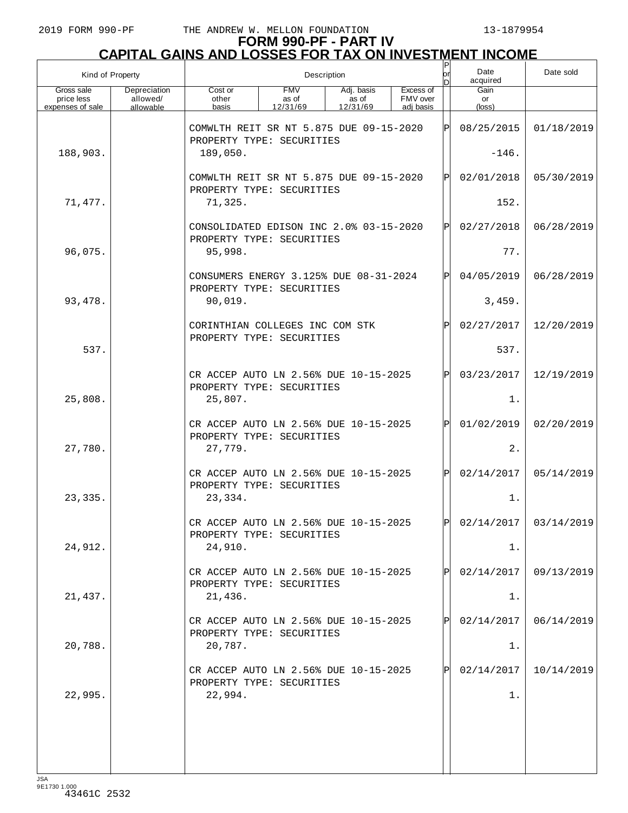## **FORM 990-PF - PART IV CAPITAL GAINS AND LOSSES FOR TAX ON INVESTMENT INCOME**

|                                              | Kind of Property                      |                                                                      | Description                     |                                 |                                    |      |                      | Date sold  |
|----------------------------------------------|---------------------------------------|----------------------------------------------------------------------|---------------------------------|---------------------------------|------------------------------------|------|----------------------|------------|
| Gross sale<br>price less<br>expenses of sale | Depreciation<br>allowed/<br>allowable | Cost or<br>other<br>basis                                            | <b>FMV</b><br>as of<br>12/31/69 | Adj. basis<br>as of<br>12/31/69 | Excess of<br>FMV over<br>adi basis |      | Gain<br>or<br>(loss) |            |
|                                              |                                       | COMWLTH REIT SR NT 5.875 DUE 09-15-2020<br>PROPERTY TYPE: SECURITIES |                                 |                                 |                                    | ΙÞΙ  | 08/25/2015           | 01/18/2019 |
| 188,903.                                     |                                       | 189,050.                                                             |                                 |                                 | $-146.$                            |      |                      |            |
|                                              |                                       | COMWLTH REIT SR NT 5.875 DUE 09-15-2020<br>PROPERTY TYPE: SECURITIES |                                 |                                 |                                    | ΙÞΙ  | 02/01/2018           | 05/30/2019 |
| 71,477.                                      |                                       | 71,325.                                                              |                                 |                                 |                                    | 152. |                      |            |
|                                              |                                       | CONSOLIDATED EDISON INC 2.0% 03-15-2020<br>PROPERTY TYPE: SECURITIES |                                 |                                 |                                    | ΙÞΙ  | 02/27/2018           | 06/28/2019 |
| 96,075.                                      |                                       | 95,998.                                                              |                                 |                                 |                                    |      | 77.                  |            |
|                                              |                                       | CONSUMERS ENERGY 3.125% DUE 08-31-2024<br>PROPERTY TYPE: SECURITIES  |                                 |                                 |                                    | ΙÞΙ  | 04/05/2019           | 06/28/2019 |
| 93, 478.                                     |                                       | 90,019.                                                              |                                 |                                 |                                    |      | 3,459.               |            |
|                                              |                                       | CORINTHIAN COLLEGES INC COM STK<br>PROPERTY TYPE: SECURITIES         |                                 |                                 |                                    | ΙÞΙ  | 02/27/2017           | 12/20/2019 |
| 537.                                         |                                       |                                                                      |                                 |                                 |                                    |      | 537.                 |            |
|                                              |                                       | CR ACCEP AUTO LN 2.56% DUE 10-15-2025<br>PROPERTY TYPE: SECURITIES   |                                 |                                 |                                    | ΙÞΙ  | 03/23/2017           | 12/19/2019 |
| 25,808.                                      |                                       | 25,807.                                                              |                                 |                                 |                                    |      | $1$ .                |            |
|                                              |                                       | CR ACCEP AUTO LN 2.56% DUE 10-15-2025<br>PROPERTY TYPE: SECURITIES   |                                 |                                 |                                    | ΙÞΙ  | 01/02/2019           | 02/20/2019 |
| 27,780.                                      |                                       | 27,779.                                                              |                                 |                                 |                                    |      | 2.                   |            |
|                                              |                                       | CR ACCEP AUTO LN 2.56% DUE 10-15-2025<br>PROPERTY TYPE: SECURITIES   |                                 |                                 |                                    | lPl  | 02/14/2017           | 05/14/2019 |
| 23,335.                                      |                                       | 23,334.                                                              |                                 |                                 |                                    |      | $1$ .                |            |
|                                              |                                       | CR ACCEP AUTO LN 2.56% DUE 10-15-2025<br>PROPERTY TYPE: SECURITIES   |                                 |                                 |                                    | ldl  | 02/14/2017           | 03/14/2019 |
| 24,912.                                      |                                       | 24,910.                                                              |                                 |                                 |                                    |      | 1.                   |            |
|                                              |                                       | CR ACCEP AUTO LN 2.56% DUE 10-15-2025<br>PROPERTY TYPE: SECURITIES   |                                 |                                 |                                    | ΙPΙ  | 02/14/2017           | 09/13/2019 |
| 21,437.                                      |                                       | 21,436.                                                              |                                 |                                 |                                    |      | 1.                   |            |
|                                              |                                       | CR ACCEP AUTO LN 2.56% DUE 10-15-2025<br>PROPERTY TYPE: SECURITIES   |                                 |                                 |                                    | ΙPΙ  | 02/14/2017           | 06/14/2019 |
| 20,788.                                      |                                       | 20,787.                                                              |                                 |                                 |                                    |      | 1.                   |            |
|                                              |                                       | CR ACCEP AUTO LN 2.56% DUE 10-15-2025<br>PROPERTY TYPE: SECURITIES   |                                 |                                 |                                    | ΙPΙ  | 02/14/2017           | 10/14/2019 |
| 22,995.                                      |                                       | 22,994.                                                              |                                 |                                 |                                    |      | 1.                   |            |
|                                              |                                       |                                                                      |                                 |                                 |                                    |      |                      |            |
|                                              |                                       |                                                                      |                                 |                                 |                                    |      |                      |            |
|                                              |                                       |                                                                      |                                 |                                 |                                    |      |                      |            |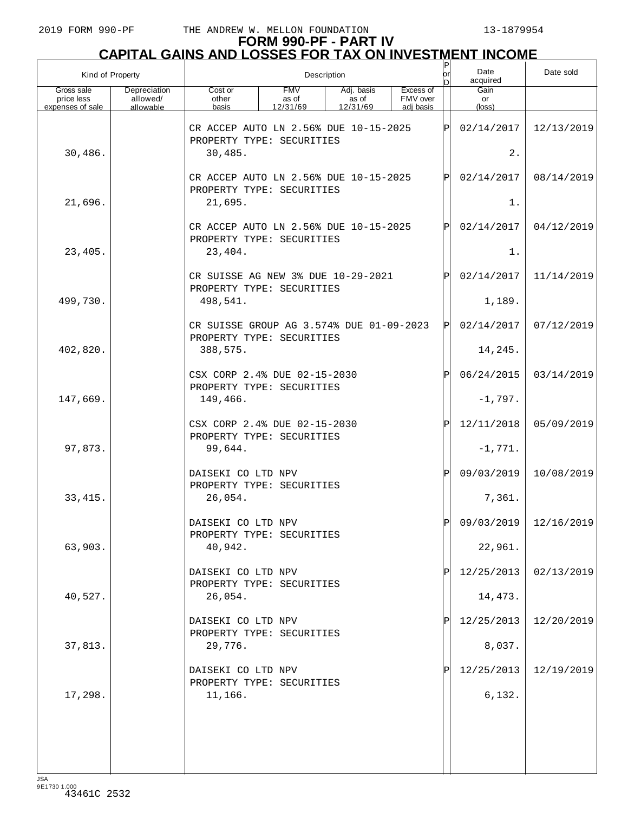# **FORM 990-PF - PART IV CAPITAL GAINS AND LOSSES FOR TAX ON INVESTMENT INCOME** P

| Kind of Property                             |                                       |                                                                                                                                       | Description                                                               | or | Date<br>acquired | Date sold |                      |                         |
|----------------------------------------------|---------------------------------------|---------------------------------------------------------------------------------------------------------------------------------------|---------------------------------------------------------------------------|----|------------------|-----------|----------------------|-------------------------|
| Gross sale<br>price less<br>expenses of sale | Depreciation<br>allowed/<br>allowable | <b>FMV</b><br>Excess of<br>Cost or<br>Adj. basis<br>FMV over<br>as of<br>other<br>as of<br>basis<br>12/31/69<br>12/31/69<br>adi basis |                                                                           |    |                  |           | Gain<br>or<br>(loss) |                         |
|                                              |                                       |                                                                                                                                       | CR ACCEP AUTO LN 2.56% DUE 10-15-2025<br>ΙPΙ<br>PROPERTY TYPE: SECURITIES |    |                  |           |                      | 12/13/2019              |
| 30,486.                                      |                                       | 30,485.                                                                                                                               |                                                                           |    |                  | $2$ .     |                      |                         |
|                                              |                                       | CR ACCEP AUTO LN 2.56% DUE 10-15-2025<br>PROPERTY TYPE: SECURITIES                                                                    |                                                                           |    |                  | IPI       | 02/14/2017           | 08/14/2019              |
| 21,696.                                      |                                       | 21,695.                                                                                                                               |                                                                           |    |                  |           | 1.                   |                         |
|                                              |                                       | CR ACCEP AUTO LN 2.56% DUE 10-15-2025<br>PROPERTY TYPE: SECURITIES                                                                    |                                                                           |    |                  | ΙPΙ       | 02/14/2017           | 04/12/2019              |
| 23,405.                                      |                                       | 23,404.                                                                                                                               |                                                                           |    |                  |           | 1.                   |                         |
|                                              |                                       | CR SUISSE AG NEW 3% DUE 10-29-2021<br>PROPERTY TYPE: SECURITIES                                                                       |                                                                           |    |                  | ΙPΙ       | 02/14/2017           | 11/14/2019              |
| 499,730.                                     |                                       | 498,541.                                                                                                                              |                                                                           |    |                  |           | 1,189.               |                         |
|                                              |                                       | CR SUISSE GROUP AG 3.574% DUE 01-09-2023<br>PROPERTY TYPE: SECURITIES                                                                 |                                                                           |    |                  | ΙÞΙ       | 02/14/2017           | 07/12/2019              |
| 402,820.                                     |                                       | 388,575.                                                                                                                              |                                                                           |    |                  |           | 14,245.              |                         |
|                                              |                                       | CSX CORP 2.4% DUE 02-15-2030<br>PROPERTY TYPE: SECURITIES                                                                             |                                                                           |    |                  | Þl        | 06/24/2015           | 03/14/2019              |
| 147,669.                                     |                                       | 149,466.                                                                                                                              |                                                                           |    |                  |           | $-1,797.$            |                         |
|                                              |                                       | CSX CORP 2.4% DUE 02-15-2030<br>PROPERTY TYPE: SECURITIES                                                                             |                                                                           |    |                  | ΙÞΙ       | 12/11/2018           | 05/09/2019              |
| 97,873.                                      |                                       | 99,644.                                                                                                                               |                                                                           |    |                  |           | $-1,771.$            |                         |
|                                              |                                       | DAISEKI CO LTD NPV<br>PROPERTY TYPE: SECURITIES                                                                                       |                                                                           |    |                  | Þl        | 09/03/2019           | 10/08/2019              |
| 33, 415.                                     |                                       | 26,054.                                                                                                                               |                                                                           |    |                  |           | 7,361.               |                         |
|                                              |                                       | DAISEKI CO LTD NPV<br>PROPERTY TYPE: SECURITIES                                                                                       |                                                                           |    |                  | lÞl       |                      | 09/03/2019   12/16/2019 |
| 63,903.                                      |                                       | 40,942.                                                                                                                               |                                                                           |    |                  |           | 22,961.              |                         |
|                                              |                                       | DAISEKI CO LTD NPV<br>PROPERTY TYPE: SECURITIES                                                                                       |                                                                           |    |                  | ΙP        | 12/25/2013           | 02/13/2019              |
| 40,527.                                      |                                       | 26,054.                                                                                                                               |                                                                           |    |                  |           | 14,473.              |                         |
|                                              |                                       | DAISEKI CO LTD NPV<br>PROPERTY TYPE: SECURITIES                                                                                       |                                                                           |    |                  | ΙP        | 12/25/2013           | 12/20/2019              |
| 37,813.                                      |                                       | 29,776.                                                                                                                               |                                                                           |    |                  |           | 8,037.               |                         |
|                                              |                                       | DAISEKI CO LTD NPV<br>PROPERTY TYPE: SECURITIES                                                                                       |                                                                           |    |                  | Þ         | 12/25/2013           | 12/19/2019              |
| 17,298.                                      |                                       | 11,166.                                                                                                                               |                                                                           |    |                  |           | 6,132.               |                         |
|                                              |                                       |                                                                                                                                       |                                                                           |    |                  |           |                      |                         |
|                                              |                                       |                                                                                                                                       |                                                                           |    |                  |           |                      |                         |
|                                              |                                       |                                                                                                                                       |                                                                           |    |                  |           |                      |                         |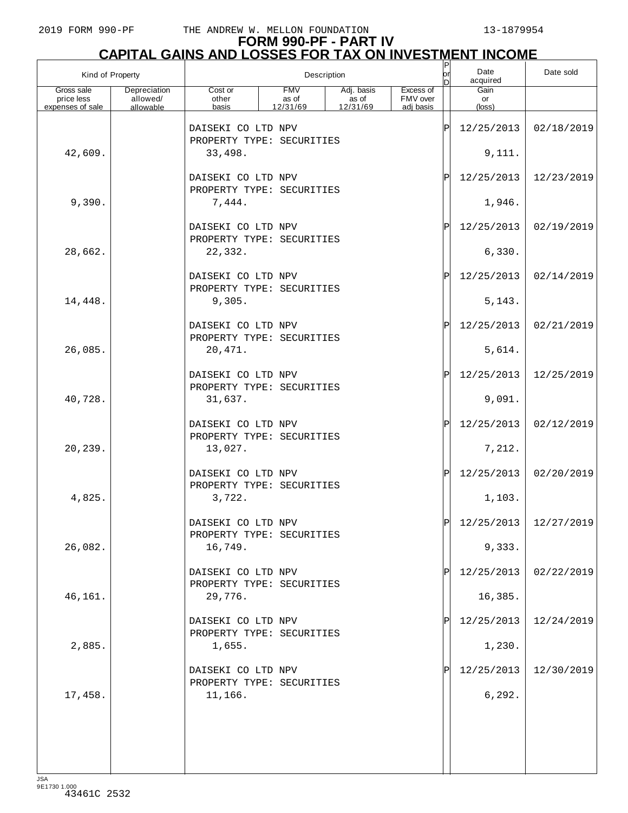# **FORM 990-PF - PART IV CAPITAL GAINS AND LOSSES FOR TAX ON INVESTMENT INCOME** P

| Kind of Property         |                          | Description                                                |                     |                     |                       |    | Date<br>acquired      | Date sold             |
|--------------------------|--------------------------|------------------------------------------------------------|---------------------|---------------------|-----------------------|----|-----------------------|-----------------------|
| Gross sale<br>price less | Depreciation<br>allowed/ | Cost or<br>other                                           | <b>FMV</b><br>as of | Adj. basis<br>as of | Excess of<br>FMV over |    | Gain<br>or            |                       |
| expenses of sale         | allowable                | basis                                                      | 12/31/69            | 12/31/69            | adi basis             |    | (loss)                |                       |
|                          |                          | DAISEKI CO LTD NPV<br>PROPERTY TYPE: SECURITIES            |                     |                     |                       | ΙP | 12/25/2013            | 02/18/2019            |
| 42,609.                  |                          | 33,498.                                                    |                     |                     |                       |    | 9,111.                |                       |
|                          |                          | DAISEKI CO LTD NPV<br>PROPERTY TYPE: SECURITIES            |                     |                     |                       | ΙP | 12/25/2013            | 12/23/2019            |
| 9,390.                   |                          | 7,444.                                                     |                     |                     |                       |    | 1,946.                |                       |
|                          |                          | DAISEKI CO LTD NPV<br>PROPERTY TYPE: SECURITIES            |                     |                     |                       | ΙP | 12/25/2013            | 02/19/2019            |
| 28,662.                  |                          | 22,332.                                                    |                     |                     |                       |    | 6,330.                |                       |
|                          |                          | DAISEKI CO LTD NPV<br>PROPERTY TYPE: SECURITIES            |                     |                     |                       | ΙP | 12/25/2013            | 02/14/2019            |
| 14,448.                  |                          | 9,305.                                                     |                     |                     |                       | ΙP | 5,143.                |                       |
| 26,085.                  |                          | DAISEKI CO LTD NPV<br>PROPERTY TYPE: SECURITIES<br>20,471. |                     |                     |                       |    | 12/25/2013<br>5,614.  | 02/21/2019            |
|                          |                          | DAISEKI CO LTD NPV                                         |                     |                     |                       | ΙP | 12/25/2013            | 12/25/2019            |
| 40,728.                  |                          | PROPERTY TYPE: SECURITIES<br>31,637.                       |                     |                     |                       |    | 9,091.                |                       |
|                          |                          | DAISEKI CO LTD NPV                                         |                     |                     |                       | ΙP | 12/25/2013            | 02/12/2019            |
| 20,239.                  |                          | PROPERTY TYPE: SECURITIES<br>13,027.                       |                     |                     |                       |    | 7,212.                |                       |
|                          |                          | DAISEKI CO LTD NPV<br>PROPERTY TYPE: SECURITIES            |                     |                     |                       | ΙP | 12/25/2013            | 02/20/2019            |
| 4,825.                   |                          | 3,722.                                                     |                     |                     |                       |    | 1,103.                |                       |
|                          |                          | DAISEKI CO LTD NPV<br>PROPERTY TYPE: SECURITIES            |                     |                     |                       | D  |                       | 12/25/2013 12/27/2019 |
| 26,082.                  |                          | 16,749.                                                    |                     |                     |                       |    | 9,333.                |                       |
|                          |                          | DAISEKI CO LTD NPV<br>PROPERTY TYPE: SECURITIES            |                     |                     |                       |    | 12/25/2013            | 02/22/2019            |
| 46,161.                  |                          | 29,776.<br>DAISEKI CO LTD NPV                              |                     |                     |                       |    | 16,385.<br>12/25/2013 | 12/24/2019            |
| 2,885.                   |                          | PROPERTY TYPE: SECURITIES<br>1,655.                        |                     |                     |                       |    | 1,230.                |                       |
|                          |                          |                                                            |                     |                     |                       |    |                       |                       |
| 17,458.                  |                          | DAISEKI CO LTD NPV<br>PROPERTY TYPE: SECURITIES<br>11,166. |                     |                     |                       |    | 12/25/2013<br>6,292.  | 12/30/2019            |
|                          |                          |                                                            |                     |                     |                       |    |                       |                       |
|                          |                          |                                                            |                     |                     |                       |    |                       |                       |
|                          |                          |                                                            |                     |                     |                       |    |                       |                       |
|                          |                          |                                                            |                     |                     |                       |    |                       |                       |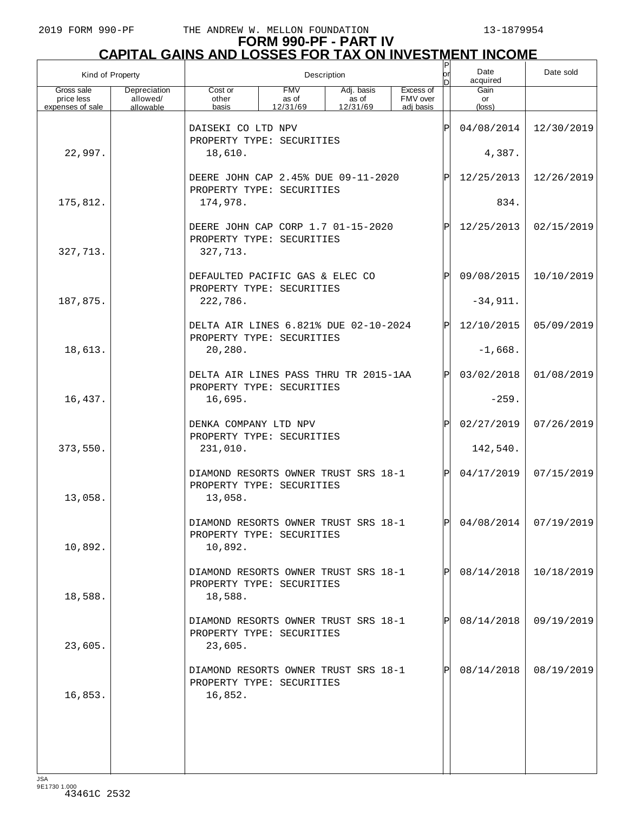| Kind of Property                             |                                       | Description                                                                  |                                 |                                 |                                    |             | Date<br>acquired              | Date sold  |
|----------------------------------------------|---------------------------------------|------------------------------------------------------------------------------|---------------------------------|---------------------------------|------------------------------------|-------------|-------------------------------|------------|
| Gross sale<br>price less<br>expenses of sale | Depreciation<br>allowed/<br>allowable | Cost or<br>other<br>basis                                                    | <b>FMV</b><br>as of<br>12/31/69 | Adj. basis<br>as of<br>12/31/69 | Excess of<br>FMV over<br>adi basis |             | Gain<br>or<br>$(\text{loss})$ |            |
|                                              |                                       | DAISEKI CO LTD NPV<br>PROPERTY TYPE: SECURITIES                              |                                 |                                 | P                                  | 04/08/2014  | 12/30/2019                    |            |
| 22,997.                                      |                                       | 18,610.                                                                      |                                 |                                 | 4,387.                             |             |                               |            |
|                                              |                                       | DEERE JOHN CAP 2.45% DUE 09-11-2020                                          |                                 |                                 |                                    | ΙÞΙ         | 12/25/2013                    | 12/26/2019 |
| 175,812.                                     |                                       | PROPERTY TYPE: SECURITIES<br>174,978.                                        |                                 |                                 |                                    |             | 834.                          |            |
| 327,713.                                     |                                       | DEERE JOHN CAP CORP 1.7 01-15-2020<br>PROPERTY TYPE: SECURITIES<br>327,713.  |                                 |                                 |                                    | ΙÞΙ         | 12/25/2013                    | 02/15/2019 |
|                                              |                                       | DEFAULTED PACIFIC GAS & ELEC CO<br>PROPERTY TYPE: SECURITIES                 |                                 |                                 |                                    | ΙPΙ         | 09/08/2015                    | 10/10/2019 |
| 187,875.                                     |                                       | 222,786.                                                                     |                                 |                                 |                                    |             | $-34,911.$                    |            |
|                                              |                                       | DELTA AIR LINES 6.821% DUE 02-10-2024<br>PROPERTY TYPE: SECURITIES           |                                 |                                 |                                    | ΙPΙ         | 12/10/2015                    | 05/09/2019 |
| 18,613.                                      |                                       | 20,280.                                                                      |                                 |                                 |                                    |             | $-1,668.$                     |            |
|                                              |                                       | DELTA AIR LINES PASS THRU TR 2015-1AA<br>PROPERTY TYPE: SECURITIES           |                                 |                                 |                                    | ΙPΙ         | 03/02/2018                    | 01/08/2019 |
| 16,437.                                      |                                       | 16,695.                                                                      |                                 |                                 |                                    |             | $-259.$                       |            |
| 373,550.                                     |                                       | DENKA COMPANY LTD NPV<br>PROPERTY TYPE: SECURITIES<br>231,010.               |                                 |                                 |                                    | $\mathbf P$ | 02/27/2019<br>142,540.        | 07/26/2019 |
|                                              |                                       |                                                                              |                                 |                                 |                                    |             |                               |            |
| 13,058.                                      |                                       | DIAMOND RESORTS OWNER TRUST SRS 18-1<br>PROPERTY TYPE: SECURITIES<br>13,058. |                                 |                                 |                                    | ΙPΙ         | 04/17/2019                    | 07/15/2019 |
| 10,892.                                      |                                       | DIAMOND RESORTS OWNER TRUST SRS 18-1<br>PROPERTY TYPE: SECURITIES<br>10,892. |                                 |                                 |                                    | lol         | $04/08/2014$ 07/19/2019       |            |
| 18,588.                                      |                                       | DIAMOND RESORTS OWNER TRUST SRS 18-1<br>PROPERTY TYPE: SECURITIES<br>18,588. |                                 |                                 |                                    |             | 08/14/2018                    | 10/18/2019 |
| 23,605.                                      |                                       | DIAMOND RESORTS OWNER TRUST SRS 18-1<br>PROPERTY TYPE: SECURITIES<br>23,605. |                                 |                                 |                                    |             | 08/14/2018                    | 09/19/2019 |
| 16,853.                                      |                                       | DIAMOND RESORTS OWNER TRUST SRS 18-1<br>PROPERTY TYPE: SECURITIES<br>16,852. |                                 |                                 |                                    |             | 08/14/2018                    | 08/19/2019 |
|                                              |                                       |                                                                              |                                 |                                 |                                    |             |                               |            |
|                                              |                                       |                                                                              |                                 |                                 |                                    |             |                               |            |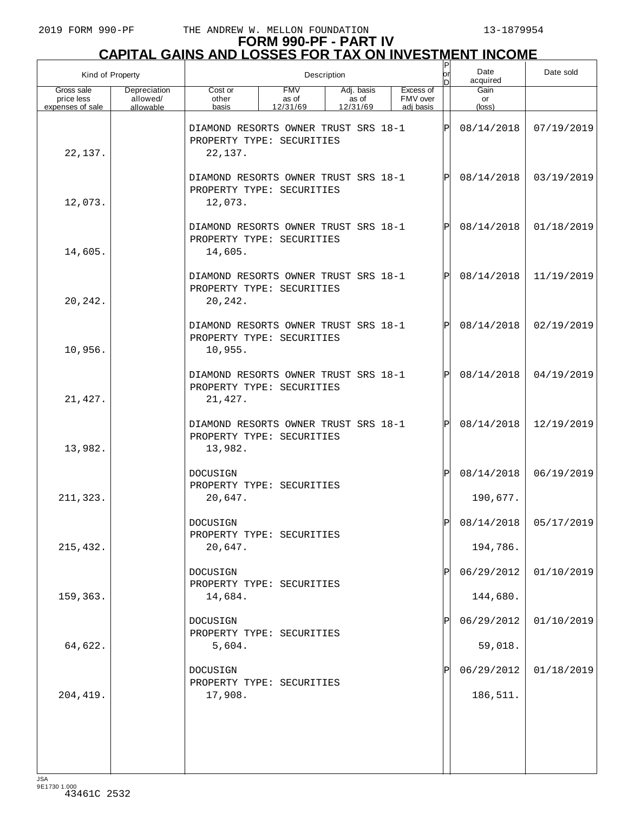# **FORM 990-PF - PART IV CAPITAL GAINS AND LOSSES FOR TAX ON INVESTMENT INCOME** P

| Kind of Property                             |                                       |                                                                              | Description                     | or<br>D                         | Date<br>acquired                   | Date sold    |                        |                       |
|----------------------------------------------|---------------------------------------|------------------------------------------------------------------------------|---------------------------------|---------------------------------|------------------------------------|--------------|------------------------|-----------------------|
| Gross sale<br>price less<br>expenses of sale | Depreciation<br>allowed/<br>allowable | Cost or<br>other<br>basis                                                    | <b>FMV</b><br>as of<br>12/31/69 | Adj. basis<br>as of<br>12/31/69 | Excess of<br>FMV over<br>adi basis |              | Gain<br>or<br>(loss)   |                       |
| 22,137.                                      |                                       | DIAMOND RESORTS OWNER TRUST SRS 18-1<br>PROPERTY TYPE: SECURITIES<br>22,137. |                                 |                                 |                                    | $\mathbf P$  | 08/14/2018             | 07/19/2019            |
| 12,073.                                      |                                       | DIAMOND RESORTS OWNER TRUST SRS 18-1<br>PROPERTY TYPE: SECURITIES<br>12,073. |                                 |                                 |                                    | $\mathsf{P}$ | 08/14/2018             | 03/19/2019            |
| 14,605.                                      |                                       | DIAMOND RESORTS OWNER TRUST SRS 18-1<br>PROPERTY TYPE: SECURITIES<br>14,605. |                                 |                                 |                                    | $\mathsf{P}$ | 08/14/2018             | 01/18/2019            |
| 20,242.                                      |                                       | DIAMOND RESORTS OWNER TRUST SRS 18-1<br>PROPERTY TYPE: SECURITIES<br>20,242. |                                 |                                 |                                    | $\mathsf{P}$ | 08/14/2018             | 11/19/2019            |
| 10,956.                                      |                                       | DIAMOND RESORTS OWNER TRUST SRS 18-1<br>PROPERTY TYPE: SECURITIES<br>10,955. |                                 |                                 |                                    | $\mathsf{P}$ | 08/14/2018             | 02/19/2019            |
| 21, 427.                                     |                                       | DIAMOND RESORTS OWNER TRUST SRS 18-1<br>PROPERTY TYPE: SECURITIES<br>21,427. |                                 |                                 |                                    | $\mathsf{P}$ | 08/14/2018             | 04/19/2019            |
| 13,982.                                      |                                       | DIAMOND RESORTS OWNER TRUST SRS 18-1<br>PROPERTY TYPE: SECURITIES<br>13,982. |                                 |                                 |                                    | $\mathsf{P}$ | 08/14/2018             | 12/19/2019            |
| 211,323.                                     |                                       | DOCUSIGN<br>PROPERTY TYPE: SECURITIES<br>20,647.                             |                                 |                                 |                                    | Ρ            | 08/14/2018<br>190,677. | 06/19/2019            |
| 215, 432.                                    |                                       | DOCUSIGN<br>PROPERTY TYPE: SECURITIES<br>20,647.                             |                                 |                                 |                                    | $\mathsf{P}$ | 194,786.               | 08/14/2018 05/17/2019 |
| 159,363.                                     |                                       | DOCUSIGN<br>PROPERTY TYPE: SECURITIES<br>14,684.                             |                                 |                                 |                                    |              | 06/29/2012<br>144,680. | 01/10/2019            |
| 64,622.                                      |                                       | DOCUSIGN<br>PROPERTY TYPE: SECURITIES<br>5,604.                              |                                 |                                 |                                    |              | 06/29/2012<br>59,018.  | 01/10/2019            |
| 204, 419.                                    |                                       | DOCUSIGN<br>PROPERTY TYPE: SECURITIES<br>17,908.                             |                                 |                                 |                                    |              | 06/29/2012<br>186,511. | 01/18/2019            |
| $I \subseteq \Delta$                         |                                       |                                                                              |                                 |                                 |                                    |              |                        |                       |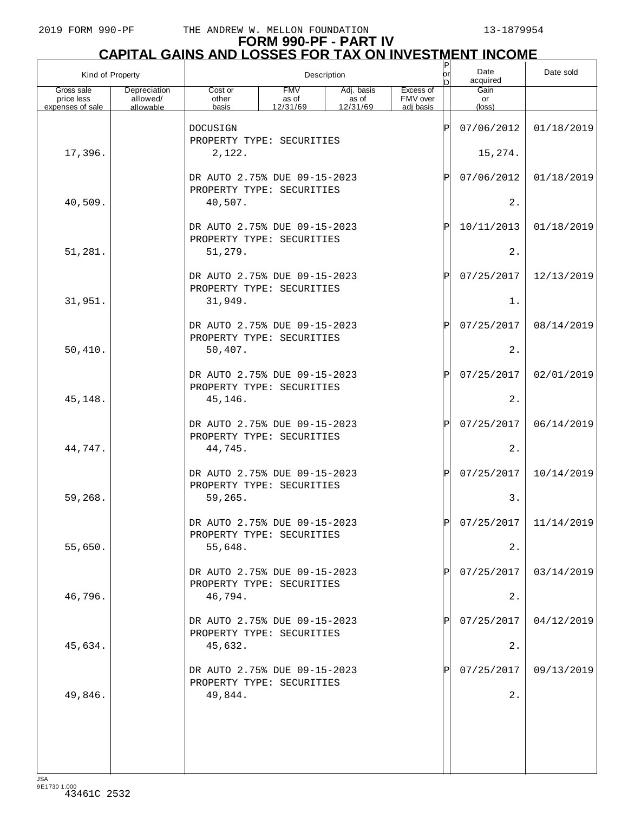| Kind of Property                             |                                       |                           | Description                                               | $\mathsf P$<br>lor<br>n         | Date<br>Date sold<br>acquired      |    |                               |            |
|----------------------------------------------|---------------------------------------|---------------------------|-----------------------------------------------------------|---------------------------------|------------------------------------|----|-------------------------------|------------|
| Gross sale<br>price less<br>expenses of sale | Depreciation<br>allowed/<br>allowable | Cost or<br>other<br>basis | <b>FMV</b><br>as of<br>12/31/69                           | Adj. basis<br>as of<br>12/31/69 | Excess of<br>FMV over<br>adi basis |    | Gain<br>or<br>$(\text{loss})$ |            |
|                                              |                                       | DOCUSIGN                  |                                                           |                                 |                                    | ΙP | 07/06/2012                    | 01/18/2019 |
| 17,396.                                      |                                       | 2,122.                    | PROPERTY TYPE: SECURITIES                                 |                                 |                                    |    | 15,274.                       |            |
|                                              |                                       |                           | DR AUTO 2.75% DUE 09-15-2023<br>PROPERTY TYPE: SECURITIES |                                 |                                    | ΙP | 07/06/2012                    | 01/18/2019 |
| 40,509.                                      |                                       | 40,507.                   |                                                           |                                 |                                    |    | 2.                            |            |
|                                              |                                       |                           | DR AUTO 2.75% DUE 09-15-2023<br>PROPERTY TYPE: SECURITIES |                                 |                                    | ΙP | 10/11/2013                    | 01/18/2019 |
| 51,281.                                      |                                       | 51,279.                   |                                                           |                                 |                                    |    | 2.                            |            |
|                                              |                                       |                           | DR AUTO 2.75% DUE 09-15-2023<br>PROPERTY TYPE: SECURITIES |                                 |                                    | ΙP | 07/25/2017                    | 12/13/2019 |
| 31,951.                                      |                                       | 31,949.                   |                                                           |                                 |                                    |    | $1$ .                         |            |
| 50,410.                                      |                                       | 50,407.                   | DR AUTO 2.75% DUE 09-15-2023<br>PROPERTY TYPE: SECURITIES |                                 |                                    | ΙP | 07/25/2017<br>2.              | 08/14/2019 |
|                                              |                                       |                           | DR AUTO 2.75% DUE 09-15-2023                              |                                 |                                    | ΙP | 07/25/2017                    | 02/01/2019 |
| 45,148.                                      |                                       | 45,146.                   | PROPERTY TYPE: SECURITIES                                 |                                 |                                    |    | 2.                            |            |
|                                              |                                       |                           | DR AUTO 2.75% DUE 09-15-2023                              |                                 |                                    | ΙP | 07/25/2017                    | 06/14/2019 |
| 44,747.                                      |                                       | 44,745.                   | PROPERTY TYPE: SECURITIES                                 |                                 |                                    |    | 2.                            |            |
|                                              |                                       |                           | DR AUTO 2.75% DUE 09-15-2023<br>PROPERTY TYPE: SECURITIES |                                 |                                    | ΙP | 07/25/2017                    | 10/14/2019 |
| 59,268.                                      |                                       | 59,265.                   |                                                           |                                 |                                    |    | 3.                            |            |
|                                              |                                       |                           | DR AUTO 2.75% DUE 09-15-2023<br>PROPERTY TYPE: SECURITIES |                                 |                                    |    | 07/25/2017                    | 11/14/2019 |
| 55,650.                                      |                                       | 55,648.                   |                                                           |                                 |                                    |    | 2.                            |            |
|                                              |                                       |                           | DR AUTO 2.75% DUE 09-15-2023<br>PROPERTY TYPE: SECURITIES |                                 |                                    |    | 07/25/2017                    | 03/14/2019 |
| 46,796.                                      |                                       | 46,794.                   | DR AUTO 2.75% DUE 09-15-2023                              |                                 |                                    |    | 2.<br>07/25/2017              |            |
| 45,634.                                      |                                       | 45,632.                   | PROPERTY TYPE: SECURITIES                                 |                                 |                                    |    | 2.                            | 04/12/2019 |
|                                              |                                       |                           | DR AUTO 2.75% DUE 09-15-2023                              |                                 |                                    |    | 07/25/2017                    | 09/13/2019 |
| 49,846.                                      |                                       | 49,844.                   | PROPERTY TYPE: SECURITIES                                 |                                 |                                    |    | 2.                            |            |
|                                              |                                       |                           |                                                           |                                 |                                    |    |                               |            |
|                                              |                                       |                           |                                                           |                                 |                                    |    |                               |            |
|                                              |                                       |                           |                                                           |                                 |                                    |    |                               |            |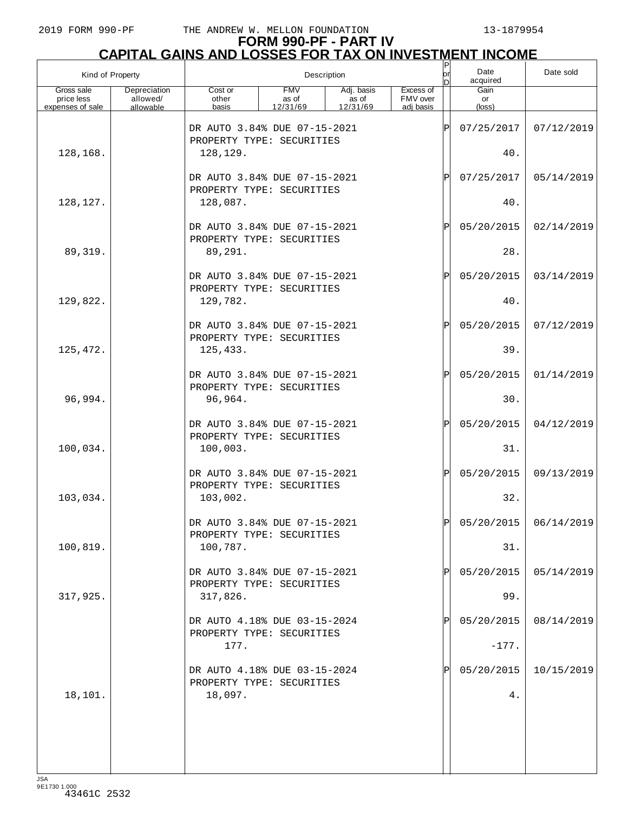|                                              | Kind of Property                      |                                                           | Description                     | P<br>or<br>n                    | Date<br>acquired                   | Date sold |                               |                         |
|----------------------------------------------|---------------------------------------|-----------------------------------------------------------|---------------------------------|---------------------------------|------------------------------------|-----------|-------------------------------|-------------------------|
| Gross sale<br>price less<br>expenses of sale | Depreciation<br>allowed/<br>allowable | Cost or<br>other                                          | <b>FMV</b><br>as of<br>12/31/69 | Adj. basis<br>as of<br>12/31/69 | Excess of<br>FMV over<br>adi basis |           | Gain<br>or<br>$(\text{loss})$ |                         |
|                                              |                                       | basis                                                     |                                 |                                 |                                    |           |                               |                         |
|                                              |                                       | DR AUTO 3.84% DUE 07-15-2021<br>PROPERTY TYPE: SECURITIES |                                 |                                 |                                    | ΙP        | 07/25/2017                    | 07/12/2019              |
| 128,168.                                     |                                       | 128,129.                                                  |                                 |                                 |                                    |           | 40.                           |                         |
|                                              |                                       | DR AUTO 3.84% DUE 07-15-2021                              |                                 |                                 |                                    | ΙP        | 07/25/2017                    | 05/14/2019              |
| 128,127.                                     |                                       | PROPERTY TYPE: SECURITIES<br>128,087.                     |                                 |                                 |                                    |           | 40.                           |                         |
|                                              |                                       |                                                           |                                 |                                 |                                    |           |                               |                         |
|                                              |                                       | DR AUTO 3.84% DUE 07-15-2021<br>PROPERTY TYPE: SECURITIES |                                 |                                 |                                    | ΙP        | 05/20/2015                    | 02/14/2019              |
| 89,319.                                      |                                       | 89,291.                                                   |                                 |                                 |                                    |           | 28.                           |                         |
|                                              |                                       | DR AUTO 3.84% DUE 07-15-2021                              |                                 |                                 |                                    | ΙP        | 05/20/2015                    | 03/14/2019              |
| 129,822.                                     |                                       | PROPERTY TYPE: SECURITIES<br>129,782.                     |                                 |                                 |                                    |           | 40.                           |                         |
|                                              |                                       | DR AUTO 3.84% DUE 07-15-2021                              |                                 |                                 |                                    | ΙP        |                               |                         |
|                                              |                                       | PROPERTY TYPE: SECURITIES                                 |                                 |                                 |                                    |           | 05/20/2015                    | 07/12/2019              |
| 125,472.                                     |                                       | 125,433.                                                  |                                 |                                 |                                    |           | 39.                           |                         |
|                                              |                                       | DR AUTO 3.84% DUE 07-15-2021                              |                                 |                                 |                                    | ΙP        | 05/20/2015                    | 01/14/2019              |
| 96,994.                                      |                                       | PROPERTY TYPE: SECURITIES<br>96,964.                      |                                 |                                 |                                    |           | 30.                           |                         |
|                                              |                                       | DR AUTO 3.84% DUE 07-15-2021                              |                                 |                                 |                                    | ΙP        | 05/20/2015                    | 04/12/2019              |
|                                              |                                       | PROPERTY TYPE: SECURITIES                                 |                                 |                                 |                                    |           |                               |                         |
| 100,034.                                     |                                       | 100,003.                                                  |                                 |                                 |                                    |           | 31.                           |                         |
|                                              |                                       | DR AUTO 3.84% DUE 07-15-2021<br>PROPERTY TYPE: SECURITIES |                                 |                                 |                                    | ΙP        | 05/20/2015                    | 09/13/2019              |
| 103,034.                                     |                                       | 103,002.                                                  |                                 |                                 |                                    |           | 32.                           |                         |
|                                              |                                       | DR AUTO 3.84% DUE 07-15-2021                              |                                 |                                 |                                    | D         |                               | $05/20/2015$ 06/14/2019 |
| 100, 819.                                    |                                       | PROPERTY TYPE: SECURITIES                                 |                                 |                                 |                                    |           | 31.                           |                         |
|                                              |                                       | 100,787.                                                  |                                 |                                 |                                    |           |                               |                         |
|                                              |                                       | DR AUTO 3.84% DUE 07-15-2021<br>PROPERTY TYPE: SECURITIES |                                 |                                 |                                    |           | 05/20/2015                    | 05/14/2019              |
| 317,925.                                     |                                       | 317,826.                                                  |                                 |                                 |                                    |           | 99.                           |                         |
|                                              |                                       | DR AUTO 4.18% DUE 03-15-2024                              |                                 |                                 |                                    |           | 05/20/2015                    | 08/14/2019              |
|                                              |                                       | PROPERTY TYPE: SECURITIES<br>177.                         |                                 |                                 |                                    |           | $-177.$                       |                         |
|                                              |                                       |                                                           |                                 |                                 |                                    |           |                               |                         |
|                                              |                                       | DR AUTO 4.18% DUE 03-15-2024<br>PROPERTY TYPE: SECURITIES |                                 |                                 |                                    |           | 05/20/2015                    | 10/15/2019              |
| 18,101.                                      |                                       | 18,097.                                                   |                                 |                                 |                                    |           | 4.                            |                         |
|                                              |                                       |                                                           |                                 |                                 |                                    |           |                               |                         |
|                                              |                                       |                                                           |                                 |                                 |                                    |           |                               |                         |
|                                              |                                       |                                                           |                                 |                                 |                                    |           |                               |                         |
| ICA                                          |                                       |                                                           |                                 |                                 |                                    |           |                               |                         |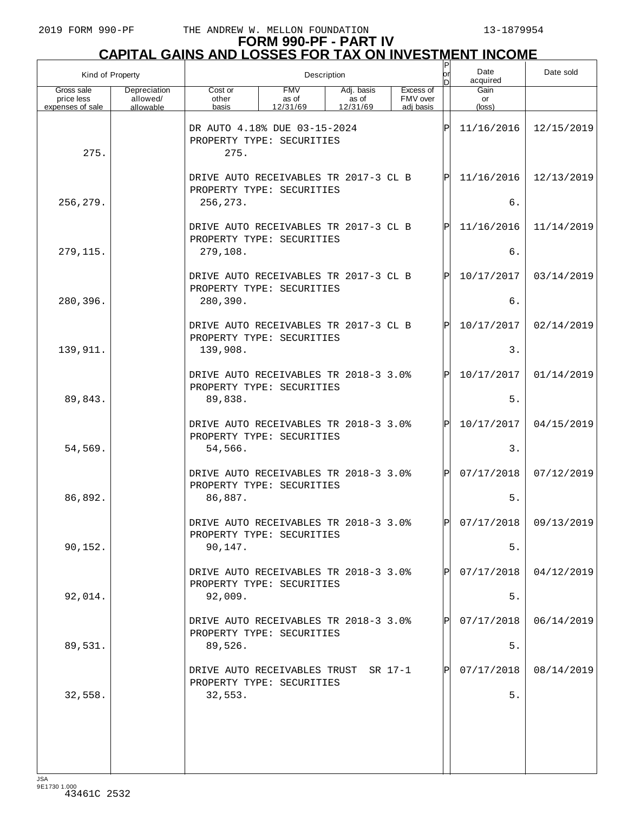| Kind of Property                             |                                       | Description                                                                    |                                 |                                 |                                    |              | Date<br>acquired     | Date sold               |
|----------------------------------------------|---------------------------------------|--------------------------------------------------------------------------------|---------------------------------|---------------------------------|------------------------------------|--------------|----------------------|-------------------------|
| Gross sale<br>price less<br>expenses of sale | Depreciation<br>allowed/<br>allowable | Cost or<br>other<br>basis                                                      | <b>FMV</b><br>as of<br>12/31/69 | Adj. basis<br>as of<br>12/31/69 | Excess of<br>FMV over<br>adi basis |              | Gain<br>or<br>(loss) |                         |
| 275.                                         |                                       | DR AUTO 4.18% DUE 03-15-2024<br>PROPERTY TYPE: SECURITIES<br>275.              |                                 |                                 |                                    | P            | 11/16/2016           | 12/15/2019              |
|                                              |                                       | DRIVE AUTO RECEIVABLES TR 2017-3 CL B<br>PROPERTY TYPE: SECURITIES             |                                 |                                 |                                    | ΙÞΙ          | 11/16/2016           | 12/13/2019              |
| 256,279.                                     |                                       | 256, 273.                                                                      |                                 |                                 |                                    |              | б.                   |                         |
|                                              |                                       | DRIVE AUTO RECEIVABLES TR 2017-3 CL B<br>PROPERTY TYPE: SECURITIES             |                                 |                                 |                                    | $\mathbf P$  | 11/16/2016           | 11/14/2019              |
| 279,115.                                     |                                       | 279,108.                                                                       |                                 |                                 |                                    |              | б.                   |                         |
| 280,396.                                     |                                       | DRIVE AUTO RECEIVABLES TR 2017-3 CL B<br>PROPERTY TYPE: SECURITIES<br>280,390. |                                 |                                 |                                    | $\mathbf P$  | 10/17/2017<br>б.     | 03/14/2019              |
|                                              |                                       |                                                                                |                                 |                                 |                                    |              |                      |                         |
| 139,911.                                     |                                       | DRIVE AUTO RECEIVABLES TR 2017-3 CL B<br>PROPERTY TYPE: SECURITIES<br>139,908. |                                 |                                 |                                    | $\mathbf P$  | 10/17/2017<br>3.     | 02/14/2019              |
|                                              |                                       |                                                                                |                                 |                                 |                                    |              |                      |                         |
|                                              |                                       | DRIVE AUTO RECEIVABLES TR 2018-3 3.0%<br>PROPERTY TYPE: SECURITIES             |                                 |                                 |                                    | $\mathbf P$  | 10/17/2017           | 01/14/2019              |
| 89,843.                                      |                                       | 89,838.                                                                        |                                 |                                 |                                    |              | 5.                   |                         |
|                                              |                                       | DRIVE AUTO RECEIVABLES TR 2018-3 3.0%<br>PROPERTY TYPE: SECURITIES             |                                 |                                 |                                    | $\mathsf{P}$ | 10/17/2017           | 04/15/2019              |
| 54,569.                                      |                                       | 54,566.                                                                        |                                 |                                 |                                    |              | 3.                   |                         |
|                                              |                                       | DRIVE AUTO RECEIVABLES TR 2018-3 3.0%<br>PROPERTY TYPE: SECURITIES             |                                 |                                 |                                    | Pl           | 07/17/2018           | 07/12/2019              |
| 86,892.                                      |                                       | 86,887.                                                                        |                                 |                                 |                                    |              | 5.                   |                         |
|                                              |                                       | DRIVE AUTO RECEIVABLES TR 2018-3 3.0%<br>PROPERTY TYPE: SECURITIES             |                                 |                                 |                                    | ÞІ           |                      | $07/17/2018$ 09/13/2019 |
| 90,152.                                      |                                       | 90,147.                                                                        |                                 |                                 |                                    |              | $5.$                 |                         |
|                                              |                                       | DRIVE AUTO RECEIVABLES TR 2018-3 3.0%<br>PROPERTY TYPE: SECURITIES             |                                 |                                 |                                    |              | 07/17/2018           | 04/12/2019              |
| 92,014.                                      |                                       | 92,009.                                                                        |                                 |                                 |                                    |              | $5.$                 |                         |
|                                              |                                       | DRIVE AUTO RECEIVABLES TR 2018-3 3.0%<br>PROPERTY TYPE: SECURITIES             |                                 |                                 |                                    |              | 07/17/2018           | 06/14/2019              |
| 89,531.                                      |                                       | 89,526.                                                                        |                                 |                                 |                                    |              | $5.$                 |                         |
|                                              |                                       | DRIVE AUTO RECEIVABLES TRUST SR 17-1<br>PROPERTY TYPE: SECURITIES              |                                 |                                 |                                    |              | 07/17/2018           | 08/14/2019              |
| 32,558.                                      |                                       | 32,553.                                                                        |                                 |                                 |                                    |              | 5.                   |                         |
|                                              |                                       |                                                                                |                                 |                                 |                                    |              |                      |                         |
|                                              |                                       |                                                                                |                                 |                                 |                                    |              |                      |                         |
|                                              |                                       |                                                                                |                                 |                                 |                                    |              |                      |                         |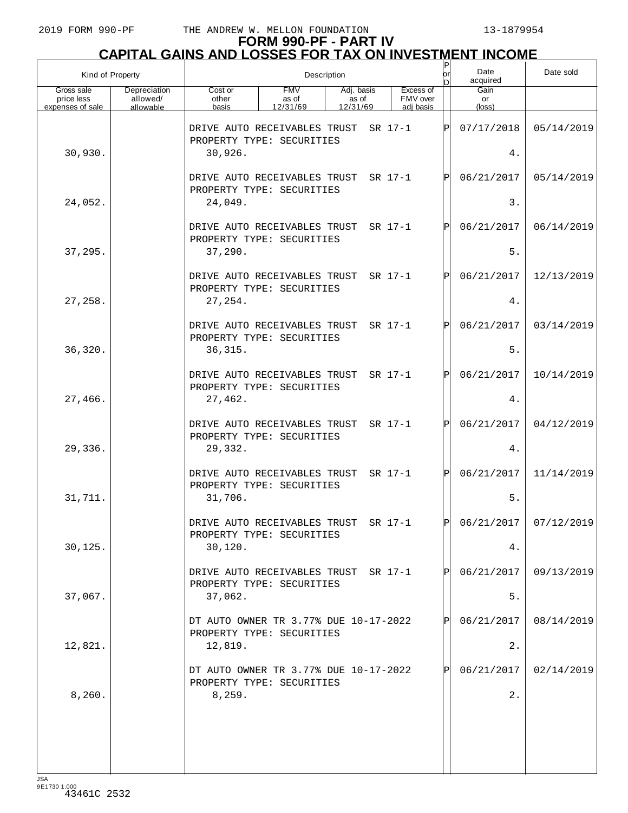| Kind of Property                             |                                       | Description<br>or                                                  |                                 |                                 |  |                                    |     | Date<br>acquired     | Date sold  |
|----------------------------------------------|---------------------------------------|--------------------------------------------------------------------|---------------------------------|---------------------------------|--|------------------------------------|-----|----------------------|------------|
| Gross sale<br>price less<br>expenses of sale | Depreciation<br>allowed/<br>allowable | Cost or<br>other<br>basis                                          | <b>FMV</b><br>as of<br>12/31/69 | Adj. basis<br>as of<br>12/31/69 |  | Excess of<br>FMV over<br>adi basis |     | Gain<br>or<br>(loss) |            |
|                                              |                                       | DRIVE AUTO RECEIVABLES TRUST<br>PROPERTY TYPE: SECURITIES          |                                 |                                 |  | SR 17-1                            | ΙÞΙ | 07/17/2018           | 05/14/2019 |
| 30,930.                                      |                                       | 30,926.                                                            |                                 |                                 |  |                                    |     | 4.                   |            |
|                                              |                                       | DRIVE AUTO RECEIVABLES TRUST<br>PROPERTY TYPE: SECURITIES          |                                 |                                 |  | SR 17-1                            | ΙPΙ | 06/21/2017           | 05/14/2019 |
| 24,052.                                      |                                       | 24,049.                                                            |                                 |                                 |  |                                    |     | 3.                   |            |
|                                              |                                       | DRIVE AUTO RECEIVABLES TRUST<br>PROPERTY TYPE: SECURITIES          |                                 |                                 |  | SR 17-1                            | ΙPΙ | 06/21/2017           | 06/14/2019 |
| 37,295.                                      |                                       | 37,290.                                                            |                                 |                                 |  |                                    |     | 5.                   |            |
|                                              |                                       | DRIVE AUTO RECEIVABLES TRUST<br>PROPERTY TYPE: SECURITIES          |                                 |                                 |  | SR 17-1                            | ΙPΙ | 06/21/2017           | 12/13/2019 |
| 27,258.                                      |                                       | 27,254.                                                            |                                 |                                 |  |                                    |     | 4.                   |            |
|                                              |                                       | DRIVE AUTO RECEIVABLES TRUST<br>PROPERTY TYPE: SECURITIES          |                                 |                                 |  | SR 17-1                            | ΙPΙ | 06/21/2017           | 03/14/2019 |
| 36,320.                                      |                                       | 36, 315.                                                           |                                 |                                 |  |                                    |     | 5.                   |            |
|                                              |                                       | DRIVE AUTO RECEIVABLES TRUST<br>PROPERTY TYPE: SECURITIES          |                                 |                                 |  | SR 17-1                            | ΙPΙ | 06/21/2017           | 10/14/2019 |
| 27,466.                                      |                                       | 27,462.                                                            |                                 |                                 |  |                                    |     | 4.                   |            |
|                                              |                                       | DRIVE AUTO RECEIVABLES TRUST<br>PROPERTY TYPE: SECURITIES          |                                 |                                 |  | SR 17-1                            | ΙPΙ | 06/21/2017           | 04/12/2019 |
| 29,336.                                      |                                       | 29,332.                                                            |                                 |                                 |  |                                    |     | 4.                   |            |
|                                              |                                       | DRIVE AUTO RECEIVABLES TRUST<br>PROPERTY TYPE: SECURITIES          |                                 |                                 |  | SR 17-1                            | ΙPΙ | 06/21/2017           | 11/14/2019 |
| 31,711.                                      |                                       | 31,706.                                                            |                                 |                                 |  |                                    |     | $5.$                 |            |
|                                              |                                       | DRIVE AUTO RECEIVABLES TRUST<br>PROPERTY TYPE: SECURITIES          |                                 |                                 |  | SR 17-1                            | ldl | 06/21/2017           | 07/12/2019 |
| 30,125.                                      |                                       | 30, 120.                                                           |                                 |                                 |  |                                    |     | 4.                   |            |
|                                              |                                       | DRIVE AUTO RECEIVABLES TRUST SR 17-1<br>PROPERTY TYPE: SECURITIES  |                                 |                                 |  |                                    | ΙPΙ | 06/21/2017           | 09/13/2019 |
| 37,067.                                      |                                       | 37,062.                                                            |                                 |                                 |  |                                    |     | 5.                   |            |
|                                              |                                       | DT AUTO OWNER TR 3.77% DUE 10-17-2022<br>PROPERTY TYPE: SECURITIES |                                 |                                 |  |                                    | ΙPΙ | 06/21/2017           | 08/14/2019 |
| 12,821.                                      |                                       | 12,819.                                                            |                                 |                                 |  |                                    |     | 2.                   |            |
|                                              |                                       | DT AUTO OWNER TR 3.77% DUE 10-17-2022<br>PROPERTY TYPE: SECURITIES |                                 |                                 |  |                                    | ΙPΙ | 06/21/2017           | 02/14/2019 |
| 8,260.                                       |                                       | 8,259.                                                             |                                 |                                 |  |                                    |     | $2$ .                |            |
|                                              |                                       |                                                                    |                                 |                                 |  |                                    |     |                      |            |
|                                              |                                       |                                                                    |                                 |                                 |  |                                    |     |                      |            |
|                                              |                                       |                                                                    |                                 |                                 |  |                                    |     |                      |            |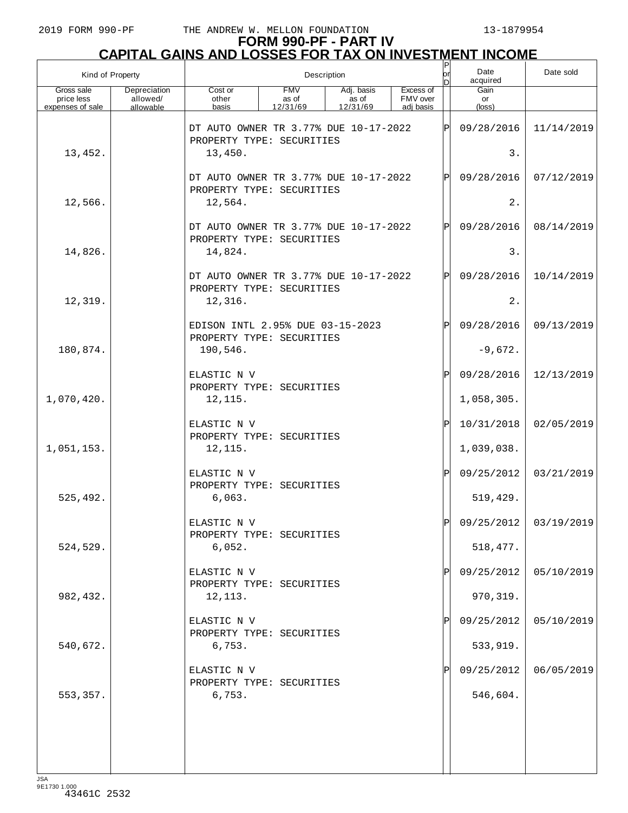# **FORM 990-PF - PART IV CAPITAL GAINS AND LOSSES FOR TAX ON INVESTMENT INCOME** P

| Kind of Property                             |                                       | Description                                                        |                                 |                                 |                                    |               | Date<br>acquired     | Date sold               |
|----------------------------------------------|---------------------------------------|--------------------------------------------------------------------|---------------------------------|---------------------------------|------------------------------------|---------------|----------------------|-------------------------|
| Gross sale<br>price less<br>expenses of sale | Depreciation<br>allowed/<br>allowable | Cost or<br>other<br>basis                                          | <b>FMV</b><br>as of<br>12/31/69 | Adj. basis<br>as of<br>12/31/69 | Excess of<br>FMV over<br>adi basis |               | Gain<br>or<br>(loss) |                         |
|                                              |                                       | DT AUTO OWNER TR 3.77% DUE 10-17-2022<br>PROPERTY TYPE: SECURITIES |                                 |                                 |                                    | lÞ            | 09/28/2016           | 11/14/2019              |
| 13,452.                                      |                                       | 13,450.                                                            |                                 |                                 |                                    |               | 3.                   |                         |
|                                              |                                       | DT AUTO OWNER TR 3.77% DUE 10-17-2022<br>PROPERTY TYPE: SECURITIES |                                 |                                 |                                    | P             | 09/28/2016           | 07/12/2019              |
| 12,566.                                      |                                       | 12,564.                                                            |                                 |                                 |                                    |               | 2.                   |                         |
|                                              |                                       | DT AUTO OWNER TR 3.77% DUE 10-17-2022<br>PROPERTY TYPE: SECURITIES |                                 |                                 |                                    | Þ             | 09/28/2016           | 08/14/2019              |
| 14,826.                                      |                                       | 14,824.                                                            |                                 |                                 |                                    |               | 3.                   |                         |
|                                              |                                       | DT AUTO OWNER TR 3.77% DUE 10-17-2022<br>PROPERTY TYPE: SECURITIES |                                 |                                 |                                    | Þ             | 09/28/2016           | 10/14/2019              |
| 12,319.                                      |                                       | 12,316.                                                            |                                 |                                 |                                    |               | 2.                   |                         |
|                                              |                                       | EDISON INTL 2.95% DUE 03-15-2023<br>PROPERTY TYPE: SECURITIES      |                                 |                                 |                                    | Ρ             | 09/28/2016           | 09/13/2019              |
| 180,874.                                     |                                       | 190,546.                                                           |                                 |                                 |                                    |               | $-9,672.$            |                         |
|                                              |                                       | ELASTIC N V<br>PROPERTY TYPE: SECURITIES                           |                                 |                                 |                                    | P             | 09/28/2016           | 12/13/2019              |
| 1,070,420.                                   |                                       | 12,115.                                                            |                                 |                                 |                                    |               | 1,058,305.           |                         |
|                                              |                                       | ELASTIC N V<br>PROPERTY TYPE: SECURITIES                           |                                 |                                 |                                    | $_\mathrm{P}$ | 10/31/2018           | 02/05/2019              |
| 1,051,153.                                   |                                       | 12,115.                                                            |                                 |                                 |                                    |               | 1,039,038.           |                         |
|                                              |                                       | ELASTIC N V<br>PROPERTY TYPE: SECURITIES                           |                                 |                                 |                                    | P             | 09/25/2012           | 03/21/2019              |
| 525,492.                                     |                                       | 6,063.                                                             |                                 |                                 |                                    |               | 519,429.             |                         |
|                                              |                                       | ELASTIC N V<br>PROPERTY TYPE: SECURITIES                           |                                 |                                 |                                    | $\mathsf{P}$  |                      | 09/25/2012   03/19/2019 |
| 524,529.                                     |                                       | 6,052.                                                             |                                 |                                 |                                    |               | 518, 477.            |                         |
|                                              |                                       | ELASTIC N V<br>PROPERTY TYPE: SECURITIES                           |                                 |                                 |                                    |               | 09/25/2012           | 05/10/2019              |
| 982, 432.                                    |                                       | 12,113.                                                            |                                 |                                 |                                    |               | 970, 319.            |                         |
|                                              |                                       | ELASTIC N V<br>PROPERTY TYPE: SECURITIES                           |                                 |                                 |                                    |               | 09/25/2012           | 05/10/2019              |
| 540,672.                                     |                                       | 6,753.                                                             |                                 |                                 |                                    |               | 533,919.             |                         |
|                                              |                                       | ELASTIC N V<br>PROPERTY TYPE: SECURITIES                           |                                 |                                 |                                    |               | 09/25/2012           | 06/05/2019              |
| 553,357.                                     |                                       | 6,753.                                                             |                                 |                                 |                                    |               | 546,604.             |                         |
|                                              |                                       |                                                                    |                                 |                                 |                                    |               |                      |                         |
|                                              |                                       |                                                                    |                                 |                                 |                                    |               |                      |                         |
|                                              |                                       |                                                                    |                                 |                                 |                                    |               |                      |                         |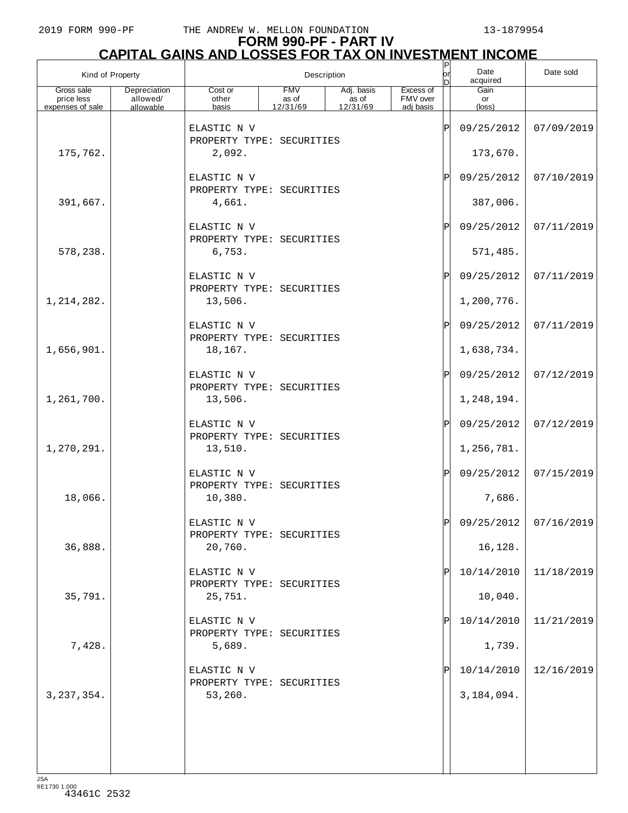## **FORM 990-PF - PART IV CAPITAL GAINS AND LOSSES FOR TAX ON INVESTMENT INCOME**

| Kind of Property         |                          |                                          | Description         | P<br>lorl<br>nl     | Date<br>acquired      | Date sold     |                       |                       |
|--------------------------|--------------------------|------------------------------------------|---------------------|---------------------|-----------------------|---------------|-----------------------|-----------------------|
| Gross sale<br>price less | Depreciation<br>allowed/ | Cost or<br>other                         | <b>FMV</b><br>as of | Adj. basis<br>as of | Excess of<br>FMV over |               | Gain                  |                       |
| expenses of sale         | allowable                | basis                                    | 12/31/69            | 12/31/69            | adj basis             |               | or<br>$(\text{loss})$ |                       |
|                          |                          | ELASTIC N V<br>PROPERTY TYPE: SECURITIES |                     |                     |                       | ΙP            | 09/25/2012            | 07/09/2019            |
| 175,762.                 |                          | 2,092.                                   |                     |                     |                       |               | 173,670.              |                       |
|                          |                          | ELASTIC N V<br>PROPERTY TYPE: SECURITIES |                     |                     |                       | Ρ             | 09/25/2012            | 07/10/2019            |
| 391,667.                 |                          | 4,661.                                   |                     |                     |                       |               | 387,006.              |                       |
|                          |                          | ELASTIC N V<br>PROPERTY TYPE: SECURITIES |                     |                     |                       | Ρ             | 09/25/2012            | 07/11/2019            |
| 578,238.                 |                          | 6,753.                                   |                     |                     |                       |               | 571,485.              |                       |
|                          |                          | ELASTIC N V<br>PROPERTY TYPE: SECURITIES |                     |                     |                       | $_\mathrm{P}$ | 09/25/2012            | 07/11/2019            |
| 1, 214, 282.             |                          | 13,506.                                  |                     |                     |                       |               | 1,200,776.            |                       |
|                          |                          | ELASTIC N V<br>PROPERTY TYPE: SECURITIES |                     |                     |                       | $_\mathrm{P}$ | 09/25/2012            | 07/11/2019            |
| 1,656,901.               |                          | 18,167.                                  |                     |                     |                       |               | 1,638,734.            |                       |
|                          |                          | ELASTIC N V<br>PROPERTY TYPE: SECURITIES |                     |                     |                       | Ρ             | 09/25/2012            | 07/12/2019            |
| 1,261,700.               |                          | 13,506.                                  |                     |                     |                       |               | 1,248,194.            |                       |
|                          |                          | ELASTIC N V<br>PROPERTY TYPE: SECURITIES |                     |                     |                       | $\mathbf P$   | 09/25/2012            | 07/12/2019            |
| 1,270,291.               |                          | 13,510.                                  |                     |                     |                       |               | 1,256,781.            |                       |
|                          |                          | ELASTIC N V<br>PROPERTY TYPE: SECURITIES |                     |                     |                       | ΙPΙ           | 09/25/2012            | 07/15/2019            |
| 18,066.                  |                          | 10,380.                                  |                     |                     |                       |               | 7,686.                |                       |
|                          |                          | ELASTIC N V<br>PROPERTY TYPE: SECURITIES |                     |                     |                       |               |                       | 09/25/2012 07/16/2019 |
| 36,888.                  |                          | 20,760.                                  |                     |                     |                       |               | 16,128.               |                       |
|                          |                          | ELASTIC N V<br>PROPERTY TYPE: SECURITIES |                     |                     |                       | Ρ             | 10/14/2010            | 11/18/2019            |
| 35,791.                  |                          | 25,751.                                  |                     |                     |                       |               | 10,040.               |                       |
|                          |                          | ELASTIC N V<br>PROPERTY TYPE: SECURITIES |                     |                     |                       | P             | 10/14/2010            | 11/21/2019            |
| 7,428.                   |                          | 5,689.                                   |                     |                     |                       |               | 1,739.                |                       |
|                          |                          | ELASTIC N V<br>PROPERTY TYPE: SECURITIES |                     |                     |                       |               | 10/14/2010            | 12/16/2019            |
| 3, 237, 354.             |                          | 53,260.                                  |                     |                     |                       |               | 3,184,094.            |                       |
|                          |                          |                                          |                     |                     |                       |               |                       |                       |
|                          |                          |                                          |                     |                     |                       |               |                       |                       |
|                          |                          |                                          |                     |                     |                       |               |                       |                       |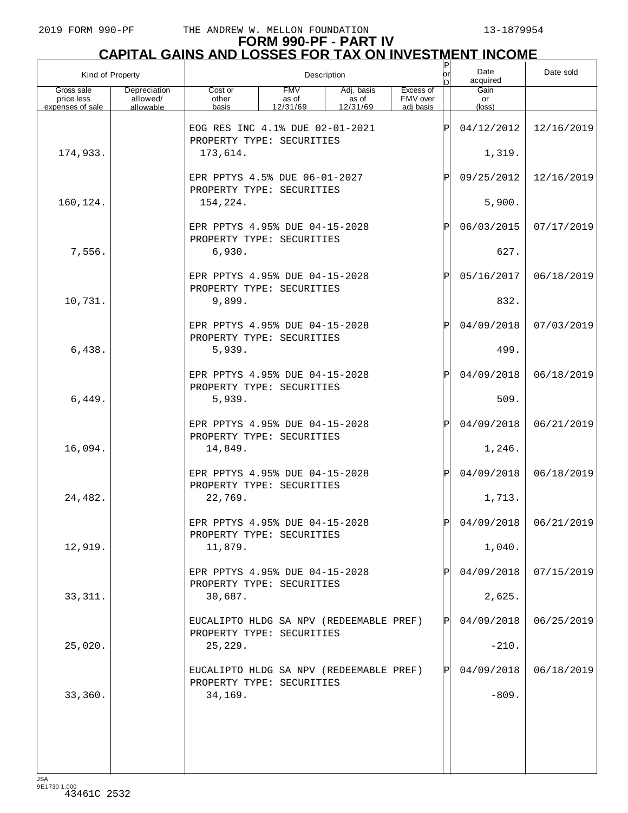| Kind of Property                             |                                       |                                                                                                                                       | Description |  |  |     |                      | Date sold  |
|----------------------------------------------|---------------------------------------|---------------------------------------------------------------------------------------------------------------------------------------|-------------|--|--|-----|----------------------|------------|
| Gross sale<br>price less<br>expenses of sale | Depreciation<br>allowed/<br>allowable | <b>FMV</b><br>Adj. basis<br>Excess of<br>Cost or<br>FMV over<br>other<br>as of<br>as of<br>12/31/69<br>12/31/69<br>basis<br>adi basis |             |  |  |     | Gain<br>or<br>(loss) |            |
|                                              |                                       | EOG RES INC 4.1% DUE 02-01-2021<br>PROPERTY TYPE: SECURITIES                                                                          |             |  |  | P   | 04/12/2012           | 12/16/2019 |
| 174,933.                                     |                                       | 173,614.                                                                                                                              |             |  |  |     | 1,319.               |            |
|                                              |                                       | EPR PPTYS 4.5% DUE 06-01-2027<br>PROPERTY TYPE: SECURITIES                                                                            |             |  |  | ΙÞΙ | 09/25/2012           | 12/16/2019 |
| 160,124.                                     |                                       | 154,224.                                                                                                                              |             |  |  |     | 5,900.               |            |
|                                              |                                       | EPR PPTYS 4.95% DUE 04-15-2028<br>PROPERTY TYPE: SECURITIES                                                                           |             |  |  | ΙÞΙ | 06/03/2015           | 07/17/2019 |
| 7,556.                                       |                                       | 6,930.                                                                                                                                |             |  |  |     | 627.                 |            |
|                                              |                                       | EPR PPTYS 4.95% DUE 04-15-2028<br>PROPERTY TYPE: SECURITIES                                                                           |             |  |  | ΙÞΙ | 05/16/2017           | 06/18/2019 |
| 10,731.                                      |                                       | 9,899.                                                                                                                                |             |  |  |     | 832.                 |            |
|                                              |                                       | EPR PPTYS 4.95% DUE 04-15-2028<br>PROPERTY TYPE: SECURITIES                                                                           |             |  |  | ΙÞΙ | 04/09/2018           | 07/03/2019 |
| 6,438.                                       |                                       | 5,939.                                                                                                                                |             |  |  |     | 499.                 |            |
|                                              |                                       | EPR PPTYS 4.95% DUE 04-15-2028<br>PROPERTY TYPE: SECURITIES                                                                           |             |  |  | ΙÞΙ | 04/09/2018           | 06/18/2019 |
| 6,449.                                       |                                       | 5,939.                                                                                                                                |             |  |  |     | 509.                 |            |
|                                              |                                       | EPR PPTYS 4.95% DUE 04-15-2028<br>PROPERTY TYPE: SECURITIES                                                                           |             |  |  | ΙÞΙ | 04/09/2018           | 06/21/2019 |
| 16,094.                                      |                                       | 14,849.                                                                                                                               |             |  |  |     | 1,246.               |            |
|                                              |                                       | EPR PPTYS 4.95% DUE 04-15-2028<br>PROPERTY TYPE: SECURITIES                                                                           |             |  |  | ΙÞΙ | 04/09/2018           | 06/18/2019 |
| 24,482.                                      |                                       | 22,769.                                                                                                                               |             |  |  | ы   | 1,713.               |            |
|                                              |                                       | EPR PPTYS 4.95% DUE 04-15-2028<br>PROPERTY TYPE: SECURITIES                                                                           |             |  |  |     | 04/09/2018           | 06/21/2019 |
| 12,919.                                      |                                       | 11,879.<br>EPR PPTYS 4.95% DUE 04-15-2028                                                                                             |             |  |  | ΙPΙ | 1,040.<br>04/09/2018 | 07/15/2019 |
| 33, 311.                                     |                                       | PROPERTY TYPE: SECURITIES<br>30,687.                                                                                                  |             |  |  |     | 2,625.               |            |
|                                              |                                       | EUCALIPTO HLDG SA NPV (REDEEMABLE PREF)                                                                                               |             |  |  | ΙÞΙ | 04/09/2018           | 06/25/2019 |
| 25,020.                                      |                                       | PROPERTY TYPE: SECURITIES<br>25, 229.                                                                                                 |             |  |  |     | $-210.$              |            |
|                                              |                                       | EUCALIPTO HLDG SA NPV (REDEEMABLE PREF)                                                                                               |             |  |  | ΙÞΙ | 04/09/2018           | 06/18/2019 |
| 33,360.                                      |                                       | PROPERTY TYPE: SECURITIES<br>34,169.                                                                                                  |             |  |  |     | $-809.$              |            |
|                                              |                                       |                                                                                                                                       |             |  |  |     |                      |            |
|                                              |                                       |                                                                                                                                       |             |  |  |     |                      |            |
|                                              |                                       |                                                                                                                                       |             |  |  |     |                      |            |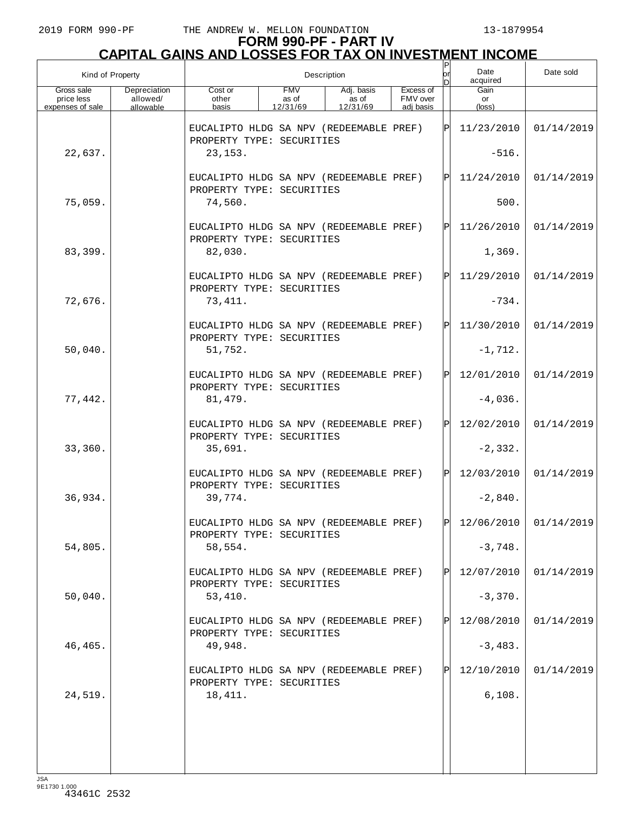## **FORM 990-PF - PART IV CAPITAL GAINS AND LOSSES FOR TAX ON INVESTMENT INCOME**

| Kind of Property                             |                                       |                                                                      | Description                     |                                 | or                                 | Date<br>acquired | Date sold               |            |
|----------------------------------------------|---------------------------------------|----------------------------------------------------------------------|---------------------------------|---------------------------------|------------------------------------|------------------|-------------------------|------------|
| Gross sale<br>price less<br>expenses of sale | Depreciation<br>allowed/<br>allowable | Cost or<br>other<br>basis                                            | <b>FMV</b><br>as of<br>12/31/69 | Adj. basis<br>as of<br>12/31/69 | Excess of<br>FMV over<br>adj basis |                  | Gain<br>or<br>(loss)    |            |
|                                              |                                       | EUCALIPTO HLDG SA NPV (REDEEMABLE PREF)<br>PROPERTY TYPE: SECURITIES |                                 |                                 |                                    | ΙÞΙ              | 11/23/2010              | 01/14/2019 |
| 22,637.                                      |                                       | 23, 153.                                                             |                                 |                                 |                                    |                  | $-516.$                 |            |
|                                              |                                       | EUCALIPTO HLDG SA NPV (REDEEMABLE PREF)<br>PROPERTY TYPE: SECURITIES |                                 |                                 |                                    | ΙÞΙ              | 11/24/2010              | 01/14/2019 |
| 75,059.                                      |                                       | 74,560.                                                              |                                 |                                 |                                    |                  | 500.                    |            |
|                                              |                                       | EUCALIPTO HLDG SA NPV (REDEEMABLE PREF)<br>PROPERTY TYPE: SECURITIES |                                 |                                 |                                    | lPl              | 11/26/2010              | 01/14/2019 |
| 83,399.                                      |                                       | 82,030.                                                              |                                 |                                 |                                    |                  | 1,369.                  |            |
|                                              |                                       | EUCALIPTO HLDG SA NPV (REDEEMABLE PREF)<br>PROPERTY TYPE: SECURITIES |                                 |                                 |                                    | ΙÞΙ              | 11/29/2010              | 01/14/2019 |
| 72,676.                                      |                                       | 73,411.                                                              |                                 |                                 |                                    |                  | $-734.$                 |            |
|                                              |                                       | EUCALIPTO HLDG SA NPV (REDEEMABLE PREF)<br>PROPERTY TYPE: SECURITIES |                                 |                                 |                                    | ΙÞΙ              | 11/30/2010              | 01/14/2019 |
| 50,040.                                      |                                       | 51,752.                                                              |                                 |                                 |                                    |                  | $-1,712.$               |            |
|                                              |                                       | EUCALIPTO HLDG SA NPV (REDEEMABLE PREF)<br>PROPERTY TYPE: SECURITIES |                                 |                                 |                                    | ΙÞΙ              | 12/01/2010              | 01/14/2019 |
| 77,442.                                      |                                       | 81, 479.                                                             |                                 |                                 |                                    |                  | $-4,036.$               |            |
|                                              |                                       | EUCALIPTO HLDG SA NPV (REDEEMABLE PREF)<br>PROPERTY TYPE: SECURITIES |                                 |                                 |                                    | ΙÞΙ              | 12/02/2010              | 01/14/2019 |
| 33,360.                                      |                                       | 35,691.                                                              |                                 |                                 |                                    |                  | $-2,332.$               |            |
|                                              |                                       | EUCALIPTO HLDG SA NPV (REDEEMABLE PREF)<br>PROPERTY TYPE: SECURITIES |                                 |                                 |                                    | ΙÞΙ              | 12/03/2010              | 01/14/2019 |
| 36,934.                                      |                                       | 39,774.                                                              |                                 |                                 |                                    |                  | $-2,840.$               |            |
|                                              |                                       | EUCALIPTO HLDG SA NPV (REDEEMABLE PREF)<br>PROPERTY TYPE: SECURITIES |                                 |                                 |                                    | l DI             | $12/06/2010$ 01/14/2019 |            |
| 54,805.                                      |                                       | 58,554.                                                              |                                 |                                 |                                    |                  | $-3,748.$               |            |
|                                              |                                       | EUCALIPTO HLDG SA NPV (REDEEMABLE PREF)<br>PROPERTY TYPE: SECURITIES |                                 |                                 |                                    | ΙPΙ              | 12/07/2010              | 01/14/2019 |
| 50,040.                                      |                                       | 53,410.                                                              |                                 |                                 |                                    |                  | $-3,370.$               |            |
|                                              |                                       | EUCALIPTO HLDG SA NPV (REDEEMABLE PREF)<br>PROPERTY TYPE: SECURITIES |                                 |                                 |                                    | ΙPΙ              | 12/08/2010              | 01/14/2019 |
| 46,465.                                      |                                       | 49,948.                                                              |                                 |                                 |                                    |                  | $-3,483.$               |            |
|                                              |                                       | EUCALIPTO HLDG SA NPV (REDEEMABLE PREF)<br>PROPERTY TYPE: SECURITIES |                                 |                                 |                                    | ΙPΙ              | 12/10/2010              | 01/14/2019 |
| 24,519.                                      |                                       | 18,411.                                                              |                                 |                                 |                                    |                  | 6,108.                  |            |
|                                              |                                       |                                                                      |                                 |                                 |                                    |                  |                         |            |
|                                              |                                       |                                                                      |                                 |                                 |                                    |                  |                         |            |
|                                              |                                       |                                                                      |                                 |                                 |                                    |                  |                         |            |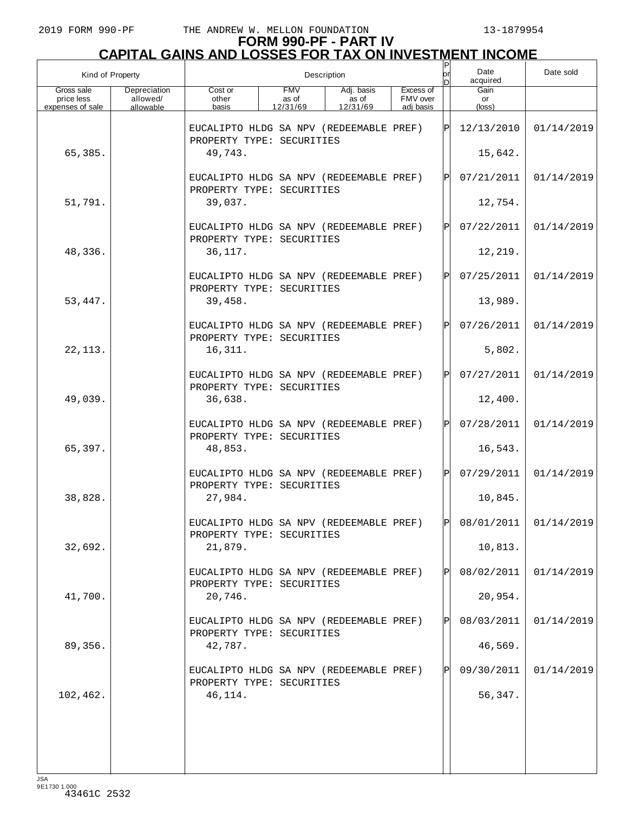| Kind of Property                             |                                       |                                                                      | Description                     | or<br>D                         | Date<br>acquired                   | Date sold    |                      |                       |
|----------------------------------------------|---------------------------------------|----------------------------------------------------------------------|---------------------------------|---------------------------------|------------------------------------|--------------|----------------------|-----------------------|
| Gross sale<br>price less<br>expenses of sale | Depreciation<br>allowed/<br>allowable | Cost or<br>other<br>basis                                            | <b>FMV</b><br>as of<br>12/31/69 | Adj. basis<br>as of<br>12/31/69 | Excess of<br>FMV over<br>adj basis |              | Gain<br>or<br>(loss) |                       |
|                                              |                                       | EUCALIPTO HLDG SA NPV (REDEEMABLE PREF)<br>PROPERTY TYPE: SECURITIES |                                 |                                 |                                    | ΙÞΙ          | 12/13/2010           | 01/14/2019            |
| 65,385.                                      |                                       | 49,743.                                                              |                                 |                                 |                                    |              | 15,642.              |                       |
|                                              |                                       | EUCALIPTO HLDG SA NPV (REDEEMABLE PREF)<br>PROPERTY TYPE: SECURITIES |                                 |                                 |                                    | P            | 07/21/2011           | 01/14/2019            |
| 51,791.                                      |                                       | 39,037.                                                              |                                 |                                 |                                    |              | 12,754.              |                       |
|                                              |                                       | EUCALIPTO HLDG SA NPV (REDEEMABLE PREF)<br>PROPERTY TYPE: SECURITIES |                                 |                                 |                                    | $\mathbf{P}$ | 07/22/2011           | 01/14/2019            |
| 48,336.                                      |                                       | 36,117.                                                              |                                 |                                 |                                    |              | 12,219.              |                       |
|                                              |                                       | EUCALIPTO HLDG SA NPV (REDEEMABLE PREF)<br>PROPERTY TYPE: SECURITIES |                                 |                                 |                                    | $\mathbf{P}$ | 07/25/2011           | 01/14/2019            |
| 53,447.                                      |                                       | 39,458.                                                              |                                 |                                 |                                    |              | 13,989.              |                       |
|                                              |                                       | EUCALIPTO HLDG SA NPV (REDEEMABLE PREF)<br>PROPERTY TYPE: SECURITIES |                                 |                                 |                                    | $\mathbf{P}$ | 07/26/2011           | 01/14/2019            |
| 22, 113.                                     |                                       | 16,311.                                                              |                                 |                                 |                                    |              | 5,802.               |                       |
|                                              |                                       | EUCALIPTO HLDG SA NPV (REDEEMABLE PREF)<br>PROPERTY TYPE: SECURITIES |                                 |                                 |                                    | $\mathsf{P}$ | 07/27/2011           | 01/14/2019            |
| 49,039.                                      |                                       | 36,638.                                                              |                                 |                                 |                                    |              | 12,400.              |                       |
|                                              |                                       | EUCALIPTO HLDG SA NPV (REDEEMABLE PREF)<br>PROPERTY TYPE: SECURITIES |                                 |                                 |                                    | $\mathsf{P}$ | 07/28/2011           | 01/14/2019            |
| 65,397.                                      |                                       | 48,853.                                                              |                                 |                                 |                                    |              | 16,543.              |                       |
|                                              |                                       | EUCALIPTO HLDG SA NPV (REDEEMABLE PREF)<br>PROPERTY TYPE: SECURITIES |                                 |                                 |                                    | $\mathbf P$  | 07/29/2011           | 01/14/2019            |
| 38,828.                                      |                                       | 27,984.                                                              |                                 |                                 |                                    |              | 10,845.              |                       |
|                                              |                                       | EUCALIPTO HLDG SA NPV (REDEEMABLE PREF)<br>PROPERTY TYPE: SECURITIES |                                 |                                 |                                    | $\mathsf{P}$ |                      | 08/01/2011 01/14/2019 |
| 32,692.                                      |                                       | 21,879.                                                              |                                 |                                 |                                    |              | 10,813.              |                       |
|                                              |                                       | EUCALIPTO HLDG SA NPV (REDEEMABLE PREF)<br>PROPERTY TYPE: SECURITIES |                                 |                                 |                                    |              | 08/02/2011           | 01/14/2019            |
| 41,700.                                      |                                       | 20,746.                                                              |                                 |                                 |                                    |              | 20,954.              |                       |
|                                              |                                       | EUCALIPTO HLDG SA NPV (REDEEMABLE PREF)<br>PROPERTY TYPE: SECURITIES |                                 |                                 |                                    |              | 08/03/2011           | 01/14/2019            |
| 89,356.                                      |                                       | 42,787.                                                              |                                 |                                 |                                    |              | 46,569.              |                       |
|                                              |                                       | EUCALIPTO HLDG SA NPV (REDEEMABLE PREF)<br>PROPERTY TYPE: SECURITIES |                                 |                                 |                                    |              | 09/30/2011           | 01/14/2019            |
| 102,462.                                     |                                       | 46,114.                                                              |                                 |                                 |                                    |              | 56,347.              |                       |
|                                              |                                       |                                                                      |                                 |                                 |                                    |              |                      |                       |
|                                              |                                       |                                                                      |                                 |                                 |                                    |              |                      |                       |
|                                              |                                       |                                                                      |                                 |                                 |                                    |              |                      |                       |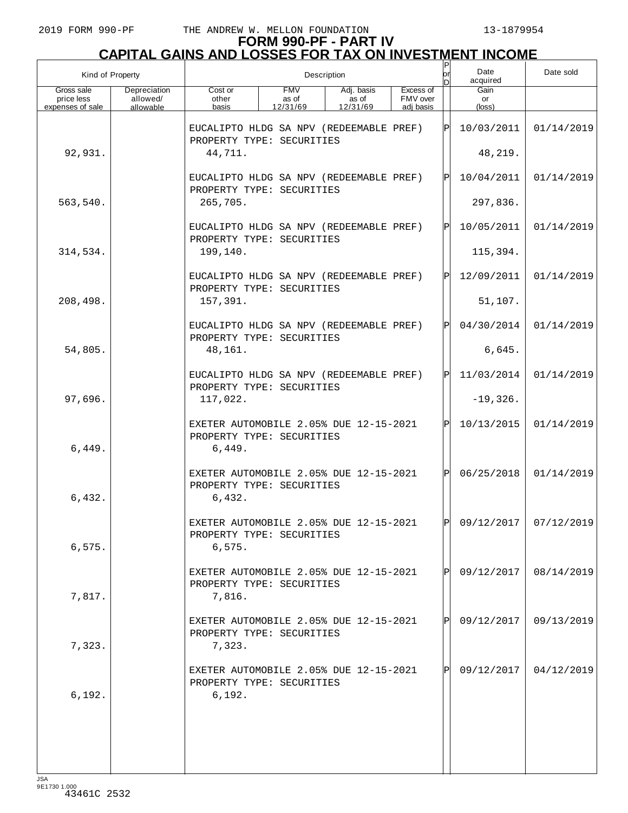| Kind of Property                             |                                       |                                                                               | Description                     |                                 | lor                                | Date<br>acquired | Date sold            |                       |
|----------------------------------------------|---------------------------------------|-------------------------------------------------------------------------------|---------------------------------|---------------------------------|------------------------------------|------------------|----------------------|-----------------------|
| Gross sale<br>price less<br>expenses of sale | Depreciation<br>allowed/<br>allowable | Cost or<br>other<br>basis                                                     | <b>FMV</b><br>as of<br>12/31/69 | Adj. basis<br>as of<br>12/31/69 | Excess of<br>FMV over<br>adj basis |                  | Gain<br>or<br>(loss) |                       |
|                                              |                                       | EUCALIPTO HLDG SA NPV (REDEEMABLE PREF)<br>PROPERTY TYPE: SECURITIES          |                                 |                                 |                                    | $\mathbf{P}$     | 10/03/2011           | 01/14/2019            |
| 92,931.                                      |                                       | 44,711.                                                                       |                                 |                                 |                                    |                  | 48,219.              |                       |
|                                              |                                       | EUCALIPTO HLDG SA NPV (REDEEMABLE PREF)<br>PROPERTY TYPE: SECURITIES          |                                 |                                 |                                    | $\mathbf{P}$     | 10/04/2011           | 01/14/2019            |
| 563,540.                                     |                                       | 265,705.                                                                      |                                 |                                 |                                    |                  | 297,836.             |                       |
|                                              |                                       | EUCALIPTO HLDG SA NPV (REDEEMABLE PREF)<br>PROPERTY TYPE: SECURITIES          |                                 |                                 |                                    | $_\mathrm{P}$    | 10/05/2011           | 01/14/2019            |
| 314,534.                                     |                                       | 199,140.                                                                      |                                 |                                 |                                    |                  | 115,394.             |                       |
|                                              |                                       | EUCALIPTO HLDG SA NPV (REDEEMABLE PREF)<br>PROPERTY TYPE: SECURITIES          |                                 |                                 |                                    | $\mathbf{P}$     | 12/09/2011           | 01/14/2019            |
| 208,498.                                     |                                       | 157,391.                                                                      |                                 |                                 |                                    |                  | 51,107.              |                       |
|                                              |                                       | EUCALIPTO HLDG SA NPV (REDEEMABLE PREF)<br>PROPERTY TYPE: SECURITIES          |                                 |                                 |                                    | $\mathbf{P}$     | 04/30/2014           | 01/14/2019            |
| 54,805.                                      |                                       | 48,161.                                                                       |                                 |                                 |                                    |                  | 6,645.               |                       |
|                                              |                                       | EUCALIPTO HLDG SA NPV (REDEEMABLE PREF)<br>PROPERTY TYPE: SECURITIES          |                                 |                                 |                                    | $\mathbf{P}$     | 11/03/2014           | 01/14/2019            |
| 97,696.                                      |                                       | 117,022.                                                                      |                                 |                                 |                                    |                  | $-19,326.$           |                       |
| 6,449.                                       |                                       | EXETER AUTOMOBILE 2.05% DUE 12-15-2021<br>PROPERTY TYPE: SECURITIES<br>6,449. |                                 |                                 |                                    | $\mathbf{P}$     | 10/13/2015           | 01/14/2019            |
| 6,432.                                       |                                       | EXETER AUTOMOBILE 2.05% DUE 12-15-2021<br>PROPERTY TYPE: SECURITIES<br>6,432. |                                 |                                 |                                    | $\mathsf{P}$     | 06/25/2018           | 01/14/2019            |
| 6,575.                                       |                                       | EXETER AUTOMOBILE 2.05% DUE 12-15-2021<br>PROPERTY TYPE: SECURITIES<br>6,575. |                                 |                                 |                                    | $\mathsf{P}$     |                      | 09/12/2017 07/12/2019 |
| 7,817.                                       |                                       | EXETER AUTOMOBILE 2.05% DUE 12-15-2021<br>PROPERTY TYPE: SECURITIES<br>7,816. |                                 |                                 |                                    |                  | 09/12/2017           | 08/14/2019            |
| 7,323.                                       |                                       | EXETER AUTOMOBILE 2.05% DUE 12-15-2021<br>PROPERTY TYPE: SECURITIES<br>7,323. |                                 |                                 |                                    |                  | 09/12/2017           | 09/13/2019            |
| 6,192.                                       |                                       | EXETER AUTOMOBILE 2.05% DUE 12-15-2021<br>PROPERTY TYPE: SECURITIES<br>6,192. |                                 |                                 |                                    |                  | 09/12/2017           | 04/12/2019            |
|                                              |                                       |                                                                               |                                 |                                 |                                    |                  |                      |                       |
|                                              |                                       |                                                                               |                                 |                                 |                                    |                  |                      |                       |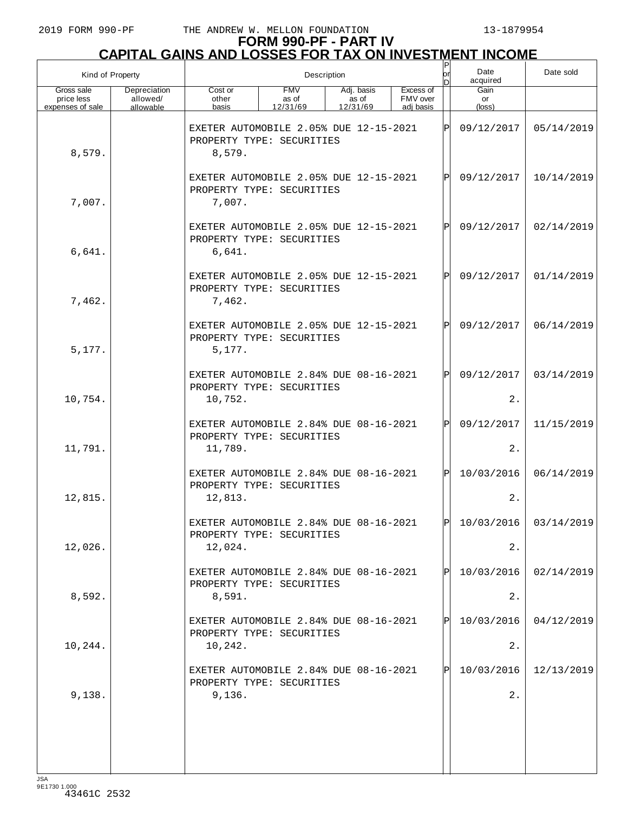# **FORM 990-PF - PART IV CAPITAL GAINS AND LOSSES FOR TAX ON INVESTMENT INCOME** P

| Kind of Property                             |                                       |                                                                                | Description                     | or<br>D                         | Date<br>acquired                   | Date sold    |                      |                         |
|----------------------------------------------|---------------------------------------|--------------------------------------------------------------------------------|---------------------------------|---------------------------------|------------------------------------|--------------|----------------------|-------------------------|
| Gross sale<br>price less<br>expenses of sale | Depreciation<br>allowed/<br>allowable | Cost or<br>other<br>basis                                                      | <b>FMV</b><br>as of<br>12/31/69 | Adj. basis<br>as of<br>12/31/69 | Excess of<br>FMV over<br>adj basis |              | Gain<br>or<br>(loss) |                         |
| 8,579.                                       |                                       | EXETER AUTOMOBILE 2.05% DUE 12-15-2021<br>PROPERTY TYPE: SECURITIES<br>8,579.  |                                 |                                 |                                    | Þ            | 09/12/2017           | 05/14/2019              |
| 7,007.                                       |                                       | EXETER AUTOMOBILE 2.05% DUE 12-15-2021<br>PROPERTY TYPE: SECURITIES<br>7,007.  |                                 |                                 |                                    | P            | 09/12/2017           | 10/14/2019              |
| 6,641.                                       |                                       | EXETER AUTOMOBILE 2.05% DUE 12-15-2021<br>PROPERTY TYPE: SECURITIES<br>6,641.  |                                 |                                 |                                    | $\mathsf{P}$ | 09/12/2017           | 02/14/2019              |
| 7,462.                                       |                                       | EXETER AUTOMOBILE 2.05% DUE 12-15-2021<br>PROPERTY TYPE: SECURITIES<br>7,462.  |                                 |                                 |                                    | P            | 09/12/2017           | 01/14/2019              |
| 5,177.                                       |                                       | EXETER AUTOMOBILE 2.05% DUE 12-15-2021<br>PROPERTY TYPE: SECURITIES<br>5,177.  |                                 |                                 |                                    | P            | 09/12/2017           | 06/14/2019              |
| 10,754.                                      |                                       | EXETER AUTOMOBILE 2.84% DUE 08-16-2021<br>PROPERTY TYPE: SECURITIES<br>10,752. |                                 |                                 |                                    | P            | 09/12/2017<br>$2$ .  | 03/14/2019              |
| 11,791.                                      |                                       | EXETER AUTOMOBILE 2.84% DUE 08-16-2021<br>PROPERTY TYPE: SECURITIES<br>11,789. |                                 |                                 |                                    | P            | 09/12/2017<br>2.     | 11/15/2019              |
| 12,815.                                      |                                       | EXETER AUTOMOBILE 2.84% DUE 08-16-2021<br>PROPERTY TYPE: SECURITIES<br>12,813. |                                 |                                 |                                    | $\mathsf{P}$ | 10/03/2016<br>2.     | 06/14/2019              |
| 12,026.                                      |                                       | EXETER AUTOMORILE 2 84% DUE 08-16-2021<br>PROPERTY TYPE: SECURITIES<br>12,024. |                                 |                                 |                                    | $\mathsf{P}$ | 2.                   | $10/03/2016$ 03/14/2019 |
| 8,592.                                       |                                       | EXETER AUTOMOBILE 2.84% DUE 08-16-2021<br>PROPERTY TYPE: SECURITIES<br>8,591.  |                                 |                                 |                                    | P            | 10/03/2016<br>$2$ .  | 02/14/2019              |
| 10,244.                                      |                                       | EXETER AUTOMOBILE 2.84% DUE 08-16-2021<br>PROPERTY TYPE: SECURITIES<br>10,242. |                                 |                                 |                                    | P            | 10/03/2016<br>2.     | 04/12/2019              |
| 9,138.                                       |                                       | EXETER AUTOMOBILE 2.84% DUE 08-16-2021<br>PROPERTY TYPE: SECURITIES<br>9,136.  |                                 |                                 |                                    | P            | 10/03/2016<br>$2$ .  | 12/13/2019              |
|                                              |                                       |                                                                                |                                 |                                 |                                    |              |                      |                         |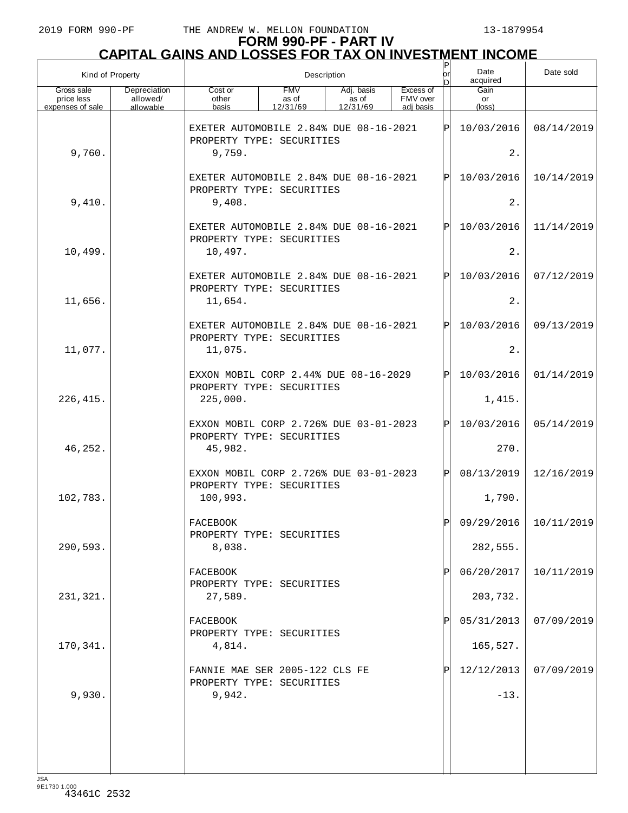| Kind of Property                             |                                       |                                                                                                                                       | Description |  |  | Ρ<br>or | Date<br>acquired     | Date sold             |
|----------------------------------------------|---------------------------------------|---------------------------------------------------------------------------------------------------------------------------------------|-------------|--|--|---------|----------------------|-----------------------|
| Gross sale<br>price less<br>expenses of sale | Depreciation<br>allowed/<br>allowable | <b>FMV</b><br>Excess of<br>Cost or<br>Adj. basis<br>as of<br>FMV over<br>other<br>as of<br>12/31/69<br>12/31/69<br>adi basis<br>basis |             |  |  |         | Gain<br>or<br>(loss) |                       |
|                                              |                                       | EXETER AUTOMOBILE 2.84% DUE 08-16-2021<br>PROPERTY TYPE: SECURITIES                                                                   |             |  |  | ΙÞΙ     | 10/03/2016           | 08/14/2019            |
| 9,760.                                       |                                       | 9,759.                                                                                                                                |             |  |  |         | 2.                   |                       |
|                                              |                                       | EXETER AUTOMOBILE 2.84% DUE 08-16-2021<br>PROPERTY TYPE: SECURITIES                                                                   |             |  |  | ΙPΙ     | 10/03/2016           | 10/14/2019            |
| 9,410.                                       |                                       | 9,408.                                                                                                                                |             |  |  |         | 2.                   |                       |
|                                              |                                       | EXETER AUTOMOBILE 2.84% DUE 08-16-2021<br>PROPERTY TYPE: SECURITIES                                                                   |             |  |  | ΙPΙ     | 10/03/2016           | 11/14/2019            |
| 10,499.                                      |                                       | 10,497.                                                                                                                               |             |  |  |         | 2.                   |                       |
|                                              |                                       | EXETER AUTOMOBILE 2.84% DUE 08-16-2021<br>PROPERTY TYPE: SECURITIES                                                                   |             |  |  | ΙÞΙ     | 10/03/2016           | 07/12/2019            |
| 11,656.                                      |                                       | 11,654.                                                                                                                               |             |  |  |         | 2.                   |                       |
|                                              |                                       | EXETER AUTOMOBILE 2.84% DUE 08-16-2021<br>PROPERTY TYPE: SECURITIES                                                                   |             |  |  | ΙÞΙ     | 10/03/2016           | 09/13/2019            |
| 11,077.                                      |                                       | 11,075.                                                                                                                               |             |  |  |         | 2.                   |                       |
|                                              |                                       | EXXON MOBIL CORP 2.44% DUE 08-16-2029<br>PROPERTY TYPE: SECURITIES                                                                    |             |  |  | ΙPΙ     | 10/03/2016           | 01/14/2019            |
| 226, 415.                                    |                                       | 225,000.                                                                                                                              |             |  |  |         | 1,415.               |                       |
|                                              |                                       | EXXON MOBIL CORP 2.726% DUE 03-01-2023<br>PROPERTY TYPE: SECURITIES                                                                   |             |  |  | ΙÞΙ     | 10/03/2016           | 05/14/2019            |
| 46,252.                                      |                                       | 45,982.                                                                                                                               |             |  |  |         | 270.                 |                       |
|                                              |                                       | EXXON MOBIL CORP 2.726% DUE 03-01-2023<br>PROPERTY TYPE: SECURITIES                                                                   |             |  |  | ΙÞΙ     | 08/13/2019           | 12/16/2019            |
| 102,783.                                     |                                       | 100,993.                                                                                                                              |             |  |  |         | 1,790.               |                       |
|                                              |                                       | <b>FACEBOOK</b><br>PROPERTY TYPE: SECURITIES                                                                                          |             |  |  | ldl     |                      | 09/29/2016 10/11/2019 |
| 290,593.                                     |                                       | 8,038.                                                                                                                                |             |  |  |         | 282,555.             |                       |
|                                              |                                       | <b>FACEBOOK</b><br>PROPERTY TYPE: SECURITIES                                                                                          |             |  |  | ΙPΙ     | 06/20/2017           | 10/11/2019            |
| 231,321.                                     |                                       | 27,589.                                                                                                                               |             |  |  |         | 203,732.             |                       |
|                                              |                                       | FACEBOOK<br>PROPERTY TYPE: SECURITIES                                                                                                 |             |  |  | ΙPΙ     | 05/31/2013           | 07/09/2019            |
| 170,341.                                     |                                       | 4,814.                                                                                                                                |             |  |  |         | 165,527.             |                       |
|                                              |                                       | FANNIE MAE SER 2005-122 CLS FE<br>PROPERTY TYPE: SECURITIES                                                                           |             |  |  | ΙPΙ     | 12/12/2013           | 07/09/2019            |
| 9,930.                                       |                                       | 9,942.                                                                                                                                |             |  |  |         | $-13.$               |                       |
|                                              |                                       |                                                                                                                                       |             |  |  |         |                      |                       |
|                                              |                                       |                                                                                                                                       |             |  |  |         |                      |                       |
|                                              |                                       |                                                                                                                                       |             |  |  |         |                      |                       |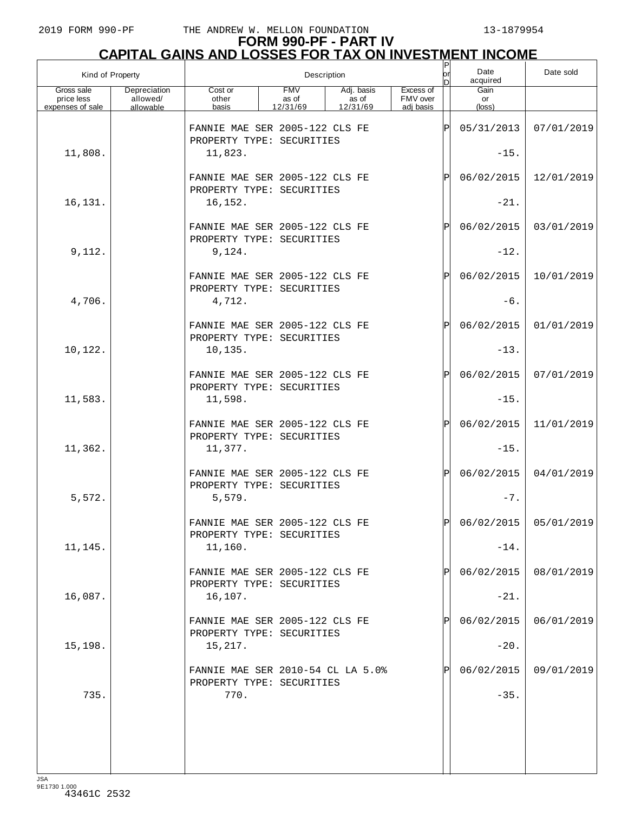| Kind of Property                             |                                       |                                                                        |                                 | Description                     |                                    | P<br> or<br>n | Date<br>acquired              | Date sold               |
|----------------------------------------------|---------------------------------------|------------------------------------------------------------------------|---------------------------------|---------------------------------|------------------------------------|---------------|-------------------------------|-------------------------|
| Gross sale<br>price less<br>expenses of sale | Depreciation<br>allowed/<br>allowable | Cost or<br>other<br>basis                                              | <b>FMV</b><br>as of<br>12/31/69 | Adj. basis<br>as of<br>12/31/69 | Excess of<br>FMV over<br>adi basis |               | Gain<br>or<br>$(\text{loss})$ |                         |
| 11,808.                                      |                                       | FANNIE MAE SER 2005-122 CLS FE<br>PROPERTY TYPE: SECURITIES<br>11,823. |                                 |                                 |                                    | ΙP            | 05/31/2013<br>$-15.$          | 07/01/2019              |
|                                              |                                       | FANNIE MAE SER 2005-122 CLS FE<br>PROPERTY TYPE: SECURITIES            |                                 |                                 |                                    | ΙP            | 06/02/2015                    | 12/01/2019              |
| 16,131.                                      |                                       | 16,152.                                                                |                                 |                                 |                                    |               | $-21.$                        |                         |
| 9,112.                                       |                                       | FANNIE MAE SER 2005-122 CLS FE<br>PROPERTY TYPE: SECURITIES<br>9,124.  |                                 |                                 |                                    | ΙP            | 06/02/2015<br>$-12.$          | 03/01/2019              |
|                                              |                                       | FANNIE MAE SER 2005-122 CLS FE<br>PROPERTY TYPE: SECURITIES            |                                 |                                 |                                    | ΙP            | 06/02/2015                    | 10/01/2019              |
| 4,706.                                       |                                       | 4,712.                                                                 |                                 |                                 |                                    |               | $-6.$                         |                         |
|                                              |                                       | FANNIE MAE SER 2005-122 CLS FE<br>PROPERTY TYPE: SECURITIES            |                                 |                                 |                                    | ΙP            | 06/02/2015                    | 01/01/2019              |
| 10,122.                                      |                                       | 10, 135.                                                               |                                 |                                 |                                    |               | $-13.$                        |                         |
|                                              |                                       | FANNIE MAE SER 2005-122 CLS FE<br>PROPERTY TYPE: SECURITIES            |                                 |                                 |                                    | ΙP            | 06/02/2015                    | 07/01/2019              |
| 11,583.                                      |                                       | 11,598.                                                                |                                 |                                 |                                    |               | $-15.$                        |                         |
| 11,362.                                      |                                       | FANNIE MAE SER 2005-122 CLS FE<br>PROPERTY TYPE: SECURITIES<br>11,377. |                                 |                                 |                                    | ΙP            | 06/02/2015<br>$-15.$          | 11/01/2019              |
|                                              |                                       | FANNIE MAE SER 2005-122 CLS FE<br>PROPERTY TYPE: SECURITIES            |                                 |                                 |                                    | ΙP            | 06/02/2015                    | 04/01/2019              |
| 5,572.                                       |                                       | 5,579.                                                                 |                                 |                                 |                                    |               | $-7.$                         |                         |
|                                              |                                       | FANNIE MAE SER 2005-122 CLS FE<br>PROPERTY TYPE: SECURITIES            |                                 |                                 |                                    | ldl           |                               | $06/02/2015$ 05/01/2019 |
| 11,145.                                      |                                       | 11,160.                                                                |                                 |                                 |                                    |               | $-14.$                        |                         |
|                                              |                                       | FANNIE MAE SER 2005-122 CLS FE<br>PROPERTY TYPE: SECURITIES            |                                 |                                 |                                    |               | 06/02/2015                    | 08/01/2019              |
| 16,087.                                      |                                       | 16,107.                                                                |                                 |                                 |                                    |               | $-21.$                        |                         |
|                                              |                                       | FANNIE MAE SER 2005-122 CLS FE<br>PROPERTY TYPE: SECURITIES            |                                 |                                 |                                    |               | 06/02/2015                    | 06/01/2019              |
| 15,198.                                      |                                       | 15,217.                                                                |                                 |                                 |                                    |               | $-20.$                        |                         |
|                                              |                                       | FANNIE MAE SER 2010-54 CL LA 5.0%<br>PROPERTY TYPE: SECURITIES         |                                 |                                 |                                    |               | 06/02/2015                    | 09/01/2019              |
| 735.                                         |                                       | 770.                                                                   |                                 |                                 |                                    |               | $-35.$                        |                         |
|                                              |                                       |                                                                        |                                 |                                 |                                    |               |                               |                         |
|                                              |                                       |                                                                        |                                 |                                 |                                    |               |                               |                         |
|                                              |                                       |                                                                        |                                 |                                 |                                    |               |                               |                         |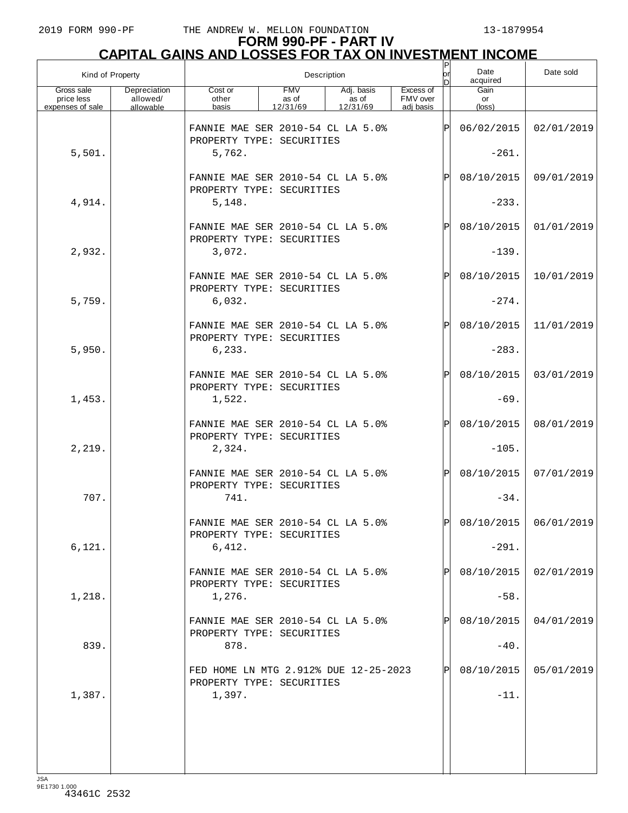| Kind of Property                             |                                       |                                                                          | Description                     |                                 | P<br> or <br>ы                     | Date<br>acquired | Date sold             |                       |
|----------------------------------------------|---------------------------------------|--------------------------------------------------------------------------|---------------------------------|---------------------------------|------------------------------------|------------------|-----------------------|-----------------------|
| Gross sale<br>price less<br>expenses of sale | Depreciation<br>allowed/<br>allowable | Cost or<br>other<br>basis                                                | <b>FMV</b><br>as of<br>12/31/69 | Adj. basis<br>as of<br>12/31/69 | Excess of<br>FMV over<br>adi basis |                  | Gain<br>or<br>(loss)  |                       |
|                                              |                                       | FANNIE MAE SER 2010-54 CL LA 5.0%<br>PROPERTY TYPE: SECURITIES           |                                 |                                 |                                    | $\mathbf P$      | 06/02/2015            | 02/01/2019            |
| 5,501.                                       |                                       | 5,762.                                                                   |                                 |                                 |                                    |                  | $-261.$               |                       |
|                                              |                                       | FANNIE MAE SER 2010-54 CL LA 5.0%<br>PROPERTY TYPE: SECURITIES           |                                 |                                 |                                    | Ρ                | 08/10/2015            | 09/01/2019            |
| 4,914.                                       |                                       | 5,148.                                                                   |                                 |                                 |                                    |                  | $-233.$               |                       |
|                                              |                                       | FANNIE MAE SER 2010-54 CL LA 5.0%<br>PROPERTY TYPE: SECURITIES           |                                 |                                 |                                    | Ρ                | 08/10/2015            | 01/01/2019            |
| 2,932.                                       |                                       | 3,072.                                                                   |                                 |                                 |                                    |                  | $-139.$               |                       |
| 5,759.                                       |                                       | FANNIE MAE SER 2010-54 CL LA 5.0%<br>PROPERTY TYPE: SECURITIES<br>6,032. |                                 |                                 |                                    | Ρ                | 08/10/2015<br>$-274.$ | 10/01/2019            |
|                                              |                                       |                                                                          |                                 |                                 |                                    |                  |                       |                       |
|                                              |                                       | FANNIE MAE SER 2010-54 CL LA 5.0%<br>PROPERTY TYPE: SECURITIES           |                                 |                                 |                                    | Ρ                | 08/10/2015            | 11/01/2019            |
| 5,950.                                       |                                       | 6, 233.                                                                  |                                 |                                 |                                    |                  | $-283.$               |                       |
|                                              |                                       | FANNIE MAE SER 2010-54 CL LA 5.0%<br>PROPERTY TYPE: SECURITIES           |                                 |                                 |                                    | Ρ                | 08/10/2015            | 03/01/2019            |
| 1,453.                                       |                                       | 1,522.                                                                   |                                 |                                 |                                    |                  | $-69.$                |                       |
|                                              |                                       | FANNIE MAE SER 2010-54 CL LA 5.0%<br>PROPERTY TYPE: SECURITIES           |                                 |                                 |                                    | P                | 08/10/2015            | 08/01/2019            |
| 2,219.                                       |                                       | 2,324.                                                                   |                                 |                                 |                                    |                  | $-105.$               |                       |
|                                              |                                       | FANNIE MAE SER 2010-54 CL LA 5.0%<br>PROPERTY TYPE: SECURITIES           |                                 |                                 |                                    | $\mathsf{P}$     | 08/10/2015            | 07/01/2019            |
| 707.                                         |                                       | 741.                                                                     |                                 |                                 |                                    |                  | $-34.$                |                       |
|                                              |                                       | FANNIE MAE SER 2010-54 CL LA 5 0%<br>PROPERTY TYPE: SECURITIES           |                                 |                                 |                                    | D                |                       | 08/10/2015 06/01/2019 |
| 6,121.                                       |                                       | 6,412.                                                                   |                                 |                                 |                                    |                  | $-291.$               |                       |
|                                              |                                       | FANNIE MAE SER 2010-54 CL LA 5.0%<br>PROPERTY TYPE: SECURITIES           |                                 |                                 |                                    |                  | 08/10/2015            | 02/01/2019            |
| 1,218.                                       |                                       | 1,276.                                                                   |                                 |                                 |                                    |                  | $-58.$                |                       |
|                                              |                                       | FANNIE MAE SER 2010-54 CL LA 5.0%<br>PROPERTY TYPE: SECURITIES           |                                 |                                 |                                    |                  | 08/10/2015            | 04/01/2019            |
| 839.                                         |                                       | 878.                                                                     |                                 |                                 |                                    |                  | $-40.$                |                       |
|                                              |                                       | FED HOME LN MTG 2.912% DUE 12-25-2023<br>PROPERTY TYPE: SECURITIES       |                                 |                                 |                                    |                  | 08/10/2015            | 05/01/2019            |
| 1,387.                                       |                                       | 1,397.                                                                   |                                 |                                 |                                    |                  | $-11.$                |                       |
|                                              |                                       |                                                                          |                                 |                                 |                                    |                  |                       |                       |
|                                              |                                       |                                                                          |                                 |                                 |                                    |                  |                       |                       |
|                                              |                                       |                                                                          |                                 |                                 |                                    |                  |                       |                       |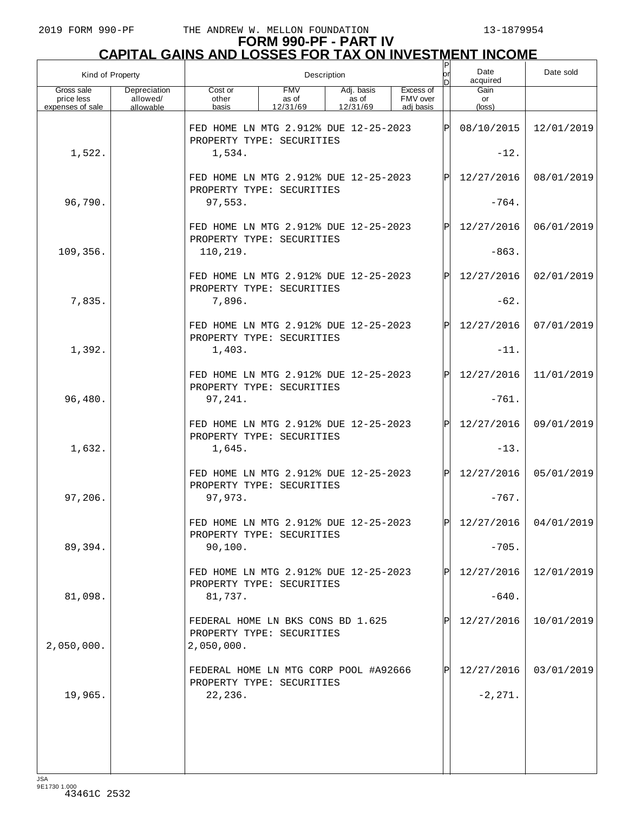| Kind of Property                             |                                       |                                                                                                                                       | Description |  | or<br>D | Date<br>acquired | Date sold               |            |
|----------------------------------------------|---------------------------------------|---------------------------------------------------------------------------------------------------------------------------------------|-------------|--|---------|------------------|-------------------------|------------|
| Gross sale<br>price less<br>expenses of sale | Depreciation<br>allowed/<br>allowable | <b>FMV</b><br>Excess of<br>Cost or<br>Adj. basis<br>FMV over<br>as of<br>other<br>as of<br>basis<br>12/31/69<br>12/31/69<br>adi basis |             |  |         |                  | Gain<br>or<br>(loss)    |            |
|                                              |                                       | FED HOME LN MTG 2.912% DUE 12-25-2023<br>PROPERTY TYPE: SECURITIES                                                                    |             |  |         | IPI              | 08/10/2015              | 12/01/2019 |
| 1,522.                                       |                                       | 1,534.                                                                                                                                |             |  |         |                  | $-12.$                  |            |
|                                              |                                       | FED HOME LN MTG 2.912% DUE 12-25-2023<br>PROPERTY TYPE: SECURITIES                                                                    |             |  |         | IPI              | 12/27/2016              | 08/01/2019 |
| 96,790.                                      |                                       | 97,553.                                                                                                                               |             |  |         |                  | $-764.$                 |            |
|                                              |                                       | FED HOME LN MTG 2.912% DUE 12-25-2023<br>PROPERTY TYPE: SECURITIES                                                                    |             |  |         | IPI              | 12/27/2016              | 06/01/2019 |
| 109,356.                                     |                                       | 110,219.                                                                                                                              |             |  |         |                  | $-863.$                 |            |
|                                              |                                       | FED HOME LN MTG 2.912% DUE 12-25-2023<br>PROPERTY TYPE: SECURITIES                                                                    |             |  |         | IPI              | 12/27/2016              | 02/01/2019 |
| 7,835.                                       |                                       | 7,896.                                                                                                                                |             |  |         |                  | $-62.$                  |            |
|                                              |                                       | FED HOME LN MTG 2.912% DUE 12-25-2023<br>PROPERTY TYPE: SECURITIES                                                                    |             |  |         | IPI              | 12/27/2016              | 07/01/2019 |
| 1,392.                                       |                                       | 1,403.                                                                                                                                |             |  |         |                  | $-11.$                  |            |
|                                              |                                       | FED HOME LN MTG 2.912% DUE 12-25-2023<br>PROPERTY TYPE: SECURITIES                                                                    |             |  |         | lÞl              | 12/27/2016              | 11/01/2019 |
| 96,480.                                      |                                       | 97,241.                                                                                                                               |             |  |         |                  | $-761.$                 |            |
|                                              |                                       | FED HOME LN MTG 2.912% DUE 12-25-2023<br>PROPERTY TYPE: SECURITIES                                                                    |             |  |         | IPI              | 12/27/2016              | 09/01/2019 |
| 1,632.                                       |                                       | 1,645.                                                                                                                                |             |  |         |                  | $-13.$                  |            |
|                                              |                                       | FED HOME LN MTG 2.912% DUE 12-25-2023<br>PROPERTY TYPE: SECURITIES                                                                    |             |  |         | lPl              | 12/27/2016              | 05/01/2019 |
| 97,206.                                      |                                       | 97,973.                                                                                                                               |             |  |         |                  | $-767.$                 |            |
|                                              |                                       | FED HOME LN MTG 2.912% DUE 12-25-2023<br>PROPERTY TYPE: SECURITIES                                                                    |             |  |         | IÞI              | $12/27/2016$ 04/01/2019 |            |
| 89,394.                                      |                                       | 90,100.                                                                                                                               |             |  |         |                  | $-705.$                 |            |
|                                              |                                       | FED HOME LN MTG 2.912% DUE 12-25-2023<br>PROPERTY TYPE: SECURITIES                                                                    |             |  |         | IPI              | 12/27/2016              | 12/01/2019 |
| 81,098.                                      |                                       | 81,737.                                                                                                                               |             |  |         |                  | $-640.$                 |            |
| 2,050,000.                                   |                                       | FEDERAL HOME LN BKS CONS BD 1.625<br>PROPERTY TYPE: SECURITIES<br>2,050,000.                                                          |             |  |         |                  | 12/27/2016              | 10/01/2019 |
|                                              |                                       | FEDERAL HOME LN MTG CORP POOL #A92666                                                                                                 |             |  |         | IPI              | 12/27/2016              | 03/01/2019 |
| 19,965.                                      |                                       | PROPERTY TYPE: SECURITIES<br>22,236.                                                                                                  |             |  |         |                  | $-2, 271.$              |            |
|                                              |                                       |                                                                                                                                       |             |  |         |                  |                         |            |
|                                              |                                       |                                                                                                                                       |             |  |         |                  |                         |            |
|                                              |                                       |                                                                                                                                       |             |  |         |                  |                         |            |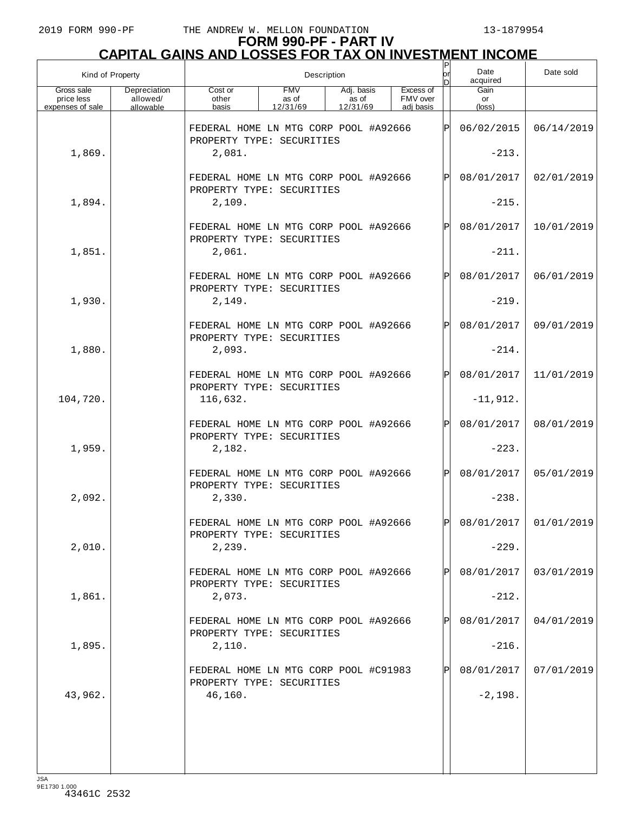| Kind of Property                             |                                       |                                                                                                                          |  | Description |  |           | Ρ<br>or      | Date<br>acquired              | Date sold             |
|----------------------------------------------|---------------------------------------|--------------------------------------------------------------------------------------------------------------------------|--|-------------|--|-----------|--------------|-------------------------------|-----------------------|
| Gross sale<br>price less<br>expenses of sale | Depreciation<br>allowed/<br>allowable | <b>FMV</b><br>Adj. basis<br>Cost or<br>FMV over<br>other<br>as of<br>as of<br>basis<br>12/31/69<br>12/31/69<br>adi basis |  |             |  | Excess of |              | Gain<br>or<br>$(\text{loss})$ |                       |
|                                              |                                       |                                                                                                                          |  |             |  |           |              |                               |                       |
|                                              |                                       | FEDERAL HOME LN MTG CORP POOL #A92666<br>PROPERTY TYPE: SECURITIES                                                       |  |             |  |           | ΙPΙ          | 06/02/2015                    | 06/14/2019            |
| 1,869.                                       |                                       | 2,081.                                                                                                                   |  |             |  |           |              | $-213.$                       |                       |
|                                              |                                       | FEDERAL HOME LN MTG CORP POOL #A92666<br>PROPERTY TYPE: SECURITIES                                                       |  |             |  |           | $\mathbf{P}$ | 08/01/2017                    | 02/01/2019            |
| 1,894.                                       |                                       | 2,109.                                                                                                                   |  |             |  |           |              | $-215.$                       |                       |
|                                              |                                       | FEDERAL HOME LN MTG CORP POOL #A92666<br>PROPERTY TYPE: SECURITIES                                                       |  |             |  |           | $\mathbf{P}$ | 08/01/2017                    | 10/01/2019            |
| 1,851.                                       |                                       | 2,061.                                                                                                                   |  |             |  |           |              | $-211.$                       |                       |
|                                              |                                       | FEDERAL HOME LN MTG CORP POOL #A92666<br>PROPERTY TYPE: SECURITIES                                                       |  |             |  |           | $\mathbf{P}$ | 08/01/2017                    | 06/01/2019            |
| 1,930.                                       |                                       | 2,149.                                                                                                                   |  |             |  |           |              | $-219.$                       |                       |
|                                              |                                       | FEDERAL HOME LN MTG CORP POOL #A92666<br>PROPERTY TYPE: SECURITIES                                                       |  |             |  |           | $\mathbf{P}$ | 08/01/2017                    | 09/01/2019            |
| 1,880.                                       |                                       | 2,093.                                                                                                                   |  |             |  |           |              | $-214.$                       |                       |
|                                              |                                       | FEDERAL HOME LN MTG CORP POOL #A92666<br>PROPERTY TYPE: SECURITIES                                                       |  |             |  |           | $\mathbf{P}$ | 08/01/2017                    | 11/01/2019            |
| 104,720.                                     |                                       | 116,632.                                                                                                                 |  |             |  |           |              | $-11,912.$                    |                       |
|                                              |                                       | FEDERAL HOME LN MTG CORP POOL #A92666<br>PROPERTY TYPE: SECURITIES                                                       |  |             |  |           | $\mathbf{P}$ | 08/01/2017                    | 08/01/2019            |
| 1,959.                                       |                                       | 2,182.                                                                                                                   |  |             |  |           |              | $-223.$                       |                       |
|                                              |                                       | FEDERAL HOME LN MTG CORP POOL #A92666<br>PROPERTY TYPE: SECURITIES                                                       |  |             |  |           | $\mathsf{P}$ | 08/01/2017                    | 05/01/2019            |
| 2,092.                                       |                                       | 2,330.                                                                                                                   |  |             |  |           |              | $-238.$                       |                       |
|                                              |                                       | FEDERAL HOME LN MTG CORP POOL #A92666<br>PROPERTY TYPE: SECURITIES                                                       |  |             |  |           | ldl          |                               | 08/01/2017 01/01/2019 |
| 2,010.                                       |                                       | 2,239.                                                                                                                   |  |             |  |           |              | $-229.$                       |                       |
|                                              |                                       | FEDERAL HOME LN MTG CORP POOL #A92666<br>PROPERTY TYPE: SECURITIES                                                       |  |             |  |           |              | 08/01/2017                    | 03/01/2019            |
| 1,861.                                       |                                       | 2,073.                                                                                                                   |  |             |  |           |              | $-212.$                       |                       |
|                                              |                                       | FEDERAL HOME LN MTG CORP POOL #A92666<br>PROPERTY TYPE: SECURITIES                                                       |  |             |  |           |              | 08/01/2017                    | 04/01/2019            |
| 1,895.                                       |                                       | 2,110.                                                                                                                   |  |             |  |           |              | $-216.$                       |                       |
|                                              |                                       | FEDERAL HOME LN MTG CORP POOL #C91983<br>PROPERTY TYPE: SECURITIES                                                       |  |             |  |           |              | 08/01/2017                    | 07/01/2019            |
| 43,962.                                      |                                       | 46,160.                                                                                                                  |  |             |  |           |              | $-2,198.$                     |                       |
|                                              |                                       |                                                                                                                          |  |             |  |           |              |                               |                       |
|                                              |                                       |                                                                                                                          |  |             |  |           |              |                               |                       |
|                                              |                                       |                                                                                                                          |  |             |  |           |              |                               |                       |
|                                              |                                       |                                                                                                                          |  |             |  |           |              |                               |                       |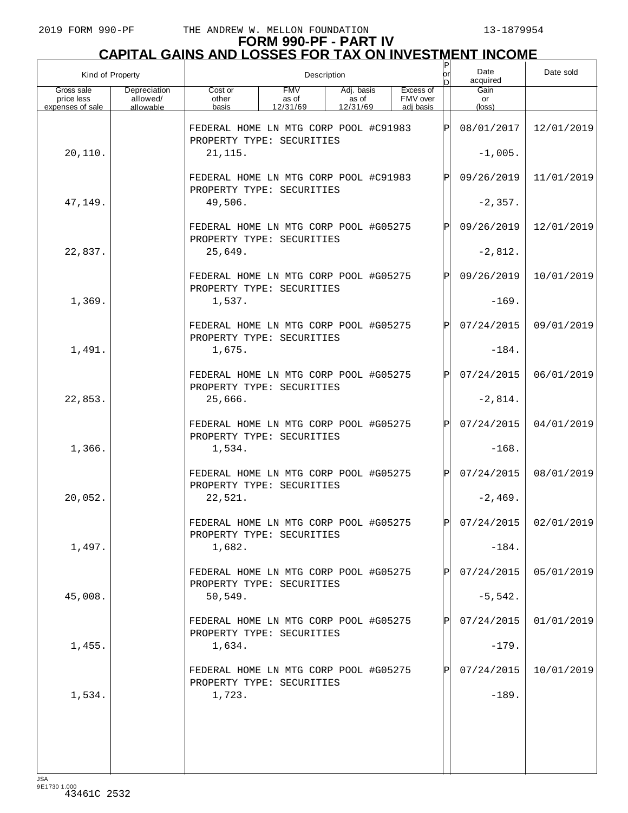| Kind of Property                             |                                       |                                                                                                                                       | Description |  |  |  | P<br>lor    | Date<br>acquired              | Date sold               |
|----------------------------------------------|---------------------------------------|---------------------------------------------------------------------------------------------------------------------------------------|-------------|--|--|--|-------------|-------------------------------|-------------------------|
| Gross sale<br>price less<br>expenses of sale | Depreciation<br>allowed/<br>allowable | <b>FMV</b><br>Excess of<br>Cost or<br>Adj. basis<br>as of<br>FMV over<br>other<br>as of<br>12/31/69<br>12/31/69<br>adi basis<br>basis |             |  |  |  |             | Gain<br>or<br>$(\text{loss})$ |                         |
|                                              |                                       |                                                                                                                                       |             |  |  |  |             |                               |                         |
|                                              |                                       | FEDERAL HOME LN MTG CORP POOL #C91983<br>PROPERTY TYPE: SECURITIES                                                                    |             |  |  |  | ΙPΙ         | 08/01/2017                    | 12/01/2019              |
| 20,110.                                      |                                       | 21, 115.                                                                                                                              |             |  |  |  |             | $-1,005.$                     |                         |
|                                              |                                       | FEDERAL HOME LN MTG CORP POOL #C91983                                                                                                 |             |  |  |  | ΙPΙ         | 09/26/2019                    | 11/01/2019              |
| 47,149.                                      |                                       | PROPERTY TYPE: SECURITIES<br>49,506.                                                                                                  |             |  |  |  |             | $-2,357.$                     |                         |
|                                              |                                       |                                                                                                                                       |             |  |  |  |             |                               |                         |
|                                              |                                       | FEDERAL HOME LN MTG CORP POOL #G05275<br>PROPERTY TYPE: SECURITIES                                                                    |             |  |  |  | ΙPΙ         | 09/26/2019                    | 12/01/2019              |
| 22,837.                                      |                                       | 25,649.                                                                                                                               |             |  |  |  |             | $-2,812.$                     |                         |
|                                              |                                       | FEDERAL HOME LN MTG CORP POOL #G05275                                                                                                 |             |  |  |  | ΙPΙ         | 09/26/2019                    | 10/01/2019              |
| 1,369.                                       |                                       | PROPERTY TYPE: SECURITIES<br>1,537.                                                                                                   |             |  |  |  |             | $-169.$                       |                         |
|                                              |                                       | FEDERAL HOME LN MTG CORP POOL #G05275                                                                                                 |             |  |  |  | ΙÞΙ         | 07/24/2015                    | 09/01/2019              |
|                                              |                                       | PROPERTY TYPE: SECURITIES                                                                                                             |             |  |  |  |             |                               |                         |
| 1,491.                                       |                                       | 1,675.                                                                                                                                |             |  |  |  |             | $-184.$                       |                         |
|                                              |                                       | FEDERAL HOME LN MTG CORP POOL #G05275                                                                                                 |             |  |  |  | Pl          | 07/24/2015                    | 06/01/2019              |
| 22,853.                                      |                                       | PROPERTY TYPE: SECURITIES<br>25,666.                                                                                                  |             |  |  |  |             | $-2,814.$                     |                         |
|                                              |                                       | FEDERAL HOME LN MTG CORP POOL #G05275                                                                                                 |             |  |  |  | ΙÞΙ         | 07/24/2015                    | 04/01/2019              |
|                                              |                                       | PROPERTY TYPE: SECURITIES                                                                                                             |             |  |  |  |             |                               |                         |
| 1,366.                                       |                                       | 1,534.                                                                                                                                |             |  |  |  |             | $-168.$                       |                         |
|                                              |                                       | FEDERAL HOME LN MTG CORP POOL #G05275<br>PROPERTY TYPE: SECURITIES                                                                    |             |  |  |  | ΙPΙ         | 07/24/2015                    | 08/01/2019              |
| 20,052.                                      |                                       | 22,521.                                                                                                                               |             |  |  |  |             | $-2,469.$                     |                         |
|                                              |                                       | FEDERAL HOME LN MTG CORP POOL #G05275                                                                                                 |             |  |  |  | ЫI          |                               | $07/24/2015$ 02/01/2019 |
| 1,497.                                       |                                       | PROPERTY TYPE: SECURITIES<br>1,682.                                                                                                   |             |  |  |  |             | $-184.$                       |                         |
|                                              |                                       |                                                                                                                                       |             |  |  |  |             |                               |                         |
|                                              |                                       | FEDERAL HOME LN MTG CORP POOL #G05275<br>PROPERTY TYPE: SECURITIES                                                                    |             |  |  |  |             | 07/24/2015                    | 05/01/2019              |
| 45,008.                                      |                                       | 50, 549.                                                                                                                              |             |  |  |  |             | $-5,542.$                     |                         |
|                                              |                                       | FEDERAL HOME LN MTG CORP POOL #G05275                                                                                                 |             |  |  |  | $\mathbf P$ | 07/24/2015                    | 01/01/2019              |
| 1,455.                                       |                                       | PROPERTY TYPE: SECURITIES<br>1,634.                                                                                                   |             |  |  |  |             | $-179.$                       |                         |
|                                              |                                       |                                                                                                                                       |             |  |  |  |             |                               |                         |
|                                              |                                       | FEDERAL HOME LN MTG CORP POOL #G05275<br>PROPERTY TYPE: SECURITIES                                                                    |             |  |  |  |             | 07/24/2015                    | 10/01/2019              |
| 1,534.                                       |                                       | 1,723.                                                                                                                                |             |  |  |  |             | $-189.$                       |                         |
|                                              |                                       |                                                                                                                                       |             |  |  |  |             |                               |                         |
|                                              |                                       |                                                                                                                                       |             |  |  |  |             |                               |                         |
|                                              |                                       |                                                                                                                                       |             |  |  |  |             |                               |                         |
|                                              |                                       |                                                                                                                                       |             |  |  |  |             |                               |                         |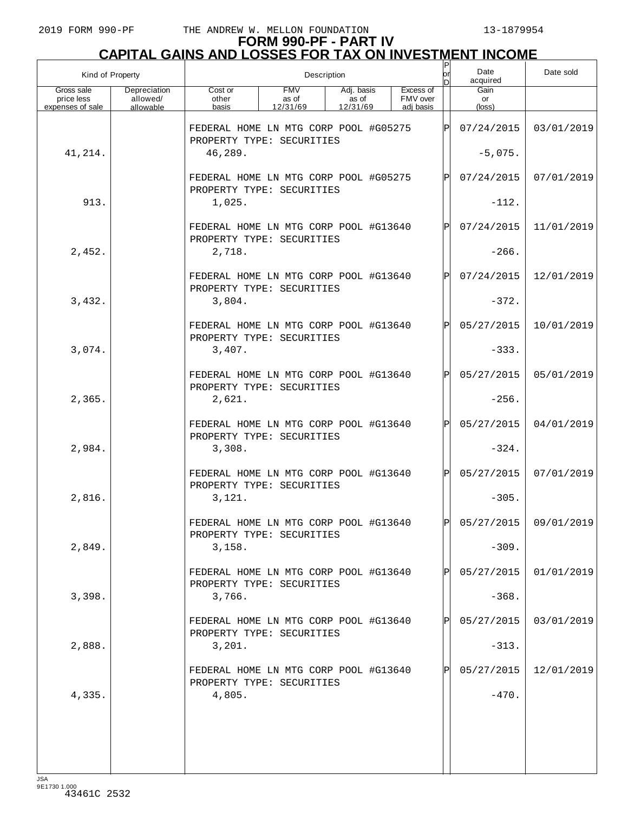| Kind of Property                             |                                       | Description                                                        |                                 |                                 |  |                                    |      | Date<br>acquired     | Date sold             |
|----------------------------------------------|---------------------------------------|--------------------------------------------------------------------|---------------------------------|---------------------------------|--|------------------------------------|------|----------------------|-----------------------|
| Gross sale<br>price less<br>expenses of sale | Depreciation<br>allowed/<br>allowable | Cost or<br>other<br>basis                                          | <b>FMV</b><br>as of<br>12/31/69 | Adj. basis<br>as of<br>12/31/69 |  | Excess of<br>FMV over<br>adi basis |      | Gain<br>or<br>(loss) |                       |
|                                              |                                       | FEDERAL HOME LN MTG CORP POOL #G05275<br>PROPERTY TYPE: SECURITIES |                                 |                                 |  |                                    | IPI  | 07/24/2015           | 03/01/2019            |
| 41,214.                                      |                                       | 46,289.                                                            |                                 |                                 |  |                                    |      | $-5,075.$            |                       |
|                                              |                                       | FEDERAL HOME LN MTG CORP POOL #G05275<br>PROPERTY TYPE: SECURITIES |                                 |                                 |  |                                    | IPI  | 07/24/2015           | 07/01/2019            |
| 913.                                         |                                       | 1,025.                                                             |                                 |                                 |  |                                    |      | $-112.$              |                       |
|                                              |                                       | FEDERAL HOME LN MTG CORP POOL #G13640<br>PROPERTY TYPE: SECURITIES |                                 |                                 |  |                                    | IPI  | 07/24/2015           | 11/01/2019            |
| 2,452.                                       |                                       | 2,718.                                                             |                                 |                                 |  |                                    |      | $-266.$              |                       |
|                                              |                                       | FEDERAL HOME LN MTG CORP POOL #G13640<br>PROPERTY TYPE: SECURITIES |                                 |                                 |  |                                    | lÞI  | 07/24/2015           | 12/01/2019            |
| 3,432.                                       |                                       | 3,804.                                                             |                                 |                                 |  |                                    |      | $-372.$              |                       |
|                                              |                                       | FEDERAL HOME LN MTG CORP POOL #G13640<br>PROPERTY TYPE: SECURITIES |                                 |                                 |  |                                    | IPI  | 05/27/2015           | 10/01/2019            |
| 3,074.                                       |                                       | 3,407.                                                             |                                 |                                 |  |                                    |      | $-333.$              |                       |
|                                              |                                       | FEDERAL HOME LN MTG CORP POOL #G13640<br>PROPERTY TYPE: SECURITIES |                                 |                                 |  |                                    | lÞI  | 05/27/2015           | 05/01/2019            |
| 2,365.                                       |                                       | 2,621.                                                             |                                 |                                 |  |                                    |      | $-256.$              |                       |
|                                              |                                       | FEDERAL HOME LN MTG CORP POOL #G13640<br>PROPERTY TYPE: SECURITIES |                                 |                                 |  |                                    | lÞI  | 05/27/2015           | 04/01/2019            |
| 2,984.                                       |                                       | 3,308.                                                             |                                 |                                 |  |                                    |      | $-324.$              |                       |
|                                              |                                       | FEDERAL HOME LN MTG CORP POOL #G13640<br>PROPERTY TYPE: SECURITIES |                                 |                                 |  |                                    | lPl. | 05/27/2015           | 07/01/2019            |
| 2,816.                                       |                                       | 3,121.                                                             |                                 |                                 |  |                                    |      | $-305.$              |                       |
|                                              |                                       | FEDERAL HOME LN MTG CORP POOL #G13640<br>PROPERTY TYPE: SECURITIES |                                 |                                 |  |                                    | IÞI  |                      | 05/27/2015 09/01/2019 |
| 2,849.                                       |                                       | 3,158.                                                             |                                 |                                 |  |                                    |      | $-309.$              |                       |
|                                              |                                       | FEDERAL HOME LN MTG CORP POOL #G13640<br>PROPERTY TYPE: SECURITIES |                                 |                                 |  |                                    | ΡI   | 05/27/2015           | 01/01/2019            |
| 3,398.                                       |                                       | 3,766.                                                             |                                 |                                 |  |                                    |      | $-368.$              |                       |
|                                              |                                       | FEDERAL HOME LN MTG CORP POOL #G13640<br>PROPERTY TYPE: SECURITIES |                                 |                                 |  |                                    | IPI  | 05/27/2015           | 03/01/2019            |
| 2,888.                                       |                                       | 3,201.                                                             |                                 |                                 |  |                                    |      | $-313.$              |                       |
|                                              |                                       | FEDERAL HOME LN MTG CORP POOL #G13640<br>PROPERTY TYPE: SECURITIES |                                 |                                 |  |                                    | IPI  | 05/27/2015           | 12/01/2019            |
| 4,335.                                       |                                       | 4,805.                                                             |                                 |                                 |  |                                    |      | $-470.$              |                       |
|                                              |                                       |                                                                    |                                 |                                 |  |                                    |      |                      |                       |
|                                              |                                       |                                                                    |                                 |                                 |  |                                    |      |                      |                       |
|                                              |                                       |                                                                    |                                 |                                 |  |                                    |      |                      |                       |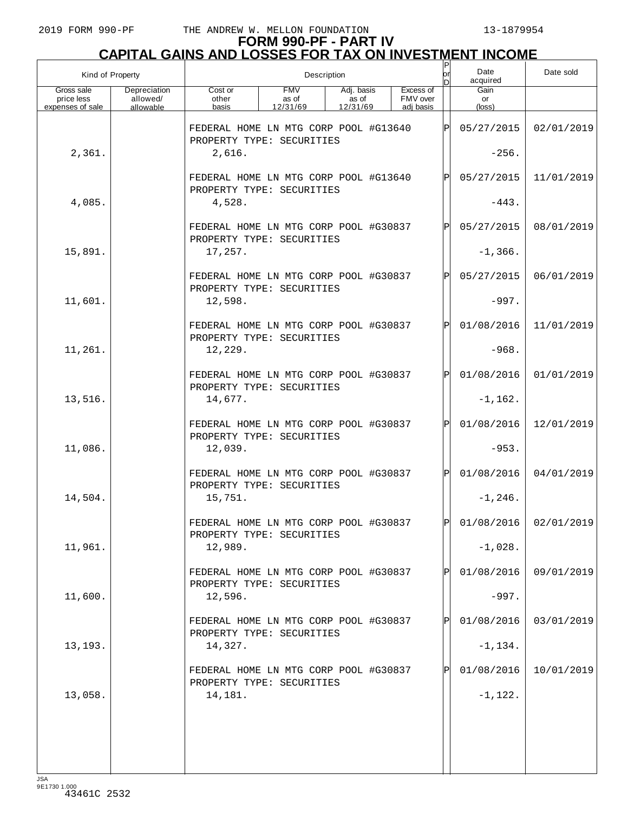| Kind of Property                             |                                       |                                                                    | Description                     |                                 |  |                                    |              |                      | Date sold               |
|----------------------------------------------|---------------------------------------|--------------------------------------------------------------------|---------------------------------|---------------------------------|--|------------------------------------|--------------|----------------------|-------------------------|
| Gross sale<br>price less<br>expenses of sale | Depreciation<br>allowed/<br>allowable | Cost or<br>other<br>basis                                          | <b>FMV</b><br>as of<br>12/31/69 | Adj. basis<br>as of<br>12/31/69 |  | Excess of<br>FMV over<br>adi basis |              | Gain<br>or<br>(loss) |                         |
|                                              |                                       | FEDERAL HOME LN MTG CORP POOL #G13640<br>PROPERTY TYPE: SECURITIES |                                 |                                 |  |                                    | ΙPΙ          | 05/27/2015           | 02/01/2019              |
| 2,361.                                       |                                       | 2,616.                                                             |                                 |                                 |  |                                    |              | $-256.$              |                         |
|                                              |                                       | FEDERAL HOME LN MTG CORP POOL #G13640<br>PROPERTY TYPE: SECURITIES |                                 |                                 |  |                                    | $\mathsf{P}$ | 05/27/2015           | 11/01/2019              |
| 4,085.                                       |                                       | 4,528.                                                             |                                 |                                 |  |                                    |              | $-443.$              |                         |
|                                              |                                       | FEDERAL HOME LN MTG CORP POOL #G30837<br>PROPERTY TYPE: SECURITIES |                                 |                                 |  |                                    | $\mathsf{P}$ | 05/27/2015           | 08/01/2019              |
| 15,891.                                      |                                       | 17,257.                                                            |                                 |                                 |  |                                    |              | $-1, 366.$           |                         |
|                                              |                                       | FEDERAL HOME LN MTG CORP POOL #G30837<br>PROPERTY TYPE: SECURITIES |                                 |                                 |  |                                    | P            | 05/27/2015           | 06/01/2019              |
| 11,601.                                      |                                       | 12,598.                                                            |                                 |                                 |  |                                    |              | $-997.$              |                         |
|                                              |                                       | FEDERAL HOME LN MTG CORP POOL #G30837<br>PROPERTY TYPE: SECURITIES |                                 |                                 |  |                                    | $\mathsf{P}$ | 01/08/2016           | 11/01/2019              |
| 11,261.                                      |                                       | 12,229.                                                            |                                 |                                 |  |                                    |              | $-968.$              |                         |
|                                              |                                       | FEDERAL HOME LN MTG CORP POOL #G30837<br>PROPERTY TYPE: SECURITIES |                                 |                                 |  |                                    | $\mathsf{P}$ | 01/08/2016           | 01/01/2019              |
| 13,516.                                      |                                       | 14,677.                                                            |                                 |                                 |  |                                    |              | $-1,162.$            |                         |
|                                              |                                       | FEDERAL HOME LN MTG CORP POOL #G30837<br>PROPERTY TYPE: SECURITIES |                                 |                                 |  |                                    | $\mathsf{P}$ | 01/08/2016           | 12/01/2019              |
| 11,086.                                      |                                       | 12,039.                                                            |                                 |                                 |  |                                    |              | $-953.$              |                         |
|                                              |                                       | FEDERAL HOME LN MTG CORP POOL #G30837<br>PROPERTY TYPE: SECURITIES |                                 |                                 |  |                                    | $\mathbf P$  | 01/08/2016           | 04/01/2019              |
| 14,504.                                      |                                       | 15,751.                                                            |                                 |                                 |  |                                    |              | $-1, 246.$           |                         |
|                                              |                                       | FEDERAL HOME LN MTG CORP POOL #G30837<br>PROPERTY TYPE: SECURITIES |                                 |                                 |  |                                    | ÞІ           |                      | $01/08/2016$ 02/01/2019 |
| 11,961.                                      |                                       | 12,989.                                                            |                                 |                                 |  |                                    |              | $-1,028.$            |                         |
|                                              |                                       | FEDERAL HOME LN MTG CORP POOL #G30837<br>PROPERTY TYPE: SECURITIES |                                 |                                 |  |                                    |              | 01/08/2016           | 09/01/2019              |
| 11,600.                                      |                                       | 12,596.                                                            |                                 |                                 |  |                                    |              | $-997.$              |                         |
|                                              |                                       | FEDERAL HOME LN MTG CORP POOL #G30837<br>PROPERTY TYPE: SECURITIES |                                 |                                 |  |                                    |              | 01/08/2016           | 03/01/2019              |
| 13, 193.                                     |                                       | 14,327.                                                            |                                 |                                 |  |                                    |              | $-1, 134.$           |                         |
|                                              |                                       | FEDERAL HOME LN MTG CORP POOL #G30837<br>PROPERTY TYPE: SECURITIES |                                 |                                 |  |                                    |              | 01/08/2016           | 10/01/2019              |
| 13,058.                                      |                                       | 14,181.                                                            |                                 |                                 |  |                                    |              | $-1,122.$            |                         |
|                                              |                                       |                                                                    |                                 |                                 |  |                                    |              |                      |                         |
|                                              |                                       |                                                                    |                                 |                                 |  |                                    |              |                      |                         |
|                                              |                                       |                                                                    |                                 |                                 |  |                                    |              |                      |                         |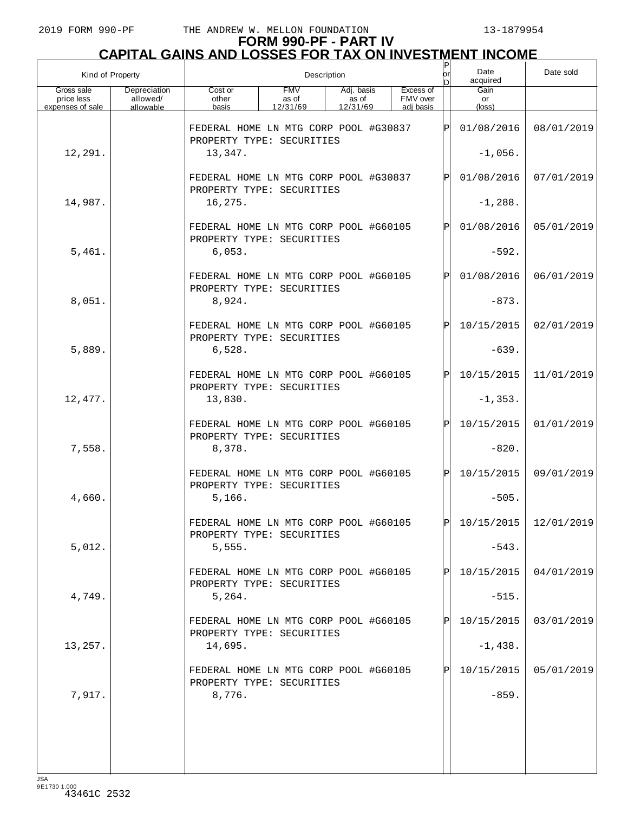# **FORM 990-PF - PART IV CAPITAL GAINS AND LOSSES FOR TAX ON INVESTMENT INCOME** P

| Kind of Property                             |                                       |                                                                    | Description                     |                                 | P<br>lor | Date<br>acquired      | Date sold    |                               |                         |
|----------------------------------------------|---------------------------------------|--------------------------------------------------------------------|---------------------------------|---------------------------------|----------|-----------------------|--------------|-------------------------------|-------------------------|
| Gross sale<br>price less<br>expenses of sale | Depreciation<br>allowed/<br>allowable | Cost or<br>other                                                   | <b>FMV</b><br>as of<br>12/31/69 | Adj. basis<br>as of<br>12/31/69 |          | Excess of<br>FMV over |              | Gain<br>or<br>$(\text{loss})$ |                         |
|                                              |                                       | basis                                                              |                                 |                                 |          | adi basis             |              |                               |                         |
|                                              |                                       | FEDERAL HOME LN MTG CORP POOL #G30837<br>PROPERTY TYPE: SECURITIES |                                 |                                 |          |                       | ΙÞΙ          | 01/08/2016                    | 08/01/2019              |
| 12,291.                                      |                                       | 13,347.                                                            |                                 |                                 |          |                       |              | $-1,056.$                     |                         |
|                                              |                                       | FEDERAL HOME LN MTG CORP POOL #G30837<br>PROPERTY TYPE: SECURITIES |                                 |                                 | P        | 01/08/2016            | 07/01/2019   |                               |                         |
| 14,987.                                      |                                       | 16,275.                                                            |                                 |                                 |          |                       |              | $-1, 288.$                    |                         |
|                                              |                                       | FEDERAL HOME LN MTG CORP POOL #G60105                              |                                 |                                 |          |                       | P            | 01/08/2016                    | 05/01/2019              |
| 5,461.                                       |                                       | PROPERTY TYPE: SECURITIES<br>6,053.                                |                                 |                                 |          |                       |              | $-592.$                       |                         |
|                                              |                                       | FEDERAL HOME LN MTG CORP POOL #G60105<br>PROPERTY TYPE: SECURITIES |                                 |                                 |          |                       | P            | 01/08/2016                    | 06/01/2019              |
| 8,051.                                       |                                       | 8,924.                                                             |                                 |                                 |          |                       |              | $-873.$                       |                         |
|                                              |                                       | FEDERAL HOME LN MTG CORP POOL #G60105<br>PROPERTY TYPE: SECURITIES |                                 |                                 |          |                       | $\mathsf{P}$ | 10/15/2015                    | 02/01/2019              |
| 5,889.                                       |                                       | 6,528.                                                             |                                 |                                 |          |                       |              | $-639.$                       |                         |
|                                              |                                       | FEDERAL HOME LN MTG CORP POOL #G60105<br>PROPERTY TYPE: SECURITIES |                                 |                                 |          |                       | $\mathbf P$  | 10/15/2015                    | 11/01/2019              |
| 12,477.                                      |                                       | 13,830.                                                            |                                 |                                 |          |                       |              | $-1, 353.$                    |                         |
|                                              |                                       | FEDERAL HOME LN MTG CORP POOL #G60105                              |                                 |                                 |          |                       | $\mathbf P$  | 10/15/2015                    | 01/01/2019              |
| 7,558.                                       |                                       | PROPERTY TYPE: SECURITIES<br>8,378.                                |                                 |                                 |          |                       |              | $-820.$                       |                         |
|                                              |                                       | FEDERAL HOME LN MTG CORP POOL #G60105<br>PROPERTY TYPE: SECURITIES |                                 |                                 |          |                       | $\mathbf P$  | 10/15/2015                    | 09/01/2019              |
| 4,660.                                       |                                       | 5,166.                                                             |                                 |                                 |          |                       |              | $-505.$                       |                         |
|                                              |                                       | FEDERAL HOME LN MTG CORP POOL #G60105<br>PROPERTY TYPE: SECURITIES |                                 |                                 |          |                       | DI           |                               | $10/15/2015$ 12/01/2019 |
| 5,012.                                       |                                       | 5,555.                                                             |                                 |                                 |          |                       |              | $-543.$                       |                         |
|                                              |                                       | FEDERAL HOME LN MTG CORP POOL #G60105<br>PROPERTY TYPE: SECURITIES |                                 |                                 |          |                       |              | 10/15/2015                    | 04/01/2019              |
| 4,749.                                       |                                       | 5,264.                                                             |                                 |                                 |          |                       |              | $-515.$                       |                         |
|                                              |                                       | FEDERAL HOME LN MTG CORP POOL #G60105<br>PROPERTY TYPE: SECURITIES |                                 |                                 |          |                       | Pl           | 10/15/2015                    | 03/01/2019              |
| 13,257.                                      |                                       | 14,695.                                                            |                                 |                                 |          |                       |              | $-1,438.$                     |                         |
|                                              |                                       | FEDERAL HOME LN MTG CORP POOL #G60105<br>PROPERTY TYPE: SECURITIES |                                 |                                 |          |                       |              | 10/15/2015                    | 05/01/2019              |
| 7,917.                                       |                                       | 8,776.                                                             |                                 |                                 |          |                       |              | $-859.$                       |                         |
|                                              |                                       |                                                                    |                                 |                                 |          |                       |              |                               |                         |
|                                              |                                       |                                                                    |                                 |                                 |          |                       |              |                               |                         |
|                                              |                                       |                                                                    |                                 |                                 |          |                       |              |                               |                         |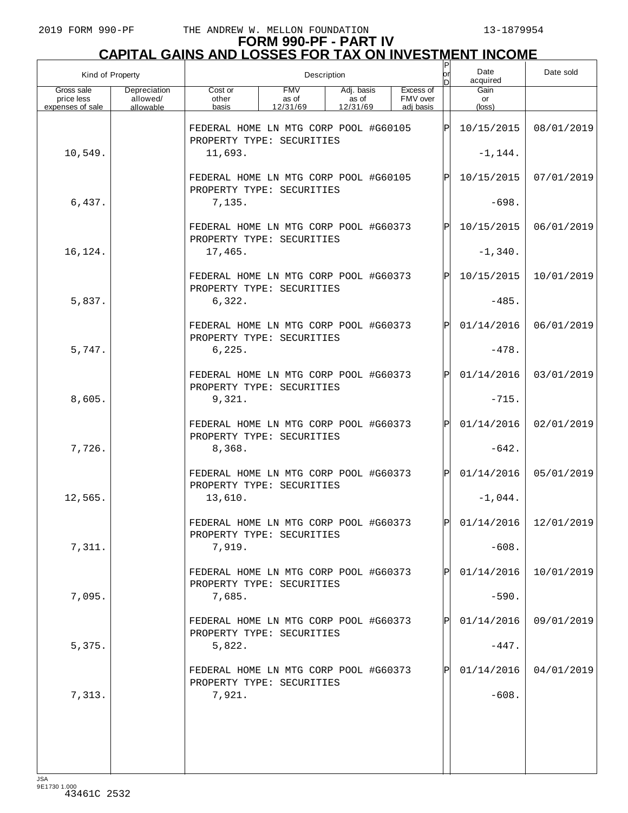| Kind of Property<br>Gross sale<br>Depreciation |           |                                                                    | Description         |                     |  |                       |              |            | Date sold               |
|------------------------------------------------|-----------|--------------------------------------------------------------------|---------------------|---------------------|--|-----------------------|--------------|------------|-------------------------|
| price less                                     | allowed/  | Cost or<br>other                                                   | <b>FMV</b><br>as of | Adj. basis<br>as of |  | Excess of<br>FMV over |              | Gain<br>or |                         |
| expenses of sale                               | allowable | basis                                                              | 12/31/69            | 12/31/69            |  | adi basis             |              | (loss)     |                         |
|                                                |           | FEDERAL HOME LN MTG CORP POOL #G60105<br>PROPERTY TYPE: SECURITIES |                     |                     |  |                       | ΙPΙ          | 10/15/2015 | 08/01/2019              |
| 10,549.                                        |           | 11,693.                                                            |                     |                     |  |                       |              | $-1, 144.$ |                         |
|                                                |           | FEDERAL HOME LN MTG CORP POOL #G60105<br>PROPERTY TYPE: SECURITIES |                     |                     |  |                       | $\mathsf{P}$ | 10/15/2015 | 07/01/2019              |
| 6,437.                                         |           | 7,135.                                                             |                     |                     |  |                       |              | $-698.$    |                         |
|                                                |           | FEDERAL HOME LN MTG CORP POOL #G60373<br>PROPERTY TYPE: SECURITIES |                     |                     |  |                       | $\mathbf P$  | 10/15/2015 | 06/01/2019              |
| 16,124.                                        |           | 17,465.                                                            |                     |                     |  |                       |              | $-1,340.$  |                         |
|                                                |           | FEDERAL HOME LN MTG CORP POOL #G60373<br>PROPERTY TYPE: SECURITIES |                     |                     |  |                       | $\mathsf{P}$ | 10/15/2015 | 10/01/2019              |
| 5,837.                                         |           | 6,322.                                                             |                     |                     |  |                       |              | $-485.$    |                         |
|                                                |           | FEDERAL HOME LN MTG CORP POOL #G60373<br>PROPERTY TYPE: SECURITIES |                     |                     |  |                       | $\mathsf{P}$ | 01/14/2016 | 06/01/2019              |
| 5,747.                                         |           | 6,225.                                                             |                     |                     |  |                       |              | $-478.$    |                         |
|                                                |           | FEDERAL HOME LN MTG CORP POOL #G60373<br>PROPERTY TYPE: SECURITIES |                     |                     |  |                       | $\mathsf{P}$ | 01/14/2016 | 03/01/2019              |
| 8,605.                                         |           | 9,321.                                                             |                     |                     |  |                       |              | $-715.$    |                         |
|                                                |           | FEDERAL HOME LN MTG CORP POOL #G60373<br>PROPERTY TYPE: SECURITIES |                     |                     |  |                       | $\mathsf{P}$ | 01/14/2016 | 02/01/2019              |
| 7,726.                                         |           | 8,368.                                                             |                     |                     |  |                       |              | $-642.$    |                         |
|                                                |           | FEDERAL HOME LN MTG CORP POOL #G60373<br>PROPERTY TYPE: SECURITIES |                     |                     |  |                       | $\mathbf P$  | 01/14/2016 | 05/01/2019              |
| 12,565.                                        |           | 13,610.                                                            |                     |                     |  |                       |              | $-1,044.$  |                         |
|                                                |           | FEDERAL HOME LN MTG CORP POOL #G60373<br>PROPERTY TYPE: SECURITIES |                     |                     |  |                       | ÞІ           |            | $01/14/2016$ 12/01/2019 |
| 7,311.                                         |           | 7,919.                                                             |                     |                     |  |                       |              | $-608.$    |                         |
|                                                |           | FEDERAL HOME LN MTG CORP POOL #G60373<br>PROPERTY TYPE: SECURITIES |                     |                     |  |                       |              | 01/14/2016 | 10/01/2019              |
| 7,095.                                         |           | 7,685.                                                             |                     |                     |  |                       |              | $-590.$    |                         |
|                                                |           | FEDERAL HOME LN MTG CORP POOL #G60373<br>PROPERTY TYPE: SECURITIES |                     |                     |  |                       | P            | 01/14/2016 | 09/01/2019              |
| 5,375.                                         |           | 5,822.                                                             |                     |                     |  |                       |              | $-447.$    |                         |
|                                                |           | FEDERAL HOME LN MTG CORP POOL #G60373<br>PROPERTY TYPE: SECURITIES |                     |                     |  |                       |              | 01/14/2016 | 04/01/2019              |
| 7,313.                                         |           | 7,921.                                                             |                     |                     |  |                       |              | $-608.$    |                         |
|                                                |           |                                                                    |                     |                     |  |                       |              |            |                         |
|                                                |           |                                                                    |                     |                     |  |                       |              |            |                         |
|                                                |           |                                                                    |                     |                     |  |                       |              |            |                         |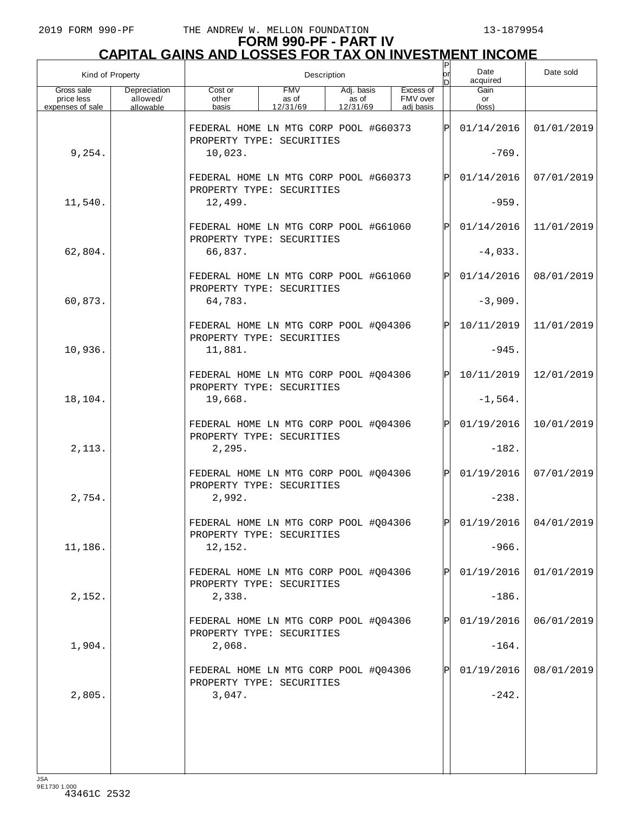| Kind of Property                             |                                       |                                                                                                                                       | Description |  | $\sf P$<br>or | Date<br>acquired | Date sold    |                       |                         |
|----------------------------------------------|---------------------------------------|---------------------------------------------------------------------------------------------------------------------------------------|-------------|--|---------------|------------------|--------------|-----------------------|-------------------------|
| Gross sale<br>price less<br>expenses of sale | Depreciation<br>allowed/<br>allowable | Excess of<br><b>FMV</b><br>Adj. basis<br>Cost or<br>as of<br>FMV over<br>other<br>as of<br>12/31/69<br>basis<br>12/31/69<br>adj basis |             |  |               |                  |              | Gain<br>or<br>(loss)  |                         |
|                                              |                                       | FEDERAL HOME LN MTG CORP POOL #G60373                                                                                                 |             |  |               |                  | ΙPΙ          | 01/14/2016            | 01/01/2019              |
| 9,254.                                       |                                       | PROPERTY TYPE: SECURITIES<br>10,023.                                                                                                  |             |  |               |                  |              | $-769.$               |                         |
|                                              |                                       | FEDERAL HOME LN MTG CORP POOL #G60373<br>PROPERTY TYPE: SECURITIES                                                                    |             |  |               |                  | ΙPΙ          | 01/14/2016            | 07/01/2019              |
| 11,540.                                      |                                       | 12,499.                                                                                                                               |             |  |               |                  |              | $-959.$               |                         |
|                                              |                                       | FEDERAL HOME LN MTG CORP POOL #G61060<br>PROPERTY TYPE: SECURITIES                                                                    |             |  |               |                  | ΙPΙ          | 01/14/2016            | 11/01/2019              |
| 62,804.                                      |                                       | 66,837.                                                                                                                               |             |  |               |                  |              | $-4,033.$             |                         |
|                                              |                                       | FEDERAL HOME LN MTG CORP POOL #G61060<br>PROPERTY TYPE: SECURITIES                                                                    |             |  |               |                  | ΙPΙ          | 01/14/2016            | 08/01/2019              |
| 60,873.                                      |                                       | 64,783.                                                                                                                               |             |  |               |                  |              | $-3,909.$             |                         |
|                                              |                                       | FEDERAL HOME LN MTG CORP POOL #Q04306<br>PROPERTY TYPE: SECURITIES                                                                    |             |  |               |                  | ΙPΙ          | 10/11/2019            | 11/01/2019              |
| 10,936.                                      |                                       | 11,881.                                                                                                                               |             |  |               |                  |              | $-945.$               |                         |
|                                              |                                       | FEDERAL HOME LN MTG CORP POOL #Q04306<br>PROPERTY TYPE: SECURITIES                                                                    |             |  |               |                  | ΙPΙ          | 10/11/2019            | 12/01/2019              |
| 18,104.                                      |                                       | 19,668.                                                                                                                               |             |  |               |                  |              | $-1,564.$             |                         |
|                                              |                                       | FEDERAL HOME LN MTG CORP POOL #Q04306<br>PROPERTY TYPE: SECURITIES                                                                    |             |  |               |                  | ΙPΙ          | 01/19/2016            | 10/01/2019              |
| 2,113.                                       |                                       | 2, 295.                                                                                                                               |             |  |               |                  |              | $-182.$               |                         |
|                                              |                                       | FEDERAL HOME LN MTG CORP POOL #Q04306<br>PROPERTY TYPE: SECURITIES                                                                    |             |  |               |                  | ΙPΙ          | 01/19/2016            | 07/01/2019              |
| 2,754.                                       |                                       | 2,992.                                                                                                                                |             |  |               |                  |              | $-238.$               |                         |
|                                              |                                       | FEDERAL HOME LN MTG CORP POOL #Q04306<br>PROPERTY TYPE: SECURITIES                                                                    |             |  |               |                  | ÞІ           |                       | $01/19/2016$ 04/01/2019 |
| 11,186.                                      |                                       | 12,152.                                                                                                                               |             |  |               |                  |              | $-966.$               |                         |
|                                              |                                       | FEDERAL HOME LN MTG CORP POOL #Q04306<br>PROPERTY TYPE: SECURITIES                                                                    |             |  |               |                  | $\mathbf{P}$ | 01/19/2016            | 01/01/2019              |
| 2,152.                                       |                                       | 2,338.                                                                                                                                |             |  |               |                  |              | $-186.$               |                         |
| 1,904.                                       |                                       | FEDERAL HOME LN MTG CORP POOL #Q04306<br>PROPERTY TYPE: SECURITIES                                                                    |             |  |               |                  | $\mathbf{P}$ | 01/19/2016<br>$-164.$ | 06/01/2019              |
|                                              |                                       | 2,068.<br>FEDERAL HOME LN MTG CORP POOL #Q04306                                                                                       |             |  |               |                  | $\mathbf{P}$ | 01/19/2016            | 08/01/2019              |
| 2,805.                                       |                                       | PROPERTY TYPE: SECURITIES<br>3,047.                                                                                                   |             |  |               |                  |              | $-242.$               |                         |
|                                              |                                       |                                                                                                                                       |             |  |               |                  |              |                       |                         |
|                                              |                                       |                                                                                                                                       |             |  |               |                  |              |                       |                         |
|                                              |                                       |                                                                                                                                       |             |  |               |                  |              |                       |                         |
|                                              |                                       |                                                                                                                                       |             |  |               |                  |              |                       |                         |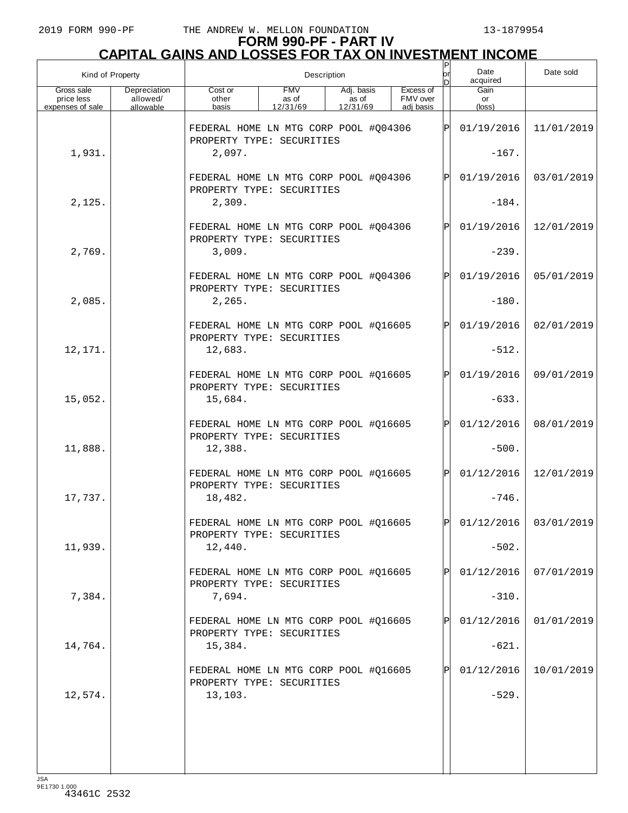| Kind of Property                             |                                       |                                                                    | Description                     | or                              | Date<br>acquired                   | Date sold |                      |                         |
|----------------------------------------------|---------------------------------------|--------------------------------------------------------------------|---------------------------------|---------------------------------|------------------------------------|-----------|----------------------|-------------------------|
| Gross sale<br>price less<br>expenses of sale | Depreciation<br>allowed/<br>allowable | Cost or<br>other<br>basis                                          | <b>FMV</b><br>as of<br>12/31/69 | Adj. basis<br>as of<br>12/31/69 | Excess of<br>FMV over<br>adi basis |           | Gain<br>or<br>(loss) |                         |
|                                              |                                       | FEDERAL HOME LN MTG CORP POOL #Q04306<br>PROPERTY TYPE: SECURITIES |                                 |                                 |                                    | ΙÞΙ       | 01/19/2016           | 11/01/2019              |
| 1,931.                                       |                                       | 2,097.                                                             |                                 |                                 |                                    |           | $-167.$              |                         |
|                                              |                                       | FEDERAL HOME LN MTG CORP POOL #Q04306<br>PROPERTY TYPE: SECURITIES |                                 |                                 |                                    | lPl       | 01/19/2016           | 03/01/2019              |
| 2,125.                                       |                                       | 2,309.                                                             |                                 |                                 |                                    |           | $-184.$              |                         |
|                                              |                                       | FEDERAL HOME LN MTG CORP POOL #Q04306<br>PROPERTY TYPE: SECURITIES |                                 |                                 |                                    | lÞI.      | 01/19/2016           | 12/01/2019              |
| 2,769.                                       |                                       | 3,009.                                                             |                                 |                                 |                                    |           | $-239.$              |                         |
|                                              |                                       | FEDERAL HOME LN MTG CORP POOL #Q04306<br>PROPERTY TYPE: SECURITIES |                                 |                                 |                                    | lPl       | 01/19/2016           | 05/01/2019              |
| 2,085.                                       |                                       | 2, 265.                                                            |                                 |                                 |                                    |           | $-180.$              |                         |
|                                              |                                       | FEDERAL HOME LN MTG CORP POOL #Q16605<br>PROPERTY TYPE: SECURITIES |                                 |                                 |                                    | lÞI.      | 01/19/2016           | 02/01/2019              |
| 12,171.                                      |                                       | 12,683.                                                            |                                 |                                 |                                    |           | $-512.$              |                         |
|                                              |                                       | FEDERAL HOME LN MTG CORP POOL #Q16605<br>PROPERTY TYPE: SECURITIES |                                 |                                 |                                    | lÞI.      | 01/19/2016           | 09/01/2019              |
| 15,052.                                      |                                       | 15,684.                                                            |                                 |                                 |                                    |           | $-633.$              |                         |
|                                              |                                       | FEDERAL HOME LN MTG CORP POOL #Q16605<br>PROPERTY TYPE: SECURITIES |                                 |                                 |                                    | lÞI.      | 01/12/2016           | 08/01/2019              |
| 11,888.                                      |                                       | 12,388.                                                            |                                 |                                 |                                    |           | $-500.$              |                         |
|                                              |                                       | FEDERAL HOME LN MTG CORP POOL #016605<br>PROPERTY TYPE: SECURITIES |                                 |                                 |                                    | lPl       | 01/12/2016           | 12/01/2019              |
| 17,737.                                      |                                       | 18,482.                                                            |                                 |                                 |                                    |           | $-746.$              |                         |
|                                              |                                       | FEDERAL HOME LN MTG CORP POOL #Q16605<br>PROPERTY TYPE: SECURITIES |                                 |                                 |                                    | lpl.      |                      | $01/12/2016$ 03/01/2019 |
| 11,939.                                      |                                       | 12,440.                                                            |                                 |                                 |                                    |           | $-502.$              |                         |
|                                              |                                       | FEDERAL HOME LN MTG CORP POOL #Q16605<br>PROPERTY TYPE: SECURITIES |                                 |                                 |                                    | ΙÞΙ       | 01/12/2016           | 07/01/2019              |
| 7,384.                                       |                                       | 7,694.                                                             |                                 |                                 |                                    |           | $-310.$              |                         |
|                                              |                                       | FEDERAL HOME LN MTG CORP POOL #Q16605<br>PROPERTY TYPE: SECURITIES |                                 |                                 |                                    | ΙÞΙ       | 01/12/2016           | 01/01/2019              |
| 14,764.                                      |                                       | 15,384.                                                            |                                 |                                 |                                    |           | $-621.$              |                         |
|                                              |                                       | FEDERAL HOME LN MTG CORP POOL #Q16605<br>PROPERTY TYPE: SECURITIES |                                 |                                 |                                    | IPI       | 01/12/2016           | 10/01/2019              |
| 12,574.                                      |                                       | 13,103.                                                            |                                 |                                 |                                    |           | $-529.$              |                         |
|                                              |                                       |                                                                    |                                 |                                 |                                    |           |                      |                         |
|                                              |                                       |                                                                    |                                 |                                 |                                    |           |                      |                         |
|                                              |                                       |                                                                    |                                 |                                 |                                    |           |                      |                         |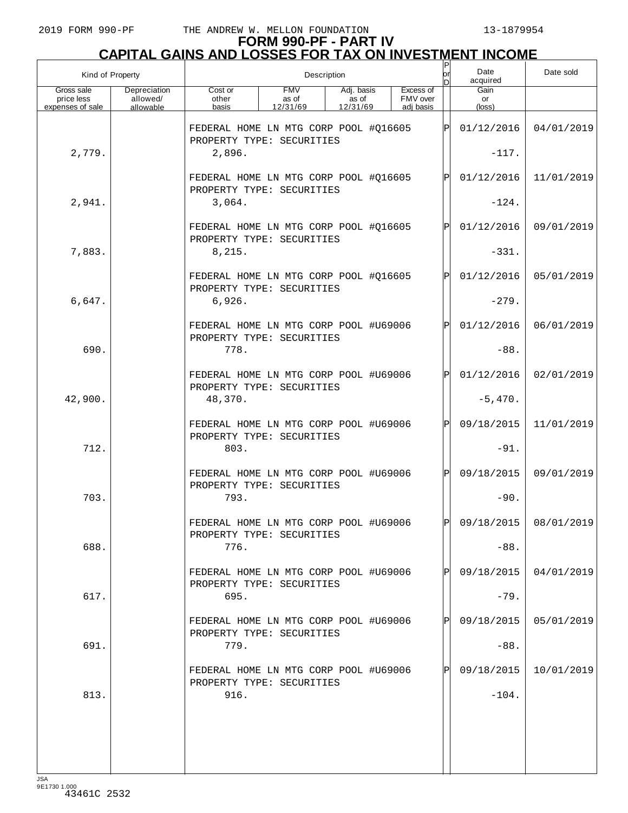| Kind of Property                             |                                       |                                                                    |                                 | Description                     |                                    | Ρ<br>or      | Date<br>acquired              | Date sold             |
|----------------------------------------------|---------------------------------------|--------------------------------------------------------------------|---------------------------------|---------------------------------|------------------------------------|--------------|-------------------------------|-----------------------|
| Gross sale<br>price less<br>expenses of sale | Depreciation<br>allowed/<br>allowable | Cost or<br>other<br>basis                                          | <b>FMV</b><br>as of<br>12/31/69 | Adj. basis<br>as of<br>12/31/69 | Excess of<br>FMV over<br>adi basis |              | Gain<br>or<br>$(\text{loss})$ |                       |
|                                              |                                       | FEDERAL HOME LN MTG CORP POOL #Q16605<br>PROPERTY TYPE: SECURITIES |                                 |                                 |                                    | ΙPΙ          | 01/12/2016                    | 04/01/2019            |
| 2,779.                                       |                                       | 2,896.                                                             |                                 |                                 |                                    |              | $-117.$                       |                       |
|                                              |                                       | FEDERAL HOME LN MTG CORP POOL #Q16605<br>PROPERTY TYPE: SECURITIES |                                 |                                 |                                    | $\mathsf{P}$ | 01/12/2016                    | 11/01/2019            |
| 2,941.                                       |                                       | 3,064.                                                             |                                 |                                 |                                    |              | $-124.$                       |                       |
|                                              |                                       | FEDERAL HOME LN MTG CORP POOL #Q16605<br>PROPERTY TYPE: SECURITIES |                                 |                                 |                                    | $\mathsf{P}$ | 01/12/2016                    | 09/01/2019            |
| 7,883.                                       |                                       | 8,215.                                                             |                                 |                                 |                                    |              | $-331.$                       |                       |
|                                              |                                       | FEDERAL HOME LN MTG CORP POOL #Q16605<br>PROPERTY TYPE: SECURITIES |                                 |                                 |                                    | $\mathsf{P}$ | 01/12/2016                    | 05/01/2019            |
| 6,647.                                       |                                       | 6,926.                                                             |                                 |                                 |                                    |              | $-279.$                       |                       |
|                                              |                                       | FEDERAL HOME LN MTG CORP POOL #U69006<br>PROPERTY TYPE: SECURITIES |                                 |                                 |                                    | $\mathsf{P}$ | 01/12/2016                    | 06/01/2019            |
| 690.                                         |                                       | 778.                                                               |                                 |                                 |                                    |              | $-88.$                        |                       |
|                                              |                                       | FEDERAL HOME LN MTG CORP POOL #U69006<br>PROPERTY TYPE: SECURITIES |                                 |                                 |                                    | $\mathsf{P}$ | 01/12/2016                    | 02/01/2019            |
| 42,900.                                      |                                       | 48,370.                                                            |                                 |                                 |                                    |              | $-5,470.$                     |                       |
|                                              |                                       | FEDERAL HOME LN MTG CORP POOL #U69006<br>PROPERTY TYPE: SECURITIES |                                 |                                 |                                    | $\mathsf{P}$ | 09/18/2015                    | 11/01/2019            |
| 712.                                         |                                       | 803.                                                               |                                 |                                 |                                    |              | $-91.$                        |                       |
|                                              |                                       | FEDERAL HOME LN MTG CORP POOL #U69006<br>PROPERTY TYPE: SECURITIES |                                 |                                 |                                    | $\mathbf P$  | 09/18/2015                    | 09/01/2019            |
| 703.                                         |                                       | 793.                                                               |                                 |                                 |                                    |              | $-90.$                        |                       |
|                                              |                                       | FEDERAL HOME LN MTG CORP POOL #U69006<br>PROPERTY TYPE: SECURITIES |                                 |                                 |                                    | ldl          |                               | 09/18/2015 08/01/2019 |
| 688.                                         |                                       | 776.                                                               |                                 |                                 |                                    |              | $-88.$                        |                       |
|                                              |                                       | FEDERAL HOME LN MTG CORP POOL #U69006<br>PROPERTY TYPE: SECURITIES |                                 |                                 |                                    | Pl           | 09/18/2015                    | 04/01/2019            |
| 617.                                         |                                       | 695.                                                               |                                 |                                 |                                    |              | $-79.$                        |                       |
|                                              |                                       | FEDERAL HOME LN MTG CORP POOL #U69006<br>PROPERTY TYPE: SECURITIES |                                 |                                 |                                    | $\mathbf P$  | 09/18/2015                    | 05/01/2019            |
| 691.                                         |                                       | 779.                                                               |                                 |                                 |                                    |              | $-88.$                        |                       |
|                                              |                                       | FEDERAL HOME LN MTG CORP POOL #U69006<br>PROPERTY TYPE: SECURITIES |                                 |                                 |                                    | $\mathbf P$  | 09/18/2015                    | 10/01/2019            |
| 813.                                         |                                       | 916.                                                               |                                 |                                 |                                    |              | $-104.$                       |                       |
|                                              |                                       |                                                                    |                                 |                                 |                                    |              |                               |                       |
|                                              |                                       |                                                                    |                                 |                                 |                                    |              |                               |                       |
| 194                                          |                                       |                                                                    |                                 |                                 |                                    |              |                               |                       |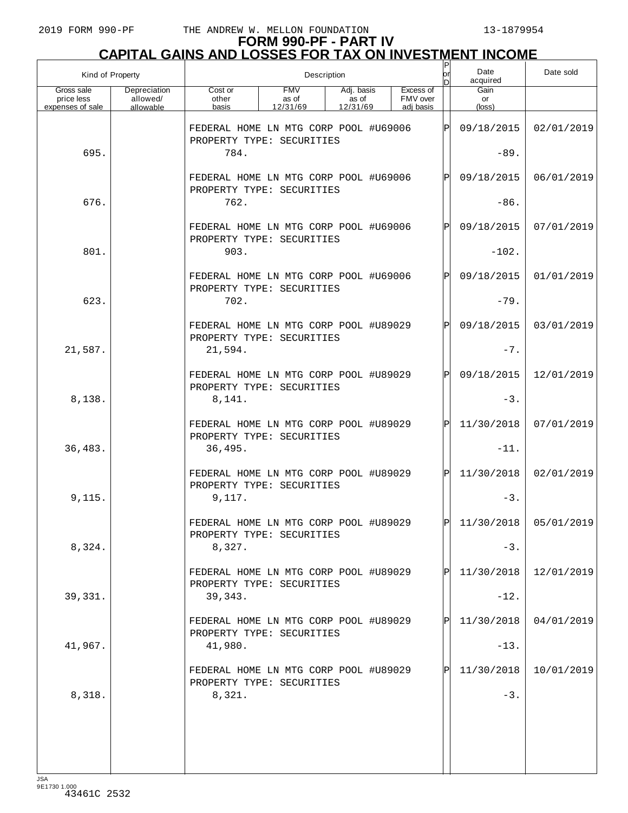| Kind of Property                             |                                       |                                                                    | Description                     |                                 | $\mathsf{P}$<br>lor<br>nl | Date<br>acquired                   | Date sold |                         |            |
|----------------------------------------------|---------------------------------------|--------------------------------------------------------------------|---------------------------------|---------------------------------|---------------------------|------------------------------------|-----------|-------------------------|------------|
| Gross sale<br>price less<br>expenses of sale | Depreciation<br>allowed/<br>allowable | Cost or<br>other<br>basis                                          | <b>FMV</b><br>as of<br>12/31/69 | Adj. basis<br>as of<br>12/31/69 |                           | Excess of<br>FMV over<br>adj basis |           | Gain<br>or<br>(loss)    |            |
|                                              |                                       | FEDERAL HOME LN MTG CORP POOL #U69006<br>PROPERTY TYPE: SECURITIES |                                 |                                 |                           |                                    | lÞI       | 09/18/2015              | 02/01/2019 |
| 695.                                         |                                       | 784.                                                               |                                 |                                 |                           |                                    |           | $-89.$                  |            |
|                                              |                                       | FEDERAL HOME LN MTG CORP POOL #U69006<br>PROPERTY TYPE: SECURITIES |                                 |                                 |                           |                                    | lÞI       | 09/18/2015              | 06/01/2019 |
| 676.                                         |                                       | 762.                                                               |                                 |                                 |                           |                                    |           | $-86.$                  |            |
|                                              |                                       | FEDERAL HOME LN MTG CORP POOL #U69006<br>PROPERTY TYPE: SECURITIES |                                 |                                 |                           |                                    | lÞI       | 09/18/2015              | 07/01/2019 |
| 801.                                         |                                       | 903.                                                               |                                 |                                 |                           |                                    |           | $-102.$                 |            |
|                                              |                                       | FEDERAL HOME LN MTG CORP POOL #U69006<br>PROPERTY TYPE: SECURITIES |                                 |                                 |                           |                                    | lÞI       | 09/18/2015              | 01/01/2019 |
| 623.                                         |                                       | 702.                                                               |                                 |                                 |                           |                                    |           | $-79.$                  |            |
|                                              |                                       | FEDERAL HOME LN MTG CORP POOL #U89029<br>PROPERTY TYPE: SECURITIES |                                 |                                 |                           |                                    | lÞI       | 09/18/2015              | 03/01/2019 |
| 21,587.                                      |                                       | 21,594.                                                            |                                 |                                 |                           |                                    |           | $-7.$                   |            |
|                                              |                                       | FEDERAL HOME LN MTG CORP POOL #U89029<br>PROPERTY TYPE: SECURITIES |                                 |                                 |                           |                                    | lÞI       | 09/18/2015              | 12/01/2019 |
| 8,138.                                       |                                       | 8,141.                                                             |                                 |                                 |                           |                                    |           | $-3.$                   |            |
|                                              |                                       | FEDERAL HOME LN MTG CORP POOL #U89029<br>PROPERTY TYPE: SECURITIES |                                 |                                 |                           |                                    | lÞI       | 11/30/2018              | 07/01/2019 |
| 36,483.                                      |                                       | 36,495.                                                            |                                 |                                 |                           |                                    |           | $-11.$                  |            |
|                                              |                                       | FEDERAL HOME LN MTG CORP POOL #U89029<br>PROPERTY TYPE: SECURITIES |                                 |                                 |                           |                                    | Þl        | 11/30/2018              | 02/01/2019 |
| 9,115.                                       |                                       | 9,117.                                                             |                                 |                                 |                           |                                    |           | $-3.$                   |            |
|                                              |                                       | FEDERAL HOME LN MTG CORP POOL #U89029<br>PROPERTY TYPE: SECURITIES |                                 |                                 |                           |                                    | lpl.      | $11/30/2018$ 05/01/2019 |            |
| 8,324.                                       |                                       | 8,327.                                                             |                                 |                                 |                           |                                    |           | $-3.$                   |            |
|                                              |                                       | FEDERAL HOME LN MTG CORP POOL #U89029<br>PROPERTY TYPE: SECURITIES |                                 |                                 |                           |                                    | ΡI        | 11/30/2018              | 12/01/2019 |
| 39, 331.                                     |                                       | 39,343.                                                            |                                 |                                 |                           |                                    |           | $-12.$                  |            |
|                                              |                                       | FEDERAL HOME LN MTG CORP POOL #U89029<br>PROPERTY TYPE: SECURITIES |                                 |                                 |                           |                                    | IPI       | 11/30/2018              | 04/01/2019 |
| 41,967.                                      |                                       | 41,980.                                                            |                                 |                                 |                           |                                    |           | $-13.$                  |            |
|                                              |                                       | FEDERAL HOME LN MTG CORP POOL #U89029<br>PROPERTY TYPE: SECURITIES |                                 |                                 |                           |                                    | IPI       | 11/30/2018              | 10/01/2019 |
| 8,318.                                       |                                       | 8,321.                                                             |                                 |                                 |                           |                                    |           | $-3.$                   |            |
|                                              |                                       |                                                                    |                                 |                                 |                           |                                    |           |                         |            |
|                                              |                                       |                                                                    |                                 |                                 |                           |                                    |           |                         |            |
|                                              |                                       |                                                                    |                                 |                                 |                           |                                    |           |                         |            |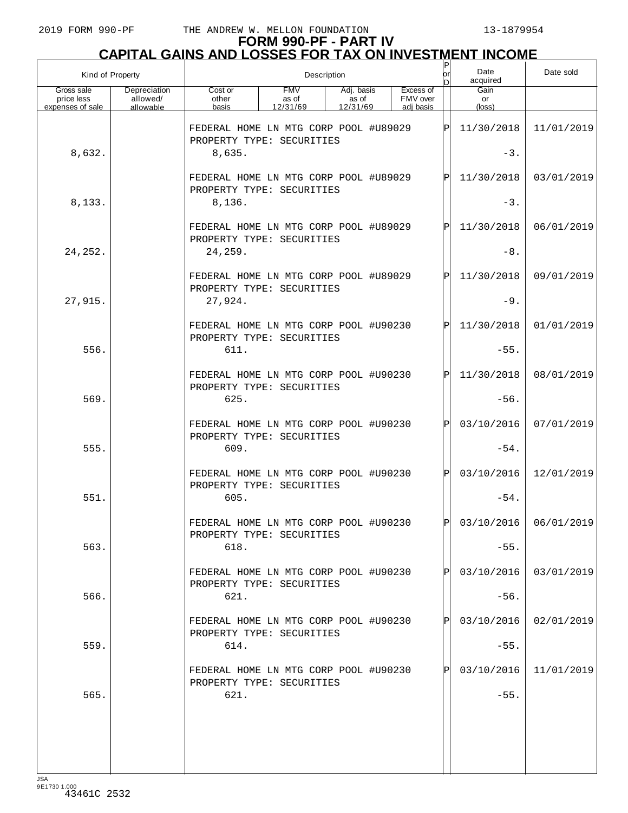| Kind of Property                             |                                       |                                                                            |                                 | Description                     |                                    | $\mathsf{P}\vert$<br>lorl<br>n | Date<br>acquired     | Date sold               |
|----------------------------------------------|---------------------------------------|----------------------------------------------------------------------------|---------------------------------|---------------------------------|------------------------------------|--------------------------------|----------------------|-------------------------|
| Gross sale<br>price less<br>expenses of sale | Depreciation<br>allowed/<br>allowable | Cost or<br>other<br>basis                                                  | <b>FMV</b><br>as of<br>12/31/69 | Adj. basis<br>as of<br>12/31/69 | Excess of<br>FMV over<br>adj basis |                                | Gain<br>or<br>(loss) |                         |
|                                              |                                       | FEDERAL HOME LN MTG CORP POOL #U89029                                      |                                 |                                 |                                    | ΙPΙ                            | 11/30/2018           | 11/01/2019              |
| 8,632.                                       |                                       | PROPERTY TYPE: SECURITIES<br>8,635.                                        |                                 |                                 |                                    |                                | $-3.$                |                         |
|                                              |                                       | FEDERAL HOME LN MTG CORP POOL #U89029<br>PROPERTY TYPE: SECURITIES         |                                 |                                 |                                    | $\mathsf{P}$                   | 11/30/2018           | 03/01/2019              |
| 8,133.                                       |                                       | 8,136.                                                                     |                                 |                                 |                                    |                                | $-3$ .               |                         |
|                                              |                                       | FEDERAL HOME LN MTG CORP POOL #U89029<br>PROPERTY TYPE: SECURITIES         |                                 |                                 |                                    | $\mathsf{P}$                   | 11/30/2018           | 06/01/2019              |
| 24, 252.                                     |                                       | 24,259.                                                                    |                                 |                                 |                                    |                                | $-8.$                |                         |
|                                              |                                       | FEDERAL HOME LN MTG CORP POOL #U89029<br>PROPERTY TYPE: SECURITIES         |                                 |                                 |                                    | $\mathsf{P}$                   | 11/30/2018           | 09/01/2019              |
| 27,915.                                      |                                       | 27,924.<br>FEDERAL HOME LN MTG CORP POOL #U90230                           |                                 |                                 |                                    | $\mathbf P$                    | $-9.$<br>11/30/2018  | 01/01/2019              |
| 556.                                         |                                       | PROPERTY TYPE: SECURITIES<br>611.                                          |                                 |                                 |                                    |                                | $-55.$               |                         |
|                                              |                                       | FEDERAL HOME LN MTG CORP POOL #U90230                                      |                                 |                                 |                                    | $\mathsf{P}$                   | 11/30/2018           | 08/01/2019              |
| 569.                                         |                                       | PROPERTY TYPE: SECURITIES<br>625.                                          |                                 |                                 |                                    |                                | $-56.$               |                         |
|                                              |                                       | FEDERAL HOME LN MTG CORP POOL #U90230                                      |                                 |                                 |                                    | $\mathbf P$                    | 03/10/2016           | 07/01/2019              |
| 555.                                         |                                       | PROPERTY TYPE: SECURITIES<br>609.                                          |                                 |                                 |                                    |                                | $-54.$               |                         |
|                                              |                                       | FEDERAL HOME LN MTG CORP POOL #U90230<br>PROPERTY TYPE: SECURITIES         |                                 |                                 |                                    | $\mathbf P$                    | 03/10/2016           | 12/01/2019              |
| 551.                                         |                                       | 605.                                                                       |                                 |                                 |                                    |                                | $-54.$               |                         |
|                                              |                                       | FEDERAL HOME LN MTG CORP POOL #U90230<br>PROPERTY TYPE: SECURITIES         |                                 |                                 |                                    | D                              |                      | $03/10/2016$ 06/01/2019 |
| 563.                                         |                                       | 618.                                                                       |                                 |                                 |                                    |                                | $-55.$               |                         |
|                                              |                                       | FEDERAL HOME LN MTG CORP POOL #U90230<br>PROPERTY TYPE: SECURITIES         |                                 |                                 |                                    | Ρl                             | 03/10/2016           | 03/01/2019              |
| 566.                                         |                                       | 621.                                                                       |                                 |                                 |                                    |                                | $-56.$               |                         |
| 559.                                         |                                       | FEDERAL HOME LN MTG CORP POOL #U90230<br>PROPERTY TYPE: SECURITIES<br>614. |                                 |                                 |                                    | ΙPΙ                            | 03/10/2016<br>$-55.$ | 02/01/2019              |
|                                              |                                       | FEDERAL HOME LN MTG CORP POOL #U90230                                      |                                 |                                 |                                    | ΙPΙ                            | 03/10/2016           | 11/01/2019              |
| 565.                                         |                                       | PROPERTY TYPE: SECURITIES<br>621.                                          |                                 |                                 |                                    |                                | $-55.$               |                         |
|                                              |                                       |                                                                            |                                 |                                 |                                    |                                |                      |                         |
|                                              |                                       |                                                                            |                                 |                                 |                                    |                                |                      |                         |
| ICA                                          |                                       |                                                                            |                                 |                                 |                                    |                                |                      |                         |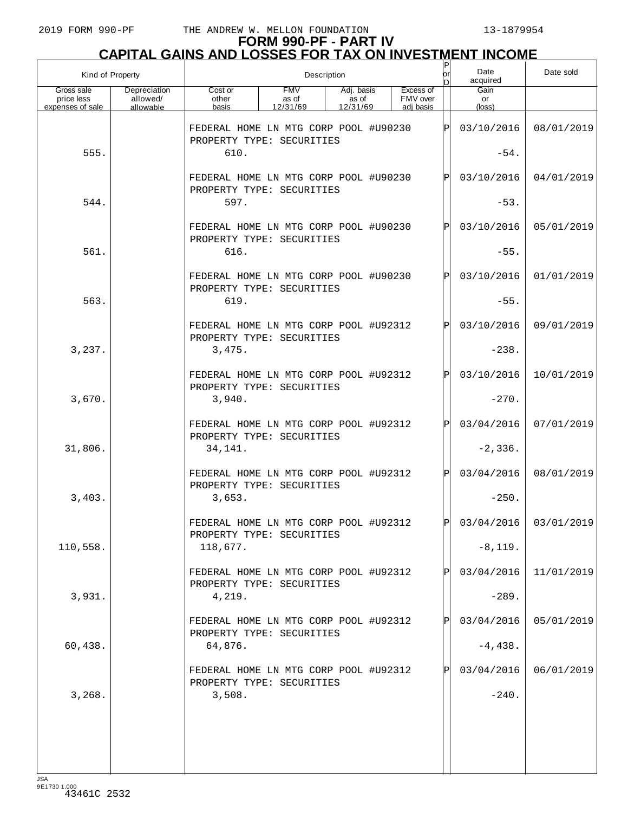| Kind of Property                             |                                       |                                                                                                                                       | Description | P<br>orl<br>nl | Date<br>acquired | Date sold |      |                               |                       |
|----------------------------------------------|---------------------------------------|---------------------------------------------------------------------------------------------------------------------------------------|-------------|----------------|------------------|-----------|------|-------------------------------|-----------------------|
| Gross sale<br>price less<br>expenses of sale | Depreciation<br>allowed/<br>allowable | <b>FMV</b><br>Excess of<br>Cost or<br>Adj. basis<br>FMV over<br>other<br>as of<br>as of<br>12/31/69<br>basis<br>12/31/69<br>adi basis |             |                |                  |           |      | Gain<br>or<br>$(\text{loss})$ |                       |
|                                              |                                       | FEDERAL HOME LN MTG CORP POOL #U90230<br>PROPERTY TYPE: SECURITIES                                                                    |             |                |                  |           | ΙPΙ  | 03/10/2016                    | 08/01/2019            |
| 555.                                         |                                       | 610.                                                                                                                                  |             |                |                  |           |      | $-54.$                        |                       |
|                                              |                                       | FEDERAL HOME LN MTG CORP POOL #U90230<br>PROPERTY TYPE: SECURITIES                                                                    |             |                |                  |           | IPI  | 03/10/2016                    | 04/01/2019            |
| 544.                                         |                                       | 597.                                                                                                                                  |             |                |                  |           |      | $-53.$                        |                       |
|                                              |                                       | FEDERAL HOME LN MTG CORP POOL #U90230<br>PROPERTY TYPE: SECURITIES                                                                    |             |                |                  |           | ΙPΙ  | 03/10/2016                    | 05/01/2019            |
| 561.                                         |                                       | 616.                                                                                                                                  |             |                |                  |           |      | $-55.$                        |                       |
|                                              |                                       | FEDERAL HOME LN MTG CORP POOL #U90230<br>PROPERTY TYPE: SECURITIES                                                                    |             |                |                  |           | IPI  | 03/10/2016                    | 01/01/2019            |
| 563.                                         |                                       | 619.                                                                                                                                  |             |                |                  |           |      | $-55.$                        |                       |
|                                              |                                       | FEDERAL HOME LN MTG CORP POOL #U92312<br>PROPERTY TYPE: SECURITIES                                                                    |             |                |                  |           | ΙPΙ  | 03/10/2016                    | 09/01/2019            |
| 3,237.                                       |                                       | 3,475.                                                                                                                                |             |                |                  |           |      | $-238.$                       |                       |
|                                              |                                       | FEDERAL HOME LN MTG CORP POOL #U92312<br>PROPERTY TYPE: SECURITIES                                                                    |             |                |                  |           | IPI  | 03/10/2016                    | 10/01/2019            |
| 3,670.                                       |                                       | 3,940.                                                                                                                                |             |                |                  |           |      | $-270.$                       |                       |
| 31,806.                                      |                                       | FEDERAL HOME LN MTG CORP POOL #U92312<br>PROPERTY TYPE: SECURITIES<br>34,141.                                                         |             |                |                  |           | ΙPΙ  | 03/04/2016<br>$-2,336.$       | 07/01/2019            |
|                                              |                                       | FEDERAL HOME LN MTG CORP POOL #U92312                                                                                                 |             |                |                  |           | ΙPΙ  | 03/04/2016                    | 08/01/2019            |
| 3,403.                                       |                                       | PROPERTY TYPE: SECURITIES<br>3,653.                                                                                                   |             |                |                  |           |      | $-250.$                       |                       |
|                                              |                                       | FEDERAL HOME LN MTG CORP POOL #U92312<br>PROPERTY TYPE: SECURITIES                                                                    |             |                |                  |           | l pl |                               | 03/04/2016 03/01/2019 |
| 110,558.                                     |                                       | 118,677.                                                                                                                              |             |                |                  |           |      | $-8, 119.$                    |                       |
|                                              |                                       | FEDERAL HOME LN MTG CORP POOL #U92312<br>PROPERTY TYPE: SECURITIES                                                                    |             |                |                  |           | ΙPΙ  | 03/04/2016                    | 11/01/2019            |
| 3,931.                                       |                                       | 4,219.                                                                                                                                |             |                |                  |           |      | $-289.$                       |                       |
|                                              |                                       | FEDERAL HOME LN MTG CORP POOL #U92312<br>PROPERTY TYPE: SECURITIES                                                                    |             |                |                  |           | ΙPΙ  | 03/04/2016                    | 05/01/2019            |
| 60,438.                                      |                                       | 64,876.                                                                                                                               |             |                |                  |           |      | $-4,438.$                     |                       |
|                                              |                                       | FEDERAL HOME LN MTG CORP POOL #U92312<br>PROPERTY TYPE: SECURITIES                                                                    |             |                |                  |           | Þl   | 03/04/2016                    | 06/01/2019            |
| 3,268.                                       |                                       | 3,508.                                                                                                                                |             |                |                  |           |      | $-240.$                       |                       |
|                                              |                                       |                                                                                                                                       |             |                |                  |           |      |                               |                       |
|                                              |                                       |                                                                                                                                       |             |                |                  |           |      |                               |                       |
|                                              |                                       |                                                                                                                                       |             |                |                  |           |      |                               |                       |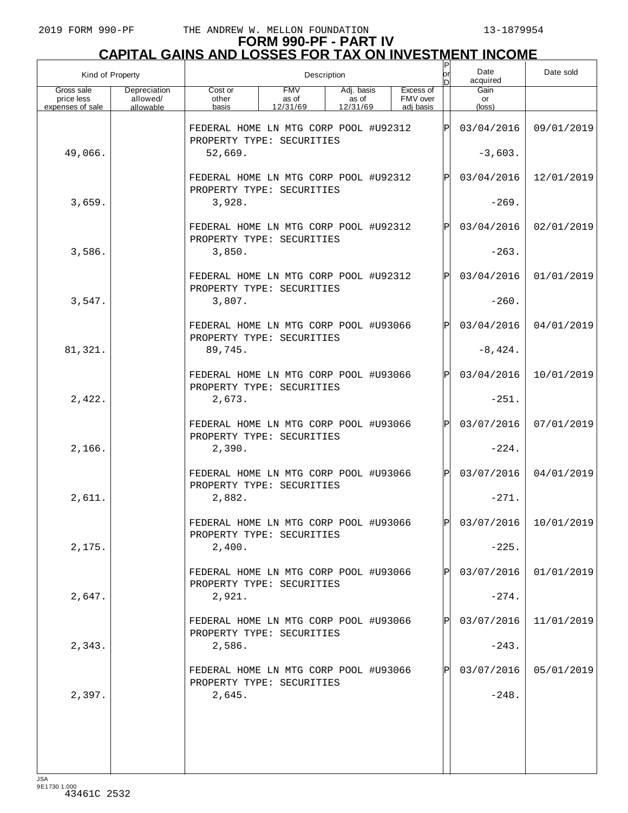# **FORM 990-PF - PART IV CAPITAL GAINS AND LOSSES FOR TAX ON INVESTMENT INCOME** P

|                                              | Kind of Property<br>Description       |                                                                               |                                 |                                 |  |                                    | or<br>In. | Date<br>acquired              | Date sold               |
|----------------------------------------------|---------------------------------------|-------------------------------------------------------------------------------|---------------------------------|---------------------------------|--|------------------------------------|-----------|-------------------------------|-------------------------|
| Gross sale<br>price less<br>expenses of sale | Depreciation<br>allowed/<br>allowable | Cost or<br>other<br>basis                                                     | <b>FMV</b><br>as of<br>12/31/69 | Adj. basis<br>as of<br>12/31/69 |  | Excess of<br>FMV over<br>adi basis |           | Gain<br>or<br>$(\text{loss})$ |                         |
| 49,066.                                      |                                       | FEDERAL HOME LN MTG CORP POOL #U92312<br>PROPERTY TYPE: SECURITIES<br>52,669. |                                 |                                 |  |                                    | lPl       | 03/04/2016<br>$-3,603.$       | 09/01/2019              |
|                                              |                                       | FEDERAL HOME LN MTG CORP POOL #U92312<br>PROPERTY TYPE: SECURITIES            |                                 |                                 |  |                                    | ΙP        | 03/04/2016                    | 12/01/2019              |
| 3,659.                                       |                                       | 3,928.                                                                        |                                 |                                 |  |                                    |           | $-269.$                       |                         |
| 3,586.                                       |                                       | FEDERAL HOME LN MTG CORP POOL #U92312<br>PROPERTY TYPE: SECURITIES<br>3,850.  |                                 |                                 |  |                                    | lPl       | 03/04/2016<br>$-263.$         | 02/01/2019              |
|                                              |                                       |                                                                               |                                 |                                 |  |                                    |           |                               |                         |
| 3,547.                                       |                                       | FEDERAL HOME LN MTG CORP POOL #U92312<br>PROPERTY TYPE: SECURITIES<br>3,807.  |                                 |                                 |  |                                    | lPl       | 03/04/2016<br>$-260.$         | 01/01/2019              |
|                                              |                                       | FEDERAL HOME LN MTG CORP POOL #U93066<br>PROPERTY TYPE: SECURITIES            |                                 |                                 |  |                                    | lPl       | 03/04/2016                    | 04/01/2019              |
| 81,321.                                      |                                       | 89,745.                                                                       |                                 |                                 |  |                                    |           | $-8,424.$                     |                         |
|                                              |                                       | FEDERAL HOME LN MTG CORP POOL #U93066<br>PROPERTY TYPE: SECURITIES            |                                 |                                 |  |                                    | lPl       | 03/04/2016                    | 10/01/2019              |
| 2,422.                                       |                                       | 2,673.                                                                        |                                 |                                 |  |                                    |           | $-251.$                       |                         |
| 2,166.                                       |                                       | FEDERAL HOME LN MTG CORP POOL #U93066<br>PROPERTY TYPE: SECURITIES<br>2,390.  |                                 |                                 |  |                                    | lPl       | 03/07/2016<br>$-224.$         | 07/01/2019              |
|                                              |                                       | FEDERAL HOME LN MTG CORP POOL #U93066<br>PROPERTY TYPE: SECURITIES            |                                 |                                 |  |                                    | lPl       | 03/07/2016                    | 04/01/2019              |
| 2,611.                                       |                                       | 2,882.                                                                        |                                 |                                 |  |                                    |           | $-271.$                       |                         |
| 2,175.                                       |                                       | FEDERAL HOME LN MTG CORP POOL #U93066<br>PROPERTY TYPE: SECURITIES<br>2,400.  |                                 |                                 |  |                                    | lÞI.      | $-225.$                       | $03/07/2016$ 10/01/2019 |
|                                              |                                       |                                                                               |                                 |                                 |  |                                    |           |                               |                         |
| 2,647.                                       |                                       | FEDERAL HOME LN MTG CORP POOL #U93066<br>PROPERTY TYPE: SECURITIES<br>2,921.  |                                 |                                 |  |                                    |           | 03/07/2016<br>$-274.$         | 01/01/2019              |
|                                              |                                       | FEDERAL HOME LN MTG CORP POOL #U93066<br>PROPERTY TYPE: SECURITIES            |                                 |                                 |  |                                    | P         | 03/07/2016                    | 11/01/2019              |
| 2,343.                                       |                                       | 2,586.                                                                        |                                 |                                 |  |                                    |           | $-243.$                       |                         |
|                                              |                                       | FEDERAL HOME LN MTG CORP POOL #U93066<br>PROPERTY TYPE: SECURITIES            |                                 |                                 |  |                                    |           | 03/07/2016                    | 05/01/2019              |
| 2,397.                                       |                                       | 2,645.                                                                        |                                 |                                 |  |                                    |           | $-248.$                       |                         |
|                                              |                                       |                                                                               |                                 |                                 |  |                                    |           |                               |                         |
|                                              |                                       |                                                                               |                                 |                                 |  |                                    |           |                               |                         |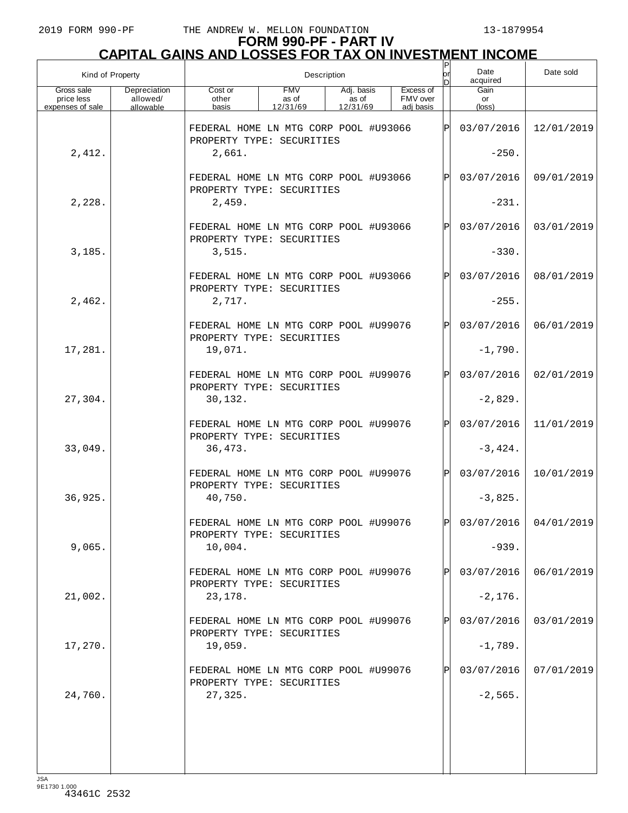| Kind of Property<br>Gross sale<br>Depreciation |                       | Description                                                        |                                 |                                 |  |                                    |              | Date<br>acquired     | Date sold               |
|------------------------------------------------|-----------------------|--------------------------------------------------------------------|---------------------------------|---------------------------------|--|------------------------------------|--------------|----------------------|-------------------------|
| price less<br>expenses of sale                 | allowed/<br>allowable | Cost or<br>other<br>basis                                          | <b>FMV</b><br>as of<br>12/31/69 | Adj. basis<br>as of<br>12/31/69 |  | Excess of<br>FMV over<br>adi basis |              | Gain<br>or<br>(loss) |                         |
|                                                |                       | FEDERAL HOME LN MTG CORP POOL #U93066                              |                                 |                                 |  |                                    | ΙPΙ          | 03/07/2016           | 12/01/2019              |
|                                                |                       | PROPERTY TYPE: SECURITIES                                          |                                 |                                 |  |                                    |              |                      |                         |
| 2,412.                                         |                       | 2,661.                                                             |                                 |                                 |  |                                    |              | $-250.$              |                         |
|                                                |                       | FEDERAL HOME LN MTG CORP POOL #U93066<br>PROPERTY TYPE: SECURITIES |                                 |                                 |  |                                    | $\mathsf{P}$ | 03/07/2016           | 09/01/2019              |
| 2,228.                                         |                       | 2,459.                                                             |                                 |                                 |  |                                    |              | $-231.$              |                         |
|                                                |                       | FEDERAL HOME LN MTG CORP POOL #U93066                              |                                 |                                 |  |                                    | $\mathsf{P}$ | 03/07/2016           | 03/01/2019              |
| 3,185.                                         |                       | PROPERTY TYPE: SECURITIES<br>3,515.                                |                                 |                                 |  |                                    |              | $-330.$              |                         |
|                                                |                       | FEDERAL HOME LN MTG CORP POOL #U93066                              |                                 |                                 |  |                                    | $\mathsf{P}$ | 03/07/2016           | 08/01/2019              |
| 2,462.                                         |                       | PROPERTY TYPE: SECURITIES<br>2,717.                                |                                 |                                 |  |                                    |              | $-255.$              |                         |
|                                                |                       | FEDERAL HOME LN MTG CORP POOL #U99076<br>PROPERTY TYPE: SECURITIES |                                 |                                 |  |                                    | $\mathsf{P}$ | 03/07/2016           | 06/01/2019              |
| 17,281.                                        |                       | 19,071.                                                            |                                 |                                 |  |                                    |              | $-1,790.$            |                         |
|                                                |                       | FEDERAL HOME LN MTG CORP POOL #U99076<br>PROPERTY TYPE: SECURITIES |                                 |                                 |  |                                    | $\mathsf{P}$ | 03/07/2016           | 02/01/2019              |
| 27,304.                                        |                       | 30,132.                                                            |                                 |                                 |  |                                    |              | $-2,829.$            |                         |
|                                                |                       | FEDERAL HOME LN MTG CORP POOL #U99076<br>PROPERTY TYPE: SECURITIES |                                 |                                 |  |                                    | $\mathsf{P}$ | 03/07/2016           | 11/01/2019              |
| 33,049.                                        |                       | 36,473.                                                            |                                 |                                 |  |                                    |              | $-3,424.$            |                         |
|                                                |                       | FEDERAL HOME LN MTG CORP POOL #U99076<br>PROPERTY TYPE: SECURITIES |                                 |                                 |  |                                    | P            | 03/07/2016           | 10/01/2019              |
| 36,925.                                        |                       | 40,750.                                                            |                                 |                                 |  |                                    |              | $-3,825.$            |                         |
|                                                |                       | FEDERAL HOME LN MTG CORP POOL #U99076<br>PROPERTY TYPE: SECURITIES |                                 |                                 |  |                                    | ÞІ           |                      | $03/07/2016$ 04/01/2019 |
| 9,065.                                         |                       | 10,004.                                                            |                                 |                                 |  |                                    |              | $-939.$              |                         |
|                                                |                       | FEDERAL HOME LN MTG CORP POOL #U99076<br>PROPERTY TYPE: SECURITIES |                                 |                                 |  |                                    |              | 03/07/2016           | 06/01/2019              |
| 21,002.                                        |                       | 23,178.                                                            |                                 |                                 |  |                                    |              | $-2,176.$            |                         |
|                                                |                       | FEDERAL HOME LN MTG CORP POOL #U99076<br>PROPERTY TYPE: SECURITIES |                                 |                                 |  |                                    | Ρ            | 03/07/2016           | 03/01/2019              |
| 17,270.                                        |                       | 19,059.                                                            |                                 |                                 |  |                                    |              | $-1,789.$            |                         |
|                                                |                       | FEDERAL HOME LN MTG CORP POOL #U99076<br>PROPERTY TYPE: SECURITIES |                                 |                                 |  |                                    |              | 03/07/2016           | 07/01/2019              |
| 24,760.                                        |                       | 27,325.                                                            |                                 |                                 |  |                                    |              | $-2,565.$            |                         |
|                                                |                       |                                                                    |                                 |                                 |  |                                    |              |                      |                         |
|                                                |                       |                                                                    |                                 |                                 |  |                                    |              |                      |                         |
|                                                |                       |                                                                    |                                 |                                 |  |                                    |              |                      |                         |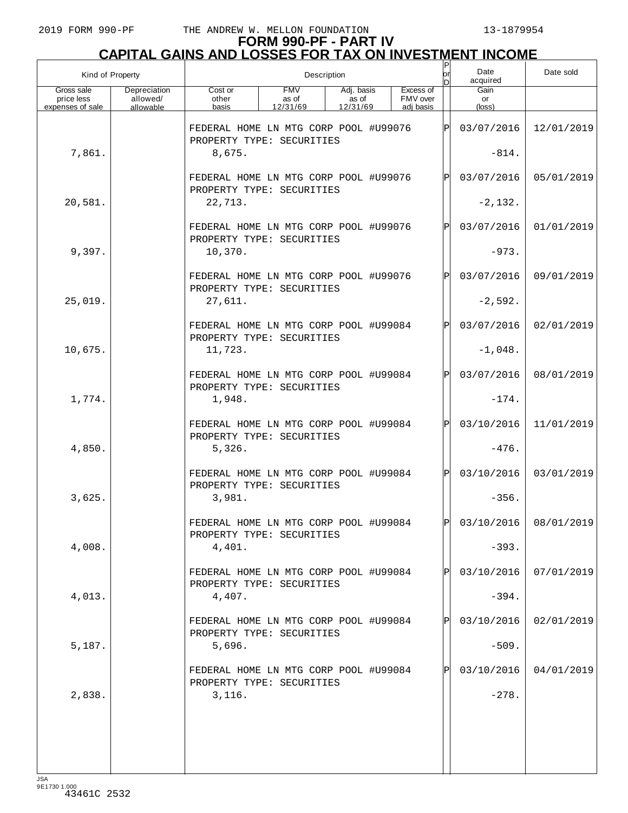| Kind of Property<br>Gross sale<br>Depreciation |                       | Description                                                        |                                 |                                 |  |                                    |              | Date<br>acquired              | Date sold             |
|------------------------------------------------|-----------------------|--------------------------------------------------------------------|---------------------------------|---------------------------------|--|------------------------------------|--------------|-------------------------------|-----------------------|
| price less<br>expenses of sale                 | allowed/<br>allowable | Cost or<br>other<br>basis                                          | <b>FMV</b><br>as of<br>12/31/69 | Adj. basis<br>as of<br>12/31/69 |  | Excess of<br>FMV over<br>adi basis |              | Gain<br>or<br>$(\text{loss})$ |                       |
|                                                |                       | FEDERAL HOME LN MTG CORP POOL #U99076                              |                                 |                                 |  |                                    | ΙPΙ          | 03/07/2016                    | 12/01/2019            |
| 7,861.                                         |                       | PROPERTY TYPE: SECURITIES<br>8,675.                                |                                 |                                 |  |                                    |              | $-814.$                       |                       |
|                                                |                       | FEDERAL HOME LN MTG CORP POOL #U99076                              |                                 |                                 |  |                                    | $\mathsf{P}$ | 03/07/2016                    | 05/01/2019            |
| 20,581.                                        |                       | PROPERTY TYPE: SECURITIES<br>22,713.                               |                                 |                                 |  |                                    |              | $-2,132.$                     |                       |
|                                                |                       | FEDERAL HOME LN MTG CORP POOL #U99076<br>PROPERTY TYPE: SECURITIES |                                 |                                 |  |                                    | $\mathbf{P}$ | 03/07/2016                    | 01/01/2019            |
| 9,397.                                         |                       | 10,370.                                                            |                                 |                                 |  |                                    |              | $-973.$                       |                       |
|                                                |                       | FEDERAL HOME LN MTG CORP POOL #U99076<br>PROPERTY TYPE: SECURITIES |                                 |                                 |  |                                    | $\mathsf{P}$ | 03/07/2016                    | 09/01/2019            |
| 25,019.                                        |                       | 27,611.                                                            |                                 |                                 |  |                                    |              | $-2,592.$                     |                       |
|                                                |                       | FEDERAL HOME LN MTG CORP POOL #U99084<br>PROPERTY TYPE: SECURITIES |                                 |                                 |  |                                    | $\mathsf{P}$ | 03/07/2016                    | 02/01/2019            |
| 10,675.                                        |                       | 11,723.                                                            |                                 |                                 |  |                                    |              | $-1,048.$                     |                       |
|                                                |                       | FEDERAL HOME LN MTG CORP POOL #U99084<br>PROPERTY TYPE: SECURITIES |                                 |                                 |  |                                    | $\mathsf{P}$ | 03/07/2016                    | 08/01/2019            |
| 1,774.                                         |                       | 1,948.                                                             |                                 |                                 |  |                                    |              | $-174.$                       |                       |
|                                                |                       | FEDERAL HOME LN MTG CORP POOL #U99084<br>PROPERTY TYPE: SECURITIES |                                 |                                 |  |                                    | $\mathsf{P}$ | 03/10/2016                    | 11/01/2019            |
| 4,850.                                         |                       | 5,326.                                                             |                                 |                                 |  |                                    |              | $-476.$                       |                       |
|                                                |                       | FEDERAL HOME LN MTG CORP POOL #U99084<br>PROPERTY TYPE: SECURITIES |                                 |                                 |  |                                    | $\mathbf P$  | 03/10/2016                    | 03/01/2019            |
| 3,625.                                         |                       | 3,981.                                                             |                                 |                                 |  |                                    |              | $-356.$                       |                       |
|                                                |                       | FEDERAL HOME LN MTG CORP POOL #U99084<br>PROPERTY TYPE: SECURITIES |                                 |                                 |  |                                    | ÞІ           |                               | 03/10/2016 08/01/2019 |
| 4,008.                                         |                       | 4,401.                                                             |                                 |                                 |  |                                    |              | $-393.$                       |                       |
|                                                |                       | FEDERAL HOME LN MTG CORP POOL #U99084<br>PROPERTY TYPE: SECURITIES |                                 |                                 |  |                                    |              | 03/10/2016                    | 07/01/2019            |
| 4,013.                                         |                       | 4,407.                                                             |                                 |                                 |  |                                    |              | $-394.$                       |                       |
|                                                |                       | FEDERAL HOME LN MTG CORP POOL #U99084<br>PROPERTY TYPE: SECURITIES |                                 |                                 |  |                                    | P            | 03/10/2016                    | 02/01/2019            |
| 5,187.                                         |                       | 5,696.                                                             |                                 |                                 |  |                                    |              | $-509.$                       |                       |
|                                                |                       | FEDERAL HOME LN MTG CORP POOL #U99084<br>PROPERTY TYPE: SECURITIES |                                 |                                 |  |                                    |              | 03/10/2016                    | 04/01/2019            |
| 2,838.                                         |                       | 3,116.                                                             |                                 |                                 |  |                                    |              | $-278.$                       |                       |
|                                                |                       |                                                                    |                                 |                                 |  |                                    |              |                               |                       |
|                                                |                       |                                                                    |                                 |                                 |  |                                    |              |                               |                       |
|                                                |                       |                                                                    |                                 |                                 |  |                                    |              |                               |                       |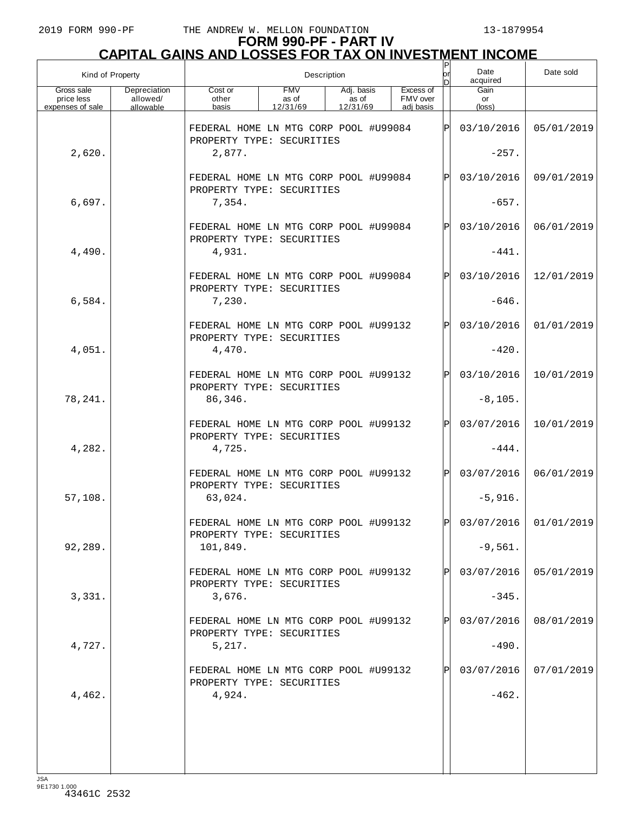| Kind of Property                             |                                       | Description                                                        |                                 |                                 |  |                                    |              | Date<br>acquired      | Date sold               |
|----------------------------------------------|---------------------------------------|--------------------------------------------------------------------|---------------------------------|---------------------------------|--|------------------------------------|--------------|-----------------------|-------------------------|
| Gross sale<br>price less<br>expenses of sale | Depreciation<br>allowed/<br>allowable | Cost or<br>other<br>basis                                          | <b>FMV</b><br>as of<br>12/31/69 | Adj. basis<br>as of<br>12/31/69 |  | Excess of<br>FMV over<br>adj basis |              | Gain<br>or<br>(loss)  |                         |
|                                              |                                       | FEDERAL HOME LN MTG CORP POOL #U99084                              |                                 |                                 |  |                                    | ΙPΙ          | 03/10/2016            | 05/01/2019              |
| 2,620.                                       |                                       | PROPERTY TYPE: SECURITIES<br>2,877.                                |                                 |                                 |  |                                    |              | $-257.$               |                         |
|                                              |                                       | FEDERAL HOME LN MTG CORP POOL #U99084<br>PROPERTY TYPE: SECURITIES |                                 |                                 |  |                                    | ΙPΙ          | 03/10/2016            | 09/01/2019              |
| 6,697.                                       |                                       | 7,354.                                                             |                                 |                                 |  |                                    |              | $-657.$               |                         |
|                                              |                                       | FEDERAL HOME LN MTG CORP POOL #U99084<br>PROPERTY TYPE: SECURITIES |                                 |                                 |  |                                    | ΙPΙ          | 03/10/2016            | 06/01/2019              |
| 4,490.                                       |                                       | 4,931.                                                             |                                 |                                 |  |                                    |              | $-441.$               |                         |
|                                              |                                       | FEDERAL HOME LN MTG CORP POOL #U99084<br>PROPERTY TYPE: SECURITIES |                                 |                                 |  |                                    | ΙPΙ          | 03/10/2016            | 12/01/2019              |
| 6,584.                                       |                                       | 7,230.                                                             |                                 |                                 |  |                                    |              | $-646.$               |                         |
|                                              |                                       | FEDERAL HOME LN MTG CORP POOL #U99132<br>PROPERTY TYPE: SECURITIES |                                 |                                 |  |                                    | ΙPΙ          | 03/10/2016            | 01/01/2019              |
| 4,051.                                       |                                       | 4,470.                                                             |                                 |                                 |  |                                    |              | $-420.$               |                         |
|                                              |                                       | FEDERAL HOME LN MTG CORP POOL #U99132<br>PROPERTY TYPE: SECURITIES |                                 |                                 |  |                                    | ΙPΙ          | 03/10/2016            | 10/01/2019              |
| 78,241.                                      |                                       | 86,346.                                                            |                                 |                                 |  |                                    |              | $-8, 105.$            |                         |
|                                              |                                       | FEDERAL HOME LN MTG CORP POOL #U99132<br>PROPERTY TYPE: SECURITIES |                                 |                                 |  |                                    | ΙPΙ          | 03/07/2016            | 10/01/2019              |
| 4,282.                                       |                                       | 4,725.                                                             |                                 |                                 |  |                                    |              | $-444.$               |                         |
|                                              |                                       | FEDERAL HOME LN MTG CORP POOL #U99132<br>PROPERTY TYPE: SECURITIES |                                 |                                 |  |                                    | ΙPΙ          | 03/07/2016            | 06/01/2019              |
| 57,108.                                      |                                       | 63,024.                                                            |                                 |                                 |  |                                    |              | $-5,916.$             |                         |
|                                              |                                       | FEDERAL HOME LN MTG CORP POOL #U99132<br>PROPERTY TYPE: SECURITIES |                                 |                                 |  |                                    | ldl          |                       | $03/07/2016$ 01/01/2019 |
| 92,289.                                      |                                       | 101,849.                                                           |                                 |                                 |  |                                    |              | $-9,561.$             |                         |
| 3,331.                                       |                                       | FEDERAL HOME LN MTG CORP POOL #U99132<br>PROPERTY TYPE: SECURITIES |                                 |                                 |  |                                    | $\mathbf{P}$ | 03/07/2016<br>$-345.$ | 05/01/2019              |
|                                              |                                       | 3,676.<br>FEDERAL HOME LN MTG CORP POOL #U99132                    |                                 |                                 |  |                                    | $\mathbf{P}$ | 03/07/2016            | 08/01/2019              |
| 4,727.                                       |                                       | PROPERTY TYPE: SECURITIES<br>5,217.                                |                                 |                                 |  |                                    |              | $-490.$               |                         |
|                                              |                                       | FEDERAL HOME LN MTG CORP POOL #U99132                              |                                 |                                 |  |                                    | $\mathbf{P}$ | 03/07/2016            | 07/01/2019              |
| 4,462.                                       |                                       | PROPERTY TYPE: SECURITIES<br>4,924.                                |                                 |                                 |  |                                    |              | $-462.$               |                         |
|                                              |                                       |                                                                    |                                 |                                 |  |                                    |              |                       |                         |
|                                              |                                       |                                                                    |                                 |                                 |  |                                    |              |                       |                         |
|                                              |                                       |                                                                    |                                 |                                 |  |                                    |              |                       |                         |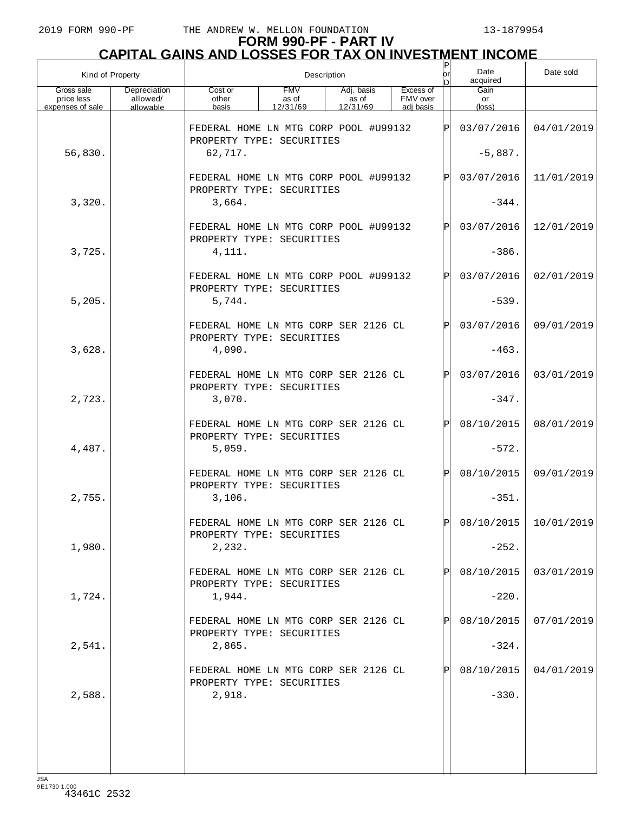## **FORM 990-PF - PART IV CAPITAL GAINS AND LOSSES FOR TAX ON INVESTMENT INCOME**

| Kind of Property                             |                                       |                                                                    | Description                     | Ρ                               | Date<br>acquired                   | Date sold |                      |                       |
|----------------------------------------------|---------------------------------------|--------------------------------------------------------------------|---------------------------------|---------------------------------|------------------------------------|-----------|----------------------|-----------------------|
| Gross sale<br>price less<br>expenses of sale | Depreciation<br>allowed/<br>allowable | Cost or<br>other<br>basis                                          | <b>FMV</b><br>as of<br>12/31/69 | Adj. basis<br>as of<br>12/31/69 | Excess of<br>FMV over<br>adi basis |           | Gain<br>or<br>(loss) |                       |
|                                              |                                       | FEDERAL HOME LN MTG CORP POOL #U99132<br>PROPERTY TYPE: SECURITIES |                                 |                                 |                                    | ΙÞΙ       | 03/07/2016           | 04/01/2019            |
| 56,830.                                      |                                       | 62,717.                                                            |                                 |                                 |                                    |           | $-5,887.$            |                       |
|                                              |                                       | FEDERAL HOME LN MTG CORP POOL #U99132<br>PROPERTY TYPE: SECURITIES |                                 |                                 |                                    | ΙÞΙ       | 03/07/2016           | 11/01/2019            |
| 3,320.                                       |                                       | 3,664.                                                             |                                 |                                 |                                    |           | $-344.$              |                       |
|                                              |                                       | FEDERAL HOME LN MTG CORP POOL #U99132<br>PROPERTY TYPE: SECURITIES |                                 |                                 |                                    | ΙÞΙ       | 03/07/2016           | 12/01/2019            |
| 3,725.                                       |                                       | 4,111.                                                             |                                 |                                 |                                    |           | $-386.$              |                       |
|                                              |                                       | FEDERAL HOME LN MTG CORP POOL #U99132<br>PROPERTY TYPE: SECURITIES |                                 |                                 |                                    | ΙÞΙ       | 03/07/2016           | 02/01/2019            |
| 5,205.                                       |                                       | 5,744.                                                             |                                 |                                 |                                    |           | $-539.$              |                       |
|                                              |                                       | FEDERAL HOME LN MTG CORP SER 2126 CL<br>PROPERTY TYPE: SECURITIES  |                                 |                                 |                                    | ΙÞΙ       | 03/07/2016           | 09/01/2019            |
| 3,628.                                       |                                       | 4,090.                                                             |                                 |                                 |                                    |           | $-463.$              |                       |
|                                              |                                       | FEDERAL HOME LN MTG CORP SER 2126 CL<br>PROPERTY TYPE: SECURITIES  |                                 |                                 |                                    | ΙÞΙ       | 03/07/2016           | 03/01/2019            |
| 2,723.                                       |                                       | 3,070.                                                             |                                 |                                 |                                    |           | $-347.$              |                       |
|                                              |                                       | FEDERAL HOME LN MTG CORP SER 2126 CL<br>PROPERTY TYPE: SECURITIES  |                                 |                                 |                                    | ΙÞΙ       | 08/10/2015           | 08/01/2019            |
| 4,487.                                       |                                       | 5,059.                                                             |                                 |                                 |                                    |           | $-572.$              |                       |
|                                              |                                       | FEDERAL HOME LN MTG CORP SER 2126 CL<br>PROPERTY TYPE: SECURITIES  |                                 |                                 |                                    | ΙÞΙ       | 08/10/2015           | 09/01/2019            |
| 2,755.                                       |                                       | 3,106.                                                             |                                 |                                 |                                    |           | $-351.$              |                       |
|                                              |                                       | FEDERAL HOME LN MTG CORP SER 2126 CL<br>PROPERTY TYPE: SECURITIES  |                                 |                                 |                                    | ldl       |                      | 08/10/2015 10/01/2019 |
| 1,980.                                       |                                       | 2,232.                                                             |                                 |                                 |                                    |           | $-252.$              |                       |
|                                              |                                       | FEDERAL HOME LN MTG CORP SER 2126 CL<br>PROPERTY TYPE: SECURITIES  |                                 |                                 |                                    | ΙPΙ       | 08/10/2015           | 03/01/2019            |
| 1,724.                                       |                                       | 1,944.                                                             |                                 |                                 |                                    |           | $-220.$              |                       |
|                                              |                                       | FEDERAL HOME LN MTG CORP SER 2126 CL<br>PROPERTY TYPE: SECURITIES  |                                 |                                 |                                    | ΙPΙ       | 08/10/2015           | 07/01/2019            |
| 2,541.                                       |                                       | 2,865.                                                             |                                 |                                 |                                    |           | $-324.$              |                       |
|                                              |                                       | FEDERAL HOME LN MTG CORP SER 2126 CL<br>PROPERTY TYPE: SECURITIES  |                                 |                                 |                                    | ΙPΙ       | 08/10/2015           | 04/01/2019            |
| 2,588.                                       |                                       | 2,918.                                                             |                                 |                                 |                                    |           | $-330.$              |                       |
|                                              |                                       |                                                                    |                                 |                                 |                                    |           |                      |                       |
|                                              |                                       |                                                                    |                                 |                                 |                                    |           |                      |                       |
|                                              |                                       |                                                                    |                                 |                                 |                                    |           |                      |                       |

JSA 9E1730 1.000 43461C 2532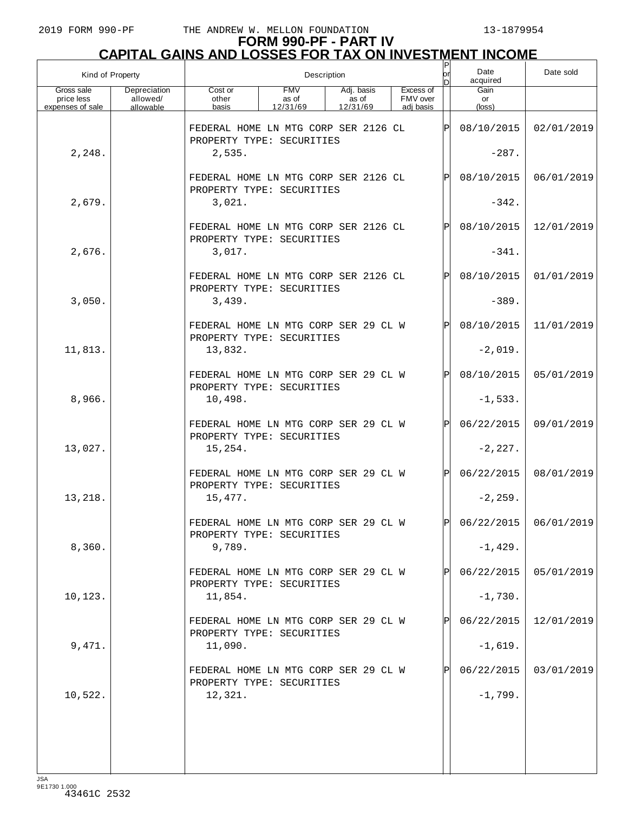| Kind of Property                             |                                       |                                                                   | Description                     | lor<br>n                        | Date<br>acquired                   | Date sold    |                      |                         |
|----------------------------------------------|---------------------------------------|-------------------------------------------------------------------|---------------------------------|---------------------------------|------------------------------------|--------------|----------------------|-------------------------|
| Gross sale<br>price less<br>expenses of sale | Depreciation<br>allowed/<br>allowable | Cost or<br>other<br>basis                                         | <b>FMV</b><br>as of<br>12/31/69 | Adj. basis<br>as of<br>12/31/69 | Excess of<br>FMV over<br>adi basis |              | Gain<br>or<br>(loss) |                         |
|                                              |                                       | FEDERAL HOME LN MTG CORP SER 2126 CL<br>PROPERTY TYPE: SECURITIES |                                 |                                 |                                    | ΙP           | 08/10/2015           | 02/01/2019              |
| 2,248.                                       |                                       | 2,535.                                                            |                                 |                                 |                                    |              | $-287.$              |                         |
|                                              |                                       | FEDERAL HOME LN MTG CORP SER 2126 CL<br>PROPERTY TYPE: SECURITIES |                                 |                                 |                                    | P            | 08/10/2015           | 06/01/2019              |
| 2,679.                                       |                                       | 3,021.                                                            |                                 |                                 |                                    |              | $-342.$              |                         |
|                                              |                                       | FEDERAL HOME LN MTG CORP SER 2126 CL<br>PROPERTY TYPE: SECURITIES |                                 |                                 |                                    | P            | 08/10/2015           | 12/01/2019              |
| 2,676.                                       |                                       | 3,017.                                                            |                                 |                                 |                                    |              | $-341.$              |                         |
|                                              |                                       | FEDERAL HOME LN MTG CORP SER 2126 CL<br>PROPERTY TYPE: SECURITIES |                                 |                                 |                                    | P            | 08/10/2015           | 01/01/2019              |
| 3,050.                                       |                                       | 3,439.                                                            |                                 |                                 |                                    |              | $-389.$              |                         |
|                                              |                                       | FEDERAL HOME LN MTG CORP SER 29 CL W<br>PROPERTY TYPE: SECURITIES |                                 |                                 |                                    | P            | 08/10/2015           | 11/01/2019              |
| 11,813.                                      |                                       | 13,832.                                                           |                                 |                                 |                                    |              | $-2,019.$            |                         |
|                                              |                                       | FEDERAL HOME LN MTG CORP SER 29 CL W<br>PROPERTY TYPE: SECURITIES |                                 |                                 |                                    | P            | 08/10/2015           | 05/01/2019              |
| 8,966.                                       |                                       | 10,498.                                                           |                                 |                                 |                                    |              | $-1,533.$            |                         |
|                                              |                                       | FEDERAL HOME LN MTG CORP SER 29 CL W<br>PROPERTY TYPE: SECURITIES |                                 |                                 |                                    | $\mathbf{P}$ | 06/22/2015           | 09/01/2019              |
| 13,027.                                      |                                       | 15,254.                                                           |                                 |                                 |                                    |              | $-2, 227.$           |                         |
|                                              |                                       | FEDERAL HOME LN MTG CORP SER 29 CL W<br>PROPERTY TYPE: SECURITIES |                                 |                                 |                                    | Þl           | 06/22/2015           | 08/01/2019              |
| 13,218.                                      |                                       | 15,477.                                                           |                                 |                                 |                                    |              | $-2, 259.$           |                         |
|                                              |                                       | FEDERAL HOME LN MTG CORP SER 29 CL W<br>PROPERTY TYPE: SECURITIES |                                 |                                 |                                    | lÞI          |                      | $06/22/2015$ 06/01/2019 |
| 8,360.                                       |                                       | 9,789.                                                            |                                 |                                 |                                    |              | $-1,429.$            |                         |
|                                              |                                       | FEDERAL HOME LN MTG CORP SER 29 CL W<br>PROPERTY TYPE: SECURITIES |                                 |                                 |                                    |              | 06/22/2015           | 05/01/2019              |
| 10,123.                                      |                                       | 11,854.                                                           |                                 |                                 |                                    |              | $-1,730.$            |                         |
|                                              |                                       | FEDERAL HOME LN MTG CORP SER 29 CL W<br>PROPERTY TYPE: SECURITIES |                                 |                                 |                                    |              | 06/22/2015           | 12/01/2019              |
| 9,471.                                       |                                       | 11,090.                                                           |                                 |                                 |                                    |              | $-1,619.$            |                         |
|                                              |                                       | FEDERAL HOME LN MTG CORP SER 29 CL W<br>PROPERTY TYPE: SECURITIES |                                 |                                 |                                    |              | 06/22/2015           | 03/01/2019              |
| 10,522.                                      |                                       | 12,321.                                                           |                                 |                                 |                                    |              | $-1,799.$            |                         |
|                                              |                                       |                                                                   |                                 |                                 |                                    |              |                      |                         |
|                                              |                                       |                                                                   |                                 |                                 |                                    |              |                      |                         |
|                                              |                                       |                                                                   |                                 |                                 |                                    |              |                      |                         |
| $I \subseteq \Delta$                         |                                       |                                                                   |                                 |                                 |                                    |              |                      |                         |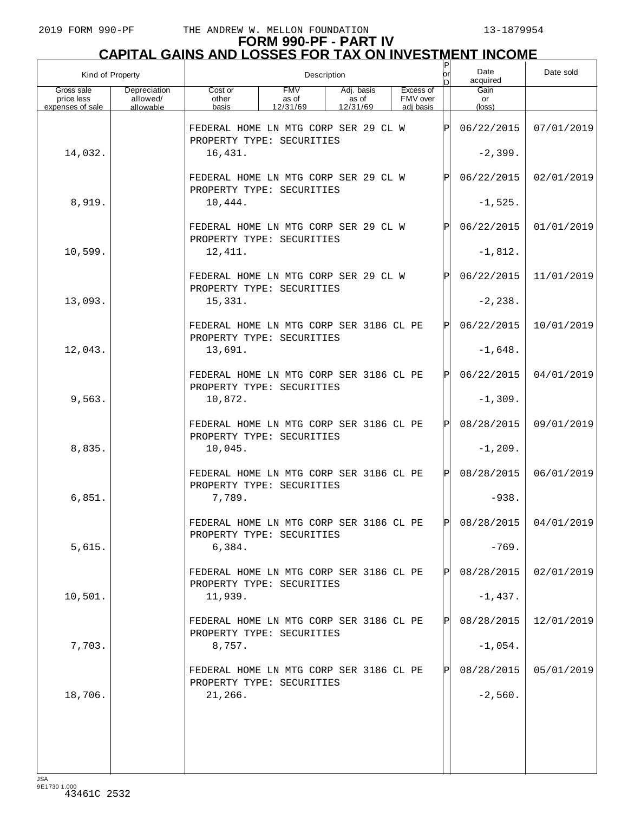| Kind of Property                             |                                       | Description                                                          |                                 |                                 |  |                                    |               | Date<br>acquired     | Date sold             |
|----------------------------------------------|---------------------------------------|----------------------------------------------------------------------|---------------------------------|---------------------------------|--|------------------------------------|---------------|----------------------|-----------------------|
| Gross sale<br>price less<br>expenses of sale | Depreciation<br>allowed/<br>allowable | Cost or<br>other<br>basis                                            | <b>FMV</b><br>as of<br>12/31/69 | Adj. basis<br>as of<br>12/31/69 |  | Excess of<br>FMV over<br>adj basis |               | Gain<br>or<br>(loss) |                       |
|                                              |                                       |                                                                      |                                 |                                 |  |                                    |               |                      |                       |
|                                              |                                       | FEDERAL HOME LN MTG CORP SER 29 CL W<br>PROPERTY TYPE: SECURITIES    |                                 |                                 |  |                                    | $_\mathrm{P}$ | 06/22/2015           | 07/01/2019            |
| 14,032.                                      |                                       | 16,431.                                                              |                                 |                                 |  |                                    |               | $-2,399.$            |                       |
|                                              |                                       | FEDERAL HOME LN MTG CORP SER 29 CL W<br>PROPERTY TYPE: SECURITIES    |                                 |                                 |  |                                    | Ρ             | 06/22/2015           | 02/01/2019            |
| 8,919.                                       |                                       | 10,444.                                                              |                                 |                                 |  |                                    |               | $-1,525.$            |                       |
|                                              |                                       | FEDERAL HOME LN MTG CORP SER 29 CL W<br>PROPERTY TYPE: SECURITIES    |                                 |                                 |  |                                    | Ρ             | 06/22/2015           | 01/01/2019            |
| 10,599.                                      |                                       | 12,411.                                                              |                                 |                                 |  |                                    |               | $-1,812.$            |                       |
|                                              |                                       | FEDERAL HOME LN MTG CORP SER 29 CL W<br>PROPERTY TYPE: SECURITIES    |                                 |                                 |  |                                    | Ρ             | 06/22/2015           | 11/01/2019            |
| 13,093.                                      |                                       | 15,331.                                                              |                                 |                                 |  |                                    |               | $-2, 238.$           |                       |
|                                              |                                       | FEDERAL HOME LN MTG CORP SER 3186 CL PE<br>PROPERTY TYPE: SECURITIES |                                 |                                 |  |                                    | $\mathbf{P}$  | 06/22/2015           | 10/01/2019            |
| 12,043.                                      |                                       | 13,691.                                                              |                                 |                                 |  |                                    |               | $-1,648.$            |                       |
|                                              |                                       | FEDERAL HOME LN MTG CORP SER 3186 CL PE<br>PROPERTY TYPE: SECURITIES |                                 |                                 |  |                                    | $\mathbf{P}$  | 06/22/2015           | 04/01/2019            |
| 9,563.                                       |                                       | 10,872.                                                              |                                 |                                 |  |                                    |               | $-1,309.$            |                       |
|                                              |                                       | FEDERAL HOME LN MTG CORP SER 3186 CL PE<br>PROPERTY TYPE: SECURITIES |                                 |                                 |  |                                    | $\mathbf P$   | 08/28/2015           | 09/01/2019            |
| 8,835.                                       |                                       | 10,045.                                                              |                                 |                                 |  |                                    |               | $-1, 209.$           |                       |
|                                              |                                       | FEDERAL HOME LN MTG CORP SER 3186 CL PE<br>PROPERTY TYPE: SECURITIES |                                 |                                 |  |                                    | $\mathbf P$   | 08/28/2015           | 06/01/2019            |
| 6,851.                                       |                                       | 7,789.                                                               |                                 |                                 |  |                                    |               | $-938.$              |                       |
|                                              |                                       | FEDERAL HOME LN MTG CORP SER 3186 CL PE<br>PROPERTY TYPE: SECURITIES |                                 |                                 |  |                                    | Þl            |                      | 08/28/2015 04/01/2019 |
| 5,615.                                       |                                       | 6,384.                                                               |                                 |                                 |  |                                    |               | $-769.$              |                       |
|                                              |                                       | FEDERAL HOME LN MTG CORP SER 3186 CL PE<br>PROPERTY TYPE: SECURITIES |                                 |                                 |  |                                    | Pl            | 08/28/2015           | 02/01/2019            |
| 10,501.                                      |                                       | 11,939.                                                              |                                 |                                 |  |                                    |               | $-1,437.$            |                       |
|                                              |                                       | FEDERAL HOME LN MTG CORP SER 3186 CL PE<br>PROPERTY TYPE: SECURITIES |                                 |                                 |  |                                    | Pl            | 08/28/2015           | 12/01/2019            |
| 7,703.                                       |                                       | 8,757.                                                               |                                 |                                 |  |                                    |               | $-1,054.$            |                       |
|                                              |                                       | FEDERAL HOME LN MTG CORP SER 3186 CL PE<br>PROPERTY TYPE: SECURITIES |                                 |                                 |  |                                    | Pl            | 08/28/2015           | 05/01/2019            |
| 18,706.                                      |                                       | 21,266.                                                              |                                 |                                 |  |                                    |               | $-2,560.$            |                       |
|                                              |                                       |                                                                      |                                 |                                 |  |                                    |               |                      |                       |
|                                              |                                       |                                                                      |                                 |                                 |  |                                    |               |                      |                       |
| 194                                          |                                       |                                                                      |                                 |                                 |  |                                    |               |                      |                       |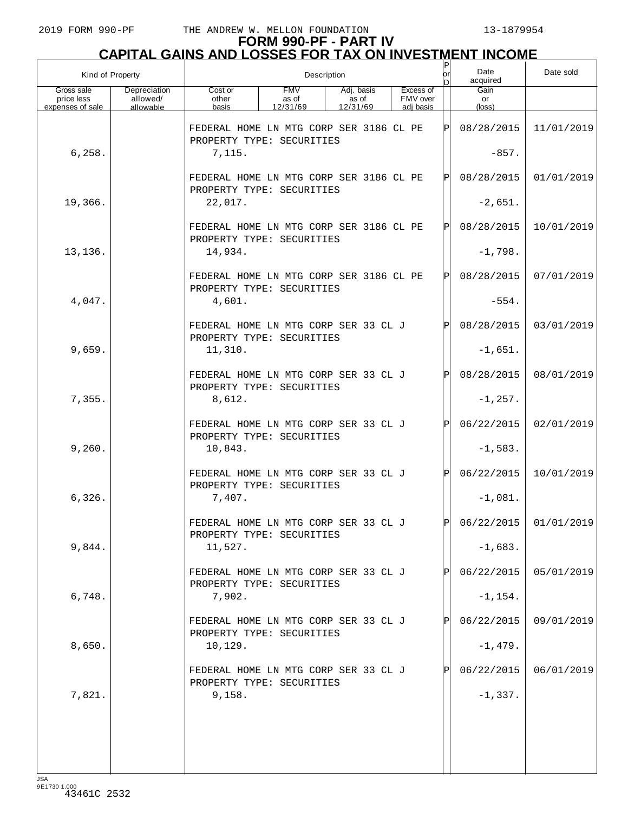| Kind of Property                             |                                       | Description                                                          |                                 |                                 |  |                                    |              | Date<br>acquired     | Date sold               |
|----------------------------------------------|---------------------------------------|----------------------------------------------------------------------|---------------------------------|---------------------------------|--|------------------------------------|--------------|----------------------|-------------------------|
| Gross sale<br>price less<br>expenses of sale | Depreciation<br>allowed/<br>allowable | Cost or<br>other<br>basis                                            | <b>FMV</b><br>as of<br>12/31/69 | Adj. basis<br>as of<br>12/31/69 |  | Excess of<br>FMV over<br>adj basis |              | Gain<br>or<br>(loss) |                         |
|                                              |                                       | FEDERAL HOME LN MTG CORP SER 3186 CL PE<br>PROPERTY TYPE: SECURITIES |                                 |                                 |  |                                    | ΙPΙ          | 08/28/2015           | 11/01/2019              |
| 6, 258.                                      |                                       | 7,115.                                                               |                                 |                                 |  |                                    |              | $-857.$              |                         |
|                                              |                                       | FEDERAL HOME LN MTG CORP SER 3186 CL PE<br>PROPERTY TYPE: SECURITIES |                                 |                                 |  |                                    | ΙPΙ          | 08/28/2015           | 01/01/2019              |
| 19,366.                                      |                                       | 22,017.                                                              |                                 |                                 |  |                                    |              | $-2,651.$            |                         |
|                                              |                                       | FEDERAL HOME LN MTG CORP SER 3186 CL PE<br>PROPERTY TYPE: SECURITIES |                                 |                                 |  |                                    | ΙPΙ          | 08/28/2015           | 10/01/2019              |
| 13,136.                                      |                                       | 14,934.                                                              |                                 |                                 |  |                                    |              | $-1,798.$            |                         |
|                                              |                                       | FEDERAL HOME LN MTG CORP SER 3186 CL PE<br>PROPERTY TYPE: SECURITIES |                                 |                                 |  |                                    | ΙÞΙ          | 08/28/2015           | 07/01/2019              |
| 4,047.                                       |                                       | 4,601.                                                               |                                 |                                 |  |                                    |              | $-554.$              |                         |
|                                              |                                       | FEDERAL HOME LN MTG CORP SER 33 CL J<br>PROPERTY TYPE: SECURITIES    |                                 |                                 |  |                                    | ΙPΙ          | 08/28/2015           | 03/01/2019              |
| 9,659.                                       |                                       | 11,310.                                                              |                                 |                                 |  |                                    |              | $-1,651.$            |                         |
|                                              |                                       | FEDERAL HOME LN MTG CORP SER 33 CL J<br>PROPERTY TYPE: SECURITIES    |                                 |                                 |  |                                    | ΙPΙ          | 08/28/2015           | 08/01/2019              |
| 7,355.                                       |                                       | 8,612.                                                               |                                 |                                 |  |                                    |              | $-1, 257.$           |                         |
|                                              |                                       | FEDERAL HOME LN MTG CORP SER 33 CL J<br>PROPERTY TYPE: SECURITIES    |                                 |                                 |  |                                    | ΙPΙ          | 06/22/2015           | 02/01/2019              |
| 9,260.                                       |                                       | 10,843.                                                              |                                 |                                 |  |                                    |              | $-1,583.$            |                         |
|                                              |                                       | FEDERAL HOME LN MTG CORP SER 33 CL J<br>PROPERTY TYPE: SECURITIES    |                                 |                                 |  |                                    | ΙPΙ          | 06/22/2015           | 10/01/2019              |
| 6,326.                                       |                                       | 7,407.                                                               |                                 |                                 |  |                                    |              | $-1,081.$            |                         |
|                                              |                                       | FEDERAL HOME LN MTG CORP SER 33 CL J<br>PROPERTY TYPE: SECURITIES    |                                 |                                 |  |                                    | lDI          |                      | $06/22/2015$ 01/01/2019 |
| 9,844.                                       |                                       | 11,527.                                                              |                                 |                                 |  |                                    |              | $-1,683.$            |                         |
|                                              |                                       | FEDERAL HOME LN MTG CORP SER 33 CL J<br>PROPERTY TYPE: SECURITIES    |                                 |                                 |  |                                    | P            | 06/22/2015           | 05/01/2019              |
| 6,748.                                       |                                       | 7,902.                                                               |                                 |                                 |  |                                    |              | $-1, 154.$           |                         |
|                                              |                                       | FEDERAL HOME LN MTG CORP SER 33 CL J<br>PROPERTY TYPE: SECURITIES    |                                 |                                 |  |                                    | $\mathbf{P}$ | 06/22/2015           | 09/01/2019              |
| 8,650.                                       |                                       | 10,129.                                                              |                                 |                                 |  |                                    |              | $-1,479.$            |                         |
|                                              |                                       | FEDERAL HOME LN MTG CORP SER 33 CL J<br>PROPERTY TYPE: SECURITIES    |                                 |                                 |  |                                    | P            | 06/22/2015           | 06/01/2019              |
| 7,821.                                       |                                       | 9,158.                                                               |                                 |                                 |  |                                    |              | $-1,337.$            |                         |
|                                              |                                       |                                                                      |                                 |                                 |  |                                    |              |                      |                         |
|                                              |                                       |                                                                      |                                 |                                 |  |                                    |              |                      |                         |
| 194                                          |                                       |                                                                      |                                 |                                 |  |                                    |              |                      |                         |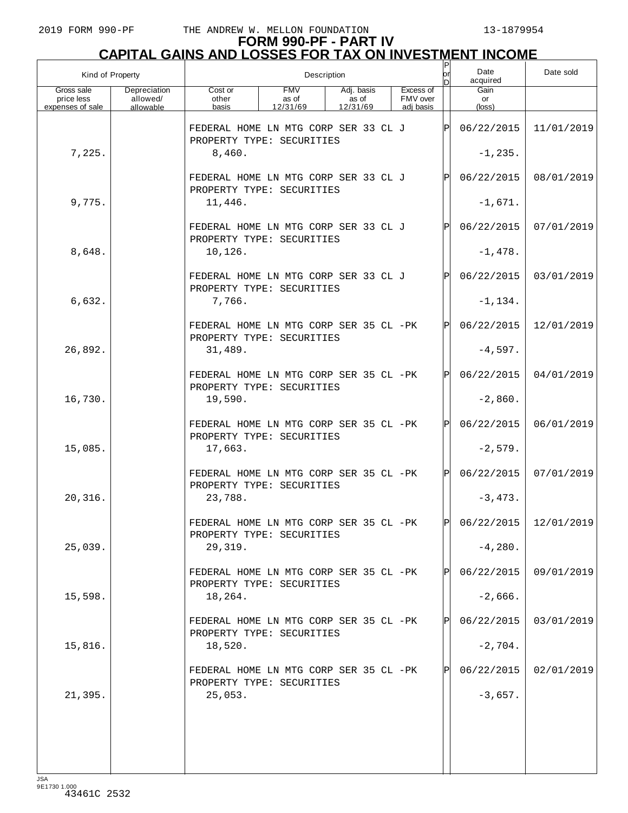| Kind of Property                             |                                       | Description                                                         |                                 |                                 |  |  |                                    |     | Date<br>acquired              | Date sold               |
|----------------------------------------------|---------------------------------------|---------------------------------------------------------------------|---------------------------------|---------------------------------|--|--|------------------------------------|-----|-------------------------------|-------------------------|
| Gross sale<br>price less<br>expenses of sale | Depreciation<br>allowed/<br>allowable | Cost or<br>other<br>basis                                           | <b>FMV</b><br>as of<br>12/31/69 | Adj. basis<br>as of<br>12/31/69 |  |  | Excess of<br>FMV over<br>adi basis |     | Gain<br>or<br>$(\text{loss})$ |                         |
|                                              |                                       | FEDERAL HOME LN MTG CORP SER 33 CL J<br>PROPERTY TYPE: SECURITIES   |                                 |                                 |  |  |                                    | ΙÞΙ | 06/22/2015                    | 11/01/2019              |
| 7,225.                                       |                                       | 8,460.                                                              |                                 |                                 |  |  |                                    |     | $-1, 235.$                    |                         |
|                                              |                                       | FEDERAL HOME LN MTG CORP SER 33 CL J<br>PROPERTY TYPE: SECURITIES   |                                 |                                 |  |  |                                    | ΙPΙ | 06/22/2015                    | 08/01/2019              |
| 9,775.                                       |                                       | 11,446.                                                             |                                 |                                 |  |  |                                    |     | $-1,671.$                     |                         |
|                                              |                                       | FEDERAL HOME LN MTG CORP SER 33 CL J<br>PROPERTY TYPE: SECURITIES   |                                 |                                 |  |  |                                    | ΙPΙ | 06/22/2015                    | 07/01/2019              |
| 8,648.                                       |                                       | 10,126.                                                             |                                 |                                 |  |  |                                    |     | $-1,478.$                     |                         |
|                                              |                                       | FEDERAL HOME LN MTG CORP SER 33 CL J<br>PROPERTY TYPE: SECURITIES   |                                 |                                 |  |  |                                    | ΙPΙ | 06/22/2015                    | 03/01/2019              |
| 6,632.                                       |                                       | 7,766.                                                              |                                 |                                 |  |  |                                    |     | $-1, 134.$                    |                         |
|                                              |                                       | FEDERAL HOME LN MTG CORP SER 35 CL -PK<br>PROPERTY TYPE: SECURITIES |                                 |                                 |  |  |                                    | ΙÞΙ | 06/22/2015                    | 12/01/2019              |
| 26,892.                                      |                                       | 31,489.                                                             |                                 |                                 |  |  |                                    |     | $-4,597.$                     |                         |
|                                              |                                       | FEDERAL HOME LN MTG CORP SER 35 CL -PK<br>PROPERTY TYPE: SECURITIES |                                 |                                 |  |  |                                    | ΙÞΙ | 06/22/2015                    | 04/01/2019              |
| 16,730.                                      |                                       | 19,590.                                                             |                                 |                                 |  |  |                                    |     | $-2,860.$                     |                         |
|                                              |                                       | FEDERAL HOME LN MTG CORP SER 35 CL -PK<br>PROPERTY TYPE: SECURITIES |                                 |                                 |  |  |                                    | ΙÞΙ | 06/22/2015                    | 06/01/2019              |
| 15,085.                                      |                                       | 17,663.                                                             |                                 |                                 |  |  |                                    |     | $-2,579.$                     |                         |
|                                              |                                       | FEDERAL HOME LN MTG CORP SER 35 CL -PK<br>PROPERTY TYPE: SECURITIES |                                 |                                 |  |  |                                    | lPl | 06/22/2015                    | 07/01/2019              |
| 20,316.                                      |                                       | 23,788.                                                             |                                 |                                 |  |  |                                    |     | $-3,473.$                     |                         |
|                                              |                                       | FEDERAL HOME LN MTG CORP SER 35 CL -PK<br>PROPERTY TYPE: SECURITIES |                                 |                                 |  |  |                                    | IDI |                               | $06/22/2015$ 12/01/2019 |
| 25,039.                                      |                                       | 29,319.                                                             |                                 |                                 |  |  |                                    |     | $-4,280.$                     |                         |
|                                              |                                       | FEDERAL HOME LN MTG CORP SER 35 CL -PK<br>PROPERTY TYPE: SECURITIES |                                 |                                 |  |  |                                    | ΙPΙ | 06/22/2015                    | 09/01/2019              |
| 15,598.                                      |                                       | 18,264.                                                             |                                 |                                 |  |  |                                    |     | $-2,666.$                     |                         |
|                                              |                                       | FEDERAL HOME LN MTG CORP SER 35 CL -PK<br>PROPERTY TYPE: SECURITIES |                                 |                                 |  |  |                                    | ΙPΙ | 06/22/2015                    | 03/01/2019              |
| 15,816.                                      |                                       | 18,520.                                                             |                                 |                                 |  |  |                                    |     | $-2,704.$                     |                         |
|                                              |                                       | FEDERAL HOME LN MTG CORP SER 35 CL -PK<br>PROPERTY TYPE: SECURITIES |                                 |                                 |  |  |                                    | ΙPΙ | 06/22/2015                    | 02/01/2019              |
| 21,395.                                      |                                       | 25,053.                                                             |                                 |                                 |  |  |                                    |     | $-3,657.$                     |                         |
|                                              |                                       |                                                                     |                                 |                                 |  |  |                                    |     |                               |                         |
|                                              |                                       |                                                                     |                                 |                                 |  |  |                                    |     |                               |                         |
| 194                                          |                                       |                                                                     |                                 |                                 |  |  |                                    |     |                               |                         |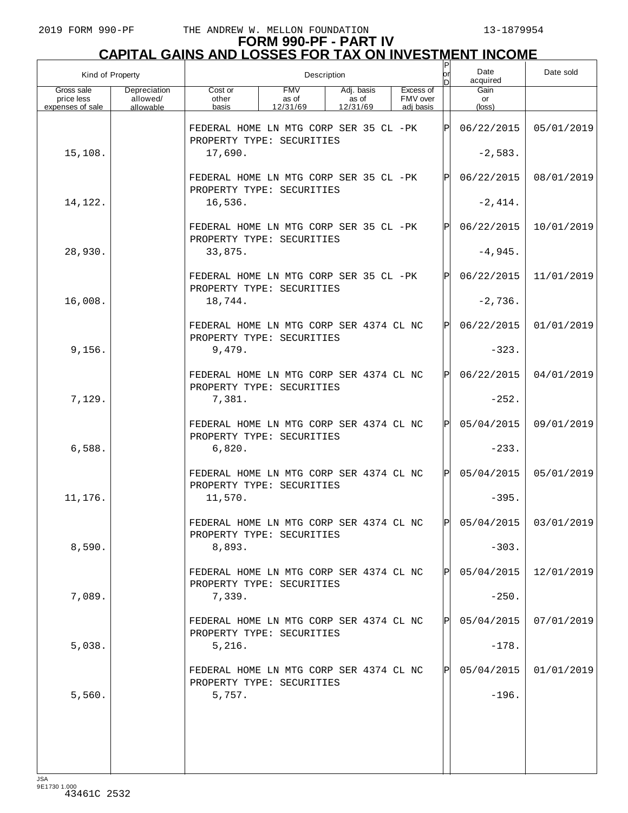# **FORM 990-PF - PART IV CAPITAL GAINS AND LOSSES FOR TAX ON INVESTMENT INCOME** P

| Kind of Property                             |                                       | Description<br>lor                                                             |                                 |                                 |  |                                    |      | Date<br>acquired      | Date sold             |
|----------------------------------------------|---------------------------------------|--------------------------------------------------------------------------------|---------------------------------|---------------------------------|--|------------------------------------|------|-----------------------|-----------------------|
| Gross sale<br>price less<br>expenses of sale | Depreciation<br>allowed/<br>allowable | Cost or<br>other<br>basis                                                      | <b>FMV</b><br>as of<br>12/31/69 | Adj. basis<br>as of<br>12/31/69 |  | Excess of<br>FMV over<br>adj basis |      | Gain<br>or<br>(loss)  |                       |
|                                              |                                       | FEDERAL HOME LN MTG CORP SER 35 CL -PK<br>PROPERTY TYPE: SECURITIES            |                                 |                                 |  |                                    | Þl   | 06/22/2015            | 05/01/2019            |
| 15,108.                                      |                                       | 17,690.                                                                        |                                 |                                 |  |                                    |      | $-2,583.$             |                       |
|                                              |                                       | FEDERAL HOME LN MTG CORP SER 35 CL -PK<br>PROPERTY TYPE: SECURITIES            |                                 |                                 |  |                                    | ΙÞΙ  | 06/22/2015            | 08/01/2019            |
| 14,122.                                      |                                       | 16,536.                                                                        |                                 |                                 |  |                                    |      | $-2,414.$             |                       |
|                                              |                                       | FEDERAL HOME LN MTG CORP SER 35 CL -PK<br>PROPERTY TYPE: SECURITIES            |                                 |                                 |  |                                    | Þl   | 06/22/2015            | 10/01/2019            |
| 28,930.                                      |                                       | 33,875.                                                                        |                                 |                                 |  |                                    |      | $-4,945.$             |                       |
|                                              |                                       | FEDERAL HOME LN MTG CORP SER 35 CL -PK<br>PROPERTY TYPE: SECURITIES            |                                 |                                 |  |                                    | ΙÞΙ  | 06/22/2015            | 11/01/2019            |
| 16,008.                                      |                                       | 18,744.                                                                        |                                 |                                 |  |                                    |      | $-2,736.$             |                       |
|                                              |                                       | FEDERAL HOME LN MTG CORP SER 4374 CL NC<br>PROPERTY TYPE: SECURITIES           |                                 |                                 |  |                                    | ΙÞΙ  | 06/22/2015            | 01/01/2019            |
| 9,156.                                       |                                       | 9,479.<br>FEDERAL HOME LN MTG CORP SER 4374 CL NC                              |                                 |                                 |  |                                    | ΙÞΙ  | $-323.$<br>06/22/2015 | 04/01/2019            |
| 7,129.                                       |                                       | PROPERTY TYPE: SECURITIES<br>7,381.                                            |                                 |                                 |  |                                    |      | $-252.$               |                       |
|                                              |                                       | FEDERAL HOME LN MTG CORP SER 4374 CL NC                                        |                                 |                                 |  |                                    | ΙÞΙ  | 05/04/2015            | 09/01/2019            |
| 6,588.                                       |                                       | PROPERTY TYPE: SECURITIES<br>6,820.                                            |                                 |                                 |  |                                    |      | $-233.$               |                       |
|                                              |                                       | FEDERAL HOME LN MTG CORP SER 4374 CL NC                                        |                                 |                                 |  |                                    | lÞl  | 05/04/2015            | 05/01/2019            |
| 11,176.                                      |                                       | PROPERTY TYPE: SECURITIES<br>11,570.                                           |                                 |                                 |  |                                    |      | $-395.$               |                       |
|                                              |                                       | FEDERAL HOME LN MTG CORP SER 4374 CL NC<br>PROPERTY TYPE: SECURITIES           |                                 |                                 |  |                                    | IPI. |                       | 05/04/2015 03/01/2019 |
| 8,590.                                       |                                       | 8,893.                                                                         |                                 |                                 |  |                                    |      | $-303.$               |                       |
|                                              |                                       | FEDERAL HOME LN MTG CORP SER 4374 CL NC<br>PROPERTY TYPE: SECURITIES           |                                 |                                 |  |                                    | ΙPΙ  | 05/04/2015            | 12/01/2019            |
| 7,089.                                       |                                       | 7,339.                                                                         |                                 |                                 |  |                                    |      | $-250.$               |                       |
|                                              |                                       | FEDERAL HOME LN MTG CORP SER 4374 CL NC<br>PROPERTY TYPE: SECURITIES           |                                 |                                 |  |                                    | ΙPΙ  | 05/04/2015            | 07/01/2019            |
| 5,038.                                       |                                       | 5,216.                                                                         |                                 |                                 |  |                                    |      | $-178.$               |                       |
| 5,560.                                       |                                       | FEDERAL HOME LN MTG CORP SER 4374 CL NC<br>PROPERTY TYPE: SECURITIES<br>5,757. |                                 |                                 |  |                                    | ΙPΙ  | 05/04/2015<br>$-196.$ | 01/01/2019            |
|                                              |                                       |                                                                                |                                 |                                 |  |                                    |      |                       |                       |
|                                              |                                       |                                                                                |                                 |                                 |  |                                    |      |                       |                       |
|                                              |                                       |                                                                                |                                 |                                 |  |                                    |      |                       |                       |

JSA 9E1730 1.000 43461C 2532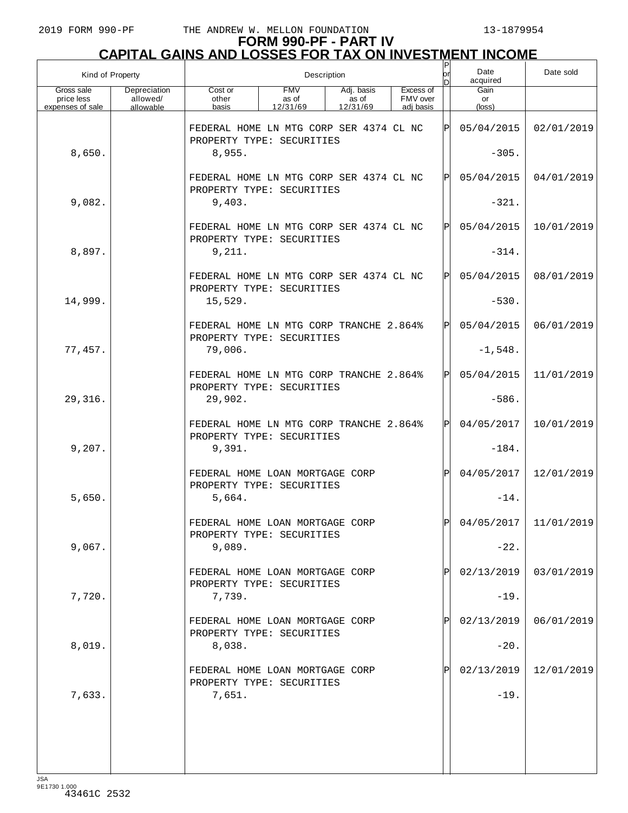| Kind of Property                             |                                       | Description                                                          |                                 |                                 |                                    |     | Date<br>acquired     | Date sold               |
|----------------------------------------------|---------------------------------------|----------------------------------------------------------------------|---------------------------------|---------------------------------|------------------------------------|-----|----------------------|-------------------------|
| Gross sale<br>price less<br>expenses of sale | Depreciation<br>allowed/<br>allowable | Cost or<br>other<br>basis                                            | <b>FMV</b><br>as of<br>12/31/69 | Adj. basis<br>as of<br>12/31/69 | Excess of<br>FMV over<br>adj basis |     | Gain<br>or<br>(loss) |                         |
|                                              |                                       | FEDERAL HOME LN MTG CORP SER 4374 CL NC<br>PROPERTY TYPE: SECURITIES |                                 |                                 |                                    | ΙPΙ | 05/04/2015           | 02/01/2019              |
| 8,650.                                       |                                       | 8,955.                                                               |                                 |                                 |                                    |     | $-305.$              |                         |
|                                              |                                       | FEDERAL HOME LN MTG CORP SER 4374 CL NC<br>PROPERTY TYPE: SECURITIES |                                 |                                 |                                    | ΙÞΙ | 05/04/2015           | 04/01/2019              |
| 9,082.                                       |                                       | 9,403.                                                               |                                 |                                 |                                    |     | $-321.$              |                         |
|                                              |                                       | FEDERAL HOME LN MTG CORP SER 4374 CL NC<br>PROPERTY TYPE: SECURITIES |                                 |                                 |                                    | ΙPΙ | 05/04/2015           | 10/01/2019              |
| 8,897.                                       |                                       | 9,211.                                                               |                                 |                                 |                                    |     | $-314.$              |                         |
|                                              |                                       | FEDERAL HOME LN MTG CORP SER 4374 CL NC<br>PROPERTY TYPE: SECURITIES |                                 |                                 |                                    | ΙÞΙ | 05/04/2015           | 08/01/2019              |
| 14,999.                                      |                                       | 15,529.                                                              |                                 |                                 |                                    |     | $-530.$              |                         |
|                                              |                                       | FEDERAL HOME LN MTG CORP TRANCHE 2.864%<br>PROPERTY TYPE: SECURITIES |                                 |                                 |                                    | ΙPΙ | 05/04/2015           | 06/01/2019              |
| 77,457.                                      |                                       | 79,006.                                                              |                                 |                                 |                                    |     | $-1,548.$            |                         |
|                                              |                                       | FEDERAL HOME LN MTG CORP TRANCHE 2.864%<br>PROPERTY TYPE: SECURITIES |                                 |                                 |                                    | Þl  | 05/04/2015           | 11/01/2019              |
| 29,316.                                      |                                       | 29,902.                                                              |                                 |                                 |                                    |     | $-586.$              |                         |
|                                              |                                       | FEDERAL HOME LN MTG CORP TRANCHE 2.864%<br>PROPERTY TYPE: SECURITIES |                                 |                                 |                                    | ΙÞΙ | 04/05/2017           | 10/01/2019              |
| 9,207.                                       |                                       | 9,391.                                                               |                                 |                                 |                                    |     | $-184.$              |                         |
|                                              |                                       | FEDERAL HOME LOAN MORTGAGE CORP<br>PROPERTY TYPE: SECURITIES         |                                 |                                 |                                    | ΙPΙ | 04/05/2017           | 12/01/2019              |
| 5,650.                                       |                                       | 5,664.                                                               |                                 |                                 |                                    |     | $-14.$               |                         |
|                                              |                                       | FEDERAL HOME LOAN MORTGAGE CORP<br>PROPERTY TYPE: SECURITIES         |                                 |                                 |                                    | ldl |                      | $04/05/2017$ 11/01/2019 |
| 9,067.                                       |                                       | 9,089.                                                               |                                 |                                 |                                    |     | $-22.$               |                         |
|                                              |                                       | FEDERAL HOME LOAN MORTGAGE CORP<br>PROPERTY TYPE: SECURITIES         |                                 |                                 |                                    | P   | 02/13/2019           | 03/01/2019              |
| 7,720.                                       |                                       | 7,739.                                                               |                                 |                                 |                                    |     | $-19.$               |                         |
|                                              |                                       | FEDERAL HOME LOAN MORTGAGE CORP<br>PROPERTY TYPE: SECURITIES         |                                 |                                 |                                    | P   | 02/13/2019           | 06/01/2019              |
| 8,019.                                       |                                       | 8,038.                                                               |                                 |                                 |                                    |     | $-20.$               |                         |
|                                              |                                       | FEDERAL HOME LOAN MORTGAGE CORP<br>PROPERTY TYPE: SECURITIES         |                                 |                                 |                                    | P   | 02/13/2019           | 12/01/2019              |
| 7,633.                                       |                                       | 7,651.                                                               |                                 |                                 |                                    |     | $-19.$               |                         |
|                                              |                                       |                                                                      |                                 |                                 |                                    |     |                      |                         |
|                                              |                                       |                                                                      |                                 |                                 |                                    |     |                      |                         |
|                                              |                                       |                                                                      |                                 |                                 |                                    |     |                      |                         |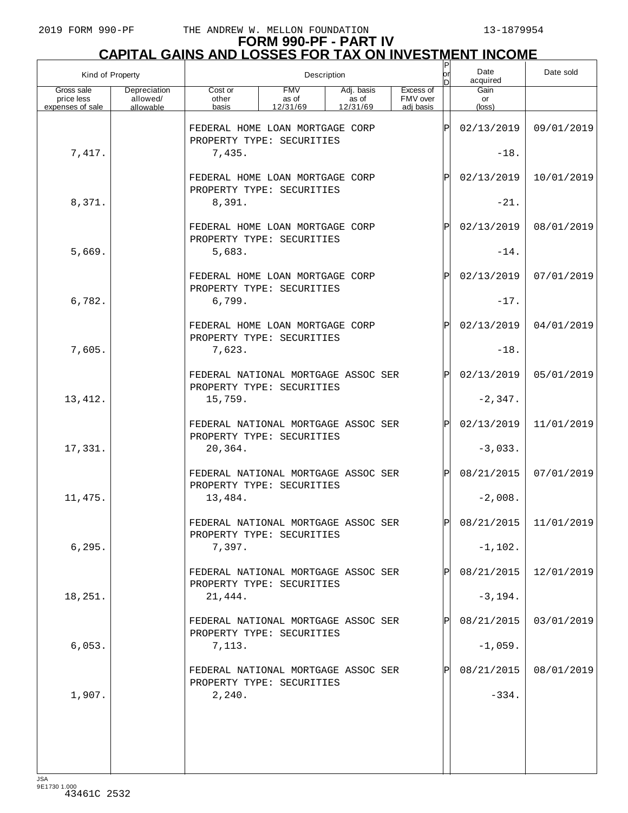$\sqrt{ }$ 

## 2019 FORM 990-PF THE ANDREW W. MELLON FOUNDATION 13-1879954

## **FORM 990-PF - PART IV**

|                  | <b>CAPITAL GAINS AND LOSSES FOR TAX ON INVESTMENT INCOME</b> |      |           |
|------------------|--------------------------------------------------------------|------|-----------|
| Kind of Property | Description                                                  | Date | Date sold |

| Kind of Property         |                          | Description                                                      |                     |                     |                       | or<br>b        | Date<br>acquired | Date sold  |
|--------------------------|--------------------------|------------------------------------------------------------------|---------------------|---------------------|-----------------------|----------------|------------------|------------|
| Gross sale<br>price less | Depreciation<br>allowed/ | Cost or<br>other                                                 | <b>FMV</b><br>as of | Adj. basis<br>as of | Excess of<br>FMV over |                | Gain<br>or       |            |
| expenses of sale         | allowable                | basis                                                            | 12/31/69            | 12/31/69            | adi basis             |                | $(\text{loss})$  |            |
|                          |                          | FEDERAL HOME LOAN MORTGAGE CORP<br>PROPERTY TYPE: SECURITIES     |                     | $ {\bf P} $         | 02/13/2019            | 09/01/2019     |                  |            |
| 7,417.                   |                          | 7,435.                                                           |                     |                     |                       | $-18.$         |                  |            |
|                          |                          | FEDERAL HOME LOAN MORTGAGE CORP<br>PROPERTY TYPE: SECURITIES     |                     |                     |                       | $\mathbf P$    | 02/13/2019       | 10/01/2019 |
| 8,371.                   |                          | 8,391.                                                           |                     |                     |                       |                | $-21.$           |            |
|                          |                          | FEDERAL HOME LOAN MORTGAGE CORP<br>PROPERTY TYPE: SECURITIES     |                     |                     |                       | $\mathbf P$    | 02/13/2019       | 08/01/2019 |
| 5,669.                   |                          | 5,683.                                                           |                     |                     |                       |                | $-14.$           |            |
|                          |                          | FEDERAL HOME LOAN MORTGAGE CORP<br>PROPERTY TYPE: SECURITIES     |                     |                     |                       | $\mathbf P$    | 02/13/2019       | 07/01/2019 |
| 6,782.                   |                          | 6,799.                                                           |                     |                     |                       |                | $-17.$           |            |
|                          |                          | FEDERAL HOME LOAN MORTGAGE CORP<br>PROPERTY TYPE: SECURITIES     |                     |                     |                       | $\mathbf P$    | 02/13/2019       | 04/01/2019 |
| 7,605.                   |                          | 7,623.                                                           |                     |                     |                       |                | $-18.$           |            |
|                          |                          | FEDERAL NATIONAL MORTGAGE ASSOC SER<br>PROPERTY TYPE: SECURITIES |                     |                     |                       | $\mathsf{P}$   | 02/13/2019       | 05/01/2019 |
| 13, 412.                 |                          | 15,759.                                                          |                     |                     |                       |                | $-2,347.$        |            |
|                          |                          | FEDERAL NATIONAL MORTGAGE ASSOC SER<br>PROPERTY TYPE: SECURITIES |                     |                     |                       | ΙP             | 02/13/2019       | 11/01/2019 |
| 17,331.                  |                          | 20,364.                                                          |                     |                     |                       |                | $-3,033.$        |            |
|                          |                          | FEDERAL NATIONAL MORTGAGE ASSOC SER<br>PROPERTY TYPE: SECURITIES |                     |                     |                       | ΙP             | 08/21/2015       | 07/01/2019 |
| 11, 475.                 |                          | 13,484.                                                          |                     |                     |                       |                | $-2,008.$        |            |
|                          |                          | FEDERAL NATIONAL MORTGAGE ASSOC SER<br>PROPERTY TYPE: SECURITIES |                     |                     |                       | $ \mathrm{P} $ | 08/21/2015       | 11/01/2019 |
| 6, 295.                  |                          | 7,397.                                                           |                     |                     |                       |                | $-1,102.$        |            |
|                          |                          | FEDERAL NATIONAL MORTGAGE ASSOC SER<br>PROPERTY TYPE: SECURITIES |                     |                     |                       |                | 08/21/2015       | 12/01/2019 |
| 18,251.                  |                          | 21,444.                                                          |                     |                     |                       |                | $-3,194.$        |            |
|                          |                          | FEDERAL NATIONAL MORTGAGE ASSOC SER<br>PROPERTY TYPE: SECURITIES |                     |                     |                       |                | 08/21/2015       | 03/01/2019 |
| 6,053.                   |                          | 7,113.                                                           |                     |                     |                       |                | $-1,059.$        |            |
|                          |                          | FEDERAL NATIONAL MORTGAGE ASSOC SER<br>PROPERTY TYPE: SECURITIES |                     |                     |                       |                | 08/21/2015       | 08/01/2019 |
| 1,907.                   |                          | 2,240.                                                           |                     |                     |                       |                | $-334.$          |            |
|                          |                          |                                                                  |                     |                     |                       |                |                  |            |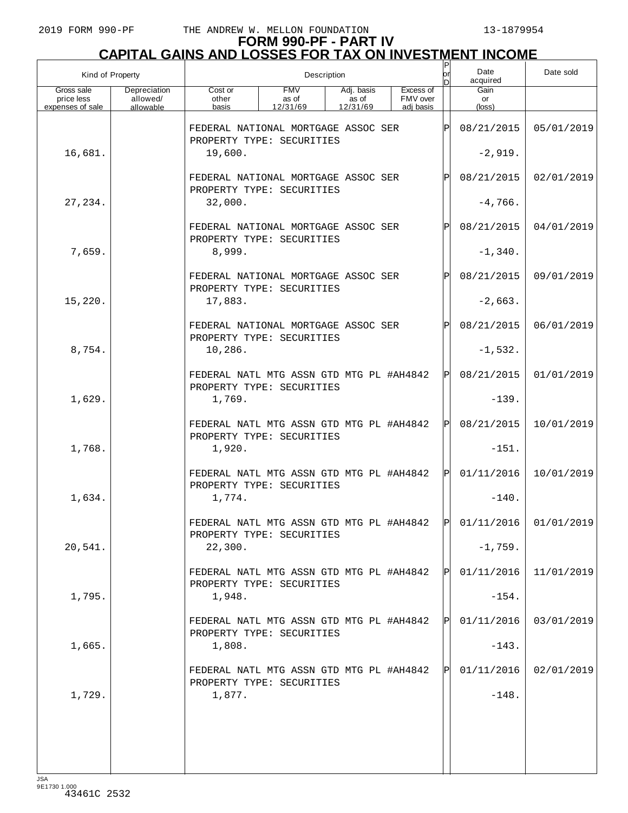| Kind of Property         |                          |                                                                                         |          | Description |           |               |            |                         |  |
|--------------------------|--------------------------|-----------------------------------------------------------------------------------------|----------|-------------|-----------|---------------|------------|-------------------------|--|
| Gross sale<br>price less | Depreciation<br>allowed/ | <b>FMV</b><br>Excess of<br>Cost or<br>Adj. basis<br>FMV over<br>other<br>as of<br>as of |          |             |           |               | Gain<br>or |                         |  |
| expenses of sale         | allowable                | basis                                                                                   | 12/31/69 | 12/31/69    | adj basis |               | (loss)     |                         |  |
|                          |                          | FEDERAL NATIONAL MORTGAGE ASSOC SER<br>PROPERTY TYPE: SECURITIES                        |          |             |           | $_\mathrm{P}$ | 08/21/2015 | 05/01/2019              |  |
| 16,681.                  |                          | 19,600.                                                                                 |          |             |           |               | $-2,919.$  |                         |  |
|                          |                          | FEDERAL NATIONAL MORTGAGE ASSOC SER<br>PROPERTY TYPE: SECURITIES                        |          |             |           | Р             | 08/21/2015 | 02/01/2019              |  |
| 27, 234.                 |                          | 32,000.                                                                                 |          |             |           |               | $-4,766.$  |                         |  |
|                          |                          | FEDERAL NATIONAL MORTGAGE ASSOC SER<br>PROPERTY TYPE: SECURITIES                        |          |             |           | P             | 08/21/2015 | 04/01/2019              |  |
| 7,659.                   |                          | 8,999.                                                                                  |          |             |           |               | $-1,340.$  |                         |  |
|                          |                          | FEDERAL NATIONAL MORTGAGE ASSOC SER<br>PROPERTY TYPE: SECURITIES                        |          |             |           | Р             | 08/21/2015 | 09/01/2019              |  |
| 15,220.                  |                          | 17,883.                                                                                 |          |             |           |               | $-2,663.$  |                         |  |
|                          |                          | FEDERAL NATIONAL MORTGAGE ASSOC SER<br>PROPERTY TYPE: SECURITIES                        |          |             |           | Р             | 08/21/2015 | 06/01/2019              |  |
| 8,754.                   |                          | 10,286.                                                                                 |          |             |           |               | $-1,532.$  |                         |  |
|                          |                          | FEDERAL NATL MTG ASSN GTD MTG PL #AH4842<br>PROPERTY TYPE: SECURITIES                   |          |             |           | $\mathbf P$   | 08/21/2015 | 01/01/2019              |  |
| 1,629.                   |                          | 1,769.                                                                                  |          |             |           |               | $-139.$    |                         |  |
|                          |                          | FEDERAL NATL MTG ASSN GTD MTG PL #AH4842<br>PROPERTY TYPE: SECURITIES                   |          |             |           |               | 08/21/2015 | 10/01/2019              |  |
| 1,768.                   |                          | 1,920.                                                                                  |          |             |           |               | $-151.$    |                         |  |
|                          |                          | FEDERAL NATL MTG ASSN GTD MTG PL #AH4842<br>PROPERTY TYPE: SECURITIES                   |          |             |           |               | 01/11/2016 | 10/01/2019              |  |
| 1,634.                   |                          | 1,774.                                                                                  |          |             |           |               | $-140.$    |                         |  |
|                          |                          | FEDERAL NATL MTG ASSN GTD MTG PL #AH4842<br>PROPERTY TYPE: SECURITIES                   |          |             |           | ldl           |            | $01/11/2016$ 01/01/2019 |  |
| 20,541.                  |                          | 22,300.                                                                                 |          |             |           |               | $-1,759.$  |                         |  |
|                          |                          | FEDERAL NATL MTG ASSN GTD MTG PL #AH4842<br>PROPERTY TYPE: SECURITIES                   |          |             |           |               | 01/11/2016 | 11/01/2019              |  |
| 1,795.                   |                          | 1,948.                                                                                  |          |             |           |               | $-154.$    |                         |  |
|                          |                          | FEDERAL NATL MTG ASSN GTD MTG PL #AH4842<br>PROPERTY TYPE: SECURITIES                   |          |             |           |               | 01/11/2016 | 03/01/2019              |  |
| 1,665.                   |                          | 1,808.                                                                                  |          |             |           |               | $-143.$    |                         |  |
|                          |                          | FEDERAL NATL MTG ASSN GTD MTG PL #AH4842<br>PROPERTY TYPE: SECURITIES                   |          |             |           |               | 01/11/2016 | 02/01/2019              |  |
| 1,729.                   |                          | 1,877.                                                                                  |          |             |           |               | $-148.$    |                         |  |
|                          |                          |                                                                                         |          |             |           |               |            |                         |  |
|                          |                          |                                                                                         |          |             |           |               |            |                         |  |
| ICA                      |                          |                                                                                         |          |             |           |               |            |                         |  |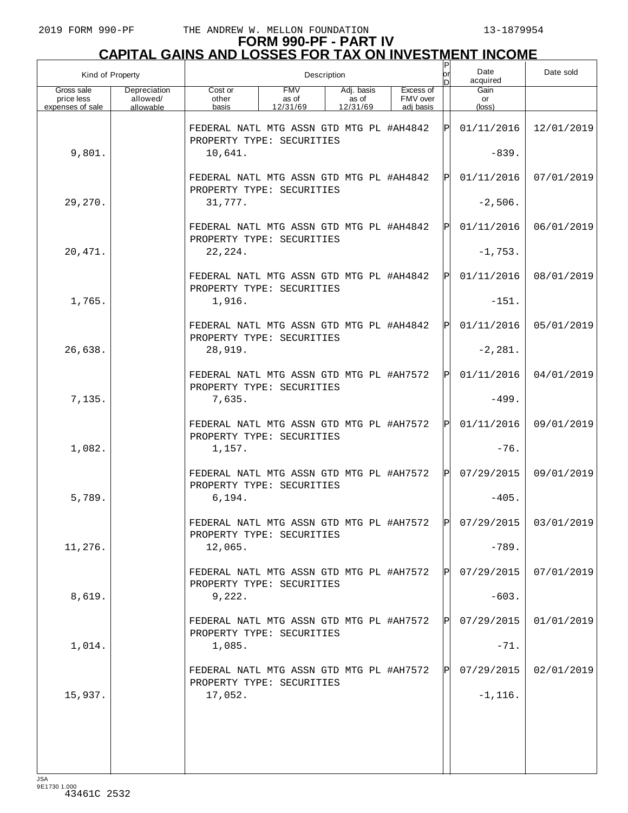| Kind of Property                             |                                       |                                                                                 | Description                     | Ρ<br>or                         | Date<br>acquired                   | Date sold   |                      |                         |
|----------------------------------------------|---------------------------------------|---------------------------------------------------------------------------------|---------------------------------|---------------------------------|------------------------------------|-------------|----------------------|-------------------------|
| Gross sale<br>price less<br>expenses of sale | Depreciation<br>allowed/<br>allowable | Cost or<br>other<br>basis                                                       | <b>FMV</b><br>as of<br>12/31/69 | Adj. basis<br>as of<br>12/31/69 | Excess of<br>FMV over<br>adj basis |             | Gain<br>or<br>(loss) |                         |
|                                              |                                       | FEDERAL NATL MTG ASSN GTD MTG PL #AH4842<br>PROPERTY TYPE: SECURITIES           |                                 |                                 |                                    | $\mathbf P$ | 01/11/2016           | 12/01/2019              |
| 9,801.                                       |                                       | 10,641.                                                                         |                                 |                                 |                                    |             | $-839.$              |                         |
|                                              |                                       | FEDERAL NATL MTG ASSN GTD MTG PL #AH4842<br>PROPERTY TYPE: SECURITIES           |                                 |                                 |                                    | Pl          | 01/11/2016           | 07/01/2019              |
| 29,270.                                      |                                       | 31,777.                                                                         |                                 |                                 |                                    |             | $-2,506.$            |                         |
|                                              |                                       | FEDERAL NATL MTG ASSN GTD MTG PL #AH4842<br>PROPERTY TYPE: SECURITIES           |                                 |                                 |                                    | Pl          | 01/11/2016           | 06/01/2019              |
| 20,471.                                      |                                       | 22,224.                                                                         |                                 |                                 |                                    |             | $-1,753.$            |                         |
|                                              |                                       | FEDERAL NATL MTG ASSN GTD MTG PL #AH4842<br>PROPERTY TYPE: SECURITIES           |                                 |                                 |                                    | Pl          | 01/11/2016           | 08/01/2019              |
| 1,765.                                       |                                       | 1,916.                                                                          |                                 |                                 |                                    |             | $-151.$              |                         |
|                                              |                                       | FEDERAL NATL MTG ASSN GTD MTG PL #AH4842<br>PROPERTY TYPE: SECURITIES           |                                 |                                 |                                    | Pl          | 01/11/2016           | 05/01/2019              |
| 26,638.                                      |                                       | 28,919.                                                                         |                                 |                                 |                                    |             | $-2, 281.$           |                         |
|                                              |                                       | FEDERAL NATL MTG ASSN GTD MTG PL #AH7572<br>PROPERTY TYPE: SECURITIES           |                                 |                                 |                                    | $\mathbf P$ | 01/11/2016           | 04/01/2019              |
| 7,135.                                       |                                       | 7,635.                                                                          |                                 |                                 |                                    |             | $-499.$              |                         |
| 1,082.                                       |                                       | FEDERAL NATL MTG ASSN GTD MTG PL #AH7572<br>PROPERTY TYPE: SECURITIES<br>1,157. |                                 |                                 |                                    | $\mathbf P$ | 01/11/2016<br>$-76.$ | 09/01/2019              |
|                                              |                                       | FEDERAL NATL MTG ASSN GTD MTG PL #AH7572                                        |                                 |                                 |                                    | $\mathbf P$ | 07/29/2015           | 09/01/2019              |
| 5,789.                                       |                                       | PROPERTY TYPE: SECURITIES<br>6, 194.                                            |                                 |                                 |                                    |             | $-405.$              |                         |
|                                              |                                       | FEDERAL NATL MTG ASSN GTD MTG PL #AH7572                                        |                                 |                                 |                                    | l DI        |                      | $07/29/2015$ 03/01/2019 |
| 11,276.                                      |                                       | PROPERTY TYPE: SECURITIES<br>12,065.                                            |                                 |                                 |                                    |             | $-789.$              |                         |
|                                              |                                       | FEDERAL NATL MTG ASSN GTD MTG PL #AH7572                                        |                                 |                                 |                                    |             | 07/29/2015           | 07/01/2019              |
| 8,619.                                       |                                       | PROPERTY TYPE: SECURITIES<br>9,222.                                             |                                 |                                 |                                    |             | $-603.$              |                         |
|                                              |                                       | FEDERAL NATL MTG ASSN GTD MTG PL #AH7572                                        |                                 |                                 |                                    |             | 07/29/2015           | 01/01/2019              |
| 1,014.                                       |                                       | PROPERTY TYPE: SECURITIES<br>1,085.                                             |                                 |                                 |                                    |             | $-71.$               |                         |
|                                              |                                       | FEDERAL NATL MTG ASSN GTD MTG PL #AH7572                                        |                                 |                                 |                                    |             | 07/29/2015           | 02/01/2019              |
| 15,937.                                      |                                       | PROPERTY TYPE: SECURITIES<br>17,052.                                            |                                 |                                 |                                    |             | $-1,116.$            |                         |
|                                              |                                       |                                                                                 |                                 |                                 |                                    |             |                      |                         |
|                                              |                                       |                                                                                 |                                 |                                 |                                    |             |                      |                         |
| 194                                          |                                       |                                                                                 |                                 |                                 |                                    |             |                      |                         |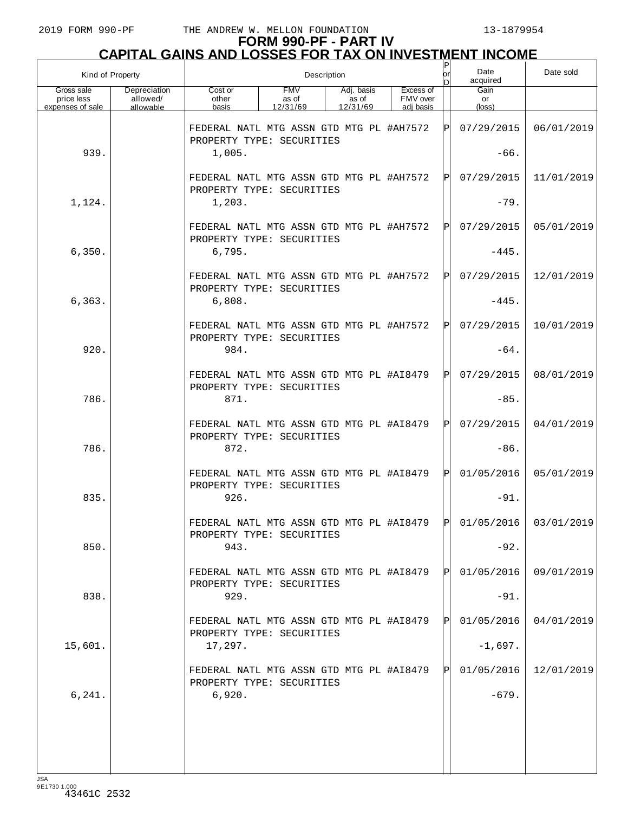| Kind of Property                             |                                       |                                                                       |                                 | Description                     |                                    | Ρ<br>or | Date<br>acquired                                                       | Date sold  |
|----------------------------------------------|---------------------------------------|-----------------------------------------------------------------------|---------------------------------|---------------------------------|------------------------------------|---------|------------------------------------------------------------------------|------------|
| Gross sale<br>price less<br>expenses of sale | Depreciation<br>allowed/<br>allowable | Cost or<br>other<br>basis                                             | <b>FMV</b><br>as of<br>12/31/69 | Adj. basis<br>as of<br>12/31/69 | Excess of<br>FMV over<br>adi basis |         | Gain<br>or<br>(loss)                                                   |            |
|                                              |                                       | FEDERAL NATL MTG ASSN GTD MTG PL #AH7572<br>PROPERTY TYPE: SECURITIES |                                 |                                 |                                    | ΙPΙ     | 07/29/2015                                                             | 06/01/2019 |
| 939.                                         |                                       | 1,005.                                                                |                                 |                                 |                                    |         | $-66.$                                                                 |            |
|                                              |                                       | FEDERAL NATL MTG ASSN GTD MTG PL #AH7572<br>PROPERTY TYPE: SECURITIES |                                 |                                 |                                    | ΙÞΙ     | 07/29/2015                                                             | 11/01/2019 |
| 1,124.                                       |                                       | 1,203.                                                                |                                 |                                 |                                    |         | $-79.$                                                                 |            |
|                                              |                                       | FEDERAL NATL MTG ASSN GTD MTG PL #AH7572<br>PROPERTY TYPE: SECURITIES |                                 |                                 |                                    | ΙÞΙ     | 07/29/2015                                                             | 05/01/2019 |
| 6,350.                                       |                                       | 6,795.                                                                |                                 |                                 |                                    |         | $-445.$                                                                |            |
|                                              |                                       | FEDERAL NATL MTG ASSN GTD MTG PL #AH7572<br>PROPERTY TYPE: SECURITIES |                                 |                                 |                                    | ΙÞΙ     | 07/29/2015                                                             | 12/01/2019 |
| 6, 363.                                      |                                       | 6,808.                                                                |                                 |                                 |                                    |         | $-445.$                                                                |            |
|                                              |                                       | FEDERAL NATL MTG ASSN GTD MTG PL #AH7572<br>PROPERTY TYPE: SECURITIES |                                 |                                 |                                    | ΙЫ      | 07/29/2015                                                             | 10/01/2019 |
| 920.                                         |                                       | 984.                                                                  |                                 |                                 |                                    |         | $-64.$                                                                 |            |
|                                              |                                       | FEDERAL NATL MTG ASSN GTD MTG PL #A18479<br>PROPERTY TYPE: SECURITIES |                                 |                                 |                                    | ΙÞΙ     | 07/29/2015                                                             | 08/01/2019 |
| 786.                                         |                                       | 871.                                                                  |                                 |                                 |                                    |         | $-85.$                                                                 |            |
|                                              |                                       | FEDERAL NATL MTG ASSN GTD MTG PL #A18479<br>PROPERTY TYPE: SECURITIES |                                 |                                 |                                    | ΙÞΙ     | 07/29/2015                                                             | 04/01/2019 |
| 786.                                         |                                       | 872.                                                                  |                                 |                                 |                                    |         | $-86.$                                                                 |            |
|                                              |                                       | FEDERAL NATL MTG ASSN GTD MTG PL #A18479<br>PROPERTY TYPE: SECURITIES |                                 |                                 |                                    | ΙÞΙ     | 01/05/2016                                                             | 05/01/2019 |
| 835.                                         |                                       | 926.                                                                  |                                 |                                 |                                    |         | $-91.$                                                                 |            |
|                                              |                                       | PROPERTY TYPE: SECURITIES                                             |                                 |                                 |                                    |         | FEDERAL NATL MTG ASSN GTD MTG PL #A18479 $ P $ 01/05/2016   03/01/2019 |            |
| 850.                                         |                                       | 943.                                                                  |                                 |                                 |                                    |         | $-92.$                                                                 |            |
|                                              |                                       | FEDERAL NATL MTG ASSN GTD MTG PL #A18479<br>PROPERTY TYPE: SECURITIES |                                 |                                 |                                    | IPI     | 01/05/2016                                                             | 09/01/2019 |
| 838.                                         |                                       | 929.                                                                  |                                 |                                 |                                    |         | $-91.$                                                                 |            |
|                                              |                                       | FEDERAL NATL MTG ASSN GTD MTG PL #AI8479<br>PROPERTY TYPE: SECURITIES |                                 |                                 |                                    | ΙЫ      | 01/05/2016                                                             | 04/01/2019 |
| 15,601.                                      |                                       | 17,297.                                                               |                                 |                                 |                                    |         | $-1,697.$                                                              |            |
|                                              |                                       | FEDERAL NATL MTG ASSN GTD MTG PL #A18479<br>PROPERTY TYPE: SECURITIES |                                 |                                 |                                    | ΙЫ      | 01/05/2016                                                             | 12/01/2019 |
| 6, 241.                                      |                                       | 6,920.                                                                |                                 |                                 |                                    |         | $-679.$                                                                |            |
|                                              |                                       |                                                                       |                                 |                                 |                                    |         |                                                                        |            |
|                                              |                                       |                                                                       |                                 |                                 |                                    |         |                                                                        |            |
| ICA                                          |                                       |                                                                       |                                 |                                 |                                    |         |                                                                        |            |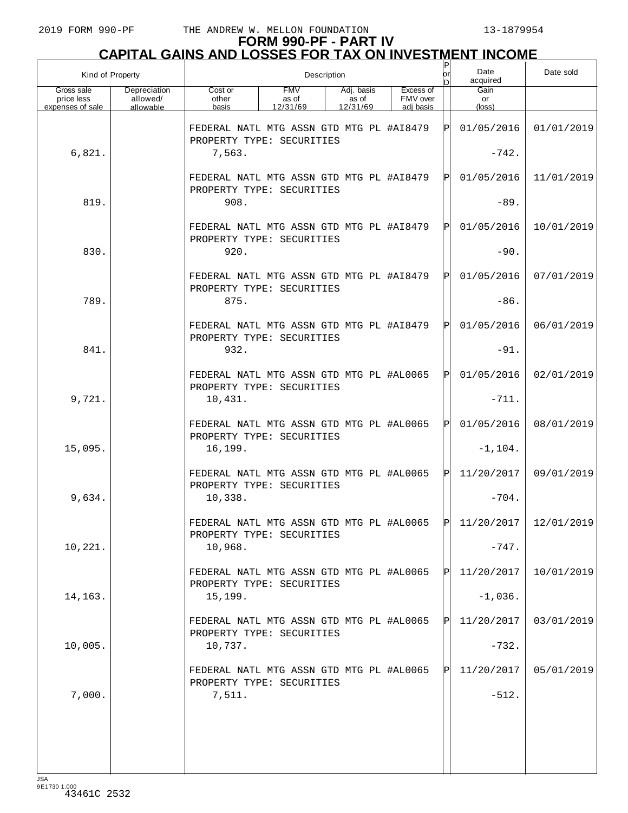| Kind of Property                             |                                       |                                                                       |                                 | Description                     |                                    | P<br>or | Date<br>acquired                                                              | Date sold  |
|----------------------------------------------|---------------------------------------|-----------------------------------------------------------------------|---------------------------------|---------------------------------|------------------------------------|---------|-------------------------------------------------------------------------------|------------|
| Gross sale<br>price less<br>expenses of sale | Depreciation<br>allowed/<br>allowable | Cost or<br>other<br>basis                                             | <b>FMV</b><br>as of<br>12/31/69 | Adj. basis<br>as of<br>12/31/69 | Excess of<br>FMV over<br>adi basis |         | Gain<br>or<br>(loss)                                                          |            |
|                                              |                                       | FEDERAL NATL MTG ASSN GTD MTG PL #A18479<br>PROPERTY TYPE: SECURITIES |                                 |                                 |                                    | ΙPΙ     | 01/05/2016                                                                    | 01/01/2019 |
| 6,821.                                       |                                       | 7,563.                                                                |                                 |                                 |                                    |         | $-742.$                                                                       |            |
|                                              |                                       | FEDERAL NATL MTG ASSN GTD MTG PL #A18479<br>PROPERTY TYPE: SECURITIES |                                 |                                 |                                    | ΙЫ      | 01/05/2016                                                                    | 11/01/2019 |
| 819.                                         |                                       | 908.                                                                  |                                 |                                 |                                    |         | $-89.$                                                                        |            |
|                                              |                                       | FEDERAL NATL MTG ASSN GTD MTG PL #A18479<br>PROPERTY TYPE: SECURITIES |                                 |                                 |                                    | ΙÞΙ     | 01/05/2016                                                                    | 10/01/2019 |
| 830.                                         |                                       | 920.                                                                  |                                 |                                 |                                    |         | $-90.$                                                                        |            |
|                                              |                                       | FEDERAL NATL MTG ASSN GTD MTG PL #A18479<br>PROPERTY TYPE: SECURITIES |                                 |                                 |                                    | ΙÞΙ     | 01/05/2016                                                                    | 07/01/2019 |
| 789.                                         |                                       | 875.                                                                  |                                 |                                 |                                    |         | $-86.$                                                                        |            |
|                                              |                                       | FEDERAL NATL MTG ASSN GTD MTG PL #A18479<br>PROPERTY TYPE: SECURITIES |                                 |                                 |                                    | ΙÞΙ     | 01/05/2016                                                                    | 06/01/2019 |
| 841.                                         |                                       | 932.                                                                  |                                 |                                 |                                    |         | $-91.$                                                                        |            |
|                                              |                                       | FEDERAL NATL MTG ASSN GTD MTG PL #AL0065<br>PROPERTY TYPE: SECURITIES |                                 |                                 |                                    | ΙÞΙ     | 01/05/2016                                                                    | 02/01/2019 |
| 9,721.                                       |                                       | 10,431.                                                               |                                 |                                 |                                    |         | $-711.$                                                                       |            |
|                                              |                                       | FEDERAL NATL MTG ASSN GTD MTG PL #AL0065<br>PROPERTY TYPE: SECURITIES |                                 |                                 |                                    | ΙPΙ     | 01/05/2016                                                                    | 08/01/2019 |
| 15,095.                                      |                                       | 16,199.                                                               |                                 |                                 |                                    |         | $-1, 104.$                                                                    |            |
|                                              |                                       | FEDERAL NATL MTG ASSN GTD MTG PL #AL0065<br>PROPERTY TYPE: SECURITIES |                                 |                                 |                                    | ΙÞΙ     | 11/20/2017                                                                    | 09/01/2019 |
| 9,634.                                       |                                       | 10,338.                                                               |                                 |                                 |                                    |         | $-704.$                                                                       |            |
|                                              |                                       | PROPERTY TYPE: SECURITIES                                             |                                 |                                 |                                    |         | FEDERAL NATL MTG ASSN GTD MTG PL #AL0065 $\overline{P}$ 11/20/2017 12/01/2019 |            |
| 10,221.                                      |                                       | 10,968.                                                               |                                 |                                 |                                    |         | $-747.$                                                                       |            |
|                                              |                                       | FEDERAL NATL MTG ASSN GTD MTG PL #AL0065<br>PROPERTY TYPE: SECURITIES |                                 |                                 |                                    | ΙPΙ     | 11/20/2017                                                                    | 10/01/2019 |
| 14,163.                                      |                                       | 15,199.                                                               |                                 |                                 |                                    |         | $-1,036.$                                                                     |            |
|                                              |                                       | FEDERAL NATL MTG ASSN GTD MTG PL #AL0065<br>PROPERTY TYPE: SECURITIES |                                 |                                 |                                    | ΙPΙ     | 11/20/2017                                                                    | 03/01/2019 |
| 10,005.                                      |                                       | 10,737.                                                               |                                 |                                 |                                    |         | $-732.$                                                                       |            |
|                                              |                                       | FEDERAL NATL MTG ASSN GTD MTG PL #AL0065<br>PROPERTY TYPE: SECURITIES |                                 |                                 |                                    | ΙPΙ     | 11/20/2017                                                                    | 05/01/2019 |
| 7,000.                                       |                                       | 7,511.                                                                |                                 |                                 |                                    |         | $-512.$                                                                       |            |
|                                              |                                       |                                                                       |                                 |                                 |                                    |         |                                                                               |            |
|                                              |                                       |                                                                       |                                 |                                 |                                    |         |                                                                               |            |
|                                              |                                       |                                                                       |                                 |                                 |                                    |         |                                                                               |            |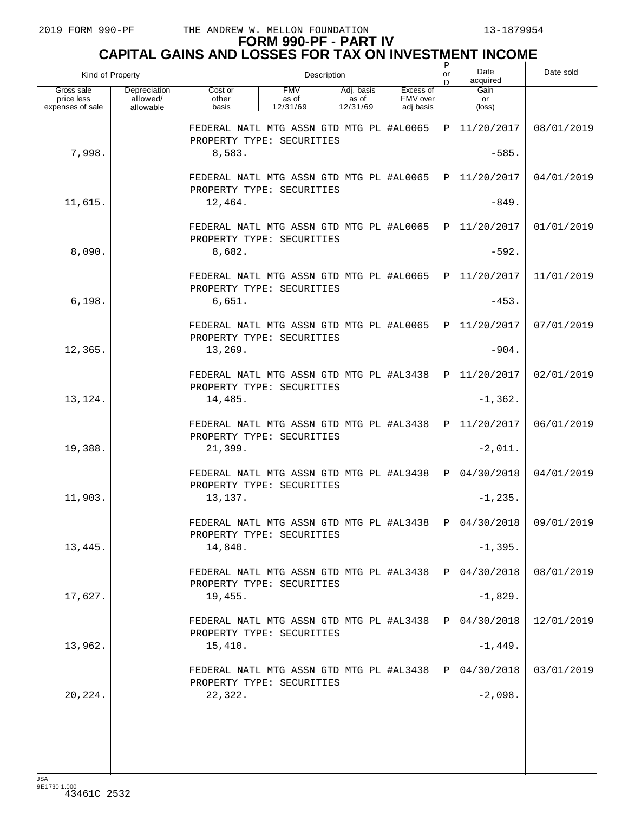| Kind of Property                             |                                       |                                                                                 |                                 | Description                     |                                    | P<br>lor | Date<br>acquired              | Date sold  |
|----------------------------------------------|---------------------------------------|---------------------------------------------------------------------------------|---------------------------------|---------------------------------|------------------------------------|----------|-------------------------------|------------|
| Gross sale<br>price less<br>expenses of sale | Depreciation<br>allowed/<br>allowable | Cost or<br>other<br>basis                                                       | <b>FMV</b><br>as of<br>12/31/69 | Adj. basis<br>as of<br>12/31/69 | Excess of<br>FMV over<br>adi basis |          | Gain<br>or<br>$(\text{loss})$ |            |
|                                              |                                       | FEDERAL NATL MTG ASSN GTD MTG PL #AL0065<br>PROPERTY TYPE: SECURITIES           |                                 |                                 |                                    | ΙPΙ      | 11/20/2017                    | 08/01/2019 |
| 7,998.                                       |                                       | 8,583.                                                                          |                                 |                                 |                                    |          | $-585.$                       |            |
|                                              |                                       | FEDERAL NATL MTG ASSN GTD MTG PL #AL0065<br>PROPERTY TYPE: SECURITIES           |                                 |                                 |                                    | ΙPΙ      | 11/20/2017                    | 04/01/2019 |
| 11,615.                                      |                                       | 12,464.                                                                         |                                 |                                 |                                    |          | $-849.$                       |            |
|                                              |                                       | FEDERAL NATL MTG ASSN GTD MTG PL #AL0065<br>PROPERTY TYPE: SECURITIES           |                                 |                                 |                                    | ΙPΙ      | 11/20/2017                    | 01/01/2019 |
| 8,090.                                       |                                       | 8,682.                                                                          |                                 |                                 |                                    |          | $-592.$                       |            |
| 6,198.                                       |                                       | FEDERAL NATL MTG ASSN GTD MTG PL #AL0065<br>PROPERTY TYPE: SECURITIES<br>6,651. |                                 |                                 |                                    | ΙPΙ      | 11/20/2017<br>$-453.$         | 11/01/2019 |
|                                              |                                       |                                                                                 |                                 |                                 |                                    |          |                               |            |
|                                              |                                       | FEDERAL NATL MTG ASSN GTD MTG PL #AL0065<br>PROPERTY TYPE: SECURITIES           |                                 |                                 |                                    | ΙPΙ      | 11/20/2017                    | 07/01/2019 |
| 12,365.                                      |                                       | 13,269.                                                                         |                                 |                                 |                                    |          | $-904.$                       |            |
|                                              |                                       | FEDERAL NATL MTG ASSN GTD MTG PL #AL3438<br>PROPERTY TYPE: SECURITIES           |                                 |                                 |                                    | ΙPΙ      | 11/20/2017                    | 02/01/2019 |
| 13,124.                                      |                                       | 14,485.                                                                         |                                 |                                 |                                    |          | $-1, 362.$                    |            |
|                                              |                                       | FEDERAL NATL MTG ASSN GTD MTG PL #AL3438<br>PROPERTY TYPE: SECURITIES           |                                 |                                 |                                    | ΙPΙ      | 11/20/2017                    | 06/01/2019 |
| 19,388.                                      |                                       | 21,399.                                                                         |                                 |                                 |                                    |          | $-2,011.$                     |            |
|                                              |                                       | FEDERAL NATL MTG ASSN GTD MTG PL #AL3438<br>PROPERTY TYPE: SECURITIES           |                                 |                                 |                                    | ΙPΙ      | 04/30/2018                    | 04/01/2019 |
| 11,903.                                      |                                       | 13,137.                                                                         |                                 |                                 |                                    |          | $-1, 235.$                    |            |
|                                              |                                       | FEDERAL NATL MTG ASSN GTD MTG PL #AL3438<br>PROPERTY TYPE: SECURITIES           |                                 |                                 |                                    | ld l     | $04/30/2018$ 09/01/2019       |            |
| 13,445.                                      |                                       | 14,840.                                                                         |                                 |                                 |                                    |          | $-1, 395.$                    |            |
|                                              |                                       | FEDERAL NATL MTG ASSN GTD MTG PL #AL3438<br>PROPERTY TYPE: SECURITIES           |                                 |                                 |                                    |          | 04/30/2018                    | 08/01/2019 |
| 17,627.                                      |                                       | 19,455.                                                                         |                                 |                                 |                                    |          | $-1,829.$                     |            |
|                                              |                                       | FEDERAL NATL MTG ASSN GTD MTG PL #AL3438<br>PROPERTY TYPE: SECURITIES           |                                 |                                 |                                    |          | 04/30/2018                    | 12/01/2019 |
| 13,962.                                      |                                       | 15,410.                                                                         |                                 |                                 |                                    |          | $-1,449.$                     |            |
|                                              |                                       | FEDERAL NATL MTG ASSN GTD MTG PL #AL3438<br>PROPERTY TYPE: SECURITIES           |                                 |                                 |                                    |          | 04/30/2018                    | 03/01/2019 |
| 20,224.                                      |                                       | 22,322.                                                                         |                                 |                                 |                                    |          | $-2,098.$                     |            |
|                                              |                                       |                                                                                 |                                 |                                 |                                    |          |                               |            |
|                                              |                                       |                                                                                 |                                 |                                 |                                    |          |                               |            |
| $I \subseteq \Delta$                         |                                       |                                                                                 |                                 |                                 |                                    |          |                               |            |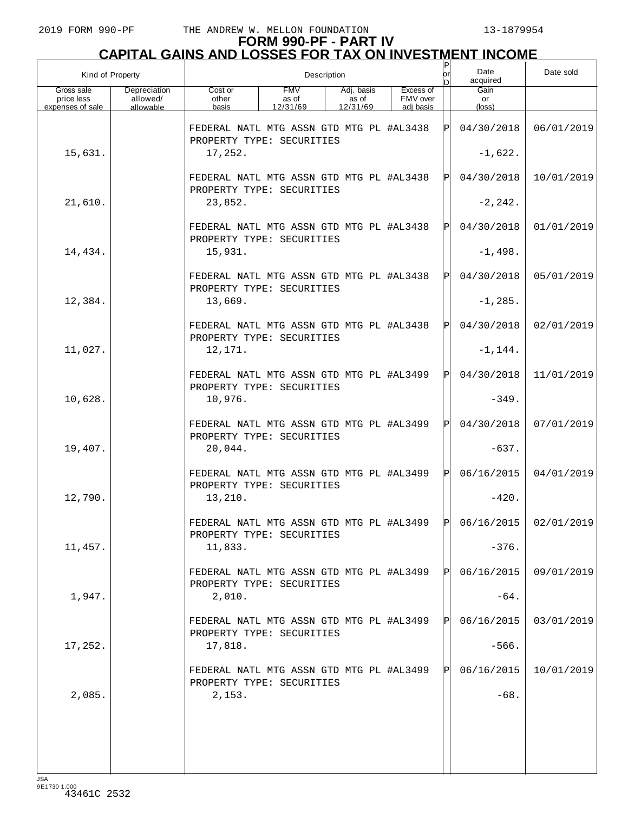| Kind of Property                             |                                       |                                                                          |                                 | Description                     |                                    |     | Date<br>acquired     | Date sold               |
|----------------------------------------------|---------------------------------------|--------------------------------------------------------------------------|---------------------------------|---------------------------------|------------------------------------|-----|----------------------|-------------------------|
| Gross sale<br>price less<br>expenses of sale | Depreciation<br>allowed/<br>allowable | Cost or<br>other<br>basis                                                | <b>FMV</b><br>as of<br>12/31/69 | Adj. basis<br>as of<br>12/31/69 | Excess of<br>FMV over<br>adj basis |     | Gain<br>or<br>(loss) |                         |
|                                              |                                       | FEDERAL NATL MTG ASSN GTD MTG PL #AL3438<br>PROPERTY TYPE: SECURITIES    |                                 |                                 |                                    | ΙPΙ | 04/30/2018           | 06/01/2019              |
| 15,631.                                      |                                       | 17,252.                                                                  |                                 |                                 |                                    |     | $-1,622.$            |                         |
|                                              |                                       | FEDERAL NATL MTG ASSN GTD MTG PL #AL3438<br>PROPERTY TYPE: SECURITIES    |                                 |                                 |                                    | ΙPΙ | 04/30/2018           | 10/01/2019              |
| 21,610.                                      |                                       | 23,852.                                                                  |                                 |                                 |                                    |     | $-2, 242.$           |                         |
|                                              |                                       | FEDERAL NATL MTG ASSN GTD MTG PL #AL3438<br>PROPERTY TYPE: SECURITIES    |                                 |                                 |                                    | ΙPΙ | 04/30/2018           | 01/01/2019              |
| 14,434.                                      |                                       | 15,931.                                                                  |                                 |                                 |                                    |     | $-1,498.$            |                         |
|                                              |                                       | FEDERAL NATL MTG ASSN GTD MTG PL #AL3438<br>PROPERTY TYPE: SECURITIES    |                                 |                                 |                                    | ΙPΙ | 04/30/2018           | 05/01/2019              |
| 12,384.                                      |                                       | 13,669.                                                                  |                                 |                                 |                                    |     | $-1, 285.$           |                         |
|                                              |                                       | FEDERAL NATL MTG ASSN GTD MTG PL #AL3438<br>PROPERTY TYPE: SECURITIES    |                                 |                                 |                                    | ΙPΙ | 04/30/2018           | 02/01/2019              |
| 11,027.                                      |                                       | 12,171.                                                                  |                                 |                                 |                                    |     | $-1, 144.$           |                         |
|                                              |                                       | FEDERAL NATL MTG ASSN GTD MTG PL #AL3499<br>PROPERTY TYPE: SECURITIES    |                                 |                                 |                                    | ΙPΙ | 04/30/2018           | 11/01/2019              |
| 10,628.                                      |                                       | 10,976.                                                                  |                                 |                                 |                                    |     | $-349.$              |                         |
|                                              |                                       | FEDERAL NATL MTG ASSN GTD MTG PL #AL3499<br>PROPERTY TYPE: SECURITIES    |                                 |                                 |                                    | ΙPΙ | 04/30/2018           | 07/01/2019              |
| 19,407.                                      |                                       | 20,044.                                                                  |                                 |                                 |                                    |     | $-637.$              |                         |
|                                              |                                       | FEDERAL NATL MTG ASSN GTD MTG PL #AL3499<br>PROPERTY TYPE: SECURITIES    |                                 |                                 |                                    | ΙÞΙ | 06/16/2015           | 04/01/2019              |
| 12,790.                                      |                                       | 13,210.                                                                  |                                 |                                 |                                    |     | $-420.$              |                         |
|                                              |                                       | FEDERAL NATL MTG ASSN GTD MTG PL #AL3499  P<br>PROPERTY TYPE: SECURITIES |                                 |                                 |                                    |     |                      | $06/16/2015$ 02/01/2019 |
| 11,457.                                      |                                       | 11,833.                                                                  |                                 |                                 |                                    |     | $-376.$              |                         |
|                                              |                                       | FEDERAL NATL MTG ASSN GTD MTG PL #AL3499<br>PROPERTY TYPE: SECURITIES    |                                 |                                 |                                    | ΙPΙ | 06/16/2015           | 09/01/2019              |
| 1,947.                                       |                                       | 2,010.                                                                   |                                 |                                 |                                    |     | $-64.$               |                         |
|                                              |                                       | FEDERAL NATL MTG ASSN GTD MTG PL #AL3499<br>PROPERTY TYPE: SECURITIES    |                                 |                                 |                                    | ΙЫ  | 06/16/2015           | 03/01/2019              |
| 17,252.                                      |                                       | 17,818.                                                                  |                                 |                                 |                                    |     | $-566.$              |                         |
|                                              |                                       | FEDERAL NATL MTG ASSN GTD MTG PL #AL3499<br>PROPERTY TYPE: SECURITIES    |                                 |                                 |                                    | ΙPΙ | 06/16/2015           | 10/01/2019              |
| 2,085.                                       |                                       | 2,153.                                                                   |                                 |                                 |                                    |     | $-68.$               |                         |
|                                              |                                       |                                                                          |                                 |                                 |                                    |     |                      |                         |
|                                              |                                       |                                                                          |                                 |                                 |                                    |     |                      |                         |
|                                              |                                       |                                                                          |                                 |                                 |                                    |     |                      |                         |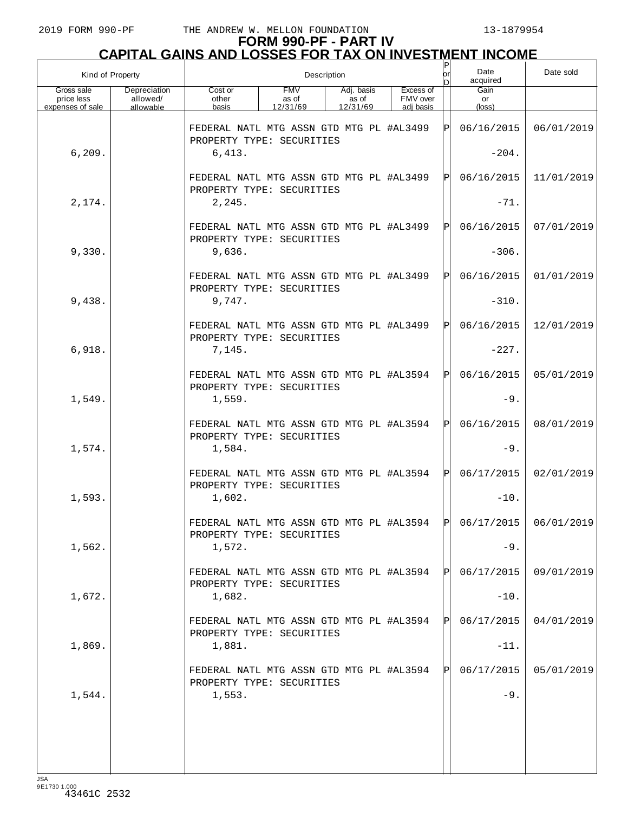| Kind of Property                             |                                       |                                                                       |                                 | Description                     |                                    | or   | Date<br>acquired                                                       | Date sold  |
|----------------------------------------------|---------------------------------------|-----------------------------------------------------------------------|---------------------------------|---------------------------------|------------------------------------|------|------------------------------------------------------------------------|------------|
| Gross sale<br>price less<br>expenses of sale | Depreciation<br>allowed/<br>allowable | Cost or<br>other<br>basis                                             | <b>FMV</b><br>as of<br>12/31/69 | Adj. basis<br>as of<br>12/31/69 | Excess of<br>FMV over<br>adi basis |      | Gain<br>or<br>$(\text{loss})$                                          |            |
|                                              |                                       | FEDERAL NATL MTG ASSN GTD MTG PL #AL3499<br>PROPERTY TYPE: SECURITIES |                                 |                                 |                                    | ΙÞΙ  | 06/16/2015                                                             | 06/01/2019 |
| 6, 209.                                      |                                       | 6,413.                                                                |                                 |                                 |                                    |      | $-204.$                                                                |            |
|                                              |                                       | FEDERAL NATL MTG ASSN GTD MTG PL #AL3499<br>PROPERTY TYPE: SECURITIES |                                 |                                 |                                    | ΙЫ   | 06/16/2015                                                             | 11/01/2019 |
| 2,174.                                       |                                       | 2, 245.                                                               |                                 |                                 |                                    |      | $-71.$                                                                 |            |
|                                              |                                       | FEDERAL NATL MTG ASSN GTD MTG PL #AL3499<br>PROPERTY TYPE: SECURITIES |                                 |                                 |                                    | ΙЫ   | 06/16/2015                                                             | 07/01/2019 |
| 9,330.                                       |                                       | 9,636.                                                                |                                 |                                 |                                    |      | $-306.$                                                                |            |
|                                              |                                       | FEDERAL NATL MTG ASSN GTD MTG PL #AL3499<br>PROPERTY TYPE: SECURITIES |                                 |                                 |                                    | ΙЫ   | 06/16/2015                                                             | 01/01/2019 |
| 9,438.                                       |                                       | 9,747.                                                                |                                 |                                 |                                    |      | $-310.$                                                                |            |
|                                              |                                       | FEDERAL NATL MTG ASSN GTD MTG PL #AL3499<br>PROPERTY TYPE: SECURITIES |                                 |                                 |                                    | ΙЫ   | 06/16/2015                                                             | 12/01/2019 |
| 6,918.                                       |                                       | 7,145.                                                                |                                 |                                 |                                    |      | $-227.$                                                                |            |
|                                              |                                       | FEDERAL NATL MTG ASSN GTD MTG PL #AL3594<br>PROPERTY TYPE: SECURITIES |                                 |                                 |                                    | IPI  | 06/16/2015                                                             | 05/01/2019 |
| 1,549.                                       |                                       | 1,559.                                                                |                                 |                                 |                                    |      | $-9.$                                                                  |            |
|                                              |                                       | FEDERAL NATL MTG ASSN GTD MTG PL #AL3594<br>PROPERTY TYPE: SECURITIES |                                 |                                 |                                    | IPI. | 06/16/2015                                                             | 08/01/2019 |
| 1,574.                                       |                                       | 1,584.                                                                |                                 |                                 |                                    |      | $-9.$                                                                  |            |
|                                              |                                       | FEDERAL NATL MTG ASSN GTD MTG PL #AL3594<br>PROPERTY TYPE: SECURITIES |                                 |                                 |                                    | IPI. | 06/17/2015                                                             | 02/01/2019 |
| 1,593.                                       |                                       | 1,602.                                                                |                                 |                                 |                                    |      | $-10.$                                                                 |            |
|                                              |                                       | PROPERTY TYPE: SECURITIES                                             |                                 |                                 |                                    |      | FEDERAL NATL MTG ASSN GTD MTG PL #AL3594 $ P $ 06/17/2015   06/01/2019 |            |
| 1,562.                                       |                                       | 1,572.                                                                |                                 |                                 |                                    |      | $-9.$                                                                  |            |
|                                              |                                       | FEDERAL NATL MTG ASSN GTD MTG PL #AL3594<br>PROPERTY TYPE: SECURITIES |                                 |                                 |                                    | IPL  | 06/17/2015                                                             | 09/01/2019 |
| 1,672.                                       |                                       | 1,682.                                                                |                                 |                                 |                                    |      | $-10.$                                                                 |            |
|                                              |                                       | FEDERAL NATL MTG ASSN GTD MTG PL #AL3594<br>PROPERTY TYPE: SECURITIES |                                 |                                 |                                    | ΙPΙ  | 06/17/2015                                                             | 04/01/2019 |
| 1,869.                                       |                                       | 1,881.                                                                |                                 |                                 |                                    |      | $-11.$                                                                 |            |
|                                              |                                       | FEDERAL NATL MTG ASSN GTD MTG PL #AL3594<br>PROPERTY TYPE: SECURITIES |                                 |                                 |                                    | IPL  | 06/17/2015                                                             | 05/01/2019 |
| 1,544.                                       |                                       | 1,553.                                                                |                                 |                                 |                                    |      | $-9.$                                                                  |            |
|                                              |                                       |                                                                       |                                 |                                 |                                    |      |                                                                        |            |
|                                              |                                       |                                                                       |                                 |                                 |                                    |      |                                                                        |            |
|                                              |                                       |                                                                       |                                 |                                 |                                    |      |                                                                        |            |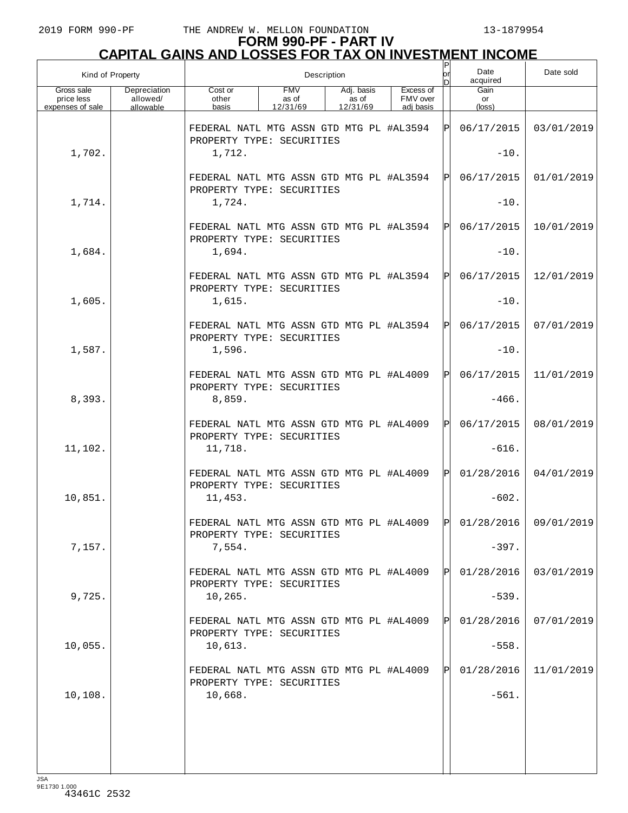| Kind of Property                             |                                       |                                                                       |                                 | Description                     |                                    | Ρ<br>or | Date<br>acquired                                                       | Date sold  |
|----------------------------------------------|---------------------------------------|-----------------------------------------------------------------------|---------------------------------|---------------------------------|------------------------------------|---------|------------------------------------------------------------------------|------------|
| Gross sale<br>price less<br>expenses of sale | Depreciation<br>allowed/<br>allowable | Cost or<br>other<br>basis                                             | <b>FMV</b><br>as of<br>12/31/69 | Adj. basis<br>as of<br>12/31/69 | Excess of<br>FMV over<br>adi basis |         | Gain<br>or<br>$(\text{loss})$                                          |            |
|                                              |                                       | FEDERAL NATL MTG ASSN GTD MTG PL #AL3594<br>PROPERTY TYPE: SECURITIES |                                 |                                 |                                    | ΙPΙ     | 06/17/2015                                                             | 03/01/2019 |
| 1,702.                                       |                                       | 1,712.                                                                |                                 |                                 |                                    |         | $-10.$                                                                 |            |
|                                              |                                       | FEDERAL NATL MTG ASSN GTD MTG PL #AL3594<br>PROPERTY TYPE: SECURITIES |                                 |                                 |                                    | ΙPΙ     | 06/17/2015                                                             | 01/01/2019 |
| 1,714.                                       |                                       | 1,724.                                                                |                                 |                                 |                                    |         | $-10.$                                                                 |            |
|                                              |                                       | FEDERAL NATL MTG ASSN GTD MTG PL #AL3594<br>PROPERTY TYPE: SECURITIES |                                 |                                 |                                    | ΙPΙ     | 06/17/2015                                                             | 10/01/2019 |
| 1,684.                                       |                                       | 1,694.                                                                |                                 |                                 |                                    |         | $-10.$                                                                 |            |
|                                              |                                       | FEDERAL NATL MTG ASSN GTD MTG PL #AL3594<br>PROPERTY TYPE: SECURITIES |                                 |                                 |                                    | ΙPΙ     | 06/17/2015                                                             | 12/01/2019 |
| 1,605.                                       |                                       | 1,615.                                                                |                                 |                                 |                                    |         | $-10.$                                                                 |            |
|                                              |                                       | FEDERAL NATL MTG ASSN GTD MTG PL #AL3594<br>PROPERTY TYPE: SECURITIES |                                 |                                 |                                    | ΙPΙ     | 06/17/2015                                                             | 07/01/2019 |
| 1,587.                                       |                                       | 1,596.                                                                |                                 |                                 |                                    |         | $-10.$                                                                 |            |
|                                              |                                       | FEDERAL NATL MTG ASSN GTD MTG PL #AL4009<br>PROPERTY TYPE: SECURITIES |                                 |                                 |                                    | ΙPΙ     | 06/17/2015                                                             | 11/01/2019 |
| 8,393.                                       |                                       | 8,859.                                                                |                                 |                                 |                                    |         | $-466.$                                                                |            |
|                                              |                                       | FEDERAL NATL MTG ASSN GTD MTG PL #AL4009<br>PROPERTY TYPE: SECURITIES |                                 |                                 |                                    | ΙÞΙ     | 06/17/2015                                                             | 08/01/2019 |
| 11,102.                                      |                                       | 11,718.                                                               |                                 |                                 |                                    |         | $-616.$                                                                |            |
|                                              |                                       | FEDERAL NATL MTG ASSN GTD MTG PL #AL4009<br>PROPERTY TYPE: SECURITIES |                                 |                                 |                                    | ΙPΙ     | 01/28/2016                                                             | 04/01/2019 |
| 10,851.                                      |                                       | 11,453.                                                               |                                 |                                 |                                    |         | $-602.$                                                                |            |
|                                              |                                       | PROPERTY TYPE: SECURITIES                                             |                                 |                                 |                                    |         | FEDERAL NATL MTG ASSN GTD MTG PL #AL4009 $ P $ 01/28/2016   09/01/2019 |            |
| 7,157.                                       |                                       | 7,554.                                                                |                                 |                                 |                                    |         | $-397.$                                                                |            |
|                                              |                                       | FEDERAL NATL MTG ASSN GTD MTG PL #AL4009<br>PROPERTY TYPE: SECURITIES |                                 |                                 |                                    | ΙPΙ     | 01/28/2016                                                             | 03/01/2019 |
| 9,725.                                       |                                       | 10, 265.                                                              |                                 |                                 |                                    |         | $-539.$                                                                |            |
|                                              |                                       | FEDERAL NATL MTG ASSN GTD MTG PL #AL4009<br>PROPERTY TYPE: SECURITIES |                                 |                                 |                                    | ΙPΙ     | 01/28/2016                                                             | 07/01/2019 |
| 10,055.                                      |                                       | 10,613.                                                               |                                 |                                 |                                    |         | $-558.$                                                                |            |
|                                              |                                       | FEDERAL NATL MTG ASSN GTD MTG PL #AL4009<br>PROPERTY TYPE: SECURITIES |                                 |                                 |                                    | ΙPΙ     | 01/28/2016                                                             | 11/01/2019 |
| 10,108.                                      |                                       | 10,668.                                                               |                                 |                                 |                                    |         | $-561.$                                                                |            |
|                                              |                                       |                                                                       |                                 |                                 |                                    |         |                                                                        |            |
|                                              |                                       |                                                                       |                                 |                                 |                                    |         |                                                                        |            |
| $I \subseteq \Delta$                         |                                       |                                                                       |                                 |                                 |                                    |         |                                                                        |            |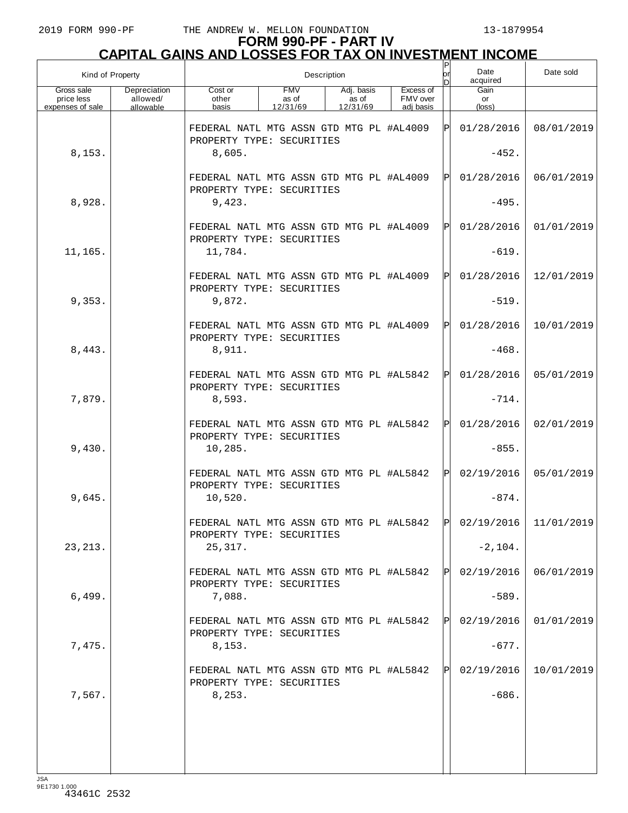| Kind of Property                             |                                       |                                                                                 |                                 | Description                     |                                    | P<br>lor | Date<br>acquired              | Date sold               |
|----------------------------------------------|---------------------------------------|---------------------------------------------------------------------------------|---------------------------------|---------------------------------|------------------------------------|----------|-------------------------------|-------------------------|
| Gross sale<br>price less<br>expenses of sale | Depreciation<br>allowed/<br>allowable | Cost or<br>other<br>basis                                                       | <b>FMV</b><br>as of<br>12/31/69 | Adj. basis<br>as of<br>12/31/69 | Excess of<br>FMV over<br>adi basis |          | Gain<br>or<br>$(\text{loss})$ |                         |
|                                              |                                       | FEDERAL NATL MTG ASSN GTD MTG PL #AL4009<br>PROPERTY TYPE: SECURITIES           |                                 |                                 |                                    | ΙPΙ      | 01/28/2016                    | 08/01/2019              |
| 8,153.                                       |                                       | 8,605.                                                                          |                                 |                                 |                                    |          | $-452.$                       |                         |
|                                              |                                       | FEDERAL NATL MTG ASSN GTD MTG PL #AL4009<br>PROPERTY TYPE: SECURITIES           |                                 |                                 |                                    | ΙPΙ      | 01/28/2016                    | 06/01/2019              |
| 8,928.                                       |                                       | 9,423.                                                                          |                                 |                                 |                                    |          | $-495.$                       |                         |
|                                              |                                       | FEDERAL NATL MTG ASSN GTD MTG PL #AL4009<br>PROPERTY TYPE: SECURITIES           |                                 |                                 |                                    | ΙPΙ      | 01/28/2016                    | 01/01/2019              |
| 11,165.                                      |                                       | 11,784.                                                                         |                                 |                                 |                                    |          | $-619.$                       |                         |
| 9,353.                                       |                                       | FEDERAL NATL MTG ASSN GTD MTG PL #AL4009<br>PROPERTY TYPE: SECURITIES<br>9,872. |                                 |                                 |                                    | ΙPΙ      | 01/28/2016<br>$-519.$         | 12/01/2019              |
|                                              |                                       |                                                                                 |                                 |                                 |                                    |          | 01/28/2016                    |                         |
|                                              |                                       | FEDERAL NATL MTG ASSN GTD MTG PL #AL4009<br>PROPERTY TYPE: SECURITIES           |                                 |                                 |                                    | ΙPΙ      |                               | 10/01/2019              |
| 8,443.                                       |                                       | 8,911.                                                                          |                                 |                                 |                                    |          | $-468.$                       |                         |
|                                              |                                       | FEDERAL NATL MTG ASSN GTD MTG PL #AL5842<br>PROPERTY TYPE: SECURITIES           |                                 |                                 |                                    |          | 01/28/2016                    | 05/01/2019              |
| 7,879.                                       |                                       | 8,593.                                                                          |                                 |                                 |                                    |          | $-714.$                       |                         |
|                                              |                                       | FEDERAL NATL MTG ASSN GTD MTG PL #AL5842<br>PROPERTY TYPE: SECURITIES           |                                 |                                 |                                    | ΙPΙ      | 01/28/2016                    | 02/01/2019              |
| 9,430.                                       |                                       | 10, 285.                                                                        |                                 |                                 |                                    |          | $-855.$                       |                         |
|                                              |                                       | FEDERAL NATL MTG ASSN GTD MTG PL #AL5842<br>PROPERTY TYPE: SECURITIES           |                                 |                                 |                                    |          | 02/19/2016                    | 05/01/2019              |
| 9,645.                                       |                                       | 10,520.                                                                         |                                 |                                 |                                    |          | $-874.$                       |                         |
|                                              |                                       | FEDERAL NATL MTG ASSN GTD MTG PL #AL5842<br>PROPERTY TYPE: SECURITIES           |                                 |                                 |                                    | ldl.     |                               | $02/19/2016$ 11/01/2019 |
| 23, 213.                                     |                                       | 25,317.                                                                         |                                 |                                 |                                    |          | $-2,104.$                     |                         |
|                                              |                                       | FEDERAL NATL MTG ASSN GTD MTG PL #AL5842<br>PROPERTY TYPE: SECURITIES           |                                 |                                 |                                    |          | 02/19/2016                    | 06/01/2019              |
| 6,499.                                       |                                       | 7,088.                                                                          |                                 |                                 |                                    |          | $-589.$                       |                         |
|                                              |                                       | FEDERAL NATL MTG ASSN GTD MTG PL #AL5842<br>PROPERTY TYPE: SECURITIES           |                                 |                                 |                                    |          | 02/19/2016                    | 01/01/2019              |
| 7,475.                                       |                                       | 8,153.                                                                          |                                 |                                 |                                    |          | $-677.$                       |                         |
|                                              |                                       | FEDERAL NATL MTG ASSN GTD MTG PL #AL5842<br>PROPERTY TYPE: SECURITIES           |                                 |                                 |                                    |          | 02/19/2016                    | 10/01/2019              |
| 7,567.                                       |                                       | 8, 253.                                                                         |                                 |                                 |                                    |          | $-686.$                       |                         |
|                                              |                                       |                                                                                 |                                 |                                 |                                    |          |                               |                         |
|                                              |                                       |                                                                                 |                                 |                                 |                                    |          |                               |                         |
|                                              |                                       |                                                                                 |                                 |                                 |                                    |          |                               |                         |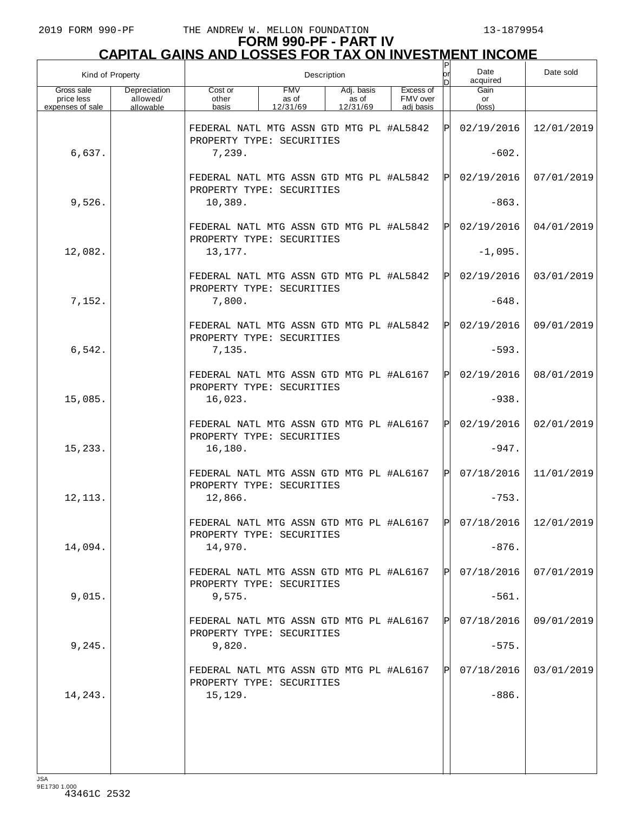| Kind of Property                             |                                       |                                                                                  |                                 | Description                     |                                    | Ρ<br>or     | Date<br>acquired      | Date sold               |
|----------------------------------------------|---------------------------------------|----------------------------------------------------------------------------------|---------------------------------|---------------------------------|------------------------------------|-------------|-----------------------|-------------------------|
| Gross sale<br>price less<br>expenses of sale | Depreciation<br>allowed/<br>allowable | Cost or<br>other<br>basis                                                        | <b>FMV</b><br>as of<br>12/31/69 | Adj. basis<br>as of<br>12/31/69 | Excess of<br>FMV over<br>adj basis |             | Gain<br>or<br>(loss)  |                         |
|                                              |                                       | FEDERAL NATL MTG ASSN GTD MTG PL #AL5842<br>PROPERTY TYPE: SECURITIES            |                                 |                                 |                                    | ΙPΙ         | 02/19/2016            | 12/01/2019              |
| 6,637.                                       |                                       | 7,239.                                                                           |                                 |                                 |                                    |             | $-602.$               |                         |
|                                              |                                       | FEDERAL NATL MTG ASSN GTD MTG PL #AL5842<br>PROPERTY TYPE: SECURITIES            |                                 |                                 |                                    | ΙPΙ         | 02/19/2016            | 07/01/2019              |
| 9,526.                                       |                                       | 10,389.                                                                          |                                 |                                 |                                    |             | $-863.$               |                         |
|                                              |                                       | FEDERAL NATL MTG ASSN GTD MTG PL #AL5842<br>PROPERTY TYPE: SECURITIES            |                                 |                                 |                                    | ΙPΙ         | 02/19/2016            | 04/01/2019              |
| 12,082.                                      |                                       | 13,177.                                                                          |                                 |                                 |                                    |             | $-1,095.$             |                         |
|                                              |                                       | FEDERAL NATL MTG ASSN GTD MTG PL #AL5842<br>PROPERTY TYPE: SECURITIES            |                                 |                                 |                                    | Pl          | 02/19/2016            | 03/01/2019              |
| 7,152.                                       |                                       | 7,800.                                                                           |                                 |                                 |                                    |             | $-648.$               |                         |
|                                              |                                       | FEDERAL NATL MTG ASSN GTD MTG PL #AL5842<br>PROPERTY TYPE: SECURITIES            |                                 |                                 |                                    | Pl          | 02/19/2016            | 09/01/2019              |
| 6,542.                                       |                                       | 7,135.                                                                           |                                 |                                 |                                    |             | $-593.$               |                         |
|                                              |                                       | FEDERAL NATL MTG ASSN GTD MTG PL #AL6167<br>PROPERTY TYPE: SECURITIES            |                                 |                                 |                                    | $\mathbf P$ | 02/19/2016            | 08/01/2019              |
| 15,085.                                      |                                       | 16,023.                                                                          |                                 |                                 |                                    |             | $-938.$               |                         |
|                                              |                                       | FEDERAL NATL MTG ASSN GTD MTG PL #AL6167<br>PROPERTY TYPE: SECURITIES            |                                 |                                 |                                    | ΙPΙ         | 02/19/2016            | 02/01/2019              |
| 15,233.                                      |                                       | 16,180.                                                                          |                                 |                                 |                                    |             | $-947.$<br>07/18/2016 | 11/01/2019              |
| 12, 113.                                     |                                       | FEDERAL NATL MTG ASSN GTD MTG PL #AL6167<br>PROPERTY TYPE: SECURITIES<br>12,866. |                                 |                                 |                                    | $\mathbf P$ | $-753.$               |                         |
|                                              |                                       | FEDERAL NATL MTG ASSN GTD MTG PL #AL6167                                         |                                 |                                 |                                    | l pl        |                       | $07/18/2016$ 12/01/2019 |
| 14,094.                                      |                                       | PROPERTY TYPE: SECURITIES<br>14,970.                                             |                                 |                                 |                                    |             | $-876.$               |                         |
|                                              |                                       | FEDERAL NATL MTG ASSN GTD MTG PL #AL6167                                         |                                 |                                 |                                    |             | 07/18/2016            | 07/01/2019              |
| 9,015.                                       |                                       | PROPERTY TYPE: SECURITIES<br>9,575.                                              |                                 |                                 |                                    |             | $-561.$               |                         |
|                                              |                                       | FEDERAL NATL MTG ASSN GTD MTG PL #AL6167                                         |                                 |                                 |                                    | ΙPΙ         | 07/18/2016            | 09/01/2019              |
| 9,245.                                       |                                       | PROPERTY TYPE: SECURITIES<br>9,820.                                              |                                 |                                 |                                    |             | $-575.$               |                         |
|                                              |                                       | FEDERAL NATL MTG ASSN GTD MTG PL #AL6167                                         |                                 |                                 |                                    |             | 07/18/2016            | 03/01/2019              |
| 14,243.                                      |                                       | PROPERTY TYPE: SECURITIES<br>15,129.                                             |                                 |                                 |                                    |             | $-886.$               |                         |
|                                              |                                       |                                                                                  |                                 |                                 |                                    |             |                       |                         |
|                                              |                                       |                                                                                  |                                 |                                 |                                    |             |                       |                         |
| 194                                          |                                       |                                                                                  |                                 |                                 |                                    |             |                       |                         |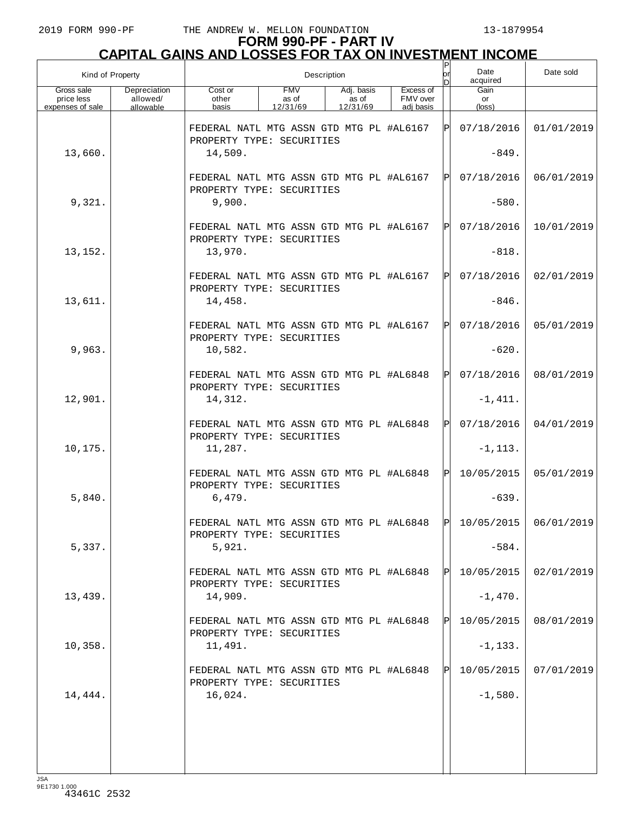| Kind of Property                             |                                       |                                                                       |                                 | Description                     |                                    | $\sf P$<br>lor<br>n | Date<br>acquired              | Date sold  |
|----------------------------------------------|---------------------------------------|-----------------------------------------------------------------------|---------------------------------|---------------------------------|------------------------------------|---------------------|-------------------------------|------------|
| Gross sale<br>price less<br>expenses of sale | Depreciation<br>allowed/<br>allowable | Cost or<br>other<br>basis                                             | <b>FMV</b><br>as of<br>12/31/69 | Adj. basis<br>as of<br>12/31/69 | Excess of<br>FMV over<br>adi basis |                     | Gain<br>or<br>$(\text{loss})$ |            |
|                                              |                                       | FEDERAL NATL MTG ASSN GTD MTG PL #AL6167<br>PROPERTY TYPE: SECURITIES |                                 |                                 |                                    | ΙP                  | 07/18/2016                    | 01/01/2019 |
| 13,660.                                      |                                       | 14,509.                                                               |                                 |                                 |                                    |                     | $-849.$                       |            |
|                                              |                                       | FEDERAL NATL MTG ASSN GTD MTG PL #AL6167<br>PROPERTY TYPE: SECURITIES |                                 |                                 |                                    | ΙPΙ                 | 07/18/2016                    | 06/01/2019 |
| 9,321.                                       |                                       | 9,900.                                                                |                                 |                                 |                                    |                     | $-580.$                       |            |
|                                              |                                       | FEDERAL NATL MTG ASSN GTD MTG PL #AL6167<br>PROPERTY TYPE: SECURITIES |                                 |                                 |                                    | ΙPΙ                 | 07/18/2016                    | 10/01/2019 |
| 13,152.                                      |                                       | 13,970.                                                               |                                 |                                 |                                    |                     | $-818.$                       |            |
|                                              |                                       | FEDERAL NATL MTG ASSN GTD MTG PL #AL6167<br>PROPERTY TYPE: SECURITIES |                                 |                                 |                                    | ΙPΙ                 | 07/18/2016                    | 02/01/2019 |
| 13,611.                                      |                                       | 14,458.                                                               |                                 |                                 |                                    |                     | $-846.$                       |            |
|                                              |                                       | FEDERAL NATL MTG ASSN GTD MTG PL #AL6167<br>PROPERTY TYPE: SECURITIES |                                 |                                 |                                    | ΙPΙ                 | 07/18/2016                    | 05/01/2019 |
| 9,963.                                       |                                       | 10,582.                                                               |                                 |                                 |                                    |                     | $-620.$                       |            |
|                                              |                                       | FEDERAL NATL MTG ASSN GTD MTG PL #AL6848<br>PROPERTY TYPE: SECURITIES |                                 |                                 |                                    | ΙPΙ                 | 07/18/2016                    | 08/01/2019 |
| 12,901.                                      |                                       | 14,312.                                                               |                                 |                                 |                                    |                     | $-1, 411.$                    |            |
|                                              |                                       | FEDERAL NATL MTG ASSN GTD MTG PL #AL6848<br>PROPERTY TYPE: SECURITIES |                                 |                                 |                                    | ΙPΙ                 | 07/18/2016                    | 04/01/2019 |
| 10,175.                                      |                                       | 11,287.                                                               |                                 |                                 |                                    |                     | $-1, 113.$                    |            |
|                                              |                                       | FEDERAL NATL MTG ASSN GTD MTG PL #AL6848<br>PROPERTY TYPE: SECURITIES |                                 |                                 |                                    | ΙPΙ                 | 10/05/2015                    | 05/01/2019 |
| 5,840.                                       |                                       | 6,479.                                                                |                                 |                                 |                                    |                     | $-639.$                       |            |
|                                              |                                       | FEDERAL NATL MTG ASSN GTD MTG PL #AL6848<br>PROPERTY TYPE: SECURITIES |                                 |                                 |                                    | l DI                | $10/05/2015$ 06/01/2019       |            |
| 5,337.                                       |                                       | 5,921.                                                                |                                 |                                 |                                    |                     | $-584.$                       |            |
|                                              |                                       | FEDERAL NATL MTG ASSN GTD MTG PL #AL6848<br>PROPERTY TYPE: SECURITIES |                                 |                                 |                                    | IPI                 | 10/05/2015                    | 02/01/2019 |
| 13,439.                                      |                                       | 14,909.                                                               |                                 |                                 |                                    |                     | $-1,470.$                     |            |
|                                              |                                       | FEDERAL NATL MTG ASSN GTD MTG PL #AL6848<br>PROPERTY TYPE: SECURITIES |                                 |                                 |                                    | IPI                 | 10/05/2015                    | 08/01/2019 |
| 10,358.                                      |                                       | 11,491.                                                               |                                 |                                 |                                    |                     | $-1, 133.$                    |            |
|                                              |                                       | FEDERAL NATL MTG ASSN GTD MTG PL #AL6848<br>PROPERTY TYPE: SECURITIES |                                 |                                 |                                    | IPI                 | 10/05/2015                    | 07/01/2019 |
| 14,444.                                      |                                       | 16,024.                                                               |                                 |                                 |                                    |                     | $-1,580.$                     |            |
|                                              |                                       |                                                                       |                                 |                                 |                                    |                     |                               |            |
|                                              |                                       |                                                                       |                                 |                                 |                                    |                     |                               |            |
| LSA                                          |                                       |                                                                       |                                 |                                 |                                    |                     |                               |            |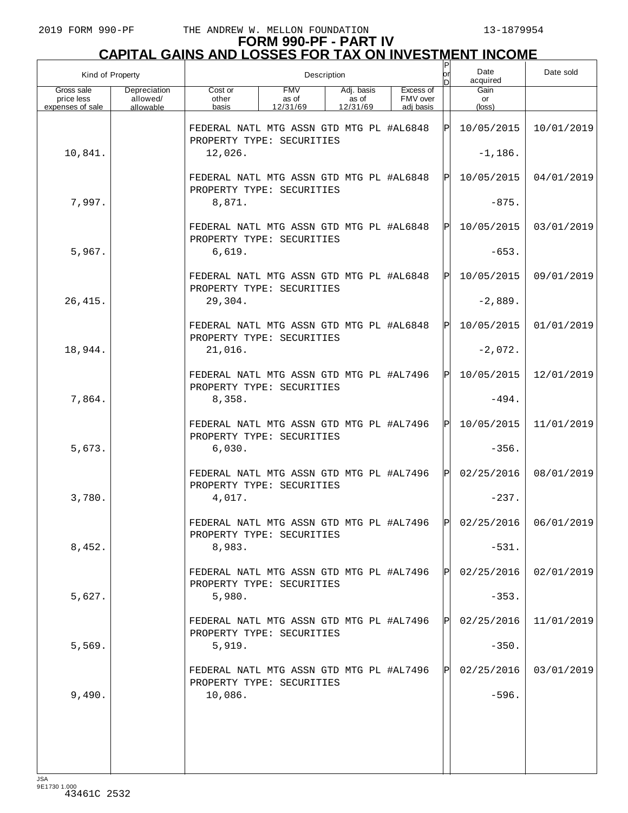| Kind of Property                             |                                       |                                                                       |                                 | Description                     |                                    | or  | Date<br>acquired                                                         | Date sold  |
|----------------------------------------------|---------------------------------------|-----------------------------------------------------------------------|---------------------------------|---------------------------------|------------------------------------|-----|--------------------------------------------------------------------------|------------|
| Gross sale<br>price less<br>expenses of sale | Depreciation<br>allowed/<br>allowable | Cost or<br>other<br>basis                                             | <b>FMV</b><br>as of<br>12/31/69 | Adj. basis<br>as of<br>12/31/69 | Excess of<br>FMV over<br>adi basis |     | Gain<br>or<br>$(\text{loss})$                                            |            |
|                                              |                                       | FEDERAL NATL MTG ASSN GTD MTG PL #AL6848<br>PROPERTY TYPE: SECURITIES |                                 |                                 |                                    |     | 10/05/2015                                                               | 10/01/2019 |
| 10,841.                                      |                                       | 12,026.                                                               |                                 |                                 |                                    |     | $-1,186.$                                                                |            |
|                                              |                                       | FEDERAL NATL MTG ASSN GTD MTG PL #AL6848<br>PROPERTY TYPE: SECURITIES |                                 |                                 |                                    | ΙPΙ | 10/05/2015                                                               | 04/01/2019 |
| 7,997.                                       |                                       | 8,871.                                                                |                                 |                                 |                                    |     | $-875.$                                                                  |            |
|                                              |                                       | FEDERAL NATL MTG ASSN GTD MTG PL #AL6848<br>PROPERTY TYPE: SECURITIES |                                 |                                 |                                    | ΙÞΙ | 10/05/2015                                                               | 03/01/2019 |
| 5,967.                                       |                                       | 6,619.                                                                |                                 |                                 |                                    |     | $-653.$                                                                  |            |
|                                              |                                       | FEDERAL NATL MTG ASSN GTD MTG PL #AL6848<br>PROPERTY TYPE: SECURITIES |                                 |                                 |                                    | ΙPΙ | 10/05/2015                                                               | 09/01/2019 |
| 26, 415.                                     |                                       | 29,304.                                                               |                                 |                                 |                                    |     | $-2,889.$                                                                |            |
|                                              |                                       | FEDERAL NATL MTG ASSN GTD MTG PL #AL6848<br>PROPERTY TYPE: SECURITIES |                                 |                                 |                                    | ΙPΙ | 10/05/2015                                                               | 01/01/2019 |
| 18,944.                                      |                                       | 21,016.                                                               |                                 |                                 |                                    |     | $-2,072.$                                                                |            |
|                                              |                                       | FEDERAL NATL MTG ASSN GTD MTG PL #AL7496<br>PROPERTY TYPE: SECURITIES |                                 |                                 |                                    | ΙPΙ | 10/05/2015                                                               | 12/01/2019 |
| 7,864.                                       |                                       | 8,358.                                                                |                                 |                                 |                                    |     | $-494.$                                                                  |            |
|                                              |                                       | FEDERAL NATL MTG ASSN GTD MTG PL #AL7496<br>PROPERTY TYPE: SECURITIES |                                 |                                 |                                    | ΙPΙ | 10/05/2015                                                               | 11/01/2019 |
| 5,673.                                       |                                       | 6,030.                                                                |                                 |                                 |                                    |     | $-356.$                                                                  |            |
|                                              |                                       | FEDERAL NATL MTG ASSN GTD MTG PL #AL7496<br>PROPERTY TYPE: SECURITIES |                                 |                                 |                                    | ΙPΙ | 02/25/2016                                                               | 08/01/2019 |
| 3,780.                                       |                                       | 4,017.                                                                |                                 |                                 |                                    |     | $-237.$                                                                  |            |
|                                              |                                       | PROPERTY TYPE: SECURITIES                                             |                                 |                                 |                                    |     | FEDERAL NATL MTG ASSN GTD MTG PL #AL7496 $\vert$ P 02/25/2016 06/01/2019 |            |
| 8,452.                                       |                                       | 8,983.                                                                |                                 |                                 |                                    |     | $-531.$                                                                  |            |
|                                              |                                       | FEDERAL NATL MTG ASSN GTD MTG PL #AL7496<br>PROPERTY TYPE: SECURITIES |                                 |                                 |                                    |     | 02/25/2016                                                               | 02/01/2019 |
| 5,627.                                       |                                       | 5,980.                                                                |                                 |                                 |                                    |     | $-353.$                                                                  |            |
|                                              |                                       | FEDERAL NATL MTG ASSN GTD MTG PL #AL7496<br>PROPERTY TYPE: SECURITIES |                                 |                                 |                                    |     | 02/25/2016                                                               | 11/01/2019 |
| 5,569.                                       |                                       | 5,919.                                                                |                                 |                                 |                                    |     | $-350.$                                                                  |            |
|                                              |                                       | FEDERAL NATL MTG ASSN GTD MTG PL #AL7496<br>PROPERTY TYPE: SECURITIES |                                 |                                 |                                    | IPI | 02/25/2016                                                               | 03/01/2019 |
| 9,490.                                       |                                       | 10,086.                                                               |                                 |                                 |                                    |     | $-596.$                                                                  |            |
|                                              |                                       |                                                                       |                                 |                                 |                                    |     |                                                                          |            |
|                                              |                                       |                                                                       |                                 |                                 |                                    |     |                                                                          |            |
| $I \subseteq \Delta$                         |                                       |                                                                       |                                 |                                 |                                    |     |                                                                          |            |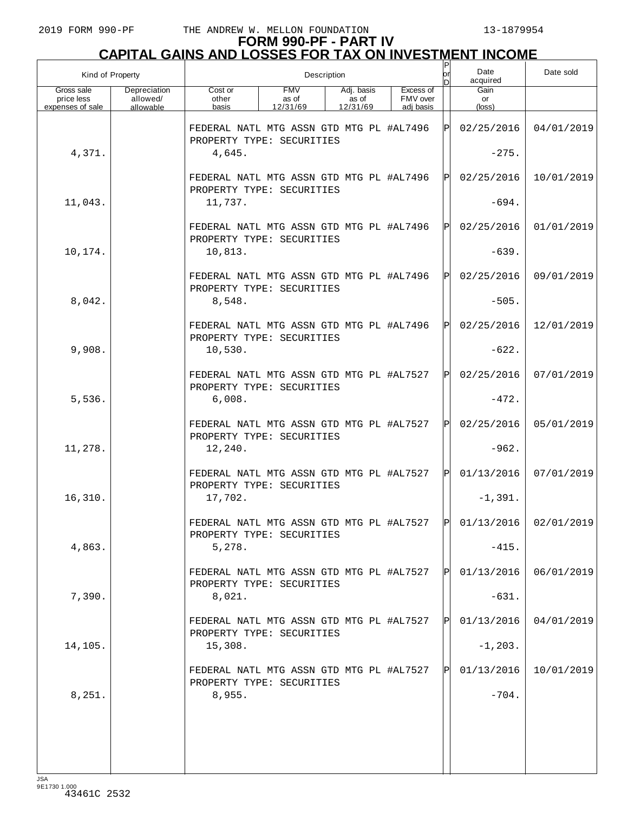| Kind of Property                             |                                       |                                                                       |                                 | Description                     |                                    | Ρ<br>lor               | Date<br>acquired              | Date sold               |
|----------------------------------------------|---------------------------------------|-----------------------------------------------------------------------|---------------------------------|---------------------------------|------------------------------------|------------------------|-------------------------------|-------------------------|
| Gross sale<br>price less<br>expenses of sale | Depreciation<br>allowed/<br>allowable | Cost or<br>other<br>basis                                             | <b>FMV</b><br>as of<br>12/31/69 | Adj. basis<br>as of<br>12/31/69 | Excess of<br>FMV over<br>adj basis |                        | Gain<br>or<br>$(\text{loss})$ |                         |
|                                              |                                       | FEDERAL NATL MTG ASSN GTD MTG PL #AL7496<br>PROPERTY TYPE: SECURITIES |                                 |                                 |                                    | ΙPΙ                    | 02/25/2016                    | 04/01/2019              |
| 4,371.                                       |                                       | 4,645.                                                                |                                 |                                 |                                    |                        | $-275.$                       |                         |
|                                              |                                       | FEDERAL NATL MTG ASSN GTD MTG PL #AL7496<br>PROPERTY TYPE: SECURITIES |                                 |                                 |                                    | $\mathsf{P}\mathsf{P}$ | 02/25/2016                    | 10/01/2019              |
| 11,043.                                      |                                       | 11,737.                                                               |                                 |                                 |                                    |                        | $-694.$                       |                         |
|                                              |                                       | FEDERAL NATL MTG ASSN GTD MTG PL #AL7496<br>PROPERTY TYPE: SECURITIES |                                 |                                 |                                    | ΙPΙ                    | 02/25/2016                    | 01/01/2019              |
| 10,174.                                      |                                       | 10,813.                                                               |                                 |                                 |                                    |                        | $-639.$                       |                         |
|                                              |                                       | FEDERAL NATL MTG ASSN GTD MTG PL #AL7496<br>PROPERTY TYPE: SECURITIES |                                 |                                 |                                    | $\mathbf P$            | 02/25/2016                    | 09/01/2019              |
| 8,042.                                       |                                       | 8,548.                                                                |                                 |                                 |                                    |                        | $-505.$                       |                         |
|                                              |                                       | FEDERAL NATL MTG ASSN GTD MTG PL #AL7496<br>PROPERTY TYPE: SECURITIES |                                 |                                 |                                    | Pl                     | 02/25/2016                    | 12/01/2019              |
| 9,908.                                       |                                       | 10,530.                                                               |                                 |                                 |                                    |                        | $-622.$                       |                         |
|                                              |                                       | FEDERAL NATL MTG ASSN GTD MTG PL #AL7527<br>PROPERTY TYPE: SECURITIES |                                 |                                 |                                    | $\mathbf P$            | 02/25/2016                    | 07/01/2019              |
| 5,536.                                       |                                       | 6,008.<br>FEDERAL NATL MTG ASSN GTD MTG PL #AL7527                    |                                 |                                 |                                    | ΙPΙ                    | $-472.$<br>02/25/2016         | 05/01/2019              |
| 11,278.                                      |                                       | PROPERTY TYPE: SECURITIES<br>12,240.                                  |                                 |                                 |                                    |                        | $-962.$                       |                         |
|                                              |                                       | FEDERAL NATL MTG ASSN GTD MTG PL #AL7527                              |                                 |                                 |                                    | $\mathbf P$            | 01/13/2016                    | 07/01/2019              |
| 16,310.                                      |                                       | PROPERTY TYPE: SECURITIES<br>17,702.                                  |                                 |                                 |                                    |                        | $-1,391.$                     |                         |
|                                              |                                       | FEDERAL NATL MTG ASSN GTD MTG PL #AL7527                              |                                 |                                 |                                    | ldl                    |                               | $01/13/2016$ 02/01/2019 |
| 4,863.                                       |                                       | PROPERTY TYPE: SECURITIES<br>5,278.                                   |                                 |                                 |                                    |                        | $-415.$                       |                         |
|                                              |                                       | FEDERAL NATL MTG ASSN GTD MTG PL #AL7527                              |                                 |                                 |                                    |                        | 01/13/2016                    | 06/01/2019              |
| 7,390.                                       |                                       | PROPERTY TYPE: SECURITIES<br>8,021.                                   |                                 |                                 |                                    |                        | $-631.$                       |                         |
|                                              |                                       | FEDERAL NATL MTG ASSN GTD MTG PL #AL7527                              |                                 |                                 |                                    | $\mathbb{P}$           | 01/13/2016                    | 04/01/2019              |
| 14,105.                                      |                                       | PROPERTY TYPE: SECURITIES<br>15,308.                                  |                                 |                                 |                                    |                        | $-1, 203.$                    |                         |
|                                              |                                       | FEDERAL NATL MTG ASSN GTD MTG PL #AL7527<br>PROPERTY TYPE: SECURITIES |                                 |                                 |                                    |                        | 01/13/2016                    | 10/01/2019              |
| 8,251.                                       |                                       | 8,955.                                                                |                                 |                                 |                                    |                        | $-704.$                       |                         |
|                                              |                                       |                                                                       |                                 |                                 |                                    |                        |                               |                         |
|                                              |                                       |                                                                       |                                 |                                 |                                    |                        |                               |                         |
| 194                                          |                                       |                                                                       |                                 |                                 |                                    |                        |                               |                         |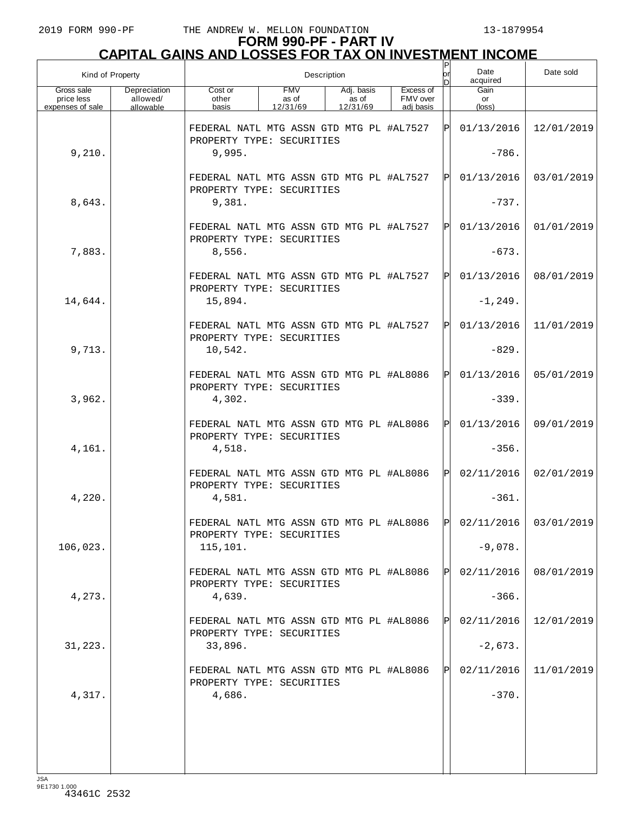| Kind of Property                             |                                       |                                                                                  |                                 | Description                     |                                    | Ρ<br>lor          | Date<br>acquired              | Date sold               |
|----------------------------------------------|---------------------------------------|----------------------------------------------------------------------------------|---------------------------------|---------------------------------|------------------------------------|-------------------|-------------------------------|-------------------------|
| Gross sale<br>price less<br>expenses of sale | Depreciation<br>allowed/<br>allowable | Cost or<br>other<br>basis                                                        | <b>FMV</b><br>as of<br>12/31/69 | Adj. basis<br>as of<br>12/31/69 | Excess of<br>FMV over<br>adj basis |                   | Gain<br>or<br>$(\text{loss})$ |                         |
|                                              |                                       | FEDERAL NATL MTG ASSN GTD MTG PL #AL7527<br>PROPERTY TYPE: SECURITIES            |                                 |                                 |                                    | ΙPΙ               | 01/13/2016                    | 12/01/2019              |
| 9,210.                                       |                                       | 9,995.                                                                           |                                 |                                 |                                    |                   | $-786.$                       |                         |
|                                              |                                       | FEDERAL NATL MTG ASSN GTD MTG PL #AL7527<br>PROPERTY TYPE: SECURITIES            |                                 |                                 |                                    | $\mathsf{P}\vert$ | 01/13/2016                    | 03/01/2019              |
| 8,643.                                       |                                       | 9,381.                                                                           |                                 |                                 |                                    |                   | $-737.$                       |                         |
|                                              |                                       | FEDERAL NATL MTG ASSN GTD MTG PL #AL7527<br>PROPERTY TYPE: SECURITIES            |                                 |                                 |                                    | ΙPΙ               | 01/13/2016                    | 01/01/2019              |
| 7,883.                                       |                                       | 8,556.                                                                           |                                 |                                 |                                    |                   | $-673.$                       |                         |
|                                              |                                       | FEDERAL NATL MTG ASSN GTD MTG PL #AL7527<br>PROPERTY TYPE: SECURITIES            |                                 |                                 |                                    | ΙPΙ               | 01/13/2016                    | 08/01/2019              |
| 14,644.                                      |                                       | 15,894.                                                                          |                                 |                                 |                                    |                   | $-1, 249.$                    |                         |
| 9,713.                                       |                                       | FEDERAL NATL MTG ASSN GTD MTG PL #AL7527<br>PROPERTY TYPE: SECURITIES<br>10,542. |                                 |                                 |                                    | ΙPΙ               | 01/13/2016<br>$-829.$         | 11/01/2019              |
|                                              |                                       | FEDERAL NATL MTG ASSN GTD MTG PL #AL8086                                         |                                 |                                 |                                    | $\mathbf P$       | 01/13/2016                    | 05/01/2019              |
| 3,962.                                       |                                       | PROPERTY TYPE: SECURITIES<br>4,302.                                              |                                 |                                 |                                    |                   | $-339.$                       |                         |
|                                              |                                       | FEDERAL NATL MTG ASSN GTD MTG PL #AL8086                                         |                                 |                                 |                                    | $\mathbf P$       | 01/13/2016                    | 09/01/2019              |
| 4,161.                                       |                                       | PROPERTY TYPE: SECURITIES<br>4,518.                                              |                                 |                                 |                                    |                   | $-356.$                       |                         |
|                                              |                                       | FEDERAL NATL MTG ASSN GTD MTG PL #AL8086<br>PROPERTY TYPE: SECURITIES            |                                 |                                 |                                    | $\mathbf P$       | 02/11/2016                    | 02/01/2019              |
| 4,220.                                       |                                       | 4,581.                                                                           |                                 |                                 |                                    |                   | $-361.$                       |                         |
|                                              |                                       | FEDERAL NATL MTG ASSN GTD MTG PL #AL8086<br>PROPERTY TYPE: SECURITIES            |                                 |                                 |                                    | l pl              |                               | $02/11/2016$ 03/01/2019 |
| 106,023.                                     |                                       | 115,101.                                                                         |                                 |                                 |                                    |                   | $-9,078.$                     |                         |
|                                              |                                       | FEDERAL NATL MTG ASSN GTD MTG PL #AL8086<br>PROPERTY TYPE: SECURITIES            |                                 |                                 |                                    |                   | 02/11/2016                    | 08/01/2019              |
| 4,273.                                       |                                       | 4,639.                                                                           |                                 |                                 |                                    |                   | $-366.$                       |                         |
|                                              |                                       | FEDERAL NATL MTG ASSN GTD MTG PL #AL8086<br>PROPERTY TYPE: SECURITIES            |                                 |                                 |                                    | $\mathbb{P}$      | 02/11/2016                    | 12/01/2019              |
| 31, 223.                                     |                                       | 33,896.<br>FEDERAL NATL MTG ASSN GTD MTG PL #AL8086                              |                                 |                                 |                                    |                   | $-2,673.$<br>02/11/2016       | 11/01/2019              |
| 4,317.                                       |                                       | PROPERTY TYPE: SECURITIES<br>4,686.                                              |                                 |                                 |                                    |                   | $-370.$                       |                         |
|                                              |                                       |                                                                                  |                                 |                                 |                                    |                   |                               |                         |
|                                              |                                       |                                                                                  |                                 |                                 |                                    |                   |                               |                         |
| 194                                          |                                       |                                                                                  |                                 |                                 |                                    |                   |                               |                         |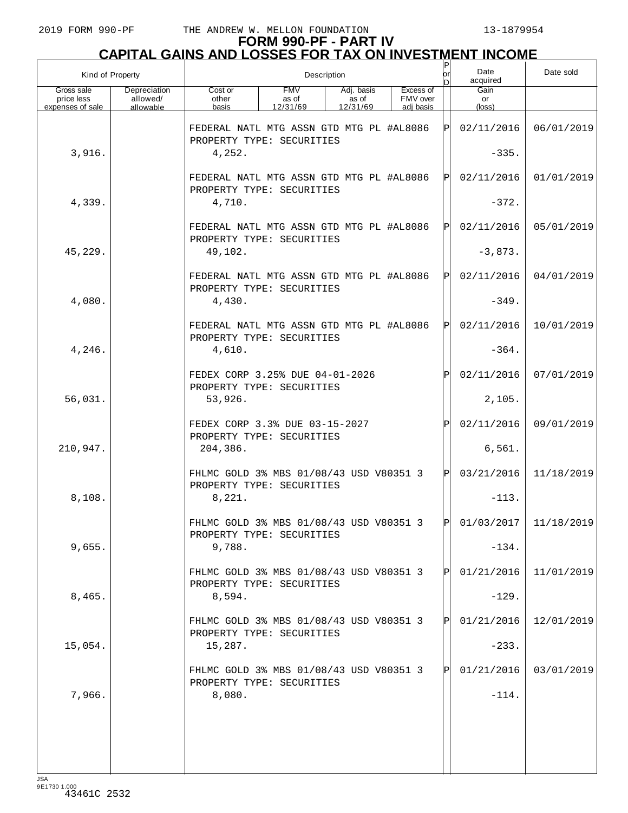| Kind of Property                             |                                       |                                                                       | Description                     |                                 | lor                                | Date<br>acquired | Date sold               |            |
|----------------------------------------------|---------------------------------------|-----------------------------------------------------------------------|---------------------------------|---------------------------------|------------------------------------|------------------|-------------------------|------------|
| Gross sale<br>price less<br>expenses of sale | Depreciation<br>allowed/<br>allowable | Cost or<br>other<br>basis                                             | <b>FMV</b><br>as of<br>12/31/69 | Adj. basis<br>as of<br>12/31/69 | Excess of<br>FMV over<br>adi basis |                  | Gain<br>or<br>(loss)    |            |
|                                              |                                       | FEDERAL NATL MTG ASSN GTD MTG PL #AL8086<br>PROPERTY TYPE: SECURITIES |                                 |                                 |                                    | ΙÞΙ              | 02/11/2016              | 06/01/2019 |
| 3,916.                                       |                                       | 4,252.                                                                |                                 |                                 |                                    |                  | $-335.$                 |            |
|                                              |                                       | FEDERAL NATL MTG ASSN GTD MTG PL #AL8086<br>PROPERTY TYPE: SECURITIES |                                 |                                 |                                    | ΙЫ               | 02/11/2016              | 01/01/2019 |
| 4,339.                                       |                                       | 4,710.                                                                |                                 |                                 |                                    |                  | $-372.$                 |            |
|                                              |                                       | FEDERAL NATL MTG ASSN GTD MTG PL #AL8086<br>PROPERTY TYPE: SECURITIES |                                 |                                 |                                    | ΙЫ               | 02/11/2016              | 05/01/2019 |
| 45,229.                                      |                                       | 49,102.                                                               |                                 |                                 |                                    |                  | $-3,873.$               |            |
|                                              |                                       | FEDERAL NATL MTG ASSN GTD MTG PL #AL8086<br>PROPERTY TYPE: SECURITIES |                                 |                                 |                                    | ΙЫ               | 02/11/2016              | 04/01/2019 |
| 4,080.                                       |                                       | 4,430.                                                                |                                 |                                 |                                    |                  | $-349.$                 |            |
|                                              |                                       | FEDERAL NATL MTG ASSN GTD MTG PL #AL8086<br>PROPERTY TYPE: SECURITIES |                                 |                                 |                                    | ΙЫ               | 02/11/2016              | 10/01/2019 |
| 4,246.                                       |                                       | 4.610.                                                                |                                 |                                 |                                    |                  | $-364.$                 |            |
|                                              |                                       | FEDEX CORP 3.25% DUE 04-01-2026<br>PROPERTY TYPE: SECURITIES          |                                 |                                 |                                    | ΙÞΙ              | 02/11/2016              | 07/01/2019 |
| 56,031.                                      |                                       | 53,926.                                                               |                                 |                                 |                                    |                  | 2,105.                  |            |
|                                              |                                       | FEDEX CORP 3.3% DUE 03-15-2027<br>PROPERTY TYPE: SECURITIES           |                                 |                                 |                                    | ΙÞΙ              | 02/11/2016              | 09/01/2019 |
| 210,947.                                     |                                       | 204,386.                                                              |                                 |                                 |                                    |                  | 6,561.                  |            |
|                                              |                                       | FHLMC GOLD 3% MBS 01/08/43 USD V80351 3<br>PROPERTY TYPE: SECURITIES  |                                 |                                 |                                    | ΙÞΙ              | 03/21/2016              | 11/18/2019 |
| 8,108.                                       |                                       | 8,221.                                                                |                                 |                                 |                                    |                  | $-113.$                 |            |
|                                              |                                       | FHLMC GOLD 3% MBS 01/08/43 USD V80351 3<br>PROPERTY TYPE: SECURITIES  |                                 |                                 |                                    | וסו              | $01/03/2017$ 11/18/2019 |            |
| 9,655.                                       |                                       | 9,788.                                                                |                                 |                                 |                                    |                  | $-134.$                 |            |
|                                              |                                       | FHLMC GOLD 3% MBS 01/08/43 USD V80351 3<br>PROPERTY TYPE: SECURITIES  |                                 |                                 |                                    | ΙЫ               | 01/21/2016              | 11/01/2019 |
| 8,465.                                       |                                       | 8,594.                                                                |                                 |                                 |                                    |                  | $-129.$                 |            |
|                                              |                                       | FHLMC GOLD 3% MBS 01/08/43 USD V80351 3<br>PROPERTY TYPE: SECURITIES  |                                 |                                 |                                    | ΙЫ               | 01/21/2016              | 12/01/2019 |
| 15,054.                                      |                                       | 15,287.                                                               |                                 |                                 |                                    |                  | $-233.$                 |            |
|                                              |                                       | FHLMC GOLD 3% MBS 01/08/43 USD V80351 3<br>PROPERTY TYPE: SECURITIES  |                                 |                                 |                                    | ΙЫ               | 01/21/2016              | 03/01/2019 |
| 7,966.                                       |                                       | 8,080.                                                                |                                 |                                 |                                    |                  | $-114.$                 |            |
|                                              |                                       |                                                                       |                                 |                                 |                                    |                  |                         |            |
|                                              |                                       |                                                                       |                                 |                                 |                                    |                  |                         |            |
|                                              |                                       |                                                                       |                                 |                                 |                                    |                  |                         |            |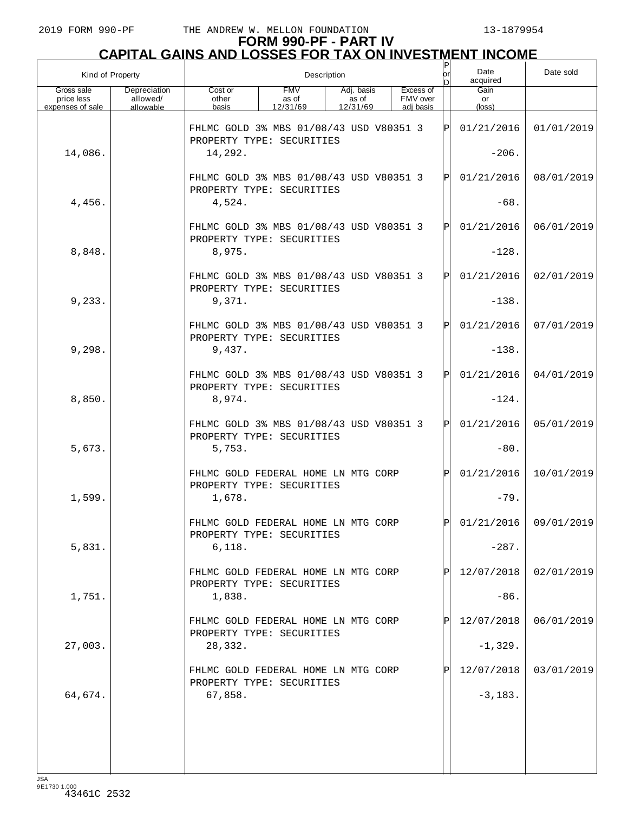| Kind of Property                             |                                       |                                                                                |                                 | Description                     |                                    | Ρ<br>or | Date<br>acquired              | Date sold               |
|----------------------------------------------|---------------------------------------|--------------------------------------------------------------------------------|---------------------------------|---------------------------------|------------------------------------|---------|-------------------------------|-------------------------|
| Gross sale<br>price less<br>expenses of sale | Depreciation<br>allowed/<br>allowable | Cost or<br>other<br>basis                                                      | <b>FMV</b><br>as of<br>12/31/69 | Adj. basis<br>as of<br>12/31/69 | Excess of<br>FMV over<br>adi basis |         | Gain<br>or<br>$(\text{loss})$ |                         |
|                                              |                                       | FHLMC GOLD 3% MBS 01/08/43 USD V80351 3<br>PROPERTY TYPE: SECURITIES           |                                 |                                 |                                    | ΙPΙ     | 01/21/2016                    | 01/01/2019              |
| 14,086.                                      |                                       | 14,292.                                                                        |                                 |                                 |                                    |         | $-206.$                       |                         |
|                                              |                                       | FHLMC GOLD 3% MBS 01/08/43 USD V80351 3<br>PROPERTY TYPE: SECURITIES           |                                 |                                 |                                    | ΙÞΙ     | 01/21/2016                    | 08/01/2019              |
| 4,456.                                       |                                       | 4,524.                                                                         |                                 |                                 |                                    |         | $-68.$                        |                         |
|                                              |                                       | FHLMC GOLD 3% MBS 01/08/43 USD V80351 3<br>PROPERTY TYPE: SECURITIES           |                                 |                                 |                                    | ΙÞΙ     | 01/21/2016                    | 06/01/2019              |
| 8,848.                                       |                                       | 8,975.                                                                         |                                 |                                 |                                    |         | $-128.$                       |                         |
| 9,233.                                       |                                       | FHLMC GOLD 3% MBS 01/08/43 USD V80351 3<br>PROPERTY TYPE: SECURITIES<br>9,371. |                                 |                                 |                                    | ΙÞΙ     | 01/21/2016<br>$-138.$         | 02/01/2019              |
|                                              |                                       |                                                                                |                                 |                                 |                                    |         |                               |                         |
|                                              |                                       | FHLMC GOLD 3% MBS 01/08/43 USD V80351 3<br>PROPERTY TYPE: SECURITIES           |                                 |                                 |                                    | ΙÞΙ     | 01/21/2016                    | 07/01/2019              |
| 9,298.                                       |                                       | 9,437.                                                                         |                                 |                                 |                                    |         | $-138.$                       |                         |
|                                              |                                       | FHLMC GOLD 3% MBS 01/08/43 USD V80351 3<br>PROPERTY TYPE: SECURITIES           |                                 |                                 |                                    | ΙÞΙ     | 01/21/2016                    | 04/01/2019              |
| 8,850.                                       |                                       | 8,974.                                                                         |                                 |                                 |                                    |         | $-124.$                       |                         |
|                                              |                                       | FHLMC GOLD 3% MBS 01/08/43 USD V80351 3<br>PROPERTY TYPE: SECURITIES           |                                 |                                 |                                    | ΙÞΙ     | 01/21/2016                    | 05/01/2019              |
| 5,673.                                       |                                       | 5,753.                                                                         |                                 |                                 |                                    |         | $-80.$                        |                         |
|                                              |                                       | FHLMC GOLD FEDERAL HOME LN MTG CORP<br>PROPERTY TYPE: SECURITIES               |                                 |                                 |                                    | ΙÞΙ     | 01/21/2016                    | 10/01/2019              |
| 1,599.                                       |                                       | 1,678.                                                                         |                                 |                                 |                                    |         | $-79.$                        |                         |
|                                              |                                       | FHLMC GOLD FEDERAL HOME LN MTG CORP<br>PROPERTY TYPE: SECURITIES               |                                 |                                 |                                    | ldl     |                               | $01/21/2016$ 09/01/2019 |
| 5,831.                                       |                                       | 6,118.                                                                         |                                 |                                 |                                    |         | $-287.$                       |                         |
|                                              |                                       | FHLMC GOLD FEDERAL HOME LN MTG CORP<br>PROPERTY TYPE: SECURITIES               |                                 |                                 |                                    |         | 12/07/2018                    | 02/01/2019              |
| 1,751.                                       |                                       | 1,838.                                                                         |                                 |                                 |                                    |         | $-86.$                        |                         |
|                                              |                                       | FHLMC GOLD FEDERAL HOME LN MTG CORP<br>PROPERTY TYPE: SECURITIES               |                                 |                                 |                                    |         | 12/07/2018                    | 06/01/2019              |
| 27,003.                                      |                                       | 28,332.                                                                        |                                 |                                 |                                    |         | $-1,329.$                     |                         |
|                                              |                                       | FHLMC GOLD FEDERAL HOME LN MTG CORP<br>PROPERTY TYPE: SECURITIES               |                                 |                                 |                                    |         | 12/07/2018                    | 03/01/2019              |
| 64,674.                                      |                                       | 67,858.                                                                        |                                 |                                 |                                    |         | $-3,183.$                     |                         |
|                                              |                                       |                                                                                |                                 |                                 |                                    |         |                               |                         |
|                                              |                                       |                                                                                |                                 |                                 |                                    |         |                               |                         |
|                                              |                                       |                                                                                |                                 |                                 |                                    |         |                               |                         |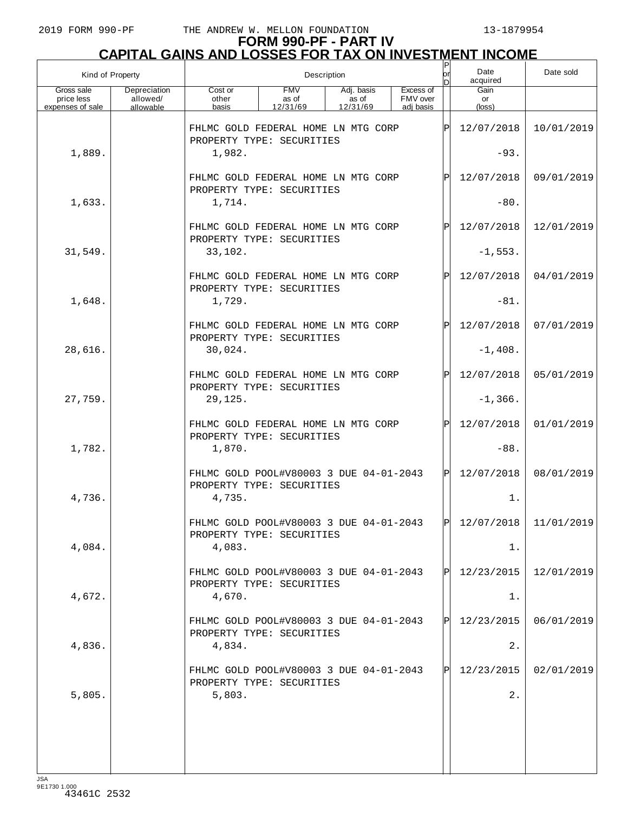| Kind of Property                             |                                       | Description                                                                                                                           |  |    |            |             | Date<br>acquired     | Date sold  |
|----------------------------------------------|---------------------------------------|---------------------------------------------------------------------------------------------------------------------------------------|--|----|------------|-------------|----------------------|------------|
| Gross sale<br>price less<br>expenses of sale | Depreciation<br>allowed/<br>allowable | <b>FMV</b><br>Cost or<br>Adj. basis<br>Excess of<br>FMV over<br>other<br>as of<br>as of<br>12/31/69<br>12/31/69<br>adi basis<br>basis |  |    |            |             | Gain<br>or<br>(loss) |            |
|                                              |                                       | FHLMC GOLD FEDERAL HOME LN MTG CORP<br>PROPERTY TYPE: SECURITIES                                                                      |  | ΙP | 12/07/2018 | 10/01/2019  |                      |            |
| 1,889.                                       |                                       | 1,982.                                                                                                                                |  |    |            |             | $-93.$               |            |
|                                              |                                       | FHLMC GOLD FEDERAL HOME LN MTG CORP<br>PROPERTY TYPE: SECURITIES                                                                      |  |    |            |             | 12/07/2018           | 09/01/2019 |
| 1,633.                                       |                                       | 1,714.                                                                                                                                |  |    |            |             | $-80.$               |            |
|                                              |                                       | FHLMC GOLD FEDERAL HOME LN MTG CORP<br>PROPERTY TYPE: SECURITIES                                                                      |  |    |            |             | 12/07/2018           | 12/01/2019 |
| 31,549.                                      |                                       | 33,102.                                                                                                                               |  |    |            |             | $-1,553.$            |            |
|                                              |                                       | FHLMC GOLD FEDERAL HOME LN MTG CORP<br>PROPERTY TYPE: SECURITIES                                                                      |  |    |            | $\mathbf P$ | 12/07/2018           | 04/01/2019 |
| 1,648.                                       |                                       | 1,729.                                                                                                                                |  |    |            |             | $-81.$               |            |
|                                              |                                       | FHLMC GOLD FEDERAL HOME LN MTG CORP<br>PROPERTY TYPE: SECURITIES                                                                      |  |    |            |             | 12/07/2018           | 07/01/2019 |
| 28,616.                                      |                                       | 30,024.                                                                                                                               |  |    |            |             | $-1,408.$            |            |
|                                              |                                       | FHLMC GOLD FEDERAL HOME LN MTG CORP<br>PROPERTY TYPE: SECURITIES                                                                      |  |    |            | $\mathbf P$ | 12/07/2018           | 05/01/2019 |
| 27,759.                                      |                                       | 29,125.                                                                                                                               |  |    |            |             | $-1,366.$            |            |
|                                              |                                       | FHLMC GOLD FEDERAL HOME LN MTG CORP<br>PROPERTY TYPE: SECURITIES                                                                      |  |    |            |             | 12/07/2018           | 01/01/2019 |
| 1,782.                                       |                                       | 1,870.                                                                                                                                |  |    |            |             | $-88.$               |            |
|                                              |                                       | FHLMC GOLD POOL#V80003 3 DUE 04-01-2043<br>PROPERTY TYPE: SECURITIES                                                                  |  |    |            | ΙPΙ         | 12/07/2018           | 08/01/2019 |
| 4,736.                                       |                                       | 4,735.                                                                                                                                |  |    |            |             | 1.                   |            |
|                                              |                                       | FHLMC GOLD POOL#V80003 3 DUE 04-01-2043<br>PROPERTY TYPE: SECURITIES                                                                  |  |    |            |             | 12/07/2018           | 11/01/2019 |
| 4,084.                                       |                                       | 4,083.                                                                                                                                |  |    |            |             | 1.                   |            |
|                                              |                                       | FHLMC GOLD POOL#V80003 3 DUE 04-01-2043<br>PROPERTY TYPE: SECURITIES                                                                  |  |    |            | ΙPΙ         | 12/23/2015           | 12/01/2019 |
| 4,672.                                       |                                       | 4,670.                                                                                                                                |  |    |            |             | 1.                   |            |
|                                              |                                       | FHLMC GOLD POOL#V80003 3 DUE 04-01-2043<br>PROPERTY TYPE: SECURITIES                                                                  |  |    |            | ΙPΙ         | 12/23/2015           | 06/01/2019 |
| 4,836.                                       |                                       | 4,834.                                                                                                                                |  |    |            |             | $2$ .                |            |
|                                              |                                       | FHLMC GOLD POOL#V80003 3 DUE 04-01-2043<br>PROPERTY TYPE: SECURITIES                                                                  |  |    |            | ΙPΙ         | 12/23/2015           | 02/01/2019 |
| 5,805.                                       |                                       | 5,803.                                                                                                                                |  |    |            |             | 2.                   |            |
|                                              |                                       |                                                                                                                                       |  |    |            |             |                      |            |
|                                              |                                       |                                                                                                                                       |  |    |            |             |                      |            |
|                                              |                                       |                                                                                                                                       |  |    |            |             |                      |            |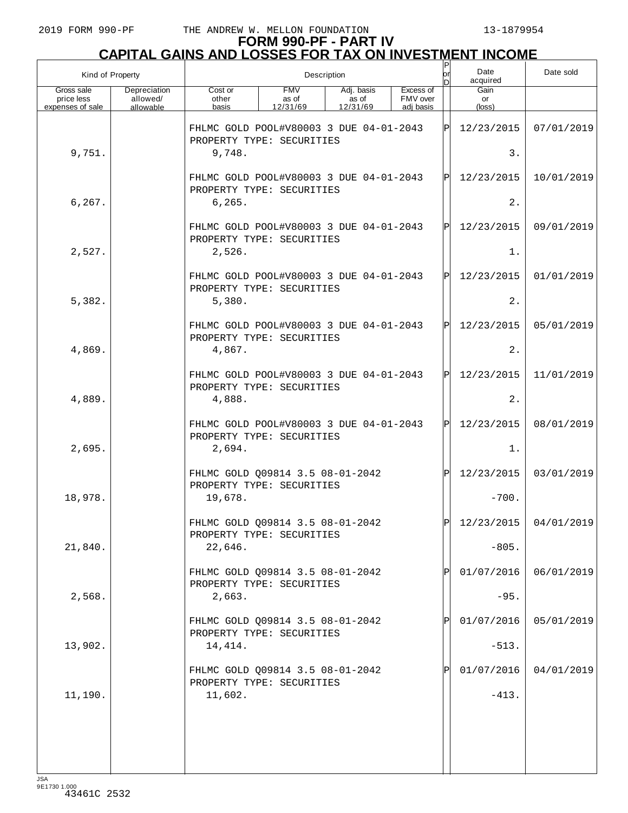# **FORM 990-PF - PART IV CAPITAL GAINS AND LOSSES FOR TAX ON INVESTMENT INCOME** P

| Kind of Property                             |                                       | Description                                                                                                                           |  |  |  |     | Date<br>acquired              | Date sold  |
|----------------------------------------------|---------------------------------------|---------------------------------------------------------------------------------------------------------------------------------------|--|--|--|-----|-------------------------------|------------|
| Gross sale<br>price less<br>expenses of sale | Depreciation<br>allowed/<br>allowable | <b>FMV</b><br>Excess of<br>Cost or<br>Adj. basis<br>FMV over<br>as of<br>other<br>as of<br>basis<br>12/31/69<br>12/31/69<br>adi basis |  |  |  |     | Gain<br>or<br>$(\text{loss})$ |            |
|                                              |                                       | FHLMC GOLD POOL#V80003 3 DUE 04-01-2043<br>PROPERTY TYPE: SECURITIES                                                                  |  |  |  | ΙPΙ | 12/23/2015                    | 07/01/2019 |
| 9,751.                                       |                                       | 9,748.                                                                                                                                |  |  |  |     | 3.                            |            |
|                                              |                                       | FHLMC GOLD POOL#V80003 3 DUE 04-01-2043<br>PROPERTY TYPE: SECURITIES                                                                  |  |  |  | ΙÞΙ | 12/23/2015                    | 10/01/2019 |
| 6, 267.                                      |                                       | 6, 265.                                                                                                                               |  |  |  |     | 2.                            |            |
|                                              |                                       | FHLMC GOLD POOL#V80003 3 DUE 04-01-2043<br>PROPERTY TYPE: SECURITIES                                                                  |  |  |  | ΙÞΙ | 12/23/2015                    | 09/01/2019 |
| 2,527.                                       |                                       | 2,526.                                                                                                                                |  |  |  |     | 1.                            |            |
|                                              |                                       | FHLMC GOLD POOL#V80003 3 DUE 04-01-2043<br>PROPERTY TYPE: SECURITIES                                                                  |  |  |  | ΙÞΙ | 12/23/2015                    | 01/01/2019 |
| 5,382.                                       |                                       | 5,380.                                                                                                                                |  |  |  |     | 2.                            |            |
|                                              |                                       | FHLMC GOLD POOL#V80003 3 DUE 04-01-2043<br>PROPERTY TYPE: SECURITIES                                                                  |  |  |  | ΙÞΙ | 12/23/2015                    | 05/01/2019 |
| 4,869.                                       |                                       | 4,867.                                                                                                                                |  |  |  |     | 2.                            |            |
|                                              |                                       | FHLMC GOLD POOL#V80003 3 DUE 04-01-2043<br>PROPERTY TYPE: SECURITIES                                                                  |  |  |  | ΙÞΙ | 12/23/2015                    | 11/01/2019 |
| 4,889.                                       |                                       | 4,888.                                                                                                                                |  |  |  |     | 2.                            |            |
|                                              |                                       | FHLMC GOLD POOL#V80003 3 DUE 04-01-2043<br>PROPERTY TYPE: SECURITIES                                                                  |  |  |  | ΙÞΙ | 12/23/2015                    | 08/01/2019 |
| 2,695.                                       |                                       | 2,694.                                                                                                                                |  |  |  |     | 1.                            |            |
|                                              |                                       | FHLMC GOLD Q09814 3.5 08-01-2042<br>PROPERTY TYPE: SECURITIES                                                                         |  |  |  | ΙPΙ | 12/23/2015                    | 03/01/2019 |
| 18,978.                                      |                                       | 19,678.                                                                                                                               |  |  |  |     | $-700.$                       |            |
|                                              |                                       | FHLMC GOLD Q09814 3.5 08-01-2042<br>PROPERTY TYPE: SECURITIES                                                                         |  |  |  | ÞI  | $12/23/2015$ 04/01/2019       |            |
| 21,840.                                      |                                       | 22,646.                                                                                                                               |  |  |  |     | $-805.$                       |            |
|                                              |                                       | FHLMC GOLD Q09814 3.5 08-01-2042<br>PROPERTY TYPE: SECURITIES                                                                         |  |  |  |     | 01/07/2016                    | 06/01/2019 |
| 2,568.                                       |                                       | 2,663.                                                                                                                                |  |  |  |     | $-95.$                        |            |
|                                              |                                       | FHLMC GOLD Q09814 3.5 08-01-2042<br>PROPERTY TYPE: SECURITIES                                                                         |  |  |  |     | 01/07/2016                    | 05/01/2019 |
| 13,902.                                      |                                       | 14,414.                                                                                                                               |  |  |  |     | $-513.$                       |            |
|                                              |                                       | FHLMC GOLD Q09814 3.5 08-01-2042<br>PROPERTY TYPE: SECURITIES                                                                         |  |  |  |     | 01/07/2016                    | 04/01/2019 |
| 11,190.                                      |                                       | 11,602.                                                                                                                               |  |  |  |     | $-413.$                       |            |
|                                              |                                       |                                                                                                                                       |  |  |  |     |                               |            |
|                                              |                                       |                                                                                                                                       |  |  |  |     |                               |            |
|                                              |                                       |                                                                                                                                       |  |  |  |     |                               |            |

JSA 9E1730 1.000 43461C 2532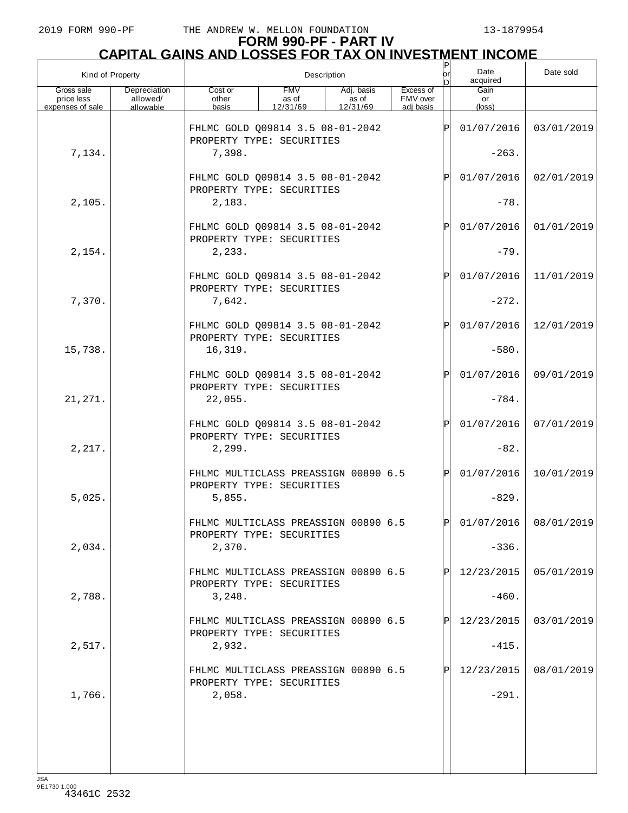| Kind of Property                             |                                       |                                                                                                                                       |  | Description |  | P<br>lor    | Date<br>acquired              | Date sold               |
|----------------------------------------------|---------------------------------------|---------------------------------------------------------------------------------------------------------------------------------------|--|-------------|--|-------------|-------------------------------|-------------------------|
| Gross sale<br>price less<br>expenses of sale | Depreciation<br>allowed/<br>allowable | <b>FMV</b><br>Adj. basis<br>Excess of<br>Cost or<br>as of<br>FMV over<br>other<br>as of<br>12/31/69<br>basis<br>12/31/69<br>adi basis |  |             |  |             | Gain<br>or<br>$(\text{loss})$ |                         |
|                                              |                                       | FHLMC GOLD Q09814 3.5 08-01-2042                                                                                                      |  |             |  | $\mathbf P$ | 01/07/2016                    | 03/01/2019              |
| 7,134.                                       |                                       | PROPERTY TYPE: SECURITIES<br>7,398.                                                                                                   |  |             |  |             | $-263.$                       |                         |
|                                              |                                       | FHLMC GOLD Q09814 3.5 08-01-2042                                                                                                      |  |             |  | $\mathbf P$ | 01/07/2016                    | 02/01/2019              |
| 2,105.                                       |                                       | PROPERTY TYPE: SECURITIES<br>2,183.                                                                                                   |  |             |  |             | $-78.$                        |                         |
|                                              |                                       | FHLMC GOLD Q09814 3.5 08-01-2042                                                                                                      |  |             |  | $\mathbf P$ | 01/07/2016                    | 01/01/2019              |
| 2,154.                                       |                                       | PROPERTY TYPE: SECURITIES<br>2, 233.                                                                                                  |  |             |  |             | $-79.$                        |                         |
|                                              |                                       | FHLMC GOLD Q09814 3.5 08-01-2042<br>PROPERTY TYPE: SECURITIES                                                                         |  |             |  | $\mathbf P$ | 01/07/2016                    | 11/01/2019              |
| 7,370.                                       |                                       | 7,642.                                                                                                                                |  |             |  |             | $-272.$                       |                         |
|                                              |                                       | FHLMC GOLD Q09814 3.5 08-01-2042<br>PROPERTY TYPE: SECURITIES                                                                         |  |             |  | $\mathbf P$ | 01/07/2016                    | 12/01/2019              |
| 15,738.                                      |                                       | 16,319.                                                                                                                               |  |             |  |             | $-580.$                       |                         |
|                                              |                                       | FHLMC GOLD Q09814 3.5 08-01-2042<br>PROPERTY TYPE: SECURITIES                                                                         |  |             |  | $\mathbf P$ | 01/07/2016                    | 09/01/2019              |
| 21, 271.                                     |                                       | 22,055.                                                                                                                               |  |             |  |             | $-784.$                       |                         |
|                                              |                                       | FHLMC GOLD Q09814 3.5 08-01-2042<br>PROPERTY TYPE: SECURITIES                                                                         |  |             |  | $\mathbf P$ | 01/07/2016                    | 07/01/2019              |
| 2,217.                                       |                                       | 2,299.                                                                                                                                |  |             |  |             | $-82.$                        |                         |
|                                              |                                       | FHLMC MULTICLASS PREASSIGN 00890 6.5<br>PROPERTY TYPE: SECURITIES                                                                     |  |             |  | $\mathbf P$ | 01/07/2016                    | 10/01/2019              |
| 5,025.                                       |                                       | 5,855.                                                                                                                                |  |             |  |             | $-829.$                       |                         |
|                                              |                                       | FHLMC MULTICLASS PREASSIGN 00890 6.5<br>PROPERTY TYPE: SECURITIES                                                                     |  |             |  | ldl         |                               | $01/07/2016$ 08/01/2019 |
| 2,034.                                       |                                       | 2,370.                                                                                                                                |  |             |  |             | $-336.$                       |                         |
|                                              |                                       | FHLMC MULTICLASS PREASSIGN 00890 6.5<br>PROPERTY TYPE: SECURITIES                                                                     |  |             |  |             | 12/23/2015                    | 05/01/2019              |
| 2,788.                                       |                                       | 3,248.                                                                                                                                |  |             |  |             | $-460.$                       |                         |
|                                              |                                       | FHLMC MULTICLASS PREASSIGN 00890 6.5<br>PROPERTY TYPE: SECURITIES                                                                     |  |             |  |             | 12/23/2015                    | 03/01/2019              |
| 2,517.                                       |                                       | 2,932.                                                                                                                                |  |             |  |             | $-415.$                       |                         |
|                                              |                                       | FHLMC MULTICLASS PREASSIGN 00890 6.5<br>PROPERTY TYPE: SECURITIES                                                                     |  |             |  |             | 12/23/2015                    | 08/01/2019              |
| 1,766.                                       |                                       | 2,058.                                                                                                                                |  |             |  |             | $-291.$                       |                         |
|                                              |                                       |                                                                                                                                       |  |             |  |             |                               |                         |
|                                              |                                       |                                                                                                                                       |  |             |  |             |                               |                         |
|                                              |                                       |                                                                                                                                       |  |             |  |             |                               |                         |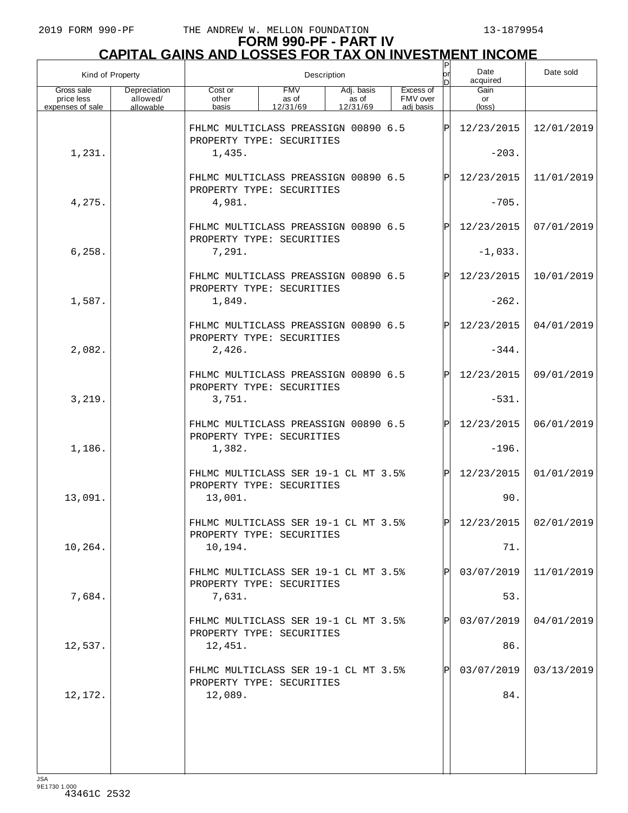# **FORM 990-PF - PART IV CAPITAL GAINS AND LOSSES FOR TAX ON INVESTMENT INCOME** P

| Kind of Property                             |                                       |                                                                                                                                       |  | Description |  | P<br>lor | Date<br>acquired              | Date sold  |
|----------------------------------------------|---------------------------------------|---------------------------------------------------------------------------------------------------------------------------------------|--|-------------|--|----------|-------------------------------|------------|
| Gross sale<br>price less<br>expenses of sale | Depreciation<br>allowed/<br>allowable | <b>FMV</b><br>Adj. basis<br>Excess of<br>Cost or<br>as of<br>FMV over<br>other<br>as of<br>12/31/69<br>12/31/69<br>adi basis<br>basis |  |             |  |          | Gain<br>or<br>$(\text{loss})$ |            |
|                                              |                                       | FHLMC MULTICLASS PREASSIGN 00890 6.5                                                                                                  |  |             |  | ΙPΙ      | 12/23/2015                    | 12/01/2019 |
| 1,231.                                       |                                       | PROPERTY TYPE: SECURITIES<br>1,435.                                                                                                   |  |             |  |          | $-203.$                       |            |
|                                              |                                       | FHLMC MULTICLASS PREASSIGN 00890 6.5<br>PROPERTY TYPE: SECURITIES                                                                     |  |             |  | IPI      | 12/23/2015                    | 11/01/2019 |
| 4,275.                                       |                                       | 4,981.                                                                                                                                |  |             |  |          | $-705.$                       |            |
|                                              |                                       | FHLMC MULTICLASS PREASSIGN 00890 6.5<br>PROPERTY TYPE: SECURITIES                                                                     |  |             |  | IPI      | 12/23/2015                    | 07/01/2019 |
| 6, 258.                                      |                                       | 7,291.                                                                                                                                |  |             |  |          | $-1,033.$                     |            |
|                                              |                                       | FHLMC MULTICLASS PREASSIGN 00890 6.5<br>PROPERTY TYPE: SECURITIES                                                                     |  |             |  | IPI      | 12/23/2015                    | 10/01/2019 |
| 1,587.                                       |                                       | 1,849.                                                                                                                                |  |             |  |          | $-262.$                       |            |
|                                              |                                       | FHLMC MULTICLASS PREASSIGN 00890 6.5<br>PROPERTY TYPE: SECURITIES                                                                     |  |             |  | IPI      | 12/23/2015                    | 04/01/2019 |
| 2,082.                                       |                                       | 2,426.                                                                                                                                |  |             |  |          | $-344.$                       |            |
|                                              |                                       | FHLMC MULTICLASS PREASSIGN 00890 6.5<br>PROPERTY TYPE: SECURITIES                                                                     |  |             |  | IPI      | 12/23/2015                    | 09/01/2019 |
| 3,219.                                       |                                       | 3,751.                                                                                                                                |  |             |  |          | $-531.$                       |            |
|                                              |                                       | FHLMC MULTICLASS PREASSIGN 00890 6.5<br>PROPERTY TYPE: SECURITIES                                                                     |  |             |  | IPI      | 12/23/2015                    | 06/01/2019 |
| 1,186.                                       |                                       | 1,382.                                                                                                                                |  |             |  |          | $-196.$                       |            |
|                                              |                                       | FHLMC MULTICLASS SER 19-1 CL MT 3.5%<br>PROPERTY TYPE: SECURITIES                                                                     |  |             |  | lPl      | 12/23/2015                    | 01/01/2019 |
| 13,091.                                      |                                       | 13,001.                                                                                                                               |  |             |  |          | 90.                           |            |
|                                              |                                       | FHLMC MULTICLASS SER 19-1 CL MT 3.5%<br>PROPERTY TYPE: SECURITIES                                                                     |  |             |  | lol      | $12/23/2015$ 02/01/2019       |            |
| 10,264.                                      |                                       | 10,194.                                                                                                                               |  |             |  |          | 71.                           |            |
| 7,684.                                       |                                       | FHLMC MULTICLASS SER 19-1 CL MT 3.5%<br>PROPERTY TYPE: SECURITIES                                                                     |  |             |  |          | 03/07/2019<br>53.             | 11/01/2019 |
|                                              |                                       | 7,631.<br>FHLMC MULTICLASS SER 19-1 CL MT 3.5%                                                                                        |  |             |  |          | 03/07/2019                    | 04/01/2019 |
| 12,537.                                      |                                       | PROPERTY TYPE: SECURITIES<br>12,451.                                                                                                  |  |             |  |          | 86.                           |            |
|                                              |                                       | FHLMC MULTICLASS SER 19-1 CL MT 3.5%                                                                                                  |  |             |  | ΙPΙ      | 03/07/2019                    | 03/13/2019 |
| 12,172.                                      |                                       | PROPERTY TYPE: SECURITIES<br>12,089.                                                                                                  |  |             |  |          | 84.                           |            |
|                                              |                                       |                                                                                                                                       |  |             |  |          |                               |            |
|                                              |                                       |                                                                                                                                       |  |             |  |          |                               |            |
|                                              |                                       |                                                                                                                                       |  |             |  |          |                               |            |

JSA 9E1730 1.000 43461C 2532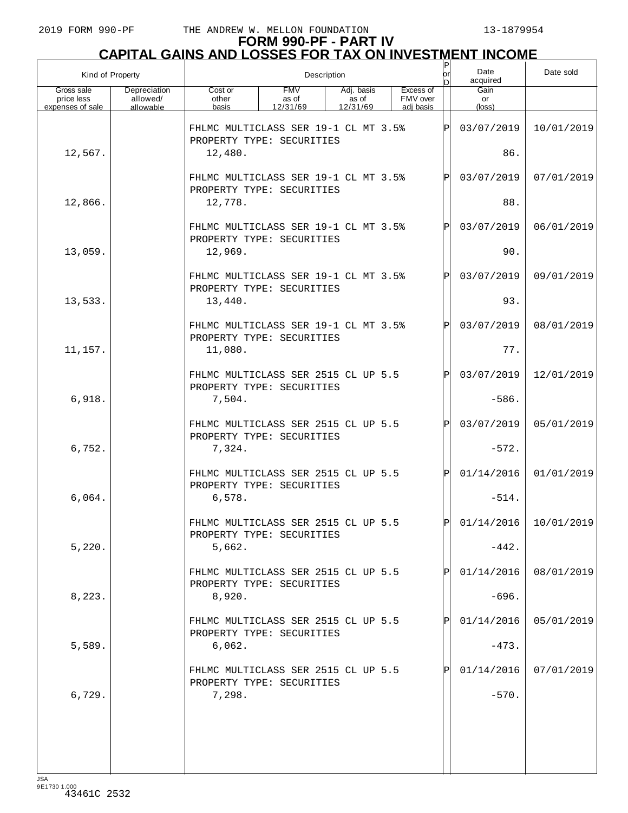# **FORM 990-PF - PART IV CAPITAL GAINS AND LOSSES FOR TAX ON INVESTMENT INCOME** P

| Kind of Property                             |                                       | Description                                                       |                                 |                                 |  |                                    |     | Date<br>acquired              | Date sold               |
|----------------------------------------------|---------------------------------------|-------------------------------------------------------------------|---------------------------------|---------------------------------|--|------------------------------------|-----|-------------------------------|-------------------------|
| Gross sale<br>price less<br>expenses of sale | Depreciation<br>allowed/<br>allowable | Cost or<br>other<br>basis                                         | <b>FMV</b><br>as of<br>12/31/69 | Adj. basis<br>as of<br>12/31/69 |  | Excess of<br>FMV over<br>adi basis |     | Gain<br>or<br>$(\text{loss})$ |                         |
|                                              |                                       | FHLMC MULTICLASS SER 19-1 CL MT 3.5%<br>PROPERTY TYPE: SECURITIES |                                 |                                 |  |                                    | ΙÞΙ | 03/07/2019                    | 10/01/2019              |
| 12,567.                                      |                                       | 12,480.                                                           |                                 |                                 |  |                                    |     | 86.                           |                         |
|                                              |                                       | FHLMC MULTICLASS SER 19-1 CL MT 3.5%<br>PROPERTY TYPE: SECURITIES |                                 |                                 |  |                                    | ΙPΙ | 03/07/2019                    | 07/01/2019              |
| 12,866.                                      |                                       | 12,778.                                                           |                                 |                                 |  |                                    |     | 88.                           |                         |
|                                              |                                       | FHLMC MULTICLASS SER 19-1 CL MT 3.5%<br>PROPERTY TYPE: SECURITIES |                                 |                                 |  |                                    | ΙÞΙ | 03/07/2019                    | 06/01/2019              |
| 13,059.                                      |                                       | 12,969.                                                           |                                 |                                 |  |                                    |     | 90.                           |                         |
|                                              |                                       | FHLMC MULTICLASS SER 19-1 CL MT 3.5%<br>PROPERTY TYPE: SECURITIES |                                 |                                 |  |                                    | ΙPΙ | 03/07/2019                    | 09/01/2019              |
| 13,533.                                      |                                       | 13,440.                                                           |                                 |                                 |  |                                    |     | 93.                           |                         |
|                                              |                                       | FHLMC MULTICLASS SER 19-1 CL MT 3.5%<br>PROPERTY TYPE: SECURITIES |                                 |                                 |  |                                    | ΙÞΙ | 03/07/2019                    | 08/01/2019              |
| 11,157.                                      |                                       | 11,080.                                                           |                                 |                                 |  |                                    |     | 77.                           |                         |
|                                              |                                       | FHLMC MULTICLASS SER 2515 CL UP 5.5<br>PROPERTY TYPE: SECURITIES  |                                 |                                 |  |                                    | ΙPΙ | 03/07/2019                    | 12/01/2019              |
| 6,918.                                       |                                       | 7,504.                                                            |                                 |                                 |  |                                    |     | $-586.$                       |                         |
|                                              |                                       | FHLMC MULTICLASS SER 2515 CL UP 5.5<br>PROPERTY TYPE: SECURITIES  |                                 |                                 |  |                                    | ΙPΙ | 03/07/2019                    | 05/01/2019              |
| 6,752.                                       |                                       | 7,324.                                                            |                                 |                                 |  |                                    |     | $-572.$                       |                         |
|                                              |                                       | FHLMC MULTICLASS SER 2515 CL UP 5.5<br>PROPERTY TYPE: SECURITIES  |                                 |                                 |  |                                    | ΙPΙ | 01/14/2016                    | 01/01/2019              |
| 6,064.                                       |                                       | 6,578.                                                            |                                 |                                 |  |                                    |     | $-514.$                       |                         |
|                                              |                                       | FHLMC MULTICLASS SER 2515 CL UP 5.5<br>PROPERTY TYPE: SECURITIES  |                                 |                                 |  |                                    | וסו |                               | $01/14/2016$ 10/01/2019 |
| 5,220.                                       |                                       | 5,662.                                                            |                                 |                                 |  |                                    |     | $-442.$                       |                         |
|                                              |                                       | FHLMC MULTICLASS SER 2515 CL UP 5.5<br>PROPERTY TYPE: SECURITIES  |                                 |                                 |  |                                    | ΙPΙ | 01/14/2016                    | 08/01/2019              |
| 8,223.                                       |                                       | 8,920.                                                            |                                 |                                 |  |                                    |     | $-696.$                       |                         |
|                                              |                                       | FHLMC MULTICLASS SER 2515 CL UP 5.5<br>PROPERTY TYPE: SECURITIES  |                                 |                                 |  |                                    | ΙPΙ | 01/14/2016                    | 05/01/2019              |
| 5,589.                                       |                                       | 6,062.                                                            |                                 |                                 |  |                                    |     | $-473.$                       |                         |
|                                              |                                       | FHLMC MULTICLASS SER 2515 CL UP 5.5<br>PROPERTY TYPE: SECURITIES  |                                 |                                 |  |                                    | ΙPΙ | 01/14/2016                    | 07/01/2019              |
| 6,729.                                       |                                       | 7,298.                                                            |                                 |                                 |  |                                    |     | $-570.$                       |                         |
|                                              |                                       |                                                                   |                                 |                                 |  |                                    |     |                               |                         |
|                                              |                                       |                                                                   |                                 |                                 |  |                                    |     |                               |                         |
|                                              |                                       |                                                                   |                                 |                                 |  |                                    |     |                               |                         |

JSA 9E1730 1.000 43461C 2532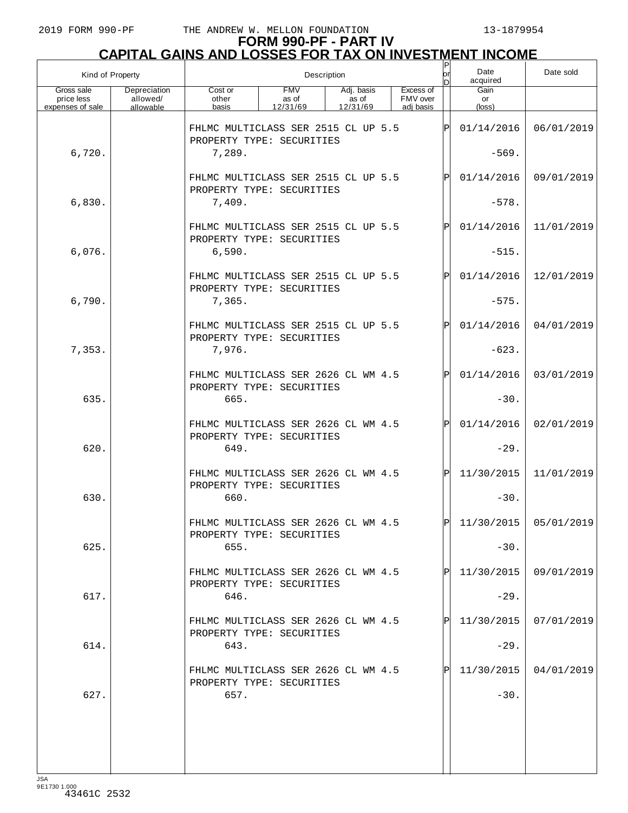| Kind of Property                             |                                       |                                                                  |                                 | Description                     |                                    |              |                               |                         |
|----------------------------------------------|---------------------------------------|------------------------------------------------------------------|---------------------------------|---------------------------------|------------------------------------|--------------|-------------------------------|-------------------------|
| Gross sale<br>price less<br>expenses of sale | Depreciation<br>allowed/<br>allowable | Cost or<br>other<br>basis                                        | <b>FMV</b><br>as of<br>12/31/69 | Adj. basis<br>as of<br>12/31/69 | Excess of<br>FMV over<br>adj basis |              | Gain<br>or<br>$(\text{loss})$ |                         |
|                                              |                                       | FHLMC MULTICLASS SER 2515 CL UP 5.5                              |                                 |                                 |                                    | $\mathbf{P}$ | 01/14/2016                    | 06/01/2019              |
| 6,720.                                       |                                       | PROPERTY TYPE: SECURITIES<br>7,289.                              |                                 |                                 |                                    |              | $-569.$                       |                         |
|                                              |                                       | FHLMC MULTICLASS SER 2515 CL UP 5.5<br>PROPERTY TYPE: SECURITIES |                                 |                                 |                                    | Pl           | 01/14/2016                    | 09/01/2019              |
| 6,830.                                       |                                       | 7,409.                                                           |                                 |                                 |                                    |              | $-578.$                       |                         |
|                                              |                                       | FHLMC MULTICLASS SER 2515 CL UP 5.5<br>PROPERTY TYPE: SECURITIES |                                 |                                 |                                    | $\mathsf{P}$ | 01/14/2016                    | 11/01/2019              |
| 6,076.                                       |                                       | 6,590.                                                           |                                 |                                 |                                    |              | $-515.$                       |                         |
| 6,790.                                       |                                       | FHLMC MULTICLASS SER 2515 CL UP 5.5<br>PROPERTY TYPE: SECURITIES |                                 |                                 |                                    | Pl           | 01/14/2016<br>$-575.$         | 12/01/2019              |
|                                              |                                       | 7,365.<br>FHLMC MULTICLASS SER 2515 CL UP 5.5                    |                                 |                                 |                                    | $\mathsf{P}$ | 01/14/2016                    | 04/01/2019              |
| 7,353.                                       |                                       | PROPERTY TYPE: SECURITIES<br>7,976.                              |                                 |                                 |                                    |              | $-623.$                       |                         |
|                                              |                                       | FHLMC MULTICLASS SER 2626 CL WM 4.5                              |                                 |                                 |                                    | P            | 01/14/2016                    | 03/01/2019              |
| 635.                                         |                                       | PROPERTY TYPE: SECURITIES<br>665.                                |                                 |                                 |                                    |              | $-30.$                        |                         |
|                                              |                                       | FHLMC MULTICLASS SER 2626 CL WM 4.5                              |                                 |                                 |                                    | $\mathsf{P}$ | 01/14/2016                    | 02/01/2019              |
| 620.                                         |                                       | PROPERTY TYPE: SECURITIES<br>649.                                |                                 |                                 |                                    |              | $-29.$                        |                         |
|                                              |                                       | FHLMC MULTICLASS SER 2626 CL WM 4.5<br>PROPERTY TYPE: SECURITIES |                                 |                                 |                                    | $\mathsf{P}$ | 11/30/2015                    | 11/01/2019              |
| 630.                                         |                                       | 660.                                                             |                                 |                                 |                                    |              | $-30.$                        |                         |
|                                              |                                       | FHLMC MULTICLASS SER 2626 CL WM 4.5<br>PROPERTY TYPE: SECURITIES |                                 |                                 |                                    | D            |                               | $11/30/2015$ 05/01/2019 |
| 625.                                         |                                       | 655.                                                             |                                 |                                 |                                    |              | $-30.$                        |                         |
|                                              |                                       | FHLMC MULTICLASS SER 2626 CL WM 4.5<br>PROPERTY TYPE: SECURITIES |                                 |                                 |                                    |              | 11/30/2015                    | 09/01/2019              |
| 617.                                         |                                       | 646.<br>FHLMC MULTICLASS SER 2626 CL WM 4.5                      |                                 |                                 |                                    |              | $-29.$<br>11/30/2015          | 07/01/2019              |
| 614.                                         |                                       | PROPERTY TYPE: SECURITIES<br>643.                                |                                 |                                 |                                    |              | $-29.$                        |                         |
|                                              |                                       | FHLMC MULTICLASS SER 2626 CL WM 4.5                              |                                 |                                 |                                    |              | 11/30/2015                    | 04/01/2019              |
| 627.                                         |                                       | PROPERTY TYPE: SECURITIES<br>657.                                |                                 |                                 |                                    |              | $-30.$                        |                         |
|                                              |                                       |                                                                  |                                 |                                 |                                    |              |                               |                         |
|                                              |                                       |                                                                  |                                 |                                 |                                    |              |                               |                         |
| 194                                          |                                       |                                                                  |                                 |                                 |                                    |              |                               |                         |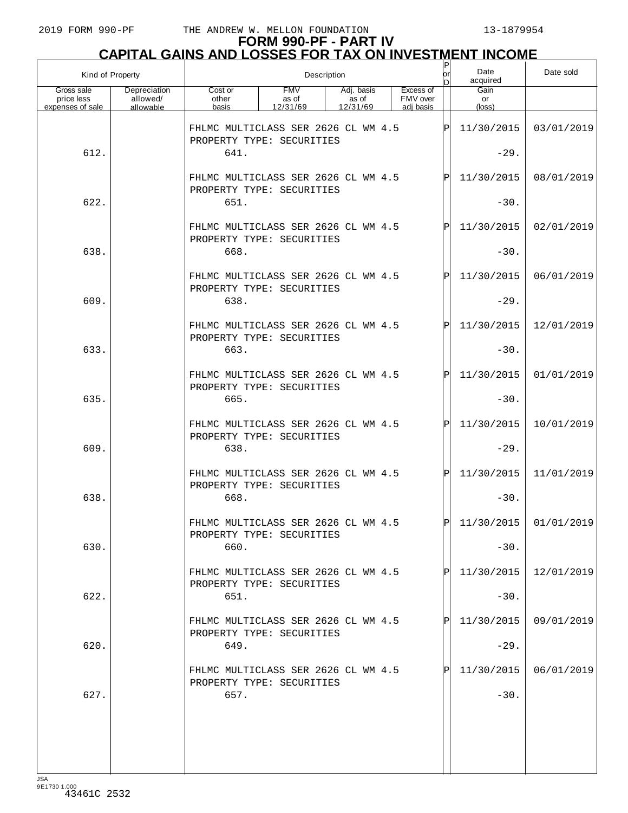| Kind of Property                             |                                       |                                                                  | Description                     |                                 |                                    |              |                               | Date sold  |
|----------------------------------------------|---------------------------------------|------------------------------------------------------------------|---------------------------------|---------------------------------|------------------------------------|--------------|-------------------------------|------------|
| Gross sale<br>price less<br>expenses of sale | Depreciation<br>allowed/<br>allowable | Cost or<br>other<br>basis                                        | <b>FMV</b><br>as of<br>12/31/69 | Adj. basis<br>as of<br>12/31/69 | Excess of<br>FMV over<br>adi basis |              | Gain<br>or<br>$(\text{loss})$ |            |
|                                              |                                       | FHLMC MULTICLASS SER 2626 CL WM 4.5<br>PROPERTY TYPE: SECURITIES |                                 |                                 |                                    | lÞ           | 11/30/2015                    | 03/01/2019 |
| 612.                                         |                                       | 641.                                                             |                                 |                                 |                                    |              | $-29.$                        |            |
|                                              |                                       | FHLMC MULTICLASS SER 2626 CL WM 4.5<br>PROPERTY TYPE: SECURITIES |                                 |                                 |                                    | $\mathbf P$  | 11/30/2015                    | 08/01/2019 |
| 622.                                         |                                       | 651.                                                             |                                 |                                 |                                    |              | $-30.$                        |            |
|                                              |                                       | FHLMC MULTICLASS SER 2626 CL WM 4.5<br>PROPERTY TYPE: SECURITIES |                                 |                                 |                                    | $\mathbf P$  | 11/30/2015                    | 02/01/2019 |
| 638.                                         |                                       | 668.                                                             |                                 |                                 |                                    |              | $-30.$                        |            |
|                                              |                                       | FHLMC MULTICLASS SER 2626 CL WM 4.5<br>PROPERTY TYPE: SECURITIES |                                 |                                 |                                    | $\mathsf{P}$ | 11/30/2015                    | 06/01/2019 |
| 609.                                         |                                       | 638.                                                             |                                 |                                 |                                    |              | $-29.$                        |            |
|                                              |                                       | FHLMC MULTICLASS SER 2626 CL WM 4.5<br>PROPERTY TYPE: SECURITIES |                                 |                                 |                                    | $\mathbf P$  | 11/30/2015                    | 12/01/2019 |
| 633.                                         |                                       | 663.                                                             |                                 |                                 |                                    |              | $-30.$                        |            |
|                                              |                                       | FHLMC MULTICLASS SER 2626 CL WM 4.5<br>PROPERTY TYPE: SECURITIES |                                 |                                 |                                    | $\mathsf{P}$ | 11/30/2015                    | 01/01/2019 |
| 635.                                         |                                       | 665.                                                             |                                 |                                 |                                    |              | $-30.$                        |            |
|                                              |                                       | FHLMC MULTICLASS SER 2626 CL WM 4.5                              |                                 |                                 |                                    | $\mathbf P$  | 11/30/2015                    | 10/01/2019 |
| 609.                                         |                                       | PROPERTY TYPE: SECURITIES<br>638.                                |                                 |                                 |                                    |              | $-29.$                        |            |
|                                              |                                       | FHLMC MULTICLASS SER 2626 CL WM 4.5<br>PROPERTY TYPE: SECURITIES |                                 |                                 |                                    | $\mathsf{P}$ | 11/30/2015                    | 11/01/2019 |
| 638.                                         |                                       | 668.                                                             |                                 |                                 |                                    |              | $-30.$                        |            |
|                                              |                                       | FHLMC MULTICLASS SER 2626 CL WM 4.5<br>PROPERTY TYPE: SECURITIES |                                 |                                 |                                    | lÞI.         | $11/30/2015$ 01/01/2019       |            |
| 630.                                         |                                       | 660.                                                             |                                 |                                 |                                    |              | $-30.$                        |            |
|                                              |                                       | FHLMC MULTICLASS SER 2626 CL WM 4.5<br>PROPERTY TYPE: SECURITIES |                                 |                                 |                                    | P            | 11/30/2015                    | 12/01/2019 |
| 622.                                         |                                       | 651.                                                             |                                 |                                 |                                    |              | $-30.$                        |            |
|                                              |                                       | FHLMC MULTICLASS SER 2626 CL WM 4.5<br>PROPERTY TYPE: SECURITIES |                                 |                                 |                                    | P            | 11/30/2015                    | 09/01/2019 |
| 620.                                         |                                       | 649.                                                             |                                 |                                 |                                    |              | $-29.$                        |            |
|                                              |                                       | FHLMC MULTICLASS SER 2626 CL WM 4.5<br>PROPERTY TYPE: SECURITIES |                                 |                                 |                                    | P            | 11/30/2015                    | 06/01/2019 |
| 627.                                         |                                       | 657.                                                             |                                 |                                 |                                    |              | $-30.$                        |            |
|                                              |                                       |                                                                  |                                 |                                 |                                    |              |                               |            |
|                                              |                                       |                                                                  |                                 |                                 |                                    |              |                               |            |
| 194                                          |                                       |                                                                  |                                 |                                 |                                    |              |                               |            |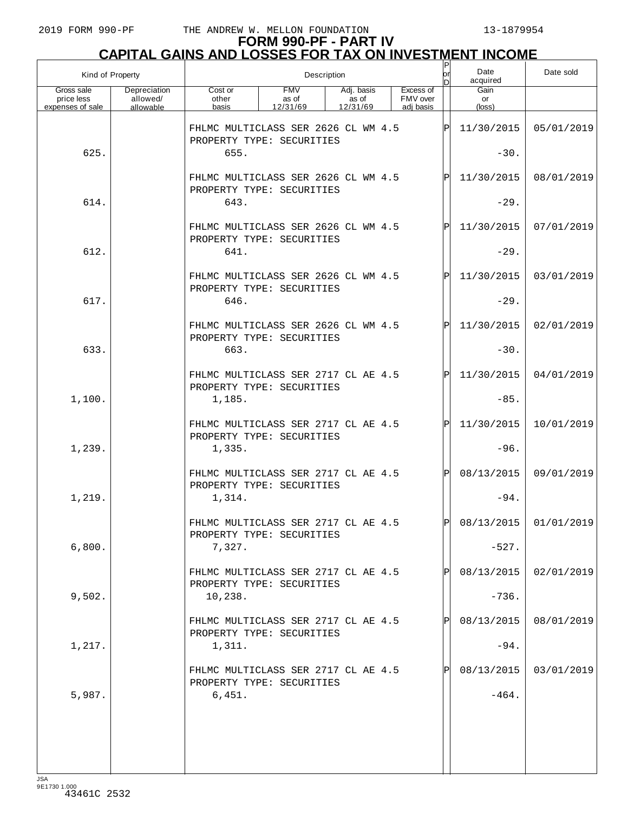| Kind of Property                             |                                       |                                                                            | Description                     | ٢<br> or <br>Ы                  | Date<br>acquired                   | Date sold    |                      |                       |
|----------------------------------------------|---------------------------------------|----------------------------------------------------------------------------|---------------------------------|---------------------------------|------------------------------------|--------------|----------------------|-----------------------|
| Gross sale<br>price less<br>expenses of sale | Depreciation<br>allowed/<br>allowable | Cost or<br>other<br>basis                                                  | <b>FMV</b><br>as of<br>12/31/69 | Adj. basis<br>as of<br>12/31/69 | Excess of<br>FMV over<br>adi basis |              | Gain<br>or<br>(loss) |                       |
|                                              |                                       | FHLMC MULTICLASS SER 2626 CL WM 4.5<br>PROPERTY TYPE: SECURITIES           |                                 |                                 |                                    | ΙÞΙ          | 11/30/2015           | 05/01/2019            |
| 625.                                         |                                       | 655.                                                                       |                                 |                                 |                                    |              | $-30.$               |                       |
|                                              |                                       | FHLMC MULTICLASS SER 2626 CL WM 4.5<br>PROPERTY TYPE: SECURITIES           |                                 |                                 |                                    | $\mathsf{P}$ | 11/30/2015           | 08/01/2019            |
| 614.                                         |                                       | 643.                                                                       |                                 |                                 |                                    |              | $-29.$               |                       |
|                                              |                                       | FHLMC MULTICLASS SER 2626 CL WM 4.5<br>PROPERTY TYPE: SECURITIES           |                                 |                                 |                                    | $\mathbf{P}$ | 11/30/2015           | 07/01/2019            |
| 612.                                         |                                       | 641.                                                                       |                                 |                                 |                                    |              | $-29.$               |                       |
|                                              |                                       | FHLMC MULTICLASS SER 2626 CL WM 4.5<br>PROPERTY TYPE: SECURITIES           |                                 |                                 |                                    | $\mathbf{P}$ | 11/30/2015           | 03/01/2019            |
| 617.                                         |                                       | 646.                                                                       |                                 |                                 |                                    |              | $-29.$               |                       |
|                                              |                                       | FHLMC MULTICLASS SER 2626 CL WM 4.5<br>PROPERTY TYPE: SECURITIES           |                                 |                                 |                                    | $\mathbf{P}$ | 11/30/2015           | 02/01/2019            |
| 633.                                         |                                       | 663.                                                                       |                                 |                                 |                                    |              | $-30.$               |                       |
|                                              |                                       | FHLMC MULTICLASS SER 2717 CL AE 4.5<br>PROPERTY TYPE: SECURITIES           |                                 |                                 |                                    | $\mathbf{P}$ | 11/30/2015           | 04/01/2019            |
| 1,100.                                       |                                       | 1,185.                                                                     |                                 |                                 |                                    |              | $-85.$               |                       |
|                                              |                                       | FHLMC MULTICLASS SER 2717 CL AE 4.5<br>PROPERTY TYPE: SECURITIES           |                                 |                                 |                                    | $\mathbf{P}$ | 11/30/2015           | 10/01/2019            |
| 1,239.                                       |                                       | 1,335.                                                                     |                                 |                                 |                                    |              | $-96.$               |                       |
|                                              |                                       | FHLMC MULTICLASS SER 2717 CL AE 4.5<br>PROPERTY TYPE: SECURITIES           |                                 |                                 |                                    | $\mathbf{P}$ | 08/13/2015<br>$-94.$ | 09/01/2019            |
| 1,219.                                       |                                       | 1,314.                                                                     |                                 |                                 |                                    |              |                      |                       |
| 6,800.                                       |                                       | FHLMC MULTICLASS SER 2717 CL AE 4.5<br>PROPERTY TYPE: SECURITIES<br>7,327. |                                 |                                 |                                    | D            | $-527.$              | 08/13/2015 01/01/2019 |
|                                              |                                       |                                                                            |                                 |                                 |                                    |              |                      |                       |
|                                              |                                       | FHLMC MULTICLASS SER 2717 CL AE 4.5<br>PROPERTY TYPE: SECURITIES           |                                 |                                 |                                    |              | 08/13/2015           | 02/01/2019            |
| 9,502.                                       |                                       | 10, 238.                                                                   |                                 |                                 |                                    |              | $-736.$              |                       |
|                                              |                                       | FHLMC MULTICLASS SER 2717 CL AE 4.5<br>PROPERTY TYPE: SECURITIES           |                                 |                                 |                                    |              | 08/13/2015           | 08/01/2019            |
| 1,217.                                       |                                       | 1,311.                                                                     |                                 |                                 |                                    |              | $-94.$               |                       |
|                                              |                                       | FHLMC MULTICLASS SER 2717 CL AE 4.5<br>PROPERTY TYPE: SECURITIES           |                                 |                                 |                                    |              | 08/13/2015           | 03/01/2019            |
| 5,987.                                       |                                       | 6,451.                                                                     |                                 |                                 |                                    |              | $-464.$              |                       |
|                                              |                                       |                                                                            |                                 |                                 |                                    |              |                      |                       |
|                                              |                                       |                                                                            |                                 |                                 |                                    |              |                      |                       |
|                                              |                                       |                                                                            |                                 |                                 |                                    |              |                      |                       |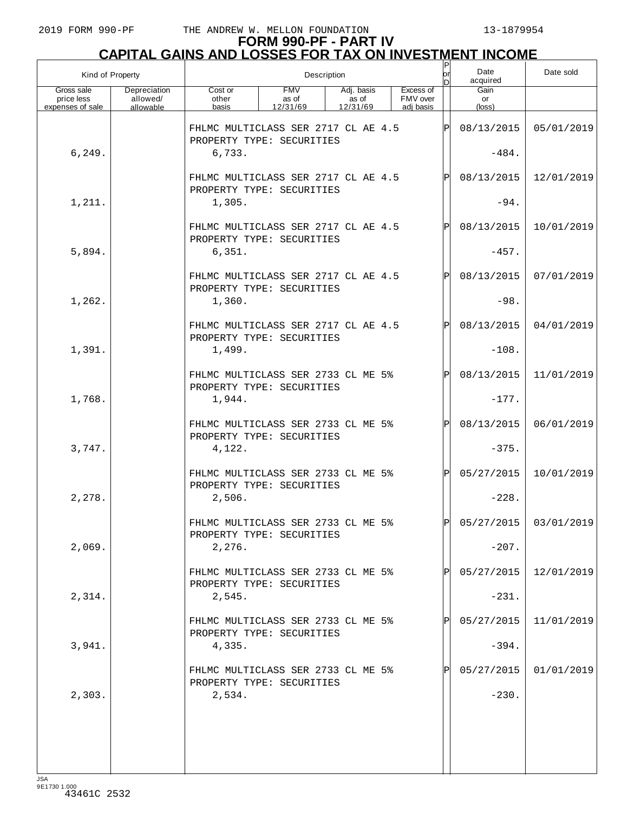| Kind of Property                             |                                       |                                                                  | Description                     | or<br>D                         | Date<br>acquired                   | Date sold    |                      |                         |
|----------------------------------------------|---------------------------------------|------------------------------------------------------------------|---------------------------------|---------------------------------|------------------------------------|--------------|----------------------|-------------------------|
| Gross sale<br>price less<br>expenses of sale | Depreciation<br>allowed/<br>allowable | Cost or<br>other<br>basis                                        | <b>FMV</b><br>as of<br>12/31/69 | Adj. basis<br>as of<br>12/31/69 | Excess of<br>FMV over<br>adi basis |              | Gain<br>or<br>(loss) |                         |
|                                              |                                       | FHLMC MULTICLASS SER 2717 CL AE 4.5<br>PROPERTY TYPE: SECURITIES |                                 |                                 |                                    | Þ            | 08/13/2015           | 05/01/2019              |
| 6, 249.                                      |                                       | 6,733.                                                           |                                 |                                 |                                    |              | $-484.$              |                         |
|                                              |                                       | FHLMC MULTICLASS SER 2717 CL AE 4.5<br>PROPERTY TYPE: SECURITIES |                                 |                                 |                                    | $\mathbf P$  | 08/13/2015           | 12/01/2019              |
| 1,211.                                       |                                       | 1,305.                                                           |                                 |                                 |                                    |              | $-94.$               |                         |
|                                              |                                       | FHLMC MULTICLASS SER 2717 CL AE 4.5<br>PROPERTY TYPE: SECURITIES |                                 |                                 |                                    | $\mathbf P$  | 08/13/2015           | 10/01/2019              |
| 5,894.                                       |                                       | 6,351.                                                           |                                 |                                 |                                    |              | $-457.$              |                         |
|                                              |                                       | FHLMC MULTICLASS SER 2717 CL AE 4.5<br>PROPERTY TYPE: SECURITIES |                                 |                                 |                                    | $\mathbf P$  | 08/13/2015           | 07/01/2019              |
| 1,262.                                       |                                       | 1,360.                                                           |                                 |                                 |                                    |              | $-98.$               |                         |
|                                              |                                       | FHLMC MULTICLASS SER 2717 CL AE 4.5<br>PROPERTY TYPE: SECURITIES |                                 |                                 |                                    | Þ            | 08/13/2015           | 04/01/2019              |
| 1,391.                                       |                                       | 1,499.                                                           |                                 |                                 |                                    |              | $-108.$              |                         |
|                                              |                                       | FHLMC MULTICLASS SER 2733 CL ME 5%<br>PROPERTY TYPE: SECURITIES  |                                 |                                 |                                    | $\mathbf P$  | 08/13/2015           | 11/01/2019              |
| 1,768.                                       |                                       | 1,944.                                                           |                                 |                                 |                                    |              | $-177.$              |                         |
|                                              |                                       | FHLMC MULTICLASS SER 2733 CL ME 5%<br>PROPERTY TYPE: SECURITIES  |                                 |                                 |                                    | $\mathsf{P}$ | 08/13/2015           | 06/01/2019              |
| 3,747.                                       |                                       | 4,122.                                                           |                                 |                                 |                                    |              | $-375.$              |                         |
|                                              |                                       | FHLMC MULTICLASS SER 2733 CL ME 5%<br>PROPERTY TYPE: SECURITIES  |                                 |                                 |                                    | Þl           | 05/27/2015           | 10/01/2019              |
| 2,278.                                       |                                       | 2,506.                                                           |                                 |                                 |                                    |              | $-228.$              |                         |
|                                              |                                       | FHLMC MULTICLASS SER 2733 CL ME 5%<br>PROPERTY TYPE: SECURITIES  |                                 |                                 |                                    | $\mathsf{P}$ |                      | $05/27/2015$ 03/01/2019 |
| 2,069.                                       |                                       | 2,276.                                                           |                                 |                                 |                                    |              | $-207.$              |                         |
|                                              |                                       | FHLMC MULTICLASS SER 2733 CL ME 5%<br>PROPERTY TYPE: SECURITIES  |                                 |                                 |                                    |              | 05/27/2015           | 12/01/2019              |
| 2,314.                                       |                                       | 2,545.                                                           |                                 |                                 |                                    |              | $-231.$              |                         |
|                                              |                                       | FHLMC MULTICLASS SER 2733 CL ME 5%<br>PROPERTY TYPE: SECURITIES  |                                 |                                 |                                    |              | 05/27/2015           | 11/01/2019              |
| 3,941.                                       |                                       | 4,335.                                                           |                                 |                                 |                                    |              | $-394.$              |                         |
|                                              |                                       | FHLMC MULTICLASS SER 2733 CL ME 5%<br>PROPERTY TYPE: SECURITIES  |                                 |                                 |                                    |              | 05/27/2015           | 01/01/2019              |
| 2,303.                                       |                                       | 2,534.                                                           |                                 |                                 |                                    |              | $-230.$              |                         |
|                                              |                                       |                                                                  |                                 |                                 |                                    |              |                      |                         |
|                                              |                                       |                                                                  |                                 |                                 |                                    |              |                      |                         |
|                                              |                                       |                                                                  |                                 |                                 |                                    |              |                      |                         |
|                                              |                                       |                                                                  |                                 |                                 |                                    |              |                      |                         |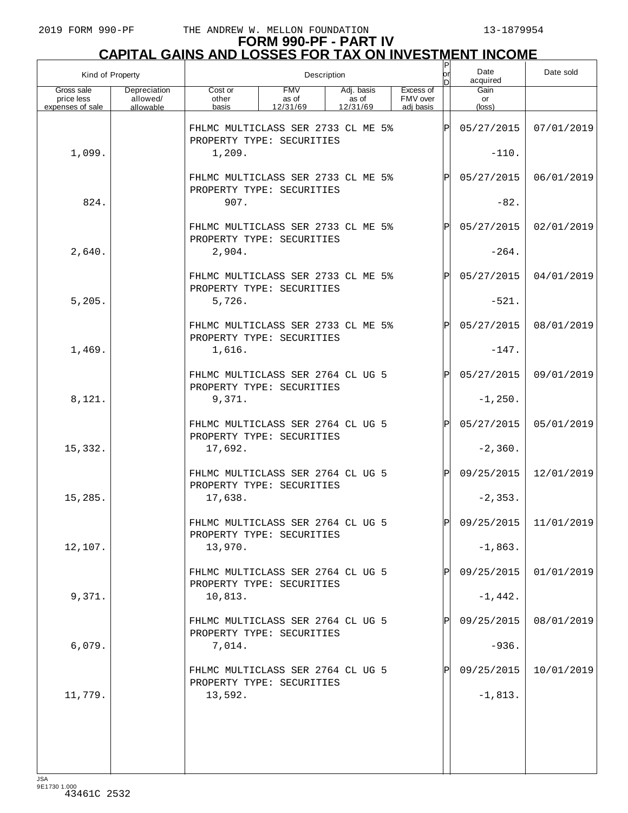# **FORM 990-PF - PART IV CAPITAL GAINS AND LOSSES FOR TAX ON INVESTMENT INCOME** P

| Kind of Property                             |                                       |                                                                 |                                 |                                 | Description |                                    |              |                      |                         |  |
|----------------------------------------------|---------------------------------------|-----------------------------------------------------------------|---------------------------------|---------------------------------|-------------|------------------------------------|--------------|----------------------|-------------------------|--|
| Gross sale<br>price less<br>expenses of sale | Depreciation<br>allowed/<br>allowable | Cost or<br>other<br>basis                                       | <b>FMV</b><br>as of<br>12/31/69 | Adj. basis<br>as of<br>12/31/69 |             | Excess of<br>FMV over<br>adi basis |              | Gain<br>or<br>(loss) |                         |  |
|                                              |                                       | FHLMC MULTICLASS SER 2733 CL ME 5%<br>PROPERTY TYPE: SECURITIES |                                 |                                 |             |                                    | ΙÞΙ          | 05/27/2015           | 07/01/2019              |  |
| 1,099.                                       |                                       | 1,209.                                                          |                                 |                                 |             |                                    |              | $-110.$              |                         |  |
|                                              |                                       | FHLMC MULTICLASS SER 2733 CL ME 5%<br>PROPERTY TYPE: SECURITIES |                                 |                                 |             |                                    | Þl           | 05/27/2015           | 06/01/2019              |  |
| 824.                                         |                                       | 907.                                                            |                                 |                                 |             |                                    |              | $-82.$               |                         |  |
|                                              |                                       | FHLMC MULTICLASS SER 2733 CL ME 5%<br>PROPERTY TYPE: SECURITIES |                                 |                                 |             |                                    | $\mathsf{P}$ | 05/27/2015           | 02/01/2019              |  |
| 2,640.                                       |                                       | 2,904.                                                          |                                 |                                 |             |                                    |              | $-264.$              |                         |  |
|                                              |                                       | FHLMC MULTICLASS SER 2733 CL ME 5%<br>PROPERTY TYPE: SECURITIES |                                 |                                 |             |                                    | $\mathsf{P}$ | 05/27/2015           | 04/01/2019              |  |
| 5,205.                                       |                                       | 5,726.                                                          |                                 |                                 |             |                                    |              | $-521.$              |                         |  |
|                                              |                                       | FHLMC MULTICLASS SER 2733 CL ME 5%<br>PROPERTY TYPE: SECURITIES |                                 |                                 |             |                                    | Þl           | 05/27/2015           | 08/01/2019              |  |
| 1,469.                                       |                                       | 1,616.                                                          |                                 |                                 |             |                                    |              | $-147.$              |                         |  |
|                                              |                                       | FHLMC MULTICLASS SER 2764 CL UG 5<br>PROPERTY TYPE: SECURITIES  |                                 |                                 |             |                                    | $\mathsf{P}$ | 05/27/2015           | 09/01/2019              |  |
| 8,121.                                       |                                       | 9,371.                                                          |                                 |                                 |             |                                    |              | $-1, 250.$           |                         |  |
|                                              |                                       | FHLMC MULTICLASS SER 2764 CL UG 5<br>PROPERTY TYPE: SECURITIES  |                                 |                                 |             |                                    | $\mathsf{P}$ | 05/27/2015           | 05/01/2019              |  |
| 15,332.                                      |                                       | 17,692.                                                         |                                 |                                 |             |                                    |              | $-2,360.$            |                         |  |
|                                              |                                       | FHLMC MULTICLASS SER 2764 CL UG 5<br>PROPERTY TYPE: SECURITIES  |                                 |                                 |             |                                    | $\mathsf{P}$ | 09/25/2015           | 12/01/2019              |  |
| 15,285.                                      |                                       | 17,638.                                                         |                                 |                                 |             |                                    |              | $-2, 353.$           |                         |  |
|                                              |                                       | FHLMC MULTICLASS SER 2764 CL UG 5<br>PROPERTY TYPE: SECURITIES  |                                 |                                 |             |                                    | Þl           |                      | $09/25/2015$ 11/01/2019 |  |
| 12,107.                                      |                                       | 13,970.                                                         |                                 |                                 |             |                                    |              | $-1,863.$            |                         |  |
|                                              |                                       | FHLMC MULTICLASS SER 2764 CL UG 5<br>PROPERTY TYPE: SECURITIES  |                                 |                                 |             |                                    |              | 09/25/2015           | 01/01/2019              |  |
| 9,371.                                       |                                       | 10,813.                                                         |                                 |                                 |             |                                    |              | $-1,442.$            |                         |  |
|                                              |                                       | FHLMC MULTICLASS SER 2764 CL UG 5<br>PROPERTY TYPE: SECURITIES  |                                 |                                 |             |                                    |              | 09/25/2015           | 08/01/2019              |  |
| 6,079.                                       |                                       | 7,014.                                                          |                                 |                                 |             |                                    |              | $-936.$              |                         |  |
|                                              |                                       | FHLMC MULTICLASS SER 2764 CL UG 5<br>PROPERTY TYPE: SECURITIES  |                                 |                                 |             |                                    |              | 09/25/2015           | 10/01/2019              |  |
| 11,779.                                      |                                       | 13,592.                                                         |                                 |                                 |             |                                    |              | $-1,813.$            |                         |  |
|                                              |                                       |                                                                 |                                 |                                 |             |                                    |              |                      |                         |  |
|                                              |                                       |                                                                 |                                 |                                 |             |                                    |              |                      |                         |  |
|                                              |                                       |                                                                 |                                 |                                 |             |                                    |              |                      |                         |  |

JSA 9E1730 1.000 43461C 2532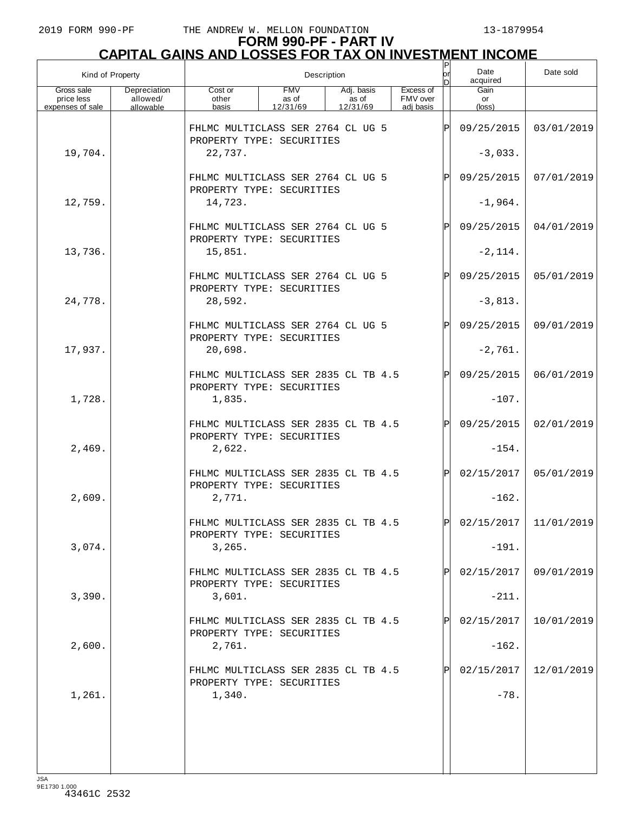| Kind of Property                             |                                       | Description                                                      |                                 |                                 |                                    | Ρ<br>or     | Date<br>acquired              | Date sold               |
|----------------------------------------------|---------------------------------------|------------------------------------------------------------------|---------------------------------|---------------------------------|------------------------------------|-------------|-------------------------------|-------------------------|
| Gross sale<br>price less<br>expenses of sale | Depreciation<br>allowed/<br>allowable | Cost or<br>other<br>basis                                        | <b>FMV</b><br>as of<br>12/31/69 | Adj. basis<br>as of<br>12/31/69 | Excess of<br>FMV over<br>adi basis |             | Gain<br>or<br>$(\text{loss})$ |                         |
|                                              |                                       | FHLMC MULTICLASS SER 2764 CL UG 5                                |                                 |                                 |                                    | P           | 09/25/2015                    | 03/01/2019              |
| 19,704.                                      |                                       | PROPERTY TYPE: SECURITIES<br>22,737.                             |                                 |                                 |                                    |             | $-3,033.$                     |                         |
|                                              |                                       | FHLMC MULTICLASS SER 2764 CL UG 5                                |                                 |                                 |                                    | $\mathbf P$ | 09/25/2015                    | 07/01/2019              |
| 12,759.                                      |                                       | PROPERTY TYPE: SECURITIES<br>14,723.                             |                                 |                                 |                                    |             | $-1,964.$                     |                         |
|                                              |                                       | FHLMC MULTICLASS SER 2764 CL UG 5<br>PROPERTY TYPE: SECURITIES   |                                 |                                 |                                    |             | 09/25/2015                    | 04/01/2019              |
| 13,736.                                      |                                       | 15,851.                                                          |                                 |                                 |                                    |             | $-2, 114.$                    |                         |
|                                              |                                       | FHLMC MULTICLASS SER 2764 CL UG 5<br>PROPERTY TYPE: SECURITIES   |                                 |                                 |                                    | $\mathbf P$ | 09/25/2015                    | 05/01/2019              |
| 24,778.                                      |                                       | 28,592.                                                          |                                 |                                 |                                    |             | $-3,813.$                     |                         |
| 17,937.                                      |                                       | FHLMC MULTICLASS SER 2764 CL UG 5<br>PROPERTY TYPE: SECURITIES   |                                 |                                 |                                    | $\mathbf P$ | 09/25/2015                    | 09/01/2019              |
|                                              |                                       | 20,698.                                                          |                                 |                                 |                                    |             | $-2,761.$                     |                         |
|                                              |                                       | FHLMC MULTICLASS SER 2835 CL TB 4.5<br>PROPERTY TYPE: SECURITIES |                                 |                                 |                                    |             | 09/25/2015                    | 06/01/2019              |
| 1,728.                                       |                                       | 1,835.                                                           |                                 |                                 |                                    |             | $-107.$                       |                         |
|                                              |                                       | FHLMC MULTICLASS SER 2835 CL TB 4.5<br>PROPERTY TYPE: SECURITIES |                                 |                                 |                                    |             | 09/25/2015                    | 02/01/2019              |
| 2,469.                                       |                                       | 2,622.                                                           |                                 |                                 |                                    |             | $-154.$                       |                         |
|                                              |                                       | FHLMC MULTICLASS SER 2835 CL TB 4.5<br>PROPERTY TYPE: SECURITIES |                                 |                                 |                                    |             | 02/15/2017                    | 05/01/2019              |
| 2,609.                                       |                                       | 2,771.<br>FHLMC MULTICLASS SER 2835 CL TB 4.5                    |                                 |                                 |                                    | DI          | $-162.$                       | $02/15/2017$ 11/01/2019 |
| 3,074.                                       |                                       | PROPERTY TYPE: SECURITIES<br>3,265.                              |                                 |                                 |                                    |             | $-191.$                       |                         |
|                                              |                                       | FHLMC MULTICLASS SER 2835 CL TB 4.5                              |                                 |                                 |                                    |             | 02/15/2017                    | 09/01/2019              |
| 3,390.                                       |                                       | PROPERTY TYPE: SECURITIES<br>3,601.                              |                                 |                                 |                                    |             | $-211.$                       |                         |
|                                              |                                       | FHLMC MULTICLASS SER 2835 CL TB 4.5                              |                                 |                                 |                                    |             | 02/15/2017                    | 10/01/2019              |
| 2,600.                                       |                                       | PROPERTY TYPE: SECURITIES<br>2,761.                              |                                 |                                 |                                    |             | $-162.$                       |                         |
|                                              |                                       | FHLMC MULTICLASS SER 2835 CL TB 4.5                              |                                 |                                 |                                    |             | 02/15/2017                    | 12/01/2019              |
| 1,261.                                       |                                       | PROPERTY TYPE: SECURITIES<br>1,340.                              |                                 |                                 |                                    |             | $-78.$                        |                         |
|                                              |                                       |                                                                  |                                 |                                 |                                    |             |                               |                         |
|                                              |                                       |                                                                  |                                 |                                 |                                    |             |                               |                         |
|                                              |                                       |                                                                  |                                 |                                 |                                    |             |                               |                         |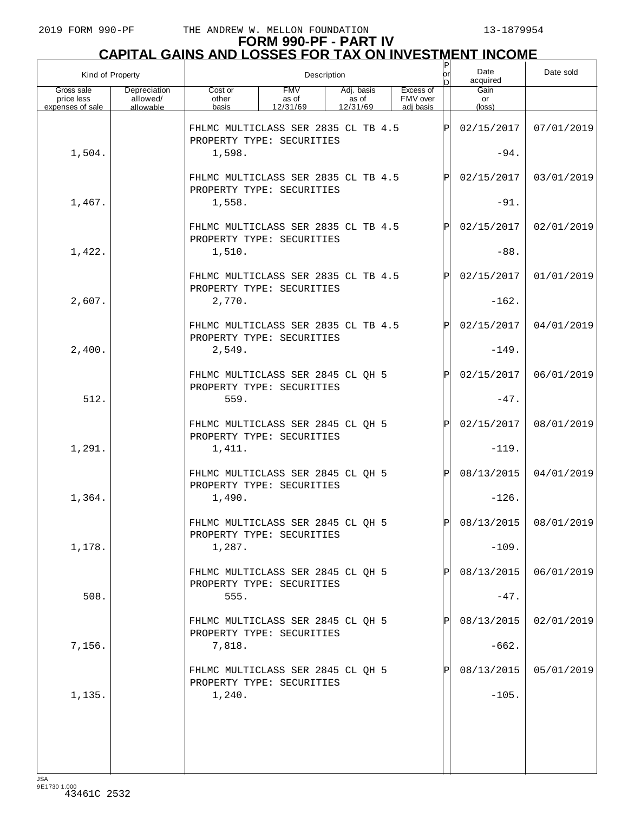|                                              | Kind of Property<br>Description       |                                                                  |                                 |                                 |                                    |     | Date<br>acquired     | Date sold             |
|----------------------------------------------|---------------------------------------|------------------------------------------------------------------|---------------------------------|---------------------------------|------------------------------------|-----|----------------------|-----------------------|
| Gross sale<br>price less<br>expenses of sale | Depreciation<br>allowed/<br>allowable | Cost or<br>other<br>basis                                        | <b>FMV</b><br>as of<br>12/31/69 | Adj. basis<br>as of<br>12/31/69 | Excess of<br>FMV over<br>adi basis |     | Gain<br>or<br>(loss) |                       |
|                                              |                                       | FHLMC MULTICLASS SER 2835 CL TB 4.5<br>PROPERTY TYPE: SECURITIES |                                 |                                 |                                    | ΙP  | 02/15/2017           | 07/01/2019            |
| 1,504.                                       |                                       | 1,598.                                                           |                                 |                                 |                                    |     | $-94.$               |                       |
|                                              |                                       | FHLMC MULTICLASS SER 2835 CL TB 4.5<br>PROPERTY TYPE: SECURITIES |                                 |                                 |                                    | ΙPΙ | 02/15/2017           | 03/01/2019            |
| 1,467.                                       |                                       | 1,558.                                                           |                                 |                                 |                                    |     | $-91.$               |                       |
|                                              |                                       | FHLMC MULTICLASS SER 2835 CL TB 4.5<br>PROPERTY TYPE: SECURITIES |                                 |                                 |                                    | ΙP  | 02/15/2017           | 02/01/2019            |
| 1,422.                                       |                                       | 1,510.                                                           |                                 |                                 |                                    |     | $-88.$               |                       |
|                                              |                                       | FHLMC MULTICLASS SER 2835 CL TB 4.5<br>PROPERTY TYPE: SECURITIES |                                 |                                 |                                    | ΙP  | 02/15/2017           | 01/01/2019            |
| 2,607.                                       |                                       | 2,770.                                                           |                                 |                                 |                                    |     | $-162.$              |                       |
|                                              |                                       | FHLMC MULTICLASS SER 2835 CL TB 4.5<br>PROPERTY TYPE: SECURITIES |                                 |                                 |                                    | ΙP  | 02/15/2017           | 04/01/2019            |
| 2,400.                                       |                                       | 2,549.                                                           |                                 |                                 |                                    |     | $-149.$              |                       |
|                                              |                                       | FHLMC MULTICLASS SER 2845 CL QH 5<br>PROPERTY TYPE: SECURITIES   |                                 |                                 |                                    | ΙP  | 02/15/2017           | 06/01/2019            |
| 512.                                         |                                       | 559.                                                             |                                 |                                 |                                    |     | $-47.$               |                       |
|                                              |                                       | FHLMC MULTICLASS SER 2845 CL QH 5<br>PROPERTY TYPE: SECURITIES   |                                 |                                 |                                    | ΙPΙ | 02/15/2017           | 08/01/2019            |
| 1,291.                                       |                                       | 1,411.                                                           |                                 |                                 |                                    |     | $-119.$              |                       |
|                                              |                                       | FHLMC MULTICLASS SER 2845 CL QH 5<br>PROPERTY TYPE: SECURITIES   |                                 |                                 |                                    | ΙP  | 08/13/2015           | 04/01/2019            |
| 1,364.                                       |                                       | 1,490.                                                           |                                 |                                 |                                    |     | $-126$ .             |                       |
|                                              |                                       | FHLMC MULTICLASS SER 2845 CL QH 5<br>PROPERTY TYPE: SECURITIES   |                                 |                                 |                                    | D   |                      | 08/13/2015 08/01/2019 |
| 1,178.                                       |                                       | 1,287.                                                           |                                 |                                 |                                    |     | $-109.$              |                       |
|                                              |                                       | FHLMC MULTICLASS SER 2845 CL QH 5<br>PROPERTY TYPE: SECURITIES   |                                 |                                 |                                    |     | 08/13/2015           | 06/01/2019            |
| 508.                                         |                                       | 555.                                                             |                                 |                                 |                                    |     | $-47.$               |                       |
|                                              |                                       | FHLMC MULTICLASS SER 2845 CL QH 5<br>PROPERTY TYPE: SECURITIES   |                                 |                                 |                                    |     | 08/13/2015           | 02/01/2019            |
| 7,156.                                       |                                       | 7,818.                                                           |                                 |                                 |                                    |     | $-662.$              |                       |
|                                              |                                       | FHLMC MULTICLASS SER 2845 CL QH 5<br>PROPERTY TYPE: SECURITIES   |                                 |                                 |                                    |     | 08/13/2015           | 05/01/2019            |
| 1,135.                                       |                                       | 1,240.                                                           |                                 |                                 |                                    |     | $-105.$              |                       |
|                                              |                                       |                                                                  |                                 |                                 |                                    |     |                      |                       |
|                                              |                                       |                                                                  |                                 |                                 |                                    |     |                      |                       |
| ICA                                          |                                       |                                                                  |                                 |                                 |                                    |     |                      |                       |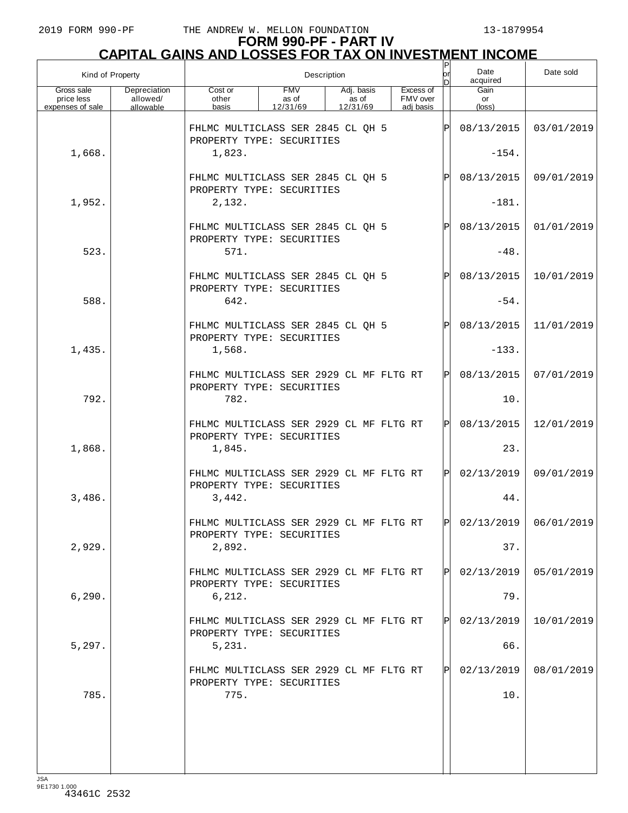|                                              | Kind of Property                      | Description                                                                    |                                 |                                 |                                    | $\sf P$<br>lor | Date<br>acquired              | Date sold  |
|----------------------------------------------|---------------------------------------|--------------------------------------------------------------------------------|---------------------------------|---------------------------------|------------------------------------|----------------|-------------------------------|------------|
| Gross sale<br>price less<br>expenses of sale | Depreciation<br>allowed/<br>allowable | Cost or<br>other<br>basis                                                      | <b>FMV</b><br>as of<br>12/31/69 | Adj. basis<br>as of<br>12/31/69 | Excess of<br>FMV over<br>adi basis |                | Gain<br>or<br>$(\text{loss})$ |            |
|                                              |                                       | FHLMC MULTICLASS SER 2845 CL QH 5                                              |                                 |                                 |                                    | ΙPΙ            | 08/13/2015                    | 03/01/2019 |
| 1,668.                                       |                                       | PROPERTY TYPE: SECURITIES<br>1,823.                                            |                                 |                                 |                                    |                | $-154.$                       |            |
|                                              |                                       | FHLMC MULTICLASS SER 2845 CL QH 5<br>PROPERTY TYPE: SECURITIES                 |                                 |                                 |                                    | $\mathbf P$    | 08/13/2015                    | 09/01/2019 |
| 1,952.                                       |                                       | 2,132.                                                                         |                                 |                                 |                                    |                | $-181.$                       |            |
|                                              |                                       | FHLMC MULTICLASS SER 2845 CL QH 5<br>PROPERTY TYPE: SECURITIES                 |                                 |                                 |                                    | $\mathbf P$    | 08/13/2015                    | 01/01/2019 |
| 523.                                         |                                       | 571.                                                                           |                                 |                                 |                                    |                | $-48.$                        |            |
|                                              |                                       | FHLMC MULTICLASS SER 2845 CL QH 5<br>PROPERTY TYPE: SECURITIES                 |                                 |                                 |                                    | $\mathbf P$    | 08/13/2015                    | 10/01/2019 |
| 588.                                         |                                       | 642.                                                                           |                                 |                                 |                                    |                | $-54.$                        |            |
|                                              |                                       | FHLMC MULTICLASS SER 2845 CL QH 5<br>PROPERTY TYPE: SECURITIES                 |                                 |                                 |                                    | $\mathsf{P}$   | 08/13/2015                    | 11/01/2019 |
| 1,435.                                       |                                       | 1,568.                                                                         |                                 |                                 |                                    |                | $-133.$                       |            |
|                                              |                                       | FHLMC MULTICLASS SER 2929 CL MF FLTG RT<br>PROPERTY TYPE: SECURITIES           |                                 |                                 |                                    | ΙÞΙ            | 08/13/2015                    | 07/01/2019 |
| 792.                                         |                                       | 782.                                                                           |                                 |                                 |                                    |                | 10.                           |            |
| 1,868.                                       |                                       | FHLMC MULTICLASS SER 2929 CL MF FLTG RT<br>PROPERTY TYPE: SECURITIES<br>1,845. |                                 |                                 |                                    | ΙÞΙ            | 08/13/2015<br>23.             | 12/01/2019 |
|                                              |                                       | FHLMC MULTICLASS SER 2929 CL MF FLTG RT                                        |                                 |                                 |                                    | Pl             | 02/13/2019                    | 09/01/2019 |
| 3,486.                                       |                                       | PROPERTY TYPE: SECURITIES<br>3,442.                                            |                                 |                                 |                                    |                | 44.                           |            |
|                                              |                                       | FHLMC MULTICLASS SER 2929 CL MF FLTG RT                                        |                                 |                                 |                                    |                | $ P $ 02/13/2019 06/01/2019   |            |
| 2,929.                                       |                                       | PROPERTY TYPE: SECURITIES<br>2,892.                                            |                                 |                                 |                                    |                | 37.                           |            |
|                                              |                                       | FHLMC MULTICLASS SER 2929 CL MF FLTG RT                                        |                                 |                                 |                                    | Pl             | 02/13/2019                    | 05/01/2019 |
| 6, 290.                                      |                                       | PROPERTY TYPE: SECURITIES<br>6,212.                                            |                                 |                                 |                                    |                | 79.                           |            |
|                                              |                                       | FHLMC MULTICLASS SER 2929 CL MF FLTG RT                                        |                                 |                                 |                                    | Pl             | 02/13/2019                    | 10/01/2019 |
| 5,297.                                       |                                       | PROPERTY TYPE: SECURITIES<br>5,231.                                            |                                 |                                 |                                    |                | 66.                           |            |
|                                              |                                       | FHLMC MULTICLASS SER 2929 CL MF FLTG RT                                        |                                 |                                 |                                    | Pl             | 02/13/2019                    | 08/01/2019 |
| 785.                                         |                                       | PROPERTY TYPE: SECURITIES<br>775.                                              |                                 |                                 |                                    |                | 10.                           |            |
|                                              |                                       |                                                                                |                                 |                                 |                                    |                |                               |            |
|                                              |                                       |                                                                                |                                 |                                 |                                    |                |                               |            |
|                                              |                                       |                                                                                |                                 |                                 |                                    |                |                               |            |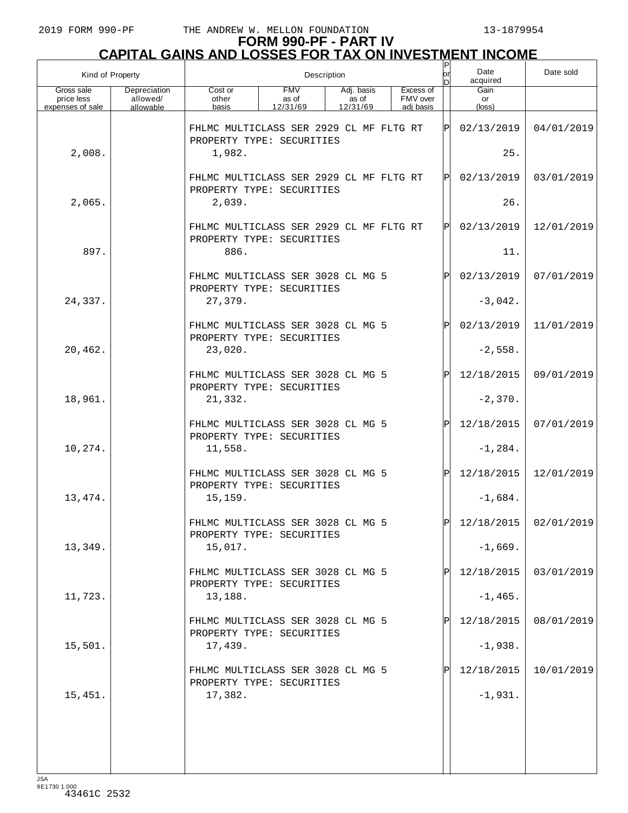| Kind of Property                             |                                       |                                                                      |                                 | Description                     |                                    | Ρ<br>or | Date sold            |            |
|----------------------------------------------|---------------------------------------|----------------------------------------------------------------------|---------------------------------|---------------------------------|------------------------------------|---------|----------------------|------------|
| Gross sale<br>price less<br>expenses of sale | Depreciation<br>allowed/<br>allowable | Cost or<br>other<br>basis                                            | <b>FMV</b><br>as of<br>12/31/69 | Adj. basis<br>as of<br>12/31/69 | Excess of<br>FMV over<br>adj basis |         | Gain<br>or<br>(loss) |            |
|                                              |                                       | FHLMC MULTICLASS SER 2929 CL MF FLTG RT<br>PROPERTY TYPE: SECURITIES |                                 |                                 |                                    | ΙÞΙ     | 02/13/2019           | 04/01/2019 |
| 2,008.                                       |                                       | 1,982.                                                               |                                 |                                 |                                    |         | 25.                  |            |
|                                              |                                       | FHLMC MULTICLASS SER 2929 CL MF FLTG RT<br>PROPERTY TYPE: SECURITIES |                                 |                                 |                                    | ΙÞΙ     | 02/13/2019           | 03/01/2019 |
| 2,065.                                       |                                       | 2,039.                                                               |                                 |                                 |                                    |         | 26.                  |            |
|                                              |                                       | FHLMC MULTICLASS SER 2929 CL MF FLTG RT<br>PROPERTY TYPE: SECURITIES |                                 |                                 |                                    | ΙÞΙ     | 02/13/2019           | 12/01/2019 |
| 897.                                         |                                       | 886.                                                                 |                                 |                                 |                                    |         | 11.                  |            |
|                                              |                                       | FHLMC MULTICLASS SER 3028 CL MG 5<br>PROPERTY TYPE: SECURITIES       |                                 |                                 |                                    | ΙÞΙ     | 02/13/2019           | 07/01/2019 |
| 24,337.                                      |                                       | 27,379.                                                              |                                 |                                 |                                    |         | $-3,042.$            |            |
|                                              |                                       | FHLMC MULTICLASS SER 3028 CL MG 5<br>PROPERTY TYPE: SECURITIES       |                                 |                                 |                                    | ΙÞΙ     | 02/13/2019           | 11/01/2019 |
| 20,462.                                      |                                       | 23,020.                                                              |                                 |                                 |                                    |         | $-2,558.$            |            |
|                                              |                                       | FHLMC MULTICLASS SER 3028 CL MG 5<br>PROPERTY TYPE: SECURITIES       |                                 |                                 |                                    | ΙÞΙ     | 12/18/2015           | 09/01/2019 |
| 18,961.                                      |                                       | 21,332.                                                              |                                 |                                 |                                    |         | $-2,370.$            |            |
|                                              |                                       | FHLMC MULTICLASS SER 3028 CL MG 5<br>PROPERTY TYPE: SECURITIES       |                                 |                                 |                                    | ΙPΙ     | 12/18/2015           | 07/01/2019 |
| 10,274.                                      |                                       | 11,558.                                                              |                                 |                                 |                                    |         | $-1, 284.$           |            |
|                                              |                                       | FHLMC MULTICLASS SER 3028 CL MG 5<br>PROPERTY TYPE: SECURITIES       |                                 |                                 |                                    | ΙÞΙ     | 12/18/2015           | 12/01/2019 |
| 13,474.                                      |                                       | 15, 159.                                                             |                                 |                                 |                                    |         | $-1,684.$            |            |
|                                              |                                       | FHLMC MULTICLASS SER 3028 CL MG 5<br>PROPERTY TYPE: SECURITIES       |                                 |                                 |                                    | ldl     | 12/18/2015           | 02/01/2019 |
| 13,349.                                      |                                       | 15,017.                                                              |                                 |                                 |                                    |         | $-1,669.$            |            |
|                                              |                                       | FHLMC MULTICLASS SER 3028 CL MG 5<br>PROPERTY TYPE: SECURITIES       |                                 |                                 |                                    | ΙPΙ     | 12/18/2015           | 03/01/2019 |
| 11,723.                                      |                                       | 13,188.                                                              |                                 |                                 |                                    |         | $-1,465.$            |            |
|                                              |                                       | FHLMC MULTICLASS SER 3028 CL MG 5<br>PROPERTY TYPE: SECURITIES       |                                 |                                 |                                    | ΙPΙ     | 12/18/2015           | 08/01/2019 |
| 15,501.                                      |                                       | 17,439.                                                              |                                 |                                 |                                    |         | $-1,938.$            |            |
|                                              |                                       | FHLMC MULTICLASS SER 3028 CL MG 5<br>PROPERTY TYPE: SECURITIES       |                                 |                                 |                                    | ΙPΙ     | 12/18/2015           | 10/01/2019 |
| 15,451.                                      |                                       | 17,382.                                                              |                                 |                                 |                                    |         | $-1,931.$            |            |
|                                              |                                       |                                                                      |                                 |                                 |                                    |         |                      |            |
|                                              |                                       |                                                                      |                                 |                                 |                                    |         |                      |            |
| 1C                                           |                                       |                                                                      |                                 |                                 |                                    |         |                      |            |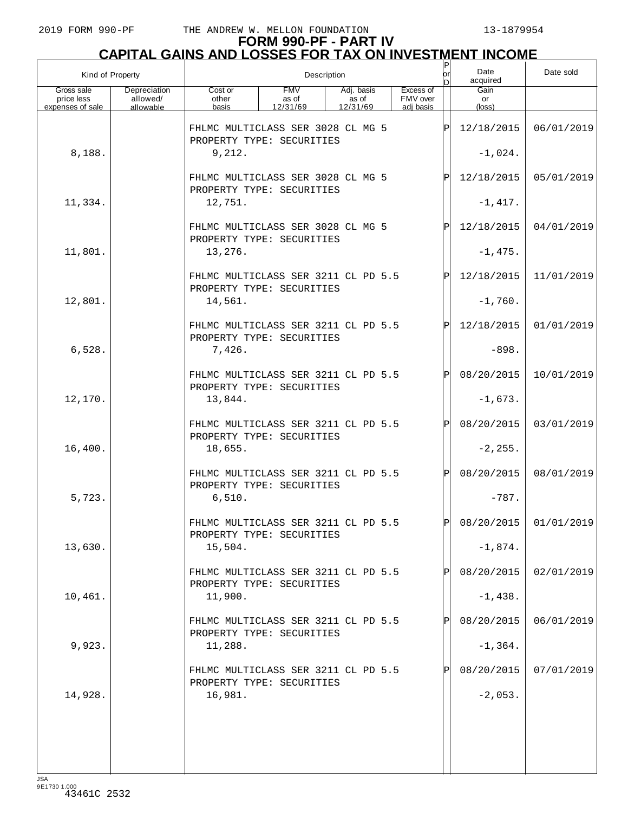|                                              | Kind of Property<br>Description       |                                                                  |                                 |                                 | P<br>lor                           | Date<br>acquired | Date sold                     |                       |
|----------------------------------------------|---------------------------------------|------------------------------------------------------------------|---------------------------------|---------------------------------|------------------------------------|------------------|-------------------------------|-----------------------|
| Gross sale<br>price less<br>expenses of sale | Depreciation<br>allowed/<br>allowable | Cost or<br>other<br>basis                                        | <b>FMV</b><br>as of<br>12/31/69 | Adj. basis<br>as of<br>12/31/69 | Excess of<br>FMV over<br>adi basis |                  | Gain<br>or<br>$(\text{loss})$ |                       |
|                                              |                                       | FHLMC MULTICLASS SER 3028 CL MG 5                                |                                 |                                 |                                    | ΙPΙ              | 12/18/2015                    | 06/01/2019            |
| 8,188.                                       |                                       | PROPERTY TYPE: SECURITIES<br>9,212.                              |                                 |                                 |                                    |                  | $-1,024.$                     |                       |
|                                              |                                       | FHLMC MULTICLASS SER 3028 CL MG 5                                |                                 |                                 |                                    | ΙPΙ              | 12/18/2015                    | 05/01/2019            |
| 11,334.                                      |                                       | PROPERTY TYPE: SECURITIES<br>12,751.                             |                                 |                                 |                                    |                  | $-1,417.$                     |                       |
|                                              |                                       | FHLMC MULTICLASS SER 3028 CL MG 5                                |                                 |                                 |                                    | ΙPΙ              | 12/18/2015                    | 04/01/2019            |
| 11,801.                                      |                                       | PROPERTY TYPE: SECURITIES<br>13,276.                             |                                 |                                 |                                    |                  |                               |                       |
|                                              |                                       |                                                                  |                                 |                                 |                                    |                  | $-1,475.$                     |                       |
|                                              |                                       | FHLMC MULTICLASS SER 3211 CL PD 5.5<br>PROPERTY TYPE: SECURITIES |                                 |                                 |                                    | ΙPΙ              | 12/18/2015                    | 11/01/2019            |
| 12,801.                                      |                                       | 14,561.                                                          |                                 |                                 |                                    |                  | $-1,760.$                     |                       |
|                                              |                                       | FHLMC MULTICLASS SER 3211 CL PD 5.5<br>PROPERTY TYPE: SECURITIES |                                 |                                 |                                    | ΙPΙ              | 12/18/2015                    | 01/01/2019            |
| 6,528.                                       |                                       | 7,426.                                                           |                                 |                                 |                                    |                  | $-898.$                       |                       |
|                                              |                                       | FHLMC MULTICLASS SER 3211 CL PD 5.5<br>PROPERTY TYPE: SECURITIES |                                 |                                 |                                    |                  | 08/20/2015                    | 10/01/2019            |
| 12,170.                                      |                                       | 13,844.                                                          |                                 |                                 |                                    |                  | $-1,673.$                     |                       |
|                                              |                                       | FHLMC MULTICLASS SER 3211 CL PD 5.5                              |                                 |                                 |                                    |                  | 08/20/2015                    | 03/01/2019            |
| 16,400.                                      |                                       | PROPERTY TYPE: SECURITIES<br>18,655.                             |                                 |                                 |                                    |                  | $-2, 255.$                    |                       |
|                                              |                                       | FHLMC MULTICLASS SER 3211 CL PD 5.5                              |                                 |                                 |                                    |                  | 08/20/2015                    | 08/01/2019            |
| 5,723.                                       |                                       | PROPERTY TYPE: SECURITIES<br>6,510.                              |                                 |                                 |                                    |                  | $-787.$                       |                       |
|                                              |                                       | FHLMC MULTICLASS SER 3211 CL PD 5.5                              |                                 |                                 |                                    | DI               |                               | 08/20/2015 01/01/2019 |
| 13,630.                                      |                                       | PROPERTY TYPE: SECURITIES<br>15,504.                             |                                 |                                 |                                    |                  | $-1,874.$                     |                       |
|                                              |                                       | FHLMC MULTICLASS SER 3211 CL PD 5.5                              |                                 |                                 |                                    |                  | 08/20/2015                    | 02/01/2019            |
| 10,461.                                      |                                       | PROPERTY TYPE: SECURITIES<br>11,900.                             |                                 |                                 |                                    |                  | $-1,438.$                     |                       |
|                                              |                                       | FHLMC MULTICLASS SER 3211 CL PD 5.5                              |                                 |                                 |                                    |                  | 08/20/2015                    | 06/01/2019            |
| 9,923.                                       |                                       | PROPERTY TYPE: SECURITIES<br>11,288.                             |                                 |                                 |                                    |                  | $-1, 364.$                    |                       |
|                                              |                                       | FHLMC MULTICLASS SER 3211 CL PD 5.5                              |                                 |                                 |                                    |                  | 08/20/2015                    | 07/01/2019            |
|                                              |                                       | PROPERTY TYPE: SECURITIES                                        |                                 |                                 |                                    |                  |                               |                       |
| 14,928.                                      |                                       | 16,981.                                                          |                                 |                                 |                                    |                  | $-2,053.$                     |                       |
|                                              |                                       |                                                                  |                                 |                                 |                                    |                  |                               |                       |
|                                              |                                       |                                                                  |                                 |                                 |                                    |                  |                               |                       |
|                                              |                                       |                                                                  |                                 |                                 |                                    |                  |                               |                       |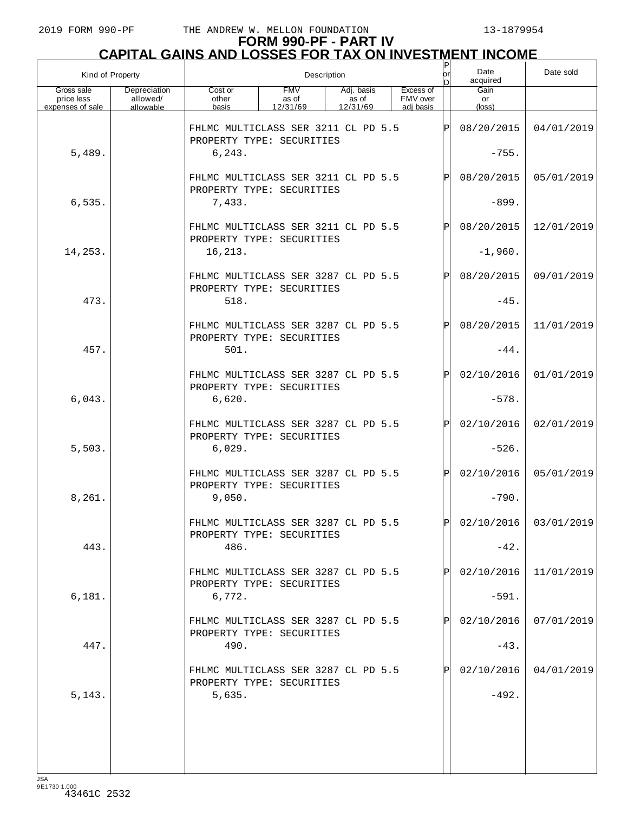| Kind of Property                             |                                       | Description                                                      |                                 |                                 |                                    | P<br>lor     | Date<br>acquired              | Date sold               |
|----------------------------------------------|---------------------------------------|------------------------------------------------------------------|---------------------------------|---------------------------------|------------------------------------|--------------|-------------------------------|-------------------------|
| Gross sale<br>price less<br>expenses of sale | Depreciation<br>allowed/<br>allowable | Cost or<br>other<br>basis                                        | <b>FMV</b><br>as of<br>12/31/69 | Adj. basis<br>as of<br>12/31/69 | Excess of<br>FMV over<br>adi basis |              | Gain<br>or<br>$(\text{loss})$ |                         |
|                                              |                                       | FHLMC MULTICLASS SER 3211 CL PD 5.5                              |                                 |                                 |                                    | Þ            | 08/20/2015                    | 04/01/2019              |
| 5,489.                                       |                                       | PROPERTY TYPE: SECURITIES<br>6, 243.                             |                                 |                                 |                                    |              | $-755.$                       |                         |
|                                              |                                       | FHLMC MULTICLASS SER 3211 CL PD 5.5                              |                                 |                                 |                                    | $\mathsf{P}$ | 08/20/2015                    | 05/01/2019              |
| 6,535.                                       |                                       | PROPERTY TYPE: SECURITIES<br>7,433.                              |                                 |                                 |                                    |              | $-899.$                       |                         |
|                                              |                                       | FHLMC MULTICLASS SER 3211 CL PD 5.5                              |                                 |                                 |                                    | $\mathsf{P}$ | 08/20/2015                    | 12/01/2019              |
| 14,253.                                      |                                       | PROPERTY TYPE: SECURITIES<br>16,213.                             |                                 |                                 |                                    |              | $-1,960.$                     |                         |
|                                              |                                       | FHLMC MULTICLASS SER 3287 CL PD 5.5<br>PROPERTY TYPE: SECURITIES |                                 |                                 |                                    | $\mathsf{P}$ | 08/20/2015                    | 09/01/2019              |
| 473.                                         |                                       | 518.                                                             |                                 |                                 |                                    |              | $-45.$                        |                         |
|                                              |                                       | FHLMC MULTICLASS SER 3287 CL PD 5.5<br>PROPERTY TYPE: SECURITIES |                                 |                                 |                                    | $\mathsf{P}$ | 08/20/2015                    | 11/01/2019              |
| 457.                                         |                                       | 501.                                                             |                                 |                                 |                                    |              | $-44.$                        |                         |
|                                              |                                       | FHLMC MULTICLASS SER 3287 CL PD 5.5<br>PROPERTY TYPE: SECURITIES |                                 |                                 |                                    | ΙPΙ          | 02/10/2016                    | 01/01/2019              |
| 6,043.                                       |                                       | 6,620.                                                           |                                 |                                 |                                    |              | $-578.$                       |                         |
|                                              |                                       | FHLMC MULTICLASS SER 3287 CL PD 5.5<br>PROPERTY TYPE: SECURITIES |                                 |                                 |                                    | ΙPΙ          | 02/10/2016                    | 02/01/2019              |
| 5,503.                                       |                                       | 6,029.                                                           |                                 |                                 |                                    |              | $-526.$                       |                         |
|                                              |                                       | FHLMC MULTICLASS SER 3287 CL PD 5.5<br>PROPERTY TYPE: SECURITIES |                                 |                                 |                                    | ΙPΙ          | 02/10/2016                    | 05/01/2019              |
| 8,261.                                       |                                       | 9.050.                                                           |                                 |                                 |                                    |              | $-790.$                       |                         |
|                                              |                                       | FHLMC MULTICLASS SER 3287 CL PD 5.5<br>PROPERTY TYPE: SECURITIES |                                 |                                 |                                    | וסו          |                               | $02/10/2016$ 03/01/2019 |
| 443.                                         |                                       | 486.                                                             |                                 |                                 |                                    |              | $-42.$                        |                         |
|                                              |                                       | FHLMC MULTICLASS SER 3287 CL PD 5.5<br>PROPERTY TYPE: SECURITIES |                                 |                                 |                                    |              | 02/10/2016                    | 11/01/2019              |
| 6,181.                                       |                                       | 6,772.                                                           |                                 |                                 |                                    |              | $-591.$                       |                         |
|                                              |                                       | FHLMC MULTICLASS SER 3287 CL PD 5.5<br>PROPERTY TYPE: SECURITIES |                                 |                                 |                                    |              | 02/10/2016                    | 07/01/2019              |
| 447.                                         |                                       | 490.                                                             |                                 |                                 |                                    |              | $-43.$                        |                         |
|                                              |                                       | FHLMC MULTICLASS SER 3287 CL PD 5.5<br>PROPERTY TYPE: SECURITIES |                                 |                                 |                                    |              | 02/10/2016                    | 04/01/2019              |
| 5, 143.                                      |                                       | 5,635.                                                           |                                 |                                 |                                    |              | $-492.$                       |                         |
|                                              |                                       |                                                                  |                                 |                                 |                                    |              |                               |                         |
|                                              |                                       |                                                                  |                                 |                                 |                                    |              |                               |                         |
|                                              |                                       |                                                                  |                                 |                                 |                                    |              |                               |                         |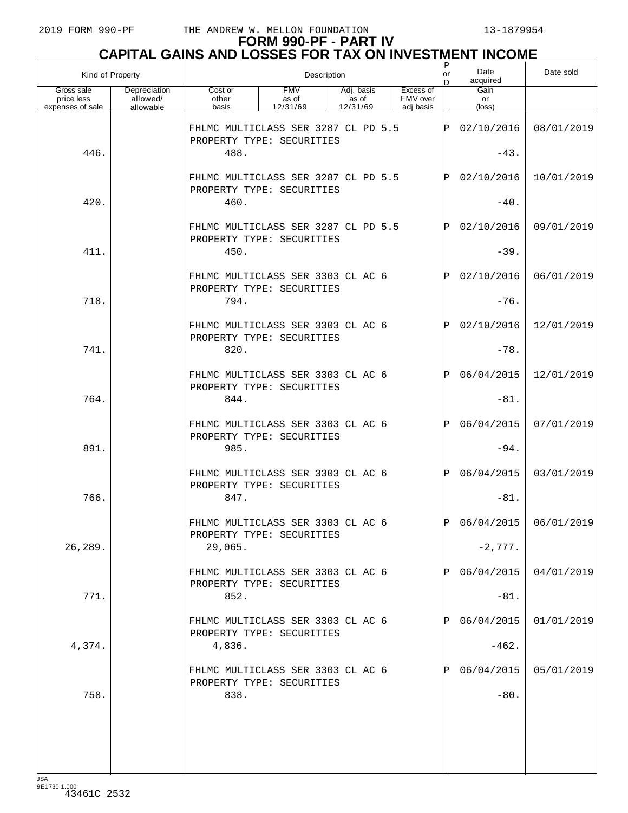|                                              | Kind of Property                      | Description                                                      |                                 |                                 |                                    |              | Date<br>acquired     | Date sold               |
|----------------------------------------------|---------------------------------------|------------------------------------------------------------------|---------------------------------|---------------------------------|------------------------------------|--------------|----------------------|-------------------------|
| Gross sale<br>price less<br>expenses of sale | Depreciation<br>allowed/<br>allowable | Cost or<br>other<br>basis                                        | <b>FMV</b><br>as of<br>12/31/69 | Adj. basis<br>as of<br>12/31/69 | Excess of<br>FMV over<br>adi basis |              | Gain<br>or<br>(loss) |                         |
|                                              |                                       | FHLMC MULTICLASS SER 3287 CL PD 5.5<br>PROPERTY TYPE: SECURITIES |                                 |                                 |                                    | ΙÞΙ          | 02/10/2016           | 08/01/2019              |
| 446.                                         |                                       | 488.                                                             |                                 |                                 |                                    |              | $-43.$               |                         |
|                                              |                                       | FHLMC MULTICLASS SER 3287 CL PD 5.5<br>PROPERTY TYPE: SECURITIES |                                 |                                 |                                    | Þl           | 02/10/2016           | 10/01/2019              |
| 420.                                         |                                       | 460.                                                             |                                 |                                 |                                    |              | $-40.$               |                         |
|                                              |                                       | FHLMC MULTICLASS SER 3287 CL PD 5.5<br>PROPERTY TYPE: SECURITIES |                                 |                                 |                                    | $\mathsf{P}$ | 02/10/2016           | 09/01/2019              |
| 411.                                         |                                       | 450.                                                             |                                 |                                 |                                    |              | $-39.$               |                         |
|                                              |                                       | FHLMC MULTICLASS SER 3303 CL AC 6<br>PROPERTY TYPE: SECURITIES   |                                 |                                 |                                    | $\mathbf{P}$ | 02/10/2016           | 06/01/2019              |
| 718.                                         |                                       | 794.                                                             |                                 |                                 |                                    |              | $-76.$               |                         |
|                                              |                                       | FHLMC MULTICLASS SER 3303 CL AC 6<br>PROPERTY TYPE: SECURITIES   |                                 |                                 |                                    | $\mathbf{P}$ | 02/10/2016           | 12/01/2019              |
| 741.                                         |                                       | 820.                                                             |                                 |                                 |                                    |              | $-78.$               |                         |
|                                              |                                       | FHLMC MULTICLASS SER 3303 CL AC 6<br>PROPERTY TYPE: SECURITIES   |                                 |                                 |                                    | $\mathbf{P}$ | 06/04/2015           | 12/01/2019              |
| 764.                                         |                                       | 844.                                                             |                                 |                                 |                                    |              | $-81.$               |                         |
|                                              |                                       | FHLMC MULTICLASS SER 3303 CL AC 6<br>PROPERTY TYPE: SECURITIES   |                                 |                                 |                                    | $\mathbf{P}$ | 06/04/2015           | 07/01/2019              |
| 891.                                         |                                       | 985.                                                             |                                 |                                 |                                    |              | $-94.$               |                         |
|                                              |                                       | FHLMC MULTICLASS SER 3303 CL AC 6<br>PROPERTY TYPE: SECURITIES   |                                 |                                 |                                    | $\mathsf{P}$ | 06/04/2015           | 03/01/2019              |
| 766.                                         |                                       | 847.                                                             |                                 |                                 |                                    |              | $-81.$               |                         |
|                                              |                                       | FHLMC MULTICLASS SER 3303 CL AC 6<br>PROPERTY TYPE: SECURITIES   |                                 |                                 |                                    | D            |                      | $06/04/2015$ 06/01/2019 |
| 26,289.                                      |                                       | 29,065.                                                          |                                 |                                 |                                    |              | $-2,777.$            |                         |
|                                              |                                       | FHLMC MULTICLASS SER 3303 CL AC 6<br>PROPERTY TYPE: SECURITIES   |                                 |                                 |                                    |              | 06/04/2015           | 04/01/2019              |
| 771.                                         |                                       | 852.                                                             |                                 |                                 |                                    |              | $-81.$               |                         |
|                                              |                                       | FHLMC MULTICLASS SER 3303 CL AC 6<br>PROPERTY TYPE: SECURITIES   |                                 |                                 |                                    |              | 06/04/2015           | 01/01/2019              |
| 4,374.                                       |                                       | 4,836.                                                           |                                 |                                 |                                    |              | $-462.$              |                         |
|                                              |                                       | FHLMC MULTICLASS SER 3303 CL AC 6<br>PROPERTY TYPE: SECURITIES   |                                 |                                 |                                    |              | 06/04/2015           | 05/01/2019              |
| 758.                                         |                                       | 838.                                                             |                                 |                                 |                                    |              | $-80.$               |                         |
|                                              |                                       |                                                                  |                                 |                                 |                                    |              |                      |                         |
|                                              |                                       |                                                                  |                                 |                                 |                                    |              |                      |                         |
|                                              |                                       |                                                                  |                                 |                                 |                                    |              |                      |                         |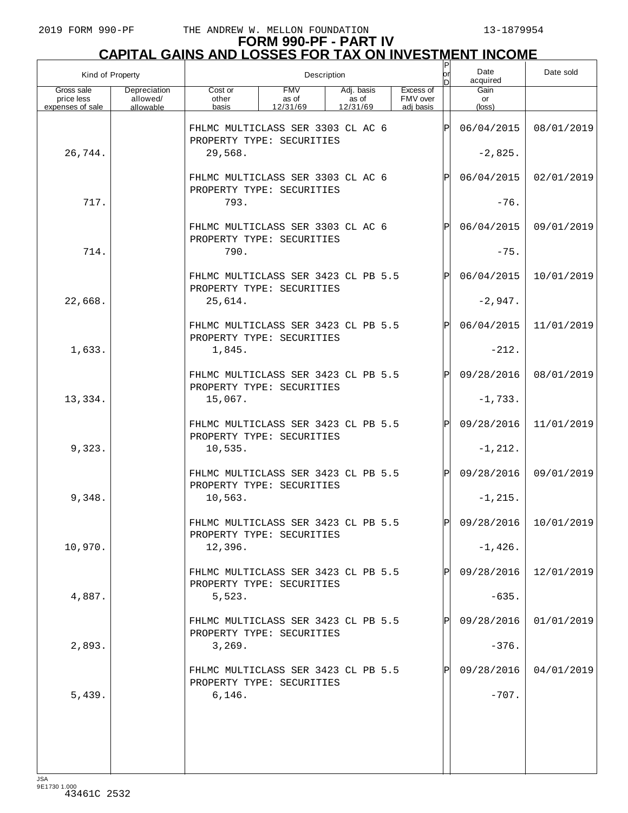|                                              | Kind of Property<br>Description       |                                                                  |                                 |                                 |                                    | P<br>lorl    | Date<br>acquired              | Date sold             |
|----------------------------------------------|---------------------------------------|------------------------------------------------------------------|---------------------------------|---------------------------------|------------------------------------|--------------|-------------------------------|-----------------------|
| Gross sale<br>price less<br>expenses of sale | Depreciation<br>allowed/<br>allowable | Cost or<br>other<br>basis                                        | <b>FMV</b><br>as of<br>12/31/69 | Adj. basis<br>as of<br>12/31/69 | Excess of<br>FMV over<br>adj basis |              | Gain<br>or<br>$(\text{loss})$ |                       |
|                                              |                                       | FHLMC MULTICLASS SER 3303 CL AC 6<br>PROPERTY TYPE: SECURITIES   |                                 |                                 |                                    | ΙÞΙ          | 06/04/2015                    | 08/01/2019            |
| 26,744.                                      |                                       | 29,568.                                                          |                                 |                                 |                                    |              | $-2,825.$                     |                       |
|                                              |                                       | FHLMC MULTICLASS SER 3303 CL AC 6<br>PROPERTY TYPE: SECURITIES   |                                 |                                 |                                    | ΙPΙ          | 06/04/2015                    | 02/01/2019            |
| 717.                                         |                                       | 793.                                                             |                                 |                                 |                                    |              | $-76.$                        |                       |
|                                              |                                       | FHLMC MULTICLASS SER 3303 CL AC 6<br>PROPERTY TYPE: SECURITIES   |                                 |                                 |                                    | ΙPΙ          | 06/04/2015                    | 09/01/2019            |
| 714.                                         |                                       | 790.                                                             |                                 |                                 |                                    |              | $-75.$                        |                       |
|                                              |                                       | FHLMC MULTICLASS SER 3423 CL PB 5.5<br>PROPERTY TYPE: SECURITIES |                                 |                                 |                                    | ΙPΙ          | 06/04/2015                    | 10/01/2019            |
| 22,668.                                      |                                       | 25,614.                                                          |                                 |                                 |                                    |              | $-2,947.$                     |                       |
|                                              |                                       | FHLMC MULTICLASS SER 3423 CL PB 5.5<br>PROPERTY TYPE: SECURITIES |                                 |                                 |                                    | $\mathsf{P}$ | 06/04/2015                    | 11/01/2019            |
| 1,633.                                       |                                       | 1,845.                                                           |                                 |                                 |                                    |              | $-212.$                       |                       |
|                                              |                                       | FHLMC MULTICLASS SER 3423 CL PB 5.5<br>PROPERTY TYPE: SECURITIES |                                 |                                 |                                    | $\mathsf{P}$ | 09/28/2016                    | 08/01/2019            |
| 13,334.                                      |                                       | 15,067.                                                          |                                 |                                 |                                    |              | $-1,733.$                     |                       |
|                                              |                                       | FHLMC MULTICLASS SER 3423 CL PB 5.5<br>PROPERTY TYPE: SECURITIES |                                 |                                 |                                    | $\mathsf{P}$ | 09/28/2016                    | 11/01/2019            |
| 9,323.                                       |                                       | 10,535.                                                          |                                 |                                 |                                    |              | $-1, 212.$                    |                       |
|                                              |                                       | FHLMC MULTICLASS SER 3423 CL PB 5.5<br>PROPERTY TYPE: SECURITIES |                                 |                                 |                                    | $\mathsf{P}$ | 09/28/2016                    | 09/01/2019            |
| 9,348.                                       |                                       | 10,563.                                                          |                                 |                                 |                                    |              | $-1, 215.$                    |                       |
|                                              |                                       | FHLMC MULTICLASS SER 3423 CL PB 5.5<br>PROPERTY TYPE: SECURITIES |                                 |                                 |                                    |              |                               | 09/28/2016 10/01/2019 |
| 10,970.                                      |                                       | 12,396.                                                          |                                 |                                 |                                    |              | $-1,426.$                     |                       |
|                                              |                                       | FHLMC MULTICLASS SER 3423 CL PB 5.5<br>PROPERTY TYPE: SECURITIES |                                 |                                 |                                    |              | 09/28/2016                    | 12/01/2019            |
| 4,887.                                       |                                       | 5,523.                                                           |                                 |                                 |                                    |              | $-635.$                       |                       |
|                                              |                                       | FHLMC MULTICLASS SER 3423 CL PB 5.5<br>PROPERTY TYPE: SECURITIES |                                 |                                 |                                    |              | 09/28/2016                    | 01/01/2019            |
| 2,893.                                       |                                       | 3,269.                                                           |                                 |                                 |                                    |              | $-376.$                       |                       |
|                                              |                                       | FHLMC MULTICLASS SER 3423 CL PB 5.5<br>PROPERTY TYPE: SECURITIES |                                 |                                 |                                    |              | 09/28/2016                    | 04/01/2019            |
| 5,439.                                       |                                       | 6,146.                                                           |                                 |                                 |                                    |              | $-707.$                       |                       |
|                                              |                                       |                                                                  |                                 |                                 |                                    |              |                               |                       |
|                                              |                                       |                                                                  |                                 |                                 |                                    |              |                               |                       |
|                                              |                                       |                                                                  |                                 |                                 |                                    |              |                               |                       |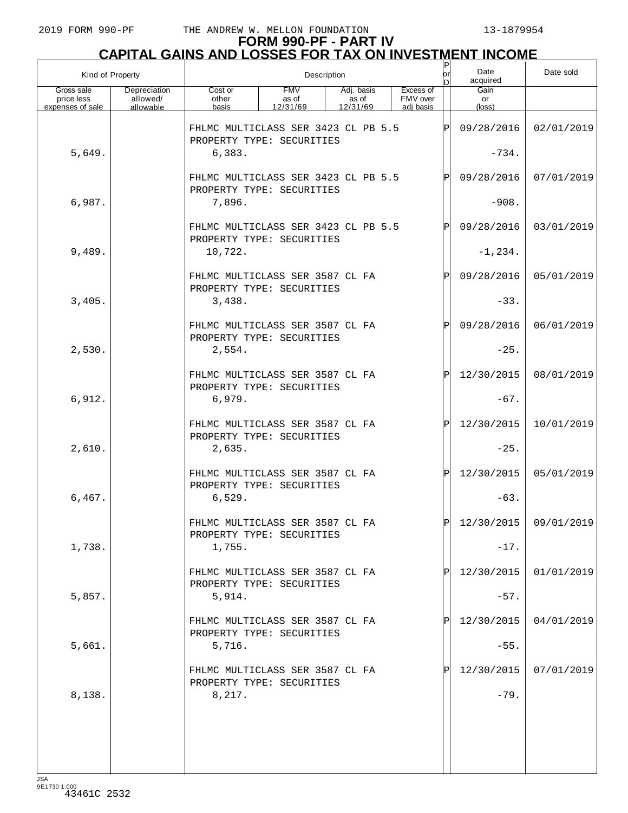| Kind of Property                             |                                       | Description                                                      |                                 |                                 |                                    | P<br> or<br>bl | Date<br>acquired     | Date sold               |
|----------------------------------------------|---------------------------------------|------------------------------------------------------------------|---------------------------------|---------------------------------|------------------------------------|----------------|----------------------|-------------------------|
| Gross sale<br>price less<br>expenses of sale | Depreciation<br>allowed/<br>allowable | Cost or<br>other<br>basis                                        | <b>FMV</b><br>as of<br>12/31/69 | Adj. basis<br>as of<br>12/31/69 | Excess of<br>FMV over<br>adi basis |                | Gain<br>or<br>(loss) |                         |
|                                              |                                       | FHLMC MULTICLASS SER 3423 CL PB 5.5                              |                                 |                                 |                                    | IPI            | 09/28/2016           | 02/01/2019              |
| 5,649.                                       |                                       | PROPERTY TYPE: SECURITIES<br>6,383.                              |                                 |                                 |                                    |                | $-734.$              |                         |
|                                              |                                       | FHLMC MULTICLASS SER 3423 CL PB 5.5<br>PROPERTY TYPE: SECURITIES |                                 |                                 |                                    | IPI            | 09/28/2016           | 07/01/2019              |
| 6,987.                                       |                                       | 7,896.                                                           |                                 |                                 |                                    |                | $-908.$              |                         |
|                                              |                                       | FHLMC MULTICLASS SER 3423 CL PB 5.5<br>PROPERTY TYPE: SECURITIES |                                 |                                 |                                    | IPI            | 09/28/2016           | 03/01/2019              |
| 9,489.                                       |                                       | 10,722.                                                          |                                 |                                 |                                    |                | $-1, 234.$           |                         |
|                                              |                                       | FHLMC MULTICLASS SER 3587 CL FA<br>PROPERTY TYPE: SECURITIES     |                                 |                                 |                                    | ΙPΙ            | 09/28/2016           | 05/01/2019              |
| 3,405.                                       |                                       | 3,438.                                                           |                                 |                                 |                                    |                | $-33.$               |                         |
|                                              |                                       | FHLMC MULTICLASS SER 3587 CL FA<br>PROPERTY TYPE: SECURITIES     |                                 |                                 |                                    | ΙPΙ            | 09/28/2016           | 06/01/2019              |
| 2,530.                                       |                                       | 2,554.                                                           |                                 |                                 |                                    |                | $-25.$               |                         |
|                                              |                                       | FHLMC MULTICLASS SER 3587 CL FA<br>PROPERTY TYPE: SECURITIES     |                                 |                                 |                                    | ΙÞΙ            | 12/30/2015           | 08/01/2019              |
| 6,912.                                       |                                       | 6,979.                                                           |                                 |                                 |                                    |                | $-67.$               |                         |
|                                              |                                       | FHLMC MULTICLASS SER 3587 CL FA<br>PROPERTY TYPE: SECURITIES     |                                 |                                 |                                    | ΙÞΙ            | 12/30/2015           | 10/01/2019              |
| 2,610.                                       |                                       | 2,635.<br>FHLMC MULTICLASS SER 3587 CL FA                        |                                 |                                 |                                    | ΙÞΙ            | $-25.$<br>12/30/2015 | 05/01/2019              |
| 6,467.                                       |                                       | PROPERTY TYPE: SECURITIES<br>6,529.                              |                                 |                                 |                                    |                | $-63.$               |                         |
|                                              |                                       | FHLMC MULTICLASS SER 3587 CL FA                                  |                                 |                                 |                                    | lÞI            |                      | $12/30/2015$ 09/01/2019 |
| 1,738.                                       |                                       | PROPERTY TYPE: SECURITIES<br>1,755.                              |                                 |                                 |                                    |                | $-17.$               |                         |
|                                              |                                       | FHLMC MULTICLASS SER 3587 CL FA                                  |                                 |                                 |                                    | ΙPΙ            | 12/30/2015           | 01/01/2019              |
| 5,857.                                       |                                       | PROPERTY TYPE: SECURITIES<br>5,914.                              |                                 |                                 |                                    |                | $-57.$               |                         |
|                                              |                                       | FHLMC MULTICLASS SER 3587 CL FA                                  |                                 |                                 |                                    | ΙPΙ            | 12/30/2015           | 04/01/2019              |
| 5,661.                                       |                                       | PROPERTY TYPE: SECURITIES<br>5,716.                              |                                 |                                 |                                    |                | $-55.$               |                         |
|                                              |                                       | FHLMC MULTICLASS SER 3587 CL FA                                  |                                 |                                 |                                    | ΙPΙ            | 12/30/2015           | 07/01/2019              |
| 8,138.                                       |                                       | PROPERTY TYPE: SECURITIES<br>8,217.                              |                                 |                                 |                                    |                | $-79.$               |                         |
|                                              |                                       |                                                                  |                                 |                                 |                                    |                |                      |                         |
|                                              |                                       |                                                                  |                                 |                                 |                                    |                |                      |                         |
|                                              |                                       |                                                                  |                                 |                                 |                                    |                |                      |                         |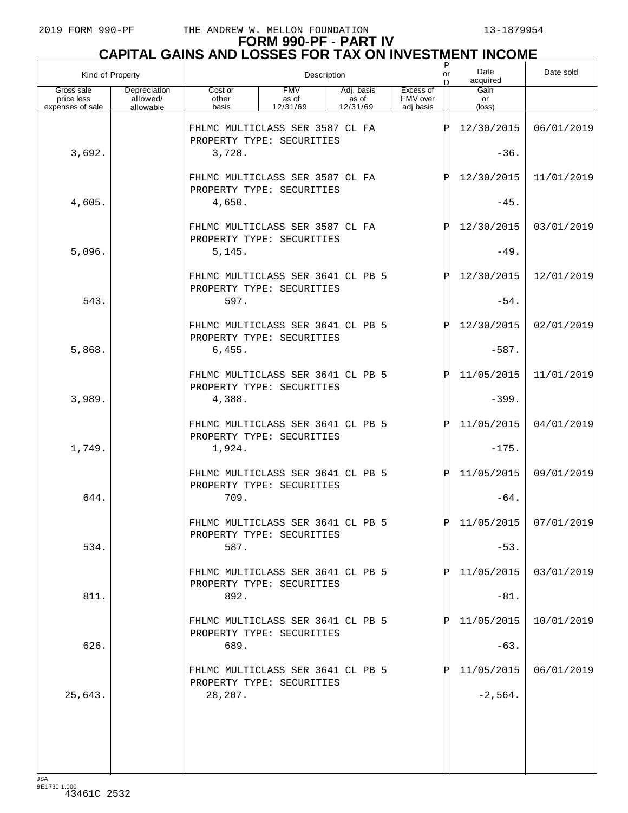# **FORM 990-PF - PART IV CAPITAL GAINS AND LOSSES FOR TAX ON INVESTMENT INCOME** P

| Kind of Property                             |                                       |                                                                                                                                       |  | Description | $\frac{P}{\text{or}}$<br>Date<br>acquired<br>ln. |  |     |                      | Date sold               |
|----------------------------------------------|---------------------------------------|---------------------------------------------------------------------------------------------------------------------------------------|--|-------------|--------------------------------------------------|--|-----|----------------------|-------------------------|
| Gross sale<br>price less<br>expenses of sale | Depreciation<br>allowed/<br>allowable | <b>FMV</b><br>Excess of<br>Cost or<br>Adj. basis<br>FMV over<br>as of<br>as of<br>other<br>basis<br>12/31/69<br>12/31/69<br>adi basis |  |             |                                                  |  |     | Gain<br>or<br>(loss) |                         |
|                                              |                                       | FHLMC MULTICLASS SER 3587 CL FA<br>PROPERTY TYPE: SECURITIES                                                                          |  |             |                                                  |  | ΙP  | 12/30/2015           | 06/01/2019              |
| 3,692.                                       |                                       | 3,728.                                                                                                                                |  |             |                                                  |  |     | $-36.$               |                         |
|                                              |                                       | FHLMC MULTICLASS SER 3587 CL FA<br>PROPERTY TYPE: SECURITIES                                                                          |  |             |                                                  |  | ΙP  | 12/30/2015           | 11/01/2019              |
| 4,605.                                       |                                       | 4,650.                                                                                                                                |  |             |                                                  |  |     | $-45.$               |                         |
|                                              |                                       | FHLMC MULTICLASS SER 3587 CL FA<br>PROPERTY TYPE: SECURITIES                                                                          |  |             |                                                  |  | ΙP  | 12/30/2015           | 03/01/2019              |
| 5,096.                                       |                                       | 5,145.                                                                                                                                |  |             |                                                  |  |     | $-49.$               |                         |
| 543.                                         |                                       | FHLMC MULTICLASS SER 3641 CL PB 5<br>PROPERTY TYPE: SECURITIES                                                                        |  |             |                                                  |  | ΙP  | 12/30/2015           | 12/01/2019              |
|                                              |                                       | 597.                                                                                                                                  |  |             |                                                  |  |     | $-54.$               |                         |
|                                              |                                       | FHLMC MULTICLASS SER 3641 CL PB 5<br>PROPERTY TYPE: SECURITIES                                                                        |  |             |                                                  |  | ΙP  | 12/30/2015           | 02/01/2019              |
| 5,868.                                       |                                       | 6,455.                                                                                                                                |  |             |                                                  |  |     | $-587.$              |                         |
|                                              |                                       | FHLMC MULTICLASS SER 3641 CL PB 5<br>PROPERTY TYPE: SECURITIES                                                                        |  |             |                                                  |  | ΙP  | 11/05/2015           | 11/01/2019              |
| 3,989.                                       |                                       | 4,388.                                                                                                                                |  |             |                                                  |  |     | $-399.$              |                         |
|                                              |                                       | FHLMC MULTICLASS SER 3641 CL PB 5<br>PROPERTY TYPE: SECURITIES                                                                        |  |             |                                                  |  | ΙP  | 11/05/2015           | 04/01/2019              |
| 1,749.                                       |                                       | 1,924.                                                                                                                                |  |             |                                                  |  |     | $-175.$              |                         |
|                                              |                                       | FHLMC MULTICLASS SER 3641 CL PB 5<br>PROPERTY TYPE: SECURITIES                                                                        |  |             |                                                  |  | ΙPΙ | 11/05/2015           | 09/01/2019              |
| 644.                                         |                                       | 709.                                                                                                                                  |  |             |                                                  |  |     | $-64.$               |                         |
|                                              |                                       | FHLMC MULTICLASS SER 3641 CL PB 5<br>PROPERTY TYPE: SECURITIES                                                                        |  |             |                                                  |  | lÞl |                      | $11/05/2015$ 07/01/2019 |
| 534.                                         |                                       | 587.                                                                                                                                  |  |             |                                                  |  |     | $-53.$               |                         |
|                                              |                                       | FHLMC MULTICLASS SER 3641 CL PB 5<br>PROPERTY TYPE: SECURITIES                                                                        |  |             |                                                  |  |     | 11/05/2015           | 03/01/2019              |
| 811.                                         |                                       | 892.                                                                                                                                  |  |             |                                                  |  |     | $-81.$               |                         |
|                                              |                                       | FHLMC MULTICLASS SER 3641 CL PB 5<br>PROPERTY TYPE: SECURITIES                                                                        |  |             |                                                  |  |     | 11/05/2015           | 10/01/2019              |
| 626.                                         |                                       | 689.                                                                                                                                  |  |             |                                                  |  |     | $-63.$               |                         |
|                                              |                                       | FHLMC MULTICLASS SER 3641 CL PB 5<br>PROPERTY TYPE: SECURITIES                                                                        |  |             |                                                  |  |     | 11/05/2015           | 06/01/2019              |
| 25,643.                                      |                                       | 28,207.                                                                                                                               |  |             |                                                  |  |     | $-2,564.$            |                         |
|                                              |                                       |                                                                                                                                       |  |             |                                                  |  |     |                      |                         |
|                                              |                                       |                                                                                                                                       |  |             |                                                  |  |     |                      |                         |
| <b>JSA</b>                                   |                                       |                                                                                                                                       |  |             |                                                  |  |     |                      |                         |

JSA 9E1730 1.000 43461C 2532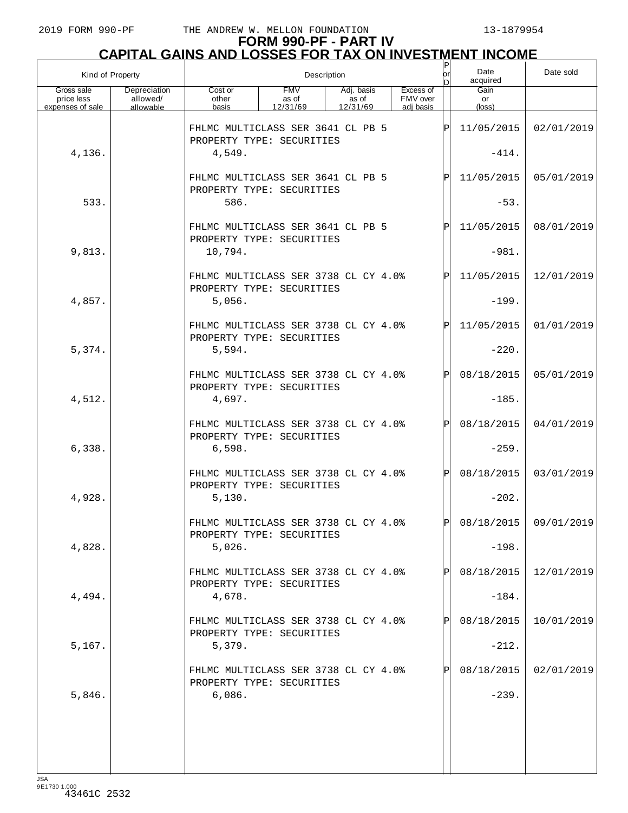| Gain<br>Gross sale<br>Depreciation<br><b>FMV</b><br>Excess of<br>Cost or<br>Adj. basis<br>allowed/<br>FMV over<br>price less<br>other<br>as of<br>as of<br>or<br>expenses of sale<br>allowable<br>basis<br>12/31/69<br>12/31/69<br>adj basis<br>(loss)<br>11/05/2015<br>FHLMC MULTICLASS SER 3641 CL PB 5<br>ΙPΙ<br>PROPERTY TYPE: SECURITIES<br>4,136.<br>4,549.<br>$-414.$<br>11/05/2015<br>FHLMC MULTICLASS SER 3641 CL PB 5<br>$\mathbf P$<br>PROPERTY TYPE: SECURITIES<br>533.<br>586.<br>$-53.$<br>11/05/2015<br>FHLMC MULTICLASS SER 3641 CL PB 5<br>Þl<br>PROPERTY TYPE: SECURITIES<br>9,813.<br>$-981.$<br>10,794.<br>11/05/2015<br>FHLMC MULTICLASS SER 3738 CL CY 4.0%<br>$\mathsf{P}$<br>PROPERTY TYPE: SECURITIES<br>4,857.<br>5,056.<br>$-199.$<br>11/05/2015<br>FHLMC MULTICLASS SER 3738 CL CY 4.0%<br>$\mathsf{P}$<br>PROPERTY TYPE: SECURITIES<br>5,374.<br>$-220.$<br>5,594. |            | Date sold  | Date<br>acquired | $\mathsf{P}$<br>lorl<br>n | Description |  |  |  | Kind of Property |
|-------------------------------------------------------------------------------------------------------------------------------------------------------------------------------------------------------------------------------------------------------------------------------------------------------------------------------------------------------------------------------------------------------------------------------------------------------------------------------------------------------------------------------------------------------------------------------------------------------------------------------------------------------------------------------------------------------------------------------------------------------------------------------------------------------------------------------------------------------------------------------------------------|------------|------------|------------------|---------------------------|-------------|--|--|--|------------------|
|                                                                                                                                                                                                                                                                                                                                                                                                                                                                                                                                                                                                                                                                                                                                                                                                                                                                                                 |            |            |                  |                           |             |  |  |  |                  |
|                                                                                                                                                                                                                                                                                                                                                                                                                                                                                                                                                                                                                                                                                                                                                                                                                                                                                                 | 02/01/2019 |            |                  |                           |             |  |  |  |                  |
|                                                                                                                                                                                                                                                                                                                                                                                                                                                                                                                                                                                                                                                                                                                                                                                                                                                                                                 |            |            |                  |                           |             |  |  |  |                  |
|                                                                                                                                                                                                                                                                                                                                                                                                                                                                                                                                                                                                                                                                                                                                                                                                                                                                                                 | 05/01/2019 |            |                  |                           |             |  |  |  |                  |
|                                                                                                                                                                                                                                                                                                                                                                                                                                                                                                                                                                                                                                                                                                                                                                                                                                                                                                 |            |            |                  |                           |             |  |  |  |                  |
|                                                                                                                                                                                                                                                                                                                                                                                                                                                                                                                                                                                                                                                                                                                                                                                                                                                                                                 | 08/01/2019 |            |                  |                           |             |  |  |  |                  |
|                                                                                                                                                                                                                                                                                                                                                                                                                                                                                                                                                                                                                                                                                                                                                                                                                                                                                                 |            |            |                  |                           |             |  |  |  |                  |
|                                                                                                                                                                                                                                                                                                                                                                                                                                                                                                                                                                                                                                                                                                                                                                                                                                                                                                 | 12/01/2019 |            |                  |                           |             |  |  |  |                  |
|                                                                                                                                                                                                                                                                                                                                                                                                                                                                                                                                                                                                                                                                                                                                                                                                                                                                                                 |            |            |                  |                           |             |  |  |  |                  |
|                                                                                                                                                                                                                                                                                                                                                                                                                                                                                                                                                                                                                                                                                                                                                                                                                                                                                                 | 01/01/2019 |            |                  |                           |             |  |  |  |                  |
|                                                                                                                                                                                                                                                                                                                                                                                                                                                                                                                                                                                                                                                                                                                                                                                                                                                                                                 |            |            |                  |                           |             |  |  |  |                  |
| 08/18/2015<br>FHLMC MULTICLASS SER 3738 CL CY 4.0%<br>$\mathsf{P}$<br>PROPERTY TYPE: SECURITIES                                                                                                                                                                                                                                                                                                                                                                                                                                                                                                                                                                                                                                                                                                                                                                                                 | 05/01/2019 |            |                  |                           |             |  |  |  |                  |
| 4,512.<br>4,697.<br>$-185.$                                                                                                                                                                                                                                                                                                                                                                                                                                                                                                                                                                                                                                                                                                                                                                                                                                                                     |            |            |                  |                           |             |  |  |  |                  |
| 08/18/2015<br>FHLMC MULTICLASS SER 3738 CL CY 4.0%<br>$\mathsf{P}$<br>PROPERTY TYPE: SECURITIES<br>$-259.$<br>6,338.<br>6,598.                                                                                                                                                                                                                                                                                                                                                                                                                                                                                                                                                                                                                                                                                                                                                                  | 04/01/2019 |            |                  |                           |             |  |  |  |                  |
| 08/18/2015<br>FHLMC MULTICLASS SER 3738 CL CY 4.0%<br>$\mathbf P$<br>PROPERTY TYPE: SECURITIES                                                                                                                                                                                                                                                                                                                                                                                                                                                                                                                                                                                                                                                                                                                                                                                                  | 03/01/2019 |            |                  |                           |             |  |  |  |                  |
| 4,928.<br>$-202.$<br>5,130.                                                                                                                                                                                                                                                                                                                                                                                                                                                                                                                                                                                                                                                                                                                                                                                                                                                                     |            |            |                  |                           |             |  |  |  |                  |
| 08/18/2015 09/01/2019<br>FHLMC MULTICLASS SER 3738 CL CY 4.0%<br>Þl<br>PROPERTY TYPE: SECURITIES                                                                                                                                                                                                                                                                                                                                                                                                                                                                                                                                                                                                                                                                                                                                                                                                |            |            |                  |                           |             |  |  |  |                  |
| 4,828.<br>$-198.$<br>5,026.                                                                                                                                                                                                                                                                                                                                                                                                                                                                                                                                                                                                                                                                                                                                                                                                                                                                     |            |            |                  |                           |             |  |  |  |                  |
| 08/18/2015<br>FHLMC MULTICLASS SER 3738 CL CY 4.0%<br>PROPERTY TYPE: SECURITIES                                                                                                                                                                                                                                                                                                                                                                                                                                                                                                                                                                                                                                                                                                                                                                                                                 |            | 12/01/2019 |                  |                           |             |  |  |  |                  |
| 4,494.<br>$-184.$<br>4,678.                                                                                                                                                                                                                                                                                                                                                                                                                                                                                                                                                                                                                                                                                                                                                                                                                                                                     |            |            |                  |                           |             |  |  |  |                  |
| FHLMC MULTICLASS SER 3738 CL CY 4.0%<br>08/18/2015<br>PROPERTY TYPE: SECURITIES                                                                                                                                                                                                                                                                                                                                                                                                                                                                                                                                                                                                                                                                                                                                                                                                                 |            | 10/01/2019 |                  |                           |             |  |  |  |                  |
| 5,167.<br>5,379.<br>$-212.$                                                                                                                                                                                                                                                                                                                                                                                                                                                                                                                                                                                                                                                                                                                                                                                                                                                                     |            |            |                  |                           |             |  |  |  |                  |
| FHLMC MULTICLASS SER 3738 CL CY 4.0%<br>08/18/2015<br>PROPERTY TYPE: SECURITIES                                                                                                                                                                                                                                                                                                                                                                                                                                                                                                                                                                                                                                                                                                                                                                                                                 | 02/01/2019 |            |                  |                           |             |  |  |  |                  |
| 5,846.<br>6,086.<br>$-239.$                                                                                                                                                                                                                                                                                                                                                                                                                                                                                                                                                                                                                                                                                                                                                                                                                                                                     |            |            |                  |                           |             |  |  |  |                  |
|                                                                                                                                                                                                                                                                                                                                                                                                                                                                                                                                                                                                                                                                                                                                                                                                                                                                                                 |            |            |                  |                           |             |  |  |  |                  |
|                                                                                                                                                                                                                                                                                                                                                                                                                                                                                                                                                                                                                                                                                                                                                                                                                                                                                                 |            |            |                  |                           |             |  |  |  |                  |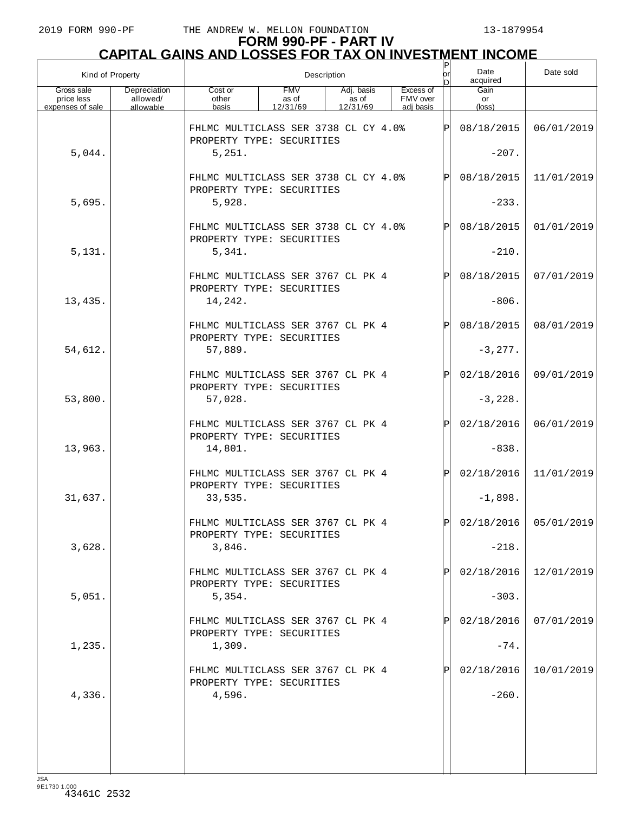|                                              | Kind of Property                      | Description                                                       |                                 |                                 |                                    |              | Date<br>acquired     | Date sold               |
|----------------------------------------------|---------------------------------------|-------------------------------------------------------------------|---------------------------------|---------------------------------|------------------------------------|--------------|----------------------|-------------------------|
| Gross sale<br>price less<br>expenses of sale | Depreciation<br>allowed/<br>allowable | Cost or<br>other<br>basis                                         | <b>FMV</b><br>as of<br>12/31/69 | Adj. basis<br>as of<br>12/31/69 | Excess of<br>FMV over<br>adi basis |              | Gain<br>or<br>(loss) |                         |
|                                              |                                       | FHLMC MULTICLASS SER 3738 CL CY 4.0%<br>PROPERTY TYPE: SECURITIES |                                 |                                 |                                    | Þ            | 08/18/2015           | 06/01/2019              |
| 5,044.                                       |                                       | 5,251.                                                            |                                 |                                 |                                    |              | $-207.$              |                         |
|                                              |                                       | FHLMC MULTICLASS SER 3738 CL CY 4.0%<br>PROPERTY TYPE: SECURITIES |                                 |                                 |                                    |              | 08/18/2015           | 11/01/2019              |
| 5,695.                                       |                                       | 5,928.                                                            |                                 |                                 |                                    |              | $-233.$              |                         |
|                                              |                                       | FHLMC MULTICLASS SER 3738 CL CY 4.0%<br>PROPERTY TYPE: SECURITIES |                                 |                                 |                                    | ΙPΙ          | 08/18/2015           | 01/01/2019              |
| 5,131.                                       |                                       | 5,341.                                                            |                                 |                                 |                                    |              | $-210.$              |                         |
|                                              |                                       | FHLMC MULTICLASS SER 3767 CL PK 4<br>PROPERTY TYPE: SECURITIES    |                                 |                                 |                                    | $\mathbf P$  | 08/18/2015           | 07/01/2019              |
| 13,435.                                      |                                       | 14,242.                                                           |                                 |                                 |                                    |              | $-806$ .             |                         |
|                                              |                                       | FHLMC MULTICLASS SER 3767 CL PK 4<br>PROPERTY TYPE: SECURITIES    |                                 |                                 |                                    | ΙPΙ          | 08/18/2015           | 08/01/2019              |
| 54,612.                                      |                                       | 57,889.                                                           |                                 |                                 |                                    |              | $-3, 277.$           |                         |
|                                              |                                       | FHLMC MULTICLASS SER 3767 CL PK 4<br>PROPERTY TYPE: SECURITIES    |                                 |                                 |                                    | $\mathbf P$  | 02/18/2016           | 09/01/2019              |
| 53,800.                                      |                                       | 57,028.                                                           |                                 |                                 |                                    |              | $-3,228.$            |                         |
|                                              |                                       | FHLMC MULTICLASS SER 3767 CL PK 4<br>PROPERTY TYPE: SECURITIES    |                                 |                                 |                                    | $\mathsf{P}$ | 02/18/2016           | 06/01/2019              |
| 13,963.                                      |                                       | 14,801.                                                           |                                 |                                 |                                    |              | $-838.$              |                         |
|                                              |                                       | FHLMC MULTICLASS SER 3767 CL PK 4<br>PROPERTY TYPE: SECURITIES    |                                 |                                 |                                    | ΙPΙ          | 02/18/2016           | 11/01/2019              |
| 31,637.                                      |                                       | 33,535.                                                           |                                 |                                 |                                    |              | $-1,898.$            |                         |
|                                              |                                       | FHLMC MULTICLASS SER 3767 CL PK 4<br>PROPERTY TYPE: SECURITIES    |                                 |                                 |                                    | ום           |                      | $02/18/2016$ 05/01/2019 |
| 3,628.                                       |                                       | 3,846.                                                            |                                 |                                 |                                    |              | $-218.$              |                         |
|                                              |                                       | FHLMC MULTICLASS SER 3767 CL PK 4<br>PROPERTY TYPE: SECURITIES    |                                 |                                 |                                    |              | 02/18/2016           | 12/01/2019              |
| 5,051.                                       |                                       | 5,354.                                                            |                                 |                                 |                                    |              | $-303.$              |                         |
|                                              |                                       | FHLMC MULTICLASS SER 3767 CL PK 4<br>PROPERTY TYPE: SECURITIES    |                                 |                                 |                                    |              | 02/18/2016           | 07/01/2019              |
| 1,235.                                       |                                       | 1,309.                                                            |                                 |                                 |                                    |              | $-74.$               |                         |
|                                              |                                       | FHLMC MULTICLASS SER 3767 CL PK 4<br>PROPERTY TYPE: SECURITIES    |                                 |                                 |                                    |              | 02/18/2016           | 10/01/2019              |
| 4,336.                                       |                                       | 4,596.                                                            |                                 |                                 |                                    |              | $-260.$              |                         |
|                                              |                                       |                                                                   |                                 |                                 |                                    |              |                      |                         |
|                                              |                                       |                                                                   |                                 |                                 |                                    |              |                      |                         |
|                                              |                                       |                                                                   |                                 |                                 |                                    |              |                      |                         |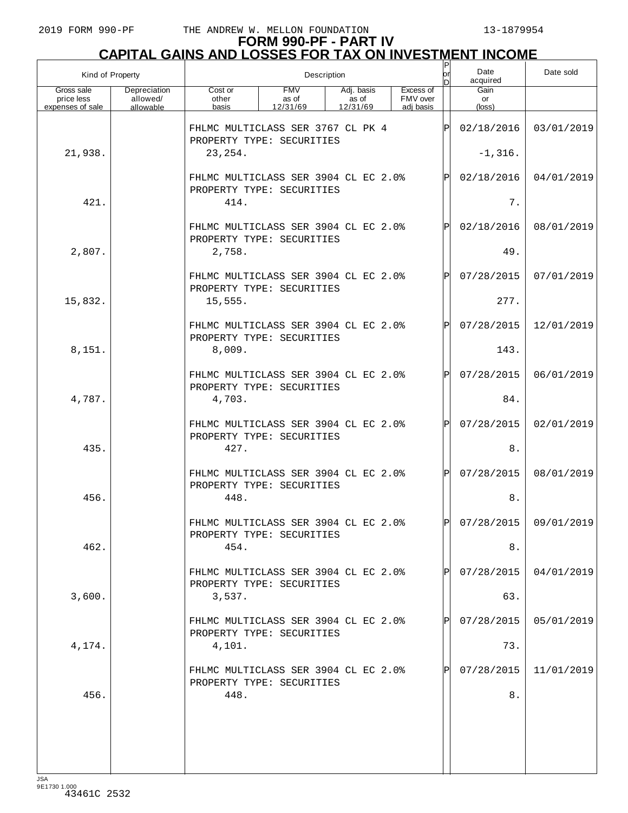|                                              | Kind of Property                      | Description                                                               |                                 |                                 |                                    | Ρ<br>lor     | Date<br>acquired              | Date sold               |
|----------------------------------------------|---------------------------------------|---------------------------------------------------------------------------|---------------------------------|---------------------------------|------------------------------------|--------------|-------------------------------|-------------------------|
| Gross sale<br>price less<br>expenses of sale | Depreciation<br>allowed/<br>allowable | Cost or<br>other<br>basis                                                 | <b>FMV</b><br>as of<br>12/31/69 | Adj. basis<br>as of<br>12/31/69 | Excess of<br>FMV over<br>adi basis |              | Gain<br>or<br>$(\text{loss})$ |                         |
|                                              |                                       | FHLMC MULTICLASS SER 3767 CL PK 4<br>PROPERTY TYPE: SECURITIES            |                                 |                                 |                                    | P            | 02/18/2016                    | 03/01/2019              |
| 21,938.                                      |                                       | 23, 254.                                                                  |                                 |                                 |                                    |              | $-1,316.$                     |                         |
|                                              |                                       | FHLMC MULTICLASS SER 3904 CL EC 2.0%<br>PROPERTY TYPE: SECURITIES         |                                 |                                 |                                    | $\mathsf{P}$ | 02/18/2016                    | 04/01/2019              |
| 421.                                         |                                       | 414.                                                                      |                                 |                                 |                                    |              | $7$ .                         |                         |
|                                              |                                       | FHLMC MULTICLASS SER 3904 CL EC 2.0%<br>PROPERTY TYPE: SECURITIES         |                                 |                                 |                                    | $\mathbf{P}$ | 02/18/2016                    | 08/01/2019              |
| 2,807.                                       |                                       | 2,758.                                                                    |                                 |                                 |                                    |              | 49.                           |                         |
|                                              |                                       | FHLMC MULTICLASS SER 3904 CL EC 2.0%<br>PROPERTY TYPE: SECURITIES         |                                 |                                 |                                    | $\mathsf{P}$ | 07/28/2015                    | 07/01/2019              |
| 15,832.                                      |                                       | 15,555.                                                                   |                                 |                                 |                                    |              | 277.                          |                         |
|                                              |                                       | FHLMC MULTICLASS SER 3904 CL EC 2.0%<br>PROPERTY TYPE: SECURITIES         |                                 |                                 |                                    | $\mathsf{P}$ | 07/28/2015                    | 12/01/2019              |
| 8,151.                                       |                                       | 8,009.                                                                    |                                 |                                 |                                    |              | 143.                          |                         |
|                                              |                                       | FHLMC MULTICLASS SER 3904 CL EC 2.0%<br>PROPERTY TYPE: SECURITIES         |                                 |                                 |                                    | $\mathsf{P}$ | 07/28/2015                    | 06/01/2019              |
| 4,787.                                       |                                       | 4,703.                                                                    |                                 |                                 |                                    |              | 84.                           |                         |
|                                              |                                       | FHLMC MULTICLASS SER 3904 CL EC 2.0%<br>PROPERTY TYPE: SECURITIES         |                                 |                                 |                                    | $\mathsf{P}$ | 07/28/2015                    | 02/01/2019              |
| 435.                                         |                                       | 427.                                                                      |                                 |                                 |                                    |              | $8$ .                         |                         |
|                                              |                                       | FHLMC MULTICLASS SER 3904 CL EC 2.0%<br>PROPERTY TYPE: SECURITIES         |                                 |                                 |                                    | $\mathsf{P}$ | 07/28/2015                    | 08/01/2019              |
| 456.                                         |                                       | 448.                                                                      |                                 |                                 |                                    |              | $8$ .                         |                         |
| 462.                                         |                                       | FHLMC MULTICLASS SER 3904 CL EC 2.0%<br>PROPERTY TYPE: SECURITIES<br>454. |                                 |                                 |                                    | DI           | 8.                            | $07/28/2015$ 09/01/2019 |
|                                              |                                       |                                                                           |                                 |                                 |                                    |              |                               |                         |
|                                              |                                       | FHLMC MULTICLASS SER 3904 CL EC 2.0%<br>PROPERTY TYPE: SECURITIES         |                                 |                                 |                                    |              | 07/28/2015                    | 04/01/2019              |
| 3,600.                                       |                                       | 3,537.                                                                    |                                 |                                 |                                    |              | 63.                           |                         |
|                                              |                                       | FHLMC MULTICLASS SER 3904 CL EC 2.0%<br>PROPERTY TYPE: SECURITIES         |                                 |                                 |                                    |              | 07/28/2015                    | 05/01/2019              |
| 4,174.                                       |                                       | 4,101.                                                                    |                                 |                                 |                                    |              | 73.                           |                         |
|                                              |                                       | FHLMC MULTICLASS SER 3904 CL EC 2.0%<br>PROPERTY TYPE: SECURITIES         |                                 |                                 |                                    |              | 07/28/2015                    | 11/01/2019              |
| 456.                                         |                                       | 448.                                                                      |                                 |                                 |                                    |              | $8$ .                         |                         |
|                                              |                                       |                                                                           |                                 |                                 |                                    |              |                               |                         |
|                                              |                                       |                                                                           |                                 |                                 |                                    |              |                               |                         |
|                                              |                                       |                                                                           |                                 |                                 |                                    |              |                               |                         |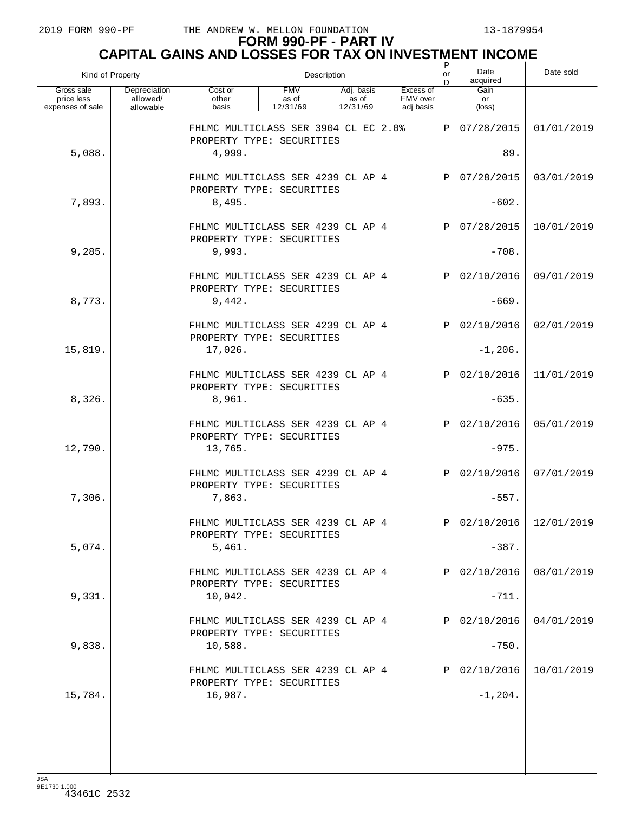# **FORM 990-PF - PART IV CAPITAL GAINS AND LOSSES FOR TAX ON INVESTMENT INCOME** P

| Kind of Property                             |                                       |                                                                   | Description                     | or<br>n                         | Date<br>acquired                   | Date sold |                      |                         |
|----------------------------------------------|---------------------------------------|-------------------------------------------------------------------|---------------------------------|---------------------------------|------------------------------------|-----------|----------------------|-------------------------|
| Gross sale<br>price less<br>expenses of sale | Depreciation<br>allowed/<br>allowable | Cost or<br>other<br>basis                                         | <b>FMV</b><br>as of<br>12/31/69 | Adj. basis<br>as of<br>12/31/69 | Excess of<br>FMV over<br>adi basis |           | Gain<br>or<br>(loss) |                         |
|                                              |                                       | FHLMC MULTICLASS SER 3904 CL EC 2.0%<br>PROPERTY TYPE: SECURITIES |                                 |                                 |                                    | Þ         | 07/28/2015           | 01/01/2019              |
| 5,088.                                       |                                       | 4,999.                                                            |                                 |                                 |                                    |           | 89.                  |                         |
|                                              |                                       | FHLMC MULTICLASS SER 4239 CL AP 4<br>PROPERTY TYPE: SECURITIES    |                                 |                                 |                                    | P         | 07/28/2015           | 03/01/2019              |
| 7,893.                                       |                                       | 8,495.                                                            |                                 |                                 |                                    |           | $-602.$              |                         |
|                                              |                                       | FHLMC MULTICLASS SER 4239 CL AP 4<br>PROPERTY TYPE: SECURITIES    |                                 |                                 |                                    | P         | 07/28/2015           | 10/01/2019              |
| 9,285.                                       |                                       | 9,993.                                                            |                                 |                                 |                                    |           | $-708.$              |                         |
|                                              |                                       | FHLMC MULTICLASS SER 4239 CL AP 4<br>PROPERTY TYPE: SECURITIES    |                                 |                                 |                                    | P         | 02/10/2016           | 09/01/2019              |
| 8,773.                                       |                                       | 9,442.                                                            |                                 |                                 |                                    |           | $-669.$              |                         |
|                                              |                                       | FHLMC MULTICLASS SER 4239 CL AP 4<br>PROPERTY TYPE: SECURITIES    |                                 |                                 |                                    | P         | 02/10/2016           | 02/01/2019              |
| 15,819.                                      |                                       | 17,026.                                                           |                                 |                                 |                                    |           | $-1, 206.$           |                         |
|                                              |                                       | FHLMC MULTICLASS SER 4239 CL AP 4<br>PROPERTY TYPE: SECURITIES    |                                 |                                 |                                    | Þ         | 02/10/2016           | 11/01/2019              |
| 8,326.                                       |                                       | 8,961.                                                            |                                 |                                 |                                    |           | $-635.$              |                         |
|                                              |                                       | FHLMC MULTICLASS SER 4239 CL AP 4<br>PROPERTY TYPE: SECURITIES    |                                 |                                 |                                    | P         | 02/10/2016           | 05/01/2019              |
| 12,790.                                      |                                       | 13,765.                                                           |                                 |                                 |                                    |           | $-975.$              |                         |
|                                              |                                       | FHLMC MULTICLASS SER 4239 CL AP 4<br>PROPERTY TYPE: SECURITIES    |                                 |                                 |                                    | Þ         | 02/10/2016           | 07/01/2019              |
| 7,306.                                       |                                       | 7,863.                                                            |                                 |                                 |                                    |           | $-557.$              |                         |
|                                              |                                       | FHLMC MULTICLASS SER 4239 CL AP 4<br>PROPERTY TYPE: SECURITIES    |                                 |                                 |                                    | lÞI       |                      | $02/10/2016$ 12/01/2019 |
| 5,074.                                       |                                       | 5,461.                                                            |                                 |                                 |                                    |           | $-387.$              |                         |
|                                              |                                       | FHLMC MULTICLASS SER 4239 CL AP 4<br>PROPERTY TYPE: SECURITIES    |                                 |                                 |                                    |           | 02/10/2016           | 08/01/2019              |
| 9,331.                                       |                                       | 10,042.                                                           |                                 |                                 |                                    |           | $-711.$              |                         |
|                                              |                                       | FHLMC MULTICLASS SER 4239 CL AP 4<br>PROPERTY TYPE: SECURITIES    |                                 |                                 |                                    |           | 02/10/2016           | 04/01/2019              |
| 9,838.                                       |                                       | 10,588.                                                           |                                 |                                 |                                    |           | $-750.$              |                         |
|                                              |                                       | FHLMC MULTICLASS SER 4239 CL AP 4<br>PROPERTY TYPE: SECURITIES    |                                 |                                 |                                    |           | 02/10/2016           | 10/01/2019              |
| 15,784.                                      |                                       | 16,987.                                                           |                                 |                                 |                                    |           | $-1, 204.$           |                         |
|                                              |                                       |                                                                   |                                 |                                 |                                    |           |                      |                         |
|                                              |                                       |                                                                   |                                 |                                 |                                    |           |                      |                         |
|                                              |                                       |                                                                   |                                 |                                 |                                    |           |                      |                         |

JSA 9E1730 1.000 43461C 2532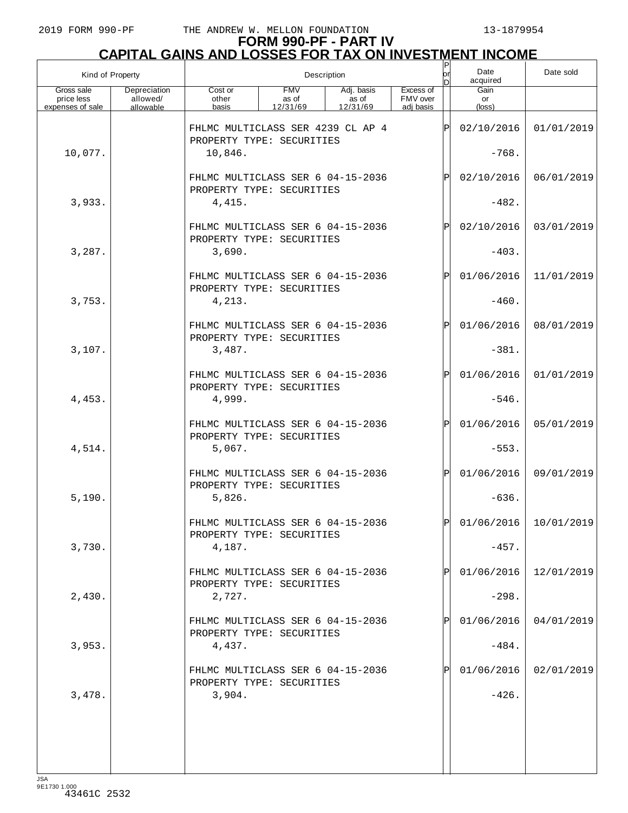| Kind of Property                             |                                       |                                                                                                                          |  | Description |           | $\sf P$<br>lor | Date<br>acquired              | Date sold               |
|----------------------------------------------|---------------------------------------|--------------------------------------------------------------------------------------------------------------------------|--|-------------|-----------|----------------|-------------------------------|-------------------------|
| Gross sale<br>price less<br>expenses of sale | Depreciation<br>allowed/<br>allowable | <b>FMV</b><br>Adj. basis<br>Cost or<br>as of<br>FMV over<br>other<br>as of<br>12/31/69<br>basis<br>12/31/69<br>adi basis |  |             | Excess of |                | Gain<br>or<br>$(\text{loss})$ |                         |
|                                              |                                       | FHLMC MULTICLASS SER 4239 CL AP 4                                                                                        |  |             |           | ΙP             | 02/10/2016                    | 01/01/2019              |
| 10,077.                                      |                                       | PROPERTY TYPE: SECURITIES<br>10,846.                                                                                     |  |             |           | $-768.$        |                               |                         |
|                                              |                                       | FHLMC MULTICLASS SER 6 04-15-2036                                                                                        |  |             |           | $\mathbf P$    | 02/10/2016                    | 06/01/2019              |
| 3,933.                                       |                                       | PROPERTY TYPE: SECURITIES<br>4,415.                                                                                      |  |             |           |                | $-482.$                       |                         |
|                                              |                                       | FHLMC MULTICLASS SER 6 04-15-2036<br>PROPERTY TYPE: SECURITIES                                                           |  |             |           | $\mathbf P$    | 02/10/2016                    | 03/01/2019              |
| 3,287.                                       |                                       | 3,690.                                                                                                                   |  |             |           |                | $-403.$                       |                         |
|                                              |                                       | FHLMC MULTICLASS SER 6 04-15-2036<br>PROPERTY TYPE: SECURITIES                                                           |  |             |           | $\mathbf P$    | 01/06/2016                    | 11/01/2019              |
| 3,753.                                       |                                       | 4,213.                                                                                                                   |  |             |           |                | $-460.$                       |                         |
|                                              |                                       | FHLMC MULTICLASS SER 6 04-15-2036<br>PROPERTY TYPE: SECURITIES                                                           |  |             |           | $\mathbf P$    | 01/06/2016                    | 08/01/2019              |
| 3,107.                                       |                                       | 3,487.                                                                                                                   |  |             |           |                | $-381.$                       |                         |
|                                              |                                       | FHLMC MULTICLASS SER 6 04-15-2036<br>PROPERTY TYPE: SECURITIES                                                           |  |             |           | $\mathbf P$    | 01/06/2016                    | 01/01/2019              |
| 4,453.                                       |                                       | 4,999.                                                                                                                   |  |             |           |                | $-546.$                       |                         |
|                                              |                                       | FHLMC MULTICLASS SER 6 04-15-2036<br>PROPERTY TYPE: SECURITIES                                                           |  |             |           | $\mathsf{P}$   | 01/06/2016                    | 05/01/2019              |
| 4,514.                                       |                                       | 5,067.                                                                                                                   |  |             |           |                | $-553.$                       |                         |
|                                              |                                       | FHLMC MULTICLASS SER 6 04-15-2036<br>PROPERTY TYPE: SECURITIES                                                           |  |             |           | $\mathbf P$    | 01/06/2016                    | 09/01/2019              |
| 5,190.                                       |                                       | 5,826.                                                                                                                   |  |             |           |                | $-636.$                       |                         |
|                                              |                                       | FHLMC MULTICLASS SER 6 04-15-2036<br>PROPERTY TYPE: SECURITIES                                                           |  |             |           | ldl            |                               | $01/06/2016$ 10/01/2019 |
| 3,730.                                       |                                       | 4,187.                                                                                                                   |  |             |           |                | $-457.$                       |                         |
|                                              |                                       | FHLMC MULTICLASS SER 6 04-15-2036<br>PROPERTY TYPE: SECURITIES                                                           |  |             |           |                | 01/06/2016                    | 12/01/2019              |
| 2,430.                                       |                                       | 2,727.                                                                                                                   |  |             |           |                | $-298.$                       |                         |
|                                              |                                       | FHLMC MULTICLASS SER 6 04-15-2036<br>PROPERTY TYPE: SECURITIES                                                           |  |             |           |                | 01/06/2016                    | 04/01/2019              |
| 3,953.                                       |                                       | 4,437.                                                                                                                   |  |             |           |                | $-484.$                       |                         |
|                                              |                                       | FHLMC MULTICLASS SER 6 04-15-2036<br>PROPERTY TYPE: SECURITIES                                                           |  |             |           |                | 01/06/2016                    | 02/01/2019              |
| 3,478.                                       |                                       | 3,904.                                                                                                                   |  |             |           |                | $-426.$                       |                         |
|                                              |                                       |                                                                                                                          |  |             |           |                |                               |                         |
|                                              |                                       |                                                                                                                          |  |             |           |                |                               |                         |
|                                              |                                       |                                                                                                                          |  |             |           |                |                               |                         |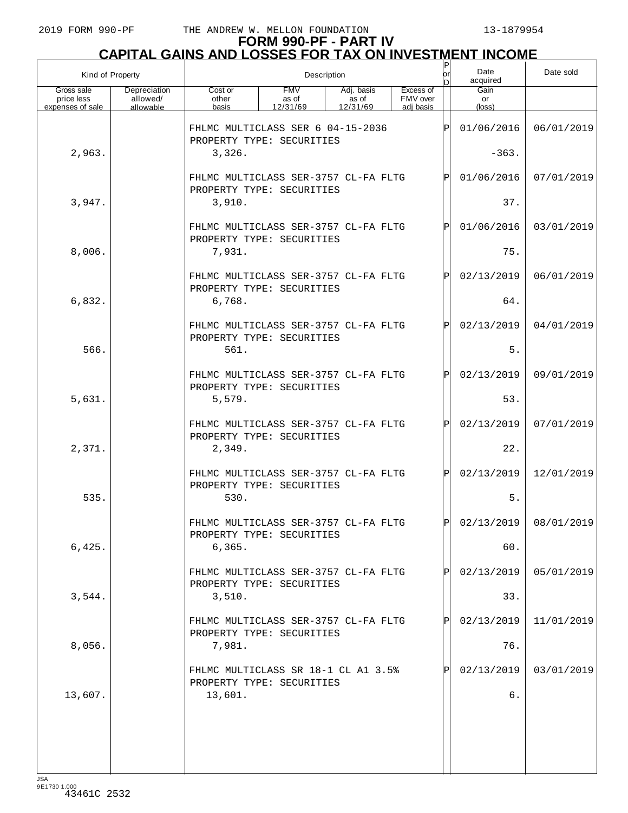| Kind of Property                             |                                       | Description                                                       |                                 |                                 |                                    |    | Date<br>acquired     | Date sold               |
|----------------------------------------------|---------------------------------------|-------------------------------------------------------------------|---------------------------------|---------------------------------|------------------------------------|----|----------------------|-------------------------|
| Gross sale<br>price less<br>expenses of sale | Depreciation<br>allowed/<br>allowable | Cost or<br>other<br>basis                                         | <b>FMV</b><br>as of<br>12/31/69 | Adj. basis<br>as of<br>12/31/69 | Excess of<br>FMV over<br>adi basis |    | Gain<br>or<br>(loss) |                         |
|                                              |                                       | FHLMC MULTICLASS SER 6 04-15-2036<br>PROPERTY TYPE: SECURITIES    |                                 |                                 |                                    | Þ  | 01/06/2016           | 06/01/2019              |
| 2,963.                                       |                                       | 3,326.                                                            |                                 |                                 |                                    |    | $-363.$              |                         |
|                                              |                                       | FHLMC MULTICLASS SER-3757 CL-FA FLTG<br>PROPERTY TYPE: SECURITIES |                                 |                                 |                                    | P  | 01/06/2016           | 07/01/2019              |
| 3,947.                                       |                                       | 3,910.                                                            |                                 |                                 |                                    |    | 37.                  |                         |
|                                              |                                       | FHLMC MULTICLASS SER-3757 CL-FA FLTG<br>PROPERTY TYPE: SECURITIES |                                 |                                 |                                    | P  | 01/06/2016           | 03/01/2019              |
| 8,006.                                       |                                       | 7,931.                                                            |                                 |                                 |                                    |    | 75.                  |                         |
|                                              |                                       | FHLMC MULTICLASS SER-3757 CL-FA FLTG<br>PROPERTY TYPE: SECURITIES |                                 |                                 |                                    | P  | 02/13/2019           | 06/01/2019              |
| 6,832.                                       |                                       | 6,768.                                                            |                                 |                                 |                                    |    | 64.                  |                         |
|                                              |                                       | FHLMC MULTICLASS SER-3757 CL-FA FLTG<br>PROPERTY TYPE: SECURITIES |                                 |                                 |                                    |    | 02/13/2019           | 04/01/2019              |
| 566.                                         |                                       | 561.                                                              |                                 |                                 |                                    |    | 5.                   |                         |
|                                              |                                       | FHLMC MULTICLASS SER-3757 CL-FA FLTG<br>PROPERTY TYPE: SECURITIES |                                 |                                 |                                    | P  | 02/13/2019           | 09/01/2019              |
| 5,631.                                       |                                       | 5,579.                                                            |                                 |                                 |                                    |    | 53.                  |                         |
|                                              |                                       | FHLMC MULTICLASS SER-3757 CL-FA FLTG<br>PROPERTY TYPE: SECURITIES |                                 |                                 |                                    | P  | 02/13/2019           | 07/01/2019              |
| 2,371.                                       |                                       | 2,349.                                                            |                                 |                                 |                                    |    | 22.                  |                         |
|                                              |                                       | FHLMC MULTICLASS SER-3757 CL-FA FLTG                              |                                 |                                 |                                    | P  | 02/13/2019           | 12/01/2019              |
| 535.                                         |                                       | PROPERTY TYPE: SECURITIES<br>530.                                 |                                 |                                 |                                    |    | 5.                   |                         |
|                                              |                                       | FHIMC MULTICLASS SER-3757 CL-FA FLTG<br>PROPERTY TYPE: SECURITIES |                                 |                                 |                                    | ÞI |                      | $02/13/2019$ 08/01/2019 |
| 6,425.                                       |                                       | 6, 365.                                                           |                                 |                                 |                                    |    | 60.                  |                         |
|                                              |                                       | FHLMC MULTICLASS SER-3757 CL-FA FLTG<br>PROPERTY TYPE: SECURITIES |                                 |                                 |                                    |    | 02/13/2019           | 05/01/2019              |
| 3,544.                                       |                                       | 3,510.                                                            |                                 |                                 |                                    |    | 33.                  |                         |
|                                              |                                       | FHLMC MULTICLASS SER-3757 CL-FA FLTG<br>PROPERTY TYPE: SECURITIES |                                 |                                 |                                    |    | 02/13/2019           | 11/01/2019              |
| 8,056.                                       |                                       | 7,981.                                                            |                                 |                                 |                                    |    | 76.                  |                         |
|                                              |                                       | FHLMC MULTICLASS SR 18-1 CL A1 3.5%<br>PROPERTY TYPE: SECURITIES  |                                 |                                 |                                    |    | 02/13/2019           | 03/01/2019              |
| 13,607.                                      |                                       | 13,601.                                                           |                                 |                                 |                                    |    | б.                   |                         |
|                                              |                                       |                                                                   |                                 |                                 |                                    |    |                      |                         |
|                                              |                                       |                                                                   |                                 |                                 |                                    |    |                      |                         |
|                                              |                                       |                                                                   |                                 |                                 |                                    |    |                      |                         |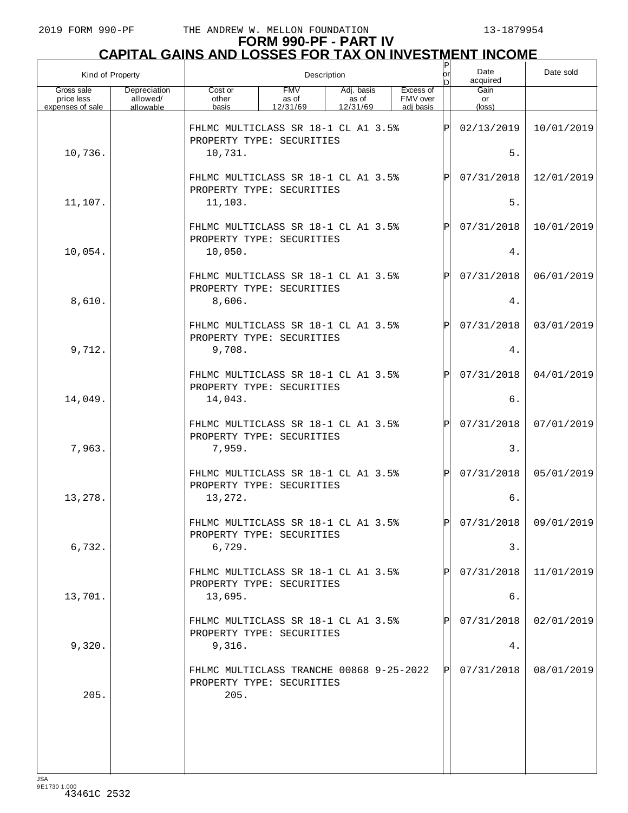|                                              | Kind of Property                      |                                                                             | Description                     |                                 |  |                                    |              |                               | Date sold               |
|----------------------------------------------|---------------------------------------|-----------------------------------------------------------------------------|---------------------------------|---------------------------------|--|------------------------------------|--------------|-------------------------------|-------------------------|
| Gross sale<br>price less<br>expenses of sale | Depreciation<br>allowed/<br>allowable | Cost or<br>other<br>basis                                                   | <b>FMV</b><br>as of<br>12/31/69 | Adj. basis<br>as of<br>12/31/69 |  | Excess of<br>FMV over<br>adi basis |              | Gain<br>or<br>$(\text{loss})$ |                         |
|                                              |                                       | FHLMC MULTICLASS SR 18-1 CL A1 3.5%<br>PROPERTY TYPE: SECURITIES            |                                 |                                 |  |                                    | ΙP           | 02/13/2019                    | 10/01/2019              |
| 10,736.                                      |                                       | 10,731.                                                                     |                                 |                                 |  |                                    |              | 5.                            |                         |
|                                              |                                       | FHLMC MULTICLASS SR 18-1 CL A1 3.5%<br>PROPERTY TYPE: SECURITIES            |                                 |                                 |  |                                    | P            | 07/31/2018                    | 12/01/2019              |
| 11,107.                                      |                                       | 11,103.                                                                     |                                 |                                 |  |                                    |              | 5.                            |                         |
|                                              |                                       | FHLMC MULTICLASS SR 18-1 CL A1 3.5%<br>PROPERTY TYPE: SECURITIES            |                                 |                                 |  |                                    |              | 07/31/2018                    | 10/01/2019              |
| 10,054.                                      |                                       | 10,050.                                                                     |                                 |                                 |  |                                    |              | 4.                            |                         |
|                                              |                                       | FHLMC MULTICLASS SR 18-1 CL A1 3.5%<br>PROPERTY TYPE: SECURITIES            |                                 |                                 |  |                                    | P            | 07/31/2018                    | 06/01/2019              |
| 8,610.                                       |                                       | 8,606.                                                                      |                                 |                                 |  |                                    |              | 4.                            |                         |
|                                              |                                       | FHLMC MULTICLASS SR 18-1 CL A1 3.5%<br>PROPERTY TYPE: SECURITIES            |                                 |                                 |  |                                    | $\mathsf{P}$ | 07/31/2018                    | 03/01/2019              |
| 9,712.                                       |                                       | 9,708.                                                                      |                                 |                                 |  |                                    |              | 4.                            |                         |
|                                              |                                       | FHLMC MULTICLASS SR 18-1 CL A1 3.5%<br>PROPERTY TYPE: SECURITIES            |                                 |                                 |  |                                    | P            | 07/31/2018                    | 04/01/2019              |
| 14,049.                                      |                                       | 14,043.                                                                     |                                 |                                 |  |                                    |              | 6.                            |                         |
|                                              |                                       | FHLMC MULTICLASS SR 18-1 CL A1 3.5%<br>PROPERTY TYPE: SECURITIES            |                                 |                                 |  |                                    | $\mathsf{P}$ | 07/31/2018                    | 07/01/2019              |
| 7,963.                                       |                                       | 7,959.                                                                      |                                 |                                 |  |                                    |              | 3.                            |                         |
| 13,278.                                      |                                       | FHLMC MULTICLASS SR 18-1 CL A1 3.5%<br>PROPERTY TYPE: SECURITIES<br>13,272. |                                 |                                 |  |                                    | $\mathsf{P}$ | 07/31/2018<br>б.              | 05/01/2019              |
|                                              |                                       | FHLMC MULTICLASS SR 18-1 CL A1 3.5%                                         |                                 |                                 |  |                                    | ÞІ           |                               | $07/31/2018$ 09/01/2019 |
| 6,732.                                       |                                       | PROPERTY TYPE: SECURITIES<br>6,729.                                         |                                 |                                 |  |                                    |              | 3.                            |                         |
|                                              |                                       | FHLMC MULTICLASS SR 18-1 CL A1 3.5%                                         |                                 |                                 |  |                                    |              | 07/31/2018                    | 11/01/2019              |
| 13,701.                                      |                                       | PROPERTY TYPE: SECURITIES<br>13,695.                                        |                                 |                                 |  |                                    |              | б.                            |                         |
|                                              |                                       | FHLMC MULTICLASS SR 18-1 CL A1 3.5%                                         |                                 |                                 |  |                                    |              | 07/31/2018                    | 02/01/2019              |
| 9,320.                                       |                                       | PROPERTY TYPE: SECURITIES<br>9,316.                                         |                                 |                                 |  |                                    |              | 4.                            |                         |
|                                              |                                       | FHLMC MULTICLASS TRANCHE 00868 9-25-2022<br>PROPERTY TYPE: SECURITIES       |                                 |                                 |  |                                    |              | 07/31/2018                    | 08/01/2019              |
| 205.                                         |                                       | 205.                                                                        |                                 |                                 |  |                                    |              |                               |                         |
|                                              |                                       |                                                                             |                                 |                                 |  |                                    |              |                               |                         |
|                                              |                                       |                                                                             |                                 |                                 |  |                                    |              |                               |                         |
|                                              |                                       |                                                                             |                                 |                                 |  |                                    |              |                               |                         |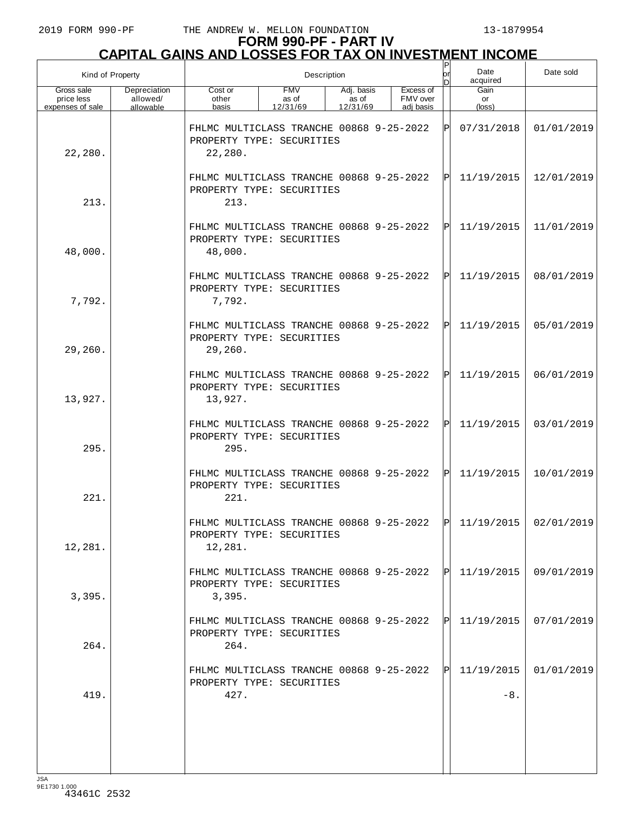# **FORM 990-PF - PART IV CAPITAL GAINS AND LOSSES FOR TAX ON INVESTMENT INCOME** P

| Kind of Property                             |                                       |                                                                                  | Description                     | or<br>D                         | Date<br>acquired                   | Date sold  |                           |            |
|----------------------------------------------|---------------------------------------|----------------------------------------------------------------------------------|---------------------------------|---------------------------------|------------------------------------|------------|---------------------------|------------|
| Gross sale<br>price less<br>expenses of sale | Depreciation<br>allowed/<br>allowable | Cost or<br>other<br>basis                                                        | <b>FMV</b><br>as of<br>12/31/69 | Adj. basis<br>as of<br>12/31/69 | Excess of<br>FMV over<br>adj basis |            | Gain<br>or<br>(loss)      |            |
| 22,280.                                      |                                       | FHLMC MULTICLASS TRANCHE 00868 9-25-2022<br>PROPERTY TYPE: SECURITIES<br>22,280. |                                 | ΙPΙ                             | 07/31/2018                         | 01/01/2019 |                           |            |
| 213.                                         |                                       | FHLMC MULTICLASS TRANCHE 00868 9-25-2022<br>PROPERTY TYPE: SECURITIES<br>213.    |                                 |                                 |                                    | ΙÞΙ        | 11/19/2015                | 12/01/2019 |
| 48,000.                                      |                                       | FHLMC MULTICLASS TRANCHE 00868 9-25-2022<br>PROPERTY TYPE: SECURITIES<br>48,000. |                                 |                                 |                                    | ΙÞΙ        | 11/19/2015                | 11/01/2019 |
| 7,792.                                       |                                       | FHLMC MULTICLASS TRANCHE 00868 9-25-2022<br>PROPERTY TYPE: SECURITIES<br>7,792.  |                                 |                                 |                                    | ΙPΙ        | 11/19/2015                | 08/01/2019 |
| 29,260.                                      |                                       | FHLMC MULTICLASS TRANCHE 00868 9-25-2022<br>PROPERTY TYPE: SECURITIES<br>29,260. |                                 |                                 |                                    | ΙPΙ        | 11/19/2015                | 05/01/2019 |
| 13,927.                                      |                                       | FHLMC MULTICLASS TRANCHE 00868 9-25-2022<br>PROPERTY TYPE: SECURITIES<br>13,927. |                                 |                                 |                                    | ΙPΙ        | 11/19/2015                | 06/01/2019 |
| 295.                                         |                                       | FHLMC MULTICLASS TRANCHE 00868 9-25-2022<br>PROPERTY TYPE: SECURITIES<br>295.    |                                 |                                 |                                    | ΙPΙ        | 11/19/2015                | 03/01/2019 |
| 221.                                         |                                       | FHLMC MULTICLASS TRANCHE 00868 9-25-2022<br>PROPERTY TYPE: SECURITIES<br>221.    |                                 |                                 |                                    | ΙЫ         | 11/19/2015                | 10/01/2019 |
| 12,281.                                      |                                       | FHLMC MULTICLASS TRANCHE 00868 9-25-2022<br>PROPERTY TYPE: SECURITIES<br>12,281. |                                 |                                 |                                    | ld l       | 11/19/2015                | 02/01/2019 |
| 3,395.                                       |                                       | FHLMC MULTICLASS TRANCHE 00868 9-25-2022<br>PROPERTY TYPE: SECURITIES<br>3,395.  |                                 |                                 |                                    |            | P 11/19/2015              | 09/01/2019 |
| 264.                                         |                                       | FHLMC MULTICLASS TRANCHE 00868 9-25-2022<br>PROPERTY TYPE: SECURITIES<br>264.    |                                 |                                 |                                    |            | $ p $ 11/19/2015          | 07/01/2019 |
| 419.                                         |                                       | FHLMC MULTICLASS TRANCHE 00868 9-25-2022<br>PROPERTY TYPE: SECURITIES<br>427.    |                                 |                                 |                                    |            | $ P $ 11/19/2015<br>$-8.$ | 01/01/2019 |
|                                              |                                       |                                                                                  |                                 |                                 |                                    |            |                           |            |

JSA 9E1730 1.000 43461C 2532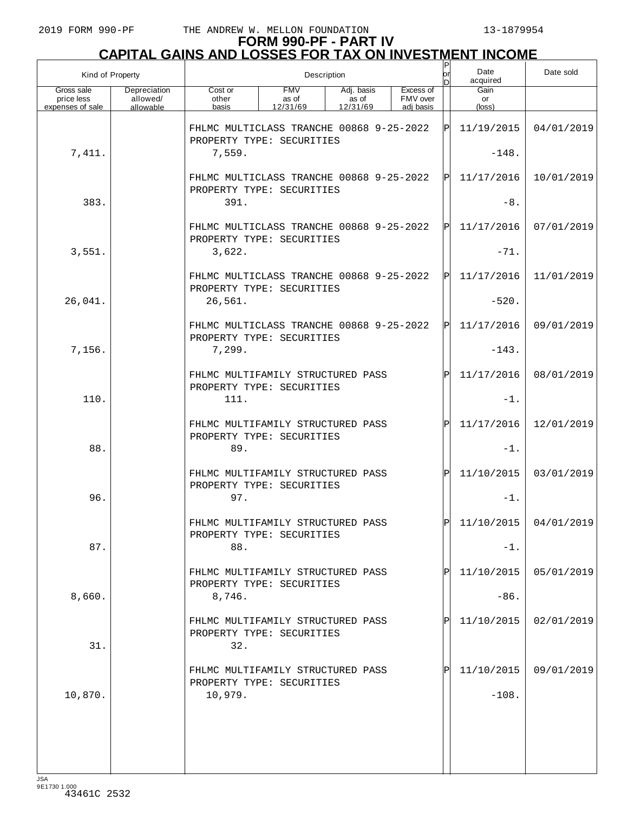| Kind of Property                             |                                       |                                                                                                                                       | Description | $_{\sf or}^{\sf P}$ | Date<br>acquired | Date sold |                               |            |
|----------------------------------------------|---------------------------------------|---------------------------------------------------------------------------------------------------------------------------------------|-------------|---------------------|------------------|-----------|-------------------------------|------------|
| Gross sale<br>price less<br>expenses of sale | Depreciation<br>allowed/<br>allowable | <b>FMV</b><br>Excess of<br>Cost or<br>Adj. basis<br>as of<br>FMV over<br>other<br>as of<br>12/31/69<br>basis<br>12/31/69<br>adj basis |             |                     |                  |           | Gain<br>or<br>$(\text{loss})$ |            |
|                                              |                                       | FHLMC MULTICLASS TRANCHE 00868 9-25-2022<br>PROPERTY TYPE: SECURITIES                                                                 |             |                     |                  | ΙPΙ       | 11/19/2015                    | 04/01/2019 |
| 7,411.                                       |                                       | 7,559.                                                                                                                                |             |                     | $-148.$          |           |                               |            |
|                                              |                                       | FHLMC MULTICLASS TRANCHE 00868 9-25-2022<br>PROPERTY TYPE: SECURITIES                                                                 |             |                     |                  | ΙÞΙ       | 11/17/2016                    | 10/01/2019 |
| 383.                                         |                                       | 391.                                                                                                                                  |             |                     |                  |           | $-8.$                         |            |
|                                              |                                       | FHLMC MULTICLASS TRANCHE 00868 9-25-2022<br>PROPERTY TYPE: SECURITIES                                                                 |             |                     |                  | ΙЫ        | 11/17/2016                    | 07/01/2019 |
| 3,551.                                       |                                       | 3,622.                                                                                                                                |             |                     |                  |           | $-71.$                        |            |
|                                              |                                       | FHLMC MULTICLASS TRANCHE 00868 9-25-2022<br>PROPERTY TYPE: SECURITIES                                                                 |             |                     |                  | ΙЫ        | 11/17/2016                    | 11/01/2019 |
| 26,041.                                      |                                       | 26,561.                                                                                                                               |             |                     |                  |           | $-520.$                       |            |
|                                              |                                       | FHLMC MULTICLASS TRANCHE 00868 9-25-2022<br>PROPERTY TYPE: SECURITIES                                                                 |             |                     |                  | ΙЫ        | 11/17/2016                    | 09/01/2019 |
| 7,156.                                       |                                       | 7,299.                                                                                                                                |             |                     |                  |           | $-143.$                       |            |
|                                              |                                       | FHLMC MULTIFAMILY STRUCTURED PASS<br>PROPERTY TYPE: SECURITIES                                                                        |             |                     |                  | ΙPΙ       | 11/17/2016                    | 08/01/2019 |
| 110.                                         |                                       | 111.                                                                                                                                  |             |                     |                  |           | $-1$ .                        |            |
|                                              |                                       | FHLMC MULTIFAMILY STRUCTURED PASS<br>PROPERTY TYPE: SECURITIES                                                                        |             |                     |                  | ΙPΙ       | 11/17/2016                    | 12/01/2019 |
| 88.                                          |                                       | 89.                                                                                                                                   |             |                     |                  |           | $-1$ .                        |            |
|                                              |                                       | FHLMC MULTIFAMILY STRUCTURED PASS<br>PROPERTY TYPE: SECURITIES                                                                        |             |                     |                  | ΙPΙ       | 11/10/2015                    | 03/01/2019 |
| 96.                                          |                                       | 97.                                                                                                                                   |             |                     |                  |           | $-1$ .                        |            |
|                                              |                                       | FHLMC MULTIFAMILY STRUCTURED PASS<br>PROPERTY TYPE: SECURITIES                                                                        |             |                     |                  | ЫI        | $11/10/2015$ 04/01/2019       |            |
| 87.                                          |                                       | 88.                                                                                                                                   |             |                     |                  |           | $-1$ .                        |            |
|                                              |                                       | FHLMC MULTIFAMILY STRUCTURED PASS<br>PROPERTY TYPE: SECURITIES                                                                        |             |                     |                  |           | 11/10/2015                    | 05/01/2019 |
| 8,660.                                       |                                       | 8,746.                                                                                                                                |             |                     |                  |           | $-86.$                        |            |
|                                              |                                       | FHLMC MULTIFAMILY STRUCTURED PASS<br>PROPERTY TYPE: SECURITIES                                                                        |             |                     |                  | Pl        | 11/10/2015                    | 02/01/2019 |
| 31.                                          |                                       | 32.                                                                                                                                   |             |                     |                  |           |                               |            |
|                                              |                                       | FHLMC MULTIFAMILY STRUCTURED PASS<br>PROPERTY TYPE: SECURITIES                                                                        |             |                     |                  |           | 11/10/2015                    | 09/01/2019 |
| 10,870.                                      |                                       | 10,979.                                                                                                                               |             |                     |                  |           | $-108.$                       |            |
|                                              |                                       |                                                                                                                                       |             |                     |                  |           |                               |            |
|                                              |                                       |                                                                                                                                       |             |                     |                  |           |                               |            |
|                                              |                                       |                                                                                                                                       |             |                     |                  |           |                               |            |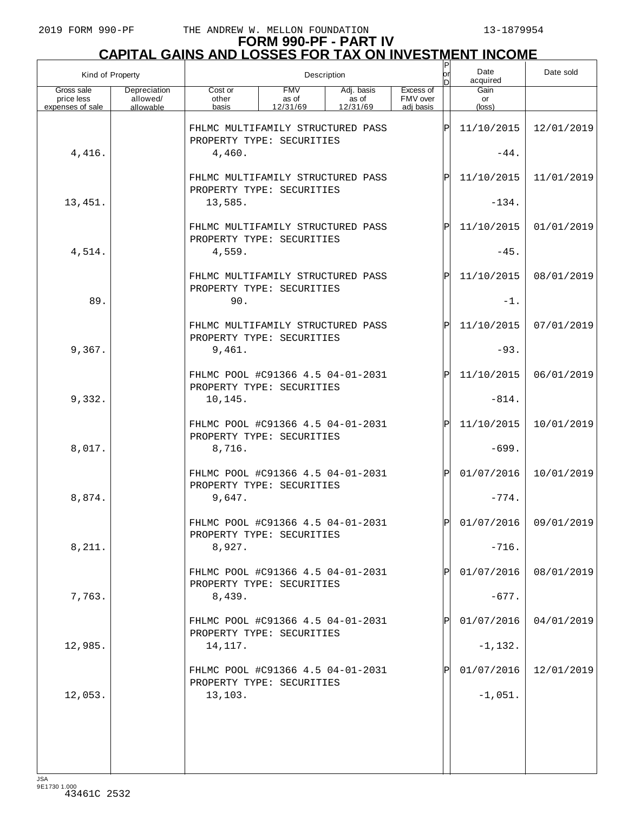## **FORM 990-PF - PART IV CAPITAL GAINS AND LOSSES FOR TAX ON INVESTMENT INCOME**

| Kind of Property                             |                                       | Description                                                              |                                 |                                 |                                    |            | Date<br>acquired              | Date sold               |
|----------------------------------------------|---------------------------------------|--------------------------------------------------------------------------|---------------------------------|---------------------------------|------------------------------------|------------|-------------------------------|-------------------------|
| Gross sale<br>price less<br>expenses of sale | Depreciation<br>allowed/<br>allowable | Cost or<br>other<br>basis                                                | <b>FMV</b><br>as of<br>12/31/69 | Adj. basis<br>as of<br>12/31/69 | Excess of<br>FMV over<br>adi basis | In         | Gain<br>or<br>$(\text{loss})$ |                         |
|                                              |                                       | FHLMC MULTIFAMILY STRUCTURED PASS<br>PROPERTY TYPE: SECURITIES           |                                 |                                 | ΙP                                 | 11/10/2015 | 12/01/2019                    |                         |
| 4,416.                                       |                                       | 4,460.                                                                   |                                 |                                 |                                    | $-44.$     |                               |                         |
|                                              |                                       | FHLMC MULTIFAMILY STRUCTURED PASS<br>PROPERTY TYPE: SECURITIES           |                                 |                                 |                                    | ΙP         | 11/10/2015                    | 11/01/2019              |
| 13,451.                                      |                                       | 13,585.                                                                  |                                 |                                 |                                    |            | $-134.$                       |                         |
|                                              |                                       | FHLMC MULTIFAMILY STRUCTURED PASS<br>PROPERTY TYPE: SECURITIES           |                                 |                                 |                                    | ΙP         | 11/10/2015                    | 01/01/2019              |
| 4,514.                                       |                                       | 4,559.                                                                   |                                 |                                 |                                    |            | $-45.$                        |                         |
|                                              |                                       | FHLMC MULTIFAMILY STRUCTURED PASS<br>PROPERTY TYPE: SECURITIES           |                                 |                                 |                                    | ΙP         | 11/10/2015                    | 08/01/2019              |
| 89.                                          |                                       | 90.                                                                      |                                 |                                 |                                    |            | $-1$ .                        |                         |
|                                              |                                       | FHLMC MULTIFAMILY STRUCTURED PASS<br>PROPERTY TYPE: SECURITIES           |                                 |                                 |                                    | ΙP         | 11/10/2015                    | 07/01/2019              |
| 9,367.                                       |                                       | 9,461.                                                                   |                                 |                                 |                                    |            | $-93.$                        |                         |
|                                              |                                       | FHLMC POOL #C91366 4.5 04-01-2031<br>PROPERTY TYPE: SECURITIES           |                                 |                                 |                                    | ΙPΙ        | 11/10/2015                    | 06/01/2019              |
| 9,332.                                       |                                       | 10,145.                                                                  |                                 |                                 |                                    |            |                               |                         |
| 8,017.                                       |                                       | FHLMC POOL #C91366 4.5 04-01-2031<br>PROPERTY TYPE: SECURITIES<br>8,716. |                                 |                                 |                                    | ΙPΙ        | 11/10/2015<br>$-699.$         | 10/01/2019              |
|                                              |                                       | FHLMC POOL #C91366 4.5 04-01-2031                                        |                                 |                                 |                                    | ΙPΙ        | 01/07/2016                    | 10/01/2019              |
| 8,874.                                       |                                       | PROPERTY TYPE: SECURITIES<br>9,647.                                      |                                 |                                 |                                    |            | $-774.$                       |                         |
|                                              |                                       | FHLMC POOL #C91366 4.5 04-01-2031<br>PROPERTY TYPE: SECURITIES           |                                 |                                 |                                    | ldl        |                               | $01/07/2016$ 09/01/2019 |
| 8,211.                                       |                                       | 8,927.                                                                   |                                 |                                 |                                    |            | $-716.$                       |                         |
|                                              |                                       | FHLMC POOL #C91366 4.5 04-01-2031<br>PROPERTY TYPE: SECURITIES           |                                 |                                 |                                    |            | 01/07/2016                    | 08/01/2019              |
| 7,763.                                       |                                       | 8,439.                                                                   |                                 |                                 |                                    |            | $-677.$                       |                         |
|                                              |                                       | FHLMC POOL #C91366 4.5 04-01-2031<br>PROPERTY TYPE: SECURITIES           |                                 |                                 |                                    |            | 01/07/2016                    | 04/01/2019              |
| 12,985.                                      |                                       | 14,117.                                                                  |                                 |                                 |                                    |            | $-1,132.$                     |                         |
|                                              |                                       | FHLMC POOL #C91366 4.5 04-01-2031<br>PROPERTY TYPE: SECURITIES           |                                 |                                 |                                    |            | 01/07/2016                    | 12/01/2019              |
| 12,053.                                      |                                       | 13,103.                                                                  |                                 |                                 |                                    |            | $-1,051.$                     |                         |
|                                              |                                       |                                                                          |                                 |                                 |                                    |            |                               |                         |
|                                              |                                       |                                                                          |                                 |                                 |                                    |            |                               |                         |
|                                              |                                       |                                                                          |                                 |                                 |                                    |            |                               |                         |

JSA 9E1730 1.000 43461C 2532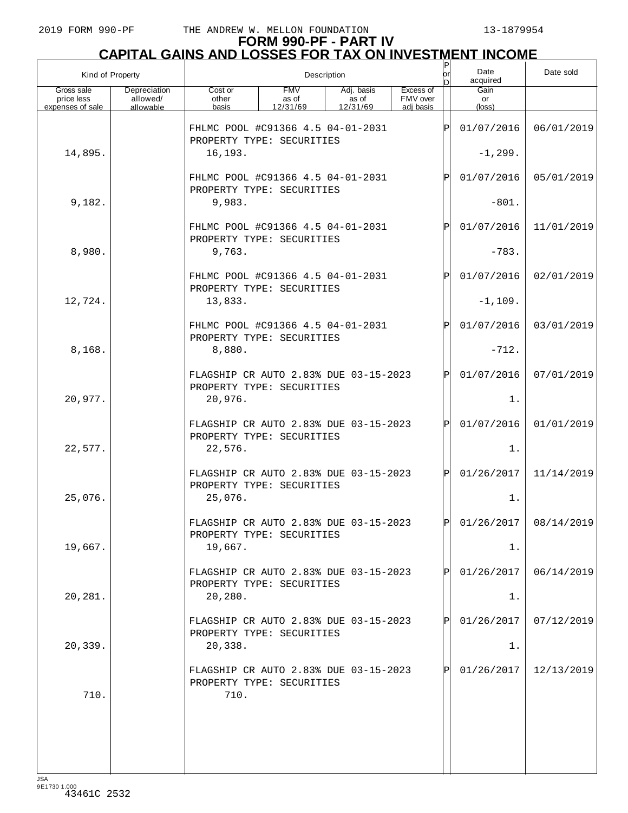| Kind of Property                             |                                       |                                                                    | Description                     | or<br>D                         | Date<br>acquired                   | Date sold    |                         |            |
|----------------------------------------------|---------------------------------------|--------------------------------------------------------------------|---------------------------------|---------------------------------|------------------------------------|--------------|-------------------------|------------|
| Gross sale<br>price less<br>expenses of sale | Depreciation<br>allowed/<br>allowable | Cost or<br>other<br>basis                                          | <b>FMV</b><br>as of<br>12/31/69 | Adj. basis<br>as of<br>12/31/69 | Excess of<br>FMV over<br>adi basis |              | Gain<br>or<br>(loss)    |            |
|                                              |                                       | FHLMC POOL #C91366 4.5 04-01-2031<br>PROPERTY TYPE: SECURITIES     |                                 |                                 |                                    | Þ            | 01/07/2016              | 06/01/2019 |
| 14,895.                                      |                                       | 16,193.                                                            |                                 |                                 |                                    | $-1, 299.$   |                         |            |
|                                              |                                       | FHLMC POOL #C91366 4.5 04-01-2031<br>PROPERTY TYPE: SECURITIES     |                                 |                                 |                                    | $\mathbf P$  | 01/07/2016              | 05/01/2019 |
| 9,182.                                       |                                       | 9,983.                                                             |                                 |                                 |                                    |              | $-801.$                 |            |
|                                              |                                       | FHLMC POOL #C91366 4.5 04-01-2031<br>PROPERTY TYPE: SECURITIES     |                                 |                                 |                                    | $\mathbf{P}$ | 01/07/2016              | 11/01/2019 |
| 8,980.                                       |                                       | 9,763.                                                             |                                 |                                 |                                    |              | $-783.$                 |            |
|                                              |                                       | FHLMC POOL #C91366 4.5 04-01-2031<br>PROPERTY TYPE: SECURITIES     |                                 |                                 |                                    | $\mathbf{P}$ | 01/07/2016              | 02/01/2019 |
| 12,724.                                      |                                       | 13,833.                                                            |                                 |                                 |                                    |              | $-1,109.$               |            |
|                                              |                                       | FHLMC POOL #C91366 4.5 04-01-2031<br>PROPERTY TYPE: SECURITIES     |                                 |                                 |                                    | $\mathbf{P}$ | 01/07/2016              | 03/01/2019 |
| 8,168.                                       |                                       | 8,880.                                                             |                                 |                                 |                                    |              | $-712.$                 |            |
|                                              |                                       | FLAGSHIP CR AUTO 2.83% DUE 03-15-2023<br>PROPERTY TYPE: SECURITIES |                                 |                                 |                                    | $\mathsf{P}$ | 01/07/2016              | 07/01/2019 |
| 20,977.                                      |                                       | 20,976.                                                            |                                 |                                 |                                    |              | 1.                      |            |
|                                              |                                       | FLAGSHIP CR AUTO 2.83% DUE 03-15-2023<br>PROPERTY TYPE: SECURITIES |                                 |                                 |                                    | $\mathsf{P}$ | 01/07/2016              | 01/01/2019 |
| 22,577.                                      |                                       | 22,576.                                                            |                                 |                                 |                                    |              | 1.                      |            |
|                                              |                                       | FLAGSHIP CR AUTO 2.83% DUE 03-15-2023<br>PROPERTY TYPE: SECURITIES |                                 |                                 |                                    | $\mathbf P$  | 01/26/2017              | 11/14/2019 |
| 25,076.                                      |                                       | 25,076.                                                            |                                 |                                 |                                    |              | 1.                      |            |
|                                              |                                       | FLAGSHIP CR AUTO 2.83% DUE 03-15-2023<br>PROPERTY TYPE: SECURITIES |                                 |                                 |                                    |              | P 01/26/2017 08/14/2019 |            |
| 19,667.                                      |                                       | 19,667.                                                            |                                 |                                 |                                    |              | 1.                      |            |
|                                              |                                       | FLAGSHIP CR AUTO 2.83% DUE 03-15-2023<br>PROPERTY TYPE: SECURITIES |                                 |                                 |                                    | P            | 01/26/2017              | 06/14/2019 |
| 20,281.                                      |                                       | 20, 280.                                                           |                                 |                                 |                                    |              | 1.                      |            |
|                                              |                                       | FLAGSHIP CR AUTO 2.83% DUE 03-15-2023<br>PROPERTY TYPE: SECURITIES |                                 |                                 |                                    | P            | 01/26/2017              | 07/12/2019 |
| 20,339.                                      |                                       | 20, 338.                                                           |                                 |                                 |                                    |              | 1.                      |            |
|                                              |                                       | FLAGSHIP CR AUTO 2.83% DUE 03-15-2023<br>PROPERTY TYPE: SECURITIES |                                 |                                 |                                    |              | 01/26/2017              | 12/13/2019 |
| 710.                                         |                                       | 710.                                                               |                                 |                                 |                                    |              |                         |            |
|                                              |                                       |                                                                    |                                 |                                 |                                    |              |                         |            |
|                                              |                                       |                                                                    |                                 |                                 |                                    |              |                         |            |
|                                              |                                       |                                                                    |                                 |                                 |                                    |              |                         |            |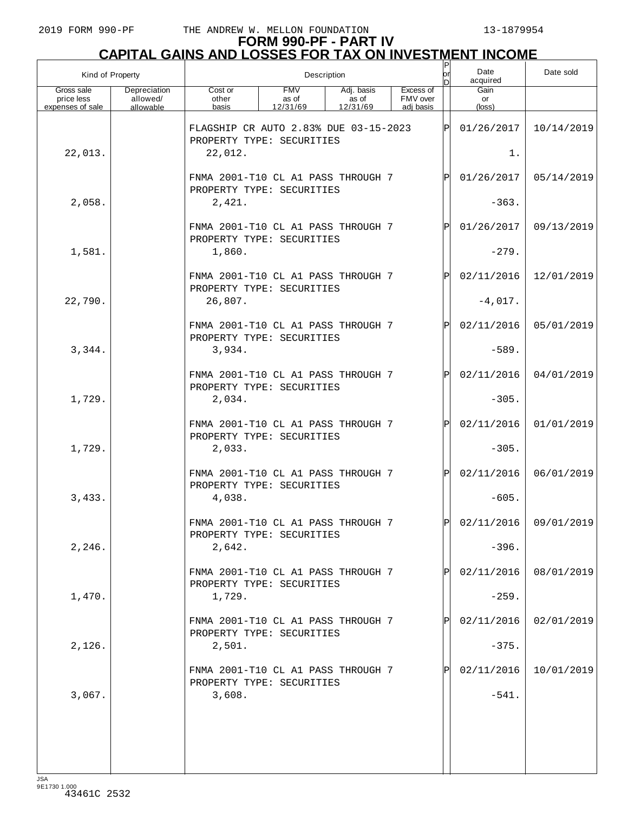| Kind of Property                             |                                       | Description                                                                   |                                 |                                 |                                    |              | Date<br>acquired        | Date sold               |
|----------------------------------------------|---------------------------------------|-------------------------------------------------------------------------------|---------------------------------|---------------------------------|------------------------------------|--------------|-------------------------|-------------------------|
| Gross sale<br>price less<br>expenses of sale | Depreciation<br>allowed/<br>allowable | Cost or<br>other<br>basis                                                     | <b>FMV</b><br>as of<br>12/31/69 | Adj. basis<br>as of<br>12/31/69 | Excess of<br>FMV over<br>adi basis |              | Gain<br>or<br>(loss)    |                         |
| 22,013.                                      |                                       | FLAGSHIP CR AUTO 2.83% DUE 03-15-2023<br>PROPERTY TYPE: SECURITIES<br>22,012. |                                 |                                 |                                    | lÞ           | 01/26/2017<br>1.        | 10/14/2019              |
|                                              |                                       | FNMA 2001-T10 CL A1 PASS THROUGH 7<br>PROPERTY TYPE: SECURITIES               |                                 |                                 |                                    | $\mathbf P$  | 01/26/2017              | 05/14/2019              |
| 2,058.                                       |                                       | 2,421.                                                                        |                                 |                                 |                                    |              | $-363.$                 |                         |
|                                              |                                       | FNMA 2001-T10 CL A1 PASS THROUGH 7<br>PROPERTY TYPE: SECURITIES               |                                 |                                 |                                    | $\mathbf P$  | 01/26/2017              | 09/13/2019              |
| 1,581.                                       |                                       | 1,860.                                                                        |                                 |                                 |                                    |              | $-279.$                 |                         |
| 22,790.                                      |                                       | FNMA 2001-T10 CL A1 PASS THROUGH 7<br>PROPERTY TYPE: SECURITIES<br>26,807.    |                                 |                                 |                                    | $\mathbf P$  | 02/11/2016<br>$-4,017.$ | 12/01/2019              |
|                                              |                                       | FNMA 2001-T10 CL A1 PASS THROUGH 7                                            |                                 |                                 |                                    | $\mathbf{P}$ | 02/11/2016              | 05/01/2019              |
| 3,344.                                       |                                       | PROPERTY TYPE: SECURITIES<br>3,934.                                           |                                 |                                 |                                    |              | $-589.$                 |                         |
|                                              |                                       | FNMA 2001-T10 CL A1 PASS THROUGH 7<br>PROPERTY TYPE: SECURITIES               |                                 |                                 |                                    | $\mathbf P$  | 02/11/2016              | 04/01/2019              |
| 1,729.                                       |                                       | 2,034.                                                                        |                                 |                                 |                                    |              | $-305.$                 |                         |
| 1,729.                                       |                                       | FNMA 2001-T10 CL A1 PASS THROUGH 7<br>PROPERTY TYPE: SECURITIES<br>2,033.     |                                 |                                 |                                    | $\mathbf{P}$ | 02/11/2016<br>$-305.$   | 01/01/2019              |
|                                              |                                       |                                                                               |                                 |                                 |                                    |              |                         |                         |
| 3,433.                                       |                                       | FNMA 2001-T10 CL A1 PASS THROUGH 7<br>PROPERTY TYPE: SECURITIES<br>4,038.     |                                 |                                 |                                    | $\mathsf{P}$ | 02/11/2016<br>$-605.$   | 06/01/2019              |
|                                              |                                       | FNMA 2001-T10 CL A1 PASS THROUGH 7<br>PROPERTY TYPE: SECURITIES               |                                 |                                 |                                    | lÞI          |                         | $02/11/2016$ 09/01/2019 |
| 2,246.                                       |                                       | 2,642.                                                                        |                                 |                                 |                                    |              | $-396.$                 |                         |
| 1,470.                                       |                                       | FNMA 2001-T10 CL A1 PASS THROUGH 7<br>PROPERTY TYPE: SECURITIES<br>1,729.     |                                 |                                 |                                    |              | 02/11/2016<br>$-259.$   | 08/01/2019              |
|                                              |                                       | FNMA 2001-T10 CL A1 PASS THROUGH 7                                            |                                 |                                 |                                    |              | 02/11/2016              | 02/01/2019              |
| 2,126.                                       |                                       | PROPERTY TYPE: SECURITIES<br>2,501.                                           |                                 |                                 |                                    |              | $-375.$                 |                         |
|                                              |                                       | FNMA 2001-T10 CL A1 PASS THROUGH 7<br>PROPERTY TYPE: SECURITIES               |                                 |                                 |                                    |              | 02/11/2016              | 10/01/2019              |
| 3,067.                                       |                                       | 3,608.                                                                        |                                 |                                 |                                    |              | $-541.$                 |                         |
|                                              |                                       |                                                                               |                                 |                                 |                                    |              |                         |                         |
|                                              |                                       |                                                                               |                                 |                                 |                                    |              |                         |                         |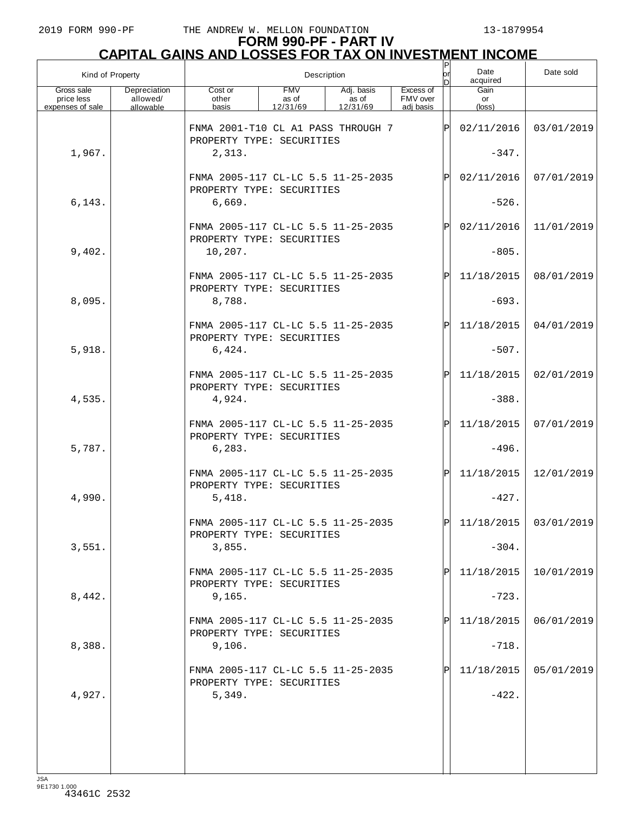| Kind of Property                             |                                       | Description                                                               |                                 |                                 |                                    |              | Date<br>acquired              | Date sold  |
|----------------------------------------------|---------------------------------------|---------------------------------------------------------------------------|---------------------------------|---------------------------------|------------------------------------|--------------|-------------------------------|------------|
| Gross sale<br>price less<br>expenses of sale | Depreciation<br>allowed/<br>allowable | Cost or<br>other<br>basis                                                 | <b>FMV</b><br>as of<br>12/31/69 | Adj. basis<br>as of<br>12/31/69 | Excess of<br>FMV over<br>adi basis |              | Gain<br>or<br>$(\text{loss})$ |            |
|                                              |                                       | FNMA 2001-T10 CL A1 PASS THROUGH 7<br>PROPERTY TYPE: SECURITIES           |                                 |                                 |                                    | ΙP           | 02/11/2016                    | 03/01/2019 |
| 1,967.                                       |                                       | 2,313.                                                                    |                                 |                                 |                                    |              | $-347.$                       |            |
|                                              |                                       | FNMA 2005-117 CL-LC 5.5 11-25-2035<br>PROPERTY TYPE: SECURITIES           |                                 |                                 |                                    | $\mathsf{P}$ | 02/11/2016                    | 07/01/2019 |
| 6, 143.                                      |                                       | 6,669.                                                                    |                                 |                                 |                                    |              | $-526.$                       |            |
|                                              |                                       | FNMA 2005-117 CL-LC 5.5 11-25-2035<br>PROPERTY TYPE: SECURITIES           |                                 |                                 |                                    | $\mathbf{P}$ | 02/11/2016                    | 11/01/2019 |
| 9,402.                                       |                                       | 10,207.                                                                   |                                 |                                 |                                    |              | $-805.$                       |            |
|                                              |                                       | FNMA 2005-117 CL-LC 5.5 11-25-2035<br>PROPERTY TYPE: SECURITIES           |                                 |                                 |                                    | $\mathbf P$  | 11/18/2015                    | 08/01/2019 |
| 8,095.                                       |                                       | 8,788.                                                                    |                                 |                                 |                                    |              | $-693.$                       |            |
|                                              |                                       | FNMA 2005-117 CL-LC 5.5 11-25-2035<br>PROPERTY TYPE: SECURITIES           |                                 |                                 |                                    | $\mathsf{P}$ | 11/18/2015                    | 04/01/2019 |
| 5,918.                                       |                                       | 6,424.                                                                    |                                 |                                 |                                    |              | $-507.$                       |            |
|                                              |                                       | FNMA 2005-117 CL-LC 5.5 11-25-2035<br>PROPERTY TYPE: SECURITIES           |                                 |                                 |                                    | $\mathbf P$  | 11/18/2015                    | 02/01/2019 |
| 4,535.                                       |                                       | 4,924.                                                                    |                                 |                                 |                                    |              | $-388.$                       |            |
|                                              |                                       | FNMA 2005-117 CL-LC 5.5 11-25-2035<br>PROPERTY TYPE: SECURITIES           |                                 |                                 |                                    | $\mathbf P$  | 11/18/2015                    | 07/01/2019 |
| 5,787.                                       |                                       | 6, 283.                                                                   |                                 |                                 |                                    |              | $-496.$                       |            |
|                                              |                                       | FNMA 2005-117 CL-LC 5.5 11-25-2035<br>PROPERTY TYPE: SECURITIES           |                                 |                                 |                                    | $\mathbf P$  | 11/18/2015                    | 12/01/2019 |
| 4,990.                                       |                                       | 5,418.                                                                    |                                 |                                 |                                    |              | $-427.$                       |            |
|                                              |                                       | FNMA 2005-117 CL-LC 5.5 11-25-2035<br>PROPERTY TYPE: SECURITIES           |                                 |                                 |                                    | ld l         | $11/18/2015$ 03/01/2019       |            |
| 3,551.                                       |                                       | 3,855.                                                                    |                                 |                                 |                                    |              | $-304.$                       |            |
| 8,442.                                       |                                       | FNMA 2005-117 CL-LC 5.5 11-25-2035<br>PROPERTY TYPE: SECURITIES<br>9,165. |                                 |                                 |                                    |              | 11/18/2015<br>$-723.$         | 10/01/2019 |
|                                              |                                       | FNMA 2005-117 CL-LC 5.5 11-25-2035                                        |                                 |                                 |                                    |              | 11/18/2015                    | 06/01/2019 |
| 8,388.                                       |                                       | PROPERTY TYPE: SECURITIES<br>9,106.                                       |                                 |                                 |                                    |              | $-718.$                       |            |
|                                              |                                       | FNMA 2005-117 CL-LC 5.5 11-25-2035                                        |                                 |                                 |                                    |              | 11/18/2015                    | 05/01/2019 |
| 4,927.                                       |                                       | PROPERTY TYPE: SECURITIES<br>5,349.                                       |                                 |                                 |                                    |              | $-422.$                       |            |
|                                              |                                       |                                                                           |                                 |                                 |                                    |              |                               |            |
|                                              |                                       |                                                                           |                                 |                                 |                                    |              |                               |            |
|                                              |                                       |                                                                           |                                 |                                 |                                    |              |                               |            |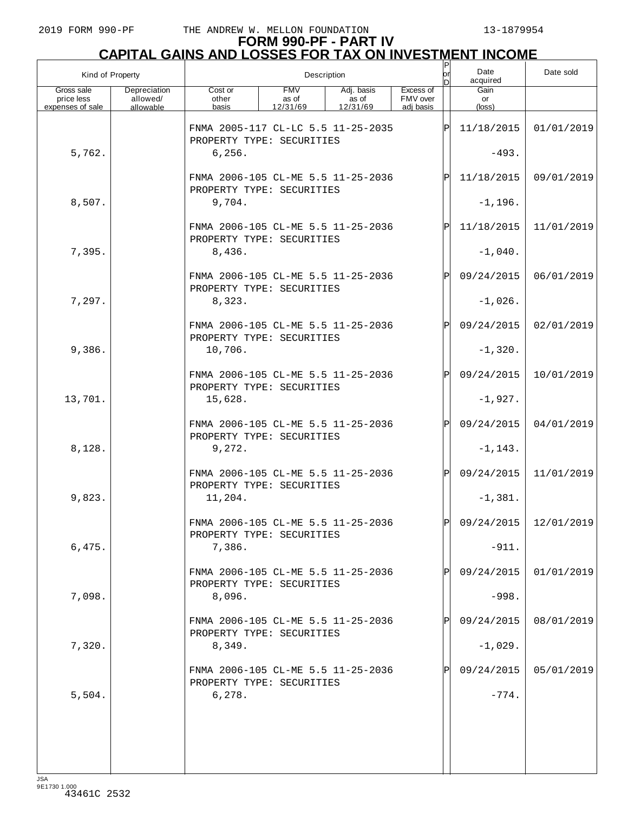| Kind of Property                             |                                       | Description                                                     |                                 |                                    |                                    |              | Date<br>acquired        | Date sold             |
|----------------------------------------------|---------------------------------------|-----------------------------------------------------------------|---------------------------------|------------------------------------|------------------------------------|--------------|-------------------------|-----------------------|
| Gross sale<br>price less<br>expenses of sale | Depreciation<br>allowed/<br>allowable | Cost or<br>other<br>basis                                       | <b>FMV</b><br>as of<br>12/31/69 | Adj. basis<br>as of<br>12/31/69    | Excess of<br>FMV over<br>adj basis |              | Gain<br>or<br>(loss)    |                       |
|                                              |                                       | FNMA 2005-117 CL-LC 5.5 11-25-2035                              |                                 |                                    |                                    | ΙÞΙ          | 11/18/2015              | 01/01/2019            |
| 5,762.                                       |                                       | PROPERTY TYPE: SECURITIES<br>6, 256.                            |                                 |                                    |                                    |              | $-493.$                 |                       |
|                                              |                                       | FNMA 2006-105 CL-ME 5.5 11-25-2036<br>PROPERTY TYPE: SECURITIES |                                 |                                    |                                    | ΙPΙ          | 11/18/2015              | 09/01/2019            |
| 8,507.                                       |                                       | 9,704.                                                          |                                 |                                    |                                    |              | $-1, 196.$              |                       |
|                                              |                                       | FNMA 2006-105 CL-ME 5.5 11-25-2036<br>PROPERTY TYPE: SECURITIES |                                 |                                    |                                    | ΙPΙ          | 11/18/2015              | 11/01/2019            |
| 7,395.                                       |                                       | 8,436.                                                          |                                 |                                    |                                    |              | $-1,040.$               |                       |
|                                              |                                       | FNMA 2006-105 CL-ME 5.5 11-25-2036<br>PROPERTY TYPE: SECURITIES |                                 |                                    |                                    | ΙPΙ          | 09/24/2015              | 06/01/2019            |
| 7,297.                                       |                                       | 8,323.                                                          |                                 |                                    |                                    |              | $-1,026.$               |                       |
|                                              |                                       | FNMA 2006-105 CL-ME 5.5 11-25-2036<br>PROPERTY TYPE: SECURITIES |                                 |                                    |                                    | $\mathsf{P}$ | 09/24/2015              | 02/01/2019            |
| 9,386.                                       |                                       | 10,706.<br>FNMA 2006-105 CL-ME 5.5 11-25-2036                   |                                 |                                    |                                    | $\mathsf{P}$ | $-1,320.$<br>09/24/2015 | 10/01/2019            |
| 13,701.                                      |                                       | PROPERTY TYPE: SECURITIES<br>15,628.                            |                                 |                                    |                                    |              | $-1,927.$               |                       |
|                                              |                                       | FNMA 2006-105 CL-ME 5.5 11-25-2036                              |                                 |                                    |                                    | ΙPΙ          | 09/24/2015              | 04/01/2019            |
| 8,128.                                       |                                       | PROPERTY TYPE: SECURITIES<br>9,272.                             |                                 |                                    |                                    |              | $-1, 143.$              |                       |
|                                              |                                       | FNMA 2006-105 CL-ME 5.5 11-25-2036                              |                                 |                                    |                                    | ΙPΙ          | 09/24/2015              | 11/01/2019            |
| 9,823.                                       |                                       | PROPERTY TYPE: SECURITIES<br>11,204.                            |                                 |                                    |                                    |              | $-1,381.$               |                       |
|                                              |                                       | FNMA 2006-105 CL-ME 5.5 11-25-2036<br>PROPERTY TYPE: SECURITIES |                                 |                                    |                                    |              |                         | 09/24/2015 12/01/2019 |
| 6,475.                                       |                                       | 7,386.                                                          |                                 |                                    |                                    |              | $-911.$                 |                       |
|                                              |                                       | PROPERTY TYPE: SECURITIES                                       |                                 | FNMA 2006-105 CL-ME 5.5 11-25-2036 |                                    |              | 09/24/2015              | 01/01/2019            |
| 7,098.                                       |                                       | 8,096.                                                          |                                 |                                    |                                    |              | $-998.$                 |                       |
|                                              |                                       | PROPERTY TYPE: SECURITIES                                       |                                 | FNMA 2006-105 CL-ME 5.5 11-25-2036 |                                    |              | 09/24/2015              | 08/01/2019            |
| 7,320.                                       |                                       | 8,349.                                                          |                                 |                                    |                                    |              | $-1,029.$               |                       |
|                                              |                                       | PROPERTY TYPE: SECURITIES                                       |                                 | FNMA 2006-105 CL-ME 5.5 11-25-2036 |                                    |              | 09/24/2015              | 05/01/2019            |
| 5,504.                                       |                                       | 6,278.                                                          |                                 |                                    |                                    |              | $-774.$                 |                       |
|                                              |                                       |                                                                 |                                 |                                    |                                    |              |                         |                       |
|                                              |                                       |                                                                 |                                 |                                    |                                    |              |                         |                       |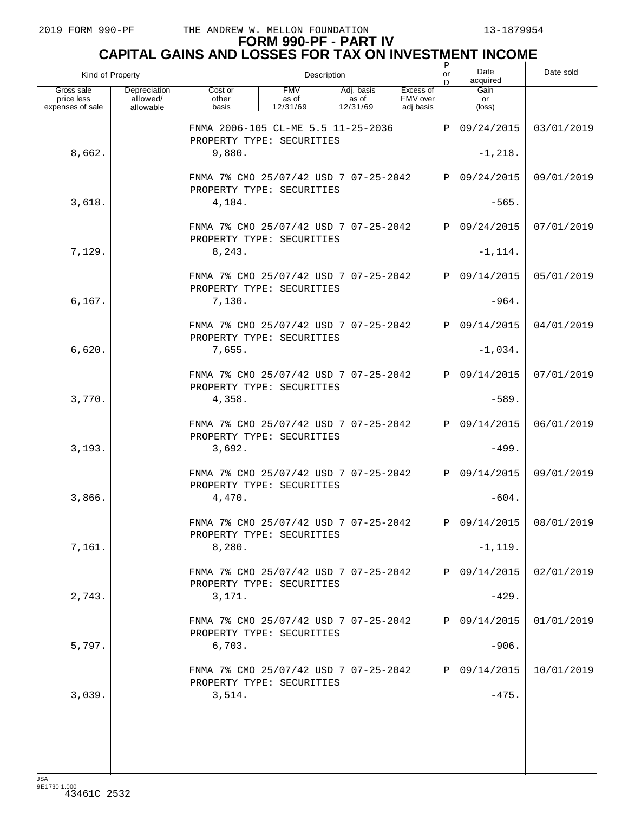| Kind of Property         |                          |                                                                    | Description         |                     | Ρ<br>lor<br>D         | Date<br>acquired | Date sold       |            |
|--------------------------|--------------------------|--------------------------------------------------------------------|---------------------|---------------------|-----------------------|------------------|-----------------|------------|
| Gross sale<br>price less | Depreciation<br>allowed/ | Cost or<br>other                                                   | <b>FMV</b><br>as of | Adj. basis<br>as of | Excess of<br>FMV over |                  | Gain<br>or      |            |
| expenses of sale         | allowable                | basis                                                              | 12/31/69            | 12/31/69            | adi basis             |                  | $(\text{loss})$ |            |
|                          |                          | FNMA 2006-105 CL-ME 5.5 11-25-2036<br>PROPERTY TYPE: SECURITIES    |                     |                     | ΙP                    | 09/24/2015       | 03/01/2019      |            |
| 8,662.                   |                          | 9,880.                                                             |                     |                     |                       | $-1, 218.$       |                 |            |
|                          |                          | FNMA 7% CMO 25/07/42 USD 7 07-25-2042<br>PROPERTY TYPE: SECURITIES |                     |                     |                       | ΙPΙ              | 09/24/2015      | 09/01/2019 |
| 3,618.                   |                          | 4,184.                                                             |                     |                     |                       |                  | $-565.$         |            |
|                          |                          | FNMA 7% CMO 25/07/42 USD 7 07-25-2042<br>PROPERTY TYPE: SECURITIES |                     |                     |                       | $\mathbf{P}$     | 09/24/2015      | 07/01/2019 |
| 7,129.                   |                          | 8, 243.                                                            |                     |                     |                       |                  | $-1, 114.$      |            |
|                          |                          | FNMA 7% CMO 25/07/42 USD 7 07-25-2042<br>PROPERTY TYPE: SECURITIES |                     |                     |                       | ΙPΙ              | 09/14/2015      | 05/01/2019 |
| 6, 167.                  |                          | 7,130.                                                             |                     |                     |                       |                  | $-964.$         |            |
|                          |                          | FNMA 7% CMO 25/07/42 USD 7 07-25-2042<br>PROPERTY TYPE: SECURITIES |                     |                     |                       | $\mathbf{P}$     | 09/14/2015      | 04/01/2019 |
| 6,620.                   |                          | 7,655.                                                             |                     |                     |                       |                  | $-1,034.$       |            |
|                          |                          | FNMA 7% CMO 25/07/42 USD 7 07-25-2042<br>PROPERTY TYPE: SECURITIES |                     |                     |                       | P                | 09/14/2015      | 07/01/2019 |
| 3,770.                   |                          | 4,358.                                                             |                     |                     |                       |                  | $-589.$         |            |
|                          |                          | FNMA 7% CMO 25/07/42 USD 7 07-25-2042<br>PROPERTY TYPE: SECURITIES |                     |                     |                       | $\mathbf{P}$     | 09/14/2015      | 06/01/2019 |
| 3,193.                   |                          | 3,692.                                                             |                     |                     |                       |                  | $-499.$         |            |
|                          |                          | FNMA 7% CMO 25/07/42 USD 7 07-25-2042<br>PROPERTY TYPE: SECURITIES |                     |                     |                       | ΙPΙ              | 09/14/2015      | 09/01/2019 |
| 3,866.                   |                          | 4,470.                                                             |                     |                     |                       |                  | $-604.$         |            |
|                          |                          | FNMA 7% CMO 25/07/42 USD 7 07-25-2042<br>PROPERTY TYPE: SECURITIES |                     |                     |                       |                  | 09/14/2015      | 08/01/2019 |
| 7,161.                   |                          | 8,280.                                                             |                     |                     |                       |                  | $-1, 119.$      |            |
|                          |                          | FNMA 7% CMO 25/07/42 USD 7 07-25-2042<br>PROPERTY TYPE: SECURITIES |                     |                     |                       | P                | 09/14/2015      | 02/01/2019 |
| 2,743.                   |                          | 3,171.                                                             |                     |                     |                       |                  | $-429.$         |            |
|                          |                          | FNMA 7% CMO 25/07/42 USD 7 07-25-2042<br>PROPERTY TYPE: SECURITIES |                     |                     |                       | P                | 09/14/2015      | 01/01/2019 |
| 5,797.                   |                          | 6,703.                                                             |                     |                     |                       |                  | $-906.$         |            |
|                          |                          | FNMA 7% CMO 25/07/42 USD 7 07-25-2042<br>PROPERTY TYPE: SECURITIES |                     |                     |                       | P                | 09/14/2015      | 10/01/2019 |
| 3,039.                   |                          | 3,514.                                                             |                     |                     |                       |                  | $-475.$         |            |
|                          |                          |                                                                    |                     |                     |                       |                  |                 |            |
|                          |                          |                                                                    |                     |                     |                       |                  |                 |            |
|                          |                          |                                                                    |                     |                     |                       |                  |                 |            |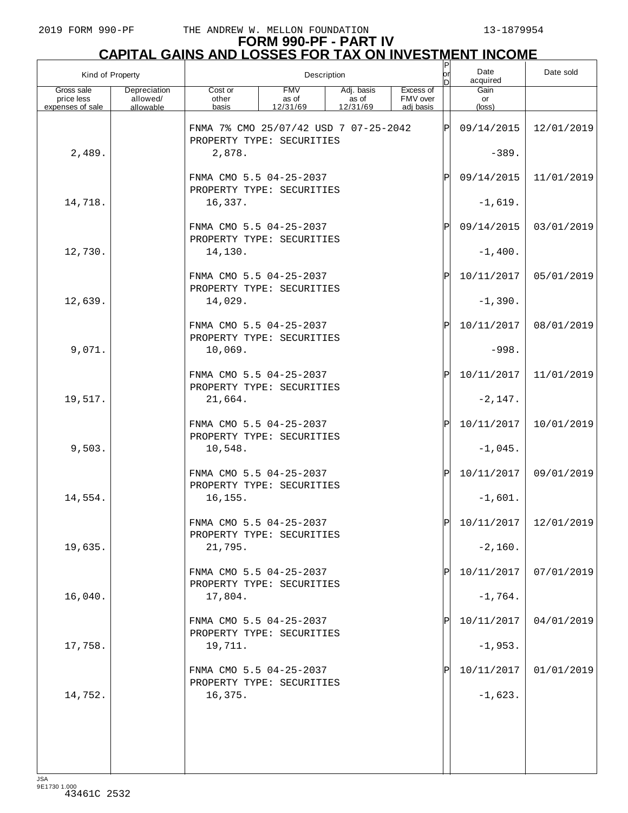| Kind of Property                             |                                       |                                                                 | Description                     |                                 |                                    | P<br> or    | Date<br>acquired        | Date sold                   |
|----------------------------------------------|---------------------------------------|-----------------------------------------------------------------|---------------------------------|---------------------------------|------------------------------------|-------------|-------------------------|-----------------------------|
| Gross sale<br>price less<br>expenses of sale | Depreciation<br>allowed/<br>allowable | Cost or<br>other<br>basis                                       | <b>FMV</b><br>as of<br>12/31/69 | Adj. basis<br>as of<br>12/31/69 | Excess of<br>FMV over<br>adj basis |             | Gain<br>or<br>(loss)    |                             |
|                                              |                                       | FNMA 7% CMO 25/07/42 USD 7 07-25-2042                           |                                 |                                 |                                    | ΙP          | 09/14/2015              | 12/01/2019                  |
| 2,489.                                       |                                       | PROPERTY TYPE: SECURITIES<br>2,878.                             |                                 |                                 |                                    |             | $-389.$                 |                             |
|                                              |                                       | FNMA CMO 5.5 04-25-2037<br>PROPERTY TYPE: SECURITIES            |                                 |                                 |                                    | Ρ           | 09/14/2015              | 11/01/2019                  |
| 14,718.                                      |                                       | 16,337.                                                         |                                 |                                 |                                    |             | $-1,619.$               |                             |
|                                              |                                       | FNMA CMO 5.5 04-25-2037<br>PROPERTY TYPE: SECURITIES            |                                 |                                 |                                    | $\mathbb P$ | 09/14/2015              | 03/01/2019                  |
| 12,730.                                      |                                       | 14,130.                                                         |                                 |                                 |                                    |             | $-1,400.$               |                             |
|                                              |                                       | FNMA CMO 5.5 04-25-2037<br>PROPERTY TYPE: SECURITIES            |                                 |                                 |                                    | $\mathbf P$ | 10/11/2017              | 05/01/2019                  |
| 12,639.                                      |                                       | 14,029.                                                         |                                 |                                 |                                    |             | $-1,390.$               |                             |
|                                              |                                       | FNMA CMO 5.5 04-25-2037<br>PROPERTY TYPE: SECURITIES            |                                 |                                 |                                    | $\mathbb P$ | 10/11/2017              | 08/01/2019                  |
| 9,071.                                       |                                       | 10,069.                                                         |                                 |                                 |                                    |             | $-998.$                 |                             |
|                                              |                                       | FNMA CMO 5.5 04-25-2037<br>PROPERTY TYPE: SECURITIES            |                                 |                                 |                                    | $\mathbb P$ | 10/11/2017              | 11/01/2019                  |
| 19,517.                                      |                                       | 21,664.                                                         |                                 |                                 |                                    |             | $-2,147.$               |                             |
| 9,503.                                       |                                       | FNMA CMO 5.5 04-25-2037<br>PROPERTY TYPE: SECURITIES<br>10,548. |                                 |                                 |                                    | $\mathbf P$ | 10/11/2017              | 10/01/2019                  |
|                                              |                                       | FNMA CMO 5.5 04-25-2037                                         |                                 |                                 |                                    | $\mathbf P$ | $-1,045.$<br>10/11/2017 | 09/01/2019                  |
| 14,554.                                      |                                       | PROPERTY TYPE: SECURITIES<br>16, 155.                           |                                 |                                 |                                    |             | $-1,601.$               |                             |
|                                              |                                       | FNMA CMO 5.5 04-25-2037                                         |                                 |                                 |                                    | D           |                         | $10/11/2017$   $12/01/2019$ |
| 19,635.                                      |                                       | PROPERTY TYPE: SECURITIES<br>21,795.                            |                                 |                                 |                                    |             | $-2,160.$               |                             |
|                                              |                                       | FNMA CMO 5.5 04-25-2037                                         |                                 |                                 |                                    |             | 10/11/2017              | 07/01/2019                  |
| 16,040.                                      |                                       | PROPERTY TYPE: SECURITIES<br>17,804.                            |                                 |                                 |                                    |             | $-1,764.$               |                             |
|                                              |                                       | FNMA CMO 5.5 04-25-2037                                         |                                 |                                 |                                    |             | 10/11/2017              | 04/01/2019                  |
| 17,758.                                      |                                       | PROPERTY TYPE: SECURITIES<br>19,711.                            |                                 |                                 |                                    |             | $-1,953.$               |                             |
|                                              |                                       | FNMA CMO 5.5 04-25-2037                                         |                                 |                                 |                                    |             | 10/11/2017              | 01/01/2019                  |
| 14,752.                                      |                                       | PROPERTY TYPE: SECURITIES<br>16,375.                            |                                 |                                 |                                    |             | $-1,623.$               |                             |
|                                              |                                       |                                                                 |                                 |                                 |                                    |             |                         |                             |
|                                              |                                       |                                                                 |                                 |                                 |                                    |             |                         |                             |
|                                              |                                       |                                                                 |                                 |                                 |                                    |             |                         |                             |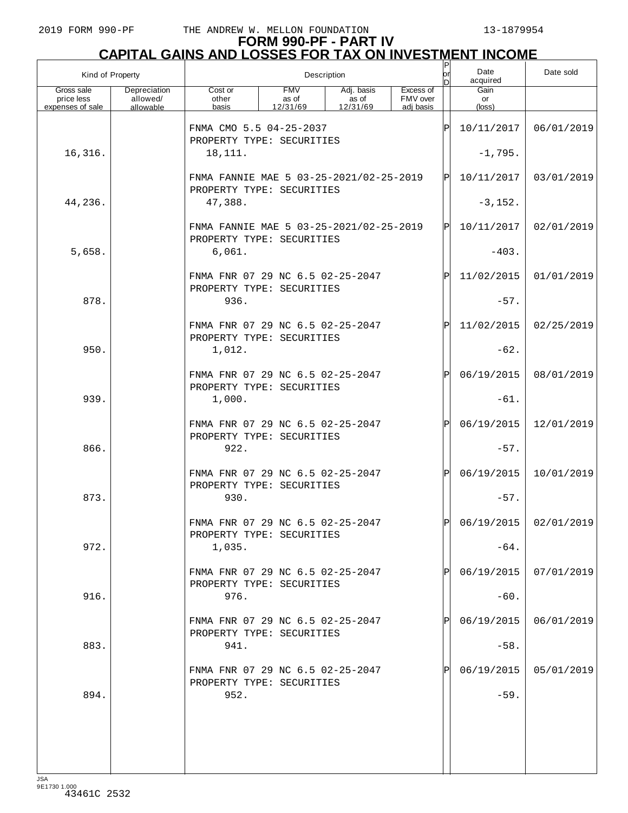## **FORM 990-PF - PART IV CAPITAL GAINS AND LOSSES FOR TAX ON INVESTMENT INCOME**

| Kind of Property                             |                                       |                                                                      |                                 | Description                     |                                    | $\frac{P}{\rho r}$<br>In | Date<br>acquired              | Date sold               |
|----------------------------------------------|---------------------------------------|----------------------------------------------------------------------|---------------------------------|---------------------------------|------------------------------------|--------------------------|-------------------------------|-------------------------|
| Gross sale<br>price less<br>expenses of sale | Depreciation<br>allowed/<br>allowable | Cost or<br>other<br>basis                                            | <b>FMV</b><br>as of<br>12/31/69 | Adj. basis<br>as of<br>12/31/69 | Excess of<br>FMV over<br>adi basis |                          | Gain<br>or<br>$(\text{loss})$ |                         |
|                                              |                                       | FNMA CMO 5.5 04-25-2037                                              |                                 |                                 |                                    | ΙP                       | 10/11/2017                    | 06/01/2019              |
| 16,316.                                      |                                       | PROPERTY TYPE: SECURITIES<br>18,111.                                 |                                 |                                 |                                    |                          | $-1,795.$                     |                         |
|                                              |                                       | FNMA FANNIE MAE 5 03-25-2021/02-25-2019<br>PROPERTY TYPE: SECURITIES |                                 |                                 |                                    | ΙPΙ                      | 10/11/2017                    | 03/01/2019              |
| 44,236.                                      |                                       | 47,388.                                                              |                                 |                                 |                                    |                          | $-3,152.$                     |                         |
|                                              |                                       | FNMA FANNIE MAE 5 03-25-2021/02-25-2019<br>PROPERTY TYPE: SECURITIES |                                 |                                 |                                    | ΙP                       | 10/11/2017                    | 02/01/2019              |
| 5,658.                                       |                                       | 6,061.                                                               |                                 |                                 |                                    |                          | $-403.$                       |                         |
|                                              |                                       | FNMA FNR 07 29 NC 6.5 02-25-2047<br>PROPERTY TYPE: SECURITIES        |                                 |                                 |                                    | ΙP                       | 11/02/2015                    | 01/01/2019              |
| 878.                                         |                                       | 936.                                                                 |                                 |                                 |                                    |                          | $-57.$                        |                         |
|                                              |                                       | FNMA FNR 07 29 NC 6.5 02-25-2047<br>PROPERTY TYPE: SECURITIES        |                                 |                                 |                                    | ΙP                       | 11/02/2015                    | 02/25/2019              |
| 950.                                         |                                       | 1,012.                                                               |                                 |                                 |                                    |                          | $-62.$                        |                         |
|                                              |                                       | FNMA FNR 07 29 NC 6.5 02-25-2047<br>PROPERTY TYPE: SECURITIES        |                                 |                                 |                                    | P                        | 06/19/2015                    | 08/01/2019              |
| 939.                                         |                                       | 1,000.                                                               |                                 |                                 |                                    |                          | $-61.$                        |                         |
|                                              |                                       | FNMA FNR 07 29 NC 6.5 02-25-2047<br>PROPERTY TYPE: SECURITIES        |                                 |                                 |                                    | P                        | 06/19/2015                    | 12/01/2019              |
| 866.                                         |                                       | 922.<br>FNMA FNR 07 29 NC 6.5 02-25-2047                             |                                 |                                 |                                    | P                        | $-57.$<br>06/19/2015          | 10/01/2019              |
| 873.                                         |                                       | PROPERTY TYPE: SECURITIES<br>930.                                    |                                 |                                 |                                    |                          | $-57.$                        |                         |
|                                              |                                       | FNMA FNR 07 29 NC 6.5 02-25-2047                                     |                                 |                                 |                                    | Þl                       |                               | $06/19/2015$ 02/01/2019 |
| 972.                                         |                                       | PROPERTY TYPE: SECURITIES<br>1,035.                                  |                                 |                                 |                                    |                          | $-64.$                        |                         |
|                                              |                                       | FNMA FNR 07 29 NC 6.5 02-25-2047                                     |                                 |                                 |                                    |                          | 06/19/2015                    | 07/01/2019              |
| 916.                                         |                                       | PROPERTY TYPE: SECURITIES<br>976.                                    |                                 |                                 |                                    |                          | $-60.$                        |                         |
|                                              |                                       | FNMA FNR 07 29 NC 6.5 02-25-2047                                     |                                 |                                 |                                    |                          | 06/19/2015                    | 06/01/2019              |
| 883.                                         |                                       | PROPERTY TYPE: SECURITIES<br>941.                                    |                                 |                                 |                                    |                          | $-58.$                        |                         |
|                                              |                                       | FNMA FNR 07 29 NC 6.5 02-25-2047                                     |                                 |                                 |                                    |                          | 06/19/2015                    | 05/01/2019              |
| 894.                                         |                                       | PROPERTY TYPE: SECURITIES<br>952.                                    |                                 |                                 |                                    |                          | $-59.$                        |                         |
|                                              |                                       |                                                                      |                                 |                                 |                                    |                          |                               |                         |
|                                              |                                       |                                                                      |                                 |                                 |                                    |                          |                               |                         |
| 10 <sub>0</sub>                              |                                       |                                                                      |                                 |                                 |                                    |                          |                               |                         |

JSA 9E1730 1.000 43461C 2532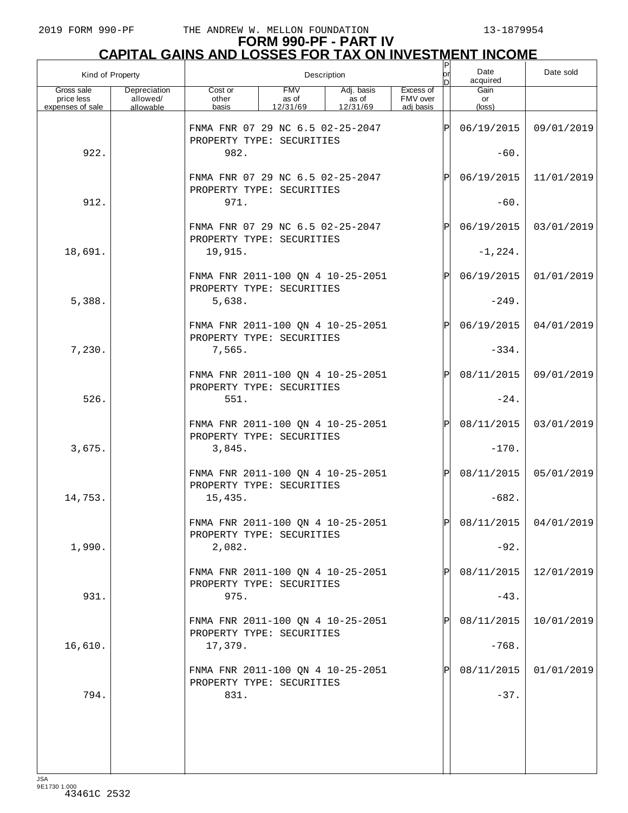|                                              | Kind of Property                      |                                                                |                                 | Description                     |                                    | P<br>lor<br>n | Date<br>acquired              | Date sold             |
|----------------------------------------------|---------------------------------------|----------------------------------------------------------------|---------------------------------|---------------------------------|------------------------------------|---------------|-------------------------------|-----------------------|
| Gross sale<br>price less<br>expenses of sale | Depreciation<br>allowed/<br>allowable | Cost or<br>other<br>basis                                      | <b>FMV</b><br>as of<br>12/31/69 | Adj. basis<br>as of<br>12/31/69 | Excess of<br>FMV over<br>adi basis |               | Gain<br>or<br>$(\text{loss})$ |                       |
|                                              |                                       | FNMA FNR 07 29 NC 6.5 02-25-2047<br>PROPERTY TYPE: SECURITIES  |                                 |                                 |                                    | Þ             | 06/19/2015                    | 09/01/2019            |
| 922.                                         |                                       | 982.                                                           |                                 |                                 |                                    | $-60.$        |                               |                       |
|                                              |                                       | FNMA FNR 07 29 NC 6.5 02-25-2047<br>PROPERTY TYPE: SECURITIES  |                                 |                                 |                                    | $\mathsf{P}$  | 06/19/2015                    | 11/01/2019            |
| 912.                                         |                                       | 971.                                                           |                                 |                                 |                                    |               | $-60.$                        |                       |
|                                              |                                       | FNMA FNR 07 29 NC 6.5 02-25-2047<br>PROPERTY TYPE: SECURITIES  |                                 |                                 |                                    | $\mathsf{P}$  | 06/19/2015                    | 03/01/2019            |
| 18,691.                                      |                                       | 19,915.                                                        |                                 |                                 |                                    |               | $-1, 224.$                    |                       |
|                                              |                                       | FNMA FNR 2011-100 QN 4 10-25-2051<br>PROPERTY TYPE: SECURITIES |                                 |                                 |                                    | ΙPΙ           | 06/19/2015                    | 01/01/2019            |
| 5,388.                                       |                                       | 5,638.                                                         |                                 |                                 |                                    |               | $-249.$                       |                       |
|                                              |                                       | FNMA FNR 2011-100 QN 4 10-25-2051<br>PROPERTY TYPE: SECURITIES |                                 |                                 |                                    | $\mathsf{P}$  | 06/19/2015                    | 04/01/2019            |
| 7,230.                                       |                                       | 7,565.                                                         |                                 |                                 |                                    |               | $-334.$                       |                       |
|                                              |                                       | FNMA FNR 2011-100 QN 4 10-25-2051<br>PROPERTY TYPE: SECURITIES |                                 |                                 |                                    | $\mathsf{P}$  | 08/11/2015                    | 09/01/2019            |
| 526.                                         |                                       | 551.                                                           |                                 |                                 |                                    |               | $-24.$                        |                       |
|                                              |                                       | FNMA FNR 2011-100 QN 4 10-25-2051<br>PROPERTY TYPE: SECURITIES |                                 |                                 |                                    | $\mathbf P$   | 08/11/2015                    | 03/01/2019            |
| 3,675.                                       |                                       | 3,845.                                                         |                                 |                                 |                                    |               | $-170.$                       |                       |
|                                              |                                       | FNMA FNR 2011-100 QN 4 10-25-2051<br>PROPERTY TYPE: SECURITIES |                                 |                                 |                                    | ΙPΙ           | 08/11/2015                    | 05/01/2019            |
| 14,753.                                      |                                       | 15,435.                                                        |                                 |                                 |                                    |               | $-682.$                       |                       |
|                                              |                                       | FNMA FNR 2011-100 QN 4 10-25-2051<br>PROPERTY TYPE: SECURITIES |                                 |                                 |                                    | lÞI.          |                               | 08/11/2015 04/01/2019 |
| 1,990.                                       |                                       | 2,082.                                                         |                                 |                                 |                                    |               | $-92.$                        |                       |
|                                              |                                       | FNMA FNR 2011-100 QN 4 10-25-2051<br>PROPERTY TYPE: SECURITIES |                                 |                                 |                                    |               | 08/11/2015                    | 12/01/2019            |
| 931.                                         |                                       | 975.                                                           |                                 |                                 |                                    |               | $-43.$                        |                       |
|                                              |                                       | FNMA FNR 2011-100 QN 4 10-25-2051<br>PROPERTY TYPE: SECURITIES |                                 |                                 |                                    |               | 08/11/2015                    | 10/01/2019            |
| 16,610.                                      |                                       | 17,379.                                                        |                                 |                                 |                                    |               | $-768.$                       |                       |
|                                              |                                       | FNMA FNR 2011-100 QN 4 10-25-2051<br>PROPERTY TYPE: SECURITIES |                                 |                                 |                                    |               | 08/11/2015                    | 01/01/2019            |
| 794.                                         |                                       | 831.                                                           |                                 |                                 |                                    |               | $-37.$                        |                       |
|                                              |                                       |                                                                |                                 |                                 |                                    |               |                               |                       |
|                                              |                                       |                                                                |                                 |                                 |                                    |               |                               |                       |
|                                              |                                       |                                                                |                                 |                                 |                                    |               |                               |                       |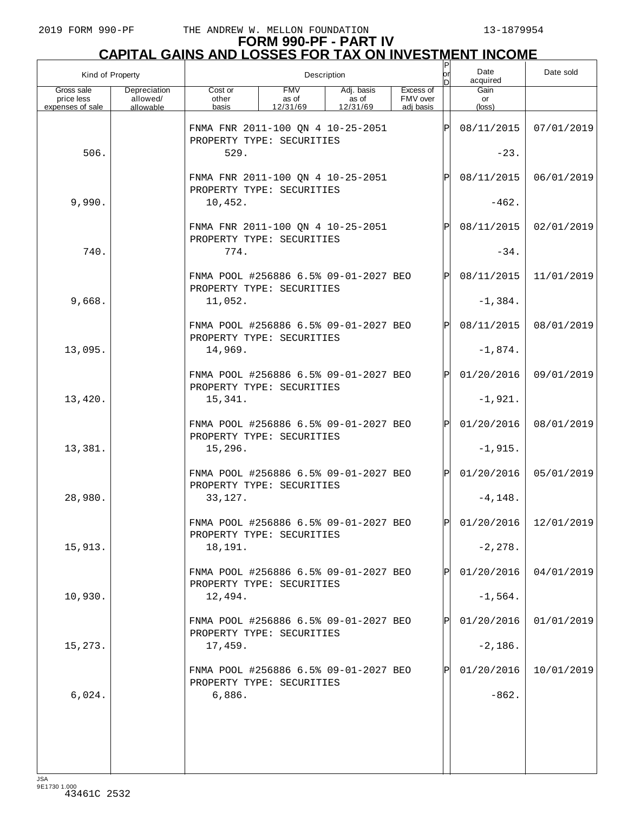|                                              | Kind of Property                      |                                                                    |                                 | Description                     |                                    | $\mathsf{P}$<br>lorl<br>D | Date<br>acquired        | Date sold               |
|----------------------------------------------|---------------------------------------|--------------------------------------------------------------------|---------------------------------|---------------------------------|------------------------------------|---------------------------|-------------------------|-------------------------|
| Gross sale<br>price less<br>expenses of sale | Depreciation<br>allowed/<br>allowable | Cost or<br>other<br>basis                                          | <b>FMV</b><br>as of<br>12/31/69 | Adj. basis<br>as of<br>12/31/69 | Excess of<br>FMV over<br>adj basis |                           | Gain<br>or<br>(loss)    |                         |
|                                              |                                       | FNMA FNR 2011-100 QN 4 10-25-2051<br>PROPERTY TYPE: SECURITIES     |                                 |                                 |                                    | ΙPΙ                       | 08/11/2015              | 07/01/2019              |
| 506.                                         |                                       | 529.                                                               |                                 |                                 |                                    |                           | $-23.$                  |                         |
|                                              |                                       | FNMA FNR 2011-100 QN 4 10-25-2051<br>PROPERTY TYPE: SECURITIES     |                                 |                                 |                                    | $\mathbf P$               | 08/11/2015              | 06/01/2019              |
| 9,990.                                       |                                       | 10,452.                                                            |                                 |                                 |                                    |                           |                         |                         |
|                                              |                                       | FNMA FNR 2011-100 QN 4 10-25-2051<br>PROPERTY TYPE: SECURITIES     |                                 |                                 |                                    | $\mathbf P$               | 08/11/2015              | 02/01/2019              |
| 740.                                         |                                       | 774.                                                               |                                 |                                 |                                    |                           | $-34.$                  |                         |
|                                              |                                       | FNMA POOL #256886 6.5% 09-01-2027 BEO<br>PROPERTY TYPE: SECURITIES |                                 |                                 |                                    | $\mathbf P$               | 08/11/2015              | 11/01/2019              |
| 9,668.                                       |                                       | 11,052.                                                            |                                 |                                 |                                    |                           | $-1,384.$               |                         |
|                                              |                                       | FNMA POOL #256886 6.5% 09-01-2027 BEO<br>PROPERTY TYPE: SECURITIES |                                 |                                 |                                    | $\mathbf P$               | 08/11/2015              | 08/01/2019              |
| 13,095.                                      |                                       | 14,969.                                                            |                                 |                                 |                                    |                           | $-1,874.$               |                         |
|                                              |                                       | FNMA POOL #256886 6.5% 09-01-2027 BEO<br>PROPERTY TYPE: SECURITIES |                                 |                                 |                                    | $\mathbf P$               | 01/20/2016              | 09/01/2019              |
| 13,420.                                      |                                       | 15,341.                                                            |                                 |                                 |                                    |                           | $-1,921.$               |                         |
| 13,381.                                      |                                       | FNMA POOL #256886 6.5% 09-01-2027 BEO<br>PROPERTY TYPE: SECURITIES |                                 |                                 |                                    | $\mathbf P$               | 01/20/2016<br>$-1,915.$ | 08/01/2019              |
|                                              |                                       | 15,296.                                                            |                                 |                                 |                                    |                           |                         |                         |
|                                              |                                       | FNMA POOL #256886 6.5% 09-01-2027 BEO<br>PROPERTY TYPE: SECURITIES |                                 |                                 |                                    | $\mathbf P$               | 01/20/2016              | 05/01/2019              |
| 28,980.                                      |                                       | 33,127.                                                            |                                 |                                 |                                    |                           | $-4, 148.$              |                         |
|                                              |                                       | FNMA POOL #256886 6.5% 09-01-2027 BEO<br>PROPERTY TYPE: SECURITIES |                                 |                                 |                                    | D                         |                         | $01/20/2016$ 12/01/2019 |
| 15,913.                                      |                                       | 18,191.                                                            |                                 |                                 |                                    |                           | $-2, 278.$              |                         |
|                                              |                                       | FNMA POOL #256886 6.5% 09-01-2027 BEO<br>PROPERTY TYPE: SECURITIES |                                 |                                 |                                    | Pl                        | 01/20/2016              | 04/01/2019              |
| 10,930.                                      |                                       | 12,494.                                                            |                                 |                                 |                                    |                           | $-1,564.$               |                         |
|                                              |                                       | FNMA POOL #256886 6.5% 09-01-2027 BEO<br>PROPERTY TYPE: SECURITIES |                                 |                                 |                                    | Pl                        | 01/20/2016              | 01/01/2019              |
| 15,273.                                      |                                       | 17,459.                                                            |                                 |                                 |                                    |                           | $-2,186.$               |                         |
|                                              |                                       | FNMA POOL #256886 6.5% 09-01-2027 BEO<br>PROPERTY TYPE: SECURITIES |                                 |                                 |                                    | P                         | 01/20/2016              | 10/01/2019              |
| 6,024.                                       |                                       | 6,886.                                                             |                                 |                                 |                                    |                           | $-862.$                 |                         |
|                                              |                                       |                                                                    |                                 |                                 |                                    |                           |                         |                         |
|                                              |                                       |                                                                    |                                 |                                 |                                    |                           |                         |                         |
|                                              |                                       |                                                                    |                                 |                                 |                                    |                           |                         |                         |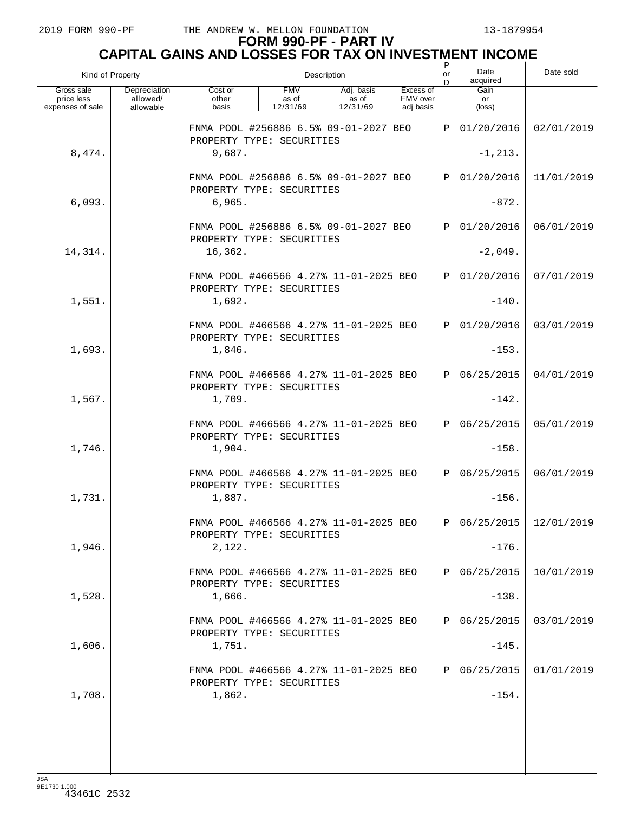| Kind of Property                             |                                       |                                                                     |                                 | Description                     |                                    | or<br>n    | Date<br>acquired              | Date sold               |
|----------------------------------------------|---------------------------------------|---------------------------------------------------------------------|---------------------------------|---------------------------------|------------------------------------|------------|-------------------------------|-------------------------|
| Gross sale<br>price less<br>expenses of sale | Depreciation<br>allowed/<br>allowable | Cost or<br>other<br>basis                                           | <b>FMV</b><br>as of<br>12/31/69 | Adj. basis<br>as of<br>12/31/69 | Excess of<br>FMV over<br>adj basis |            | Gain<br>or<br>$(\text{loss})$ |                         |
|                                              |                                       | FNMA POOL #256886 6.5% 09-01-2027 BEO<br>PROPERTY TYPE: SECURITIES  |                                 |                                 |                                    | IPI        | 01/20/2016                    | 02/01/2019              |
| 8,474.                                       |                                       | 9,687.                                                              |                                 |                                 |                                    |            | $-1, 213.$                    |                         |
|                                              |                                       | FNMA POOL #256886 6.5% 09-01-2027 BEO<br>PROPERTY TYPE: SECURITIES  |                                 |                                 | IPI                                | 01/20/2016 | 11/01/2019                    |                         |
| 6,093.                                       |                                       | 6,965.                                                              |                                 |                                 |                                    |            | $-872.$                       |                         |
|                                              |                                       | FNMA POOL #256886 6.5% 09-01-2027 BEO<br>PROPERTY TYPE: SECURITIES  |                                 |                                 |                                    | ΙPΙ        | 01/20/2016                    | 06/01/2019              |
| 14,314.                                      |                                       | 16,362.                                                             |                                 |                                 |                                    |            | $-2,049.$                     |                         |
|                                              |                                       | FNMA POOL #466566 4.27% 11-01-2025 BEO<br>PROPERTY TYPE: SECURITIES |                                 |                                 |                                    | ΙPΙ        | 01/20/2016                    | 07/01/2019              |
| 1,551.                                       |                                       | 1,692.                                                              |                                 |                                 |                                    |            | $-140.$                       |                         |
|                                              |                                       | FNMA POOL #466566 4.27% 11-01-2025 BEO<br>PROPERTY TYPE: SECURITIES |                                 |                                 |                                    | ΙPΙ        | 01/20/2016                    | 03/01/2019              |
| 1,693.                                       |                                       | 1,846.                                                              |                                 |                                 |                                    |            | $-153.$                       |                         |
|                                              |                                       | FNMA POOL #466566 4.27% 11-01-2025 BEO<br>PROPERTY TYPE: SECURITIES |                                 |                                 |                                    | ΙPΙ        | 06/25/2015                    | 04/01/2019              |
| 1,567.                                       |                                       | 1,709.                                                              |                                 |                                 |                                    |            | $-142.$                       |                         |
|                                              |                                       | FNMA POOL #466566 4.27% 11-01-2025 BEO<br>PROPERTY TYPE: SECURITIES |                                 |                                 |                                    | ΙPΙ        | 06/25/2015                    | 05/01/2019              |
| 1,746.                                       |                                       | 1,904.                                                              |                                 |                                 |                                    |            | $-158.$                       |                         |
|                                              |                                       | FNMA POOL #466566 4.27% 11-01-2025 BEO<br>PROPERTY TYPE: SECURITIES |                                 |                                 |                                    | ΙÞΙ        | 06/25/2015                    | 06/01/2019              |
| 1,731.                                       |                                       | 1,887.                                                              |                                 |                                 |                                    |            | $-156.$                       |                         |
|                                              |                                       | FNMA POOL #466566 4.27% 11-01-2025 BEO<br>PROPERTY TYPE: SECURITIES |                                 |                                 |                                    | l pl       |                               | 06/25/2015   12/01/2019 |
| 1,946.                                       |                                       | 2,122.                                                              |                                 |                                 |                                    |            | $-176.$                       |                         |
|                                              |                                       | FNMA POOL #466566 4.27% 11-01-2025 BEO<br>PROPERTY TYPE: SECURITIES |                                 |                                 |                                    | IPI        | 06/25/2015                    | 10/01/2019              |
| 1,528.                                       |                                       | 1,666.                                                              |                                 |                                 |                                    |            | $-138.$                       |                         |
|                                              |                                       | FNMA POOL #466566 4.27% 11-01-2025 BEO<br>PROPERTY TYPE: SECURITIES |                                 |                                 |                                    | IPI        | 06/25/2015                    | 03/01/2019              |
| 1,606.                                       |                                       | 1,751.                                                              |                                 |                                 |                                    |            | $-145.$                       |                         |
|                                              |                                       | FNMA POOL #466566 4.27% 11-01-2025 BEO<br>PROPERTY TYPE: SECURITIES |                                 |                                 |                                    | IPI        | 06/25/2015                    | 01/01/2019              |
| 1,708.                                       |                                       | 1,862.                                                              |                                 |                                 |                                    |            | $-154.$                       |                         |
|                                              |                                       |                                                                     |                                 |                                 |                                    |            |                               |                         |
|                                              |                                       |                                                                     |                                 |                                 |                                    |            |                               |                         |
|                                              |                                       |                                                                     |                                 |                                 |                                    |            |                               |                         |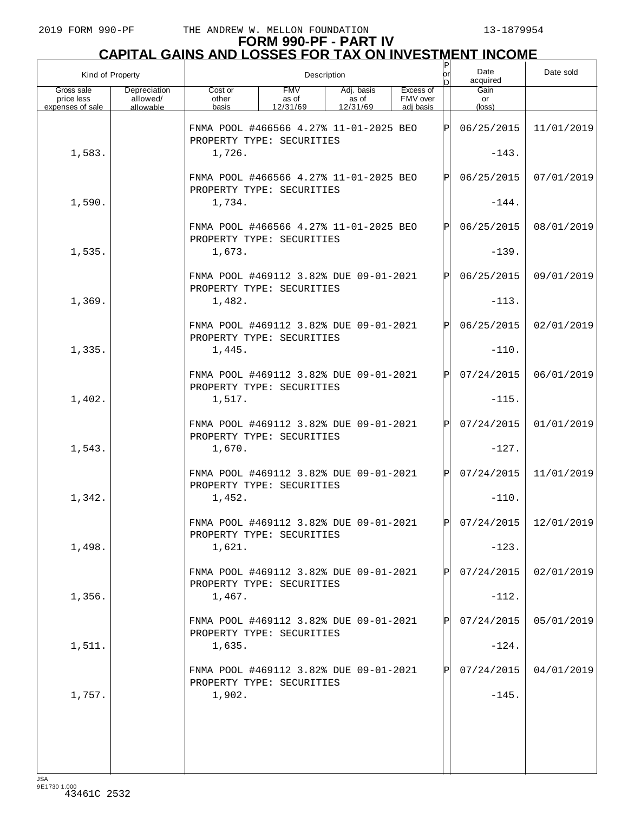| Kind of Property                             |                                       |                                                                     |                                 | Description                     |                                    | P<br>lorl    | Date<br>acquired              | Date sold               |
|----------------------------------------------|---------------------------------------|---------------------------------------------------------------------|---------------------------------|---------------------------------|------------------------------------|--------------|-------------------------------|-------------------------|
| Gross sale<br>price less<br>expenses of sale | Depreciation<br>allowed/<br>allowable | Cost or<br>other<br>basis                                           | <b>FMV</b><br>as of<br>12/31/69 | Adj. basis<br>as of<br>12/31/69 | Excess of<br>FMV over<br>adj basis |              | Gain<br>or<br>$(\text{loss})$ |                         |
|                                              |                                       | FNMA POOL #466566 4.27% 11-01-2025 BEO<br>PROPERTY TYPE: SECURITIES |                                 |                                 |                                    | ΙÞΙ          | 06/25/2015                    | 11/01/2019              |
| 1,583.                                       |                                       | 1,726.                                                              |                                 |                                 |                                    |              | $-143.$                       |                         |
|                                              |                                       | FNMA POOL #466566 4.27% 11-01-2025 BEO<br>PROPERTY TYPE: SECURITIES |                                 |                                 |                                    | $\mathbf{P}$ | 06/25/2015                    | 07/01/2019              |
| 1,590.                                       |                                       | 1,734.                                                              |                                 |                                 |                                    |              | $-144.$                       |                         |
|                                              |                                       | FNMA POOL #466566 4.27% 11-01-2025 BEO<br>PROPERTY TYPE: SECURITIES |                                 |                                 |                                    | $\mathbf{P}$ | 06/25/2015                    | 08/01/2019              |
| 1,535.                                       |                                       | 1,673.                                                              |                                 |                                 |                                    |              | $-139.$                       |                         |
|                                              |                                       | FNMA POOL #469112 3.82% DUE 09-01-2021<br>PROPERTY TYPE: SECURITIES |                                 |                                 |                                    | $\mathbf{P}$ | 06/25/2015                    | 09/01/2019              |
| 1,369.                                       |                                       | 1,482.                                                              |                                 |                                 |                                    |              | $-113.$                       |                         |
|                                              |                                       | FNMA POOL #469112 3.82% DUE 09-01-2021<br>PROPERTY TYPE: SECURITIES |                                 |                                 |                                    | $\mathbf{P}$ | 06/25/2015                    | 02/01/2019              |
| 1,335.                                       |                                       | 1,445.                                                              |                                 |                                 |                                    |              | $-110.$                       |                         |
|                                              |                                       | FNMA POOL #469112 3.82% DUE 09-01-2021<br>PROPERTY TYPE: SECURITIES |                                 |                                 |                                    | P            | 07/24/2015                    | 06/01/2019              |
| 1,402.                                       |                                       | 1,517.                                                              |                                 |                                 |                                    |              | $-115.$                       |                         |
|                                              |                                       | FNMA POOL #469112 3.82% DUE 09-01-2021<br>PROPERTY TYPE: SECURITIES |                                 |                                 |                                    | P            | 07/24/2015                    | 01/01/2019              |
| 1,543.                                       |                                       | 1,670.                                                              |                                 |                                 |                                    |              | $-127.$                       |                         |
|                                              |                                       | FNMA POOL #469112 3.82% DUE 09-01-2021<br>PROPERTY TYPE: SECURITIES |                                 |                                 |                                    | P            | 07/24/2015                    | 11/01/2019              |
| 1,342.                                       |                                       | 1,452.                                                              |                                 |                                 |                                    |              | $-110.$                       |                         |
|                                              |                                       | FNMA POOL #469112 3.82% DUE 09-01-2021<br>PROPERTY TYPE: SECURITIES |                                 |                                 |                                    | D            |                               | $07/24/2015$ 12/01/2019 |
| 1,498.                                       |                                       | 1,621.                                                              |                                 |                                 |                                    |              | $-123.$                       |                         |
|                                              |                                       | FNMA POOL #469112 3.82% DUE 09-01-2021<br>PROPERTY TYPE: SECURITIES |                                 |                                 |                                    |              | 07/24/2015                    | 02/01/2019              |
| 1,356.                                       |                                       | 1,467.                                                              |                                 |                                 |                                    |              | $-112.$                       |                         |
|                                              |                                       | FNMA POOL #469112 3.82% DUE 09-01-2021<br>PROPERTY TYPE: SECURITIES |                                 |                                 |                                    |              | 07/24/2015                    | 05/01/2019              |
| 1,511.                                       |                                       | 1,635.                                                              |                                 |                                 |                                    |              | $-124.$                       |                         |
|                                              |                                       | FNMA POOL #469112 3.82% DUE 09-01-2021<br>PROPERTY TYPE: SECURITIES |                                 |                                 |                                    |              | 07/24/2015                    | 04/01/2019              |
| 1,757.                                       |                                       | 1,902.                                                              |                                 |                                 |                                    |              | $-145.$                       |                         |
|                                              |                                       |                                                                     |                                 |                                 |                                    |              |                               |                         |
|                                              |                                       |                                                                     |                                 |                                 |                                    |              |                               |                         |
|                                              |                                       |                                                                     |                                 |                                 |                                    |              |                               |                         |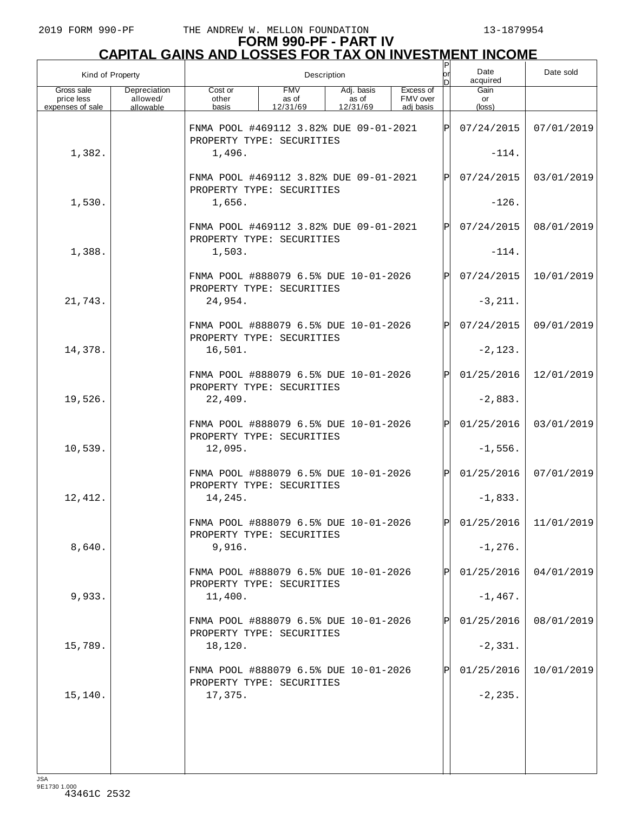| Kind of Property         |                          |                                                                               | Description         |                     |                       | $\sf P$<br>lor<br>n | Date<br>acquired        | Date sold               |
|--------------------------|--------------------------|-------------------------------------------------------------------------------|---------------------|---------------------|-----------------------|---------------------|-------------------------|-------------------------|
| Gross sale<br>price less | Depreciation<br>allowed/ | Cost or<br>other                                                              | <b>FMV</b><br>as of | Adj. basis<br>as of | Excess of<br>FMV over |                     | Gain<br>or              |                         |
| expenses of sale         | allowable                | basis                                                                         | 12/31/69            | 12/31/69            | adi basis             |                     | $(\text{loss})$         |                         |
|                          |                          | FNMA POOL #469112 3.82% DUE 09-01-2021<br>PROPERTY TYPE: SECURITIES           |                     |                     |                       | ΙP                  | 07/24/2015              | 07/01/2019              |
| 1,382.                   |                          | 1,496.                                                                        |                     |                     |                       | $-114.$             |                         |                         |
|                          |                          | FNMA POOL #469112 3.82% DUE 09-01-2021<br>PROPERTY TYPE: SECURITIES           |                     |                     |                       | ΙPΙ                 | 07/24/2015              | 03/01/2019              |
| 1,530.                   |                          | 1,656.                                                                        |                     |                     |                       |                     | $-126.$                 |                         |
|                          |                          | FNMA POOL #469112 3.82% DUE 09-01-2021<br>PROPERTY TYPE: SECURITIES           |                     |                     |                       | ΙPΙ                 | 07/24/2015<br>$-114.$   | 08/01/2019              |
| 1,388.                   |                          | 1,503.                                                                        |                     |                     |                       |                     |                         |                         |
|                          |                          | FNMA POOL #888079 6.5% DUE 10-01-2026<br>PROPERTY TYPE: SECURITIES            |                     |                     |                       | ΙPΙ                 | 07/24/2015              | 10/01/2019              |
| 21,743.                  |                          | 24,954.                                                                       |                     |                     |                       |                     | $-3, 211.$              |                         |
|                          |                          | FNMA POOL #888079 6.5% DUE 10-01-2026<br>PROPERTY TYPE: SECURITIES            |                     |                     |                       | ΙPΙ                 | 07/24/2015              | 09/01/2019              |
| 14,378.                  |                          | 16,501.                                                                       |                     |                     |                       |                     | $-2, 123.$              |                         |
|                          |                          | FNMA POOL #888079 6.5% DUE 10-01-2026<br>PROPERTY TYPE: SECURITIES            |                     |                     |                       | ΙP                  | 01/25/2016              | 12/01/2019              |
| 19,526.                  |                          | 22,409.                                                                       |                     |                     |                       |                     | $-2,883.$               |                         |
| 10,539.                  |                          | FNMA POOL #888079 6.5% DUE 10-01-2026<br>PROPERTY TYPE: SECURITIES<br>12,095. |                     |                     |                       | ΙPΙ                 | 01/25/2016<br>$-1,556.$ | 03/01/2019              |
|                          |                          | FNMA POOL #888079 6.5% DUE 10-01-2026<br>PROPERTY TYPE: SECURITIES            |                     |                     |                       | ΙPΙ                 | 01/25/2016              | 07/01/2019              |
| 12,412.                  |                          | 14,245.                                                                       |                     |                     |                       |                     | $-1,833.$               |                         |
|                          |                          | FNMA POOL #888079 6.5% DUE 10-01-2026<br>PROPERTY TYPE: SECURITIES            |                     |                     |                       | ÞІ                  |                         | $01/25/2016$ 11/01/2019 |
| 8,640.                   |                          | 9,916.                                                                        |                     |                     |                       |                     | $-1, 276.$              |                         |
|                          |                          | FNMA POOL #888079 6.5% DUE 10-01-2026<br>PROPERTY TYPE: SECURITIES            |                     |                     |                       |                     | 01/25/2016              | 04/01/2019              |
| 9,933.                   |                          | 11,400.                                                                       |                     |                     |                       |                     | $-1,467.$               |                         |
|                          |                          | FNMA POOL #888079 6.5% DUE 10-01-2026<br>PROPERTY TYPE: SECURITIES            |                     |                     |                       |                     | 01/25/2016              | 08/01/2019              |
| 15,789.                  |                          | 18,120.                                                                       |                     |                     |                       |                     | $-2,331.$               |                         |
|                          |                          | FNMA POOL #888079 6.5% DUE 10-01-2026<br>PROPERTY TYPE: SECURITIES            |                     |                     |                       |                     | 01/25/2016              | 10/01/2019              |
| 15,140.                  |                          | 17,375.                                                                       |                     |                     |                       |                     | $-2, 235.$              |                         |
|                          |                          |                                                                               |                     |                     |                       |                     |                         |                         |
|                          |                          |                                                                               |                     |                     |                       |                     |                         |                         |
|                          |                          |                                                                               |                     |                     |                       |                     |                         |                         |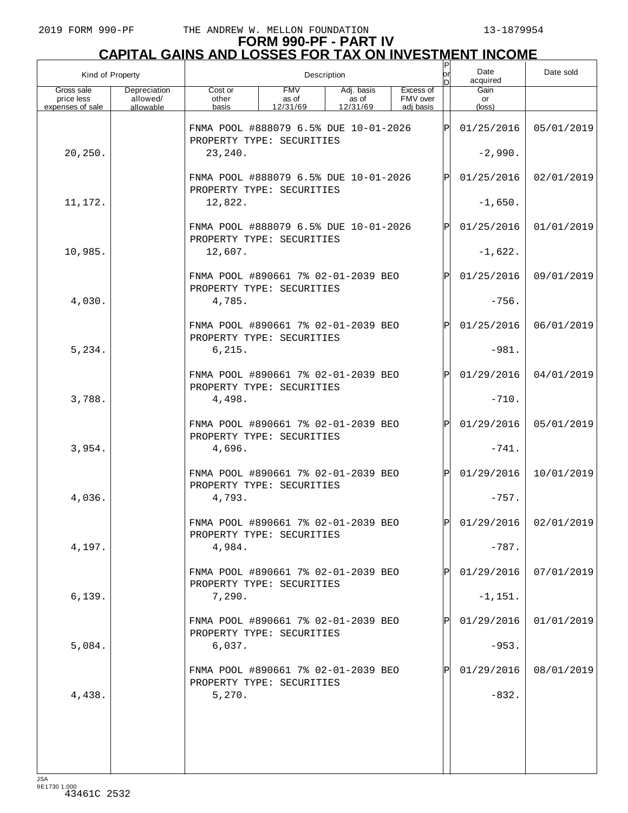| Kind of Property                             |                                       | Description                                                        |                                 |                                 |                                    |           | Date<br>acquired        | Date sold               |
|----------------------------------------------|---------------------------------------|--------------------------------------------------------------------|---------------------------------|---------------------------------|------------------------------------|-----------|-------------------------|-------------------------|
| Gross sale<br>price less<br>expenses of sale | Depreciation<br>allowed/<br>allowable | Cost or<br>other<br>basis                                          | <b>FMV</b><br>as of<br>12/31/69 | Adj. basis<br>as of<br>12/31/69 | Excess of<br>FMV over<br>adi basis |           | Gain<br>or<br>(loss)    |                         |
|                                              |                                       | FNMA POOL #888079 6.5% DUE 10-01-2026<br>PROPERTY TYPE: SECURITIES |                                 |                                 |                                    | P         | 01/25/2016              | 05/01/2019              |
| 20,250.                                      |                                       | 23,240.                                                            |                                 |                                 |                                    |           | $-2,990.$               |                         |
|                                              |                                       | FNMA POOL #888079 6.5% DUE 10-01-2026<br>PROPERTY TYPE: SECURITIES |                                 |                                 |                                    | ΙÞΙ       | 01/25/2016              | 02/01/2019              |
| 11,172.                                      |                                       | 12,822.                                                            |                                 |                                 |                                    | $-1,650.$ |                         |                         |
|                                              |                                       | FNMA POOL #888079 6.5% DUE 10-01-2026<br>PROPERTY TYPE: SECURITIES |                                 |                                 |                                    | ΙÞΙ       | 01/25/2016              | 01/01/2019              |
| 10,985.                                      |                                       | 12,607.                                                            |                                 |                                 |                                    |           | $-1,622.$               |                         |
|                                              |                                       | FNMA POOL #890661 7% 02-01-2039 BEO<br>PROPERTY TYPE: SECURITIES   |                                 |                                 |                                    | ΙÞΙ       | 01/25/2016              | 09/01/2019              |
| 4,030.                                       |                                       | 4,785.                                                             |                                 |                                 |                                    |           | $-756.$                 |                         |
|                                              |                                       | FNMA POOL #890661 7% 02-01-2039 BEO<br>PROPERTY TYPE: SECURITIES   |                                 |                                 |                                    | ΙÞΙ       | 01/25/2016              | 06/01/2019              |
| 5,234.                                       |                                       | 6, 215.                                                            |                                 |                                 |                                    |           | $-981.$                 |                         |
|                                              |                                       | FNMA POOL #890661 7% 02-01-2039 BEO<br>PROPERTY TYPE: SECURITIES   |                                 |                                 |                                    | lPl       | 01/29/2016              | 04/01/2019              |
| 3,788.                                       |                                       | 4,498.                                                             |                                 |                                 |                                    |           | $-710.$                 |                         |
|                                              |                                       | FNMA POOL #890661 7% 02-01-2039 BEO<br>PROPERTY TYPE: SECURITIES   |                                 |                                 |                                    | ΙÞΙ       | 01/29/2016              | 05/01/2019              |
| 3,954.                                       |                                       | 4,696.                                                             |                                 |                                 |                                    |           | $-741.$                 |                         |
|                                              |                                       | FNMA POOL #890661 7% 02-01-2039 BEO<br>PROPERTY TYPE: SECURITIES   |                                 |                                 |                                    | lPl       | 01/29/2016              | 10/01/2019              |
| 4,036.                                       |                                       | 4,793.                                                             |                                 |                                 |                                    |           | $-757.$                 |                         |
|                                              |                                       | FNMA POOL #890661 7% 02-01-2039 BEO<br>PROPERTY TYPE: SECURITIES   |                                 |                                 |                                    | ldl       |                         | $01/29/2016$ 02/01/2019 |
| 4,197.                                       |                                       | 4,984.                                                             |                                 |                                 |                                    |           | $-787.$                 |                         |
| 6,139.                                       |                                       | FNMA POOL #890661 7% 02-01-2039 BEO<br>PROPERTY TYPE: SECURITIES   |                                 |                                 |                                    | ΙPΙ       | 01/29/2016<br>$-1,151.$ | 07/01/2019              |
|                                              |                                       | 7,290.<br>FNMA POOL #890661 7% 02-01-2039 BEO                      |                                 |                                 |                                    | ΙPΙ       | 01/29/2016              | 01/01/2019              |
| 5,084.                                       |                                       | PROPERTY TYPE: SECURITIES<br>6,037.                                |                                 |                                 |                                    |           | $-953.$                 |                         |
|                                              |                                       | FNMA POOL #890661 7% 02-01-2039 BEO                                |                                 |                                 |                                    | ΙÞΙ       | 01/29/2016              | 08/01/2019              |
| 4,438.                                       |                                       | PROPERTY TYPE: SECURITIES<br>5,270.                                |                                 |                                 |                                    |           | $-832.$                 |                         |
|                                              |                                       |                                                                    |                                 |                                 |                                    |           |                         |                         |
|                                              |                                       |                                                                    |                                 |                                 |                                    |           |                         |                         |
|                                              |                                       |                                                                    |                                 |                                 |                                    |           |                         |                         |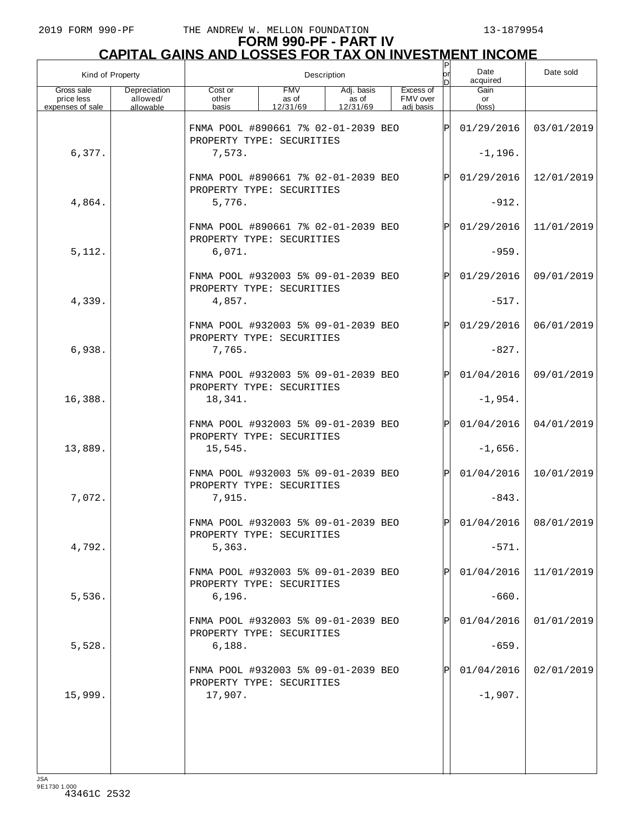| Kind of Property                             |                                       |                                                                  |                                 | Description                     |                                    | lor<br>n | Date<br>acquired     | Date sold               |
|----------------------------------------------|---------------------------------------|------------------------------------------------------------------|---------------------------------|---------------------------------|------------------------------------|----------|----------------------|-------------------------|
| Gross sale<br>price less<br>expenses of sale | Depreciation<br>allowed/<br>allowable | Cost or<br>other<br>basis                                        | <b>FMV</b><br>as of<br>12/31/69 | Adj. basis<br>as of<br>12/31/69 | Excess of<br>FMV over<br>adi basis |          | Gain<br>or<br>(loss) |                         |
|                                              |                                       | FNMA POOL #890661 7% 02-01-2039 BEO<br>PROPERTY TYPE: SECURITIES |                                 |                                 |                                    | ΙÞΙ      | 01/29/2016           | 03/01/2019              |
| 6,377.                                       |                                       | 7,573.                                                           |                                 |                                 |                                    |          | $-1, 196.$           |                         |
|                                              |                                       | FNMA POOL #890661 7% 02-01-2039 BEO<br>PROPERTY TYPE: SECURITIES |                                 |                                 |                                    | Þl       | 01/29/2016           | 12/01/2019              |
| 4,864.                                       |                                       | 5,776.                                                           |                                 |                                 |                                    |          | $-912.$              |                         |
|                                              |                                       | FNMA POOL #890661 7% 02-01-2039 BEO<br>PROPERTY TYPE: SECURITIES |                                 |                                 |                                    | Þl       | 01/29/2016           | 11/01/2019              |
| 5,112.                                       |                                       | 6,071.                                                           |                                 |                                 |                                    |          | $-959.$              |                         |
|                                              |                                       | FNMA POOL #932003 5% 09-01-2039 BEO<br>PROPERTY TYPE: SECURITIES |                                 |                                 |                                    | Þl       | 01/29/2016           | 09/01/2019              |
| 4,339.                                       |                                       | 4,857.                                                           |                                 |                                 |                                    |          | $-517.$              |                         |
|                                              |                                       | FNMA POOL #932003 5% 09-01-2039 BEO<br>PROPERTY TYPE: SECURITIES |                                 |                                 |                                    | Þl       | 01/29/2016           | 06/01/2019              |
| 6,938.                                       |                                       | 7,765.                                                           |                                 |                                 |                                    |          | $-827.$              |                         |
|                                              |                                       | FNMA POOL #932003 5% 09-01-2039 BEO<br>PROPERTY TYPE: SECURITIES |                                 |                                 |                                    | Þl       | 01/04/2016           | 09/01/2019              |
| 16,388.                                      |                                       | 18,341.                                                          |                                 |                                 |                                    |          | $-1,954.$            |                         |
|                                              |                                       | FNMA POOL #932003 5% 09-01-2039 BEO<br>PROPERTY TYPE: SECURITIES |                                 |                                 |                                    | Þl       | 01/04/2016           | 04/01/2019              |
| 13,889.                                      |                                       | 15,545.                                                          |                                 |                                 |                                    |          | $-1,656.$            |                         |
|                                              |                                       | FNMA POOL #932003 5% 09-01-2039 BEO<br>PROPERTY TYPE: SECURITIES |                                 |                                 |                                    | ΙÞΙ      | 01/04/2016           | 10/01/2019              |
| 7,072.                                       |                                       | 7,915.                                                           |                                 |                                 |                                    |          | $-843.$              |                         |
|                                              |                                       | FNMA POOL #932003 5% 09-01-2039 BEO<br>PROPERTY TYPE: SECURITIES |                                 |                                 |                                    | lPl      |                      | $01/04/2016$ 08/01/2019 |
| 4,792.                                       |                                       | 5,363.                                                           |                                 |                                 |                                    |          | $-571.$              |                         |
|                                              |                                       | FNMA POOL #932003 5% 09-01-2039 BEO<br>PROPERTY TYPE: SECURITIES |                                 |                                 |                                    | Þl       | 01/04/2016           | 11/01/2019              |
| 5,536.                                       |                                       | 6, 196.                                                          |                                 |                                 |                                    |          | $-660.$              |                         |
|                                              |                                       | FNMA POOL #932003 5% 09-01-2039 BEO<br>PROPERTY TYPE: SECURITIES |                                 |                                 |                                    | Þl       | 01/04/2016           | 01/01/2019              |
| 5,528.                                       |                                       | 6,188.                                                           |                                 |                                 |                                    |          | $-659.$              |                         |
|                                              |                                       | FNMA POOL #932003 5% 09-01-2039 BEO<br>PROPERTY TYPE: SECURITIES |                                 |                                 |                                    | Þl       | 01/04/2016           | 02/01/2019              |
| 15,999.                                      |                                       | 17,907.                                                          |                                 |                                 |                                    |          | $-1,907.$            |                         |
|                                              |                                       |                                                                  |                                 |                                 |                                    |          |                      |                         |
|                                              |                                       |                                                                  |                                 |                                 |                                    |          |                      |                         |
|                                              |                                       |                                                                  |                                 |                                 |                                    |          |                      |                         |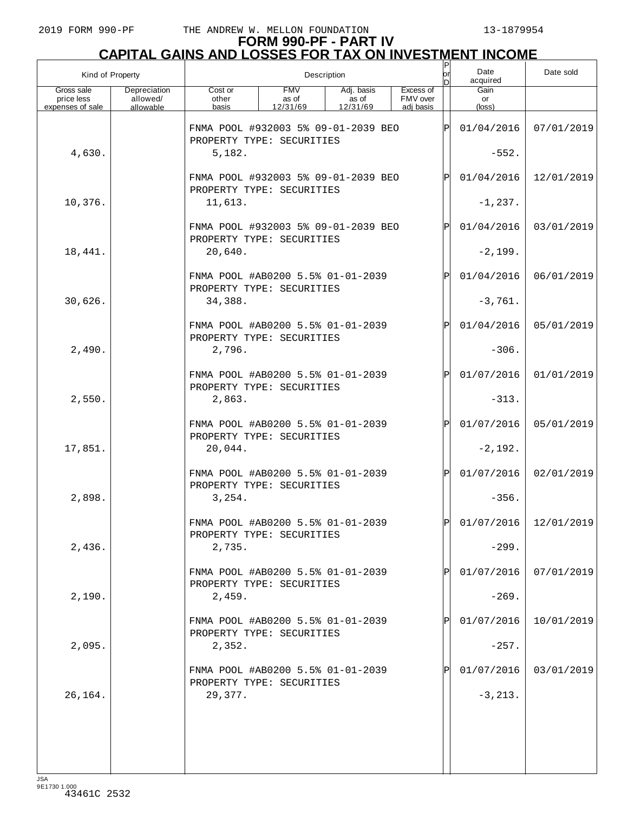|                                              | Kind of Property                      |                                                                  |                                 | Description                     |                                    | lor<br>n     | Date<br>acquired     | Date sold               |
|----------------------------------------------|---------------------------------------|------------------------------------------------------------------|---------------------------------|---------------------------------|------------------------------------|--------------|----------------------|-------------------------|
| Gross sale<br>price less<br>expenses of sale | Depreciation<br>allowed/<br>allowable | Cost or<br>other<br>basis                                        | <b>FMV</b><br>as of<br>12/31/69 | Adj. basis<br>as of<br>12/31/69 | Excess of<br>FMV over<br>adi basis |              | Gain<br>or<br>(loss) |                         |
|                                              |                                       | FNMA POOL #932003 5% 09-01-2039 BEO<br>PROPERTY TYPE: SECURITIES |                                 |                                 |                                    | Þ            | 01/04/2016           | 07/01/2019              |
| 4,630.                                       |                                       | 5,182.                                                           |                                 |                                 |                                    |              | $-552.$              |                         |
|                                              |                                       | FNMA POOL #932003 5% 09-01-2039 BEO<br>PROPERTY TYPE: SECURITIES |                                 |                                 |                                    | P            | 01/04/2016           | 12/01/2019              |
| 10,376.                                      |                                       | 11,613.                                                          |                                 |                                 |                                    |              | $-1, 237.$           |                         |
|                                              |                                       | FNMA POOL #932003 5% 09-01-2039 BEO<br>PROPERTY TYPE: SECURITIES |                                 |                                 |                                    | P            | 01/04/2016           | 03/01/2019              |
| 18,441.                                      |                                       | 20,640.                                                          |                                 |                                 |                                    |              | $-2,199.$            |                         |
|                                              |                                       | FNMA POOL #AB0200 5.5% 01-01-2039<br>PROPERTY TYPE: SECURITIES   |                                 |                                 |                                    | $\mathbf P$  | 01/04/2016           | 06/01/2019              |
| 30,626.                                      |                                       | 34,388.                                                          |                                 |                                 |                                    |              | $-3,761.$            |                         |
|                                              |                                       | FNMA POOL #AB0200 5.5% 01-01-2039<br>PROPERTY TYPE: SECURITIES   |                                 |                                 |                                    | P            | 01/04/2016           | 05/01/2019              |
| 2,490.                                       |                                       | 2,796.                                                           |                                 |                                 |                                    |              | $-306.$              |                         |
|                                              |                                       | FNMA POOL #AB0200 5.5% 01-01-2039<br>PROPERTY TYPE: SECURITIES   |                                 |                                 |                                    | $\mathbf P$  | 01/07/2016           | 01/01/2019              |
| 2,550.                                       |                                       | 2,863.                                                           |                                 |                                 |                                    |              | $-313.$              |                         |
|                                              |                                       | FNMA POOL #AB0200 5.5% 01-01-2039<br>PROPERTY TYPE: SECURITIES   |                                 |                                 |                                    | $\mathbf{P}$ | 01/07/2016           | 05/01/2019              |
| 17,851.                                      |                                       | 20,044.                                                          |                                 |                                 |                                    |              | $-2,192.$            |                         |
|                                              |                                       | FNMA POOL #AB0200 5.5% 01-01-2039<br>PROPERTY TYPE: SECURITIES   |                                 |                                 |                                    | $\mathbf P$  | 01/07/2016           | 02/01/2019              |
| 2,898.                                       |                                       | 3,254.                                                           |                                 |                                 |                                    |              | $-356.$              |                         |
|                                              |                                       | FNMA POOL #AB0200 5.5% 01-01-2039<br>PROPERTY TYPE: SECURITIES   |                                 |                                 |                                    | ÞI           |                      | $01/07/2016$ 12/01/2019 |
| 2,436.                                       |                                       | 2,735.                                                           |                                 |                                 |                                    |              | $-299.$              |                         |
|                                              |                                       | FNMA POOL #AB0200 5.5% 01-01-2039<br>PROPERTY TYPE: SECURITIES   |                                 |                                 |                                    |              | 01/07/2016           | 07/01/2019              |
| 2,190.                                       |                                       | 2,459.                                                           |                                 |                                 |                                    |              | $-269.$              |                         |
|                                              |                                       | FNMA POOL #AB0200 5.5% 01-01-2039<br>PROPERTY TYPE: SECURITIES   |                                 |                                 |                                    |              | 01/07/2016           | 10/01/2019              |
| 2,095.                                       |                                       | 2,352.                                                           |                                 |                                 |                                    |              | $-257.$              |                         |
|                                              |                                       | FNMA POOL #AB0200 5.5% 01-01-2039<br>PROPERTY TYPE: SECURITIES   |                                 |                                 |                                    |              | 01/07/2016           | 03/01/2019              |
| 26,164.                                      |                                       | 29,377.                                                          |                                 |                                 |                                    |              | $-3, 213.$           |                         |
|                                              |                                       |                                                                  |                                 |                                 |                                    |              |                      |                         |
|                                              |                                       |                                                                  |                                 |                                 |                                    |              |                      |                         |
|                                              |                                       |                                                                  |                                 |                                 |                                    |              |                      |                         |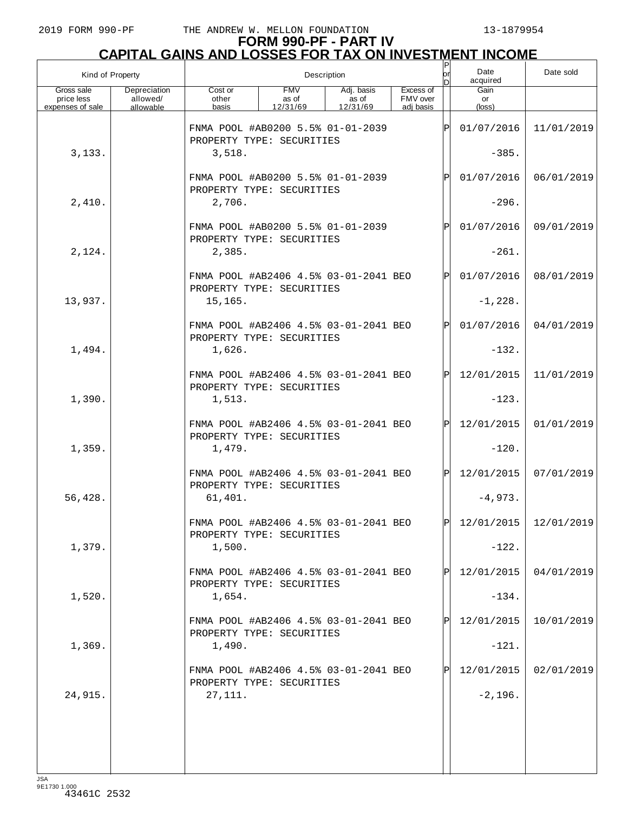|                                              | Kind of Property                      | P<br>Date<br>lor<br>Description<br>acquired<br>ח                   |                                 |                                 |                                    |              |                               | Date sold  |
|----------------------------------------------|---------------------------------------|--------------------------------------------------------------------|---------------------------------|---------------------------------|------------------------------------|--------------|-------------------------------|------------|
| Gross sale<br>price less<br>expenses of sale | Depreciation<br>allowed/<br>allowable | Cost or<br>other<br>basis                                          | <b>FMV</b><br>as of<br>12/31/69 | Adj. basis<br>as of<br>12/31/69 | Excess of<br>FMV over<br>adi basis |              | Gain<br>or<br>$(\text{loss})$ |            |
|                                              |                                       | FNMA POOL #AB0200 5.5% 01-01-2039<br>PROPERTY TYPE: SECURITIES     |                                 |                                 |                                    | ΙP           | 01/07/2016                    | 11/01/2019 |
| 3,133.                                       |                                       | 3,518.                                                             |                                 |                                 |                                    |              | $-385.$                       |            |
|                                              |                                       | FNMA POOL #AB0200 5.5% 01-01-2039<br>PROPERTY TYPE: SECURITIES     |                                 |                                 |                                    | $\mathbf P$  | 01/07/2016                    | 06/01/2019 |
| 2,410.                                       |                                       | 2,706.                                                             |                                 |                                 |                                    |              | $-296.$                       |            |
|                                              |                                       | FNMA POOL #AB0200 5.5% 01-01-2039<br>PROPERTY TYPE: SECURITIES     |                                 |                                 |                                    | $\mathbf P$  | 01/07/2016                    | 09/01/2019 |
| 2,124.                                       |                                       | 2,385.                                                             |                                 |                                 |                                    |              | $-261.$                       |            |
|                                              |                                       | FNMA POOL #AB2406 4.5% 03-01-2041 BEO<br>PROPERTY TYPE: SECURITIES |                                 |                                 |                                    | $\mathsf{P}$ | 01/07/2016                    | 08/01/2019 |
| 13,937.                                      |                                       | 15,165.                                                            |                                 |                                 |                                    |              | $-1,228.$                     |            |
|                                              |                                       | FNMA POOL #AB2406 4.5% 03-01-2041 BEO<br>PROPERTY TYPE: SECURITIES |                                 |                                 |                                    | $\mathsf{P}$ | 01/07/2016                    | 04/01/2019 |
| 1,494.                                       |                                       | 1,626.                                                             |                                 |                                 |                                    |              | $-132.$                       |            |
|                                              |                                       | FNMA POOL #AB2406 4.5% 03-01-2041 BEO<br>PROPERTY TYPE: SECURITIES |                                 |                                 |                                    | ΙPΙ          | 12/01/2015                    | 11/01/2019 |
| 1,390.                                       |                                       | 1,513.                                                             |                                 |                                 |                                    |              | $-123.$                       |            |
|                                              |                                       | FNMA POOL #AB2406 4.5% 03-01-2041 BEO<br>PROPERTY TYPE: SECURITIES |                                 |                                 |                                    | $\mathsf{P}$ | 12/01/2015                    | 01/01/2019 |
| 1,359.                                       |                                       | 1,479.                                                             |                                 |                                 |                                    |              | $-120.$                       |            |
|                                              |                                       | FNMA POOL #AB2406 4.5% 03-01-2041 BEO<br>PROPERTY TYPE: SECURITIES |                                 |                                 |                                    | ΙPΙ          | 12/01/2015                    | 07/01/2019 |
| 56,428.                                      |                                       | 61,401.                                                            |                                 |                                 |                                    |              | $-4,973.$                     |            |
|                                              |                                       | FNMA POOL #AB2406 4.5% 03-01-2041 BEO<br>PROPERTY TYPE: SECURITIES |                                 |                                 |                                    | l pl         | $12/01/2015$   $12/01/2019$   |            |
| 1,379.                                       |                                       | 1,500.                                                             |                                 |                                 |                                    |              | $-122.$                       |            |
|                                              |                                       | FNMA POOL #AB2406 4.5% 03-01-2041 BEO<br>PROPERTY TYPE: SECURITIES |                                 |                                 |                                    |              | 12/01/2015                    | 04/01/2019 |
| 1,520.                                       |                                       | 1,654.                                                             |                                 |                                 |                                    |              | $-134.$                       |            |
|                                              |                                       | FNMA POOL #AB2406 4.5% 03-01-2041 BEO<br>PROPERTY TYPE: SECURITIES |                                 |                                 |                                    | Þl           | 12/01/2015                    | 10/01/2019 |
| 1,369.                                       |                                       | 1,490.                                                             |                                 |                                 |                                    |              | $-121.$                       |            |
|                                              |                                       | FNMA POOL #AB2406 4.5% 03-01-2041 BEO<br>PROPERTY TYPE: SECURITIES |                                 |                                 |                                    |              | 12/01/2015                    | 02/01/2019 |
| 24,915.                                      |                                       | 27,111.                                                            |                                 |                                 |                                    |              | $-2,196.$                     |            |
|                                              |                                       |                                                                    |                                 |                                 |                                    |              |                               |            |
|                                              |                                       |                                                                    |                                 |                                 |                                    |              |                               |            |
|                                              |                                       |                                                                    |                                 |                                 |                                    |              |                               |            |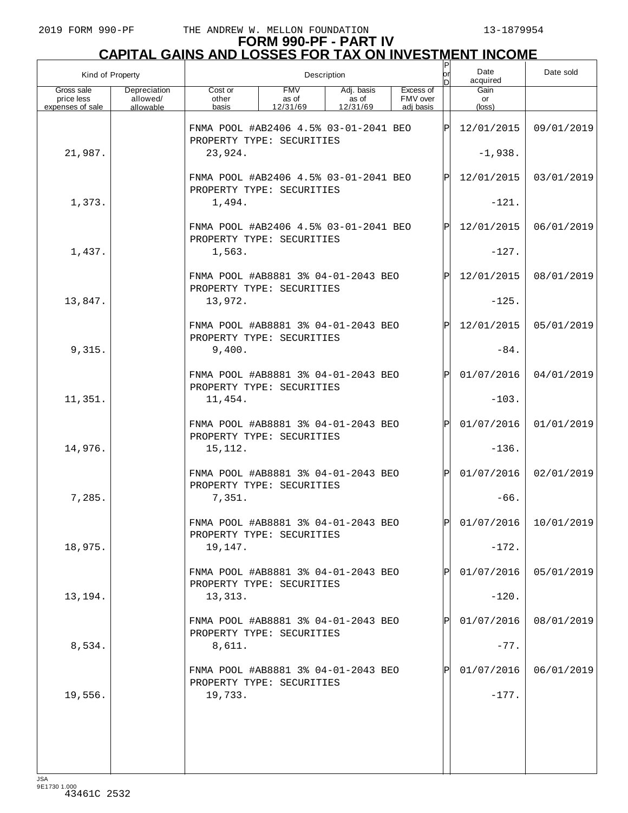# **FORM 990-PF - PART IV CAPITAL GAINS AND LOSSES FOR TAX ON INVESTMENT INCOME** P

| Kind of Property                             |                                       |                                                                    |                                 | Description                     |                                    | or<br>n     | Date<br>acquired     | Date sold                 |
|----------------------------------------------|---------------------------------------|--------------------------------------------------------------------|---------------------------------|---------------------------------|------------------------------------|-------------|----------------------|---------------------------|
| Gross sale<br>price less<br>expenses of sale | Depreciation<br>allowed/<br>allowable | Cost or<br>other<br>basis                                          | <b>FMV</b><br>as of<br>12/31/69 | Adj. basis<br>as of<br>12/31/69 | Excess of<br>FMV over<br>adi basis |             | Gain<br>or<br>(loss) |                           |
|                                              |                                       | FNMA POOL #AB2406 4.5% 03-01-2041 BEO<br>PROPERTY TYPE: SECURITIES |                                 |                                 |                                    | Þ           | 12/01/2015           | 09/01/2019                |
| 21,987.                                      |                                       | 23,924.                                                            |                                 |                                 | $-1,938.$                          |             |                      |                           |
|                                              |                                       | FNMA POOL #AB2406 4.5% 03-01-2041 BEO<br>PROPERTY TYPE: SECURITIES |                                 |                                 |                                    | $\mathbf P$ | 12/01/2015           | 03/01/2019                |
| 1,373.                                       |                                       | 1,494.                                                             |                                 |                                 |                                    |             | $-121.$              |                           |
|                                              |                                       | FNMA POOL #AB2406 4.5% 03-01-2041 BEO<br>PROPERTY TYPE: SECURITIES |                                 |                                 |                                    | $\mathbf P$ | 12/01/2015           | 06/01/2019                |
| 1,437.                                       |                                       | 1,563.                                                             |                                 |                                 |                                    |             | $-127.$              |                           |
|                                              |                                       | FNMA POOL #AB8881 3% 04-01-2043 BEO<br>PROPERTY TYPE: SECURITIES   |                                 |                                 |                                    | Þ           | 12/01/2015           | 08/01/2019                |
| 13,847.                                      |                                       | 13,972.                                                            |                                 |                                 |                                    |             | $-125.$              |                           |
|                                              |                                       | FNMA POOL #AB8881 3% 04-01-2043 BEO<br>PROPERTY TYPE: SECURITIES   |                                 |                                 |                                    | Þ           | 12/01/2015           | 05/01/2019                |
| 9,315.                                       |                                       | 9,400.                                                             |                                 |                                 |                                    |             | $-84.$               |                           |
|                                              |                                       | FNMA POOL #AB8881 3% 04-01-2043 BEO<br>PROPERTY TYPE: SECURITIES   |                                 |                                 |                                    | P           | 01/07/2016           | 04/01/2019                |
| 11,351.                                      |                                       | 11,454.                                                            |                                 |                                 |                                    |             | $-103.$              |                           |
|                                              |                                       | FNMA POOL #AB8881 3% 04-01-2043 BEO<br>PROPERTY TYPE: SECURITIES   |                                 |                                 |                                    | P           | 01/07/2016           | 01/01/2019                |
| 14,976.                                      |                                       | 15,112.                                                            |                                 |                                 |                                    |             | $-136.$              |                           |
|                                              |                                       | FNMA POOL #AB8881 3% 04-01-2043 BEO<br>PROPERTY TYPE: SECURITIES   |                                 |                                 |                                    | Þl          | 01/07/2016           | 02/01/2019                |
| 7,285.                                       |                                       | 7,351.                                                             |                                 |                                 |                                    |             | $-66.$               |                           |
|                                              |                                       | FNMA POOL #AB8881 3% 04-01-2043 BEO<br>PROPERTY TYPE: SECURITIES   |                                 |                                 |                                    | ÞI          |                      | $01/07/2016$   10/01/2019 |
| 18,975.                                      |                                       | 19,147.                                                            |                                 |                                 |                                    |             | $-172.$              |                           |
|                                              |                                       | FNMA POOL #AB8881 3% 04-01-2043 BEO<br>PROPERTY TYPE: SECURITIES   |                                 |                                 |                                    |             | 01/07/2016           | 05/01/2019                |
| 13,194.                                      |                                       | 13,313.                                                            |                                 |                                 |                                    |             | $-120.$              |                           |
|                                              |                                       | FNMA POOL #AB8881 3% 04-01-2043 BEO<br>PROPERTY TYPE: SECURITIES   |                                 |                                 |                                    |             | 01/07/2016           | 08/01/2019                |
| 8,534.                                       |                                       | 8,611.                                                             |                                 |                                 |                                    |             | $-77.$               |                           |
|                                              |                                       | FNMA POOL #AB8881 3% 04-01-2043 BEO<br>PROPERTY TYPE: SECURITIES   |                                 |                                 |                                    |             | 01/07/2016           | 06/01/2019                |
| 19,556.                                      |                                       | 19,733.                                                            |                                 |                                 |                                    |             | $-177.$              |                           |
|                                              |                                       |                                                                    |                                 |                                 |                                    |             |                      |                           |
|                                              |                                       |                                                                    |                                 |                                 |                                    |             |                      |                           |
|                                              |                                       |                                                                    |                                 |                                 |                                    |             |                      |                           |

JSA 9E1730 1.000 43461C 2532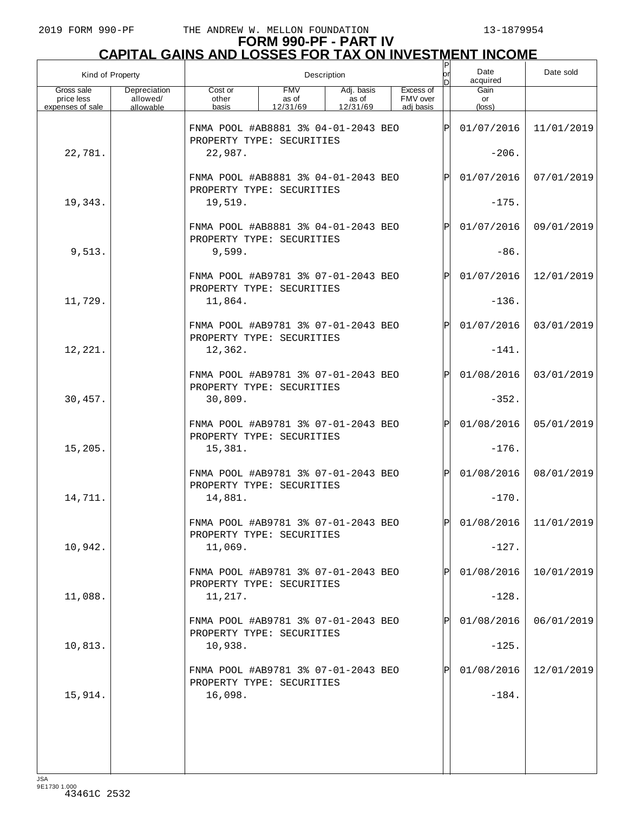| Kind of Property                             |                                       |                                                                  |                                 | Description                     |                                    | or<br>nl     | Date<br>acquired      | Date sold                 |
|----------------------------------------------|---------------------------------------|------------------------------------------------------------------|---------------------------------|---------------------------------|------------------------------------|--------------|-----------------------|---------------------------|
| Gross sale<br>price less<br>expenses of sale | Depreciation<br>allowed/<br>allowable | Cost or<br>other<br>basis                                        | <b>FMV</b><br>as of<br>12/31/69 | Adj. basis<br>as of<br>12/31/69 | Excess of<br>FMV over<br>adj basis |              | Gain<br>or<br>(loss)  |                           |
|                                              |                                       | FNMA POOL #AB8881 3% 04-01-2043 BEO<br>PROPERTY TYPE: SECURITIES |                                 |                                 |                                    | ΙÞΙ          | 01/07/2016            | 11/01/2019                |
| 22,781.                                      |                                       | 22,987.                                                          |                                 |                                 |                                    |              | $-206.$               |                           |
|                                              |                                       | FNMA POOL #AB8881 3% 04-01-2043 BEO<br>PROPERTY TYPE: SECURITIES |                                 |                                 |                                    | $\mathsf{P}$ | 01/07/2016            | 07/01/2019                |
| 19,343.                                      |                                       | 19,519.                                                          |                                 |                                 |                                    |              | $-175.$               |                           |
|                                              |                                       | FNMA POOL #AB8881 3% 04-01-2043 BEO<br>PROPERTY TYPE: SECURITIES |                                 |                                 |                                    | $\mathsf{P}$ | 01/07/2016            | 09/01/2019                |
| 9,513.                                       |                                       | 9,599.                                                           |                                 |                                 |                                    |              | $-86.$                |                           |
|                                              |                                       | FNMA POOL #AB9781 3% 07-01-2043 BEO<br>PROPERTY TYPE: SECURITIES |                                 |                                 |                                    | $\mathsf{P}$ | 01/07/2016            | 12/01/2019                |
| 11,729.                                      |                                       | 11,864.                                                          |                                 |                                 |                                    |              | $-136$ .              |                           |
|                                              |                                       | FNMA POOL #AB9781 3% 07-01-2043 BEO<br>PROPERTY TYPE: SECURITIES |                                 |                                 |                                    | $\mathsf{P}$ | 01/07/2016            | 03/01/2019                |
| 12,221.                                      |                                       | 12,362.                                                          |                                 |                                 |                                    |              | $-141.$               |                           |
|                                              |                                       | FNMA POOL #AB9781 3% 07-01-2043 BEO<br>PROPERTY TYPE: SECURITIES |                                 |                                 |                                    | $\mathsf{P}$ | 01/08/2016            | 03/01/2019                |
| 30,457.                                      |                                       | 30,809.<br>FNMA POOL #AB9781 3% 07-01-2043 BEO                   |                                 |                                 |                                    | $\mathsf{P}$ | $-352.$<br>01/08/2016 | 05/01/2019                |
| 15, 205.                                     |                                       | PROPERTY TYPE: SECURITIES<br>15,381.                             |                                 |                                 |                                    |              | $-176$ .              |                           |
|                                              |                                       | FNMA POOL #AB9781 3% 07-01-2043 BEO                              |                                 |                                 |                                    | $\mathsf{P}$ | 01/08/2016            | 08/01/2019                |
| 14,711.                                      |                                       | PROPERTY TYPE: SECURITIES<br>14,881.                             |                                 |                                 |                                    |              | $-170.$               |                           |
|                                              |                                       | FNMA POOL #AR9781 3% 07-01-2043 BEO                              |                                 |                                 |                                    | D            |                       | $01/08/2016$   11/01/2019 |
| 10,942.                                      |                                       | PROPERTY TYPE: SECURITIES<br>11,069.                             |                                 |                                 |                                    |              | $-127.$               |                           |
|                                              |                                       | FNMA POOL #AB9781 3% 07-01-2043 BEO                              |                                 |                                 |                                    |              | 01/08/2016            | 10/01/2019                |
| 11,088.                                      |                                       | PROPERTY TYPE: SECURITIES<br>11,217.                             |                                 |                                 |                                    |              | $-128.$               |                           |
|                                              |                                       | FNMA POOL #AB9781 3% 07-01-2043 BEO                              |                                 |                                 |                                    |              | 01/08/2016            | 06/01/2019                |
| 10,813.                                      |                                       | PROPERTY TYPE: SECURITIES<br>10,938.                             |                                 |                                 |                                    |              | $-125.$               |                           |
|                                              |                                       | FNMA POOL #AB9781 3% 07-01-2043 BEO<br>PROPERTY TYPE: SECURITIES |                                 |                                 |                                    |              | 01/08/2016            | 12/01/2019                |
| 15,914.                                      |                                       | 16,098.                                                          |                                 |                                 |                                    |              | $-184.$               |                           |
|                                              |                                       |                                                                  |                                 |                                 |                                    |              |                       |                           |
|                                              |                                       |                                                                  |                                 |                                 |                                    |              |                       |                           |
|                                              |                                       |                                                                  |                                 |                                 |                                    |              |                       |                           |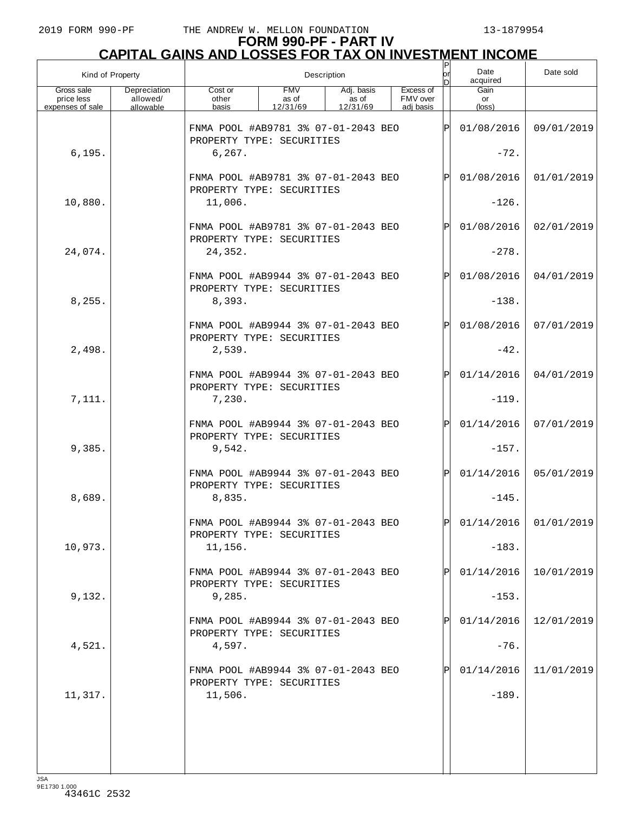| Kind of Property                             |                                       |                                                                             |                                 | Description                     |                                    | P<br>lor<br>n | Date<br>acquired      | Date sold               |
|----------------------------------------------|---------------------------------------|-----------------------------------------------------------------------------|---------------------------------|---------------------------------|------------------------------------|---------------|-----------------------|-------------------------|
| Gross sale<br>price less<br>expenses of sale | Depreciation<br>allowed/<br>allowable | Cost or<br>other<br>basis                                                   | <b>FMV</b><br>as of<br>12/31/69 | Adj. basis<br>as of<br>12/31/69 | Excess of<br>FMV over<br>adi basis |               | Gain<br>or<br>(loss)  |                         |
| 6, 195.                                      |                                       | FNMA POOL #AB9781 3% 07-01-2043 BEO<br>PROPERTY TYPE: SECURITIES<br>6, 267. |                                 |                                 |                                    | Þ             | 01/08/2016<br>$-72.$  | 09/01/2019              |
|                                              |                                       | FNMA POOL #AB9781 3% 07-01-2043 BEO<br>PROPERTY TYPE: SECURITIES            |                                 |                                 |                                    | P             | 01/08/2016            | 01/01/2019              |
| 10,880.                                      |                                       | 11,006.                                                                     |                                 |                                 |                                    |               | $-126$ .              |                         |
| 24,074.                                      |                                       | FNMA POOL #AB9781 3% 07-01-2043 BEO<br>PROPERTY TYPE: SECURITIES<br>24,352. |                                 |                                 |                                    | P             | 01/08/2016<br>$-278.$ | 02/01/2019              |
|                                              |                                       |                                                                             |                                 |                                 |                                    |               |                       |                         |
| 8,255.                                       |                                       | FNMA POOL #AB9944 3% 07-01-2043 BEO<br>PROPERTY TYPE: SECURITIES<br>8,393.  |                                 |                                 |                                    | P             | 01/08/2016<br>$-138.$ | 04/01/2019              |
|                                              |                                       | FNMA POOL #AB9944 3% 07-01-2043 BEO                                         |                                 |                                 |                                    | P             | 01/08/2016            | 07/01/2019              |
| 2,498.                                       |                                       | PROPERTY TYPE: SECURITIES<br>2,539.                                         |                                 |                                 |                                    |               | $-42.$                |                         |
|                                              |                                       | FNMA POOL #AB9944 3% 07-01-2043 BEO<br>PROPERTY TYPE: SECURITIES            |                                 |                                 |                                    | P             | 01/14/2016            | 04/01/2019              |
| 7,111.                                       |                                       | 7,230.                                                                      |                                 |                                 |                                    |               | $-119.$               |                         |
| 9,385.                                       |                                       | FNMA POOL #AB9944 3% 07-01-2043 BEO<br>PROPERTY TYPE: SECURITIES<br>9,542.  |                                 |                                 |                                    | P             | 01/14/2016<br>$-157.$ | 07/01/2019              |
|                                              |                                       |                                                                             |                                 |                                 |                                    |               |                       |                         |
| 8,689.                                       |                                       | FNMA POOL #AB9944 3% 07-01-2043 BEO<br>PROPERTY TYPE: SECURITIES<br>8,835.  |                                 |                                 |                                    | $\mathsf{P}$  | 01/14/2016<br>$-145.$ | 05/01/2019              |
|                                              |                                       | FNMA POOL #AB9944 3% 07-01-2043 BEO<br>PROPERTY TYPE: SECURITIES            |                                 |                                 |                                    | $\mathsf{P}$  |                       | $01/14/2016$ 01/01/2019 |
| 10,973.                                      |                                       | 11,156.                                                                     |                                 |                                 |                                    |               | $-183.$               |                         |
|                                              |                                       | FNMA POOL #AB9944 3% 07-01-2043 BEO<br>PROPERTY TYPE: SECURITIES            |                                 |                                 |                                    |               | 01/14/2016            | 10/01/2019              |
| 9,132.                                       |                                       | 9,285.                                                                      |                                 |                                 |                                    |               | $-153.$               |                         |
| 4,521.                                       |                                       | FNMA POOL #AB9944 3% 07-01-2043 BEO<br>PROPERTY TYPE: SECURITIES<br>4,597.  |                                 |                                 |                                    |               | 01/14/2016<br>$-76.$  | 12/01/2019              |
|                                              |                                       | FNMA POOL #AB9944 3% 07-01-2043 BEO<br>PROPERTY TYPE: SECURITIES            |                                 |                                 |                                    |               | 01/14/2016            | 11/01/2019              |
| 11,317.                                      |                                       | 11,506.                                                                     |                                 |                                 |                                    |               | $-189.$               |                         |
|                                              |                                       |                                                                             |                                 |                                 |                                    |               |                       |                         |
|                                              |                                       |                                                                             |                                 |                                 |                                    |               |                       |                         |
|                                              |                                       |                                                                             |                                 |                                 |                                    |               |                       |                         |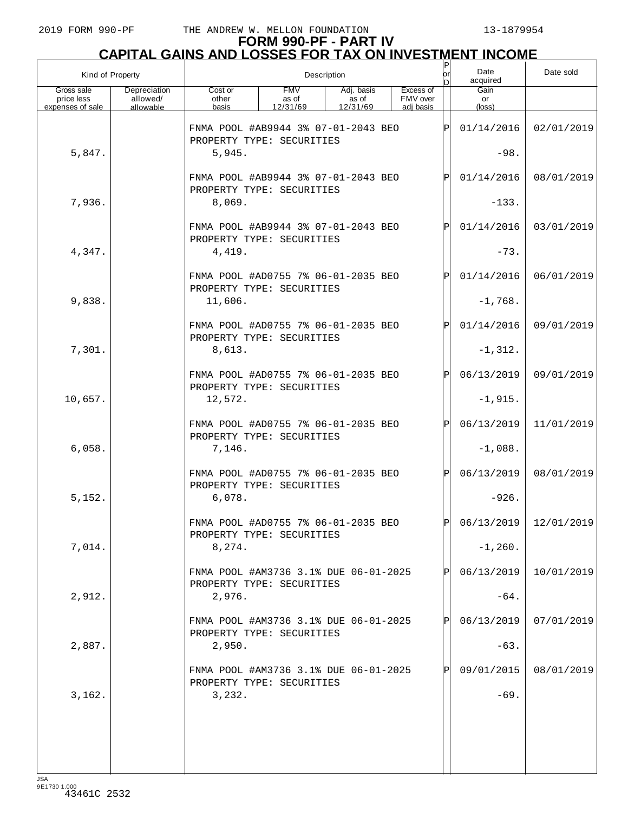| Kind of Property                             |                                       |                                                                    |                                 | Description                     |                                    | or<br>n | Date<br>acquired     | Date sold                 |
|----------------------------------------------|---------------------------------------|--------------------------------------------------------------------|---------------------------------|---------------------------------|------------------------------------|---------|----------------------|---------------------------|
| Gross sale<br>price less<br>expenses of sale | Depreciation<br>allowed/<br>allowable | Cost or<br>other<br>basis                                          | <b>FMV</b><br>as of<br>12/31/69 | Adj. basis<br>as of<br>12/31/69 | Excess of<br>FMV over<br>adi basis |         | Gain<br>or<br>(loss) |                           |
|                                              |                                       | FNMA POOL #AB9944 3% 07-01-2043 BEO<br>PROPERTY TYPE: SECURITIES   |                                 |                                 |                                    | Þ       | 01/14/2016           | 02/01/2019                |
| 5,847.                                       |                                       | 5,945.                                                             |                                 |                                 |                                    |         | $-98.$               |                           |
|                                              |                                       | FNMA POOL #AB9944 3% 07-01-2043 BEO<br>PROPERTY TYPE: SECURITIES   |                                 |                                 |                                    | P       | 01/14/2016           | 08/01/2019                |
| 7,936.                                       |                                       | 8,069.                                                             |                                 |                                 |                                    |         | $-133.$              |                           |
|                                              |                                       | FNMA POOL #AB9944 3% 07-01-2043 BEO<br>PROPERTY TYPE: SECURITIES   |                                 |                                 |                                    | P       | 01/14/2016           | 03/01/2019                |
| 4,347.                                       |                                       | 4,419.                                                             |                                 |                                 |                                    |         | $-73.$               |                           |
|                                              |                                       | FNMA POOL #AD0755 7% 06-01-2035 BEO<br>PROPERTY TYPE: SECURITIES   |                                 |                                 |                                    | P       | 01/14/2016           | 06/01/2019                |
| 9,838.                                       |                                       | 11,606.                                                            |                                 |                                 |                                    |         | $-1,768.$            |                           |
|                                              |                                       | FNMA POOL #AD0755 7% 06-01-2035 BEO<br>PROPERTY TYPE: SECURITIES   |                                 |                                 |                                    | P       | 01/14/2016           | 09/01/2019                |
| 7,301.                                       |                                       | 8,613.                                                             |                                 |                                 |                                    |         | $-1, 312.$           |                           |
|                                              |                                       | FNMA POOL #AD0755 7% 06-01-2035 BEO<br>PROPERTY TYPE: SECURITIES   |                                 |                                 |                                    | P       | 06/13/2019           | 09/01/2019                |
| 10,657.                                      |                                       | 12,572.                                                            |                                 |                                 |                                    |         | $-1,915.$            |                           |
|                                              |                                       | FNMA POOL #AD0755 7% 06-01-2035 BEO                                |                                 |                                 |                                    | P       | 06/13/2019           | 11/01/2019                |
| 6,058.                                       |                                       | PROPERTY TYPE: SECURITIES<br>7,146.                                |                                 |                                 |                                    |         | $-1,088.$            |                           |
|                                              |                                       | FNMA POOL #AD0755 7% 06-01-2035 BEO<br>PROPERTY TYPE: SECURITIES   |                                 |                                 |                                    | P       | 06/13/2019           | 08/01/2019                |
| 5,152.                                       |                                       | 6,078.                                                             |                                 |                                 |                                    |         | $-926.$              |                           |
|                                              |                                       | FNMA POOL #AD0755 7% 06-01-2035 BEO<br>PROPERTY TYPE: SECURITIES   |                                 |                                 |                                    | Þl      |                      | $06/13/2019$   12/01/2019 |
| 7,014.                                       |                                       | 8,274.                                                             |                                 |                                 |                                    |         | $-1, 260.$           |                           |
|                                              |                                       | FNMA POOL #AM3736 3.1% DUE 06-01-2025<br>PROPERTY TYPE: SECURITIES |                                 |                                 |                                    |         | 06/13/2019           | 10/01/2019                |
| 2,912.                                       |                                       | 2,976.                                                             |                                 |                                 |                                    |         | $-64.$               |                           |
|                                              |                                       | FNMA POOL #AM3736 3.1% DUE 06-01-2025<br>PROPERTY TYPE: SECURITIES |                                 |                                 |                                    |         | 06/13/2019           | 07/01/2019                |
| 2,887.                                       |                                       | 2,950.                                                             |                                 |                                 |                                    |         | $-63.$               |                           |
|                                              |                                       | FNMA POOL #AM3736 3.1% DUE 06-01-2025<br>PROPERTY TYPE: SECURITIES |                                 |                                 |                                    |         | 09/01/2015           | 08/01/2019                |
| 3,162.                                       |                                       | 3,232.                                                             |                                 |                                 |                                    |         | $-69.$               |                           |
|                                              |                                       |                                                                    |                                 |                                 |                                    |         |                      |                           |
|                                              |                                       |                                                                    |                                 |                                 |                                    |         |                      |                           |
|                                              |                                       |                                                                    |                                 |                                 |                                    |         |                      |                           |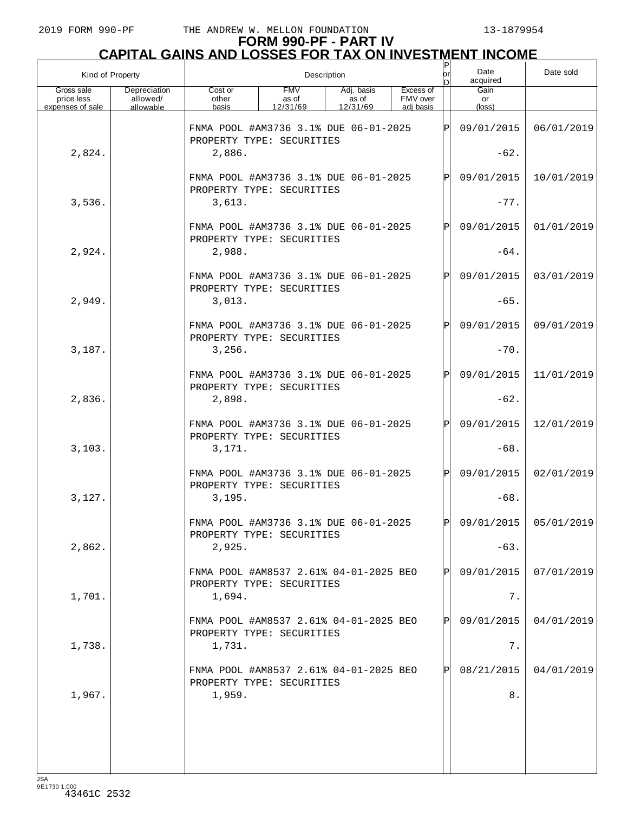|                                              | Kind of Property                      |                                                                     |                                 | Description                     |                                    | P<br> or<br>nl | Date<br>acquired     | Date sold               |
|----------------------------------------------|---------------------------------------|---------------------------------------------------------------------|---------------------------------|---------------------------------|------------------------------------|----------------|----------------------|-------------------------|
| Gross sale<br>price less<br>expenses of sale | Depreciation<br>allowed/<br>allowable | Cost or<br>other<br>basis                                           | <b>FMV</b><br>as of<br>12/31/69 | Adj. basis<br>as of<br>12/31/69 | Excess of<br>FMV over<br>adj basis |                | Gain<br>or<br>(loss) |                         |
|                                              |                                       | FNMA POOL #AM3736 3.1% DUE 06-01-2025<br>PROPERTY TYPE: SECURITIES  |                                 |                                 |                                    | $\mathsf P$    | 09/01/2015           | 06/01/2019              |
| 2,824.                                       |                                       | 2,886.                                                              |                                 |                                 |                                    |                | $-62.$               |                         |
|                                              |                                       | FNMA POOL #AM3736 3.1% DUE 06-01-2025<br>PROPERTY TYPE: SECURITIES  |                                 |                                 |                                    | P              | 09/01/2015           | 10/01/2019              |
| 3,536.                                       |                                       | 3,613.                                                              |                                 |                                 |                                    |                | $-77.$               |                         |
|                                              |                                       | FNMA POOL #AM3736 3.1% DUE 06-01-2025<br>PROPERTY TYPE: SECURITIES  |                                 |                                 |                                    | P              | 09/01/2015           | 01/01/2019              |
| 2,924.                                       |                                       | 2,988.                                                              |                                 |                                 |                                    |                | $-64.$               |                         |
|                                              |                                       | FNMA POOL #AM3736 3.1% DUE 06-01-2025<br>PROPERTY TYPE: SECURITIES  |                                 |                                 |                                    | P              | 09/01/2015           | 03/01/2019              |
| 2,949.                                       |                                       | 3,013.                                                              |                                 |                                 |                                    |                | $-65.$               |                         |
|                                              |                                       | FNMA POOL #AM3736 3.1% DUE 06-01-2025<br>PROPERTY TYPE: SECURITIES  |                                 |                                 |                                    | P              | 09/01/2015           | 09/01/2019              |
| 3,187.                                       |                                       | 3,256.                                                              |                                 |                                 |                                    |                | $-70.$               |                         |
|                                              |                                       | FNMA POOL #AM3736 3.1% DUE 06-01-2025<br>PROPERTY TYPE: SECURITIES  |                                 |                                 |                                    | P              | 09/01/2015           | 11/01/2019              |
| 2,836.                                       |                                       | 2,898.                                                              |                                 |                                 |                                    |                | $-62.$               |                         |
|                                              |                                       | FNMA POOL #AM3736 3.1% DUE 06-01-2025<br>PROPERTY TYPE: SECURITIES  |                                 |                                 |                                    | P              | 09/01/2015           | 12/01/2019              |
| 3,103.                                       |                                       | 3,171.                                                              |                                 |                                 |                                    |                | $-68.$               |                         |
|                                              |                                       | FNMA POOL #AM3736 3.1% DUE 06-01-2025<br>PROPERTY TYPE: SECURITIES  |                                 |                                 |                                    | $\mathsf{P}$   | 09/01/2015           | 02/01/2019              |
| 3,127.                                       |                                       | 3.195.                                                              |                                 |                                 |                                    |                | $-68.$               |                         |
|                                              |                                       | FNMA POOL #AM3736 3.1% DUE 06-01-2025<br>PROPERTY TYPE: SECURITIES  |                                 |                                 |                                    | D              |                      | 09/01/2015   05/01/2019 |
| 2,862.                                       |                                       | 2,925.                                                              |                                 |                                 |                                    |                | $-63.$               |                         |
|                                              |                                       | FNMA POOL #AM8537 2.61% 04-01-2025 BEO<br>PROPERTY TYPE: SECURITIES |                                 |                                 |                                    |                | 09/01/2015           | 07/01/2019              |
| 1,701.                                       |                                       | 1,694.                                                              |                                 |                                 |                                    |                | 7.                   |                         |
|                                              |                                       | FNMA POOL #AM8537 2.61% 04-01-2025 BEO<br>PROPERTY TYPE: SECURITIES |                                 |                                 |                                    |                | 09/01/2015           | 04/01/2019              |
| 1,738.                                       |                                       | 1,731.                                                              |                                 |                                 |                                    |                | 7.                   |                         |
|                                              |                                       | FNMA POOL #AM8537 2.61% 04-01-2025 BEO<br>PROPERTY TYPE: SECURITIES |                                 |                                 |                                    |                | 08/21/2015           | 04/01/2019              |
| 1,967.                                       |                                       | 1,959.                                                              |                                 |                                 |                                    |                | 8.                   |                         |
|                                              |                                       |                                                                     |                                 |                                 |                                    |                |                      |                         |
|                                              |                                       |                                                                     |                                 |                                 |                                    |                |                      |                         |
|                                              |                                       |                                                                     |                                 |                                 |                                    |                |                      |                         |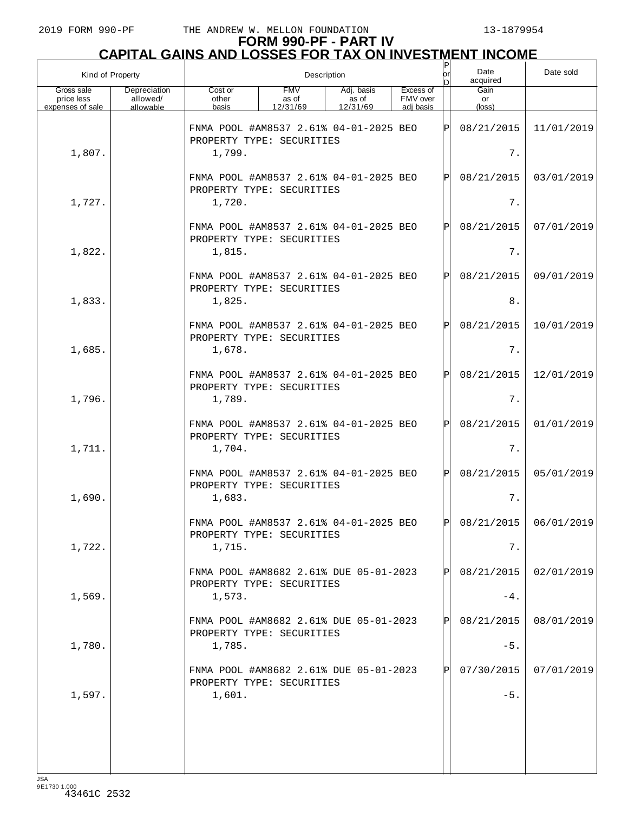| Kind of Property                             |                                       |                                                                               | Description                     |                                 |                                    | Ρ<br>lor<br>n | Date<br>acquired              | Date sold  |
|----------------------------------------------|---------------------------------------|-------------------------------------------------------------------------------|---------------------------------|---------------------------------|------------------------------------|---------------|-------------------------------|------------|
| Gross sale<br>price less<br>expenses of sale | Depreciation<br>allowed/<br>allowable | Cost or<br>other<br>basis                                                     | <b>FMV</b><br>as of<br>12/31/69 | Adj. basis<br>as of<br>12/31/69 | Excess of<br>FMV over<br>adi basis |               | Gain<br>or<br>$(\text{loss})$ |            |
| 1,807.                                       |                                       | FNMA POOL #AM8537 2.61% 04-01-2025 BEO<br>PROPERTY TYPE: SECURITIES<br>1,799. |                                 |                                 |                                    | ΙÞΙ           | 08/21/2015<br>7.              | 11/01/2019 |
|                                              |                                       | FNMA POOL #AM8537 2.61% 04-01-2025 BEO<br>PROPERTY TYPE: SECURITIES           |                                 |                                 | ΙÞΙ                                | 08/21/2015    | 03/01/2019                    |            |
| 1,727.                                       |                                       | 1,720.                                                                        |                                 |                                 |                                    | 7.            |                               |            |
| 1,822.                                       |                                       | FNMA POOL #AM8537 2.61% 04-01-2025 BEO<br>PROPERTY TYPE: SECURITIES<br>1,815. |                                 |                                 |                                    | ΙÞΙ           | 08/21/2015<br>7.              | 07/01/2019 |
|                                              |                                       | FNMA POOL #AM8537 2.61% 04-01-2025 BEO                                        |                                 |                                 |                                    | ΙÞΙ           | 08/21/2015                    | 09/01/2019 |
| 1,833.                                       |                                       | PROPERTY TYPE: SECURITIES<br>1,825.                                           |                                 |                                 |                                    |               | $8$ .                         |            |
|                                              |                                       | FNMA POOL #AM8537 2.61% 04-01-2025 BEO<br>PROPERTY TYPE: SECURITIES           |                                 |                                 |                                    | ΙÞΙ           | 08/21/2015                    | 10/01/2019 |
| 1,685.                                       |                                       | 1,678.                                                                        |                                 |                                 |                                    |               | 7.                            |            |
| 1,796.                                       |                                       | FNMA POOL #AM8537 2.61% 04-01-2025 BEO<br>PROPERTY TYPE: SECURITIES<br>1,789. |                                 |                                 |                                    | ΙÞΙ           | 08/21/2015<br>7.              | 12/01/2019 |
|                                              |                                       | FNMA POOL #AM8537 2.61% 04-01-2025 BEO                                        |                                 |                                 |                                    | ΙÞΙ           | 08/21/2015                    | 01/01/2019 |
| 1,711.                                       |                                       | PROPERTY TYPE: SECURITIES<br>1,704.                                           |                                 |                                 |                                    |               | 7.                            |            |
|                                              |                                       | FNMA POOL #AM8537 2.61% 04-01-2025 BEO<br>PROPERTY TYPE: SECURITIES           |                                 |                                 |                                    | lPl           | 08/21/2015                    | 05/01/2019 |
| 1,690.                                       |                                       | 1,683.                                                                        |                                 |                                 |                                    |               | 7.                            |            |
| 1,722.                                       |                                       | FNMA POOL #AM8537 2.61% 04-01-2025 BEO<br>PROPERTY TYPE: SECURITIES<br>1,715. |                                 |                                 |                                    | ldl           | 08/21/2015<br>7.              | 06/01/2019 |
|                                              |                                       | FNMA POOL #AM8682 2.61% DUE 05-01-2023                                        |                                 |                                 |                                    | IPI           | 08/21/2015                    | 02/01/2019 |
| 1,569.                                       |                                       | PROPERTY TYPE: SECURITIES<br>1,573.                                           |                                 |                                 |                                    |               | $-4$ .                        |            |
|                                              |                                       | FNMA POOL #AM8682 2.61% DUE 05-01-2023<br>PROPERTY TYPE: SECURITIES           |                                 |                                 |                                    | IPI           | 08/21/2015                    | 08/01/2019 |
| 1,780.                                       |                                       | 1,785.                                                                        |                                 |                                 |                                    |               | $-5.$                         |            |
|                                              |                                       | FNMA POOL #AM8682 2.61% DUE 05-01-2023<br>PROPERTY TYPE: SECURITIES           |                                 |                                 |                                    | ΙPΙ           | 07/30/2015                    | 07/01/2019 |
| 1,597.                                       |                                       | 1,601.                                                                        |                                 |                                 |                                    |               | $-5.$                         |            |
|                                              |                                       |                                                                               |                                 |                                 |                                    |               |                               |            |
|                                              |                                       |                                                                               |                                 |                                 |                                    |               |                               |            |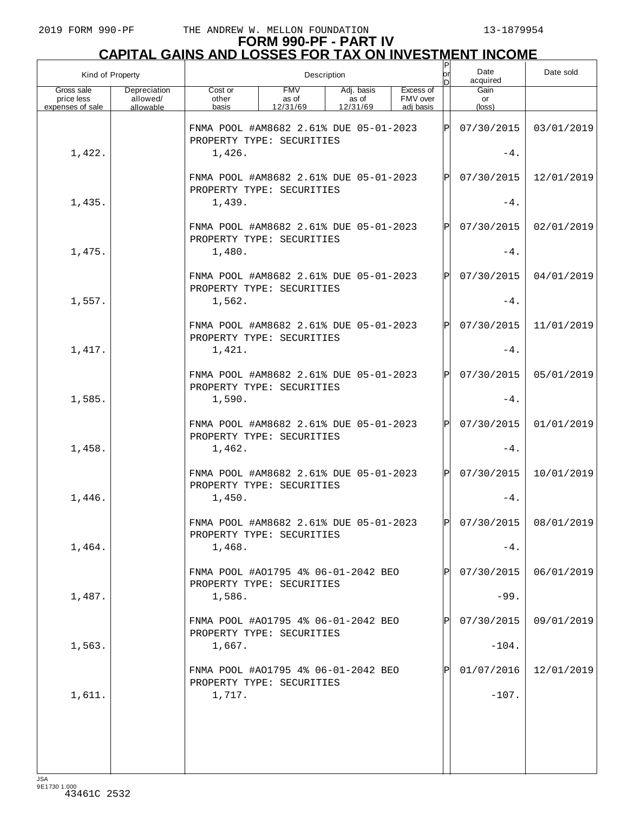# **FORM 990-PF - PART IV CAPITAL GAINS AND LOSSES FOR TAX ON INVESTMENT INCOME** P

| Kind of Property                             |                                       |                                                                     | Description                     |                                 |                                    | lor<br>n    | Date<br>acquired                  | Date sold  |
|----------------------------------------------|---------------------------------------|---------------------------------------------------------------------|---------------------------------|---------------------------------|------------------------------------|-------------|-----------------------------------|------------|
| Gross sale<br>price less<br>expenses of sale | Depreciation<br>allowed/<br>allowable | Cost or<br>other<br>basis                                           | <b>FMV</b><br>as of<br>12/31/69 | Adj. basis<br>as of<br>12/31/69 | Excess of<br>FMV over<br>adi basis |             | Gain<br>or<br>$(\text{loss})$     |            |
|                                              |                                       | FNMA POOL #AM8682 2.61% DUE 05-01-2023<br>PROPERTY TYPE: SECURITIES |                                 |                                 |                                    | lÞl         | 07/30/2015                        | 03/01/2019 |
| 1,422.                                       |                                       | 1,426.                                                              |                                 |                                 |                                    |             | $-4.$                             |            |
|                                              |                                       | FNMA POOL #AM8682 2.61% DUE 05-01-2023<br>PROPERTY TYPE: SECURITIES |                                 |                                 |                                    | IÞI         | 07/30/2015                        | 12/01/2019 |
| 1,435.                                       |                                       | 1,439.                                                              |                                 |                                 |                                    |             | $-4.$                             |            |
|                                              |                                       | FNMA POOL #AM8682 2.61% DUE 05-01-2023<br>PROPERTY TYPE: SECURITIES |                                 |                                 |                                    | $\mathbf P$ | 07/30/2015                        | 02/01/2019 |
| 1,475.                                       |                                       | 1,480.                                                              |                                 |                                 |                                    |             | $-4.$                             |            |
|                                              |                                       | FNMA POOL #AM8682 2.61% DUE 05-01-2023<br>PROPERTY TYPE: SECURITIES |                                 |                                 |                                    | IÞI         | 07/30/2015                        | 04/01/2019 |
| 1,557.                                       |                                       | 1,562.                                                              |                                 |                                 |                                    |             | $-4.$                             |            |
|                                              |                                       | FNMA POOL #AM8682 2.61% DUE 05-01-2023<br>PROPERTY TYPE: SECURITIES |                                 |                                 |                                    | ÞI          | 07/30/2015                        | 11/01/2019 |
| 1,417.                                       |                                       | 1,421.                                                              |                                 |                                 |                                    |             | $-4.$                             |            |
|                                              |                                       | FNMA POOL #AM8682 2.61% DUE 05-01-2023<br>PROPERTY TYPE: SECURITIES |                                 |                                 |                                    | Þl          | 07/30/2015                        | 05/01/2019 |
| 1,585.                                       |                                       | 1,590.                                                              |                                 |                                 |                                    |             | $-4.$                             |            |
|                                              |                                       | FNMA POOL #AM8682 2.61% DUE 05-01-2023<br>PROPERTY TYPE: SECURITIES |                                 |                                 |                                    | lÞI         | 07/30/2015                        | 01/01/2019 |
| 1,458.                                       |                                       | 1,462.                                                              |                                 |                                 |                                    |             | $-4.$                             |            |
|                                              |                                       | FNMA POOL #AM8682 2.61% DUE 05-01-2023<br>PROPERTY TYPE: SECURITIES |                                 |                                 |                                    | lÞI         | 07/30/2015                        | 10/01/2019 |
| 1,446.                                       |                                       | 1,450.                                                              |                                 |                                 |                                    |             | $-4$ .                            |            |
|                                              |                                       | FNMA POOL #AM8682 2.61% DUE 05-01-2023<br>PROPERTY TYPE: SECURITIES |                                 |                                 |                                    |             | $ {\rm p} $ 07/30/2015 08/01/2019 |            |
| 1,464.                                       |                                       | 1,468.                                                              |                                 |                                 |                                    |             | $-4$ .                            |            |
|                                              |                                       | FNMA POOL #A01795 4% 06-01-2042 BEO<br>PROPERTY TYPE: SECURITIES    |                                 |                                 |                                    |             | 07/30/2015                        | 06/01/2019 |
| 1,487.                                       |                                       | 1,586.                                                              |                                 |                                 |                                    |             | $-99.$                            |            |
|                                              |                                       | FNMA POOL #A01795 4% 06-01-2042 BEO<br>PROPERTY TYPE: SECURITIES    |                                 |                                 |                                    |             | 07/30/2015                        | 09/01/2019 |
| 1,563.                                       |                                       | 1,667.                                                              |                                 |                                 |                                    |             | $-104.$                           |            |
|                                              |                                       | FNMA POOL #A01795 4% 06-01-2042 BEO<br>PROPERTY TYPE: SECURITIES    |                                 |                                 |                                    |             | 01/07/2016                        | 12/01/2019 |
| 1,611.                                       |                                       | 1,717.                                                              |                                 |                                 |                                    |             | $-107.$                           |            |
|                                              |                                       |                                                                     |                                 |                                 |                                    |             |                                   |            |
|                                              |                                       |                                                                     |                                 |                                 |                                    |             |                                   |            |
|                                              |                                       |                                                                     |                                 |                                 |                                    |             |                                   |            |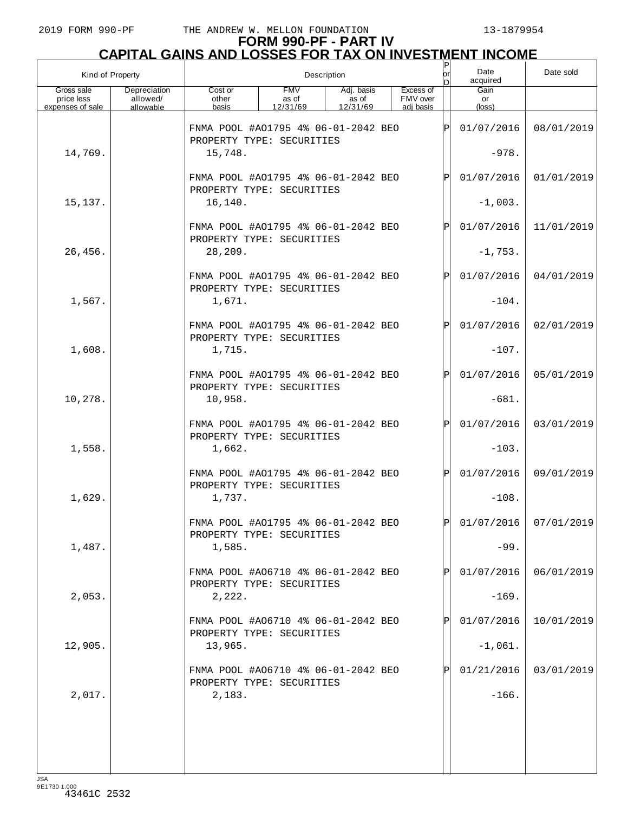| Kind of Property                             |                                       |                                                                            |                                 | Description                     |                                    | or<br>D      | Date<br>acquired        | Date sold             |
|----------------------------------------------|---------------------------------------|----------------------------------------------------------------------------|---------------------------------|---------------------------------|------------------------------------|--------------|-------------------------|-----------------------|
| Gross sale<br>price less<br>expenses of sale | Depreciation<br>allowed/<br>allowable | Cost or<br>other<br>basis                                                  | <b>FMV</b><br>as of<br>12/31/69 | Adj. basis<br>as of<br>12/31/69 | Excess of<br>FMV over<br>adi basis |              | Gain<br>or<br>(loss)    |                       |
|                                              |                                       | FNMA POOL #A01795 4% 06-01-2042 BEO<br>PROPERTY TYPE: SECURITIES           |                                 |                                 |                                    | ΙP           | 01/07/2016              | 08/01/2019            |
| 14,769.                                      |                                       | 15,748.                                                                    |                                 |                                 |                                    |              | $-978.$                 |                       |
|                                              |                                       | FNMA POOL #A01795 4% 06-01-2042 BEO<br>PROPERTY TYPE: SECURITIES           |                                 |                                 |                                    | $\mathbf{P}$ | 01/07/2016              | 01/01/2019            |
| 15,137.                                      |                                       | 16,140.                                                                    |                                 |                                 |                                    |              | $-1,003.$               |                       |
|                                              |                                       | FNMA POOL #A01795 4% 06-01-2042 BEO<br>PROPERTY TYPE: SECURITIES           |                                 |                                 |                                    | $\mathbf P$  | 01/07/2016              | 11/01/2019            |
| 26,456.                                      |                                       | 28,209.                                                                    |                                 |                                 |                                    |              | $-1,753.$               |                       |
|                                              |                                       | FNMA POOL #A01795 4% 06-01-2042 BEO<br>PROPERTY TYPE: SECURITIES           |                                 |                                 |                                    | $\mathbf{P}$ | 01/07/2016              | 04/01/2019            |
| 1,567.                                       |                                       | 1,671.                                                                     |                                 |                                 |                                    |              | $-104.$                 |                       |
| 1,608.                                       |                                       | FNMA POOL #A01795 4% 06-01-2042 BEO<br>PROPERTY TYPE: SECURITIES<br>1,715. |                                 |                                 |                                    | $\mathbf P$  | 01/07/2016<br>$-107.$   | 02/01/2019            |
|                                              |                                       | FNMA POOL #A01795 4% 06-01-2042 BEO                                        |                                 |                                 |                                    | $\mathbf P$  | 01/07/2016              | 05/01/2019            |
| 10,278.                                      |                                       | PROPERTY TYPE: SECURITIES<br>10,958.                                       |                                 |                                 |                                    |              | $-681.$                 |                       |
|                                              |                                       | FNMA POOL #A01795 4% 06-01-2042 BEO                                        |                                 |                                 |                                    | $\mathbf P$  | 01/07/2016              | 03/01/2019            |
| 1,558.                                       |                                       | PROPERTY TYPE: SECURITIES<br>1,662.                                        |                                 |                                 |                                    |              | $-103.$                 |                       |
|                                              |                                       | FNMA POOL #A01795 4% 06-01-2042 BEO<br>PROPERTY TYPE: SECURITIES           |                                 |                                 |                                    | $\mathsf{P}$ | 01/07/2016              | 09/01/2019            |
| 1,629.                                       |                                       | 1,737.                                                                     |                                 |                                 |                                    |              | $-108.$                 |                       |
|                                              |                                       | FNMA POOL #A01795 4% 06-01-2042 BEO<br>PROPERTY TYPE: SECURITIES           |                                 |                                 |                                    | $\mathsf{P}$ |                         | 01/07/2016 07/01/2019 |
| 1,487.                                       |                                       | 1,585.                                                                     |                                 |                                 |                                    |              | $-99.$                  |                       |
|                                              |                                       | FNMA POOL #A06710 4% 06-01-2042 BEO<br>PROPERTY TYPE: SECURITIES           |                                 |                                 |                                    |              | 01/07/2016              | 06/01/2019            |
| 2,053.                                       |                                       | 2,222.                                                                     |                                 |                                 |                                    |              | $-169.$                 |                       |
|                                              |                                       | FNMA POOL #A06710 4% 06-01-2042 BEO<br>PROPERTY TYPE: SECURITIES           |                                 |                                 |                                    |              | 01/07/2016              | 10/01/2019            |
| 12,905.                                      |                                       | 13,965.<br>FNMA POOL #A06710 4% 06-01-2042 BEO                             |                                 |                                 |                                    |              | $-1,061.$<br>01/21/2016 | 03/01/2019            |
| 2,017.                                       |                                       | PROPERTY TYPE: SECURITIES<br>2,183.                                        |                                 |                                 |                                    |              | $-166.$                 |                       |
|                                              |                                       |                                                                            |                                 |                                 |                                    |              |                         |                       |
|                                              |                                       |                                                                            |                                 |                                 |                                    |              |                         |                       |
|                                              |                                       |                                                                            |                                 |                                 |                                    |              |                         |                       |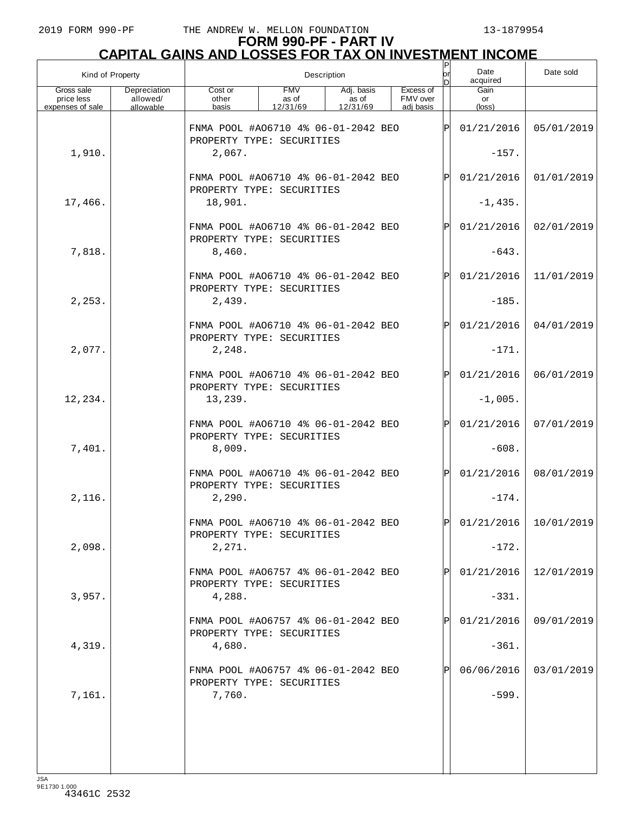| Kind of Property                             |                                       |                                                                  |                                 | Description                     |                                    | or<br>nl     | Date<br>acquired     | Date sold                 |
|----------------------------------------------|---------------------------------------|------------------------------------------------------------------|---------------------------------|---------------------------------|------------------------------------|--------------|----------------------|---------------------------|
| Gross sale<br>price less<br>expenses of sale | Depreciation<br>allowed/<br>allowable | Cost or<br>other<br>basis                                        | <b>FMV</b><br>as of<br>12/31/69 | Adj. basis<br>as of<br>12/31/69 | Excess of<br>FMV over<br>adi basis |              | Gain<br>or<br>(loss) |                           |
|                                              |                                       | FNMA POOL #A06710 4% 06-01-2042 BEO<br>PROPERTY TYPE: SECURITIES |                                 |                                 |                                    | ΙÞΙ          | 01/21/2016           | 05/01/2019                |
| 1,910.                                       |                                       | 2,067.                                                           |                                 |                                 |                                    |              | $-157.$              |                           |
|                                              |                                       | FNMA POOL #A06710 4% 06-01-2042 BEO<br>PROPERTY TYPE: SECURITIES |                                 |                                 |                                    | $\mathsf{P}$ | 01/21/2016           | 01/01/2019                |
| 17,466.                                      |                                       | 18,901.                                                          |                                 |                                 |                                    |              | $-1,435.$            |                           |
|                                              |                                       | FNMA POOL #A06710 4% 06-01-2042 BEO<br>PROPERTY TYPE: SECURITIES |                                 |                                 |                                    | $\mathsf{P}$ | 01/21/2016           | 02/01/2019                |
| 7,818.                                       |                                       | 8,460.                                                           |                                 |                                 |                                    |              | $-643.$              |                           |
|                                              |                                       | FNMA POOL #A06710 4% 06-01-2042 BEO<br>PROPERTY TYPE: SECURITIES |                                 |                                 |                                    | $\mathsf{P}$ | 01/21/2016           | 11/01/2019                |
| 2, 253.                                      |                                       | 2,439.                                                           |                                 |                                 |                                    |              | $-185.$              |                           |
|                                              |                                       | FNMA POOL #A06710 4% 06-01-2042 BEO<br>PROPERTY TYPE: SECURITIES |                                 |                                 |                                    | $\mathsf{P}$ | 01/21/2016           | 04/01/2019                |
| 2,077.                                       |                                       | 2,248.                                                           |                                 |                                 |                                    |              | $-171.$              |                           |
|                                              |                                       | FNMA POOL #A06710 4% 06-01-2042 BEO<br>PROPERTY TYPE: SECURITIES |                                 |                                 |                                    | $\mathsf{P}$ | 01/21/2016           | 06/01/2019                |
| 12,234.                                      |                                       | 13,239.                                                          |                                 |                                 |                                    |              | $-1,005.$            |                           |
|                                              |                                       | FNMA POOL #A06710 4% 06-01-2042 BEO<br>PROPERTY TYPE: SECURITIES |                                 |                                 |                                    | $\mathsf{P}$ | 01/21/2016           | 07/01/2019                |
| 7,401.                                       |                                       | 8,009.                                                           |                                 |                                 |                                    |              | $-608.$              |                           |
|                                              |                                       | FNMA POOL #A06710 4% 06-01-2042 BEO<br>PROPERTY TYPE: SECURITIES |                                 |                                 |                                    | $\mathsf{P}$ | 01/21/2016           | 08/01/2019                |
| 2,116.                                       |                                       | 2,290.                                                           |                                 |                                 |                                    |              | $-174.$              |                           |
|                                              |                                       | FNMA POOL #A06710 4% 06-01-2042 BEO<br>PROPERTY TYPE: SECURITIES |                                 |                                 |                                    | D            |                      | $01/21/2016$   10/01/2019 |
| 2,098.                                       |                                       | 2,271.                                                           |                                 |                                 |                                    |              | $-172.$              |                           |
|                                              |                                       | FNMA POOL #A06757 4% 06-01-2042 BEO<br>PROPERTY TYPE: SECURITIES |                                 |                                 |                                    |              | 01/21/2016           | 12/01/2019                |
| 3,957.                                       |                                       | 4,288.                                                           |                                 |                                 |                                    |              | $-331.$              |                           |
|                                              |                                       | FNMA POOL #A06757 4% 06-01-2042 BEO<br>PROPERTY TYPE: SECURITIES |                                 |                                 |                                    |              | 01/21/2016           | 09/01/2019                |
| 4,319.                                       |                                       | 4,680.                                                           |                                 |                                 |                                    |              | $-361.$              |                           |
|                                              |                                       | FNMA POOL #A06757 4% 06-01-2042 BEO<br>PROPERTY TYPE: SECURITIES |                                 |                                 |                                    |              | 06/06/2016           | 03/01/2019                |
| 7,161.                                       |                                       | 7,760.                                                           |                                 |                                 |                                    |              | $-599.$              |                           |
|                                              |                                       |                                                                  |                                 |                                 |                                    |              |                      |                           |
|                                              |                                       |                                                                  |                                 |                                 |                                    |              |                      |                           |
|                                              |                                       |                                                                  |                                 |                                 |                                    |              |                      |                           |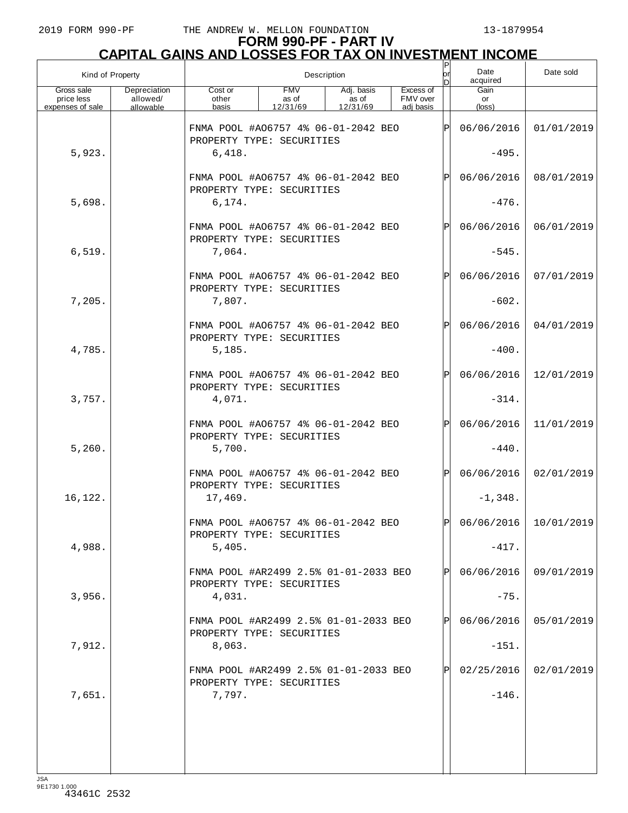| Kind of Property<br>Description              |                                       |                                                                            |                                 |                                 |                                    | or<br>nl     | Date<br>acquired      | Date sold             |
|----------------------------------------------|---------------------------------------|----------------------------------------------------------------------------|---------------------------------|---------------------------------|------------------------------------|--------------|-----------------------|-----------------------|
| Gross sale<br>price less<br>expenses of sale | Depreciation<br>allowed/<br>allowable | Cost or<br>other<br>basis                                                  | <b>FMV</b><br>as of<br>12/31/69 | Adj. basis<br>as of<br>12/31/69 | Excess of<br>FMV over<br>adj basis |              | Gain<br>or<br>(loss)  |                       |
|                                              |                                       | FNMA POOL #A06757 4% 06-01-2042 BEO<br>PROPERTY TYPE: SECURITIES           |                                 |                                 |                                    | ΙÞΙ          | 06/06/2016            | 01/01/2019            |
| 5,923.                                       |                                       | 6,418.                                                                     |                                 |                                 |                                    |              | $-495.$               |                       |
|                                              |                                       | FNMA POOL #A06757 4% 06-01-2042 BEO<br>PROPERTY TYPE: SECURITIES           |                                 | $\mathsf{P}$                    | 06/06/2016                         | 08/01/2019   |                       |                       |
| 5,698.                                       |                                       | 6, 174.                                                                    |                                 |                                 |                                    |              | $-476.$               |                       |
|                                              |                                       | FNMA POOL #A06757 4% 06-01-2042 BEO<br>PROPERTY TYPE: SECURITIES           |                                 |                                 |                                    | $\mathsf{P}$ | 06/06/2016            | 06/01/2019            |
| 6,519.                                       |                                       | 7,064.                                                                     |                                 |                                 |                                    |              | $-545.$               |                       |
|                                              |                                       | FNMA POOL #A06757 4% 06-01-2042 BEO<br>PROPERTY TYPE: SECURITIES           |                                 |                                 |                                    | $\mathsf{P}$ | 06/06/2016            | 07/01/2019            |
| 7,205.                                       |                                       | 7,807.                                                                     |                                 |                                 |                                    |              | $-602.$               |                       |
| 4,785.                                       |                                       | FNMA POOL #A06757 4% 06-01-2042 BEO<br>PROPERTY TYPE: SECURITIES<br>5,185. |                                 |                                 |                                    | $\mathsf{P}$ | 06/06/2016<br>$-400.$ | 04/01/2019            |
|                                              |                                       | FNMA POOL #A06757 4% 06-01-2042 BEO                                        |                                 |                                 |                                    | $\mathsf{P}$ | 06/06/2016            | 12/01/2019            |
| 3,757.                                       |                                       | PROPERTY TYPE: SECURITIES<br>4,071.                                        |                                 |                                 |                                    |              | $-314.$               |                       |
|                                              |                                       | FNMA POOL #A06757 4% 06-01-2042 BEO                                        |                                 |                                 |                                    | $\mathsf{P}$ | 06/06/2016            | 11/01/2019            |
| 5,260.                                       |                                       | PROPERTY TYPE: SECURITIES<br>5,700.                                        |                                 |                                 |                                    |              | $-440.$               |                       |
|                                              |                                       | FNMA POOL #A06757 4% 06-01-2042 BEO                                        |                                 |                                 |                                    | $\mathsf{P}$ | 06/06/2016            | 02/01/2019            |
| 16,122.                                      |                                       | PROPERTY TYPE: SECURITIES<br>17,469.                                       |                                 |                                 |                                    |              | $-1,348.$             |                       |
|                                              |                                       | FNMA POOL #A06757 4% 06-01-2042 BEO<br>PROPERTY TYPE: SECURITIES           |                                 |                                 |                                    | $\mathsf{D}$ |                       | 06/06/2016 10/01/2019 |
| 4,988.                                       |                                       | 5,405.                                                                     |                                 |                                 |                                    |              | $-417.$               |                       |
|                                              |                                       | FNMA POOL #AR2499 2.5% 01-01-2033 BEO<br>PROPERTY TYPE: SECURITIES         |                                 |                                 |                                    |              | 06/06/2016            | 09/01/2019            |
| 3,956.                                       |                                       | 4,031.                                                                     |                                 |                                 |                                    |              | $-75.$                |                       |
|                                              |                                       | FNMA POOL #AR2499 2.5% 01-01-2033 BEO<br>PROPERTY TYPE: SECURITIES         |                                 |                                 |                                    |              | 06/06/2016            | 05/01/2019            |
| 7,912.                                       |                                       | 8,063.                                                                     |                                 |                                 |                                    |              | $-151.$               |                       |
|                                              |                                       | FNMA POOL #AR2499 2.5% 01-01-2033 BEO<br>PROPERTY TYPE: SECURITIES         |                                 |                                 |                                    |              | 02/25/2016            | 02/01/2019            |
| 7,651.                                       |                                       | 7,797.                                                                     |                                 |                                 |                                    |              | $-146.$               |                       |
|                                              |                                       |                                                                            |                                 |                                 |                                    |              |                       |                       |
|                                              |                                       |                                                                            |                                 |                                 |                                    |              |                       |                       |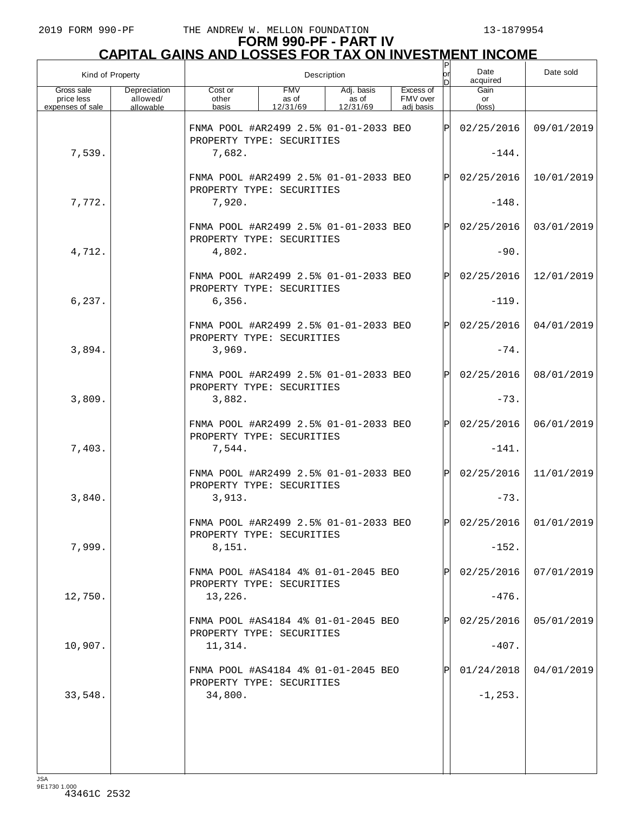| Kind of Property                             |                                       |                                                                              |                                 | Description                     |                                    | $\sf P$<br>or<br>ln. | Date<br>acquired              | Date sold               |
|----------------------------------------------|---------------------------------------|------------------------------------------------------------------------------|---------------------------------|---------------------------------|------------------------------------|----------------------|-------------------------------|-------------------------|
| Gross sale<br>price less<br>expenses of sale | Depreciation<br>allowed/<br>allowable | Cost or<br>other<br>basis                                                    | <b>FMV</b><br>as of<br>12/31/69 | Adj. basis<br>as of<br>12/31/69 | Excess of<br>FMV over<br>adj basis |                      | Gain<br>or<br>$(\text{loss})$ |                         |
| 7,539.                                       |                                       | FNMA POOL #AR2499 2.5% 01-01-2033 BEO<br>PROPERTY TYPE: SECURITIES<br>7,682. |                                 |                                 |                                    | lPl                  | 02/25/2016<br>$-144.$         | 09/01/2019              |
|                                              |                                       | FNMA POOL #AR2499 2.5% 01-01-2033 BEO                                        |                                 |                                 |                                    | IPI                  | 02/25/2016                    | 10/01/2019              |
| 7,772.                                       |                                       | PROPERTY TYPE: SECURITIES<br>7,920.                                          |                                 |                                 |                                    |                      | $-148.$                       |                         |
|                                              |                                       | FNMA POOL #AR2499 2.5% 01-01-2033 BEO<br>PROPERTY TYPE: SECURITIES           |                                 |                                 |                                    | ΙP                   | 02/25/2016                    | 03/01/2019              |
| 4,712.                                       |                                       | 4,802.                                                                       |                                 |                                 |                                    |                      | $-90.$                        |                         |
| 6, 237.                                      |                                       | FNMA POOL #AR2499 2.5% 01-01-2033 BEO<br>PROPERTY TYPE: SECURITIES<br>6,356. |                                 |                                 |                                    | IPI                  | 02/25/2016<br>$-119.$         | 12/01/2019              |
|                                              |                                       | FNMA POOL #AR2499 2.5% 01-01-2033 BEO                                        |                                 |                                 |                                    | ΙP                   | 02/25/2016                    | 04/01/2019              |
| 3,894.                                       |                                       | PROPERTY TYPE: SECURITIES<br>3,969.                                          |                                 |                                 |                                    |                      | $-74.$                        |                         |
|                                              |                                       | FNMA POOL #AR2499 2.5% 01-01-2033 BEO                                        |                                 |                                 |                                    | IPI                  | 02/25/2016                    | 08/01/2019              |
| 3,809.                                       |                                       | PROPERTY TYPE: SECURITIES<br>3,882.                                          |                                 |                                 |                                    |                      | $-73.$                        |                         |
|                                              |                                       | FNMA POOL #AR2499 2.5% 01-01-2033 BEO<br>PROPERTY TYPE: SECURITIES           |                                 |                                 |                                    | IPI                  | 02/25/2016                    | 06/01/2019              |
| 7,403.                                       |                                       | 7,544.                                                                       |                                 |                                 |                                    |                      | $-141.$                       |                         |
| 3,840.                                       |                                       | FNMA POOL #AR2499 2.5% 01-01-2033 BEO<br>PROPERTY TYPE: SECURITIES<br>3,913. |                                 |                                 |                                    | ΙPΙ                  | 02/25/2016<br>$-73.$          | 11/01/2019              |
|                                              |                                       | FNMA POOL #AR2499 2.5% 01-01-2033 BEO                                        |                                 |                                 |                                    | lÞl                  |                               | $02/25/2016$ 01/01/2019 |
| 7,999.                                       |                                       | PROPERTY TYPE: SECURITIES<br>8,151.                                          |                                 |                                 |                                    |                      | $-152.$                       |                         |
|                                              |                                       | FNMA POOL #AS4184 4% 01-01-2045 BEO                                          |                                 |                                 |                                    |                      | 02/25/2016                    | 07/01/2019              |
| 12,750.                                      |                                       | PROPERTY TYPE: SECURITIES<br>13,226.                                         |                                 |                                 |                                    |                      | $-476.$                       |                         |
|                                              |                                       | FNMA POOL #AS4184 4% 01-01-2045 BEO<br>PROPERTY TYPE: SECURITIES             |                                 |                                 |                                    |                      | 02/25/2016                    | 05/01/2019              |
| 10,907.                                      |                                       | 11,314.                                                                      |                                 |                                 |                                    |                      | $-407.$                       |                         |
|                                              |                                       | FNMA POOL #AS4184 4% 01-01-2045 BEO<br>PROPERTY TYPE: SECURITIES             |                                 |                                 |                                    |                      | 01/24/2018                    | 04/01/2019              |
| 33,548.                                      |                                       | 34,800.                                                                      |                                 |                                 |                                    |                      | $-1, 253.$                    |                         |
|                                              |                                       |                                                                              |                                 |                                 |                                    |                      |                               |                         |
|                                              |                                       |                                                                              |                                 |                                 |                                    |                      |                               |                         |
|                                              |                                       |                                                                              |                                 |                                 |                                    |                      |                               |                         |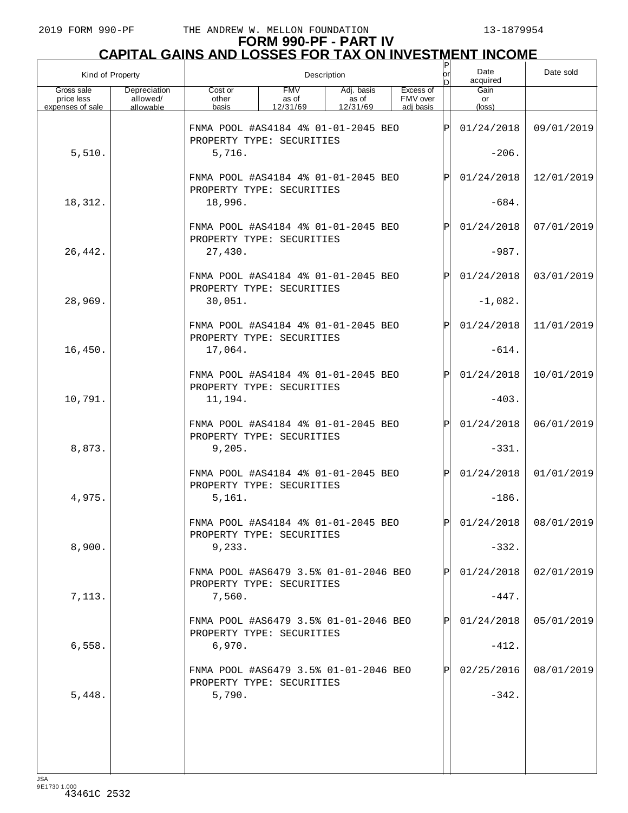| Kind of Property                             |                                       |                                                                    |                                 | Description                     |                                    | P<br> or<br>ы | Date<br>acquired     | Date sold               |
|----------------------------------------------|---------------------------------------|--------------------------------------------------------------------|---------------------------------|---------------------------------|------------------------------------|---------------|----------------------|-------------------------|
| Gross sale<br>price less<br>expenses of sale | Depreciation<br>allowed/<br>allowable | Cost or<br>other<br>basis                                          | <b>FMV</b><br>as of<br>12/31/69 | Adj. basis<br>as of<br>12/31/69 | Excess of<br>FMV over<br>adi basis |               | Gain<br>or<br>(loss) |                         |
|                                              |                                       | FNMA POOL #AS4184 4% 01-01-2045 BEO<br>PROPERTY TYPE: SECURITIES   |                                 |                                 |                                    | ΙÞΙ           | 01/24/2018           | 09/01/2019              |
| 5,510.                                       |                                       | 5,716.                                                             |                                 |                                 |                                    |               | $-206.$              |                         |
|                                              |                                       | FNMA POOL #AS4184 4% 01-01-2045 BEO<br>PROPERTY TYPE: SECURITIES   |                                 |                                 |                                    | Þl            | 01/24/2018           | 12/01/2019              |
| 18,312.                                      |                                       | 18,996.                                                            |                                 |                                 |                                    |               | $-684.$              |                         |
|                                              |                                       | FNMA POOL #AS4184 4% 01-01-2045 BEO<br>PROPERTY TYPE: SECURITIES   |                                 |                                 |                                    | $\mathsf{P}$  | 01/24/2018           | 07/01/2019              |
| 26,442.                                      |                                       | 27,430.                                                            |                                 |                                 |                                    |               | $-987.$              |                         |
|                                              |                                       | FNMA POOL #AS4184 4% 01-01-2045 BEO<br>PROPERTY TYPE: SECURITIES   |                                 |                                 |                                    | Þl            | 01/24/2018           | 03/01/2019              |
| 28,969.                                      |                                       | 30,051.                                                            |                                 |                                 |                                    |               | $-1,082.$            |                         |
|                                              |                                       | FNMA POOL #AS4184 4% 01-01-2045 BEO<br>PROPERTY TYPE: SECURITIES   |                                 |                                 |                                    | Þl            | 01/24/2018           | 11/01/2019              |
| 16,450.                                      |                                       | 17,064.                                                            |                                 |                                 |                                    |               | $-614.$              |                         |
|                                              |                                       | FNMA POOL #AS4184 4% 01-01-2045 BEO<br>PROPERTY TYPE: SECURITIES   |                                 |                                 |                                    | $\mathsf{P}$  | 01/24/2018           | 10/01/2019              |
| 10,791.                                      |                                       | 11,194.                                                            |                                 |                                 |                                    |               | $-403.$              |                         |
|                                              |                                       | FNMA POOL #AS4184 4% 01-01-2045 BEO<br>PROPERTY TYPE: SECURITIES   |                                 |                                 |                                    | Þl            | 01/24/2018           | 06/01/2019              |
| 8,873.                                       |                                       | 9,205.                                                             |                                 |                                 |                                    |               | $-331.$              |                         |
|                                              |                                       | FNMA POOL #AS4184 4% 01-01-2045 BEO<br>PROPERTY TYPE: SECURITIES   |                                 |                                 |                                    | $\mathsf{P}$  | 01/24/2018           | 01/01/2019              |
| 4,975.                                       |                                       | 5,161.                                                             |                                 |                                 |                                    |               | $-186.$              |                         |
|                                              |                                       | FNMA POOL #AS4184 4% 01-01-2045 BEO<br>PROPERTY TYPE: SECURITIES   |                                 |                                 |                                    | D             |                      | $01/24/2018$ 08/01/2019 |
| 8,900.                                       |                                       | 9,233.                                                             |                                 |                                 |                                    |               | $-332.$              |                         |
|                                              |                                       | FNMA POOL #AS6479 3.5% 01-01-2046 BEO<br>PROPERTY TYPE: SECURITIES |                                 |                                 |                                    |               | 01/24/2018           | 02/01/2019              |
| 7,113.                                       |                                       | 7,560.                                                             |                                 |                                 |                                    |               | $-447.$              |                         |
|                                              |                                       | FNMA POOL #AS6479 3.5% 01-01-2046 BEO<br>PROPERTY TYPE: SECURITIES |                                 |                                 |                                    | P             | 01/24/2018           | 05/01/2019              |
| 6,558.                                       |                                       | 6,970.                                                             |                                 |                                 |                                    |               | $-412.$              |                         |
|                                              |                                       | FNMA POOL #AS6479 3.5% 01-01-2046 BEO<br>PROPERTY TYPE: SECURITIES |                                 |                                 |                                    |               | 02/25/2016           | 08/01/2019              |
| 5,448.                                       |                                       | 5,790.                                                             |                                 |                                 |                                    |               | $-342.$              |                         |
|                                              |                                       |                                                                    |                                 |                                 |                                    |               |                      |                         |
|                                              |                                       |                                                                    |                                 |                                 |                                    |               |                      |                         |
|                                              |                                       |                                                                    |                                 |                                 |                                    |               |                      |                         |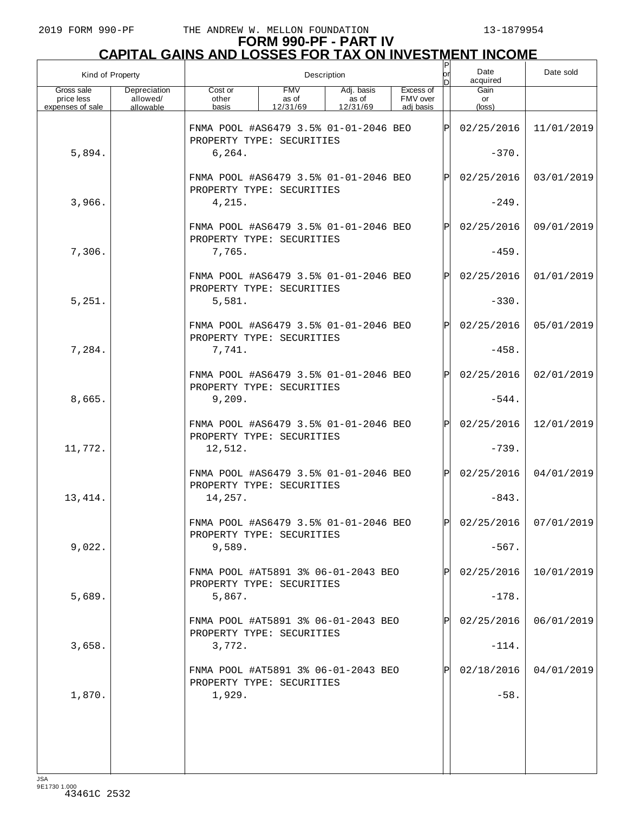| Kind of Property                             |                                       |                                                                               |                                 | Description                     |                                    | or<br>nl | Date<br>acquired      | Date sold               |
|----------------------------------------------|---------------------------------------|-------------------------------------------------------------------------------|---------------------------------|---------------------------------|------------------------------------|----------|-----------------------|-------------------------|
| Gross sale<br>price less<br>expenses of sale | Depreciation<br>allowed/<br>allowable | Cost or<br>other<br>basis                                                     | <b>FMV</b><br>as of<br>12/31/69 | Adj. basis<br>as of<br>12/31/69 | Excess of<br>FMV over<br>adj basis |          | Gain<br>or<br>(loss)  |                         |
|                                              |                                       | FNMA POOL #AS6479 3.5% 01-01-2046 BEO<br>PROPERTY TYPE: SECURITIES            |                                 |                                 |                                    | ΙPΙ      | 02/25/2016            | 11/01/2019              |
| 5,894.                                       |                                       | 6, 264.                                                                       |                                 |                                 |                                    |          | $-370.$               |                         |
|                                              |                                       | FNMA POOL #AS6479 3.5% 01-01-2046 BEO<br>PROPERTY TYPE: SECURITIES            |                                 |                                 |                                    | Þl       | 02/25/2016            | 03/01/2019              |
| 3,966.                                       |                                       | 4,215.                                                                        |                                 |                                 |                                    |          | $-249.$               |                         |
|                                              |                                       | FNMA POOL #AS6479 3.5% 01-01-2046 BEO<br>PROPERTY TYPE: SECURITIES            |                                 |                                 |                                    | IPI      | 02/25/2016            | 09/01/2019              |
| 7,306.                                       |                                       | 7,765.                                                                        |                                 |                                 |                                    |          | $-459.$               |                         |
|                                              |                                       | FNMA POOL #AS6479 3.5% 01-01-2046 BEO<br>PROPERTY TYPE: SECURITIES            |                                 |                                 |                                    | Þl       | 02/25/2016            | 01/01/2019              |
| 5,251.                                       |                                       | 5,581.                                                                        |                                 |                                 |                                    |          | $-330.$               |                         |
|                                              |                                       | FNMA POOL #AS6479 3.5% 01-01-2046 BEO<br>PROPERTY TYPE: SECURITIES            |                                 |                                 |                                    | IPI      | 02/25/2016            | 05/01/2019              |
| 7,284.                                       |                                       | 7,741.                                                                        |                                 |                                 |                                    |          | $-458.$               |                         |
|                                              |                                       | FNMA POOL #AS6479 3.5% 01-01-2046 BEO<br>PROPERTY TYPE: SECURITIES            |                                 |                                 |                                    | Þl       | 02/25/2016            | 02/01/2019              |
| 8,665.                                       |                                       | 9,209.                                                                        |                                 |                                 |                                    |          | $-544.$               |                         |
| 11,772.                                      |                                       | FNMA POOL #AS6479 3.5% 01-01-2046 BEO<br>PROPERTY TYPE: SECURITIES<br>12,512. |                                 |                                 |                                    | IPI      | 02/25/2016<br>$-739.$ | 12/01/2019              |
|                                              |                                       |                                                                               |                                 |                                 |                                    |          |                       |                         |
| 13, 414.                                     |                                       | FNMA POOL #AS6479 3.5% 01-01-2046 BEO<br>PROPERTY TYPE: SECURITIES<br>14,257. |                                 |                                 |                                    | IPI      | 02/25/2016<br>$-843.$ | 04/01/2019              |
|                                              |                                       |                                                                               |                                 |                                 |                                    |          |                       |                         |
| 9,022.                                       |                                       | FNMA POOL #AS6479 3.5% 01-01-2046 BEO<br>PROPERTY TYPE: SECURITIES<br>9,589.  |                                 |                                 |                                    | lÞI.     | $-567.$               | $02/25/2016$ 07/01/2019 |
|                                              |                                       |                                                                               |                                 |                                 |                                    |          |                       |                         |
|                                              |                                       | FNMA POOL #AT5891 3% 06-01-2043 BEO<br>PROPERTY TYPE: SECURITIES              |                                 |                                 |                                    |          | 02/25/2016            | 10/01/2019              |
| 5,689.                                       |                                       | 5,867.                                                                        |                                 |                                 |                                    |          | $-178.$               |                         |
|                                              |                                       | FNMA POOL #AT5891 3% 06-01-2043 BEO<br>PROPERTY TYPE: SECURITIES              |                                 |                                 |                                    |          | 02/25/2016            | 06/01/2019              |
| 3,658.                                       |                                       | 3,772.                                                                        |                                 |                                 |                                    |          | $-114.$               |                         |
|                                              |                                       | FNMA POOL #AT5891 3% 06-01-2043 BEO<br>PROPERTY TYPE: SECURITIES              |                                 |                                 |                                    |          | 02/18/2016            | 04/01/2019              |
| 1,870.                                       |                                       | 1,929.                                                                        |                                 |                                 |                                    |          | $-58.$                |                         |
|                                              |                                       |                                                                               |                                 |                                 |                                    |          |                       |                         |
|                                              |                                       |                                                                               |                                 |                                 |                                    |          |                       |                         |
|                                              |                                       |                                                                               |                                 |                                 |                                    |          |                       |                         |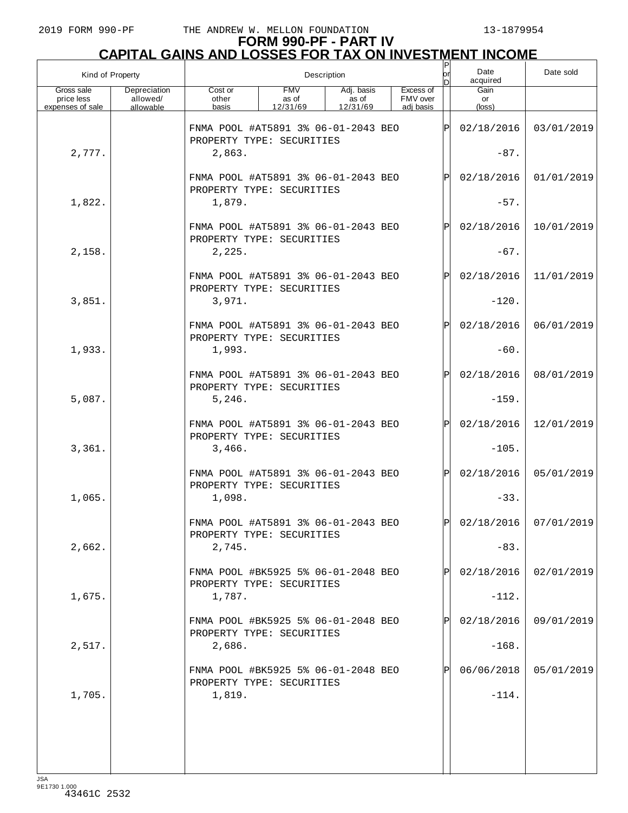| Kind of Property                             |                                       | Description                                                      |                                 |                                 |                                    |              | Date<br>acquired     | Date sold               |
|----------------------------------------------|---------------------------------------|------------------------------------------------------------------|---------------------------------|---------------------------------|------------------------------------|--------------|----------------------|-------------------------|
| Gross sale<br>price less<br>expenses of sale | Depreciation<br>allowed/<br>allowable | Cost or<br>other<br>basis                                        | <b>FMV</b><br>as of<br>12/31/69 | Adj. basis<br>as of<br>12/31/69 | Excess of<br>FMV over<br>adi basis |              | Gain<br>or<br>(loss) |                         |
|                                              |                                       | FNMA POOL #AT5891 3% 06-01-2043 BEO<br>PROPERTY TYPE: SECURITIES |                                 |                                 |                                    | lÞ           | 02/18/2016           | 03/01/2019              |
| 2,777.                                       |                                       | 2,863.                                                           |                                 |                                 |                                    |              | $-87.$               |                         |
|                                              |                                       | FNMA POOL #AT5891 3% 06-01-2043 BEO<br>PROPERTY TYPE: SECURITIES |                                 |                                 |                                    | P            | 02/18/2016           | 01/01/2019              |
| 1,822.                                       |                                       | 1,879.                                                           |                                 |                                 |                                    |              | $-57.$               |                         |
|                                              |                                       | FNMA POOL #AT5891 3% 06-01-2043 BEO<br>PROPERTY TYPE: SECURITIES |                                 |                                 |                                    | P            | 02/18/2016           | 10/01/2019              |
| 2,158.                                       |                                       | 2,225.                                                           |                                 |                                 |                                    |              | $-67.$               |                         |
|                                              |                                       | FNMA POOL #AT5891 3% 06-01-2043 BEO<br>PROPERTY TYPE: SECURITIES |                                 |                                 |                                    | P            | 02/18/2016           | 11/01/2019              |
| 3,851.                                       |                                       | 3,971.                                                           |                                 |                                 |                                    |              | $-120.$              |                         |
|                                              |                                       | FNMA POOL #AT5891 3% 06-01-2043 BEO<br>PROPERTY TYPE: SECURITIES |                                 |                                 |                                    | P            | 02/18/2016           | 06/01/2019              |
| 1,933.                                       |                                       | 1,993.                                                           |                                 |                                 |                                    |              | $-60.$               |                         |
|                                              |                                       | FNMA POOL #AT5891 3% 06-01-2043 BEO<br>PROPERTY TYPE: SECURITIES |                                 |                                 |                                    | P            | 02/18/2016           | 08/01/2019              |
| 5,087.                                       |                                       | 5, 246.                                                          |                                 |                                 |                                    |              | $-159.$              |                         |
|                                              |                                       | FNMA POOL #AT5891 3% 06-01-2043 BEO<br>PROPERTY TYPE: SECURITIES |                                 |                                 |                                    | P            | 02/18/2016           | 12/01/2019              |
| 3,361.                                       |                                       | 3,466.                                                           |                                 |                                 |                                    |              | $-105.$              |                         |
|                                              |                                       | FNMA POOL #AT5891 3% 06-01-2043 BEO<br>PROPERTY TYPE: SECURITIES |                                 |                                 |                                    | Þl           | 02/18/2016           | 05/01/2019              |
| 1,065.                                       |                                       | 1,098.                                                           |                                 |                                 |                                    |              | $-33.$               |                         |
|                                              |                                       | FNMA POOL #AT5891 3% 06-01-2043 BEO<br>PROPERTY TYPE: SECURITIES |                                 |                                 |                                    | $\mathsf{P}$ |                      | $02/18/2016$ 07/01/2019 |
| 2,662.                                       |                                       | 2,745.                                                           |                                 |                                 |                                    |              | $-83.$               |                         |
|                                              |                                       | FNMA POOL #BK5925 5% 06-01-2048 BEO<br>PROPERTY TYPE: SECURITIES |                                 |                                 |                                    |              | 02/18/2016           | 02/01/2019              |
| 1,675.                                       |                                       | 1,787.                                                           |                                 |                                 |                                    |              | $-112.$              |                         |
|                                              |                                       | FNMA POOL #BK5925 5% 06-01-2048 BEO<br>PROPERTY TYPE: SECURITIES |                                 |                                 |                                    |              | 02/18/2016           | 09/01/2019              |
| 2,517.                                       |                                       | 2,686.                                                           |                                 |                                 |                                    |              | $-168.$              |                         |
|                                              |                                       | FNMA POOL #BK5925 5% 06-01-2048 BEO<br>PROPERTY TYPE: SECURITIES |                                 |                                 |                                    |              | 06/06/2018           | 05/01/2019              |
| 1,705.                                       |                                       | 1,819.                                                           |                                 |                                 |                                    |              | $-114.$              |                         |
|                                              |                                       |                                                                  |                                 |                                 |                                    |              |                      |                         |
|                                              |                                       |                                                                  |                                 |                                 |                                    |              |                      |                         |
|                                              |                                       |                                                                  |                                 |                                 |                                    |              |                      |                         |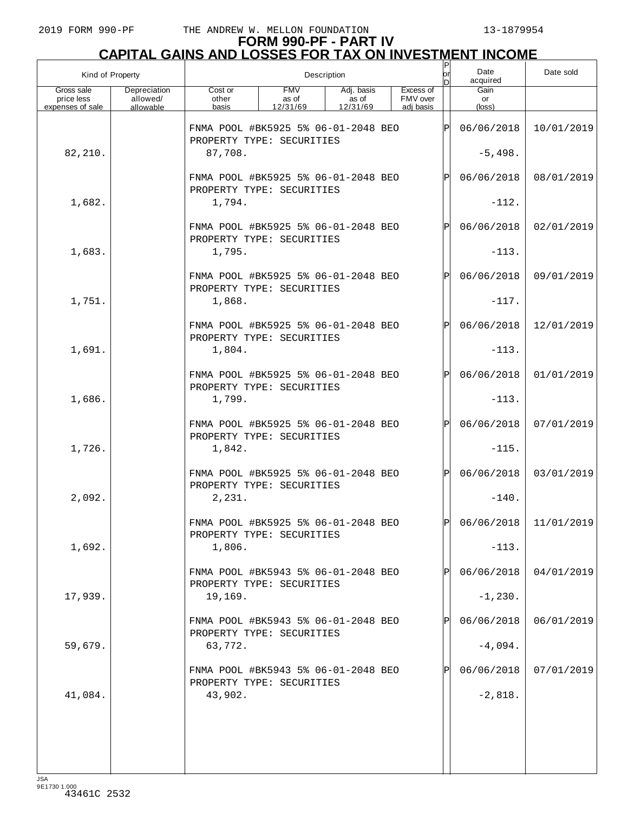| Kind of Property                             |                                       |                                                                  | Description                     |                                 |  |                                    |              |                      | Date sold                 |
|----------------------------------------------|---------------------------------------|------------------------------------------------------------------|---------------------------------|---------------------------------|--|------------------------------------|--------------|----------------------|---------------------------|
| Gross sale<br>price less<br>expenses of sale | Depreciation<br>allowed/<br>allowable | Cost or<br>other<br>basis                                        | <b>FMV</b><br>as of<br>12/31/69 | Adj. basis<br>as of<br>12/31/69 |  | Excess of<br>FMV over<br>adj basis |              | Gain<br>or<br>(loss) |                           |
|                                              |                                       | FNMA POOL #BK5925 5% 06-01-2048 BEO                              |                                 |                                 |  |                                    | ΙÞΙ          | 06/06/2018           | 10/01/2019                |
| 82,210.                                      |                                       | PROPERTY TYPE: SECURITIES<br>87,708.                             |                                 |                                 |  |                                    |              | $-5,498.$            |                           |
|                                              |                                       | FNMA POOL #BK5925 5% 06-01-2048 BEO<br>PROPERTY TYPE: SECURITIES |                                 |                                 |  |                                    | $\mathsf{P}$ | 06/06/2018           | 08/01/2019                |
| 1,682.                                       |                                       | 1,794.                                                           |                                 |                                 |  |                                    |              | $-112.$              |                           |
|                                              |                                       | FNMA POOL #BK5925 5% 06-01-2048 BEO<br>PROPERTY TYPE: SECURITIES |                                 |                                 |  |                                    | $\mathsf{P}$ | 06/06/2018           | 02/01/2019                |
| 1,683.                                       |                                       | 1,795.                                                           |                                 |                                 |  |                                    |              | $-113.$              |                           |
|                                              |                                       | FNMA POOL #BK5925 5% 06-01-2048 BEO<br>PROPERTY TYPE: SECURITIES |                                 |                                 |  |                                    | $\mathsf{P}$ | 06/06/2018           | 09/01/2019                |
| 1,751.                                       |                                       | 1,868.                                                           |                                 |                                 |  |                                    |              | $-117.$              |                           |
|                                              |                                       | FNMA POOL #BK5925 5% 06-01-2048 BEO<br>PROPERTY TYPE: SECURITIES |                                 |                                 |  |                                    | $\mathsf{P}$ | 06/06/2018           | 12/01/2019                |
| 1,691.                                       |                                       | 1,804.                                                           |                                 |                                 |  |                                    |              | $-113.$              |                           |
|                                              |                                       | FNMA POOL #BK5925 5% 06-01-2048 BEO<br>PROPERTY TYPE: SECURITIES |                                 |                                 |  |                                    | $\mathsf{P}$ | 06/06/2018           | 01/01/2019                |
| 1,686.                                       |                                       | 1,799.                                                           |                                 |                                 |  |                                    |              | $-113.$              |                           |
|                                              |                                       | FNMA POOL #BK5925 5% 06-01-2048 BEO<br>PROPERTY TYPE: SECURITIES |                                 |                                 |  |                                    | $\mathsf{P}$ | 06/06/2018           | 07/01/2019                |
| 1,726.                                       |                                       | 1,842.                                                           |                                 |                                 |  |                                    |              | $-115.$              |                           |
|                                              |                                       | FNMA POOL #BK5925 5% 06-01-2048 BEO<br>PROPERTY TYPE: SECURITIES |                                 |                                 |  |                                    | $\mathsf{P}$ | 06/06/2018           | 03/01/2019                |
| 2,092.                                       |                                       | 2,231.                                                           |                                 |                                 |  |                                    |              | $-140.$              |                           |
|                                              |                                       | FNMA POOL #BK5925 5% 06-01-2048 BEO<br>PROPERTY TYPE: SECURITIES |                                 |                                 |  |                                    | D            |                      | $06/06/2018$   11/01/2019 |
| 1,692.                                       |                                       | 1,806.                                                           |                                 |                                 |  |                                    |              | $-113.$              |                           |
|                                              |                                       | FNMA POOL #BK5943 5% 06-01-2048 BEO<br>PROPERTY TYPE: SECURITIES |                                 |                                 |  |                                    |              | 06/06/2018           | 04/01/2019                |
| 17,939.                                      |                                       | 19,169.                                                          |                                 |                                 |  |                                    |              | $-1, 230.$           |                           |
|                                              |                                       | FNMA POOL #BK5943 5% 06-01-2048 BEO<br>PROPERTY TYPE: SECURITIES |                                 |                                 |  |                                    |              | 06/06/2018           | 06/01/2019                |
| 59,679.                                      |                                       | 63,772.                                                          |                                 |                                 |  |                                    |              | $-4,094.$            |                           |
|                                              |                                       | FNMA POOL #BK5943 5% 06-01-2048 BEO<br>PROPERTY TYPE: SECURITIES |                                 |                                 |  |                                    |              | 06/06/2018           | 07/01/2019                |
| 41,084.                                      |                                       | 43,902.                                                          |                                 |                                 |  |                                    |              | $-2,818.$            |                           |
|                                              |                                       |                                                                  |                                 |                                 |  |                                    |              |                      |                           |
|                                              |                                       |                                                                  |                                 |                                 |  |                                    |              |                      |                           |
|                                              |                                       |                                                                  |                                 |                                 |  |                                    |              |                      |                           |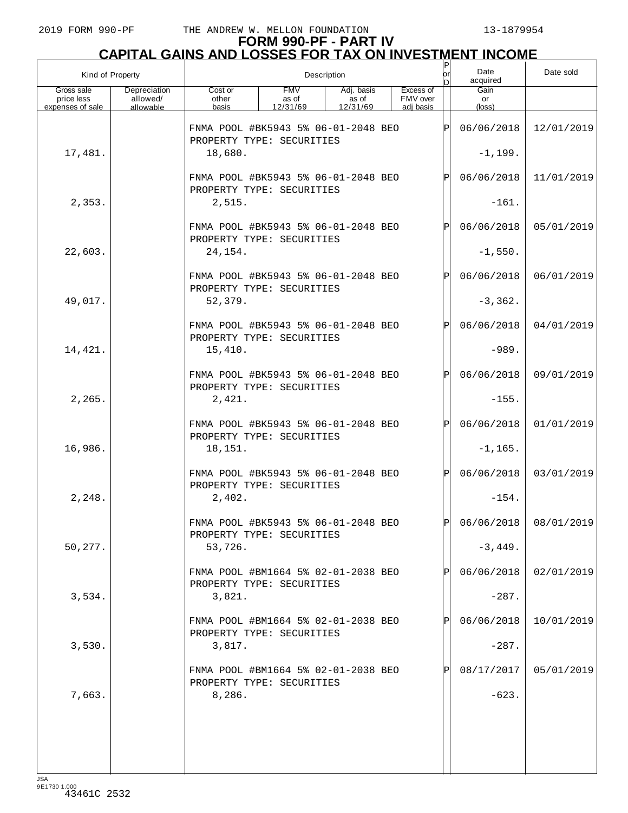| Kind of Property                             |                                       | Description                                                      |                                 |                                 |                                    |              | Date<br>acquired     | Date sold               |
|----------------------------------------------|---------------------------------------|------------------------------------------------------------------|---------------------------------|---------------------------------|------------------------------------|--------------|----------------------|-------------------------|
| Gross sale<br>price less<br>expenses of sale | Depreciation<br>allowed/<br>allowable | Cost or<br>other<br>basis                                        | <b>FMV</b><br>as of<br>12/31/69 | Adj. basis<br>as of<br>12/31/69 | Excess of<br>FMV over<br>adj basis |              | Gain<br>or<br>(loss) |                         |
|                                              |                                       | FNMA POOL #BK5943 5% 06-01-2048 BEO                              |                                 |                                 |                                    | ΙPΙ          | 06/06/2018           | 12/01/2019              |
| 17,481.                                      |                                       | PROPERTY TYPE: SECURITIES<br>18,680.                             |                                 |                                 |                                    |              | $-1, 199.$           |                         |
|                                              |                                       | FNMA POOL #BK5943 5% 06-01-2048 BEO                              |                                 |                                 |                                    | $\mathbf{P}$ | 06/06/2018           | 11/01/2019              |
| 2,353.                                       |                                       | PROPERTY TYPE: SECURITIES<br>2,515.                              |                                 |                                 |                                    |              | $-161.$              |                         |
|                                              |                                       | FNMA POOL #BK5943 5% 06-01-2048 BEO<br>PROPERTY TYPE: SECURITIES |                                 |                                 |                                    |              | 06/06/2018           | 05/01/2019              |
| 22,603.                                      |                                       | 24, 154.                                                         |                                 |                                 |                                    |              | $-1,550.$            |                         |
|                                              |                                       | FNMA POOL #BK5943 5% 06-01-2048 BEO<br>PROPERTY TYPE: SECURITIES |                                 |                                 |                                    | $\mathbf{P}$ | 06/06/2018           | 06/01/2019              |
| 49,017.                                      |                                       | 52,379.                                                          |                                 |                                 |                                    |              | $-3,362.$            |                         |
|                                              |                                       | FNMA POOL #BK5943 5% 06-01-2048 BEO<br>PROPERTY TYPE: SECURITIES |                                 |                                 |                                    | $\mathbf{P}$ | 06/06/2018           | 04/01/2019              |
| 14,421.                                      |                                       | 15,410.                                                          |                                 |                                 |                                    |              | $-989.$              |                         |
|                                              |                                       | FNMA POOL #BK5943 5% 06-01-2048 BEO<br>PROPERTY TYPE: SECURITIES |                                 |                                 |                                    | $\mathbf{P}$ | 06/06/2018           | 09/01/2019              |
| 2,265.                                       |                                       | 2,421.                                                           |                                 |                                 |                                    |              | $-155.$              |                         |
|                                              |                                       | FNMA POOL #BK5943 5% 06-01-2048 BEO<br>PROPERTY TYPE: SECURITIES |                                 |                                 |                                    | $\mathsf{P}$ | 06/06/2018           | 01/01/2019              |
| 16,986.                                      |                                       | 18,151.                                                          |                                 |                                 |                                    |              | $-1, 165.$           |                         |
|                                              |                                       | FNMA POOL #BK5943 5% 06-01-2048 BEO<br>PROPERTY TYPE: SECURITIES |                                 |                                 |                                    | $\mathbf{P}$ | 06/06/2018           | 03/01/2019              |
| 2,248.                                       |                                       | 2,402.                                                           |                                 |                                 |                                    |              | $-154.$              |                         |
|                                              |                                       | FNMA POOL #BK5943 5% 06-01-2048 BEO<br>PROPERTY TYPE: SECURITIES |                                 |                                 |                                    | D            |                      | $06/06/2018$ 08/01/2019 |
| 50,277.                                      |                                       | 53,726.                                                          |                                 |                                 |                                    |              | $-3,449.$            |                         |
|                                              |                                       | FNMA POOL #BM1664 5% 02-01-2038 BEO<br>PROPERTY TYPE: SECURITIES |                                 |                                 |                                    |              | 06/06/2018           | 02/01/2019              |
| 3,534.                                       |                                       | 3,821.                                                           |                                 |                                 |                                    |              | $-287.$              |                         |
|                                              |                                       | FNMA POOL #BM1664 5% 02-01-2038 BEO<br>PROPERTY TYPE: SECURITIES |                                 |                                 |                                    |              | 06/06/2018           | 10/01/2019              |
| 3,530.                                       |                                       | 3,817.                                                           |                                 |                                 |                                    |              | $-287.$              |                         |
|                                              |                                       | FNMA POOL #BM1664 5% 02-01-2038 BEO<br>PROPERTY TYPE: SECURITIES |                                 |                                 |                                    |              | 08/17/2017           | 05/01/2019              |
| 7,663.                                       |                                       | 8,286.                                                           |                                 |                                 |                                    |              | $-623.$              |                         |
|                                              |                                       |                                                                  |                                 |                                 |                                    |              |                      |                         |
|                                              |                                       |                                                                  |                                 |                                 |                                    |              |                      |                         |
|                                              |                                       |                                                                  |                                 |                                 |                                    |              |                      |                         |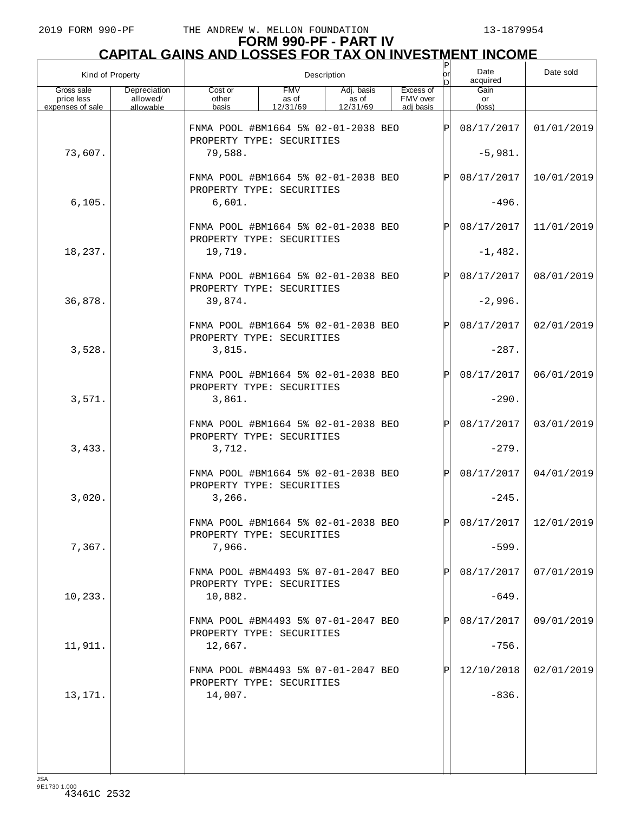|                                              | Kind of Property                      |                                                                  | Description                     | or<br>nl                        | Date<br>acquired                   | Date sold    |                       |                         |
|----------------------------------------------|---------------------------------------|------------------------------------------------------------------|---------------------------------|---------------------------------|------------------------------------|--------------|-----------------------|-------------------------|
| Gross sale<br>price less<br>expenses of sale | Depreciation<br>allowed/<br>allowable | Cost or<br>other<br>basis                                        | <b>FMV</b><br>as of<br>12/31/69 | Adj. basis<br>as of<br>12/31/69 | Excess of<br>FMV over<br>adj basis |              | Gain<br>or<br>(loss)  |                         |
|                                              |                                       | FNMA POOL #BM1664 5% 02-01-2038 BEO                              |                                 |                                 |                                    | ΙÞΙ          | 08/17/2017            | 01/01/2019              |
| 73,607.                                      |                                       | PROPERTY TYPE: SECURITIES<br>79,588.                             |                                 |                                 |                                    |              | $-5,981.$             |                         |
|                                              |                                       | FNMA POOL #BM1664 5% 02-01-2038 BEO<br>PROPERTY TYPE: SECURITIES |                                 |                                 |                                    | $\mathsf{P}$ | 08/17/2017            | 10/01/2019              |
| 6, 105.                                      |                                       | 6,601.                                                           |                                 |                                 |                                    |              | $-496.$               |                         |
|                                              |                                       | FNMA POOL #BM1664 5% 02-01-2038 BEO<br>PROPERTY TYPE: SECURITIES |                                 |                                 |                                    | $\mathsf{P}$ | 08/17/2017            | 11/01/2019              |
| 18,237.                                      |                                       | 19,719.                                                          |                                 |                                 |                                    |              | $-1,482.$             |                         |
|                                              |                                       | FNMA POOL #BM1664 5% 02-01-2038 BEO<br>PROPERTY TYPE: SECURITIES |                                 |                                 |                                    | $\mathsf{P}$ | 08/17/2017            | 08/01/2019              |
| 36,878.                                      |                                       | 39,874.                                                          |                                 |                                 |                                    |              | $-2,996.$             |                         |
|                                              |                                       | FNMA POOL #BM1664 5% 02-01-2038 BEO<br>PROPERTY TYPE: SECURITIES |                                 |                                 |                                    | $\mathsf{P}$ | 08/17/2017            | 02/01/2019              |
| 3,528.                                       |                                       | 3,815.                                                           |                                 |                                 |                                    |              | $-287.$               |                         |
|                                              |                                       | FNMA POOL #BM1664 5% 02-01-2038 BEO<br>PROPERTY TYPE: SECURITIES |                                 |                                 |                                    | $\mathsf{P}$ | 08/17/2017            | 06/01/2019              |
| 3,571.                                       |                                       | 3,861.                                                           |                                 |                                 |                                    |              | $-290.$               |                         |
|                                              |                                       | FNMA POOL #BM1664 5% 02-01-2038 BEO<br>PROPERTY TYPE: SECURITIES |                                 |                                 |                                    | $\mathsf{P}$ | 08/17/2017            | 03/01/2019              |
| 3,433.                                       |                                       | 3,712.<br>FNMA POOL #BM1664 5% 02-01-2038 BEO                    |                                 |                                 |                                    | $\mathsf{P}$ | $-279.$<br>08/17/2017 | 04/01/2019              |
| 3,020.                                       |                                       | PROPERTY TYPE: SECURITIES<br>3,266.                              |                                 |                                 |                                    |              | $-245.$               |                         |
|                                              |                                       | FNMA POOL #BM1664 5% 02-01-2038 BEO                              |                                 |                                 |                                    | D            |                       | 08/17/2017   12/01/2019 |
| 7,367.                                       |                                       | PROPERTY TYPE: SECURITIES<br>7,966.                              |                                 |                                 |                                    |              | $-599.$               |                         |
|                                              |                                       | FNMA POOL #BM4493 5% 07-01-2047 BEO                              |                                 |                                 |                                    |              | 08/17/2017            | 07/01/2019              |
| 10,233.                                      |                                       | PROPERTY TYPE: SECURITIES<br>10,882.                             |                                 |                                 |                                    |              | $-649.$               |                         |
|                                              |                                       | FNMA POOL #BM4493 5% 07-01-2047 BEO                              |                                 |                                 |                                    |              | 08/17/2017            | 09/01/2019              |
| 11,911.                                      |                                       | PROPERTY TYPE: SECURITIES<br>12,667.                             |                                 |                                 |                                    |              | $-756.$               |                         |
|                                              |                                       | FNMA POOL #BM4493 5% 07-01-2047 BEO                              |                                 |                                 |                                    |              | 12/10/2018            | 02/01/2019              |
| 13,171.                                      |                                       | PROPERTY TYPE: SECURITIES<br>14,007.                             |                                 |                                 |                                    |              | $-836.$               |                         |
|                                              |                                       |                                                                  |                                 |                                 |                                    |              |                       |                         |
|                                              |                                       |                                                                  |                                 |                                 |                                    |              |                       |                         |
|                                              |                                       |                                                                  |                                 |                                 |                                    |              |                       |                         |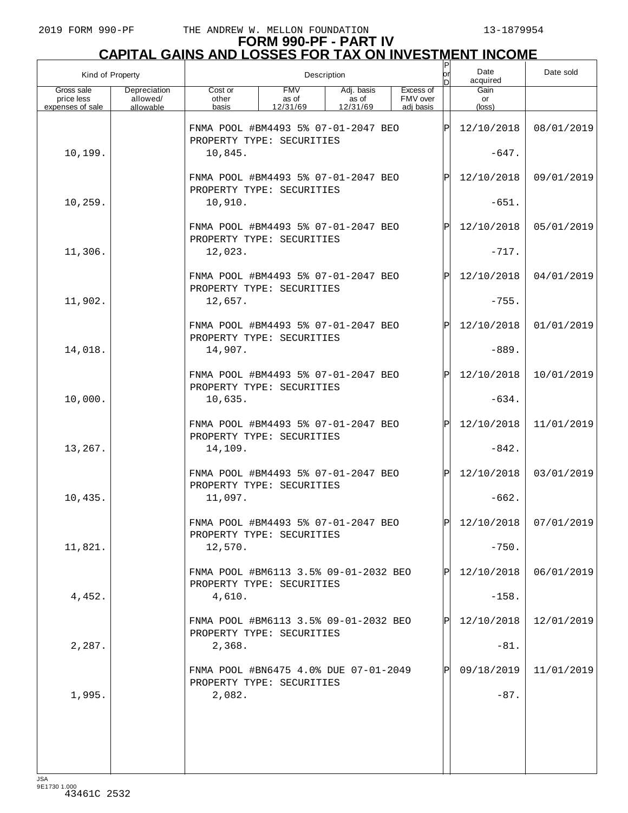|                                              | Kind of Property                      |                                                                             | Description                     | P<br> or<br>ы                   | Date<br>acquired                   | Date sold    |                       |                         |
|----------------------------------------------|---------------------------------------|-----------------------------------------------------------------------------|---------------------------------|---------------------------------|------------------------------------|--------------|-----------------------|-------------------------|
| Gross sale<br>price less<br>expenses of sale | Depreciation<br>allowed/<br>allowable | Cost or<br>other<br>basis                                                   | <b>FMV</b><br>as of<br>12/31/69 | Adj. basis<br>as of<br>12/31/69 | Excess of<br>FMV over<br>adj basis |              | Gain<br>or<br>(loss)  |                         |
|                                              |                                       | FNMA POOL #BM4493 5% 07-01-2047 BEO<br>PROPERTY TYPE: SECURITIES            |                                 |                                 |                                    | ΙÞΙ          | 12/10/2018            | 08/01/2019              |
| 10,199.                                      |                                       | 10,845.                                                                     |                                 |                                 |                                    |              | $-647.$               |                         |
|                                              |                                       | FNMA POOL #BM4493 5% 07-01-2047 BEO<br>PROPERTY TYPE: SECURITIES            |                                 |                                 |                                    | Þl           | 12/10/2018            | 09/01/2019              |
| 10,259.                                      |                                       | 10,910.                                                                     |                                 |                                 |                                    |              | $-651.$               |                         |
|                                              |                                       | FNMA POOL #BM4493 5% 07-01-2047 BEO<br>PROPERTY TYPE: SECURITIES            |                                 |                                 |                                    | $\mathsf{P}$ | 12/10/2018            | 05/01/2019              |
| 11,306.                                      |                                       | 12,023.                                                                     |                                 |                                 |                                    |              | $-717.$               |                         |
|                                              |                                       | FNMA POOL #BM4493 5% 07-01-2047 BEO<br>PROPERTY TYPE: SECURITIES            |                                 |                                 |                                    | $\mathsf{P}$ | 12/10/2018            | 04/01/2019              |
| 11,902.                                      |                                       | 12,657.                                                                     |                                 |                                 |                                    |              | $-755.$               |                         |
|                                              |                                       | FNMA POOL #BM4493 5% 07-01-2047 BEO<br>PROPERTY TYPE: SECURITIES            |                                 |                                 |                                    | $\mathsf{P}$ | 12/10/2018            | 01/01/2019              |
| 14,018.                                      |                                       | 14,907.                                                                     |                                 |                                 |                                    |              | $-889.$               |                         |
|                                              |                                       | FNMA POOL #BM4493 5% 07-01-2047 BEO<br>PROPERTY TYPE: SECURITIES            |                                 |                                 |                                    | $\mathbf{P}$ | 12/10/2018            | 10/01/2019              |
| 10,000.                                      |                                       | 10,635.                                                                     |                                 |                                 |                                    |              | $-634.$               |                         |
|                                              |                                       | FNMA POOL #BM4493 5% 07-01-2047 BEO<br>PROPERTY TYPE: SECURITIES<br>14,109. |                                 |                                 |                                    | $\mathsf{P}$ | 12/10/2018<br>$-842.$ | 11/01/2019              |
| 13,267.                                      |                                       |                                                                             |                                 |                                 |                                    |              |                       |                         |
|                                              |                                       | FNMA POOL #BM4493 5% 07-01-2047 BEO<br>PROPERTY TYPE: SECURITIES<br>11,097. |                                 |                                 |                                    | Þl           | 12/10/2018<br>$-662.$ | 03/01/2019              |
| 10,435.                                      |                                       |                                                                             |                                 |                                 |                                    |              |                       |                         |
| 11,821.                                      |                                       | FNMA POOL #BM4493 5% 07-01-2047 BEO<br>PROPERTY TYPE: SECURITIES<br>12,570. |                                 |                                 |                                    | D            | $-750.$               | $12/10/2018$ 07/01/2019 |
|                                              |                                       | FNMA POOL #BM6113 3.5% 09-01-2032 BEO                                       |                                 |                                 |                                    | P            | 12/10/2018            | 06/01/2019              |
|                                              |                                       | PROPERTY TYPE: SECURITIES                                                   |                                 |                                 |                                    |              |                       |                         |
| 4,452.                                       |                                       | 4,610.                                                                      |                                 |                                 |                                    |              | $-158.$               |                         |
|                                              |                                       | FNMA POOL #BM6113 3.5% 09-01-2032 BEO<br>PROPERTY TYPE: SECURITIES          |                                 |                                 |                                    | P            | 12/10/2018            | 12/01/2019              |
| 2,287.                                       |                                       | 2,368.                                                                      |                                 |                                 |                                    |              | $-81.$                |                         |
|                                              |                                       | FNMA POOL #BN6475 4.0% DUE 07-01-2049<br>PROPERTY TYPE: SECURITIES          |                                 |                                 |                                    |              | 09/18/2019            | 11/01/2019              |
| 1,995.                                       |                                       | 2,082.                                                                      |                                 |                                 |                                    |              | $-87.$                |                         |
|                                              |                                       |                                                                             |                                 |                                 |                                    |              |                       |                         |
|                                              |                                       |                                                                             |                                 |                                 |                                    |              |                       |                         |
|                                              |                                       |                                                                             |                                 |                                 |                                    |              |                       |                         |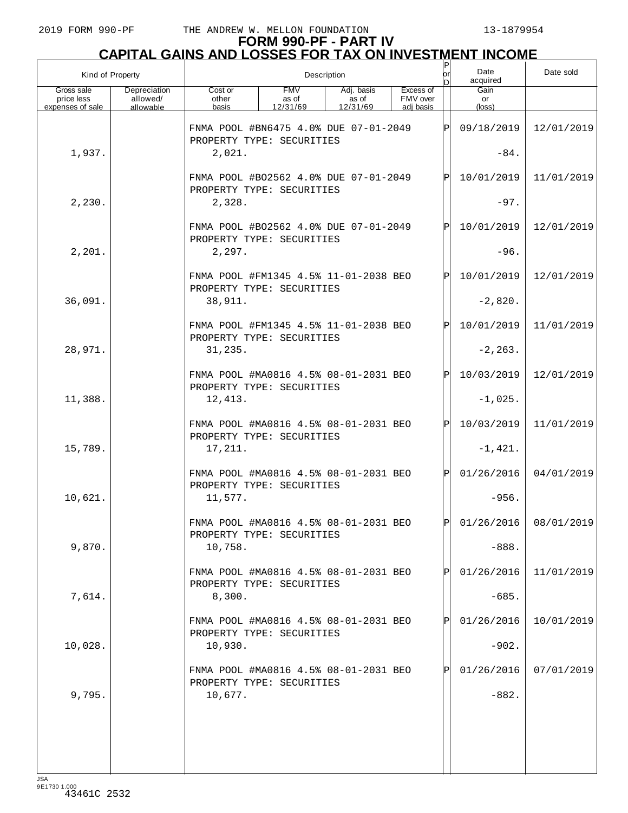# **FORM 990-PF - PART IV CAPITAL GAINS AND LOSSES FOR TAX ON INVESTMENT INCOME** P

| Kind of Property                             |                                       | lor<br>Description                                                 |                                 |                                 |                                    |              | Date<br>acquired              | Date sold               |
|----------------------------------------------|---------------------------------------|--------------------------------------------------------------------|---------------------------------|---------------------------------|------------------------------------|--------------|-------------------------------|-------------------------|
| Gross sale<br>price less<br>expenses of sale | Depreciation<br>allowed/<br>allowable | Cost or<br>other<br>basis                                          | <b>FMV</b><br>as of<br>12/31/69 | Adj. basis<br>as of<br>12/31/69 | Excess of<br>FMV over<br>adi basis |              | Gain<br>or<br>$(\text{loss})$ |                         |
|                                              |                                       | FNMA POOL #BN6475 4.0% DUE 07-01-2049<br>PROPERTY TYPE: SECURITIES |                                 |                                 |                                    | lÞl          | 09/18/2019                    | 12/01/2019              |
| 1,937.                                       |                                       | 2,021.                                                             |                                 |                                 |                                    |              | $-84.$                        |                         |
|                                              |                                       | FNMA POOL #BO2562 4.0% DUE 07-01-2049<br>PROPERTY TYPE: SECURITIES |                                 |                                 |                                    | $\mathsf{P}$ | 10/01/2019                    | 11/01/2019              |
| 2,230.                                       |                                       | 2,328.                                                             |                                 |                                 |                                    |              | $-97.$                        |                         |
|                                              |                                       | FNMA POOL #B02562 4.0% DUE 07-01-2049<br>PROPERTY TYPE: SECURITIES |                                 |                                 |                                    | Þl           | 10/01/2019                    | 12/01/2019              |
| 2,201.                                       |                                       | 2,297.                                                             |                                 |                                 |                                    |              | $-96.$                        |                         |
|                                              |                                       | FNMA POOL #FM1345 4.5% 11-01-2038 BEO<br>PROPERTY TYPE: SECURITIES |                                 |                                 |                                    | $\mathsf{P}$ | 10/01/2019                    | 12/01/2019              |
| 36,091.                                      |                                       | 38,911.                                                            |                                 |                                 |                                    |              | $-2,820.$                     |                         |
|                                              |                                       | FNMA POOL #FM1345 4.5% 11-01-2038 BEO<br>PROPERTY TYPE: SECURITIES |                                 |                                 |                                    | Þl           | 10/01/2019                    | 11/01/2019              |
| 28,971.                                      |                                       | 31, 235.                                                           |                                 |                                 |                                    |              | $-2, 263.$                    |                         |
|                                              |                                       | FNMA POOL #MA0816 4.5% 08-01-2031 BEO<br>PROPERTY TYPE: SECURITIES |                                 |                                 |                                    | Þl           | 10/03/2019                    | 12/01/2019              |
| 11,388.                                      |                                       | 12,413.                                                            |                                 |                                 |                                    |              | $-1,025.$                     |                         |
|                                              |                                       | FNMA POOL #MA0816 4.5% 08-01-2031 BEO<br>PROPERTY TYPE: SECURITIES |                                 |                                 |                                    | $\mathsf{P}$ | 10/03/2019                    | 11/01/2019              |
| 15,789.                                      |                                       | 17,211.                                                            |                                 |                                 |                                    |              | $-1,421.$                     |                         |
|                                              |                                       | FNMA POOL #MA0816 4.5% 08-01-2031 BEO<br>PROPERTY TYPE: SECURITIES |                                 |                                 |                                    | $\mathsf{P}$ | 01/26/2016                    | 04/01/2019              |
| 10,621.                                      |                                       | 11,577.                                                            |                                 |                                 |                                    |              | $-956.$                       |                         |
|                                              |                                       | FNMA POOL #MA0816 4.5% 08-01-2031 BEO<br>PROPERTY TYPE: SECURITIES |                                 |                                 |                                    | lÞI.         |                               | $01/26/2016$ 08/01/2019 |
| 9,870.                                       |                                       | 10,758.                                                            |                                 |                                 |                                    |              | $-888.$                       |                         |
|                                              |                                       | FNMA POOL #MA0816 4.5% 08-01-2031 BEO<br>PROPERTY TYPE: SECURITIES |                                 |                                 |                                    |              | 01/26/2016                    | 11/01/2019              |
| 7,614.                                       |                                       | 8,300.                                                             |                                 |                                 |                                    |              | $-685.$                       |                         |
|                                              |                                       | FNMA POOL #MA0816 4.5% 08-01-2031 BEO<br>PROPERTY TYPE: SECURITIES |                                 |                                 |                                    |              | 01/26/2016                    | 10/01/2019              |
| 10,028.                                      |                                       | 10,930.                                                            |                                 |                                 |                                    |              | $-902.$                       |                         |
|                                              |                                       | FNMA POOL #MA0816 4.5% 08-01-2031 BEO<br>PROPERTY TYPE: SECURITIES |                                 |                                 |                                    |              | 01/26/2016                    | 07/01/2019              |
| 9,795.                                       |                                       | 10,677.                                                            |                                 |                                 |                                    |              | $-882.$                       |                         |
|                                              |                                       |                                                                    |                                 |                                 |                                    |              |                               |                         |
|                                              |                                       |                                                                    |                                 |                                 |                                    |              |                               |                         |
|                                              |                                       |                                                                    |                                 |                                 |                                    |              |                               |                         |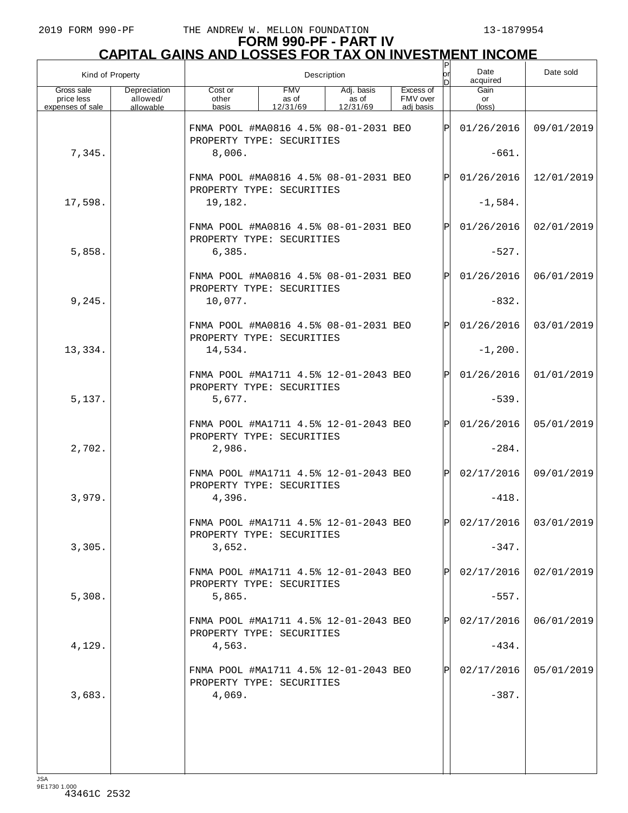| Kind of Property                             |                                       |                                                                                                                                       | Description | P<br>or<br>n | Date<br>acquired | Date sold |                       |                         |
|----------------------------------------------|---------------------------------------|---------------------------------------------------------------------------------------------------------------------------------------|-------------|--------------|------------------|-----------|-----------------------|-------------------------|
| Gross sale<br>price less<br>expenses of sale | Depreciation<br>allowed/<br>allowable | <b>FMV</b><br>Excess of<br>Cost or<br>Adj. basis<br>FMV over<br>as of<br>other<br>as of<br>12/31/69<br>basis<br>12/31/69<br>adj basis |             |              |                  |           | Gain<br>or<br>(loss)  |                         |
|                                              |                                       | FNMA POOL #MA0816 4.5% 08-01-2031 BEO<br>PROPERTY TYPE: SECURITIES                                                                    |             |              |                  | lÞI       | 01/26/2016            | 09/01/2019              |
| 7,345.                                       |                                       | 8,006.                                                                                                                                |             |              |                  |           | $-661.$               |                         |
|                                              |                                       | FNMA POOL #MA0816 4.5% 08-01-2031 BEO<br>PROPERTY TYPE: SECURITIES                                                                    |             |              |                  | lÞI       | 01/26/2016            | 12/01/2019              |
| 17,598.                                      |                                       | 19,182.                                                                                                                               |             |              |                  |           | $-1,584.$             |                         |
|                                              |                                       | FNMA POOL #MA0816 4.5% 08-01-2031 BEO<br>PROPERTY TYPE: SECURITIES                                                                    |             |              |                  | IPI       | 01/26/2016            | 02/01/2019              |
| 5,858.                                       |                                       | 6,385.                                                                                                                                |             |              |                  |           | $-527.$               |                         |
|                                              |                                       | FNMA POOL #MA0816 4.5% 08-01-2031 BEO<br>PROPERTY TYPE: SECURITIES                                                                    |             |              |                  | lÞI       | 01/26/2016            | 06/01/2019              |
| 9,245.                                       |                                       | 10,077.                                                                                                                               |             |              |                  |           | $-832.$               |                         |
|                                              |                                       | FNMA POOL #MA0816 4.5% 08-01-2031 BEO<br>PROPERTY TYPE: SECURITIES                                                                    |             |              |                  | lÞI       | 01/26/2016            | 03/01/2019              |
| 13,334.                                      |                                       | 14,534.                                                                                                                               |             |              |                  |           | $-1, 200.$            |                         |
|                                              |                                       | FNMA POOL #MA1711 4.5% 12-01-2043 BEO<br>PROPERTY TYPE: SECURITIES                                                                    |             |              |                  | lÞI       | 01/26/2016            | 01/01/2019              |
| 5,137.                                       |                                       | 5,677.                                                                                                                                |             |              |                  |           | $-539.$               |                         |
|                                              |                                       | FNMA POOL #MA1711 4.5% 12-01-2043 BEO<br>PROPERTY TYPE: SECURITIES                                                                    |             |              |                  | lÞI       | 01/26/2016            | 05/01/2019              |
| 2,702.                                       |                                       | 2,986.                                                                                                                                |             |              |                  |           | $-284.$               |                         |
|                                              |                                       | FNMA POOL #MA1711 4.5% 12-01-2043 BEO<br>PROPERTY TYPE: SECURITIES                                                                    |             |              |                  | Þl        | 02/17/2016            | 09/01/2019              |
| 3,979.                                       |                                       | 4,396.                                                                                                                                |             |              |                  |           | $-418.$               |                         |
|                                              |                                       | FNMA POOL #MA1711 4.5% 12-01-2043 BEO<br>PROPERTY TYPE: SECURITIES                                                                    |             |              |                  | IÞI       |                       | $02/17/2016$ 03/01/2019 |
| 3,305.                                       |                                       | 3,652.                                                                                                                                |             |              |                  |           | $-347.$               |                         |
| 5,308.                                       |                                       | FNMA POOL #MA1711 4.5% 12-01-2043 BEO<br>PROPERTY TYPE: SECURITIES                                                                    |             |              |                  | Þl        | 02/17/2016            | 02/01/2019              |
|                                              |                                       | 5,865.<br>FNMA POOL #MA1711 4.5% 12-01-2043 BEO                                                                                       |             |              |                  | Þl        | $-557.$<br>02/17/2016 | 06/01/2019              |
| 4,129.                                       |                                       | PROPERTY TYPE: SECURITIES<br>4,563.                                                                                                   |             |              |                  |           | $-434.$               |                         |
|                                              |                                       | FNMA POOL #MA1711 4.5% 12-01-2043 BEO                                                                                                 |             |              |                  | Þl        | 02/17/2016            | 05/01/2019              |
| 3,683.                                       |                                       | PROPERTY TYPE: SECURITIES<br>4,069.                                                                                                   |             |              |                  |           | $-387.$               |                         |
|                                              |                                       |                                                                                                                                       |             |              |                  |           |                       |                         |
|                                              |                                       |                                                                                                                                       |             |              |                  |           |                       |                         |
|                                              |                                       |                                                                                                                                       |             |              |                  |           |                       |                         |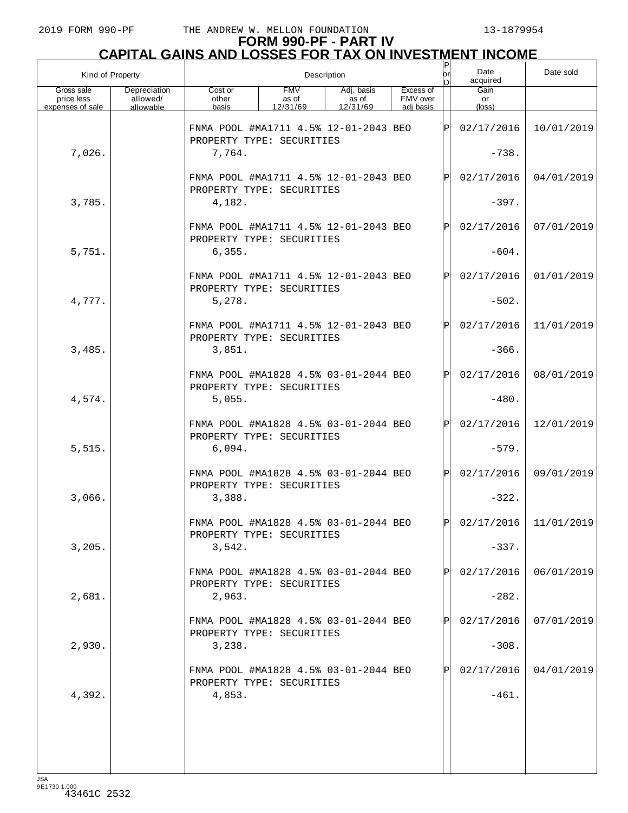| Kind of Property                             |                                       |                                                                                                                                       | Description | P<br>or<br>nl | Date<br>acquired | Date sold |                      |                         |
|----------------------------------------------|---------------------------------------|---------------------------------------------------------------------------------------------------------------------------------------|-------------|---------------|------------------|-----------|----------------------|-------------------------|
| Gross sale<br>price less<br>expenses of sale | Depreciation<br>allowed/<br>allowable | <b>FMV</b><br>Excess of<br>Cost or<br>Adj. basis<br>FMV over<br>other<br>as of<br>as of<br>12/31/69<br>basis<br>12/31/69<br>adj basis |             |               |                  |           | Gain<br>or<br>(loss) |                         |
|                                              |                                       | FNMA POOL #MA1711 4.5% 12-01-2043 BEO<br>PROPERTY TYPE: SECURITIES                                                                    |             |               |                  | lÞI       | 02/17/2016           | 10/01/2019              |
| 7,026.                                       |                                       | 7,764.                                                                                                                                |             |               |                  | $-738.$   |                      |                         |
|                                              |                                       | FNMA POOL #MA1711 4.5% 12-01-2043 BEO<br>PROPERTY TYPE: SECURITIES                                                                    |             |               |                  | lÞI       | 02/17/2016           | 04/01/2019              |
| 3,785.                                       |                                       | 4,182.                                                                                                                                |             |               |                  |           | $-397.$              |                         |
|                                              |                                       | FNMA POOL #MA1711 4.5% 12-01-2043 BEO<br>PROPERTY TYPE: SECURITIES                                                                    |             |               |                  | IPI       | 02/17/2016           | 07/01/2019              |
| 5,751.                                       |                                       | 6, 355.                                                                                                                               |             |               |                  |           | $-604.$              |                         |
|                                              |                                       | FNMA POOL #MA1711 4.5% 12-01-2043 BEO<br>PROPERTY TYPE: SECURITIES                                                                    |             |               |                  | lÞI       | 02/17/2016           | 01/01/2019              |
| 4,777.                                       |                                       | 5,278.                                                                                                                                |             |               |                  |           | $-502.$              |                         |
|                                              |                                       | FNMA POOL #MA1711 4.5% 12-01-2043 BEO<br>PROPERTY TYPE: SECURITIES                                                                    |             |               |                  | lÞI       | 02/17/2016           | 11/01/2019              |
| 3,485.                                       |                                       | 3,851.                                                                                                                                |             |               |                  |           | $-366.$              |                         |
|                                              |                                       | FNMA POOL #MA1828 4.5% 03-01-2044 BEO<br>PROPERTY TYPE: SECURITIES                                                                    |             |               |                  | lÞI       | 02/17/2016           | 08/01/2019              |
| 4,574.                                       |                                       | 5,055.                                                                                                                                |             |               |                  |           | $-480.$              |                         |
|                                              |                                       | FNMA POOL #MA1828 4.5% 03-01-2044 BEO<br>PROPERTY TYPE: SECURITIES                                                                    |             |               |                  | lÞI       | 02/17/2016           | 12/01/2019              |
| 5,515.                                       |                                       | 6,094.                                                                                                                                |             |               |                  |           | $-579.$              |                         |
|                                              |                                       | FNMA POOL #MA1828 4.5% 03-01-2044 BEO<br>PROPERTY TYPE: SECURITIES                                                                    |             |               |                  | lÞI       | 02/17/2016           | 09/01/2019              |
| 3,066.                                       |                                       | 3,388.                                                                                                                                |             |               |                  |           | $-322.$              |                         |
|                                              |                                       | FNMA POOL #MA1828 4.5% 03-01-2044 BEO<br>PROPERTY TYPE: SECURITIES                                                                    |             |               |                  | IÞI       |                      | $02/17/2016$ 11/01/2019 |
| 3,205.                                       |                                       | 3,542.                                                                                                                                |             |               |                  |           | $-337.$              |                         |
|                                              |                                       | FNMA POOL #MA1828 4.5% 03-01-2044 BEO<br>PROPERTY TYPE: SECURITIES                                                                    |             |               |                  | Þl        | 02/17/2016           | 06/01/2019              |
| 2,681.                                       |                                       | 2,963.                                                                                                                                |             |               |                  |           | $-282.$              |                         |
|                                              |                                       | FNMA POOL #MA1828 4.5% 03-01-2044 BEO<br>PROPERTY TYPE: SECURITIES                                                                    |             |               |                  | Þl        | 02/17/2016           | 07/01/2019              |
| 2,930.                                       |                                       | 3,238.                                                                                                                                |             |               |                  |           | $-308.$              |                         |
|                                              |                                       | FNMA POOL #MA1828 4.5% 03-01-2044 BEO<br>PROPERTY TYPE: SECURITIES                                                                    |             |               |                  | Þl        | 02/17/2016           | 04/01/2019              |
| 4,392.                                       |                                       | 4,853.                                                                                                                                |             |               |                  |           | $-461.$              |                         |
|                                              |                                       |                                                                                                                                       |             |               |                  |           |                      |                         |
|                                              |                                       |                                                                                                                                       |             |               |                  |           |                      |                         |
|                                              |                                       |                                                                                                                                       |             |               |                  |           |                      |                         |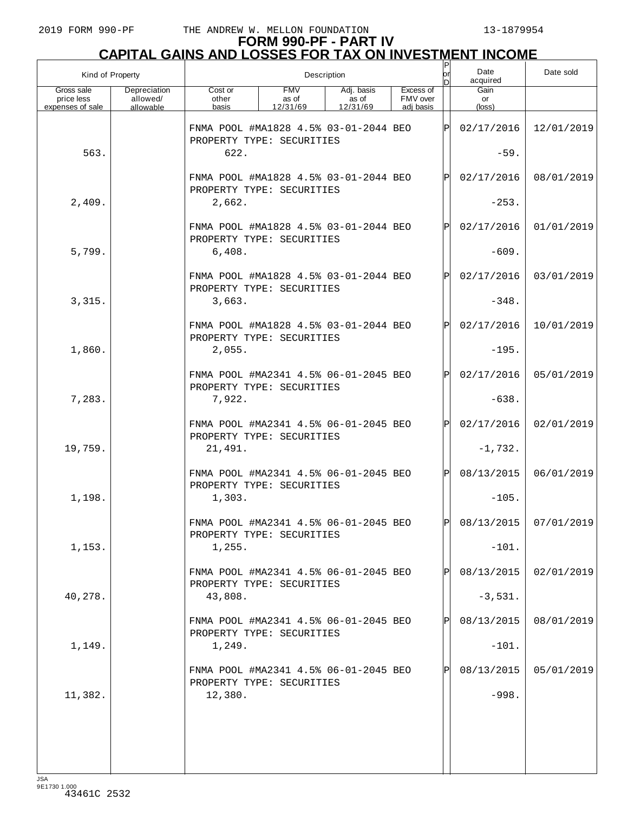|                                              | Kind of Property                      | Description                                                        |                                 |                                 |                                    |              | Date<br>acquired              | Date sold             |
|----------------------------------------------|---------------------------------------|--------------------------------------------------------------------|---------------------------------|---------------------------------|------------------------------------|--------------|-------------------------------|-----------------------|
| Gross sale<br>price less<br>expenses of sale | Depreciation<br>allowed/<br>allowable | Cost or<br>other<br>basis                                          | <b>FMV</b><br>as of<br>12/31/69 | Adj. basis<br>as of<br>12/31/69 | Excess of<br>FMV over<br>adi basis |              | Gain<br>or<br>$(\text{loss})$ |                       |
|                                              |                                       | FNMA POOL #MA1828 4.5% 03-01-2044 BEO<br>PROPERTY TYPE: SECURITIES |                                 |                                 |                                    | Þl           | 02/17/2016                    | 12/01/2019            |
| 563.                                         |                                       | 622.                                                               |                                 |                                 |                                    |              | $-59.$                        |                       |
|                                              |                                       | FNMA POOL #MA1828 4.5% 03-01-2044 BEO<br>PROPERTY TYPE: SECURITIES |                                 |                                 |                                    | $\mathsf{P}$ | 02/17/2016                    | 08/01/2019            |
| 2,409.                                       |                                       | 2,662.                                                             |                                 |                                 |                                    |              | $-253.$                       |                       |
|                                              |                                       | FNMA POOL #MA1828 4.5% 03-01-2044 BEO<br>PROPERTY TYPE: SECURITIES |                                 |                                 |                                    | $\mathsf{P}$ | 02/17/2016                    | 01/01/2019            |
| 5,799.                                       |                                       | 6,408.                                                             |                                 |                                 |                                    |              | $-609.$                       |                       |
|                                              |                                       | FNMA POOL #MA1828 4.5% 03-01-2044 BEO<br>PROPERTY TYPE: SECURITIES |                                 |                                 |                                    | $\mathsf{P}$ | 02/17/2016                    | 03/01/2019            |
| 3,315.                                       |                                       | 3,663.                                                             |                                 |                                 |                                    |              | $-348.$                       |                       |
|                                              |                                       | FNMA POOL #MA1828 4.5% 03-01-2044 BEO<br>PROPERTY TYPE: SECURITIES |                                 |                                 |                                    | $\mathsf{P}$ | 02/17/2016                    | 10/01/2019            |
| 1,860.                                       |                                       | 2,055.                                                             |                                 |                                 |                                    |              | $-195.$                       |                       |
|                                              |                                       | FNMA POOL #MA2341 4.5% 06-01-2045 BEO<br>PROPERTY TYPE: SECURITIES |                                 |                                 |                                    | Þl           | 02/17/2016                    | 05/01/2019            |
| 7,283.                                       |                                       | 7,922.                                                             |                                 |                                 |                                    |              | $-638.$                       |                       |
|                                              |                                       | FNMA POOL #MA2341 4.5% 06-01-2045 BEO<br>PROPERTY TYPE: SECURITIES |                                 |                                 |                                    | $\mathsf{P}$ | 02/17/2016                    | 02/01/2019            |
| 19,759.                                      |                                       | 21,491.                                                            |                                 |                                 |                                    |              | $-1,732.$                     |                       |
|                                              |                                       | FNMA POOL #MA2341 4.5% 06-01-2045 BEO<br>PROPERTY TYPE: SECURITIES |                                 |                                 |                                    | $\mathsf{P}$ | 08/13/2015                    | 06/01/2019            |
| 1,198.                                       |                                       | 1,303.                                                             |                                 |                                 |                                    |              | $-105.$                       |                       |
|                                              |                                       | FNMA POOL #MA2341 4.5% 06-01-2045 BEO<br>PROPERTY TYPE: SECURITIES |                                 |                                 |                                    | ÞI           |                               | 08/13/2015 07/01/2019 |
| 1,153.                                       |                                       | 1,255.                                                             |                                 |                                 |                                    |              | $-101.$                       |                       |
|                                              |                                       | FNMA POOL #MA2341 4.5% 06-01-2045 BEO<br>PROPERTY TYPE: SECURITIES |                                 |                                 |                                    |              | 08/13/2015                    | 02/01/2019            |
| 40,278.                                      |                                       | 43,808.                                                            |                                 |                                 |                                    |              | $-3,531.$                     |                       |
|                                              |                                       | FNMA POOL #MA2341 4.5% 06-01-2045 BEO<br>PROPERTY TYPE: SECURITIES |                                 |                                 |                                    |              | 08/13/2015                    | 08/01/2019            |
| 1,149.                                       |                                       | 1,249.                                                             |                                 |                                 |                                    |              | $-101.$                       |                       |
|                                              |                                       | FNMA POOL #MA2341 4.5% 06-01-2045 BEO<br>PROPERTY TYPE: SECURITIES |                                 |                                 |                                    |              | 08/13/2015                    | 05/01/2019            |
| 11,382.                                      |                                       | 12,380.                                                            |                                 |                                 |                                    |              | $-998.$                       |                       |
|                                              |                                       |                                                                    |                                 |                                 |                                    |              |                               |                       |
|                                              |                                       |                                                                    |                                 |                                 |                                    |              |                               |                       |
|                                              |                                       |                                                                    |                                 |                                 |                                    |              |                               |                       |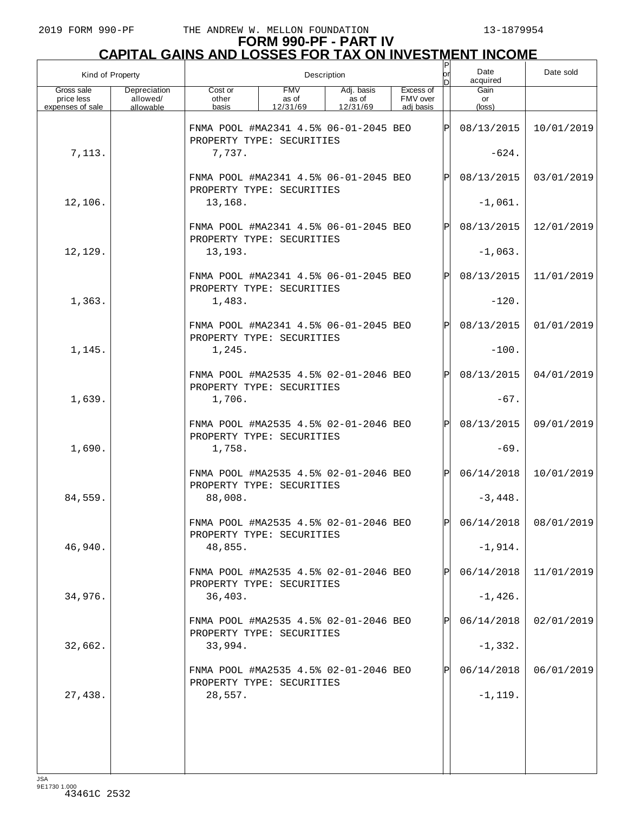|                                              | Kind of Property                      | Description<br> or                                                 |                                 |                                 |                                    |      | Date<br>acquired     | Date sold               |
|----------------------------------------------|---------------------------------------|--------------------------------------------------------------------|---------------------------------|---------------------------------|------------------------------------|------|----------------------|-------------------------|
| Gross sale<br>price less<br>expenses of sale | Depreciation<br>allowed/<br>allowable | Cost or<br>other<br>basis                                          | <b>FMV</b><br>as of<br>12/31/69 | Adj. basis<br>as of<br>12/31/69 | Excess of<br>FMV over<br>adj basis |      | Gain<br>or<br>(loss) |                         |
|                                              |                                       | FNMA POOL #MA2341 4.5% 06-01-2045 BEO<br>PROPERTY TYPE: SECURITIES |                                 |                                 |                                    | ΙPΙ  | 08/13/2015           | 10/01/2019              |
| 7,113.                                       |                                       | 7,737.                                                             |                                 |                                 |                                    |      | $-624.$              |                         |
|                                              |                                       | FNMA POOL #MA2341 4.5% 06-01-2045 BEO<br>PROPERTY TYPE: SECURITIES |                                 |                                 |                                    | Þl   | 08/13/2015           | 03/01/2019              |
| 12,106.                                      |                                       | 13,168.                                                            |                                 |                                 |                                    |      | $-1,061.$            |                         |
|                                              |                                       | FNMA POOL #MA2341 4.5% 06-01-2045 BEO<br>PROPERTY TYPE: SECURITIES |                                 |                                 |                                    | IPI  | 08/13/2015           | 12/01/2019              |
| 12,129.                                      |                                       | 13,193.                                                            |                                 |                                 |                                    |      | $-1,063.$            |                         |
|                                              |                                       | FNMA POOL #MA2341 4.5% 06-01-2045 BEO<br>PROPERTY TYPE: SECURITIES |                                 |                                 |                                    | Þl   | 08/13/2015           | 11/01/2019              |
| 1,363.                                       |                                       | 1,483.                                                             |                                 |                                 |                                    |      | $-120.$              |                         |
|                                              |                                       | FNMA POOL #MA2341 4.5% 06-01-2045 BEO<br>PROPERTY TYPE: SECURITIES |                                 |                                 |                                    | IPI  | 08/13/2015           | 01/01/2019              |
| 1,145.                                       |                                       | 1,245.                                                             |                                 |                                 |                                    |      | $-100.$              |                         |
|                                              |                                       | FNMA POOL #MA2535 4.5% 02-01-2046 BEO<br>PROPERTY TYPE: SECURITIES |                                 |                                 |                                    | Þl   | 08/13/2015           | 04/01/2019              |
| 1,639.                                       |                                       | 1,706.                                                             |                                 |                                 |                                    |      | $-67.$               |                         |
|                                              |                                       | FNMA POOL #MA2535 4.5% 02-01-2046 BEO<br>PROPERTY TYPE: SECURITIES |                                 |                                 |                                    | IPI  | 08/13/2015           | 09/01/2019              |
| 1,690.                                       |                                       | 1,758.                                                             |                                 |                                 |                                    |      | $-69.$               |                         |
|                                              |                                       | FNMA POOL #MA2535 4.5% 02-01-2046 BEO<br>PROPERTY TYPE: SECURITIES |                                 |                                 |                                    | IPI  | 06/14/2018           | 10/01/2019              |
| 84,559.                                      |                                       | 88,008.                                                            |                                 |                                 |                                    |      | $-3,448.$            |                         |
|                                              |                                       | FNMA POOL #MA2535 4.5% 02-01-2046 BEO<br>PROPERTY TYPE: SECURITIES |                                 |                                 |                                    | lÞI. |                      | $06/14/2018$ 08/01/2019 |
| 46,940.                                      |                                       | 48,855.                                                            |                                 |                                 |                                    |      | $-1,914.$            |                         |
|                                              |                                       | FNMA POOL #MA2535 4.5% 02-01-2046 BEO<br>PROPERTY TYPE: SECURITIES |                                 |                                 |                                    | Þl   | 06/14/2018           | 11/01/2019              |
| 34,976.                                      |                                       | 36,403.                                                            |                                 |                                 |                                    |      | $-1,426.$            |                         |
|                                              |                                       | FNMA POOL #MA2535 4.5% 02-01-2046 BEO<br>PROPERTY TYPE: SECURITIES |                                 |                                 |                                    | Þl   | 06/14/2018           | 02/01/2019              |
| 32,662.                                      |                                       | 33,994.                                                            |                                 |                                 |                                    |      | $-1,332.$            |                         |
|                                              |                                       | FNMA POOL #MA2535 4.5% 02-01-2046 BEO<br>PROPERTY TYPE: SECURITIES |                                 |                                 |                                    | Þl   | 06/14/2018           | 06/01/2019              |
| 27,438.                                      |                                       | 28,557.                                                            |                                 |                                 |                                    |      | $-1, 119.$           |                         |
|                                              |                                       |                                                                    |                                 |                                 |                                    |      |                      |                         |
|                                              |                                       |                                                                    |                                 |                                 |                                    |      |                      |                         |
|                                              |                                       |                                                                    |                                 |                                 |                                    |      |                      |                         |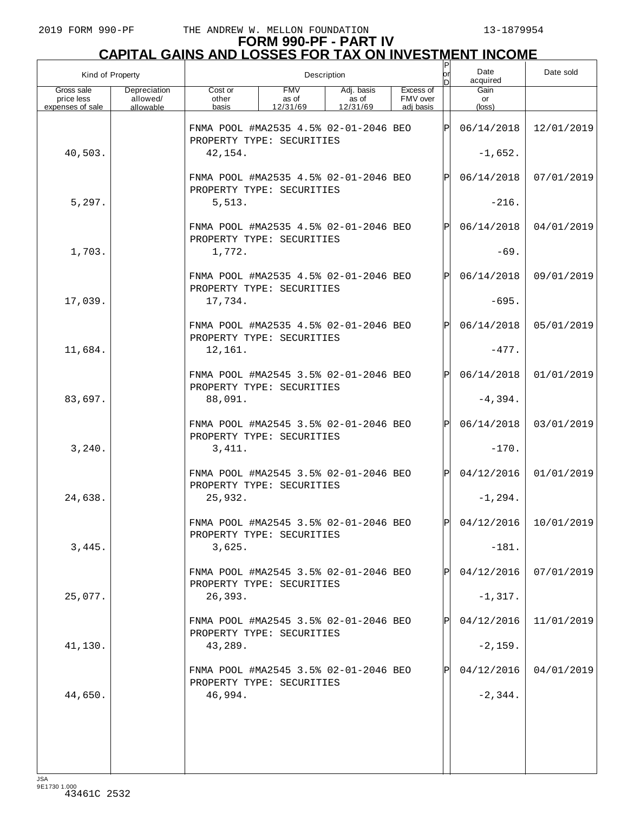| Kind of Property                             |                                       | Description                                                        |                                 |                                 |                                    |              | Date<br>acquired              | Date sold               |
|----------------------------------------------|---------------------------------------|--------------------------------------------------------------------|---------------------------------|---------------------------------|------------------------------------|--------------|-------------------------------|-------------------------|
| Gross sale<br>price less<br>expenses of sale | Depreciation<br>allowed/<br>allowable | Cost or<br>other<br>basis                                          | <b>FMV</b><br>as of<br>12/31/69 | Adj. basis<br>as of<br>12/31/69 | Excess of<br>FMV over<br>adi basis |              | Gain<br>or<br>$(\text{loss})$ |                         |
|                                              |                                       | FNMA POOL #MA2535 4.5% 02-01-2046 BEO<br>PROPERTY TYPE: SECURITIES |                                 |                                 |                                    | lÞl          | 06/14/2018                    | 12/01/2019              |
| 40,503.                                      |                                       | 42,154.                                                            |                                 |                                 |                                    |              | $-1,652.$                     |                         |
|                                              |                                       | FNMA POOL #MA2535 4.5% 02-01-2046 BEO<br>PROPERTY TYPE: SECURITIES |                                 |                                 |                                    | Þl           | 06/14/2018                    | 07/01/2019              |
| 5,297.                                       |                                       | 5,513.                                                             |                                 |                                 |                                    |              | $-216.$                       |                         |
|                                              |                                       | FNMA POOL #MA2535 4.5% 02-01-2046 BEO<br>PROPERTY TYPE: SECURITIES |                                 |                                 |                                    | $\mathsf{P}$ | 06/14/2018                    | 04/01/2019              |
| 1,703.                                       |                                       | 1,772.                                                             |                                 |                                 |                                    |              | $-69.$                        |                         |
|                                              |                                       | FNMA POOL #MA2535 4.5% 02-01-2046 BEO<br>PROPERTY TYPE: SECURITIES |                                 |                                 |                                    | $\mathsf{P}$ | 06/14/2018                    | 09/01/2019              |
| 17,039.                                      |                                       | 17,734.                                                            |                                 |                                 |                                    |              | $-695.$                       |                         |
|                                              |                                       | FNMA POOL #MA2535 4.5% 02-01-2046 BEO<br>PROPERTY TYPE: SECURITIES |                                 |                                 |                                    | $\mathsf{P}$ | 06/14/2018                    | 05/01/2019              |
| 11,684.                                      |                                       | 12,161.                                                            |                                 |                                 |                                    |              | $-477.$                       |                         |
|                                              |                                       | FNMA POOL #MA2545 3.5% 02-01-2046 BEO<br>PROPERTY TYPE: SECURITIES |                                 |                                 |                                    | Þl           | 06/14/2018                    | 01/01/2019              |
| 83,697.                                      |                                       | 88,091.                                                            |                                 |                                 |                                    |              | $-4,394.$                     |                         |
|                                              |                                       | FNMA POOL #MA2545 3.5% 02-01-2046 BEO<br>PROPERTY TYPE: SECURITIES |                                 |                                 |                                    | $\mathsf{P}$ | 06/14/2018                    | 03/01/2019              |
| 3,240.                                       |                                       | 3,411.                                                             |                                 |                                 |                                    |              | $-170.$                       |                         |
|                                              |                                       | FNMA POOL #MA2545 3.5% 02-01-2046 BEO<br>PROPERTY TYPE: SECURITIES |                                 |                                 |                                    | $\mathsf{P}$ | 04/12/2016                    | 01/01/2019              |
| 24,638.                                      |                                       | 25,932.                                                            |                                 |                                 |                                    |              | $-1, 294.$                    |                         |
|                                              |                                       | FNMA POOL #MA2545 3.5% 02-01-2046 BEO<br>PROPERTY TYPE: SECURITIES |                                 |                                 |                                    | lÞI.         |                               | $04/12/2016$ 10/01/2019 |
| 3,445.                                       |                                       | 3,625.                                                             |                                 |                                 |                                    |              | $-181.$                       |                         |
|                                              |                                       | FNMA POOL #MA2545 3.5% 02-01-2046 BEO<br>PROPERTY TYPE: SECURITIES |                                 |                                 |                                    |              | 04/12/2016                    | 07/01/2019              |
| 25,077.                                      |                                       | 26,393.                                                            |                                 |                                 |                                    |              | $-1, 317.$                    |                         |
|                                              |                                       | FNMA POOL #MA2545 3.5% 02-01-2046 BEO<br>PROPERTY TYPE: SECURITIES |                                 |                                 |                                    |              | 04/12/2016                    | 11/01/2019              |
| 41,130.                                      |                                       | 43,289.                                                            |                                 |                                 |                                    |              | $-2, 159.$                    |                         |
|                                              |                                       | FNMA POOL #MA2545 3.5% 02-01-2046 BEO<br>PROPERTY TYPE: SECURITIES |                                 |                                 |                                    |              | 04/12/2016                    | 04/01/2019              |
| 44,650.                                      |                                       | 46,994.                                                            |                                 |                                 |                                    |              | $-2, 344.$                    |                         |
|                                              |                                       |                                                                    |                                 |                                 |                                    |              |                               |                         |
|                                              |                                       |                                                                    |                                 |                                 |                                    |              |                               |                         |
|                                              |                                       |                                                                    |                                 |                                 |                                    |              |                               |                         |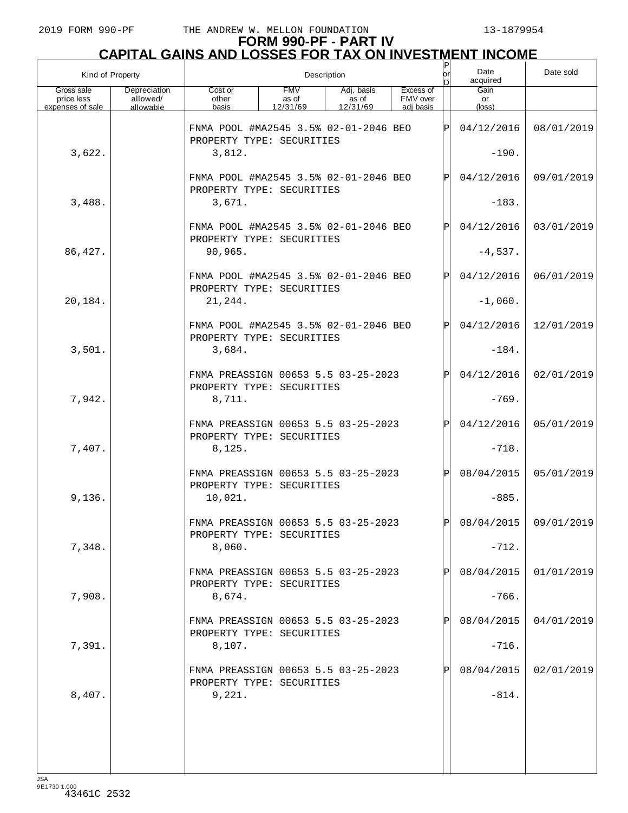| Kind of Property                             |                                       |                                                                    | Description                     | or<br>n                         | Date<br>acquired                   | Date sold |                      |                       |
|----------------------------------------------|---------------------------------------|--------------------------------------------------------------------|---------------------------------|---------------------------------|------------------------------------|-----------|----------------------|-----------------------|
| Gross sale<br>price less<br>expenses of sale | Depreciation<br>allowed/<br>allowable | Cost or<br>other<br>basis                                          | <b>FMV</b><br>as of<br>12/31/69 | Adj. basis<br>as of<br>12/31/69 | Excess of<br>FMV over<br>adi basis |           | Gain<br>or<br>(loss) |                       |
|                                              |                                       | FNMA POOL #MA2545 3.5% 02-01-2046 BEO<br>PROPERTY TYPE: SECURITIES |                                 |                                 |                                    | Þ         | 04/12/2016           | 08/01/2019            |
| 3,622.                                       |                                       | 3,812.                                                             |                                 |                                 |                                    |           | $-190.$              |                       |
|                                              |                                       | FNMA POOL #MA2545 3.5% 02-01-2046 BEO<br>PROPERTY TYPE: SECURITIES |                                 |                                 |                                    | P         | 04/12/2016           | 09/01/2019            |
| 3,488.                                       |                                       | 3,671.                                                             |                                 |                                 |                                    |           | $-183.$              |                       |
|                                              |                                       | FNMA POOL #MA2545 3.5% 02-01-2046 BEO<br>PROPERTY TYPE: SECURITIES |                                 |                                 |                                    | P         | 04/12/2016           | 03/01/2019            |
| 86, 427.                                     |                                       | 90,965.                                                            |                                 |                                 |                                    |           | $-4,537.$            |                       |
|                                              |                                       | FNMA POOL #MA2545 3.5% 02-01-2046 BEO<br>PROPERTY TYPE: SECURITIES |                                 |                                 |                                    | P         | 04/12/2016           | 06/01/2019            |
| 20,184.                                      |                                       | 21,244.                                                            |                                 |                                 |                                    |           | $-1,060.$            |                       |
|                                              |                                       | FNMA POOL #MA2545 3.5% 02-01-2046 BEO<br>PROPERTY TYPE: SECURITIES |                                 |                                 |                                    | P         | 04/12/2016           | 12/01/2019            |
| 3,501.                                       |                                       | 3,684.                                                             |                                 |                                 |                                    |           | $-184.$              |                       |
|                                              |                                       | FNMA PREASSIGN 00653 5.5 03-25-2023<br>PROPERTY TYPE: SECURITIES   |                                 |                                 |                                    | P         | 04/12/2016           | 02/01/2019            |
| 7,942.                                       |                                       | 8,711.                                                             |                                 |                                 |                                    |           | $-769.$              |                       |
|                                              |                                       | FNMA PREASSIGN 00653 5.5 03-25-2023<br>PROPERTY TYPE: SECURITIES   |                                 |                                 |                                    | P         | 04/12/2016           | 05/01/2019            |
| 7,407.                                       |                                       | 8,125.                                                             |                                 |                                 |                                    |           | $-718.$              |                       |
|                                              |                                       | FNMA PREASSIGN 00653 5.5 03-25-2023<br>PROPERTY TYPE: SECURITIES   |                                 |                                 |                                    | P         | 08/04/2015           | 05/01/2019            |
| 9,136.                                       |                                       | 10,021.                                                            |                                 |                                 |                                    |           | $-885.$              |                       |
|                                              |                                       | FNMA PREASSIGN 00653 5.5 03-25-2023<br>PROPERTY TYPE: SECURITIES   |                                 |                                 |                                    | Þl        |                      | 08/04/2015 09/01/2019 |
| 7,348.                                       |                                       | 8,060.                                                             |                                 |                                 |                                    |           | $-712.$              |                       |
|                                              |                                       | FNMA PREASSIGN 00653 5.5 03-25-2023<br>PROPERTY TYPE: SECURITIES   |                                 |                                 |                                    |           | 08/04/2015           | 01/01/2019            |
| 7,908.                                       |                                       | 8,674.                                                             |                                 |                                 |                                    |           | $-766.$              |                       |
|                                              |                                       | FNMA PREASSIGN 00653 5.5 03-25-2023<br>PROPERTY TYPE: SECURITIES   |                                 |                                 |                                    |           | 08/04/2015           | 04/01/2019            |
| 7,391.                                       |                                       | 8,107.                                                             |                                 |                                 |                                    |           | $-716.$              |                       |
|                                              |                                       | FNMA PREASSIGN 00653 5.5 03-25-2023<br>PROPERTY TYPE: SECURITIES   |                                 |                                 |                                    |           | 08/04/2015           | 02/01/2019            |
| 8,407.                                       |                                       | 9,221.                                                             |                                 |                                 |                                    |           | $-814.$              |                       |
|                                              |                                       |                                                                    |                                 |                                 |                                    |           |                      |                       |
|                                              |                                       |                                                                    |                                 |                                 |                                    |           |                      |                       |
|                                              |                                       |                                                                    |                                 |                                 |                                    |           |                      |                       |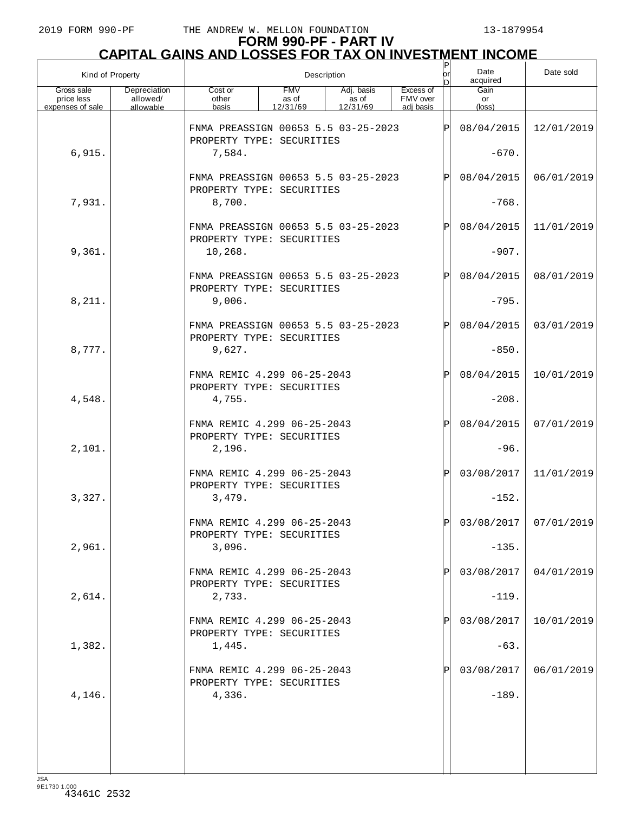| Kind of Property                             |                                       |                                                                  |                                 | Description                     |                                    | ΙP<br>lor<br>n | Date<br>acquired     | Date sold             |
|----------------------------------------------|---------------------------------------|------------------------------------------------------------------|---------------------------------|---------------------------------|------------------------------------|----------------|----------------------|-----------------------|
| Gross sale<br>price less<br>expenses of sale | Depreciation<br>allowed/<br>allowable | Cost or<br>other<br>basis                                        | <b>FMV</b><br>as of<br>12/31/69 | Adj. basis<br>as of<br>12/31/69 | Excess of<br>FMV over<br>adi basis |                | Gain<br>or<br>(loss) |                       |
|                                              |                                       | FNMA PREASSIGN 00653 5.5 03-25-2023<br>PROPERTY TYPE: SECURITIES |                                 |                                 |                                    | IPI            | 08/04/2015           | 12/01/2019            |
| 6,915.                                       |                                       | 7,584.                                                           |                                 |                                 |                                    |                | $-670.$              |                       |
|                                              |                                       | FNMA PREASSIGN 00653 5.5 03-25-2023<br>PROPERTY TYPE: SECURITIES |                                 |                                 |                                    | IPI            | 08/04/2015           | 06/01/2019            |
| 7,931.                                       |                                       | 8,700.                                                           |                                 |                                 |                                    |                | $-768.$              |                       |
|                                              |                                       | FNMA PREASSIGN 00653 5.5 03-25-2023<br>PROPERTY TYPE: SECURITIES |                                 |                                 |                                    | IPI            | 08/04/2015           | 11/01/2019            |
| 9,361.                                       |                                       | 10,268.                                                          |                                 |                                 |                                    |                | $-907.$              |                       |
|                                              |                                       | FNMA PREASSIGN 00653 5.5 03-25-2023<br>PROPERTY TYPE: SECURITIES |                                 |                                 |                                    | IPI            | 08/04/2015           | 08/01/2019            |
| 8,211.                                       |                                       | 9,006.                                                           |                                 |                                 |                                    |                | $-795.$              |                       |
|                                              |                                       | FNMA PREASSIGN 00653 5.5 03-25-2023<br>PROPERTY TYPE: SECURITIES |                                 |                                 |                                    | IPI            | 08/04/2015           | 03/01/2019            |
| 8,777.                                       |                                       | 9,627.                                                           |                                 |                                 |                                    |                | $-850.$              |                       |
|                                              |                                       | FNMA REMIC 4.299 06-25-2043<br>PROPERTY TYPE: SECURITIES         |                                 |                                 |                                    | ΙÞΙ            | 08/04/2015           | 10/01/2019            |
| 4,548.                                       |                                       | 4,755.                                                           |                                 |                                 |                                    |                | $-208.$              |                       |
|                                              |                                       | FNMA REMIC 4.299 06-25-2043<br>PROPERTY TYPE: SECURITIES         |                                 |                                 |                                    | ΙÞΙ            | 08/04/2015           | 07/01/2019            |
| 2,101.                                       |                                       | 2,196.                                                           |                                 |                                 |                                    |                | $-96.$               |                       |
|                                              |                                       | FNMA REMIC 4.299 06-25-2043<br>PROPERTY TYPE: SECURITIES         |                                 |                                 |                                    | Þl             | 03/08/2017           | 11/01/2019            |
| 3,327.                                       |                                       | 3,479.                                                           |                                 |                                 |                                    |                | $-152.$              |                       |
|                                              |                                       | FNMA REMIC 4.299 06-25-2043<br>PROPERTY TYPE: SECURITIES         |                                 |                                 |                                    | lÞI            |                      | 03/08/2017 07/01/2019 |
| 2,961.                                       |                                       | 3,096.                                                           |                                 |                                 |                                    |                | $-135.$              |                       |
|                                              |                                       | FNMA REMIC 4.299 06-25-2043<br>PROPERTY TYPE: SECURITIES         |                                 |                                 |                                    | Þl             | 03/08/2017           | 04/01/2019            |
| 2,614.                                       |                                       | 2,733.                                                           |                                 |                                 |                                    |                | $-119.$              |                       |
|                                              |                                       | FNMA REMIC 4.299 06-25-2043<br>PROPERTY TYPE: SECURITIES         |                                 |                                 |                                    | Þl             | 03/08/2017           | 10/01/2019            |
| 1,382.                                       |                                       | 1,445.                                                           |                                 |                                 |                                    |                | $-63.$               |                       |
|                                              |                                       | FNMA REMIC 4.299 06-25-2043<br>PROPERTY TYPE: SECURITIES         |                                 |                                 |                                    | Þl             | 03/08/2017           | 06/01/2019            |
| 4,146.                                       |                                       | 4,336.                                                           |                                 |                                 |                                    |                | $-189.$              |                       |
|                                              |                                       |                                                                  |                                 |                                 |                                    |                |                      |                       |
|                                              |                                       |                                                                  |                                 |                                 |                                    |                |                      |                       |
|                                              |                                       |                                                                  |                                 |                                 |                                    |                |                      |                       |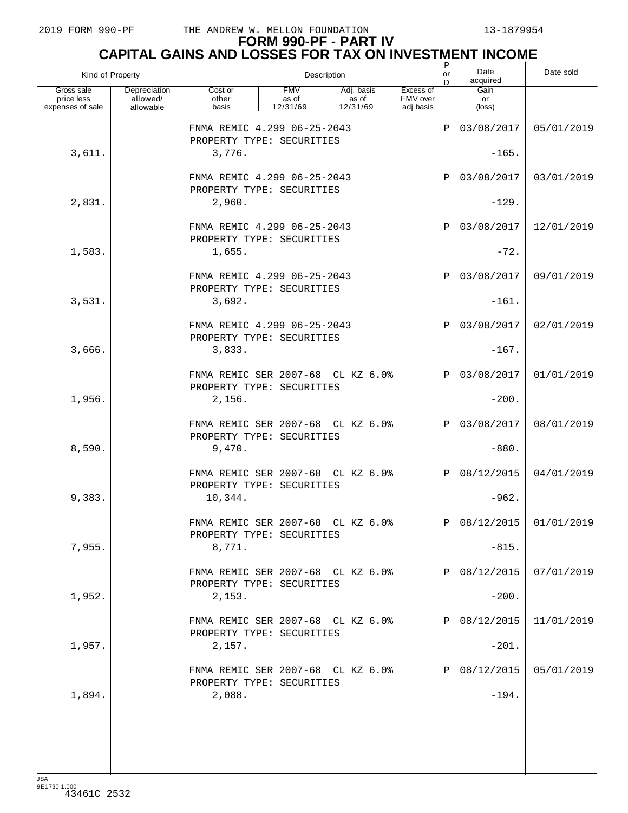| Kind of Property                             |                                       |                                                                                                                                       |  | Description |            | $\frac{P}{\rho r}$<br>ln. | Date<br>acquired              | Date sold               |
|----------------------------------------------|---------------------------------------|---------------------------------------------------------------------------------------------------------------------------------------|--|-------------|------------|---------------------------|-------------------------------|-------------------------|
| Gross sale<br>price less<br>expenses of sale | Depreciation<br>allowed/<br>allowable | <b>FMV</b><br>Excess of<br>Cost or<br>Adj. basis<br>FMV over<br>as of<br>as of<br>other<br>basis<br>12/31/69<br>12/31/69<br>adi basis |  |             |            |                           | Gain<br>or<br>$(\text{loss})$ |                         |
|                                              |                                       | FNMA REMIC 4.299 06-25-2043<br>PROPERTY TYPE: SECURITIES                                                                              |  |             |            | ΙP                        | 03/08/2017                    | 05/01/2019              |
| 3,611.                                       |                                       | 3,776.                                                                                                                                |  |             |            |                           | $-165.$                       |                         |
|                                              |                                       | FNMA REMIC 4.299 06-25-2043<br>PROPERTY TYPE: SECURITIES                                                                              |  | P           | 03/08/2017 | 03/01/2019                |                               |                         |
| 2,831.                                       |                                       | 2,960.                                                                                                                                |  |             |            |                           | $-129.$                       |                         |
|                                              |                                       | FNMA REMIC 4.299 06-25-2043<br>PROPERTY TYPE: SECURITIES                                                                              |  |             |            | P                         | 03/08/2017                    | 12/01/2019              |
| 1,583.                                       |                                       | 1,655.                                                                                                                                |  |             |            |                           | $-72.$                        |                         |
|                                              |                                       | FNMA REMIC 4.299 06-25-2043<br>PROPERTY TYPE: SECURITIES                                                                              |  |             |            | P                         | 03/08/2017                    | 09/01/2019              |
| 3,531.                                       |                                       | 3,692.                                                                                                                                |  |             |            |                           | $-161.$                       |                         |
|                                              |                                       | FNMA REMIC 4.299 06-25-2043<br>PROPERTY TYPE: SECURITIES                                                                              |  |             |            | P                         | 03/08/2017                    | 02/01/2019              |
| 3,666.                                       |                                       | 3,833.                                                                                                                                |  |             |            |                           | $-167.$                       |                         |
|                                              |                                       | FNMA REMIC SER 2007-68 CL KZ 6.0%<br>PROPERTY TYPE: SECURITIES                                                                        |  |             |            | ΙP                        | 03/08/2017                    | 01/01/2019              |
| 1,956.                                       |                                       | 2,156.                                                                                                                                |  |             |            |                           | $-200.$                       |                         |
|                                              |                                       | FNMA REMIC SER 2007-68 CL KZ 6.0%<br>PROPERTY TYPE: SECURITIES                                                                        |  |             |            | ΙP                        | 03/08/2017                    | 08/01/2019              |
| 8,590.                                       |                                       | 9,470.                                                                                                                                |  |             |            |                           | $-880.$                       |                         |
|                                              |                                       | FNMA REMIC SER 2007-68 CL KZ 6.0%<br>PROPERTY TYPE: SECURITIES                                                                        |  |             |            | P                         | 08/12/2015                    | 04/01/2019              |
| 9,383.                                       |                                       | 10,344.                                                                                                                               |  |             |            |                           | $-962.$                       |                         |
|                                              |                                       | FNMA REMIC SER 2007-68 CL KZ 6.0%<br>PROPERTY TYPE: SECURITIES                                                                        |  |             |            | lÞl                       |                               | $08/12/2015$ 01/01/2019 |
| 7,955.                                       |                                       | 8,771.                                                                                                                                |  |             |            |                           | $-815.$                       |                         |
|                                              |                                       | FNMA REMIC SER 2007-68 CL KZ 6.0%<br>PROPERTY TYPE: SECURITIES                                                                        |  |             |            |                           | 08/12/2015                    | 07/01/2019              |
| 1,952.                                       |                                       | 2,153.                                                                                                                                |  |             |            |                           | $-200.$                       |                         |
|                                              |                                       | FNMA REMIC SER 2007-68 CL KZ 6.0%<br>PROPERTY TYPE: SECURITIES                                                                        |  |             |            |                           | 08/12/2015                    | 11/01/2019              |
| 1,957.                                       |                                       | 2,157.                                                                                                                                |  |             |            |                           | $-201.$                       |                         |
|                                              |                                       | FNMA REMIC SER 2007-68 CL KZ 6.0%<br>PROPERTY TYPE: SECURITIES                                                                        |  |             |            |                           | 08/12/2015                    | 05/01/2019              |
| 1,894.                                       |                                       | 2,088.                                                                                                                                |  |             |            |                           | $-194.$                       |                         |
|                                              |                                       |                                                                                                                                       |  |             |            |                           |                               |                         |
|                                              |                                       |                                                                                                                                       |  |             |            |                           |                               |                         |
|                                              |                                       |                                                                                                                                       |  |             |            |                           |                               |                         |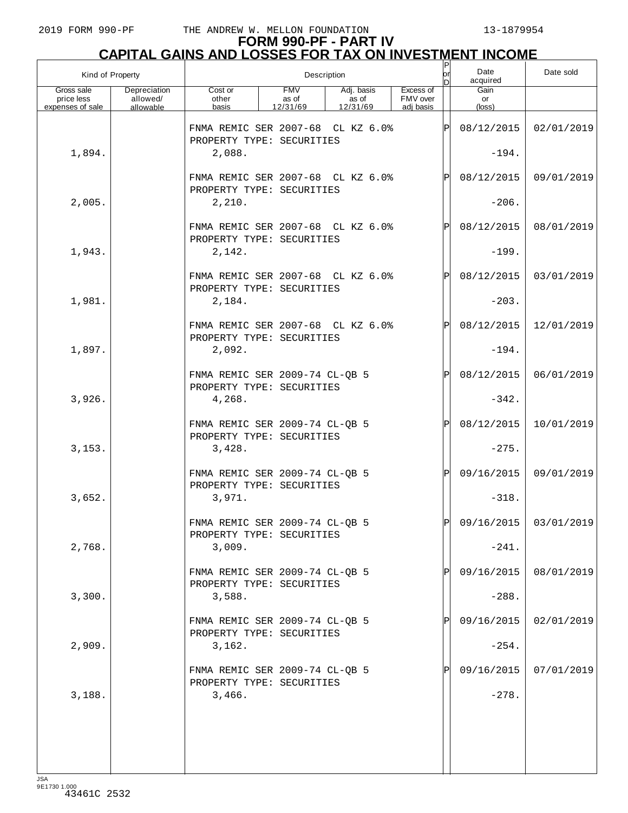| Kind of Property                             |                                       |                                                                | Description                     |                                 |                                    | ļΡ<br> or<br>bl | Date<br>acquired     | Date sold             |
|----------------------------------------------|---------------------------------------|----------------------------------------------------------------|---------------------------------|---------------------------------|------------------------------------|-----------------|----------------------|-----------------------|
| Gross sale<br>price less<br>expenses of sale | Depreciation<br>allowed/<br>allowable | Cost or<br>other<br>basis                                      | <b>FMV</b><br>as of<br>12/31/69 | Adj. basis<br>as of<br>12/31/69 | Excess of<br>FMV over<br>adi basis |                 | Gain<br>or<br>(loss) |                       |
|                                              |                                       | FNMA REMIC SER 2007-68 CL KZ 6.0%<br>PROPERTY TYPE: SECURITIES |                                 |                                 |                                    | ΙPΙ             | 08/12/2015           | 02/01/2019            |
| 1,894.                                       |                                       | 2,088.                                                         |                                 |                                 |                                    |                 | $-194.$              |                       |
|                                              |                                       | FNMA REMIC SER 2007-68 CL KZ 6.0%<br>PROPERTY TYPE: SECURITIES |                                 |                                 |                                    | ΙPΙ             | 08/12/2015           | 09/01/2019            |
| 2,005.                                       |                                       | 2,210.                                                         |                                 |                                 |                                    |                 | $-206.$              |                       |
|                                              |                                       | FNMA REMIC SER 2007-68 CL KZ 6.0%<br>PROPERTY TYPE: SECURITIES |                                 |                                 |                                    | ΙPΙ             | 08/12/2015           | 08/01/2019            |
| 1,943.                                       |                                       | 2,142.                                                         |                                 |                                 |                                    |                 | $-199.$              |                       |
|                                              |                                       | FNMA REMIC SER 2007-68 CL KZ 6.0%<br>PROPERTY TYPE: SECURITIES |                                 |                                 |                                    | ΙPΙ             | 08/12/2015           | 03/01/2019            |
| 1,981.                                       |                                       | 2,184.                                                         |                                 |                                 |                                    |                 | $-203.$              |                       |
|                                              |                                       | FNMA REMIC SER 2007-68 CL KZ 6.0%<br>PROPERTY TYPE: SECURITIES |                                 |                                 |                                    | ΙPΙ             | 08/12/2015           | 12/01/2019            |
| 1,897.                                       |                                       | 2,092.                                                         |                                 |                                 |                                    |                 | $-194.$              |                       |
|                                              |                                       | FNMA REMIC SER 2009-74 CL-QB 5<br>PROPERTY TYPE: SECURITIES    |                                 |                                 |                                    | ΙPΙ             | 08/12/2015           | 06/01/2019            |
| 3,926.                                       |                                       | 4,268.                                                         |                                 |                                 |                                    |                 | $-342.$              |                       |
|                                              |                                       | FNMA REMIC SER 2009-74 CL-QB 5<br>PROPERTY TYPE: SECURITIES    |                                 |                                 |                                    | ΙPΙ             | 08/12/2015           | 10/01/2019            |
| 3,153.                                       |                                       | 3,428.                                                         |                                 |                                 |                                    |                 | $-275.$              |                       |
|                                              |                                       | FNMA REMIC SER 2009-74 CL-QB 5<br>PROPERTY TYPE: SECURITIES    |                                 |                                 |                                    | ΙPΙ             | 09/16/2015           | 09/01/2019            |
| 3,652.                                       |                                       | 3,971.                                                         |                                 |                                 |                                    |                 | $-318.$              |                       |
|                                              |                                       | FNMA REMIC SER 2009-74 CL-OB 5<br>PROPERTY TYPE: SECURITIES    |                                 |                                 |                                    | lÞI.            |                      | 09/16/2015 03/01/2019 |
| 2,768.                                       |                                       | 3,009.                                                         |                                 |                                 |                                    |                 | $-241.$              |                       |
|                                              |                                       | FNMA REMIC SER 2009-74 CL-QB 5<br>PROPERTY TYPE: SECURITIES    |                                 |                                 |                                    | P               | 09/16/2015           | 08/01/2019            |
| 3,300.                                       |                                       | 3,588.                                                         |                                 |                                 |                                    |                 | $-288.$              |                       |
|                                              |                                       | FNMA REMIC SER 2009-74 CL-QB 5<br>PROPERTY TYPE: SECURITIES    |                                 |                                 |                                    | P               | 09/16/2015           | 02/01/2019            |
| 2,909.                                       |                                       | 3,162.                                                         |                                 |                                 |                                    |                 | $-254.$              |                       |
|                                              |                                       | FNMA REMIC SER 2009-74 CL-QB 5<br>PROPERTY TYPE: SECURITIES    |                                 |                                 |                                    | P               | 09/16/2015           | 07/01/2019            |
| 3,188.                                       |                                       | 3,466.                                                         |                                 |                                 |                                    |                 | $-278.$              |                       |
|                                              |                                       |                                                                |                                 |                                 |                                    |                 |                      |                       |
|                                              |                                       |                                                                |                                 |                                 |                                    |                 |                      |                       |
|                                              |                                       |                                                                |                                 |                                 |                                    |                 |                      |                       |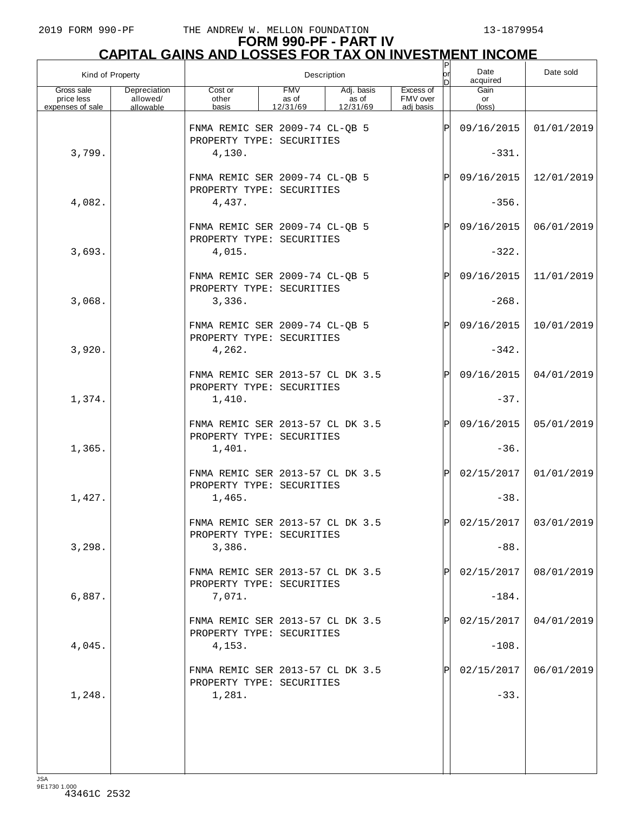# **FORM 990-PF - PART IV CAPITAL GAINS AND LOSSES FOR TAX ON INVESTMENT INCOME** P

| Kind of Property                             |                                       |                                                                         |                                 | Description                     |                                    | P<br> or <br>ы | Date<br>acquired      | Date sold               |
|----------------------------------------------|---------------------------------------|-------------------------------------------------------------------------|---------------------------------|---------------------------------|------------------------------------|----------------|-----------------------|-------------------------|
| Gross sale<br>price less<br>expenses of sale | Depreciation<br>allowed/<br>allowable | Cost or<br>other<br>basis                                               | <b>FMV</b><br>as of<br>12/31/69 | Adj. basis<br>as of<br>12/31/69 | Excess of<br>FMV over<br>adi basis |                | Gain<br>or<br>(loss)  |                         |
| 3,799.                                       |                                       | FNMA REMIC SER 2009-74 CL-QB 5<br>PROPERTY TYPE: SECURITIES<br>4,130.   |                                 |                                 |                                    | $\mathsf P$    | 09/16/2015<br>$-331.$ | 01/01/2019              |
|                                              |                                       | FNMA REMIC SER 2009-74 CL-QB 5<br>PROPERTY TYPE: SECURITIES             |                                 |                                 |                                    | Ρ              | 09/16/2015            | 12/01/2019              |
| 4,082.                                       |                                       | 4,437.                                                                  |                                 |                                 |                                    |                | $-356.$               |                         |
| 3,693.                                       |                                       | FNMA REMIC SER 2009-74 CL-QB 5<br>PROPERTY TYPE: SECURITIES<br>4,015.   |                                 |                                 |                                    | $\mathsf{P}$   | 09/16/2015<br>$-322.$ | 06/01/2019              |
|                                              |                                       | FNMA REMIC SER 2009-74 CL-QB 5<br>PROPERTY TYPE: SECURITIES             |                                 |                                 |                                    | Ρ              | 09/16/2015            | 11/01/2019              |
| 3,068.                                       |                                       | 3,336.                                                                  |                                 |                                 |                                    |                | $-268.$               |                         |
|                                              |                                       | FNMA REMIC SER 2009-74 CL-QB 5<br>PROPERTY TYPE: SECURITIES             |                                 |                                 |                                    | $\mathsf{P}$   | 09/16/2015            | 10/01/2019              |
| 3,920.                                       |                                       | 4,262.                                                                  |                                 |                                 |                                    |                | $-342.$               |                         |
| 1,374.                                       |                                       | FNMA REMIC SER 2013-57 CL DK 3.5<br>PROPERTY TYPE: SECURITIES<br>1,410. |                                 |                                 |                                    | Ρ              | 09/16/2015<br>$-37.$  | 04/01/2019              |
|                                              |                                       | FNMA REMIC SER 2013-57 CL DK 3.5                                        |                                 |                                 |                                    | Ρ              | 09/16/2015            | 05/01/2019              |
| 1,365.                                       |                                       | PROPERTY TYPE: SECURITIES<br>1,401.                                     |                                 |                                 |                                    |                | $-36.$                |                         |
| 1,427.                                       |                                       | FNMA REMIC SER 2013-57 CL DK 3.5<br>PROPERTY TYPE: SECURITIES<br>1,465. |                                 |                                 |                                    | $\mathsf{P}$   | 02/15/2017<br>$-38.$  | 01/01/2019              |
|                                              |                                       | FNMA REMIC SER 2013-57 CL DK 3.5                                        |                                 |                                 |                                    | D              |                       | $02/15/2017$ 03/01/2019 |
| 3,298.                                       |                                       | PROPERTY TYPE: SECURITIES<br>3,386.                                     |                                 |                                 |                                    |                | $-88.$                |                         |
|                                              |                                       | FNMA REMIC SER 2013-57 CL DK 3.5<br>PROPERTY TYPE: SECURITIES           |                                 |                                 |                                    |                | 02/15/2017            | 08/01/2019              |
| 6,887.                                       |                                       | 7,071.                                                                  |                                 |                                 |                                    |                | $-184.$               |                         |
|                                              |                                       | FNMA REMIC SER 2013-57 CL DK 3.5<br>PROPERTY TYPE: SECURITIES           |                                 |                                 |                                    |                | 02/15/2017            | 04/01/2019              |
| 4,045.                                       |                                       | 4,153.                                                                  |                                 |                                 |                                    |                | $-108.$               |                         |
|                                              |                                       | FNMA REMIC SER 2013-57 CL DK 3.5<br>PROPERTY TYPE: SECURITIES           |                                 |                                 |                                    |                | 02/15/2017            | 06/01/2019              |
| 1,248.                                       |                                       | 1,281.                                                                  |                                 |                                 |                                    |                | $-33.$                |                         |
|                                              |                                       |                                                                         |                                 |                                 |                                    |                |                       |                         |
|                                              |                                       |                                                                         |                                 |                                 |                                    |                |                       |                         |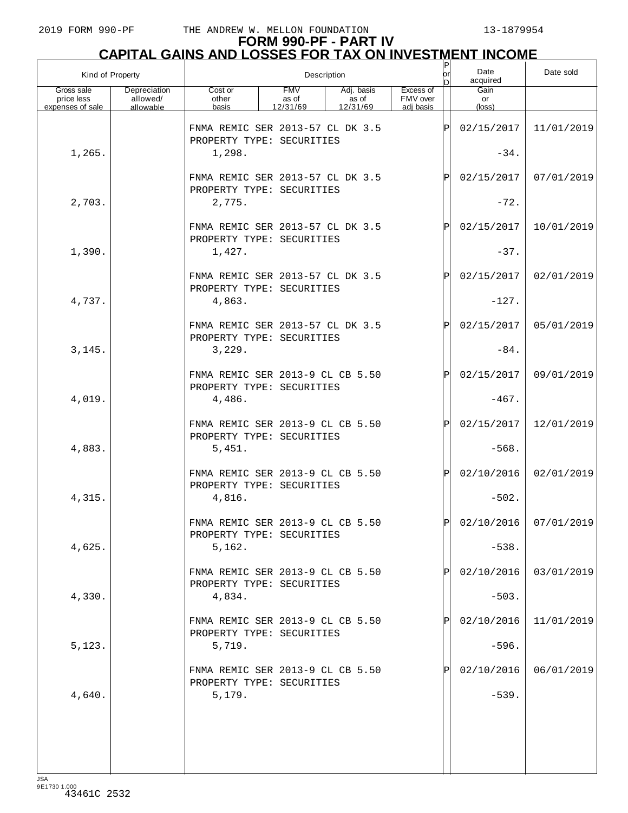# **FORM 990-PF - PART IV CAPITAL GAINS AND LOSSES FOR TAX ON INVESTMENT INCOME** P

| Kind of Property                             |                                       |                                                                         |                                 | Description                     |                                    | P<br> or <br>ы | Date<br>acquired      | Date sold               |
|----------------------------------------------|---------------------------------------|-------------------------------------------------------------------------|---------------------------------|---------------------------------|------------------------------------|----------------|-----------------------|-------------------------|
| Gross sale<br>price less<br>expenses of sale | Depreciation<br>allowed/<br>allowable | Cost or<br>other<br>basis                                               | <b>FMV</b><br>as of<br>12/31/69 | Adj. basis<br>as of<br>12/31/69 | Excess of<br>FMV over<br>adi basis |                | Gain<br>or<br>(loss)  |                         |
| 1,265.                                       |                                       | FNMA REMIC SER 2013-57 CL DK 3.5<br>PROPERTY TYPE: SECURITIES<br>1,298. |                                 |                                 |                                    | $\mathsf P$    | 02/15/2017<br>$-34.$  | 11/01/2019              |
|                                              |                                       | FNMA REMIC SER 2013-57 CL DK 3.5                                        |                                 |                                 |                                    | Ρ              | 02/15/2017            | 07/01/2019              |
| 2,703.                                       |                                       | PROPERTY TYPE: SECURITIES<br>2,775.                                     |                                 |                                 |                                    |                | $-72.$                |                         |
|                                              |                                       | FNMA REMIC SER 2013-57 CL DK 3.5<br>PROPERTY TYPE: SECURITIES           |                                 |                                 |                                    | Ρ              | 02/15/2017            | 10/01/2019              |
| 1,390.                                       |                                       | 1,427.                                                                  |                                 |                                 |                                    |                | $-37.$                |                         |
|                                              |                                       | FNMA REMIC SER 2013-57 CL DK 3.5<br>PROPERTY TYPE: SECURITIES           |                                 |                                 |                                    | Ρ              | 02/15/2017            | 02/01/2019              |
| 4,737.                                       |                                       | 4,863.<br>FNMA REMIC SER 2013-57 CL DK 3.5                              |                                 |                                 |                                    | Ρ              | $-127.$<br>02/15/2017 | 05/01/2019              |
| 3,145.                                       |                                       | PROPERTY TYPE: SECURITIES<br>3,229.                                     |                                 |                                 |                                    |                | $-84.$                |                         |
|                                              |                                       | FNMA REMIC SER 2013-9 CL CB 5.50                                        |                                 |                                 |                                    | Ρ              | 02/15/2017            | 09/01/2019              |
| 4,019.                                       |                                       | PROPERTY TYPE: SECURITIES<br>4,486.                                     |                                 |                                 |                                    |                | $-467.$               |                         |
| 4,883.                                       |                                       | FNMA REMIC SER 2013-9 CL CB 5.50<br>PROPERTY TYPE: SECURITIES<br>5,451. |                                 |                                 |                                    | Ρ              | 02/15/2017<br>$-568.$ | 12/01/2019              |
|                                              |                                       | FNMA REMIC SER 2013-9 CL CB 5.50<br>PROPERTY TYPE: SECURITIES           |                                 |                                 |                                    | $\mathsf{P}$   | 02/10/2016            | 02/01/2019              |
| 4,315.                                       |                                       | 4,816.                                                                  |                                 |                                 |                                    |                | $-502.$               |                         |
| 4,625.                                       |                                       | FNMA REMIC SER 2013-9 CL CB 5.50<br>PROPERTY TYPE: SECURITIES<br>5,162. |                                 |                                 |                                    | D              | $-538.$               | $02/10/2016$ 07/01/2019 |
|                                              |                                       | FNMA REMIC SER 2013-9 CL CB 5.50                                        |                                 |                                 |                                    |                | 02/10/2016            | 03/01/2019              |
| 4,330.                                       |                                       | PROPERTY TYPE: SECURITIES<br>4,834.                                     |                                 |                                 |                                    |                | $-503.$               |                         |
|                                              |                                       | FNMA REMIC SER 2013-9 CL CB 5.50<br>PROPERTY TYPE: SECURITIES           |                                 |                                 |                                    |                | 02/10/2016            | 11/01/2019              |
| 5,123.                                       |                                       | 5,719.                                                                  |                                 |                                 |                                    |                | $-596.$               |                         |
| 4,640.                                       |                                       | FNMA REMIC SER 2013-9 CL CB 5.50<br>PROPERTY TYPE: SECURITIES<br>5,179. |                                 |                                 |                                    |                | 02/10/2016<br>$-539.$ | 06/01/2019              |
|                                              |                                       |                                                                         |                                 |                                 |                                    |                |                       |                         |
|                                              |                                       |                                                                         |                                 |                                 |                                    |                |                       |                         |
| 194                                          |                                       |                                                                         |                                 |                                 |                                    |                |                       |                         |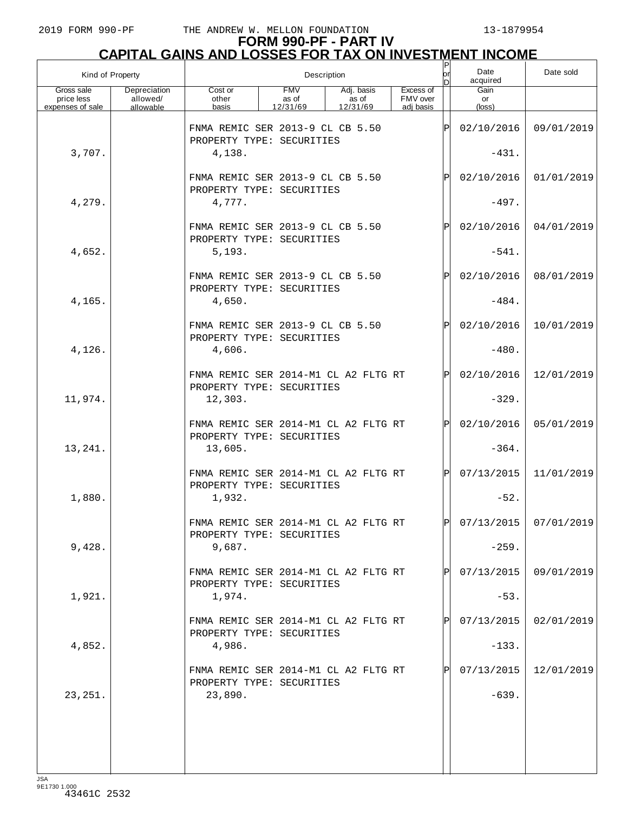# **FORM 990-PF - PART IV CAPITAL GAINS AND LOSSES FOR TAX ON INVESTMENT INCOME** P

| Kind of Property                             |                                       |                                                                   |                                 | Description                     |                                    | P<br>or<br>n | Date<br>acquired              | Date sold               |
|----------------------------------------------|---------------------------------------|-------------------------------------------------------------------|---------------------------------|---------------------------------|------------------------------------|--------------|-------------------------------|-------------------------|
| Gross sale<br>price less<br>expenses of sale | Depreciation<br>allowed/<br>allowable | Cost or<br>other<br>basis                                         | <b>FMV</b><br>as of<br>12/31/69 | Adj. basis<br>as of<br>12/31/69 | Excess of<br>FMV over<br>adi basis |              | Gain<br>or<br>$(\text{loss})$ |                         |
|                                              |                                       | FNMA REMIC SER 2013-9 CL CB 5.50<br>PROPERTY TYPE: SECURITIES     |                                 |                                 |                                    | Þ            | 02/10/2016                    | 09/01/2019              |
| 3,707.                                       |                                       | 4,138.                                                            |                                 |                                 |                                    |              | $-431.$                       |                         |
|                                              |                                       | FNMA REMIC SER 2013-9 CL CB 5.50<br>PROPERTY TYPE: SECURITIES     |                                 |                                 |                                    | Ρ            | 02/10/2016                    | 01/01/2019              |
| 4,279.                                       |                                       | 4,777.                                                            |                                 |                                 |                                    |              | $-497.$                       |                         |
|                                              |                                       | FNMA REMIC SER 2013-9 CL CB 5.50<br>PROPERTY TYPE: SECURITIES     |                                 |                                 |                                    | $\mathbf{P}$ | 02/10/2016                    | 04/01/2019              |
| 4,652.                                       |                                       | 5,193.                                                            |                                 |                                 |                                    |              | $-541.$                       |                         |
|                                              |                                       | FNMA REMIC SER 2013-9 CL CB 5.50<br>PROPERTY TYPE: SECURITIES     |                                 |                                 |                                    | $\mathbf{P}$ | 02/10/2016                    | 08/01/2019              |
| 4,165.                                       |                                       | 4,650.                                                            |                                 |                                 |                                    |              | $-484.$                       |                         |
|                                              |                                       | FNMA REMIC SER 2013-9 CL CB 5.50<br>PROPERTY TYPE: SECURITIES     |                                 |                                 |                                    | $\mathbf{P}$ | 02/10/2016                    | 10/01/2019              |
| 4,126.                                       |                                       | 4,606.                                                            |                                 |                                 |                                    |              | $-480.$                       |                         |
|                                              |                                       | FNMA REMIC SER 2014-M1 CL A2 FLTG RT<br>PROPERTY TYPE: SECURITIES |                                 |                                 |                                    | Þ            | 02/10/2016                    | 12/01/2019              |
| 11,974.                                      |                                       | 12,303.                                                           |                                 |                                 |                                    |              | $-329.$                       |                         |
|                                              |                                       | FNMA REMIC SER 2014-M1 CL A2 FLTG RT<br>PROPERTY TYPE: SECURITIES |                                 |                                 |                                    | P            | 02/10/2016                    | 05/01/2019              |
| 13,241.                                      |                                       | 13,605.                                                           |                                 |                                 |                                    |              | $-364.$                       |                         |
|                                              |                                       | FNMA REMIC SER 2014-M1 CL A2 FLTG RT<br>PROPERTY TYPE: SECURITIES |                                 |                                 |                                    | Þl           | 07/13/2015                    | 11/01/2019              |
| 1,880.                                       |                                       | 1,932.                                                            |                                 |                                 |                                    |              | $-52.$                        |                         |
|                                              |                                       | FNMA REMIC SER 2014-M1 CL A2 FLTG RT<br>PROPERTY TYPE: SECURITIES |                                 |                                 |                                    | Þl           |                               | $07/13/2015$ 07/01/2019 |
| 9,428.                                       |                                       | 9,687.                                                            |                                 |                                 |                                    |              | $-259.$                       |                         |
|                                              |                                       | FNMA REMIC SER 2014-M1 CL A2 FLTG RT<br>PROPERTY TYPE: SECURITIES |                                 |                                 |                                    |              | 07/13/2015                    | 09/01/2019              |
| 1,921.                                       |                                       | 1,974.                                                            |                                 |                                 |                                    |              | $-53.$                        |                         |
|                                              |                                       | FNMA REMIC SER 2014-M1 CL A2 FLTG RT<br>PROPERTY TYPE: SECURITIES |                                 |                                 |                                    |              | 07/13/2015                    | 02/01/2019              |
| 4,852.                                       |                                       | 4,986.                                                            |                                 |                                 |                                    |              | $-133.$                       |                         |
|                                              |                                       | FNMA REMIC SER 2014-M1 CL A2 FLTG RT<br>PROPERTY TYPE: SECURITIES |                                 |                                 |                                    |              | 07/13/2015                    | 12/01/2019              |
| 23, 251.                                     |                                       | 23,890.                                                           |                                 |                                 |                                    |              | $-639.$                       |                         |
|                                              |                                       |                                                                   |                                 |                                 |                                    |              |                               |                         |
|                                              |                                       |                                                                   |                                 |                                 |                                    |              |                               |                         |
|                                              |                                       |                                                                   |                                 |                                 |                                    |              |                               |                         |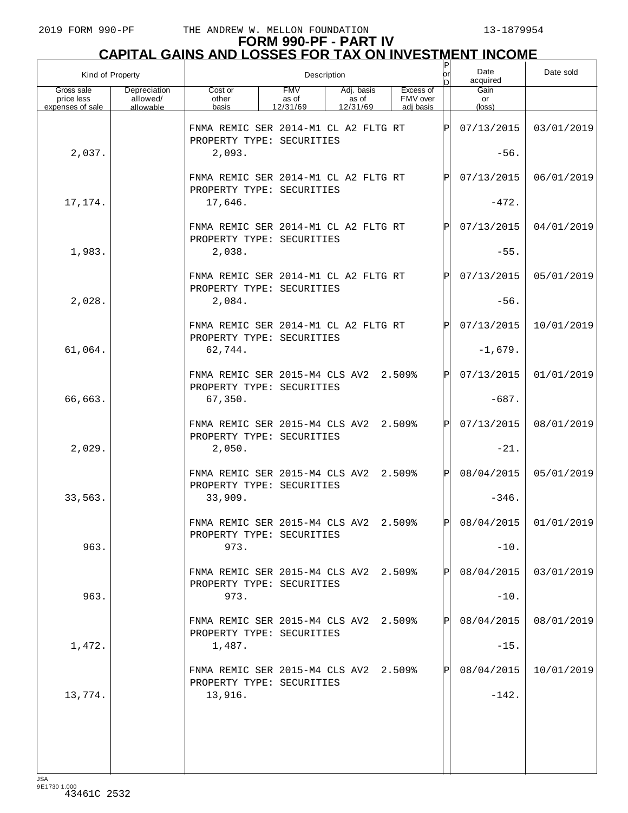# **FORM 990-PF - PART IV CAPITAL GAINS AND LOSSES FOR TAX ON INVESTMENT INCOME** P

| Kind of Property                             |                                       |                                                                             |                                 | Description                     |                                    | or<br>n      | Date<br>acquired     | Date sold             |
|----------------------------------------------|---------------------------------------|-----------------------------------------------------------------------------|---------------------------------|---------------------------------|------------------------------------|--------------|----------------------|-----------------------|
| Gross sale<br>price less<br>expenses of sale | Depreciation<br>allowed/<br>allowable | Cost or<br>other<br>basis                                                   | <b>FMV</b><br>as of<br>12/31/69 | Adj. basis<br>as of<br>12/31/69 | Excess of<br>FMV over<br>adi basis |              | Gain<br>or<br>(loss) |                       |
| 2,037.                                       |                                       | FNMA REMIC SER 2014-M1 CL A2 FLTG RT<br>PROPERTY TYPE: SECURITIES<br>2,093. |                                 |                                 |                                    | ΙP           | 07/13/2015<br>$-56.$ | 03/01/2019            |
|                                              |                                       | FNMA REMIC SER 2014-M1 CL A2 FLTG RT<br>PROPERTY TYPE: SECURITIES           |                                 |                                 |                                    | P            | 07/13/2015           | 06/01/2019            |
| 17,174.                                      |                                       | 17,646.                                                                     |                                 |                                 |                                    |              | $-472.$              |                       |
|                                              |                                       | FNMA REMIC SER 2014-M1 CL A2 FLTG RT<br>PROPERTY TYPE: SECURITIES           |                                 |                                 |                                    | P            | 07/13/2015           | 04/01/2019            |
| 1,983.                                       |                                       | 2,038.                                                                      |                                 |                                 |                                    |              | $-55.$               |                       |
| 2,028.                                       |                                       | FNMA REMIC SER 2014-M1 CL A2 FLTG RT<br>PROPERTY TYPE: SECURITIES<br>2,084. |                                 |                                 |                                    | P            | 07/13/2015<br>$-56.$ | 05/01/2019            |
|                                              |                                       | FNMA REMIC SER 2014-M1 CL A2 FLTG RT<br>PROPERTY TYPE: SECURITIES           |                                 |                                 |                                    | P            | 07/13/2015           | 10/01/2019            |
| 61,064.                                      |                                       | 62,744.                                                                     |                                 |                                 |                                    |              | $-1,679.$            |                       |
|                                              |                                       | FNMA REMIC SER 2015-M4 CLS AV2 2.509%<br>PROPERTY TYPE: SECURITIES          |                                 |                                 |                                    | $\mathbf{P}$ | 07/13/2015           | 01/01/2019            |
| 66,663.                                      |                                       | 67,350.                                                                     |                                 |                                 |                                    |              | $-687.$              |                       |
| 2,029.                                       |                                       | FNMA REMIC SER 2015-M4 CLS AV2<br>PROPERTY TYPE: SECURITIES<br>2,050.       |                                 |                                 | 2.509%                             | $\mathbf{P}$ | 07/13/2015<br>$-21.$ | 08/01/2019            |
|                                              |                                       | FNMA REMIC SER 2015-M4 CLS AV2 2.509%                                       |                                 |                                 |                                    | $\mathsf{P}$ | 08/04/2015           | 05/01/2019            |
| 33,563.                                      |                                       | PROPERTY TYPE: SECURITIES<br>33,909.                                        |                                 |                                 |                                    |              | $-346.$              |                       |
|                                              |                                       | FNMA REMIC SER 2015-M4 CLS AV2 2.509%<br>PROPERTY TYPE: SECURITIES          |                                 |                                 |                                    | lÞI          |                      | 08/04/2015 01/01/2019 |
| 963.                                         |                                       | 973.                                                                        |                                 |                                 |                                    |              | $-10.$               |                       |
|                                              |                                       | FNMA REMIC SER 2015-M4 CLS AV2 2.509%<br>PROPERTY TYPE: SECURITIES          |                                 |                                 |                                    | $\mathsf{P}$ | 08/04/2015           | 03/01/2019            |
| 963.                                         |                                       | 973.                                                                        |                                 |                                 |                                    |              | $-10.$               |                       |
|                                              |                                       | FNMA REMIC SER 2015-M4 CLS AV2 2.509%<br>PROPERTY TYPE: SECURITIES          |                                 |                                 |                                    | P            | 08/04/2015           | 08/01/2019            |
| 1,472.                                       |                                       | 1,487.                                                                      |                                 |                                 |                                    |              | $-15.$               |                       |
|                                              |                                       | FNMA REMIC SER 2015-M4 CLS AV2 2.509%<br>PROPERTY TYPE: SECURITIES          |                                 |                                 |                                    | P            | 08/04/2015           | 10/01/2019            |
| 13,774.                                      |                                       | 13,916.                                                                     |                                 |                                 |                                    |              | $-142.$              |                       |
|                                              |                                       |                                                                             |                                 |                                 |                                    |              |                      |                       |
|                                              |                                       |                                                                             |                                 |                                 |                                    |              |                      |                       |
| $I \subseteq \Delta$                         |                                       |                                                                             |                                 |                                 |                                    |              |                      |                       |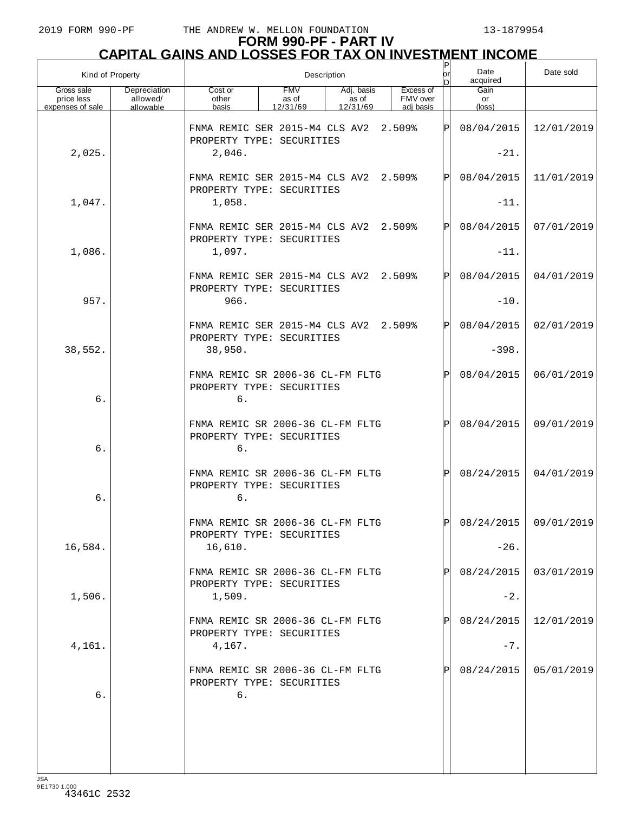|                                              | Kind of Property                      |                                                                     |                                 | Description                     |                                    | Ρ<br>or | Date<br>acquired     | Date sold             |
|----------------------------------------------|---------------------------------------|---------------------------------------------------------------------|---------------------------------|---------------------------------|------------------------------------|---------|----------------------|-----------------------|
| Gross sale<br>price less<br>expenses of sale | Depreciation<br>allowed/<br>allowable | Cost or<br>other<br>basis                                           | <b>FMV</b><br>as of<br>12/31/69 | Adj. basis<br>as of<br>12/31/69 | Excess of<br>FMV over<br>adj basis |         | Gain<br>or<br>(loss) |                       |
|                                              |                                       | FNMA REMIC SER 2015-M4 CLS AV2<br>PROPERTY TYPE: SECURITIES         |                                 |                                 | 2.509%                             | ΙÞΙ     | 08/04/2015           | 12/01/2019            |
| 2,025.                                       |                                       | 2,046.                                                              |                                 |                                 |                                    |         | $-21.$               |                       |
|                                              |                                       | FNMA REMIC SER 2015-M4 CLS AV2<br>PROPERTY TYPE: SECURITIES         |                                 |                                 | 2.509%                             | ΙÞΙ     | 08/04/2015           | 11/01/2019            |
| 1,047.                                       |                                       | 1,058.                                                              |                                 |                                 |                                    |         | $-11.$               |                       |
|                                              |                                       | FNMA REMIC SER 2015-M4 CLS AV2<br>PROPERTY TYPE: SECURITIES         |                                 |                                 | 2.509%                             | ΙÞΙ     | 08/04/2015           | 07/01/2019            |
| 1,086.                                       |                                       | 1,097.                                                              |                                 |                                 |                                    |         | $-11.$               |                       |
| 957.                                         |                                       | FNMA REMIC SER 2015-M4 CLS AV2<br>PROPERTY TYPE: SECURITIES<br>966. |                                 |                                 | 2.509%                             | ΙÞΙ     | 08/04/2015<br>$-10.$ | 04/01/2019            |
|                                              |                                       |                                                                     |                                 |                                 |                                    | ΙÞΙ     | 08/04/2015           | 02/01/2019            |
|                                              |                                       | FNMA REMIC SER 2015-M4 CLS AV2 2.509%<br>PROPERTY TYPE: SECURITIES  |                                 |                                 |                                    |         |                      |                       |
| 38,552.                                      |                                       | 38,950.                                                             |                                 |                                 |                                    |         | $-398.$              |                       |
| 6.                                           |                                       | FNMA REMIC SR 2006-36 CL-FM FLTG<br>PROPERTY TYPE: SECURITIES<br>6. |                                 |                                 |                                    | ΙÞΙ     | 08/04/2015           | 06/01/2019            |
| 6.                                           |                                       | FNMA REMIC SR 2006-36 CL-FM FLTG<br>PROPERTY TYPE: SECURITIES<br>6. |                                 |                                 |                                    | ΙÞΙ     | 08/04/2015           | 09/01/2019            |
| 6.                                           |                                       | FNMA REMIC SR 2006-36 CL-FM FLTG<br>PROPERTY TYPE: SECURITIES<br>б. |                                 |                                 |                                    | ΙÞΙ     | 08/24/2015           | 04/01/2019            |
|                                              |                                       | FNMA REMIC SR 2006-36 CL-FM FLTG<br>PROPERTY TYPE: SECURITIES       |                                 |                                 |                                    | ldl     |                      | 08/24/2015 09/01/2019 |
| 16,584.                                      |                                       | 16,610.                                                             |                                 |                                 |                                    |         | $-26.$               |                       |
|                                              |                                       | FNMA REMIC SR 2006-36 CL-FM FLTG<br>PROPERTY TYPE: SECURITIES       |                                 |                                 |                                    | P       | 08/24/2015           | 03/01/2019            |
| 1,506.                                       |                                       | 1,509.                                                              |                                 |                                 |                                    |         | $-2$ .               |                       |
|                                              |                                       | FNMA REMIC SR 2006-36 CL-FM FLTG<br>PROPERTY TYPE: SECURITIES       |                                 |                                 |                                    | ΙPΙ     | 08/24/2015           | 12/01/2019            |
| 4,161.                                       |                                       | 4,167.                                                              |                                 |                                 |                                    |         | $-7.$                |                       |
| 6.                                           |                                       | FNMA REMIC SR 2006-36 CL-FM FLTG<br>PROPERTY TYPE: SECURITIES<br>б. |                                 |                                 |                                    | P       | 08/24/2015           | 05/01/2019            |
|                                              |                                       |                                                                     |                                 |                                 |                                    |         |                      |                       |
|                                              |                                       |                                                                     |                                 |                                 |                                    |         |                      |                       |
|                                              |                                       |                                                                     |                                 |                                 |                                    |         |                      |                       |
|                                              |                                       |                                                                     |                                 |                                 |                                    |         |                      |                       |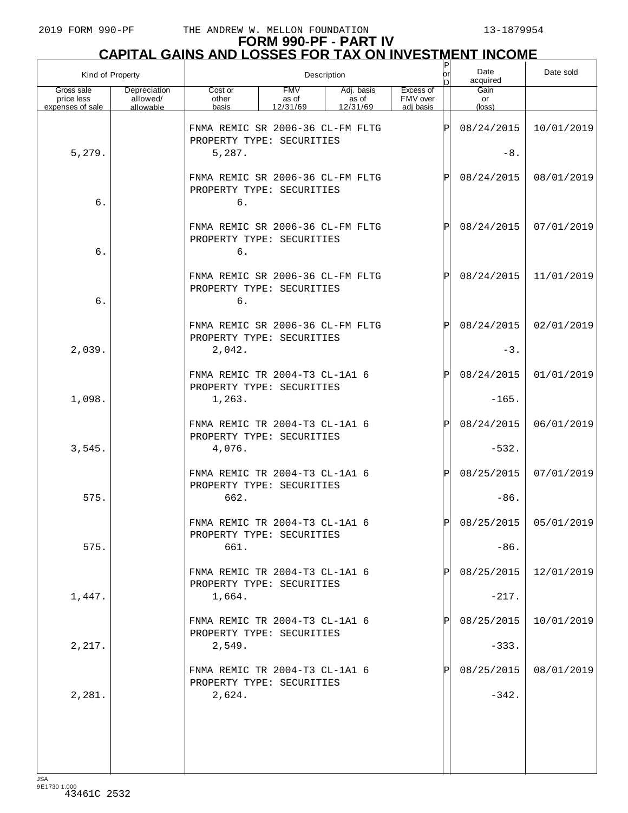| Kind of Property                             |                                       |                                                                         |                                 | Description                     |                                    | P<br>or<br>In | Date<br>acquired              | Date sold             |
|----------------------------------------------|---------------------------------------|-------------------------------------------------------------------------|---------------------------------|---------------------------------|------------------------------------|---------------|-------------------------------|-----------------------|
| Gross sale<br>price less<br>expenses of sale | Depreciation<br>allowed/<br>allowable | Cost or<br>other<br>basis                                               | <b>FMV</b><br>as of<br>12/31/69 | Adj. basis<br>as of<br>12/31/69 | Excess of<br>FMV over<br>adj basis |               | Gain<br>or<br>$(\text{loss})$ |                       |
| 5,279.                                       |                                       | FNMA REMIC SR 2006-36 CL-FM FLTG<br>PROPERTY TYPE: SECURITIES<br>5,287. |                                 |                                 |                                    | ΙP            | 08/24/2015<br>$-8.$           | 10/01/2019            |
| 6.                                           |                                       | FNMA REMIC SR 2006-36 CL-FM FLTG<br>PROPERTY TYPE: SECURITIES<br>б.     |                                 |                                 |                                    | ΙP            | 08/24/2015                    | 08/01/2019            |
| 6.                                           |                                       | FNMA REMIC SR 2006-36 CL-FM FLTG<br>PROPERTY TYPE: SECURITIES<br>б.     |                                 |                                 |                                    | ΙP            | 08/24/2015                    | 07/01/2019            |
| 6.                                           |                                       | FNMA REMIC SR 2006-36 CL-FM FLTG<br>PROPERTY TYPE: SECURITIES<br>б.     |                                 |                                 |                                    | ΙP            | 08/24/2015                    | 11/01/2019            |
| 2,039.                                       |                                       | FNMA REMIC SR 2006-36 CL-FM FLTG<br>PROPERTY TYPE: SECURITIES<br>2,042. |                                 |                                 |                                    | ΙP            | 08/24/2015<br>$-3.$           | 02/01/2019            |
|                                              |                                       | FNMA REMIC TR 2004-T3 CL-1A1 6<br>PROPERTY TYPE: SECURITIES             |                                 |                                 |                                    | ΙP            | 08/24/2015                    | 01/01/2019            |
| 1,098.                                       |                                       | 1,263.                                                                  |                                 |                                 |                                    |               | $-165.$                       |                       |
| 3,545.                                       |                                       | FNMA REMIC TR 2004-T3 CL-1A1 6<br>PROPERTY TYPE: SECURITIES<br>4,076.   |                                 |                                 |                                    | ΙP            | 08/24/2015<br>$-532.$         | 06/01/2019            |
| 575.                                         |                                       | FNMA REMIC TR 2004-T3 CL-1A1 6<br>PROPERTY TYPE: SECURITIES<br>662.     |                                 |                                 |                                    | ΙP            | 08/25/2015<br>$-86.$          | 07/01/2019            |
| 575.                                         |                                       | FNMA REMIC TR 2004-T3 CL-1A1 6<br>PROPERTY TYPE: SECURITIES<br>661.     |                                 |                                 |                                    | פו            | $-86.$                        | 08/25/2015 05/01/2019 |
| 1,447.                                       |                                       | FNMA REMIC TR 2004-T3 CL-1A1 6<br>PROPERTY TYPE: SECURITIES<br>1,664.   |                                 |                                 |                                    |               | 08/25/2015<br>$-217.$         | 12/01/2019            |
|                                              |                                       | FNMA REMIC TR 2004-T3 CL-1A1 6<br>PROPERTY TYPE: SECURITIES             |                                 |                                 |                                    |               | 08/25/2015                    | 10/01/2019            |
| 2,217.                                       |                                       | 2,549.<br>FNMA REMIC TR 2004-T3 CL-1A1 6<br>PROPERTY TYPE: SECURITIES   |                                 |                                 |                                    |               | $-333.$<br>08/25/2015         | 08/01/2019            |
| 2,281.                                       |                                       | 2,624.                                                                  |                                 |                                 |                                    |               | $-342.$                       |                       |
| $I \subseteq \Delta$                         |                                       |                                                                         |                                 |                                 |                                    |               |                               |                       |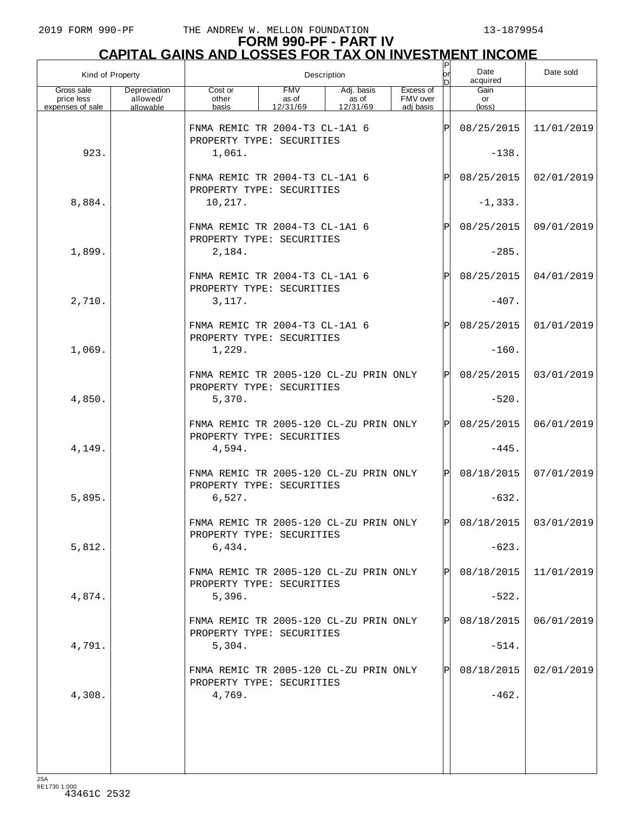# **FORM 990-PF - PART IV CAPITAL GAINS AND LOSSES FOR TAX ON INVESTMENT INCOME** P

| Kind of Property                             |                                       |                                                                     | Description                     |                                 |                                    | or<br>In | Date<br>acquired              | Date sold             |
|----------------------------------------------|---------------------------------------|---------------------------------------------------------------------|---------------------------------|---------------------------------|------------------------------------|----------|-------------------------------|-----------------------|
| Gross sale<br>price less<br>expenses of sale | Depreciation<br>allowed/<br>allowable | Cost or<br>other<br>basis                                           | <b>FMV</b><br>as of<br>12/31/69 | Adj. basis<br>as of<br>12/31/69 | Excess of<br>FMV over<br>adi basis |          | Gain<br>or<br>$(\text{loss})$ |                       |
|                                              |                                       | FNMA REMIC TR 2004-T3 CL-1A1 6<br>PROPERTY TYPE: SECURITIES         |                                 |                                 |                                    | ΙP       | 08/25/2015                    | 11/01/2019            |
| 923.                                         |                                       | 1,061.                                                              |                                 |                                 |                                    |          | $-138.$                       |                       |
|                                              |                                       | FNMA REMIC TR 2004-T3 CL-1A1 6<br>PROPERTY TYPE: SECURITIES         |                                 |                                 |                                    | P        | 08/25/2015                    | 02/01/2019            |
| 8,884.                                       |                                       | 10,217.                                                             |                                 |                                 |                                    |          | $-1, 333.$                    |                       |
|                                              |                                       | FNMA REMIC TR 2004-T3 CL-1A1 6<br>PROPERTY TYPE: SECURITIES         |                                 |                                 |                                    | ΙP       | 08/25/2015                    | 09/01/2019            |
| 1,899.                                       |                                       | 2,184.                                                              |                                 |                                 |                                    |          | $-285.$                       |                       |
|                                              |                                       | FNMA REMIC TR 2004-T3 CL-1A1 6<br>PROPERTY TYPE: SECURITIES         |                                 |                                 |                                    | P        | 08/25/2015                    | 04/01/2019            |
| 2,710.                                       |                                       | 3,117.                                                              |                                 |                                 |                                    |          | $-407.$                       |                       |
|                                              |                                       | FNMA REMIC TR 2004-T3 CL-1A1 6<br>PROPERTY TYPE: SECURITIES         |                                 |                                 |                                    | P        | 08/25/2015                    | 01/01/2019            |
| 1,069.                                       |                                       | 1,229.                                                              |                                 |                                 |                                    |          | $-160.$                       |                       |
|                                              |                                       | FNMA REMIC TR 2005-120 CL-ZU PRIN ONLY<br>PROPERTY TYPE: SECURITIES |                                 |                                 |                                    | ΙPΙ      | 08/25/2015                    | 03/01/2019            |
| 4,850.                                       |                                       | 5,370.                                                              |                                 |                                 |                                    |          | $-520.$                       |                       |
|                                              |                                       | FNMA REMIC TR 2005-120 CL-ZU PRIN ONLY<br>PROPERTY TYPE: SECURITIES |                                 |                                 |                                    | ΙPΙ      | 08/25/2015                    | 06/01/2019            |
| 4,149.                                       |                                       | 4,594.                                                              |                                 |                                 |                                    |          | $-445.$                       |                       |
|                                              |                                       | FNMA REMIC TR 2005-120 CL-ZU PRIN ONLY<br>PROPERTY TYPE: SECURITIES |                                 |                                 |                                    | ΙPΙ      | 08/18/2015                    | 07/01/2019            |
| 5,895.                                       |                                       | 6,527.                                                              |                                 |                                 |                                    |          | $-632.$                       |                       |
|                                              |                                       | FNMA REMIC TR 2005-120 CL-ZU PRIN ONLY<br>PROPERTY TYPE: SECURITIES |                                 |                                 |                                    | IPI.     |                               | 08/18/2015 03/01/2019 |
| 5,812.                                       |                                       | 6,434.                                                              |                                 |                                 |                                    |          | $-623.$                       |                       |
|                                              |                                       | FNMA REMIC TR 2005-120 CL-ZU PRIN ONLY<br>PROPERTY TYPE: SECURITIES |                                 |                                 |                                    | P        | 08/18/2015                    | 11/01/2019            |
| 4,874.                                       |                                       | 5,396.                                                              |                                 |                                 |                                    |          | $-522.$                       |                       |
|                                              |                                       | FNMA REMIC TR 2005-120 CL-ZU PRIN ONLY<br>PROPERTY TYPE: SECURITIES |                                 |                                 |                                    | P        | 08/18/2015                    | 06/01/2019            |
| 4,791.                                       |                                       | 5,304.                                                              |                                 |                                 |                                    |          | $-514.$                       |                       |
|                                              |                                       | FNMA REMIC TR 2005-120 CL-ZU PRIN ONLY<br>PROPERTY TYPE: SECURITIES |                                 |                                 |                                    | P        | 08/18/2015                    | 02/01/2019            |
| 4,308.                                       |                                       | 4,769.                                                              |                                 |                                 |                                    |          | $-462.$                       |                       |
|                                              |                                       |                                                                     |                                 |                                 |                                    |          |                               |                       |
|                                              |                                       |                                                                     |                                 |                                 |                                    |          |                               |                       |
|                                              |                                       |                                                                     |                                 |                                 |                                    |          |                               |                       |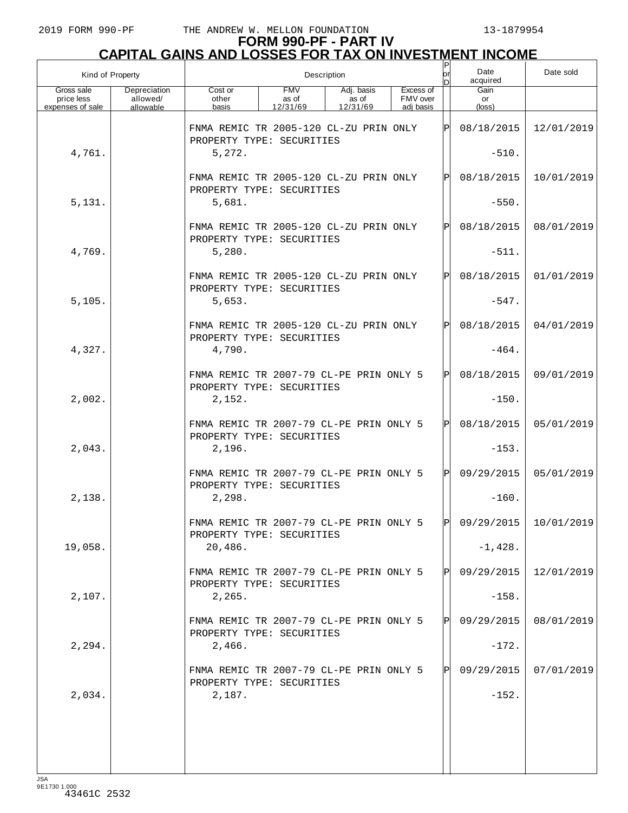| Kind of Property                             |                                       |                                                                      |                                 | Description                     |                                    | lor<br>n | Date<br>acquired     | Date sold             |
|----------------------------------------------|---------------------------------------|----------------------------------------------------------------------|---------------------------------|---------------------------------|------------------------------------|----------|----------------------|-----------------------|
| Gross sale<br>price less<br>expenses of sale | Depreciation<br>allowed/<br>allowable | Cost or<br>other<br>basis                                            | <b>FMV</b><br>as of<br>12/31/69 | Adj. basis<br>as of<br>12/31/69 | Excess of<br>FMV over<br>adj basis |          | Gain<br>or<br>(loss) |                       |
|                                              |                                       | FNMA REMIC TR 2005-120 CL-ZU PRIN ONLY<br>PROPERTY TYPE: SECURITIES  |                                 |                                 |                                    | ΙÞΙ      | 08/18/2015           | 12/01/2019            |
| 4,761.                                       |                                       | 5,272.                                                               |                                 |                                 |                                    |          | $-510.$              |                       |
|                                              |                                       | FNMA REMIC TR 2005-120 CL-ZU PRIN ONLY<br>PROPERTY TYPE: SECURITIES  |                                 |                                 |                                    | Þl       | 08/18/2015           | 10/01/2019            |
| 5,131.                                       |                                       | 5,681.                                                               |                                 |                                 |                                    |          | $-550.$              |                       |
|                                              |                                       | FNMA REMIC TR 2005-120 CL-ZU PRIN ONLY<br>PROPERTY TYPE: SECURITIES  |                                 |                                 |                                    | Þl       | 08/18/2015           | 08/01/2019            |
| 4,769.                                       |                                       | 5,280.                                                               |                                 |                                 |                                    |          | $-511.$              |                       |
|                                              |                                       | FNMA REMIC TR 2005-120 CL-ZU PRIN ONLY<br>PROPERTY TYPE: SECURITIES  |                                 |                                 |                                    | ΙÞΙ      | 08/18/2015           | 01/01/2019            |
| 5,105.                                       |                                       | 5,653.                                                               |                                 |                                 |                                    |          | $-547.$              |                       |
|                                              |                                       | FNMA REMIC TR 2005-120 CL-ZU PRIN ONLY<br>PROPERTY TYPE: SECURITIES  |                                 |                                 |                                    | ΙPΙ      | 08/18/2015           | 04/01/2019            |
| 4,327.                                       |                                       | 4,790.                                                               |                                 |                                 |                                    |          | $-464.$              |                       |
|                                              |                                       | FNMA REMIC TR 2007-79 CL-PE PRIN ONLY 5<br>PROPERTY TYPE: SECURITIES |                                 |                                 |                                    | ΙÞΙ      | 08/18/2015           | 09/01/2019            |
| 2,002.                                       |                                       | 2,152.                                                               |                                 |                                 |                                    |          | $-150.$              |                       |
|                                              |                                       | FNMA REMIC TR 2007-79 CL-PE PRIN ONLY 5<br>PROPERTY TYPE: SECURITIES |                                 |                                 |                                    | lPl      | 08/18/2015           | 05/01/2019            |
| 2,043.                                       |                                       | 2,196.                                                               |                                 |                                 |                                    |          | $-153.$              |                       |
|                                              |                                       | FNMA REMIC TR 2007-79 CL-PE PRIN ONLY 5<br>PROPERTY TYPE: SECURITIES |                                 |                                 |                                    | lPl      | 09/29/2015           | 05/01/2019            |
| 2,138.                                       |                                       | 2,298.                                                               |                                 |                                 |                                    |          | $-160.$              |                       |
|                                              |                                       | FNMA REMIC TR 2007-79 CL-PE PRIN ONLY 5<br>PROPERTY TYPE: SECURITIES |                                 |                                 |                                    | P        |                      | 09/29/2015 10/01/2019 |
| 19,058.                                      |                                       | 20,486.                                                              |                                 |                                 |                                    |          | $-1,428.$            |                       |
|                                              |                                       | FNMA REMIC TR 2007-79 CL-PE PRIN ONLY 5<br>PROPERTY TYPE: SECURITIES |                                 |                                 |                                    | ΙPΙ      | 09/29/2015           | 12/01/2019            |
| 2,107.                                       |                                       | 2,265.                                                               |                                 |                                 |                                    |          | $-158.$              |                       |
|                                              |                                       | FNMA REMIC TR 2007-79 CL-PE PRIN ONLY 5<br>PROPERTY TYPE: SECURITIES |                                 |                                 |                                    | ΙPΙ      | 09/29/2015           | 08/01/2019            |
| 2, 294.                                      |                                       | 2,466.                                                               |                                 |                                 |                                    |          | $-172.$              |                       |
|                                              |                                       | FNMA REMIC TR 2007-79 CL-PE PRIN ONLY 5<br>PROPERTY TYPE: SECURITIES |                                 |                                 |                                    | ΙPΙ      | 09/29/2015           | 07/01/2019            |
| 2,034.                                       |                                       | 2,187.                                                               |                                 |                                 |                                    |          | $-152.$              |                       |
|                                              |                                       |                                                                      |                                 |                                 |                                    |          |                      |                       |
|                                              |                                       |                                                                      |                                 |                                 |                                    |          |                      |                       |
|                                              |                                       |                                                                      |                                 |                                 |                                    |          |                      |                       |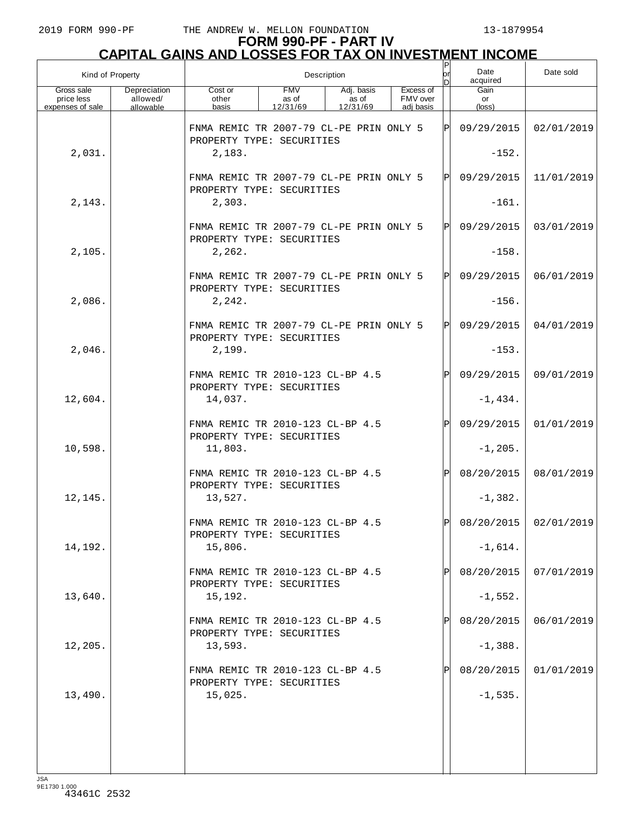| Kind of Property                             |                                       |                                                                          |                                 | Description                     |                                    | P<br>lor | Date<br>acquired              | Date sold  |
|----------------------------------------------|---------------------------------------|--------------------------------------------------------------------------|---------------------------------|---------------------------------|------------------------------------|----------|-------------------------------|------------|
| Gross sale<br>price less<br>expenses of sale | Depreciation<br>allowed/<br>allowable | Cost or<br>other<br>basis                                                | <b>FMV</b><br>as of<br>12/31/69 | Adj. basis<br>as of<br>12/31/69 | Excess of<br>FMV over<br>adi basis |          | Gain<br>or<br>$(\text{loss})$ |            |
|                                              |                                       | FNMA REMIC TR 2007-79 CL-PE PRIN ONLY 5                                  |                                 |                                 |                                    | ΙÞΙ      | 09/29/2015                    | 02/01/2019 |
| 2,031.                                       |                                       | PROPERTY TYPE: SECURITIES<br>2,183.                                      |                                 |                                 |                                    |          | $-152.$                       |            |
|                                              |                                       | FNMA REMIC TR 2007-79 CL-PE PRIN ONLY 5<br>PROPERTY TYPE: SECURITIES     |                                 |                                 |                                    | ΙЫ       | 09/29/2015                    | 11/01/2019 |
| 2,143.                                       |                                       | 2,303.                                                                   |                                 |                                 |                                    |          | $-161.$                       |            |
|                                              |                                       | FNMA REMIC TR 2007-79 CL-PE PRIN ONLY 5<br>PROPERTY TYPE: SECURITIES     |                                 |                                 |                                    | ΙЫ       | 09/29/2015                    | 03/01/2019 |
| 2,105.                                       |                                       | 2,262.                                                                   |                                 |                                 |                                    |          | $-158.$                       |            |
|                                              |                                       | FNMA REMIC TR 2007-79 CL-PE PRIN ONLY 5<br>PROPERTY TYPE: SECURITIES     |                                 |                                 |                                    | ΙЫ       | 09/29/2015                    | 06/01/2019 |
| 2,086.                                       |                                       | 2, 242.                                                                  |                                 |                                 |                                    |          | $-156.$                       |            |
|                                              |                                       | FNMA REMIC TR 2007-79 CL-PE PRIN ONLY 5<br>PROPERTY TYPE: SECURITIES     |                                 |                                 |                                    | ΙЫ       | 09/29/2015                    | 04/01/2019 |
| 2,046.                                       |                                       | 2,199.                                                                   |                                 |                                 |                                    |          | $-153.$                       |            |
|                                              |                                       | FNMA REMIC TR 2010-123 CL-BP 4.5<br>PROPERTY TYPE: SECURITIES            |                                 |                                 |                                    | ΙPΙ      | 09/29/2015                    | 09/01/2019 |
| 12,604.                                      |                                       | 14,037.                                                                  |                                 |                                 |                                    |          | $-1,434.$                     |            |
|                                              |                                       | FNMA REMIC TR 2010-123 CL-BP 4.5<br>PROPERTY TYPE: SECURITIES            |                                 |                                 |                                    | ΙPΙ      | 09/29/2015                    | 01/01/2019 |
| 10,598.                                      |                                       | 11,803.                                                                  |                                 |                                 |                                    |          | $-1, 205.$                    |            |
|                                              |                                       | FNMA REMIC TR 2010-123 CL-BP 4.5<br>PROPERTY TYPE: SECURITIES            |                                 |                                 |                                    | ΙPΙ      | 08/20/2015                    | 08/01/2019 |
| 12,145.                                      |                                       | 13,527.                                                                  |                                 |                                 |                                    |          | $-1,382.$                     |            |
|                                              |                                       | FNMA REMIC TR 2010-123 CL-BP 4.5<br>PROPERTY TYPE: SECURITIES            |                                 |                                 |                                    | וסו      | 08/20/2015                    | 02/01/2019 |
| 14,192.                                      |                                       | 15,806.                                                                  |                                 |                                 |                                    |          | $-1,614.$                     |            |
| 13,640.                                      |                                       | FNMA REMIC TR 2010-123 CL-BP 4.5<br>PROPERTY TYPE: SECURITIES<br>15,192. |                                 |                                 |                                    |          | 08/20/2015<br>$-1,552.$       | 07/01/2019 |
|                                              |                                       | FNMA REMIC TR 2010-123 CL-BP 4.5                                         |                                 |                                 |                                    |          | 08/20/2015                    | 06/01/2019 |
| 12,205.                                      |                                       | PROPERTY TYPE: SECURITIES<br>13,593.                                     |                                 |                                 |                                    |          | $-1,388.$                     |            |
|                                              |                                       | FNMA REMIC TR 2010-123 CL-BP 4.5                                         |                                 |                                 |                                    |          | 08/20/2015                    | 01/01/2019 |
| 13,490.                                      |                                       | PROPERTY TYPE: SECURITIES<br>15,025.                                     |                                 |                                 |                                    |          | $-1,535.$                     |            |
|                                              |                                       |                                                                          |                                 |                                 |                                    |          |                               |            |
|                                              |                                       |                                                                          |                                 |                                 |                                    |          |                               |            |
|                                              |                                       |                                                                          |                                 |                                 |                                    |          |                               |            |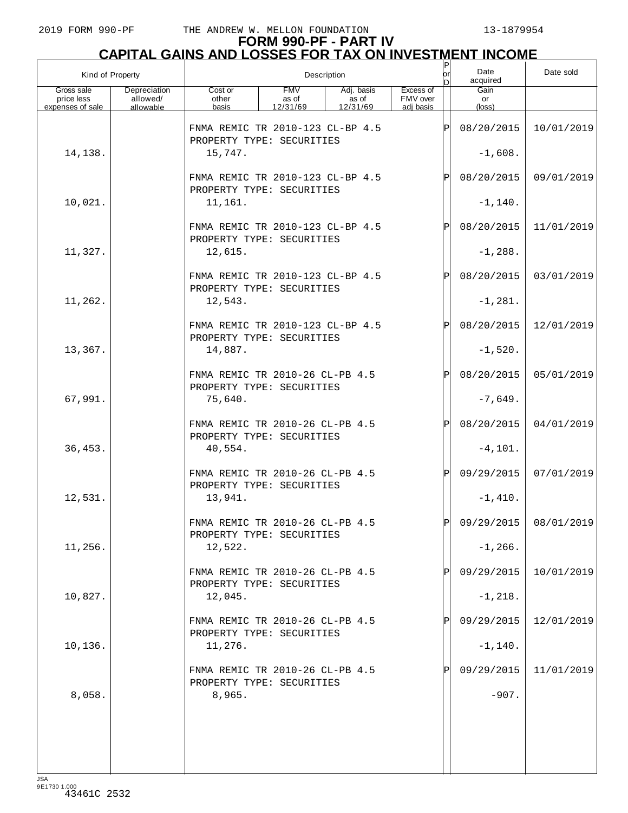| Kind of Property                             |                                       |                                                                         | Description                     | P<br>lor                        | Date<br>acquired                   | Date sold   |                               |                         |
|----------------------------------------------|---------------------------------------|-------------------------------------------------------------------------|---------------------------------|---------------------------------|------------------------------------|-------------|-------------------------------|-------------------------|
| Gross sale<br>price less<br>expenses of sale | Depreciation<br>allowed/<br>allowable | Cost or<br>other<br>basis                                               | <b>FMV</b><br>as of<br>12/31/69 | Adj. basis<br>as of<br>12/31/69 | Excess of<br>FMV over<br>adi basis |             | Gain<br>or<br>$(\text{loss})$ |                         |
|                                              |                                       | FNMA REMIC TR 2010-123 CL-BP 4.5                                        |                                 |                                 |                                    | ΙP          | 08/20/2015                    | 10/01/2019              |
| 14,138.                                      |                                       | PROPERTY TYPE: SECURITIES<br>15,747.                                    |                                 |                                 |                                    |             | $-1,608.$                     |                         |
|                                              |                                       | FNMA REMIC TR 2010-123 CL-BP 4.5<br>PROPERTY TYPE: SECURITIES           |                                 |                                 |                                    | $\mathbf P$ | 08/20/2015                    | 09/01/2019              |
| 10,021.                                      |                                       | 11,161.                                                                 |                                 |                                 |                                    |             | $-1, 140.$                    |                         |
|                                              |                                       | FNMA REMIC TR 2010-123 CL-BP 4.5<br>PROPERTY TYPE: SECURITIES           |                                 |                                 |                                    | $\mathbf P$ | 08/20/2015                    | 11/01/2019              |
| 11,327.                                      |                                       | 12,615.                                                                 |                                 |                                 |                                    |             | $-1,288.$                     |                         |
|                                              |                                       | FNMA REMIC TR 2010-123 CL-BP 4.5<br>PROPERTY TYPE: SECURITIES           |                                 |                                 |                                    | $\mathbf P$ | 08/20/2015                    | 03/01/2019              |
| 11,262.                                      |                                       | 12,543.                                                                 |                                 |                                 |                                    |             | $-1, 281.$                    |                         |
|                                              |                                       | FNMA REMIC TR 2010-123 CL-BP 4.5<br>PROPERTY TYPE: SECURITIES           |                                 |                                 |                                    | $\mathbf P$ | 08/20/2015                    | 12/01/2019              |
| 13,367.                                      |                                       | 14,887.                                                                 |                                 |                                 |                                    |             | $-1,520.$                     |                         |
|                                              |                                       | FNMA REMIC TR 2010-26 CL-PB 4.5<br>PROPERTY TYPE: SECURITIES            |                                 |                                 |                                    | $\mathbf P$ | 08/20/2015                    | 05/01/2019              |
| 67,991.                                      |                                       | 75,640.                                                                 |                                 |                                 |                                    |             | $-7,649.$                     |                         |
| 36, 453.                                     |                                       | FNMA REMIC TR 2010-26 CL-PB 4.5<br>PROPERTY TYPE: SECURITIES<br>40,554. |                                 |                                 |                                    | $\mathbf P$ | 08/20/2015<br>$-4, 101.$      | 04/01/2019              |
|                                              |                                       | FNMA REMIC TR 2010-26 CL-PB 4.5<br>PROPERTY TYPE: SECURITIES            |                                 |                                 |                                    | ΙPΙ         | 09/29/2015                    | 07/01/2019              |
| 12,531.                                      |                                       | 13,941.                                                                 |                                 |                                 |                                    |             | $-1,410.$                     |                         |
|                                              |                                       | FNMA REMIC TR 2010-26 CL-PB 4.5<br>PROPERTY TYPE: SECURITIES            |                                 |                                 |                                    | Þl          |                               | $09/29/2015$ 08/01/2019 |
| 11,256.                                      |                                       | 12,522.                                                                 |                                 |                                 |                                    |             | $-1, 266.$                    |                         |
|                                              |                                       | FNMA REMIC TR 2010-26 CL-PB 4.5<br>PROPERTY TYPE: SECURITIES            |                                 |                                 |                                    |             | 09/29/2015                    | 10/01/2019              |
| 10,827.                                      |                                       | 12,045.                                                                 |                                 |                                 |                                    |             | $-1, 218.$                    |                         |
|                                              |                                       | FNMA REMIC TR 2010-26 CL-PB 4.5<br>PROPERTY TYPE: SECURITIES            |                                 |                                 |                                    |             | 09/29/2015                    | 12/01/2019              |
| 10,136.                                      |                                       | 11,276.                                                                 |                                 |                                 |                                    |             | $-1, 140.$                    |                         |
|                                              |                                       | FNMA REMIC TR 2010-26 CL-PB 4.5<br>PROPERTY TYPE: SECURITIES            |                                 |                                 |                                    |             | 09/29/2015                    | 11/01/2019              |
| 8,058.                                       |                                       | 8,965.                                                                  |                                 |                                 |                                    |             | $-907.$                       |                         |
|                                              |                                       |                                                                         |                                 |                                 |                                    |             |                               |                         |
|                                              |                                       |                                                                         |                                 |                                 |                                    |             |                               |                         |
|                                              |                                       |                                                                         |                                 |                                 |                                    |             |                               |                         |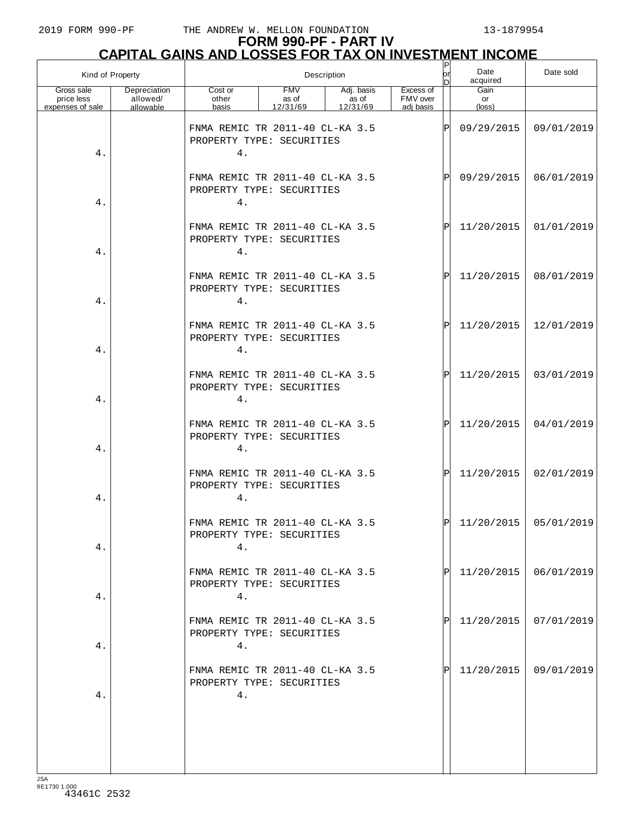| Kind of Property                             |                                       |                                                                    | Description                     | $\sf P$<br>lor<br>D             | Date<br>acquired                   | Date sold |                         |            |
|----------------------------------------------|---------------------------------------|--------------------------------------------------------------------|---------------------------------|---------------------------------|------------------------------------|-----------|-------------------------|------------|
| Gross sale<br>price less<br>expenses of sale | Depreciation<br>allowed/<br>allowable | Cost or<br>other<br>basis                                          | <b>FMV</b><br>as of<br>12/31/69 | Adj. basis<br>as of<br>12/31/69 | Excess of<br>FMV over<br>adj basis |           | Gain<br>or<br>(loss)    |            |
| 4.                                           |                                       | FNMA REMIC TR 2011-40 CL-KA 3.5<br>PROPERTY TYPE: SECURITIES<br>4. |                                 |                                 |                                    | P         | 09/29/2015              | 09/01/2019 |
| 4.                                           |                                       | FNMA REMIC TR 2011-40 CL-KA 3.5<br>PROPERTY TYPE: SECURITIES<br>4. |                                 |                                 |                                    | ΙÞΙ       | 09/29/2015              | 06/01/2019 |
| 4.                                           |                                       | FNMA REMIC TR 2011-40 CL-KA 3.5<br>PROPERTY TYPE: SECURITIES<br>4. |                                 |                                 |                                    | ΙÞΙ       | 11/20/2015              | 01/01/2019 |
| 4.                                           |                                       | FNMA REMIC TR 2011-40 CL-KA 3.5<br>PROPERTY TYPE: SECURITIES<br>4. |                                 |                                 |                                    | ΙÞΙ       | 11/20/2015              | 08/01/2019 |
| 4.                                           |                                       | FNMA REMIC TR 2011-40 CL-KA 3.5<br>PROPERTY TYPE: SECURITIES<br>4. |                                 |                                 |                                    | ΙÞΙ       | 11/20/2015              | 12/01/2019 |
| 4.                                           |                                       | FNMA REMIC TR 2011-40 CL-KA 3.5<br>PROPERTY TYPE: SECURITIES<br>4. |                                 |                                 |                                    | ΙÞΙ       | 11/20/2015              | 03/01/2019 |
| 4.                                           |                                       | FNMA REMIC TR 2011-40 CL-KA 3.5<br>PROPERTY TYPE: SECURITIES<br>4. |                                 |                                 |                                    | ΙÞΙ       | 11/20/2015              | 04/01/2019 |
| 4.                                           |                                       | FNMA REMIC TR 2011-40 CL-KA 3.5<br>PROPERTY TYPE: SECURITIES<br>4. |                                 |                                 |                                    | ΙÞΙ       | 11/20/2015              | 02/01/2019 |
| 4.                                           |                                       | FNMA REMIC TR 2011-40 CL-KA 3.5<br>PROPERTY TYPE: SECURITIES<br>4. |                                 |                                 |                                    | ldl       | $11/20/2015$ 05/01/2019 |            |
| 4.                                           |                                       | FNMA REMIC TR 2011-40 CL-KA 3.5<br>PROPERTY TYPE: SECURITIES<br>4. |                                 |                                 |                                    | IPI       | 11/20/2015              | 06/01/2019 |
| 4.                                           |                                       | FNMA REMIC TR 2011-40 CL-KA 3.5<br>PROPERTY TYPE: SECURITIES<br>4. |                                 |                                 |                                    | IPI       | 11/20/2015              | 07/01/2019 |
| 4.                                           |                                       | FNMA REMIC TR 2011-40 CL-KA 3.5<br>PROPERTY TYPE: SECURITIES<br>4. |                                 |                                 |                                    | IPI       | 11/20/2015              | 09/01/2019 |
|                                              |                                       |                                                                    |                                 |                                 |                                    |           |                         |            |
|                                              |                                       |                                                                    |                                 |                                 |                                    |           |                         |            |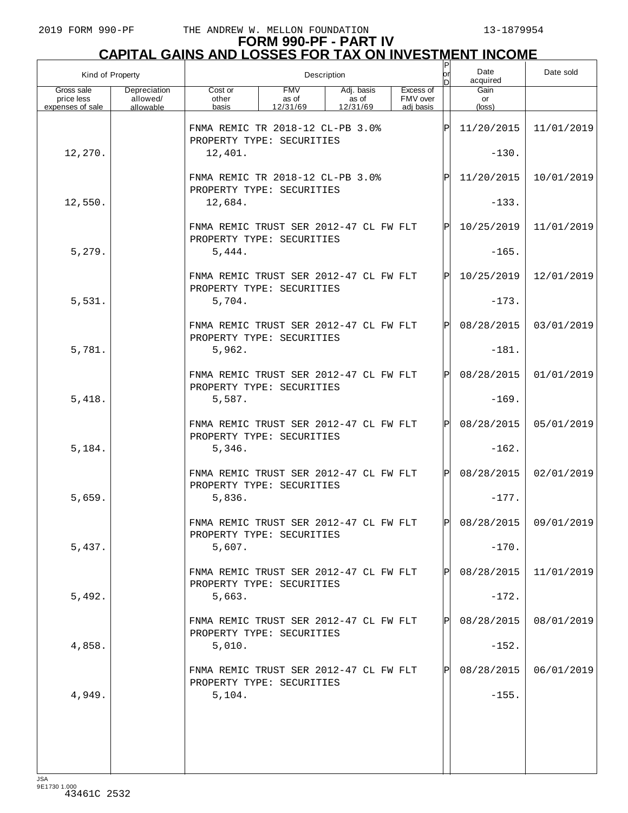# **FORM 990-PF - PART IV CAPITAL GAINS AND LOSSES FOR TAX ON INVESTMENT INCOME** P

| Kind of Property                             |                                       |                                                                     | Description                     | or                              | Date<br>acquired                   | Date sold |                       |                       |
|----------------------------------------------|---------------------------------------|---------------------------------------------------------------------|---------------------------------|---------------------------------|------------------------------------|-----------|-----------------------|-----------------------|
| Gross sale<br>price less<br>expenses of sale | Depreciation<br>allowed/<br>allowable | Cost or<br>other<br>basis                                           | <b>FMV</b><br>as of<br>12/31/69 | Adj. basis<br>as of<br>12/31/69 | Excess of<br>FMV over<br>adi basis |           | Gain<br>or<br>(loss)  |                       |
|                                              |                                       | FNMA REMIC TR 2018-12 CL-PB 3.0%                                    |                                 |                                 |                                    | ΙÞΙ       | 11/20/2015            | 11/01/2019            |
| 12,270.                                      |                                       | PROPERTY TYPE: SECURITIES<br>12,401.                                |                                 |                                 |                                    |           | $-130.$               |                       |
|                                              |                                       | FNMA REMIC TR 2018-12 CL-PB 3.0%<br>PROPERTY TYPE: SECURITIES       |                                 |                                 |                                    | ΙÞΙ       | 11/20/2015            | 10/01/2019            |
| 12,550.                                      |                                       | 12,684.                                                             |                                 |                                 |                                    |           | $-133.$               |                       |
|                                              |                                       | FNMA REMIC TRUST SER 2012-47 CL FW FLT<br>PROPERTY TYPE: SECURITIES |                                 |                                 |                                    | ΙÞΙ       | 10/25/2019            | 11/01/2019            |
| 5,279.                                       |                                       | 5,444.                                                              |                                 |                                 |                                    |           | $-165.$               |                       |
|                                              |                                       | FNMA REMIC TRUST SER 2012-47 CL FW FLT<br>PROPERTY TYPE: SECURITIES |                                 |                                 |                                    | ΙÞΙ       | 10/25/2019            | 12/01/2019            |
| 5,531.                                       |                                       | 5,704.                                                              |                                 |                                 |                                    |           | $-173.$               |                       |
|                                              |                                       | FNMA REMIC TRUST SER 2012-47 CL FW FLT<br>PROPERTY TYPE: SECURITIES |                                 |                                 |                                    | ΙÞΙ       | 08/28/2015            | 03/01/2019            |
| 5,781.                                       |                                       | 5,962.                                                              |                                 |                                 |                                    |           | $-181.$               |                       |
|                                              |                                       | FNMA REMIC TRUST SER 2012-47 CL FW FLT<br>PROPERTY TYPE: SECURITIES |                                 |                                 |                                    | ΙÞΙ       | 08/28/2015            | 01/01/2019            |
| 5,418.                                       |                                       | 5,587.                                                              |                                 |                                 |                                    |           | $-169.$               |                       |
|                                              |                                       | FNMA REMIC TRUST SER 2012-47 CL FW FLT<br>PROPERTY TYPE: SECURITIES |                                 |                                 |                                    | ΙÞΙ       | 08/28/2015            | 05/01/2019            |
| 5,184.                                       |                                       | 5,346.                                                              |                                 |                                 |                                    |           | $-162.$               |                       |
|                                              |                                       | FNMA REMIC TRUST SER 2012-47 CL FW FLT<br>PROPERTY TYPE: SECURITIES |                                 |                                 |                                    | lPl.      | 08/28/2015            | 02/01/2019            |
| 5,659.                                       |                                       | 5,836.                                                              |                                 |                                 |                                    |           | $-177.$               |                       |
|                                              |                                       | FNMA REMIC TRUST SER 2012-47 CL FW FLT<br>PROPERTY TYPE: SECURITIES |                                 |                                 |                                    | IDI       |                       | 08/28/2015 09/01/2019 |
| 5,437.                                       |                                       | 5,607.                                                              |                                 |                                 |                                    |           | $-170.$               |                       |
|                                              |                                       | FNMA REMIC TRUST SER 2012-47 CL FW FLT<br>PROPERTY TYPE: SECURITIES |                                 |                                 |                                    | IPI       | 08/28/2015            | 11/01/2019            |
| 5,492.                                       |                                       | 5,663.<br>FNMA REMIC TRUST SER 2012-47 CL FW FLT                    |                                 |                                 |                                    | IPI       | $-172.$<br>08/28/2015 | 08/01/2019            |
| 4,858.                                       |                                       | PROPERTY TYPE: SECURITIES<br>5,010.                                 |                                 |                                 |                                    |           | $-152.$               |                       |
|                                              |                                       | FNMA REMIC TRUST SER 2012-47 CL FW FLT                              |                                 |                                 |                                    | ΙPΙ       | 08/28/2015            | 06/01/2019            |
| 4,949.                                       |                                       | PROPERTY TYPE: SECURITIES<br>5,104.                                 |                                 |                                 |                                    |           | $-155.$               |                       |
|                                              |                                       |                                                                     |                                 |                                 |                                    |           |                       |                       |
|                                              |                                       |                                                                     |                                 |                                 |                                    |           |                       |                       |
|                                              |                                       |                                                                     |                                 |                                 |                                    |           |                       |                       |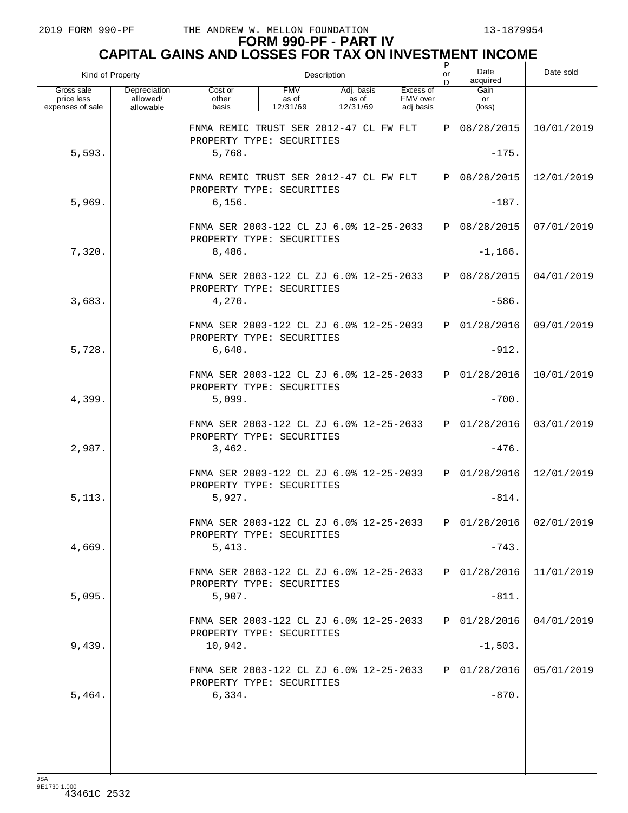## **FORM 990-PF - PART IV CAPITAL GAINS AND LOSSES FOR TAX ON INVESTMENT INCOME**

| Kind of Property                             |                                       | Description                                                          |                                 |                                 |  |                                    |              | Date<br>acquired     | Date sold               |
|----------------------------------------------|---------------------------------------|----------------------------------------------------------------------|---------------------------------|---------------------------------|--|------------------------------------|--------------|----------------------|-------------------------|
| Gross sale<br>price less<br>expenses of sale | Depreciation<br>allowed/<br>allowable | Cost or<br>other<br>basis                                            | <b>FMV</b><br>as of<br>12/31/69 | Adj. basis<br>as of<br>12/31/69 |  | Excess of<br>FMV over<br>adj basis |              | Gain<br>or<br>(loss) |                         |
|                                              |                                       | FNMA REMIC TRUST SER 2012-47 CL FW FLT<br>PROPERTY TYPE: SECURITIES  |                                 |                                 |  |                                    | $\mathbf{P}$ | 08/28/2015           | 10/01/2019              |
| 5,593.                                       |                                       | 5,768.                                                               |                                 |                                 |  |                                    |              | $-175.$              |                         |
|                                              |                                       | FNMA REMIC TRUST SER 2012-47 CL FW FLT<br>PROPERTY TYPE: SECURITIES  |                                 |                                 |  |                                    | P            | 08/28/2015           | 12/01/2019              |
| 5,969.                                       |                                       | 6, 156.                                                              |                                 |                                 |  |                                    |              | $-187.$              |                         |
|                                              |                                       | FNMA SER 2003-122 CL ZJ 6.0% 12-25-2033<br>PROPERTY TYPE: SECURITIES |                                 |                                 |  |                                    | $\mathbf P$  | 08/28/2015           | 07/01/2019              |
| 7,320.                                       |                                       | 8,486.                                                               |                                 |                                 |  |                                    |              | $-1, 166.$           |                         |
|                                              |                                       | FNMA SER 2003-122 CL ZJ 6.0% 12-25-2033<br>PROPERTY TYPE: SECURITIES |                                 |                                 |  |                                    | $\mathbf P$  | 08/28/2015           | 04/01/2019              |
| 3,683.                                       |                                       | 4,270.                                                               |                                 |                                 |  |                                    |              | $-586.$              |                         |
|                                              |                                       | FNMA SER 2003-122 CL ZJ 6.0% 12-25-2033<br>PROPERTY TYPE: SECURITIES |                                 |                                 |  |                                    | $\mathbf P$  | 01/28/2016           | 09/01/2019              |
| 5,728.                                       |                                       | 6,640.                                                               |                                 |                                 |  |                                    |              | $-912.$              |                         |
|                                              |                                       | FNMA SER 2003-122 CL ZJ 6.0% 12-25-2033<br>PROPERTY TYPE: SECURITIES |                                 |                                 |  |                                    | $\mathsf{P}$ | 01/28/2016           | 10/01/2019              |
| 4,399.                                       |                                       | 5,099.                                                               |                                 |                                 |  |                                    |              | $-700.$              |                         |
|                                              |                                       | FNMA SER 2003-122 CL ZJ 6.0% 12-25-2033<br>PROPERTY TYPE: SECURITIES |                                 |                                 |  |                                    | $\mathsf{P}$ | 01/28/2016           | 03/01/2019              |
| 2,987.                                       |                                       | 3,462.                                                               |                                 |                                 |  |                                    |              | $-476.$              |                         |
|                                              |                                       | FNMA SER 2003-122 CL ZJ 6.0% 12-25-2033<br>PROPERTY TYPE: SECURITIES |                                 |                                 |  |                                    | $\mathbf{P}$ | 01/28/2016           | 12/01/2019              |
| 5, 113.                                      |                                       | 5,927.                                                               |                                 |                                 |  |                                    |              | $-814.$              |                         |
|                                              |                                       | FNMA SER 2003-122 CL ZJ 6.0% 12-25-2033<br>PROPERTY TYPE: SECURITIES |                                 |                                 |  |                                    | ÞІ           |                      | $01/28/2016$ 02/01/2019 |
| 4,669.                                       |                                       | 5,413.                                                               |                                 |                                 |  |                                    |              | $-743.$              |                         |
|                                              |                                       | FNMA SER 2003-122 CL ZJ 6.0% 12-25-2033<br>PROPERTY TYPE: SECURITIES |                                 |                                 |  |                                    |              | 01/28/2016           | 11/01/2019              |
| 5,095.                                       |                                       | 5,907.                                                               |                                 |                                 |  |                                    |              | $-811.$              |                         |
|                                              |                                       | FNMA SER 2003-122 CL ZJ 6.0% 12-25-2033<br>PROPERTY TYPE: SECURITIES |                                 |                                 |  |                                    |              | 01/28/2016           | 04/01/2019              |
| 9,439.                                       |                                       | 10,942.                                                              |                                 |                                 |  |                                    |              | $-1,503.$            |                         |
|                                              |                                       | FNMA SER 2003-122 CL ZJ 6.0% 12-25-2033<br>PROPERTY TYPE: SECURITIES |                                 |                                 |  |                                    |              | 01/28/2016           | 05/01/2019              |
| 5,464.                                       |                                       | 6,334.                                                               |                                 |                                 |  |                                    |              | $-870.$              |                         |
|                                              |                                       |                                                                      |                                 |                                 |  |                                    |              |                      |                         |
|                                              |                                       |                                                                      |                                 |                                 |  |                                    |              |                      |                         |
|                                              |                                       |                                                                      |                                 |                                 |  |                                    |              |                      |                         |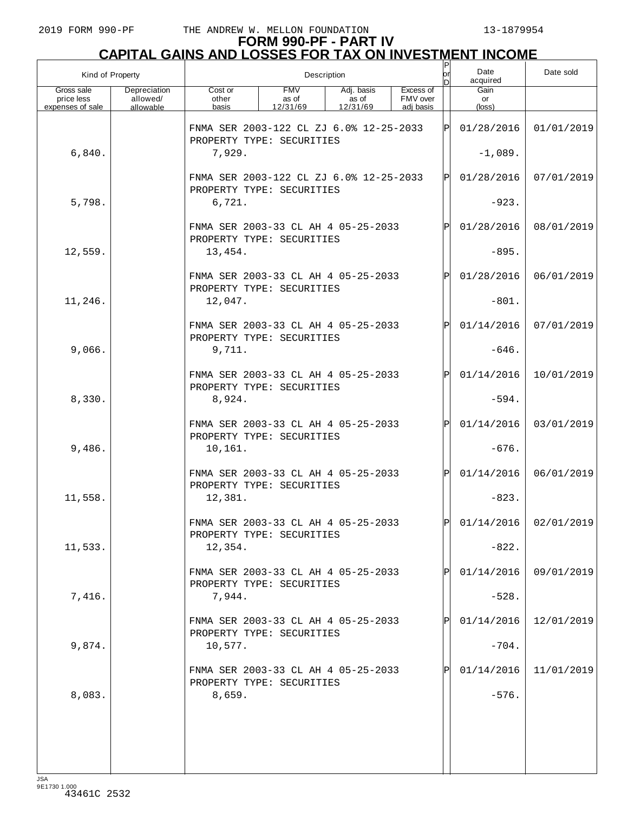| Kind of Property                             |                                       | Description                                                          |                                 |                                 |                                    |           | Date<br>acquired     | Date sold               |
|----------------------------------------------|---------------------------------------|----------------------------------------------------------------------|---------------------------------|---------------------------------|------------------------------------|-----------|----------------------|-------------------------|
| Gross sale<br>price less<br>expenses of sale | Depreciation<br>allowed/<br>allowable | Cost or<br>other<br>basis                                            | <b>FMV</b><br>as of<br>12/31/69 | Adj. basis<br>as of<br>12/31/69 | Excess of<br>FMV over<br>adi basis |           | Gain<br>or<br>(loss) |                         |
|                                              |                                       | FNMA SER 2003-122 CL ZJ 6.0% 12-25-2033<br>PROPERTY TYPE: SECURITIES |                                 |                                 |                                    | ΙPΙ       | 01/28/2016           | 01/01/2019              |
| 6,840.                                       |                                       | 7,929.                                                               |                                 |                                 |                                    | $-1,089.$ |                      |                         |
|                                              |                                       | FNMA SER 2003-122 CL ZJ 6.0% 12-25-2033<br>PROPERTY TYPE: SECURITIES |                                 |                                 |                                    | ΙPΙ       | 01/28/2016           | 07/01/2019              |
| 5,798.                                       |                                       | 6,721.                                                               |                                 |                                 |                                    |           | $-923.$              |                         |
|                                              |                                       | FNMA SER 2003-33 CL AH 4 05-25-2033<br>PROPERTY TYPE: SECURITIES     |                                 |                                 |                                    | ΙPΙ       | 01/28/2016           | 08/01/2019              |
| 12,559.                                      |                                       | 13,454.                                                              |                                 |                                 |                                    |           | $-895.$              |                         |
|                                              |                                       | FNMA SER 2003-33 CL AH 4 05-25-2033<br>PROPERTY TYPE: SECURITIES     |                                 |                                 |                                    | IPI       | 01/28/2016           | 06/01/2019              |
| 11,246.                                      |                                       | 12,047.                                                              |                                 |                                 |                                    |           | $-801.$              |                         |
|                                              |                                       | FNMA SER 2003-33 CL AH 4 05-25-2033<br>PROPERTY TYPE: SECURITIES     |                                 |                                 |                                    | ΙPΙ       | 01/14/2016           | 07/01/2019              |
| 9,066.                                       |                                       | 9,711.                                                               |                                 |                                 |                                    |           | $-646.$              |                         |
|                                              |                                       | FNMA SER 2003-33 CL AH 4 05-25-2033<br>PROPERTY TYPE: SECURITIES     |                                 |                                 |                                    | IPI       | 01/14/2016           | 10/01/2019              |
| 8,330.                                       |                                       | 8,924.                                                               |                                 |                                 |                                    |           | $-594.$              |                         |
|                                              |                                       | FNMA SER 2003-33 CL AH 4 05-25-2033<br>PROPERTY TYPE: SECURITIES     |                                 |                                 |                                    | ΙPΙ       | 01/14/2016           | 03/01/2019              |
| 9,486.                                       |                                       | 10,161.                                                              |                                 |                                 |                                    |           | $-676.$              |                         |
|                                              |                                       | FNMA SER 2003-33 CL AH 4 05-25-2033<br>PROPERTY TYPE: SECURITIES     |                                 |                                 |                                    | IÞI       | 01/14/2016           | 06/01/2019              |
| 11,558.                                      |                                       | 12,381.                                                              |                                 |                                 |                                    |           | $-823.$              |                         |
|                                              |                                       | FNMA SER 2003-33 CL AH 4 05-25-2033<br>PROPERTY TYPE: SECURITIES     |                                 |                                 |                                    | lÞI.      |                      | $01/14/2016$ 02/01/2019 |
| 11,533.                                      |                                       | 12,354.                                                              |                                 |                                 |                                    |           | $-822.$              |                         |
|                                              |                                       | FNMA SER 2003-33 CL AH 4 05-25-2033<br>PROPERTY TYPE: SECURITIES     |                                 |                                 |                                    |           | 01/14/2016           | 09/01/2019              |
| 7,416.                                       |                                       | 7,944.                                                               |                                 |                                 |                                    |           | $-528.$              |                         |
|                                              |                                       | FNMA SER 2003-33 CL AH 4 05-25-2033<br>PROPERTY TYPE: SECURITIES     |                                 |                                 |                                    |           | 01/14/2016           | 12/01/2019              |
| 9,874.                                       |                                       | 10,577.                                                              |                                 |                                 |                                    |           | $-704.$              |                         |
|                                              |                                       | FNMA SER 2003-33 CL AH 4 05-25-2033<br>PROPERTY TYPE: SECURITIES     |                                 |                                 |                                    |           | 01/14/2016           | 11/01/2019              |
| 8,083.                                       |                                       | 8,659.                                                               |                                 |                                 |                                    |           | $-576.$              |                         |
|                                              |                                       |                                                                      |                                 |                                 |                                    |           |                      |                         |
|                                              |                                       |                                                                      |                                 |                                 |                                    |           |                      |                         |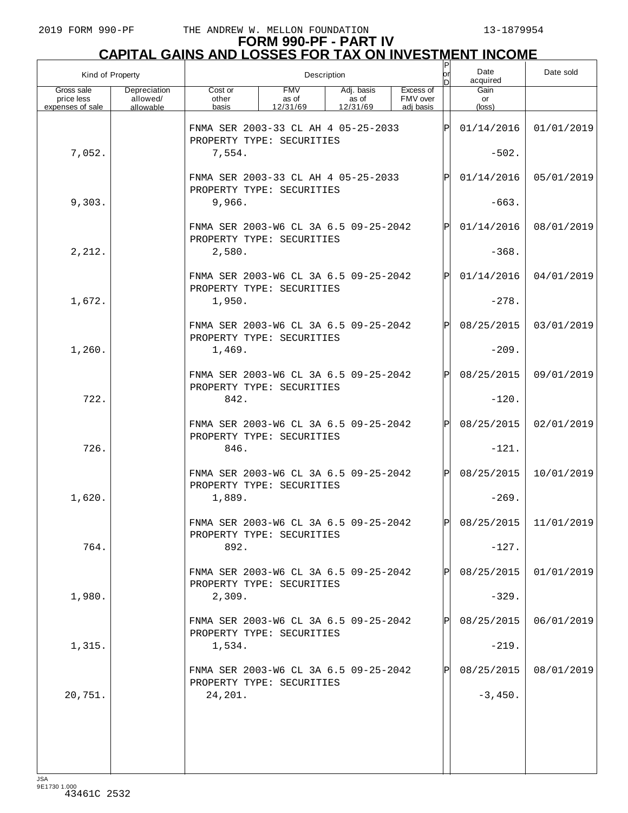# **FORM 990-PF - PART IV CAPITAL GAINS AND LOSSES FOR TAX ON INVESTMENT INCOME** P

| Kind of Property                             |                                       | Description                                                        |                                                                  |                                 |                                    |      | Date<br>acquired     | Date sold             |
|----------------------------------------------|---------------------------------------|--------------------------------------------------------------------|------------------------------------------------------------------|---------------------------------|------------------------------------|------|----------------------|-----------------------|
| Gross sale<br>price less<br>expenses of sale | Depreciation<br>allowed/<br>allowable | Cost or<br>other<br>basis                                          | <b>FMV</b><br>as of<br>12/31/69                                  | Adj. basis<br>as of<br>12/31/69 | Excess of<br>FMV over<br>adj basis |      | Gain<br>or<br>(loss) |                       |
|                                              |                                       |                                                                    | FNMA SER 2003-33 CL AH 4 05-25-2033<br>PROPERTY TYPE: SECURITIES |                                 |                                    |      |                      | 01/01/2019            |
| 7,052.                                       |                                       | 7,554.                                                             |                                                                  |                                 |                                    |      | $-502.$              |                       |
|                                              |                                       | FNMA SER 2003-33 CL AH 4 05-25-2033<br>PROPERTY TYPE: SECURITIES   |                                                                  |                                 |                                    | Þl   | 01/14/2016           | 05/01/2019            |
| 9,303.                                       |                                       | 9,966.                                                             |                                                                  |                                 |                                    |      | $-663.$              |                       |
|                                              |                                       | FNMA SER 2003-W6 CL 3A 6.5 09-25-2042<br>PROPERTY TYPE: SECURITIES |                                                                  |                                 |                                    | IPI  | 01/14/2016           | 08/01/2019            |
| 2,212.                                       |                                       | 2,580.                                                             |                                                                  |                                 |                                    |      | $-368.$              |                       |
|                                              |                                       | FNMA SER 2003-W6 CL 3A 6.5 09-25-2042<br>PROPERTY TYPE: SECURITIES |                                                                  |                                 |                                    | Þl   | 01/14/2016           | 04/01/2019            |
| 1,672.                                       |                                       | 1,950.                                                             |                                                                  |                                 |                                    |      | $-278.$              |                       |
|                                              |                                       | FNMA SER 2003-W6 CL 3A 6.5 09-25-2042<br>PROPERTY TYPE: SECURITIES |                                                                  |                                 |                                    | IPI  | 08/25/2015           | 03/01/2019            |
| 1,260.                                       |                                       | 1,469.                                                             |                                                                  |                                 |                                    |      | $-209.$              |                       |
|                                              |                                       | FNMA SER 2003-W6 CL 3A 6.5 09-25-2042<br>PROPERTY TYPE: SECURITIES |                                                                  |                                 |                                    | Þl   | 08/25/2015           | 09/01/2019            |
| 722.                                         |                                       | 842.                                                               |                                                                  |                                 |                                    |      | $-120.$              |                       |
|                                              |                                       | FNMA SER 2003-W6 CL 3A 6.5 09-25-2042<br>PROPERTY TYPE: SECURITIES |                                                                  |                                 |                                    | IPI  | 08/25/2015           | 02/01/2019            |
| 726.                                         |                                       | 846.                                                               |                                                                  |                                 |                                    |      | $-121.$              |                       |
|                                              |                                       | FNMA SER 2003-W6 CL 3A 6.5 09-25-2042<br>PROPERTY TYPE: SECURITIES |                                                                  |                                 |                                    | IPI  | 08/25/2015           | 10/01/2019            |
| 1,620.                                       |                                       | 1,889.                                                             |                                                                  |                                 |                                    |      | $-269.$              |                       |
|                                              |                                       | FNMA SER 2003-W6 CL 3A 6 5 09-25-2042<br>PROPERTY TYPE: SECURITIES |                                                                  |                                 |                                    | l DI |                      | 08/25/2015 11/01/2019 |
| 764.                                         |                                       | 892.                                                               |                                                                  |                                 |                                    |      | $-127.$              |                       |
|                                              |                                       | FNMA SER 2003-W6 CL 3A 6.5 09-25-2042<br>PROPERTY TYPE: SECURITIES |                                                                  |                                 |                                    | Þl   | 08/25/2015           | 01/01/2019            |
| 1,980.                                       |                                       | 2,309.                                                             |                                                                  |                                 |                                    |      | $-329.$              |                       |
|                                              |                                       | FNMA SER 2003-W6 CL 3A 6.5 09-25-2042<br>PROPERTY TYPE: SECURITIES |                                                                  |                                 |                                    | ΙPΙ  | 08/25/2015           | 06/01/2019            |
| 1,315.                                       |                                       | 1,534.                                                             |                                                                  |                                 |                                    |      | $-219.$              |                       |
|                                              |                                       | FNMA SER 2003-W6 CL 3A 6.5 09-25-2042<br>PROPERTY TYPE: SECURITIES |                                                                  |                                 |                                    | Þl   | 08/25/2015           | 08/01/2019            |
| 20,751.                                      |                                       | 24,201.                                                            |                                                                  |                                 |                                    |      | $-3,450.$            |                       |
|                                              |                                       |                                                                    |                                                                  |                                 |                                    |      |                      |                       |
|                                              |                                       |                                                                    |                                                                  |                                 |                                    |      |                      |                       |
|                                              |                                       |                                                                    |                                                                  |                                 |                                    |      |                      |                       |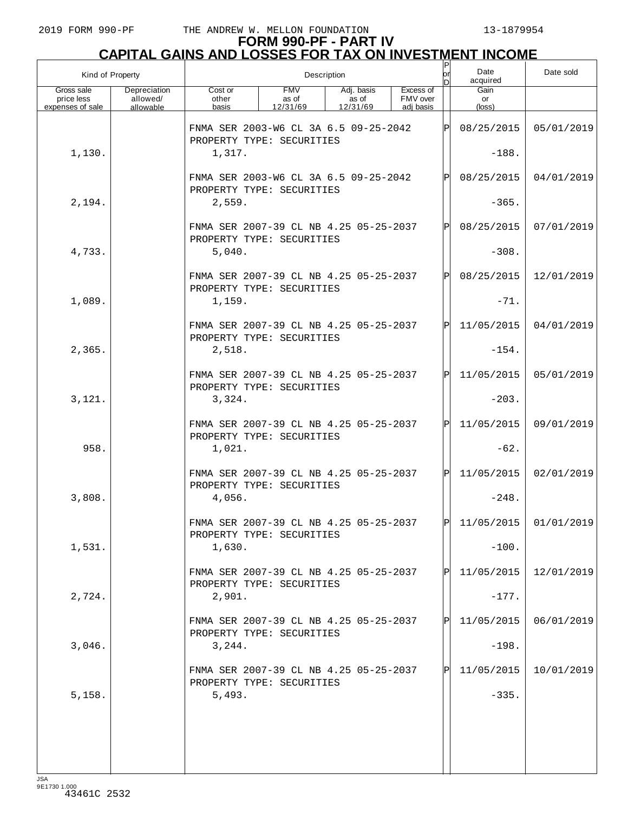|                                              | Kind of Property                      |                                                                     | Description                     |                                 |                                    |     |                         | Date sold  |
|----------------------------------------------|---------------------------------------|---------------------------------------------------------------------|---------------------------------|---------------------------------|------------------------------------|-----|-------------------------|------------|
| Gross sale<br>price less<br>expenses of sale | Depreciation<br>allowed/<br>allowable | Cost or<br>other<br>basis                                           | <b>FMV</b><br>as of<br>12/31/69 | Adj. basis<br>as of<br>12/31/69 | Excess of<br>FMV over<br>adj basis |     | Gain<br>or<br>(loss)    |            |
|                                              |                                       | FNMA SER 2003-W6 CL 3A 6.5 09-25-2042<br>PROPERTY TYPE: SECURITIES  |                                 |                                 |                                    |     | 08/25/2015              | 05/01/2019 |
| 1,130.                                       |                                       | 1,317.                                                              |                                 |                                 |                                    |     | $-188.$                 |            |
|                                              |                                       | FNMA SER 2003-W6 CL 3A 6.5 09-25-2042<br>PROPERTY TYPE: SECURITIES  |                                 |                                 |                                    | ΙPΙ | 08/25/2015              | 04/01/2019 |
| 2,194.                                       |                                       | 2,559.                                                              |                                 |                                 |                                    |     | $-365.$                 |            |
|                                              |                                       | FNMA SER 2007-39 CL NB 4.25 05-25-2037<br>PROPERTY TYPE: SECURITIES |                                 |                                 |                                    | Þl  | 08/25/2015              | 07/01/2019 |
| 4,733.                                       |                                       | 5,040.                                                              |                                 |                                 |                                    |     | $-308.$                 |            |
|                                              |                                       | FNMA SER 2007-39 CL NB 4.25 05-25-2037<br>PROPERTY TYPE: SECURITIES |                                 |                                 |                                    | Þl  | 08/25/2015              | 12/01/2019 |
| 1,089.                                       |                                       | 1,159.                                                              |                                 |                                 |                                    |     | $-71.$                  |            |
|                                              |                                       | FNMA SER 2007-39 CL NB 4.25 05-25-2037<br>PROPERTY TYPE: SECURITIES |                                 |                                 |                                    | ΙÞΙ | 11/05/2015              | 04/01/2019 |
| 2,365.                                       |                                       | 2,518.                                                              |                                 |                                 |                                    |     | $-154.$                 |            |
|                                              |                                       | FNMA SER 2007-39 CL NB 4.25 05-25-2037<br>PROPERTY TYPE: SECURITIES |                                 |                                 |                                    | ΙÞΙ | 11/05/2015              | 05/01/2019 |
| 3,121.                                       |                                       | 3,324.                                                              |                                 |                                 |                                    |     | $-203.$                 |            |
|                                              |                                       | FNMA SER 2007-39 CL NB 4.25 05-25-2037<br>PROPERTY TYPE: SECURITIES |                                 |                                 |                                    | ΙPΙ | 11/05/2015              | 09/01/2019 |
| 958.                                         |                                       | 1,021.                                                              |                                 |                                 |                                    |     | $-62.$                  |            |
|                                              |                                       | FNMA SER 2007-39 CL NB 4.25 05-25-2037<br>PROPERTY TYPE: SECURITIES |                                 |                                 |                                    | lPl | 11/05/2015              | 02/01/2019 |
| 3,808.                                       |                                       | 4,056.                                                              |                                 |                                 |                                    |     | $-248.$                 |            |
|                                              |                                       | FNMA SER 2007-39 CL NB 4.25 05-25-2037<br>PROPERTY TYPE: SECURITIES |                                 |                                 |                                    | ldl | $11/05/2015$ 01/01/2019 |            |
| 1,531.                                       |                                       | 1,630.                                                              |                                 |                                 |                                    |     | $-100.$                 |            |
|                                              |                                       | FNMA SER 2007-39 CL NB 4.25 05-25-2037<br>PROPERTY TYPE: SECURITIES |                                 |                                 |                                    | ΙPΙ | 11/05/2015              | 12/01/2019 |
| 2,724.                                       |                                       | 2,901.                                                              |                                 |                                 |                                    |     | $-177.$                 |            |
|                                              |                                       | FNMA SER 2007-39 CL NB 4.25 05-25-2037<br>PROPERTY TYPE: SECURITIES |                                 |                                 |                                    | ΙPΙ | 11/05/2015              | 06/01/2019 |
| 3,046.                                       |                                       | 3,244.                                                              |                                 |                                 |                                    |     | $-198.$                 |            |
|                                              |                                       | FNMA SER 2007-39 CL NB 4.25 05-25-2037<br>PROPERTY TYPE: SECURITIES |                                 |                                 |                                    | ΙPΙ | 11/05/2015              | 10/01/2019 |
| 5,158.                                       |                                       | 5,493.                                                              |                                 |                                 |                                    |     | $-335.$                 |            |
|                                              |                                       |                                                                     |                                 |                                 |                                    |     |                         |            |
|                                              |                                       |                                                                     |                                 |                                 |                                    |     |                         |            |
|                                              |                                       |                                                                     |                                 |                                 |                                    |     |                         |            |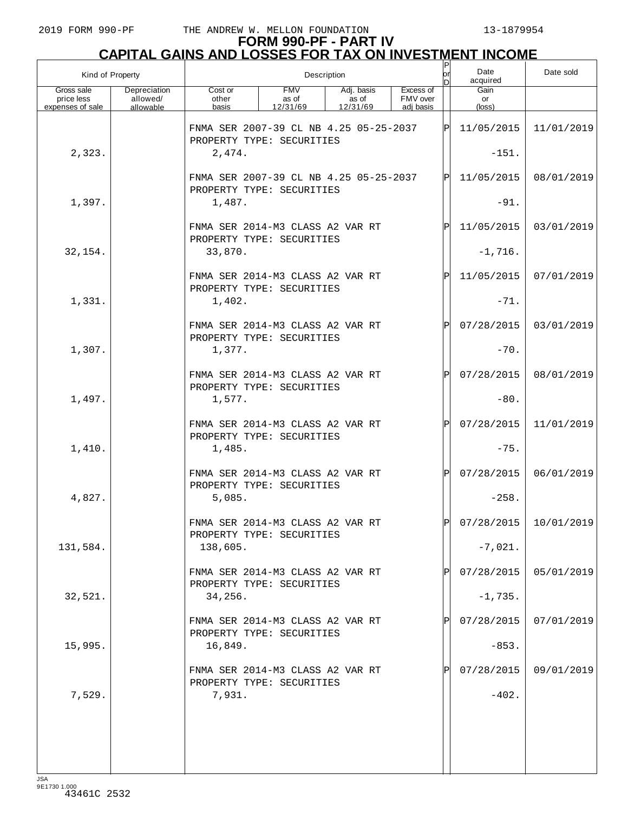# **FORM 990-PF - PART IV CAPITAL GAINS AND LOSSES FOR TAX ON INVESTMENT INCOME** P

| Kind of Property                             |                                       | Description                                                         |                                 |                                 |                                    |              | Date<br>acquired              | Date sold               |
|----------------------------------------------|---------------------------------------|---------------------------------------------------------------------|---------------------------------|---------------------------------|------------------------------------|--------------|-------------------------------|-------------------------|
| Gross sale<br>price less<br>expenses of sale | Depreciation<br>allowed/<br>allowable | Cost or<br>other<br>basis                                           | <b>FMV</b><br>as of<br>12/31/69 | Adj. basis<br>as of<br>12/31/69 | Excess of<br>FMV over<br>adi basis |              | Gain<br>or<br>$(\text{loss})$ |                         |
|                                              |                                       | FNMA SER 2007-39 CL NB 4.25 05-25-2037<br>PROPERTY TYPE: SECURITIES |                                 |                                 |                                    | ΙÞΙ          | 11/05/2015                    | 11/01/2019              |
| 2,323.                                       |                                       | 2,474.                                                              |                                 |                                 |                                    |              | $-151.$                       |                         |
|                                              |                                       | FNMA SER 2007-39 CL NB 4.25 05-25-2037<br>PROPERTY TYPE: SECURITIES |                                 |                                 |                                    | ΙÞΙ          | 11/05/2015                    | 08/01/2019              |
| 1,397.                                       |                                       | 1,487.                                                              |                                 |                                 |                                    |              | $-91.$                        |                         |
|                                              |                                       | FNMA SER 2014-M3 CLASS A2 VAR RT<br>PROPERTY TYPE: SECURITIES       |                                 |                                 |                                    | ΙPΙ          | 11/05/2015                    | 03/01/2019              |
| 32,154.                                      |                                       | 33,870.                                                             |                                 |                                 |                                    |              | $-1,716.$                     |                         |
|                                              |                                       | FNMA SER 2014-M3 CLASS A2 VAR RT<br>PROPERTY TYPE: SECURITIES       |                                 |                                 |                                    | ΙPΙ          | 11/05/2015                    | 07/01/2019              |
| 1,331.                                       |                                       | 1,402.                                                              |                                 |                                 |                                    |              | $-71.$                        |                         |
|                                              |                                       | FNMA SER 2014-M3 CLASS A2 VAR RT<br>PROPERTY TYPE: SECURITIES       |                                 |                                 |                                    | $\mathbf P$  | 07/28/2015                    | 03/01/2019              |
| 1,307.                                       |                                       | 1,377.                                                              |                                 |                                 |                                    |              | $-70.$                        |                         |
|                                              |                                       | FNMA SER 2014-M3 CLASS A2 VAR RT<br>PROPERTY TYPE: SECURITIES       |                                 |                                 |                                    | $\mathsf{P}$ | 07/28/2015                    | 08/01/2019              |
| 1,497.                                       |                                       | 1,577.                                                              |                                 |                                 |                                    |              | $-80.$                        |                         |
|                                              |                                       | FNMA SER 2014-M3 CLASS A2 VAR RT<br>PROPERTY TYPE: SECURITIES       |                                 |                                 |                                    | IPI          | 07/28/2015                    | 11/01/2019              |
| 1,410.                                       |                                       | 1,485.                                                              |                                 |                                 |                                    |              | $-75.$                        |                         |
|                                              |                                       | FNMA SER 2014-M3 CLASS A2 VAR RT<br>PROPERTY TYPE: SECURITIES       |                                 |                                 |                                    | $\mathbf P$  | 07/28/2015                    | 06/01/2019              |
| 4,827.                                       |                                       | 5,085.                                                              |                                 |                                 |                                    |              | $-258.$                       |                         |
|                                              |                                       | FNMA SER 2014-M3 CLASS A2 VAR RT<br>PROPERTY TYPE: SECURITIES       |                                 |                                 |                                    | lÞI.         |                               | $07/28/2015$ 10/01/2019 |
| 131,584.                                     |                                       | 138,605.                                                            |                                 |                                 |                                    |              | $-7,021.$                     |                         |
|                                              |                                       | FNMA SER 2014-M3 CLASS A2 VAR RT<br>PROPERTY TYPE: SECURITIES       |                                 |                                 |                                    |              | 07/28/2015                    | 05/01/2019              |
| 32,521.                                      |                                       | 34,256.                                                             |                                 |                                 |                                    |              | $-1,735.$                     |                         |
|                                              |                                       | FNMA SER 2014-M3 CLASS A2 VAR RT                                    |                                 |                                 |                                    |              | 07/28/2015                    | 07/01/2019              |
| 15,995.                                      |                                       | PROPERTY TYPE: SECURITIES<br>16,849.                                |                                 |                                 |                                    |              | $-853.$                       |                         |
|                                              |                                       | FNMA SER 2014-M3 CLASS A2 VAR RT                                    |                                 |                                 |                                    |              | 07/28/2015                    | 09/01/2019              |
| 7,529.                                       |                                       | PROPERTY TYPE: SECURITIES<br>7,931.                                 |                                 |                                 |                                    |              | $-402.$                       |                         |
|                                              |                                       |                                                                     |                                 |                                 |                                    |              |                               |                         |
|                                              |                                       |                                                                     |                                 |                                 |                                    |              |                               |                         |
|                                              |                                       |                                                                     |                                 |                                 |                                    |              |                               |                         |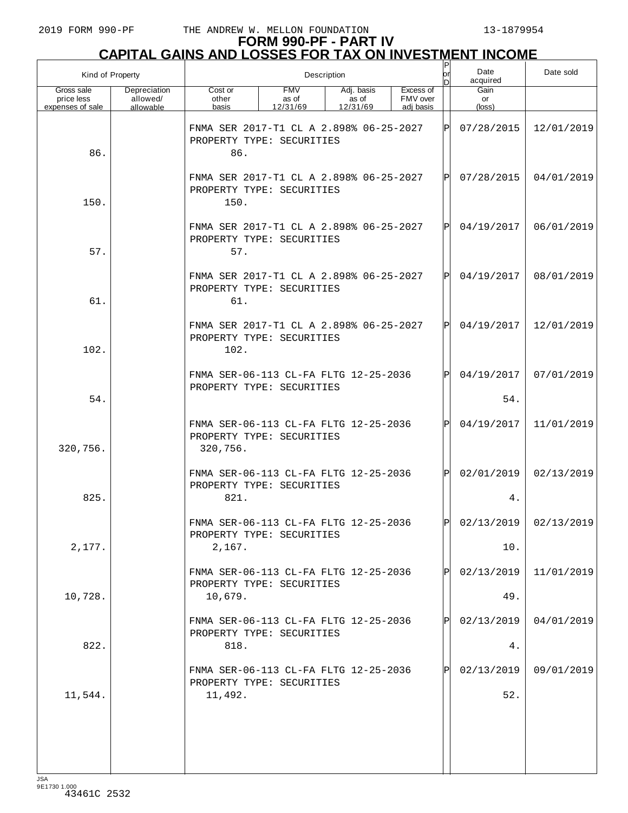## **FORM 990-PF - PART IV CAPITAL GAINS AND LOSSES FOR TAX ON INVESTMENT INCOME**

| Kind of Property                             |                                       | Description                                                                    |                                 |                                 |                                    |             | Date<br>acquired     | Date sold               |
|----------------------------------------------|---------------------------------------|--------------------------------------------------------------------------------|---------------------------------|---------------------------------|------------------------------------|-------------|----------------------|-------------------------|
| Gross sale<br>price less<br>expenses of sale | Depreciation<br>allowed/<br>allowable | Cost or<br>other<br>basis                                                      | <b>FMV</b><br>as of<br>12/31/69 | Adj. basis<br>as of<br>12/31/69 | Excess of<br>FMV over<br>adi basis |             | Gain<br>or<br>(loss) |                         |
| 86.                                          |                                       | FNMA SER 2017-T1 CL A 2.898% 06-25-2027<br>PROPERTY TYPE: SECURITIES<br>86.    |                                 |                                 |                                    | $\mathbf P$ | 07/28/2015           | 12/01/2019              |
| 150.                                         |                                       | FNMA SER 2017-T1 CL A 2.898% 06-25-2027<br>PROPERTY TYPE: SECURITIES<br>150.   |                                 |                                 |                                    | P           | 07/28/2015           | 04/01/2019              |
| 57.                                          |                                       | FNMA SER 2017-T1 CL A 2.898% 06-25-2027<br>PROPERTY TYPE: SECURITIES<br>57.    |                                 |                                 |                                    | $\mathbf P$ | 04/19/2017           | 06/01/2019              |
| 61.                                          |                                       | FNMA SER 2017-T1 CL A 2.898% 06-25-2027<br>PROPERTY TYPE: SECURITIES<br>61.    |                                 |                                 |                                    | $\mathbf P$ | 04/19/2017           | 08/01/2019              |
| 102.                                         |                                       | FNMA SER 2017-T1 CL A 2.898% 06-25-2027<br>PROPERTY TYPE: SECURITIES<br>102.   |                                 |                                 |                                    | P           | 04/19/2017           | 12/01/2019              |
| 54.                                          |                                       | FNMA SER-06-113 CL-FA FLTG 12-25-2036<br>PROPERTY TYPE: SECURITIES             |                                 |                                 |                                    | P           | 04/19/2017<br>54.    | 07/01/2019              |
| 320,756.                                     |                                       | FNMA SER-06-113 CL-FA FLTG 12-25-2036<br>PROPERTY TYPE: SECURITIES<br>320,756. |                                 |                                 |                                    | Ρ           | 04/19/2017           | 11/01/2019              |
| 825.                                         |                                       | FNMA SER-06-113 CL-FA FLTG 12-25-2036<br>PROPERTY TYPE: SECURITIES<br>821.     |                                 |                                 |                                    | P           | 02/01/2019<br>4.     | 02/13/2019              |
| 2,177.                                       |                                       | FNMA SER-06-113 CL-FA FLTG 12-25-2036<br>PROPERTY TYPE: SECURITIES<br>2,167.   |                                 |                                 |                                    | D           | 10.                  | $02/13/2019$ 02/13/2019 |
| 10,728.                                      |                                       | FNMA SER-06-113 CL-FA FLTG 12-25-2036<br>PROPERTY TYPE: SECURITIES<br>10,679.  |                                 |                                 |                                    |             | 02/13/2019<br>49.    | 11/01/2019              |
|                                              |                                       | FNMA SER-06-113 CL-FA FLTG 12-25-2036<br>PROPERTY TYPE: SECURITIES             |                                 |                                 |                                    |             | 02/13/2019           | 04/01/2019              |
| 822.                                         |                                       | 818.<br>FNMA SER-06-113 CL-FA FLTG 12-25-2036<br>PROPERTY TYPE: SECURITIES     |                                 |                                 |                                    |             | 4.<br>02/13/2019     | 09/01/2019              |
| 11,544.                                      |                                       | 11,492.                                                                        |                                 |                                 |                                    |             | 52.                  |                         |
|                                              |                                       |                                                                                |                                 |                                 |                                    |             |                      |                         |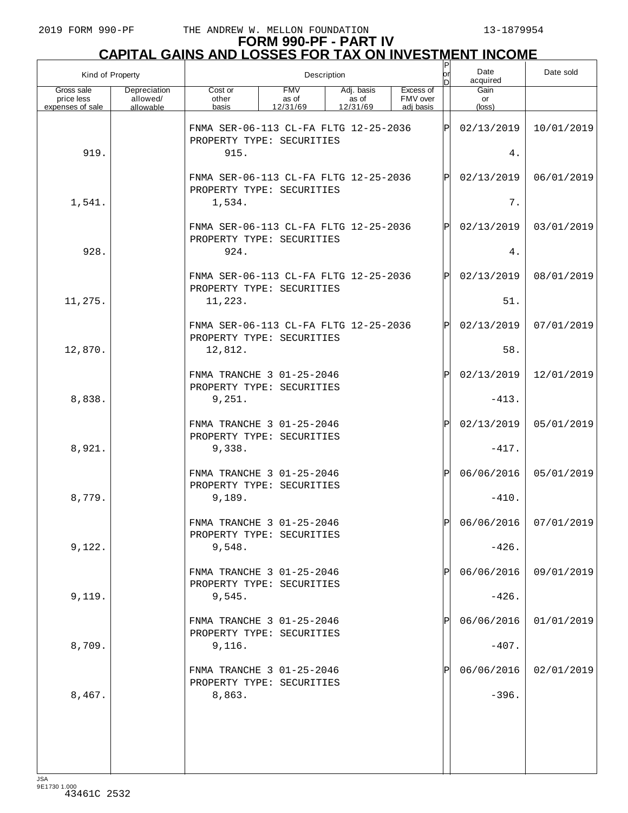## **FORM 990-PF - PART IV CAPITAL GAINS AND LOSSES FOR TAX ON INVESTMENT INCOME**

| Kind of Property                             |                                       | Description                                                        |                                 |                                 |                                    |     | Date<br>acquired     | Date sold             |
|----------------------------------------------|---------------------------------------|--------------------------------------------------------------------|---------------------------------|---------------------------------|------------------------------------|-----|----------------------|-----------------------|
| Gross sale<br>price less<br>expenses of sale | Depreciation<br>allowed/<br>allowable | Cost or<br>other<br>basis                                          | <b>FMV</b><br>as of<br>12/31/69 | Adj. basis<br>as of<br>12/31/69 | Excess of<br>FMV over<br>adj basis |     | Gain<br>or<br>(loss) |                       |
|                                              |                                       | FNMA SER-06-113 CL-FA FLTG 12-25-2036<br>PROPERTY TYPE: SECURITIES |                                 |                                 |                                    | ΙPΙ | 02/13/2019           | 10/01/2019            |
| 919.                                         |                                       | 915.                                                               |                                 |                                 |                                    |     | 4.                   |                       |
|                                              |                                       | FNMA SER-06-113 CL-FA FLTG 12-25-2036<br>PROPERTY TYPE: SECURITIES |                                 |                                 |                                    | ΙPΙ | 02/13/2019           | 06/01/2019            |
| 1,541.                                       |                                       | 1,534.                                                             |                                 |                                 |                                    |     | $7$ .                |                       |
|                                              |                                       | FNMA SER-06-113 CL-FA FLTG 12-25-2036<br>PROPERTY TYPE: SECURITIES |                                 |                                 |                                    | ΙPΙ | 02/13/2019           | 03/01/2019            |
| 928.                                         |                                       | 924.                                                               |                                 |                                 |                                    |     | 4.                   |                       |
|                                              |                                       | FNMA SER-06-113 CL-FA FLTG 12-25-2036<br>PROPERTY TYPE: SECURITIES |                                 |                                 |                                    | ΙPΙ | 02/13/2019           | 08/01/2019            |
| 11,275.                                      |                                       | 11,223.                                                            |                                 |                                 |                                    |     | 51.                  |                       |
|                                              |                                       | FNMA SER-06-113 CL-FA FLTG 12-25-2036<br>PROPERTY TYPE: SECURITIES |                                 |                                 |                                    | ΙPΙ | 02/13/2019           | 07/01/2019            |
| 12,870.                                      |                                       | 12,812.                                                            |                                 |                                 |                                    |     | 58.                  |                       |
|                                              |                                       | FNMA TRANCHE 3 01-25-2046<br>PROPERTY TYPE: SECURITIES             |                                 |                                 |                                    | ΙÞΙ | 02/13/2019           | 12/01/2019            |
| 8,838.                                       |                                       | 9,251.                                                             |                                 |                                 |                                    |     | $-413.$              |                       |
|                                              |                                       | FNMA TRANCHE 3 01-25-2046<br>PROPERTY TYPE: SECURITIES             |                                 |                                 |                                    | ΙPΙ | 02/13/2019           | 05/01/2019            |
| 8,921.                                       |                                       | 9,338.                                                             |                                 |                                 |                                    |     | $-417.$              |                       |
|                                              |                                       | FNMA TRANCHE 3 01-25-2046<br>PROPERTY TYPE: SECURITIES             |                                 |                                 |                                    | ΙÞΙ | 06/06/2016           | 05/01/2019            |
| 8,779.                                       |                                       | 9,189.                                                             |                                 |                                 |                                    |     | $-410.$              |                       |
|                                              |                                       | FNMA TRANCHE 3 01-25-2046<br>PROPERTY TYPE: SECURITIES             |                                 |                                 |                                    | ldl |                      | 06/06/2016 07/01/2019 |
| 9,122.                                       |                                       | 9,548.                                                             |                                 |                                 |                                    |     | $-426.$              |                       |
|                                              |                                       | FNMA TRANCHE 3 01-25-2046<br>PROPERTY TYPE: SECURITIES             |                                 |                                 |                                    | P   | 06/06/2016           | 09/01/2019            |
| 9,119.                                       |                                       | 9,545.                                                             |                                 |                                 |                                    |     | $-426.$              |                       |
|                                              |                                       | FNMA TRANCHE 3 01-25-2046<br>PROPERTY TYPE: SECURITIES             |                                 |                                 |                                    | P   | 06/06/2016           | 01/01/2019            |
| 8,709.                                       |                                       | 9,116.                                                             |                                 |                                 |                                    |     | $-407.$              |                       |
|                                              |                                       | FNMA TRANCHE 3 01-25-2046<br>PROPERTY TYPE: SECURITIES             |                                 |                                 |                                    | P   | 06/06/2016           | 02/01/2019            |
| 8,467.                                       |                                       | 8,863.                                                             |                                 |                                 |                                    |     | $-396.$              |                       |
|                                              |                                       |                                                                    |                                 |                                 |                                    |     |                      |                       |
|                                              |                                       |                                                                    |                                 |                                 |                                    |     |                      |                       |
|                                              |                                       |                                                                    |                                 |                                 |                                    |     |                      |                       |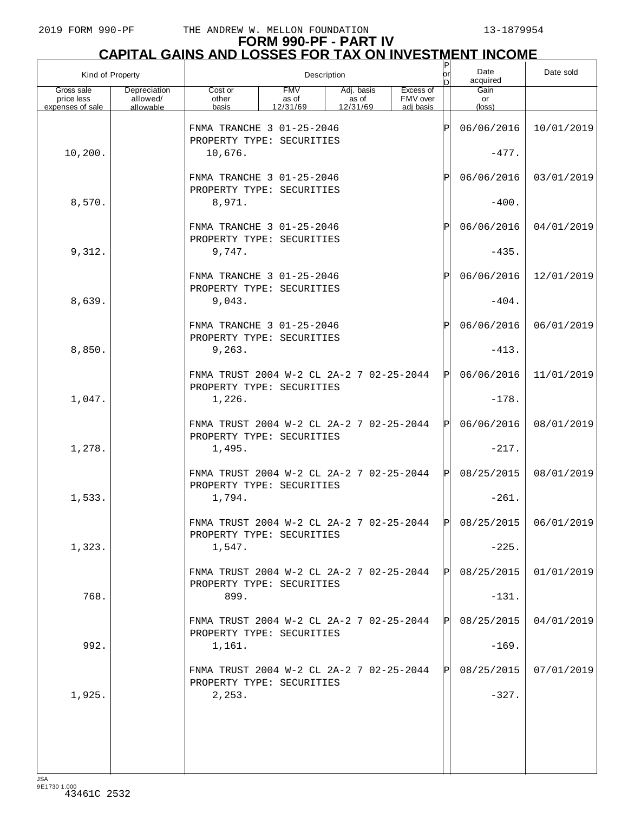# **FORM 990-PF - PART IV CAPITAL GAINS AND LOSSES FOR TAX ON INVESTMENT INCOME** P

| Kind of Property                             |                                       |                                                                       | Description                     | or<br>bl                        | Date<br>acquired                   | Date sold |                      |                         |
|----------------------------------------------|---------------------------------------|-----------------------------------------------------------------------|---------------------------------|---------------------------------|------------------------------------|-----------|----------------------|-------------------------|
| Gross sale<br>price less<br>expenses of sale | Depreciation<br>allowed/<br>allowable | Cost or<br>other<br>basis                                             | <b>FMV</b><br>as of<br>12/31/69 | Adj. basis<br>as of<br>12/31/69 | Excess of<br>FMV over<br>adj basis |           | Gain<br>or<br>(loss) |                         |
|                                              |                                       | FNMA TRANCHE 3 01-25-2046                                             |                                 |                                 |                                    | ΙP        | 06/06/2016           | 10/01/2019              |
| 10,200.                                      |                                       | PROPERTY TYPE: SECURITIES<br>10,676.                                  |                                 |                                 |                                    |           | $-477.$              |                         |
|                                              |                                       | FNMA TRANCHE 3 01-25-2046                                             |                                 |                                 |                                    | ΙP        | 06/06/2016           | 03/01/2019              |
| 8,570.                                       |                                       | PROPERTY TYPE: SECURITIES<br>8,971.                                   |                                 |                                 |                                    |           | $-400.$              |                         |
|                                              |                                       | FNMA TRANCHE 3 01-25-2046<br>PROPERTY TYPE: SECURITIES                |                                 |                                 |                                    | ΙP        | 06/06/2016           | 04/01/2019              |
| 9,312.                                       |                                       | 9,747.                                                                |                                 |                                 |                                    |           | $-435.$              |                         |
|                                              |                                       | FNMA TRANCHE 3 01-25-2046<br>PROPERTY TYPE: SECURITIES                |                                 |                                 |                                    | ΙP        | 06/06/2016           | 12/01/2019              |
| 8,639.                                       |                                       | 9,043.                                                                |                                 |                                 |                                    |           | $-404.$              |                         |
|                                              |                                       | FNMA TRANCHE 3 01-25-2046<br>PROPERTY TYPE: SECURITIES                |                                 |                                 |                                    | ΙP        | 06/06/2016           | 06/01/2019              |
| 8,850.                                       |                                       | 9, 263.                                                               |                                 |                                 |                                    |           | $-413.$              |                         |
|                                              |                                       | FNMA TRUST 2004 W-2 CL 2A-2 7 02-25-2044<br>PROPERTY TYPE: SECURITIES |                                 |                                 |                                    | ΙPΙ       | 06/06/2016           | 11/01/2019              |
| 1,047.                                       |                                       | 1,226.                                                                |                                 |                                 |                                    |           | $-178.$              |                         |
|                                              |                                       | FNMA TRUST 2004 W-2 CL 2A-2 7 02-25-2044<br>PROPERTY TYPE: SECURITIES |                                 |                                 |                                    | ΙPΙ       | 06/06/2016           | 08/01/2019              |
| 1,278.                                       |                                       | 1,495.                                                                |                                 |                                 |                                    |           | $-217.$              |                         |
|                                              |                                       | FNMA TRUST 2004 W-2 CL 2A-2 7 02-25-2044<br>PROPERTY TYPE: SECURITIES |                                 |                                 |                                    | ΙPΙ       | 08/25/2015           | 08/01/2019              |
| 1,533.                                       |                                       | 1,794.                                                                |                                 |                                 |                                    |           | $-261.$              |                         |
|                                              |                                       | FNMA TRUST 2004 W-2 CL 2A-2 7 02-25-2044<br>PROPERTY TYPE: SECURITIES |                                 |                                 |                                    | P         |                      | $08/25/2015$ 06/01/2019 |
| 1,323.                                       |                                       | 1,547.                                                                |                                 |                                 |                                    |           | $-225.$              |                         |
|                                              |                                       | FNMA TRUST 2004 W-2 CL 2A-2 7 02-25-2044<br>PROPERTY TYPE: SECURITIES |                                 |                                 |                                    |           | 08/25/2015           | 01/01/2019              |
| 768.                                         |                                       | 899.                                                                  |                                 |                                 |                                    |           | $-131.$              |                         |
|                                              |                                       | FNMA TRUST 2004 W-2 CL 2A-2 7 02-25-2044<br>PROPERTY TYPE: SECURITIES |                                 |                                 |                                    | IPI       | 08/25/2015           | 04/01/2019              |
| 992.                                         |                                       | 1,161.                                                                |                                 |                                 |                                    |           | $-169.$              |                         |
|                                              |                                       | FNMA TRUST 2004 W-2 CL 2A-2 7 02-25-2044<br>PROPERTY TYPE: SECURITIES |                                 |                                 |                                    |           | 08/25/2015           | 07/01/2019              |
| 1,925.                                       |                                       | 2, 253.                                                               |                                 |                                 |                                    |           | $-327.$              |                         |
|                                              |                                       |                                                                       |                                 |                                 |                                    |           |                      |                         |
|                                              |                                       |                                                                       |                                 |                                 |                                    |           |                      |                         |
|                                              |                                       |                                                                       |                                 |                                 |                                    |           |                      |                         |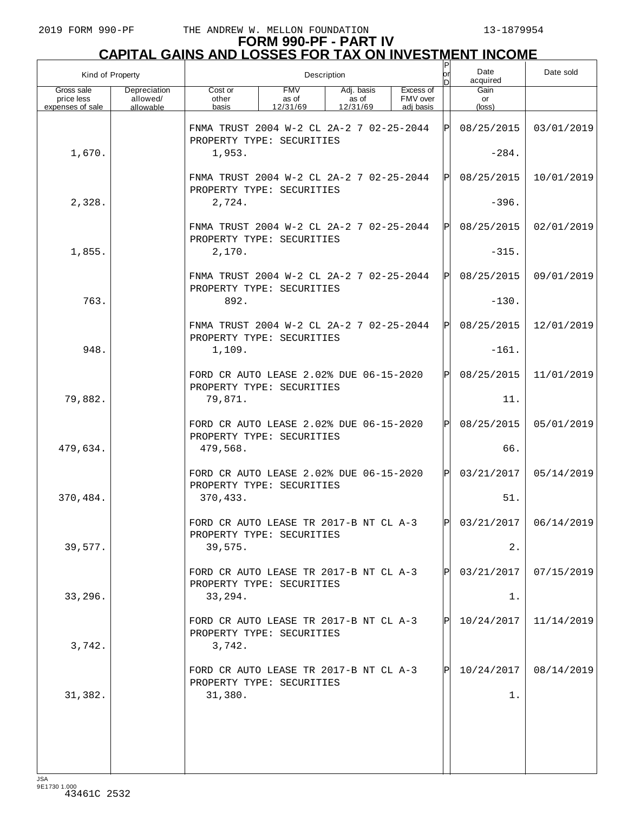| Kind of Property                             |                                       |                                                                               | Description                     | or                              | Date<br>acquired                   | Date sold |                      |                         |
|----------------------------------------------|---------------------------------------|-------------------------------------------------------------------------------|---------------------------------|---------------------------------|------------------------------------|-----------|----------------------|-------------------------|
| Gross sale<br>price less<br>expenses of sale | Depreciation<br>allowed/<br>allowable | Cost or<br>other<br>basis                                                     | <b>FMV</b><br>as of<br>12/31/69 | Adj. basis<br>as of<br>12/31/69 | Excess of<br>FMV over<br>adj basis |           | Gain<br>or<br>(loss) |                         |
|                                              |                                       | FNMA TRUST 2004 W-2 CL 2A-2 7 02-25-2044<br>IPI<br>PROPERTY TYPE: SECURITIES  |                                 |                                 |                                    |           | 08/25/2015           | 03/01/2019              |
| 1,670.                                       |                                       | 1,953.                                                                        |                                 |                                 |                                    |           | $-284.$              |                         |
|                                              |                                       | FNMA TRUST 2004 W-2 CL 2A-2 7 02-25-2044<br>PROPERTY TYPE: SECURITIES         |                                 |                                 |                                    | ΙÞΙ       | 08/25/2015           | 10/01/2019              |
| 2,328.                                       |                                       | 2,724.                                                                        |                                 |                                 |                                    |           | $-396.$              |                         |
|                                              |                                       | FNMA TRUST 2004 W-2 CL 2A-2 7 02-25-2044<br>PROPERTY TYPE: SECURITIES         |                                 |                                 |                                    | IPI       | 08/25/2015           | 02/01/2019              |
| 1,855.                                       |                                       | 2,170.                                                                        |                                 |                                 |                                    |           | $-315.$              |                         |
|                                              |                                       | FNMA TRUST 2004 W-2 CL 2A-2 7 02-25-2044<br>PROPERTY TYPE: SECURITIES         |                                 |                                 |                                    | ΙÞΙ       | 08/25/2015           | 09/01/2019              |
| 763.                                         |                                       | 892.                                                                          |                                 |                                 |                                    |           | $-130.$              |                         |
|                                              |                                       | FNMA TRUST 2004 W-2 CL 2A-2 7 02-25-2044<br>PROPERTY TYPE: SECURITIES         |                                 |                                 |                                    | IPI       | 08/25/2015           | 12/01/2019              |
| 948.                                         |                                       | 1,109.                                                                        |                                 |                                 |                                    |           | $-161.$              |                         |
|                                              |                                       | FORD CR AUTO LEASE 2.02% DUE 06-15-2020<br>PROPERTY TYPE: SECURITIES          |                                 |                                 |                                    | IPI       | 08/25/2015           | 11/01/2019              |
| 79,882.                                      |                                       | 79,871.                                                                       |                                 |                                 |                                    |           | 11.                  |                         |
|                                              |                                       | FORD CR AUTO LEASE 2.02% DUE 06-15-2020<br>PROPERTY TYPE: SECURITIES          |                                 |                                 |                                    | IPI       | 08/25/2015           | 05/01/2019              |
| 479,634.                                     |                                       | 479,568.                                                                      |                                 |                                 |                                    |           | 66.                  |                         |
|                                              |                                       | FORD CR AUTO LEASE 2.02% DUE 06-15-2020<br>PROPERTY TYPE: SECURITIES          |                                 |                                 |                                    | IPI       | 03/21/2017           | 05/14/2019              |
| 370,484.                                     |                                       | 370,433.                                                                      |                                 |                                 |                                    |           | 51.                  |                         |
|                                              |                                       | FORD CR AUTO LEASE TR 2017-B NT CL A-3<br>PROPERTY TYPE: SECURITIES           |                                 |                                 |                                    | l pl      |                      | $03/21/2017$ 06/14/2019 |
| 39,577.                                      |                                       | 39,575.                                                                       |                                 |                                 |                                    |           | 2.                   |                         |
|                                              |                                       | FORD CR AUTO LEASE TR 2017-B NT CL A-3<br>PROPERTY TYPE: SECURITIES           |                                 |                                 |                                    | IPI       | 03/21/2017           | 07/15/2019              |
| 33,296.                                      |                                       | 33,294.                                                                       |                                 |                                 |                                    |           | 1.                   |                         |
| 3,742.                                       |                                       | FORD CR AUTO LEASE TR 2017-B NT CL A-3<br>PROPERTY TYPE: SECURITIES<br>3,742. |                                 |                                 |                                    | IPI       | 10/24/2017           | 11/14/2019              |
|                                              |                                       | FORD CR AUTO LEASE TR 2017-B NT CL A-3<br>PROPERTY TYPE: SECURITIES           |                                 |                                 |                                    | IPI       | 10/24/2017           | 08/14/2019              |
| 31,382.                                      |                                       | 31,380.                                                                       |                                 |                                 |                                    |           | 1.                   |                         |
|                                              |                                       |                                                                               |                                 |                                 |                                    |           |                      |                         |
|                                              |                                       |                                                                               |                                 |                                 |                                    |           |                      |                         |
|                                              |                                       |                                                                               |                                 |                                 |                                    |           |                      |                         |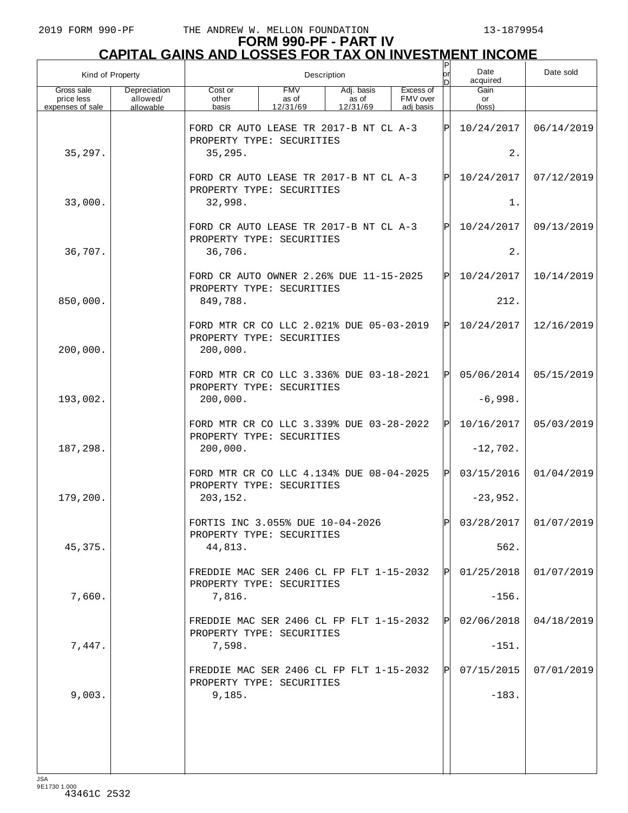## **FORM 990-PF - PART IV CAPITAL GAINS AND LOSSES FOR TAX ON INVESTMENT INCOME**

| Kind of Property                             |                                       | Description                                                                                                                           |  |  |  |     | Date<br>acquired              | Date sold             |
|----------------------------------------------|---------------------------------------|---------------------------------------------------------------------------------------------------------------------------------------|--|--|--|-----|-------------------------------|-----------------------|
| Gross sale<br>price less<br>expenses of sale | Depreciation<br>allowed/<br>allowable | <b>FMV</b><br>Excess of<br>Cost or<br>Adj. basis<br>FMV over<br>other<br>as of<br>as of<br>12/31/69<br>12/31/69<br>basis<br>adj basis |  |  |  |     | Gain<br>or<br>$(\text{loss})$ |                       |
|                                              |                                       | FORD CR AUTO LEASE TR 2017-B NT CL A-3<br>PROPERTY TYPE: SECURITIES                                                                   |  |  |  | ΙPΙ | 10/24/2017                    | 06/14/2019            |
| 35,297.                                      |                                       | 35, 295.                                                                                                                              |  |  |  |     | 2.                            |                       |
|                                              |                                       | FORD CR AUTO LEASE TR 2017-B NT CL A-3<br>PROPERTY TYPE: SECURITIES                                                                   |  |  |  | ΙPΙ | 10/24/2017                    | 07/12/2019            |
| 33,000.                                      |                                       | 32,998.                                                                                                                               |  |  |  | 1.  |                               |                       |
|                                              |                                       | FORD CR AUTO LEASE TR 2017-B NT CL A-3<br>PROPERTY TYPE: SECURITIES                                                                   |  |  |  | ΙPΙ | 10/24/2017                    | 09/13/2019            |
| 36,707.                                      |                                       | 36,706.                                                                                                                               |  |  |  |     | 2.                            |                       |
|                                              |                                       | FORD CR AUTO OWNER 2.26% DUE 11-15-2025<br>PROPERTY TYPE: SECURITIES                                                                  |  |  |  | ΙPΙ | 10/24/2017                    | 10/14/2019            |
| 850,000.                                     |                                       | 849,788.                                                                                                                              |  |  |  |     | 212.                          |                       |
| 200,000.                                     |                                       | FORD MTR CR CO LLC 2.021% DUE 05-03-2019<br>PROPERTY TYPE: SECURITIES<br>200,000.                                                     |  |  |  | ΙPΙ | 10/24/2017                    | 12/16/2019            |
|                                              |                                       | FORD MTR CR CO LLC 3.336% DUE 03-18-2021                                                                                              |  |  |  | ΙPΙ | 05/06/2014                    | 05/15/2019            |
| 193,002.                                     |                                       | PROPERTY TYPE: SECURITIES<br>200,000.                                                                                                 |  |  |  |     | $-6,998.$                     |                       |
|                                              |                                       | FORD MTR CR CO LLC 3.339% DUE 03-28-2022                                                                                              |  |  |  | ΙPΙ | 10/16/2017                    | 05/03/2019            |
| 187,298.                                     |                                       | PROPERTY TYPE: SECURITIES<br>200,000.                                                                                                 |  |  |  |     | $-12,702.$                    |                       |
|                                              |                                       | FORD MTR CR CO LLC 4.134% DUE 08-04-2025<br>PROPERTY TYPE: SECURITIES                                                                 |  |  |  | ΙPΙ | 03/15/2016                    | 01/04/2019            |
| 179,200.                                     |                                       | 203,152.                                                                                                                              |  |  |  |     | $-23,952.$                    |                       |
|                                              |                                       | FORTIS INC 3.055% DUE 10-04-2026<br>PROPERTY TYPE: SECURITIES                                                                         |  |  |  | ldl |                               | 03/28/2017 01/07/2019 |
| 45, 375.                                     |                                       | 44,813.                                                                                                                               |  |  |  |     | 562.                          |                       |
|                                              |                                       | FREDDIE MAC SER 2406 CL FP FLT 1-15-2032<br>PROPERTY TYPE: SECURITIES                                                                 |  |  |  | IPI | 01/25/2018                    | 01/07/2019            |
| 7,660.                                       |                                       | 7,816.                                                                                                                                |  |  |  |     | $-156.$                       |                       |
|                                              |                                       | FREDDIE MAC SER 2406 CL FP FLT 1-15-2032<br>PROPERTY TYPE: SECURITIES                                                                 |  |  |  | IPI | 02/06/2018                    | 04/18/2019            |
| 7,447.                                       |                                       | 7,598.                                                                                                                                |  |  |  |     | $-151.$                       |                       |
|                                              |                                       | FREDDIE MAC SER 2406 CL FP FLT 1-15-2032<br>PROPERTY TYPE: SECURITIES                                                                 |  |  |  | ΙPΙ | 07/15/2015                    | 07/01/2019            |
| 9,003.                                       |                                       | 9,185.                                                                                                                                |  |  |  |     | $-183.$                       |                       |
|                                              |                                       |                                                                                                                                       |  |  |  |     |                               |                       |
|                                              |                                       |                                                                                                                                       |  |  |  |     |                               |                       |
|                                              |                                       |                                                                                                                                       |  |  |  |     |                               |                       |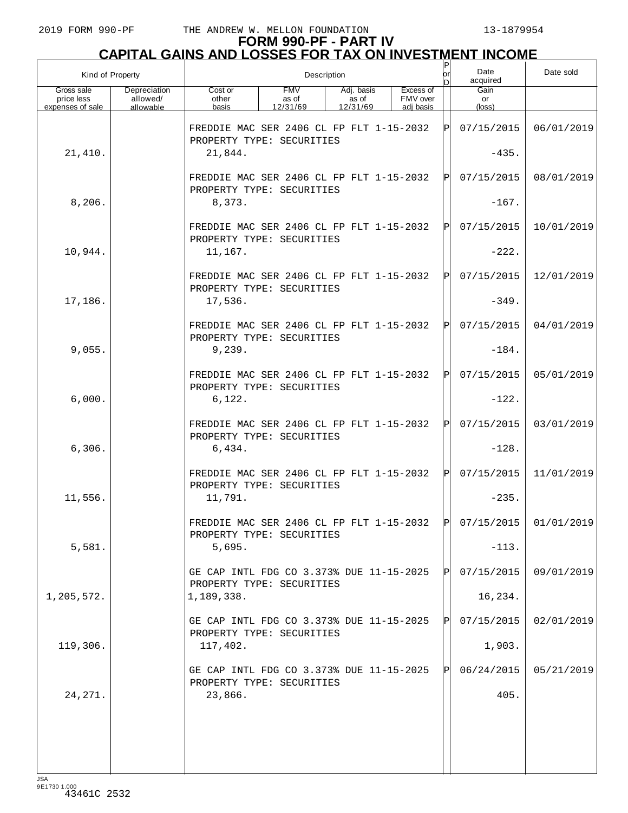# **FORM 990-PF - PART IV CAPITAL GAINS AND LOSSES FOR TAX ON INVESTMENT INCOME** P

| Kind of Property                             |                                       | Description                                                                      |                                 |                                 |                                    |     | Date<br>acquired                  | Date sold  |
|----------------------------------------------|---------------------------------------|----------------------------------------------------------------------------------|---------------------------------|---------------------------------|------------------------------------|-----|-----------------------------------|------------|
| Gross sale<br>price less<br>expenses of sale | Depreciation<br>allowed/<br>allowable | Cost or<br>other<br>basis                                                        | <b>FMV</b><br>as of<br>12/31/69 | Adj. basis<br>as of<br>12/31/69 | Excess of<br>FMV over<br>adj basis |     | Gain<br>or<br>$(\text{loss})$     |            |
|                                              |                                       | FREDDIE MAC SER 2406 CL FP FLT 1-15-2032<br>PROPERTY TYPE: SECURITIES            |                                 |                                 |                                    | ΙPΙ | 07/15/2015                        | 06/01/2019 |
| 21,410.                                      |                                       | 21,844.                                                                          |                                 |                                 |                                    |     | $-435.$                           |            |
|                                              |                                       | FREDDIE MAC SER 2406 CL FP FLT 1-15-2032<br>PROPERTY TYPE: SECURITIES            |                                 |                                 |                                    | ΙPΙ | 07/15/2015                        | 08/01/2019 |
| 8,206.                                       |                                       | 8,373.                                                                           |                                 |                                 |                                    |     | $-167.$                           |            |
|                                              |                                       | FREDDIE MAC SER 2406 CL FP FLT 1-15-2032<br>PROPERTY TYPE: SECURITIES            |                                 |                                 |                                    | IPI | 07/15/2015                        | 10/01/2019 |
| 10,944.                                      |                                       | 11,167.                                                                          |                                 |                                 |                                    |     | $-222.$                           |            |
| 17,186.                                      |                                       | FREDDIE MAC SER 2406 CL FP FLT 1-15-2032<br>PROPERTY TYPE: SECURITIES<br>17,536. |                                 |                                 |                                    | IPI | 07/15/2015<br>$-349.$             | 12/01/2019 |
|                                              |                                       | FREDDIE MAC SER 2406 CL FP FLT 1-15-2032                                         |                                 |                                 |                                    | ΙPΙ | 07/15/2015                        | 04/01/2019 |
| 9,055.                                       |                                       | PROPERTY TYPE: SECURITIES<br>9,239.                                              |                                 |                                 |                                    |     | $-184.$                           |            |
|                                              |                                       | FREDDIE MAC SER 2406 CL FP FLT 1-15-2032                                         |                                 |                                 |                                    | ΙPΙ | 07/15/2015                        | 05/01/2019 |
| 6,000.                                       |                                       | PROPERTY TYPE: SECURITIES<br>6,122.                                              |                                 |                                 |                                    |     | $-122.$                           |            |
|                                              |                                       | FREDDIE MAC SER 2406 CL FP FLT 1-15-2032                                         |                                 |                                 |                                    | ΙÞΙ | 07/15/2015                        | 03/01/2019 |
| 6,306.                                       |                                       | PROPERTY TYPE: SECURITIES<br>6,434.                                              |                                 |                                 |                                    |     | $-128.$                           |            |
|                                              |                                       | FREDDIE MAC SER 2406 CL FP FLT 1-15-2032<br>PROPERTY TYPE: SECURITIES            |                                 |                                 |                                    | ΙPΙ | 07/15/2015                        | 11/01/2019 |
| 11,556.                                      |                                       | 11,791.                                                                          |                                 |                                 |                                    |     | $-235.$                           |            |
|                                              |                                       | FREDDIE MAC SER 2406 CL FP FLT 1-15-2032<br>PROPERTY TYPE: SECURITIES            |                                 |                                 |                                    |     | $ {\bf p} $ 07/15/2015 01/01/2019 |            |
| 5,581.                                       |                                       | 5,695.                                                                           |                                 |                                 |                                    |     | $-113.$                           |            |
|                                              |                                       | GE CAP INTL FDG CO 3.373% DUE 11-15-2025<br>PROPERTY TYPE: SECURITIES            |                                 |                                 |                                    |     | 07/15/2015                        | 09/01/2019 |
| 1,205,572.                                   |                                       | 1,189,338.                                                                       |                                 |                                 |                                    |     | 16,234.                           |            |
|                                              |                                       | GE CAP INTL FDG CO 3.373% DUE 11-15-2025<br>PROPERTY TYPE: SECURITIES            |                                 |                                 |                                    |     | 07/15/2015                        | 02/01/2019 |
| 119,306.                                     |                                       | 117,402.                                                                         |                                 |                                 |                                    |     | 1,903.                            |            |
|                                              |                                       | GE CAP INTL FDG CO 3.373% DUE 11-15-2025<br>PROPERTY TYPE: SECURITIES            |                                 |                                 |                                    |     | 06/24/2015                        | 05/21/2019 |
| 24, 271.                                     |                                       | 23,866.                                                                          |                                 |                                 |                                    |     | 405.                              |            |
|                                              |                                       |                                                                                  |                                 |                                 |                                    |     |                                   |            |
|                                              |                                       |                                                                                  |                                 |                                 |                                    |     |                                   |            |
|                                              |                                       |                                                                                  |                                 |                                 |                                    |     |                                   |            |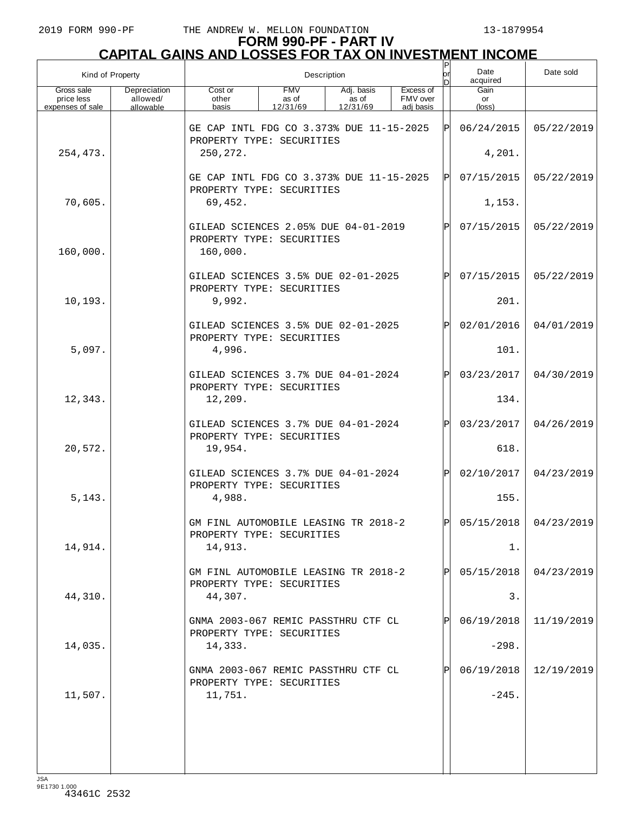# **FORM 990-PF - PART IV CAPITAL GAINS AND LOSSES FOR TAX ON INVESTMENT INCOME** P

| Kind of Property                             |                                       | Description                                                                                                                           |    |            |            |     | Date<br>acquired              | Date sold  |
|----------------------------------------------|---------------------------------------|---------------------------------------------------------------------------------------------------------------------------------------|----|------------|------------|-----|-------------------------------|------------|
| Gross sale<br>price less<br>expenses of sale | Depreciation<br>allowed/<br>allowable | <b>FMV</b><br>Adj. basis<br>Excess of<br>Cost or<br>as of<br>FMV over<br>other<br>as of<br>12/31/69<br>12/31/69<br>adi basis<br>basis |    |            |            |     | Gain<br>or<br>$(\text{loss})$ |            |
|                                              |                                       | GE CAP INTL FDG CO 3.373% DUE 11-15-2025                                                                                              | ΙЫ | 06/24/2015 | 05/22/2019 |     |                               |            |
| 254,473.                                     |                                       | PROPERTY TYPE: SECURITIES<br>250, 272.                                                                                                |    |            |            |     | 4,201.                        |            |
|                                              |                                       | GE CAP INTL FDG CO 3.373% DUE 11-15-2025<br>PROPERTY TYPE: SECURITIES                                                                 |    |            |            | ΙЫ  | 07/15/2015                    | 05/22/2019 |
| 70,605.                                      |                                       | 69,452.                                                                                                                               |    |            |            |     | 1,153.                        |            |
| 160,000.                                     |                                       | GILEAD SCIENCES 2.05% DUE 04-01-2019<br>PROPERTY TYPE: SECURITIES<br>160,000.                                                         |    |            |            | IPI | 07/15/2015                    | 05/22/2019 |
|                                              |                                       | GILEAD SCIENCES 3.5% DUE 02-01-2025<br>PROPERTY TYPE: SECURITIES                                                                      |    |            |            | IPI | 07/15/2015                    | 05/22/2019 |
| 10,193.                                      |                                       | 9,992.                                                                                                                                |    |            |            |     | 201.                          |            |
|                                              |                                       | GILEAD SCIENCES 3.5% DUE 02-01-2025<br>PROPERTY TYPE: SECURITIES                                                                      |    |            |            | ΙPΙ | 02/01/2016                    | 04/01/2019 |
| 5,097.                                       |                                       | 4,996.                                                                                                                                |    |            |            |     | 101.                          |            |
|                                              |                                       | GILEAD SCIENCES 3.7% DUE 04-01-2024<br>PROPERTY TYPE: SECURITIES                                                                      |    |            |            | ΙPΙ | 03/23/2017                    | 04/30/2019 |
| 12,343.                                      |                                       | 12,209.                                                                                                                               |    |            |            |     | 134.                          |            |
|                                              |                                       | GILEAD SCIENCES 3.7% DUE 04-01-2024<br>PROPERTY TYPE: SECURITIES                                                                      |    |            |            | IPI | 03/23/2017                    | 04/26/2019 |
| 20,572.                                      |                                       | 19,954.                                                                                                                               |    |            |            |     | 618.                          |            |
|                                              |                                       | GILEAD SCIENCES 3.7% DUE 04-01-2024<br>PROPERTY TYPE: SECURITIES                                                                      |    |            |            | IPI | 02/10/2017                    | 04/23/2019 |
| 5, 143.                                      |                                       | 4,988.                                                                                                                                |    |            |            |     | 155.                          |            |
|                                              |                                       | GM FINL AUTOMOBILE LEASING TR 2018-2<br>PROPERTY TYPE: SECURITIES                                                                     |    |            |            | ЫI  | 05/15/2018                    | 04/23/2019 |
| 14,914.                                      |                                       | 14,913.                                                                                                                               |    |            |            |     | 1.                            |            |
|                                              |                                       | GM FINL AUTOMOBILE LEASING TR 2018-2<br>PROPERTY TYPE: SECURITIES                                                                     |    |            |            |     | 05/15/2018                    | 04/23/2019 |
| 44,310.                                      |                                       | 44,307.                                                                                                                               |    |            |            |     | 3.                            |            |
|                                              |                                       | GNMA 2003-067 REMIC PASSTHRU CTF CL<br>PROPERTY TYPE: SECURITIES                                                                      |    |            |            |     | 06/19/2018                    | 11/19/2019 |
| 14,035.                                      |                                       | 14,333.                                                                                                                               |    |            |            |     | $-298.$                       |            |
|                                              |                                       | GNMA 2003-067 REMIC PASSTHRU CTF CL<br>PROPERTY TYPE: SECURITIES                                                                      |    |            |            |     | 06/19/2018                    | 12/19/2019 |
| 11,507.                                      |                                       | 11,751.                                                                                                                               |    |            |            |     | $-245.$                       |            |
|                                              |                                       |                                                                                                                                       |    |            |            |     |                               |            |
|                                              |                                       |                                                                                                                                       |    |            |            |     |                               |            |
|                                              |                                       |                                                                                                                                       |    |            |            |     |                               |            |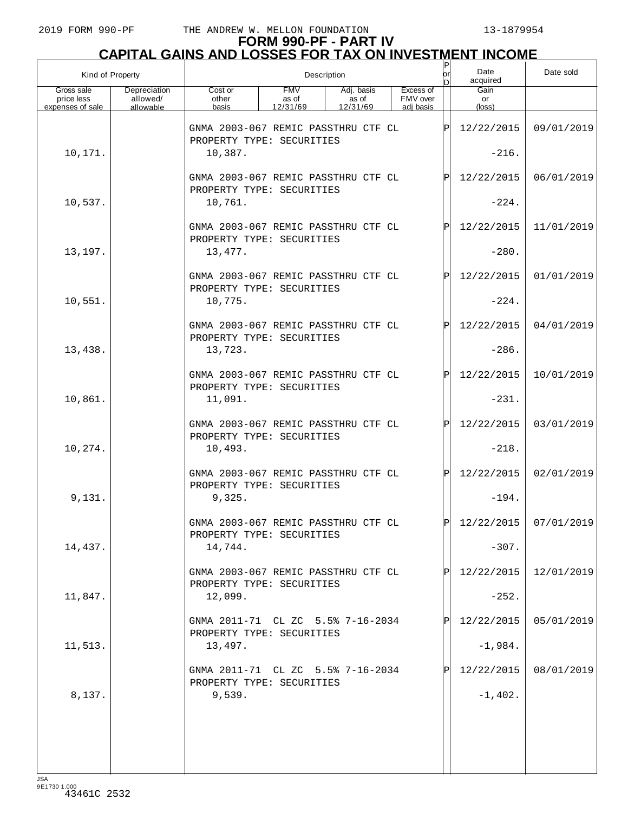# **FORM 990-PF - PART IV CAPITAL GAINS AND LOSSES FOR TAX ON INVESTMENT INCOME** P

| Kind of Property         |                          | $\sf P$<br>lor<br>Description<br>n                               |                     |                     |                       |     | Date<br>acquired | Date sold             |
|--------------------------|--------------------------|------------------------------------------------------------------|---------------------|---------------------|-----------------------|-----|------------------|-----------------------|
| Gross sale<br>price less | Depreciation<br>allowed/ | Cost or<br>other                                                 | <b>FMV</b><br>as of | Adj. basis<br>as of | Excess of<br>FMV over |     | Gain<br>or       |                       |
| expenses of sale         | allowable                | basis                                                            | 12/31/69            | 12/31/69            | adi basis             |     | (loss)           |                       |
|                          |                          | GNMA 2003-067 REMIC PASSTHRU CTF CL<br>PROPERTY TYPE: SECURITIES |                     |                     |                       | ΙP  | 12/22/2015       | 09/01/2019            |
| 10,171.                  |                          | 10,387.                                                          |                     |                     |                       |     | $-216.$          |                       |
|                          |                          | GNMA 2003-067 REMIC PASSTHRU CTF CL<br>PROPERTY TYPE: SECURITIES |                     |                     |                       | ΙP  | 12/22/2015       | 06/01/2019            |
| 10,537.                  |                          | 10,761.                                                          |                     |                     |                       |     | $-224.$          |                       |
|                          |                          | GNMA 2003-067 REMIC PASSTHRU CTF CL<br>PROPERTY TYPE: SECURITIES |                     |                     |                       | ΙPΙ | 12/22/2015       | 11/01/2019            |
| 13,197.                  |                          | 13,477.                                                          |                     |                     |                       |     | $-280.$          |                       |
|                          |                          | GNMA 2003-067 REMIC PASSTHRU CTF CL<br>PROPERTY TYPE: SECURITIES |                     |                     |                       | ΙP  | 12/22/2015       | 01/01/2019            |
| 10,551.                  |                          | 10,775.                                                          |                     |                     |                       |     | $-224.$          |                       |
|                          |                          | GNMA 2003-067 REMIC PASSTHRU CTF CL<br>PROPERTY TYPE: SECURITIES |                     |                     |                       | ΙPΙ | 12/22/2015       | 04/01/2019            |
| 13,438.                  |                          | 13,723.                                                          |                     |                     |                       |     | $-286.$          |                       |
|                          |                          | GNMA 2003-067 REMIC PASSTHRU CTF CL<br>PROPERTY TYPE: SECURITIES |                     |                     |                       | ΙP  | 12/22/2015       | 10/01/2019            |
| 10,861.                  |                          | 11,091.                                                          |                     |                     |                       |     | $-231.$          |                       |
|                          |                          | GNMA 2003-067 REMIC PASSTHRU CTF CL<br>PROPERTY TYPE: SECURITIES |                     |                     |                       | ΙP  | 12/22/2015       | 03/01/2019            |
| 10,274.                  |                          | 10,493.                                                          |                     |                     |                       |     | $-218.$          |                       |
|                          |                          | GNMA 2003-067 REMIC PASSTHRU CTF CL<br>PROPERTY TYPE: SECURITIES |                     |                     |                       | ΙPΙ | 12/22/2015       | 02/01/2019            |
| 9,131.                   |                          | 9,325.                                                           |                     |                     |                       |     | $-194.$          |                       |
|                          |                          | GNMA 2003-067 REMIC PASSTHRU CTF CL<br>PROPERTY TYPE: SECURITIES |                     |                     |                       | ח   |                  | 12/22/2015 07/01/2019 |
| 14,437.                  |                          | 14,744.                                                          |                     |                     |                       |     | $-307.$          |                       |
|                          |                          | GNMA 2003-067 REMIC PASSTHRU CTF CL<br>PROPERTY TYPE: SECURITIES |                     |                     |                       |     | 12/22/2015       | 12/01/2019            |
| 11,847.                  |                          | 12,099.                                                          |                     |                     |                       |     | $-252.$          |                       |
|                          |                          | GNMA 2011-71 CL ZC 5.5% 7-16-2034<br>PROPERTY TYPE: SECURITIES   |                     |                     |                       |     | 12/22/2015       | 05/01/2019            |
| 11,513.                  |                          | 13,497.                                                          |                     |                     |                       |     | $-1,984.$        |                       |
|                          |                          | GNMA 2011-71 CL ZC 5.5% 7-16-2034<br>PROPERTY TYPE: SECURITIES   |                     |                     |                       |     | 12/22/2015       | 08/01/2019            |
| 8,137.                   |                          | 9,539.                                                           |                     |                     |                       |     | $-1,402.$        |                       |
|                          |                          |                                                                  |                     |                     |                       |     |                  |                       |
|                          |                          |                                                                  |                     |                     |                       |     |                  |                       |
|                          |                          |                                                                  |                     |                     |                       |     |                  |                       |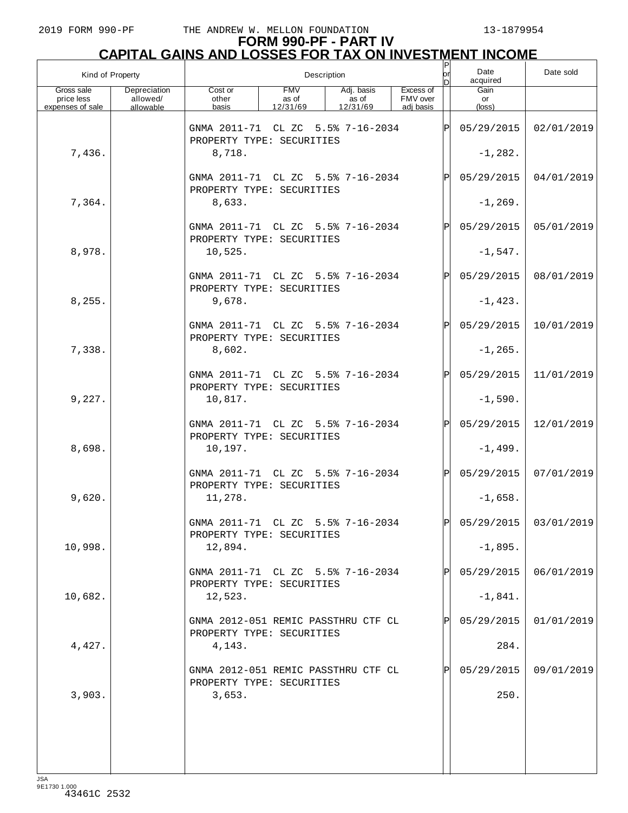| Kind of Property                             |                                       | Description                                                               |                                 |                                 |                                    |     | Date<br>acquired        | Date sold               |
|----------------------------------------------|---------------------------------------|---------------------------------------------------------------------------|---------------------------------|---------------------------------|------------------------------------|-----|-------------------------|-------------------------|
| Gross sale<br>price less<br>expenses of sale | Depreciation<br>allowed/<br>allowable | Cost or<br>other<br>basis                                                 | <b>FMV</b><br>as of<br>12/31/69 | Adj. basis<br>as of<br>12/31/69 | Excess of<br>FMV over<br>adi basis |     | Gain<br>or<br>(loss)    |                         |
|                                              |                                       | GNMA 2011-71 CL ZC 5.5% 7-16-2034<br>PROPERTY TYPE: SECURITIES            |                                 |                                 |                                    | lPl | 05/29/2015              | 02/01/2019              |
| 7,436.                                       |                                       | 8,718.                                                                    |                                 |                                 |                                    |     | $-1, 282.$              |                         |
|                                              |                                       | GNMA 2011-71 CL ZC 5.5% 7-16-2034<br>PROPERTY TYPE: SECURITIES            |                                 |                                 |                                    | ΙPΙ | 05/29/2015              | 04/01/2019              |
| 7,364.                                       |                                       | 8,633.                                                                    |                                 |                                 |                                    |     | $-1, 269.$              |                         |
|                                              |                                       | GNMA 2011-71 CL ZC 5.5% 7-16-2034<br>PROPERTY TYPE: SECURITIES            |                                 |                                 |                                    | ΙPΙ | 05/29/2015              | 05/01/2019              |
| 8,978.                                       |                                       | 10,525.                                                                   |                                 |                                 |                                    |     | $-1,547.$               |                         |
|                                              |                                       | GNMA 2011-71 CL ZC 5.5% 7-16-2034<br>PROPERTY TYPE: SECURITIES            |                                 |                                 |                                    | ΙPΙ | 05/29/2015              | 08/01/2019              |
| 8,255.                                       |                                       | 9,678.                                                                    |                                 |                                 |                                    |     | $-1, 423.$              |                         |
|                                              |                                       | GNMA 2011-71 CL ZC 5.5% 7-16-2034<br>PROPERTY TYPE: SECURITIES            |                                 |                                 |                                    | ΙPΙ | 05/29/2015              | 10/01/2019              |
| 7,338.                                       |                                       | 8,602.                                                                    |                                 |                                 |                                    |     | $-1, 265.$              |                         |
|                                              |                                       | GNMA 2011-71 CL ZC 5.5% 7-16-2034<br>PROPERTY TYPE: SECURITIES            |                                 |                                 |                                    | ΙPΙ | 05/29/2015              | 11/01/2019              |
| 9,227.                                       |                                       | 10,817.                                                                   |                                 |                                 |                                    |     | $-1,590.$               |                         |
| 8,698.                                       |                                       | GNMA 2011-71 CL ZC 5.5% 7-16-2034<br>PROPERTY TYPE: SECURITIES<br>10,197. |                                 |                                 |                                    | ΙPΙ | 05/29/2015<br>$-1,499.$ | 12/01/2019              |
|                                              |                                       | GNMA 2011-71 CL ZC 5.5% 7-16-2034                                         |                                 |                                 |                                    | ΙPΙ | 05/29/2015              | 07/01/2019              |
| 9,620.                                       |                                       | PROPERTY TYPE: SECURITIES<br>11,278.                                      |                                 |                                 |                                    |     | $-1,658.$               |                         |
|                                              |                                       | GNMA 2011-71 CL ZC 5.5% 7-16-2034                                         |                                 |                                 |                                    | lÞI |                         | $05/29/2015$ 03/01/2019 |
| 10,998.                                      |                                       | PROPERTY TYPE: SECURITIES<br>12,894.                                      |                                 |                                 |                                    |     | $-1,895.$               |                         |
|                                              |                                       | GNMA 2011-71 CL ZC 5.5% 7-16-2034                                         |                                 |                                 |                                    | ΙPΙ | 05/29/2015              | 06/01/2019              |
| 10,682.                                      |                                       | PROPERTY TYPE: SECURITIES<br>12,523.                                      |                                 |                                 |                                    |     | $-1,841.$               |                         |
|                                              |                                       | GNMA 2012-051 REMIC PASSTHRU CTF CL                                       |                                 |                                 |                                    | ΙPΙ | 05/29/2015              | 01/01/2019              |
| 4,427.                                       |                                       | PROPERTY TYPE: SECURITIES<br>4,143.                                       |                                 |                                 |                                    |     | 284.                    |                         |
|                                              |                                       | GNMA 2012-051 REMIC PASSTHRU CTF CL                                       |                                 |                                 |                                    |     | 05/29/2015              | 09/01/2019              |
| 3,903.                                       |                                       | PROPERTY TYPE: SECURITIES<br>3,653.                                       |                                 |                                 |                                    |     | 250.                    |                         |
|                                              |                                       |                                                                           |                                 |                                 |                                    |     |                         |                         |
|                                              |                                       |                                                                           |                                 |                                 |                                    |     |                         |                         |
|                                              |                                       |                                                                           |                                 |                                 |                                    |     |                         |                         |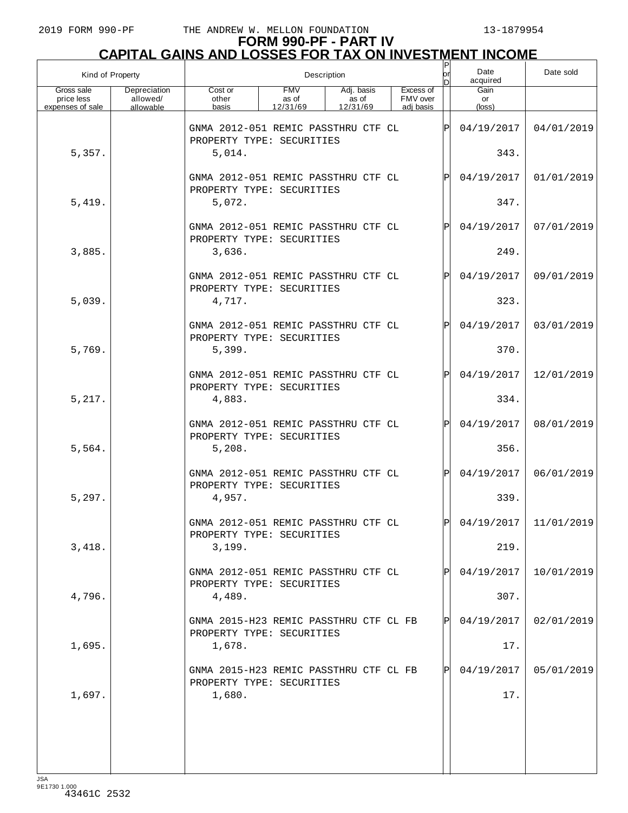| Kind of Property                             |                                       | Description                                                         |                                 |                                 |                                    |      | Date<br> or<br>acquired<br>bl | Date sold               |
|----------------------------------------------|---------------------------------------|---------------------------------------------------------------------|---------------------------------|---------------------------------|------------------------------------|------|-------------------------------|-------------------------|
| Gross sale<br>price less<br>expenses of sale | Depreciation<br>allowed/<br>allowable | Cost or<br>other<br>basis                                           | <b>FMV</b><br>as of<br>12/31/69 | Adj. basis<br>as of<br>12/31/69 | Excess of<br>FMV over<br>adj basis |      | Gain<br>or<br>(loss)          |                         |
|                                              |                                       | GNMA 2012-051 REMIC PASSTHRU CTF CL<br>PROPERTY TYPE: SECURITIES    |                                 |                                 |                                    | lPl  | 04/19/2017                    | 04/01/2019              |
| 5,357.                                       |                                       | 5,014.                                                              |                                 |                                 |                                    |      | 343.                          |                         |
|                                              |                                       | GNMA 2012-051 REMIC PASSTHRU CTF CL<br>PROPERTY TYPE: SECURITIES    |                                 |                                 |                                    | Þl   | 04/19/2017                    | 01/01/2019              |
| 5,419.                                       |                                       | 5,072.                                                              |                                 |                                 |                                    |      | 347.                          |                         |
|                                              |                                       | GNMA 2012-051 REMIC PASSTHRU CTF CL<br>PROPERTY TYPE: SECURITIES    |                                 |                                 |                                    | Þl   | 04/19/2017                    | 07/01/2019              |
| 3,885.                                       |                                       | 3,636.                                                              |                                 |                                 |                                    |      | 249.                          |                         |
|                                              |                                       | GNMA 2012-051 REMIC PASSTHRU CTF CL<br>PROPERTY TYPE: SECURITIES    |                                 |                                 |                                    | Þl   | 04/19/2017                    | 09/01/2019              |
| 5,039.                                       |                                       | 4,717.                                                              |                                 |                                 |                                    |      | 323.                          |                         |
|                                              |                                       | GNMA 2012-051 REMIC PASSTHRU CTF CL<br>PROPERTY TYPE: SECURITIES    |                                 |                                 |                                    | Þl   | 04/19/2017                    | 03/01/2019              |
| 5,769.                                       |                                       | 5,399.                                                              |                                 |                                 |                                    |      | 370.                          |                         |
|                                              |                                       | GNMA 2012-051 REMIC PASSTHRU CTF CL<br>PROPERTY TYPE: SECURITIES    |                                 |                                 |                                    | Þl   | 04/19/2017                    | 12/01/2019              |
| 5,217.                                       |                                       | 4,883.                                                              |                                 |                                 |                                    |      | 334.                          |                         |
|                                              |                                       | GNMA 2012-051 REMIC PASSTHRU CTF CL<br>PROPERTY TYPE: SECURITIES    |                                 |                                 |                                    | lPl  | 04/19/2017                    | 08/01/2019              |
| 5,564.                                       |                                       | 5,208.                                                              |                                 |                                 |                                    |      | 356.                          |                         |
|                                              |                                       | GNMA 2012-051 REMIC PASSTHRU CTF CL<br>PROPERTY TYPE: SECURITIES    |                                 |                                 |                                    | IPI  | 04/19/2017                    | 06/01/2019              |
| 5,297.                                       |                                       | 4,957.                                                              |                                 |                                 |                                    |      | 339.                          |                         |
|                                              |                                       | GNMA 2012-051 REMIC PASSTHRU CTF CL<br>PROPERTY TYPE: SECURITIES    |                                 |                                 |                                    | lÞI. |                               | $04/19/2017$ 11/01/2019 |
| 3,418.                                       |                                       | 3,199.                                                              |                                 |                                 |                                    |      | 219.                          |                         |
|                                              |                                       | GNMA 2012-051 REMIC PASSTHRU CTF CL<br>PROPERTY TYPE: SECURITIES    |                                 |                                 |                                    |      | 04/19/2017                    | 10/01/2019              |
| 4,796.                                       |                                       | 4,489.                                                              |                                 |                                 |                                    |      | 307.                          |                         |
|                                              |                                       | GNMA 2015-H23 REMIC PASSTHRU CTF CL FB<br>PROPERTY TYPE: SECURITIES |                                 |                                 |                                    | Þl   | 04/19/2017                    | 02/01/2019              |
| 1,695.                                       |                                       | 1,678.                                                              |                                 |                                 |                                    |      | 17.                           |                         |
|                                              |                                       | GNMA 2015-H23 REMIC PASSTHRU CTF CL FB<br>PROPERTY TYPE: SECURITIES |                                 |                                 |                                    | Þl   | 04/19/2017                    | 05/01/2019              |
| 1,697.                                       |                                       | 1,680.                                                              |                                 |                                 |                                    |      | 17.                           |                         |
|                                              |                                       |                                                                     |                                 |                                 |                                    |      |                               |                         |
|                                              |                                       |                                                                     |                                 |                                 |                                    |      |                               |                         |
|                                              |                                       |                                                                     |                                 |                                 |                                    |      |                               |                         |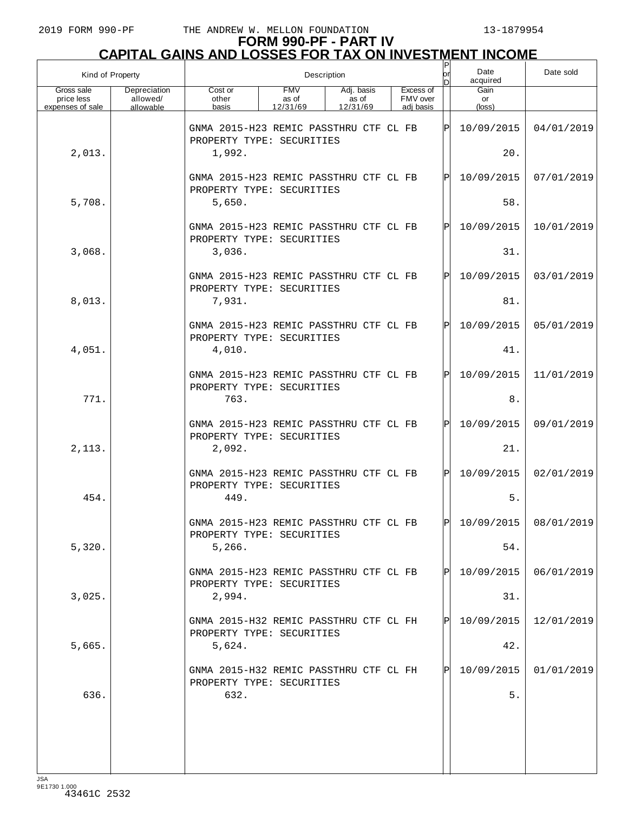|                                              | Kind of Property                      | Description                                                         |                                 |                                 |  |  |                                    | or  | Date<br>acquired     | Date sold  |
|----------------------------------------------|---------------------------------------|---------------------------------------------------------------------|---------------------------------|---------------------------------|--|--|------------------------------------|-----|----------------------|------------|
| Gross sale<br>price less<br>expenses of sale | Depreciation<br>allowed/<br>allowable | Cost or<br>other<br>basis                                           | <b>FMV</b><br>as of<br>12/31/69 | Adj. basis<br>as of<br>12/31/69 |  |  | Excess of<br>FMV over<br>adi basis |     | Gain<br>or<br>(loss) |            |
|                                              |                                       | GNMA 2015-H23 REMIC PASSTHRU CTF CL FB<br>PROPERTY TYPE: SECURITIES |                                 |                                 |  |  |                                    | ΙÞΙ | 10/09/2015           | 04/01/2019 |
| 2,013.                                       |                                       | 1,992.                                                              |                                 |                                 |  |  |                                    |     | 20.                  |            |
|                                              |                                       | GNMA 2015-H23 REMIC PASSTHRU CTF CL FB<br>PROPERTY TYPE: SECURITIES |                                 |                                 |  |  |                                    | lPl | 10/09/2015           | 07/01/2019 |
| 5,708.                                       |                                       | 5,650.                                                              |                                 |                                 |  |  |                                    |     | 58.                  |            |
|                                              |                                       | GNMA 2015-H23 REMIC PASSTHRU CTF CL FB<br>PROPERTY TYPE: SECURITIES |                                 |                                 |  |  |                                    | lPl | 10/09/2015           | 10/01/2019 |
| 3,068.                                       |                                       | 3,036.                                                              |                                 |                                 |  |  |                                    |     | 31.                  |            |
|                                              |                                       | GNMA 2015-H23 REMIC PASSTHRU CTF CL FB<br>PROPERTY TYPE: SECURITIES |                                 |                                 |  |  |                                    | lPl | 10/09/2015           | 03/01/2019 |
| 8,013.                                       |                                       | 7,931.                                                              |                                 |                                 |  |  |                                    |     | 81.                  |            |
|                                              |                                       | GNMA 2015-H23 REMIC PASSTHRU CTF CL FB<br>PROPERTY TYPE: SECURITIES |                                 |                                 |  |  |                                    | lPl | 10/09/2015           | 05/01/2019 |
| 4,051.                                       |                                       | 4,010.                                                              |                                 |                                 |  |  |                                    |     | 41.                  |            |
|                                              |                                       | GNMA 2015-H23 REMIC PASSTHRU CTF CL FB<br>PROPERTY TYPE: SECURITIES |                                 |                                 |  |  |                                    | lPl | 10/09/2015           | 11/01/2019 |
| 771.                                         |                                       | 763.                                                                |                                 |                                 |  |  |                                    |     | 8.                   |            |
|                                              |                                       | GNMA 2015-H23 REMIC PASSTHRU CTF CL FB<br>PROPERTY TYPE: SECURITIES |                                 |                                 |  |  |                                    | lPl | 10/09/2015           | 09/01/2019 |
| 2,113.                                       |                                       | 2,092.                                                              |                                 |                                 |  |  |                                    |     | 21.                  |            |
|                                              |                                       | GNMA 2015-H23 REMIC PASSTHRU CTF CL FB<br>PROPERTY TYPE: SECURITIES |                                 |                                 |  |  |                                    | ΙÞΙ | 10/09/2015           | 02/01/2019 |
| 454.                                         |                                       | 449.                                                                |                                 |                                 |  |  |                                    |     | 5.                   |            |
|                                              |                                       | GNMA 2015-H23 REMIC PASSTHRU CTF CL FB<br>PROPERTY TYPE: SECURITIES |                                 |                                 |  |  |                                    | ldl | 10/09/2015           | 08/01/2019 |
| 5,320.                                       |                                       | 5,266.                                                              |                                 |                                 |  |  |                                    |     | 54.                  |            |
|                                              |                                       | GNMA 2015-H23 REMIC PASSTHRU CTF CL FB<br>PROPERTY TYPE: SECURITIES |                                 |                                 |  |  |                                    | IPI | 10/09/2015           | 06/01/2019 |
| 3,025.                                       |                                       | 2,994.                                                              |                                 |                                 |  |  |                                    |     | 31.                  |            |
|                                              |                                       | GNMA 2015-H32 REMIC PASSTHRU CTF CL FH<br>PROPERTY TYPE: SECURITIES |                                 |                                 |  |  |                                    | IPI | 10/09/2015           | 12/01/2019 |
| 5,665.                                       |                                       | 5,624.                                                              |                                 |                                 |  |  |                                    |     | 42.                  |            |
|                                              |                                       | GNMA 2015-H32 REMIC PASSTHRU CTF CL FH<br>PROPERTY TYPE: SECURITIES |                                 |                                 |  |  |                                    | IPI | 10/09/2015           | 01/01/2019 |
| 636.                                         |                                       | 632.                                                                |                                 |                                 |  |  |                                    |     | 5.                   |            |
|                                              |                                       |                                                                     |                                 |                                 |  |  |                                    |     |                      |            |
|                                              |                                       |                                                                     |                                 |                                 |  |  |                                    |     |                      |            |
|                                              |                                       |                                                                     |                                 |                                 |  |  |                                    |     |                      |            |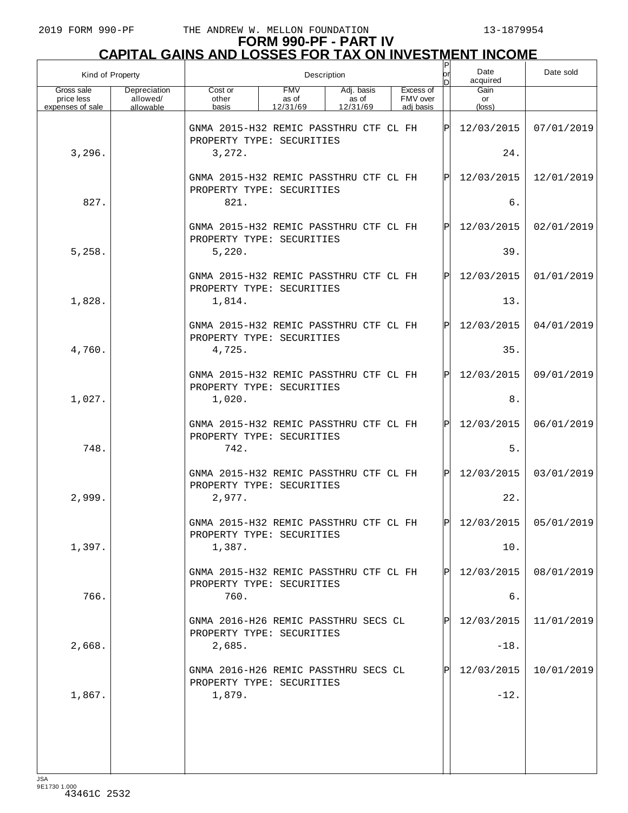## **FORM 990-PF - PART IV CAPITAL GAINS AND LOSSES FOR TAX ON INVESTMENT INCOME**

| Kind of Property                             |                                       | lor<br>Description<br>In                                            |                                 |                                 |  |                                    |     | Date<br>acquired              | Date sold               |
|----------------------------------------------|---------------------------------------|---------------------------------------------------------------------|---------------------------------|---------------------------------|--|------------------------------------|-----|-------------------------------|-------------------------|
| Gross sale<br>price less<br>expenses of sale | Depreciation<br>allowed/<br>allowable | Cost or<br>other<br>basis                                           | <b>FMV</b><br>as of<br>12/31/69 | Adj. basis<br>as of<br>12/31/69 |  | Excess of<br>FMV over<br>adi basis |     | Gain<br>or<br>$(\text{loss})$ |                         |
|                                              |                                       | GNMA 2015-H32 REMIC PASSTHRU CTF CL FH<br>PROPERTY TYPE: SECURITIES |                                 |                                 |  |                                    | ΙP  | 12/03/2015                    | 07/01/2019              |
| 3,296.                                       |                                       | 3,272.                                                              |                                 |                                 |  |                                    |     | 24.                           |                         |
|                                              |                                       | GNMA 2015-H32 REMIC PASSTHRU CTF CL FH<br>PROPERTY TYPE: SECURITIES |                                 |                                 |  |                                    | ΙP  | 12/03/2015                    | 12/01/2019              |
| 827.                                         |                                       | 821.                                                                |                                 |                                 |  |                                    |     | б.                            |                         |
|                                              |                                       | GNMA 2015-H32 REMIC PASSTHRU CTF CL FH<br>PROPERTY TYPE: SECURITIES |                                 |                                 |  |                                    | ΙP  | 12/03/2015                    | 02/01/2019              |
| 5,258.                                       |                                       | 5,220.                                                              |                                 |                                 |  |                                    |     | 39.                           |                         |
|                                              |                                       | GNMA 2015-H32 REMIC PASSTHRU CTF CL FH<br>PROPERTY TYPE: SECURITIES |                                 |                                 |  |                                    | ΙP  | 12/03/2015                    | 01/01/2019              |
| 1,828.                                       |                                       | 1,814.                                                              |                                 |                                 |  |                                    |     | 13.                           |                         |
|                                              |                                       | GNMA 2015-H32 REMIC PASSTHRU CTF CL FH<br>PROPERTY TYPE: SECURITIES |                                 |                                 |  |                                    | ΙP  | 12/03/2015                    | 04/01/2019              |
| 4,760.                                       |                                       | 4,725.                                                              |                                 |                                 |  |                                    |     | 35.                           |                         |
|                                              |                                       | GNMA 2015-H32 REMIC PASSTHRU CTF CL FH<br>PROPERTY TYPE: SECURITIES |                                 |                                 |  |                                    | ΙP  | 12/03/2015                    | 09/01/2019              |
| 1,027.                                       |                                       | 1,020.                                                              |                                 |                                 |  |                                    |     | $8$ .                         |                         |
|                                              |                                       | GNMA 2015-H32 REMIC PASSTHRU CTF CL FH<br>PROPERTY TYPE: SECURITIES |                                 |                                 |  |                                    | ΙP  | 12/03/2015                    | 06/01/2019              |
| 748.                                         |                                       | 742.                                                                |                                 |                                 |  |                                    |     | 5.                            |                         |
|                                              |                                       | GNMA 2015-H32 REMIC PASSTHRU CTF CL FH<br>PROPERTY TYPE: SECURITIES |                                 |                                 |  |                                    | ΙPΙ | 12/03/2015                    | 03/01/2019              |
| 2,999.                                       |                                       | 2,977.                                                              |                                 |                                 |  |                                    |     | 22.                           |                         |
|                                              |                                       | GNMA 2015-H32 REMIC PASSTHRU CTF CL FH<br>PROPERTY TYPE: SECURITIES |                                 |                                 |  |                                    | ldl |                               | $12/03/2015$ 05/01/2019 |
| 1,397.                                       |                                       | 1,387.                                                              |                                 |                                 |  |                                    |     | 10.                           |                         |
|                                              |                                       | GNMA 2015-H32 REMIC PASSTHRU CTF CL FH<br>PROPERTY TYPE: SECURITIES |                                 |                                 |  |                                    | P   | 12/03/2015                    | 08/01/2019              |
| 766.                                         |                                       | 760.                                                                |                                 |                                 |  |                                    |     | б.                            |                         |
|                                              |                                       | GNMA 2016-H26 REMIC PASSTHRU SECS CL<br>PROPERTY TYPE: SECURITIES   |                                 |                                 |  |                                    |     | 12/03/2015                    | 11/01/2019              |
| 2,668.                                       |                                       | 2,685.                                                              |                                 |                                 |  |                                    |     | $-18.$                        |                         |
|                                              |                                       | GNMA 2016-H26 REMIC PASSTHRU SECS CL<br>PROPERTY TYPE: SECURITIES   |                                 |                                 |  |                                    |     | 12/03/2015                    | 10/01/2019              |
| 1,867.                                       |                                       | 1,879.                                                              |                                 |                                 |  |                                    |     | $-12.$                        |                         |
|                                              |                                       |                                                                     |                                 |                                 |  |                                    |     |                               |                         |
|                                              |                                       |                                                                     |                                 |                                 |  |                                    |     |                               |                         |
| 10 <sub>0</sub>                              |                                       |                                                                     |                                 |                                 |  |                                    |     |                               |                         |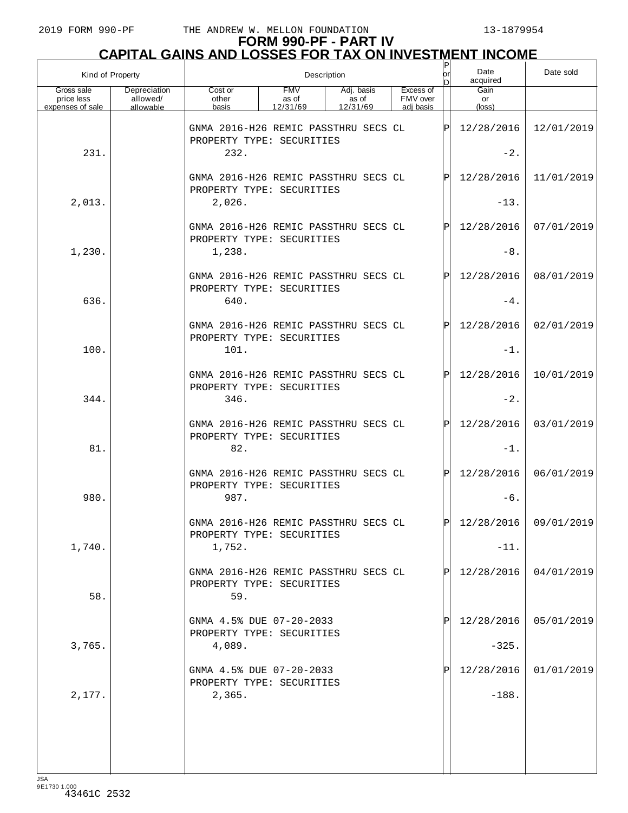| Kind of Property                             |                                       | Description                                                               |                                 |                                 |  |                                    | Ρ<br>lor | Date<br>acquired     | Date sold             |
|----------------------------------------------|---------------------------------------|---------------------------------------------------------------------------|---------------------------------|---------------------------------|--|------------------------------------|----------|----------------------|-----------------------|
| Gross sale<br>price less<br>expenses of sale | Depreciation<br>allowed/<br>allowable | Cost or<br>other<br>basis                                                 | <b>FMV</b><br>as of<br>12/31/69 | Adj. basis<br>as of<br>12/31/69 |  | Excess of<br>FMV over<br>adi basis |          | Gain<br>or<br>(loss) |                       |
|                                              |                                       | GNMA 2016-H26 REMIC PASSTHRU SECS CL<br>PROPERTY TYPE: SECURITIES         |                                 |                                 |  |                                    | ΙÞΙ      | 12/28/2016           | 12/01/2019            |
| 231.                                         |                                       | 232.                                                                      |                                 |                                 |  |                                    |          | $-2.$                |                       |
|                                              |                                       | GNMA 2016-H26 REMIC PASSTHRU SECS CL<br>PROPERTY TYPE: SECURITIES         |                                 |                                 |  |                                    | ΙÞΙ      | 12/28/2016           | 11/01/2019            |
| 2,013.                                       |                                       | 2,026.                                                                    |                                 |                                 |  |                                    |          | $-13.$               |                       |
|                                              |                                       | GNMA 2016-H26 REMIC PASSTHRU SECS CL<br>PROPERTY TYPE: SECURITIES         |                                 |                                 |  |                                    | ΙÞΙ      | 12/28/2016           | 07/01/2019            |
| 1,230.                                       |                                       | 1,238.                                                                    |                                 |                                 |  |                                    |          | $-8.$                |                       |
| 636.                                         |                                       | GNMA 2016-H26 REMIC PASSTHRU SECS CL<br>PROPERTY TYPE: SECURITIES<br>640. |                                 |                                 |  |                                    | ΙÞΙ      | 12/28/2016<br>$-4$ . | 08/01/2019            |
|                                              |                                       | GNMA 2016-H26 REMIC PASSTHRU SECS CL                                      |                                 |                                 |  |                                    | ΙÞΙ      | 12/28/2016           | 02/01/2019            |
| 100.                                         |                                       | PROPERTY TYPE: SECURITIES<br>101.                                         |                                 |                                 |  |                                    |          | $-1$ .               |                       |
|                                              |                                       | GNMA 2016-H26 REMIC PASSTHRU SECS CL                                      |                                 |                                 |  |                                    | ΙÞΙ      | 12/28/2016           | 10/01/2019            |
| 344.                                         |                                       | PROPERTY TYPE: SECURITIES<br>346.                                         |                                 |                                 |  |                                    |          | $-2.$                |                       |
|                                              |                                       | GNMA 2016-H26 REMIC PASSTHRU SECS CL<br>PROPERTY TYPE: SECURITIES         |                                 |                                 |  |                                    | ΙÞΙ      | 12/28/2016           | 03/01/2019            |
| 81.                                          |                                       | 82.                                                                       |                                 |                                 |  |                                    |          | $-1$ .               |                       |
|                                              |                                       | GNMA 2016-H26 REMIC PASSTHRU SECS CL<br>PROPERTY TYPE: SECURITIES         |                                 |                                 |  |                                    | ΙÞΙ      | 12/28/2016           | 06/01/2019            |
| 980.                                         |                                       | 987.                                                                      |                                 |                                 |  |                                    |          | $-6.$                |                       |
|                                              |                                       | GNMA 2016-H26 REMIC PASSTHRU SECS CL<br>PROPERTY TYPE: SECURITIES         |                                 |                                 |  |                                    | ldl      |                      | 12/28/2016 09/01/2019 |
| 1,740.                                       |                                       | 1,752.                                                                    |                                 |                                 |  |                                    |          | $-11.$               |                       |
| 58.                                          |                                       | GNMA 2016-H26 REMIC PASSTHRU SECS CL<br>PROPERTY TYPE: SECURITIES<br>59.  |                                 |                                 |  |                                    | ΙPΙ      | 12/28/2016           | 04/01/2019            |
|                                              |                                       | GNMA 4.5% DUE 07-20-2033<br>PROPERTY TYPE: SECURITIES                     |                                 |                                 |  |                                    | ΙPΙ      | 12/28/2016           | 05/01/2019            |
| 3,765.                                       |                                       | 4,089.                                                                    |                                 |                                 |  |                                    |          | $-325.$              |                       |
|                                              |                                       | GNMA 4.5% DUE 07-20-2033<br>PROPERTY TYPE: SECURITIES                     |                                 |                                 |  |                                    | Ρ        | 12/28/2016           | 01/01/2019            |
| 2,177.                                       |                                       | 2,365.                                                                    |                                 |                                 |  |                                    |          | $-188.$              |                       |
|                                              |                                       |                                                                           |                                 |                                 |  |                                    |          |                      |                       |
|                                              |                                       |                                                                           |                                 |                                 |  |                                    |          |                      |                       |
|                                              |                                       |                                                                           |                                 |                                 |  |                                    |          |                      |                       |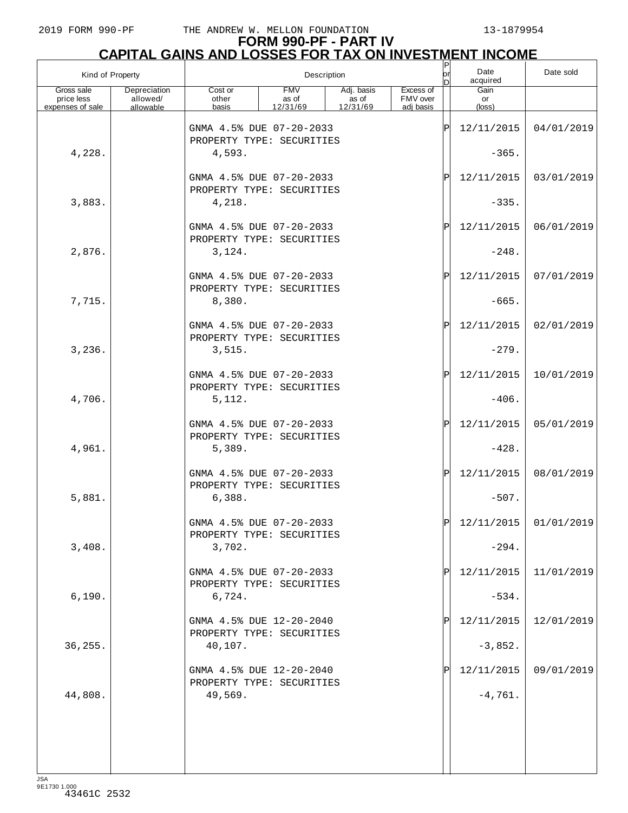| Kind of Property         |                          | P<br> or<br>Description<br>In                         |                     |                     |                       |     | Date<br>acquired      | Date sold               |
|--------------------------|--------------------------|-------------------------------------------------------|---------------------|---------------------|-----------------------|-----|-----------------------|-------------------------|
| Gross sale<br>price less | Depreciation<br>allowed/ | Cost or<br>other                                      | <b>FMV</b><br>as of | Adj. basis<br>as of | Excess of<br>FMV over |     | Gain<br>or            |                         |
| expenses of sale         | allowable                | basis                                                 | 12/31/69            | 12/31/69            | adj basis             |     | (loss)                |                         |
|                          |                          | GNMA 4.5% DUE 07-20-2033<br>PROPERTY TYPE: SECURITIES |                     |                     |                       | ΙP  | 12/11/2015            | 04/01/2019              |
| 4,228.                   |                          | 4,593.                                                |                     |                     |                       |     | $-365.$               |                         |
|                          |                          | GNMA 4.5% DUE 07-20-2033<br>PROPERTY TYPE: SECURITIES |                     |                     |                       | ΙÞΙ | 12/11/2015            | 03/01/2019              |
| 3,883.                   |                          | 4,218.                                                |                     |                     |                       |     | $-335.$               |                         |
|                          |                          | GNMA 4.5% DUE 07-20-2033<br>PROPERTY TYPE: SECURITIES |                     |                     |                       | ΙÞΙ | 12/11/2015            | 06/01/2019              |
| 2,876.                   |                          | 3,124.                                                |                     |                     |                       |     | $-248.$               |                         |
|                          |                          | GNMA 4.5% DUE 07-20-2033<br>PROPERTY TYPE: SECURITIES |                     |                     |                       | ΙÞΙ | 12/11/2015            | 07/01/2019              |
| 7,715.                   |                          | 8,380.<br>GNMA 4.5% DUE 07-20-2033                    |                     |                     |                       | ΙÞΙ | $-665.$<br>12/11/2015 | 02/01/2019              |
| 3,236.                   |                          | PROPERTY TYPE: SECURITIES<br>3,515.                   |                     |                     |                       |     | $-279.$               |                         |
|                          |                          | GNMA 4.5% DUE 07-20-2033                              |                     |                     |                       | ΙÞΙ | 12/11/2015            | 10/01/2019              |
| 4,706.                   |                          | PROPERTY TYPE: SECURITIES<br>5,112.                   |                     |                     |                       |     | $-406.$               |                         |
|                          |                          | GNMA 4.5% DUE 07-20-2033                              |                     |                     |                       | ΙÞΙ | 12/11/2015            | 05/01/2019              |
| 4,961.                   |                          | PROPERTY TYPE: SECURITIES<br>5,389.                   |                     |                     |                       |     | $-428.$               |                         |
|                          |                          | GNMA 4.5% DUE 07-20-2033<br>PROPERTY TYPE: SECURITIES |                     |                     |                       | ΙÞΙ | 12/11/2015            | 08/01/2019              |
| 5,881.                   |                          | 6,388.                                                |                     |                     |                       |     | $-507.$               |                         |
|                          |                          | GNMA 4.5% DUE 07-20-2033<br>PROPERTY TYPE: SECURITIES |                     |                     |                       | ldl |                       | $12/11/2015$ 01/01/2019 |
| 3,408.                   |                          | 3,702.                                                |                     |                     |                       |     | $-294.$               |                         |
|                          |                          | GNMA 4.5% DUE 07-20-2033<br>PROPERTY TYPE: SECURITIES |                     |                     |                       | ΙÞΙ | 12/11/2015            | 11/01/2019              |
| 6,190.                   |                          | 6,724.<br>GNMA 4.5% DUE 12-20-2040                    |                     |                     |                       | ΙP  | $-534.$<br>12/11/2015 | 12/01/2019              |
| 36,255.                  |                          | PROPERTY TYPE: SECURITIES<br>40,107.                  |                     |                     |                       |     | $-3,852.$             |                         |
|                          |                          | GNMA 4.5% DUE 12-20-2040                              |                     |                     |                       | ΙP  | 12/11/2015            | 09/01/2019              |
| 44,808.                  |                          | PROPERTY TYPE: SECURITIES<br>49,569.                  |                     |                     |                       |     | $-4,761.$             |                         |
|                          |                          |                                                       |                     |                     |                       |     |                       |                         |
|                          |                          |                                                       |                     |                     |                       |     |                       |                         |
|                          |                          |                                                       |                     |                     |                       |     |                       |                         |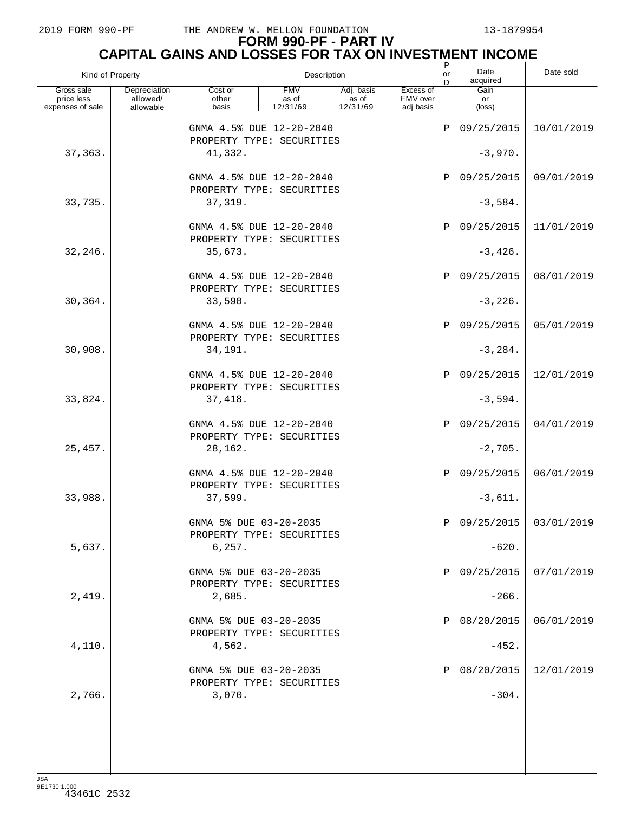## **FORM 990-PF - PART IV CAPITAL GAINS AND LOSSES FOR TAX ON INVESTMENT INCOME**

| Kind of Property         |                          | Description                                           |                     |                     |                       |               | Date<br>acquired | Date sold  |
|--------------------------|--------------------------|-------------------------------------------------------|---------------------|---------------------|-----------------------|---------------|------------------|------------|
| Gross sale<br>price less | Depreciation<br>allowed/ | Cost or<br>other                                      | <b>FMV</b><br>as of | Adj. basis<br>as of | Excess of<br>FMV over |               | Gain<br>or       |            |
| expenses of sale         | allowable                | basis                                                 | 12/31/69            | 12/31/69            | adj basis             |               | (loss)           |            |
|                          |                          | GNMA 4.5% DUE 12-20-2040<br>PROPERTY TYPE: SECURITIES |                     |                     |                       | ΙP            | 09/25/2015       | 10/01/2019 |
| 37,363.                  |                          | 41,332.                                               |                     |                     |                       |               | $-3,970.$        |            |
|                          |                          | GNMA 4.5% DUE 12-20-2040<br>PROPERTY TYPE: SECURITIES |                     |                     |                       | $_\mathrm{P}$ | 09/25/2015       | 09/01/2019 |
| 33,735.                  |                          | 37,319.                                               |                     |                     |                       |               | $-3,584.$        |            |
|                          |                          | GNMA 4.5% DUE 12-20-2040<br>PROPERTY TYPE: SECURITIES |                     |                     |                       | Ρ             | 09/25/2015       | 11/01/2019 |
| 32,246.                  |                          | 35,673.                                               |                     |                     |                       |               | $-3,426.$        |            |
|                          |                          | GNMA 4.5% DUE 12-20-2040<br>PROPERTY TYPE: SECURITIES |                     |                     |                       | $_\mathrm{P}$ | 09/25/2015       | 08/01/2019 |
| 30,364.                  |                          | 33,590.                                               |                     |                     |                       |               | $-3,226.$        |            |
|                          |                          | GNMA 4.5% DUE 12-20-2040<br>PROPERTY TYPE: SECURITIES |                     |                     |                       | Ρ             | 09/25/2015       | 05/01/2019 |
| 30,908.                  |                          | 34,191.                                               |                     |                     |                       |               | $-3, 284.$       |            |
|                          |                          | GNMA 4.5% DUE 12-20-2040<br>PROPERTY TYPE: SECURITIES |                     |                     |                       | P             | 09/25/2015       | 12/01/2019 |
| 33,824.                  |                          | 37,418.                                               |                     |                     |                       |               | $-3,594.$        |            |
|                          |                          | GNMA 4.5% DUE 12-20-2040<br>PROPERTY TYPE: SECURITIES |                     |                     |                       | P             | 09/25/2015       | 04/01/2019 |
| 25, 457.                 |                          | 28,162.                                               |                     |                     |                       |               | $-2,705.$        |            |
|                          |                          | GNMA 4.5% DUE 12-20-2040<br>PROPERTY TYPE: SECURITIES |                     |                     |                       | Ρ             | 09/25/2015       | 06/01/2019 |
| 33,988.                  |                          | 37,599.                                               |                     |                     |                       |               | $-3,611.$        |            |
|                          |                          | GNMA 5% DUE 03-20-2035<br>PROPERTY TYPE: SECURITIES   |                     |                     |                       |               | 09/25/2015       | 03/01/2019 |
| 5,637.                   |                          | 6, 257.                                               |                     |                     |                       |               | $-620.$          |            |
|                          |                          | GNMA 5% DUE 03-20-2035<br>PROPERTY TYPE: SECURITIES   |                     |                     |                       | Ρ             | 09/25/2015       | 07/01/2019 |
| 2,419.                   |                          | 2,685.                                                |                     |                     |                       |               | $-266.$          |            |
|                          |                          | GNMA 5% DUE 03-20-2035                                |                     |                     |                       | Ρ             | 08/20/2015       | 06/01/2019 |
| 4,110.                   |                          | PROPERTY TYPE: SECURITIES<br>4,562.                   |                     |                     |                       |               | $-452.$          |            |
|                          |                          | GNMA 5% DUE 03-20-2035<br>PROPERTY TYPE: SECURITIES   |                     |                     |                       |               | 08/20/2015       | 12/01/2019 |
| 2,766.                   |                          | 3,070.                                                |                     |                     |                       |               | $-304.$          |            |
|                          |                          |                                                       |                     |                     |                       |               |                  |            |
|                          |                          |                                                       |                     |                     |                       |               |                  |            |
|                          |                          |                                                       |                     |                     |                       |               |                  |            |
|                          |                          |                                                       |                     |                     |                       |               |                  |            |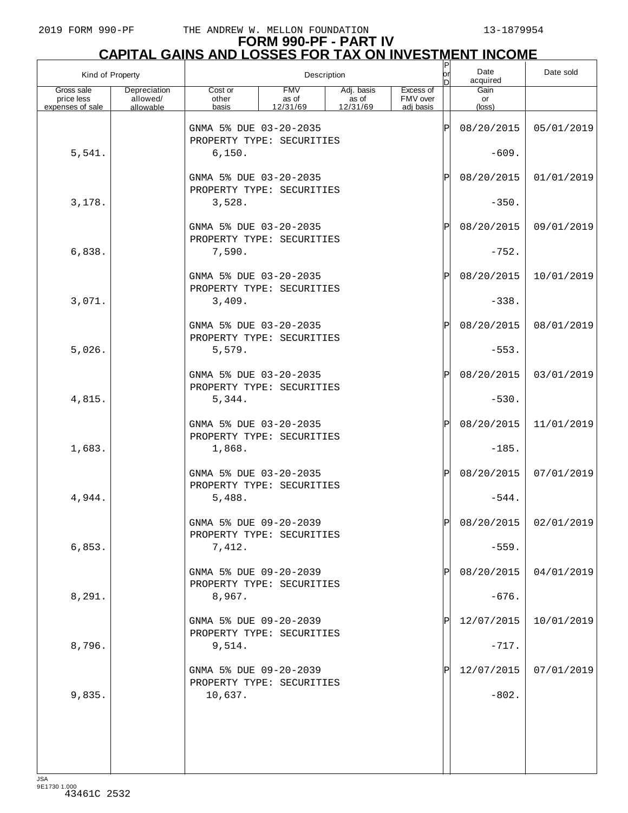## **FORM 990-PF - PART IV CAPITAL GAINS AND LOSSES FOR TAX ON INVESTMENT INCOME**

| Kind of Property                             |                                       | P<br> or<br>Description                             |                                 |                                 |                                    |     | Date<br>acquired              | Date sold             |
|----------------------------------------------|---------------------------------------|-----------------------------------------------------|---------------------------------|---------------------------------|------------------------------------|-----|-------------------------------|-----------------------|
| Gross sale<br>price less<br>expenses of sale | Depreciation<br>allowed/<br>allowable | Cost or<br>other<br>basis                           | <b>FMV</b><br>as of<br>12/31/69 | Adj. basis<br>as of<br>12/31/69 | Excess of<br>FMV over<br>adj basis |     | Gain<br>or<br>$(\text{loss})$ |                       |
|                                              |                                       |                                                     |                                 |                                 |                                    |     |                               |                       |
|                                              |                                       | GNMA 5% DUE 03-20-2035<br>PROPERTY TYPE: SECURITIES |                                 |                                 |                                    | ΙP  | 08/20/2015                    | 05/01/2019            |
| 5,541.                                       |                                       | 6,150.                                              |                                 |                                 |                                    |     | $-609.$                       |                       |
|                                              |                                       | GNMA 5% DUE 03-20-2035                              |                                 |                                 |                                    | ΙP  | 08/20/2015                    | 01/01/2019            |
| 3,178.                                       |                                       | PROPERTY TYPE: SECURITIES<br>3,528.                 |                                 |                                 |                                    |     | $-350.$                       |                       |
|                                              |                                       | GNMA 5% DUE 03-20-2035                              |                                 |                                 |                                    | ΙP  | 08/20/2015                    | 09/01/2019            |
| 6,838.                                       |                                       | PROPERTY TYPE: SECURITIES<br>7,590.                 |                                 |                                 |                                    |     | $-752.$                       |                       |
|                                              |                                       | GNMA 5% DUE 03-20-2035                              |                                 |                                 |                                    | ΙP  | 08/20/2015                    | 10/01/2019            |
| 3,071.                                       |                                       | PROPERTY TYPE: SECURITIES<br>3,409.                 |                                 |                                 |                                    |     | $-338.$                       |                       |
|                                              |                                       | GNMA 5% DUE 03-20-2035<br>PROPERTY TYPE: SECURITIES |                                 |                                 |                                    | ΙP  | 08/20/2015                    | 08/01/2019            |
| 5,026.                                       |                                       | 5,579.                                              |                                 |                                 |                                    |     | $-553.$                       |                       |
|                                              |                                       | GNMA 5% DUE 03-20-2035<br>PROPERTY TYPE: SECURITIES |                                 |                                 |                                    | ΙP  | 08/20/2015                    | 03/01/2019            |
| 4,815.                                       |                                       | 5,344.                                              |                                 |                                 |                                    |     | $-530.$                       |                       |
|                                              |                                       | GNMA 5% DUE 03-20-2035                              |                                 |                                 |                                    | ΙP  | 08/20/2015                    | 11/01/2019            |
| 1,683.                                       |                                       | PROPERTY TYPE: SECURITIES<br>1,868.                 |                                 |                                 |                                    |     | $-185.$                       |                       |
|                                              |                                       | GNMA 5% DUE 03-20-2035<br>PROPERTY TYPE: SECURITIES |                                 |                                 |                                    | ΙP  | 08/20/2015                    | 07/01/2019            |
| 4,944.                                       |                                       | 5,488.                                              |                                 |                                 |                                    |     | $-544.$                       |                       |
|                                              |                                       | GNMA 5% DUE 09-20-2039<br>PROPERTY TYPE: SECURITIES |                                 |                                 |                                    | ldl |                               | 08/20/2015 02/01/2019 |
| 6,853.                                       |                                       | 7,412.                                              |                                 |                                 |                                    |     | $-559.$                       |                       |
|                                              |                                       | GNMA 5% DUE 09-20-2039<br>PROPERTY TYPE: SECURITIES |                                 |                                 |                                    |     | 08/20/2015                    | 04/01/2019            |
| 8,291.                                       |                                       | 8,967.                                              |                                 |                                 |                                    |     | $-676.$                       |                       |
|                                              |                                       | GNMA 5% DUE 09-20-2039<br>PROPERTY TYPE: SECURITIES |                                 |                                 |                                    | Þ   | 12/07/2015                    | 10/01/2019            |
| 8,796.                                       |                                       | 9,514.                                              |                                 |                                 |                                    |     | $-717.$                       |                       |
|                                              |                                       | GNMA 5% DUE 09-20-2039<br>PROPERTY TYPE: SECURITIES |                                 |                                 |                                    |     | 12/07/2015                    | 07/01/2019            |
| 9,835.                                       |                                       | 10,637.                                             |                                 |                                 |                                    |     | $-802.$                       |                       |
|                                              |                                       |                                                     |                                 |                                 |                                    |     |                               |                       |
|                                              |                                       |                                                     |                                 |                                 |                                    |     |                               |                       |
| 10A                                          |                                       |                                                     |                                 |                                 |                                    |     |                               |                       |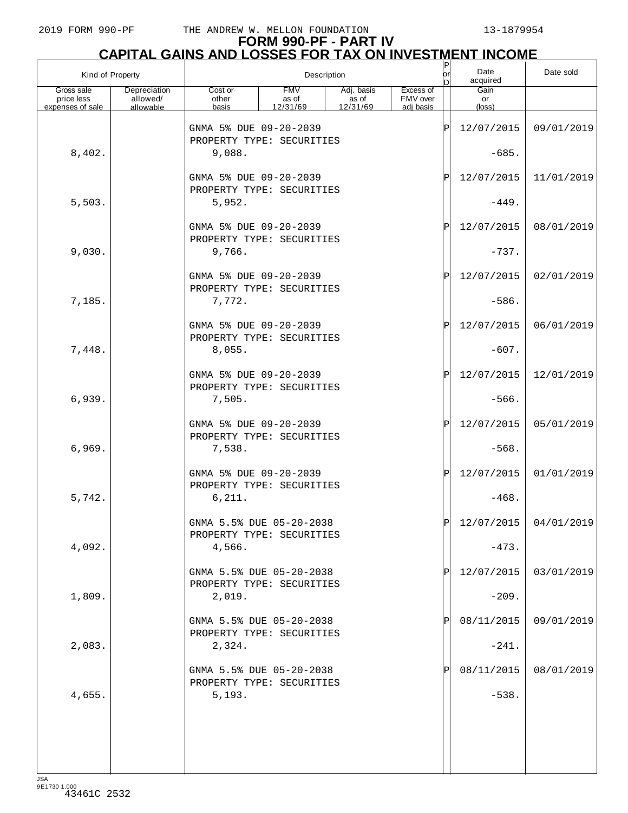| Kind of Property                             |                                       |                                                       | Description                     |                                 |                                    | ٢<br> or<br> D | Date<br>acquired      | Date sold             |
|----------------------------------------------|---------------------------------------|-------------------------------------------------------|---------------------------------|---------------------------------|------------------------------------|----------------|-----------------------|-----------------------|
| Gross sale<br>price less<br>expenses of sale | Depreciation<br>allowed/<br>allowable | Cost or<br>other<br>basis                             | <b>FMV</b><br>as of<br>12/31/69 | Adj. basis<br>as of<br>12/31/69 | Excess of<br>FMV over<br>adj basis |                | Gain<br>or<br>(loss)  |                       |
|                                              |                                       | GNMA 5% DUE 09-20-2039<br>PROPERTY TYPE: SECURITIES   |                                 |                                 |                                    | ΙP             | 12/07/2015            | 09/01/2019            |
| 8,402.                                       |                                       | 9,088.                                                |                                 |                                 |                                    |                | $-685.$               |                       |
|                                              |                                       | GNMA 5% DUE 09-20-2039<br>PROPERTY TYPE: SECURITIES   |                                 |                                 |                                    | ΙP             | 12/07/2015            | 11/01/2019            |
| 5,503.                                       |                                       | 5,952.                                                |                                 |                                 |                                    |                | $-449.$               |                       |
|                                              |                                       | GNMA 5% DUE 09-20-2039<br>PROPERTY TYPE: SECURITIES   |                                 |                                 |                                    | ΙP             | 12/07/2015            | 08/01/2019            |
| 9,030.                                       |                                       | 9,766.                                                |                                 |                                 |                                    |                | $-737.$               |                       |
|                                              |                                       | GNMA 5% DUE 09-20-2039<br>PROPERTY TYPE: SECURITIES   |                                 |                                 |                                    | ΙP             | 12/07/2015            | 02/01/2019            |
| 7,185.                                       |                                       | 7,772.<br>GNMA 5% DUE 09-20-2039                      |                                 |                                 |                                    | ΙP             | $-586.$<br>12/07/2015 | 06/01/2019            |
| 7,448.                                       |                                       | PROPERTY TYPE: SECURITIES<br>8,055.                   |                                 |                                 |                                    |                | $-607.$               |                       |
|                                              |                                       | GNMA 5% DUE 09-20-2039                                |                                 |                                 |                                    | ΙP             | 12/07/2015            | 12/01/2019            |
| 6,939.                                       |                                       | PROPERTY TYPE: SECURITIES<br>7,505.                   |                                 |                                 |                                    |                | $-566.$               |                       |
|                                              |                                       | GNMA 5% DUE 09-20-2039                                |                                 |                                 |                                    | ΙP             | 12/07/2015            | 05/01/2019            |
| 6,969.                                       |                                       | PROPERTY TYPE: SECURITIES<br>7,538.                   |                                 |                                 |                                    |                | $-568.$               |                       |
|                                              |                                       | GNMA 5% DUE 09-20-2039<br>PROPERTY TYPE: SECURITIES   |                                 |                                 |                                    | ΙP             | 12/07/2015            | 01/01/2019            |
| 5,742.                                       |                                       | 6, 211.                                               |                                 |                                 |                                    |                | $-468.$               |                       |
|                                              |                                       | GNMA 5.5% DUE 05-20-2038<br>PROPERTY TYPE: SECURITIES |                                 |                                 |                                    | ΙÞΙ            |                       | 12/07/2015 04/01/2019 |
| 4,092.                                       |                                       | 4,566.                                                |                                 |                                 |                                    |                | $-473.$               |                       |
|                                              |                                       | GNMA 5.5% DUE 05-20-2038<br>PROPERTY TYPE: SECURITIES |                                 |                                 |                                    |                | 12/07/2015            | 03/01/2019            |
| 1,809.                                       |                                       | 2,019.                                                |                                 |                                 |                                    |                | $-209.$               |                       |
| 2,083.                                       |                                       | GNMA 5.5% DUE 05-20-2038<br>PROPERTY TYPE: SECURITIES |                                 |                                 |                                    |                | 08/11/2015            | 09/01/2019            |
|                                              |                                       | 2,324.<br>GNMA 5.5% DUE 05-20-2038                    |                                 |                                 |                                    |                | $-241.$<br>08/11/2015 | 08/01/2019            |
| 4,655.                                       |                                       | PROPERTY TYPE: SECURITIES<br>5,193.                   |                                 |                                 |                                    |                | $-538.$               |                       |
|                                              |                                       |                                                       |                                 |                                 |                                    |                |                       |                       |
|                                              |                                       |                                                       |                                 |                                 |                                    |                |                       |                       |
|                                              |                                       |                                                       |                                 |                                 |                                    |                |                       |                       |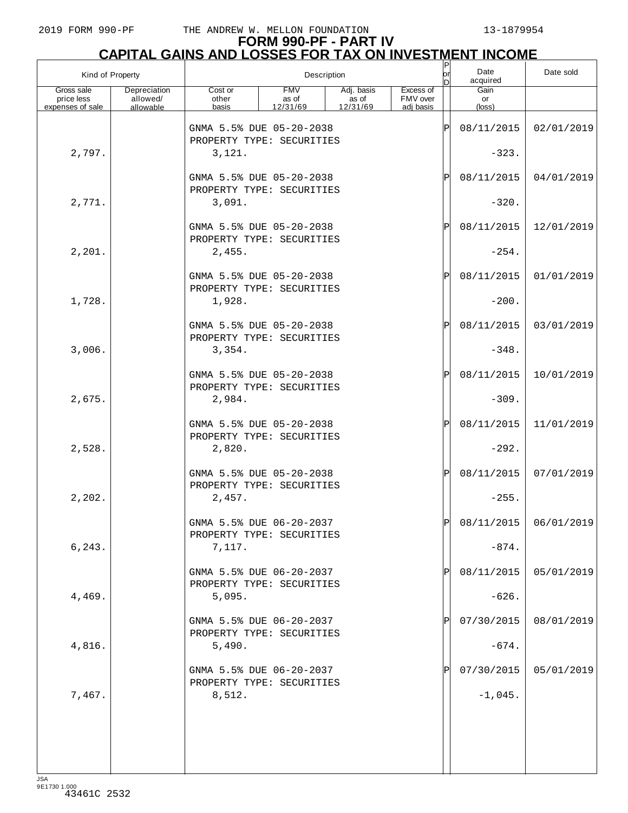| Kind of Property                             |                                       |                                                       | Description                     |                                 |                                    | $\frac{P}{\rho r}$<br>In | Date<br>acquired              | Date sold             |
|----------------------------------------------|---------------------------------------|-------------------------------------------------------|---------------------------------|---------------------------------|------------------------------------|--------------------------|-------------------------------|-----------------------|
| Gross sale<br>price less<br>expenses of sale | Depreciation<br>allowed/<br>allowable | Cost or<br>other<br>basis                             | <b>FMV</b><br>as of<br>12/31/69 | Adj. basis<br>as of<br>12/31/69 | Excess of<br>FMV over<br>adj basis |                          | Gain<br>or<br>$(\text{loss})$ |                       |
|                                              |                                       | GNMA 5.5% DUE 05-20-2038                              |                                 |                                 |                                    | ΙP                       | 08/11/2015                    | 02/01/2019            |
|                                              |                                       | PROPERTY TYPE: SECURITIES                             |                                 |                                 |                                    |                          |                               |                       |
| 2,797.                                       |                                       | 3,121.                                                |                                 |                                 |                                    |                          | $-323.$                       |                       |
|                                              |                                       | GNMA 5.5% DUE 05-20-2038                              |                                 |                                 |                                    | ΙP                       | 08/11/2015                    | 04/01/2019            |
| 2,771.                                       |                                       | PROPERTY TYPE: SECURITIES<br>3,091.                   |                                 |                                 |                                    |                          | $-320.$                       |                       |
|                                              |                                       |                                                       |                                 |                                 |                                    |                          |                               |                       |
|                                              |                                       | GNMA 5.5% DUE 05-20-2038<br>PROPERTY TYPE: SECURITIES |                                 |                                 |                                    | ΙP                       | 08/11/2015                    | 12/01/2019            |
| 2,201.                                       |                                       | 2,455.                                                |                                 |                                 |                                    |                          | $-254.$                       |                       |
|                                              |                                       | GNMA 5.5% DUE 05-20-2038                              |                                 |                                 |                                    | ΙP                       | 08/11/2015                    | 01/01/2019            |
| 1,728.                                       |                                       | PROPERTY TYPE: SECURITIES<br>1,928.                   |                                 |                                 |                                    |                          | $-200.$                       |                       |
|                                              |                                       |                                                       |                                 |                                 |                                    |                          |                               |                       |
|                                              |                                       | GNMA 5.5% DUE 05-20-2038<br>PROPERTY TYPE: SECURITIES |                                 |                                 |                                    | ΙP                       | 08/11/2015                    | 03/01/2019            |
| 3,006.                                       |                                       | 3,354.                                                |                                 |                                 |                                    |                          | $-348.$                       |                       |
|                                              |                                       | GNMA 5.5% DUE 05-20-2038                              |                                 |                                 |                                    | ΙP                       | 08/11/2015                    | 10/01/2019            |
| 2,675.                                       |                                       | PROPERTY TYPE: SECURITIES<br>2,984.                   |                                 |                                 |                                    |                          | $-309.$                       |                       |
|                                              |                                       |                                                       |                                 |                                 |                                    |                          |                               |                       |
|                                              |                                       | GNMA 5.5% DUE 05-20-2038<br>PROPERTY TYPE: SECURITIES |                                 |                                 |                                    | ΙP                       | 08/11/2015                    | 11/01/2019            |
| 2,528.                                       |                                       | 2,820.                                                |                                 |                                 |                                    |                          | $-292.$                       |                       |
|                                              |                                       | GNMA 5.5% DUE 05-20-2038                              |                                 |                                 |                                    | ΙP                       | 08/11/2015                    | 07/01/2019            |
| 2,202.                                       |                                       | PROPERTY TYPE: SECURITIES                             |                                 |                                 |                                    |                          | $-255.$                       |                       |
|                                              |                                       | 2,457.                                                |                                 |                                 |                                    |                          |                               |                       |
|                                              |                                       | GNMA 5.5% DUE 06-20-2037<br>PROPERTY TYPE: SECURITIES |                                 |                                 |                                    | Þl                       |                               | 08/11/2015 06/01/2019 |
| 6,243.                                       |                                       | 7,117.                                                |                                 |                                 |                                    |                          | $-874.$                       |                       |
|                                              |                                       | GNMA 5.5% DUE 06-20-2037                              |                                 |                                 |                                    |                          | 08/11/2015                    | 05/01/2019            |
|                                              |                                       | PROPERTY TYPE: SECURITIES                             |                                 |                                 |                                    |                          |                               |                       |
| 4,469.                                       |                                       | 5,095.                                                |                                 |                                 |                                    |                          | $-626.$                       |                       |
|                                              |                                       | GNMA 5.5% DUE 06-20-2037<br>PROPERTY TYPE: SECURITIES |                                 |                                 |                                    |                          | 07/30/2015                    | 08/01/2019            |
| 4,816.                                       |                                       | 5,490.                                                |                                 |                                 |                                    |                          | $-674.$                       |                       |
|                                              |                                       | GNMA 5.5% DUE 06-20-2037                              |                                 |                                 |                                    |                          | 07/30/2015                    | 05/01/2019            |
|                                              |                                       | PROPERTY TYPE: SECURITIES                             |                                 |                                 |                                    |                          |                               |                       |
| 7,467.                                       |                                       | 8,512.                                                |                                 |                                 |                                    |                          | $-1,045.$                     |                       |
|                                              |                                       |                                                       |                                 |                                 |                                    |                          |                               |                       |
|                                              |                                       |                                                       |                                 |                                 |                                    |                          |                               |                       |
|                                              |                                       |                                                       |                                 |                                 |                                    |                          |                               |                       |
| 10A                                          |                                       |                                                       |                                 |                                 |                                    |                          |                               |                       |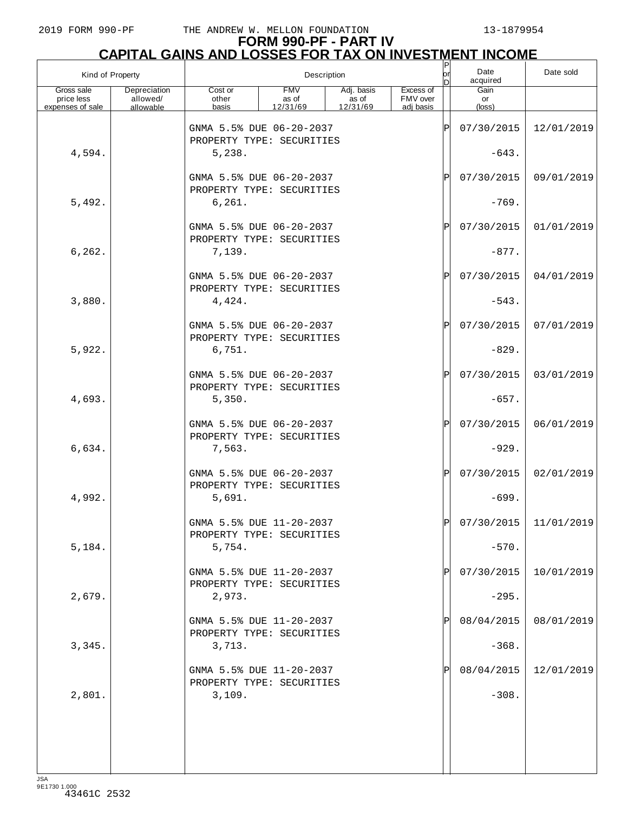# **FORM 990-PF - PART IV CAPITAL GAINS AND LOSSES FOR TAX ON INVESTMENT INCOME** P

| Kind of Property         |                          |                                                       |                     | Description         |                       | $\frac{P}{\text{or}}$<br>ln | Date<br>acquired | Date sold               |
|--------------------------|--------------------------|-------------------------------------------------------|---------------------|---------------------|-----------------------|-----------------------------|------------------|-------------------------|
| Gross sale<br>price less | Depreciation<br>allowed/ | Cost or<br>other                                      | <b>FMV</b><br>as of | Adj. basis<br>as of | Excess of<br>FMV over |                             | Gain<br>or       |                         |
| expenses of sale         | allowable                | basis                                                 | 12/31/69            | 12/31/69            | adi basis             |                             | $(\text{loss})$  |                         |
|                          |                          | GNMA 5.5% DUE 06-20-2037<br>PROPERTY TYPE: SECURITIES |                     |                     |                       | ΙP                          | 07/30/2015       | 12/01/2019              |
| 4,594.                   |                          | 5,238.                                                |                     |                     |                       |                             | $-643.$          |                         |
|                          |                          | GNMA 5.5% DUE 06-20-2037<br>PROPERTY TYPE: SECURITIES |                     |                     |                       | ΙP                          | 07/30/2015       | 09/01/2019              |
| 5,492.                   |                          | 6, 261.                                               |                     |                     |                       |                             | $-769.$          |                         |
|                          |                          | GNMA 5.5% DUE 06-20-2037<br>PROPERTY TYPE: SECURITIES |                     |                     |                       | ΙP                          | 07/30/2015       | 01/01/2019              |
| 6, 262.                  |                          | 7,139.                                                |                     |                     |                       |                             | $-877.$          |                         |
|                          |                          | GNMA 5.5% DUE 06-20-2037<br>PROPERTY TYPE: SECURITIES |                     |                     |                       | ΙP                          | 07/30/2015       | 04/01/2019              |
| 3,880.                   |                          | 4,424.                                                |                     |                     |                       |                             | $-543.$          |                         |
|                          |                          | GNMA 5.5% DUE 06-20-2037<br>PROPERTY TYPE: SECURITIES |                     |                     |                       | ΙP                          | 07/30/2015       | 07/01/2019              |
| 5,922.                   |                          | 6,751.                                                |                     |                     |                       |                             | $-829.$          |                         |
|                          |                          | GNMA 5.5% DUE 06-20-2037<br>PROPERTY TYPE: SECURITIES |                     |                     |                       | ΙP                          | 07/30/2015       | 03/01/2019              |
| 4,693.                   |                          | 5,350.                                                |                     |                     |                       |                             | $-657.$          |                         |
|                          |                          | GNMA 5.5% DUE 06-20-2037<br>PROPERTY TYPE: SECURITIES |                     |                     |                       | ΙP                          | 07/30/2015       | 06/01/2019              |
| 6,634.                   |                          | 7,563.                                                |                     |                     |                       |                             | $-929.$          |                         |
|                          |                          | GNMA 5.5% DUE 06-20-2037<br>PROPERTY TYPE: SECURITIES |                     |                     |                       | ΙP                          | 07/30/2015       | 02/01/2019              |
| 4,992.                   |                          | 5,691.                                                |                     |                     |                       |                             | $-699.$          |                         |
|                          |                          | GNMA 5.5% DUE 11-20-2037<br>PROPERTY TYPE: SECURITIES |                     |                     |                       | $\mathbf{D}$                |                  | $07/30/2015$ 11/01/2019 |
| 5,184.                   |                          | 5,754.                                                |                     |                     |                       |                             | $-570.$          |                         |
|                          |                          | GNMA 5.5% DUE 11-20-2037<br>PROPERTY TYPE: SECURITIES |                     |                     |                       | P                           | 07/30/2015       | 10/01/2019              |
| 2,679.                   |                          | 2,973.                                                |                     |                     |                       |                             | $-295.$          |                         |
|                          |                          | GNMA 5.5% DUE 11-20-2037<br>PROPERTY TYPE: SECURITIES |                     |                     |                       |                             | 08/04/2015       | 08/01/2019              |
| 3,345.                   |                          | 3,713.                                                |                     |                     |                       |                             | $-368.$          |                         |
|                          |                          | GNMA 5.5% DUE 11-20-2037<br>PROPERTY TYPE: SECURITIES |                     |                     |                       |                             | 08/04/2015       | 12/01/2019              |
| 2,801.                   |                          | 3,109.                                                |                     |                     |                       |                             | $-308.$          |                         |
|                          |                          |                                                       |                     |                     |                       |                             |                  |                         |
|                          |                          |                                                       |                     |                     |                       |                             |                  |                         |
|                          |                          |                                                       |                     |                     |                       |                             |                  |                         |
|                          |                          |                                                       |                     |                     |                       |                             |                  |                         |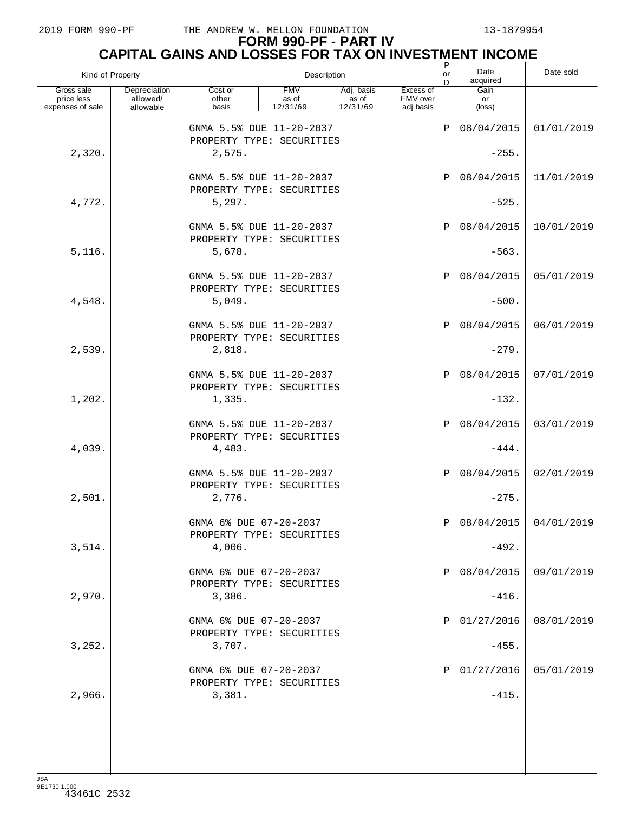| Kind of Property                             |                                       |                                                       | Description                     |                                 |                                    | P<br> or<br> D | Date<br>acquired     | Date sold             |
|----------------------------------------------|---------------------------------------|-------------------------------------------------------|---------------------------------|---------------------------------|------------------------------------|----------------|----------------------|-----------------------|
| Gross sale<br>price less<br>expenses of sale | Depreciation<br>allowed/<br>allowable | Cost or<br>other<br>basis                             | <b>FMV</b><br>as of<br>12/31/69 | Adj. basis<br>as of<br>12/31/69 | Excess of<br>FMV over<br>adi basis |                | Gain<br>or<br>(loss) |                       |
|                                              |                                       | GNMA 5.5% DUE 11-20-2037<br>PROPERTY TYPE: SECURITIES |                                 |                                 |                                    | ΙP             | 08/04/2015           | 01/01/2019            |
| 2,320.                                       |                                       | 2,575.                                                |                                 |                                 |                                    |                | $-255.$              |                       |
|                                              |                                       | GNMA 5.5% DUE 11-20-2037<br>PROPERTY TYPE: SECURITIES |                                 |                                 |                                    | ΙP             | 08/04/2015           | 11/01/2019            |
| 4,772.                                       |                                       | 5, 297.                                               |                                 |                                 |                                    |                | $-525.$              |                       |
|                                              |                                       | GNMA 5.5% DUE 11-20-2037<br>PROPERTY TYPE: SECURITIES |                                 |                                 |                                    | ΙP             | 08/04/2015           | 10/01/2019            |
| 5,116.                                       |                                       | 5,678.                                                |                                 |                                 |                                    |                | $-563.$              |                       |
|                                              |                                       | GNMA 5.5% DUE 11-20-2037<br>PROPERTY TYPE: SECURITIES |                                 |                                 |                                    | ΙP             | 08/04/2015           | 05/01/2019            |
| 4,548.                                       |                                       | 5,049.                                                |                                 |                                 |                                    |                | $-500.$              |                       |
|                                              |                                       | GNMA 5.5% DUE 11-20-2037<br>PROPERTY TYPE: SECURITIES |                                 |                                 |                                    | ΙP             | 08/04/2015           | 06/01/2019            |
| 2,539.                                       |                                       | 2,818.                                                |                                 |                                 |                                    |                | $-279.$              |                       |
|                                              |                                       | GNMA 5.5% DUE 11-20-2037<br>PROPERTY TYPE: SECURITIES |                                 |                                 |                                    | ΙP             | 08/04/2015           | 07/01/2019            |
| 1,202.                                       |                                       | 1,335.                                                |                                 |                                 |                                    |                | $-132.$              |                       |
|                                              |                                       | GNMA 5.5% DUE 11-20-2037<br>PROPERTY TYPE: SECURITIES |                                 |                                 |                                    | ΙP             | 08/04/2015           | 03/01/2019            |
| 4,039.                                       |                                       | 4,483.                                                |                                 |                                 |                                    |                | $-444.$              |                       |
|                                              |                                       | GNMA 5.5% DUE 11-20-2037<br>PROPERTY TYPE: SECURITIES |                                 |                                 |                                    | ΙP             | 08/04/2015           | 02/01/2019            |
| 2,501.                                       |                                       | 2,776.                                                |                                 |                                 |                                    |                | $-275.$              |                       |
|                                              |                                       | GNMA 6% DUE 07-20-2037<br>PROPERTY TYPE: SECURITIES   |                                 |                                 |                                    | lÞl            |                      | 08/04/2015 04/01/2019 |
| 3,514.                                       |                                       | 4,006.                                                |                                 |                                 |                                    |                | $-492.$              |                       |
|                                              |                                       | GNMA 6% DUE 07-20-2037<br>PROPERTY TYPE: SECURITIES   |                                 |                                 |                                    |                | 08/04/2015           | 09/01/2019            |
| 2,970.                                       |                                       | 3,386.                                                |                                 |                                 |                                    |                | $-416$ .             |                       |
|                                              |                                       | GNMA 6% DUE 07-20-2037<br>PROPERTY TYPE: SECURITIES   |                                 |                                 |                                    |                | 01/27/2016           | 08/01/2019            |
| 3,252.                                       |                                       | 3,707.                                                |                                 |                                 |                                    |                | $-455.$              |                       |
|                                              |                                       | GNMA 6% DUE 07-20-2037<br>PROPERTY TYPE: SECURITIES   |                                 |                                 |                                    |                | 01/27/2016           | 05/01/2019            |
| 2,966.                                       |                                       | 3,381.                                                |                                 |                                 |                                    |                | $-415.$              |                       |
|                                              |                                       |                                                       |                                 |                                 |                                    |                |                      |                       |
|                                              |                                       |                                                       |                                 |                                 |                                    |                |                      |                       |
|                                              |                                       |                                                       |                                 |                                 |                                    |                |                      |                       |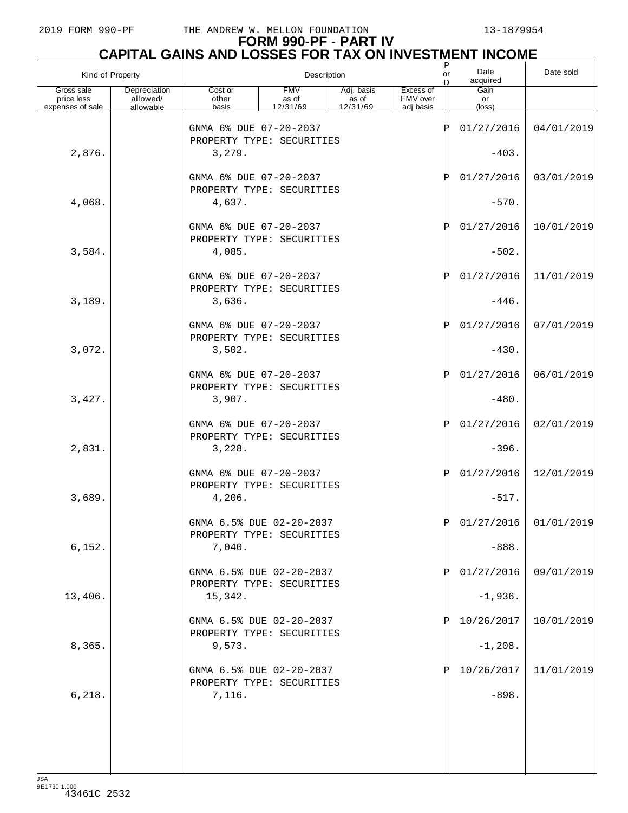# **FORM 990-PF - PART IV CAPITAL GAINS AND LOSSES FOR TAX ON INVESTMENT INCOME** P

| Kind of Property                             |                                       |                                                       |                                 | Description                     |                                    | $\frac{P}{\text{or}}$<br>ln | Date<br>acquired              | Date sold               |
|----------------------------------------------|---------------------------------------|-------------------------------------------------------|---------------------------------|---------------------------------|------------------------------------|-----------------------------|-------------------------------|-------------------------|
| Gross sale<br>price less<br>expenses of sale | Depreciation<br>allowed/<br>allowable | Cost or<br>other<br>basis                             | <b>FMV</b><br>as of<br>12/31/69 | Adj. basis<br>as of<br>12/31/69 | Excess of<br>FMV over<br>adi basis |                             | Gain<br>or<br>$(\text{loss})$ |                         |
|                                              |                                       |                                                       |                                 |                                 |                                    |                             |                               |                         |
|                                              |                                       | GNMA 6% DUE 07-20-2037<br>PROPERTY TYPE: SECURITIES   |                                 |                                 |                                    | ΙP                          | 01/27/2016                    | 04/01/2019              |
| 2,876.                                       |                                       | 3,279.                                                |                                 |                                 |                                    |                             | $-403.$                       |                         |
|                                              |                                       | GNMA 6% DUE 07-20-2037                                |                                 |                                 |                                    | ΙP                          | 01/27/2016                    | 03/01/2019              |
| 4,068.                                       |                                       | PROPERTY TYPE: SECURITIES<br>4,637.                   |                                 |                                 |                                    |                             | $-570.$                       |                         |
|                                              |                                       |                                                       |                                 |                                 |                                    |                             |                               |                         |
|                                              |                                       | GNMA 6% DUE 07-20-2037<br>PROPERTY TYPE: SECURITIES   |                                 |                                 |                                    | ΙP                          | 01/27/2016                    | 10/01/2019              |
| 3,584.                                       |                                       | 4,085.                                                |                                 |                                 |                                    |                             | $-502.$                       |                         |
|                                              |                                       | GNMA 6% DUE 07-20-2037                                |                                 |                                 |                                    | ΙP                          | 01/27/2016                    | 11/01/2019              |
|                                              |                                       | PROPERTY TYPE: SECURITIES                             |                                 |                                 |                                    |                             |                               |                         |
| 3,189.                                       |                                       | 3,636.                                                |                                 |                                 |                                    |                             | $-446.$                       |                         |
|                                              |                                       | GNMA 6% DUE 07-20-2037                                |                                 |                                 |                                    | ΙP                          | 01/27/2016                    | 07/01/2019              |
| 3,072.                                       |                                       | PROPERTY TYPE: SECURITIES<br>3,502.                   |                                 |                                 |                                    |                             | $-430.$                       |                         |
|                                              |                                       | GNMA 6% DUE 07-20-2037                                |                                 |                                 |                                    | ΙP                          | 01/27/2016                    | 06/01/2019              |
|                                              |                                       | PROPERTY TYPE: SECURITIES                             |                                 |                                 |                                    |                             |                               |                         |
| 3,427.                                       |                                       | 3,907.                                                |                                 |                                 |                                    |                             | $-480.$                       |                         |
|                                              |                                       | GNMA 6% DUE 07-20-2037                                |                                 |                                 |                                    | ΙP                          | 01/27/2016                    | 02/01/2019              |
| 2,831.                                       |                                       | PROPERTY TYPE: SECURITIES<br>3,228.                   |                                 |                                 |                                    |                             | $-396.$                       |                         |
|                                              |                                       |                                                       |                                 |                                 |                                    |                             |                               |                         |
|                                              |                                       | GNMA 6% DUE 07-20-2037<br>PROPERTY TYPE: SECURITIES   |                                 |                                 |                                    | ΙP                          | 01/27/2016                    | 12/01/2019              |
| 3,689.                                       |                                       | 4,206.                                                |                                 |                                 |                                    |                             | $-517.$                       |                         |
|                                              |                                       | GNMA 6.5% DUE 02-20-2037                              |                                 |                                 |                                    | $\mathbf{D}$                |                               | $01/27/2016$ 01/01/2019 |
| 6,152.                                       |                                       | PROPERTY TYPE: SECURITIES<br>7,040.                   |                                 |                                 |                                    |                             | $-888.$                       |                         |
|                                              |                                       |                                                       |                                 |                                 |                                    |                             |                               |                         |
|                                              |                                       | GNMA 6.5% DUE 02-20-2037<br>PROPERTY TYPE: SECURITIES |                                 |                                 |                                    | IP                          | 01/27/2016                    | 09/01/2019              |
| 13,406.                                      |                                       | 15,342.                                               |                                 |                                 |                                    |                             | $-1,936.$                     |                         |
|                                              |                                       | GNMA 6.5% DUE 02-20-2037                              |                                 |                                 |                                    |                             | 10/26/2017                    | 10/01/2019              |
| 8,365.                                       |                                       | PROPERTY TYPE: SECURITIES<br>9,573.                   |                                 |                                 |                                    |                             | $-1, 208.$                    |                         |
|                                              |                                       |                                                       |                                 |                                 |                                    |                             |                               |                         |
|                                              |                                       | GNMA 6.5% DUE 02-20-2037<br>PROPERTY TYPE: SECURITIES |                                 |                                 |                                    |                             | 10/26/2017                    | 11/01/2019              |
| 6,218.                                       |                                       | 7,116.                                                |                                 |                                 |                                    |                             | $-898.$                       |                         |
|                                              |                                       |                                                       |                                 |                                 |                                    |                             |                               |                         |
|                                              |                                       |                                                       |                                 |                                 |                                    |                             |                               |                         |
|                                              |                                       |                                                       |                                 |                                 |                                    |                             |                               |                         |
|                                              |                                       |                                                       |                                 |                                 |                                    |                             |                               |                         |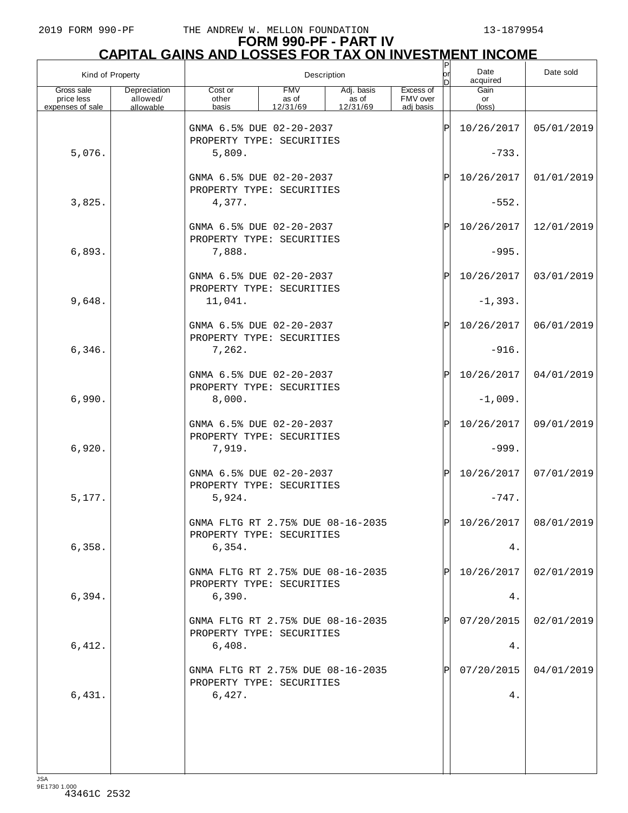# **FORM 990-PF - PART IV**

|                                              | <u>CAPITAL GAINS AND LOSSES FOR TAX ON INVESTMENT INCOME</u> |                                                                |                                 |                                           |                                    |             |                               |            |  |  |  |
|----------------------------------------------|--------------------------------------------------------------|----------------------------------------------------------------|---------------------------------|-------------------------------------------|------------------------------------|-------------|-------------------------------|------------|--|--|--|
| Kind of Property                             |                                                              |                                                                |                                 | Description                               |                                    | b           | Date<br>acquired              | Date sold  |  |  |  |
| Gross sale<br>price less<br>expenses of sale | Depreciation<br>allowed/<br>allowable                        | Cost or<br>other<br>basis                                      | <b>FMV</b><br>as of<br>12/31/69 | Adj. basis<br>as of<br>$\frac{12}{31/69}$ | Excess of<br>FMV over<br>adj basis |             | Gain<br>or<br>$(\text{loss})$ |            |  |  |  |
|                                              |                                                              | GNMA 6.5% DUE 02-20-2037<br>PROPERTY TYPE: SECURITIES          |                                 |                                           |                                    | ΙP          | 10/26/2017                    | 05/01/2019 |  |  |  |
| 5,076.                                       |                                                              | 5,809.                                                         |                                 |                                           |                                    |             | $-733.$                       |            |  |  |  |
|                                              |                                                              | GNMA 6.5% DUE 02-20-2037<br>PROPERTY TYPE: SECURITIES          |                                 |                                           |                                    | ΙP          | 10/26/2017                    | 01/01/2019 |  |  |  |
| 3,825.                                       |                                                              | 4,377.                                                         |                                 |                                           |                                    |             | $-552.$                       |            |  |  |  |
|                                              |                                                              | GNMA 6.5% DUE 02-20-2037<br>PROPERTY TYPE: SECURITIES          |                                 |                                           |                                    | $ {\rm P} $ | 10/26/2017                    | 12/01/2019 |  |  |  |
| 6,893.                                       |                                                              | 7,888.                                                         |                                 |                                           |                                    |             | $-995.$                       |            |  |  |  |
|                                              |                                                              | GNMA 6.5% DUE 02-20-2037<br>PROPERTY TYPE: SECURITIES          |                                 |                                           |                                    | ΙP          | 10/26/2017                    | 03/01/2019 |  |  |  |
| 9,648.                                       |                                                              | 11,041.                                                        |                                 |                                           |                                    |             | $-1,393.$                     |            |  |  |  |
|                                              |                                                              | GNMA 6.5% DUE 02-20-2037<br>PROPERTY TYPE: SECURITIES          |                                 |                                           |                                    | $ {\rm P} $ | 10/26/2017                    | 06/01/2019 |  |  |  |
| 6,346.                                       |                                                              | 7,262.                                                         |                                 |                                           |                                    |             | $-916.$                       |            |  |  |  |
|                                              |                                                              | GNMA 6.5% DUE 02-20-2037<br>PROPERTY TYPE: SECURITIES          |                                 |                                           |                                    | $ {\rm P} $ | 10/26/2017                    | 04/01/2019 |  |  |  |
| 6,990.                                       |                                                              | 8,000.                                                         |                                 |                                           |                                    |             | $-1,009.$                     |            |  |  |  |
|                                              |                                                              | GNMA 6.5% DUE 02-20-2037<br>PROPERTY TYPE: SECURITIES          |                                 |                                           |                                    | $ {\rm P} $ | 10/26/2017                    | 09/01/2019 |  |  |  |
| 6,920.                                       |                                                              | 7,919.                                                         |                                 |                                           |                                    |             | $-999.$                       |            |  |  |  |
|                                              |                                                              | GNMA 6.5% DUE 02-20-2037<br>PROPERTY TYPE: SECURITIES          |                                 |                                           |                                    | P           | 10/26/2017                    | 07/01/2019 |  |  |  |
| 5,177.                                       |                                                              | 5,924.                                                         |                                 |                                           |                                    |             | $-747.$                       |            |  |  |  |
|                                              |                                                              | GNMA FLTG RT 2.75% DUE 08-16-2035<br>PROPERTY TYPE: SECURITIES |                                 |                                           |                                    | ΙÞΙ         | 10/26/2017                    | 08/01/2019 |  |  |  |
| 6,358.                                       |                                                              | 6,354.                                                         |                                 |                                           |                                    |             | 4.                            |            |  |  |  |
|                                              |                                                              | GNMA FLTG RT 2.75% DUE 08-16-2035<br>PROPERTY TYPE: SECURITIES |                                 |                                           |                                    | ΙPΙ         | 10/26/2017                    | 02/01/2019 |  |  |  |
| 6,394.                                       |                                                              | 6,390.                                                         |                                 |                                           |                                    |             | 4.                            |            |  |  |  |
|                                              |                                                              | GNMA FLTG RT 2.75% DUE 08-16-2035<br>PROPERTY TYPE: SECURITIES |                                 |                                           |                                    | ΙPΙ         | 07/20/2015                    | 02/01/2019 |  |  |  |
| 6,412.                                       |                                                              | 6,408.                                                         |                                 |                                           |                                    |             | 4.                            |            |  |  |  |
|                                              |                                                              | GNMA FLTG RT 2.75% DUE 08-16-2035<br>PROPERTY TYPE: SECURITIES |                                 |                                           |                                    | ΙPΙ         | 07/20/2015                    | 04/01/2019 |  |  |  |
| 6,431.                                       |                                                              | 6,427.                                                         |                                 |                                           |                                    |             | 4.                            |            |  |  |  |
|                                              |                                                              |                                                                |                                 |                                           |                                    |             |                               |            |  |  |  |
|                                              |                                                              |                                                                |                                 |                                           |                                    |             |                               |            |  |  |  |
|                                              |                                                              |                                                                |                                 |                                           |                                    |             |                               |            |  |  |  |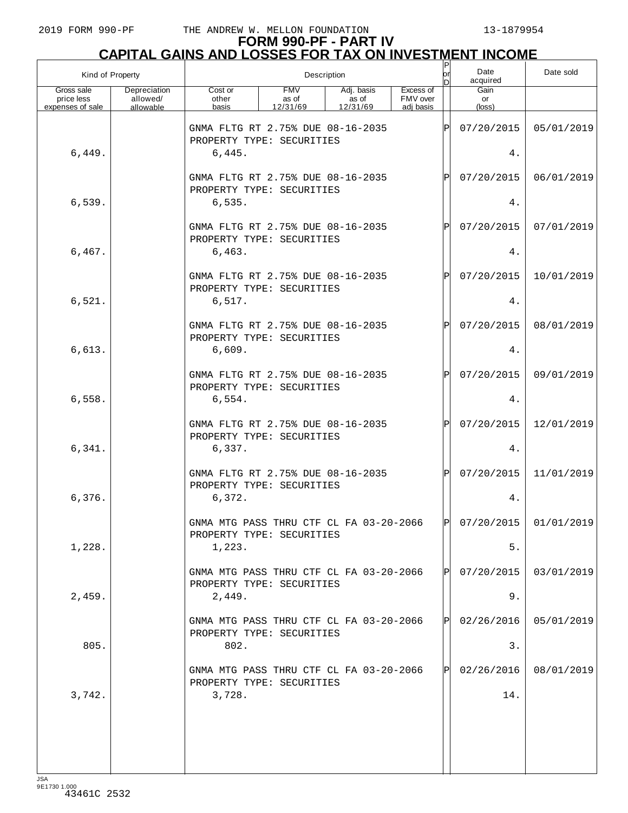| Kind of Property                             |                                       |                                                                          |                                 | Description                     |                                    | P<br> or<br>nl | Date<br>acquired     | Date sold               |
|----------------------------------------------|---------------------------------------|--------------------------------------------------------------------------|---------------------------------|---------------------------------|------------------------------------|----------------|----------------------|-------------------------|
| Gross sale<br>price less<br>expenses of sale | Depreciation<br>allowed/<br>allowable | Cost or<br>other<br>basis                                                | <b>FMV</b><br>as of<br>12/31/69 | Adj. basis<br>as of<br>12/31/69 | Excess of<br>FMV over<br>adi basis |                | Gain<br>or<br>(loss) |                         |
|                                              |                                       | GNMA FLTG RT 2.75% DUE 08-16-2035<br>PROPERTY TYPE: SECURITIES           |                                 |                                 |                                    | $\mathsf P$    | 07/20/2015           | 05/01/2019              |
| 6,449.                                       |                                       | 6,445.                                                                   |                                 |                                 |                                    |                | 4.                   |                         |
|                                              |                                       | GNMA FLTG RT 2.75% DUE 08-16-2035<br>PROPERTY TYPE: SECURITIES           |                                 |                                 |                                    | Ρ              | 07/20/2015           | 06/01/2019              |
| 6,539.                                       |                                       | 6,535.                                                                   |                                 |                                 |                                    |                | 4.                   |                         |
|                                              |                                       | GNMA FLTG RT 2.75% DUE 08-16-2035<br>PROPERTY TYPE: SECURITIES           |                                 |                                 |                                    | $\mathsf{P}$   | 07/20/2015           | 07/01/2019              |
| 6,467.                                       |                                       | 6,463.                                                                   |                                 |                                 |                                    |                | 4.                   |                         |
| 6,521.                                       |                                       | GNMA FLTG RT 2.75% DUE 08-16-2035<br>PROPERTY TYPE: SECURITIES<br>6,517. |                                 |                                 |                                    | $\mathsf{P}$   | 07/20/2015<br>4.     | 10/01/2019              |
|                                              |                                       |                                                                          |                                 |                                 |                                    |                |                      |                         |
| 6,613.                                       |                                       | GNMA FLTG RT 2.75% DUE 08-16-2035<br>PROPERTY TYPE: SECURITIES<br>6,609. |                                 |                                 |                                    | $\mathsf{P}$   | 07/20/2015<br>4.     | 08/01/2019              |
|                                              |                                       |                                                                          |                                 |                                 |                                    |                |                      |                         |
|                                              |                                       | GNMA FLTG RT 2.75% DUE 08-16-2035<br>PROPERTY TYPE: SECURITIES           |                                 |                                 |                                    | $\mathsf{P}$   | 07/20/2015           | 09/01/2019              |
| 6,558.                                       |                                       | 6,554.                                                                   |                                 |                                 |                                    |                | 4.                   |                         |
|                                              |                                       | GNMA FLTG RT 2.75% DUE 08-16-2035<br>PROPERTY TYPE: SECURITIES           |                                 |                                 |                                    | $\mathsf{P}$   | 07/20/2015           | 12/01/2019              |
| 6,341.                                       |                                       | 6,337.                                                                   |                                 |                                 |                                    |                | 4.                   |                         |
|                                              |                                       | GNMA FLTG RT 2.75% DUE 08-16-2035<br>PROPERTY TYPE: SECURITIES           |                                 |                                 |                                    | $\mathsf{P}$   | 07/20/2015           | 11/01/2019              |
| 6,376.                                       |                                       | 6,372.                                                                   |                                 |                                 |                                    |                | 4.                   |                         |
|                                              |                                       | GNMA MTG PASS THRU CTF CL FA 03-20-2066<br>PROPERTY TYPE: SECURITIES     |                                 |                                 |                                    | P              |                      | $07/20/2015$ 01/01/2019 |
| 1,228.                                       |                                       | 1,223.                                                                   |                                 |                                 |                                    |                | 5.                   |                         |
|                                              |                                       | GNMA MTG PASS THRU CTF CL FA 03-20-2066<br>PROPERTY TYPE: SECURITIES     |                                 |                                 |                                    | PI             | 07/20/2015           | 03/01/2019              |
| 2,459.                                       |                                       | 2,449.                                                                   |                                 |                                 |                                    |                | 9.                   |                         |
|                                              |                                       | GNMA MTG PASS THRU CTF CL FA 03-20-2066<br>PROPERTY TYPE: SECURITIES     |                                 |                                 |                                    | P              | 02/26/2016           | 05/01/2019              |
| 805.                                         |                                       | 802.                                                                     |                                 |                                 |                                    |                | 3.                   |                         |
|                                              |                                       | GNMA MTG PASS THRU CTF CL FA 03-20-2066<br>PROPERTY TYPE: SECURITIES     |                                 |                                 |                                    | $\mathsf{P}$   | 02/26/2016           | 08/01/2019              |
| 3,742.                                       |                                       | 3,728.                                                                   |                                 |                                 |                                    |                | 14.                  |                         |
|                                              |                                       |                                                                          |                                 |                                 |                                    |                |                      |                         |
|                                              |                                       |                                                                          |                                 |                                 |                                    |                |                      |                         |
|                                              |                                       |                                                                          |                                 |                                 |                                    |                |                      |                         |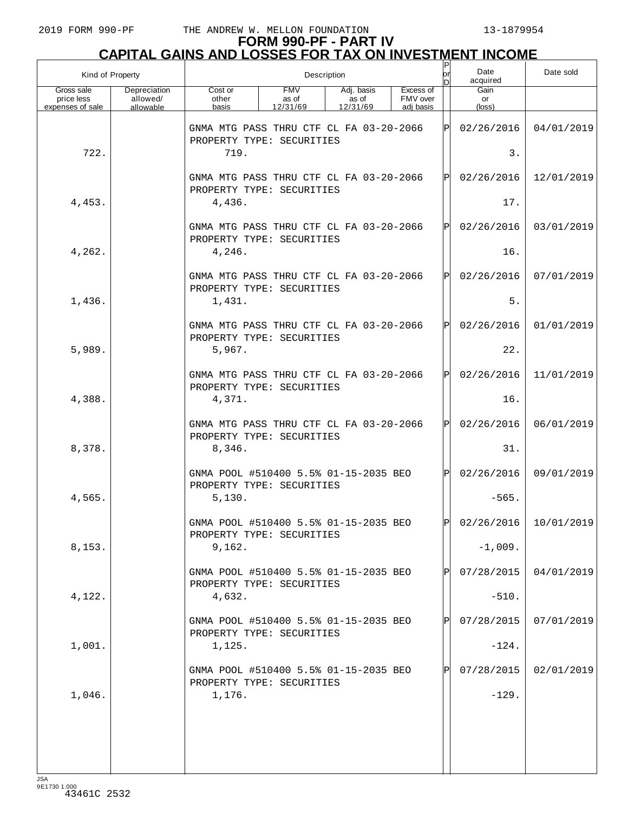| Kind of Property                             |                                       |                                                                      |                                 | Description                     |                                    | P<br>or<br>DI | Date<br>acquired     | Date sold               |
|----------------------------------------------|---------------------------------------|----------------------------------------------------------------------|---------------------------------|---------------------------------|------------------------------------|---------------|----------------------|-------------------------|
| Gross sale<br>price less<br>expenses of sale | Depreciation<br>allowed/<br>allowable | Cost or<br>other<br>basis                                            | <b>FMV</b><br>as of<br>12/31/69 | Adj. basis<br>as of<br>12/31/69 | Excess of<br>FMV over<br>adj basis |               | Gain<br>or<br>(loss) |                         |
|                                              |                                       | GNMA MTG PASS THRU CTF CL FA 03-20-2066<br>PROPERTY TYPE: SECURITIES |                                 |                                 |                                    | ΙPΙ           | 02/26/2016           | 04/01/2019              |
| 722.                                         |                                       | 719.                                                                 |                                 |                                 |                                    |               | 3.                   |                         |
|                                              |                                       | GNMA MTG PASS THRU CTF CL FA 03-20-2066<br>PROPERTY TYPE: SECURITIES |                                 |                                 |                                    | ΙÞΙ           | 02/26/2016           | 12/01/2019              |
| 4,453.                                       |                                       | 4,436.                                                               |                                 |                                 |                                    |               | 17.                  |                         |
|                                              |                                       | GNMA MTG PASS THRU CTF CL FA 03-20-2066<br>PROPERTY TYPE: SECURITIES |                                 |                                 |                                    | IPI           | 02/26/2016           | 03/01/2019              |
| 4,262.                                       |                                       | 4,246.                                                               |                                 |                                 |                                    |               | 16.                  |                         |
|                                              |                                       | GNMA MTG PASS THRU CTF CL FA 03-20-2066<br>PROPERTY TYPE: SECURITIES |                                 |                                 |                                    | ΙÞΙ           | 02/26/2016           | 07/01/2019              |
| 1,436.                                       |                                       | 1,431.                                                               |                                 |                                 |                                    |               | $5.$                 |                         |
|                                              |                                       | GNMA MTG PASS THRU CTF CL FA 03-20-2066<br>PROPERTY TYPE: SECURITIES |                                 |                                 |                                    | lÞl           | 02/26/2016           | 01/01/2019              |
| 5,989.                                       |                                       | 5,967.                                                               |                                 |                                 |                                    |               | 22.                  |                         |
|                                              |                                       | GNMA MTG PASS THRU CTF CL FA 03-20-2066<br>PROPERTY TYPE: SECURITIES |                                 |                                 |                                    | ΙÞΙ           | 02/26/2016           | 11/01/2019              |
| 4,388.                                       |                                       | 4,371.                                                               |                                 |                                 |                                    |               | 16.                  |                         |
|                                              |                                       | GNMA MTG PASS THRU CTF CL FA 03-20-2066<br>PROPERTY TYPE: SECURITIES |                                 |                                 |                                    | lÞl           | 02/26/2016           | 06/01/2019              |
| 8,378.                                       |                                       | 8,346.                                                               |                                 |                                 |                                    |               | 31.                  |                         |
|                                              |                                       | GNMA POOL #510400 5.5% 01-15-2035 BEO<br>PROPERTY TYPE: SECURITIES   |                                 |                                 |                                    | lPl           | 02/26/2016           | 09/01/2019              |
| 4,565.                                       |                                       | 5,130.                                                               |                                 |                                 |                                    |               | $-565.$              |                         |
|                                              |                                       | GNMA POOL #510400 5.5% 01-15-2035 BEO<br>PROPERTY TYPE: SECURITIES   |                                 |                                 |                                    | IÞI           |                      | $02/26/2016$ 10/01/2019 |
| 8,153.                                       |                                       | 9,162.                                                               |                                 |                                 |                                    |               | $-1,009.$            |                         |
|                                              |                                       | GNMA POOL #510400 5.5% 01-15-2035 BEO<br>PROPERTY TYPE: SECURITIES   |                                 |                                 |                                    | Þl            | 07/28/2015           | 04/01/2019              |
| 4,122.                                       |                                       | 4,632.                                                               |                                 |                                 |                                    |               | $-510.$              |                         |
|                                              |                                       | GNMA POOL #510400 5.5% 01-15-2035 BEO<br>PROPERTY TYPE: SECURITIES   |                                 |                                 |                                    | Þl            | 07/28/2015           | 07/01/2019              |
| 1,001.                                       |                                       | 1,125.                                                               |                                 |                                 |                                    |               | $-124.$              |                         |
|                                              |                                       | GNMA POOL #510400 5.5% 01-15-2035 BEO<br>PROPERTY TYPE: SECURITIES   |                                 |                                 |                                    | Þl            | 07/28/2015           | 02/01/2019              |
| 1,046.                                       |                                       | 1,176.                                                               |                                 |                                 |                                    |               | $-129.$              |                         |
|                                              |                                       |                                                                      |                                 |                                 |                                    |               |                      |                         |
|                                              |                                       |                                                                      |                                 |                                 |                                    |               |                      |                         |
|                                              |                                       |                                                                      |                                 |                                 |                                    |               |                      |                         |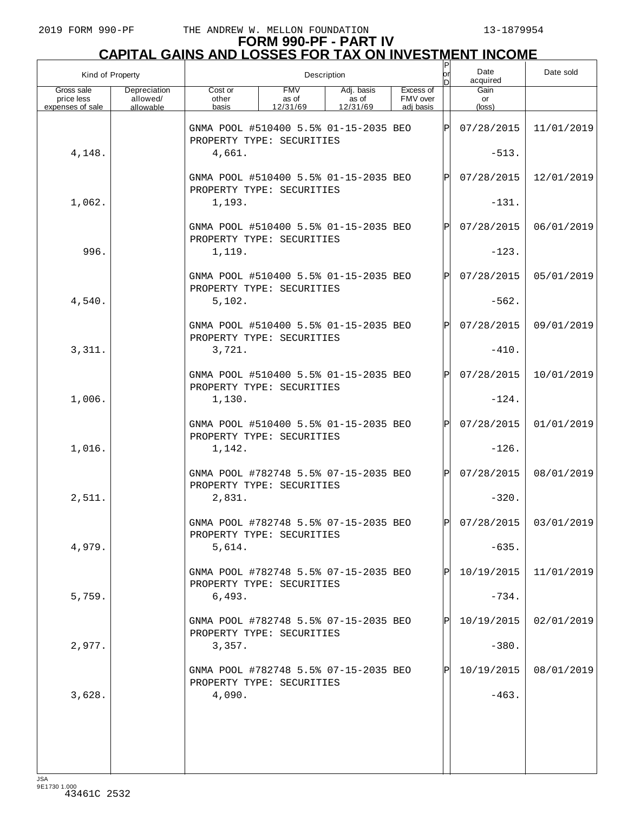| Kind of Property                             |                                       |                                                                    |                                 | Description                     |                                    | $\mathsf{P}$<br>lorl<br>n | Date<br>acquired      | Date sold               |
|----------------------------------------------|---------------------------------------|--------------------------------------------------------------------|---------------------------------|---------------------------------|------------------------------------|---------------------------|-----------------------|-------------------------|
| Gross sale<br>price less<br>expenses of sale | Depreciation<br>allowed/<br>allowable | Cost or<br>other<br>basis                                          | <b>FMV</b><br>as of<br>12/31/69 | Adj. basis<br>as of<br>12/31/69 | Excess of<br>FMV over<br>adj basis |                           | Gain<br>or<br>(loss)  |                         |
|                                              |                                       | GNMA POOL #510400 5.5% 01-15-2035 BEO<br>PROPERTY TYPE: SECURITIES |                                 |                                 |                                    | Þl                        | 07/28/2015            | 11/01/2019              |
| 4,148.                                       |                                       | 4,661.                                                             |                                 |                                 |                                    |                           | $-513.$               |                         |
|                                              |                                       | GNMA POOL #510400 5.5% 01-15-2035 BEO<br>PROPERTY TYPE: SECURITIES |                                 |                                 |                                    | $\mathbf P$               | 07/28/2015            | 12/01/2019              |
| 1,062.                                       |                                       | 1,193.                                                             |                                 |                                 |                                    |                           | $-131.$               |                         |
|                                              |                                       | GNMA POOL #510400 5.5% 01-15-2035 BEO<br>PROPERTY TYPE: SECURITIES |                                 |                                 |                                    | $\mathbf P$               | 07/28/2015            | 06/01/2019              |
| 996.                                         |                                       | 1,119.                                                             |                                 |                                 |                                    |                           | $-123.$               |                         |
|                                              |                                       | GNMA POOL #510400 5.5% 01-15-2035 BEO<br>PROPERTY TYPE: SECURITIES |                                 |                                 |                                    | $\mathbf P$               | 07/28/2015            | 05/01/2019              |
| 4,540.                                       |                                       | 5,102.                                                             |                                 |                                 |                                    |                           | $-562.$               |                         |
|                                              |                                       | GNMA POOL #510400 5.5% 01-15-2035 BEO<br>PROPERTY TYPE: SECURITIES |                                 |                                 |                                    | $\mathbf P$               | 07/28/2015            | 09/01/2019              |
| 3,311.                                       |                                       | 3,721.                                                             |                                 |                                 |                                    |                           | $-410.$               |                         |
|                                              |                                       | GNMA POOL #510400 5.5% 01-15-2035 BEO<br>PROPERTY TYPE: SECURITIES |                                 |                                 |                                    | $\mathsf{P}$              | 07/28/2015            | 10/01/2019              |
| 1,006.                                       |                                       | 1,130.                                                             |                                 |                                 |                                    |                           | $-124.$               |                         |
|                                              |                                       | GNMA POOL #510400 5.5% 01-15-2035 BEO<br>PROPERTY TYPE: SECURITIES |                                 |                                 |                                    | $\mathbf P$               | 07/28/2015            | 01/01/2019              |
| 1,016.                                       |                                       | 1,142.                                                             |                                 |                                 |                                    |                           | $-126.$               |                         |
| 2,511.                                       |                                       | GNMA POOL #782748 5.5% 07-15-2035 BEO<br>PROPERTY TYPE: SECURITIES |                                 |                                 |                                    | $\mathbf P$               | 07/28/2015<br>$-320.$ | 08/01/2019              |
|                                              |                                       | 2,831.<br>GNMA POOL #782748 5.5% 07-15-2035 BEO                    |                                 |                                 |                                    | D                         |                       | $07/28/2015$ 03/01/2019 |
| 4,979.                                       |                                       | PROPERTY TYPE: SECURITIES<br>5,614.                                |                                 |                                 |                                    |                           | $-635.$               |                         |
|                                              |                                       | GNMA POOL #782748 5.5% 07-15-2035 BEO                              |                                 |                                 |                                    |                           | 10/19/2015            | 11/01/2019              |
| 5,759.                                       |                                       | PROPERTY TYPE: SECURITIES<br>6,493.                                |                                 |                                 |                                    |                           | $-734.$               |                         |
|                                              |                                       | GNMA POOL #782748 5.5% 07-15-2035 BEO                              |                                 |                                 |                                    |                           | 10/19/2015            | 02/01/2019              |
| 2,977.                                       |                                       | PROPERTY TYPE: SECURITIES<br>3,357.                                |                                 |                                 |                                    |                           | $-380.$               |                         |
|                                              |                                       | GNMA POOL #782748 5.5% 07-15-2035 BEO                              |                                 |                                 |                                    |                           | 10/19/2015            | 08/01/2019              |
| 3,628.                                       |                                       | PROPERTY TYPE: SECURITIES<br>4,090.                                |                                 |                                 |                                    |                           | $-463.$               |                         |
|                                              |                                       |                                                                    |                                 |                                 |                                    |                           |                       |                         |
|                                              |                                       |                                                                    |                                 |                                 |                                    |                           |                       |                         |
|                                              |                                       |                                                                    |                                 |                                 |                                    |                           |                       |                         |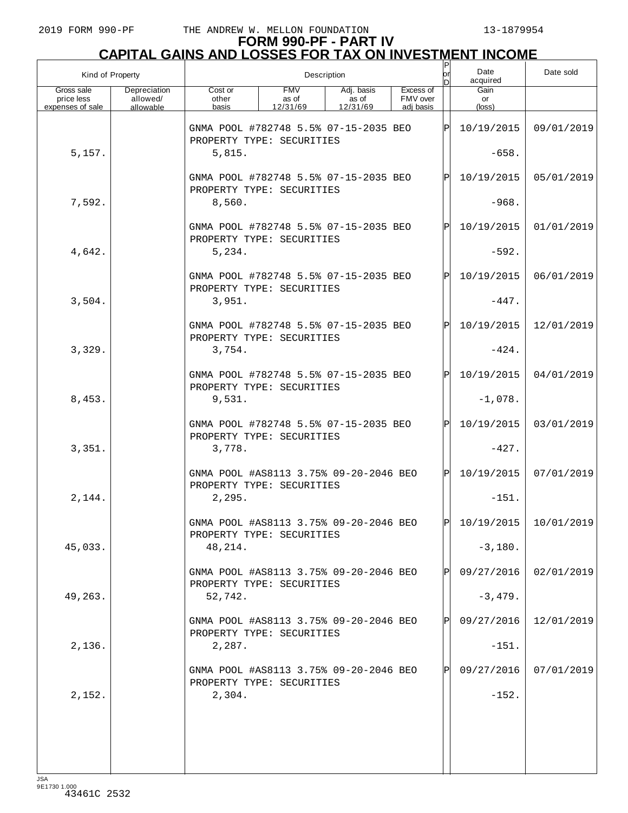|                                              | Kind of Property                      |                                                                     |                                 | Description                     |                                    | $\sf P$<br>or | Date<br>acquired     | Date sold               |
|----------------------------------------------|---------------------------------------|---------------------------------------------------------------------|---------------------------------|---------------------------------|------------------------------------|---------------|----------------------|-------------------------|
| Gross sale<br>price less<br>expenses of sale | Depreciation<br>allowed/<br>allowable | Cost or<br>other<br>basis                                           | <b>FMV</b><br>as of<br>12/31/69 | Adj. basis<br>as of<br>12/31/69 | Excess of<br>FMV over<br>adj basis |               | Gain<br>or<br>(loss) |                         |
|                                              |                                       | GNMA POOL #782748 5.5% 07-15-2035 BEO<br>PROPERTY TYPE: SECURITIES  |                                 |                                 |                                    | ΙPΙ           | 10/19/2015           | 09/01/2019              |
| 5,157.                                       |                                       | 5,815.                                                              |                                 |                                 |                                    |               | $-658.$              |                         |
|                                              |                                       | GNMA POOL #782748 5.5% 07-15-2035 BEO<br>PROPERTY TYPE: SECURITIES  |                                 |                                 |                                    | ΙPΙ           | 10/19/2015           | 05/01/2019              |
| 7,592.                                       |                                       | 8,560.                                                              |                                 |                                 |                                    |               | $-968.$              |                         |
|                                              |                                       | GNMA POOL #782748 5.5% 07-15-2035 BEO<br>PROPERTY TYPE: SECURITIES  |                                 |                                 |                                    | ΙPΙ           | 10/19/2015           | 01/01/2019              |
| 4,642.                                       |                                       | 5,234.                                                              |                                 |                                 |                                    |               | $-592.$              |                         |
|                                              |                                       | GNMA POOL #782748 5.5% 07-15-2035 BEO<br>PROPERTY TYPE: SECURITIES  |                                 |                                 |                                    | Þl            | 10/19/2015           | 06/01/2019              |
| 3,504.                                       |                                       | 3,951.                                                              |                                 |                                 |                                    |               | $-447.$              |                         |
|                                              |                                       | GNMA POOL #782748 5.5% 07-15-2035 BEO<br>PROPERTY TYPE: SECURITIES  |                                 |                                 |                                    | ΙPΙ           | 10/19/2015           | 12/01/2019              |
| 3,329.                                       |                                       | 3,754.                                                              |                                 |                                 |                                    |               | $-424.$              |                         |
|                                              |                                       | GNMA POOL #782748 5.5% 07-15-2035 BEO<br>PROPERTY TYPE: SECURITIES  |                                 |                                 |                                    | Þl            | 10/19/2015           | 04/01/2019              |
| 8,453.                                       |                                       | 9,531.                                                              |                                 |                                 |                                    |               | $-1,078.$            |                         |
|                                              |                                       | GNMA POOL #782748 5.5% 07-15-2035 BEO<br>PROPERTY TYPE: SECURITIES  |                                 |                                 |                                    | ΙPΙ           | 10/19/2015           | 03/01/2019              |
| 3,351.                                       |                                       | 3,778.                                                              |                                 |                                 |                                    |               | $-427.$              |                         |
|                                              |                                       | GNMA POOL #AS8113 3.75% 09-20-2046 BEO<br>PROPERTY TYPE: SECURITIES |                                 |                                 |                                    | lPl           | 10/19/2015           | 07/01/2019              |
| 2,144.                                       |                                       | 2,295.                                                              |                                 |                                 |                                    |               | $-151.$              |                         |
|                                              |                                       | GNMA POOL #AS8113 3.75% 09-20-2046 BEO<br>PROPERTY TYPE: SECURITIES |                                 |                                 |                                    | ldl           |                      | $10/19/2015$ 10/01/2019 |
| 45,033.                                      |                                       | 48,214.                                                             |                                 |                                 |                                    |               | $-3,180.$            |                         |
|                                              |                                       | GNMA POOL #AS8113 3.75% 09-20-2046 BEO<br>PROPERTY TYPE: SECURITIES |                                 |                                 |                                    | $\mathbf P$   | 09/27/2016           | 02/01/2019              |
| 49,263.                                      |                                       | 52,742.                                                             |                                 |                                 |                                    |               | $-3,479.$            |                         |
|                                              |                                       | GNMA POOL #AS8113 3.75% 09-20-2046 BEO<br>PROPERTY TYPE: SECURITIES |                                 |                                 |                                    | ΙPΙ           | 09/27/2016           | 12/01/2019              |
| 2,136.                                       |                                       | 2,287.                                                              |                                 |                                 |                                    |               | $-151.$              |                         |
|                                              |                                       | GNMA POOL #AS8113 3.75% 09-20-2046 BEO<br>PROPERTY TYPE: SECURITIES |                                 |                                 |                                    | ΙPΙ           | 09/27/2016           | 07/01/2019              |
| 2,152.                                       |                                       | 2,304.                                                              |                                 |                                 |                                    |               | $-152.$              |                         |
|                                              |                                       |                                                                     |                                 |                                 |                                    |               |                      |                         |
|                                              |                                       |                                                                     |                                 |                                 |                                    |               |                      |                         |
|                                              |                                       |                                                                     |                                 |                                 |                                    |               |                      |                         |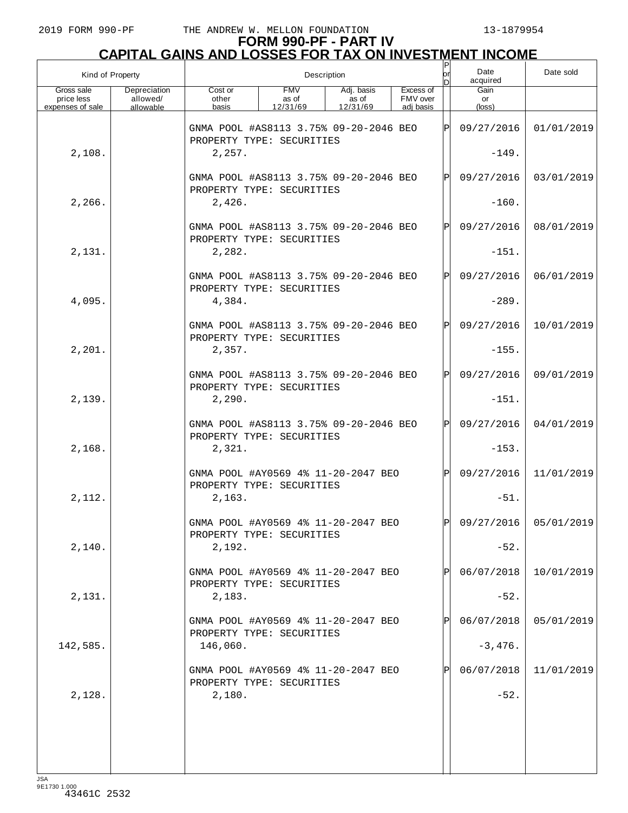## **FORM 990-PF - PART IV CAPITAL GAINS AND LOSSES FOR TAX ON INVESTMENT INCOME**

| Kind of Property                             |                                       |                                                                     |                                 | Description                     |                                    | Ρ<br>lor     | Date<br>acquired     | Date sold             |
|----------------------------------------------|---------------------------------------|---------------------------------------------------------------------|---------------------------------|---------------------------------|------------------------------------|--------------|----------------------|-----------------------|
| Gross sale<br>price less<br>expenses of sale | Depreciation<br>allowed/<br>allowable | Cost or<br>other<br>basis                                           | <b>FMV</b><br>as of<br>12/31/69 | Adj. basis<br>as of<br>12/31/69 | Excess of<br>FMV over<br>adi basis |              | Gain<br>or<br>(loss) |                       |
|                                              |                                       | GNMA POOL #AS8113 3.75% 09-20-2046 BEO<br>PROPERTY TYPE: SECURITIES |                                 |                                 |                                    | ΙP           | 09/27/2016           | 01/01/2019            |
| 2,108.                                       |                                       | 2,257.                                                              |                                 |                                 |                                    |              | $-149.$              |                       |
|                                              |                                       | GNMA POOL #AS8113 3.75% 09-20-2046 BEO<br>PROPERTY TYPE: SECURITIES |                                 |                                 |                                    | ΙÞΙ          | 09/27/2016           | 03/01/2019            |
| 2,266.                                       |                                       | 2,426.                                                              |                                 |                                 |                                    |              | $-160.$              |                       |
|                                              |                                       | GNMA POOL #AS8113 3.75% 09-20-2046 BEO<br>PROPERTY TYPE: SECURITIES |                                 |                                 |                                    | ΙPΙ          | 09/27/2016           | 08/01/2019            |
| 2,131.                                       |                                       | 2,282.                                                              |                                 |                                 |                                    |              | $-151.$              |                       |
|                                              |                                       | GNMA POOL #AS8113 3.75% 09-20-2046 BEO<br>PROPERTY TYPE: SECURITIES |                                 |                                 |                                    | ΙPΙ          | 09/27/2016           | 06/01/2019            |
| 4,095.                                       |                                       | 4,384.                                                              |                                 |                                 |                                    |              | $-289.$              |                       |
|                                              |                                       | GNMA POOL #AS8113 3.75% 09-20-2046 BEO<br>PROPERTY TYPE: SECURITIES |                                 |                                 |                                    | Þl           | 09/27/2016           | 10/01/2019            |
| 2,201.                                       |                                       | 2,357.                                                              |                                 |                                 |                                    |              | $-155.$              |                       |
|                                              |                                       | GNMA POOL #AS8113 3.75% 09-20-2046 BEO<br>PROPERTY TYPE: SECURITIES |                                 |                                 |                                    | $\mathbf P$  | 09/27/2016           | 09/01/2019            |
| 2,139.                                       |                                       | 2,290.                                                              |                                 |                                 |                                    |              | $-151.$              |                       |
|                                              |                                       | GNMA POOL #AS8113 3.75% 09-20-2046 BEO<br>PROPERTY TYPE: SECURITIES |                                 |                                 |                                    | Þl           | 09/27/2016           | 04/01/2019            |
| 2,168.                                       |                                       | 2,321.                                                              |                                 |                                 |                                    |              | $-153.$              |                       |
|                                              |                                       | GNMA POOL #AY0569 4% 11-20-2047 BEO<br>PROPERTY TYPE: SECURITIES    |                                 |                                 |                                    | $\mathsf{P}$ | 09/27/2016           | 11/01/2019            |
| 2,112.                                       |                                       | 2,163.                                                              |                                 |                                 |                                    |              | $-51.$               |                       |
|                                              |                                       | GNMA POOL #AY0569 4% 11-20-2047 BEO<br>PROPERTY TYPE: SECURITIES    |                                 |                                 |                                    | ÞІ           |                      | 09/27/2016 05/01/2019 |
| 2,140.                                       |                                       | 2,192.                                                              |                                 |                                 |                                    |              | $-52.$               |                       |
|                                              |                                       | GNMA POOL #AY0569 4% 11-20-2047 BEO<br>PROPERTY TYPE: SECURITIES    |                                 |                                 |                                    |              | 06/07/2018           | 10/01/2019            |
| 2,131.                                       |                                       | 2,183.                                                              |                                 |                                 |                                    |              | $-52.$               |                       |
|                                              |                                       | GNMA POOL #AY0569 4% 11-20-2047 BEO<br>PROPERTY TYPE: SECURITIES    |                                 |                                 |                                    |              | 06/07/2018           | 05/01/2019            |
| 142,585.                                     |                                       | 146,060.                                                            |                                 |                                 |                                    |              | $-3,476.$            |                       |
|                                              |                                       | GNMA POOL #AY0569 4% 11-20-2047 BEO<br>PROPERTY TYPE: SECURITIES    |                                 |                                 |                                    |              | 06/07/2018           | 11/01/2019            |
| 2,128.                                       |                                       | 2,180.                                                              |                                 |                                 |                                    |              | $-52.$               |                       |
|                                              |                                       |                                                                     |                                 |                                 |                                    |              |                      |                       |
|                                              |                                       |                                                                     |                                 |                                 |                                    |              |                      |                       |
|                                              |                                       |                                                                     |                                 |                                 |                                    |              |                      |                       |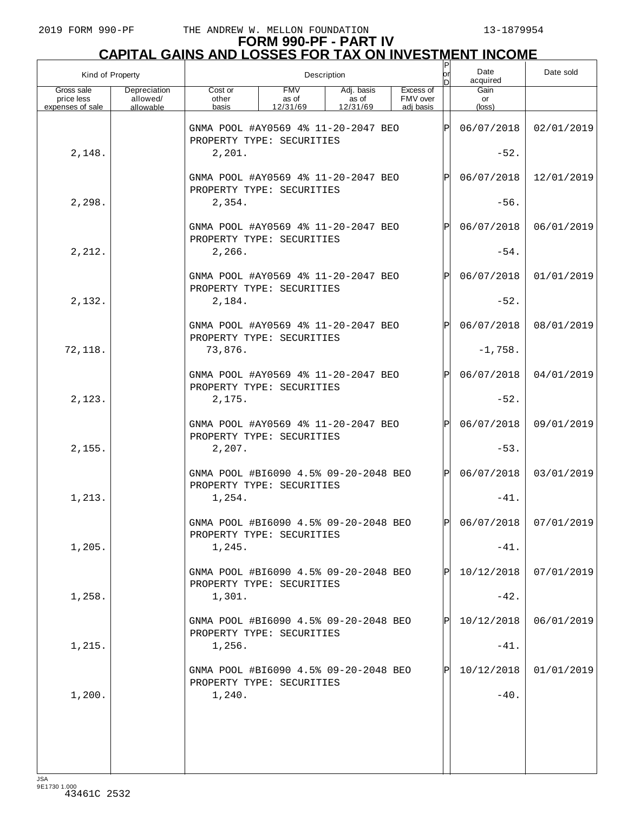| Kind of Property                             |                                       |                                                                    |                                 | Description                     |                                    | or<br>bl | Date<br>acquired     | Date sold             |
|----------------------------------------------|---------------------------------------|--------------------------------------------------------------------|---------------------------------|---------------------------------|------------------------------------|----------|----------------------|-----------------------|
| Gross sale<br>price less<br>expenses of sale | Depreciation<br>allowed/<br>allowable | Cost or<br>other<br>basis                                          | <b>FMV</b><br>as of<br>12/31/69 | Adj. basis<br>as of<br>12/31/69 | Excess of<br>FMV over<br>adi basis |          | Gain<br>or<br>(loss) |                       |
|                                              |                                       | GNMA POOL #AY0569 4% 11-20-2047 BEO<br>PROPERTY TYPE: SECURITIES   |                                 |                                 |                                    | IPI      | 06/07/2018           | 02/01/2019            |
| 2,148.                                       |                                       | 2,201.                                                             |                                 |                                 |                                    |          | $-52.$               |                       |
|                                              |                                       | GNMA POOL #AY0569 4% 11-20-2047 BEO<br>PROPERTY TYPE: SECURITIES   |                                 |                                 |                                    | IPI      | 06/07/2018           | 12/01/2019            |
| 2,298.                                       |                                       | 2,354.                                                             |                                 |                                 |                                    |          | $-56.$               |                       |
|                                              |                                       | GNMA POOL #AY0569 4% 11-20-2047 BEO<br>PROPERTY TYPE: SECURITIES   |                                 |                                 |                                    | IPI      | 06/07/2018           | 06/01/2019            |
| 2,212.                                       |                                       | 2,266.                                                             |                                 |                                 |                                    |          | $-54.$               |                       |
|                                              |                                       | GNMA POOL #AY0569 4% 11-20-2047 BEO<br>PROPERTY TYPE: SECURITIES   |                                 |                                 |                                    | IPI      | 06/07/2018           | 01/01/2019            |
| 2,132.                                       |                                       | 2,184.                                                             |                                 |                                 |                                    |          | $-52.$               |                       |
|                                              |                                       | GNMA POOL #AY0569 4% 11-20-2047 BEO<br>PROPERTY TYPE: SECURITIES   |                                 |                                 |                                    | IPI      | 06/07/2018           | 08/01/2019            |
| 72,118.                                      |                                       | 73,876.                                                            |                                 |                                 |                                    |          | $-1,758.$            |                       |
|                                              |                                       | GNMA POOL #AY0569 4% 11-20-2047 BEO<br>PROPERTY TYPE: SECURITIES   |                                 |                                 |                                    | IPI      | 06/07/2018           | 04/01/2019            |
| 2,123.                                       |                                       | 2,175.                                                             |                                 |                                 |                                    |          | $-52.$               |                       |
|                                              |                                       | GNMA POOL #AY0569 4% 11-20-2047 BEO<br>PROPERTY TYPE: SECURITIES   |                                 |                                 |                                    | IPI      | 06/07/2018           | 09/01/2019            |
| 2,155.                                       |                                       | 2,207.                                                             |                                 |                                 |                                    |          | $-53.$               |                       |
|                                              |                                       | GNMA POOL #BI6090 4.5% 09-20-2048 BEO<br>PROPERTY TYPE: SECURITIES |                                 |                                 |                                    | IPI      | 06/07/2018           | 03/01/2019            |
| 1,213.                                       |                                       | 1,254.                                                             |                                 |                                 |                                    |          | $-41.$               |                       |
|                                              |                                       | GNMA POOL #BI6090 4.5% 09-20-2048 BEO<br>PROPERTY TYPE: SECURITIES |                                 |                                 |                                    | IÞI.     |                      | 06/07/2018 07/01/2019 |
| 1,205.                                       |                                       | 1,245.                                                             |                                 |                                 |                                    |          | $-41.$               |                       |
|                                              |                                       | GNMA POOL #BI6090 4.5% 09-20-2048 BEO<br>PROPERTY TYPE: SECURITIES |                                 |                                 |                                    | Þl       | 10/12/2018           | 07/01/2019            |
| 1,258.                                       |                                       | 1,301.                                                             |                                 |                                 |                                    |          | $-42.$               |                       |
|                                              |                                       | GNMA POOL #BI6090 4.5% 09-20-2048 BEO<br>PROPERTY TYPE: SECURITIES |                                 |                                 |                                    | Þl       | 10/12/2018           | 06/01/2019            |
| 1,215.                                       |                                       | 1,256.                                                             |                                 |                                 |                                    |          | $-41.$               |                       |
|                                              |                                       | GNMA POOL #BI6090 4.5% 09-20-2048 BEO<br>PROPERTY TYPE: SECURITIES |                                 |                                 |                                    | Þl       | 10/12/2018           | 01/01/2019            |
| 1,200.                                       |                                       | 1,240.                                                             |                                 |                                 |                                    |          | $-40.$               |                       |
|                                              |                                       |                                                                    |                                 |                                 |                                    |          |                      |                       |
|                                              |                                       |                                                                    |                                 |                                 |                                    |          |                      |                       |
|                                              |                                       |                                                                    |                                 |                                 |                                    |          |                      |                       |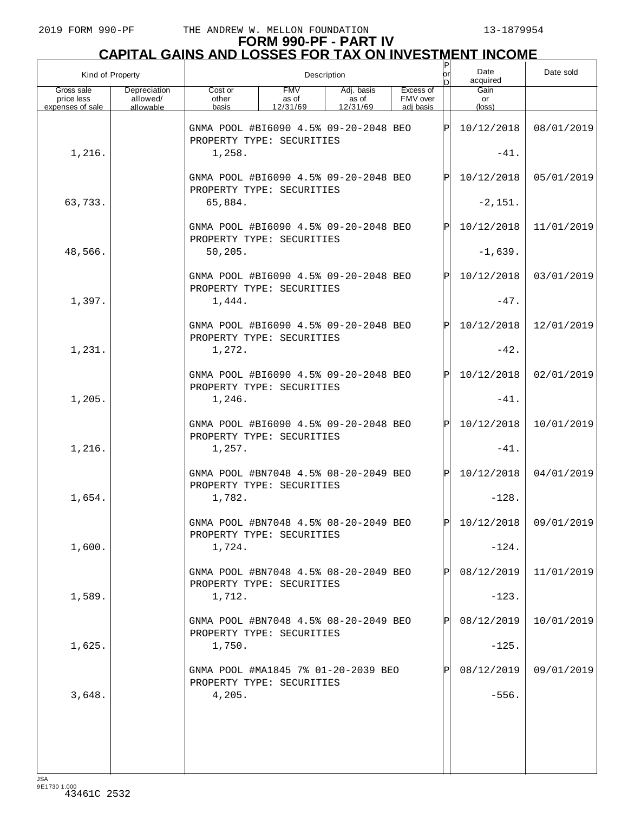# **FORM 990-PF - PART IV CAPITAL GAINS AND LOSSES FOR TAX ON INVESTMENT INCOME**

| Kind of Property                             |                                       |                                                                    |                                 | Description                     |                                    | $\sf P$<br>or | Date<br>acquired     | Date sold               |
|----------------------------------------------|---------------------------------------|--------------------------------------------------------------------|---------------------------------|---------------------------------|------------------------------------|---------------|----------------------|-------------------------|
| Gross sale<br>price less<br>expenses of sale | Depreciation<br>allowed/<br>allowable | Cost or<br>other<br>basis                                          | <b>FMV</b><br>as of<br>12/31/69 | Adj. basis<br>as of<br>12/31/69 | Excess of<br>FMV over<br>adj basis |               | Gain<br>or<br>(loss) |                         |
|                                              |                                       | GNMA POOL #BI6090 4.5% 09-20-2048 BEO<br>PROPERTY TYPE: SECURITIES |                                 |                                 |                                    | ΙPΙ           | 10/12/2018           | 08/01/2019              |
| 1,216.                                       |                                       | 1,258.                                                             |                                 |                                 |                                    |               | $-41.$               |                         |
|                                              |                                       | GNMA POOL #BI6090 4.5% 09-20-2048 BEO<br>PROPERTY TYPE: SECURITIES |                                 |                                 |                                    | ΙPΙ           | 10/12/2018           | 05/01/2019              |
| 63,733.                                      |                                       | 65,884.                                                            |                                 |                                 |                                    |               | $-2,151.$            |                         |
|                                              |                                       | GNMA POOL #BI6090 4.5% 09-20-2048 BEO<br>PROPERTY TYPE: SECURITIES |                                 |                                 |                                    | ΙPΙ           | 10/12/2018           | 11/01/2019              |
| 48,566.                                      |                                       | 50, 205.                                                           |                                 |                                 |                                    |               | $-1,639.$            |                         |
|                                              |                                       | GNMA POOL #BI6090 4.5% 09-20-2048 BEO<br>PROPERTY TYPE: SECURITIES |                                 |                                 |                                    | ΙPΙ           | 10/12/2018           | 03/01/2019              |
| 1,397.                                       |                                       | 1,444.                                                             |                                 |                                 |                                    |               | $-47.$               |                         |
|                                              |                                       | GNMA POOL #BI6090 4.5% 09-20-2048 BEO<br>PROPERTY TYPE: SECURITIES |                                 |                                 |                                    | ΙPΙ           | 10/12/2018           | 12/01/2019              |
| 1,231.                                       |                                       | 1,272.                                                             |                                 |                                 |                                    |               | $-42.$               |                         |
|                                              |                                       | GNMA POOL #BI6090 4.5% 09-20-2048 BEO<br>PROPERTY TYPE: SECURITIES |                                 |                                 |                                    | Þl            | 10/12/2018           | 02/01/2019              |
| 1,205.                                       |                                       | 1,246.                                                             |                                 |                                 |                                    |               | $-41.$               |                         |
|                                              |                                       | GNMA POOL #BI6090 4.5% 09-20-2048 BEO<br>PROPERTY TYPE: SECURITIES |                                 |                                 |                                    | ΙPΙ           | 10/12/2018           | 10/01/2019              |
| 1,216.                                       |                                       | 1,257.                                                             |                                 |                                 |                                    |               | $-41.$               |                         |
|                                              |                                       | GNMA POOL #BN7048 4.5% 08-20-2049 BEO<br>PROPERTY TYPE: SECURITIES |                                 |                                 |                                    | Þl            | 10/12/2018           | 04/01/2019              |
| 1,654.                                       |                                       | 1,782.                                                             |                                 |                                 |                                    |               | $-128.$              |                         |
|                                              |                                       | GNMA POOL #BN7048 4.5% 08-20-2049 BEO<br>PROPERTY TYPE: SECURITIES |                                 |                                 |                                    | Þl            |                      | $10/12/2018$ 09/01/2019 |
| 1,600.                                       |                                       | 1,724.                                                             |                                 |                                 |                                    |               | $-124.$              |                         |
|                                              |                                       | GNMA POOL #BN7048 4.5% 08-20-2049 BEO<br>PROPERTY TYPE: SECURITIES |                                 |                                 |                                    | $\mathbf{P}$  | 08/12/2019           | 11/01/2019              |
| 1,589.                                       |                                       | 1,712.                                                             |                                 |                                 |                                    |               | $-123.$              |                         |
|                                              |                                       | GNMA POOL #BN7048 4.5% 08-20-2049 BEO<br>PROPERTY TYPE: SECURITIES |                                 |                                 |                                    | $\mathbf P$   | 08/12/2019           | 10/01/2019              |
| 1,625.                                       |                                       | 1,750.                                                             |                                 |                                 |                                    |               | $-125.$              |                         |
|                                              |                                       | GNMA POOL #MA1845 7% 01-20-2039 BEO<br>PROPERTY TYPE: SECURITIES   |                                 |                                 |                                    |               | 08/12/2019           | 09/01/2019              |
| 3,648.                                       |                                       | 4,205.                                                             |                                 |                                 |                                    |               | $-556.$              |                         |
|                                              |                                       |                                                                    |                                 |                                 |                                    |               |                      |                         |
|                                              |                                       |                                                                    |                                 |                                 |                                    |               |                      |                         |
|                                              |                                       |                                                                    |                                 |                                 |                                    |               |                      |                         |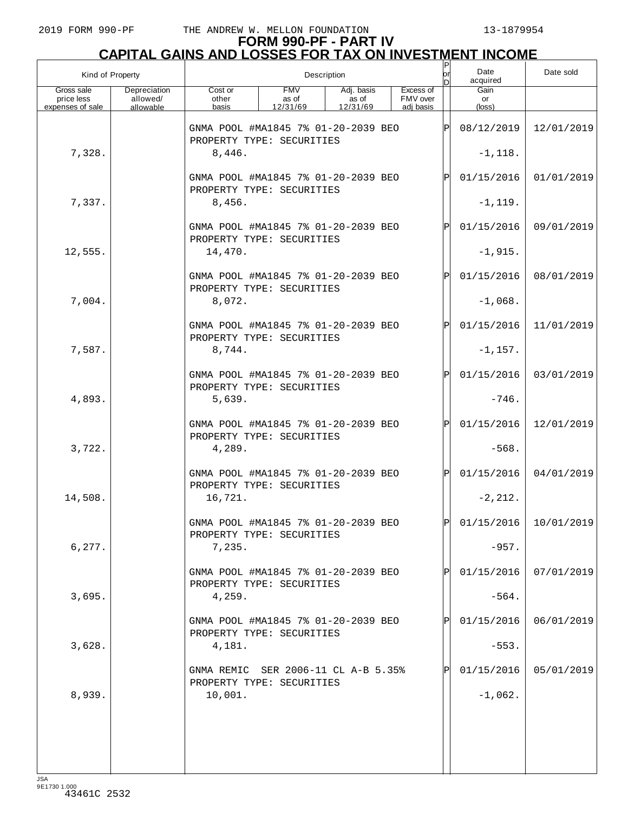# **FORM 990-PF - PART IV CAPITAL GAINS AND LOSSES FOR TAX ON INVESTMENT INCOME** P

|                                              | Kind of Property                      |                                                                  |                                 | Description                     |                                    | lor<br>n     | Date<br>acquired     | Date sold                 |
|----------------------------------------------|---------------------------------------|------------------------------------------------------------------|---------------------------------|---------------------------------|------------------------------------|--------------|----------------------|---------------------------|
| Gross sale<br>price less<br>expenses of sale | Depreciation<br>allowed/<br>allowable | Cost or<br>other<br>basis                                        | <b>FMV</b><br>as of<br>12/31/69 | Adj. basis<br>as of<br>12/31/69 | Excess of<br>FMV over<br>adi basis |              | Gain<br>or<br>(loss) |                           |
|                                              |                                       | GNMA POOL #MA1845 7% 01-20-2039 BEO<br>PROPERTY TYPE: SECURITIES |                                 |                                 |                                    | Þ            | 08/12/2019           | 12/01/2019                |
| 7,328.                                       |                                       | 8,446.                                                           |                                 |                                 |                                    |              | $-1, 118.$           |                           |
|                                              |                                       | GNMA POOL #MA1845 7% 01-20-2039 BEO<br>PROPERTY TYPE: SECURITIES |                                 |                                 |                                    | P            | 01/15/2016           | 01/01/2019                |
| 7,337.                                       |                                       | 8,456.                                                           |                                 |                                 |                                    |              | $-1, 119.$           |                           |
|                                              |                                       | GNMA POOL #MA1845 7% 01-20-2039 BEO<br>PROPERTY TYPE: SECURITIES |                                 |                                 |                                    | P            | 01/15/2016           | 09/01/2019                |
| 12,555.                                      |                                       | 14,470.                                                          |                                 |                                 |                                    |              | $-1,915.$            |                           |
|                                              |                                       | GNMA POOL #MA1845 7% 01-20-2039 BEO<br>PROPERTY TYPE: SECURITIES |                                 |                                 |                                    | P            | 01/15/2016           | 08/01/2019                |
| 7,004.                                       |                                       | 8,072.                                                           |                                 |                                 |                                    |              | $-1,068.$            |                           |
|                                              |                                       | GNMA POOL #MA1845 7% 01-20-2039 BEO<br>PROPERTY TYPE: SECURITIES |                                 |                                 |                                    | P            | 01/15/2016           | 11/01/2019                |
| 7,587.                                       |                                       | 8,744.                                                           |                                 |                                 |                                    |              | $-1,157.$            |                           |
|                                              |                                       | GNMA POOL #MA1845 7% 01-20-2039 BEO<br>PROPERTY TYPE: SECURITIES |                                 |                                 |                                    | P            | 01/15/2016           | 03/01/2019                |
| 4,893.                                       |                                       | 5,639.                                                           |                                 |                                 |                                    |              | $-746.$              |                           |
|                                              |                                       | GNMA POOL #MA1845 7% 01-20-2039 BEO<br>PROPERTY TYPE: SECURITIES |                                 |                                 |                                    | P            | 01/15/2016           | 12/01/2019                |
| 3,722.                                       |                                       | 4,289.                                                           |                                 |                                 |                                    |              | $-568.$              |                           |
|                                              |                                       | GNMA POOL #MA1845 7% 01-20-2039 BEO<br>PROPERTY TYPE: SECURITIES |                                 |                                 |                                    | Þl           | 01/15/2016           | 04/01/2019                |
| 14,508.                                      |                                       | 16,721.                                                          |                                 |                                 |                                    |              | $-2, 212.$           |                           |
|                                              |                                       | GNMA POOL #MA1845 7% 01-20-2039 BEO<br>PROPERTY TYPE: SECURITIES |                                 |                                 |                                    | $\mathsf{P}$ |                      | $01/15/2016$   10/01/2019 |
| 6, 277.                                      |                                       | 7,235.                                                           |                                 |                                 |                                    |              | $-957.$              |                           |
|                                              |                                       | GNMA POOL #MA1845 7% 01-20-2039 BEO<br>PROPERTY TYPE: SECURITIES |                                 |                                 |                                    |              | 01/15/2016           | 07/01/2019                |
| 3,695.                                       |                                       | 4,259.                                                           |                                 |                                 |                                    |              | $-564.$              |                           |
|                                              |                                       | GNMA POOL #MA1845 7% 01-20-2039 BEO<br>PROPERTY TYPE: SECURITIES |                                 |                                 |                                    |              | 01/15/2016           | 06/01/2019                |
| 3,628.                                       |                                       | 4,181.                                                           |                                 |                                 |                                    |              | $-553.$              |                           |
|                                              |                                       | GNMA REMIC SER 2006-11 CL A-B 5.35%<br>PROPERTY TYPE: SECURITIES |                                 |                                 |                                    |              | 01/15/2016           | 05/01/2019                |
| 8,939.                                       |                                       | 10,001.                                                          |                                 |                                 |                                    |              | $-1,062.$            |                           |
|                                              |                                       |                                                                  |                                 |                                 |                                    |              |                      |                           |
|                                              |                                       |                                                                  |                                 |                                 |                                    |              |                      |                           |
|                                              |                                       |                                                                  |                                 |                                 |                                    |              |                      |                           |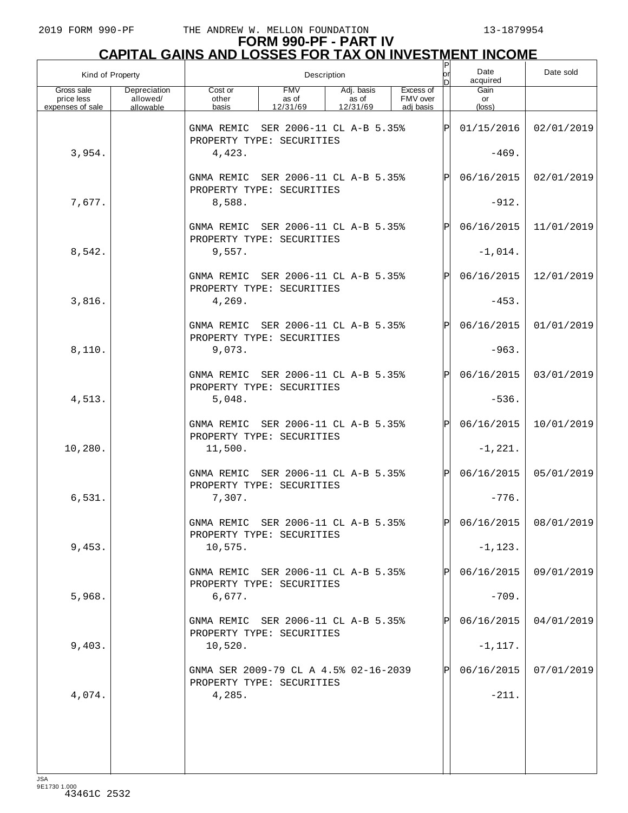# **FORM 990-PF - PART IV CAPITAL GAINS AND LOSSES FOR TAX ON INVESTMENT INCOME**

|                                              | Kind of Property                      |                                                                             | Description                     |                                 |                                    | P<br>lor     | Date<br>acquired         | Date sold               |
|----------------------------------------------|---------------------------------------|-----------------------------------------------------------------------------|---------------------------------|---------------------------------|------------------------------------|--------------|--------------------------|-------------------------|
| Gross sale<br>price less<br>expenses of sale | Depreciation<br>allowed/<br>allowable | Cost or<br>other<br>basis                                                   | <b>FMV</b><br>as of<br>12/31/69 | Adj. basis<br>as of<br>12/31/69 | Excess of<br>FMV over<br>adj basis |              | Gain<br>or<br>(loss)     |                         |
|                                              |                                       | GNMA REMIC                                                                  | SER 2006-11 CL A-B 5.35%        |                                 |                                    | $\mathbf{P}$ | 01/15/2016               | 02/01/2019              |
| 3,954.                                       |                                       | PROPERTY TYPE: SECURITIES<br>4,423.                                         |                                 |                                 |                                    |              | $-469.$                  |                         |
|                                              |                                       | GNMA REMIC SER 2006-11 CL A-B 5.35%                                         |                                 |                                 |                                    | $\mathsf{P}$ | 06/16/2015               | 02/01/2019              |
| 7,677.                                       |                                       | PROPERTY TYPE: SECURITIES<br>8,588.                                         |                                 |                                 |                                    |              | $-912.$                  |                         |
|                                              |                                       | GNMA REMIC SER 2006-11 CL A-B 5.35%<br>PROPERTY TYPE: SECURITIES            |                                 |                                 |                                    | $\mathsf{P}$ | 06/16/2015               | 11/01/2019              |
| 8,542.                                       |                                       | 9,557.                                                                      |                                 |                                 |                                    |              | $-1,014.$                |                         |
|                                              |                                       | GNMA REMIC SER 2006-11 CL A-B 5.35%<br>PROPERTY TYPE: SECURITIES            |                                 |                                 |                                    | Ρ            | 06/16/2015               | 12/01/2019              |
| 3,816.                                       |                                       | 4,269.                                                                      |                                 |                                 |                                    |              | $-453.$                  |                         |
|                                              |                                       | GNMA REMIC SER 2006-11 CL A-B 5.35%<br>PROPERTY TYPE: SECURITIES            |                                 |                                 |                                    | $\mathsf{P}$ | 06/16/2015               | 01/01/2019              |
| 8,110.                                       |                                       | 9,073.                                                                      |                                 |                                 |                                    |              | $-963.$                  |                         |
|                                              |                                       | GNMA REMIC SER 2006-11 CL A-B 5.35%<br>PROPERTY TYPE: SECURITIES            |                                 |                                 |                                    | $\mathsf{P}$ | 06/16/2015               | 03/01/2019              |
| 4,513.                                       |                                       | 5,048.                                                                      |                                 |                                 |                                    |              | $-536.$                  |                         |
|                                              |                                       | GNMA REMIC SER 2006-11 CL A-B 5.35%<br>PROPERTY TYPE: SECURITIES            |                                 |                                 |                                    | $\mathsf{P}$ | 06/16/2015               | 10/01/2019              |
| 10,280.                                      |                                       | 11,500.                                                                     |                                 |                                 |                                    |              | $-1, 221.$               |                         |
|                                              |                                       | GNMA REMIC SER 2006-11 CL A-B 5.35%<br>PROPERTY TYPE: SECURITIES            |                                 |                                 |                                    | $\mathsf{P}$ | 06/16/2015               | 05/01/2019              |
| 6,531.                                       |                                       | 7,307.                                                                      |                                 |                                 |                                    |              | $-776.$                  |                         |
|                                              |                                       | GNMA REMIC SER 2006-11 CL A-B 5.35%<br>PROPERTY TYPE: SECURITIES            |                                 |                                 |                                    | рI           |                          | $06/16/2015$ 08/01/2019 |
| 9,453.                                       |                                       | 10,575.                                                                     |                                 |                                 |                                    |              | $-1, 123.$               |                         |
|                                              |                                       | GNMA REMIC SER 2006-11 CL A-B 5.35%<br>PROPERTY TYPE: SECURITIES            |                                 |                                 |                                    |              | 06/16/2015               | 09/01/2019              |
| 5,968.                                       |                                       | 6,677.                                                                      |                                 |                                 |                                    |              | $-709.$                  |                         |
| 9,403.                                       |                                       | GNMA REMIC SER 2006-11 CL A-B 5.35%<br>PROPERTY TYPE: SECURITIES<br>10,520. |                                 |                                 |                                    |              | 06/16/2015<br>$-1, 117.$ | 04/01/2019              |
|                                              |                                       | GNMA SER 2009-79 CL A 4.5% 02-16-2039                                       |                                 |                                 |                                    |              | 06/16/2015               | 07/01/2019              |
| 4,074.                                       |                                       | PROPERTY TYPE: SECURITIES<br>4,285.                                         |                                 |                                 |                                    |              | $-211.$                  |                         |
|                                              |                                       |                                                                             |                                 |                                 |                                    |              |                          |                         |
|                                              |                                       |                                                                             |                                 |                                 |                                    |              |                          |                         |
|                                              |                                       |                                                                             |                                 |                                 |                                    |              |                          |                         |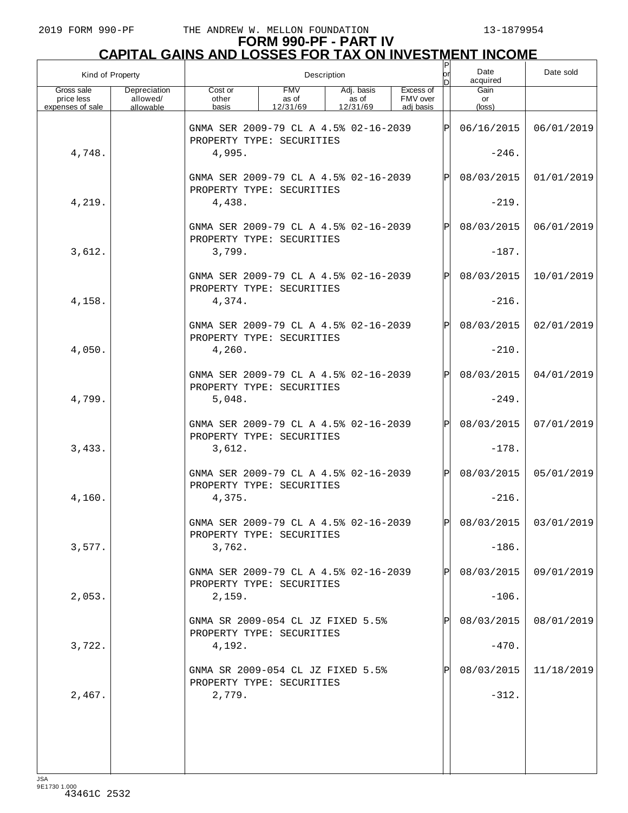# **FORM 990-PF - PART IV CAPITAL GAINS AND LOSSES FOR TAX ON INVESTMENT INCOME** P

| Kind of Property                             |                                       |                                                                    |                                 | Description                     |                                    | or         | Date<br>acquired     | Date sold             |
|----------------------------------------------|---------------------------------------|--------------------------------------------------------------------|---------------------------------|---------------------------------|------------------------------------|------------|----------------------|-----------------------|
| Gross sale<br>price less<br>expenses of sale | Depreciation<br>allowed/<br>allowable | Cost or<br>other<br>basis                                          | <b>FMV</b><br>as of<br>12/31/69 | Adj. basis<br>as of<br>12/31/69 | Excess of<br>FMV over<br>adj basis |            | Gain<br>or<br>(loss) |                       |
|                                              |                                       | GNMA SER 2009-79 CL A 4.5% 02-16-2039<br>PROPERTY TYPE: SECURITIES |                                 |                                 |                                    | lÞI        | 06/16/2015           | 06/01/2019            |
| 4,748.                                       |                                       | 4,995.                                                             |                                 |                                 |                                    |            | $-246.$              |                       |
|                                              |                                       | GNMA SER 2009-79 CL A 4.5% 02-16-2039<br>PROPERTY TYPE: SECURITIES |                                 |                                 | IPI                                | 08/03/2015 | 01/01/2019           |                       |
| 4,219.                                       |                                       | 4,438.                                                             |                                 |                                 |                                    |            | $-219.$              |                       |
|                                              |                                       | GNMA SER 2009-79 CL A 4.5% 02-16-2039<br>PROPERTY TYPE: SECURITIES |                                 |                                 |                                    | IPI        | 08/03/2015           | 06/01/2019            |
| 3,612.                                       |                                       | 3,799.                                                             |                                 |                                 |                                    |            | $-187.$              |                       |
|                                              |                                       | GNMA SER 2009-79 CL A 4.5% 02-16-2039<br>PROPERTY TYPE: SECURITIES |                                 |                                 |                                    | IPI        | 08/03/2015           | 10/01/2019            |
| 4,158.                                       |                                       | 4,374.                                                             |                                 |                                 |                                    |            | $-216.$              |                       |
|                                              |                                       | GNMA SER 2009-79 CL A 4.5% 02-16-2039<br>PROPERTY TYPE: SECURITIES |                                 |                                 |                                    | IPI        | 08/03/2015           | 02/01/2019            |
| 4,050.                                       |                                       | 4,260.                                                             |                                 |                                 |                                    |            | $-210.$              |                       |
|                                              |                                       | GNMA SER 2009-79 CL A 4.5% 02-16-2039<br>PROPERTY TYPE: SECURITIES |                                 |                                 |                                    | IPI        | 08/03/2015           | 04/01/2019            |
| 4,799.                                       |                                       | 5,048.                                                             |                                 |                                 |                                    |            | $-249.$              |                       |
|                                              |                                       | GNMA SER 2009-79 CL A 4.5% 02-16-2039<br>PROPERTY TYPE: SECURITIES |                                 |                                 |                                    | IPI        | 08/03/2015           | 07/01/2019            |
| 3,433.                                       |                                       | 3,612.                                                             |                                 |                                 |                                    |            | $-178.$              |                       |
|                                              |                                       | GNMA SER 2009-79 CL A 4.5% 02-16-2039<br>PROPERTY TYPE: SECURITIES |                                 |                                 |                                    | IPI        | 08/03/2015           | 05/01/2019            |
| 4,160.                                       |                                       | 4,375.                                                             |                                 |                                 |                                    |            | $-216.$              |                       |
|                                              |                                       | GNMA SER 2009-79 CL A 4.5% 02-16-2039<br>PROPERTY TYPE: SECURITIES |                                 |                                 |                                    | IÞI        |                      | 08/03/2015 03/01/2019 |
| 3,577.                                       |                                       | 3,762.                                                             |                                 |                                 |                                    |            | $-186.$              |                       |
|                                              |                                       | GNMA SER 2009-79 CL A 4.5% 02-16-2039<br>PROPERTY TYPE: SECURITIES |                                 |                                 |                                    | Þl         | 08/03/2015           | 09/01/2019            |
| 2,053.                                       |                                       | 2,159.                                                             |                                 |                                 |                                    |            | $-106.$              |                       |
|                                              |                                       | GNMA SR 2009-054 CL JZ FIXED 5.5%<br>PROPERTY TYPE: SECURITIES     |                                 |                                 |                                    | Þl         | 08/03/2015           | 08/01/2019            |
| 3,722.                                       |                                       | 4,192.                                                             |                                 |                                 |                                    |            | $-470.$              |                       |
|                                              |                                       | GNMA SR 2009-054 CL JZ FIXED 5.5%<br>PROPERTY TYPE: SECURITIES     |                                 |                                 |                                    | Þl         | 08/03/2015           | 11/18/2019            |
| 2,467.                                       |                                       | 2,779.                                                             |                                 |                                 |                                    |            | $-312.$              |                       |
|                                              |                                       |                                                                    |                                 |                                 |                                    |            |                      |                       |
|                                              |                                       |                                                                    |                                 |                                 |                                    |            |                      |                       |
|                                              |                                       |                                                                    |                                 |                                 |                                    |            |                      |                       |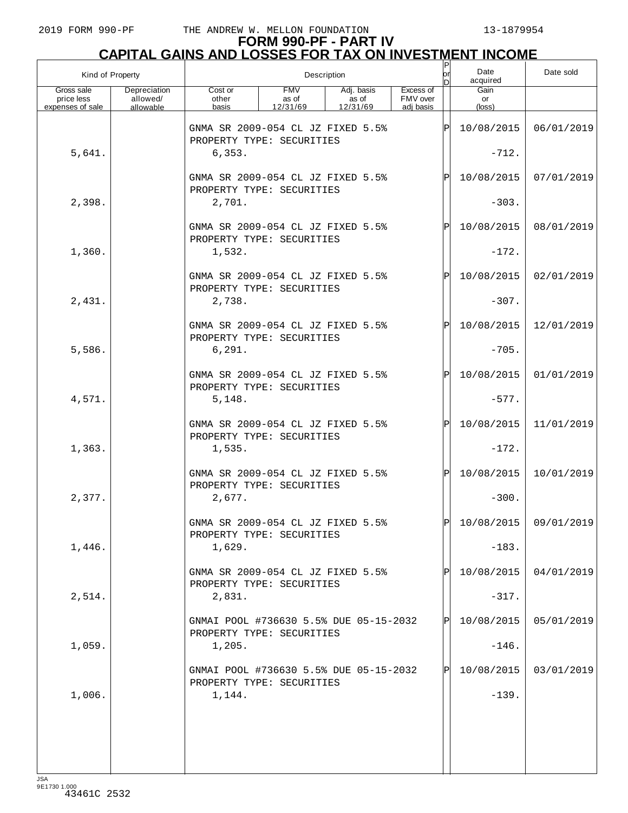# **FORM 990-PF - PART IV CAPITAL GAINS AND LOSSES FOR TAX ON INVESTMENT INCOME** P

|                                              | Kind of Property                      |                                                                          |                                 | Description                     |                                    | lor<br>nl  | Date<br>acquired        | Date sold  |
|----------------------------------------------|---------------------------------------|--------------------------------------------------------------------------|---------------------------------|---------------------------------|------------------------------------|------------|-------------------------|------------|
| Gross sale<br>price less<br>expenses of sale | Depreciation<br>allowed/<br>allowable | Cost or<br>other<br>basis                                                | <b>FMV</b><br>as of<br>12/31/69 | Adj. basis<br>as of<br>12/31/69 | Excess of<br>FMV over<br>adi basis |            | Gain<br>or<br>(loss)    |            |
|                                              |                                       | GNMA SR 2009-054 CL JZ FIXED 5.5%<br>PROPERTY TYPE: SECURITIES           |                                 |                                 |                                    | lPl        | 10/08/2015              | 06/01/2019 |
| 5,641.                                       |                                       | 6,353.                                                                   |                                 |                                 |                                    |            | $-712.$                 |            |
|                                              |                                       | GNMA SR 2009-054 CL JZ FIXED 5.5%<br>PROPERTY TYPE: SECURITIES           |                                 | ΙÞΙ                             | 10/08/2015                         | 07/01/2019 |                         |            |
| 2,398.                                       |                                       | 2,701.                                                                   |                                 |                                 |                                    |            |                         |            |
|                                              |                                       | GNMA SR 2009-054 CL JZ FIXED 5.5%<br>PROPERTY TYPE: SECURITIES           |                                 |                                 |                                    | ΙÞΙ        | 10/08/2015              | 08/01/2019 |
| 1,360.                                       |                                       | 1,532.                                                                   |                                 |                                 |                                    |            | $-172.$                 |            |
|                                              |                                       | GNMA SR 2009-054 CL JZ FIXED 5.5%<br>PROPERTY TYPE: SECURITIES           |                                 |                                 |                                    | ΙÞΙ        | 10/08/2015              | 02/01/2019 |
| 2,431.                                       |                                       | 2,738.                                                                   |                                 |                                 |                                    |            | $-307.$                 |            |
|                                              |                                       | GNMA SR 2009-054 CL JZ FIXED 5.5%<br>PROPERTY TYPE: SECURITIES           |                                 |                                 |                                    | ΙÞΙ        | 10/08/2015              | 12/01/2019 |
| 5,586.                                       |                                       | 6, 291.                                                                  |                                 |                                 |                                    |            | $-705.$                 |            |
|                                              |                                       | GNMA SR 2009-054 CL JZ FIXED 5.5%<br>PROPERTY TYPE: SECURITIES           |                                 |                                 |                                    | ΙÞΙ        | 10/08/2015              | 01/01/2019 |
| 4,571.                                       |                                       | 5,148.                                                                   |                                 |                                 |                                    |            | $-577.$                 |            |
| 1,363.                                       |                                       | GNMA SR 2009-054 CL JZ FIXED 5.5%<br>PROPERTY TYPE: SECURITIES<br>1,535. |                                 |                                 |                                    | ΙÞΙ        | 10/08/2015<br>$-172.$   | 11/01/2019 |
|                                              |                                       | GNMA SR 2009-054 CL JZ FIXED 5.5%                                        |                                 |                                 |                                    | ΙÞΙ        | 10/08/2015              | 10/01/2019 |
| 2,377.                                       |                                       | PROPERTY TYPE: SECURITIES<br>2,677.                                      |                                 |                                 |                                    |            | $-300.$                 |            |
|                                              |                                       | GNMA SR 2009-054 CL JZ FIXED 5.5%                                        |                                 |                                 |                                    |            | P 10/08/2015 09/01/2019 |            |
| 1,446.                                       |                                       | PROPERTY TYPE: SECURITIES<br>1,629.                                      |                                 |                                 |                                    |            | $-183.$                 |            |
|                                              |                                       | GNMA SR 2009-054 CL JZ FIXED 5.5%                                        |                                 |                                 |                                    | Þl         | 10/08/2015              | 04/01/2019 |
| 2,514.                                       |                                       | PROPERTY TYPE: SECURITIES<br>2,831.                                      |                                 |                                 |                                    |            | $-317.$                 |            |
|                                              |                                       | GNMAI POOL #736630 5.5% DUE 05-15-2032                                   |                                 |                                 |                                    | IPI        | 10/08/2015              | 05/01/2019 |
| 1,059.                                       |                                       | PROPERTY TYPE: SECURITIES<br>1,205.                                      |                                 |                                 |                                    |            | $-146.$                 |            |
|                                              |                                       | GNMAI POOL #736630 5.5% DUE 05-15-2032                                   |                                 |                                 |                                    | Pl         | 10/08/2015              | 03/01/2019 |
| 1,006.                                       |                                       | PROPERTY TYPE: SECURITIES<br>1,144.                                      |                                 |                                 |                                    |            | $-139.$                 |            |
|                                              |                                       |                                                                          |                                 |                                 |                                    |            |                         |            |
|                                              |                                       |                                                                          |                                 |                                 |                                    |            |                         |            |
|                                              |                                       |                                                                          |                                 |                                 |                                    |            |                         |            |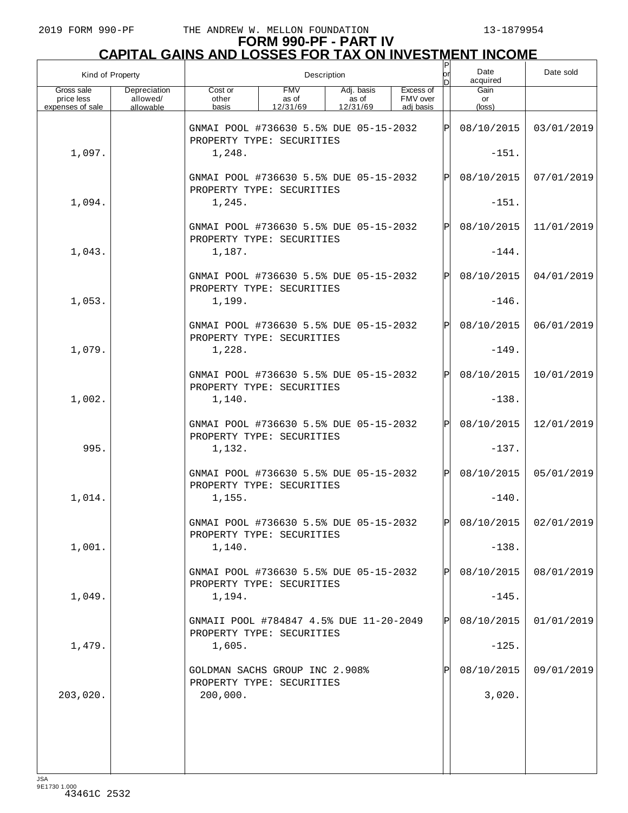# **FORM 990-PF - PART IV CAPITAL GAINS AND LOSSES FOR TAX ON INVESTMENT INCOME**

| Kind of Property                             |                                       |                                                                      |                                 | Description                     |                                    | P<br>lor | Date<br>acquired     | Date sold             |
|----------------------------------------------|---------------------------------------|----------------------------------------------------------------------|---------------------------------|---------------------------------|------------------------------------|----------|----------------------|-----------------------|
| Gross sale<br>price less<br>expenses of sale | Depreciation<br>allowed/<br>allowable | Cost or<br>other<br>basis                                            | <b>FMV</b><br>as of<br>12/31/69 | Adj. basis<br>as of<br>12/31/69 | Excess of<br>FMV over<br>adi basis |          | Gain<br>or<br>(loss) |                       |
|                                              |                                       | GNMAI POOL #736630 5.5% DUE 05-15-2032<br>PROPERTY TYPE: SECURITIES  |                                 |                                 |                                    | ΙÞΙ      | 08/10/2015           | 03/01/2019            |
| 1,097.                                       |                                       | 1,248.                                                               |                                 |                                 |                                    |          | $-151.$              |                       |
|                                              |                                       | GNMAI POOL #736630 5.5% DUE 05-15-2032<br>PROPERTY TYPE: SECURITIES  |                                 |                                 |                                    | ΙÞΙ      | 08/10/2015           | 07/01/2019            |
| 1,094.                                       |                                       | 1,245.                                                               |                                 |                                 |                                    |          | $-151.$              |                       |
|                                              |                                       | GNMAI POOL #736630 5.5% DUE 05-15-2032<br>PROPERTY TYPE: SECURITIES  |                                 |                                 |                                    | ΙÞΙ      | 08/10/2015           | 11/01/2019            |
| 1,043.                                       |                                       | 1,187.                                                               |                                 |                                 |                                    |          | $-144.$              |                       |
|                                              |                                       | GNMAI POOL #736630 5.5% DUE 05-15-2032<br>PROPERTY TYPE: SECURITIES  |                                 |                                 |                                    | ΙÞΙ      | 08/10/2015           | 04/01/2019            |
| 1,053.                                       |                                       | 1,199.                                                               |                                 |                                 |                                    |          | $-146.$              |                       |
|                                              |                                       | GNMAI POOL #736630 5.5% DUE 05-15-2032<br>PROPERTY TYPE: SECURITIES  |                                 |                                 |                                    | ΙÞΙ      | 08/10/2015           | 06/01/2019            |
| 1,079.                                       |                                       | 1,228.                                                               |                                 |                                 |                                    |          | $-149.$              |                       |
|                                              |                                       | GNMAI POOL #736630 5.5% DUE 05-15-2032<br>PROPERTY TYPE: SECURITIES  |                                 |                                 |                                    | ΙÞΙ      | 08/10/2015           | 10/01/2019            |
| 1,002.                                       |                                       | 1,140.                                                               |                                 |                                 |                                    |          | $-138.$              |                       |
|                                              |                                       | GNMAI POOL #736630 5.5% DUE 05-15-2032<br>PROPERTY TYPE: SECURITIES  |                                 |                                 |                                    | ΙÞΙ      | 08/10/2015           | 12/01/2019            |
| 995.                                         |                                       | 1,132.                                                               |                                 |                                 |                                    |          | $-137.$              |                       |
|                                              |                                       | GNMAI POOL #736630 5.5% DUE 05-15-2032<br>PROPERTY TYPE: SECURITIES  |                                 |                                 |                                    | ΙÞΙ      | 08/10/2015           | 05/01/2019            |
| 1,014.                                       |                                       | 1,155.                                                               |                                 |                                 |                                    |          | $-140.$              |                       |
|                                              |                                       | GNMAI POOL #736630 5.5% DUE 05-15-2032<br>PROPERTY TYPE: SECURITIES  |                                 |                                 |                                    | l pl     |                      | 08/10/2015 02/01/2019 |
| 1,001.                                       |                                       | 1,140.                                                               |                                 |                                 |                                    |          | $-138.$              |                       |
|                                              |                                       | GNMAI POOL #736630 5.5% DUE 05-15-2032<br>PROPERTY TYPE: SECURITIES  |                                 |                                 |                                    | ΙPΙ      | 08/10/2015           | 08/01/2019            |
| 1,049.                                       |                                       | 1,194.                                                               |                                 |                                 |                                    |          | $-145.$              |                       |
|                                              |                                       | GNMAII POOL #784847 4.5% DUE 11-20-2049<br>PROPERTY TYPE: SECURITIES |                                 |                                 |                                    | ΙPΙ      | 08/10/2015           | 01/01/2019            |
| 1,479.                                       |                                       | 1,605.                                                               |                                 |                                 |                                    |          | $-125.$              |                       |
|                                              |                                       | GOLDMAN SACHS GROUP INC 2.908%<br>PROPERTY TYPE: SECURITIES          |                                 |                                 |                                    | Pl       | 08/10/2015           | 09/01/2019            |
| 203,020.                                     |                                       | 200,000.                                                             |                                 |                                 |                                    |          | 3,020.               |                       |
|                                              |                                       |                                                                      |                                 |                                 |                                    |          |                      |                       |
|                                              |                                       |                                                                      |                                 |                                 |                                    |          |                      |                       |
|                                              |                                       |                                                                      |                                 |                                 |                                    |          |                      |                       |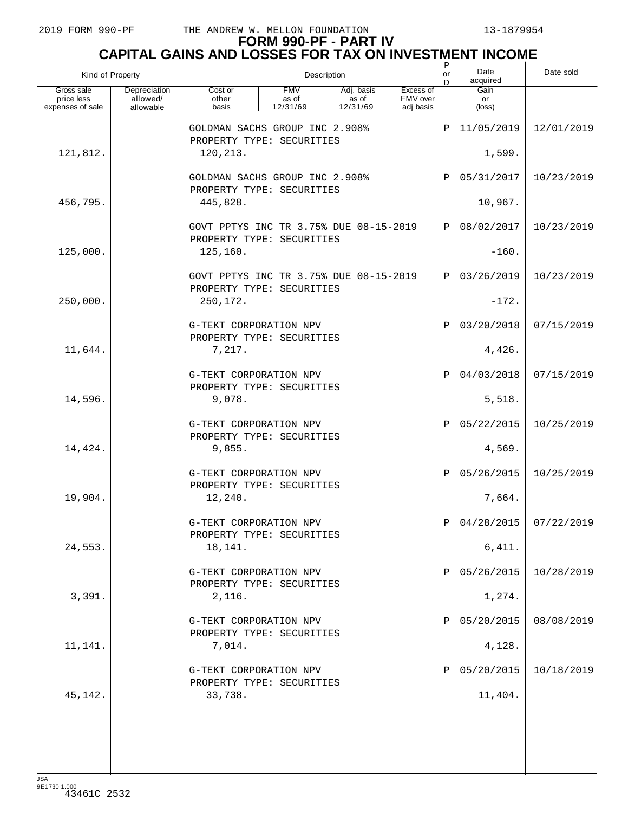# **FORM 990-PF - PART IV CAPITAL GAINS AND LOSSES FOR TAX ON INVESTMENT INCOME**

|                                              | Kind of Property                      |                           |                                                                     | Description                     |                                    | $\sf P$<br>lor<br>n | Date<br>acquired              | Date sold               |
|----------------------------------------------|---------------------------------------|---------------------------|---------------------------------------------------------------------|---------------------------------|------------------------------------|---------------------|-------------------------------|-------------------------|
| Gross sale<br>price less<br>expenses of sale | Depreciation<br>allowed/<br>allowable | Cost or<br>other<br>basis | <b>FMV</b><br>as of<br>12/31/69                                     | Adj. basis<br>as of<br>12/31/69 | Excess of<br>FMV over<br>adi basis |                     | Gain<br>or<br>$(\text{loss})$ |                         |
|                                              |                                       |                           | GOLDMAN SACHS GROUP INC 2.908%<br>PROPERTY TYPE: SECURITIES         |                                 |                                    | ΙP                  | 11/05/2019                    | 12/01/2019              |
| 121,812.                                     |                                       | 120,213.                  |                                                                     |                                 |                                    |                     | 1,599.                        |                         |
|                                              |                                       |                           | GOLDMAN SACHS GROUP INC 2.908%<br>PROPERTY TYPE: SECURITIES         | ΙP                              | 05/31/2017                         | 10/23/2019          |                               |                         |
| 456,795.                                     |                                       | 445,828.                  |                                                                     |                                 | 10,967.                            |                     |                               |                         |
|                                              |                                       |                           | GOVT PPTYS INC TR 3.75% DUE 08-15-2019                              |                                 | ΙP                                 | 08/02/2017          | 10/23/2019                    |                         |
| 125,000.                                     |                                       | 125,160.                  | PROPERTY TYPE: SECURITIES                                           |                                 |                                    |                     |                               |                         |
|                                              |                                       |                           | GOVT PPTYS INC TR 3.75% DUE 08-15-2019<br>PROPERTY TYPE: SECURITIES |                                 |                                    | ΙP                  | 03/26/2019                    | 10/23/2019              |
| 250,000.                                     |                                       | 250,172.                  |                                                                     |                                 |                                    |                     | $-172.$                       |                         |
|                                              |                                       |                           | G-TEKT CORPORATION NPV<br>PROPERTY TYPE: SECURITIES                 |                                 |                                    | ΙP                  | 03/20/2018                    | 07/15/2019              |
| 11,644.                                      |                                       | 7,217.                    |                                                                     |                                 |                                    |                     | 4,426.                        |                         |
|                                              |                                       |                           | G-TEKT CORPORATION NPV<br>PROPERTY TYPE: SECURITIES                 |                                 |                                    | ΙP                  | 04/03/2018                    | 07/15/2019              |
| 14,596.                                      |                                       | 9,078.                    |                                                                     |                                 |                                    |                     | 5,518.                        |                         |
|                                              |                                       |                           | G-TEKT CORPORATION NPV<br>PROPERTY TYPE: SECURITIES                 |                                 |                                    | ΙP                  | 05/22/2015                    | 10/25/2019              |
| 14,424.                                      |                                       | 9,855.                    |                                                                     |                                 |                                    |                     | 4,569.                        |                         |
|                                              |                                       |                           | G-TEKT CORPORATION NPV<br>PROPERTY TYPE: SECURITIES                 |                                 |                                    | ΙP                  | 05/26/2015                    | 10/25/2019              |
| 19,904.                                      |                                       | 12,240.                   |                                                                     |                                 |                                    |                     | 7,664.                        |                         |
|                                              |                                       | G-TEKT CORPORATION NPV    | PROPERTY TYPE: SECURITIES                                           |                                 |                                    |                     |                               | $04/28/2015$ 07/22/2019 |
| 24,553.                                      |                                       | 18,141.                   |                                                                     |                                 |                                    |                     | 6,411.                        |                         |
|                                              |                                       |                           | G-TEKT CORPORATION NPV<br>PROPERTY TYPE: SECURITIES                 |                                 |                                    | IP                  | 05/26/2015                    | 10/28/2019              |
| 3,391.                                       |                                       | 2,116.                    |                                                                     |                                 |                                    |                     | 1,274.                        |                         |
|                                              |                                       |                           | G-TEKT CORPORATION NPV<br>PROPERTY TYPE: SECURITIES                 |                                 |                                    | IP                  | 05/20/2015                    | 08/08/2019              |
| 11,141.                                      |                                       | 7,014.                    |                                                                     |                                 |                                    |                     | 4,128.                        |                         |
|                                              |                                       |                           | G-TEKT CORPORATION NPV<br>PROPERTY TYPE: SECURITIES                 |                                 |                                    |                     | 05/20/2015                    | 10/18/2019              |
| 45,142.                                      |                                       | 33,738.                   |                                                                     |                                 |                                    |                     | 11,404.                       |                         |
|                                              |                                       |                           |                                                                     |                                 |                                    |                     |                               |                         |
|                                              |                                       |                           |                                                                     |                                 |                                    |                     |                               |                         |
| 10 <sub>0</sub>                              |                                       |                           |                                                                     |                                 |                                    |                     |                               |                         |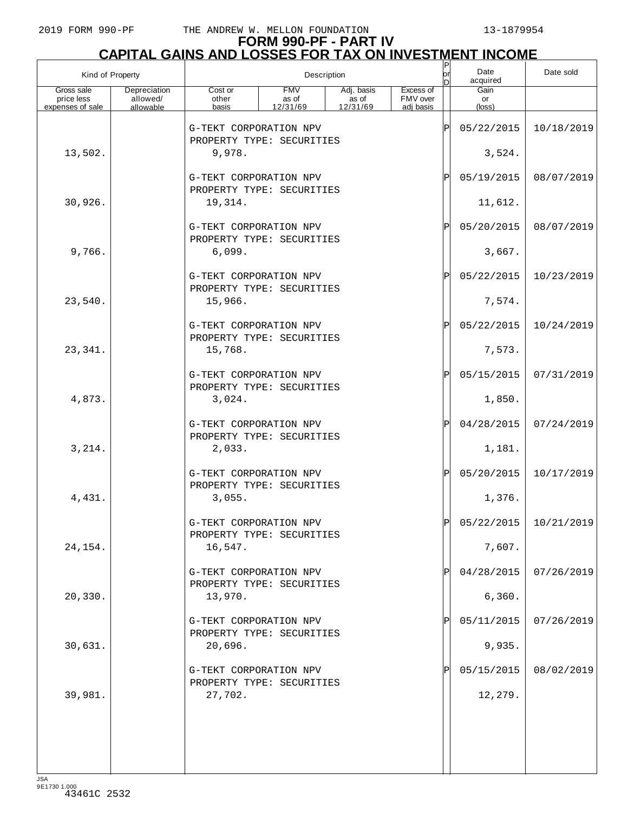# **FORM 990-PF - PART IV CAPITAL GAINS AND LOSSES FOR TAX ON INVESTMENT INCOME**

| Kind of Property         |                          |                                                     |                     | Description         |                       | $\sf  P $<br>lorl<br>n | Date<br>acquired     | Date sold               |
|--------------------------|--------------------------|-----------------------------------------------------|---------------------|---------------------|-----------------------|------------------------|----------------------|-------------------------|
| Gross sale<br>price less | Depreciation<br>allowed/ | Cost or<br>other                                    | <b>FMV</b><br>as of | Adj. basis<br>as of | Excess of<br>FMV over |                        | Gain<br>or           |                         |
| expenses of sale         | allowable                | basis                                               | 12/31/69            | 12/31/69            | adj basis             |                        | $(\text{loss})$      |                         |
|                          |                          | G-TEKT CORPORATION NPV<br>PROPERTY TYPE: SECURITIES |                     |                     |                       | ΙP                     | 05/22/2015           | 10/18/2019              |
| 13,502.                  |                          | 9,978.                                              |                     |                     |                       |                        | 3,524.               |                         |
|                          |                          | G-TEKT CORPORATION NPV<br>PROPERTY TYPE: SECURITIES |                     |                     |                       | ΙPΙ                    | 05/19/2015           | 08/07/2019              |
| 30,926.                  |                          | 19,314.                                             |                     |                     |                       |                        | 11,612.              |                         |
|                          |                          | G-TEKT CORPORATION NPV<br>PROPERTY TYPE: SECURITIES |                     |                     |                       | ΙPΙ                    | 05/20/2015           | 08/07/2019              |
| 9,766.                   |                          | 6,099.                                              |                     |                     |                       |                        | 3,667.               |                         |
|                          |                          | G-TEKT CORPORATION NPV<br>PROPERTY TYPE: SECURITIES |                     |                     |                       | ΙPΙ                    | 05/22/2015           | 10/23/2019              |
| 23,540.                  |                          | 15,966.                                             |                     |                     |                       |                        | 7,574.               |                         |
|                          |                          | G-TEKT CORPORATION NPV<br>PROPERTY TYPE: SECURITIES |                     |                     |                       | ΙPΙ                    | 05/22/2015<br>7,573. | 10/24/2019              |
| 23,341.                  |                          | 15,768.<br>G-TEKT CORPORATION NPV                   |                     |                     |                       | ΙPΙ                    | 05/15/2015           | 07/31/2019              |
| 4,873.                   |                          | PROPERTY TYPE: SECURITIES<br>3,024.                 |                     |                     |                       |                        | 1,850.               |                         |
|                          |                          | G-TEKT CORPORATION NPV                              |                     |                     |                       | ΙPΙ                    | 04/28/2015           | 07/24/2019              |
| 3,214.                   |                          | PROPERTY TYPE: SECURITIES<br>2,033.                 |                     |                     |                       |                        | 1,181.               |                         |
|                          |                          | G-TEKT CORPORATION NPV<br>PROPERTY TYPE: SECURITIES |                     |                     |                       | ΙPΙ                    | 05/20/2015           | 10/17/2019              |
| 4,431.                   |                          | 3,055.                                              |                     |                     |                       |                        | 1,376.               |                         |
|                          |                          | G-TEKT CORPORATION NPV<br>PROPERTY TYPE: SECURITIES |                     |                     |                       |                        |                      | $05/22/2015$ 10/21/2019 |
| 24, 154.                 |                          | 16,547.                                             |                     |                     |                       |                        | 7,607.               |                         |
|                          |                          | G-TEKT CORPORATION NPV<br>PROPERTY TYPE: SECURITIES |                     |                     |                       | ΙPΙ                    | 04/28/2015<br>6,360. | 07/26/2019              |
| 20, 330.                 |                          | 13,970.<br>G-TEKT CORPORATION NPV                   |                     |                     |                       | ΙPΙ                    | 05/11/2015           | 07/26/2019              |
| 30,631.                  |                          | PROPERTY TYPE: SECURITIES<br>20,696.                |                     |                     |                       |                        | 9,935.               |                         |
|                          |                          |                                                     |                     |                     |                       |                        |                      |                         |
|                          |                          | G-TEKT CORPORATION NPV<br>PROPERTY TYPE: SECURITIES |                     |                     |                       | ΙPΙ                    | 05/15/2015           | 08/02/2019              |
| 39,981.                  |                          | 27,702.                                             |                     |                     |                       |                        | 12,279.              |                         |
|                          |                          |                                                     |                     |                     |                       |                        |                      |                         |
|                          |                          |                                                     |                     |                     |                       |                        |                      |                         |
| 194                      |                          |                                                     |                     |                     |                       |                        |                      |                         |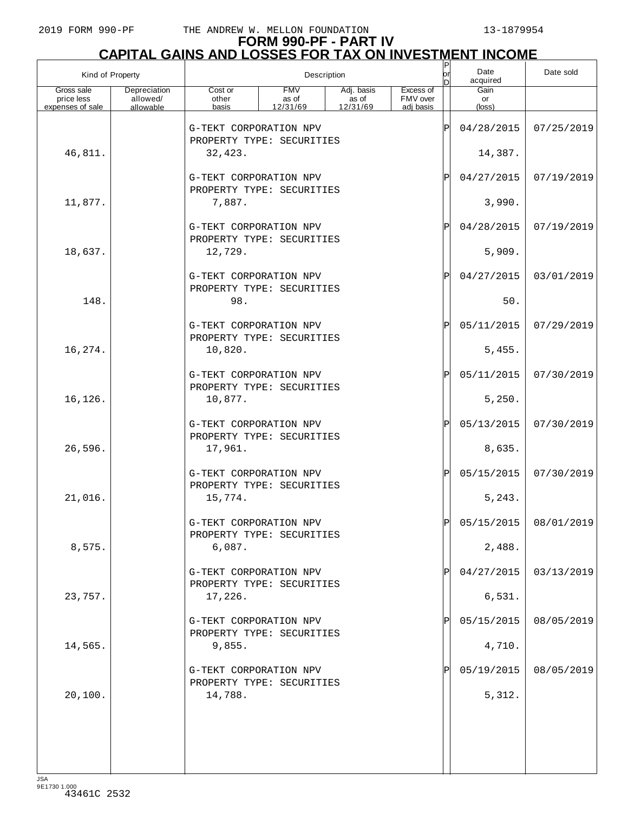# **FORM 990-PF - PART IV CAPITAL GAINS AND LOSSES FOR TAX ON INVESTMENT INCOME**

| Kind of Property                             |                                       | Description                                         |                                 |                                 |                                    |     | Date<br>acquired     | Date sold  |
|----------------------------------------------|---------------------------------------|-----------------------------------------------------|---------------------------------|---------------------------------|------------------------------------|-----|----------------------|------------|
| Gross sale<br>price less<br>expenses of sale | Depreciation<br>allowed/<br>allowable | Cost or<br>other<br>basis                           | <b>FMV</b><br>as of<br>12/31/69 | Adj. basis<br>as of<br>12/31/69 | Excess of<br>FMV over<br>adj basis |     | Gain<br>or<br>(loss) |            |
|                                              |                                       | G-TEKT CORPORATION NPV                              |                                 |                                 |                                    | ΙP  | 04/28/2015           | 07/25/2019 |
| 46,811.                                      |                                       | PROPERTY TYPE: SECURITIES<br>32,423.                |                                 |                                 |                                    |     | 14,387.              |            |
|                                              |                                       | G-TEKT CORPORATION NPV                              |                                 |                                 |                                    | ΙP  | 04/27/2015           | 07/19/2019 |
| 11,877.                                      |                                       | PROPERTY TYPE: SECURITIES<br>7,887.                 |                                 |                                 |                                    |     | 3,990.               |            |
|                                              |                                       | G-TEKT CORPORATION NPV                              |                                 |                                 |                                    | ΙP  | 04/28/2015           | 07/19/2019 |
| 18,637.                                      |                                       | PROPERTY TYPE: SECURITIES<br>12,729.                |                                 |                                 |                                    |     | 5,909.               |            |
|                                              |                                       | G-TEKT CORPORATION NPV                              |                                 |                                 |                                    | ΙPΙ | 04/27/2015           | 03/01/2019 |
| 148.                                         |                                       | PROPERTY TYPE: SECURITIES<br>98.                    |                                 |                                 |                                    |     | 50.                  |            |
|                                              |                                       | G-TEKT CORPORATION NPV                              |                                 |                                 |                                    | ΙPΙ | 05/11/2015           | 07/29/2019 |
| 16,274.                                      |                                       | PROPERTY TYPE: SECURITIES<br>10,820.                |                                 |                                 |                                    |     | 5,455.               |            |
|                                              |                                       | G-TEKT CORPORATION NPV                              |                                 |                                 |                                    | ΙPΙ | 05/11/2015           | 07/30/2019 |
| 16,126.                                      |                                       | PROPERTY TYPE: SECURITIES<br>10,877.                |                                 |                                 |                                    |     | 5,250.               |            |
|                                              |                                       | G-TEKT CORPORATION NPV                              |                                 |                                 |                                    | ΙPΙ | 05/13/2015           | 07/30/2019 |
| 26,596.                                      |                                       | PROPERTY TYPE: SECURITIES<br>17,961.                |                                 |                                 |                                    |     | 8,635.               |            |
|                                              |                                       | G-TEKT CORPORATION NPV<br>PROPERTY TYPE: SECURITIES |                                 |                                 |                                    | ΙPΙ | 05/15/2015           | 07/30/2019 |
| 21,016.                                      |                                       | 15,774.                                             |                                 |                                 |                                    |     | 5, 243.              |            |
|                                              |                                       | G-TEKT CORPORATION NPV<br>PROPERTY TYPE: SECURITIES |                                 |                                 |                                    |     | 05/15/2015           | 08/01/2019 |
| 8,575.                                       |                                       | 6,087.                                              |                                 |                                 |                                    |     | 2,488.               |            |
|                                              |                                       | G-TEKT CORPORATION NPV<br>PROPERTY TYPE: SECURITIES |                                 |                                 |                                    | ΙP  | 04/27/2015           | 03/13/2019 |
| 23,757.                                      |                                       | 17,226.                                             |                                 |                                 |                                    |     | 6,531.               |            |
|                                              |                                       | G-TEKT CORPORATION NPV<br>PROPERTY TYPE: SECURITIES |                                 |                                 |                                    | ΙP  | 05/15/2015           | 08/05/2019 |
| 14,565.                                      |                                       | 9,855.                                              |                                 |                                 |                                    |     | 4,710.               |            |
|                                              |                                       | G-TEKT CORPORATION NPV<br>PROPERTY TYPE: SECURITIES |                                 |                                 |                                    | ΙP  | 05/19/2015           | 08/05/2019 |
| 20,100.                                      |                                       | 14,788.                                             |                                 |                                 |                                    |     | 5,312.               |            |
|                                              |                                       |                                                     |                                 |                                 |                                    |     |                      |            |
|                                              |                                       |                                                     |                                 |                                 |                                    |     |                      |            |
|                                              |                                       |                                                     |                                 |                                 |                                    |     |                      |            |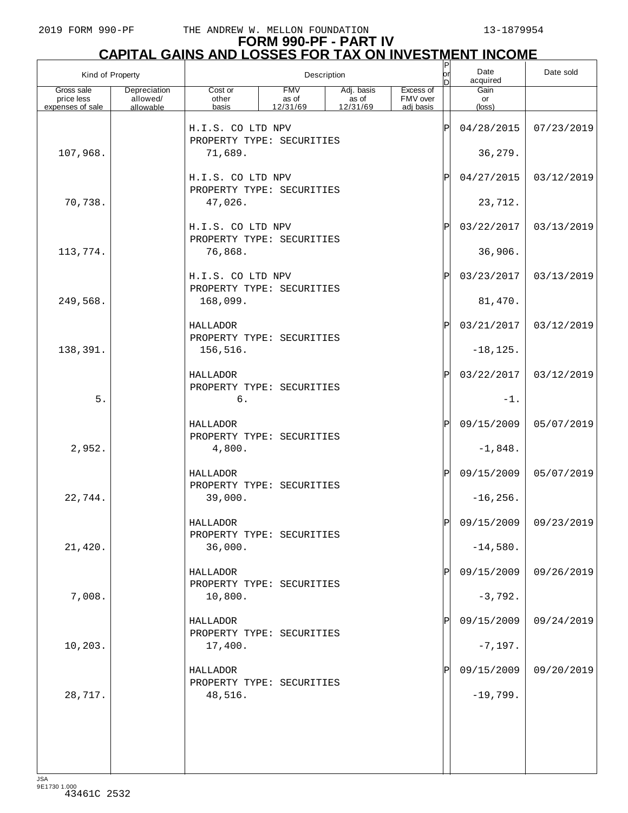# **FORM 990-PF - PART IV CAPITAL GAINS AND LOSSES FOR TAX ON INVESTMENT INCOME**

| Kind of Property                             |                                       |                                                |                                 | Description                     |                                    | P<br>lorl<br>D | Date<br>acquired     | Date sold             |
|----------------------------------------------|---------------------------------------|------------------------------------------------|---------------------------------|---------------------------------|------------------------------------|----------------|----------------------|-----------------------|
| Gross sale<br>price less<br>expenses of sale | Depreciation<br>allowed/<br>allowable | Cost or<br>other<br>basis                      | <b>FMV</b><br>as of<br>12/31/69 | Adj. basis<br>as of<br>12/31/69 | Excess of<br>FMV over<br>adj basis |                | Gain<br>or<br>(loss) |                       |
|                                              |                                       |                                                |                                 |                                 |                                    |                |                      |                       |
|                                              |                                       | H.I.S. CO LTD NPV<br>PROPERTY TYPE: SECURITIES |                                 |                                 |                                    | $\mathsf P$    | 04/28/2015           | 07/23/2019            |
| 107,968.                                     |                                       | 71,689.                                        |                                 |                                 |                                    |                | 36,279.              |                       |
|                                              |                                       | H.I.S. CO LTD NPV                              |                                 |                                 |                                    | $\mathbf{P}$   | 04/27/2015           | 03/12/2019            |
|                                              |                                       | PROPERTY TYPE: SECURITIES                      |                                 |                                 |                                    |                |                      |                       |
| 70,738.                                      |                                       | 47,026.                                        |                                 |                                 |                                    |                | 23,712.              |                       |
|                                              |                                       | H.I.S. CO LTD NPV                              |                                 |                                 |                                    | $\mathbf{P}$   | 03/22/2017           | 03/13/2019            |
| 113,774.                                     |                                       | PROPERTY TYPE: SECURITIES<br>76,868.           |                                 |                                 |                                    |                | 36,906.              |                       |
|                                              |                                       | H.I.S. CO LTD NPV                              |                                 |                                 |                                    | $\mathbf P$    | 03/23/2017           | 03/13/2019            |
|                                              |                                       | PROPERTY TYPE: SECURITIES                      |                                 |                                 |                                    |                |                      |                       |
| 249,568.                                     |                                       | 168,099.                                       |                                 |                                 |                                    |                | 81,470.              |                       |
|                                              |                                       | HALLADOR                                       |                                 |                                 |                                    | $\mathbf P$    | 03/21/2017           | 03/12/2019            |
| 138,391.                                     |                                       | PROPERTY TYPE: SECURITIES<br>156,516.          |                                 |                                 |                                    |                | $-18, 125.$          |                       |
|                                              |                                       |                                                |                                 |                                 |                                    |                |                      |                       |
|                                              |                                       | HALLADOR<br>PROPERTY TYPE: SECURITIES          |                                 |                                 |                                    | $\mathbf P$    | 03/22/2017           | 03/12/2019            |
| 5.                                           |                                       | 6.                                             |                                 |                                 |                                    |                | $-1$ .               |                       |
|                                              |                                       | HALLADOR                                       |                                 |                                 |                                    | $\mathbf{P}$   | 09/15/2009           | 05/07/2019            |
| 2,952.                                       |                                       | PROPERTY TYPE: SECURITIES<br>4,800.            |                                 |                                 |                                    |                | $-1,848.$            |                       |
|                                              |                                       |                                                |                                 |                                 |                                    |                |                      |                       |
|                                              |                                       | HALLADOR<br>PROPERTY TYPE: SECURITIES          |                                 |                                 |                                    | $\mathbf{P}$   | 09/15/2009           | 05/07/2019            |
| 22,744.                                      |                                       | 39,000.                                        |                                 |                                 |                                    |                | $-16, 256.$          |                       |
|                                              |                                       | HALLADOR                                       |                                 |                                 |                                    |                |                      | 09/15/2009 09/23/2019 |
|                                              |                                       | PROPERTY TYPE: SECURITIES                      |                                 |                                 |                                    |                |                      |                       |
| 21,420.                                      |                                       | 36,000.                                        |                                 |                                 |                                    |                | $-14,580.$           |                       |
|                                              |                                       | HALLADOR                                       |                                 |                                 |                                    | Ρ              | 09/15/2009           | 09/26/2019            |
| 7,008.                                       |                                       | PROPERTY TYPE: SECURITIES<br>10,800.           |                                 |                                 |                                    |                | $-3,792.$            |                       |
|                                              |                                       | HALLADOR                                       |                                 |                                 |                                    | Pl             | 09/15/2009           | 09/24/2019            |
|                                              |                                       | PROPERTY TYPE: SECURITIES                      |                                 |                                 |                                    |                |                      |                       |
| 10,203.                                      |                                       | 17,400.                                        |                                 |                                 |                                    |                | $-7,197.$            |                       |
|                                              |                                       | HALLADOR                                       |                                 |                                 |                                    | Ρ              | 09/15/2009           | 09/20/2019            |
| 28,717.                                      |                                       | PROPERTY TYPE: SECURITIES<br>48,516.           |                                 |                                 |                                    |                | $-19,799.$           |                       |
|                                              |                                       |                                                |                                 |                                 |                                    |                |                      |                       |
|                                              |                                       |                                                |                                 |                                 |                                    |                |                      |                       |
|                                              |                                       |                                                |                                 |                                 |                                    |                |                      |                       |
|                                              |                                       |                                                |                                 |                                 |                                    |                |                      |                       |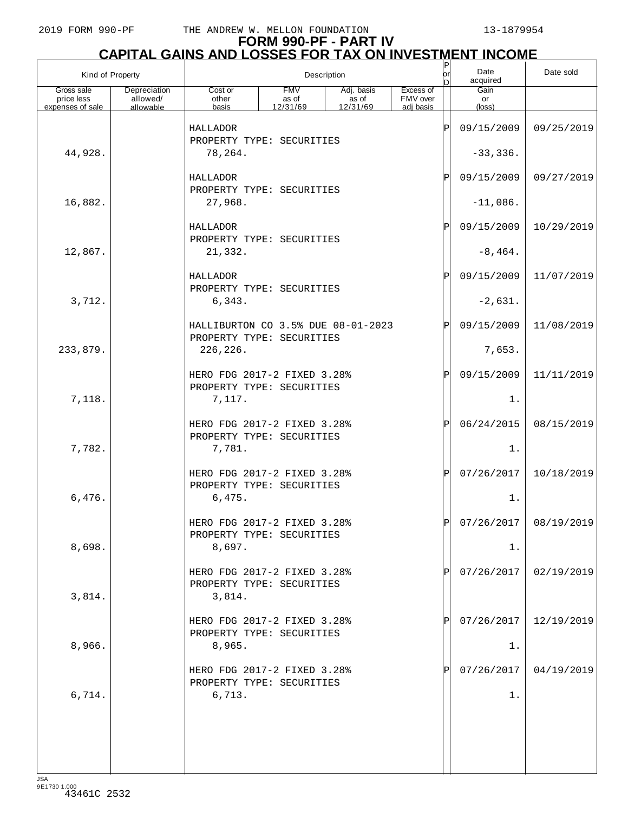# **FORM 990-PF - PART IV CAPITAL GAINS AND LOSSES FOR TAX ON INVESTMENT INCOME**

| Kind of Property                             |                                       | Description                                                     |                                 |                                 |                                    |            | Date<br>acquired     | Date sold  |
|----------------------------------------------|---------------------------------------|-----------------------------------------------------------------|---------------------------------|---------------------------------|------------------------------------|------------|----------------------|------------|
| Gross sale<br>price less<br>expenses of sale | Depreciation<br>allowed/<br>allowable | Cost or<br>other<br>basis                                       | <b>FMV</b><br>as of<br>12/31/69 | Adj. basis<br>as of<br>12/31/69 | Excess of<br>FMV over<br>adj basis |            | Gain<br>or<br>(loss) |            |
|                                              |                                       | HALLADOR                                                        |                                 |                                 |                                    | ΙP         | 09/15/2009           | 09/25/2019 |
| 44,928.                                      |                                       | PROPERTY TYPE: SECURITIES<br>78,264.                            |                                 |                                 |                                    |            | $-33,336.$           |            |
|                                              |                                       | HALLADOR                                                        |                                 |                                 | ΙP                                 | 09/15/2009 | 09/27/2019           |            |
| 16,882.                                      |                                       | PROPERTY TYPE: SECURITIES<br>27,968.                            |                                 |                                 |                                    |            | $-11,086.$           |            |
|                                              |                                       | HALLADOR<br>PROPERTY TYPE: SECURITIES                           |                                 |                                 |                                    | ΙP         | 09/15/2009           | 10/29/2019 |
| 12,867.                                      |                                       | 21,332.                                                         |                                 |                                 |                                    |            | $-8,464.$            |            |
|                                              |                                       | HALLADOR<br>PROPERTY TYPE: SECURITIES                           |                                 |                                 |                                    | ΙPΙ        | 09/15/2009           | 11/07/2019 |
| 3,712.                                       |                                       | 6,343.                                                          |                                 |                                 |                                    |            | $-2,631.$            |            |
|                                              |                                       | HALLIBURTON CO 3.5% DUE 08-01-2023<br>PROPERTY TYPE: SECURITIES |                                 |                                 |                                    | ΙPΙ        | 09/15/2009           | 11/08/2019 |
| 233,879.                                     |                                       | 226,226.                                                        |                                 |                                 |                                    |            | 7,653.               |            |
|                                              |                                       | HERO FDG 2017-2 FIXED 3.28%<br>PROPERTY TYPE: SECURITIES        |                                 |                                 |                                    | ΙPΙ        | 09/15/2009           | 11/11/2019 |
| 7,118.                                       |                                       | 7,117.                                                          |                                 |                                 |                                    |            | $1$ .                |            |
|                                              |                                       | HERO FDG 2017-2 FIXED 3.28%<br>PROPERTY TYPE: SECURITIES        |                                 |                                 |                                    | ΙPΙ        | 06/24/2015           | 08/15/2019 |
| 7,782.                                       |                                       | 7,781.                                                          |                                 |                                 |                                    |            | $1$ .                |            |
|                                              |                                       | HERO FDG 2017-2 FIXED 3.28%<br>PROPERTY TYPE: SECURITIES        |                                 |                                 |                                    | ΙPΙ        | 07/26/2017           | 10/18/2019 |
| 6,476.                                       |                                       | 6,475.                                                          |                                 |                                 |                                    |            | 1.                   |            |
|                                              |                                       | HERO FDG 2017-2 FIXED 3.28%<br>PROPERTY TYPE: SECURITIES        |                                 |                                 |                                    |            | 07/26/2017           | 08/19/2019 |
| 8,698.                                       |                                       | 8,697.                                                          |                                 |                                 |                                    |            | 1.                   |            |
|                                              |                                       | HERO FDG 2017-2 FIXED 3.28%<br>PROPERTY TYPE: SECURITIES        |                                 |                                 |                                    | ΙPΙ        | 07/26/2017           | 02/19/2019 |
| 3,814.                                       |                                       | 3,814.                                                          |                                 |                                 |                                    |            |                      |            |
| 8,966.                                       |                                       | HERO FDG 2017-2 FIXED 3.28%<br>PROPERTY TYPE: SECURITIES        |                                 |                                 |                                    | ΙPΙ        | 07/26/2017           | 12/19/2019 |
|                                              |                                       | 8,965.<br>HERO FDG 2017-2 FIXED 3.28%                           |                                 |                                 |                                    | ΙPΙ        | 1.<br>07/26/2017     | 04/19/2019 |
| 6,714.                                       |                                       | PROPERTY TYPE: SECURITIES<br>6,713.                             |                                 |                                 |                                    |            | 1.                   |            |
|                                              |                                       |                                                                 |                                 |                                 |                                    |            |                      |            |
|                                              |                                       |                                                                 |                                 |                                 |                                    |            |                      |            |
|                                              |                                       |                                                                 |                                 |                                 |                                    |            |                      |            |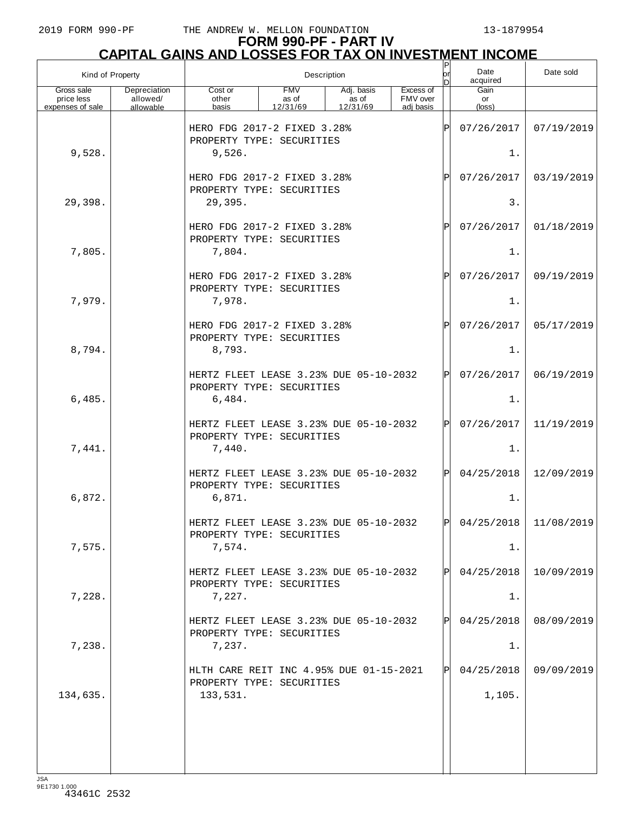# **FORM 990-PF - PART IV CAPITAL GAINS AND LOSSES FOR TAX ON INVESTMENT INCOME** P

| Kind of Property                             |                                       |                                                                      |                                 | Description                     |                                    | or<br>bl     | Date<br>acquired     | Date sold                 |
|----------------------------------------------|---------------------------------------|----------------------------------------------------------------------|---------------------------------|---------------------------------|------------------------------------|--------------|----------------------|---------------------------|
| Gross sale<br>price less<br>expenses of sale | Depreciation<br>allowed/<br>allowable | Cost or<br>other<br>basis                                            | <b>FMV</b><br>as of<br>12/31/69 | Adj. basis<br>as of<br>12/31/69 | Excess of<br>FMV over<br>adj basis |              | Gain<br>or<br>(loss) |                           |
|                                              |                                       | HERO FDG 2017-2 FIXED 3.28%<br>PROPERTY TYPE: SECURITIES             |                                 |                                 |                                    | ΙP           | 07/26/2017           | 07/19/2019                |
| 9,528.                                       |                                       | 9,526.                                                               |                                 |                                 |                                    |              | 1.                   |                           |
|                                              |                                       | HERO FDG 2017-2 FIXED 3.28%<br>PROPERTY TYPE: SECURITIES             |                                 |                                 |                                    | $\mathbf P$  | 07/26/2017           | 03/19/2019                |
| 29,398.                                      |                                       | 29,395.                                                              |                                 |                                 |                                    |              | 3.                   |                           |
|                                              |                                       | HERO FDG 2017-2 FIXED 3.28%<br>PROPERTY TYPE: SECURITIES             |                                 |                                 |                                    | $\mathsf{P}$ | 07/26/2017           | 01/18/2019                |
| 7,805.                                       |                                       | 7,804.                                                               |                                 |                                 |                                    |              | 1.                   |                           |
|                                              |                                       | HERO FDG 2017-2 FIXED 3.28%<br>PROPERTY TYPE: SECURITIES             |                                 |                                 |                                    | $\mathsf{P}$ | 07/26/2017           | 09/19/2019                |
| 7,979.                                       |                                       | 7,978.                                                               |                                 |                                 |                                    |              | 1.                   |                           |
|                                              |                                       | HERO FDG 2017-2 FIXED 3.28%<br>PROPERTY TYPE: SECURITIES             |                                 |                                 |                                    | $\mathsf{P}$ | 07/26/2017           | 05/17/2019                |
| 8,794.                                       |                                       | 8,793.                                                               |                                 |                                 |                                    |              | 1.                   |                           |
|                                              |                                       | HERTZ FLEET LEASE 3.23% DUE 05-10-2032<br>PROPERTY TYPE: SECURITIES  |                                 |                                 |                                    | IPI          | 07/26/2017           | 06/19/2019                |
| 6,485.                                       |                                       | 6,484.                                                               |                                 |                                 |                                    |              | 1.                   |                           |
|                                              |                                       | HERTZ FLEET LEASE 3.23% DUE 05-10-2032<br>PROPERTY TYPE: SECURITIES  |                                 |                                 |                                    | IPI          | 07/26/2017           | 11/19/2019                |
| 7,441.                                       |                                       | 7,440.                                                               |                                 |                                 |                                    |              | 1.                   |                           |
|                                              |                                       | HERTZ FLEET LEASE 3.23% DUE 05-10-2032<br>PROPERTY TYPE: SECURITIES  |                                 |                                 |                                    | ΙPΙ          | 04/25/2018           | 12/09/2019                |
| 6,872.                                       |                                       | 6,871.                                                               |                                 |                                 |                                    |              | 1.                   |                           |
|                                              |                                       | HERTZ FLEET LEASE 3 23% DUE 05-10-2032<br>PROPERTY TYPE: SECURITIES  |                                 |                                 |                                    | <b>IPI</b>   |                      | $04/25/2018$   11/08/2019 |
| 7,575.                                       |                                       | 7,574.                                                               |                                 |                                 |                                    |              | 1.                   |                           |
|                                              |                                       | HERTZ FLEET LEASE 3.23% DUE 05-10-2032<br>PROPERTY TYPE: SECURITIES  |                                 |                                 |                                    | IPI          | 04/25/2018           | 10/09/2019                |
| 7,228.                                       |                                       | 7,227.                                                               |                                 |                                 |                                    |              | 1.                   |                           |
|                                              |                                       | HERTZ FLEET LEASE 3.23% DUE 05-10-2032<br>PROPERTY TYPE: SECURITIES  |                                 |                                 |                                    | IPI          | 04/25/2018           | 08/09/2019                |
| 7,238.                                       |                                       | 7,237.                                                               |                                 |                                 |                                    |              | 1.                   |                           |
|                                              |                                       | HLTH CARE REIT INC 4.95% DUE 01-15-2021<br>PROPERTY TYPE: SECURITIES |                                 |                                 |                                    | IPI          | 04/25/2018           | 09/09/2019                |
| 134,635.                                     |                                       | 133,531.                                                             |                                 |                                 |                                    |              | 1,105.               |                           |
|                                              |                                       |                                                                      |                                 |                                 |                                    |              |                      |                           |
|                                              |                                       |                                                                      |                                 |                                 |                                    |              |                      |                           |
|                                              |                                       |                                                                      |                                 |                                 |                                    |              |                      |                           |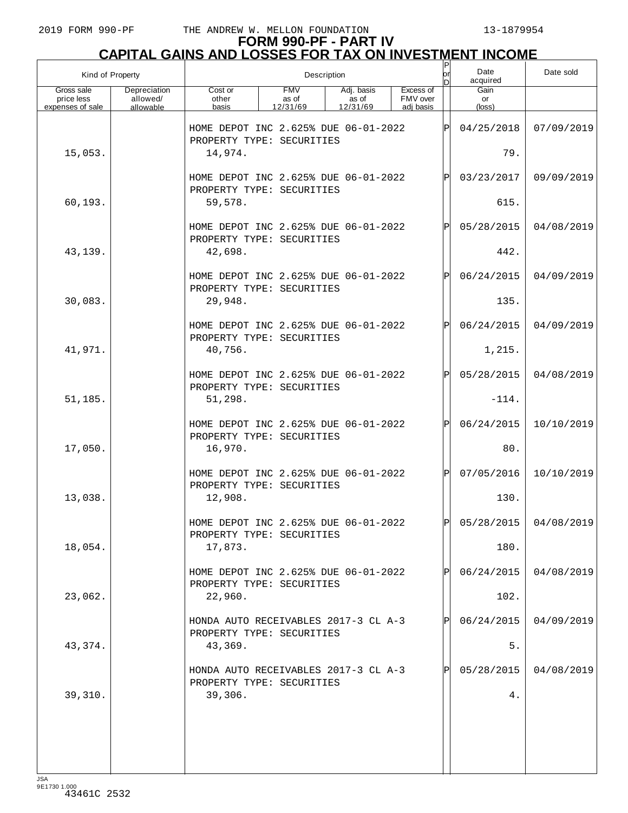# **FORM 990-PF - PART IV CAPITAL GAINS AND LOSSES FOR TAX ON INVESTMENT INCOME** P

| Kind of Property                             |                                       |                                                                              |                                 | Description                     |                                    | lor<br>n | Date<br>acquired     | Date sold               |
|----------------------------------------------|---------------------------------------|------------------------------------------------------------------------------|---------------------------------|---------------------------------|------------------------------------|----------|----------------------|-------------------------|
| Gross sale<br>price less<br>expenses of sale | Depreciation<br>allowed/<br>allowable | Cost or<br>other<br>basis                                                    | <b>FMV</b><br>as of<br>12/31/69 | Adj. basis<br>as of<br>12/31/69 | Excess of<br>FMV over<br>adi basis |          | Gain<br>or<br>(loss) |                         |
| 15,053.                                      |                                       | HOME DEPOT INC 2.625% DUE 06-01-2022<br>PROPERTY TYPE: SECURITIES<br>14,974. |                                 |                                 |                                    | lPl      | 04/25/2018<br>79.    | 07/09/2019              |
|                                              |                                       | HOME DEPOT INC 2.625% DUE 06-01-2022                                         |                                 |                                 |                                    | Þl       | 03/23/2017           | 09/09/2019              |
| 60,193.                                      |                                       | PROPERTY TYPE: SECURITIES<br>59,578.                                         |                                 |                                 |                                    |          | 615.                 |                         |
| 43,139.                                      |                                       | HOME DEPOT INC 2.625% DUE 06-01-2022<br>PROPERTY TYPE: SECURITIES<br>42,698. |                                 |                                 |                                    | P        | 05/28/2015<br>442.   | 04/08/2019              |
|                                              |                                       | HOME DEPOT INC 2.625% DUE 06-01-2022<br>PROPERTY TYPE: SECURITIES            |                                 |                                 |                                    | Þl       | 06/24/2015           | 04/09/2019              |
| 30,083.                                      |                                       | 29,948.                                                                      |                                 |                                 |                                    |          | 135.                 |                         |
|                                              |                                       | HOME DEPOT INC 2.625% DUE 06-01-2022<br>PROPERTY TYPE: SECURITIES            |                                 |                                 |                                    | Þl       | 06/24/2015           | 04/09/2019              |
| 41,971.                                      |                                       | 40,756.                                                                      |                                 |                                 |                                    |          | 1,215.               |                         |
|                                              |                                       | HOME DEPOT INC 2.625% DUE 06-01-2022<br>PROPERTY TYPE: SECURITIES            |                                 |                                 |                                    | P        | 05/28/2015           | 04/08/2019              |
| 51,185.                                      |                                       | 51,298.                                                                      |                                 |                                 |                                    |          | $-114.$              |                         |
| 17,050.                                      |                                       | HOME DEPOT INC 2.625% DUE 06-01-2022<br>PROPERTY TYPE: SECURITIES<br>16,970. |                                 |                                 |                                    | Þl       | 06/24/2015<br>80.    | 10/10/2019              |
|                                              |                                       | HOME DEPOT INC 2.625% DUE 06-01-2022<br>PROPERTY TYPE: SECURITIES            |                                 |                                 |                                    | Þl       | 07/05/2016           | 10/10/2019              |
| 13,038.                                      |                                       | 12,908.                                                                      |                                 |                                 |                                    |          | 130.                 |                         |
| 18,054.                                      |                                       | HOME DEPOT INC 2 625% DUE 06-01-2022<br>PROPERTY TYPE: SECURITIES<br>17,873. |                                 |                                 |                                    | lÞI.     | 180.                 | $05/28/2015$ 04/08/2019 |
|                                              |                                       | HOME DEPOT INC 2.625% DUE 06-01-2022                                         |                                 |                                 |                                    |          | 06/24/2015           | 04/08/2019              |
| 23,062.                                      |                                       | PROPERTY TYPE: SECURITIES<br>22,960.                                         |                                 |                                 |                                    |          | 102.                 |                         |
|                                              |                                       | HONDA AUTO RECEIVABLES 2017-3 CL A-3<br>PROPERTY TYPE: SECURITIES            |                                 |                                 |                                    |          | 06/24/2015           | 04/09/2019              |
| 43,374.                                      |                                       | 43,369.                                                                      |                                 |                                 |                                    |          | 5.                   |                         |
| 39,310.                                      |                                       | HONDA AUTO RECEIVABLES 2017-3 CL A-3<br>PROPERTY TYPE: SECURITIES<br>39,306. |                                 |                                 |                                    |          | 05/28/2015<br>4.     | 04/08/2019              |
|                                              |                                       |                                                                              |                                 |                                 |                                    |          |                      |                         |
|                                              |                                       |                                                                              |                                 |                                 |                                    |          |                      |                         |
|                                              |                                       |                                                                              |                                 |                                 |                                    |          |                      |                         |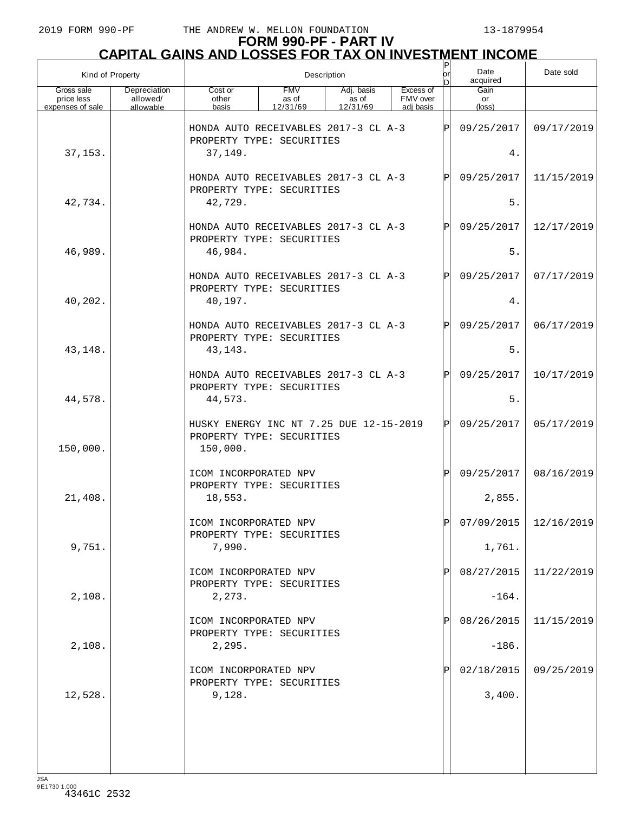# **FORM 990-PF - PART IV CAPITAL GAINS AND LOSSES FOR TAX ON INVESTMENT INCOME** P

| Kind of Property                             |                                       |                                                                                  |                                 | Description                     |                                    | or<br>In. | Date<br>acquired     | Date sold                 |
|----------------------------------------------|---------------------------------------|----------------------------------------------------------------------------------|---------------------------------|---------------------------------|------------------------------------|-----------|----------------------|---------------------------|
| Gross sale<br>price less<br>expenses of sale | Depreciation<br>allowed/<br>allowable | Cost or<br>other<br>basis                                                        | <b>FMV</b><br>as of<br>12/31/69 | Adj. basis<br>as of<br>12/31/69 | Excess of<br>FMV over<br>adi basis |           | Gain<br>or<br>(loss) |                           |
|                                              |                                       | HONDA AUTO RECEIVABLES 2017-3 CL A-3<br>PROPERTY TYPE: SECURITIES                |                                 |                                 |                                    | ΙP        | 09/25/2017           | 09/17/2019                |
| 37,153.                                      |                                       | 37,149.                                                                          |                                 |                                 |                                    |           | 4.                   |                           |
| 42,734.                                      |                                       | HONDA AUTO RECEIVABLES 2017-3 CL A-3<br>PROPERTY TYPE: SECURITIES<br>42,729.     |                                 |                                 |                                    | P         | 09/25/2017<br>$5.$   | 11/15/2019                |
|                                              |                                       |                                                                                  |                                 |                                 |                                    |           |                      |                           |
| 46,989.                                      |                                       | HONDA AUTO RECEIVABLES 2017-3 CL A-3<br>PROPERTY TYPE: SECURITIES<br>46,984.     |                                 |                                 |                                    | ΙP        | 09/25/2017<br>5.     | 12/17/2019                |
|                                              |                                       |                                                                                  |                                 |                                 |                                    |           |                      |                           |
| 40,202.                                      |                                       | HONDA AUTO RECEIVABLES 2017-3 CL A-3<br>PROPERTY TYPE: SECURITIES<br>40,197.     |                                 |                                 |                                    | P         | 09/25/2017<br>4.     | 07/17/2019                |
|                                              |                                       | HONDA AUTO RECEIVABLES 2017-3 CL A-3                                             |                                 |                                 |                                    | ΙP        | 09/25/2017           | 06/17/2019                |
|                                              |                                       | PROPERTY TYPE: SECURITIES                                                        |                                 |                                 |                                    |           |                      |                           |
| 43,148.                                      |                                       | 43, 143.                                                                         |                                 |                                 |                                    |           | 5.                   |                           |
|                                              |                                       | HONDA AUTO RECEIVABLES 2017-3 CL A-3<br>PROPERTY TYPE: SECURITIES                |                                 |                                 |                                    | P         | 09/25/2017           | 10/17/2019                |
| 44,578.                                      |                                       | 44,573.                                                                          |                                 |                                 |                                    |           | $5.$                 |                           |
| 150,000.                                     |                                       | HUSKY ENERGY INC NT 7.25 DUE 12-15-2019<br>PROPERTY TYPE: SECURITIES<br>150,000. |                                 |                                 |                                    | ΙP        | 09/25/2017           | 05/17/2019                |
|                                              |                                       | ICOM INCORPORATED NPV                                                            |                                 |                                 |                                    | ΙP        | 09/25/2017           | 08/16/2019                |
| 21,408.                                      |                                       | PROPERTY TYPE: SECURITIES<br>18,553.                                             |                                 |                                 |                                    |           | 2,855.               |                           |
|                                              |                                       | ICOM INCORPORATED NPV                                                            |                                 |                                 |                                    | ΙÞΙ       |                      | $07/09/2015$   12/16/2019 |
|                                              |                                       | PROPERTY TYPE: SECURITIES                                                        |                                 |                                 |                                    |           |                      |                           |
| 9,751.                                       |                                       | 7,990.                                                                           |                                 |                                 |                                    |           | 1,761.               |                           |
|                                              |                                       | ICOM INCORPORATED NPV<br>PROPERTY TYPE: SECURITIES                               |                                 |                                 |                                    |           | 08/27/2015           | 11/22/2019                |
| 2,108.                                       |                                       | 2,273.                                                                           |                                 |                                 |                                    |           | $-164.$              |                           |
|                                              |                                       | ICOM INCORPORATED NPV<br>PROPERTY TYPE: SECURITIES                               |                                 |                                 |                                    |           | 08/26/2015           | 11/15/2019                |
| 2,108.                                       |                                       | 2,295.                                                                           |                                 |                                 |                                    |           | $-186.$              |                           |
|                                              |                                       | ICOM INCORPORATED NPV<br>PROPERTY TYPE: SECURITIES                               |                                 |                                 |                                    |           | 02/18/2015           | 09/25/2019                |
| 12,528.                                      |                                       | 9,128.                                                                           |                                 |                                 |                                    |           | 3,400.               |                           |
|                                              |                                       |                                                                                  |                                 |                                 |                                    |           |                      |                           |
|                                              |                                       |                                                                                  |                                 |                                 |                                    |           |                      |                           |
|                                              |                                       |                                                                                  |                                 |                                 |                                    |           |                      |                           |
| ICA                                          |                                       |                                                                                  |                                 |                                 |                                    |           |                      |                           |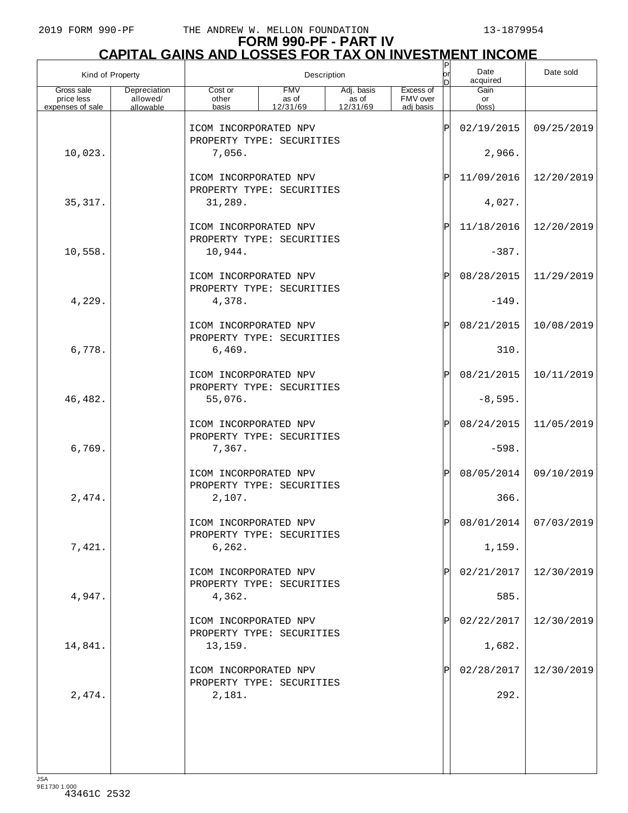# **FORM 990-PF - PART IV CAPITAL GAINS AND LOSSES FOR TAX ON INVESTMENT INCOME**

| Kind of Property                             |                                       |                                                    |                                 | Description                                   |                                    | $\sf P$<br>lor<br>D | Date<br>acquired              | Date sold  |
|----------------------------------------------|---------------------------------------|----------------------------------------------------|---------------------------------|-----------------------------------------------|------------------------------------|---------------------|-------------------------------|------------|
| Gross sale<br>price less<br>expenses of sale | Depreciation<br>allowed/<br>allowable | Cost or<br>other<br>basis                          | <b>FMV</b><br>as of<br>12/31/69 | Adj. basis<br>$\overline{a}$ s of<br>12/31/69 | Excess of<br>FMV over<br>adj basis |                     | Gain<br>or<br>$(\text{loss})$ |            |
|                                              |                                       | ICOM INCORPORATED NPV                              |                                 |                                               |                                    | ΙP                  | 02/19/2015                    | 09/25/2019 |
| 10,023.                                      |                                       | PROPERTY TYPE: SECURITIES<br>7,056.                |                                 |                                               |                                    |                     | 2,966.                        |            |
|                                              |                                       | ICOM INCORPORATED NPV                              |                                 |                                               |                                    | ΙÞΙ                 | 11/09/2016                    | 12/20/2019 |
| 35, 317.                                     |                                       | PROPERTY TYPE: SECURITIES<br>31,289.               |                                 |                                               |                                    |                     | 4,027.                        |            |
|                                              |                                       | ICOM INCORPORATED NPV<br>PROPERTY TYPE: SECURITIES |                                 |                                               |                                    | ΙÞΙ                 | 11/18/2016                    | 12/20/2019 |
| 10,558.                                      |                                       | 10,944.                                            |                                 |                                               |                                    |                     | $-387.$                       |            |
|                                              |                                       | ICOM INCORPORATED NPV<br>PROPERTY TYPE: SECURITIES |                                 |                                               |                                    | ΙPΙ                 | 08/28/2015                    | 11/29/2019 |
| 4,229.                                       |                                       | 4,378.                                             |                                 |                                               |                                    |                     | $-149.$                       |            |
|                                              |                                       | ICOM INCORPORATED NPV<br>PROPERTY TYPE: SECURITIES |                                 |                                               |                                    | ΙPΙ                 | 08/21/2015                    | 10/08/2019 |
| 6,778.                                       |                                       | 6,469.                                             |                                 |                                               |                                    |                     | 310.                          |            |
|                                              |                                       | ICOM INCORPORATED NPV<br>PROPERTY TYPE: SECURITIES |                                 |                                               |                                    | ΙPΙ                 | 08/21/2015                    | 10/11/2019 |
| 46,482.                                      |                                       | 55,076.                                            |                                 |                                               |                                    |                     | $-8,595.$                     |            |
|                                              |                                       | ICOM INCORPORATED NPV<br>PROPERTY TYPE: SECURITIES |                                 |                                               |                                    | ΙP                  | 08/24/2015                    | 11/05/2019 |
| 6,769.                                       |                                       | 7,367.                                             |                                 |                                               |                                    |                     | $-598.$                       |            |
|                                              |                                       | ICOM INCORPORATED NPV<br>PROPERTY TYPE: SECURITIES |                                 |                                               |                                    | ΙPΙ                 | 08/05/2014                    | 09/10/2019 |
| 2,474.                                       |                                       | 2,107.                                             |                                 |                                               |                                    |                     | 366.                          |            |
|                                              |                                       | ICOM INCORPORATED NPV                              | PROPERTY TYPE: SECURITIES       |                                               |                                    |                     | 08/01/2014                    | 07/03/2019 |
| 7,421.                                       |                                       | 6, 262.                                            |                                 |                                               |                                    |                     | 1,159.                        |            |
|                                              |                                       | ICOM INCORPORATED NPV<br>PROPERTY TYPE: SECURITIES |                                 |                                               |                                    | P                   | 02/21/2017                    | 12/30/2019 |
| 4,947.                                       |                                       | 4,362.                                             |                                 |                                               |                                    |                     | 585.                          |            |
|                                              |                                       | ICOM INCORPORATED NPV                              | PROPERTY TYPE: SECURITIES       |                                               |                                    | P                   | 02/22/2017                    | 12/30/2019 |
| 14,841.                                      |                                       | 13, 159.                                           |                                 |                                               |                                    |                     | 1,682.                        |            |
|                                              |                                       | ICOM INCORPORATED NPV<br>PROPERTY TYPE: SECURITIES |                                 |                                               |                                    | P                   | 02/28/2017                    | 12/30/2019 |
| 2,474.                                       |                                       | 2,181.                                             |                                 |                                               |                                    |                     | 292.                          |            |
|                                              |                                       |                                                    |                                 |                                               |                                    |                     |                               |            |
|                                              |                                       |                                                    |                                 |                                               |                                    |                     |                               |            |
|                                              |                                       |                                                    |                                 |                                               |                                    |                     |                               |            |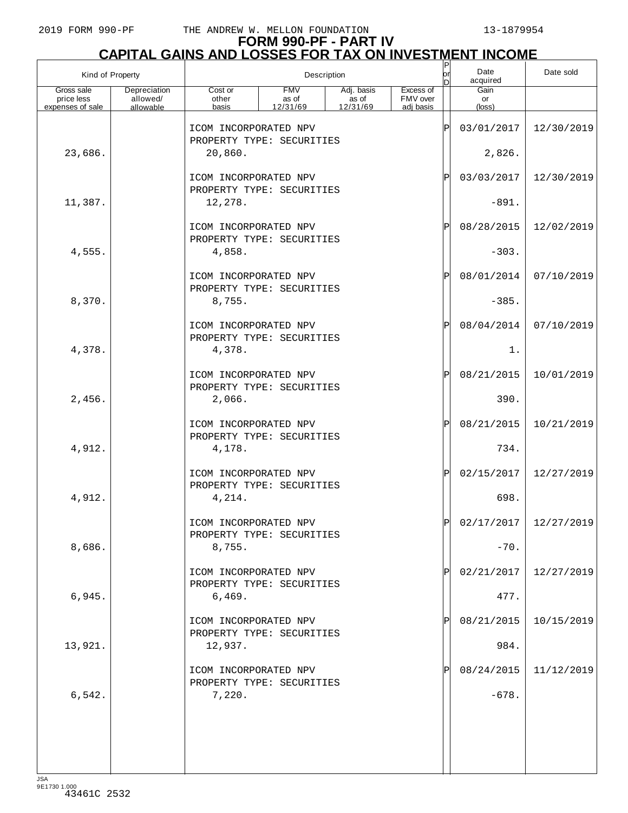# **FORM 990-PF - PART IV CAPITAL GAINS AND LOSSES FOR TAX ON INVESTMENT INCOME**

| Kind of Property         |                          |                                                    |                     | Description         |                       | $\frac{P}{\rho r}$<br>In | Date<br>acquired | Date sold  |
|--------------------------|--------------------------|----------------------------------------------------|---------------------|---------------------|-----------------------|--------------------------|------------------|------------|
| Gross sale<br>price less | Depreciation<br>allowed/ | Cost or<br>other                                   | <b>FMV</b><br>as of | Adj. basis<br>as of | Excess of<br>FMV over |                          | Gain<br>or       |            |
| expenses of sale         | allowable                | basis                                              | 12/31/69            | 12/31/69            | adj basis             |                          | $(\text{loss})$  |            |
|                          |                          | ICOM INCORPORATED NPV<br>PROPERTY TYPE: SECURITIES |                     |                     |                       | ΙP                       | 03/01/2017       | 12/30/2019 |
| 23,686.                  |                          | 20,860.                                            |                     |                     |                       |                          | 2,826.           |            |
|                          |                          | ICOM INCORPORATED NPV<br>PROPERTY TYPE: SECURITIES |                     |                     |                       | ΙP                       | 03/03/2017       | 12/30/2019 |
| 11,387.                  |                          | 12,278.                                            |                     |                     |                       |                          | $-891.$          |            |
|                          |                          | ICOM INCORPORATED NPV<br>PROPERTY TYPE: SECURITIES |                     |                     |                       | ΙP                       | 08/28/2015       | 12/02/2019 |
| 4,555.                   |                          | 4,858.                                             |                     |                     |                       |                          | $-303.$          |            |
|                          |                          | ICOM INCORPORATED NPV<br>PROPERTY TYPE: SECURITIES |                     |                     |                       | ΙP                       | 08/01/2014       | 07/10/2019 |
| 8,370.                   |                          | 8,755.                                             |                     |                     |                       |                          | $-385.$          |            |
|                          |                          | ICOM INCORPORATED NPV<br>PROPERTY TYPE: SECURITIES |                     |                     |                       | ΙP                       | 08/04/2014       | 07/10/2019 |
| 4,378.                   |                          | 4,378.                                             |                     |                     |                       |                          | $1$ .            |            |
|                          |                          | ICOM INCORPORATED NPV<br>PROPERTY TYPE: SECURITIES |                     |                     |                       | ΙP                       | 08/21/2015       | 10/01/2019 |
| 2,456.                   |                          | 2,066.                                             |                     |                     |                       |                          | 390.             |            |
|                          |                          | ICOM INCORPORATED NPV<br>PROPERTY TYPE: SECURITIES |                     |                     |                       | ΙP                       | 08/21/2015       | 10/21/2019 |
| 4,912.                   |                          | 4,178.                                             |                     |                     |                       |                          | 734.             |            |
|                          |                          | ICOM INCORPORATED NPV<br>PROPERTY TYPE: SECURITIES |                     |                     |                       | ΙP                       | 02/15/2017       | 12/27/2019 |
| 4,912.                   |                          | 4,214.                                             |                     |                     |                       |                          | 698.             |            |
|                          |                          | ICOM INCORPORATED NPV<br>PROPERTY TYPE: SECURITIES |                     |                     |                       | D                        | 02/17/2017       | 12/27/2019 |
| 8,686.                   |                          | 8,755.                                             |                     |                     |                       |                          | $-70.$           |            |
|                          |                          | ICOM INCORPORATED NPV<br>PROPERTY TYPE: SECURITIES |                     |                     |                       |                          | 02/21/2017       | 12/27/2019 |
| 6,945.                   |                          | 6,469.                                             |                     |                     |                       |                          | 477.             |            |
|                          |                          | ICOM INCORPORATED NPV<br>PROPERTY TYPE: SECURITIES |                     |                     |                       |                          | 08/21/2015       | 10/15/2019 |
| 13,921.                  |                          | 12,937.                                            |                     |                     |                       |                          | 984.             |            |
|                          |                          | ICOM INCORPORATED NPV<br>PROPERTY TYPE: SECURITIES |                     |                     |                       |                          | 08/24/2015       | 11/12/2019 |
| 6, 542.                  |                          | 7,220.                                             |                     |                     |                       |                          | $-678.$          |            |
|                          |                          |                                                    |                     |                     |                       |                          |                  |            |
|                          |                          |                                                    |                     |                     |                       |                          |                  |            |
| 194                      |                          |                                                    |                     |                     |                       |                          |                  |            |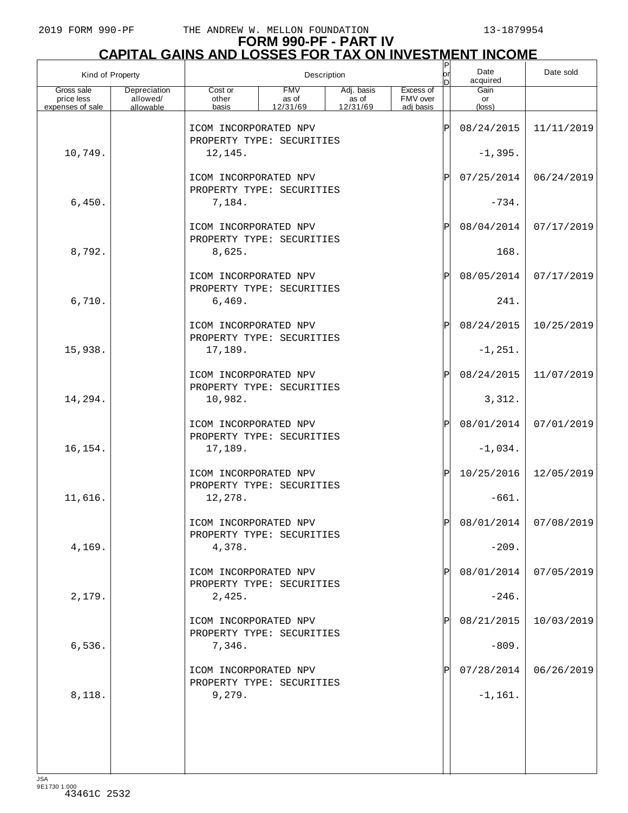# **FORM 990-PF - PART IV**

|                                              | <b>CAPITAL GAINS AND LOSSES FOR TAX ON INVESTMENT INCOME</b> |                                                    |                                 |                                 |                                    |           |                               |            |  |  |  |
|----------------------------------------------|--------------------------------------------------------------|----------------------------------------------------|---------------------------------|---------------------------------|------------------------------------|-----------|-------------------------------|------------|--|--|--|
| Kind of Property                             |                                                              |                                                    |                                 | Description                     |                                    | lor<br>In | Date<br>acquired              | Date sold  |  |  |  |
| Gross sale<br>price less<br>expenses of sale | Depreciation<br>allowed/<br>allowable                        | Cost or<br>other<br>basis                          | <b>FMV</b><br>as of<br>12/31/69 | Adj. basis<br>as of<br>12/31/69 | Excess of<br>FMV over<br>adi basis |           | Gain<br>or<br>$(\text{loss})$ |            |  |  |  |
|                                              |                                                              | ICOM INCORPORATED NPV<br>PROPERTY TYPE: SECURITIES |                                 |                                 |                                    | ΙP        | 08/24/2015                    | 11/11/2019 |  |  |  |
| 10,749.                                      |                                                              | 12,145.                                            |                                 |                                 |                                    |           | $-1,395.$                     |            |  |  |  |
|                                              |                                                              | ICOM INCORPORATED NPV<br>PROPERTY TYPE: SECURITIES |                                 |                                 |                                    | ΙP        | 07/25/2014                    | 06/24/2019 |  |  |  |
| 6,450.                                       |                                                              | 7,184.                                             |                                 |                                 |                                    |           | $-734.$                       |            |  |  |  |
|                                              |                                                              | ICOM INCORPORATED NPV<br>PROPERTY TYPE: SECURITIES |                                 |                                 |                                    | ΙP        | 08/04/2014                    | 07/17/2019 |  |  |  |
| 8,792.                                       |                                                              | 8,625.                                             |                                 |                                 |                                    |           | 168.                          |            |  |  |  |
|                                              |                                                              | ICOM INCORPORATED NPV<br>PROPERTY TYPE: SECURITIES |                                 |                                 |                                    | ΙP        | 08/05/2014                    | 07/17/2019 |  |  |  |
| 6,710.                                       |                                                              | 6,469.                                             |                                 |                                 |                                    |           | 241.                          |            |  |  |  |
|                                              |                                                              | ICOM INCORPORATED NPV<br>PROPERTY TYPE: SECURITIES |                                 |                                 |                                    | ΙP        | 08/24/2015                    | 10/25/2019 |  |  |  |
| 15,938.                                      |                                                              | 17,189.<br>ICOM INCORPORATED NPV                   |                                 |                                 |                                    | ΙP        | $-1, 251.$<br>08/24/2015      | 11/07/2019 |  |  |  |
| 14,294.                                      |                                                              | PROPERTY TYPE: SECURITIES<br>10,982.               |                                 |                                 |                                    |           | 3,312.                        |            |  |  |  |
|                                              |                                                              | ICOM INCORPORATED NPV                              |                                 |                                 |                                    | ΙP        | 08/01/2014                    | 07/01/2019 |  |  |  |
| 16,154.                                      |                                                              | PROPERTY TYPE: SECURITIES<br>17,189.               |                                 |                                 |                                    |           | $-1,034.$                     |            |  |  |  |
|                                              |                                                              | ICOM INCORPORATED NPV                              |                                 |                                 |                                    | ΙP        | 10/25/2016                    | 12/05/2019 |  |  |  |
| 11,616.                                      |                                                              | PROPERTY TYPE: SECURITIES<br>12,278.               |                                 |                                 |                                    |           | $-661.$                       |            |  |  |  |
|                                              |                                                              | ICOM INCORPORATED NPV<br>PROPERTY TYPE: SECURITIES |                                 |                                 |                                    | ΙP        | 08/01/2014                    | 07/08/2019 |  |  |  |
| 4,169.                                       |                                                              | 4,378.                                             |                                 |                                 |                                    |           | $-209.$                       |            |  |  |  |
|                                              |                                                              | ICOM INCORPORATED NPV<br>PROPERTY TYPE: SECURITIES |                                 |                                 |                                    |           | 08/01/2014                    | 07/05/2019 |  |  |  |
| 2,179.                                       |                                                              | 2,425.                                             |                                 |                                 |                                    |           | $-246.$                       |            |  |  |  |
|                                              |                                                              | ICOM INCORPORATED NPV<br>PROPERTY TYPE: SECURITIES |                                 |                                 |                                    |           | 08/21/2015                    | 10/03/2019 |  |  |  |
| 6,536.                                       |                                                              | 7,346.                                             |                                 |                                 |                                    |           | $-809.$                       |            |  |  |  |
|                                              |                                                              | ICOM INCORPORATED NPV<br>PROPERTY TYPE: SECURITIES |                                 |                                 |                                    |           | 07/28/2014                    | 06/26/2019 |  |  |  |
| 8,118.                                       |                                                              | 9,279.                                             |                                 |                                 |                                    |           | $-1,161.$                     |            |  |  |  |
|                                              |                                                              |                                                    |                                 |                                 |                                    |           |                               |            |  |  |  |
|                                              |                                                              |                                                    |                                 |                                 |                                    |           |                               |            |  |  |  |
|                                              |                                                              |                                                    |                                 |                                 |                                    |           |                               |            |  |  |  |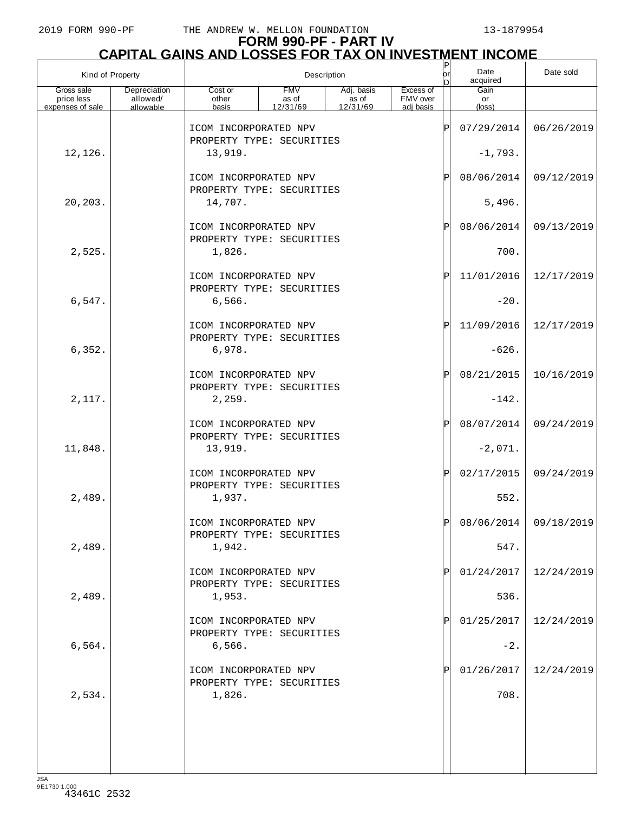# **FORM 990-PF - PART IV CAPITAL GAINS AND LOSSES FOR TAX ON INVESTMENT INCOME** P

| Kind of Property         |                          |                                                    |                     | Description         |                       | P<br>lor<br>D | Date<br>acquired | Date sold  |
|--------------------------|--------------------------|----------------------------------------------------|---------------------|---------------------|-----------------------|---------------|------------------|------------|
| Gross sale<br>price less | Depreciation<br>allowed/ | Cost or<br>other                                   | <b>FMV</b><br>as of | Adj. basis<br>as of | Excess of<br>FMV over |               | Gain<br>or       |            |
| expenses of sale         | allowable                | basis                                              | 12/31/69            | 12/31/69            | adi basis             |               | $(\text{loss})$  |            |
|                          |                          | ICOM INCORPORATED NPV<br>PROPERTY TYPE: SECURITIES |                     |                     |                       | ΙP            | 07/29/2014       | 06/26/2019 |
| 12,126.                  |                          | 13,919.                                            |                     |                     |                       |               | $-1,793.$        |            |
|                          |                          | ICOM INCORPORATED NPV<br>PROPERTY TYPE: SECURITIES |                     |                     |                       | ΙP            | 08/06/2014       | 09/12/2019 |
| 20,203.                  |                          | 14,707.                                            |                     |                     |                       |               | 5,496.           |            |
|                          |                          | ICOM INCORPORATED NPV<br>PROPERTY TYPE: SECURITIES |                     |                     |                       | ΙP            | 08/06/2014       | 09/13/2019 |
| 2,525.                   |                          | 1,826.                                             |                     |                     |                       |               | 700.             |            |
|                          |                          | ICOM INCORPORATED NPV<br>PROPERTY TYPE: SECURITIES |                     |                     |                       | ΙP            | 11/01/2016       | 12/17/2019 |
| 6,547.                   |                          | 6,566.                                             |                     |                     |                       |               | $-20.$           |            |
|                          |                          | ICOM INCORPORATED NPV<br>PROPERTY TYPE: SECURITIES |                     |                     |                       | ΙP            | 11/09/2016       | 12/17/2019 |
| 6,352.                   |                          | 6,978.                                             |                     |                     |                       |               | $-626.$          |            |
|                          |                          | ICOM INCORPORATED NPV<br>PROPERTY TYPE: SECURITIES |                     |                     |                       | ΙP            | 08/21/2015       | 10/16/2019 |
| 2,117.                   |                          | 2,259.                                             |                     |                     |                       |               | $-142.$          |            |
|                          |                          | ICOM INCORPORATED NPV<br>PROPERTY TYPE: SECURITIES |                     |                     |                       | ΙP            | 08/07/2014       | 09/24/2019 |
| 11,848.                  |                          | 13,919.                                            |                     |                     |                       |               | $-2,071.$        |            |
|                          |                          | ICOM INCORPORATED NPV<br>PROPERTY TYPE: SECURITIES |                     |                     |                       | ΙP            | 02/17/2015       | 09/24/2019 |
| 2,489.                   |                          | 1,937.                                             |                     |                     |                       |               | 552.             |            |
|                          |                          | ICOM INCORPORATED NPV<br>PROPERTY TYPE: SECURITIES |                     |                     |                       |               | 08/06/2014       | 09/18/2019 |
| 2,489.                   |                          | 1,942.                                             |                     |                     |                       |               | 547.             |            |
|                          |                          | ICOM INCORPORATED NPV<br>PROPERTY TYPE: SECURITIES |                     |                     |                       | Þ             | 01/24/2017       | 12/24/2019 |
| 2,489.                   |                          | 1,953.                                             |                     |                     |                       |               | 536.             |            |
|                          |                          | ICOM INCORPORATED NPV<br>PROPERTY TYPE: SECURITIES |                     |                     |                       |               | 01/25/2017       | 12/24/2019 |
| 6,564.                   |                          | 6,566.                                             |                     |                     |                       |               | $-2$ .           |            |
|                          |                          | ICOM INCORPORATED NPV<br>PROPERTY TYPE: SECURITIES |                     |                     |                       |               | 01/26/2017       | 12/24/2019 |
| 2,534.                   |                          | 1,826.                                             |                     |                     |                       |               | 708.             |            |
|                          |                          |                                                    |                     |                     |                       |               |                  |            |
|                          |                          |                                                    |                     |                     |                       |               |                  |            |
|                          |                          |                                                    |                     |                     |                       |               |                  |            |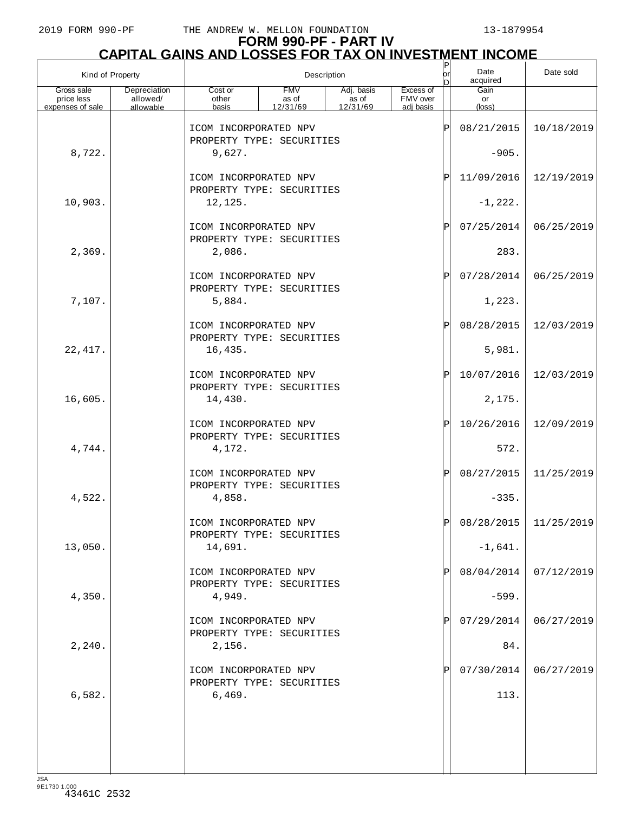# **FORM 990-PF - PART IV CAPITAL GAINS AND LOSSES FOR TAX ON INVESTMENT INCOME** P

| Kind of Property                             |                                       |                                                    |                                 | Description                     |                                    | P<br>or<br>In | Date<br>acquired     | Date sold             |
|----------------------------------------------|---------------------------------------|----------------------------------------------------|---------------------------------|---------------------------------|------------------------------------|---------------|----------------------|-----------------------|
| Gross sale<br>price less<br>expenses of sale | Depreciation<br>allowed/<br>allowable | Cost or<br>other<br>basis                          | <b>FMV</b><br>as of<br>12/31/69 | Adj. basis<br>as of<br>12/31/69 | Excess of<br>FMV over<br>adi basis |               | Gain<br>or<br>(loss) |                       |
|                                              |                                       |                                                    |                                 |                                 |                                    |               | 08/21/2015           |                       |
|                                              |                                       | ICOM INCORPORATED NPV<br>PROPERTY TYPE: SECURITIES |                                 |                                 |                                    | ΙP            |                      | 10/18/2019            |
| 8,722.                                       |                                       | 9,627.                                             |                                 |                                 |                                    |               | $-905.$              |                       |
|                                              |                                       | ICOM INCORPORATED NPV<br>PROPERTY TYPE: SECURITIES |                                 |                                 |                                    | ΙP            | 11/09/2016           | 12/19/2019            |
| 10,903.                                      |                                       | 12,125.                                            |                                 |                                 |                                    |               | $-1, 222.$           |                       |
|                                              |                                       | ICOM INCORPORATED NPV                              |                                 |                                 |                                    | ΙP            | 07/25/2014           | 06/25/2019            |
| 2,369.                                       |                                       | PROPERTY TYPE: SECURITIES<br>2,086.                |                                 |                                 |                                    |               | 283.                 |                       |
|                                              |                                       | ICOM INCORPORATED NPV                              |                                 |                                 |                                    | ΙP            | 07/28/2014           | 06/25/2019            |
| 7,107.                                       |                                       | PROPERTY TYPE: SECURITIES<br>5,884.                |                                 |                                 |                                    |               | 1,223.               |                       |
|                                              |                                       | ICOM INCORPORATED NPV                              |                                 |                                 |                                    | ΙP            | 08/28/2015           | 12/03/2019            |
| 22, 417.                                     |                                       | PROPERTY TYPE: SECURITIES<br>16,435.               |                                 |                                 |                                    |               | 5,981.               |                       |
|                                              |                                       | ICOM INCORPORATED NPV                              |                                 |                                 |                                    | ΙP            |                      |                       |
|                                              |                                       | PROPERTY TYPE: SECURITIES                          |                                 |                                 |                                    |               | 10/07/2016           | 12/03/2019            |
| 16,605.                                      |                                       | 14,430.                                            |                                 |                                 |                                    |               | 2,175.               |                       |
|                                              |                                       | ICOM INCORPORATED NPV<br>PROPERTY TYPE: SECURITIES |                                 |                                 |                                    | ΙP            | 10/26/2016           | 12/09/2019            |
| 4,744.                                       |                                       | 4,172.                                             |                                 |                                 |                                    |               | 572.                 |                       |
|                                              |                                       | ICOM INCORPORATED NPV                              |                                 |                                 |                                    | ΙP            | 08/27/2015           | 11/25/2019            |
| 4,522.                                       |                                       | PROPERTY TYPE: SECURITIES<br>4,858.                |                                 |                                 |                                    |               | $-335.$              |                       |
|                                              |                                       | ICOM INCORPORATED NPV                              |                                 |                                 |                                    | $\mathbf{D}$  |                      | 08/28/2015 11/25/2019 |
| 13,050.                                      |                                       | PROPERTY TYPE: SECURITIES<br>14,691.               |                                 |                                 |                                    |               | $-1,641.$            |                       |
|                                              |                                       | ICOM INCORPORATED NPV                              |                                 |                                 |                                    | Þ             | 08/04/2014           | 07/12/2019            |
| 4,350.                                       |                                       | PROPERTY TYPE: SECURITIES<br>4,949.                |                                 |                                 |                                    |               | $-599.$              |                       |
|                                              |                                       | ICOM INCORPORATED NPV                              |                                 |                                 |                                    |               | 07/29/2014           | 06/27/2019            |
|                                              |                                       | PROPERTY TYPE: SECURITIES                          |                                 |                                 |                                    |               |                      |                       |
| 2,240.                                       |                                       | 2,156.                                             |                                 |                                 |                                    |               | 84.                  |                       |
|                                              |                                       | ICOM INCORPORATED NPV<br>PROPERTY TYPE: SECURITIES |                                 |                                 |                                    |               | 07/30/2014           | 06/27/2019            |
| 6,582.                                       |                                       | 6,469.                                             |                                 |                                 |                                    |               | 113.                 |                       |
|                                              |                                       |                                                    |                                 |                                 |                                    |               |                      |                       |
|                                              |                                       |                                                    |                                 |                                 |                                    |               |                      |                       |
|                                              |                                       |                                                    |                                 |                                 |                                    |               |                      |                       |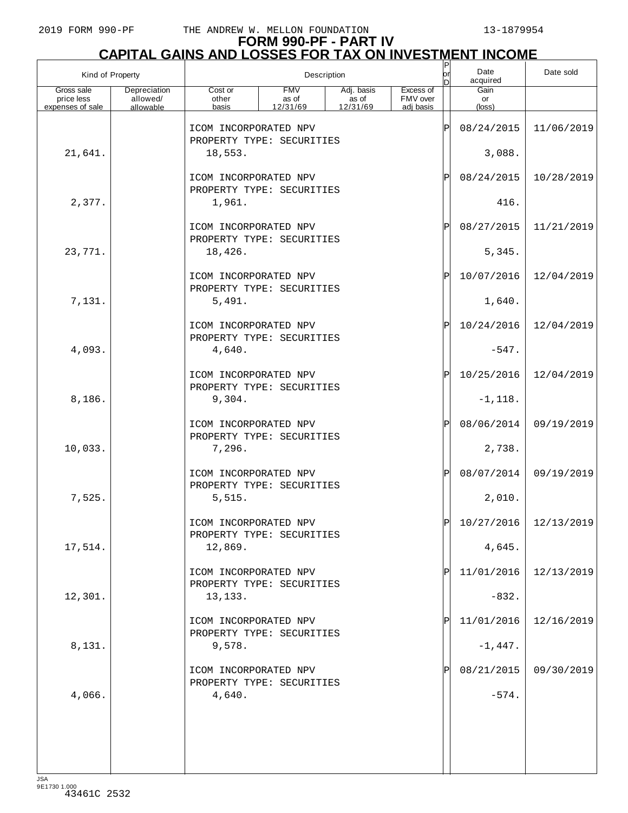# **FORM 990-PF - PART IV**

| <b>CAPITAL GAINS AND LOSSES FOR TAX ON INVESTMENT INCOME</b> |                                       |                                                    |                                 |                                               |                                    |     |                               |            |  |  |
|--------------------------------------------------------------|---------------------------------------|----------------------------------------------------|---------------------------------|-----------------------------------------------|------------------------------------|-----|-------------------------------|------------|--|--|
| Kind of Property                                             |                                       |                                                    |                                 | Description                                   |                                    | D   | Date<br>acquired              | Date sold  |  |  |
| Gross sale<br>price less<br>expenses of sale                 | Depreciation<br>allowed/<br>allowable | Cost or<br>other<br>basis                          | <b>FMV</b><br>as of<br>12/31/69 | Adj. basis<br>$\frac{1}{2}$ as of<br>12/31/69 | Excess of<br>FMV over<br>adj basis |     | Gain<br>or<br>$(\text{loss})$ |            |  |  |
|                                                              |                                       | ICOM INCORPORATED NPV<br>PROPERTY TYPE: SECURITIES |                                 |                                               |                                    | ΙP  | 08/24/2015                    | 11/06/2019 |  |  |
| 21,641.                                                      |                                       | 18,553.                                            |                                 |                                               |                                    |     | 3,088.                        |            |  |  |
|                                                              |                                       | ICOM INCORPORATED NPV<br>PROPERTY TYPE: SECURITIES |                                 |                                               |                                    | ΙÞΙ | 08/24/2015                    | 10/28/2019 |  |  |
| 2,377.                                                       |                                       | 1,961.                                             |                                 |                                               |                                    |     | 416.                          |            |  |  |
|                                                              |                                       | ICOM INCORPORATED NPV<br>PROPERTY TYPE: SECURITIES |                                 |                                               |                                    | ΙÞΙ | 08/27/2015                    | 11/21/2019 |  |  |
| 23,771.                                                      |                                       | 18,426.                                            |                                 |                                               |                                    |     | 5,345.                        |            |  |  |
|                                                              |                                       | ICOM INCORPORATED NPV<br>PROPERTY TYPE: SECURITIES |                                 |                                               |                                    | ΙÞΙ | 10/07/2016                    | 12/04/2019 |  |  |
| 7,131.                                                       |                                       | 5,491.                                             |                                 |                                               |                                    |     | 1,640.                        |            |  |  |
|                                                              |                                       | ICOM INCORPORATED NPV<br>PROPERTY TYPE: SECURITIES |                                 |                                               |                                    | ΙÞΙ | 10/24/2016                    | 12/04/2019 |  |  |
| 4,093.                                                       |                                       | 4,640.                                             |                                 |                                               |                                    |     | $-547.$                       |            |  |  |
|                                                              |                                       | ICOM INCORPORATED NPV<br>PROPERTY TYPE: SECURITIES |                                 |                                               |                                    | ΙÞΙ | 10/25/2016                    | 12/04/2019 |  |  |
| 8,186.                                                       |                                       | 9,304.                                             |                                 |                                               |                                    |     | $-1, 118.$                    |            |  |  |
|                                                              |                                       | ICOM INCORPORATED NPV<br>PROPERTY TYPE: SECURITIES |                                 |                                               |                                    | ΙÞΙ | 08/06/2014                    | 09/19/2019 |  |  |
| 10,033.                                                      |                                       | 7,296.                                             |                                 |                                               |                                    |     | 2,738.                        |            |  |  |
|                                                              |                                       | ICOM INCORPORATED NPV<br>PROPERTY TYPE: SECURITIES |                                 |                                               |                                    | ΙÞΙ | 08/07/2014                    | 09/19/2019 |  |  |
| 7,525.                                                       |                                       | 5,515.                                             |                                 |                                               |                                    |     | 2,010.                        |            |  |  |
|                                                              |                                       | ICOM INCORPORATED NPV<br>PROPERTY TYPE: SECURITIES |                                 |                                               |                                    | ΙÞΙ | 10/27/2016                    | 12/13/2019 |  |  |
| 17,514.                                                      |                                       | 12,869.                                            |                                 |                                               |                                    |     | 4,645.                        |            |  |  |
|                                                              |                                       | ICOM INCORPORATED NPV<br>PROPERTY TYPE: SECURITIES |                                 |                                               |                                    | ΙPΙ | 11/01/2016                    | 12/13/2019 |  |  |
| 12,301.                                                      |                                       | 13,133.<br>ICOM INCORPORATED NPV                   |                                 |                                               |                                    | ΙPΙ | $-832.$                       | 12/16/2019 |  |  |
| 8,131.                                                       |                                       | PROPERTY TYPE: SECURITIES<br>9,578.                |                                 |                                               |                                    |     | 11/01/2016<br>$-1,447.$       |            |  |  |
|                                                              |                                       | ICOM INCORPORATED NPV                              |                                 |                                               |                                    | ΙPΙ | 08/21/2015                    | 09/30/2019 |  |  |
| 4,066.                                                       |                                       | PROPERTY TYPE: SECURITIES<br>4,640.                |                                 |                                               |                                    |     | $-574.$                       |            |  |  |
|                                                              |                                       |                                                    |                                 |                                               |                                    |     |                               |            |  |  |
|                                                              |                                       |                                                    |                                 |                                               |                                    |     |                               |            |  |  |
|                                                              |                                       |                                                    |                                 |                                               |                                    |     |                               |            |  |  |
|                                                              |                                       |                                                    |                                 |                                               |                                    |     |                               |            |  |  |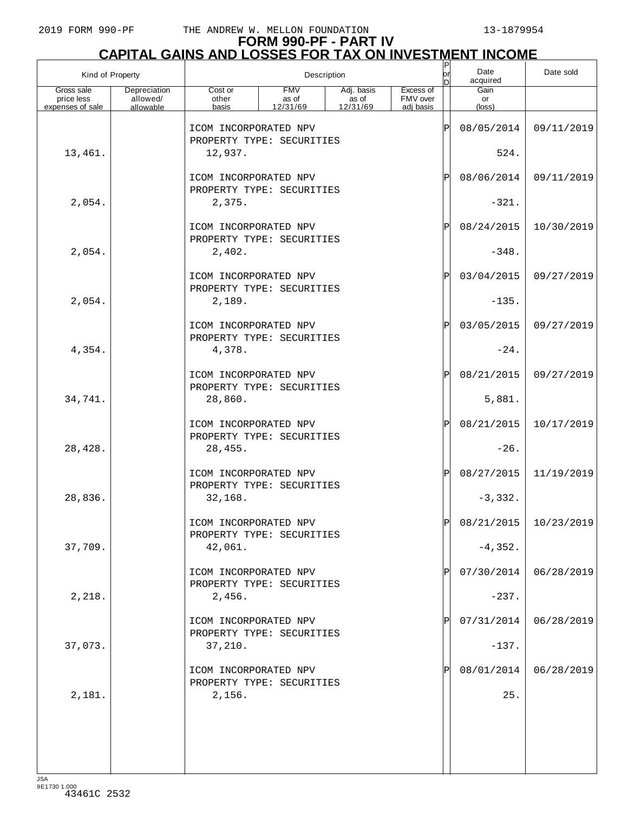# **FORM 990-PF - PART IV**

|                                              | <b>CAPITAL GAINS AND LOSSES FOR TAX ON INVESTMENT INCOME</b> |                                                              |                                 |                                               |                                    |           |                       |            |  |  |  |
|----------------------------------------------|--------------------------------------------------------------|--------------------------------------------------------------|---------------------------------|-----------------------------------------------|------------------------------------|-----------|-----------------------|------------|--|--|--|
| Kind of Property                             |                                                              |                                                              | Description                     |                                               |                                    | lor<br>In | Date<br>acquired      | Date sold  |  |  |  |
| Gross sale<br>price less<br>expenses of sale | Depreciation<br>allowed/<br>allowable                        | Cost or<br>other<br>basis                                    | <b>FMV</b><br>as of<br>12/31/69 | Adj. basis<br>$\overline{a}$ s of<br>12/31/69 | Excess of<br>FMV over<br>adi basis |           | Gain<br>or<br>(loss)  |            |  |  |  |
|                                              |                                                              | ICOM INCORPORATED NPV<br>PROPERTY TYPE: SECURITIES           |                                 |                                               |                                    | ΙP        | 08/05/2014            | 09/11/2019 |  |  |  |
| 13,461.                                      |                                                              | 12,937.                                                      |                                 |                                               |                                    |           | 524.                  |            |  |  |  |
|                                              |                                                              | ICOM INCORPORATED NPV<br>PROPERTY TYPE: SECURITIES           |                                 |                                               |                                    | ΙP        | 08/06/2014            | 09/11/2019 |  |  |  |
| 2,054.                                       |                                                              | 2,375.                                                       |                                 |                                               |                                    |           | $-321.$               |            |  |  |  |
|                                              |                                                              | ICOM INCORPORATED NPV<br>PROPERTY TYPE: SECURITIES           |                                 |                                               |                                    | ΙP        | 08/24/2015            | 10/30/2019 |  |  |  |
| 2,054.                                       |                                                              | 2,402.                                                       |                                 |                                               |                                    |           | $-348.$               |            |  |  |  |
|                                              |                                                              | ICOM INCORPORATED NPV<br>PROPERTY TYPE: SECURITIES           |                                 |                                               |                                    | ΙP        | 03/04/2015            | 09/27/2019 |  |  |  |
| 2,054.                                       |                                                              | 2,189.<br>ICOM INCORPORATED NPV                              |                                 |                                               |                                    | ΙP        | $-135.$<br>03/05/2015 | 09/27/2019 |  |  |  |
| 4,354.                                       |                                                              | PROPERTY TYPE: SECURITIES<br>4,378.                          |                                 |                                               |                                    |           | $-24.$                |            |  |  |  |
|                                              |                                                              | ICOM INCORPORATED NPV                                        |                                 |                                               |                                    | ΙP        | 08/21/2015            | 09/27/2019 |  |  |  |
| 34,741.                                      |                                                              | PROPERTY TYPE: SECURITIES<br>28,860.                         |                                 |                                               |                                    |           | 5,881.                |            |  |  |  |
|                                              |                                                              | ICOM INCORPORATED NPV<br>PROPERTY TYPE: SECURITIES           |                                 |                                               |                                    | ΙP        | 08/21/2015            | 10/17/2019 |  |  |  |
| 28, 428.                                     |                                                              | 28,455.                                                      |                                 |                                               |                                    |           | $-26.$                |            |  |  |  |
|                                              |                                                              | ICOM INCORPORATED NPV<br>PROPERTY TYPE: SECURITIES           |                                 |                                               |                                    | ΙP        | 08/27/2015            | 11/19/2019 |  |  |  |
| 28,836.                                      |                                                              | 32,168.                                                      |                                 |                                               |                                    |           | $-3,332.$             |            |  |  |  |
|                                              |                                                              | ICOM INCORPORATED NPV<br>PROPERTY TYPE: SECURITIES           |                                 |                                               |                                    | ΙP        | 08/21/2015            | 10/23/2019 |  |  |  |
| 37,709.                                      |                                                              | 42,061.                                                      |                                 |                                               |                                    |           | $-4,352.$             |            |  |  |  |
| 2,218.                                       |                                                              | ICOM INCORPORATED NPV<br>PROPERTY TYPE: SECURITIES<br>2,456. |                                 |                                               |                                    | IP        | 07/30/2014<br>$-237.$ | 06/28/2019 |  |  |  |
|                                              |                                                              | ICOM INCORPORATED NPV                                        |                                 |                                               |                                    |           | 07/31/2014            | 06/28/2019 |  |  |  |
| 37,073.                                      |                                                              | PROPERTY TYPE: SECURITIES<br>37,210.                         |                                 |                                               |                                    |           | $-137.$               |            |  |  |  |
|                                              |                                                              | ICOM INCORPORATED NPV                                        |                                 |                                               |                                    |           | 08/01/2014            | 06/28/2019 |  |  |  |
| 2,181.                                       |                                                              | PROPERTY TYPE: SECURITIES<br>2,156.                          |                                 |                                               |                                    |           | 25.                   |            |  |  |  |
|                                              |                                                              |                                                              |                                 |                                               |                                    |           |                       |            |  |  |  |
|                                              |                                                              |                                                              |                                 |                                               |                                    |           |                       |            |  |  |  |
|                                              |                                                              |                                                              |                                 |                                               |                                    |           |                       |            |  |  |  |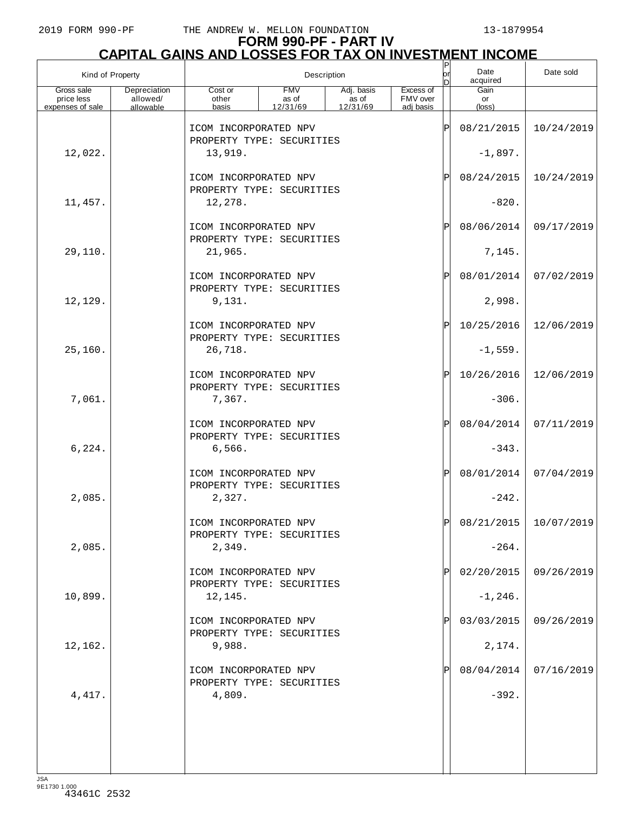# **FORM 990-PF - PART IV**

| <u>CAPITAL GAINS AND LOSSES FOR TAX ON INVESTMENT INCOME</u> |                                       |                                                    |                                 |                                               |                                    |                             |                               |            |  |  |
|--------------------------------------------------------------|---------------------------------------|----------------------------------------------------|---------------------------------|-----------------------------------------------|------------------------------------|-----------------------------|-------------------------------|------------|--|--|
| Kind of Property                                             |                                       |                                                    |                                 | Description                                   |                                    | orl<br>D                    | Date<br>acquired              | Date sold  |  |  |
| Gross sale<br>price less<br>expenses of sale                 | Depreciation<br>allowed/<br>allowable | Cost or<br>other<br>basis                          | <b>FMV</b><br>as of<br>12/31/69 | Adj. basis<br>$\overline{a}$ s of<br>12/31/69 | Excess of<br>FMV over<br>adj basis |                             | Gain<br>or<br>$(\text{loss})$ |            |  |  |
|                                                              |                                       | ICOM INCORPORATED NPV<br>PROPERTY TYPE: SECURITIES |                                 |                                               |                                    | ΙP                          | 08/21/2015                    | 10/24/2019 |  |  |
| 12,022.                                                      |                                       | 13,919.                                            |                                 |                                               |                                    |                             | $-1,897.$                     |            |  |  |
|                                                              |                                       | ICOM INCORPORATED NPV<br>PROPERTY TYPE: SECURITIES |                                 |                                               |                                    | $\mathbf{P}$                | 08/24/2015                    | 10/24/2019 |  |  |
| 11,457.                                                      |                                       | 12,278.                                            |                                 |                                               |                                    |                             | $-820.$                       |            |  |  |
|                                                              |                                       | ICOM INCORPORATED NPV<br>PROPERTY TYPE: SECURITIES |                                 |                                               |                                    | $\mathbf{P}$                | 08/06/2014                    | 09/17/2019 |  |  |
| 29,110.                                                      |                                       | 21,965.                                            |                                 |                                               |                                    |                             | 7,145.                        |            |  |  |
|                                                              |                                       | ICOM INCORPORATED NPV<br>PROPERTY TYPE: SECURITIES |                                 |                                               |                                    | ΙÞΙ                         | 08/01/2014                    | 07/02/2019 |  |  |
| 12,129.                                                      |                                       | 9,131.                                             |                                 |                                               |                                    |                             | 2,998.                        |            |  |  |
|                                                              |                                       | ICOM INCORPORATED NPV<br>PROPERTY TYPE: SECURITIES |                                 |                                               |                                    | ΙÞΙ                         | 10/25/2016                    | 12/06/2019 |  |  |
| 25,160.                                                      |                                       | 26,718.                                            |                                 |                                               |                                    |                             | $-1,559.$                     |            |  |  |
|                                                              |                                       | ICOM INCORPORATED NPV<br>PROPERTY TYPE: SECURITIES |                                 |                                               |                                    | ΙÞΙ                         | 10/26/2016                    | 12/06/2019 |  |  |
| 7,061.                                                       |                                       | 7,367.                                             |                                 |                                               |                                    |                             | $-306.$                       |            |  |  |
|                                                              |                                       | ICOM INCORPORATED NPV<br>PROPERTY TYPE: SECURITIES |                                 |                                               |                                    | $\mathsf{P}\vert$           | 08/04/2014                    | 07/11/2019 |  |  |
| 6,224.                                                       |                                       | 6,566.                                             |                                 |                                               |                                    |                             | $-343.$                       |            |  |  |
|                                                              |                                       | ICOM INCORPORATED NPV<br>PROPERTY TYPE: SECURITIES |                                 |                                               |                                    | $\mathsf{P}% _{\mathsf{P}}$ | 08/01/2014                    | 07/04/2019 |  |  |
| 2,085.                                                       |                                       | 2,327.                                             |                                 |                                               |                                    |                             | $-242.$                       |            |  |  |
|                                                              |                                       | ICOM INCORPORATED NPV<br>PROPERTY TYPE: SECURITIES |                                 |                                               |                                    | Þ                           | 08/21/2015                    | 10/07/2019 |  |  |
| 2,085.                                                       |                                       | 2,349.                                             |                                 |                                               |                                    |                             | $-264.$                       |            |  |  |
|                                                              |                                       | ICOM INCORPORATED NPV<br>PROPERTY TYPE: SECURITIES |                                 |                                               |                                    | Pl                          | 02/20/2015                    | 09/26/2019 |  |  |
| 10,899.                                                      |                                       | 12,145.                                            |                                 |                                               |                                    |                             | $-1, 246.$                    |            |  |  |
|                                                              |                                       | ICOM INCORPORATED NPV<br>PROPERTY TYPE: SECURITIES |                                 |                                               |                                    |                             | 03/03/2015                    | 09/26/2019 |  |  |
| 12,162.                                                      |                                       | 9,988.                                             |                                 |                                               |                                    |                             | 2,174.                        |            |  |  |
|                                                              |                                       | ICOM INCORPORATED NPV<br>PROPERTY TYPE: SECURITIES |                                 |                                               |                                    |                             | 08/04/2014                    | 07/16/2019 |  |  |
| 4,417.                                                       |                                       | 4,809.                                             |                                 |                                               |                                    |                             | $-392.$                       |            |  |  |
|                                                              |                                       |                                                    |                                 |                                               |                                    |                             |                               |            |  |  |
|                                                              |                                       |                                                    |                                 |                                               |                                    |                             |                               |            |  |  |
|                                                              |                                       |                                                    |                                 |                                               |                                    |                             |                               |            |  |  |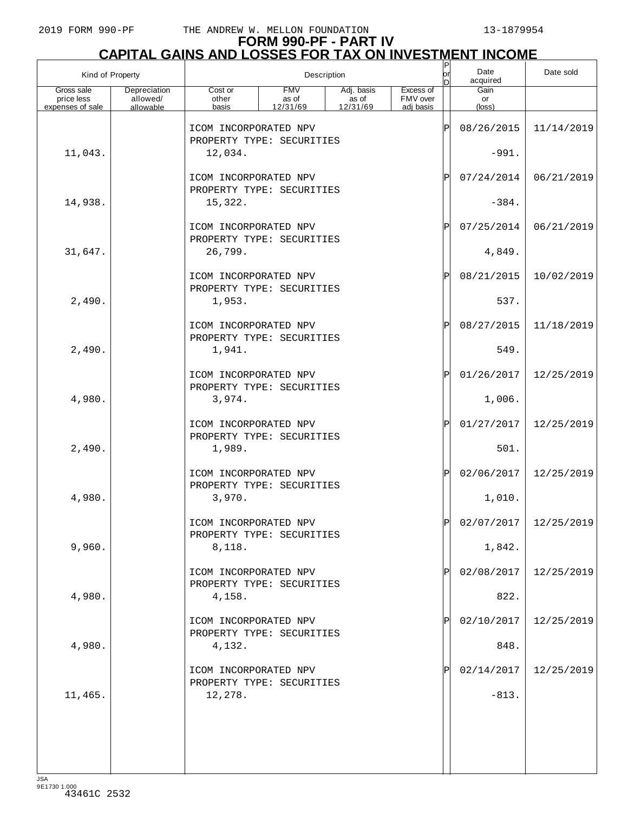# **FORM 990-PF - PART IV**

|                                              | <b>CAPITAL GAINS AND LOSSES FOR TAX ON INVESTMENT INCOME</b> |                                                    |                                 |                                               |                                    |            |                               |            |  |  |  |
|----------------------------------------------|--------------------------------------------------------------|----------------------------------------------------|---------------------------------|-----------------------------------------------|------------------------------------|------------|-------------------------------|------------|--|--|--|
| Kind of Property                             |                                                              |                                                    |                                 | Description                                   |                                    | lorl<br>In | Date<br>acquired              | Date sold  |  |  |  |
| Gross sale<br>price less<br>expenses of sale | Depreciation<br>allowed/<br>allowable                        | Cost or<br>other<br>basis                          | <b>FMV</b><br>as of<br>12/31/69 | Adj. basis<br>$\frac{1}{2}$ as of<br>12/31/69 | Excess of<br>FMV over<br>adi basis |            | Gain<br>or<br>$(\text{loss})$ |            |  |  |  |
|                                              |                                                              | ICOM INCORPORATED NPV<br>PROPERTY TYPE: SECURITIES |                                 |                                               |                                    | ΙP         | 08/26/2015                    | 11/14/2019 |  |  |  |
| 11,043.                                      |                                                              | 12,034.                                            |                                 |                                               |                                    |            | $-991.$                       |            |  |  |  |
|                                              |                                                              | ICOM INCORPORATED NPV<br>PROPERTY TYPE: SECURITIES |                                 |                                               |                                    | ΙP         | 07/24/2014                    | 06/21/2019 |  |  |  |
| 14,938.                                      |                                                              | 15,322.                                            |                                 |                                               |                                    |            | $-384.$                       |            |  |  |  |
|                                              |                                                              | ICOM INCORPORATED NPV<br>PROPERTY TYPE: SECURITIES |                                 |                                               |                                    | ΙP         | 07/25/2014                    | 06/21/2019 |  |  |  |
| 31,647.                                      |                                                              | 26,799.                                            |                                 |                                               |                                    |            | 4,849.                        |            |  |  |  |
|                                              |                                                              | ICOM INCORPORATED NPV<br>PROPERTY TYPE: SECURITIES |                                 |                                               |                                    | ΙP         | 08/21/2015                    | 10/02/2019 |  |  |  |
| 2,490.                                       |                                                              | 1,953.                                             |                                 |                                               |                                    |            | 537.                          |            |  |  |  |
| 2,490.                                       |                                                              | ICOM INCORPORATED NPV<br>PROPERTY TYPE: SECURITIES |                                 |                                               |                                    | ΙP         | 08/27/2015<br>549.            | 11/18/2019 |  |  |  |
|                                              |                                                              | 1,941.<br>ICOM INCORPORATED NPV                    |                                 |                                               |                                    | ΙP         | 01/26/2017                    | 12/25/2019 |  |  |  |
| 4,980.                                       |                                                              | PROPERTY TYPE: SECURITIES<br>3,974.                |                                 |                                               |                                    |            | 1,006.                        |            |  |  |  |
|                                              |                                                              | ICOM INCORPORATED NPV                              |                                 |                                               |                                    | ΙP         | 01/27/2017                    | 12/25/2019 |  |  |  |
| 2,490.                                       |                                                              | PROPERTY TYPE: SECURITIES<br>1,989.                |                                 |                                               |                                    |            | 501.                          |            |  |  |  |
|                                              |                                                              | ICOM INCORPORATED NPV                              |                                 |                                               |                                    | ΙP         | 02/06/2017                    | 12/25/2019 |  |  |  |
| 4,980.                                       |                                                              | PROPERTY TYPE: SECURITIES<br>3,970.                |                                 |                                               |                                    |            | 1,010.                        |            |  |  |  |
|                                              |                                                              | ICOM INCORPORATED NPV<br>PROPERTY TYPE: SECURITIES |                                 |                                               |                                    | ΙP         | 02/07/2017                    | 12/25/2019 |  |  |  |
| 9,960.                                       |                                                              | 8,118.                                             |                                 |                                               |                                    |            | 1,842.                        |            |  |  |  |
|                                              |                                                              | ICOM INCORPORATED NPV<br>PROPERTY TYPE: SECURITIES |                                 |                                               |                                    |            | 02/08/2017                    | 12/25/2019 |  |  |  |
| 4,980.                                       |                                                              | 4,158.                                             |                                 |                                               |                                    |            | 822.                          |            |  |  |  |
|                                              |                                                              | ICOM INCORPORATED NPV<br>PROPERTY TYPE: SECURITIES |                                 |                                               |                                    |            | 02/10/2017                    | 12/25/2019 |  |  |  |
| 4,980.                                       |                                                              | 4,132.                                             |                                 |                                               |                                    |            | 848.                          |            |  |  |  |
|                                              |                                                              | ICOM INCORPORATED NPV<br>PROPERTY TYPE: SECURITIES |                                 |                                               |                                    |            | 02/14/2017                    | 12/25/2019 |  |  |  |
| 11,465.                                      |                                                              | 12,278.                                            |                                 |                                               |                                    |            | $-813.$                       |            |  |  |  |
|                                              |                                                              |                                                    |                                 |                                               |                                    |            |                               |            |  |  |  |
|                                              |                                                              |                                                    |                                 |                                               |                                    |            |                               |            |  |  |  |
|                                              |                                                              |                                                    |                                 |                                               |                                    |            |                               |            |  |  |  |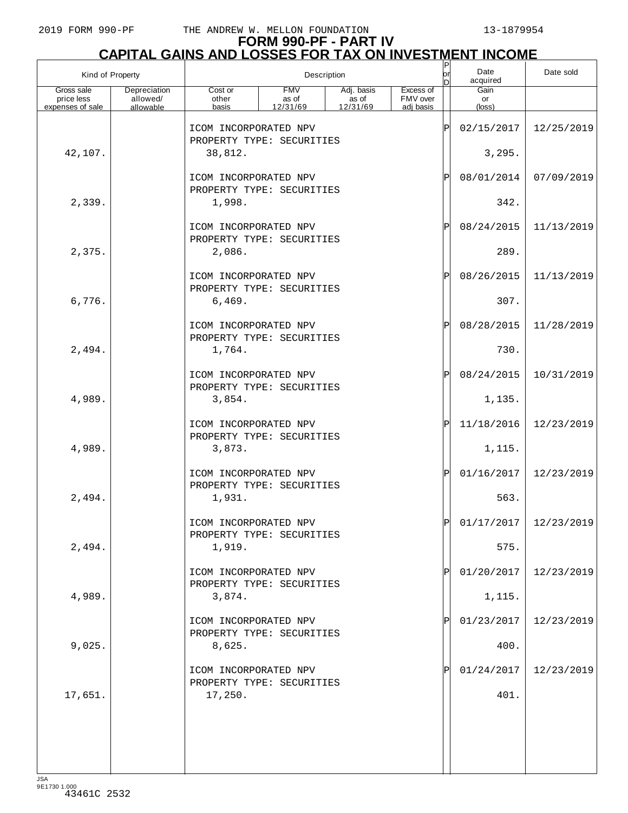# **FORM 990-PF - PART IV**

| <b>CAPITAL GAINS AND LOSSES FOR TAX ON INVESTMENT INCOME</b> |                                       |                                                              |                                 |                                               |                                    |           |                      |            |  |  |
|--------------------------------------------------------------|---------------------------------------|--------------------------------------------------------------|---------------------------------|-----------------------------------------------|------------------------------------|-----------|----------------------|------------|--|--|
| Kind of Property                                             |                                       |                                                              |                                 | Description                                   |                                    | orl<br>In | Date<br>acquired     | Date sold  |  |  |
| Gross sale<br>price less<br>expenses of sale                 | Depreciation<br>allowed/<br>allowable | Cost or<br>other<br>basis                                    | <b>FMV</b><br>as of<br>12/31/69 | Adj. basis<br>$\frac{1}{2}$ as of<br>12/31/69 | Excess of<br>FMV over<br>adj basis |           | Gain<br>or<br>(loss) |            |  |  |
|                                                              |                                       | ICOM INCORPORATED NPV<br>PROPERTY TYPE: SECURITIES           |                                 |                                               |                                    | ΙÞΙ       | 02/15/2017           | 12/25/2019 |  |  |
| 42,107.                                                      |                                       | 38,812.                                                      |                                 |                                               |                                    |           | 3,295.               |            |  |  |
|                                                              |                                       | ICOM INCORPORATED NPV<br>PROPERTY TYPE: SECURITIES           |                                 |                                               |                                    | ΙÞΙ       | 08/01/2014           | 07/09/2019 |  |  |
| 2,339.                                                       |                                       | 1,998.                                                       |                                 |                                               |                                    |           | 342.                 |            |  |  |
|                                                              |                                       | ICOM INCORPORATED NPV<br>PROPERTY TYPE: SECURITIES           |                                 |                                               |                                    | ΙÞΙ       | 08/24/2015           | 11/13/2019 |  |  |
| 2,375.                                                       |                                       | 2,086.                                                       |                                 |                                               |                                    |           | 289.                 |            |  |  |
|                                                              |                                       | ICOM INCORPORATED NPV<br>PROPERTY TYPE: SECURITIES           |                                 |                                               |                                    | ΙÞΙ       | 08/26/2015           | 11/13/2019 |  |  |
| 6,776.                                                       |                                       | 6,469.                                                       |                                 |                                               |                                    |           | 307.                 |            |  |  |
|                                                              |                                       | ICOM INCORPORATED NPV<br>PROPERTY TYPE: SECURITIES           |                                 |                                               |                                    | ΙÞΙ       | 08/28/2015           | 11/28/2019 |  |  |
| 2,494.                                                       |                                       | 1,764.                                                       |                                 |                                               |                                    | ΙÞΙ       | 730.<br>08/24/2015   | 10/31/2019 |  |  |
| 4,989.                                                       |                                       | ICOM INCORPORATED NPV<br>PROPERTY TYPE: SECURITIES<br>3,854. |                                 |                                               |                                    |           | 1,135.               |            |  |  |
|                                                              |                                       | ICOM INCORPORATED NPV                                        |                                 |                                               |                                    | ΙPΙ       | 11/18/2016           | 12/23/2019 |  |  |
| 4,989.                                                       |                                       | PROPERTY TYPE: SECURITIES<br>3,873.                          |                                 |                                               |                                    |           | 1,115.               |            |  |  |
|                                                              |                                       | ICOM INCORPORATED NPV                                        |                                 |                                               |                                    | ΙÞΙ       | 01/16/2017           | 12/23/2019 |  |  |
| 2,494.                                                       |                                       | PROPERTY TYPE: SECURITIES<br>1,931.                          |                                 |                                               |                                    |           | 563.                 |            |  |  |
|                                                              |                                       | ICOM INCORPORATED NPV                                        |                                 |                                               |                                    | ΙÞΙ       | 01/17/2017           | 12/23/2019 |  |  |
| 2,494.                                                       |                                       | PROPERTY TYPE: SECURITIES<br>1,919.                          |                                 |                                               |                                    |           | 575.                 |            |  |  |
|                                                              |                                       | ICOM INCORPORATED NPV<br>PROPERTY TYPE: SECURITIES           |                                 |                                               |                                    | ΙPΙ       | 01/20/2017           | 12/23/2019 |  |  |
| 4,989.                                                       |                                       | 3,874.                                                       |                                 |                                               |                                    |           | 1,115.               |            |  |  |
|                                                              |                                       | ICOM INCORPORATED NPV<br>PROPERTY TYPE: SECURITIES           |                                 |                                               |                                    | IPI       | 01/23/2017           | 12/23/2019 |  |  |
| 9,025.                                                       |                                       | 8,625.                                                       |                                 |                                               |                                    |           | 400.                 |            |  |  |
|                                                              |                                       | ICOM INCORPORATED NPV<br>PROPERTY TYPE: SECURITIES           |                                 |                                               |                                    | IPI       | 01/24/2017           | 12/23/2019 |  |  |
| 17,651.                                                      |                                       | 17,250.                                                      |                                 |                                               |                                    |           | 401.                 |            |  |  |
|                                                              |                                       |                                                              |                                 |                                               |                                    |           |                      |            |  |  |
|                                                              |                                       |                                                              |                                 |                                               |                                    |           |                      |            |  |  |
| <b>JSA</b>                                                   |                                       |                                                              |                                 |                                               |                                    |           |                      |            |  |  |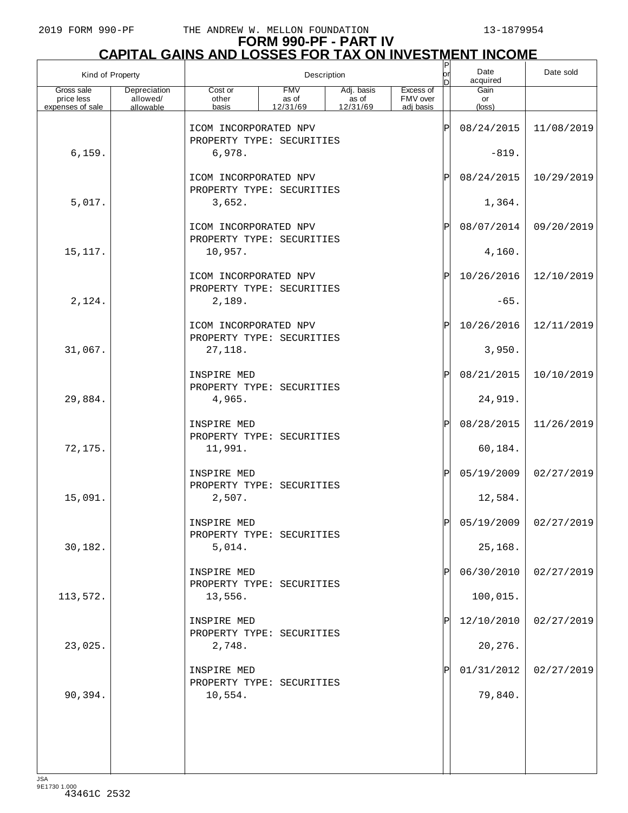# **FORM 990-PF - PART IV**

| <u>CAPITAL GAINS AND LOSSES FOR TAX ON INVESTMENT INCOME</u> |                                       |                                                    |                                 |                                               |                                    |                             |                               |            |  |  |
|--------------------------------------------------------------|---------------------------------------|----------------------------------------------------|---------------------------------|-----------------------------------------------|------------------------------------|-----------------------------|-------------------------------|------------|--|--|
| Kind of Property                                             |                                       |                                                    |                                 | Description                                   |                                    | orl<br>D                    | Date<br>acquired              | Date sold  |  |  |
| Gross sale<br>price less<br>expenses of sale                 | Depreciation<br>allowed/<br>allowable | Cost or<br>other<br>basis                          | <b>FMV</b><br>as of<br>12/31/69 | Adj. basis<br>$\frac{1}{2}$ as of<br>12/31/69 | Excess of<br>FMV over<br>adj basis |                             | Gain<br>or<br>$(\text{loss})$ |            |  |  |
|                                                              |                                       | ICOM INCORPORATED NPV<br>PROPERTY TYPE: SECURITIES |                                 |                                               |                                    | ΙP                          | 08/24/2015                    | 11/08/2019 |  |  |
| 6, 159.                                                      |                                       | 6,978.                                             |                                 |                                               |                                    |                             | $-819.$                       |            |  |  |
|                                                              |                                       | ICOM INCORPORATED NPV<br>PROPERTY TYPE: SECURITIES |                                 |                                               |                                    | $\mathbf{P}$                | 08/24/2015                    | 10/29/2019 |  |  |
| 5,017.                                                       |                                       | 3,652.                                             |                                 |                                               |                                    |                             | 1,364.                        |            |  |  |
|                                                              |                                       | ICOM INCORPORATED NPV<br>PROPERTY TYPE: SECURITIES |                                 |                                               |                                    | $\mathsf{P}% _{\mathsf{P}}$ | 08/07/2014                    | 09/20/2019 |  |  |
| 15,117.                                                      |                                       | 10,957.                                            |                                 |                                               |                                    |                             | 4,160.                        |            |  |  |
|                                                              |                                       | ICOM INCORPORATED NPV<br>PROPERTY TYPE: SECURITIES |                                 |                                               |                                    | ΙÞΙ                         | 10/26/2016                    | 12/10/2019 |  |  |
| 2,124.                                                       |                                       | 2,189.                                             |                                 |                                               |                                    |                             | $-65.$                        |            |  |  |
|                                                              |                                       | ICOM INCORPORATED NPV<br>PROPERTY TYPE: SECURITIES |                                 |                                               |                                    | ΙÞΙ                         | 10/26/2016                    | 12/11/2019 |  |  |
| 31,067.                                                      |                                       | 27, 118.                                           |                                 |                                               |                                    |                             | 3,950.                        |            |  |  |
|                                                              |                                       | INSPIRE MED<br>PROPERTY TYPE: SECURITIES           |                                 |                                               |                                    | $\mathbf{P}$                | 08/21/2015                    | 10/10/2019 |  |  |
| 29,884.                                                      |                                       | 4,965.                                             |                                 |                                               |                                    |                             | 24,919.                       |            |  |  |
|                                                              |                                       | INSPIRE MED<br>PROPERTY TYPE: SECURITIES           |                                 |                                               |                                    | $\mathbf{P}^{\mathrm{I}}$   | 08/28/2015                    | 11/26/2019 |  |  |
| 72,175.                                                      |                                       | 11,991.                                            |                                 |                                               |                                    |                             | 60,184.                       |            |  |  |
|                                                              |                                       | INSPIRE MED<br>PROPERTY TYPE: SECURITIES           |                                 |                                               |                                    | $\mathsf{P}% _{\mathsf{P}}$ | 05/19/2009                    | 02/27/2019 |  |  |
| 15,091.                                                      |                                       | 2,507.                                             |                                 |                                               |                                    |                             | 12,584.                       |            |  |  |
|                                                              |                                       | INSPIRE MED<br>PROPERTY TYPE: SECURITIES           |                                 |                                               |                                    | Þ                           | 05/19/2009                    | 02/27/2019 |  |  |
| 30,182.                                                      |                                       | 5,014.                                             |                                 |                                               |                                    |                             | 25,168.                       |            |  |  |
|                                                              |                                       | INSPIRE MED<br>PROPERTY TYPE: SECURITIES           |                                 |                                               |                                    | $\mathbf P$                 | 06/30/2010                    | 02/27/2019 |  |  |
| 113,572.                                                     |                                       | 13,556.                                            |                                 |                                               |                                    |                             | 100,015.                      |            |  |  |
|                                                              |                                       | INSPIRE MED<br>PROPERTY TYPE: SECURITIES           |                                 |                                               |                                    | P                           | 12/10/2010                    | 02/27/2019 |  |  |
| 23,025.                                                      |                                       | 2,748.                                             |                                 |                                               |                                    |                             | 20,276.                       |            |  |  |
|                                                              |                                       | INSPIRE MED<br>PROPERTY TYPE: SECURITIES           |                                 |                                               |                                    | Pl                          | 01/31/2012                    | 02/27/2019 |  |  |
| 90,394.                                                      |                                       | 10,554.                                            |                                 |                                               |                                    |                             | 79,840.                       |            |  |  |
|                                                              |                                       |                                                    |                                 |                                               |                                    |                             |                               |            |  |  |
|                                                              |                                       |                                                    |                                 |                                               |                                    |                             |                               |            |  |  |
|                                                              |                                       |                                                    |                                 |                                               |                                    |                             |                               |            |  |  |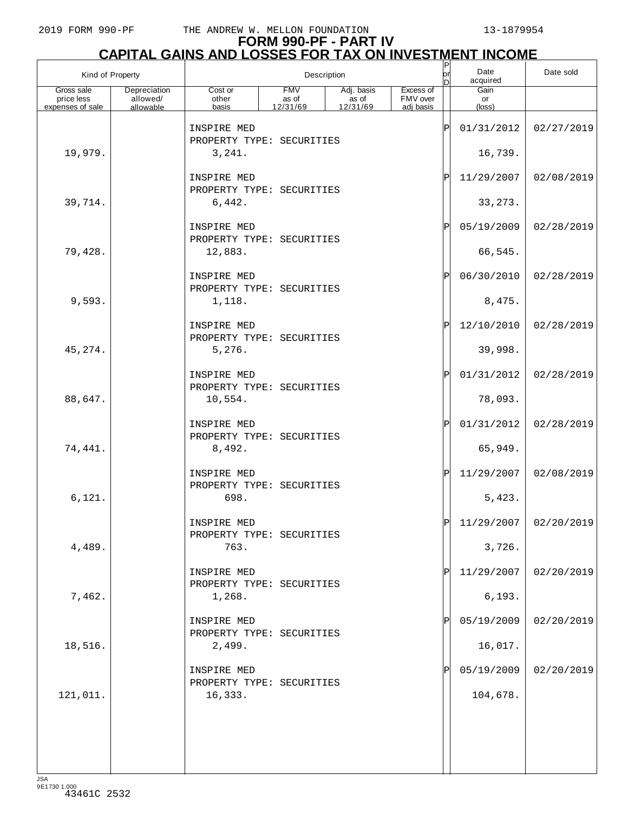# **FORM 990-PF - PART IV CAPITAL GAINS AND LOSSES FOR TAX ON INVESTMENT INCOME** P

| Kind of Property         |                          |                                          |                     | Description                       |                       | $\frac{P}{\rho r}$<br>In | Date<br>acquired | Date sold             |
|--------------------------|--------------------------|------------------------------------------|---------------------|-----------------------------------|-----------------------|--------------------------|------------------|-----------------------|
| Gross sale<br>price less | Depreciation<br>allowed/ | Cost or<br>other                         | <b>FMV</b><br>as of | Adj. basis<br>$\frac{1}{2}$ as of | Excess of<br>FMV over |                          | Gain<br>or       |                       |
| expenses of sale         | allowable                | basis                                    | 12/31/69            | 12/31/69                          | adj basis             |                          | $(\text{loss})$  |                       |
|                          |                          | INSPIRE MED<br>PROPERTY TYPE: SECURITIES |                     |                                   |                       | ΙP                       | 01/31/2012       | 02/27/2019            |
| 19,979.                  |                          | 3,241.                                   |                     |                                   |                       |                          | 16,739.          |                       |
|                          |                          | INSPIRE MED<br>PROPERTY TYPE: SECURITIES |                     |                                   |                       | ΙP                       | 11/29/2007       | 02/08/2019            |
| 39,714.                  |                          | 6,442.                                   |                     |                                   |                       |                          | 33, 273.         |                       |
|                          |                          | INSPIRE MED<br>PROPERTY TYPE: SECURITIES |                     |                                   |                       | ΙP                       | 05/19/2009       | 02/28/2019            |
| 79,428.                  |                          | 12,883.                                  |                     |                                   |                       |                          | 66,545.          |                       |
|                          |                          | INSPIRE MED<br>PROPERTY TYPE: SECURITIES |                     |                                   |                       | ΙP                       | 06/30/2010       | 02/28/2019            |
| 9,593.                   |                          | 1,118.                                   |                     |                                   |                       |                          | 8,475.           |                       |
|                          |                          | INSPIRE MED<br>PROPERTY TYPE: SECURITIES |                     |                                   |                       | ΙP                       | 12/10/2010       | 02/28/2019            |
| 45,274.                  |                          | 5,276.                                   |                     |                                   |                       |                          | 39,998.          |                       |
|                          |                          | INSPIRE MED<br>PROPERTY TYPE: SECURITIES |                     |                                   |                       | ΙP                       | 01/31/2012       | 02/28/2019            |
| 88,647.                  |                          | 10,554.                                  |                     |                                   |                       |                          | 78,093.          |                       |
|                          |                          | INSPIRE MED<br>PROPERTY TYPE: SECURITIES |                     |                                   |                       | ΙP                       | 01/31/2012       | 02/28/2019            |
| 74,441.                  |                          | 8,492.                                   |                     |                                   |                       |                          | 65,949.          |                       |
|                          |                          | INSPIRE MED<br>PROPERTY TYPE: SECURITIES |                     |                                   |                       | ΙP                       | 11/29/2007       | 02/08/2019            |
| 6,121.                   |                          | 698.                                     |                     |                                   |                       |                          | 5,423.           |                       |
|                          |                          | INSPIRE MED<br>PROPERTY TYPE: SECURITIES |                     |                                   |                       | וסו                      |                  | 11/29/2007 02/20/2019 |
| 4,489.                   |                          | 763.                                     |                     |                                   |                       |                          | 3,726.           |                       |
|                          |                          | INSPIRE MED<br>PROPERTY TYPE: SECURITIES |                     |                                   |                       | P                        | 11/29/2007       | 02/20/2019            |
| 7,462.                   |                          | 1,268.                                   |                     |                                   |                       |                          | 6, 193.          |                       |
|                          |                          | INSPIRE MED<br>PROPERTY TYPE: SECURITIES |                     |                                   |                       |                          | 05/19/2009       | 02/20/2019            |
| 18,516.                  |                          | 2,499.                                   |                     |                                   |                       |                          | 16,017.          |                       |
|                          |                          | INSPIRE MED<br>PROPERTY TYPE: SECURITIES |                     |                                   |                       |                          | 05/19/2009       | 02/20/2019            |
| 121,011.                 |                          | 16,333.                                  |                     |                                   |                       |                          | 104,678.         |                       |
|                          |                          |                                          |                     |                                   |                       |                          |                  |                       |
|                          |                          |                                          |                     |                                   |                       |                          |                  |                       |
| 10 <sub>0</sub>          |                          |                                          |                     |                                   |                       |                          |                  |                       |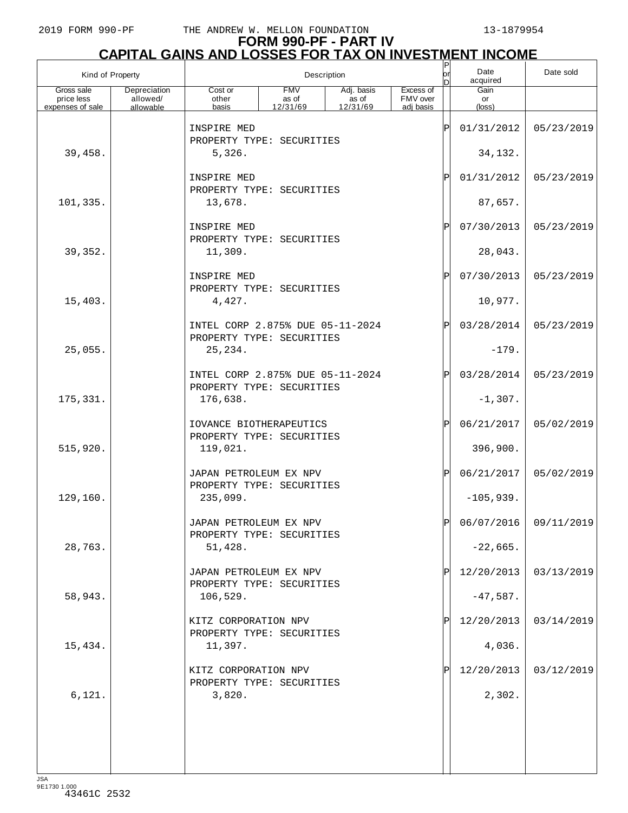# **FORM 990-PF - PART IV CAPITAL GAINS AND LOSSES FOR TAX ON INVESTMENT INCOME** P

| Kind of Property         |                          |                                                               |                     | Description         |                       | $\mathsf P$<br>or<br>In | Date<br>acquired | Date sold               |
|--------------------------|--------------------------|---------------------------------------------------------------|---------------------|---------------------|-----------------------|-------------------------|------------------|-------------------------|
| Gross sale<br>price less | Depreciation<br>allowed/ | Cost or<br>other                                              | <b>FMV</b><br>as of | Adj. basis<br>as of | Excess of<br>FMV over |                         | Gain<br>or       |                         |
| expenses of sale         | allowable                | basis                                                         | 12/31/69            | 12/31/69            | adi basis             |                         | $(\text{loss})$  |                         |
|                          |                          | INSPIRE MED<br>PROPERTY TYPE: SECURITIES                      |                     |                     |                       | ΙP                      | 01/31/2012       | 05/23/2019              |
| 39,458.                  |                          | 5,326.                                                        |                     |                     |                       |                         | 34,132.          |                         |
|                          |                          | INSPIRE MED                                                   |                     |                     |                       | ΙP                      | 01/31/2012       | 05/23/2019              |
|                          |                          | PROPERTY TYPE: SECURITIES<br>13,678.                          |                     |                     |                       |                         | 87,657.          |                         |
| 101, 335.                |                          |                                                               |                     |                     |                       |                         |                  |                         |
|                          |                          | INSPIRE MED<br>PROPERTY TYPE: SECURITIES                      |                     |                     |                       | ΙP                      | 07/30/2013       | 05/23/2019              |
| 39,352.                  |                          | 11,309.                                                       |                     |                     |                       |                         | 28,043.          |                         |
|                          |                          | INSPIRE MED                                                   |                     |                     |                       | ΙP                      | 07/30/2013       | 05/23/2019              |
| 15,403.                  |                          | PROPERTY TYPE: SECURITIES<br>4,427.                           |                     |                     |                       |                         | 10,977.          |                         |
|                          |                          |                                                               |                     |                     |                       |                         |                  |                         |
|                          |                          | INTEL CORP 2.875% DUE 05-11-2024<br>PROPERTY TYPE: SECURITIES |                     |                     |                       | ΙP                      | 03/28/2014       | 05/23/2019              |
| 25,055.                  |                          | 25, 234.                                                      |                     |                     |                       |                         | $-179.$          |                         |
|                          |                          | INTEL CORP 2.875% DUE 05-11-2024                              |                     |                     |                       | ΙP                      | 03/28/2014       | 05/23/2019              |
| 175,331.                 |                          | PROPERTY TYPE: SECURITIES<br>176,638.                         |                     |                     |                       |                         | $-1,307.$        |                         |
|                          |                          | IOVANCE BIOTHERAPEUTICS                                       |                     |                     |                       | ΙP                      | 06/21/2017       | 05/02/2019              |
|                          |                          | PROPERTY TYPE: SECURITIES                                     |                     |                     |                       |                         |                  |                         |
| 515,920.                 |                          | 119,021.                                                      |                     |                     |                       |                         | 396,900.         |                         |
|                          |                          | JAPAN PETROLEUM EX NPV<br>PROPERTY TYPE: SECURITIES           |                     |                     |                       | ΙP                      | 06/21/2017       | 05/02/2019              |
| 129,160.                 |                          | 235,099.                                                      |                     |                     |                       |                         | $-105,939.$      |                         |
|                          |                          | JAPAN PETROLEUM EX NPV                                        |                     |                     |                       | ID                      |                  | $06/07/2016$ 09/11/2019 |
| 28,763.                  |                          | PROPERTY TYPE: SECURITIES<br>51,428.                          |                     |                     |                       |                         | $-22,665.$       |                         |
|                          |                          |                                                               |                     |                     |                       |                         |                  |                         |
|                          |                          | JAPAN PETROLEUM EX NPV<br>PROPERTY TYPE: SECURITIES           |                     |                     |                       |                         | 12/20/2013       | 03/13/2019              |
| 58,943.                  |                          | 106, 529.                                                     |                     |                     |                       |                         | $-47,587.$       |                         |
|                          |                          | KITZ CORPORATION NPV                                          |                     |                     |                       |                         | 12/20/2013       | 03/14/2019              |
| 15,434.                  |                          | PROPERTY TYPE: SECURITIES<br>11,397.                          |                     |                     |                       |                         | 4,036.           |                         |
|                          |                          | KITZ CORPORATION NPV                                          |                     |                     |                       |                         | 12/20/2013       | 03/12/2019              |
| 6,121.                   |                          | PROPERTY TYPE: SECURITIES<br>3,820.                           |                     |                     |                       |                         | 2,302.           |                         |
|                          |                          |                                                               |                     |                     |                       |                         |                  |                         |
|                          |                          |                                                               |                     |                     |                       |                         |                  |                         |
|                          |                          |                                                               |                     |                     |                       |                         |                  |                         |
| 194                      |                          |                                                               |                     |                     |                       |                         |                  |                         |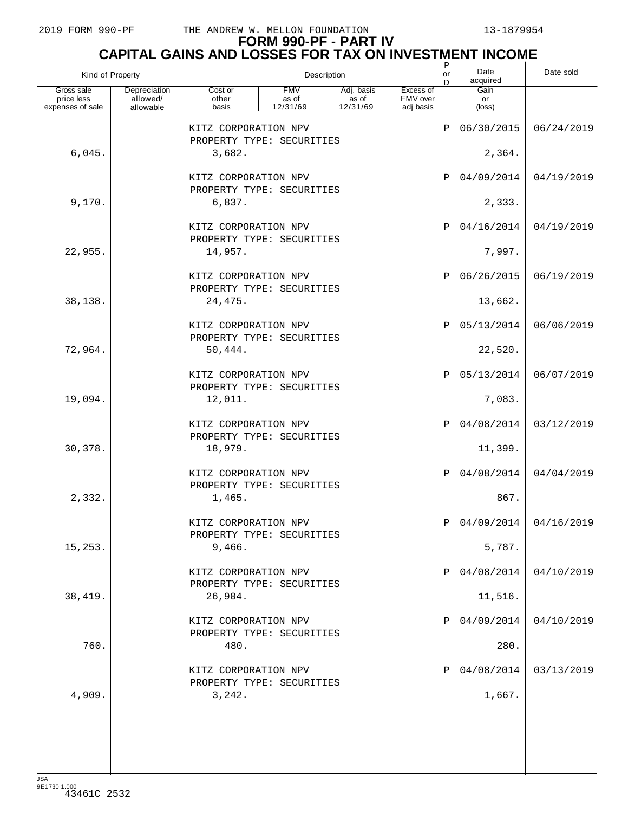# **FORM 990-PF - PART IV CAPITAL GAINS AND LOSSES FOR TAX ON INVESTMENT INCOME**

| Kind of Property                             |                                       |                                                              |                                 | Description                     |                                    | $\frac{P}{\rho r}$<br>In | Date<br>acquired              | Date sold               |
|----------------------------------------------|---------------------------------------|--------------------------------------------------------------|---------------------------------|---------------------------------|------------------------------------|--------------------------|-------------------------------|-------------------------|
| Gross sale<br>price less<br>expenses of sale | Depreciation<br>allowed/<br>allowable | Cost or<br>other<br>basis                                    | <b>FMV</b><br>as of<br>12/31/69 | Adj. basis<br>as of<br>12/31/69 | Excess of<br>FMV over<br>adj basis |                          | Gain<br>or<br>$(\text{loss})$ |                         |
|                                              |                                       | KITZ CORPORATION NPV<br>PROPERTY TYPE: SECURITIES            |                                 |                                 |                                    | ΙP                       | 06/30/2015                    | 06/24/2019              |
| 6,045.                                       |                                       |                                                              |                                 | 2,364.                          |                                    |                          |                               |                         |
|                                              |                                       | KITZ CORPORATION NPV<br>PROPERTY TYPE: SECURITIES            |                                 |                                 |                                    | P                        | 04/09/2014                    | 04/19/2019              |
| 9,170.                                       |                                       | 6,837.                                                       |                                 |                                 |                                    |                          | 2,333.                        |                         |
|                                              |                                       | KITZ CORPORATION NPV<br>PROPERTY TYPE: SECURITIES            |                                 |                                 |                                    | P                        | 04/16/2014                    | 04/19/2019              |
| 22,955.                                      |                                       | 14,957.                                                      |                                 |                                 |                                    |                          | 7,997.                        |                         |
|                                              |                                       | KITZ CORPORATION NPV<br>PROPERTY TYPE: SECURITIES            |                                 |                                 |                                    | P                        | 06/26/2015                    | 06/19/2019              |
| 38,138.                                      |                                       | 24,475.                                                      |                                 |                                 |                                    |                          | 13,662.                       |                         |
|                                              |                                       | KITZ CORPORATION NPV<br>PROPERTY TYPE: SECURITIES            |                                 |                                 |                                    | P                        | 05/13/2014                    | 06/06/2019              |
| 72,964.                                      |                                       | 50,444.                                                      |                                 |                                 |                                    |                          | 22,520.                       |                         |
| 19,094.                                      |                                       | KITZ CORPORATION NPV<br>PROPERTY TYPE: SECURITIES<br>12,011. |                                 |                                 |                                    | ΙP                       | 05/13/2014<br>7,083.          | 06/07/2019              |
|                                              |                                       | KITZ CORPORATION NPV                                         |                                 |                                 |                                    | P                        | 04/08/2014                    | 03/12/2019              |
| 30,378.                                      |                                       | PROPERTY TYPE: SECURITIES<br>18,979.                         |                                 |                                 |                                    |                          | 11,399.                       |                         |
|                                              |                                       | KITZ CORPORATION NPV<br>PROPERTY TYPE: SECURITIES            |                                 |                                 |                                    | ΙP                       | 04/08/2014                    | 04/04/2019              |
| 2,332.                                       |                                       | 1,465.                                                       |                                 |                                 |                                    |                          | 867.                          |                         |
|                                              |                                       | KITZ CORPORATION NPV<br>PROPERTY TYPE: SECURITIES            |                                 |                                 |                                    | Þ                        |                               | $04/09/2014$ 04/16/2019 |
| 15, 253.                                     |                                       | 9,466.                                                       |                                 |                                 |                                    |                          | 5,787.                        |                         |
|                                              |                                       | KITZ CORPORATION NPV<br>PROPERTY TYPE: SECURITIES            |                                 |                                 |                                    |                          | 04/08/2014                    | 04/10/2019              |
| 38,419.                                      |                                       | 26,904.                                                      |                                 |                                 |                                    |                          | 11,516.                       |                         |
|                                              |                                       | KITZ CORPORATION NPV<br>PROPERTY TYPE: SECURITIES            |                                 |                                 |                                    |                          | 04/09/2014                    | 04/10/2019              |
| 760.                                         |                                       | 480.                                                         |                                 |                                 |                                    |                          | 280.                          |                         |
|                                              |                                       | KITZ CORPORATION NPV<br>PROPERTY TYPE: SECURITIES            |                                 |                                 |                                    |                          | 04/08/2014                    | 03/13/2019              |
| 4,909.                                       |                                       | 3,242.                                                       |                                 |                                 |                                    |                          | 1,667.                        |                         |
|                                              |                                       |                                                              |                                 |                                 |                                    |                          |                               |                         |
|                                              |                                       |                                                              |                                 |                                 |                                    |                          |                               |                         |
| <b>JSA</b>                                   |                                       |                                                              |                                 |                                 |                                    |                          |                               |                         |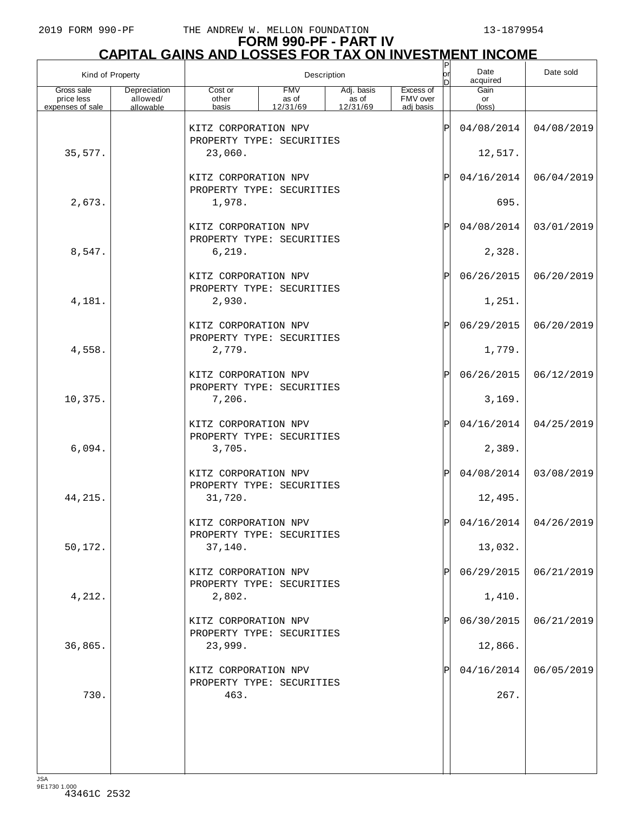# **FORM 990-PF - PART IV**

|                                              | <b>CAPITAL GAINS AND LOSSES FOR TAX ON INVESTMENT INCOME</b> |                                                             |                                 |                                           |                                    |           |                               |            |  |  |  |
|----------------------------------------------|--------------------------------------------------------------|-------------------------------------------------------------|---------------------------------|-------------------------------------------|------------------------------------|-----------|-------------------------------|------------|--|--|--|
| Kind of Property                             |                                                              |                                                             |                                 | Description                               |                                    | lor<br>In | Date<br>acquired              | Date sold  |  |  |  |
| Gross sale<br>price less<br>expenses of sale | Depreciation<br>allowed/<br>allowable                        | Cost or<br>other<br>basis                                   | <b>FMV</b><br>as of<br>12/31/69 | Adj. basis<br>as of<br>$\frac{12}{31/69}$ | Excess of<br>FMV over<br>adj basis |           | Gain<br>or<br>$(\text{loss})$ |            |  |  |  |
|                                              |                                                              | KITZ CORPORATION NPV<br>PROPERTY TYPE: SECURITIES           |                                 |                                           |                                    | ΙP        | 04/08/2014                    | 04/08/2019 |  |  |  |
| 35,577.                                      |                                                              | 23,060.                                                     |                                 |                                           |                                    |           | 12,517.                       |            |  |  |  |
|                                              |                                                              | KITZ CORPORATION NPV<br>PROPERTY TYPE: SECURITIES           |                                 |                                           |                                    | ΙP        | 04/16/2014                    | 06/04/2019 |  |  |  |
| 2,673.                                       |                                                              | 1,978.                                                      |                                 |                                           |                                    |           | 695.                          |            |  |  |  |
|                                              |                                                              | KITZ CORPORATION NPV<br>PROPERTY TYPE: SECURITIES           |                                 |                                           |                                    | ΙP        | 04/08/2014                    | 03/01/2019 |  |  |  |
| 8,547.                                       |                                                              | 6, 219.                                                     |                                 |                                           |                                    |           | 2,328.                        |            |  |  |  |
|                                              |                                                              | KITZ CORPORATION NPV<br>PROPERTY TYPE: SECURITIES           |                                 |                                           |                                    | ΙP        | 06/26/2015                    | 06/20/2019 |  |  |  |
| 4,181.                                       |                                                              | 2,930.                                                      |                                 |                                           |                                    |           | 1,251.                        |            |  |  |  |
|                                              |                                                              | KITZ CORPORATION NPV<br>PROPERTY TYPE: SECURITIES           |                                 |                                           |                                    | ΙP        | 06/29/2015                    | 06/20/2019 |  |  |  |
| 4,558.                                       |                                                              | 2,779.                                                      |                                 |                                           |                                    |           | 1,779.                        |            |  |  |  |
| 10,375.                                      |                                                              | KITZ CORPORATION NPV<br>PROPERTY TYPE: SECURITIES<br>7,206. |                                 |                                           |                                    | ΙP        | 06/26/2015<br>3,169.          | 06/12/2019 |  |  |  |
|                                              |                                                              | KITZ CORPORATION NPV                                        |                                 |                                           |                                    | ΙP        | 04/16/2014                    | 04/25/2019 |  |  |  |
| 6,094.                                       |                                                              | PROPERTY TYPE: SECURITIES<br>3,705.                         |                                 |                                           |                                    |           | 2,389.                        |            |  |  |  |
|                                              |                                                              | KITZ CORPORATION NPV                                        |                                 |                                           |                                    | ΙP        | 04/08/2014                    | 03/08/2019 |  |  |  |
| 44, 215.                                     |                                                              | PROPERTY TYPE: SECURITIES<br>31,720.                        |                                 |                                           |                                    |           | 12,495.                       |            |  |  |  |
|                                              |                                                              | KITZ CORPORATION NPV                                        |                                 |                                           |                                    | ΙP        | 04/16/2014                    | 04/26/2019 |  |  |  |
| 50,172.                                      |                                                              | PROPERTY TYPE: SECURITIES<br>37,140.                        |                                 |                                           |                                    |           | 13,032.                       |            |  |  |  |
|                                              |                                                              | KITZ CORPORATION NPV<br>PROPERTY TYPE: SECURITIES           |                                 |                                           |                                    |           | 06/29/2015                    | 06/21/2019 |  |  |  |
| 4,212.                                       |                                                              | 2,802.                                                      |                                 |                                           |                                    |           | 1,410.                        |            |  |  |  |
|                                              |                                                              | KITZ CORPORATION NPV<br>PROPERTY TYPE: SECURITIES           |                                 |                                           |                                    |           | 06/30/2015                    | 06/21/2019 |  |  |  |
| 36,865.                                      |                                                              | 23,999.                                                     |                                 |                                           |                                    |           | 12,866.                       |            |  |  |  |
|                                              |                                                              | KITZ CORPORATION NPV<br>PROPERTY TYPE: SECURITIES           |                                 |                                           |                                    |           | 04/16/2014                    | 06/05/2019 |  |  |  |
| 730.                                         |                                                              | 463.                                                        |                                 |                                           |                                    |           | 267.                          |            |  |  |  |
|                                              |                                                              |                                                             |                                 |                                           |                                    |           |                               |            |  |  |  |
|                                              |                                                              |                                                             |                                 |                                           |                                    |           |                               |            |  |  |  |
|                                              |                                                              |                                                             |                                 |                                           |                                    |           |                               |            |  |  |  |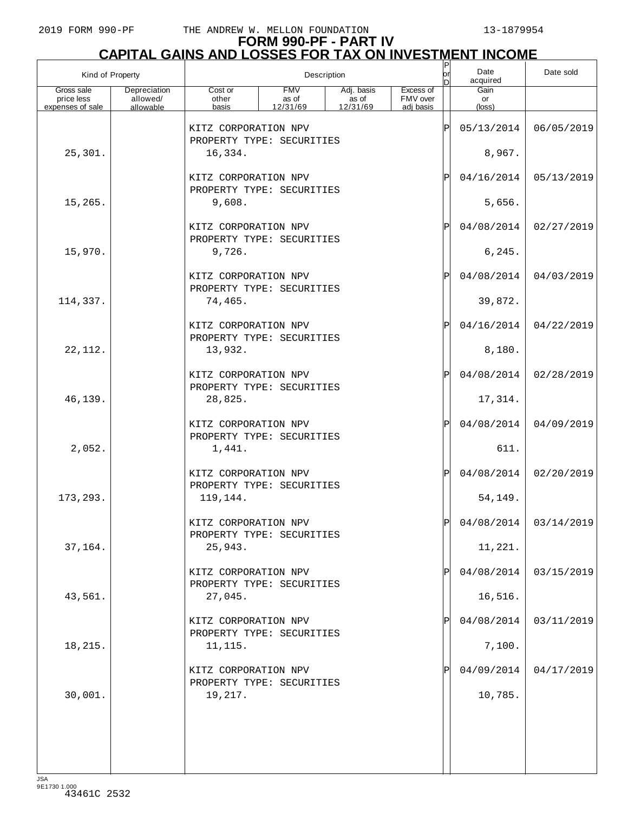# **FORM 990-PF - PART IV CAPITAL GAINS AND LOSSES FOR TAX ON INVESTMENT INCOME**

| Kind of Property         |                          | $ \mathsf{P} $<br>Date<br>lorl<br>Description<br>acquired<br>n |                     |                     |                       |     |                      | Date sold               |
|--------------------------|--------------------------|----------------------------------------------------------------|---------------------|---------------------|-----------------------|-----|----------------------|-------------------------|
| Gross sale<br>price less | Depreciation<br>allowed/ | Cost or<br>other                                               | <b>FMV</b><br>as of | Adj. basis<br>as of | Excess of<br>FMV over |     | Gain<br>or           |                         |
| expenses of sale         | allowable                | basis                                                          | 12/31/69            | 12/31/69            | adj basis             |     | (loss)               |                         |
|                          |                          | KITZ CORPORATION NPV<br>PROPERTY TYPE: SECURITIES              |                     |                     |                       | ΙP  | 05/13/2014           | 06/05/2019              |
| 25,301.                  |                          | 16,334.                                                        |                     |                     |                       |     | 8,967.               |                         |
|                          |                          | KITZ CORPORATION NPV<br>PROPERTY TYPE: SECURITIES              |                     |                     |                       | ΙPΙ | 04/16/2014           | 05/13/2019              |
| 15,265.                  |                          | 9,608.                                                         |                     |                     |                       |     | 5,656.               |                         |
|                          |                          | KITZ CORPORATION NPV<br>PROPERTY TYPE: SECURITIES              |                     |                     |                       | ΙPΙ | 04/08/2014           | 02/27/2019              |
| 15,970.                  |                          | 9,726.                                                         |                     |                     |                       |     | 6, 245.              |                         |
|                          |                          | KITZ CORPORATION NPV<br>PROPERTY TYPE: SECURITIES              |                     |                     |                       | ΙPΙ | 04/08/2014           | 04/03/2019              |
| 114,337.                 |                          | 74,465.                                                        |                     |                     |                       |     | 39,872.              |                         |
|                          |                          | KITZ CORPORATION NPV<br>PROPERTY TYPE: SECURITIES              |                     |                     |                       | ΙPΙ | 04/16/2014           | 04/22/2019              |
| 22, 112.                 |                          | 13,932.<br>KITZ CORPORATION NPV                                |                     |                     |                       | ΙPΙ | 8,180.<br>04/08/2014 | 02/28/2019              |
| 46,139.                  |                          | PROPERTY TYPE: SECURITIES<br>28,825.                           |                     |                     |                       |     | 17,314.              |                         |
|                          |                          | KITZ CORPORATION NPV                                           |                     |                     |                       | ΙPΙ | 04/08/2014           | 04/09/2019              |
| 2,052.                   |                          | PROPERTY TYPE: SECURITIES<br>1,441.                            |                     |                     |                       |     | 611.                 |                         |
|                          |                          | KITZ CORPORATION NPV<br>PROPERTY TYPE: SECURITIES              |                     |                     |                       | ΙPΙ | 04/08/2014           | 02/20/2019              |
| 173, 293.                |                          | 119,144.                                                       |                     |                     |                       |     | 54,149.              |                         |
|                          |                          | KITZ CORPORATION NPV<br>PROPERTY TYPE: SECURITIES              |                     |                     |                       |     |                      | $04/08/2014$ 03/14/2019 |
| 37,164.                  |                          | 25,943.                                                        |                     |                     |                       |     | 11,221.              |                         |
|                          |                          | KITZ CORPORATION NPV<br>PROPERTY TYPE: SECURITIES              |                     |                     |                       | P   | 04/08/2014           | 03/15/2019              |
| 43,561.                  |                          | 27,045.                                                        |                     |                     |                       |     | 16,516.              |                         |
|                          |                          | KITZ CORPORATION NPV<br>PROPERTY TYPE: SECURITIES              |                     |                     |                       | ΙPΙ | 04/08/2014           | 03/11/2019              |
| 18,215.                  |                          | 11,115.                                                        |                     |                     |                       |     | 7,100.               |                         |
|                          |                          | KITZ CORPORATION NPV<br>PROPERTY TYPE: SECURITIES              |                     |                     |                       |     | 04/09/2014           | 04/17/2019              |
| 30,001.                  |                          | 19,217.                                                        |                     |                     |                       |     | 10,785.              |                         |
|                          |                          |                                                                |                     |                     |                       |     |                      |                         |
|                          |                          |                                                                |                     |                     |                       |     |                      |                         |
| 194                      |                          |                                                                |                     |                     |                       |     |                      |                         |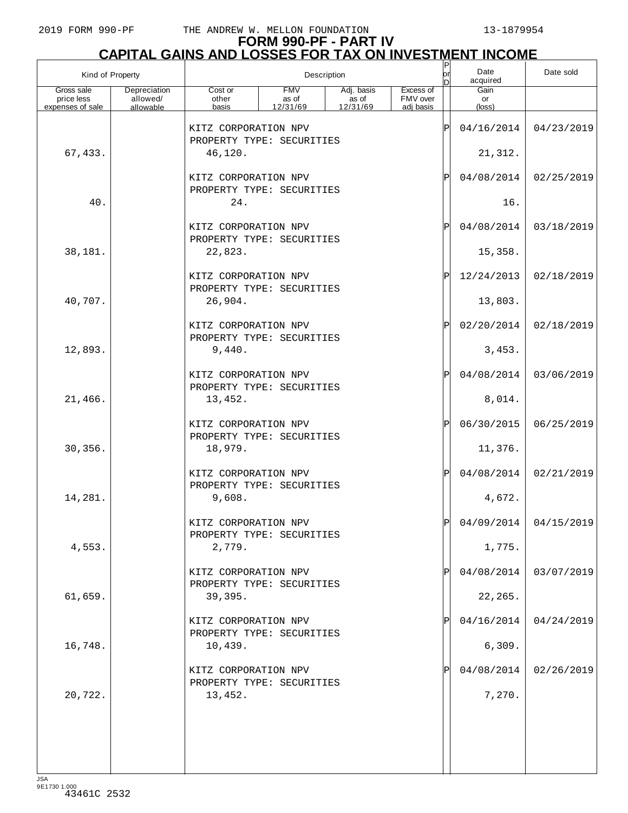# **FORM 990-PF - PART IV**

|                                              | <b>CAPITAL GAINS AND LOSSES FOR TAX ON INVESTMENT INCOME</b> |                                                   |                                 |                                               |                                    |           |                               |            |  |  |
|----------------------------------------------|--------------------------------------------------------------|---------------------------------------------------|---------------------------------|-----------------------------------------------|------------------------------------|-----------|-------------------------------|------------|--|--|
| Kind of Property                             |                                                              |                                                   |                                 | Description                                   |                                    | lor<br>In | Date<br>acquired              | Date sold  |  |  |
| Gross sale<br>price less<br>expenses of sale | Depreciation<br>allowed/<br>allowable                        | Cost or<br>other<br>basis                         | <b>FMV</b><br>as of<br>12/31/69 | Adj. basis<br>$\frac{1}{2}$ as of<br>12/31/69 | Excess of<br>FMV over<br>adi basis |           | Gain<br>or<br>$(\text{loss})$ |            |  |  |
|                                              |                                                              | KITZ CORPORATION NPV<br>PROPERTY TYPE: SECURITIES |                                 |                                               |                                    | ΙP        | 04/16/2014                    | 04/23/2019 |  |  |
| 67,433.                                      |                                                              | 46,120.                                           |                                 |                                               |                                    |           | 21,312.                       |            |  |  |
|                                              |                                                              | KITZ CORPORATION NPV<br>PROPERTY TYPE: SECURITIES |                                 |                                               |                                    | ΙP        | 04/08/2014                    | 02/25/2019 |  |  |
| 40.                                          |                                                              | 24.                                               |                                 |                                               |                                    |           | 16.                           |            |  |  |
|                                              |                                                              | KITZ CORPORATION NPV<br>PROPERTY TYPE: SECURITIES |                                 |                                               |                                    | ΙP        | 04/08/2014                    | 03/18/2019 |  |  |
| 38,181.                                      |                                                              | 22,823.                                           |                                 |                                               |                                    |           | 15,358.                       |            |  |  |
|                                              |                                                              | KITZ CORPORATION NPV<br>PROPERTY TYPE: SECURITIES |                                 |                                               |                                    | ΙP        | 12/24/2013                    | 02/18/2019 |  |  |
| 40,707.                                      |                                                              | 26,904.                                           |                                 |                                               |                                    |           | 13,803.                       |            |  |  |
|                                              |                                                              | KITZ CORPORATION NPV<br>PROPERTY TYPE: SECURITIES |                                 |                                               |                                    | ΙP        | 02/20/2014                    | 02/18/2019 |  |  |
| 12,893.                                      |                                                              | 9,440.<br>KITZ CORPORATION NPV                    |                                 |                                               |                                    | ΙP        | 3,453.<br>04/08/2014          | 03/06/2019 |  |  |
| 21,466.                                      |                                                              | PROPERTY TYPE: SECURITIES<br>13,452.              |                                 |                                               |                                    |           | 8,014.                        |            |  |  |
|                                              |                                                              | KITZ CORPORATION NPV                              |                                 |                                               |                                    | ΙP        | 06/30/2015                    | 06/25/2019 |  |  |
| 30,356.                                      |                                                              | PROPERTY TYPE: SECURITIES<br>18,979.              |                                 |                                               |                                    |           | 11,376.                       |            |  |  |
|                                              |                                                              | KITZ CORPORATION NPV<br>PROPERTY TYPE: SECURITIES |                                 |                                               |                                    | ΙP        | 04/08/2014                    | 02/21/2019 |  |  |
| 14,281.                                      |                                                              | 9,608.                                            |                                 |                                               |                                    |           | 4,672.                        |            |  |  |
|                                              |                                                              | KITZ CORPORATION NPV<br>PROPERTY TYPE: SECURITIES |                                 |                                               |                                    | ΙP        | 04/09/2014                    | 04/15/2019 |  |  |
| 4,553.                                       |                                                              | 2,779.                                            |                                 |                                               |                                    |           | 1,775.                        |            |  |  |
|                                              |                                                              | KITZ CORPORATION NPV<br>PROPERTY TYPE: SECURITIES |                                 |                                               |                                    |           | 04/08/2014                    | 03/07/2019 |  |  |
| 61,659.                                      |                                                              | 39,395.                                           |                                 |                                               |                                    |           | 22,265.                       |            |  |  |
|                                              |                                                              | KITZ CORPORATION NPV<br>PROPERTY TYPE: SECURITIES |                                 |                                               |                                    |           | 04/16/2014                    | 04/24/2019 |  |  |
| 16,748.                                      |                                                              | 10,439.                                           |                                 |                                               |                                    |           | 6,309.                        |            |  |  |
| 20,722.                                      |                                                              | KITZ CORPORATION NPV<br>PROPERTY TYPE: SECURITIES |                                 |                                               |                                    |           | 04/08/2014                    | 02/26/2019 |  |  |
|                                              |                                                              | 13,452.                                           |                                 |                                               |                                    |           | 7,270.                        |            |  |  |
|                                              |                                                              |                                                   |                                 |                                               |                                    |           |                               |            |  |  |
|                                              |                                                              |                                                   |                                 |                                               |                                    |           |                               |            |  |  |
| $I \subseteq \Delta$                         |                                                              |                                                   |                                 |                                               |                                    |           |                               |            |  |  |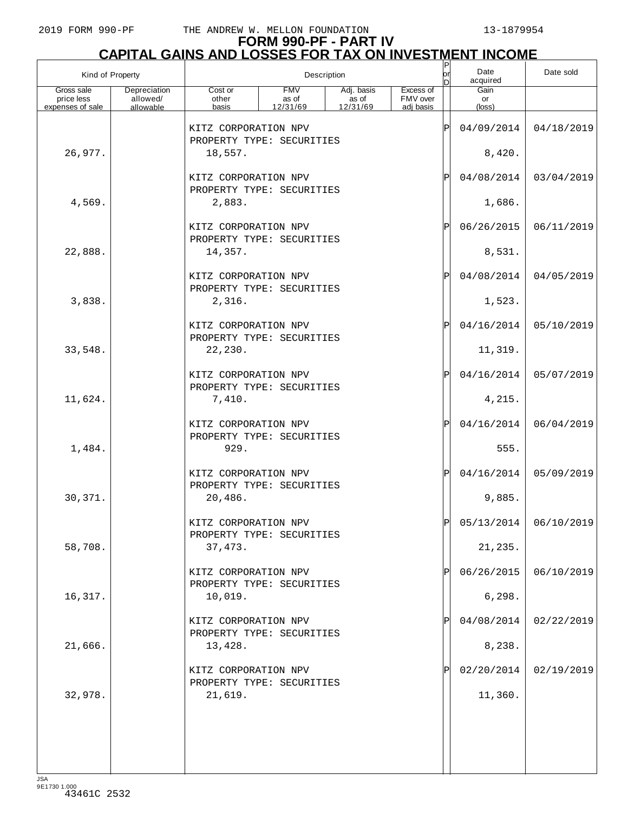# **FORM 990-PF - PART IV CAPITAL GAINS AND LOSSES FOR TAX ON INVESTMENT INCOME**

| Kind of Property         |                          |                                                   | P<br>Date<br>lorl<br>Description<br>acquired<br>D |                     |                       |              |                       | Date sold               |
|--------------------------|--------------------------|---------------------------------------------------|---------------------------------------------------|---------------------|-----------------------|--------------|-----------------------|-------------------------|
| Gross sale<br>price less | Depreciation<br>allowed/ | Cost or<br>other                                  | <b>FMV</b><br>as of                               | Adj. basis<br>as of | Excess of<br>FMV over |              | Gain<br>or            |                         |
| expenses of sale         | allowable                | basis                                             | 12/31/69                                          | 12/31/69            | adj basis             |              | (loss)                |                         |
|                          |                          | KITZ CORPORATION NPV<br>PROPERTY TYPE: SECURITIES |                                                   |                     |                       | ΙP           | 04/09/2014            | 04/18/2019              |
| 26,977.                  |                          | 18,557.                                           |                                                   |                     |                       |              | 8,420.                |                         |
|                          |                          | KITZ CORPORATION NPV<br>PROPERTY TYPE: SECURITIES |                                                   |                     |                       | $\mathbf{P}$ | 04/08/2014            | 03/04/2019              |
| 4,569.                   |                          | 2,883.                                            |                                                   |                     |                       |              | 1,686.                |                         |
|                          |                          | KITZ CORPORATION NPV<br>PROPERTY TYPE: SECURITIES |                                                   |                     |                       | $\mathbf{P}$ | 06/26/2015            | 06/11/2019              |
| 22,888.                  |                          | 14,357.                                           |                                                   |                     |                       |              | 8,531.                |                         |
|                          |                          | KITZ CORPORATION NPV<br>PROPERTY TYPE: SECURITIES |                                                   |                     |                       | $\mathbf{P}$ | 04/08/2014            | 04/05/2019              |
| 3,838.                   |                          | 2,316.                                            |                                                   |                     |                       |              | 1,523.                |                         |
|                          |                          | KITZ CORPORATION NPV<br>PROPERTY TYPE: SECURITIES |                                                   |                     |                       | $\mathbf{P}$ | 04/16/2014            | 05/10/2019              |
| 33,548.                  |                          | 22,230.                                           |                                                   |                     |                       |              | 11,319.               |                         |
|                          |                          | KITZ CORPORATION NPV<br>PROPERTY TYPE: SECURITIES |                                                   |                     |                       | $\mathbf{P}$ | 04/16/2014            | 05/07/2019              |
| 11,624.                  |                          | 7,410.                                            |                                                   |                     |                       |              | 4,215.                |                         |
|                          |                          | KITZ CORPORATION NPV<br>PROPERTY TYPE: SECURITIES |                                                   |                     |                       | $\mathbf{P}$ | 04/16/2014            | 06/04/2019              |
| 1,484.                   |                          | 929.                                              |                                                   |                     |                       |              | 555.                  |                         |
|                          |                          | KITZ CORPORATION NPV<br>PROPERTY TYPE: SECURITIES |                                                   |                     |                       | $\mathbf P$  | 04/16/2014            | 05/09/2019              |
| 30,371.                  |                          | 20,486.                                           |                                                   |                     |                       |              | 9,885.                |                         |
|                          |                          | KITZ CORPORATION NPV<br>PROPERTY TYPE: SECURITIES |                                                   |                     |                       |              |                       | $05/13/2014$ 06/10/2019 |
| 58,708.                  |                          | 37, 473.<br>KITZ CORPORATION NPV                  |                                                   |                     |                       |              | 21,235.<br>06/26/2015 | 06/10/2019              |
| 16,317.                  |                          | PROPERTY TYPE: SECURITIES<br>10,019.              |                                                   |                     |                       |              | 6,298.                |                         |
|                          |                          | KITZ CORPORATION NPV                              |                                                   |                     |                       |              | 04/08/2014            | 02/22/2019              |
| 21,666.                  |                          | PROPERTY TYPE: SECURITIES<br>13,428.              |                                                   |                     |                       |              | 8,238.                |                         |
|                          |                          | KITZ CORPORATION NPV                              |                                                   |                     |                       |              | 02/20/2014            | 02/19/2019              |
| 32,978.                  |                          | PROPERTY TYPE: SECURITIES<br>21,619.              |                                                   |                     |                       |              | 11,360.               |                         |
|                          |                          |                                                   |                                                   |                     |                       |              |                       |                         |
|                          |                          |                                                   |                                                   |                     |                       |              |                       |                         |
|                          |                          |                                                   |                                                   |                     |                       |              |                       |                         |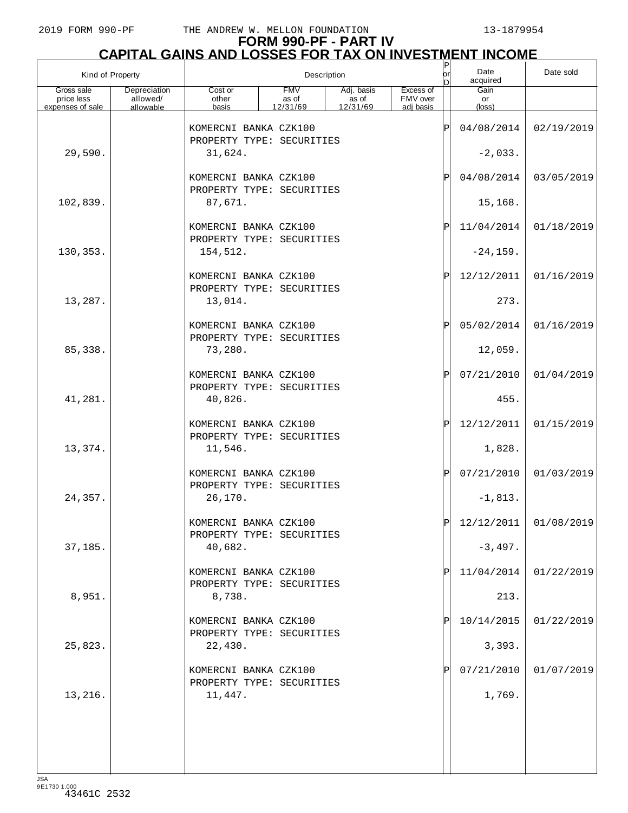# **FORM 990-PF - PART IV CAPITAL GAINS AND LOSSES FOR TAX ON INVESTMENT INCOME**

| Kind of Property         |                          | Description                                                   |                     |                     |                       |     | Date<br>acquired      | Date sold             |
|--------------------------|--------------------------|---------------------------------------------------------------|---------------------|---------------------|-----------------------|-----|-----------------------|-----------------------|
| Gross sale<br>price less | Depreciation<br>allowed/ | Cost or<br>other                                              | <b>FMV</b><br>as of | Adj. basis<br>as of | Excess of<br>FMV over |     | Gain<br>or            |                       |
| expenses of sale         | allowable                | basis                                                         | 12/31/69            | 12/31/69            | adi basis             |     | $(\text{loss})$       |                       |
|                          |                          | KOMERCNI BANKA CZK100<br>PROPERTY TYPE: SECURITIES            |                     |                     |                       | ΙPΙ | 04/08/2014            | 02/19/2019            |
| 29,590.                  |                          | 31,624.                                                       |                     |                     |                       |     | $-2,033.$             |                       |
|                          |                          | KOMERCNI BANKA CZK100<br>PROPERTY TYPE: SECURITIES            |                     |                     |                       | ΙPΙ | 04/08/2014            | 03/05/2019            |
| 102,839.                 |                          | 87,671.                                                       |                     |                     |                       |     | 15,168.               |                       |
|                          |                          | KOMERCNI BANKA CZK100<br>PROPERTY TYPE: SECURITIES            |                     |                     |                       | ΙPΙ | 11/04/2014            | 01/18/2019            |
| 130,353.                 |                          | 154,512.                                                      |                     |                     |                       |     | $-24, 159.$           |                       |
|                          |                          | KOMERCNI BANKA CZK100<br>PROPERTY TYPE: SECURITIES            |                     |                     |                       | ΙPΙ | 12/12/2011            | 01/16/2019            |
| 13,287.                  |                          | 13,014.                                                       |                     |                     |                       |     | 273.                  |                       |
| 85,338.                  |                          | KOMERCNI BANKA CZK100<br>PROPERTY TYPE: SECURITIES<br>73,280. |                     |                     |                       | ΙPΙ | 05/02/2014<br>12,059. | 01/16/2019            |
|                          |                          | KOMERCNI BANKA CZK100                                         |                     |                     |                       | ΙPΙ | 07/21/2010            | 01/04/2019            |
| 41,281.                  |                          | PROPERTY TYPE: SECURITIES<br>40,826.                          |                     |                     |                       |     | 455.                  |                       |
|                          |                          | KOMERCNI BANKA CZK100                                         |                     |                     |                       | ΙPΙ | 12/12/2011            | 01/15/2019            |
| 13,374.                  |                          | PROPERTY TYPE: SECURITIES<br>11,546.                          |                     |                     |                       |     | 1,828.                |                       |
|                          |                          | KOMERCNI BANKA CZK100<br>PROPERTY TYPE: SECURITIES            |                     |                     |                       | ΙPΙ | 07/21/2010            | 01/03/2019            |
| 24,357.                  |                          | 26,170.                                                       |                     |                     |                       |     | $-1,813.$             |                       |
|                          |                          | KOMERCNI BANKA CZK100<br>PROPERTY TYPE: SECURITIES            |                     |                     |                       | D   |                       | 12/12/2011 01/08/2019 |
| 37,185.                  |                          | 40,682.                                                       |                     |                     |                       |     | $-3,497.$             |                       |
|                          |                          | KOMERCNI BANKA CZK100<br>PROPERTY TYPE: SECURITIES            |                     |                     |                       | ΙPΙ | 11/04/2014            | 01/22/2019            |
| 8,951.                   |                          | 8,738.                                                        |                     |                     |                       |     | 213.                  |                       |
| 25,823.                  |                          | KOMERCNI BANKA CZK100<br>PROPERTY TYPE: SECURITIES<br>22,430. |                     |                     |                       |     | 10/14/2015<br>3,393.  | 01/22/2019            |
|                          |                          |                                                               |                     |                     |                       |     |                       |                       |
| 13,216.                  |                          | KOMERCNI BANKA CZK100<br>PROPERTY TYPE: SECURITIES<br>11,447. |                     |                     |                       | ΙPΙ | 07/21/2010<br>1,769.  | 01/07/2019            |
|                          |                          |                                                               |                     |                     |                       |     |                       |                       |
|                          |                          |                                                               |                     |                     |                       |     |                       |                       |
|                          |                          |                                                               |                     |                     |                       |     |                       |                       |
|                          |                          |                                                               |                     |                     |                       |     |                       |                       |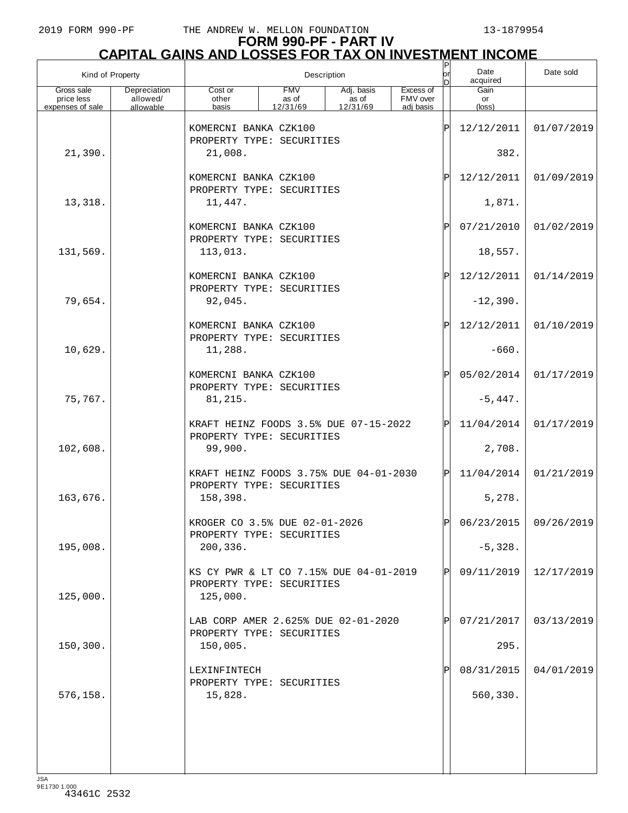# **FORM 990-PF - PART IV CAPITAL GAINS AND LOSSES FOR TAX ON INVESTMENT INCOME**

| Kind of Property                             |                                       | Description                                                                     |                                 |                                 |                                    |                   | Date<br>acquired     | Date sold               |
|----------------------------------------------|---------------------------------------|---------------------------------------------------------------------------------|---------------------------------|---------------------------------|------------------------------------|-------------------|----------------------|-------------------------|
| Gross sale<br>price less<br>expenses of sale | Depreciation<br>allowed/<br>allowable | Cost or<br>other<br>basis                                                       | <b>FMV</b><br>as of<br>12/31/69 | Adj. basis<br>as of<br>12/31/69 | Excess of<br>FMV over<br>adj basis |                   | Gain<br>or<br>(loss) |                         |
|                                              |                                       | KOMERCNI BANKA CZK100<br>PROPERTY TYPE: SECURITIES                              |                                 |                                 |                                    | P                 | 12/12/2011           | 01/07/2019              |
| 21,390.                                      |                                       | 21,008.                                                                         |                                 |                                 |                                    |                   | 382.                 |                         |
|                                              |                                       | KOMERCNI BANKA CZK100<br>PROPERTY TYPE: SECURITIES                              |                                 |                                 |                                    | ΙÞΙ               | 12/12/2011           | 01/09/2019              |
| 13,318.                                      |                                       | 11,447.                                                                         |                                 |                                 |                                    |                   | 1,871.               |                         |
|                                              |                                       | KOMERCNI BANKA CZK100<br>PROPERTY TYPE: SECURITIES                              |                                 |                                 |                                    | ΙÞΙ               | 07/21/2010           | 01/02/2019              |
| 131,569.                                     |                                       | 113,013.                                                                        |                                 |                                 |                                    |                   | 18,557.              |                         |
|                                              |                                       | KOMERCNI BANKA CZK100<br>PROPERTY TYPE: SECURITIES                              |                                 |                                 |                                    | $\mathsf{P}\vert$ | 12/12/2011           | 01/14/2019              |
| 79,654.                                      |                                       | 92,045.                                                                         |                                 |                                 |                                    |                   | $-12,390.$           |                         |
|                                              |                                       | KOMERCNI BANKA CZK100<br>PROPERTY TYPE: SECURITIES                              |                                 |                                 |                                    | ΙÞΙ               | 12/12/2011           | 01/10/2019              |
| 10,629.                                      |                                       | 11,288.                                                                         |                                 |                                 |                                    |                   | $-660.$              |                         |
|                                              |                                       | KOMERCNI BANKA CZK100<br>PROPERTY TYPE: SECURITIES                              |                                 |                                 |                                    | ΙÞΙ               | 05/02/2014           | 01/17/2019              |
| 75,767.                                      |                                       | 81,215.                                                                         |                                 |                                 |                                    |                   | $-5,447.$            |                         |
|                                              |                                       | KRAFT HEINZ FOODS 3.5% DUE 07-15-2022<br>PROPERTY TYPE: SECURITIES              |                                 |                                 |                                    | ΙPΙ               | 11/04/2014           | 01/17/2019              |
| 102,608.                                     |                                       | 99,900.                                                                         |                                 |                                 |                                    |                   | 2,708.               |                         |
|                                              |                                       | KRAFT HEINZ FOODS 3.75% DUE 04-01-2030<br>PROPERTY TYPE: SECURITIES             |                                 |                                 |                                    | ΙÞΙ               | 11/04/2014           | 01/21/2019              |
| 163,676.                                     |                                       | 158,398.                                                                        |                                 |                                 |                                    |                   | 5,278.               |                         |
|                                              |                                       | KROGER CO 3.5% DUE 02-01-2026<br>PROPERTY TYPE: SECURITIES                      |                                 |                                 |                                    | Þl                |                      | $06/23/2015$ 09/26/2019 |
| 195,008.                                     |                                       | 200,336.                                                                        |                                 |                                 |                                    |                   | $-5,328.$            |                         |
| 125,000.                                     |                                       | KS CY PWR & LT CO 7.15% DUE 04-01-2019<br>PROPERTY TYPE: SECURITIES<br>125,000. |                                 |                                 |                                    | ΙPΙ               | 09/11/2019           | 12/17/2019              |
|                                              |                                       | LAB CORP AMER 2.625% DUE 02-01-2020<br>PROPERTY TYPE: SECURITIES                |                                 |                                 |                                    | $\mathbf{P}$      | 07/21/2017           | 03/13/2019              |
| 150,300.                                     |                                       | 150,005.                                                                        |                                 |                                 |                                    |                   | 295.                 |                         |
|                                              |                                       | LEXINFINTECH<br>PROPERTY TYPE: SECURITIES                                       |                                 |                                 |                                    | P                 | 08/31/2015           | 04/01/2019              |
| 576,158.                                     |                                       | 15,828.                                                                         |                                 |                                 |                                    |                   | 560,330.             |                         |
|                                              |                                       |                                                                                 |                                 |                                 |                                    |                   |                      |                         |
|                                              |                                       |                                                                                 |                                 |                                 |                                    |                   |                      |                         |
| 194                                          |                                       |                                                                                 |                                 |                                 |                                    |                   |                      |                         |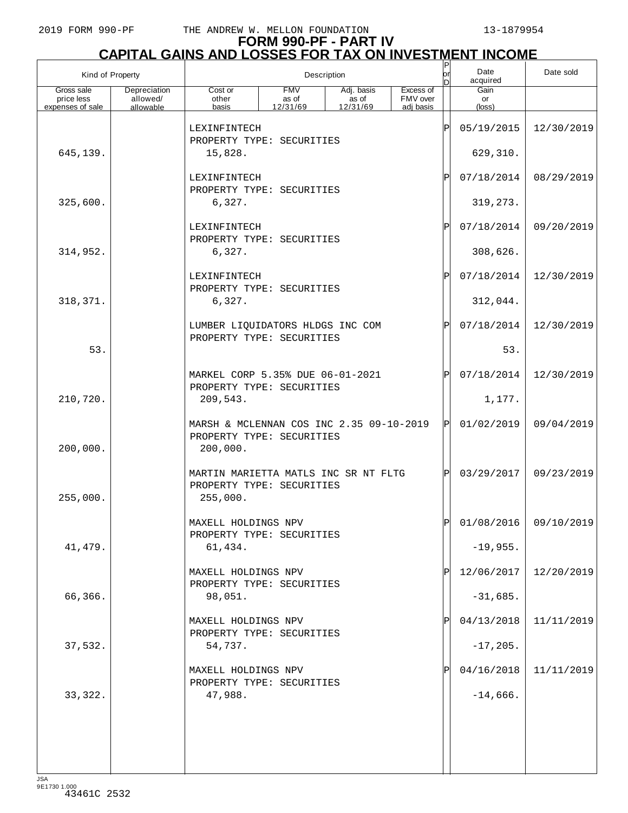# **FORM 990-PF - PART IV CAPITAL GAINS AND LOSSES FOR TAX ON INVESTMENT INCOME** P

| Kind of Property                             |                                       |                                                                                   |                                 | Description                     |                                    | $\sf P$<br>or<br>ln | Date<br>acquired     | Date sold               |
|----------------------------------------------|---------------------------------------|-----------------------------------------------------------------------------------|---------------------------------|---------------------------------|------------------------------------|---------------------|----------------------|-------------------------|
| Gross sale<br>price less<br>expenses of sale | Depreciation<br>allowed/<br>allowable | Cost or<br>other<br>basis                                                         | <b>FMV</b><br>as of<br>12/31/69 | Adj. basis<br>as of<br>12/31/69 | Excess of<br>FMV over<br>adi basis |                     | Gain<br>or<br>(loss) |                         |
|                                              |                                       | LEXINFINTECH<br>PROPERTY TYPE: SECURITIES                                         |                                 |                                 |                                    | ΙP                  | 05/19/2015           | 12/30/2019              |
| 645,139.                                     |                                       | 15,828.                                                                           |                                 |                                 |                                    |                     | 629,310.             |                         |
|                                              |                                       |                                                                                   | ΙP                              | 07/18/2014                      | 08/29/2019                         |                     |                      |                         |
| 325,600.                                     |                                       | PROPERTY TYPE: SECURITIES<br>6,327.                                               |                                 |                                 |                                    | 319, 273.           |                      |                         |
|                                              |                                       | LEXINFINTECH<br>PROPERTY TYPE: SECURITIES                                         |                                 |                                 | ΙP                                 | 07/18/2014          | 09/20/2019           |                         |
| 314,952.                                     |                                       | 6,327.                                                                            |                                 |                                 |                                    |                     | 308,626.             |                         |
|                                              |                                       | LEXINFINTECH<br>PROPERTY TYPE: SECURITIES                                         |                                 |                                 |                                    | ΙP                  | 07/18/2014           | 12/30/2019              |
| 318, 371.                                    |                                       | 6,327.                                                                            |                                 |                                 |                                    |                     | 312,044.             |                         |
|                                              |                                       | LUMBER LIQUIDATORS HLDGS INC COM<br>PROPERTY TYPE: SECURITIES                     |                                 |                                 |                                    | ΙP                  | 07/18/2014           | 12/30/2019              |
| 53.                                          |                                       |                                                                                   |                                 |                                 |                                    |                     | 53.                  |                         |
|                                              |                                       | MARKEL CORP 5.35% DUE 06-01-2021<br>PROPERTY TYPE: SECURITIES                     |                                 |                                 |                                    | ΙPΙ                 | 07/18/2014           | 12/30/2019              |
| 210,720.                                     |                                       | 209,543.                                                                          |                                 |                                 |                                    |                     | 1,177.               |                         |
| 200,000.                                     |                                       | MARSH & MCLENNAN COS INC 2.35 09-10-2019<br>PROPERTY TYPE: SECURITIES<br>200,000. |                                 |                                 |                                    | ΙÞΙ                 | 01/02/2019           | 09/04/2019              |
| 255,000.                                     |                                       | MARTIN MARIETTA MATLS INC SR NT FLTG<br>PROPERTY TYPE: SECURITIES<br>255,000.     |                                 |                                 |                                    | ΙPΙ                 | 03/29/2017           | 09/23/2019              |
|                                              |                                       | MAXELL HOLDINGS NPV                                                               |                                 |                                 |                                    | Ы                   |                      | $01/08/2016$ 09/10/2019 |
| 41,479.                                      |                                       | PROPERTY TYPE: SECURITIES<br>61,434.                                              |                                 |                                 |                                    |                     | $-19,955.$           |                         |
|                                              |                                       | MAXELL HOLDINGS NPV<br>PROPERTY TYPE: SECURITIES                                  |                                 |                                 |                                    |                     | 12/06/2017           | 12/20/2019              |
| 66,366.                                      |                                       | 98,051.                                                                           |                                 |                                 |                                    |                     | $-31,685.$           |                         |
|                                              |                                       | MAXELL HOLDINGS NPV<br>PROPERTY TYPE: SECURITIES                                  |                                 |                                 |                                    |                     | 04/13/2018           | 11/11/2019              |
| 37,532.                                      |                                       | 54,737.                                                                           |                                 |                                 |                                    |                     | $-17, 205.$          |                         |
|                                              |                                       | MAXELL HOLDINGS NPV<br>PROPERTY TYPE: SECURITIES                                  |                                 |                                 |                                    |                     | 04/16/2018           | 11/11/2019              |
| 33, 322.                                     |                                       | 47,988.                                                                           |                                 |                                 |                                    |                     | $-14,666.$           |                         |
|                                              |                                       |                                                                                   |                                 |                                 |                                    |                     |                      |                         |
|                                              |                                       |                                                                                   |                                 |                                 |                                    |                     |                      |                         |
| 194                                          |                                       |                                                                                   |                                 |                                 |                                    |                     |                      |                         |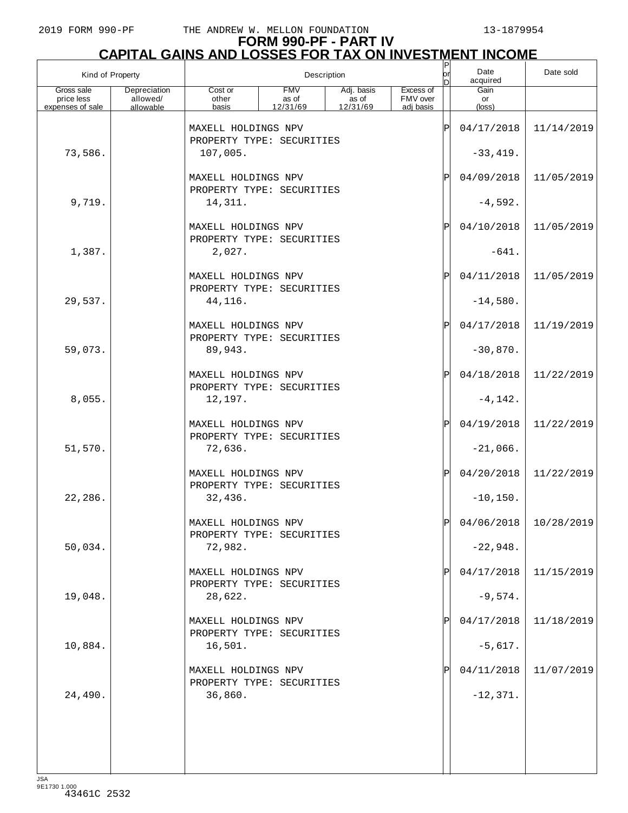# **FORM 990-PF - PART IV CAPITAL GAINS AND LOSSES FOR TAX ON INVESTMENT INCOME** P

| Kind of Property         |                          |                                                             |                     | Description         |                       | $\frac{P}{\rho r}$<br>In | Date<br>acquired         | Date sold               |
|--------------------------|--------------------------|-------------------------------------------------------------|---------------------|---------------------|-----------------------|--------------------------|--------------------------|-------------------------|
| Gross sale<br>price less | Depreciation<br>allowed/ | Cost or<br>other                                            | <b>FMV</b><br>as of | Adj. basis<br>as of | Excess of<br>FMV over |                          | Gain<br>or               |                         |
| expenses of sale         | allowable                | basis                                                       | 12/31/69            | 12/31/69            | adi basis             |                          | $(\text{loss})$          |                         |
|                          |                          | MAXELL HOLDINGS NPV<br>PROPERTY TYPE: SECURITIES            |                     |                     |                       | ΙP                       | 04/17/2018               | 11/14/2019              |
| 73,586.                  |                          | 107,005.                                                    |                     |                     |                       |                          | $-33,419.$               |                         |
|                          |                          | MAXELL HOLDINGS NPV<br>PROPERTY TYPE: SECURITIES            |                     |                     |                       | ΙP                       | 04/09/2018               | 11/05/2019              |
| 9,719.                   |                          | 14,311.                                                     |                     |                     |                       |                          | $-4,592.$                |                         |
|                          |                          | MAXELL HOLDINGS NPV<br>PROPERTY TYPE: SECURITIES            |                     |                     |                       | ΙP                       | 04/10/2018               | 11/05/2019              |
| 1,387.                   |                          | 2,027.                                                      |                     |                     |                       |                          | $-641.$                  |                         |
|                          |                          | MAXELL HOLDINGS NPV<br>PROPERTY TYPE: SECURITIES            |                     |                     |                       | ΙP                       | 04/11/2018               | 11/05/2019              |
| 29,537.                  |                          | 44,116.<br>MAXELL HOLDINGS NPV                              |                     |                     |                       | ΙP                       | $-14,580.$<br>04/17/2018 | 11/19/2019              |
| 59,073.                  |                          | PROPERTY TYPE: SECURITIES<br>89,943.                        |                     |                     |                       |                          | $-30,870.$               |                         |
|                          |                          | MAXELL HOLDINGS NPV                                         |                     |                     |                       | ΙP                       | 04/18/2018               | 11/22/2019              |
| 8,055.                   |                          | PROPERTY TYPE: SECURITIES<br>12,197.                        |                     |                     |                       |                          | $-4, 142.$               |                         |
|                          |                          | MAXELL HOLDINGS NPV<br>PROPERTY TYPE: SECURITIES            |                     |                     |                       | ΙP                       | 04/19/2018               | 11/22/2019              |
| 51,570.                  |                          | 72,636.                                                     |                     |                     |                       |                          | $-21,066.$               |                         |
|                          |                          | MAXELL HOLDINGS NPV<br>PROPERTY TYPE: SECURITIES            |                     |                     |                       | ΙP                       | 04/20/2018               | 11/22/2019              |
| 22,286.                  |                          | 32,436.                                                     |                     |                     |                       |                          | $-10,150.$               |                         |
|                          |                          | MAXELL HOLDINGS NPV<br>PROPERTY TYPE: SECURITIES            |                     |                     |                       | ח                        |                          | $04/06/2018$ 10/28/2019 |
| 50,034.                  |                          | 72,982.                                                     |                     |                     |                       |                          | $-22,948.$               |                         |
| 19,048.                  |                          | MAXELL HOLDINGS NPV<br>PROPERTY TYPE: SECURITIES<br>28,622. |                     |                     |                       |                          | 04/17/2018<br>$-9,574.$  | 11/15/2019              |
|                          |                          | MAXELL HOLDINGS NPV                                         |                     |                     |                       |                          | 04/17/2018               | 11/18/2019              |
| 10,884.                  |                          | PROPERTY TYPE: SECURITIES<br>16,501.                        |                     |                     |                       |                          | $-5,617.$                |                         |
|                          |                          | MAXELL HOLDINGS NPV                                         |                     |                     |                       |                          | 04/11/2018               | 11/07/2019              |
| 24,490.                  |                          | PROPERTY TYPE: SECURITIES<br>36,860.                        |                     |                     |                       |                          | $-12,371.$               |                         |
|                          |                          |                                                             |                     |                     |                       |                          |                          |                         |
|                          |                          |                                                             |                     |                     |                       |                          |                          |                         |
| 10 <sub>0</sub>          |                          |                                                             |                     |                     |                       |                          |                          |                         |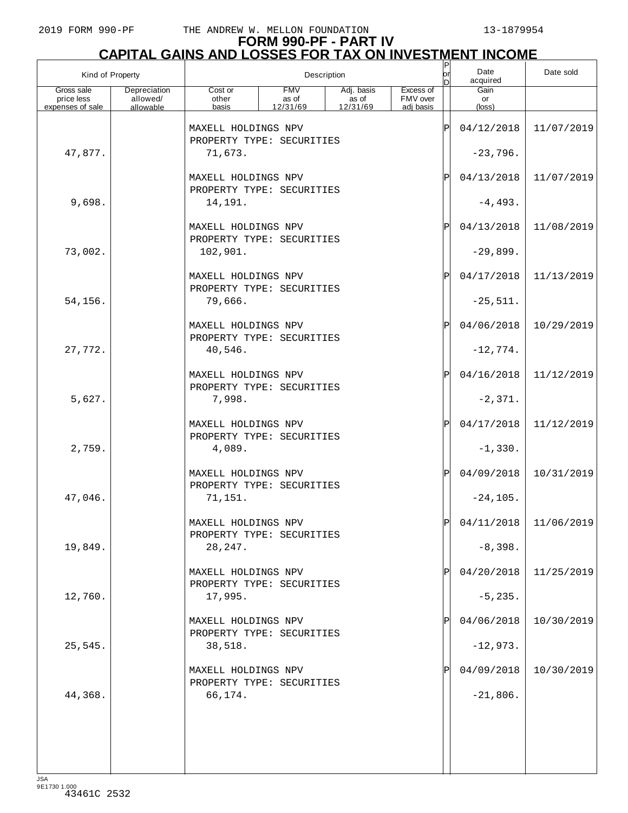# **FORM 990-PF - PART IV**

# **CAPITAL GAINS AND LOSSES FOR TAX ON INVESTMENT INCOME** P

| Kind of Property         |                          |                                                  |                     | Description         |                       | $\frac{P}{\rho r}$<br>ln | Date<br>acquired        | Date sold               |
|--------------------------|--------------------------|--------------------------------------------------|---------------------|---------------------|-----------------------|--------------------------|-------------------------|-------------------------|
| Gross sale<br>price less | Depreciation<br>allowed/ | Cost or<br>other                                 | <b>FMV</b><br>as of | Adj. basis<br>as of | Excess of<br>FMV over |                          | Gain<br>or              |                         |
| expenses of sale         | allowable                | basis                                            | 12/31/69            | 12/31/69            | adi basis             |                          | (loss)                  |                         |
|                          |                          | MAXELL HOLDINGS NPV<br>PROPERTY TYPE: SECURITIES |                     |                     |                       | ΙP                       | 04/12/2018              | 11/07/2019              |
| 47,877.                  |                          | 71,673.                                          |                     |                     |                       |                          | $-23,796.$              |                         |
|                          |                          | MAXELL HOLDINGS NPV<br>PROPERTY TYPE: SECURITIES |                     |                     |                       | ΙP                       | 04/13/2018              | 11/07/2019              |
| 9,698.                   |                          | 14,191.                                          |                     |                     |                       |                          | $-4, 493.$              |                         |
|                          |                          | MAXELL HOLDINGS NPV<br>PROPERTY TYPE: SECURITIES |                     |                     |                       | ΙP                       | 04/13/2018              | 11/08/2019              |
| 73,002.                  |                          | 102,901.                                         |                     |                     |                       |                          | $-29,899.$              |                         |
|                          |                          | MAXELL HOLDINGS NPV<br>PROPERTY TYPE: SECURITIES |                     |                     |                       | ΙP                       | 04/17/2018              | 11/13/2019              |
| 54,156.                  |                          | 79,666.                                          |                     |                     |                       |                          | $-25,511.$              |                         |
|                          |                          | MAXELL HOLDINGS NPV<br>PROPERTY TYPE: SECURITIES |                     |                     |                       | ΙP                       | 04/06/2018              | 10/29/2019              |
| 27,772.                  |                          | 40,546.                                          |                     |                     |                       |                          | $-12,774.$              |                         |
|                          |                          | MAXELL HOLDINGS NPV<br>PROPERTY TYPE: SECURITIES |                     |                     |                       | ΙP                       | 04/16/2018              | 11/12/2019              |
| 5,627.                   |                          | 7,998.                                           |                     |                     |                       |                          | $-2,371.$               |                         |
|                          |                          | MAXELL HOLDINGS NPV<br>PROPERTY TYPE: SECURITIES |                     |                     |                       | ΙP                       | 04/17/2018              | 11/12/2019              |
| 2,759.                   |                          | 4,089.                                           |                     |                     |                       |                          | $-1,330.$               |                         |
|                          |                          | MAXELL HOLDINGS NPV<br>PROPERTY TYPE: SECURITIES |                     |                     |                       | ΙP                       | 04/09/2018              | 10/31/2019              |
| 47,046.                  |                          | 71,151.                                          |                     |                     |                       |                          | $-24, 105.$             |                         |
|                          |                          | MAXELL HOLDINGS NPV<br>PROPERTY TYPE: SECURITIES |                     |                     |                       | D                        |                         | $04/11/2018$ 11/06/2019 |
| 19,849.                  |                          | 28,247.<br>MAXELL HOLDINGS NPV                   |                     |                     |                       |                          | $-8,398.$<br>04/20/2018 | 11/25/2019              |
| 12,760.                  |                          | PROPERTY TYPE: SECURITIES<br>17,995.             |                     |                     |                       |                          | $-5, 235.$              |                         |
|                          |                          | MAXELL HOLDINGS NPV                              |                     |                     |                       |                          | 04/06/2018              | 10/30/2019              |
| 25,545.                  |                          | PROPERTY TYPE: SECURITIES<br>38,518.             |                     |                     |                       |                          | $-12,973.$              |                         |
|                          |                          | MAXELL HOLDINGS NPV                              |                     |                     |                       |                          | 04/09/2018              | 10/30/2019              |
| 44,368.                  |                          | PROPERTY TYPE: SECURITIES<br>66,174.             |                     |                     |                       |                          | $-21,806.$              |                         |
|                          |                          |                                                  |                     |                     |                       |                          |                         |                         |
|                          |                          |                                                  |                     |                     |                       |                          |                         |                         |
|                          |                          |                                                  |                     |                     |                       |                          |                         |                         |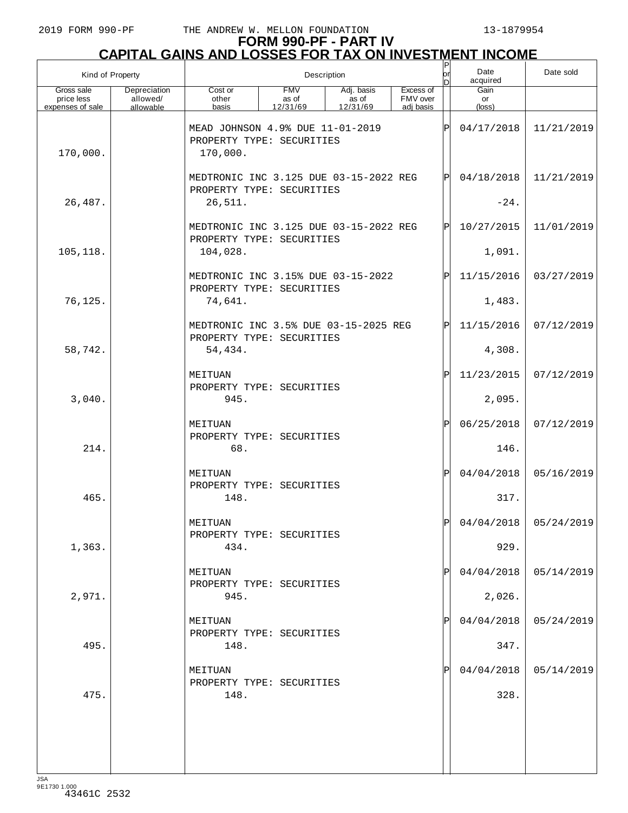# **FORM 990-PF - PART IV CAPITAL GAINS AND LOSSES FOR TAX ON INVESTMENT INCOME**

| Kind of Property                             |                                       |                                                                                | Description                     |                                 |                                    | Date sold            |                               |                         |
|----------------------------------------------|---------------------------------------|--------------------------------------------------------------------------------|---------------------------------|---------------------------------|------------------------------------|----------------------|-------------------------------|-------------------------|
| Gross sale<br>price less<br>expenses of sale | Depreciation<br>allowed/<br>allowable | Cost or<br>other<br>basis                                                      | <b>FMV</b><br>as of<br>12/31/69 | Adj. basis<br>as of<br>12/31/69 | Excess of<br>FMV over<br>adi basis |                      | Gain<br>or<br>$(\text{loss})$ |                         |
| 170,000.                                     |                                       | MEAD JOHNSON 4.9% DUE 11-01-2019<br>PROPERTY TYPE: SECURITIES<br>170,000.      |                                 |                                 | ΙP                                 | 04/17/2018           | 11/21/2019                    |                         |
| 26,487.                                      |                                       | MEDTRONIC INC 3.125 DUE 03-15-2022 REG<br>PROPERTY TYPE: SECURITIES<br>26,511. |                                 |                                 | ΙÞΙ                                | 04/18/2018<br>$-24.$ | 11/21/2019                    |                         |
|                                              |                                       | MEDTRONIC INC 3.125 DUE 03-15-2022 REG<br>PROPERTY TYPE: SECURITIES            |                                 |                                 |                                    | ΙÞΙ                  | 10/27/2015                    | 11/01/2019              |
| 105, 118.                                    |                                       | 104,028.                                                                       |                                 |                                 |                                    |                      | 1,091.                        |                         |
| 76,125.                                      |                                       | MEDTRONIC INC 3.15% DUE 03-15-2022<br>PROPERTY TYPE: SECURITIES<br>74,641.     |                                 |                                 |                                    | ΙPΙ                  | 11/15/2016<br>1,483.          | 03/27/2019              |
|                                              |                                       | MEDTRONIC INC 3.5% DUE 03-15-2025 REG<br>PROPERTY TYPE: SECURITIES             |                                 |                                 |                                    | ΙPΙ                  | 11/15/2016                    | 07/12/2019              |
| 58,742.                                      |                                       | 54,434.                                                                        |                                 |                                 |                                    |                      | 4,308.                        |                         |
|                                              |                                       | MEITUAN<br>PROPERTY TYPE: SECURITIES                                           |                                 |                                 |                                    | ΙPΙ                  | 11/23/2015                    | 07/12/2019              |
| 3,040.                                       |                                       | 945.                                                                           |                                 |                                 |                                    |                      | 2,095.                        |                         |
| 214.                                         |                                       | MEITUAN<br>PROPERTY TYPE: SECURITIES<br>68.                                    |                                 |                                 |                                    | P                    | 06/25/2018<br>146.            | 07/12/2019              |
| 465.                                         |                                       | MEITUAN<br>PROPERTY TYPE: SECURITIES<br>148.                                   |                                 |                                 |                                    | ΙP                   | 04/04/2018<br>317.            | 05/16/2019              |
|                                              |                                       | MEITUAN<br>PROPERTY TYPE: SECURITIES                                           |                                 |                                 |                                    | Ы                    |                               | $04/04/2018$ 05/24/2019 |
| 1,363.                                       |                                       | 434.                                                                           |                                 |                                 |                                    |                      | 929.                          |                         |
| 2,971.                                       |                                       | MEITUAN<br>PROPERTY TYPE: SECURITIES<br>945.                                   |                                 |                                 |                                    | $\mathbf{P}$         | 04/04/2018<br>2,026.          | 05/14/2019              |
| 495.                                         |                                       | MEITUAN<br>PROPERTY TYPE: SECURITIES<br>148.                                   |                                 |                                 |                                    | $\mathbf{P}$         | 04/04/2018                    | 05/24/2019              |
|                                              |                                       | MEITUAN                                                                        |                                 |                                 |                                    |                      | 347.<br>04/04/2018            | 05/14/2019              |
| 475.                                         |                                       | PROPERTY TYPE: SECURITIES<br>148.                                              |                                 |                                 |                                    |                      | 328.                          |                         |
|                                              |                                       |                                                                                |                                 |                                 |                                    |                      |                               |                         |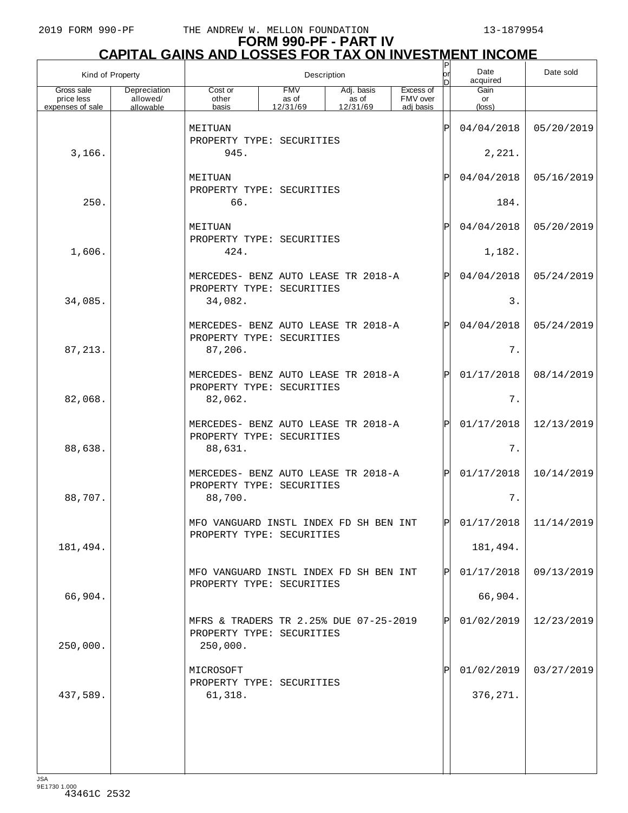# **FORM 990-PF - PART IV CAPITAL GAINS AND LOSSES FOR TAX ON INVESTMENT INCOME**

| Kind of Property                             |                                       |                                                                                 |                                 | Description                     |                                    | P<br>lor<br>D | Date<br>acquired              | Date sold  |
|----------------------------------------------|---------------------------------------|---------------------------------------------------------------------------------|---------------------------------|---------------------------------|------------------------------------|---------------|-------------------------------|------------|
| Gross sale<br>price less<br>expenses of sale | Depreciation<br>allowed/<br>allowable | Cost or<br>other<br>basis                                                       | <b>FMV</b><br>as of<br>12/31/69 | Adj. basis<br>as of<br>12/31/69 | Excess of<br>FMV over<br>adj basis |               | Gain<br>or<br>$(\text{loss})$ |            |
|                                              |                                       | MEITUAN                                                                         |                                 |                                 |                                    | ΙP            | 04/04/2018                    | 05/20/2019 |
| 3,166.                                       |                                       | PROPERTY TYPE: SECURITIES<br>945.                                               |                                 |                                 |                                    |               | 2,221.                        |            |
|                                              |                                       | MEITUAN                                                                         |                                 |                                 |                                    | $\mathbf P$   | 04/04/2018                    | 05/16/2019 |
| 250.                                         |                                       | PROPERTY TYPE: SECURITIES<br>66.                                                |                                 |                                 |                                    |               | 184.                          |            |
|                                              |                                       | MEITUAN<br>PROPERTY TYPE: SECURITIES                                            |                                 |                                 |                                    | ΙPΙ           | 04/04/2018                    | 05/20/2019 |
| 1,606.                                       |                                       | 424.                                                                            |                                 |                                 |                                    |               | 1,182.                        |            |
|                                              |                                       | MERCEDES- BENZ AUTO LEASE TR 2018-A<br>PROPERTY TYPE: SECURITIES                |                                 |                                 |                                    | ΙPΙ           | 04/04/2018                    | 05/24/2019 |
| 34,085.                                      |                                       | 34,082.                                                                         |                                 |                                 |                                    |               | 3.                            |            |
|                                              |                                       | MERCEDES- BENZ AUTO LEASE TR 2018-A<br>PROPERTY TYPE: SECURITIES                |                                 |                                 |                                    | ΙPΙ           | 04/04/2018                    | 05/24/2019 |
| 87, 213.                                     |                                       | 87,206.                                                                         |                                 |                                 |                                    |               | 7.                            |            |
|                                              |                                       | MERCEDES- BENZ AUTO LEASE TR 2018-A<br>PROPERTY TYPE: SECURITIES                |                                 |                                 |                                    | ΙPΙ           | 01/17/2018                    | 08/14/2019 |
| 82,068.                                      |                                       | 82,062.                                                                         |                                 |                                 |                                    |               | 7.                            |            |
|                                              |                                       | MERCEDES- BENZ AUTO LEASE TR 2018-A<br>PROPERTY TYPE: SECURITIES                |                                 |                                 |                                    | ΙPΙ           | 01/17/2018                    | 12/13/2019 |
| 88,638.                                      |                                       | 88,631.                                                                         |                                 |                                 |                                    |               | 7.                            |            |
|                                              |                                       | MERCEDES- BENZ AUTO LEASE TR 2018-A<br>PROPERTY TYPE: SECURITIES                |                                 |                                 |                                    | ΙPΙ           | 01/17/2018                    | 10/14/2019 |
| 88,707.                                      |                                       | 88,700.                                                                         |                                 |                                 |                                    |               | 7.                            |            |
|                                              |                                       | MFO VANGUARD INSTL INDEX FD SH BEN INT<br>PROPERTY TYPE: SECURITIES             |                                 |                                 |                                    |               | 01/17/2018                    | 11/14/2019 |
| 181,494.                                     |                                       |                                                                                 |                                 |                                 |                                    |               | 181,494.                      |            |
|                                              |                                       | MFO VANGUARD INSTL INDEX FD SH BEN INT<br>PROPERTY TYPE: SECURITIES             |                                 |                                 |                                    | ΙPΙ           | 01/17/2018                    | 09/13/2019 |
| 66,904.                                      |                                       |                                                                                 |                                 |                                 |                                    |               | 66,904.                       |            |
| 250,000.                                     |                                       | MFRS & TRADERS TR 2.25% DUE 07-25-2019<br>PROPERTY TYPE: SECURITIES<br>250,000. |                                 |                                 |                                    | ΙPΙ           | 01/02/2019                    | 12/23/2019 |
|                                              |                                       | MICROSOFT                                                                       |                                 |                                 |                                    | P             | 01/02/2019                    | 03/27/2019 |
| 437,589.                                     |                                       | PROPERTY TYPE: SECURITIES<br>61,318.                                            |                                 |                                 |                                    |               | 376, 271.                     |            |
|                                              |                                       |                                                                                 |                                 |                                 |                                    |               |                               |            |
|                                              |                                       |                                                                                 |                                 |                                 |                                    |               |                               |            |
|                                              |                                       |                                                                                 |                                 |                                 |                                    |               |                               |            |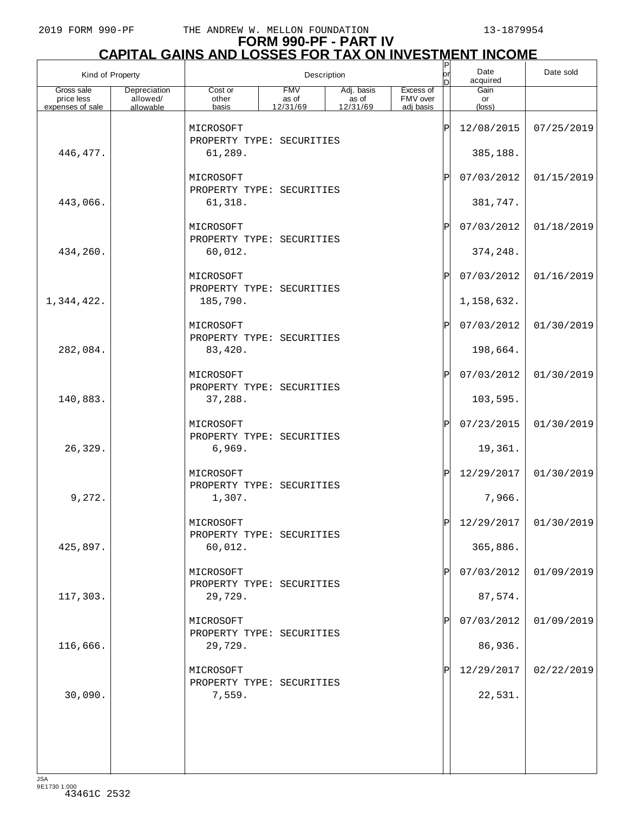# **FORM 990-PF - PART IV CAPITAL GAINS AND LOSSES FOR TAX ON INVESTMENT INCOME** P

|                          | Kind of Property         |                                        |                     | Description         |                       | $\mathsf{P}% _{0}\left( \mathcal{A}_{1}\right) ^{T}$<br>lorl<br>D | Date<br>acquired | Date sold               |
|--------------------------|--------------------------|----------------------------------------|---------------------|---------------------|-----------------------|-------------------------------------------------------------------|------------------|-------------------------|
| Gross sale<br>price less | Depreciation<br>allowed/ | Cost or<br>other                       | <b>FMV</b><br>as of | Adj. basis<br>as of | Excess of<br>FMV over |                                                                   | Gain<br>or       |                         |
| expenses of sale         | allowable                | basis                                  | 12/31/69            | 12/31/69            | adi basis             |                                                                   | (loss)           |                         |
|                          |                          | MICROSOFT                              |                     |                     |                       | ΙP                                                                | 12/08/2015       | 07/25/2019              |
| 446, 477.                |                          | PROPERTY TYPE: SECURITIES<br>61,289.   |                     |                     |                       |                                                                   | 385,188.         |                         |
|                          |                          | MICROSOFT                              |                     |                     |                       | Ρ                                                                 | 07/03/2012       | 01/15/2019              |
| 443,066.                 |                          | PROPERTY TYPE: SECURITIES<br>61,318.   |                     |                     |                       |                                                                   | 381,747.         |                         |
|                          |                          | MICROSOFT                              |                     |                     |                       | $\mathbf P$                                                       | 07/03/2012       | 01/18/2019              |
| 434,260.                 |                          | PROPERTY TYPE: SECURITIES<br>60,012.   |                     |                     |                       |                                                                   | 374, 248.        |                         |
|                          |                          | MICROSOFT                              |                     |                     |                       | $\mathbf P$                                                       | 07/03/2012       | 01/16/2019              |
| 1,344,422.               |                          | PROPERTY TYPE: SECURITIES<br>185,790.  |                     |                     |                       |                                                                   | 1,158,632.       |                         |
|                          |                          | MICROSOFT                              |                     |                     |                       | $_\mathrm{P}$                                                     | 07/03/2012       | 01/30/2019              |
| 282,084.                 |                          | PROPERTY TYPE: SECURITIES<br>83,420.   |                     |                     |                       |                                                                   | 198,664.         |                         |
|                          |                          | MICROSOFT                              |                     |                     |                       | $\mathbf P$                                                       | 07/03/2012       | 01/30/2019              |
| 140,883.                 |                          | PROPERTY TYPE: SECURITIES<br>37,288.   |                     |                     |                       |                                                                   | 103,595.         |                         |
|                          |                          | MICROSOFT<br>PROPERTY TYPE: SECURITIES |                     |                     |                       | $\mathbf P$                                                       | 07/23/2015       | 01/30/2019              |
| 26,329.                  |                          | 6,969.                                 |                     |                     |                       |                                                                   | 19,361.          |                         |
|                          |                          | MICROSOFT<br>PROPERTY TYPE: SECURITIES |                     |                     |                       | $\mathbf P$                                                       | 12/29/2017       | 01/30/2019              |
| 9,272.                   |                          | 1,307.                                 |                     |                     |                       |                                                                   | 7,966.           |                         |
|                          |                          | MICROSOFT<br>PROPERTY TYPE: SECURITIES |                     |                     |                       |                                                                   |                  | $12/29/2017$ 01/30/2019 |
| 425,897.                 |                          | 60,012.                                |                     |                     |                       |                                                                   | 365,886.         |                         |
|                          |                          | MICROSOFT<br>PROPERTY TYPE: SECURITIES |                     |                     |                       | Ρ                                                                 | 07/03/2012       | 01/09/2019              |
| 117,303.                 |                          | 29,729.                                |                     |                     |                       |                                                                   | 87,574.          |                         |
|                          |                          | MICROSOFT<br>PROPERTY TYPE: SECURITIES |                     |                     |                       | Ρ                                                                 | 07/03/2012       | 01/09/2019              |
| 116,666.                 |                          | 29,729.                                |                     |                     |                       |                                                                   | 86,936.          |                         |
|                          |                          | MICROSOFT<br>PROPERTY TYPE: SECURITIES |                     |                     |                       | P                                                                 | 12/29/2017       | 02/22/2019              |
| 30,090.                  |                          | 7,559.                                 |                     |                     |                       |                                                                   | 22,531.          |                         |
|                          |                          |                                        |                     |                     |                       |                                                                   |                  |                         |
|                          |                          |                                        |                     |                     |                       |                                                                   |                  |                         |
|                          |                          |                                        |                     |                     |                       |                                                                   |                  |                         |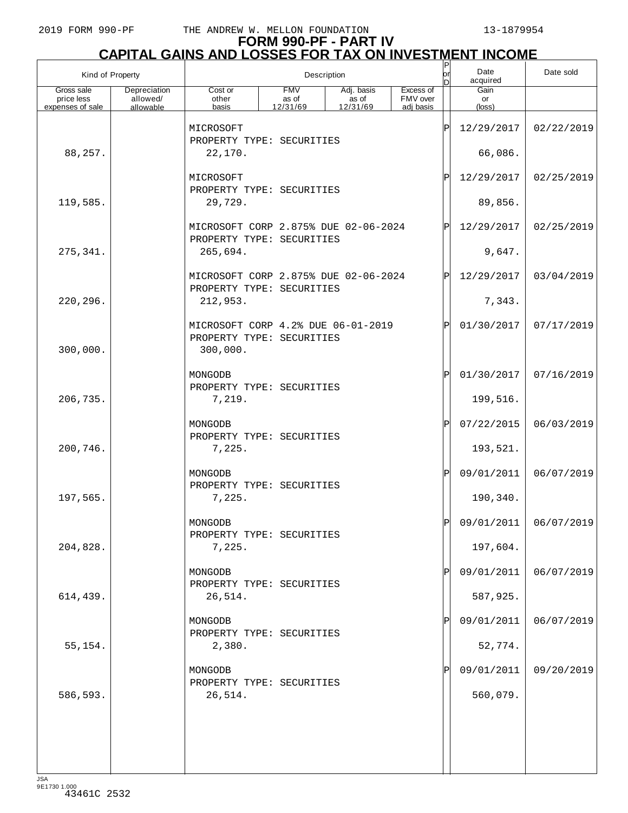# **FORM 990-PF - PART IV CAPITAL GAINS AND LOSSES FOR TAX ON INVESTMENT INCOME** P

| Kind of Property         |                          |                                                                             |                     | Description         |                       | $\sf P$<br>lor<br>D | Date<br>acquired | Date sold             |
|--------------------------|--------------------------|-----------------------------------------------------------------------------|---------------------|---------------------|-----------------------|---------------------|------------------|-----------------------|
| Gross sale<br>price less | Depreciation<br>allowed/ | Cost or<br>other                                                            | <b>FMV</b><br>as of | Adj. basis<br>as of | Excess of<br>FMV over |                     | Gain<br>or       |                       |
| expenses of sale         | allowable                | basis                                                                       | 12/31/69            | 12/31/69            | adj basis             |                     | (loss)           |                       |
|                          |                          | MICROSOFT<br>PROPERTY TYPE: SECURITIES                                      |                     |                     |                       | ΙP                  | 12/29/2017       | 02/22/2019            |
| 88,257.                  |                          | 22,170.                                                                     |                     |                     |                       |                     | 66,086.          |                       |
|                          |                          | MICROSOFT<br>PROPERTY TYPE: SECURITIES                                      |                     |                     |                       | ΙP                  | 12/29/2017       | 02/25/2019            |
| 119,585.                 |                          | 29,729.                                                                     |                     |                     |                       |                     | 89,856.          |                       |
|                          |                          | MICROSOFT CORP 2.875% DUE 02-06-2024<br>PROPERTY TYPE: SECURITIES           |                     |                     |                       | ΙP                  | 12/29/2017       | 02/25/2019            |
| 275,341.                 |                          | 265,694.                                                                    |                     |                     |                       |                     | 9,647.           |                       |
|                          |                          | MICROSOFT CORP 2.875% DUE 02-06-2024<br>PROPERTY TYPE: SECURITIES           |                     |                     |                       | ΙP                  | 12/29/2017       | 03/04/2019            |
| 220,296.                 |                          | 212,953.                                                                    |                     |                     |                       |                     | 7,343.           |                       |
| 300,000.                 |                          | MICROSOFT CORP 4.2% DUE 06-01-2019<br>PROPERTY TYPE: SECURITIES<br>300,000. |                     |                     |                       | P                   | 01/30/2017       | 07/17/2019            |
|                          |                          | MONGODB                                                                     |                     |                     |                       | ΙP                  | 01/30/2017       | 07/16/2019            |
| 206,735.                 |                          | PROPERTY TYPE: SECURITIES<br>7,219.                                         |                     |                     |                       |                     | 199,516.         |                       |
|                          |                          | MONGODB<br>PROPERTY TYPE: SECURITIES                                        |                     |                     |                       | ΙP                  | 07/22/2015       | 06/03/2019            |
| 200,746.                 |                          | 7,225.                                                                      |                     |                     |                       |                     | 193,521.         |                       |
|                          |                          | MONGODB<br>PROPERTY TYPE: SECURITIES                                        |                     |                     |                       | ΙP                  | 09/01/2011       | 06/07/2019            |
| 197,565.                 |                          | 7,225.                                                                      |                     |                     |                       |                     | 190,340.         |                       |
|                          |                          | MONGODB<br>PROPERTY TYPE: SECURITIES                                        |                     |                     |                       |                     |                  | 09/01/2011 06/07/2019 |
| 204,828.                 |                          | 7,225.                                                                      |                     |                     |                       |                     | 197,604.         |                       |
|                          |                          | MONGODB<br>PROPERTY TYPE: SECURITIES                                        |                     |                     |                       | IP                  | 09/01/2011       | 06/07/2019            |
| 614,439.                 |                          | 26,514.                                                                     |                     |                     |                       |                     | 587,925.         |                       |
|                          |                          | MONGODB<br>PROPERTY TYPE: SECURITIES                                        |                     |                     |                       |                     | 09/01/2011       | 06/07/2019            |
| 55,154.                  |                          | 2,380.                                                                      |                     |                     |                       |                     | 52,774.          |                       |
|                          |                          | MONGODB<br>PROPERTY TYPE: SECURITIES                                        |                     |                     |                       |                     | 09/01/2011       | 09/20/2019            |
| 586,593.                 |                          | 26,514.                                                                     |                     |                     |                       |                     | 560,079.         |                       |
|                          |                          |                                                                             |                     |                     |                       |                     |                  |                       |
|                          |                          |                                                                             |                     |                     |                       |                     |                  |                       |
|                          |                          |                                                                             |                     |                     |                       |                     |                  |                       |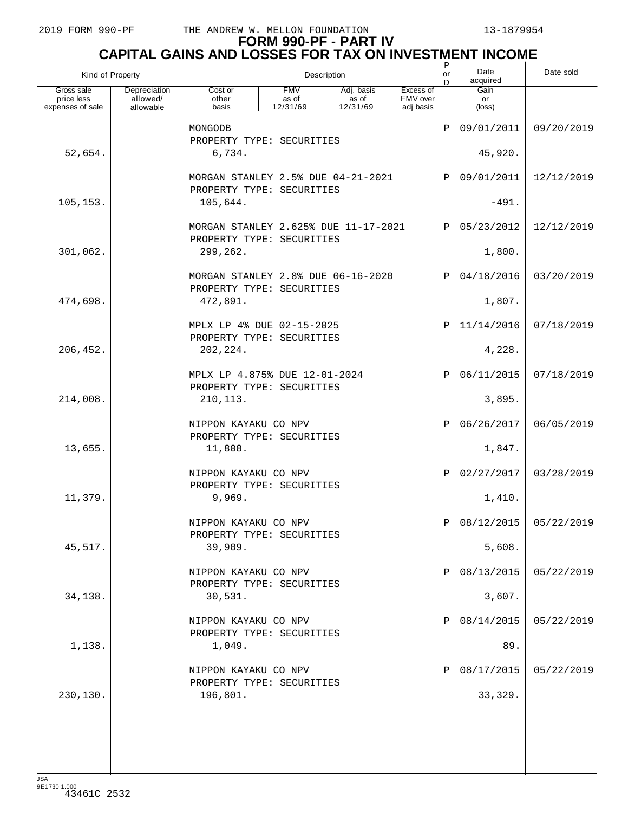# **FORM 990-PF - PART IV CAPITAL GAINS AND LOSSES FOR TAX ON INVESTMENT INCOME** P

| Kind of Property                             |                                       |                                                                 |                                      | Description                     |                                    | P<br>lorl<br>D | Date<br>acquired              | Date sold             |
|----------------------------------------------|---------------------------------------|-----------------------------------------------------------------|--------------------------------------|---------------------------------|------------------------------------|----------------|-------------------------------|-----------------------|
| Gross sale<br>price less<br>expenses of sale | Depreciation<br>allowed/<br>allowable | Cost or<br>other<br>basis                                       | <b>FMV</b><br>as of<br>12/31/69      | Adj. basis<br>as of<br>12/31/69 | Excess of<br>FMV over<br>adi basis |                | Gain<br>or<br>$(\text{loss})$ |                       |
|                                              |                                       | MONGODB                                                         |                                      |                                 |                                    | ΙP             | 09/01/2011                    | 09/20/2019            |
| 52,654.                                      |                                       | PROPERTY TYPE: SECURITIES<br>6,734.                             |                                      |                                 |                                    |                | 45,920.                       |                       |
|                                              |                                       | MORGAN STANLEY 2.5% DUE 04-21-2021                              |                                      |                                 |                                    | $\mathbf P$    | 09/01/2011                    | 12/12/2019            |
| 105, 153.                                    |                                       | PROPERTY TYPE: SECURITIES<br>105,644.                           |                                      |                                 |                                    |                | $-491.$                       |                       |
|                                              |                                       | PROPERTY TYPE: SECURITIES                                       | MORGAN STANLEY 2.625% DUE 11-17-2021 |                                 |                                    |                |                               | 12/12/2019            |
| 301,062.                                     |                                       | 299,262.                                                        |                                      |                                 |                                    |                | 1,800.                        |                       |
|                                              |                                       | MORGAN STANLEY 2.8% DUE 06-16-2020<br>PROPERTY TYPE: SECURITIES |                                      |                                 |                                    | $\mathbf P$    | 04/18/2016                    | 03/20/2019            |
| 474,698.                                     |                                       | 472,891.                                                        |                                      |                                 |                                    |                | 1,807.                        |                       |
|                                              |                                       | MPLX LP 4% DUE 02-15-2025<br>PROPERTY TYPE: SECURITIES          |                                      |                                 |                                    | $_\mathrm{P}$  | 11/14/2016                    | 07/18/2019            |
| 206,452.                                     |                                       | 202, 224.                                                       |                                      |                                 |                                    |                | 4,228.                        |                       |
|                                              |                                       | MPLX LP 4.875% DUE 12-01-2024<br>PROPERTY TYPE: SECURITIES      |                                      |                                 |                                    | ΙÞΙ            | 06/11/2015                    | 07/18/2019            |
| 214,008.                                     |                                       | 210, 113.                                                       |                                      |                                 |                                    |                | 3,895.                        |                       |
|                                              |                                       | NIPPON KAYAKU CO NPV<br>PROPERTY TYPE: SECURITIES               |                                      |                                 |                                    | $_\mathrm{P}$  | 06/26/2017                    | 06/05/2019            |
| 13,655.                                      |                                       | 11,808.                                                         |                                      |                                 |                                    |                | 1,847.                        |                       |
|                                              |                                       | NIPPON KAYAKU CO NPV<br>PROPERTY TYPE: SECURITIES               |                                      |                                 |                                    | $\mathbf{P}$   | 02/27/2017                    | 03/28/2019            |
| 11,379.                                      |                                       | 9,969.                                                          |                                      |                                 |                                    |                | 1,410.                        |                       |
|                                              |                                       | NIPPON KAYAKU CO NPV<br>PROPERTY TYPE: SECURITIES               |                                      |                                 |                                    | ъI             |                               | 08/12/2015 05/22/2019 |
| 45,517.                                      |                                       | 39,909.                                                         |                                      |                                 |                                    |                | 5,608.                        |                       |
|                                              |                                       | NIPPON KAYAKU CO NPV<br>PROPERTY TYPE: SECURITIES               |                                      |                                 |                                    |                | 08/13/2015                    | 05/22/2019            |
| 34,138.                                      |                                       | 30,531.                                                         |                                      |                                 |                                    |                | 3,607.                        |                       |
|                                              |                                       | NIPPON KAYAKU CO NPV<br>PROPERTY TYPE: SECURITIES               |                                      |                                 |                                    |                | 08/14/2015                    | 05/22/2019            |
| 1,138.                                       |                                       | 1,049.                                                          |                                      |                                 |                                    |                | 89.                           |                       |
|                                              |                                       | NIPPON KAYAKU CO NPV<br>PROPERTY TYPE: SECURITIES               |                                      |                                 |                                    |                | 08/17/2015                    | 05/22/2019            |
| 230, 130.                                    |                                       | 196,801.                                                        |                                      |                                 |                                    |                | 33, 329.                      |                       |
|                                              |                                       |                                                                 |                                      |                                 |                                    |                |                               |                       |
|                                              |                                       |                                                                 |                                      |                                 |                                    |                |                               |                       |
| 10 <sub>0</sub>                              |                                       |                                                                 |                                      |                                 |                                    |                |                               |                       |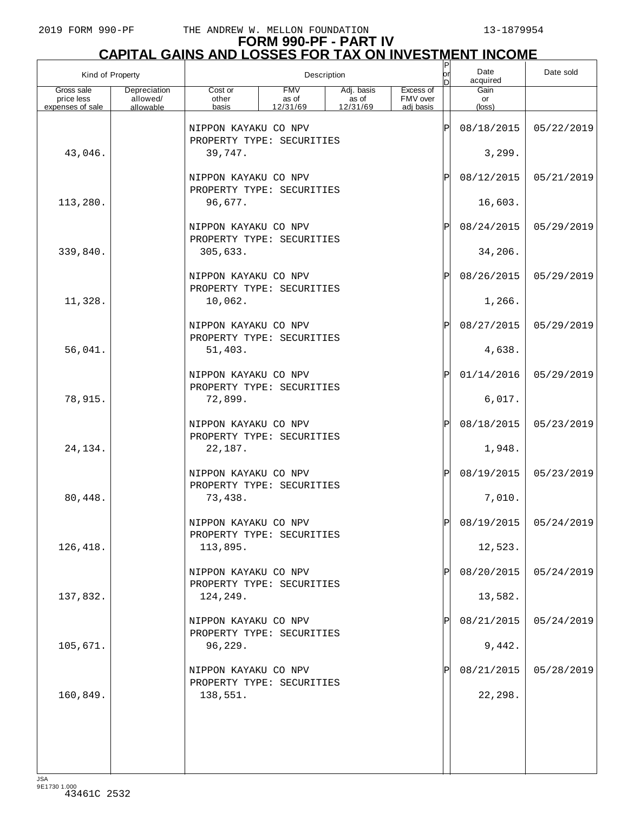# **FORM 990-PF - PART IV CAPITAL GAINS AND LOSSES FOR TAX ON INVESTMENT INCOME**

| Kind of Property         |                          |                                                   | Description         |                     |                       | $\frac{P}{\rho r}$<br>In | Date<br>acquired     | Date sold               |
|--------------------------|--------------------------|---------------------------------------------------|---------------------|---------------------|-----------------------|--------------------------|----------------------|-------------------------|
| Gross sale<br>price less | Depreciation<br>allowed/ | Cost or<br>other                                  | <b>FMV</b><br>as of | Adj. basis<br>as of | Excess of<br>FMV over |                          | Gain<br>or           |                         |
| expenses of sale         | allowable                | basis                                             | 12/31/69            | 12/31/69            | adj basis             |                          | (loss)               |                         |
|                          |                          | NIPPON KAYAKU CO NPV<br>PROPERTY TYPE: SECURITIES |                     |                     |                       | ΙP                       | 08/18/2015           | 05/22/2019              |
| 43,046.                  |                          | 39,747.                                           |                     |                     |                       |                          | 3,299.               |                         |
|                          |                          | NIPPON KAYAKU CO NPV<br>PROPERTY TYPE: SECURITIES |                     |                     |                       | P                        | 08/12/2015           | 05/21/2019              |
| 113,280.                 |                          | 96,677.                                           |                     |                     |                       |                          | 16,603.              |                         |
|                          |                          | NIPPON KAYAKU CO NPV<br>PROPERTY TYPE: SECURITIES |                     |                     |                       | P                        | 08/24/2015           | 05/29/2019              |
| 339,840.                 |                          | 305,633.                                          |                     |                     |                       |                          | 34,206.              |                         |
|                          |                          | NIPPON KAYAKU CO NPV<br>PROPERTY TYPE: SECURITIES |                     |                     |                       | P                        | 08/26/2015           | 05/29/2019              |
| 11,328.                  |                          | 10,062.                                           |                     |                     |                       |                          | 1,266.               |                         |
|                          |                          | NIPPON KAYAKU CO NPV<br>PROPERTY TYPE: SECURITIES |                     |                     |                       | P                        | 08/27/2015           | 05/29/2019              |
| 56,041.                  |                          | 51,403.                                           |                     |                     |                       |                          | 4,638.               |                         |
|                          |                          | NIPPON KAYAKU CO NPV<br>PROPERTY TYPE: SECURITIES |                     |                     |                       | P                        | 01/14/2016           | 05/29/2019              |
| 78,915.                  |                          | 72,899.                                           |                     |                     |                       |                          | 6,017.               |                         |
|                          |                          | NIPPON KAYAKU CO NPV<br>PROPERTY TYPE: SECURITIES |                     |                     |                       | P                        | 08/18/2015           | 05/23/2019              |
| 24,134.                  |                          | 22,187.<br>NIPPON KAYAKU CO NPV                   |                     |                     |                       | ΙP                       | 1,948.<br>08/19/2015 | 05/23/2019              |
| 80,448.                  |                          | PROPERTY TYPE: SECURITIES<br>73,438.              |                     |                     |                       |                          | 7,010.               |                         |
|                          |                          | NIPPON KAYAKU CO NPV                              |                     |                     |                       | Þ                        |                      | 08/19/2015   05/24/2019 |
| 126,418.                 |                          | PROPERTY TYPE: SECURITIES<br>113,895.             |                     |                     |                       |                          | 12,523.              |                         |
|                          |                          | NIPPON KAYAKU CO NPV                              |                     |                     |                       |                          | 08/20/2015           | 05/24/2019              |
| 137,832.                 |                          | PROPERTY TYPE: SECURITIES<br>124,249.             |                     |                     |                       |                          | 13,582.              |                         |
|                          |                          | NIPPON KAYAKU CO NPV                              |                     |                     |                       |                          | 08/21/2015           | 05/24/2019              |
| 105,671.                 |                          | PROPERTY TYPE: SECURITIES<br>96,229.              |                     |                     |                       |                          | 9,442.               |                         |
|                          |                          | NIPPON KAYAKU CO NPV                              |                     |                     |                       |                          | 08/21/2015           | 05/28/2019              |
| 160,849.                 |                          | PROPERTY TYPE: SECURITIES<br>138,551.             |                     |                     |                       |                          | 22,298.              |                         |
|                          |                          |                                                   |                     |                     |                       |                          |                      |                         |
|                          |                          |                                                   |                     |                     |                       |                          |                      |                         |
| 194                      |                          |                                                   |                     |                     |                       |                          |                      |                         |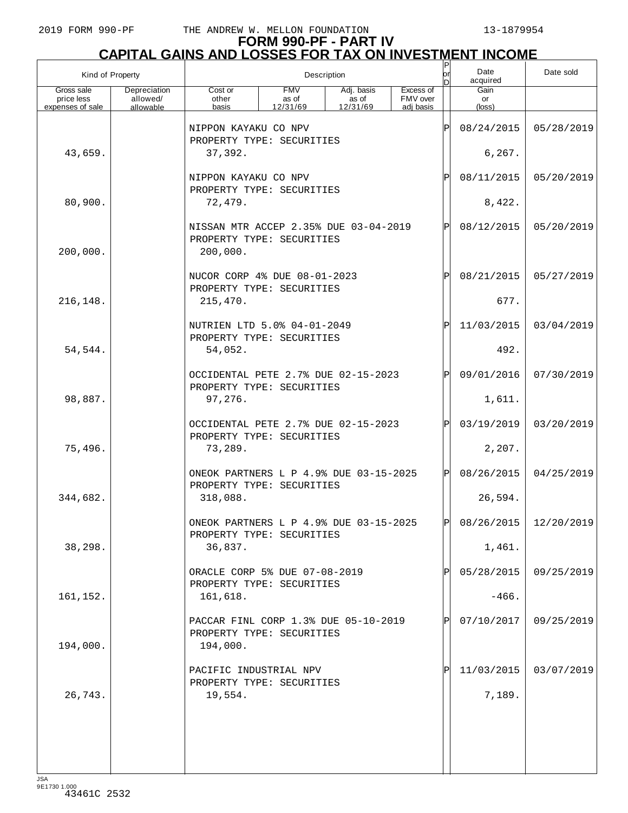| Kind of Property                             |                                       |                                                                     |                                 | Description                     |                                    | P<br>lor | Date<br>acquired     | Date sold             |
|----------------------------------------------|---------------------------------------|---------------------------------------------------------------------|---------------------------------|---------------------------------|------------------------------------|----------|----------------------|-----------------------|
| Gross sale<br>price less<br>expenses of sale | Depreciation<br>allowed/<br>allowable | Cost or<br>other<br>basis                                           | <b>FMV</b><br>as of<br>12/31/69 | Adj. basis<br>as of<br>12/31/69 | Excess of<br>FMV over<br>adj basis |          | Gain<br>or<br>(loss) |                       |
|                                              |                                       |                                                                     |                                 |                                 |                                    |          |                      |                       |
|                                              |                                       | NIPPON KAYAKU CO NPV<br>PROPERTY TYPE: SECURITIES                   |                                 |                                 |                                    | Ρ        | 08/24/2015           | 05/28/2019            |
| 43,659.                                      |                                       | 37,392.                                                             |                                 |                                 |                                    |          | 6,267.               |                       |
|                                              |                                       | NIPPON KAYAKU CO NPV                                                |                                 |                                 |                                    | Ρ        | 08/11/2015           | 05/20/2019            |
| 80,900.                                      |                                       | 72,479.                                                             | PROPERTY TYPE: SECURITIES       |                                 |                                    |          |                      |                       |
|                                              |                                       | NISSAN MTR ACCEP 2.35% DUE 03-04-2019                               |                                 |                                 |                                    | P        | 08/12/2015           | 05/20/2019            |
| 200,000.                                     |                                       | PROPERTY TYPE: SECURITIES<br>200,000.                               |                                 |                                 |                                    |          |                      |                       |
|                                              |                                       | NUCOR CORP 4% DUE 08-01-2023                                        |                                 |                                 |                                    | Ρ        | 08/21/2015           | 05/27/2019            |
| 216,148.                                     |                                       | PROPERTY TYPE: SECURITIES<br>215,470.                               |                                 |                                 |                                    |          | 677.                 |                       |
|                                              |                                       | NUTRIEN LTD 5.0% 04-01-2049<br>PROPERTY TYPE: SECURITIES            |                                 |                                 |                                    | P        | 11/03/2015           | 03/04/2019            |
| 54,544.                                      |                                       | 54,052.                                                             |                                 |                                 |                                    |          | 492.                 |                       |
|                                              |                                       | OCCIDENTAL PETE 2.7% DUE 02-15-2023<br>PROPERTY TYPE: SECURITIES    |                                 |                                 |                                    | P        | 09/01/2016           | 07/30/2019            |
| 98,887.                                      |                                       | 97,276.                                                             |                                 |                                 |                                    |          | 1,611.               |                       |
|                                              |                                       | OCCIDENTAL PETE 2.7% DUE 02-15-2023<br>PROPERTY TYPE: SECURITIES    |                                 |                                 |                                    | Pl       | 03/19/2019           | 03/20/2019            |
| 75,496.                                      |                                       | 73,289.                                                             |                                 |                                 |                                    |          | 2,207.               |                       |
|                                              |                                       | ONEOK PARTNERS L P 4.9% DUE 03-15-2025<br>PROPERTY TYPE: SECURITIES |                                 |                                 |                                    | P        | 08/26/2015           | 04/25/2019            |
| 344,682.                                     |                                       | 318,088.                                                            |                                 |                                 |                                    |          | 26,594.              |                       |
|                                              |                                       | ONEOK PARTNERS L P 4.9% DUE 03-15-2025<br>PROPERTY TYPE: SECURITIES |                                 |                                 |                                    | Þl       |                      | 08/26/2015 12/20/2019 |
| 38,298.                                      |                                       | 36,837.                                                             |                                 |                                 |                                    |          | 1,461.               |                       |
|                                              |                                       | ORACLE CORP 5% DUE 07-08-2019<br>PROPERTY TYPE: SECURITIES          |                                 |                                 |                                    |          | 05/28/2015           | 09/25/2019            |
| 161,152.                                     |                                       | 161,618.                                                            |                                 |                                 |                                    |          | $-466.$              |                       |
|                                              |                                       | PACCAR FINL CORP 1.3% DUE 05-10-2019<br>PROPERTY TYPE: SECURITIES   |                                 |                                 |                                    |          | 07/10/2017           | 09/25/2019            |
| 194,000.                                     |                                       | 194,000.                                                            |                                 |                                 |                                    |          |                      |                       |
|                                              |                                       | PACIFIC INDUSTRIAL NPV<br>PROPERTY TYPE: SECURITIES                 |                                 |                                 |                                    |          | 11/03/2015           | 03/07/2019            |
| 26,743.                                      |                                       | 19,554.                                                             |                                 |                                 |                                    |          | 7,189.               |                       |
|                                              |                                       |                                                                     |                                 |                                 |                                    |          |                      |                       |
|                                              |                                       |                                                                     |                                 |                                 |                                    |          |                      |                       |
| 194                                          |                                       |                                                                     |                                 |                                 |                                    |          |                      |                       |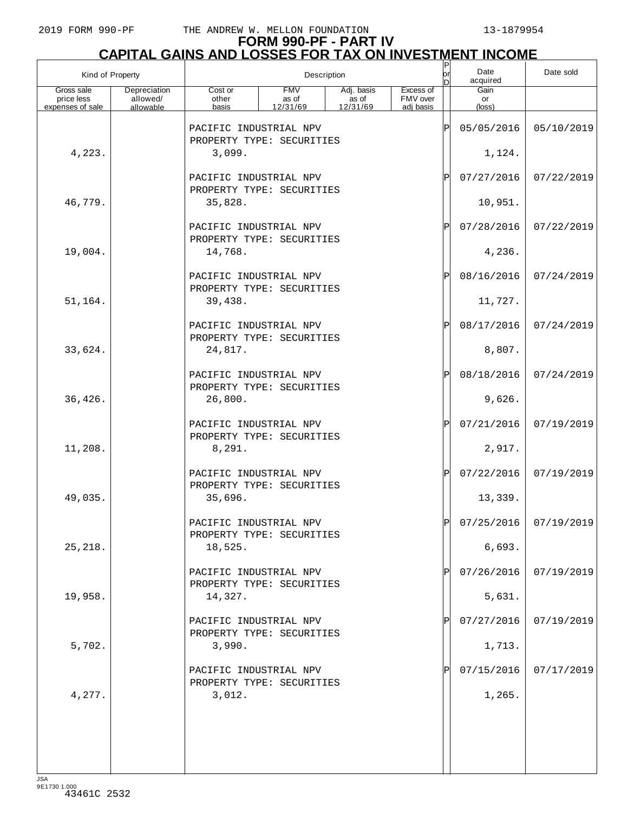# **FORM 990-PF - PART IV CAPITAL GAINS AND LOSSES FOR TAX ON INVESTMENT INCOME** P

| Kind of Property                             |                                       |                                                               |                                 | Description                     |                                    | $\frac{P}{\text{or}}$<br>D | Date<br>acquired              | Date sold               |
|----------------------------------------------|---------------------------------------|---------------------------------------------------------------|---------------------------------|---------------------------------|------------------------------------|----------------------------|-------------------------------|-------------------------|
| Gross sale<br>price less<br>expenses of sale | Depreciation<br>allowed/<br>allowable | Cost or<br>other<br>basis                                     | <b>FMV</b><br>as of<br>12/31/69 | Adj. basis<br>as of<br>12/31/69 | Excess of<br>FMV over<br>adi basis |                            | Gain<br>or<br>$(\text{loss})$ |                         |
|                                              |                                       | PACIFIC INDUSTRIAL NPV                                        |                                 |                                 |                                    | Þ                          | 05/05/2016                    | 05/10/2019              |
| 4,223.                                       |                                       | PROPERTY TYPE: SECURITIES<br>3,099.                           |                                 |                                 |                                    |                            | 1,124.                        |                         |
|                                              |                                       | PACIFIC INDUSTRIAL NPV<br>PROPERTY TYPE: SECURITIES           |                                 |                                 |                                    | P                          | 07/27/2016                    | 07/22/2019              |
| 46,779.                                      |                                       | 35,828.                                                       |                                 |                                 |                                    |                            | 10,951.                       |                         |
|                                              |                                       | PACIFIC INDUSTRIAL NPV<br>PROPERTY TYPE: SECURITIES           |                                 |                                 |                                    | Ρ                          | 07/28/2016                    | 07/22/2019              |
| 19,004.                                      |                                       | 14,768.                                                       |                                 |                                 |                                    |                            | 4,236.                        |                         |
|                                              |                                       | PACIFIC INDUSTRIAL NPV<br>PROPERTY TYPE: SECURITIES           |                                 |                                 |                                    | $_\mathrm{P}$              | 08/16/2016                    | 07/24/2019              |
| 51,164.                                      |                                       | 39,438.                                                       |                                 |                                 |                                    |                            | 11,727.                       |                         |
|                                              |                                       | PACIFIC INDUSTRIAL NPV<br>PROPERTY TYPE: SECURITIES           |                                 |                                 |                                    | Ρ                          | 08/17/2016                    | 07/24/2019              |
| 33,624.                                      |                                       | 24,817.                                                       |                                 |                                 |                                    |                            | 8,807.                        |                         |
|                                              |                                       | PACIFIC INDUSTRIAL NPV<br>PROPERTY TYPE: SECURITIES           |                                 |                                 |                                    | $_\mathrm{P}$              | 08/18/2016                    | 07/24/2019              |
| 36,426.                                      |                                       | 26,800.                                                       |                                 |                                 |                                    |                            | 9,626.                        |                         |
| 11,208.                                      |                                       | PACIFIC INDUSTRIAL NPV<br>PROPERTY TYPE: SECURITIES<br>8,291. |                                 |                                 |                                    | Ρ                          | 07/21/2016<br>2,917.          | 07/19/2019              |
|                                              |                                       | PACIFIC INDUSTRIAL NPV                                        |                                 |                                 |                                    | $\mathbf{P}$               | 07/22/2016                    | 07/19/2019              |
| 49,035.                                      |                                       | PROPERTY TYPE: SECURITIES<br>35,696.                          |                                 |                                 |                                    |                            | 13,339.                       |                         |
|                                              |                                       | PACIFIC INDUSTRIAL NPV                                        |                                 |                                 |                                    | ъI                         |                               | $07/25/2016$ 07/19/2019 |
| 25, 218.                                     |                                       | PROPERTY TYPE: SECURITIES<br>18,525.                          |                                 |                                 |                                    |                            | 6,693.                        |                         |
|                                              |                                       | PACIFIC INDUSTRIAL NPV                                        |                                 |                                 |                                    |                            | 07/26/2016                    | 07/19/2019              |
| 19,958.                                      |                                       | PROPERTY TYPE: SECURITIES<br>14,327.                          |                                 |                                 |                                    |                            | 5,631.                        |                         |
|                                              |                                       | PACIFIC INDUSTRIAL NPV<br>PROPERTY TYPE: SECURITIES           |                                 |                                 |                                    |                            | 07/27/2016                    | 07/19/2019              |
| 5,702.                                       |                                       | 3,990.                                                        |                                 |                                 |                                    |                            | 1,713.                        |                         |
|                                              |                                       | PACIFIC INDUSTRIAL NPV<br>PROPERTY TYPE: SECURITIES           |                                 |                                 |                                    |                            | 07/15/2016                    | 07/17/2019              |
| 4,277.                                       |                                       | 3,012.                                                        |                                 |                                 |                                    |                            | 1,265.                        |                         |
|                                              |                                       |                                                               |                                 |                                 |                                    |                            |                               |                         |
|                                              |                                       |                                                               |                                 |                                 |                                    |                            |                               |                         |
| 10 <sub>0</sub>                              |                                       |                                                               |                                 |                                 |                                    |                            |                               |                         |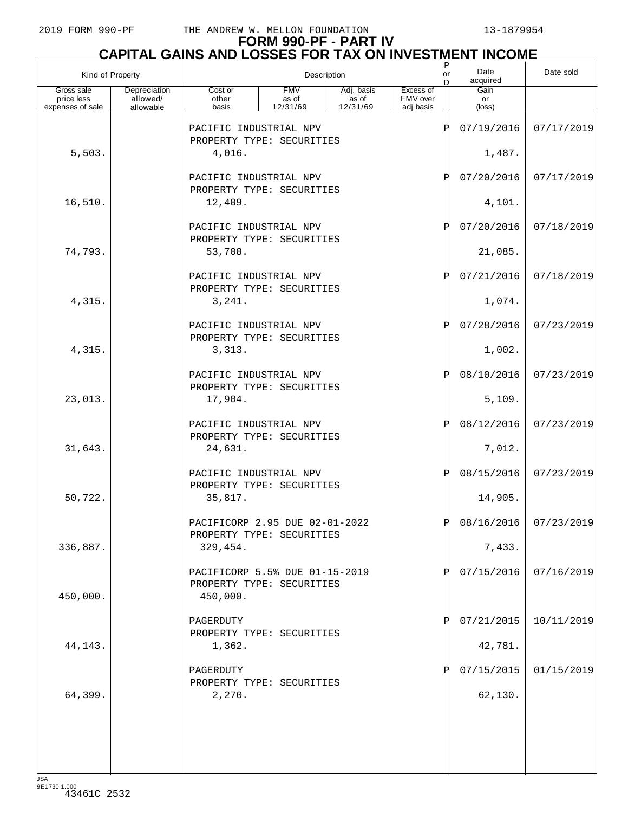# **FORM 990-PF - PART IV CAPITAL GAINS AND LOSSES FOR TAX ON INVESTMENT INCOME**

| Kind of Property         |                          |                                                                         | Description         |                     |                       | $\frac{P}{\text{or}}$<br>In | Date<br>acquired     | Date sold             |
|--------------------------|--------------------------|-------------------------------------------------------------------------|---------------------|---------------------|-----------------------|-----------------------------|----------------------|-----------------------|
| Gross sale<br>price less | Depreciation<br>allowed/ | Cost or<br>other                                                        | <b>FMV</b><br>as of | Adj. basis<br>as of | Excess of<br>FMV over |                             | Gain<br>or           |                       |
| expenses of sale         | allowable                | basis                                                                   | 12/31/69            | 12/31/69            | adi basis             |                             | $(\text{loss})$      |                       |
|                          |                          | PACIFIC INDUSTRIAL NPV<br>PROPERTY TYPE: SECURITIES                     |                     |                     |                       | ΙPΙ                         | 07/19/2016           | 07/17/2019            |
| 5,503.                   |                          | 4,016.                                                                  |                     |                     |                       |                             | 1,487.               |                       |
|                          |                          | PACIFIC INDUSTRIAL NPV<br>PROPERTY TYPE: SECURITIES                     |                     |                     |                       | ΙPΙ                         | 07/20/2016           | 07/17/2019            |
| 16,510.                  |                          | 12,409.                                                                 |                     |                     |                       |                             | 4,101.               |                       |
|                          |                          | PACIFIC INDUSTRIAL NPV<br>PROPERTY TYPE: SECURITIES                     |                     |                     |                       | ΙPΙ                         | 07/20/2016           | 07/18/2019            |
| 74,793.                  |                          | 53,708.                                                                 |                     |                     |                       |                             | 21,085.              |                       |
|                          |                          | PACIFIC INDUSTRIAL NPV<br>PROPERTY TYPE: SECURITIES                     |                     |                     |                       | ΙPΙ                         | 07/21/2016           | 07/18/2019            |
| 4,315.                   |                          | 3,241.<br>PACIFIC INDUSTRIAL NPV                                        |                     |                     |                       |                             | 1,074.<br>07/28/2016 |                       |
| 4,315.                   |                          | PROPERTY TYPE: SECURITIES<br>3,313.                                     |                     |                     |                       | ΙPΙ                         | 1,002.               | 07/23/2019            |
|                          |                          | PACIFIC INDUSTRIAL NPV                                                  |                     |                     |                       | ΙPΙ                         | 08/10/2016           | 07/23/2019            |
| 23,013.                  |                          | PROPERTY TYPE: SECURITIES<br>17,904.                                    |                     |                     |                       |                             | 5,109.               |                       |
|                          |                          | PACIFIC INDUSTRIAL NPV                                                  |                     |                     |                       | ΙPΙ                         | 08/12/2016           | 07/23/2019            |
| 31,643.                  |                          | PROPERTY TYPE: SECURITIES<br>24,631.                                    |                     |                     |                       |                             | 7,012.               |                       |
|                          |                          | PACIFIC INDUSTRIAL NPV<br>PROPERTY TYPE: SECURITIES                     |                     |                     |                       | ΙPΙ                         | 08/15/2016           | 07/23/2019            |
| 50,722.                  |                          | 35,817.                                                                 |                     |                     |                       |                             | 14,905.              |                       |
|                          |                          | PACIFICORP 2.95 DUE 02-01-2022<br>PROPERTY TYPE: SECURITIES             |                     |                     |                       | DI                          |                      | 08/16/2016 07/23/2019 |
| 336,887.                 |                          | 329,454.                                                                |                     |                     |                       |                             | 7,433.               |                       |
| 450,000.                 |                          | PACIFICORP 5.5% DUE 01-15-2019<br>PROPERTY TYPE: SECURITIES<br>450,000. |                     |                     |                       | ΙPΙ                         | 07/15/2016           | 07/16/2019            |
|                          |                          | PAGERDUTY<br>PROPERTY TYPE: SECURITIES                                  |                     |                     |                       |                             | 07/21/2015           | 10/11/2019            |
| 44,143.                  |                          | 1,362.                                                                  |                     |                     |                       |                             | 42,781.              |                       |
|                          |                          | PAGERDUTY<br>PROPERTY TYPE: SECURITIES                                  |                     |                     |                       |                             | 07/15/2015           | 01/15/2019            |
| 64,399.                  |                          | 2,270.                                                                  |                     |                     |                       |                             | 62,130.              |                       |
|                          |                          |                                                                         |                     |                     |                       |                             |                      |                       |
|                          |                          |                                                                         |                     |                     |                       |                             |                      |                       |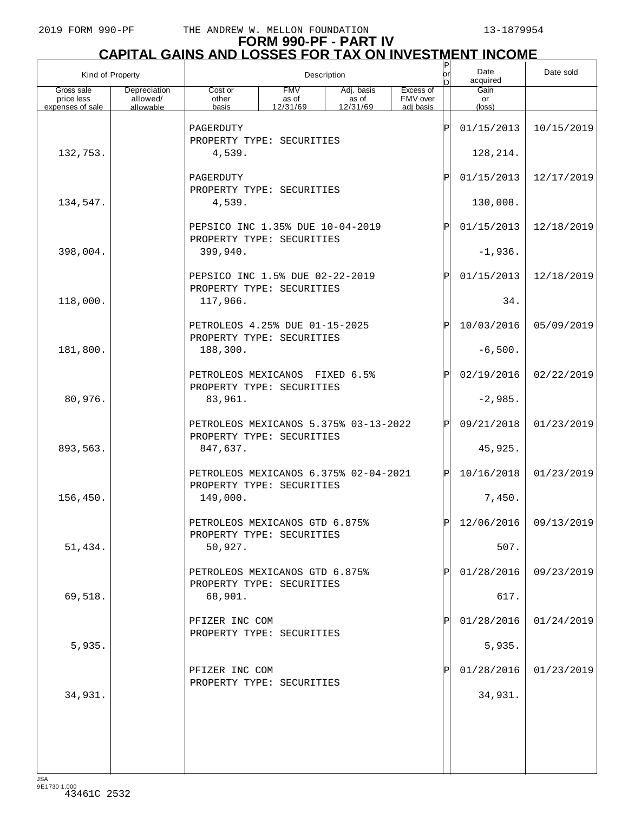# **FORM 990-PF - PART IV CAPITAL GAINS AND LOSSES FOR TAX ON INVESTMENT INCOME** P

| Kind of Property         |                          |                                                                    |                     | Description         |                       | $\sf P$<br>lor<br>ln | Date<br>acquired | Date sold               |
|--------------------------|--------------------------|--------------------------------------------------------------------|---------------------|---------------------|-----------------------|----------------------|------------------|-------------------------|
| Gross sale<br>price less | Depreciation<br>allowed/ | Cost or<br>other                                                   | <b>FMV</b><br>as of | Adj. basis<br>as of | Excess of<br>FMV over |                      | Gain<br>or       |                         |
| expenses of sale         | allowable                | basis                                                              | 12/31/69            | 12/31/69            | adi basis             |                      | (loss)           |                         |
|                          |                          | PAGERDUTY<br>PROPERTY TYPE: SECURITIES                             |                     |                     |                       | ΙP                   | 01/15/2013       | 10/15/2019              |
| 132,753.                 |                          | 4,539.                                                             |                     |                     |                       |                      | 128, 214.        |                         |
|                          |                          | PAGERDUTY<br>PROPERTY TYPE: SECURITIES                             |                     |                     | ΙP                    | 01/15/2013           | 12/17/2019       |                         |
| 134,547.                 |                          | 4,539.                                                             |                     |                     |                       |                      | 130,008.         |                         |
|                          |                          | PEPSICO INC 1.35% DUE 10-04-2019<br>PROPERTY TYPE: SECURITIES      |                     |                     |                       | ΙP                   | 01/15/2013       | 12/18/2019              |
| 398,004.                 |                          | 399,940.                                                           |                     |                     |                       |                      | $-1,936.$        |                         |
|                          |                          | PEPSICO INC 1.5% DUE 02-22-2019<br>PROPERTY TYPE: SECURITIES       |                     |                     |                       | ΙP                   | 01/15/2013       | 12/18/2019              |
| 118,000.                 |                          | 117,966.                                                           |                     |                     |                       |                      | 34.              |                         |
|                          |                          | PETROLEOS 4.25% DUE 01-15-2025<br>PROPERTY TYPE: SECURITIES        |                     |                     |                       | ΙP                   | 10/03/2016       | 05/09/2019              |
| 181,800.                 |                          | 188,300.                                                           |                     |                     |                       |                      | $-6,500.$        |                         |
|                          |                          | PETROLEOS MEXICANOS FIXED 6.5%<br>PROPERTY TYPE: SECURITIES        |                     |                     |                       | ΙP                   | 02/19/2016       | 02/22/2019              |
| 80,976.                  |                          | 83,961.                                                            |                     |                     |                       |                      | $-2,985.$        |                         |
|                          |                          | PETROLEOS MEXICANOS 5.375% 03-13-2022<br>PROPERTY TYPE: SECURITIES |                     |                     |                       | ΙPΙ                  | 09/21/2018       | 01/23/2019              |
| 893,563.                 |                          | 847,637.                                                           |                     |                     |                       |                      | 45,925.          |                         |
|                          |                          | PETROLEOS MEXICANOS 6.375% 02-04-2021<br>PROPERTY TYPE: SECURITIES |                     |                     |                       | ΙPΙ                  | 10/16/2018       | 01/23/2019              |
| 156,450.                 |                          | 149,000.                                                           |                     |                     |                       |                      | 7,450.           |                         |
|                          |                          | PETROLEOS MEXICANOS GTD 6.875%<br>PROPERTY TYPE: SECURITIES        |                     |                     |                       | ח                    |                  | $12/06/2016$ 09/13/2019 |
| 51,434.                  |                          | 50,927.                                                            |                     |                     |                       |                      | 507.             |                         |
|                          |                          | PETROLEOS MEXICANOS GTD 6.875%<br>PROPERTY TYPE: SECURITIES        |                     |                     |                       |                      | 01/28/2016       | 09/23/2019              |
| 69,518.                  |                          | 68,901.                                                            |                     |                     |                       |                      | 617.             |                         |
|                          |                          | PFIZER INC COM<br>PROPERTY TYPE: SECURITIES                        |                     |                     |                       |                      | 01/28/2016       | 01/24/2019              |
| 5,935.                   |                          |                                                                    |                     |                     |                       |                      | 5,935.           |                         |
|                          |                          | PFIZER INC COM<br>PROPERTY TYPE: SECURITIES                        |                     |                     |                       |                      | 01/28/2016       | 01/23/2019              |
| 34,931.                  |                          |                                                                    |                     |                     |                       |                      | 34,931.          |                         |
|                          |                          |                                                                    |                     |                     |                       |                      |                  |                         |
|                          |                          |                                                                    |                     |                     |                       |                      |                  |                         |
|                          |                          |                                                                    |                     |                     |                       |                      |                  |                         |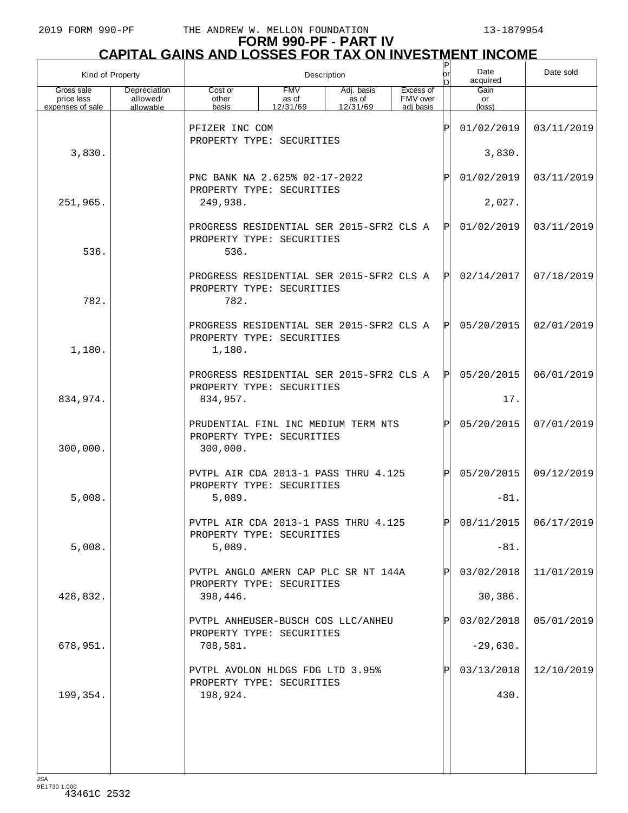# **FORM 990-PF - PART IV CAPITAL GAINS AND LOSSES FOR TAX ON INVESTMENT INCOME**

| Kind of Property                             |                                       |                                                                                 |                                 | Description                     |                                    | Ρ<br>or | Date<br>acquired     | Date sold  |
|----------------------------------------------|---------------------------------------|---------------------------------------------------------------------------------|---------------------------------|---------------------------------|------------------------------------|---------|----------------------|------------|
| Gross sale<br>price less<br>expenses of sale | Depreciation<br>allowed/<br>allowable | Cost or<br>other<br>basis                                                       | <b>FMV</b><br>as of<br>12/31/69 | Adj. basis<br>as of<br>12/31/69 | Excess of<br>FMV over<br>adi basis |         | Gain<br>or<br>(loss) |            |
|                                              |                                       | PFIZER INC COM                                                                  |                                 |                                 |                                    | ΙÞΙ     | 01/02/2019           | 03/11/2019 |
| 3,830.                                       |                                       | PROPERTY TYPE: SECURITIES                                                       |                                 |                                 |                                    | 3,830.  |                      |            |
|                                              |                                       | PNC BANK NA 2.625% 02-17-2022                                                   |                                 |                                 |                                    | ΙPΙ     | 01/02/2019           | 03/11/2019 |
| 251,965.                                     |                                       | PROPERTY TYPE: SECURITIES<br>249,938.                                           |                                 |                                 |                                    |         | 2,027.               |            |
| 536.                                         |                                       | PROGRESS RESIDENTIAL SER 2015-SFR2 CLS A<br>PROPERTY TYPE: SECURITIES<br>536.   |                                 |                                 |                                    | IPI     | 01/02/2019           | 03/11/2019 |
| 782.                                         |                                       | PROGRESS RESIDENTIAL SER 2015-SFR2 CLS A<br>PROPERTY TYPE: SECURITIES<br>782.   |                                 |                                 |                                    | IPI     | 02/14/2017           | 07/18/2019 |
| 1,180.                                       |                                       | PROGRESS RESIDENTIAL SER 2015-SFR2 CLS A<br>PROPERTY TYPE: SECURITIES<br>1,180. |                                 |                                 |                                    | IPI     | 05/20/2015           | 02/01/2019 |
|                                              |                                       | PROGRESS RESIDENTIAL SER 2015-SFR2 CLS A<br>PROPERTY TYPE: SECURITIES           |                                 |                                 |                                    | IPI     | 05/20/2015           | 06/01/2019 |
| 834,974.                                     |                                       | 834,957.                                                                        |                                 |                                 |                                    |         | 17.                  |            |
| 300,000.                                     |                                       | PRUDENTIAL FINL INC MEDIUM TERM NTS<br>PROPERTY TYPE: SECURITIES<br>300,000.    |                                 |                                 |                                    | lÞI     | 05/20/2015           | 07/01/2019 |
|                                              |                                       | PVTPL AIR CDA 2013-1 PASS THRU 4.125<br>PROPERTY TYPE: SECURITIES               |                                 |                                 |                                    | lPl     | 05/20/2015           | 09/12/2019 |
| 5,008.                                       |                                       | 5,089.                                                                          |                                 |                                 |                                    |         | $-81.$               |            |
|                                              |                                       | PVTPL AIR CDA 2013-1 PASS THRU 4.125<br>PROPERTY TYPE: SECURITIES               |                                 |                                 |                                    | ורו     | 08/11/2015           | 06/17/2019 |
| 5,008.                                       |                                       | 5,089.                                                                          |                                 |                                 |                                    |         | $-81.$               |            |
|                                              |                                       | PVTPL ANGLO AMERN CAP PLC SR NT 144A<br>PROPERTY TYPE: SECURITIES               |                                 |                                 |                                    | ΙPΙ     | 03/02/2018           | 11/01/2019 |
| 428,832.                                     |                                       | 398,446.                                                                        |                                 |                                 |                                    |         | 30,386.              |            |
|                                              |                                       | PVTPL ANHEUSER-BUSCH COS LLC/ANHEU<br>PROPERTY TYPE: SECURITIES                 |                                 |                                 |                                    | ΙPΙ     | 03/02/2018           | 05/01/2019 |
| 678,951.                                     |                                       | 708,581.                                                                        |                                 |                                 |                                    |         | $-29,630.$           |            |
|                                              |                                       | PVTPL AVOLON HLDGS FDG LTD 3.95%<br>PROPERTY TYPE: SECURITIES                   |                                 |                                 |                                    | ΙPΙ     | 03/13/2018           | 12/10/2019 |
| 199,354.                                     |                                       | 198,924.                                                                        |                                 |                                 |                                    |         | 430.                 |            |
|                                              |                                       |                                                                                 |                                 |                                 |                                    |         |                      |            |
|                                              |                                       |                                                                                 |                                 |                                 |                                    |         |                      |            |
|                                              |                                       |                                                                                 |                                 |                                 |                                    |         |                      |            |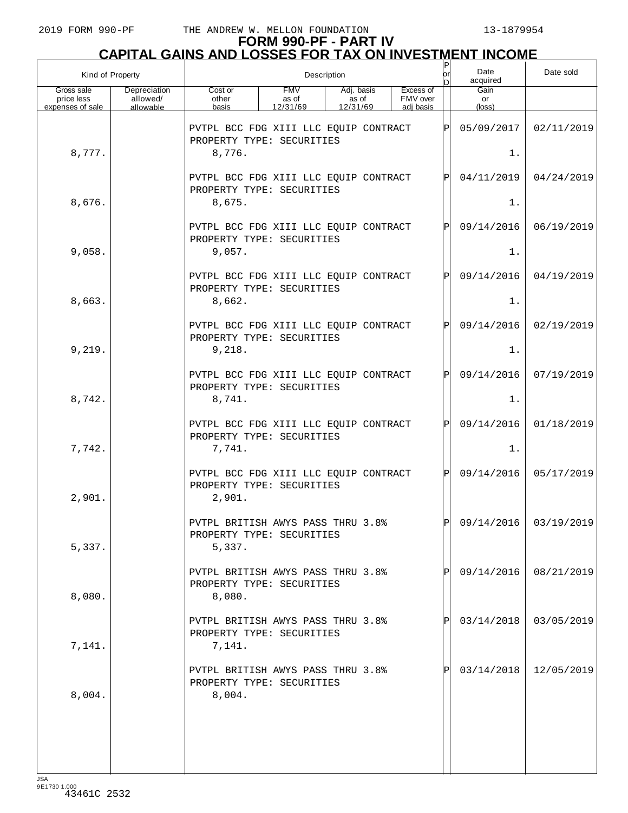| Kind of Property                             |                                       | Description                                                                  |                                 |                                 |  |                                    |              | Date<br>acquired              | Date sold             |
|----------------------------------------------|---------------------------------------|------------------------------------------------------------------------------|---------------------------------|---------------------------------|--|------------------------------------|--------------|-------------------------------|-----------------------|
| Gross sale<br>price less<br>expenses of sale | Depreciation<br>allowed/<br>allowable | Cost or<br>other<br>basis                                                    | <b>FMV</b><br>as of<br>12/31/69 | Adj. basis<br>as of<br>12/31/69 |  | Excess of<br>FMV over<br>adi basis |              | Gain<br>or<br>$(\text{loss})$ |                       |
|                                              |                                       | PVTPL BCC FDG XIII LLC EQUIP CONTRACT<br>PROPERTY TYPE: SECURITIES           |                                 |                                 |  |                                    | ΙPΙ          | 05/09/2017                    | 02/11/2019            |
| 8,777.                                       |                                       | 8,776.                                                                       |                                 |                                 |  |                                    |              | $1$ .                         |                       |
|                                              |                                       | PVTPL BCC FDG XIII LLC EQUIP CONTRACT<br>PROPERTY TYPE: SECURITIES           |                                 |                                 |  |                                    | $\mathsf{P}$ | 04/11/2019                    | 04/24/2019            |
| 8,676.                                       |                                       | 8,675.                                                                       |                                 |                                 |  |                                    |              | $1$ .                         |                       |
|                                              |                                       | PVTPL BCC FDG XIII LLC EQUIP CONTRACT<br>PROPERTY TYPE: SECURITIES           |                                 |                                 |  |                                    | $\mathsf{P}$ | 09/14/2016                    | 06/19/2019            |
| 9,058.                                       |                                       | 9,057.                                                                       |                                 |                                 |  |                                    |              | $1$ .                         |                       |
|                                              |                                       | PVTPL BCC FDG XIII LLC EQUIP CONTRACT<br>PROPERTY TYPE: SECURITIES           |                                 |                                 |  |                                    | $\mathsf{P}$ | 09/14/2016                    | 04/19/2019            |
| 8,663.                                       |                                       | 8,662.                                                                       |                                 |                                 |  |                                    |              | $1$ .                         |                       |
|                                              |                                       | PVTPL BCC FDG XIII LLC EQUIP CONTRACT<br>PROPERTY TYPE: SECURITIES           |                                 |                                 |  |                                    | $\mathsf{P}$ | 09/14/2016                    | 02/19/2019            |
| 9,219.                                       |                                       | 9,218.                                                                       |                                 |                                 |  |                                    |              | $1$ .                         |                       |
|                                              |                                       | PVTPL BCC FDG XIII LLC EQUIP CONTRACT<br>PROPERTY TYPE: SECURITIES           |                                 |                                 |  |                                    | $\mathsf{P}$ | 09/14/2016                    | 07/19/2019            |
| 8,742.                                       |                                       | 8,741.                                                                       |                                 |                                 |  |                                    |              | $1$ .                         |                       |
|                                              |                                       | PVTPL BCC FDG XIII LLC EQUIP CONTRACT<br>PROPERTY TYPE: SECURITIES           |                                 |                                 |  |                                    | $\mathsf{P}$ | 09/14/2016                    | 01/18/2019            |
| 7,742.                                       |                                       | 7,741.                                                                       |                                 |                                 |  |                                    |              | $1$ .                         |                       |
| 2,901.                                       |                                       | PVTPL BCC FDG XIII LLC EQUIP CONTRACT<br>PROPERTY TYPE: SECURITIES<br>2,901. |                                 |                                 |  |                                    | $\mathsf{P}$ | 09/14/2016                    | 05/17/2019            |
| 5,337.                                       |                                       | PVTPL BRITISH AWYS PASS THRU 3.8%<br>PROPERTY TYPE: SECURITIES<br>5,337.     |                                 |                                 |  |                                    | ldl          |                               | 09/14/2016 03/19/2019 |
| 8,080.                                       |                                       | PVTPL BRITISH AWYS PASS THRU 3.8%<br>PROPERTY TYPE: SECURITIES<br>8,080.     |                                 |                                 |  |                                    |              | 09/14/2016                    | 08/21/2019            |
| 7,141.                                       |                                       | PVTPL BRITISH AWYS PASS THRU 3.8%<br>PROPERTY TYPE: SECURITIES<br>7,141.     |                                 |                                 |  |                                    |              | 03/14/2018                    | 03/05/2019            |
| 8,004.                                       |                                       | PVTPL BRITISH AWYS PASS THRU 3.8%<br>PROPERTY TYPE: SECURITIES<br>8,004.     |                                 |                                 |  |                                    |              | 03/14/2018                    | 12/05/2019            |
|                                              |                                       |                                                                              |                                 |                                 |  |                                    |              |                               |                       |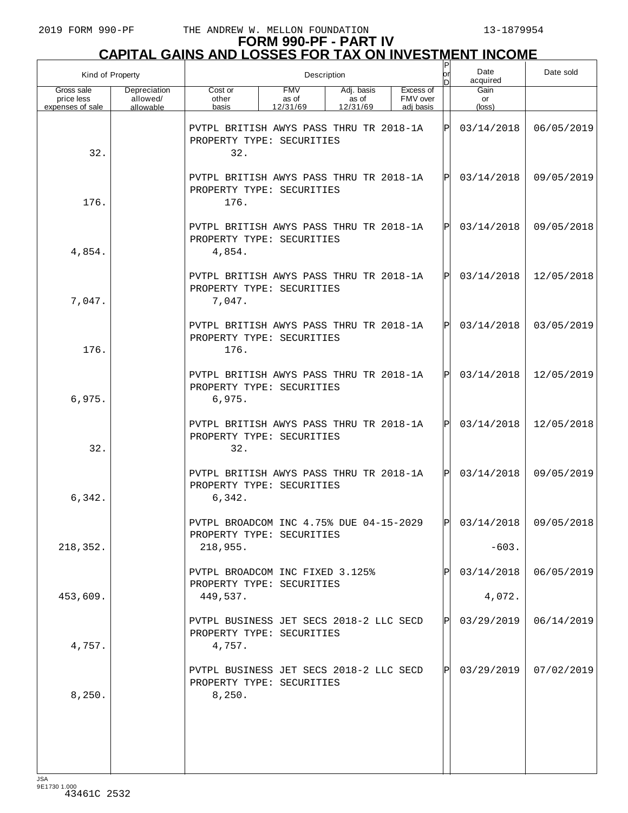# **FORM 990-PF - PART IV CAPITAL GAINS AND LOSSES FOR TAX ON INVESTMENT INCOME**

| Kind of Property                             |                                       | Description                                                                           |                                 |                                 |                                    |     | Date<br>acquired      | Date sold  |
|----------------------------------------------|---------------------------------------|---------------------------------------------------------------------------------------|---------------------------------|---------------------------------|------------------------------------|-----|-----------------------|------------|
| Gross sale<br>price less<br>expenses of sale | Depreciation<br>allowed/<br>allowable | Cost or<br>other<br>basis                                                             | <b>FMV</b><br>as of<br>12/31/69 | Adj. basis<br>as of<br>12/31/69 | Excess of<br>FMV over<br>adi basis |     | Gain<br>or<br>(loss)  |            |
| 32.                                          |                                       | PVTPL BRITISH AWYS PASS THRU TR 2018-1A<br>PROPERTY TYPE: SECURITIES<br>32.           |                                 |                                 |                                    | ΙPΙ | 03/14/2018            | 06/05/2019 |
| 176.                                         |                                       | PVTPL BRITISH AWYS PASS THRU TR 2018-1A<br>PROPERTY TYPE: SECURITIES<br>176.          |                                 |                                 |                                    | ΙPΙ | 03/14/2018            | 09/05/2019 |
| 4,854.                                       |                                       | PVTPL BRITISH AWYS PASS THRU TR 2018-1A<br>PROPERTY TYPE: SECURITIES<br>4,854.        |                                 |                                 |                                    | ΙPΙ | 03/14/2018            | 09/05/2018 |
| 7,047.                                       |                                       | PVTPL BRITISH AWYS PASS THRU TR 2018-1A<br>PROPERTY TYPE: SECURITIES<br>7,047.        |                                 |                                 |                                    | ΙPΙ | 03/14/2018            | 12/05/2018 |
| 176.                                         |                                       | PVTPL BRITISH AWYS PASS THRU TR 2018-1A<br>PROPERTY TYPE: SECURITIES<br>176.          |                                 |                                 |                                    | ΙPΙ | 03/14/2018            | 03/05/2019 |
| 6,975.                                       |                                       | PVTPL BRITISH AWYS PASS THRU TR 2018-1A<br>PROPERTY TYPE: SECURITIES<br>6,975.        |                                 |                                 |                                    | ΙPΙ | 03/14/2018            | 12/05/2019 |
| 32.                                          |                                       | PVTPL BRITISH AWYS PASS THRU TR 2018-1A<br>PROPERTY TYPE: SECURITIES<br>32.           |                                 |                                 |                                    | ΙPΙ | 03/14/2018            | 12/05/2018 |
| 6,342.                                       |                                       | PVTPL BRITISH AWYS PASS THRU TR 2018-1A<br>PROPERTY TYPE: SECURITIES<br>6,342.        |                                 |                                 |                                    | ΙÞΙ | 03/14/2018            | 09/05/2019 |
| 218,352.                                     |                                       | PVTPL BROADCOM INC 4.75% DUE $04-15-2029$  P<br>PROPERTY TYPE: SECURITIES<br>218,955. |                                 |                                 |                                    |     | 03/14/2018<br>$-603.$ | 09/05/2018 |
| 453,609.                                     |                                       | PVTPL BROADCOM INC FIXED 3.125%<br>PROPERTY TYPE: SECURITIES<br>449,537.              |                                 |                                 |                                    |     | 03/14/2018<br>4,072.  | 06/05/2019 |
| 4,757.                                       |                                       | PVTPL BUSINESS JET SECS 2018-2 LLC SECD<br>PROPERTY TYPE: SECURITIES<br>4,757.        |                                 |                                 |                                    | ΙPΙ | 03/29/2019            | 06/14/2019 |
| 8,250.                                       |                                       | PVTPL BUSINESS JET SECS 2018-2 LLC SECD<br>PROPERTY TYPE: SECURITIES<br>8,250.        |                                 |                                 |                                    | ΙPΙ | 03/29/2019            | 07/02/2019 |
|                                              |                                       |                                                                                       |                                 |                                 |                                    |     |                       |            |
|                                              |                                       |                                                                                       |                                 |                                 |                                    |     |                       |            |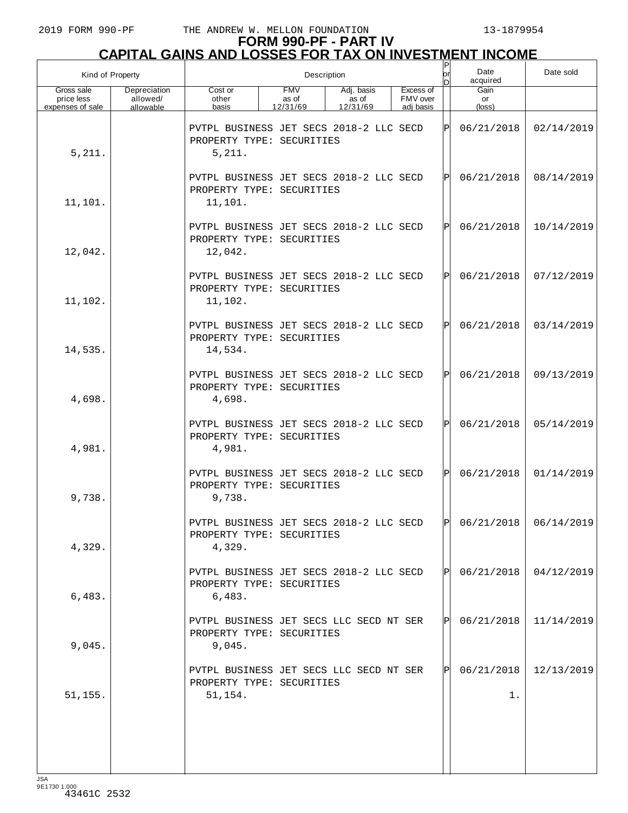# **FORM 990-PF - PART IV CAPITAL GAINS AND LOSSES FOR TAX ON INVESTMENT INCOME** P

| Kind of Property                             |                                       |                                                                                 |                                 | Description                     | Date<br>or<br>acquired<br>ID.      |      |                      | Date sold  |
|----------------------------------------------|---------------------------------------|---------------------------------------------------------------------------------|---------------------------------|---------------------------------|------------------------------------|------|----------------------|------------|
| Gross sale<br>price less<br>expenses of sale | Depreciation<br>allowed/<br>allowable | Cost or<br>other<br>basis                                                       | <b>FMV</b><br>as of<br>12/31/69 | Adj. basis<br>as of<br>12/31/69 | Excess of<br>FMV over<br>adj basis |      | Gain<br>or<br>(loss) |            |
| 5,211.                                       |                                       | PVTPL BUSINESS JET SECS 2018-2 LLC SECD<br>PROPERTY TYPE: SECURITIES<br>5,211.  |                                 |                                 |                                    | ΙP   | 06/21/2018           | 02/14/2019 |
| 11,101.                                      |                                       | PVTPL BUSINESS JET SECS 2018-2 LLC SECD<br>PROPERTY TYPE: SECURITIES<br>11,101. |                                 |                                 |                                    | ΙPΙ  | 06/21/2018           | 08/14/2019 |
| 12,042.                                      |                                       | PVTPL BUSINESS JET SECS 2018-2 LLC SECD<br>PROPERTY TYPE: SECURITIES<br>12,042. |                                 |                                 |                                    | ΙPΙ  | 06/21/2018           | 10/14/2019 |
| 11,102.                                      |                                       | PVTPL BUSINESS JET SECS 2018-2 LLC SECD<br>PROPERTY TYPE: SECURITIES<br>11,102. |                                 |                                 |                                    | ΙPΙ  | 06/21/2018           | 07/12/2019 |
| 14,535.                                      |                                       | PVTPL BUSINESS JET SECS 2018-2 LLC SECD<br>PROPERTY TYPE: SECURITIES<br>14,534. |                                 |                                 |                                    | ΙPΙ  | 06/21/2018           | 03/14/2019 |
| 4,698.                                       |                                       | PVTPL BUSINESS JET SECS 2018-2 LLC SECD<br>PROPERTY TYPE: SECURITIES<br>4,698.  |                                 |                                 |                                    | ΙPΙ  | 06/21/2018           | 09/13/2019 |
| 4,981.                                       |                                       | PVTPL BUSINESS JET SECS 2018-2 LLC SECD<br>PROPERTY TYPE: SECURITIES<br>4,981.  |                                 |                                 |                                    | ΙPΙ  | 06/21/2018           | 05/14/2019 |
| 9,738.                                       |                                       | PVTPL BUSINESS JET SECS 2018-2 LLC SECD<br>PROPERTY TYPE: SECURITIES<br>9,738.  |                                 |                                 |                                    | ΙPΙ  | 06/21/2018           | 01/14/2019 |
| 4,329.                                       |                                       | PVTPL BUSINESS JET SECS 2018-2 LLC SECD<br>PROPERTY TYPE: SECURITIES<br>4,329.  |                                 |                                 |                                    | l pl | 06/21/2018           | 06/14/2019 |
| 6,483.                                       |                                       | PVTPL BUSINESS JET SECS 2018-2 LLC SECD<br>PROPERTY TYPE: SECURITIES<br>6,483.  |                                 |                                 |                                    | IPI  | 06/21/2018           | 04/12/2019 |
| 9,045.                                       |                                       | PVTPL BUSINESS JET SECS LLC SECD NT SER<br>PROPERTY TYPE: SECURITIES<br>9,045.  |                                 |                                 |                                    | IPI  | 06/21/2018           | 11/14/2019 |
| 51, 155.                                     |                                       | PVTPL BUSINESS JET SECS LLC SECD NT SER<br>PROPERTY TYPE: SECURITIES<br>51,154. |                                 |                                 |                                    | IPI  | 06/21/2018<br>1.     | 12/13/2019 |
|                                              |                                       |                                                                                 |                                 |                                 |                                    |      |                      |            |
|                                              |                                       |                                                                                 |                                 |                                 |                                    |      |                      |            |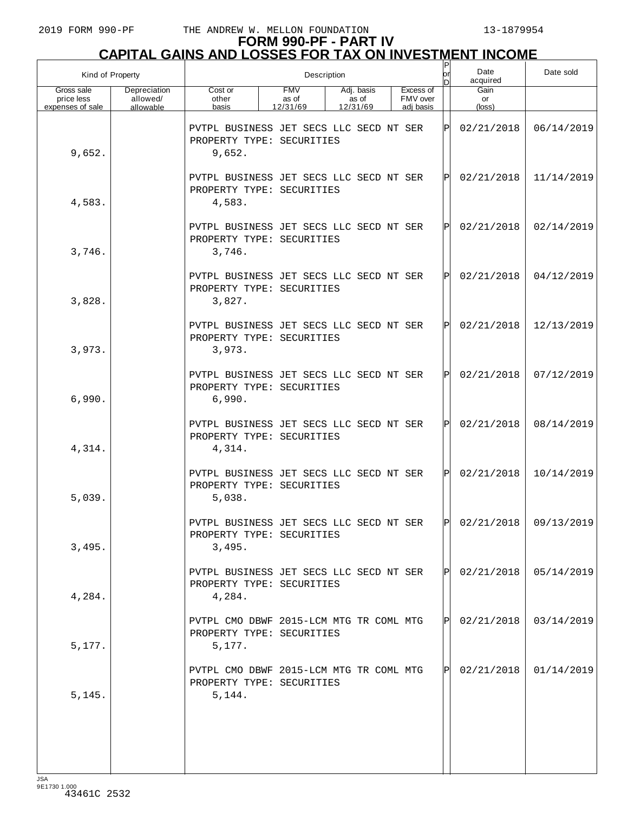| Kind of Property                             | Date<br>Description<br>or<br>acquired |                                                                                |                                 |                                 |  | Date sold                          |              |                               |            |
|----------------------------------------------|---------------------------------------|--------------------------------------------------------------------------------|---------------------------------|---------------------------------|--|------------------------------------|--------------|-------------------------------|------------|
| Gross sale<br>price less<br>expenses of sale | Depreciation<br>allowed/<br>allowable | Cost or<br>other<br>basis                                                      | <b>FMV</b><br>as of<br>12/31/69 | Adj. basis<br>as of<br>12/31/69 |  | Excess of<br>FMV over<br>adj basis |              | Gain<br>or<br>$(\text{loss})$ |            |
| 9,652.                                       |                                       | PVTPL BUSINESS JET SECS LLC SECD NT SER<br>PROPERTY TYPE: SECURITIES<br>9,652. |                                 |                                 |  |                                    | ΙPΙ          | 02/21/2018                    | 06/14/2019 |
| 4,583.                                       |                                       | PVTPL BUSINESS JET SECS LLC SECD NT SER<br>PROPERTY TYPE: SECURITIES<br>4,583. |                                 |                                 |  |                                    | ΙPΙ          | 02/21/2018                    | 11/14/2019 |
| 3,746.                                       |                                       | PVTPL BUSINESS JET SECS LLC SECD NT SER<br>PROPERTY TYPE: SECURITIES<br>3,746. |                                 |                                 |  |                                    | ΙPΙ          | 02/21/2018                    | 02/14/2019 |
| 3,828.                                       |                                       | PVTPL BUSINESS JET SECS LLC SECD NT SER<br>PROPERTY TYPE: SECURITIES<br>3,827. |                                 |                                 |  |                                    | ΙPΙ          | 02/21/2018                    | 04/12/2019 |
| 3,973.                                       |                                       | PVTPL BUSINESS JET SECS LLC SECD NT SER<br>PROPERTY TYPE: SECURITIES<br>3,973. |                                 |                                 |  |                                    | ΙÞΙ          | 02/21/2018                    | 12/13/2019 |
| 6,990.                                       |                                       | PVTPL BUSINESS JET SECS LLC SECD NT SER<br>PROPERTY TYPE: SECURITIES<br>6,990. |                                 |                                 |  |                                    | $\mathsf{P}$ | 02/21/2018                    | 07/12/2019 |
| 4,314.                                       |                                       | PVTPL BUSINESS JET SECS LLC SECD NT SER<br>PROPERTY TYPE: SECURITIES<br>4,314. |                                 |                                 |  |                                    | $\mathbf P$  | 02/21/2018                    | 08/14/2019 |
| 5,039.                                       |                                       | PVTPL BUSINESS JET SECS LLC SECD NT SER<br>PROPERTY TYPE: SECURITIES<br>5,038. |                                 |                                 |  |                                    | ΙÞΙ          | 02/21/2018                    | 10/14/2019 |
| 3,495.                                       |                                       | PVTPL BUSINESS JET SECS LLC SECD NT SER<br>PROPERTY TYPE: SECURITIES<br>3,495. |                                 |                                 |  |                                    | l pl         | $02/21/2018$ 09/13/2019       |            |
| 4,284.                                       |                                       | PVTPL BUSINESS JET SECS LLC SECD NT SER<br>PROPERTY TYPE: SECURITIES<br>4,284. |                                 |                                 |  |                                    | IPI          | 02/21/2018                    | 05/14/2019 |
| 5,177.                                       |                                       | PVTPL CMO DBWF 2015-LCM MTG TR COML MTG<br>PROPERTY TYPE: SECURITIES<br>5,177. |                                 |                                 |  |                                    | IPI          | 02/21/2018                    | 03/14/2019 |
| 5, 145.                                      |                                       | PVTPL CMO DBWF 2015-LCM MTG TR COML MTG<br>PROPERTY TYPE: SECURITIES<br>5,144. |                                 |                                 |  |                                    | IPI          | 02/21/2018                    | 01/14/2019 |
|                                              |                                       |                                                                                |                                 |                                 |  |                                    |              |                               |            |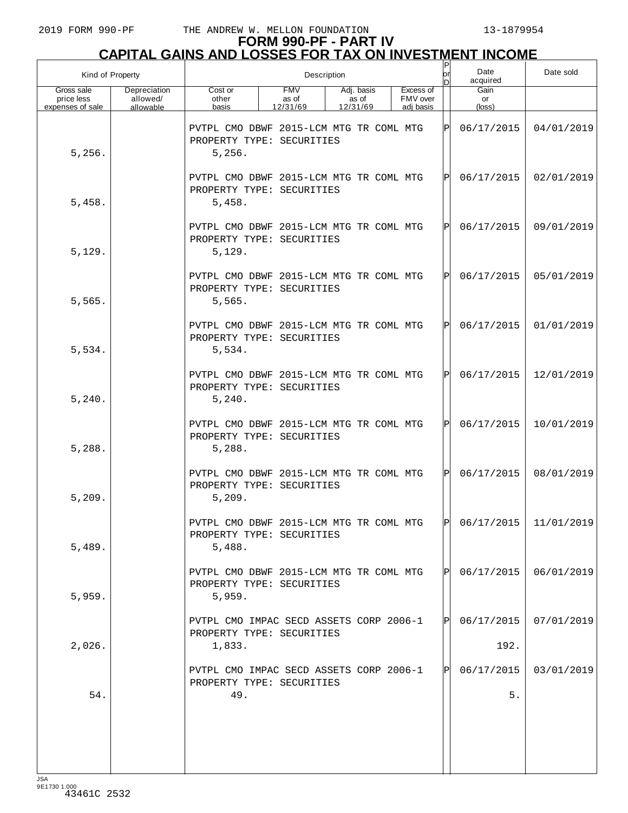| Kind of Property                             |                                       | Description                                                                    |                                 |                                 |  |                                    |     | Date<br>acquired                      | Date sold  |
|----------------------------------------------|---------------------------------------|--------------------------------------------------------------------------------|---------------------------------|---------------------------------|--|------------------------------------|-----|---------------------------------------|------------|
| Gross sale<br>price less<br>expenses of sale | Depreciation<br>allowed/<br>allowable | Cost or<br>other<br>basis                                                      | <b>FMV</b><br>as of<br>12/31/69 | Adj. basis<br>as of<br>12/31/69 |  | Excess of<br>FMV over<br>adj basis |     | Gain<br>or<br>$(\text{loss})$         |            |
| 5,256.                                       |                                       | PVTPL CMO DBWF 2015-LCM MTG TR COML MTG<br>PROPERTY TYPE: SECURITIES<br>5,256. |                                 |                                 |  |                                    | ΙPΙ | 06/17/2015                            | 04/01/2019 |
| 5,458.                                       |                                       | PVTPL CMO DBWF 2015-LCM MTG TR COML MTG<br>PROPERTY TYPE: SECURITIES<br>5,458. |                                 |                                 |  |                                    | ΙPΙ | 06/17/2015                            | 02/01/2019 |
| 5,129.                                       |                                       | PVTPL CMO DBWF 2015-LCM MTG TR COML MTG<br>PROPERTY TYPE: SECURITIES<br>5,129. |                                 |                                 |  |                                    | ΙÞΙ | 06/17/2015                            | 09/01/2019 |
| 5,565.                                       |                                       | PVTPL CMO DBWF 2015-LCM MTG TR COML MTG<br>PROPERTY TYPE: SECURITIES<br>5,565. |                                 |                                 |  |                                    | ΙPΙ | 06/17/2015                            | 05/01/2019 |
| 5,534.                                       |                                       | PVTPL CMO DBWF 2015-LCM MTG TR COML MTG<br>PROPERTY TYPE: SECURITIES<br>5,534. |                                 |                                 |  |                                    | lPl | 06/17/2015                            | 01/01/2019 |
| 5,240.                                       |                                       | PVTPL CMO DBWF 2015-LCM MTG TR COML MTG<br>PROPERTY TYPE: SECURITIES<br>5,240. |                                 |                                 |  |                                    | ΙPΙ | 06/17/2015                            | 12/01/2019 |
| 5,288.                                       |                                       | PVTPL CMO DBWF 2015-LCM MTG TR COML MTG<br>PROPERTY TYPE: SECURITIES<br>5,288. |                                 |                                 |  |                                    | IPI | 06/17/2015                            | 10/01/2019 |
| 5,209.                                       |                                       | PVTPL CMO DBWF 2015-LCM MTG TR COML MTG<br>PROPERTY TYPE: SECURITIES<br>5,209. |                                 |                                 |  |                                    | ΙÞΙ | 06/17/2015                            | 08/01/2019 |
| 5,489.                                       |                                       | PVTPL CMO DBWF 2015-LCM MTG TR COML MTG<br>PROPERTY TYPE: SECURITIES<br>5,488. |                                 |                                 |  |                                    |     | $ {\bf p} $ 06/17/2015 $ $ 11/01/2019 |            |
| 5,959.                                       |                                       | PVTPL CMO DBWF 2015-LCM MTG TR COML MTG<br>PROPERTY TYPE: SECURITIES<br>5,959. |                                 |                                 |  |                                    | IPL | 06/17/2015                            | 06/01/2019 |
| 2,026.                                       |                                       | PVTPL CMO IMPAC SECD ASSETS CORP 2006-1<br>PROPERTY TYPE: SECURITIES<br>1,833. |                                 |                                 |  |                                    | IPL | 06/17/2015<br>192.                    | 07/01/2019 |
| 54.                                          |                                       | PVTPL CMO IMPAC SECD ASSETS CORP 2006-1<br>PROPERTY TYPE: SECURITIES<br>49.    |                                 |                                 |  |                                    | IPI | 06/17/2015<br>5.                      | 03/01/2019 |
|                                              |                                       |                                                                                |                                 |                                 |  |                                    |     |                                       |            |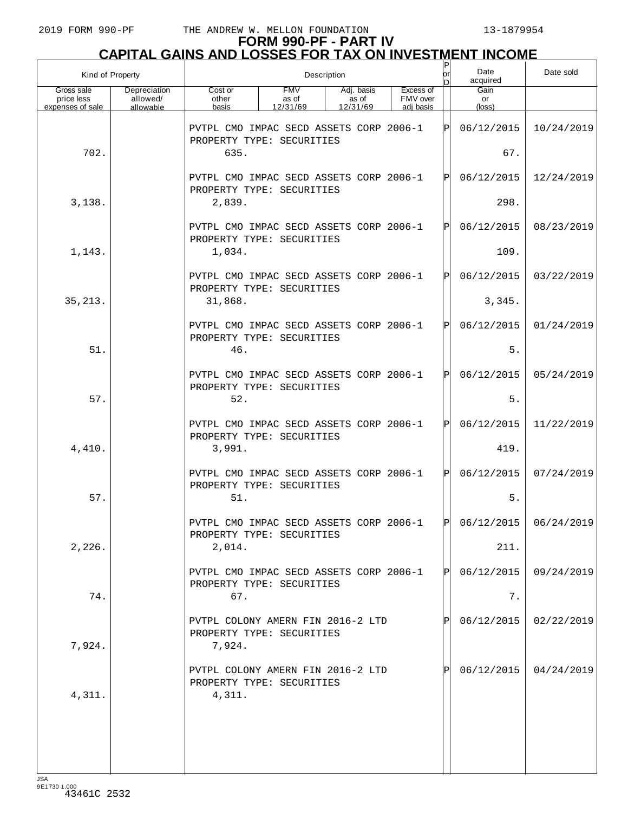# **FORM 990-PF - PART IV CAPITAL GAINS AND LOSSES FOR TAX ON INVESTMENT INCOME**

| Kind of Property                             |                                       | Description                                                              |                                 |                                 |                                    |              | Date<br>acquired     | Date sold               |
|----------------------------------------------|---------------------------------------|--------------------------------------------------------------------------|---------------------------------|---------------------------------|------------------------------------|--------------|----------------------|-------------------------|
| Gross sale<br>price less<br>expenses of sale | Depreciation<br>allowed/<br>allowable | Cost or<br>other<br>basis                                                | <b>FMV</b><br>as of<br>12/31/69 | Adj. basis<br>as of<br>12/31/69 | Excess of<br>FMV over<br>adj basis |              | Gain<br>or<br>(loss) |                         |
|                                              |                                       | PVTPL CMO IMPAC SECD ASSETS CORP 2006-1<br>PROPERTY TYPE: SECURITIES     |                                 |                                 |                                    | ΙP           | 06/12/2015           | 10/24/2019              |
| 702.                                         |                                       | 635.                                                                     |                                 |                                 |                                    |              | 67.                  |                         |
|                                              |                                       | PVTPL CMO IMPAC SECD ASSETS CORP 2006-1<br>PROPERTY TYPE: SECURITIES     |                                 |                                 |                                    | $\mathbf P$  | 06/12/2015           | 12/24/2019              |
| 3,138.                                       |                                       | 2,839.                                                                   |                                 |                                 |                                    |              | 298.                 |                         |
|                                              |                                       | PVTPL CMO IMPAC SECD ASSETS CORP 2006-1<br>PROPERTY TYPE: SECURITIES     |                                 |                                 |                                    | $\mathbf{P}$ | 06/12/2015           | 08/23/2019              |
| 1,143.                                       |                                       | 1,034.                                                                   |                                 |                                 |                                    |              | 109.                 |                         |
|                                              |                                       | PVTPL CMO IMPAC SECD ASSETS CORP 2006-1<br>PROPERTY TYPE: SECURITIES     |                                 |                                 |                                    | $\mathbf{P}$ | 06/12/2015           | 03/22/2019              |
| 35, 213.                                     |                                       | 31,868.                                                                  |                                 |                                 |                                    |              | 3,345.               |                         |
|                                              |                                       | PVTPL CMO IMPAC SECD ASSETS CORP 2006-1<br>PROPERTY TYPE: SECURITIES     |                                 |                                 |                                    | $\mathbf{P}$ | 06/12/2015           | 01/24/2019              |
| 51.                                          |                                       | 46.                                                                      |                                 |                                 |                                    |              | 5.                   |                         |
|                                              |                                       | PVTPL CMO IMPAC SECD ASSETS CORP 2006-1<br>PROPERTY TYPE: SECURITIES     |                                 |                                 |                                    | $\mathbf P$  | 06/12/2015           | 05/24/2019              |
| 57.                                          |                                       | 52.                                                                      |                                 |                                 |                                    |              | 5.                   |                         |
|                                              |                                       | PVTPL CMO IMPAC SECD ASSETS CORP 2006-1<br>PROPERTY TYPE: SECURITIES     |                                 |                                 |                                    | $\mathbf{P}$ | 06/12/2015           | 11/22/2019              |
| 4,410.                                       |                                       | 3,991.                                                                   |                                 |                                 |                                    |              | 419.                 |                         |
|                                              |                                       | PVTPL CMO IMPAC SECD ASSETS CORP 2006-1<br>PROPERTY TYPE: SECURITIES     |                                 |                                 |                                    | $\mathbf P$  | 06/12/2015           | 07/24/2019              |
| 57.                                          |                                       | 51.                                                                      |                                 |                                 |                                    |              | 5.                   |                         |
|                                              |                                       | PVTPL CMO IMPAC SECD ASSETS CORP 2006-1<br>PROPERTY TYPE: SECURITIES     |                                 |                                 |                                    | l pl         |                      | $06/12/2015$ 06/24/2019 |
| 2,226.                                       |                                       | 2,014.                                                                   |                                 |                                 |                                    |              | 211.                 |                         |
|                                              |                                       | PVTPL CMO IMPAC SECD ASSETS CORP 2006-1<br>PROPERTY TYPE: SECURITIES     |                                 |                                 |                                    | Pl           | 06/12/2015           | 09/24/2019              |
| 74.                                          |                                       | 67.                                                                      |                                 |                                 |                                    |              | $7$ .                |                         |
| 7,924.                                       |                                       | PVTPL COLONY AMERN FIN 2016-2 LTD<br>PROPERTY TYPE: SECURITIES<br>7,924. |                                 |                                 |                                    |              | 06/12/2015           | 02/22/2019              |
| 4,311.                                       |                                       | PVTPL COLONY AMERN FIN 2016-2 LTD<br>PROPERTY TYPE: SECURITIES<br>4,311. |                                 |                                 |                                    |              | 06/12/2015           | 04/24/2019              |
|                                              |                                       |                                                                          |                                 |                                 |                                    |              |                      |                         |
|                                              |                                       |                                                                          |                                 |                                 |                                    |              |                      |                         |
|                                              |                                       |                                                                          |                                 |                                 |                                    |              |                      |                         |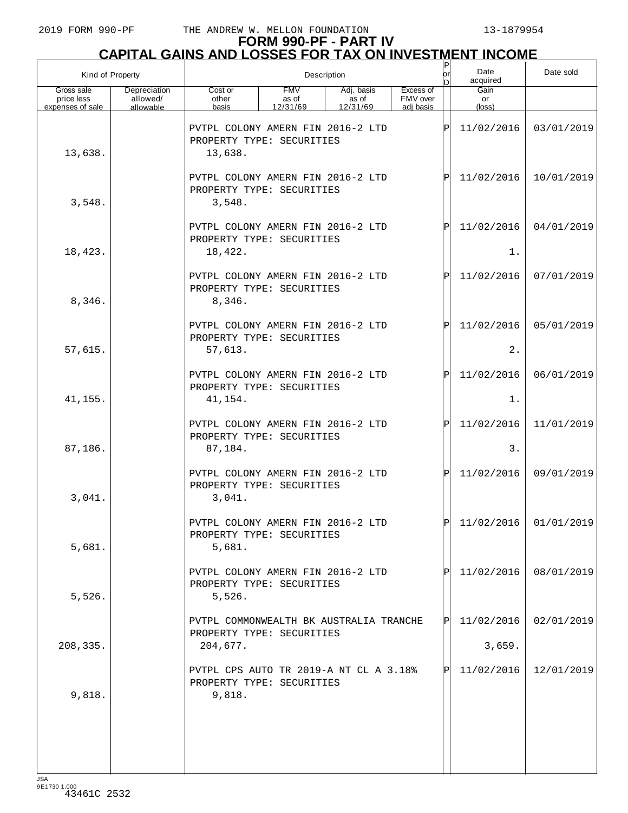|                                              | Kind of Property                      |                                                                                  | Description                     | or<br>n                         | Date<br>acquired                   | Date sold    |                      |                         |
|----------------------------------------------|---------------------------------------|----------------------------------------------------------------------------------|---------------------------------|---------------------------------|------------------------------------|--------------|----------------------|-------------------------|
| Gross sale<br>price less<br>expenses of sale | Depreciation<br>allowed/<br>allowable | Cost or<br>other<br>basis                                                        | <b>FMV</b><br>as of<br>12/31/69 | Adj. basis<br>as of<br>12/31/69 | Excess of<br>FMV over<br>adi basis |              | Gain<br>or<br>(loss) |                         |
| 13,638.                                      |                                       | PVTPL COLONY AMERN FIN 2016-2 LTD<br>PROPERTY TYPE: SECURITIES<br>13,638.        |                                 |                                 |                                    | ΙP           | 11/02/2016           | 03/01/2019              |
| 3,548.                                       |                                       | PVTPL COLONY AMERN FIN 2016-2 LTD<br>PROPERTY TYPE: SECURITIES<br>3,548.         |                                 |                                 |                                    | $\mathbf P$  | 11/02/2016           | 10/01/2019              |
| 18,423.                                      |                                       | PVTPL COLONY AMERN FIN 2016-2 LTD<br>PROPERTY TYPE: SECURITIES<br>18,422.        |                                 |                                 |                                    | $\mathbf P$  | 11/02/2016<br>1.     | 04/01/2019              |
|                                              |                                       | PVTPL COLONY AMERN FIN 2016-2 LTD<br>PROPERTY TYPE: SECURITIES                   |                                 |                                 |                                    | $\mathsf{P}$ | 11/02/2016           | 07/01/2019              |
| 8,346.                                       |                                       | 8,346.<br>PVTPL COLONY AMERN FIN 2016-2 LTD<br>PROPERTY TYPE: SECURITIES         |                                 |                                 |                                    | $\mathbf{P}$ | 11/02/2016           | 05/01/2019              |
| 57,615.                                      |                                       | 57,613.<br>PVTPL COLONY AMERN FIN 2016-2 LTD<br>PROPERTY TYPE: SECURITIES        |                                 |                                 |                                    | $\mathbf{P}$ | 2.<br>11/02/2016     | 06/01/2019              |
| 41,155.                                      |                                       | 41,154.                                                                          |                                 |                                 |                                    |              | $1$ .                |                         |
| 87,186.                                      |                                       | PVTPL COLONY AMERN FIN 2016-2 LTD<br>PROPERTY TYPE: SECURITIES<br>87,184.        |                                 |                                 |                                    | $\mathbf P$  | 11/02/2016<br>3.     | 11/01/2019              |
| 3,041.                                       |                                       | PVTPL COLONY AMERN FIN 2016-2 LTD<br>PROPERTY TYPE: SECURITIES<br>3,041.         |                                 |                                 |                                    | ΙPΙ          | 11/02/2016           | 09/01/2019              |
| 5,681.                                       |                                       | PVTPL COLONY AMERN FIN 2016-2 LTD<br>PROPERTY TYPE: SECURITIES<br>5,681.         |                                 |                                 |                                    | lÞI.         |                      | $11/02/2016$ 01/01/2019 |
| 5,526.                                       |                                       | PVTPL COLONY AMERN FIN 2016-2 LTD<br>PROPERTY TYPE: SECURITIES<br>5,526.         |                                 |                                 |                                    |              | 11/02/2016           | 08/01/2019              |
| 208,335.                                     |                                       | PVTPL COMMONWEALTH BK AUSTRALIA TRANCHE<br>PROPERTY TYPE: SECURITIES<br>204,677. |                                 |                                 |                                    | ΙÞΙ          | 11/02/2016<br>3,659. | 02/01/2019              |
| 9,818.                                       |                                       | PVTPL CPS AUTO TR 2019-A NT CL A 3.18%<br>PROPERTY TYPE: SECURITIES<br>9,818.    |                                 |                                 |                                    | Þl           | 11/02/2016           | 12/01/2019              |
|                                              |                                       |                                                                                  |                                 |                                 |                                    |              |                      |                         |
|                                              |                                       |                                                                                  |                                 |                                 |                                    |              |                      |                         |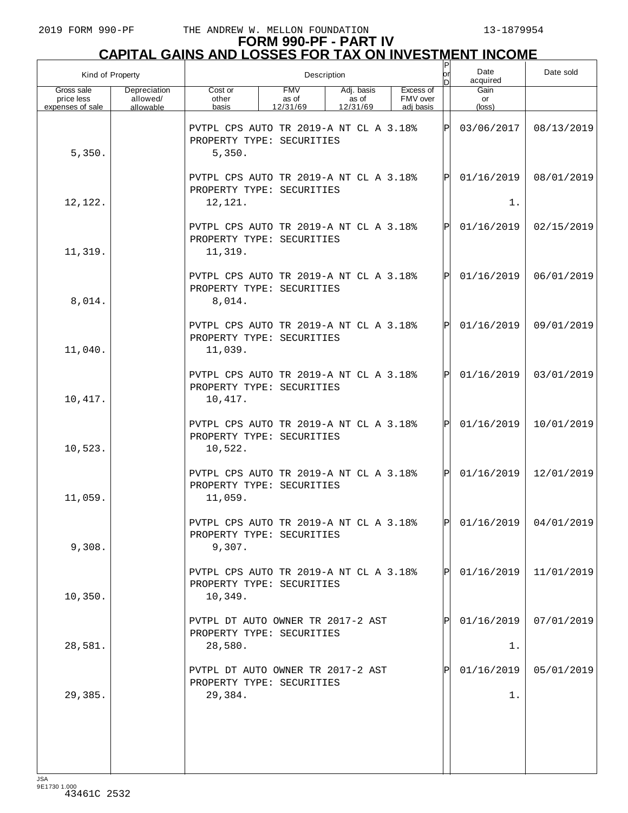| Kind of Property                             |                                       |                                                                                | Description                     | Ρ<br>or<br>n                    | Date<br>acquired                   | Date sold |                      |            |
|----------------------------------------------|---------------------------------------|--------------------------------------------------------------------------------|---------------------------------|---------------------------------|------------------------------------|-----------|----------------------|------------|
| Gross sale<br>price less<br>expenses of sale | Depreciation<br>allowed/<br>allowable | Cost or<br>other<br>basis                                                      | <b>FMV</b><br>as of<br>12/31/69 | Adj. basis<br>as of<br>12/31/69 | Excess of<br>FMV over<br>adj basis |           | Gain<br>or<br>(loss) |            |
| 5,350.                                       |                                       | PVTPL CPS AUTO TR 2019-A NT CL A 3.18%<br>PROPERTY TYPE: SECURITIES<br>5,350.  |                                 |                                 |                                    | ΙP        | 03/06/2017           | 08/13/2019 |
| 12,122.                                      |                                       | PVTPL CPS AUTO TR 2019-A NT CL A 3.18%<br>PROPERTY TYPE: SECURITIES<br>12,121. |                                 |                                 |                                    | ΙPΙ       | 01/16/2019<br>$1$ .  | 08/01/2019 |
| 11,319.                                      |                                       | PVTPL CPS AUTO TR 2019-A NT CL A 3.18%<br>PROPERTY TYPE: SECURITIES<br>11,319. |                                 |                                 |                                    | ΙPΙ       | 01/16/2019           | 02/15/2019 |
| 8,014.                                       |                                       | PVTPL CPS AUTO TR 2019-A NT CL A 3.18%<br>PROPERTY TYPE: SECURITIES<br>8,014.  |                                 |                                 |                                    | ΙPΙ       | 01/16/2019           | 06/01/2019 |
| 11,040.                                      |                                       | PVTPL CPS AUTO TR 2019-A NT CL A 3.18%<br>PROPERTY TYPE: SECURITIES<br>11,039. |                                 |                                 |                                    | ΙPΙ       | 01/16/2019           | 09/01/2019 |
| 10,417.                                      |                                       | PVTPL CPS AUTO TR 2019-A NT CL A 3.18%<br>PROPERTY TYPE: SECURITIES<br>10,417. |                                 |                                 |                                    | ΙPΙ       | 01/16/2019           | 03/01/2019 |
| 10,523.                                      |                                       | PVTPL CPS AUTO TR 2019-A NT CL A 3.18%<br>PROPERTY TYPE: SECURITIES<br>10,522. |                                 |                                 |                                    | ΙPΙ       | 01/16/2019           | 10/01/2019 |
| 11,059.                                      |                                       | PVTPL CPS AUTO TR 2019-A NT CL A 3.18%<br>PROPERTY TYPE: SECURITIES<br>11,059. |                                 |                                 |                                    | ΙPΙ       | 01/16/2019           | 12/01/2019 |
| 9,308.                                       |                                       | PVTPL CPS AUTO TR 2019-A NT CL A 3.18%<br>PROPERTY TYPE: SECURITIES<br>9,307.  |                                 |                                 |                                    | l DI      | 01/16/2019           | 04/01/2019 |
| 10, 350.                                     |                                       | PVTPL CPS AUTO TR 2019-A NT CL A 3.18%<br>PROPERTY TYPE: SECURITIES<br>10,349. |                                 |                                 |                                    |           | 01/16/2019           | 11/01/2019 |
| 28,581.                                      |                                       | PVTPL DT AUTO OWNER TR 2017-2 AST<br>PROPERTY TYPE: SECURITIES<br>28,580.      |                                 |                                 |                                    |           | 01/16/2019<br>1.     | 07/01/2019 |
| 29,385.                                      |                                       | PVTPL DT AUTO OWNER TR 2017-2 AST<br>PROPERTY TYPE: SECURITIES<br>29,384.      |                                 |                                 |                                    |           | 01/16/2019<br>$1$ .  | 05/01/2019 |
|                                              |                                       |                                                                                |                                 |                                 |                                    |           |                      |            |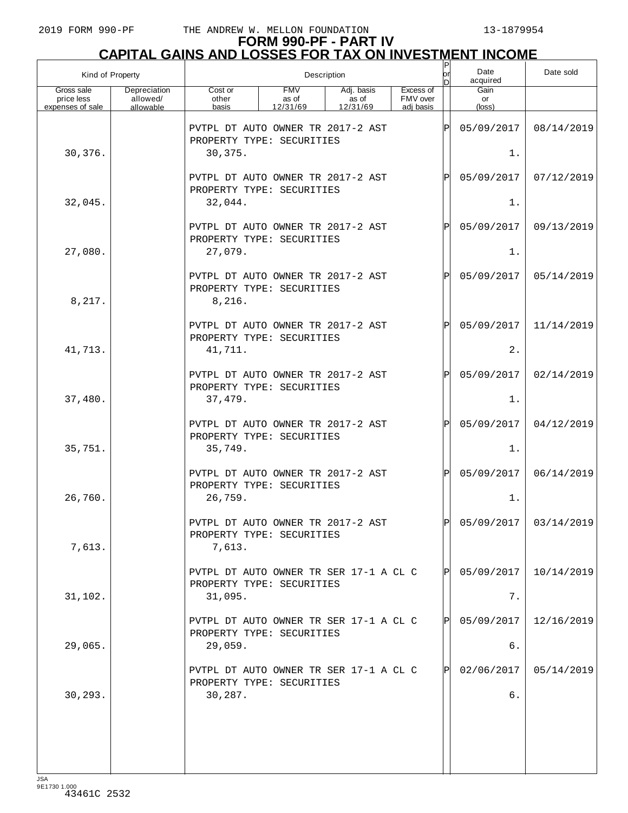| Kind of Property                             |                                       |                                                                           | Description                     | or<br>n                         | Date<br>acquired                   | Date sold |                      |            |
|----------------------------------------------|---------------------------------------|---------------------------------------------------------------------------|---------------------------------|---------------------------------|------------------------------------|-----------|----------------------|------------|
| Gross sale<br>price less<br>expenses of sale | Depreciation<br>allowed/<br>allowable | Cost or<br>other<br>basis                                                 | <b>FMV</b><br>as of<br>12/31/69 | Adj. basis<br>as of<br>12/31/69 | Excess of<br>FMV over<br>adj basis |           | Gain<br>or<br>(loss) |            |
|                                              |                                       | PVTPL DT AUTO OWNER TR 2017-2 AST<br>PROPERTY TYPE: SECURITIES            |                                 |                                 |                                    | ΙPΙ       | 05/09/2017           | 08/14/2019 |
| 30,376.                                      |                                       | 30,375.                                                                   |                                 |                                 |                                    |           | 1.                   |            |
|                                              |                                       | PVTPL DT AUTO OWNER TR 2017-2 AST<br>PROPERTY TYPE: SECURITIES            |                                 |                                 |                                    | ΙPΙ       | 05/09/2017           | 07/12/2019 |
| 32,045.                                      |                                       | 32,044.                                                                   |                                 |                                 |                                    |           | 1.                   |            |
|                                              |                                       | PVTPL DT AUTO OWNER TR 2017-2 AST<br>PROPERTY TYPE: SECURITIES            |                                 |                                 |                                    | ΙPΙ       | 05/09/2017           | 09/13/2019 |
| 27,080.                                      |                                       | 27,079.                                                                   |                                 |                                 |                                    |           | 1.                   |            |
| 8,217.                                       |                                       | PVTPL DT AUTO OWNER TR 2017-2 AST<br>PROPERTY TYPE: SECURITIES<br>8,216.  |                                 |                                 |                                    | ΙPΙ       | 05/09/2017           | 05/14/2019 |
|                                              |                                       | PVTPL DT AUTO OWNER TR 2017-2 AST<br>PROPERTY TYPE: SECURITIES            |                                 |                                 |                                    | ΙPΙ       | 05/09/2017           | 11/14/2019 |
| 41,713.                                      |                                       | 41,711.                                                                   |                                 |                                 |                                    |           | 2.                   |            |
|                                              |                                       | PVTPL DT AUTO OWNER TR 2017-2 AST<br>PROPERTY TYPE: SECURITIES            |                                 |                                 |                                    | ΙPΙ       | 05/09/2017           | 02/14/2019 |
| 37,480.                                      |                                       | 37,479.                                                                   |                                 |                                 |                                    |           | 1.                   |            |
| 35,751.                                      |                                       | PVTPL DT AUTO OWNER TR 2017-2 AST<br>PROPERTY TYPE: SECURITIES<br>35,749. |                                 |                                 |                                    | Þl        | 05/09/2017<br>1.     | 04/12/2019 |
|                                              |                                       | PVTPL DT AUTO OWNER TR 2017-2 AST                                         |                                 |                                 |                                    | ΙPΙ       | 05/09/2017           | 06/14/2019 |
| 26,760.                                      |                                       | PROPERTY TYPE: SECURITIES<br>26,759.                                      |                                 |                                 |                                    |           | 1.                   |            |
| 7,613.                                       |                                       | PVTPL DT AUTO OWNER TR 2017-2 AST<br>PROPERTY TYPE: SECURITIES<br>7,613.  |                                 |                                 |                                    | lÞl       | 05/09/2017           | 03/14/2019 |
|                                              |                                       | PVTPL DT AUTO OWNER TR SER 17-1 A CL C                                    |                                 |                                 |                                    | ΙPΙ       | 05/09/2017           | 10/14/2019 |
| 31,102.                                      |                                       | PROPERTY TYPE: SECURITIES<br>31,095.                                      |                                 |                                 |                                    |           | 7.                   |            |
|                                              |                                       | PVTPL DT AUTO OWNER TR SER 17-1 A CL C<br>PROPERTY TYPE: SECURITIES       |                                 |                                 |                                    | ΙPΙ       | 05/09/2017           | 12/16/2019 |
| 29,065.                                      |                                       | 29,059.                                                                   |                                 |                                 |                                    |           | б.                   |            |
|                                              |                                       | PVTPL DT AUTO OWNER TR SER 17-1 A CL C<br>PROPERTY TYPE: SECURITIES       |                                 |                                 |                                    | IPI       | 02/06/2017           | 05/14/2019 |
| 30,293.                                      |                                       | 30,287.                                                                   |                                 |                                 |                                    |           | б.                   |            |
|                                              |                                       |                                                                           |                                 |                                 |                                    |           |                      |            |
|                                              |                                       |                                                                           |                                 |                                 |                                    |           |                      |            |
|                                              |                                       |                                                                           |                                 |                                 |                                    |           |                      |            |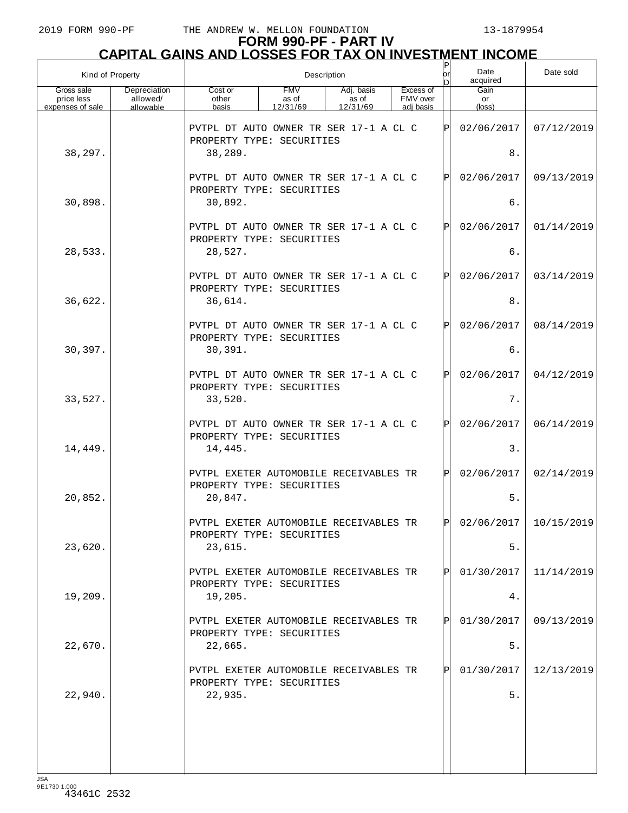| Kind of Property                             |                                       | Ρ<br>Description                                                               |                                 |                                 |  |                                    |     | Date<br>acquired     | Date sold  |
|----------------------------------------------|---------------------------------------|--------------------------------------------------------------------------------|---------------------------------|---------------------------------|--|------------------------------------|-----|----------------------|------------|
| Gross sale<br>price less<br>expenses of sale | Depreciation<br>allowed/<br>allowable | Cost or<br>other<br>basis                                                      | <b>FMV</b><br>as of<br>12/31/69 | Adj. basis<br>as of<br>12/31/69 |  | Excess of<br>FMV over<br>adj basis |     | Gain<br>or<br>(loss) |            |
|                                              |                                       | PVTPL DT AUTO OWNER TR SER 17-1 A CL C<br>PROPERTY TYPE: SECURITIES            |                                 |                                 |  |                                    | ΙPΙ | 02/06/2017           | 07/12/2019 |
| 38,297.                                      |                                       | 38,289.                                                                        |                                 |                                 |  |                                    |     | 8.                   |            |
|                                              |                                       | PVTPL DT AUTO OWNER TR SER 17-1 A CL C<br>PROPERTY TYPE: SECURITIES            |                                 |                                 |  |                                    | ΙÞΙ | 02/06/2017           | 09/13/2019 |
| 30,898.                                      |                                       | 30,892.                                                                        |                                 |                                 |  |                                    |     | б.                   |            |
|                                              |                                       | PVTPL DT AUTO OWNER TR SER 17-1 A CL C<br>PROPERTY TYPE: SECURITIES            |                                 |                                 |  |                                    | ΙPΙ | 02/06/2017           | 01/14/2019 |
| 28,533.                                      |                                       | 28,527.                                                                        |                                 |                                 |  |                                    |     | б.                   |            |
| 36,622.                                      |                                       | PVTPL DT AUTO OWNER TR SER 17-1 A CL C<br>PROPERTY TYPE: SECURITIES<br>36,614. |                                 |                                 |  |                                    | ΙÞΙ | 02/06/2017<br>$8$ .  | 03/14/2019 |
|                                              |                                       |                                                                                |                                 |                                 |  |                                    |     |                      |            |
|                                              |                                       | PVTPL DT AUTO OWNER TR SER 17-1 A CL C<br>PROPERTY TYPE: SECURITIES            |                                 |                                 |  |                                    | ΙÞΙ | 02/06/2017           | 08/14/2019 |
| 30,397.                                      |                                       | 30,391.                                                                        |                                 |                                 |  |                                    |     | б.                   |            |
|                                              |                                       | PVTPL DT AUTO OWNER TR SER 17-1 A CL C<br>PROPERTY TYPE: SECURITIES            |                                 |                                 |  |                                    | ΙÞΙ | 02/06/2017           | 04/12/2019 |
| 33,527.                                      |                                       | 33,520.                                                                        |                                 |                                 |  |                                    |     | 7.                   |            |
|                                              |                                       | PVTPL DT AUTO OWNER TR SER 17-1 A CL C<br>PROPERTY TYPE: SECURITIES            |                                 |                                 |  |                                    | Þl  | 02/06/2017           | 06/14/2019 |
| 14,449.                                      |                                       | 14,445.                                                                        |                                 |                                 |  |                                    |     | 3.                   |            |
|                                              |                                       | PVTPL EXETER AUTOMOBILE RECEIVABLES TR                                         |                                 |                                 |  |                                    | Þl  | 02/06/2017           | 02/14/2019 |
| 20,852.                                      |                                       | PROPERTY TYPE: SECURITIES<br>20,847.                                           |                                 |                                 |  |                                    |     | $5.$                 |            |
|                                              |                                       | PVTPL EXETER AUTOMOBILE RECEIVABLES TR<br>PROPERTY TYPE: SECURITIES            |                                 |                                 |  |                                    | ldl | 02/06/2017           | 10/15/2019 |
| 23,620.                                      |                                       | 23,615.                                                                        |                                 |                                 |  |                                    |     | $5.$                 |            |
|                                              |                                       | PVTPL EXETER AUTOMOBILE RECEIVABLES TR<br>PROPERTY TYPE: SECURITIES            |                                 |                                 |  |                                    | ΙPΙ | 01/30/2017           | 11/14/2019 |
| 19,209.                                      |                                       | 19,205.                                                                        |                                 |                                 |  |                                    |     | 4.                   |            |
|                                              |                                       | PVTPL EXETER AUTOMOBILE RECEIVABLES TR<br>PROPERTY TYPE: SECURITIES            |                                 |                                 |  |                                    | ΙPΙ | 01/30/2017           | 09/13/2019 |
| 22,670.                                      |                                       | 22,665.                                                                        |                                 |                                 |  |                                    |     | $5.$                 |            |
|                                              |                                       | PVTPL EXETER AUTOMOBILE RECEIVABLES TR<br>PROPERTY TYPE: SECURITIES            |                                 |                                 |  |                                    | ΙPΙ | 01/30/2017           | 12/13/2019 |
| 22,940.                                      |                                       | 22,935.                                                                        |                                 |                                 |  |                                    |     | 5.                   |            |
|                                              |                                       |                                                                                |                                 |                                 |  |                                    |     |                      |            |
|                                              |                                       |                                                                                |                                 |                                 |  |                                    |     |                      |            |
|                                              |                                       |                                                                                |                                 |                                 |  |                                    |     |                      |            |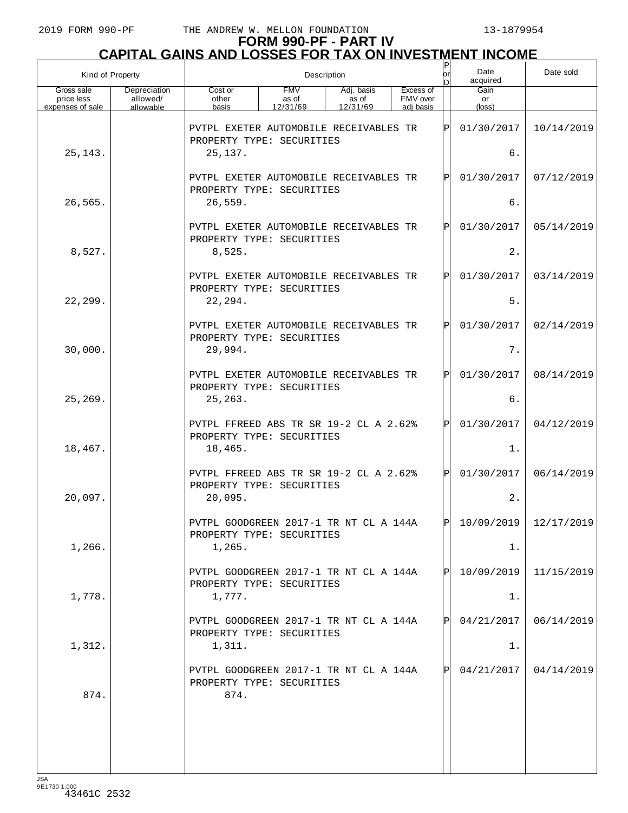# **FORM 990-PF - PART IV CAPITAL GAINS AND LOSSES FOR TAX ON INVESTMENT INCOME**

|                                              | Kind of Property                      |                                                                             | Description                     | Ρ<br>or                         | Date<br>acquired                   | Date sold     |                      |            |
|----------------------------------------------|---------------------------------------|-----------------------------------------------------------------------------|---------------------------------|---------------------------------|------------------------------------|---------------|----------------------|------------|
| Gross sale<br>price less<br>expenses of sale | Depreciation<br>allowed/<br>allowable | Cost or<br>other<br>basis                                                   | <b>FMV</b><br>as of<br>12/31/69 | Adj. basis<br>as of<br>12/31/69 | Excess of<br>FMV over<br>adj basis |               | Gain<br>or<br>(loss) |            |
|                                              |                                       | PVTPL EXETER AUTOMOBILE RECEIVABLES TR<br>PROPERTY TYPE: SECURITIES         |                                 |                                 |                                    | $_\mathrm{P}$ | 01/30/2017           | 10/14/2019 |
| 25, 143.                                     |                                       | 25,137.                                                                     |                                 |                                 | б.                                 |               |                      |            |
|                                              |                                       | PVTPL EXETER AUTOMOBILE RECEIVABLES TR<br>PROPERTY TYPE: SECURITIES         |                                 |                                 |                                    | P             | 01/30/2017           | 07/12/2019 |
| 26,565.                                      |                                       | 26,559.                                                                     |                                 |                                 |                                    | б.            |                      |            |
|                                              |                                       | PVTPL EXETER AUTOMOBILE RECEIVABLES TR<br>PROPERTY TYPE: SECURITIES         |                                 |                                 |                                    | P             | 01/30/2017           | 05/14/2019 |
| 8,527.                                       |                                       | 8,525.                                                                      |                                 |                                 |                                    |               | 2.                   |            |
|                                              |                                       | PVTPL EXETER AUTOMOBILE RECEIVABLES TR<br>PROPERTY TYPE: SECURITIES         |                                 |                                 |                                    | $\mathbf{P}$  | 01/30/2017           | 03/14/2019 |
| 22,299.                                      |                                       | 22,294.                                                                     |                                 |                                 |                                    |               | $5.$                 |            |
|                                              |                                       | PVTPL EXETER AUTOMOBILE RECEIVABLES TR<br>PROPERTY TYPE: SECURITIES         |                                 |                                 |                                    | $\mathbf{P}$  | 01/30/2017           | 02/14/2019 |
| 30,000.                                      |                                       | 29,994.                                                                     |                                 |                                 |                                    |               | $7$ .                |            |
|                                              |                                       | PVTPL EXETER AUTOMOBILE RECEIVABLES TR<br>PROPERTY TYPE: SECURITIES         |                                 |                                 |                                    | $\mathbf{P}$  | 01/30/2017           | 08/14/2019 |
| 25,269.                                      |                                       | 25,263.                                                                     |                                 |                                 |                                    |               | б.                   |            |
|                                              |                                       | PVTPL FFREED ABS TR SR 19-2 CL A 2.62%<br>PROPERTY TYPE: SECURITIES         |                                 |                                 |                                    | $\mathsf{P}$  | 01/30/2017           | 04/12/2019 |
| 18,467.                                      |                                       | 18,465.                                                                     |                                 |                                 |                                    |               | $1$ .                |            |
|                                              |                                       | PVTPL FFREED ABS TR SR 19-2 CL A 2.62%<br>PROPERTY TYPE: SECURITIES         |                                 |                                 |                                    | P             | 01/30/2017           | 06/14/2019 |
| 20,097.                                      |                                       | 20,095.                                                                     |                                 |                                 |                                    |               | 2.                   |            |
|                                              |                                       | PVTPL GOODGREEN 2017-1 TR NT CL A 144A<br>PROPERTY TYPE: SECURITIES         |                                 |                                 |                                    | D             | 10/09/2019           | 12/17/2019 |
| 1,266.                                       |                                       | 1,265.                                                                      |                                 |                                 |                                    |               | 1.                   |            |
|                                              |                                       | PVTPL GOODGREEN 2017-1 TR NT CL A 144A<br>PROPERTY TYPE: SECURITIES         |                                 |                                 |                                    |               | 10/09/2019           | 11/15/2019 |
| 1,778.                                       |                                       | 1,777.                                                                      |                                 |                                 |                                    |               | 1.                   |            |
|                                              |                                       | PVTPL GOODGREEN 2017-1 TR NT CL A 144A<br>PROPERTY TYPE: SECURITIES         |                                 |                                 |                                    |               | 04/21/2017           | 06/14/2019 |
| 1,312.                                       |                                       | 1,311.                                                                      |                                 |                                 |                                    |               | 1.                   |            |
| 874.                                         |                                       | PVTPL GOODGREEN 2017-1 TR NT CL A 144A<br>PROPERTY TYPE: SECURITIES<br>874. |                                 |                                 |                                    |               | 04/21/2017           | 04/14/2019 |
|                                              |                                       |                                                                             |                                 |                                 |                                    |               |                      |            |
|                                              |                                       |                                                                             |                                 |                                 |                                    |               |                      |            |
|                                              |                                       |                                                                             |                                 |                                 |                                    |               |                      |            |
|                                              |                                       |                                                                             |                                 |                                 |                                    |               |                      |            |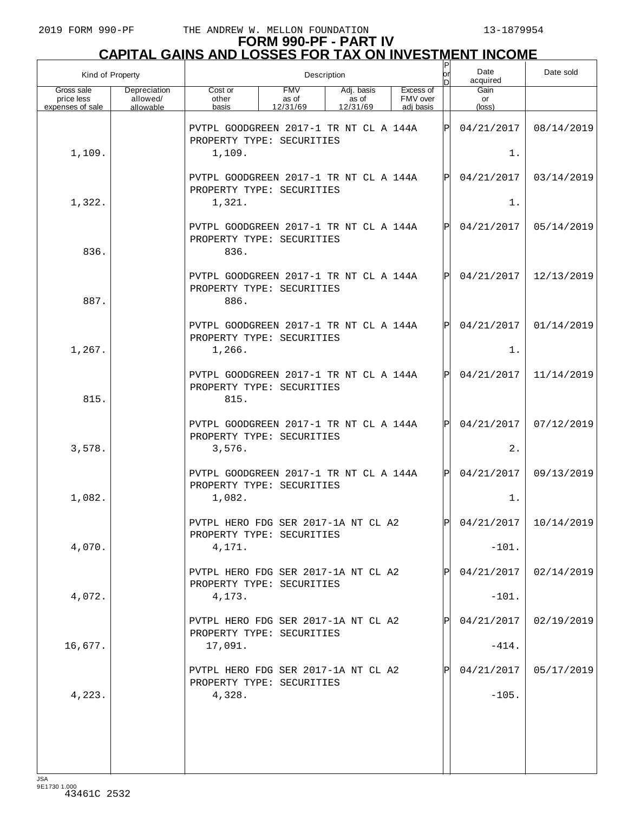| Kind of Property                             |                                       | $\sf P$<br>Description<br>or                                                  |                                 |                                 |                                    |     | Date<br>acquired      | Date sold  |
|----------------------------------------------|---------------------------------------|-------------------------------------------------------------------------------|---------------------------------|---------------------------------|------------------------------------|-----|-----------------------|------------|
| Gross sale<br>price less<br>expenses of sale | Depreciation<br>allowed/<br>allowable | Cost or<br>other<br>basis                                                     | <b>FMV</b><br>as of<br>12/31/69 | Adj. basis<br>as of<br>12/31/69 | Excess of<br>FMV over<br>adj basis |     | Gain<br>or<br>(loss)  |            |
|                                              |                                       | PVTPL GOODGREEN 2017-1 TR NT CL A 144A<br>PROPERTY TYPE: SECURITIES           |                                 |                                 |                                    | ΙPΙ | 04/21/2017            | 08/14/2019 |
| 1,109.                                       |                                       | 1,109.                                                                        |                                 |                                 |                                    |     | $1$ .                 |            |
|                                              |                                       | PVTPL GOODGREEN 2017-1 TR NT CL A 144A<br>PROPERTY TYPE: SECURITIES           |                                 |                                 |                                    | ΙPΙ | 04/21/2017            | 03/14/2019 |
| 1,322.                                       |                                       | 1,321.                                                                        |                                 |                                 |                                    |     | $1$ .                 |            |
| 836.                                         |                                       | PVTPL GOODGREEN 2017-1 TR NT CL A 144A<br>PROPERTY TYPE: SECURITIES<br>836.   |                                 |                                 |                                    | ΙPΙ | 04/21/2017            | 05/14/2019 |
| 887.                                         |                                       | PVTPL GOODGREEN 2017-1 TR NT CL A 144A<br>PROPERTY TYPE: SECURITIES<br>886.   |                                 |                                 |                                    | ΙPΙ | 04/21/2017            | 12/13/2019 |
| 1,267.                                       |                                       | PVTPL GOODGREEN 2017-1 TR NT CL A 144A<br>PROPERTY TYPE: SECURITIES<br>1,266. |                                 |                                 |                                    | ΙPΙ | 04/21/2017<br>$1$ .   | 01/14/2019 |
| 815.                                         |                                       | PVTPL GOODGREEN 2017-1 TR NT CL A 144A<br>PROPERTY TYPE: SECURITIES<br>815.   |                                 |                                 |                                    | ΙPΙ | 04/21/2017            | 11/14/2019 |
| 3,578.                                       |                                       | PVTPL GOODGREEN 2017-1 TR NT CL A 144A<br>PROPERTY TYPE: SECURITIES<br>3,576. |                                 |                                 |                                    | ΙPΙ | 04/21/2017<br>2.      | 07/12/2019 |
| 1,082.                                       |                                       | PVTPL GOODGREEN 2017-1 TR NT CL A 144A<br>PROPERTY TYPE: SECURITIES<br>1,082. |                                 |                                 |                                    | Þl  | 04/21/2017<br>$1$ .   | 09/13/2019 |
|                                              |                                       | PVTPL HERO FDG SER 2017-1A NT CL A2<br>PROPERTY TYPE: SECURITIES              |                                 |                                 |                                    | ldl | 04/21/2017            | 10/14/2019 |
| 4,070.                                       |                                       | 4,171.                                                                        |                                 |                                 |                                    |     | $-101.$               |            |
| 4,072.                                       |                                       | PVTPL HERO FDG SER 2017-1A NT CL A2<br>PROPERTY TYPE: SECURITIES<br>4,173.    |                                 |                                 |                                    |     | 04/21/2017<br>$-101.$ | 02/14/2019 |
|                                              |                                       | PVTPL HERO FDG SER 2017-1A NT CL A2<br>PROPERTY TYPE: SECURITIES              |                                 |                                 |                                    | ΙPΙ | 04/21/2017            | 02/19/2019 |
| 16,677.                                      |                                       | 17,091.                                                                       |                                 |                                 |                                    |     | $-414.$               |            |
|                                              |                                       | PVTPL HERO FDG SER 2017-1A NT CL A2<br>PROPERTY TYPE: SECURITIES              |                                 |                                 |                                    |     | 04/21/2017            | 05/17/2019 |
| 4,223.                                       |                                       | 4,328.                                                                        |                                 |                                 |                                    |     | $-105.$               |            |
|                                              |                                       |                                                                               |                                 |                                 |                                    |     |                       |            |
|                                              |                                       |                                                                               |                                 |                                 |                                    |     |                       |            |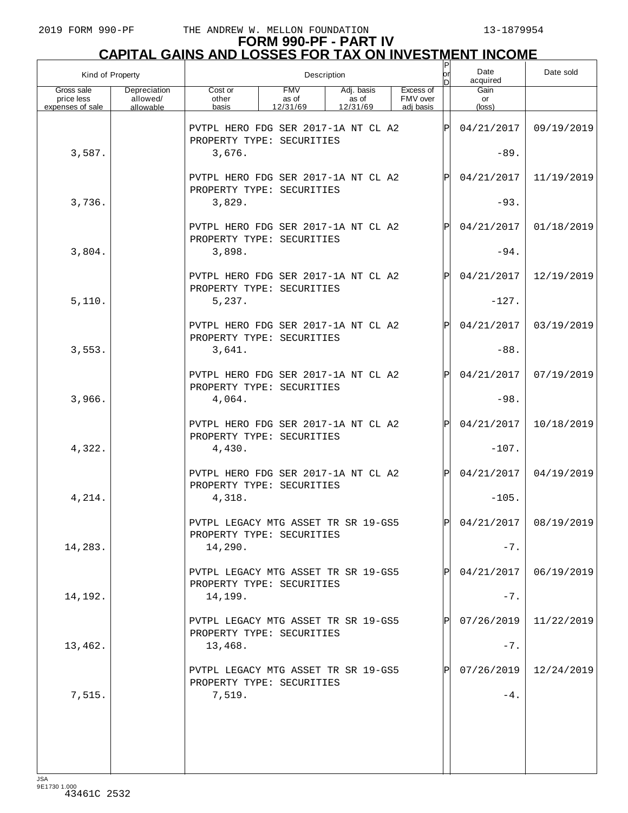| Kind of Property                             |                                       |                                                                             | Description                     | or<br>In.                       | Date<br>acquired                   | Date sold |                       |                         |
|----------------------------------------------|---------------------------------------|-----------------------------------------------------------------------------|---------------------------------|---------------------------------|------------------------------------|-----------|-----------------------|-------------------------|
| Gross sale<br>price less<br>expenses of sale | Depreciation<br>allowed/<br>allowable | Cost or<br>other<br>basis                                                   | <b>FMV</b><br>as of<br>12/31/69 | Adj. basis<br>as of<br>12/31/69 | Excess of<br>FMV over<br>adi basis |           | Gain<br>or<br>(loss)  |                         |
| 3,587.                                       |                                       | PVTPL HERO FDG SER 2017-1A NT CL A2<br>PROPERTY TYPE: SECURITIES<br>3,676.  |                                 |                                 |                                    | ΙP        | 04/21/2017<br>$-89.$  | 09/19/2019              |
|                                              |                                       | PVTPL HERO FDG SER 2017-1A NT CL A2<br>PROPERTY TYPE: SECURITIES            |                                 |                                 |                                    | P         | 04/21/2017            | 11/19/2019              |
| 3,736.                                       |                                       | 3,829.                                                                      |                                 |                                 |                                    |           | $-93.$                |                         |
| 3,804.                                       |                                       | PVTPL HERO FDG SER 2017-1A NT CL A2<br>PROPERTY TYPE: SECURITIES<br>3,898.  |                                 |                                 |                                    | ΙP        | 04/21/2017<br>$-94.$  | 01/18/2019              |
|                                              |                                       | PVTPL HERO FDG SER 2017-1A NT CL A2                                         |                                 |                                 |                                    | ΙP        | 04/21/2017            | 12/19/2019              |
| 5,110.                                       |                                       | PROPERTY TYPE: SECURITIES<br>5,237.                                         |                                 |                                 |                                    |           | $-127.$               |                         |
|                                              |                                       | PVTPL HERO FDG SER 2017-1A NT CL A2<br>PROPERTY TYPE: SECURITIES            |                                 |                                 |                                    | ΙP        | 04/21/2017            | 03/19/2019              |
| 3,553.                                       |                                       | 3,641.                                                                      |                                 |                                 |                                    |           | $-88.$                |                         |
|                                              |                                       | PVTPL HERO FDG SER 2017-1A NT CL A2<br>PROPERTY TYPE: SECURITIES            |                                 |                                 |                                    | ΙP        | 04/21/2017            | 07/19/2019              |
| 3,966.                                       |                                       | 4,064.                                                                      |                                 |                                 |                                    |           | $-98.$                |                         |
| 4,322.                                       |                                       | PVTPL HERO FDG SER 2017-1A NT CL A2<br>PROPERTY TYPE: SECURITIES<br>4,430.  |                                 |                                 |                                    | ΙP        | 04/21/2017<br>$-107.$ | 10/18/2019              |
|                                              |                                       | PVTPL HERO FDG SER 2017-1A NT CL A2                                         |                                 |                                 |                                    | ΙP        | 04/21/2017            | 04/19/2019              |
| 4,214.                                       |                                       | PROPERTY TYPE: SECURITIES<br>4,318.                                         |                                 |                                 |                                    |           | $-105.$               |                         |
| 14,283.                                      |                                       | PVTPL LEGACY MTG ASSET TR SR 19-GS5<br>PROPERTY TYPE: SECURITIES<br>14,290. |                                 |                                 |                                    | ΙÞΙ       | $-7.$                 | $04/21/2017$ 08/19/2019 |
|                                              |                                       | PVTPL LEGACY MTG ASSET TR SR 19-GS5                                         |                                 |                                 |                                    |           | 04/21/2017            | 06/19/2019              |
| 14,192.                                      |                                       | PROPERTY TYPE: SECURITIES<br>14,199.                                        |                                 |                                 |                                    |           | $-7.$                 |                         |
|                                              |                                       | PVTPL LEGACY MTG ASSET TR SR 19-GS5<br>PROPERTY TYPE: SECURITIES            |                                 |                                 |                                    |           | 07/26/2019            | 11/22/2019              |
| 13,462.                                      |                                       | 13,468.                                                                     |                                 |                                 |                                    |           | $-7.$                 |                         |
|                                              |                                       | PVTPL LEGACY MTG ASSET TR SR 19-GS5<br>PROPERTY TYPE: SECURITIES            |                                 |                                 |                                    |           | 07/26/2019            | 12/24/2019              |
| 7,515.                                       |                                       | 7,519.                                                                      |                                 |                                 |                                    |           | $-4$ .                |                         |
|                                              |                                       |                                                                             |                                 |                                 |                                    |           |                       |                         |
|                                              |                                       |                                                                             |                                 |                                 |                                    |           |                       |                         |
|                                              |                                       |                                                                             |                                 |                                 |                                    |           |                       |                         |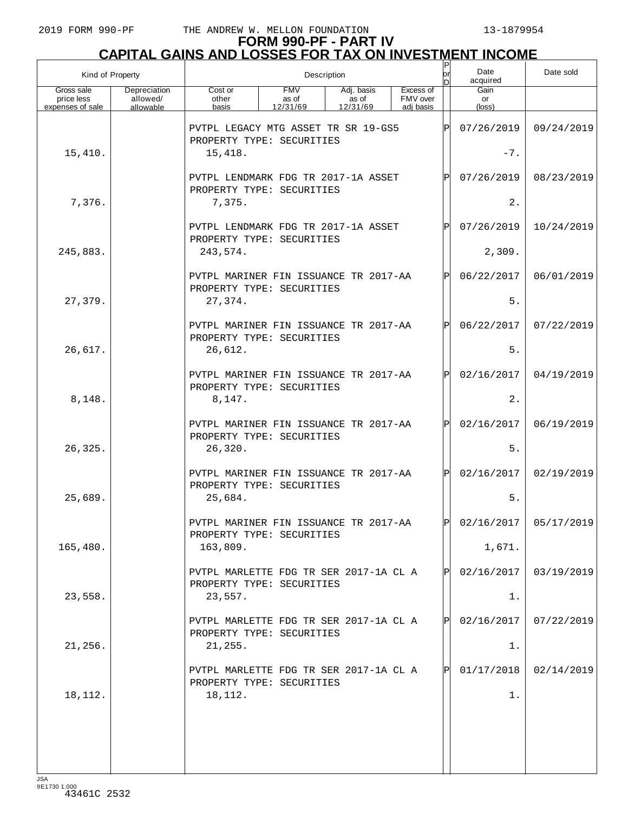|                                              | Kind of Property                      | Description<br>or<br>nl                                                       |                                 |                                 |                                    |       | Date<br>acquired              | Date sold               |
|----------------------------------------------|---------------------------------------|-------------------------------------------------------------------------------|---------------------------------|---------------------------------|------------------------------------|-------|-------------------------------|-------------------------|
| Gross sale<br>price less<br>expenses of sale | Depreciation<br>allowed/<br>allowable | Cost or<br>other<br>basis                                                     | <b>FMV</b><br>as of<br>12/31/69 | Adj. basis<br>as of<br>12/31/69 | Excess of<br>FMV over<br>adi basis |       | Gain<br>or<br>$(\text{loss})$ |                         |
|                                              |                                       | ΙÞΙ<br>PVTPL LEGACY MTG ASSET TR SR 19-GS5<br>PROPERTY TYPE: SECURITIES       |                                 |                                 |                                    |       | 07/26/2019                    | 09/24/2019              |
| 15,410.                                      |                                       | 15,418.                                                                       |                                 |                                 |                                    | $-7.$ |                               |                         |
|                                              |                                       | PVTPL LENDMARK FDG TR 2017-1A ASSET<br>PROPERTY TYPE: SECURITIES              |                                 |                                 |                                    | ΙPΙ   | 07/26/2019                    | 08/23/2019              |
| 7,376.                                       |                                       | 7,375.                                                                        |                                 |                                 |                                    |       | 2.                            |                         |
|                                              |                                       | PVTPL LENDMARK FDG TR 2017-1A ASSET<br>PROPERTY TYPE: SECURITIES              |                                 |                                 |                                    | Þl    | 07/26/2019                    | 10/24/2019              |
| 245,883.                                     |                                       | 243,574.                                                                      |                                 |                                 |                                    |       | 2,309.                        |                         |
|                                              |                                       | PVTPL MARINER FIN ISSUANCE TR 2017-AA<br>PROPERTY TYPE: SECURITIES            |                                 |                                 |                                    | ΙPΙ   | 06/22/2017                    | 06/01/2019              |
| 27,379.                                      |                                       | 27,374.                                                                       |                                 |                                 |                                    |       | 5.<br>06/22/2017              |                         |
| 26,617.                                      |                                       | PVTPL MARINER FIN ISSUANCE TR 2017-AA<br>PROPERTY TYPE: SECURITIES<br>26,612. |                                 |                                 |                                    | ΙPΙ   | 5.                            | 07/22/2019              |
|                                              |                                       | PVTPL MARINER FIN ISSUANCE TR 2017-AA                                         |                                 |                                 |                                    | ΙPΙ   | 02/16/2017                    | 04/19/2019              |
| 8,148.                                       |                                       | PROPERTY TYPE: SECURITIES<br>8,147.                                           |                                 |                                 |                                    |       | 2.                            |                         |
|                                              |                                       | PVTPL MARINER FIN ISSUANCE TR 2017-AA                                         |                                 |                                 |                                    | ΙPΙ   | 02/16/2017                    | 06/19/2019              |
| 26,325.                                      |                                       | PROPERTY TYPE: SECURITIES<br>26,320.                                          |                                 |                                 |                                    |       | 5.                            |                         |
|                                              |                                       | PVTPL MARINER FIN ISSUANCE TR 2017-AA                                         |                                 |                                 |                                    | lPl   | 02/16/2017                    | 02/19/2019              |
| 25,689.                                      |                                       | PROPERTY TYPE: SECURITIES<br>25,684.                                          |                                 |                                 |                                    |       | 5.                            |                         |
|                                              |                                       | PVTPL MARINER FIN ISSUANCE TR 2017-AA<br>PROPERTY TYPE: SECURITIES            |                                 |                                 |                                    | lPl.  |                               | $02/16/2017$ 05/17/2019 |
| 165,480.                                     |                                       | 163,809.                                                                      |                                 |                                 |                                    |       | 1,671.                        |                         |
|                                              |                                       | PVTPL MARLETTE FDG TR SER 2017-1A CL A<br>PROPERTY TYPE: SECURITIES           |                                 |                                 |                                    | ΙPΙ   | 02/16/2017                    | 03/19/2019              |
| 23,558.                                      |                                       | 23,557.                                                                       |                                 |                                 |                                    |       | 1.                            |                         |
|                                              |                                       | PVTPL MARLETTE FDG TR SER 2017-1A CL A<br>PROPERTY TYPE: SECURITIES           |                                 |                                 |                                    | ΙPΙ   | 02/16/2017                    | 07/22/2019              |
| 21,256.                                      |                                       | 21, 255.                                                                      |                                 |                                 |                                    |       | 1.                            |                         |
|                                              |                                       | PVTPL MARLETTE FDG TR SER 2017-1A CL A<br>PROPERTY TYPE: SECURITIES           |                                 |                                 |                                    | ΙPΙ   | 01/17/2018                    | 02/14/2019              |
| 18,112.                                      |                                       | 18,112.                                                                       |                                 |                                 |                                    |       | 1.                            |                         |
|                                              |                                       |                                                                               |                                 |                                 |                                    |       |                               |                         |
|                                              |                                       |                                                                               |                                 |                                 |                                    |       |                               |                         |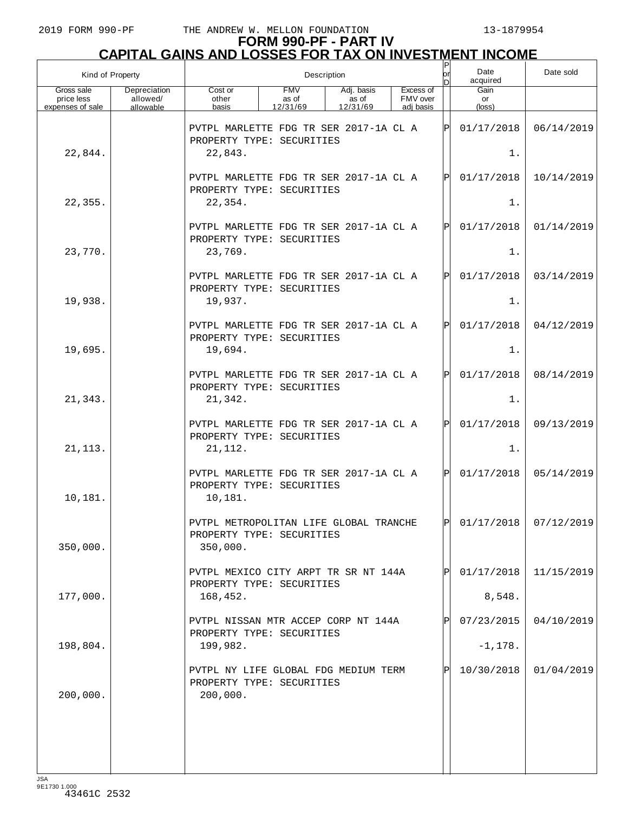| Kind of Property                             |                                       |                                                                                 | Description                     | or                              | Date<br>acquired                   | Date sold |                      |                         |
|----------------------------------------------|---------------------------------------|---------------------------------------------------------------------------------|---------------------------------|---------------------------------|------------------------------------|-----------|----------------------|-------------------------|
| Gross sale<br>price less<br>expenses of sale | Depreciation<br>allowed/<br>allowable | Cost or<br>other<br>basis                                                       | <b>FMV</b><br>as of<br>12/31/69 | Adj. basis<br>as of<br>12/31/69 | Excess of<br>FMV over<br>adi basis |           | Gain<br>or<br>(loss) |                         |
|                                              |                                       | PVTPL MARLETTE FDG TR SER 2017-1A CL A<br>PROPERTY TYPE: SECURITIES             |                                 |                                 |                                    | ΙÞΙ       | 01/17/2018           | 06/14/2019              |
| 22,844.                                      |                                       | 22,843.                                                                         |                                 |                                 |                                    |           | $1$ .                |                         |
|                                              |                                       | PVTPL MARLETTE FDG TR SER 2017-1A CL A<br>PROPERTY TYPE: SECURITIES             |                                 |                                 |                                    | ΙÞΙ       | 01/17/2018           | 10/14/2019              |
| 22,355.                                      |                                       | 22,354.                                                                         |                                 |                                 |                                    |           | $1$ .                |                         |
|                                              |                                       | PVTPL MARLETTE FDG TR SER 2017-1A CL A<br>PROPERTY TYPE: SECURITIES             |                                 |                                 |                                    | ΙÞΙ       | 01/17/2018           | 01/14/2019              |
| 23,770.                                      |                                       | 23,769.                                                                         |                                 |                                 |                                    |           | $1$ .                |                         |
| 19,938.                                      |                                       | PVTPL MARLETTE FDG TR SER 2017-1A CL A<br>PROPERTY TYPE: SECURITIES<br>19,937.  |                                 |                                 |                                    | ΙÞΙ       | 01/17/2018<br>$1$ .  | 03/14/2019              |
|                                              |                                       |                                                                                 |                                 |                                 |                                    |           |                      |                         |
|                                              |                                       | PVTPL MARLETTE FDG TR SER 2017-1A CL A<br>PROPERTY TYPE: SECURITIES             |                                 |                                 |                                    | ΙÞΙ       | 01/17/2018           | 04/12/2019              |
| 19,695.                                      |                                       | 19,694.                                                                         |                                 |                                 |                                    |           | $1$ .                |                         |
|                                              |                                       | PVTPL MARLETTE FDG TR SER 2017-1A CL A<br>PROPERTY TYPE: SECURITIES             |                                 |                                 |                                    | ΙÞΙ       | 01/17/2018           | 08/14/2019              |
| 21,343.                                      |                                       | 21,342.                                                                         |                                 |                                 |                                    |           | $1$ .                |                         |
|                                              |                                       | PVTPL MARLETTE FDG TR SER 2017-1A CL A<br>PROPERTY TYPE: SECURITIES             |                                 |                                 |                                    | ΙÞΙ       | 01/17/2018           | 09/13/2019              |
| 21, 113.                                     |                                       | 21, 112.                                                                        |                                 |                                 |                                    |           | $1$ .                |                         |
| 10,181.                                      |                                       | PVTPL MARLETTE FDG TR SER 2017-1A CL A<br>PROPERTY TYPE: SECURITIES<br>10,181.  |                                 |                                 |                                    | lPl       | 01/17/2018           | 05/14/2019              |
| 350,000.                                     |                                       | PVTPL METROPOLITAN LIFE GLOBAL TRANCHE<br>PROPERTY TYPE: SECURITIES<br>350,000. |                                 |                                 |                                    | ldl       |                      | $01/17/2018$ 07/12/2019 |
|                                              |                                       | PVTPL MEXICO CITY ARPT TR SR NT 144A                                            |                                 |                                 |                                    |           | 01/17/2018           | 11/15/2019              |
| 177,000.                                     |                                       | PROPERTY TYPE: SECURITIES<br>168,452.                                           |                                 |                                 |                                    |           | 8,548.               |                         |
|                                              |                                       | PVTPL NISSAN MTR ACCEP CORP NT 144A<br>PROPERTY TYPE: SECURITIES                |                                 |                                 |                                    |           | 07/23/2015           | 04/10/2019              |
| 198,804.                                     |                                       | 199,982.                                                                        |                                 |                                 |                                    |           | $-1,178.$            |                         |
| 200,000.                                     |                                       | PVTPL NY LIFE GLOBAL FDG MEDIUM TERM<br>PROPERTY TYPE: SECURITIES<br>200,000.   |                                 |                                 |                                    | Þl        | 10/30/2018           | 01/04/2019              |
|                                              |                                       |                                                                                 |                                 |                                 |                                    |           |                      |                         |
|                                              |                                       |                                                                                 |                                 |                                 |                                    |           |                      |                         |
|                                              |                                       |                                                                                 |                                 |                                 |                                    |           |                      |                         |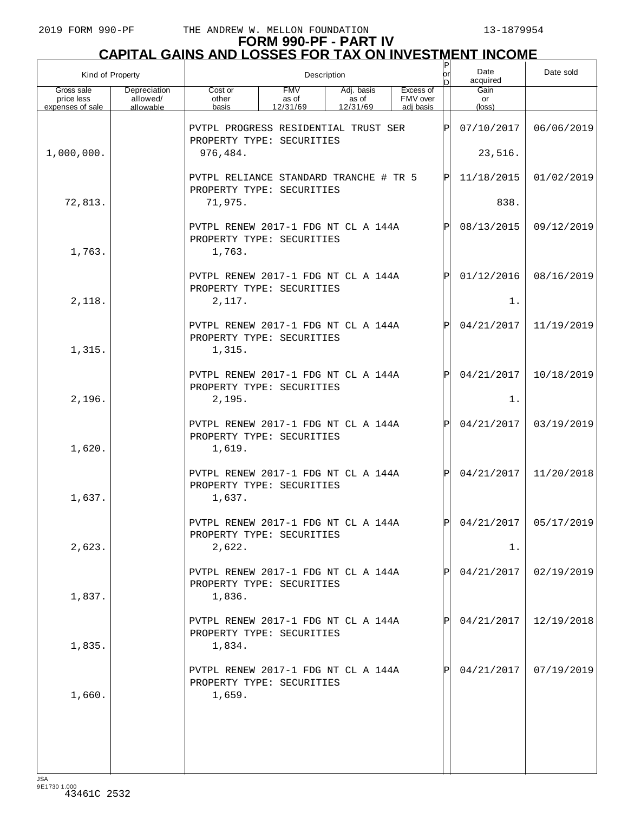| Kind of Property                             |                                       | Description                                                                |                                 |                                 |                                    |              | Date<br>acquired              | Date sold               |
|----------------------------------------------|---------------------------------------|----------------------------------------------------------------------------|---------------------------------|---------------------------------|------------------------------------|--------------|-------------------------------|-------------------------|
| Gross sale<br>price less<br>expenses of sale | Depreciation<br>allowed/<br>allowable | Cost or<br>other<br>basis                                                  | <b>FMV</b><br>as of<br>12/31/69 | Adj. basis<br>as of<br>12/31/69 | Excess of<br>FMV over<br>adi basis |              | Gain<br>or<br>$(\text{loss})$ |                         |
|                                              |                                       | PVTPL PROGRESS RESIDENTIAL TRUST SER<br>PROPERTY TYPE: SECURITIES          |                                 |                                 |                                    | ΙÞΙ          | 07/10/2017                    | 06/06/2019              |
| 1,000,000.                                   |                                       | 976,484.                                                                   |                                 |                                 |                                    |              | 23,516.                       |                         |
|                                              |                                       | PVTPL RELIANCE STANDARD TRANCHE # TR 5<br>PROPERTY TYPE: SECURITIES        |                                 |                                 |                                    | ΙÞΙ          | 11/18/2015                    | 01/02/2019              |
| 72,813.                                      |                                       | 71,975.                                                                    |                                 |                                 |                                    |              | 838.                          |                         |
| 1,763.                                       |                                       | PVTPL RENEW 2017-1 FDG NT CL A 144A<br>PROPERTY TYPE: SECURITIES<br>1,763. |                                 |                                 |                                    | Pl           | 08/13/2015                    | 09/12/2019              |
| 2,118.                                       |                                       | PVTPL RENEW 2017-1 FDG NT CL A 144A<br>PROPERTY TYPE: SECURITIES<br>2,117. |                                 |                                 |                                    | $\mathsf{P}$ | 01/12/2016<br>$1$ .           | 08/16/2019              |
| 1,315.                                       |                                       | PVTPL RENEW 2017-1 FDG NT CL A 144A<br>PROPERTY TYPE: SECURITIES<br>1,315. |                                 |                                 |                                    | $\mathsf{P}$ | 04/21/2017                    | 11/19/2019              |
| 2,196.                                       |                                       | PVTPL RENEW 2017-1 FDG NT CL A 144A<br>PROPERTY TYPE: SECURITIES<br>2,195. |                                 |                                 |                                    | Pl           | 04/21/2017<br>$1$ .           | 10/18/2019              |
| 1,620.                                       |                                       | PVTPL RENEW 2017-1 FDG NT CL A 144A<br>PROPERTY TYPE: SECURITIES<br>1,619. |                                 |                                 |                                    | $\mathbf P$  | 04/21/2017                    | 03/19/2019              |
| 1,637.                                       |                                       | PVTPL RENEW 2017-1 FDG NT CL A 144A<br>PROPERTY TYPE: SECURITIES<br>1,637. |                                 |                                 |                                    | Pl           | 04/21/2017                    | 11/20/2018              |
| 2,623.                                       |                                       | PVTPL RENEW 2017-1 FDG NT CL A 144A<br>PROPERTY TYPE: SECURITIES<br>2,622. |                                 |                                 |                                    | ldl          | 1.                            | $04/21/2017$ 05/17/2019 |
| 1,837.                                       |                                       | PVTPL RENEW 2017-1 FDG NT CL A 144A<br>PROPERTY TYPE: SECURITIES<br>1,836. |                                 |                                 |                                    |              | 04/21/2017                    | 02/19/2019              |
| 1,835.                                       |                                       | PVTPL RENEW 2017-1 FDG NT CL A 144A<br>PROPERTY TYPE: SECURITIES<br>1,834. |                                 |                                 |                                    |              | 04/21/2017                    | 12/19/2018              |
| 1,660.                                       |                                       | PVTPL RENEW 2017-1 FDG NT CL A 144A<br>PROPERTY TYPE: SECURITIES<br>1,659. |                                 |                                 |                                    |              | 04/21/2017                    | 07/19/2019              |
|                                              |                                       |                                                                            |                                 |                                 |                                    |              |                               |                         |
|                                              |                                       |                                                                            |                                 |                                 |                                    |              |                               |                         |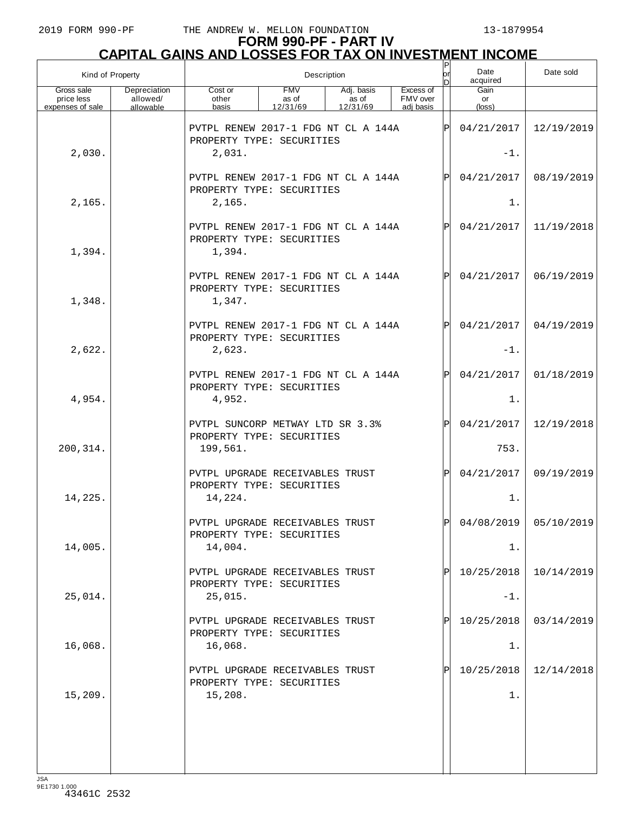# **FORM 990-PF - PART IV CAPITAL GAINS AND LOSSES FOR TAX ON INVESTMENT INCOME**

| Kind of Property                             |                                       | $\sf P$<br>Description<br>or                                               |                                 |                                 |                                    |     | Date<br>acquired     | Date sold  |
|----------------------------------------------|---------------------------------------|----------------------------------------------------------------------------|---------------------------------|---------------------------------|------------------------------------|-----|----------------------|------------|
| Gross sale<br>price less<br>expenses of sale | Depreciation<br>allowed/<br>allowable | Cost or<br>other<br>basis                                                  | <b>FMV</b><br>as of<br>12/31/69 | Adj. basis<br>as of<br>12/31/69 | Excess of<br>FMV over<br>adi basis |     | Gain<br>or<br>(loss) |            |
|                                              |                                       | PVTPL RENEW 2017-1 FDG NT CL A 144A<br>PROPERTY TYPE: SECURITIES           |                                 |                                 |                                    | ΙÞΙ | 04/21/2017           | 12/19/2019 |
| 2,030.                                       |                                       | 2,031.                                                                     |                                 |                                 |                                    |     | $-1$ .               |            |
|                                              |                                       | PVTPL RENEW 2017-1 FDG NT CL A 144A<br>PROPERTY TYPE: SECURITIES           |                                 |                                 |                                    | IPI | 04/21/2017           | 08/19/2019 |
| 2,165.                                       |                                       | 2,165.                                                                     |                                 |                                 |                                    |     | $1$ .                |            |
|                                              |                                       | PVTPL RENEW 2017-1 FDG NT CL A 144A<br>PROPERTY TYPE: SECURITIES           |                                 |                                 |                                    | ΙPΙ | 04/21/2017           | 11/19/2018 |
| 1,394.                                       |                                       | 1,394.                                                                     |                                 |                                 |                                    |     |                      |            |
| 1,348.                                       |                                       | PVTPL RENEW 2017-1 FDG NT CL A 144A<br>PROPERTY TYPE: SECURITIES<br>1,347. |                                 |                                 |                                    | IPI | 04/21/2017           | 06/19/2019 |
|                                              |                                       | PVTPL RENEW 2017-1 FDG NT CL A 144A<br>PROPERTY TYPE: SECURITIES           |                                 |                                 |                                    | ΙPΙ | 04/21/2017           | 04/19/2019 |
| 2,622.                                       |                                       | 2,623.                                                                     |                                 |                                 |                                    |     | $-1$ .               |            |
|                                              |                                       | PVTPL RENEW 2017-1 FDG NT CL A 144A<br>PROPERTY TYPE: SECURITIES           |                                 |                                 |                                    | ΙPΙ | 04/21/2017           | 01/18/2019 |
| 4,954.                                       |                                       | 4,952.                                                                     |                                 |                                 |                                    |     | $1$ .                |            |
|                                              |                                       | PVTPL SUNCORP METWAY LTD SR 3.3%<br>PROPERTY TYPE: SECURITIES              |                                 |                                 |                                    | Þl  | 04/21/2017           | 12/19/2018 |
| 200, 314.                                    |                                       | 199,561.                                                                   |                                 |                                 |                                    |     | 753.                 |            |
|                                              |                                       | PVTPL UPGRADE RECEIVABLES TRUST<br>PROPERTY TYPE: SECURITIES               |                                 |                                 |                                    | ΙÞΙ | 04/21/2017           | 09/19/2019 |
| 14,225.                                      |                                       | 14,224.                                                                    |                                 |                                 |                                    |     | $1$ .                |            |
| 14,005.                                      |                                       | PVTPL UPGRADE RECEIVABLES TRUST<br>PROPERTY TYPE: SECURITIES<br>14,004.    |                                 |                                 |                                    | ldl | 04/08/2019<br>1.     | 05/10/2019 |
|                                              |                                       |                                                                            |                                 |                                 |                                    |     |                      |            |
|                                              |                                       | PVTPL UPGRADE RECEIVABLES TRUST<br>PROPERTY TYPE: SECURITIES               |                                 |                                 |                                    |     | 10/25/2018           | 10/14/2019 |
| 25,014.                                      |                                       | 25,015.                                                                    |                                 |                                 |                                    |     | $-1$ .               |            |
| 16,068.                                      |                                       | PVTPL UPGRADE RECEIVABLES TRUST<br>PROPERTY TYPE: SECURITIES<br>16,068.    |                                 |                                 |                                    | ΙPΙ | 10/25/2018<br>1.     | 03/14/2019 |
|                                              |                                       | PVTPL UPGRADE RECEIVABLES TRUST                                            |                                 |                                 |                                    |     | 10/25/2018           | 12/14/2018 |
| 15,209.                                      |                                       | PROPERTY TYPE: SECURITIES                                                  |                                 |                                 |                                    |     | $1$ .                |            |
|                                              |                                       | 15,208.                                                                    |                                 |                                 |                                    |     |                      |            |
|                                              |                                       |                                                                            |                                 |                                 |                                    |     |                      |            |
|                                              |                                       |                                                                            |                                 |                                 |                                    |     |                      |            |
|                                              |                                       |                                                                            |                                 |                                 |                                    |     |                      |            |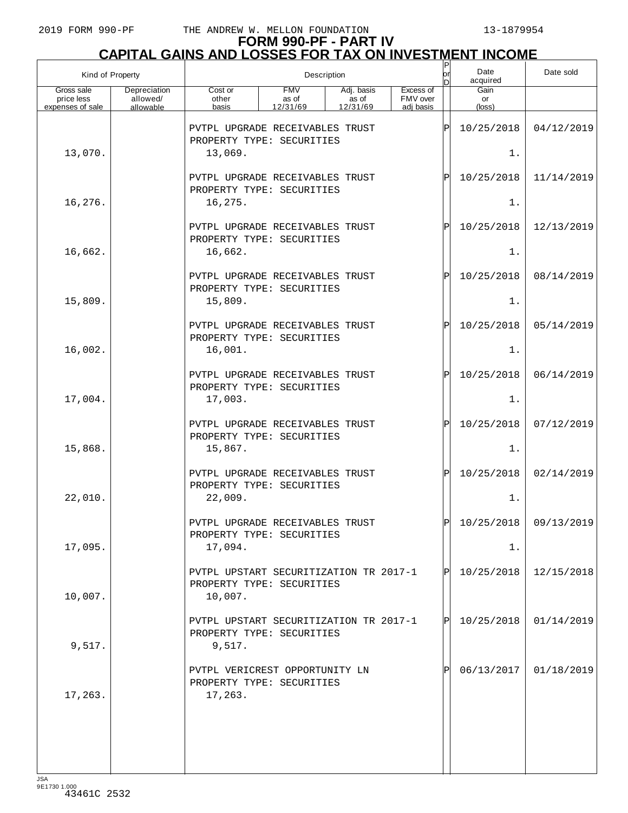# **FORM 990-PF - PART IV**

| <b>CAPITAL GAINS AND LOSSES FOR TAX ON INVESTMENT INCOME</b> |                                       |                                                                                |                                 |                                 |                                    |                   |                               |            |  |  |
|--------------------------------------------------------------|---------------------------------------|--------------------------------------------------------------------------------|---------------------------------|---------------------------------|------------------------------------|-------------------|-------------------------------|------------|--|--|
| Kind of Property                                             |                                       | Description                                                                    |                                 |                                 |                                    |                   | Date<br>acquired              | Date sold  |  |  |
| Gross sale<br>price less<br>expenses of sale                 | Depreciation<br>allowed/<br>allowable | Cost or<br>other<br>basis                                                      | <b>FMV</b><br>as of<br>12/31/69 | Adj. basis<br>as of<br>12/31/69 | Excess of<br>FMV over<br>adi basis |                   | Gain<br>or<br>$(\text{loss})$ |            |  |  |
|                                                              |                                       | PVTPL UPGRADE RECEIVABLES TRUST<br>PROPERTY TYPE: SECURITIES                   |                                 |                                 |                                    | ΙP                | 10/25/2018                    | 04/12/2019 |  |  |
| 13,070.                                                      |                                       | 13,069.                                                                        |                                 |                                 |                                    |                   | $1$ .                         |            |  |  |
|                                                              |                                       | PVTPL UPGRADE RECEIVABLES TRUST<br>PROPERTY TYPE: SECURITIES                   |                                 |                                 |                                    | $\mathbf P$       | 10/25/2018                    | 11/14/2019 |  |  |
| 16,276.                                                      |                                       | 16,275.                                                                        |                                 |                                 |                                    |                   | $1$ .                         |            |  |  |
|                                                              |                                       | PVTPL UPGRADE RECEIVABLES TRUST<br>PROPERTY TYPE: SECURITIES                   |                                 |                                 |                                    | $\mathbf P$       | 10/25/2018                    | 12/13/2019 |  |  |
| 16,662.                                                      |                                       | 16,662.                                                                        |                                 |                                 |                                    |                   | $1$ .                         |            |  |  |
|                                                              |                                       | PVTPL UPGRADE RECEIVABLES TRUST<br>PROPERTY TYPE: SECURITIES                   |                                 |                                 |                                    | $\mathbf P$       | 10/25/2018                    | 08/14/2019 |  |  |
| 15,809.                                                      |                                       | 15,809.<br>PVTPL UPGRADE RECEIVABLES TRUST                                     |                                 |                                 |                                    | $\mathbf P$       | $1$ .<br>10/25/2018           | 05/14/2019 |  |  |
| 16,002.                                                      |                                       | PROPERTY TYPE: SECURITIES<br>16,001.                                           |                                 |                                 |                                    |                   | 1.                            |            |  |  |
|                                                              |                                       | PVTPL UPGRADE RECEIVABLES TRUST                                                |                                 |                                 |                                    | $\mathbf P$       | 10/25/2018                    | 06/14/2019 |  |  |
| 17,004.                                                      |                                       | PROPERTY TYPE: SECURITIES<br>17,003.                                           |                                 |                                 |                                    |                   | $1$ .                         |            |  |  |
|                                                              |                                       | PVTPL UPGRADE RECEIVABLES TRUST<br>PROPERTY TYPE: SECURITIES                   |                                 |                                 |                                    | $\mathbf P$       | 10/25/2018                    | 07/12/2019 |  |  |
| 15,868.                                                      |                                       | 15,867.                                                                        |                                 |                                 |                                    |                   | $1$ .                         |            |  |  |
|                                                              |                                       | PVTPL UPGRADE RECEIVABLES TRUST<br>PROPERTY TYPE: SECURITIES                   |                                 |                                 |                                    | $\mathsf{P}\vert$ | 10/25/2018                    | 02/14/2019 |  |  |
| 22,010.                                                      |                                       | 22,009.                                                                        |                                 |                                 |                                    |                   | $1$ .                         |            |  |  |
|                                                              |                                       | PVTPL UPGRADE RECEIVABLES TRUST<br>PROPERTY TYPE: SECURITIES                   |                                 |                                 |                                    | P                 | 10/25/2018                    | 09/13/2019 |  |  |
| 17,095.                                                      |                                       | 17,094.                                                                        |                                 |                                 |                                    |                   | 1.                            |            |  |  |
| 10,007.                                                      |                                       | PVTPL UPSTART SECURITIZATION TR 2017-1<br>PROPERTY TYPE: SECURITIES<br>10,007. |                                 |                                 |                                    |                   | P 10/25/2018                  | 12/15/2018 |  |  |
| 9,517.                                                       |                                       | PVTPL UPSTART SECURITIZATION TR 2017-1<br>PROPERTY TYPE: SECURITIES<br>9,517.  |                                 |                                 |                                    | ΙЫ                | 10/25/2018                    | 01/14/2019 |  |  |
| 17,263.                                                      |                                       | PVTPL VERICREST OPPORTUNITY LN<br>PROPERTY TYPE: SECURITIES<br>17,263.         |                                 |                                 |                                    |                   | 06/13/2017                    | 01/18/2019 |  |  |
|                                                              |                                       |                                                                                |                                 |                                 |                                    |                   |                               |            |  |  |
|                                                              |                                       |                                                                                |                                 |                                 |                                    |                   |                               |            |  |  |
|                                                              |                                       |                                                                                |                                 |                                 |                                    |                   |                               |            |  |  |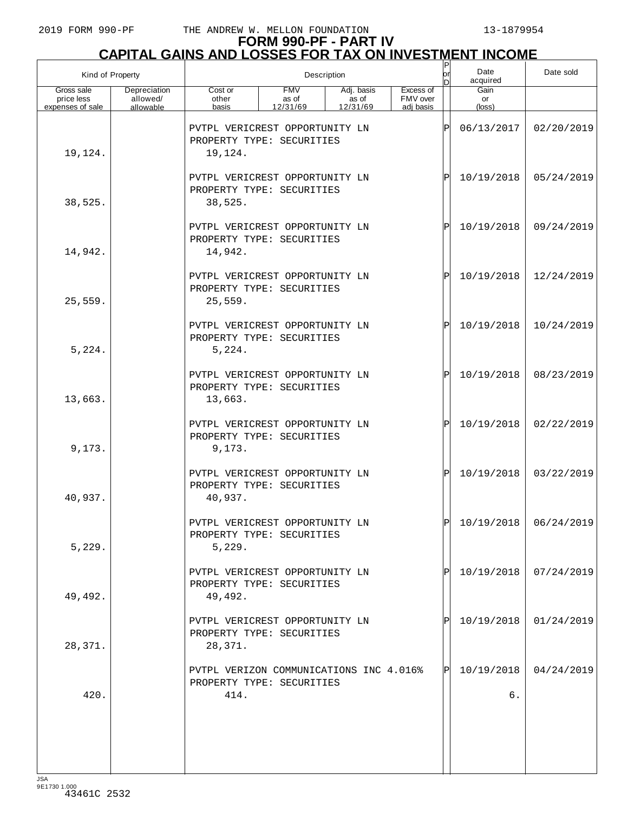# **FORM 990-PF - PART IV**

|                                              | <u>CAPITAL GAINS AND LOSSES FOR TAX ON INVESTMENT INCOME</u> |                                                                              |                                 |                                 |                                    |          |                      |            |  |  |  |
|----------------------------------------------|--------------------------------------------------------------|------------------------------------------------------------------------------|---------------------------------|---------------------------------|------------------------------------|----------|----------------------|------------|--|--|--|
| Kind of Property                             |                                                              |                                                                              |                                 | Description                     |                                    | orl<br>D | Date<br>acquired     | Date sold  |  |  |  |
| Gross sale<br>price less<br>expenses of sale | Depreciation<br>allowed/<br>allowable                        | Cost or<br>other<br>basis                                                    | <b>FMV</b><br>as of<br>12/31/69 | Adj. basis<br>as of<br>12/31/69 | Excess of<br>FMV over<br>adj basis |          | Gain<br>or<br>(loss) |            |  |  |  |
| 19,124.                                      |                                                              | PVTPL VERICREST OPPORTUNITY LN<br>PROPERTY TYPE: SECURITIES<br>19,124.       |                                 |                                 |                                    | ΙÞΙ      | 06/13/2017           | 02/20/2019 |  |  |  |
| 38,525.                                      |                                                              | PVTPL VERICREST OPPORTUNITY LN<br>PROPERTY TYPE: SECURITIES<br>38,525.       |                                 |                                 |                                    | ΙÞΙ      | 10/19/2018           | 05/24/2019 |  |  |  |
| 14,942.                                      |                                                              | PVTPL VERICREST OPPORTUNITY LN<br>PROPERTY TYPE: SECURITIES<br>14,942.       |                                 |                                 |                                    | ΙÞΙ      | 10/19/2018           | 09/24/2019 |  |  |  |
| 25,559.                                      |                                                              | PVTPL VERICREST OPPORTUNITY LN<br>PROPERTY TYPE: SECURITIES<br>25,559.       |                                 |                                 |                                    | ΙPΙ      | 10/19/2018           | 12/24/2019 |  |  |  |
| 5,224.                                       |                                                              | PVTPL VERICREST OPPORTUNITY LN<br>PROPERTY TYPE: SECURITIES<br>5,224.        |                                 |                                 |                                    | ΙÞΙ      | 10/19/2018           | 10/24/2019 |  |  |  |
| 13,663.                                      |                                                              | PVTPL VERICREST OPPORTUNITY LN<br>PROPERTY TYPE: SECURITIES<br>13,663.       |                                 |                                 |                                    | ΙÞΙ      | 10/19/2018           | 08/23/2019 |  |  |  |
| 9,173.                                       |                                                              | PVTPL VERICREST OPPORTUNITY LN<br>PROPERTY TYPE: SECURITIES<br>9,173.        |                                 |                                 |                                    | ΙÞΙ      | 10/19/2018           | 02/22/2019 |  |  |  |
| 40,937.                                      |                                                              | PVTPL VERICREST OPPORTUNITY LN<br>PROPERTY TYPE: SECURITIES<br>40,937.       |                                 |                                 |                                    | ΙPΙ      | 10/19/2018           | 03/22/2019 |  |  |  |
| 5,229.                                       |                                                              | PVTPL VERICREST OPPORTUNITY LN<br>PROPERTY TYPE: SECURITIES<br>5,229.        |                                 |                                 |                                    | ΙÞΙ      | 10/19/2018           | 06/24/2019 |  |  |  |
| 49,492.                                      |                                                              | PVTPL VERICREST OPPORTUNITY LN<br>PROPERTY TYPE: SECURITIES<br>49,492.       |                                 |                                 |                                    | PI       | 10/19/2018           | 07/24/2019 |  |  |  |
| 28,371.                                      |                                                              | PVTPL VERICREST OPPORTUNITY LN<br>PROPERTY TYPE: SECURITIES<br>28,371.       |                                 |                                 |                                    |          | 10/19/2018           | 01/24/2019 |  |  |  |
| 420.                                         |                                                              | PVTPL VERIZON COMMUNICATIONS INC 4.016%<br>PROPERTY TYPE: SECURITIES<br>414. |                                 |                                 |                                    | IPI.     | 10/19/2018<br>б.     | 04/24/2019 |  |  |  |
|                                              |                                                              |                                                                              |                                 |                                 |                                    |          |                      |            |  |  |  |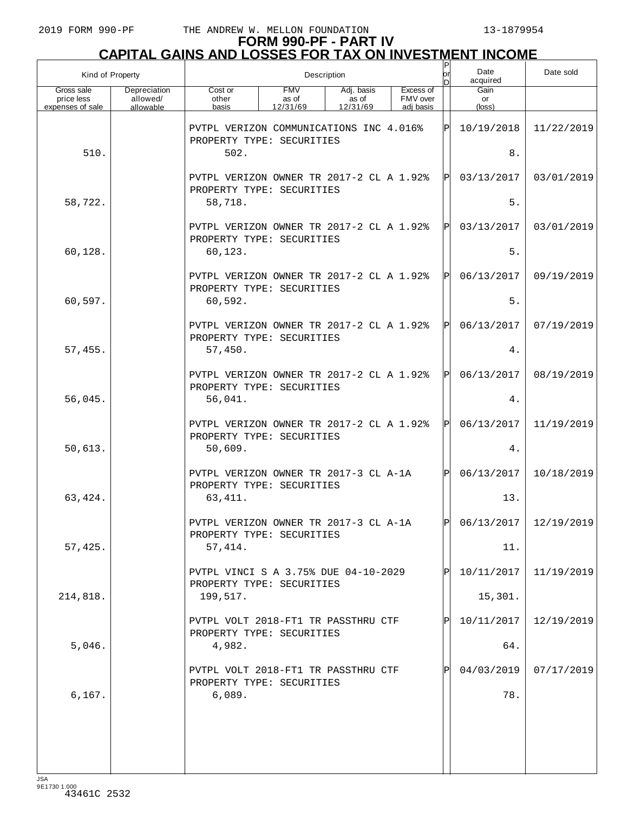| Kind of Property                             |                                       | Description                                                                      |                                 |                                 |                                    |              | Date<br>acquired     | Date sold               |
|----------------------------------------------|---------------------------------------|----------------------------------------------------------------------------------|---------------------------------|---------------------------------|------------------------------------|--------------|----------------------|-------------------------|
| Gross sale<br>price less<br>expenses of sale | Depreciation<br>allowed/<br>allowable | Cost or<br>other<br>basis                                                        | <b>FMV</b><br>as of<br>12/31/69 | Adj. basis<br>as of<br>12/31/69 | Excess of<br>FMV over<br>adj basis |              | Gain<br>or<br>(loss) |                         |
|                                              |                                       | PVTPL VERIZON COMMUNICATIONS INC 4.016%<br>PROPERTY TYPE: SECURITIES             |                                 |                                 |                                    | ΙPΙ          | 10/19/2018           | 11/22/2019              |
| 510.                                         |                                       | 502.                                                                             |                                 |                                 |                                    |              | $\,8$ .              |                         |
|                                              |                                       | PVTPL VERIZON OWNER TR 2017-2 CL A 1.92%<br>PROPERTY TYPE: SECURITIES            |                                 |                                 |                                    | ΙPΙ          | 03/13/2017           | 03/01/2019              |
| 58,722.                                      |                                       | 58,718.                                                                          |                                 |                                 |                                    |              | $5.$                 |                         |
|                                              |                                       | PVTPL VERIZON OWNER TR 2017-2 CL A 1.92%<br>PROPERTY TYPE: SECURITIES            |                                 |                                 |                                    | ΙPΙ          | 03/13/2017           | 03/01/2019              |
| 60,128.                                      |                                       | 60,123.                                                                          |                                 |                                 |                                    |              | 5.                   |                         |
| 60,597.                                      |                                       | PVTPL VERIZON OWNER TR 2017-2 CL A 1.92%<br>PROPERTY TYPE: SECURITIES<br>60,592. |                                 |                                 |                                    | ΙPΙ          | 06/13/2017<br>5.     | 09/19/2019              |
|                                              |                                       |                                                                                  |                                 |                                 |                                    |              |                      |                         |
| 57,455.                                      |                                       | PVTPL VERIZON OWNER TR 2017-2 CL A 1.92%<br>PROPERTY TYPE: SECURITIES<br>57,450. |                                 |                                 |                                    | ΙPΙ          | 06/13/2017<br>4.     | 07/19/2019              |
|                                              |                                       |                                                                                  |                                 |                                 |                                    |              |                      |                         |
| 56,045.                                      |                                       | PVTPL VERIZON OWNER TR 2017-2 CL A 1.92%<br>PROPERTY TYPE: SECURITIES<br>56,041. |                                 |                                 |                                    | ΙPΙ          | 06/13/2017<br>4.     | 08/19/2019              |
|                                              |                                       |                                                                                  |                                 |                                 |                                    |              |                      |                         |
| 50,613.                                      |                                       | PVTPL VERIZON OWNER TR 2017-2 CL A 1.92%<br>PROPERTY TYPE: SECURITIES<br>50,609. |                                 |                                 |                                    | ΙPΙ          | 06/13/2017<br>4.     | 11/19/2019              |
|                                              |                                       | PVTPL VERIZON OWNER TR 2017-3 CL A-1A                                            |                                 |                                 |                                    | $\mathsf{P}$ | 06/13/2017           | 10/18/2019              |
| 63,424.                                      |                                       | PROPERTY TYPE: SECURITIES<br>63,411.                                             |                                 |                                 |                                    |              | 13.                  |                         |
|                                              |                                       | PVTPL VERIZON OWNER TR 2017-3 CL A-1A<br>PROPERTY TYPE: SECURITIES               |                                 |                                 |                                    | ldl          |                      | $06/13/2017$ 12/19/2019 |
| 57,425.                                      |                                       | 57,414.                                                                          |                                 |                                 |                                    |              | 11.                  |                         |
|                                              |                                       | PVTPL VINCI S A 3.75% DUE 04-10-2029<br>PROPERTY TYPE: SECURITIES                |                                 |                                 |                                    |              | 10/11/2017           | 11/19/2019              |
| 214,818.                                     |                                       | 199,517.                                                                         |                                 |                                 |                                    |              | 15,301.              |                         |
|                                              |                                       | PVTPL VOLT 2018-FT1 TR PASSTHRU CTF<br>PROPERTY TYPE: SECURITIES                 |                                 |                                 |                                    |              | 10/11/2017           | 12/19/2019              |
| 5,046.                                       |                                       | 4,982.                                                                           |                                 |                                 |                                    |              | 64.                  |                         |
|                                              |                                       | PVTPL VOLT 2018-FT1 TR PASSTHRU CTF<br>PROPERTY TYPE: SECURITIES                 |                                 |                                 |                                    |              | 04/03/2019           | 07/17/2019              |
| 6, 167.                                      |                                       | 6,089.                                                                           |                                 |                                 |                                    |              | 78.                  |                         |
|                                              |                                       |                                                                                  |                                 |                                 |                                    |              |                      |                         |
|                                              |                                       |                                                                                  |                                 |                                 |                                    |              |                      |                         |
|                                              |                                       |                                                                                  |                                 |                                 |                                    |              |                      |                         |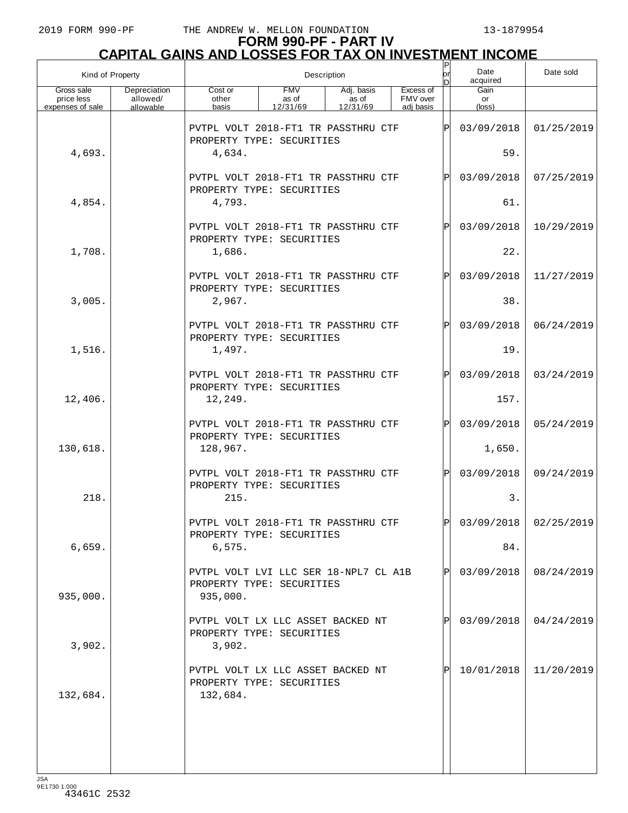|                                              | Kind of Property                      | Description                                                                    |                                 |                                 |  |                                    | or<br>D      | Date<br>acquired     | Date sold               |
|----------------------------------------------|---------------------------------------|--------------------------------------------------------------------------------|---------------------------------|---------------------------------|--|------------------------------------|--------------|----------------------|-------------------------|
| Gross sale<br>price less<br>expenses of sale | Depreciation<br>allowed/<br>allowable | Cost or<br>other<br>basis                                                      | <b>FMV</b><br>as of<br>12/31/69 | Adj. basis<br>as of<br>12/31/69 |  | Excess of<br>FMV over<br>adi basis |              | Gain<br>or<br>(loss) |                         |
|                                              |                                       | PVTPL VOLT 2018-FT1 TR PASSTHRU CTF<br>PROPERTY TYPE: SECURITIES               |                                 |                                 |  |                                    | ΙP           | 03/09/2018           | 01/25/2019              |
| 4,693.                                       |                                       | 4,634.                                                                         |                                 |                                 |  |                                    |              | 59.                  |                         |
|                                              |                                       | PVTPL VOLT 2018-FT1 TR PASSTHRU CTF<br>PROPERTY TYPE: SECURITIES               |                                 |                                 |  |                                    | $\mathbf P$  | 03/09/2018           | 07/25/2019              |
| 4,854.                                       |                                       | 4,793.                                                                         |                                 |                                 |  |                                    |              | 61.                  |                         |
|                                              |                                       | PVTPL VOLT 2018-FT1 TR PASSTHRU CTF<br>PROPERTY TYPE: SECURITIES               |                                 |                                 |  |                                    | $\mathbf P$  | 03/09/2018           | 10/29/2019              |
| 1,708.                                       |                                       | 1,686.                                                                         |                                 |                                 |  |                                    |              | 22.                  |                         |
|                                              |                                       | PVTPL VOLT 2018-FT1 TR PASSTHRU CTF<br>PROPERTY TYPE: SECURITIES               |                                 |                                 |  |                                    | $\mathbf P$  | 03/09/2018           | 11/27/2019              |
| 3,005.                                       |                                       | 2,967.                                                                         |                                 |                                 |  |                                    |              | 38.                  |                         |
|                                              |                                       | PVTPL VOLT 2018-FT1 TR PASSTHRU CTF<br>PROPERTY TYPE: SECURITIES               |                                 |                                 |  |                                    | $\mathbf P$  | 03/09/2018           | 06/24/2019              |
| 1,516.                                       |                                       | 1,497.                                                                         |                                 |                                 |  |                                    |              | 19.                  |                         |
|                                              |                                       | PVTPL VOLT 2018-FT1 TR PASSTHRU CTF<br>PROPERTY TYPE: SECURITIES               |                                 |                                 |  |                                    | $\mathbf P$  | 03/09/2018           | 03/24/2019              |
| 12,406.                                      |                                       | 12,249.                                                                        |                                 |                                 |  |                                    |              | 157.                 |                         |
|                                              |                                       | PVTPL VOLT 2018-FT1 TR PASSTHRU CTF<br>PROPERTY TYPE: SECURITIES               |                                 |                                 |  |                                    | $\mathbf P$  | 03/09/2018           | 05/24/2019              |
| 130,618.                                     |                                       | 128,967.                                                                       |                                 |                                 |  |                                    |              | 1,650.               |                         |
|                                              |                                       | PVTPL VOLT 2018-FT1 TR PASSTHRU CTF<br>PROPERTY TYPE: SECURITIES               |                                 |                                 |  |                                    | $\mathbf P$  | 03/09/2018           | 09/24/2019              |
| 218.                                         |                                       | 215.                                                                           |                                 |                                 |  |                                    |              | 3.                   |                         |
|                                              |                                       | PVTPL VOLT 2018-FT1 TR PASSTHRU CTF<br>PROPERTY TYPE: SECURITIES               |                                 |                                 |  |                                    | $\mathsf{P}$ |                      | $03/09/2018$ 02/25/2019 |
| 6,659.                                       |                                       | 6,575.                                                                         |                                 |                                 |  |                                    |              | 84.                  |                         |
| 935,000.                                     |                                       | PVTPL VOLT LVI LLC SER 18-NPL7 CL A1B<br>PROPERTY TYPE: SECURITIES<br>935,000. |                                 |                                 |  |                                    | $\mathsf{P}$ | 03/09/2018           | 08/24/2019              |
|                                              |                                       | PVTPL VOLT LX LLC ASSET BACKED NT<br>PROPERTY TYPE: SECURITIES                 |                                 |                                 |  |                                    |              | 03/09/2018           | 04/24/2019              |
| 3,902.                                       |                                       | 3,902.                                                                         |                                 |                                 |  |                                    |              |                      |                         |
| 132,684.                                     |                                       | PVTPL VOLT LX LLC ASSET BACKED NT<br>PROPERTY TYPE: SECURITIES<br>132,684.     |                                 |                                 |  |                                    |              | 10/01/2018           | 11/20/2019              |
|                                              |                                       |                                                                                |                                 |                                 |  |                                    |              |                      |                         |
|                                              |                                       |                                                                                |                                 |                                 |  |                                    |              |                      |                         |
|                                              |                                       |                                                                                |                                 |                                 |  |                                    |              |                      |                         |
|                                              |                                       |                                                                                |                                 |                                 |  |                                    |              |                      |                         |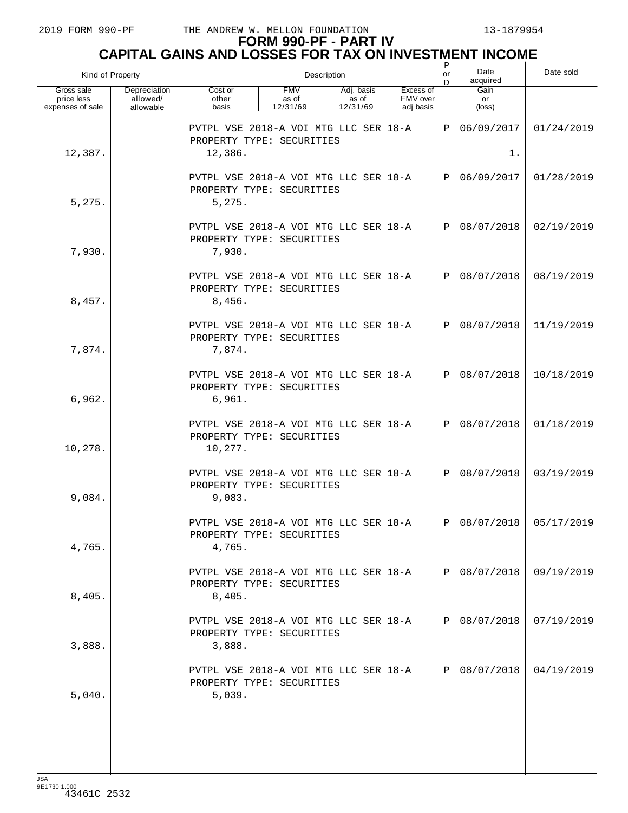| Kind of Property                             |                                       |                                                                               | Description                     |                                 | Date<br>acquired                   | Date sold |                      |                       |
|----------------------------------------------|---------------------------------------|-------------------------------------------------------------------------------|---------------------------------|---------------------------------|------------------------------------|-----------|----------------------|-----------------------|
| Gross sale<br>price less<br>expenses of sale | Depreciation<br>allowed/<br>allowable | Cost or<br>other<br>basis                                                     | <b>FMV</b><br>as of<br>12/31/69 | Adj. basis<br>as of<br>12/31/69 | Excess of<br>FMV over<br>adi basis |           | Gain<br>or<br>(loss) |                       |
| 12,387.                                      |                                       | PVTPL VSE 2018-A VOI MTG LLC SER 18-A<br>PROPERTY TYPE: SECURITIES<br>12,386. |                                 |                                 |                                    | ΙÞΙ       | 06/09/2017<br>1.     | 01/24/2019            |
|                                              |                                       | PVTPL VSE 2018-A VOI MTG LLC SER 18-A<br>PROPERTY TYPE: SECURITIES            |                                 |                                 |                                    | lPl       | 06/09/2017           | 01/28/2019            |
| 5,275.                                       |                                       | 5,275.<br>PVTPL VSE 2018-A VOI MTG LLC SER 18-A<br>PROPERTY TYPE: SECURITIES  |                                 |                                 |                                    | lPl       | 08/07/2018           | 02/19/2019            |
| 7,930.                                       |                                       | 7,930.                                                                        |                                 |                                 |                                    |           |                      |                       |
| 8,457.                                       |                                       | PVTPL VSE 2018-A VOI MTG LLC SER 18-A<br>PROPERTY TYPE: SECURITIES<br>8,456.  |                                 |                                 |                                    | lPl       | 08/07/2018           | 08/19/2019            |
| 7,874.                                       |                                       | PVTPL VSE 2018-A VOI MTG LLC SER 18-A<br>PROPERTY TYPE: SECURITIES<br>7,874.  |                                 |                                 |                                    | lÞI.      | 08/07/2018           | 11/19/2019            |
| 6,962.                                       |                                       | PVTPL VSE 2018-A VOI MTG LLC SER 18-A<br>PROPERTY TYPE: SECURITIES<br>6,961.  |                                 |                                 |                                    | lPl       | 08/07/2018           | 10/18/2019            |
| 10,278.                                      |                                       | PVTPL VSE 2018-A VOI MTG LLC SER 18-A<br>PROPERTY TYPE: SECURITIES<br>10,277. |                                 |                                 |                                    | lÞI.      | 08/07/2018           | 01/18/2019            |
| 9,084.                                       |                                       | PVTPL VSE 2018-A VOI MTG LLC SER 18-A<br>PROPERTY TYPE: SECURITIES<br>9,083.  |                                 |                                 |                                    | lPl       | 08/07/2018           | 03/19/2019            |
| 4,765.                                       |                                       | PVTPL VSE 2018-A VOI MTG LLC SER 18-A<br>PROPERTY TYPE: SECURITIES<br>4,765.  |                                 |                                 |                                    | l pl      |                      | 08/07/2018 05/17/2019 |
| 8,405.                                       |                                       | PVTPL VSE 2018-A VOI MTG LLC SER 18-A<br>PROPERTY TYPE: SECURITIES<br>8,405.  |                                 |                                 |                                    | IPI       | 08/07/2018           | 09/19/2019            |
| 3,888.                                       |                                       | PVTPL VSE 2018-A VOI MTG LLC SER 18-A<br>PROPERTY TYPE: SECURITIES<br>3,888.  |                                 |                                 |                                    | IPI       | 08/07/2018           | 07/19/2019            |
| 5,040.                                       |                                       | PVTPL VSE 2018-A VOI MTG LLC SER 18-A<br>PROPERTY TYPE: SECURITIES<br>5,039.  |                                 |                                 |                                    | IPI.      | 08/07/2018           | 04/19/2019            |
|                                              |                                       |                                                                               |                                 |                                 |                                    |           |                      |                       |
|                                              |                                       |                                                                               |                                 |                                 |                                    |           |                      |                       |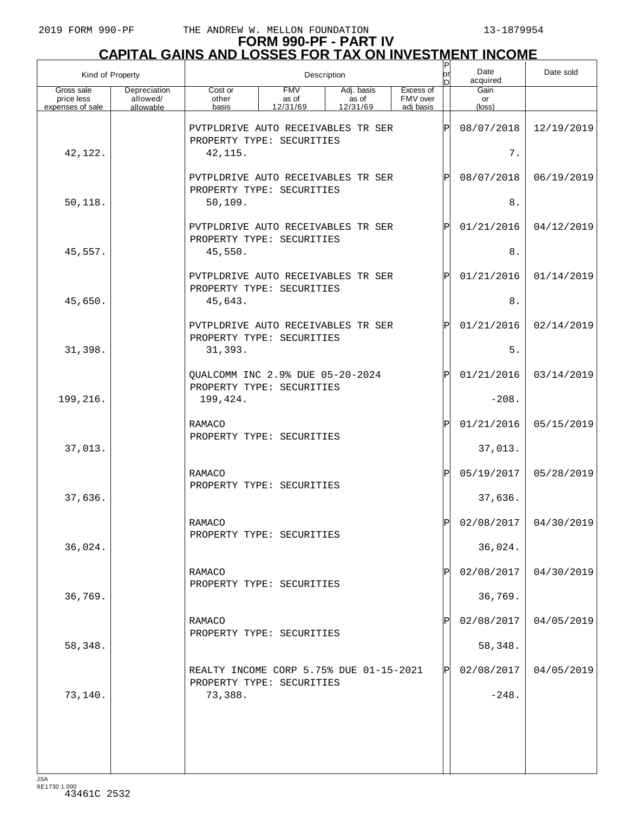# **FORM 990-PF - PART IV CAPITAL GAINS AND LOSSES FOR TAX ON INVESTMENT INCOME** P

| Kind of Property                             |                                       | $\sf P$<br>or<br>Description<br>ln                                              |                                 |                                 |                                    |                     | Date<br>acquired      | Date sold               |
|----------------------------------------------|---------------------------------------|---------------------------------------------------------------------------------|---------------------------------|---------------------------------|------------------------------------|---------------------|-----------------------|-------------------------|
| Gross sale<br>price less<br>expenses of sale | Depreciation<br>allowed/<br>allowable | Cost or<br>other<br>basis                                                       | <b>FMV</b><br>as of<br>12/31/69 | Adj. basis<br>as of<br>12/31/69 | Excess of<br>FMV over<br>adi basis |                     | Gain<br>or<br>(loss)  |                         |
| 42,122.                                      |                                       | PVTPLDRIVE AUTO RECEIVABLES TR SER<br>PROPERTY TYPE: SECURITIES<br>42, 115.     |                                 |                                 | ΙP                                 | 08/07/2018<br>$7$ . | 12/19/2019            |                         |
| 50, 118.                                     |                                       | PVTPLDRIVE AUTO RECEIVABLES TR SER<br>PROPERTY TYPE: SECURITIES<br>50, 109.     |                                 |                                 |                                    | ΙP                  | 08/07/2018<br>8.      | 06/19/2019              |
| 45,557.                                      |                                       | PVTPLDRIVE AUTO RECEIVABLES TR SER<br>PROPERTY TYPE: SECURITIES<br>45,550.      |                                 |                                 |                                    | ΙP                  | 01/21/2016<br>$8$ .   | 04/12/2019              |
| 45,650.                                      |                                       | PVTPLDRIVE AUTO RECEIVABLES TR SER<br>PROPERTY TYPE: SECURITIES<br>45,643.      |                                 |                                 |                                    | ΙP                  | 01/21/2016<br>8.      | 01/14/2019              |
| 31,398.                                      |                                       | PVTPLDRIVE AUTO RECEIVABLES TR SER<br>PROPERTY TYPE: SECURITIES<br>31,393.      |                                 |                                 |                                    | ΙP                  | 01/21/2016<br>5.      | 02/14/2019              |
| 199,216.                                     |                                       | QUALCOMM INC 2.9% DUE 05-20-2024<br>PROPERTY TYPE: SECURITIES<br>199,424.       |                                 |                                 |                                    | ΙP                  | 01/21/2016<br>$-208.$ | 03/14/2019              |
| 37,013.                                      |                                       | RAMACO<br>PROPERTY TYPE: SECURITIES                                             |                                 |                                 |                                    | ΙP                  | 01/21/2016<br>37,013. | 05/15/2019              |
| 37,636.                                      |                                       | RAMACO<br>PROPERTY TYPE: SECURITIES                                             |                                 |                                 |                                    | ΙP                  | 05/19/2017<br>37,636. | 05/28/2019              |
| 36,024.                                      |                                       | RAMACO<br>PROPERTY TYPE: SECURITIES                                             |                                 |                                 |                                    | Þ                   | 36,024.               | $02/08/2017$ 04/30/2019 |
| 36,769.                                      |                                       | RAMACO<br>PROPERTY TYPE: SECURITIES                                             |                                 |                                 |                                    | Þ                   | 02/08/2017<br>36,769. | 04/30/2019              |
| 58,348.                                      |                                       | RAMACO<br>PROPERTY TYPE: SECURITIES                                             |                                 |                                 |                                    |                     | 02/08/2017<br>58,348. | 04/05/2019              |
| 73,140.                                      |                                       | REALTY INCOME CORP 5.75% DUE 01-15-2021<br>PROPERTY TYPE: SECURITIES<br>73,388. |                                 |                                 |                                    | IPI                 | 02/08/2017<br>$-248.$ | 04/05/2019              |
|                                              |                                       |                                                                                 |                                 |                                 |                                    |                     |                       |                         |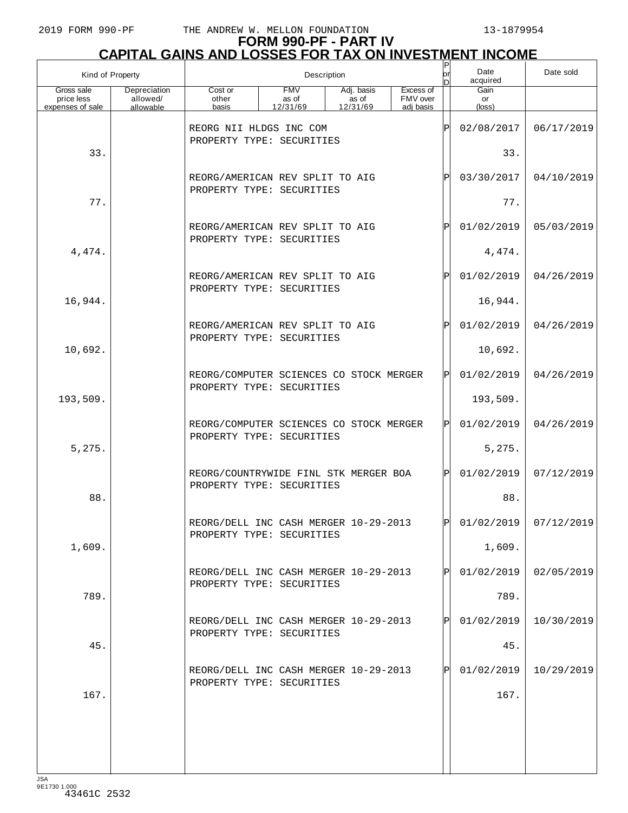|                                              | Kind of Property                      | $\sf P$<br>Description<br>lor<br>D                                   |                                                      |                                 |                                    |              | Date<br>acquired     | Date sold  |
|----------------------------------------------|---------------------------------------|----------------------------------------------------------------------|------------------------------------------------------|---------------------------------|------------------------------------|--------------|----------------------|------------|
| Gross sale<br>price less<br>expenses of sale | Depreciation<br>allowed/<br>allowable | Cost or<br>other<br>basis                                            | <b>FMV</b><br>as of<br>12/31/69                      | Adj. basis<br>as of<br>12/31/69 | Excess of<br>FMV over<br>adj basis |              | Gain<br>or<br>(loss) |            |
|                                              |                                       |                                                                      | REORG NII HLDGS INC COM<br>PROPERTY TYPE: SECURITIES |                                 |                                    |              | 02/08/2017           | 06/17/2019 |
| 33.                                          |                                       |                                                                      |                                                      |                                 |                                    | 33.          |                      |            |
|                                              |                                       | REORG/AMERICAN REV SPLIT TO AIG                                      |                                                      |                                 |                                    | ΙPΙ          | 03/30/2017           | 04/10/2019 |
| 77.                                          |                                       | PROPERTY TYPE: SECURITIES                                            |                                                      |                                 |                                    |              | 77.                  |            |
|                                              |                                       | REORG/AMERICAN REV SPLIT TO AIG<br>PROPERTY TYPE: SECURITIES         |                                                      |                                 |                                    | ΙÞΙ          | 01/02/2019           | 05/03/2019 |
| 4,474.                                       |                                       |                                                                      |                                                      |                                 |                                    |              | 4,474.               |            |
|                                              |                                       | REORG/AMERICAN REV SPLIT TO AIG<br>PROPERTY TYPE: SECURITIES         |                                                      |                                 |                                    | ΙÞΙ          | 01/02/2019           | 04/26/2019 |
| 16,944.                                      |                                       |                                                                      |                                                      |                                 |                                    |              | 16,944.              |            |
|                                              |                                       | REORG/AMERICAN REV SPLIT TO AIG<br>PROPERTY TYPE: SECURITIES         |                                                      |                                 |                                    | ΙÞΙ          | 01/02/2019           | 04/26/2019 |
| 10,692.                                      |                                       |                                                                      |                                                      |                                 |                                    |              | 10,692.              |            |
|                                              |                                       | REORG/COMPUTER SCIENCES CO STOCK MERGER<br>PROPERTY TYPE: SECURITIES |                                                      |                                 |                                    | ΙPΙ          | 01/02/2019           | 04/26/2019 |
| 193,509.                                     |                                       |                                                                      |                                                      |                                 |                                    |              | 193,509.             |            |
|                                              |                                       | REORG/COMPUTER SCIENCES CO STOCK MERGER<br>PROPERTY TYPE: SECURITIES |                                                      |                                 |                                    | ΙPΙ          | 01/02/2019           | 04/26/2019 |
| 5,275.                                       |                                       |                                                                      |                                                      |                                 |                                    |              | 5,275.               |            |
|                                              |                                       | REORG/COUNTRYWIDE FINL STK MERGER BOA<br>PROPERTY TYPE: SECURITIES   |                                                      |                                 |                                    | ΙPΙ          | 01/02/2019           | 07/12/2019 |
| 88.                                          |                                       |                                                                      |                                                      |                                 |                                    |              | 88.                  |            |
|                                              |                                       | REORG/DELL INC CASH MERGER 10-29-2013<br>PROPERTY TYPE: SECURITIES   |                                                      |                                 |                                    | ldl          | 01/02/2019           | 07/12/2019 |
| 1,609.                                       |                                       |                                                                      |                                                      |                                 |                                    |              | 1,609.               |            |
|                                              |                                       | REORG/DELL INC CASH MERGER 10-29-2013<br>PROPERTY TYPE: SECURITIES   |                                                      |                                 |                                    | $\mathbf{P}$ | 01/02/2019           | 02/05/2019 |
| 789.                                         |                                       |                                                                      |                                                      |                                 |                                    |              | 789.                 |            |
|                                              |                                       | REORG/DELL INC CASH MERGER 10-29-2013<br>PROPERTY TYPE: SECURITIES   |                                                      |                                 |                                    | ΙPΙ          | 01/02/2019           | 10/30/2019 |
| 45.                                          |                                       |                                                                      |                                                      |                                 |                                    |              | 45.                  |            |
|                                              |                                       | REORG/DELL INC CASH MERGER 10-29-2013<br>PROPERTY TYPE: SECURITIES   |                                                      |                                 |                                    | ΙPΙ          | 01/02/2019           | 10/29/2019 |
| 167.                                         |                                       |                                                                      |                                                      |                                 |                                    |              | 167.                 |            |
|                                              |                                       |                                                                      |                                                      |                                 |                                    |              |                      |            |
|                                              |                                       |                                                                      |                                                      |                                 |                                    |              |                      |            |
|                                              |                                       |                                                                      |                                                      |                                 |                                    |              |                      |            |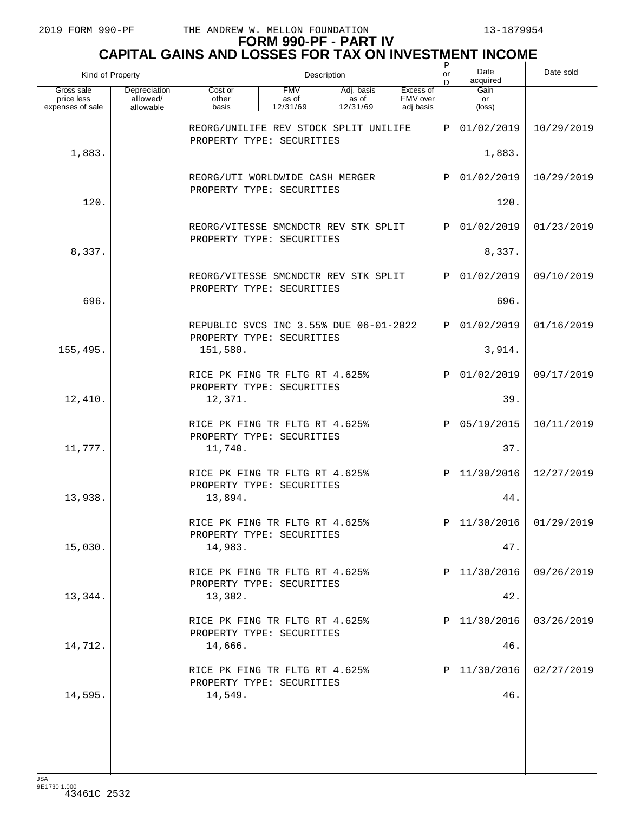| Kind of Property                             |                                       |                                                                                                                                       |  | Description |  | Ρ<br>lor<br>D | Date<br>acquired        | Date sold  |
|----------------------------------------------|---------------------------------------|---------------------------------------------------------------------------------------------------------------------------------------|--|-------------|--|---------------|-------------------------|------------|
| Gross sale<br>price less<br>expenses of sale | Depreciation<br>allowed/<br>allowable | <b>FMV</b><br>Excess of<br>Cost or<br>Adj. basis<br>FMV over<br>as of<br>as of<br>other<br>12/31/69<br>12/31/69<br>adi basis<br>basis |  |             |  |               | Gain<br>or<br>(loss)    |            |
|                                              |                                       | REORG/UNILIFE REV STOCK SPLIT UNILIFE                                                                                                 |  |             |  | P             | 01/02/2019              | 10/29/2019 |
| 1,883.                                       |                                       | PROPERTY TYPE: SECURITIES                                                                                                             |  |             |  |               | 1,883.                  |            |
|                                              |                                       | REORG/UTI WORLDWIDE CASH MERGER<br>PROPERTY TYPE: SECURITIES                                                                          |  |             |  | ΙÞΙ           | 01/02/2019              | 10/29/2019 |
| 120.                                         |                                       |                                                                                                                                       |  |             |  | 120.          |                         |            |
|                                              |                                       | REORG/VITESSE SMCNDCTR REV STK SPLIT<br>PROPERTY TYPE: SECURITIES                                                                     |  |             |  | ΙÞΙ           | 01/02/2019              | 01/23/2019 |
| 8,337.                                       |                                       |                                                                                                                                       |  |             |  |               | 8,337.                  |            |
|                                              |                                       | REORG/VITESSE SMCNDCTR REV STK SPLIT<br>PROPERTY TYPE: SECURITIES                                                                     |  |             |  | ΙÞΙ           | 01/02/2019              | 09/10/2019 |
| 696.                                         |                                       |                                                                                                                                       |  |             |  |               | 696.                    |            |
|                                              |                                       | REPUBLIC SVCS INC 3.55% DUE 06-01-2022<br>PROPERTY TYPE: SECURITIES                                                                   |  |             |  | ΙÞΙ           | 01/02/2019              | 01/16/2019 |
| 155,495.                                     |                                       | 151,580.                                                                                                                              |  |             |  |               | 3,914.                  |            |
|                                              |                                       | RICE PK FING TR FLTG RT 4.625%<br>PROPERTY TYPE: SECURITIES                                                                           |  |             |  | ΙÞΙ           | 01/02/2019              | 09/17/2019 |
| 12,410.                                      |                                       | 12,371.                                                                                                                               |  |             |  |               | 39.                     |            |
|                                              |                                       | RICE PK FING TR FLTG RT 4.625%<br>PROPERTY TYPE: SECURITIES                                                                           |  |             |  | ΙÞΙ           | 05/19/2015              | 10/11/2019 |
| 11,777.                                      |                                       | 11,740.                                                                                                                               |  |             |  |               | 37.                     |            |
|                                              |                                       | RICE PK FING TR FLTG RT 4.625%<br>PROPERTY TYPE: SECURITIES                                                                           |  |             |  | ΙÞΙ           | 11/30/2016              | 12/27/2019 |
| 13,938.                                      |                                       | 13,894.                                                                                                                               |  |             |  |               | 44.                     |            |
|                                              |                                       | RICE PK FING TR FLTG RT 4.625%<br>PROPERTY TYPE: SECURITIES                                                                           |  |             |  | ldl           | $11/30/2016$ 01/29/2019 |            |
| 15,030.                                      |                                       | 14,983.                                                                                                                               |  |             |  |               | 47.                     |            |
|                                              |                                       | RICE PK FING TR FLTG RT 4.625%<br>PROPERTY TYPE: SECURITIES                                                                           |  |             |  | ΙPΙ           | 11/30/2016              | 09/26/2019 |
| 13,344.                                      |                                       | 13,302.<br>RICE PK FING TR FLTG RT 4.625%                                                                                             |  |             |  | ΙPΙ           | 42.<br>11/30/2016       | 03/26/2019 |
| 14,712.                                      |                                       | PROPERTY TYPE: SECURITIES<br>14,666.                                                                                                  |  |             |  |               | 46.                     |            |
|                                              |                                       | RICE PK FING TR FLTG RT 4.625%                                                                                                        |  |             |  | ΙPΙ           | 11/30/2016              | 02/27/2019 |
| 14,595.                                      |                                       | PROPERTY TYPE: SECURITIES<br>14,549.                                                                                                  |  |             |  |               | 46.                     |            |
|                                              |                                       |                                                                                                                                       |  |             |  |               |                         |            |
|                                              |                                       |                                                                                                                                       |  |             |  |               |                         |            |
|                                              |                                       |                                                                                                                                       |  |             |  |               |                         |            |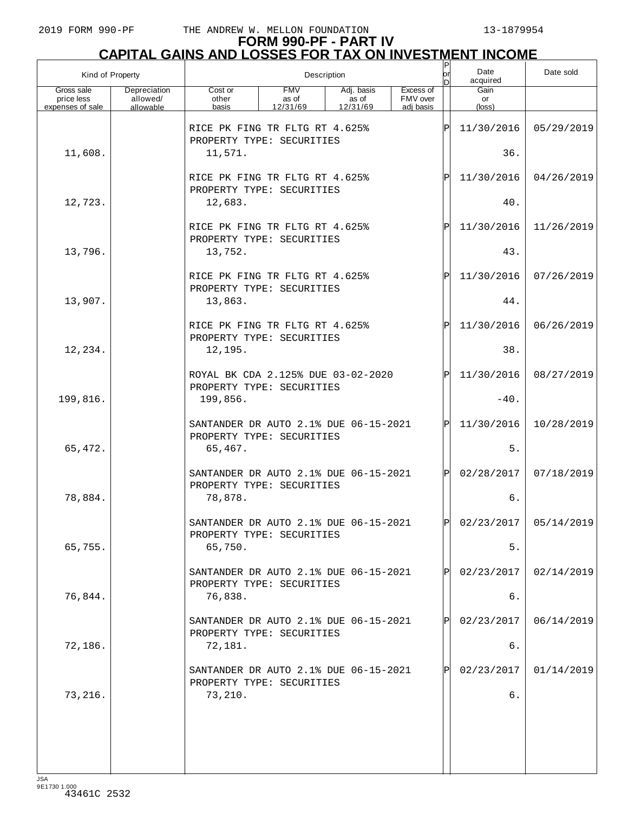## **FORM 990-PF - PART IV CAPITAL GAINS AND LOSSES FOR TAX ON INVESTMENT INCOME**

| Kind of Property         |                          |                                                                    | Description         |                     |                       | $\sf P$<br>lor<br>n | Date<br>acquired | Date sold               |
|--------------------------|--------------------------|--------------------------------------------------------------------|---------------------|---------------------|-----------------------|---------------------|------------------|-------------------------|
| Gross sale<br>price less | Depreciation<br>allowed/ | Cost or<br>other                                                   | <b>FMV</b><br>as of | Adj. basis<br>as of | Excess of<br>FMV over |                     | Gain<br>or       |                         |
| expenses of sale         | allowable                | basis                                                              | 12/31/69            | 12/31/69            | adi basis             |                     | $(\text{loss})$  |                         |
|                          |                          | RICE PK FING TR FLTG RT 4.625%<br>PROPERTY TYPE: SECURITIES        |                     |                     |                       | ΙP                  | 11/30/2016       | 05/29/2019              |
| 11,608.                  |                          | 11,571.                                                            |                     |                     |                       |                     | 36.              |                         |
|                          |                          | RICE PK FING TR FLTG RT 4.625%<br>PROPERTY TYPE: SECURITIES        |                     |                     |                       | ΙP                  | 11/30/2016       | 04/26/2019              |
| 12,723.                  |                          | 12,683.                                                            |                     |                     |                       |                     | $40.$            |                         |
|                          |                          | RICE PK FING TR FLTG RT 4.625%<br>PROPERTY TYPE: SECURITIES        |                     |                     |                       | ΙP                  | 11/30/2016       | 11/26/2019              |
| 13,796.                  |                          | 13,752.                                                            |                     |                     |                       |                     | 43.              |                         |
|                          |                          | RICE PK FING TR FLTG RT 4.625%<br>PROPERTY TYPE: SECURITIES        |                     |                     |                       | ΙP                  | 11/30/2016       | 07/26/2019              |
| 13,907.                  |                          | 13,863.                                                            |                     |                     |                       |                     | 44.              |                         |
|                          |                          | RICE PK FING TR FLTG RT 4.625%<br>PROPERTY TYPE: SECURITIES        |                     |                     |                       | ΙP                  | 11/30/2016       | 06/26/2019              |
| 12,234.                  |                          | 12,195.                                                            |                     |                     |                       |                     | 38.              |                         |
|                          |                          | ROYAL BK CDA 2.125% DUE 03-02-2020<br>PROPERTY TYPE: SECURITIES    |                     |                     |                       | P                   | 11/30/2016       | 08/27/2019              |
| 199,816.                 |                          | 199,856.                                                           |                     |                     |                       |                     | $-40.$           |                         |
|                          |                          | SANTANDER DR AUTO 2.1% DUE 06-15-2021<br>PROPERTY TYPE: SECURITIES |                     |                     |                       | IPI                 | 11/30/2016       | 10/28/2019              |
| 65,472.                  |                          | 65,467.                                                            |                     |                     |                       |                     | 5.               |                         |
|                          |                          | SANTANDER DR AUTO 2.1% DUE 06-15-2021<br>PROPERTY TYPE: SECURITIES |                     |                     |                       | ΙPΙ                 | 02/28/2017       | 07/18/2019              |
| 78,884.                  |                          | 78,878.                                                            |                     |                     |                       |                     | б.               |                         |
|                          |                          | SANTANDER DR AUTO 2.1% DUE 06-15-2021<br>PROPERTY TYPE: SECURITIES |                     |                     |                       | IDI                 |                  | $02/23/2017$ 05/14/2019 |
| 65,755.                  |                          | 65,750.                                                            |                     |                     |                       |                     | $5.$             |                         |
|                          |                          | SANTANDER DR AUTO 2.1% DUE 06-15-2021<br>PROPERTY TYPE: SECURITIES |                     |                     |                       |                     | 02/23/2017       | 02/14/2019              |
| 76,844.                  |                          | 76,838.                                                            |                     |                     |                       |                     | б.               |                         |
|                          |                          | SANTANDER DR AUTO 2.1% DUE 06-15-2021<br>PROPERTY TYPE: SECURITIES |                     |                     |                       |                     | 02/23/2017       | 06/14/2019              |
| 72,186.                  |                          | 72,181.                                                            |                     |                     |                       |                     | б.               |                         |
|                          |                          | SANTANDER DR AUTO 2.1% DUE 06-15-2021<br>PROPERTY TYPE: SECURITIES |                     |                     |                       |                     | 02/23/2017       | 01/14/2019              |
| 73,216.                  |                          | 73,210.                                                            |                     |                     |                       |                     | б.               |                         |
|                          |                          |                                                                    |                     |                     |                       |                     |                  |                         |
|                          |                          |                                                                    |                     |                     |                       |                     |                  |                         |
|                          |                          |                                                                    |                     |                     |                       |                     |                  |                         |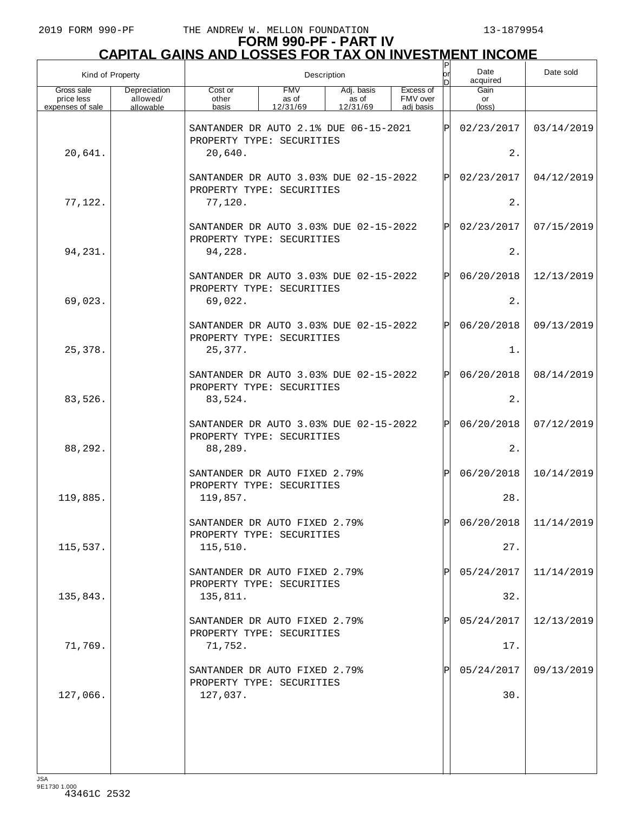## **FORM 990-PF - PART IV CAPITAL GAINS AND LOSSES FOR TAX ON INVESTMENT INCOME**

| Kind of Property                             |                                       |                                                                           |                                 | Description                     |                                    |            | Date<br>acquired     | Date sold  |
|----------------------------------------------|---------------------------------------|---------------------------------------------------------------------------|---------------------------------|---------------------------------|------------------------------------|------------|----------------------|------------|
| Gross sale<br>price less<br>expenses of sale | Depreciation<br>allowed/<br>allowable | Cost or<br>other<br>basis                                                 | <b>FMV</b><br>as of<br>12/31/69 | Adj. basis<br>as of<br>12/31/69 | Excess of<br>FMV over<br>adi basis |            | Gain<br>or<br>(loss) |            |
|                                              |                                       | SANTANDER DR AUTO 2.1% DUE 06-15-2021<br>ΙÞΙ<br>PROPERTY TYPE: SECURITIES |                                 |                                 |                                    |            | 02/23/2017           | 03/14/2019 |
| 20,641.                                      |                                       | 20,640.                                                                   |                                 |                                 |                                    |            | 2.                   |            |
|                                              |                                       | SANTANDER DR AUTO 3.03% DUE 02-15-2022<br>PROPERTY TYPE: SECURITIES       |                                 | ΙÞΙ                             | 02/23/2017                         | 04/12/2019 |                      |            |
| 77,122.                                      |                                       | 77,120.                                                                   |                                 |                                 |                                    |            | 2.                   |            |
|                                              |                                       | SANTANDER DR AUTO 3.03% DUE 02-15-2022<br>PROPERTY TYPE: SECURITIES       |                                 |                                 |                                    | ΙÞΙ        | 02/23/2017           | 07/15/2019 |
| 94,231.                                      |                                       | 94,228.                                                                   |                                 |                                 |                                    |            | 2.                   |            |
|                                              |                                       | SANTANDER DR AUTO 3.03% DUE 02-15-2022<br>PROPERTY TYPE: SECURITIES       |                                 |                                 |                                    | ΙÞΙ        | 06/20/2018           | 12/13/2019 |
| 69,023.                                      |                                       | 69,022.                                                                   |                                 |                                 |                                    |            | 2.                   |            |
|                                              |                                       | SANTANDER DR AUTO 3.03% DUE 02-15-2022<br>PROPERTY TYPE: SECURITIES       |                                 |                                 |                                    | ΙÞΙ        | 06/20/2018           | 09/13/2019 |
| 25,378.                                      |                                       | 25,377.                                                                   |                                 |                                 |                                    |            | $1$ .                |            |
|                                              |                                       | SANTANDER DR AUTO 3.03% DUE 02-15-2022<br>PROPERTY TYPE: SECURITIES       |                                 |                                 |                                    | ΙÞΙ        | 06/20/2018           | 08/14/2019 |
| 83,526.                                      |                                       | 83,524.                                                                   |                                 |                                 |                                    |            | 2.                   |            |
|                                              |                                       | SANTANDER DR AUTO 3.03% DUE 02-15-2022<br>PROPERTY TYPE: SECURITIES       |                                 |                                 |                                    | ΙÞΙ        | 06/20/2018           | 07/12/2019 |
| 88,292.                                      |                                       | 88,289.                                                                   |                                 |                                 |                                    |            | 2.                   |            |
|                                              |                                       | SANTANDER DR AUTO FIXED 2.79%<br>PROPERTY TYPE: SECURITIES                |                                 |                                 |                                    | ΙÞΙ        | 06/20/2018           | 10/14/2019 |
| 119,885.                                     |                                       | 119,857.                                                                  |                                 |                                 |                                    |            | 28.                  |            |
|                                              |                                       | SANTANDER DR AUTO FIXED 2.79%<br>PROPERTY TYPE: SECURITIES                |                                 |                                 |                                    | ldl        | 06/20/2018           | 11/14/2019 |
| 115,537.                                     |                                       | 115,510.                                                                  |                                 |                                 |                                    |            | 27.                  |            |
|                                              |                                       | SANTANDER DR AUTO FIXED 2.79%<br>PROPERTY TYPE: SECURITIES                |                                 |                                 |                                    | ΙPΙ        | 05/24/2017           | 11/14/2019 |
| 135,843.                                     |                                       | 135,811.                                                                  |                                 |                                 |                                    |            | 32.                  |            |
|                                              |                                       | SANTANDER DR AUTO FIXED 2.79%<br>PROPERTY TYPE: SECURITIES                |                                 |                                 |                                    | ΙPΙ        | 05/24/2017           | 12/13/2019 |
| 71,769.                                      |                                       | 71,752.                                                                   |                                 |                                 |                                    |            | 17.                  |            |
|                                              |                                       | SANTANDER DR AUTO FIXED 2.79%<br>PROPERTY TYPE: SECURITIES                |                                 |                                 |                                    | ΙPΙ        | 05/24/2017           | 09/13/2019 |
| 127,066.                                     |                                       | 127,037.                                                                  |                                 |                                 |                                    |            | 30.                  |            |
|                                              |                                       |                                                                           |                                 |                                 |                                    |            |                      |            |
|                                              |                                       |                                                                           |                                 |                                 |                                    |            |                      |            |
| 10 <sub>0</sub>                              |                                       |                                                                           |                                 |                                 |                                    |            |                      |            |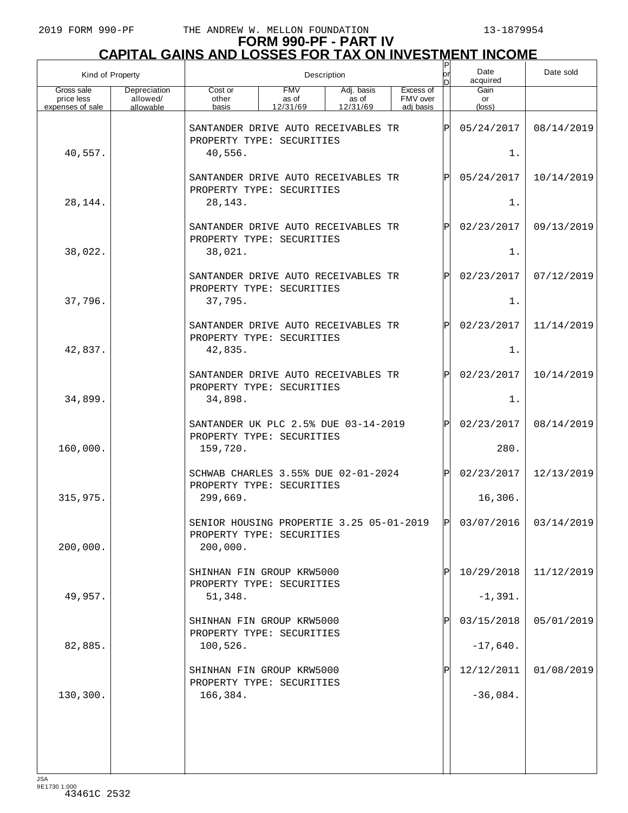| Kind of Property                             |                                       |                                                                              |                                 | Description                     |                                    |            |                       |                         |
|----------------------------------------------|---------------------------------------|------------------------------------------------------------------------------|---------------------------------|---------------------------------|------------------------------------|------------|-----------------------|-------------------------|
| Gross sale<br>price less<br>expenses of sale | Depreciation<br>allowed/<br>allowable | Cost or<br>other<br>basis                                                    | <b>FMV</b><br>as of<br>12/31/69 | Adj. basis<br>as of<br>12/31/69 | Excess of<br>FMV over<br>adj basis |            | Gain<br>or<br>(loss)  |                         |
| 40,557.                                      |                                       | SANTANDER DRIVE AUTO RECEIVABLES TR<br>PROPERTY TYPE: SECURITIES<br>40,556.  |                                 |                                 |                                    | lÞ         | 05/24/2017<br>1.      | 08/14/2019              |
|                                              |                                       | SANTANDER DRIVE AUTO RECEIVABLES TR<br>PROPERTY TYPE: SECURITIES             |                                 |                                 | Þl                                 | 05/24/2017 | 10/14/2019            |                         |
| 28,144.                                      |                                       | 28, 143.                                                                     |                                 |                                 |                                    |            | 1.                    |                         |
|                                              |                                       | SANTANDER DRIVE AUTO RECEIVABLES TR<br>PROPERTY TYPE: SECURITIES             |                                 |                                 |                                    | Þl         | 02/23/2017            | 09/13/2019              |
| 38,022.                                      |                                       | 38,021.                                                                      |                                 |                                 |                                    |            | 1.                    |                         |
| 37,796.                                      |                                       | SANTANDER DRIVE AUTO RECEIVABLES TR<br>PROPERTY TYPE: SECURITIES<br>37,795.  |                                 |                                 |                                    | Þl         | 02/23/2017<br>1.      | 07/12/2019              |
|                                              |                                       | SANTANDER DRIVE AUTO RECEIVABLES TR                                          |                                 |                                 |                                    | Þl         | 02/23/2017            | 11/14/2019              |
| 42,837.                                      |                                       | PROPERTY TYPE: SECURITIES<br>42,835.                                         |                                 |                                 |                                    |            | 1.                    |                         |
|                                              |                                       | SANTANDER DRIVE AUTO RECEIVABLES TR<br>PROPERTY TYPE: SECURITIES             |                                 |                                 |                                    | lPl        | 02/23/2017            | 10/14/2019              |
| 34,899.                                      |                                       | 34,898.                                                                      |                                 |                                 |                                    |            | 1.                    |                         |
|                                              |                                       | SANTANDER UK PLC 2.5% DUE 03-14-2019<br>PROPERTY TYPE: SECURITIES            |                                 |                                 |                                    | Þl         | 02/23/2017            | 08/14/2019              |
| 160,000.                                     |                                       | 159,720.                                                                     |                                 |                                 |                                    |            | 280.                  |                         |
| 315,975.                                     |                                       | SCHWAB CHARLES 3.55% DUE 02-01-2024<br>PROPERTY TYPE: SECURITIES<br>299,669. |                                 |                                 |                                    | ΙPΙ        | 02/23/2017<br>16,306. | 12/13/2019              |
|                                              |                                       | SENIOR HOUSING PROPERTIE 3 25 05-01-2019 $ p $                               |                                 |                                 |                                    |            |                       | $03/07/2016$ 03/14/2019 |
| 200,000.                                     |                                       | PROPERTY TYPE: SECURITIES<br>200,000.                                        |                                 |                                 |                                    |            |                       |                         |
|                                              |                                       | SHINHAN FIN GROUP KRW5000<br>PROPERTY TYPE: SECURITIES                       |                                 |                                 |                                    |            | 10/29/2018            | 11/12/2019              |
| 49,957.                                      |                                       | 51,348.                                                                      |                                 |                                 |                                    |            | $-1,391.$             |                         |
|                                              |                                       | SHINHAN FIN GROUP KRW5000<br>PROPERTY TYPE: SECURITIES                       |                                 |                                 |                                    | ΙP         | 03/15/2018            | 05/01/2019              |
| 82,885.                                      |                                       | 100,526.                                                                     |                                 |                                 |                                    |            | $-17,640.$            |                         |
|                                              |                                       | SHINHAN FIN GROUP KRW5000<br>PROPERTY TYPE: SECURITIES                       |                                 |                                 |                                    |            | 12/12/2011            | 01/08/2019              |
| 130,300.                                     |                                       | 166,384.                                                                     |                                 |                                 |                                    |            | $-36,084.$            |                         |
|                                              |                                       |                                                                              |                                 |                                 |                                    |            |                       |                         |
|                                              |                                       |                                                                              |                                 |                                 |                                    |            |                       |                         |
| $I \subseteq \Delta$                         |                                       |                                                                              |                                 |                                 |                                    |            |                       |                         |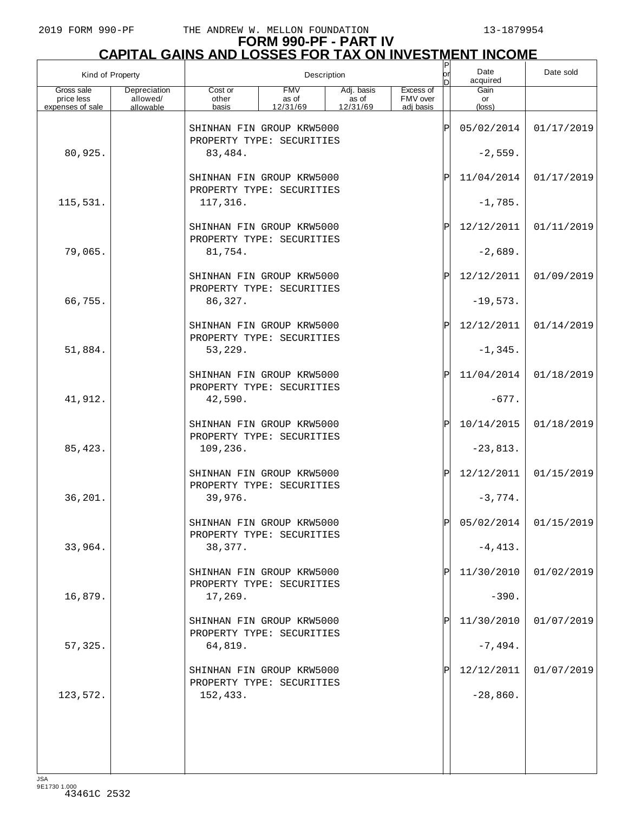## **FORM 990-PF - PART IV**

| <b>CAPITAL GAINS AND LOSSES FOR TAX ON INVESTMENT INCOME</b> |                                       |                                                        |                                 |                                 |                                    |         |                          |            |  |  |
|--------------------------------------------------------------|---------------------------------------|--------------------------------------------------------|---------------------------------|---------------------------------|------------------------------------|---------|--------------------------|------------|--|--|
| Kind of Property                                             |                                       |                                                        |                                 | Description                     |                                    | юr<br>n | Date<br>acquired         | Date sold  |  |  |
| Gross sale<br>price less<br>expenses of sale                 | Depreciation<br>allowed/<br>allowable | Cost or<br>other<br>basis                              | <b>FMV</b><br>as of<br>12/31/69 | Adj. basis<br>as of<br>12/31/69 | Excess of<br>FMV over<br>adj basis |         | Gain<br>or<br>(loss)     |            |  |  |
|                                                              |                                       | SHINHAN FIN GROUP KRW5000<br>PROPERTY TYPE: SECURITIES |                                 |                                 |                                    | ΙP      | 05/02/2014               | 01/17/2019 |  |  |
| 80,925.                                                      |                                       | 83,484.                                                |                                 |                                 |                                    |         | $-2,559.$                |            |  |  |
|                                                              |                                       | SHINHAN FIN GROUP KRW5000<br>PROPERTY TYPE: SECURITIES |                                 |                                 |                                    | ΙP      | 11/04/2014               | 01/17/2019 |  |  |
| 115,531.                                                     |                                       | 117,316.                                               |                                 |                                 |                                    |         | $-1,785.$                |            |  |  |
|                                                              |                                       | SHINHAN FIN GROUP KRW5000<br>PROPERTY TYPE: SECURITIES |                                 |                                 |                                    | ΙP      | 12/12/2011               | 01/11/2019 |  |  |
| 79,065.                                                      |                                       | 81,754.                                                |                                 |                                 |                                    |         | $-2,689.$                |            |  |  |
|                                                              |                                       | SHINHAN FIN GROUP KRW5000<br>PROPERTY TYPE: SECURITIES |                                 |                                 |                                    | ΙP      | 12/12/2011               | 01/09/2019 |  |  |
| 66,755.                                                      |                                       | 86,327.                                                |                                 |                                 |                                    |         | $-19,573.$               |            |  |  |
|                                                              |                                       | SHINHAN FIN GROUP KRW5000<br>PROPERTY TYPE: SECURITIES |                                 |                                 |                                    | ΙP      | 12/12/2011               | 01/14/2019 |  |  |
| 51,884.                                                      |                                       | 53,229.<br>SHINHAN FIN GROUP KRW5000                   |                                 |                                 |                                    | ΙP      | $-1, 345.$<br>11/04/2014 | 01/18/2019 |  |  |
| 41,912.                                                      |                                       | PROPERTY TYPE: SECURITIES<br>42,590.                   |                                 |                                 |                                    |         | $-677.$                  |            |  |  |
|                                                              |                                       | SHINHAN FIN GROUP KRW5000                              |                                 |                                 |                                    | ΙP      | 10/14/2015               | 01/18/2019 |  |  |
| 85,423.                                                      |                                       | PROPERTY TYPE: SECURITIES<br>109,236.                  |                                 |                                 |                                    |         | $-23,813.$               |            |  |  |
|                                                              |                                       | SHINHAN FIN GROUP KRW5000<br>PROPERTY TYPE: SECURITIES |                                 |                                 |                                    | ΙÞΙ     | 12/12/2011               | 01/15/2019 |  |  |
| 36,201.                                                      |                                       | 39,976.                                                |                                 |                                 |                                    |         | $-3,774.$                |            |  |  |
|                                                              |                                       | SHINHAN FIN GROUP KRW5000<br>PROPERTY TYPE: SECURITIES |                                 |                                 |                                    | ΙÞΙ     | 05/02/2014               | 01/15/2019 |  |  |
| 33,964.                                                      |                                       | 38,377.                                                |                                 |                                 |                                    |         | $-4, 413.$               |            |  |  |
|                                                              |                                       | SHINHAN FIN GROUP KRW5000<br>PROPERTY TYPE: SECURITIES |                                 |                                 |                                    | ΙP      | 11/30/2010               | 01/02/2019 |  |  |
| 16,879.                                                      |                                       | 17,269.                                                |                                 |                                 |                                    |         | $-390.$                  |            |  |  |
|                                                              |                                       | SHINHAN FIN GROUP KRW5000<br>PROPERTY TYPE: SECURITIES |                                 |                                 |                                    | ΙPΙ     | 11/30/2010               | 01/07/2019 |  |  |
| 57,325.                                                      |                                       | 64,819.<br>SHINHAN FIN GROUP KRW5000                   |                                 |                                 |                                    | ΙP      | $-7,494.$<br>12/12/2011  | 01/07/2019 |  |  |
| 123,572.                                                     |                                       | PROPERTY TYPE: SECURITIES<br>152,433.                  |                                 |                                 |                                    |         | $-28,860.$               |            |  |  |
|                                                              |                                       |                                                        |                                 |                                 |                                    |         |                          |            |  |  |
|                                                              |                                       |                                                        |                                 |                                 |                                    |         |                          |            |  |  |
|                                                              |                                       |                                                        |                                 |                                 |                                    |         |                          |            |  |  |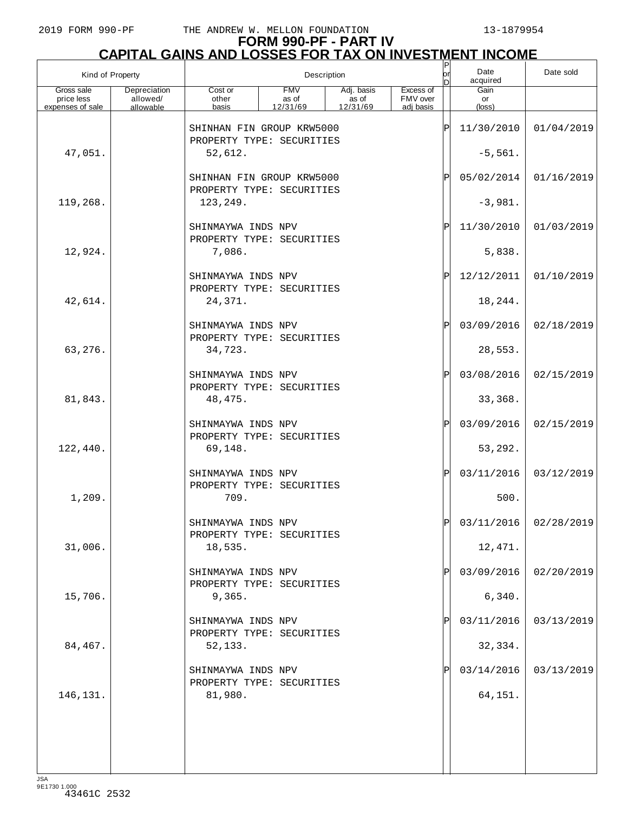# **FORM 990-PF - PART IV CAPITAL GAINS AND LOSSES FOR TAX ON INVESTMENT INCOME** P

| Kind of Property         |                          |                                                            |                     | Description         |                       | $\frac{P}{\rho r}$<br>ln | Date<br>acquired       | Date sold               |
|--------------------------|--------------------------|------------------------------------------------------------|---------------------|---------------------|-----------------------|--------------------------|------------------------|-------------------------|
| Gross sale<br>price less | Depreciation<br>allowed/ | Cost or<br>other                                           | <b>FMV</b><br>as of | Adj. basis<br>as of | Excess of<br>FMV over |                          | Gain<br>or             |                         |
| expenses of sale         | allowable                | basis                                                      | 12/31/69            | 12/31/69            | adi basis             |                          | $(\text{loss})$        |                         |
|                          |                          | SHINHAN FIN GROUP KRW5000<br>PROPERTY TYPE: SECURITIES     |                     |                     |                       | ΙP                       | 11/30/2010             | 01/04/2019              |
| 47,051.                  |                          | 52,612.                                                    |                     |                     |                       |                          | $-5,561.$              |                         |
|                          |                          | SHINHAN FIN GROUP KRW5000<br>PROPERTY TYPE: SECURITIES     |                     |                     |                       | ΙP                       | 05/02/2014             | 01/16/2019              |
| 119,268.                 |                          | 123,249.                                                   |                     |                     |                       |                          | $-3,981.$              |                         |
|                          |                          | SHINMAYWA INDS NPV<br>PROPERTY TYPE: SECURITIES            |                     |                     |                       | ΙP                       | 11/30/2010             | 01/03/2019              |
| 12,924.                  |                          | 7,086.                                                     |                     |                     |                       |                          | 5,838.                 |                         |
| 42,614.                  |                          | SHINMAYWA INDS NPV<br>PROPERTY TYPE: SECURITIES<br>24,371. |                     |                     |                       | ΙP                       | 12/12/2011<br>18, 244. | 01/10/2019              |
|                          |                          | SHINMAYWA INDS NPV                                         |                     |                     |                       | ΙP                       | 03/09/2016             | 02/18/2019              |
| 63,276.                  |                          | PROPERTY TYPE: SECURITIES<br>34,723.                       |                     |                     |                       |                          | 28,553.                |                         |
|                          |                          | SHINMAYWA INDS NPV                                         |                     |                     |                       | ΙP                       | 03/08/2016             | 02/15/2019              |
| 81,843.                  |                          | PROPERTY TYPE: SECURITIES<br>48, 475.                      |                     |                     |                       |                          | 33,368.                |                         |
|                          |                          | SHINMAYWA INDS NPV<br>PROPERTY TYPE: SECURITIES            |                     |                     |                       | ΙP                       | 03/09/2016             | 02/15/2019              |
| 122,440.                 |                          | 69,148.                                                    |                     |                     |                       |                          | 53,292.                |                         |
|                          |                          | SHINMAYWA INDS NPV<br>PROPERTY TYPE: SECURITIES            |                     |                     |                       | ΙP                       | 03/11/2016             | 03/12/2019              |
| 1,209.                   |                          | 709.                                                       |                     |                     |                       |                          | 500.                   |                         |
|                          |                          | SHINMAYWA INDS NPV<br>PROPERTY TYPE: SECURITIES            |                     |                     |                       | D                        |                        | $03/11/2016$ 02/28/2019 |
| 31,006.                  |                          | 18,535.<br>SHINMAYWA INDS NPV                              |                     |                     |                       |                          | 12,471.<br>03/09/2016  | 02/20/2019              |
| 15,706.                  |                          | PROPERTY TYPE: SECURITIES<br>9,365.                        |                     |                     |                       |                          | 6,340.                 |                         |
|                          |                          | SHINMAYWA INDS NPV                                         |                     |                     |                       |                          | 03/11/2016             | 03/13/2019              |
| 84,467.                  |                          | PROPERTY TYPE: SECURITIES<br>52,133.                       |                     |                     |                       |                          | 32,334.                |                         |
|                          |                          | SHINMAYWA INDS NPV                                         |                     |                     |                       |                          | 03/14/2016             | 03/13/2019              |
| 146,131.                 |                          | PROPERTY TYPE: SECURITIES<br>81,980.                       |                     |                     |                       |                          | 64,151.                |                         |
|                          |                          |                                                            |                     |                     |                       |                          |                        |                         |
|                          |                          |                                                            |                     |                     |                       |                          |                        |                         |
|                          |                          |                                                            |                     |                     |                       |                          |                        |                         |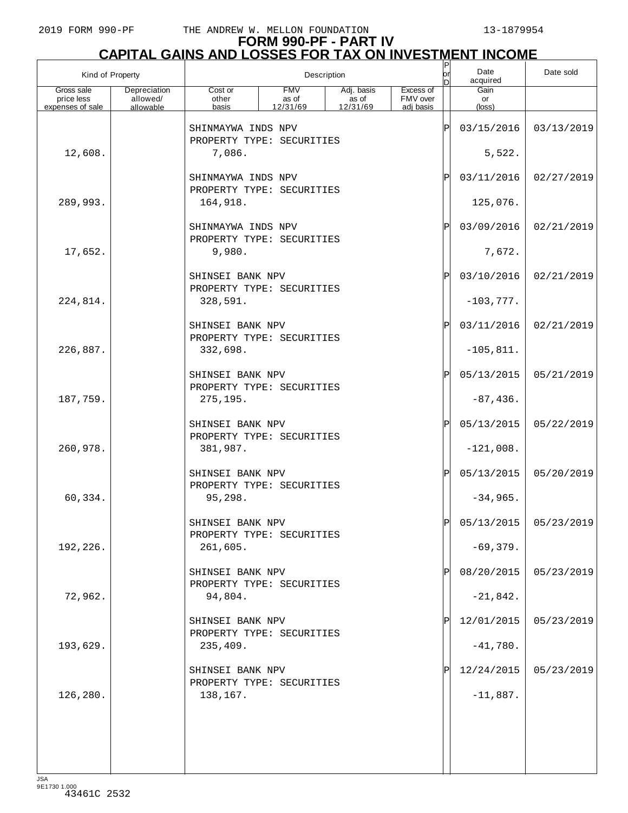# **FORM 990-PF - PART IV CAPITAL GAINS AND LOSSES FOR TAX ON INVESTMENT INCOME** P

| Kind of Property                             |                                       |                                               |                                 | Description                                   |                                    | Ρ<br>or<br>D | Date<br>acquired     | Date sold               |
|----------------------------------------------|---------------------------------------|-----------------------------------------------|---------------------------------|-----------------------------------------------|------------------------------------|--------------|----------------------|-------------------------|
| Gross sale<br>price less<br>expenses of sale | Depreciation<br>allowed/<br>allowable | Cost or<br>other<br>basis                     | <b>FMV</b><br>as of<br>12/31/69 | Adj. basis<br>$\overline{a}$ s of<br>12/31/69 | Excess of<br>FMV over<br>adj basis |              | Gain<br>or<br>(loss) |                         |
|                                              |                                       | SHINMAYWA INDS NPV                            |                                 |                                               |                                    | ΙÞΙ          | 03/15/2016           | 03/13/2019              |
| 12,608.                                      |                                       | PROPERTY TYPE: SECURITIES<br>7,086.           |                                 |                                               |                                    |              | 5,522.               |                         |
|                                              |                                       | SHINMAYWA INDS NPV                            |                                 |                                               |                                    | ΙÞΙ          | 03/11/2016           | 02/27/2019              |
| 289,993.                                     |                                       | PROPERTY TYPE: SECURITIES<br>164,918.         |                                 |                                               |                                    |              | 125,076.             |                         |
|                                              |                                       | SHINMAYWA INDS NPV                            |                                 |                                               |                                    | ΙÞΙ          | 03/09/2016           | 02/21/2019              |
| 17,652.                                      |                                       | PROPERTY TYPE: SECURITIES<br>9,980.           |                                 |                                               |                                    |              | 7,672.               |                         |
|                                              |                                       | SHINSEI BANK NPV<br>PROPERTY TYPE: SECURITIES |                                 |                                               |                                    | ΙÞΙ          | 03/10/2016           | 02/21/2019              |
| 224,814.                                     |                                       | 328,591.                                      |                                 |                                               |                                    |              | $-103,777.$          |                         |
|                                              |                                       | SHINSEI BANK NPV<br>PROPERTY TYPE: SECURITIES |                                 |                                               |                                    | ΙÞΙ          | 03/11/2016           | 02/21/2019              |
| 226,887.                                     |                                       | 332,698.                                      |                                 |                                               |                                    |              | $-105,811.$          |                         |
|                                              |                                       | SHINSEI BANK NPV<br>PROPERTY TYPE: SECURITIES |                                 |                                               |                                    | ΙÞΙ          | 05/13/2015           | 05/21/2019              |
| 187,759.                                     |                                       | 275,195.                                      |                                 |                                               |                                    |              | $-87,436.$           |                         |
|                                              |                                       | SHINSEI BANK NPV<br>PROPERTY TYPE: SECURITIES |                                 |                                               |                                    | ΙÞΙ          | 05/13/2015           | 05/22/2019              |
| 260,978.                                     |                                       | 381,987.                                      |                                 |                                               |                                    |              | $-121,008.$          |                         |
|                                              |                                       | SHINSEI BANK NPV<br>PROPERTY TYPE: SECURITIES |                                 |                                               |                                    | ΙÞΙ          | 05/13/2015           | 05/20/2019              |
| 60,334.                                      |                                       | 95,298.                                       |                                 |                                               |                                    |              | $-34,965.$           |                         |
|                                              |                                       | SHINSEI BANK NPV<br>PROPERTY TYPE: SECURITIES |                                 |                                               |                                    | 'n           |                      | $05/13/2015$ 05/23/2019 |
| 192,226.                                     |                                       | 261,605.                                      |                                 |                                               |                                    |              | $-69,379.$           |                         |
|                                              |                                       | SHINSEI BANK NPV<br>PROPERTY TYPE: SECURITIES |                                 |                                               |                                    | ΙPΙ          | 08/20/2015           | 05/23/2019              |
| 72,962.                                      |                                       | 94,804.                                       |                                 |                                               |                                    |              | $-21,842.$           |                         |
|                                              |                                       | SHINSEI BANK NPV<br>PROPERTY TYPE: SECURITIES |                                 |                                               |                                    | ΙPΙ          | 12/01/2015           | 05/23/2019              |
| 193,629.                                     |                                       | 235,409.                                      |                                 |                                               |                                    |              | $-41,780.$           |                         |
|                                              |                                       | SHINSEI BANK NPV<br>PROPERTY TYPE: SECURITIES |                                 |                                               |                                    | ΙPΙ          | 12/24/2015           | 05/23/2019              |
| 126,280.                                     |                                       | 138,167.                                      |                                 |                                               |                                    |              | $-11,887.$           |                         |
|                                              |                                       |                                               |                                 |                                               |                                    |              |                      |                         |
|                                              |                                       |                                               |                                 |                                               |                                    |              |                      |                         |
|                                              |                                       |                                               |                                 |                                               |                                    |              |                      |                         |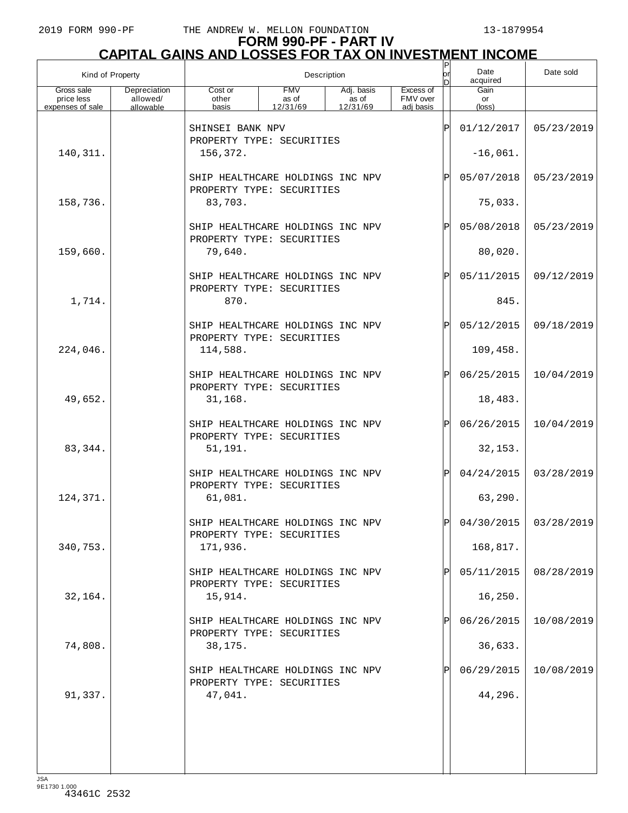| Kind of Property         |                          |                                                                          |                     | Description         |                       | $\mathsf P$<br>or<br>n | Date<br>acquired      | Date sold               |
|--------------------------|--------------------------|--------------------------------------------------------------------------|---------------------|---------------------|-----------------------|------------------------|-----------------------|-------------------------|
| Gross sale<br>price less | Depreciation<br>allowed/ | Cost or<br>other                                                         | <b>FMV</b><br>as of | Adj. basis<br>as of | Excess of<br>FMV over |                        | Gain<br>or            |                         |
| expenses of sale         | allowable                | basis                                                                    | 12/31/69            | 12/31/69            | adi basis             |                        | $(\text{loss})$       |                         |
|                          |                          | SHINSEI BANK NPV<br>PROPERTY TYPE: SECURITIES                            |                     |                     |                       |                        | 01/12/2017            | 05/23/2019              |
| 140, 311.                |                          | 156,372.                                                                 |                     |                     |                       |                        | $-16,061.$            |                         |
|                          |                          | SHIP HEALTHCARE HOLDINGS INC NPV<br>PROPERTY TYPE: SECURITIES            |                     |                     |                       | ΙP                     | 05/07/2018            | 05/23/2019              |
| 158,736.                 |                          | 83,703.                                                                  |                     |                     | 75,033.               |                        |                       |                         |
|                          |                          | SHIP HEALTHCARE HOLDINGS INC NPV<br>PROPERTY TYPE: SECURITIES            |                     | ΙP                  | 05/08/2018            | 05/23/2019             |                       |                         |
| 159,660.                 |                          | 79,640.                                                                  |                     |                     | 80,020.               |                        |                       |                         |
|                          |                          | SHIP HEALTHCARE HOLDINGS INC NPV<br>PROPERTY TYPE: SECURITIES            |                     |                     |                       | ΙP                     | 05/11/2015            | 09/12/2019              |
| 1,714.                   |                          | 870.                                                                     |                     |                     |                       |                        | 845.                  |                         |
|                          |                          | SHIP HEALTHCARE HOLDINGS INC NPV<br>PROPERTY TYPE: SECURITIES            |                     |                     |                       | ΙP                     | 05/12/2015            | 09/18/2019              |
| 224,046.                 |                          | 114,588.                                                                 |                     |                     |                       |                        | 109,458.              |                         |
|                          |                          | SHIP HEALTHCARE HOLDINGS INC NPV<br>PROPERTY TYPE: SECURITIES            |                     |                     |                       | ΙP                     | 06/25/2015            | 10/04/2019              |
| 49,652.                  |                          | 31,168.                                                                  |                     |                     |                       |                        | 18,483.               |                         |
| 83,344.                  |                          | SHIP HEALTHCARE HOLDINGS INC NPV<br>PROPERTY TYPE: SECURITIES<br>51,191. |                     |                     |                       | ΙP                     | 06/26/2015<br>32,153. | 10/04/2019              |
|                          |                          | SHIP HEALTHCARE HOLDINGS INC NPV<br>PROPERTY TYPE: SECURITIES            |                     |                     |                       | ΙP                     | 04/24/2015            | 03/28/2019              |
| 124,371.                 |                          | 61,081.                                                                  |                     |                     |                       |                        | 63,290.               |                         |
|                          |                          | SHIP HEALTHCARE HOLDINGS INC NPV<br>PROPERTY TYPE: SECURITIES            |                     |                     |                       | D                      |                       | $04/30/2015$ 03/28/2019 |
| 340,753.                 |                          | 171,936.                                                                 |                     |                     |                       |                        | 168,817.              |                         |
|                          |                          | SHIP HEALTHCARE HOLDINGS INC NPV<br>PROPERTY TYPE: SECURITIES            |                     |                     |                       |                        | 05/11/2015            | 08/28/2019              |
| 32,164.                  |                          | 15,914.                                                                  |                     |                     |                       |                        | 16,250.               |                         |
|                          |                          | SHIP HEALTHCARE HOLDINGS INC NPV<br>PROPERTY TYPE: SECURITIES            |                     |                     |                       |                        | 06/26/2015            | 10/08/2019              |
| 74,808.                  |                          | 38,175.                                                                  |                     |                     |                       |                        | 36,633.               |                         |
|                          |                          | SHIP HEALTHCARE HOLDINGS INC NPV<br>PROPERTY TYPE: SECURITIES            |                     |                     |                       |                        | 06/29/2015            | 10/08/2019              |
| 91,337.                  |                          | 47,041.                                                                  |                     |                     |                       |                        | 44,296.               |                         |
|                          |                          |                                                                          |                     |                     |                       |                        |                       |                         |
|                          |                          |                                                                          |                     |                     |                       |                        |                       |                         |
|                          |                          |                                                                          |                     |                     |                       |                        |                       |                         |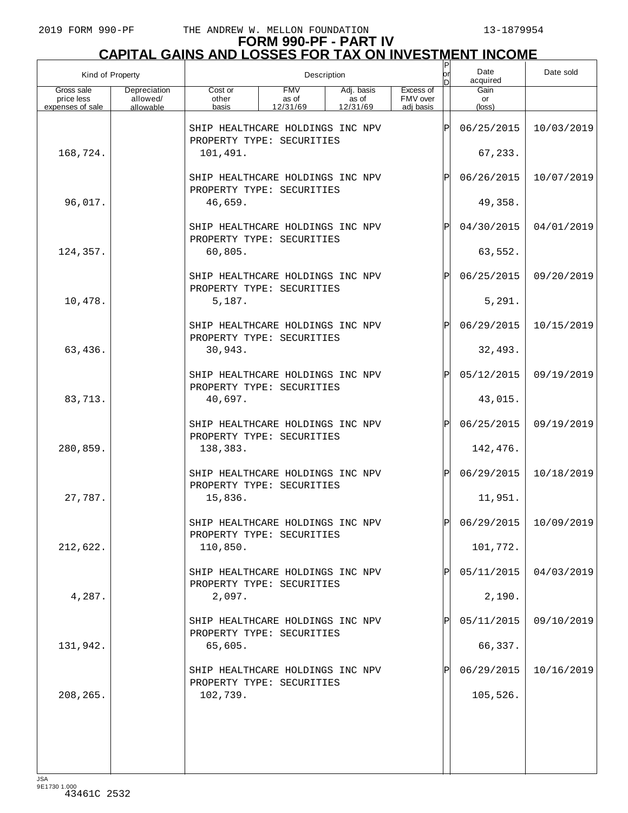## **FORM 990-PF - PART IV**

| <b>CAPITAL GAINS AND LOSSES FOR TAX ON INVESTMENT INCOME</b> |                                       |                                                                           |                                 |                                 |                                    |          |                        |            |  |  |
|--------------------------------------------------------------|---------------------------------------|---------------------------------------------------------------------------|---------------------------------|---------------------------------|------------------------------------|----------|------------------------|------------|--|--|
| Kind of Property                                             |                                       |                                                                           |                                 | Description                     |                                    | orl<br>D | Date<br>acquired       | Date sold  |  |  |
| Gross sale<br>price less<br>expenses of sale                 | Depreciation<br>allowed/<br>allowable | Cost or<br>other<br>basis                                                 | <b>FMV</b><br>as of<br>12/31/69 | Adj. basis<br>as of<br>12/31/69 | Excess of<br>FMV over<br>adj basis |          | Gain<br>or<br>(loss)   |            |  |  |
|                                                              |                                       | SHIP HEALTHCARE HOLDINGS INC NPV<br>PROPERTY TYPE: SECURITIES             |                                 |                                 |                                    | ΙÞΙ      | 06/25/2015             | 10/03/2019 |  |  |
| 168,724.                                                     |                                       | 101,491.                                                                  |                                 |                                 |                                    |          | 67,233.                |            |  |  |
|                                                              |                                       | SHIP HEALTHCARE HOLDINGS INC NPV<br>PROPERTY TYPE: SECURITIES             |                                 |                                 |                                    | ΙPΙ      | 06/26/2015             | 10/07/2019 |  |  |
| 96,017.                                                      |                                       | 46,659.                                                                   |                                 |                                 |                                    |          | 49,358.                |            |  |  |
|                                                              |                                       | SHIP HEALTHCARE HOLDINGS INC NPV<br>PROPERTY TYPE: SECURITIES             |                                 |                                 |                                    | ΙPΙ      | 04/30/2015             | 04/01/2019 |  |  |
| 124,357.                                                     |                                       | 60,805.                                                                   |                                 |                                 |                                    |          | 63,552.                |            |  |  |
|                                                              |                                       | SHIP HEALTHCARE HOLDINGS INC NPV<br>PROPERTY TYPE: SECURITIES             |                                 |                                 |                                    | ΙPΙ      | 06/25/2015             | 09/20/2019 |  |  |
| 10,478.                                                      |                                       | 5,187.                                                                    |                                 |                                 |                                    |          | 5,291.                 |            |  |  |
| 63,436.                                                      |                                       | SHIP HEALTHCARE HOLDINGS INC NPV<br>PROPERTY TYPE: SECURITIES<br>30,943.  |                                 |                                 |                                    | ΙPΙ      | 06/29/2015<br>32,493.  | 10/15/2019 |  |  |
|                                                              |                                       | SHIP HEALTHCARE HOLDINGS INC NPV                                          |                                 |                                 |                                    | ΙPΙ      | 05/12/2015             | 09/19/2019 |  |  |
| 83,713.                                                      |                                       | PROPERTY TYPE: SECURITIES<br>40,697.                                      |                                 |                                 |                                    |          | 43,015.                |            |  |  |
|                                                              |                                       | SHIP HEALTHCARE HOLDINGS INC NPV                                          |                                 |                                 |                                    | ΙPΙ      | 06/25/2015             | 09/19/2019 |  |  |
| 280,859.                                                     |                                       | PROPERTY TYPE: SECURITIES<br>138,383.                                     |                                 |                                 |                                    |          | 142,476.               |            |  |  |
|                                                              |                                       | SHIP HEALTHCARE HOLDINGS INC NPV<br>PROPERTY TYPE: SECURITIES             |                                 |                                 |                                    | ΙPΙ      | 06/29/2015             | 10/18/2019 |  |  |
| 27,787.                                                      |                                       | 15,836.                                                                   |                                 |                                 |                                    |          | 11,951.                |            |  |  |
|                                                              |                                       | SHIP HEALTHCARE HOLDINGS INC NPV<br>PROPERTY TYPE: SECURITIES             |                                 |                                 |                                    | ΙÞΙ      | 06/29/2015             | 10/09/2019 |  |  |
| 212,622.                                                     |                                       | 110,850.                                                                  |                                 |                                 |                                    |          | 101,772.               |            |  |  |
|                                                              |                                       | SHIP HEALTHCARE HOLDINGS INC NPV<br>PROPERTY TYPE: SECURITIES             |                                 |                                 |                                    | ΙPΙ      | 05/11/2015             | 04/03/2019 |  |  |
| 4,287.                                                       |                                       | 2,097.                                                                    |                                 |                                 |                                    |          | 2,190.                 |            |  |  |
|                                                              |                                       | SHIP HEALTHCARE HOLDINGS INC NPV<br>PROPERTY TYPE: SECURITIES             |                                 |                                 |                                    | ΙPΙ      | 05/11/2015             | 09/10/2019 |  |  |
| 131,942.                                                     |                                       | 65,605.                                                                   |                                 |                                 |                                    |          | 66,337.                |            |  |  |
| 208, 265.                                                    |                                       | SHIP HEALTHCARE HOLDINGS INC NPV<br>PROPERTY TYPE: SECURITIES<br>102,739. |                                 |                                 |                                    |          | 06/29/2015<br>105,526. | 10/16/2019 |  |  |
|                                                              |                                       |                                                                           |                                 |                                 |                                    |          |                        |            |  |  |
|                                                              |                                       |                                                                           |                                 |                                 |                                    |          |                        |            |  |  |
|                                                              |                                       |                                                                           |                                 |                                 |                                    |          |                        |            |  |  |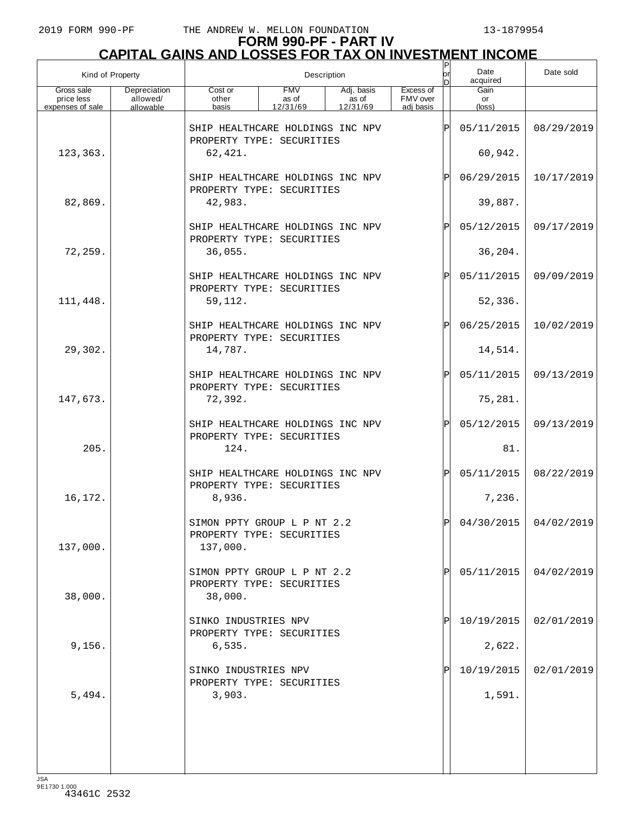## **FORM 990-PF - PART IV**

|                  | CAPITAL GAINS AND LOSSES FOR TAX ON INVESTMENT INCOME |      |           |
|------------------|-------------------------------------------------------|------|-----------|
| Kind of Property | Description                                           | Date | Date sold |

| Kind of Property         |                          | Description                                                              |                     |                     |                       | юr<br>ID       | Date<br>acquired      | Date sold  |
|--------------------------|--------------------------|--------------------------------------------------------------------------|---------------------|---------------------|-----------------------|----------------|-----------------------|------------|
| Gross sale<br>price less | Depreciation<br>allowed/ | Cost or<br>other                                                         | <b>FMV</b><br>as of | Adj. basis<br>as of | Excess of<br>FMV over |                | Gain<br>or            |            |
| expenses of sale         | allowable                | basis                                                                    | 12/31/69            | 12/31/69            | adi basis             |                | (loss)                |            |
|                          |                          | SHIP HEALTHCARE HOLDINGS INC NPV<br>PROPERTY TYPE: SECURITIES            |                     |                     |                       | Þ              | 05/11/2015            | 08/29/2019 |
| 123,363.                 |                          | 62,421.                                                                  |                     |                     |                       |                | 60,942.               |            |
|                          |                          | SHIP HEALTHCARE HOLDINGS INC NPV<br>PROPERTY TYPE: SECURITIES            |                     |                     |                       | ΙPΙ            | 06/29/2015            | 10/17/2019 |
| 82,869.                  |                          | 42,983.                                                                  |                     |                     |                       |                | 39,887.               |            |
|                          |                          | SHIP HEALTHCARE HOLDINGS INC NPV<br>PROPERTY TYPE: SECURITIES            |                     |                     |                       | ΙÞΙ            | 05/12/2015            | 09/17/2019 |
| 72,259.                  |                          | 36,055.                                                                  |                     |                     |                       |                | 36,204.               |            |
|                          |                          |                                                                          |                     |                     |                       |                |                       |            |
| 111,448.                 |                          | SHIP HEALTHCARE HOLDINGS INC NPV<br>PROPERTY TYPE: SECURITIES<br>59,112. |                     |                     |                       | ΙÞΙ            | 05/11/2015<br>52,336. | 09/09/2019 |
|                          |                          |                                                                          |                     |                     |                       |                |                       |            |
|                          |                          | SHIP HEALTHCARE HOLDINGS INC NPV<br>PROPERTY TYPE: SECURITIES            |                     |                     |                       | ΙÞΙ            | 06/25/2015            | 10/02/2019 |
| 29,302.                  |                          | 14,787.                                                                  |                     |                     |                       |                | 14,514.               |            |
|                          |                          | SHIP HEALTHCARE HOLDINGS INC NPV<br>PROPERTY TYPE: SECURITIES            |                     |                     |                       | ΙÞΙ            | 05/11/2015            | 09/13/2019 |
| 147,673.                 |                          | 72,392.                                                                  |                     |                     |                       |                | 75,281.               |            |
|                          |                          |                                                                          |                     |                     |                       |                |                       |            |
|                          |                          | SHIP HEALTHCARE HOLDINGS INC NPV<br>PROPERTY TYPE: SECURITIES            |                     |                     |                       | ΙÞΙ            | 05/12/2015            | 09/13/2019 |
| 205.                     |                          | 124.                                                                     |                     |                     |                       |                | 81.                   |            |
|                          |                          |                                                                          |                     |                     |                       |                |                       |            |
|                          |                          | SHIP HEALTHCARE HOLDINGS INC NPV<br>PROPERTY TYPE: SECURITIES            |                     |                     |                       | ΙÞΙ            | 05/11/2015            | 08/22/2019 |
| 16,172.                  |                          | 8,936.                                                                   |                     |                     |                       |                | 7,236.                |            |
|                          |                          | SIMON PPTY GROUP L P NT 2.2<br>PROPERTY TYPE: SECURITIES                 |                     |                     |                       | $ \mathbf{P} $ | 04/30/2015            | 04/02/2019 |
| 137,000.                 |                          | 137,000.                                                                 |                     |                     |                       |                |                       |            |
| 38,000.                  |                          | SIMON PPTY GROUP L P NT 2.2<br>PROPERTY TYPE: SECURITIES<br>38,000.      |                     |                     |                       | ΙPΙ            | 05/11/2015            | 04/02/2019 |
|                          |                          |                                                                          |                     |                     |                       |                |                       |            |
|                          |                          | SINKO INDUSTRIES NPV<br>PROPERTY TYPE: SECURITIES                        |                     |                     |                       | ΙPΙ            | 10/19/2015            | 02/01/2019 |
| 9,156.                   |                          | 6,535.                                                                   |                     |                     |                       |                | 2,622.                |            |
|                          |                          |                                                                          |                     |                     |                       |                |                       |            |
|                          |                          | SINKO INDUSTRIES NPV<br>PROPERTY TYPE: SECURITIES                        |                     |                     |                       | ΙPΙ            | 10/19/2015            | 02/01/2019 |
| 5,494.                   |                          | 3,903.                                                                   |                     |                     |                       |                | 1,591.                |            |
|                          |                          |                                                                          |                     |                     |                       |                |                       |            |
|                          |                          |                                                                          |                     |                     |                       |                |                       |            |
|                          |                          |                                                                          |                     |                     |                       |                |                       |            |
|                          |                          |                                                                          |                     |                     |                       |                |                       |            |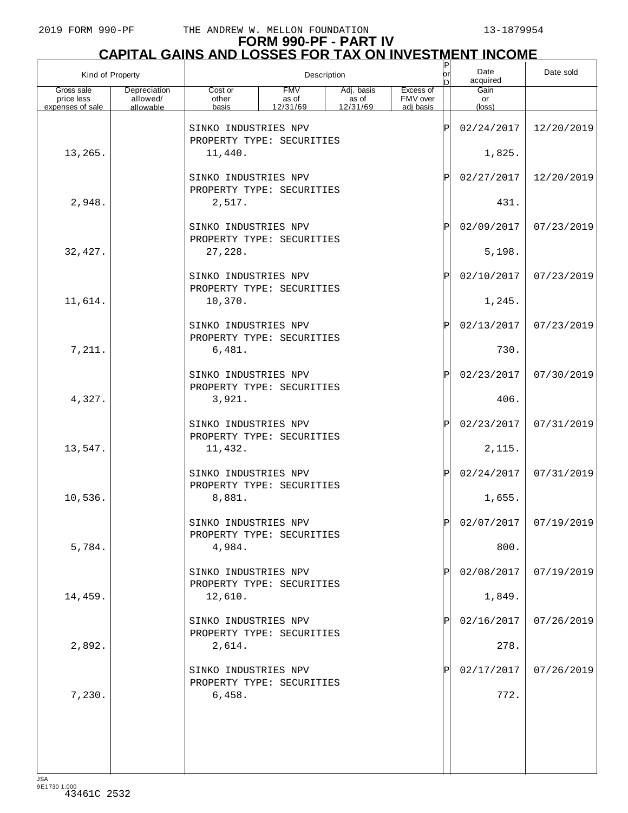# **FORM 990-PF - PART IV**

| <b>CAPITAL GAINS AND LOSSES FOR TAX ON INVESTMENT INCOME</b> |                                       |                                                              |                                 |                                               |                                    |            |                               |            |  |  |
|--------------------------------------------------------------|---------------------------------------|--------------------------------------------------------------|---------------------------------|-----------------------------------------------|------------------------------------|------------|-------------------------------|------------|--|--|
| Kind of Property                                             |                                       |                                                              |                                 | Description                                   |                                    | lorl<br>In | Date<br>acquired              | Date sold  |  |  |
| Gross sale<br>price less<br>expenses of sale                 | Depreciation<br>allowed/<br>allowable | Cost or<br>other<br>basis                                    | <b>FMV</b><br>as of<br>12/31/69 | Adj. basis<br>$\frac{1}{2}$ as of<br>12/31/69 | Excess of<br>FMV over<br>adj basis |            | Gain<br>or<br>$(\text{loss})$ |            |  |  |
|                                                              |                                       | SINKO INDUSTRIES NPV<br>PROPERTY TYPE: SECURITIES            |                                 |                                               |                                    | ΙÞΙ        | 02/24/2017                    | 12/20/2019 |  |  |
| 13,265.                                                      |                                       | 11,440.                                                      |                                 |                                               |                                    |            | 1,825.                        |            |  |  |
|                                                              |                                       | SINKO INDUSTRIES NPV<br>PROPERTY TYPE: SECURITIES            |                                 |                                               |                                    | ΙPΙ        | 02/27/2017                    | 12/20/2019 |  |  |
| 2,948.                                                       |                                       | 2,517.                                                       |                                 |                                               |                                    |            | 431.                          |            |  |  |
|                                                              |                                       | SINKO INDUSTRIES NPV<br>PROPERTY TYPE: SECURITIES            |                                 |                                               |                                    | ΙPΙ        | 02/09/2017                    | 07/23/2019 |  |  |
| 32,427.                                                      |                                       | 27,228.                                                      |                                 |                                               |                                    |            | 5,198.                        |            |  |  |
|                                                              |                                       | SINKO INDUSTRIES NPV<br>PROPERTY TYPE: SECURITIES            |                                 |                                               |                                    | ΙPΙ        | 02/10/2017                    | 07/23/2019 |  |  |
| 11,614.                                                      |                                       | 10,370.                                                      |                                 |                                               |                                    |            | 1,245.                        |            |  |  |
|                                                              |                                       | SINKO INDUSTRIES NPV<br>PROPERTY TYPE: SECURITIES            |                                 |                                               |                                    | ΙPΙ        | 02/13/2017                    | 07/23/2019 |  |  |
| 7,211.                                                       |                                       | 6,481.                                                       |                                 |                                               |                                    |            | 730.                          |            |  |  |
|                                                              |                                       | SINKO INDUSTRIES NPV<br>PROPERTY TYPE: SECURITIES            |                                 |                                               |                                    | ΙPΙ        | 02/23/2017                    | 07/30/2019 |  |  |
| 4,327.                                                       |                                       | 3,921.                                                       |                                 |                                               |                                    |            | 406.                          |            |  |  |
| 13,547.                                                      |                                       | SINKO INDUSTRIES NPV<br>PROPERTY TYPE: SECURITIES<br>11,432. |                                 |                                               |                                    | ΙPΙ        | 02/23/2017<br>2,115.          | 07/31/2019 |  |  |
|                                                              |                                       | SINKO INDUSTRIES NPV                                         |                                 |                                               |                                    | ΙPΙ        | 02/24/2017                    | 07/31/2019 |  |  |
| 10,536.                                                      |                                       | PROPERTY TYPE: SECURITIES<br>8,881.                          |                                 |                                               |                                    |            | 1,655.                        |            |  |  |
|                                                              |                                       | SINKO INDUSTRIES NPV                                         |                                 |                                               |                                    | ΙÞΙ        | 02/07/2017                    | 07/19/2019 |  |  |
| 5,784.                                                       |                                       | PROPERTY TYPE: SECURITIES<br>4,984.                          |                                 |                                               |                                    |            | 800.                          |            |  |  |
|                                                              |                                       | SINKO INDUSTRIES NPV                                         |                                 |                                               |                                    | ΙPΙ        | 02/08/2017                    | 07/19/2019 |  |  |
| 14,459.                                                      |                                       | PROPERTY TYPE: SECURITIES<br>12,610.                         |                                 |                                               |                                    |            | 1,849.                        |            |  |  |
|                                                              |                                       | SINKO INDUSTRIES NPV                                         |                                 |                                               |                                    | IPI        | 02/16/2017                    | 07/26/2019 |  |  |
| 2,892.                                                       |                                       | PROPERTY TYPE: SECURITIES<br>2,614.                          |                                 |                                               |                                    |            | 278.                          |            |  |  |
|                                                              |                                       | SINKO INDUSTRIES NPV                                         |                                 |                                               |                                    | IPI        | 02/17/2017                    | 07/26/2019 |  |  |
| 7,230.                                                       |                                       | PROPERTY TYPE: SECURITIES<br>6,458.                          |                                 |                                               |                                    |            | 772.                          |            |  |  |
|                                                              |                                       |                                                              |                                 |                                               |                                    |            |                               |            |  |  |
|                                                              |                                       |                                                              |                                 |                                               |                                    |            |                               |            |  |  |
|                                                              |                                       |                                                              |                                 |                                               |                                    |            |                               |            |  |  |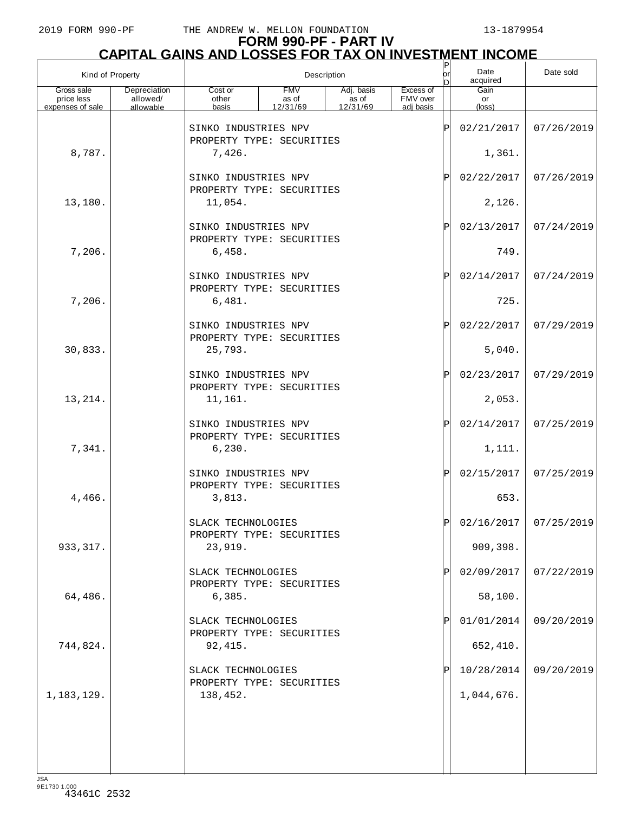## **FORM 990-PF - PART IV CAPITAL GAINS AND LOSSES FOR TAX ON INVESTMENT INCOME**

| Kind of Property         |                          |                                                   |                     | Description         |                       | P<br>lorl<br>nl | Date<br>acquired | Date sold  |
|--------------------------|--------------------------|---------------------------------------------------|---------------------|---------------------|-----------------------|-----------------|------------------|------------|
| Gross sale<br>price less | Depreciation<br>allowed/ | Cost or<br>other                                  | <b>FMV</b><br>as of | Adj. basis<br>as of | Excess of<br>FMV over |                 | Gain<br>or       |            |
| expenses of sale         | allowable                | basis                                             | 12/31/69            | 12/31/69            | adj basis             |                 | (loss)           |            |
|                          |                          | SINKO INDUSTRIES NPV<br>PROPERTY TYPE: SECURITIES |                     |                     |                       | $\mathsf P$     | 02/21/2017       | 07/26/2019 |
| 8,787.                   |                          | 7,426.                                            |                     |                     |                       |                 | 1,361.           |            |
|                          |                          | SINKO INDUSTRIES NPV<br>PROPERTY TYPE: SECURITIES |                     |                     |                       | Ρ               | 02/22/2017       | 07/26/2019 |
| 13,180.                  |                          | 11,054.                                           |                     |                     |                       |                 | 2,126.           |            |
|                          |                          | SINKO INDUSTRIES NPV<br>PROPERTY TYPE: SECURITIES |                     |                     |                       | $\mathbf{P}$    | 02/13/2017       | 07/24/2019 |
| 7,206.                   |                          | 6,458.                                            |                     |                     |                       |                 | 749.             |            |
|                          |                          | SINKO INDUSTRIES NPV<br>PROPERTY TYPE: SECURITIES |                     |                     |                       | Ρ               | 02/14/2017       | 07/24/2019 |
| 7,206.                   |                          | 6,481.                                            |                     |                     |                       |                 | 725.             |            |
|                          |                          | SINKO INDUSTRIES NPV<br>PROPERTY TYPE: SECURITIES |                     |                     |                       | $\mathbf P$     | 02/22/2017       | 07/29/2019 |
| 30,833.                  |                          | 25,793.                                           |                     |                     |                       |                 | 5,040.           |            |
|                          |                          | SINKO INDUSTRIES NPV<br>PROPERTY TYPE: SECURITIES |                     |                     |                       | $\mathbf{P}$    | 02/23/2017       | 07/29/2019 |
| 13,214.                  |                          | 11,161.                                           |                     |                     |                       |                 | 2,053.           |            |
|                          |                          | SINKO INDUSTRIES NPV<br>PROPERTY TYPE: SECURITIES |                     |                     |                       | $\mathbf{P}$    | 02/14/2017       | 07/25/2019 |
| 7,341.                   |                          | 6, 230.                                           |                     |                     |                       |                 | 1,111.           |            |
|                          |                          | SINKO INDUSTRIES NPV<br>PROPERTY TYPE: SECURITIES |                     |                     |                       | $\mathbf P$     | 02/15/2017       | 07/25/2019 |
| 4,466.                   |                          | 3,813.                                            |                     |                     |                       |                 | 653.             |            |
|                          |                          | SLACK TECHNOLOGIES<br>PROPERTY TYPE: SECURITIES   |                     |                     |                       |                 | 02/16/2017       | 07/25/2019 |
| 933, 317.                |                          | 23,919.                                           |                     |                     |                       |                 | 909,398.         |            |
|                          |                          | SLACK TECHNOLOGIES<br>PROPERTY TYPE: SECURITIES   |                     |                     |                       |                 | 02/09/2017       | 07/22/2019 |
| 64,486.                  |                          | 6,385.                                            |                     |                     |                       |                 | 58,100.          |            |
|                          |                          | SLACK TECHNOLOGIES<br>PROPERTY TYPE: SECURITIES   |                     |                     |                       |                 | 01/01/2014       | 09/20/2019 |
| 744,824.                 |                          | 92,415.                                           |                     |                     |                       |                 | 652,410.         |            |
|                          |                          | SLACK TECHNOLOGIES<br>PROPERTY TYPE: SECURITIES   |                     |                     |                       |                 | 10/28/2014       | 09/20/2019 |
| 1,183,129.               |                          | 138,452.                                          |                     |                     |                       |                 | 1,044,676.       |            |
|                          |                          |                                                   |                     |                     |                       |                 |                  |            |
|                          |                          |                                                   |                     |                     |                       |                 |                  |            |
|                          |                          |                                                   |                     |                     |                       |                 |                  |            |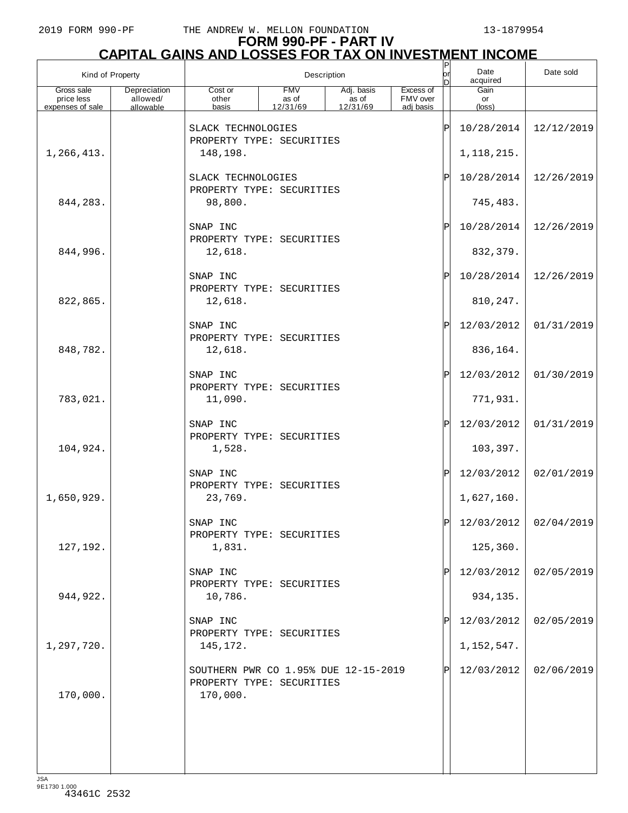## **FORM 990-PF - PART IV CAPITAL GAINS AND LOSSES FOR TAX ON INVESTMENT INCOME**

| Kind of Property         |                          |                                                                               |                     | Description         |                       | $_{\sf or}^{\sf P}$ | Date<br>acquired | Date sold               |
|--------------------------|--------------------------|-------------------------------------------------------------------------------|---------------------|---------------------|-----------------------|---------------------|------------------|-------------------------|
| Gross sale<br>price less | Depreciation<br>allowed/ | Cost or<br>other                                                              | <b>FMV</b><br>as of | Adj. basis<br>as of | Excess of<br>FMV over |                     | Gain<br>or       |                         |
| expenses of sale         | allowable                | basis                                                                         | 12/31/69            | 12/31/69            | adj basis             |                     | (loss)           |                         |
|                          |                          | SLACK TECHNOLOGIES<br>PROPERTY TYPE: SECURITIES                               |                     |                     |                       | $\mathsf P$         | 10/28/2014       | 12/12/2019              |
| 1,266,413.               |                          | 148,198.                                                                      |                     |                     |                       |                     | 1, 118, 215.     |                         |
|                          |                          | SLACK TECHNOLOGIES<br>PROPERTY TYPE: SECURITIES                               |                     |                     |                       | Ρ                   | 10/28/2014       | 12/26/2019              |
| 844, 283.                |                          | 98,800.                                                                       |                     |                     |                       |                     | 745,483.         |                         |
|                          |                          | SNAP INC<br>PROPERTY TYPE: SECURITIES                                         |                     |                     |                       | Ρ                   | 10/28/2014       | 12/26/2019              |
| 844,996.                 |                          | 12,618.                                                                       |                     |                     |                       |                     | 832, 379.        |                         |
|                          |                          | SNAP INC<br>PROPERTY TYPE: SECURITIES                                         |                     |                     |                       | Ρ                   | 10/28/2014       | 12/26/2019              |
| 822,865.                 |                          | 12,618.                                                                       |                     |                     |                       |                     | 810, 247.        |                         |
|                          |                          | SNAP INC<br>PROPERTY TYPE: SECURITIES                                         |                     |                     |                       | Ρ                   | 12/03/2012       | 01/31/2019              |
| 848,782.                 |                          | 12,618.                                                                       |                     |                     |                       |                     | 836,164.         |                         |
|                          |                          | SNAP INC<br>PROPERTY TYPE: SECURITIES                                         |                     |                     |                       | Ρ                   | 12/03/2012       | 01/30/2019              |
| 783,021.                 |                          | 11,090.                                                                       |                     |                     |                       |                     | 771,931.         |                         |
|                          |                          | SNAP INC<br>PROPERTY TYPE: SECURITIES                                         |                     |                     |                       | Ρ                   | 12/03/2012       | 01/31/2019              |
| 104,924.                 |                          | 1,528.                                                                        |                     |                     |                       |                     | 103,397.         |                         |
|                          |                          | SNAP INC<br>PROPERTY TYPE: SECURITIES                                         |                     |                     |                       | Ρ                   | 12/03/2012       | 02/01/2019              |
| 1,650,929.               |                          | 23,769.                                                                       |                     |                     |                       |                     | 1,627,160.       |                         |
|                          |                          | SNAP INC<br>PROPERTY TYPE: SECURITIES                                         |                     |                     |                       | Þl                  |                  | $12/03/2012$ 02/04/2019 |
| 127,192.                 |                          | 1,831.                                                                        |                     |                     |                       |                     | 125,360.         |                         |
|                          |                          | SNAP INC<br>PROPERTY TYPE: SECURITIES                                         |                     |                     |                       |                     | 12/03/2012       | 02/05/2019              |
| 944, 922.                |                          | 10,786.                                                                       |                     |                     |                       |                     | 934,135.         |                         |
|                          |                          | SNAP INC<br>PROPERTY TYPE: SECURITIES                                         |                     |                     |                       |                     | 12/03/2012       | 02/05/2019              |
| 1,297,720.               |                          | 145,172.                                                                      |                     |                     |                       |                     | 1, 152, 547.     |                         |
| 170,000.                 |                          | SOUTHERN PWR CO 1.95% DUE 12-15-2019<br>PROPERTY TYPE: SECURITIES<br>170,000. |                     |                     |                       |                     | 12/03/2012       | 02/06/2019              |
|                          |                          |                                                                               |                     |                     |                       |                     |                  |                         |
|                          |                          |                                                                               |                     |                     |                       |                     |                  |                         |
|                          |                          |                                                                               |                     |                     |                       |                     |                  |                         |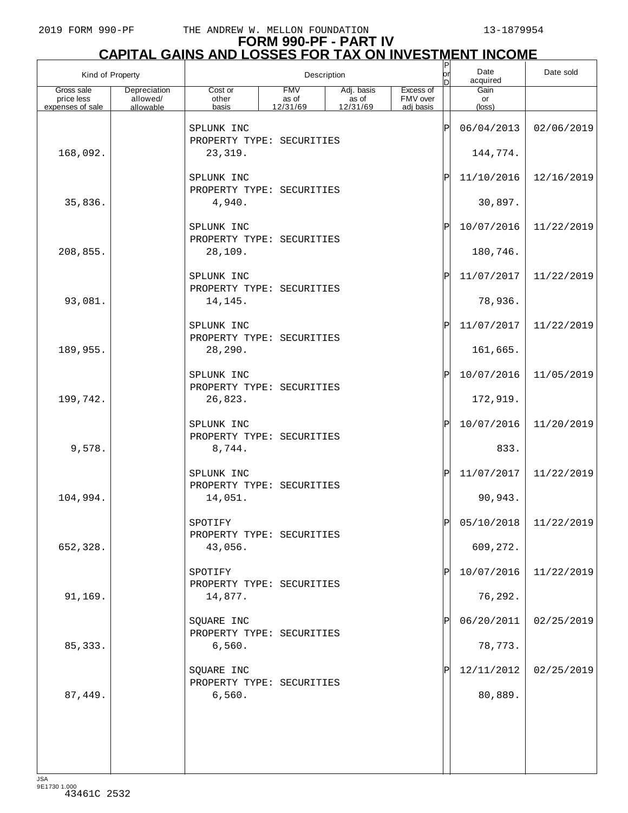| Kind of Property                             |                                       |                                                   |                                 | Description                     |                                    | P<br>or<br>n | Date<br>acquired       | Date sold               |
|----------------------------------------------|---------------------------------------|---------------------------------------------------|---------------------------------|---------------------------------|------------------------------------|--------------|------------------------|-------------------------|
| Gross sale<br>price less<br>expenses of sale | Depreciation<br>allowed/<br>allowable | Cost or<br>other<br>basis                         | <b>FMV</b><br>as of<br>12/31/69 | Adj. basis<br>as of<br>12/31/69 | Excess of<br>FMV over<br>adj basis |              | Gain<br>or<br>(loss)   |                         |
|                                              |                                       | SPLUNK INC                                        |                                 |                                 |                                    | ΙP           | 06/04/2013             | 02/06/2019              |
| 168,092.                                     |                                       | PROPERTY TYPE: SECURITIES<br>23,319.              |                                 |                                 |                                    |              | 144,774.               |                         |
|                                              |                                       | SPLUNK INC                                        |                                 |                                 |                                    | ΙP           | 11/10/2016             | 12/16/2019              |
| 35,836.                                      |                                       | PROPERTY TYPE: SECURITIES<br>4,940.               |                                 |                                 |                                    |              | 30,897.                |                         |
|                                              |                                       | SPLUNK INC<br>PROPERTY TYPE: SECURITIES           |                                 |                                 |                                    | ΙP           | 10/07/2016             | 11/22/2019              |
| 208,855.                                     |                                       | 28,109.                                           |                                 |                                 |                                    |              | 180,746.               |                         |
|                                              |                                       | SPLUNK INC<br>PROPERTY TYPE: SECURITIES           |                                 |                                 |                                    | ΙP           | 11/07/2017             | 11/22/2019              |
| 93,081.                                      |                                       | 14,145.                                           |                                 |                                 |                                    |              | 78,936.                |                         |
|                                              |                                       | SPLUNK INC<br>PROPERTY TYPE: SECURITIES           |                                 |                                 |                                    | ΙP           | 11/07/2017             | 11/22/2019              |
| 189,955.                                     |                                       | 28,290.                                           |                                 |                                 |                                    |              | 161,665.               |                         |
|                                              |                                       | SPLUNK INC<br>PROPERTY TYPE: SECURITIES           |                                 |                                 |                                    | ΙP           | 10/07/2016             | 11/05/2019              |
| 199,742.                                     |                                       | 26,823.                                           |                                 |                                 |                                    | ΙP           | 172,919.<br>10/07/2016 | 11/20/2019              |
| 9,578.                                       |                                       | SPLUNK INC<br>PROPERTY TYPE: SECURITIES<br>8,744. |                                 |                                 |                                    |              | 833.                   |                         |
|                                              |                                       | SPLUNK INC                                        |                                 |                                 |                                    | ΙP           | 11/07/2017             | 11/22/2019              |
| 104,994.                                     |                                       | PROPERTY TYPE: SECURITIES<br>14,051.              |                                 |                                 |                                    |              | 90,943.                |                         |
|                                              |                                       | SPOTIFY                                           |                                 |                                 |                                    |              |                        | $05/10/2018$ 11/22/2019 |
| 652,328.                                     |                                       | PROPERTY TYPE: SECURITIES<br>43,056.              |                                 |                                 |                                    |              | 609,272.               |                         |
|                                              |                                       | SPOTIFY                                           |                                 |                                 |                                    | ΙP           | 10/07/2016             | 11/22/2019              |
| 91,169.                                      |                                       | PROPERTY TYPE: SECURITIES<br>14,877.              |                                 |                                 |                                    |              | 76,292.                |                         |
|                                              |                                       | SQUARE INC<br>PROPERTY TYPE: SECURITIES           |                                 |                                 |                                    | ΙP           | 06/20/2011             | 02/25/2019              |
| 85, 333.                                     |                                       | 6,560.                                            |                                 |                                 |                                    |              | 78,773.                |                         |
|                                              |                                       | SQUARE INC<br>PROPERTY TYPE: SECURITIES           |                                 |                                 |                                    |              | 12/11/2012             | 02/25/2019              |
| 87,449.                                      |                                       | 6,560.                                            |                                 |                                 |                                    |              | 80,889.                |                         |
|                                              |                                       |                                                   |                                 |                                 |                                    |              |                        |                         |
|                                              |                                       |                                                   |                                 |                                 |                                    |              |                        |                         |
|                                              |                                       |                                                   |                                 |                                 |                                    |              |                        |                         |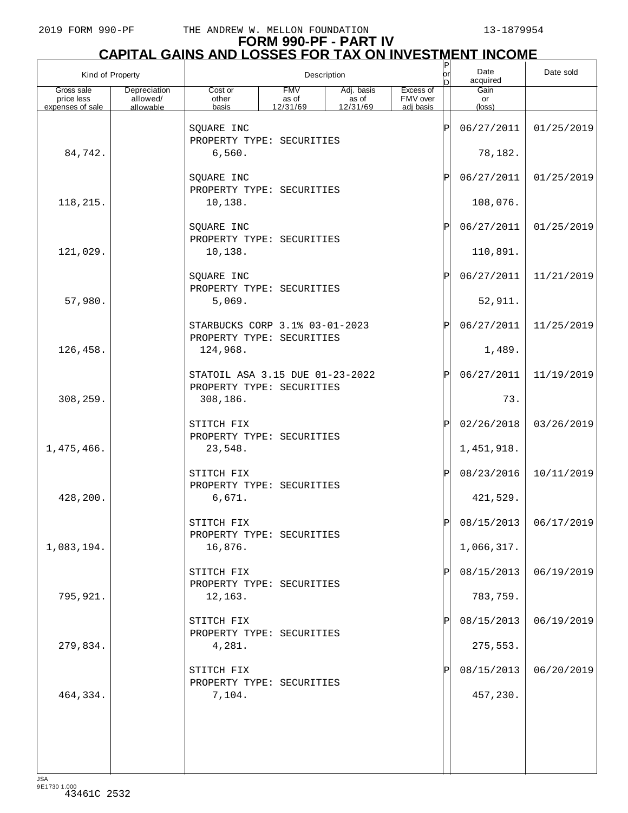## **FORM 990-PF - PART IV CAPITAL GAINS AND LOSSES FOR TAX ON INVESTMENT INCOME**

| Kind of Property         |                          |                                                              |                     | Description         |                       | P<br>lorl<br>nl | Date<br>acquired | Date sold               |
|--------------------------|--------------------------|--------------------------------------------------------------|---------------------|---------------------|-----------------------|-----------------|------------------|-------------------------|
| Gross sale<br>price less | Depreciation<br>allowed/ | Cost or<br>other                                             | <b>FMV</b><br>as of | Adj. basis<br>as of | Excess of<br>FMV over |                 | Gain<br>or       |                         |
| expenses of sale         | allowable                | basis                                                        | 12/31/69            | 12/31/69            | adj basis             |                 | (loss)           |                         |
|                          |                          | SQUARE INC<br>PROPERTY TYPE: SECURITIES                      |                     |                     |                       | $\mathsf P$     | 06/27/2011       | 01/25/2019              |
| 84,742.                  |                          | 6,560.                                                       |                     |                     |                       |                 | 78,182.          |                         |
|                          |                          | SQUARE INC<br>PROPERTY TYPE: SECURITIES                      |                     |                     |                       | $\mathbf{P}$    | 06/27/2011       | 01/25/2019              |
| 118,215.                 |                          | 10,138.                                                      |                     |                     |                       |                 | 108,076.         |                         |
|                          |                          | SQUARE INC<br>PROPERTY TYPE: SECURITIES                      |                     |                     |                       | $\mathbf P$     | 06/27/2011       | 01/25/2019              |
| 121,029.                 |                          | 10,138.                                                      |                     |                     |                       |                 | 110,891.         |                         |
|                          |                          | SQUARE INC<br>PROPERTY TYPE: SECURITIES                      |                     |                     |                       | $\mathbf{P}$    | 06/27/2011       | 11/21/2019              |
| 57,980.                  |                          | 5,069.                                                       |                     |                     |                       |                 | 52,911.          |                         |
|                          |                          | STARBUCKS CORP 3.1% 03-01-2023<br>PROPERTY TYPE: SECURITIES  |                     |                     |                       | $\mathbf P$     | 06/27/2011       | 11/25/2019              |
| 126,458.                 |                          | 124,968.                                                     |                     |                     |                       |                 | 1,489.           |                         |
|                          |                          | STATOIL ASA 3.15 DUE 01-23-2022<br>PROPERTY TYPE: SECURITIES |                     |                     |                       | $\mathbf P$     | 06/27/2011       | 11/19/2019              |
| 308,259.                 |                          | 308,186.                                                     |                     |                     |                       |                 | 73.              |                         |
|                          |                          | STITCH FIX<br>PROPERTY TYPE: SECURITIES                      |                     |                     |                       | $\mathbf P$     | 02/26/2018       | 03/26/2019              |
| 1,475,466.               |                          | 23,548.                                                      |                     |                     |                       |                 | 1,451,918.       |                         |
|                          |                          | STITCH FIX<br>PROPERTY TYPE: SECURITIES                      |                     |                     |                       | ΙPΙ             | 08/23/2016       | 10/11/2019              |
| 428,200.                 |                          | 6,671.                                                       |                     |                     |                       |                 | 421,529.         |                         |
|                          |                          | STITCH FIX<br>PROPERTY TYPE: SECURITIES                      |                     |                     |                       |                 |                  | $08/15/2013$ 06/17/2019 |
| 1,083,194.               |                          | 16,876.                                                      |                     |                     |                       |                 | 1,066,317.       |                         |
|                          |                          | STITCH FIX<br>PROPERTY TYPE: SECURITIES                      |                     |                     |                       | P               | 08/15/2013       | 06/19/2019              |
| 795,921.                 |                          | 12,163.                                                      |                     |                     |                       |                 | 783,759.         |                         |
|                          |                          | STITCH FIX<br>PROPERTY TYPE: SECURITIES                      |                     |                     |                       | P               | 08/15/2013       | 06/19/2019              |
| 279,834.                 |                          | 4,281.                                                       |                     |                     |                       |                 | 275,553.         |                         |
|                          |                          | STITCH FIX<br>PROPERTY TYPE: SECURITIES                      |                     |                     |                       |                 | 08/15/2013       | 06/20/2019              |
| 464,334.                 |                          | 7,104.                                                       |                     |                     |                       |                 | 457,230.         |                         |
|                          |                          |                                                              |                     |                     |                       |                 |                  |                         |
|                          |                          |                                                              |                     |                     |                       |                 |                  |                         |
|                          |                          |                                                              |                     |                     |                       |                 |                  |                         |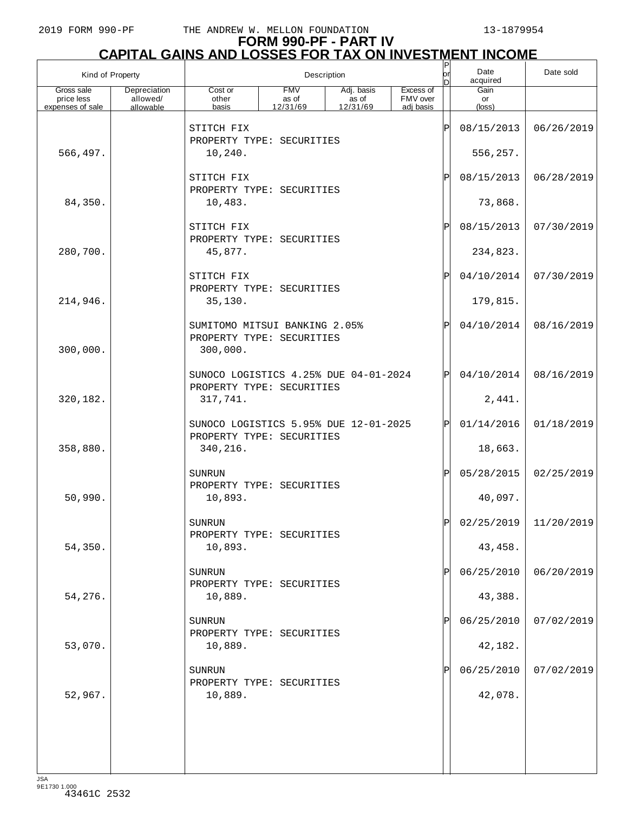## **FORM 990-PF - PART IV CAPITAL GAINS AND LOSSES FOR TAX ON INVESTMENT INCOME**

| Kind of Property                             |                                       |                                                                        |                                 | Description                                   |                                    | Ρ<br>or | Date<br>acquired     | Date sold               |
|----------------------------------------------|---------------------------------------|------------------------------------------------------------------------|---------------------------------|-----------------------------------------------|------------------------------------|---------|----------------------|-------------------------|
| Gross sale<br>price less<br>expenses of sale | Depreciation<br>allowed/<br>allowable | Cost or<br>other<br>basis                                              | <b>FMV</b><br>as of<br>12/31/69 | Adj. basis<br>$\frac{1}{2}$ as of<br>12/31/69 | Excess of<br>FMV over<br>adj basis |         | Gain<br>or<br>(loss) |                         |
|                                              |                                       | STITCH FIX                                                             |                                 |                                               |                                    | ΙÞΙ     | 08/15/2013           | 06/26/2019              |
| 566,497.                                     |                                       | PROPERTY TYPE: SECURITIES<br>10,240.                                   |                                 |                                               |                                    |         | 556,257.             |                         |
|                                              |                                       | STITCH FIX                                                             |                                 |                                               |                                    | ΙÞΙ     | 08/15/2013           | 06/28/2019              |
| 84,350.                                      |                                       | PROPERTY TYPE: SECURITIES<br>10,483.                                   |                                 |                                               |                                    |         | 73,868.              |                         |
|                                              |                                       | STITCH FIX<br>PROPERTY TYPE: SECURITIES                                |                                 |                                               |                                    | ΙÞΙ     | 08/15/2013           | 07/30/2019              |
| 280,700.                                     |                                       | 45,877.                                                                |                                 |                                               |                                    |         | 234,823.             |                         |
|                                              |                                       | STITCH FIX<br>PROPERTY TYPE: SECURITIES                                |                                 |                                               |                                    | ΙÞΙ     | 04/10/2014           | 07/30/2019              |
| 214,946.                                     |                                       | 35,130.                                                                |                                 |                                               |                                    |         | 179,815.             |                         |
| 300,000.                                     |                                       | SUMITOMO MITSUI BANKING 2.05%<br>PROPERTY TYPE: SECURITIES<br>300,000. |                                 |                                               |                                    | ΙÞΙ     | 04/10/2014           | 08/16/2019              |
|                                              |                                       | SUNOCO LOGISTICS 4.25% DUE 04-01-2024                                  |                                 |                                               |                                    | ΙÞΙ     | 04/10/2014           | 08/16/2019              |
| 320,182.                                     |                                       | PROPERTY TYPE: SECURITIES<br>317,741.                                  |                                 |                                               |                                    |         | 2,441.               |                         |
|                                              |                                       | SUNOCO LOGISTICS 5.95% DUE 12-01-2025                                  |                                 |                                               |                                    | ΙÞΙ     | 01/14/2016           | 01/18/2019              |
| 358,880.                                     |                                       | PROPERTY TYPE: SECURITIES<br>340,216.                                  |                                 |                                               |                                    |         | 18,663.              |                         |
|                                              |                                       | <b>SUNRUN</b>                                                          |                                 |                                               |                                    | ΙÞΙ     | 05/28/2015           | 02/25/2019              |
| 50,990.                                      |                                       | PROPERTY TYPE: SECURITIES<br>10,893.                                   |                                 |                                               |                                    |         | 40,097.              |                         |
|                                              |                                       | SUNRUN<br>PROPERTY TYPE: SECURITIES                                    |                                 |                                               |                                    | ы       |                      | $02/25/2019$ 11/20/2019 |
| 54,350.                                      |                                       | 10,893.                                                                |                                 |                                               |                                    |         | 43,458.              |                         |
|                                              |                                       | SUNRUN<br>PROPERTY TYPE: SECURITIES                                    |                                 |                                               |                                    | ΙPΙ     | 06/25/2010           | 06/20/2019              |
| 54,276.                                      |                                       | 10,889.                                                                |                                 |                                               |                                    |         | 43,388.              |                         |
|                                              |                                       | SUNRUN<br>PROPERTY TYPE: SECURITIES                                    |                                 |                                               |                                    | ΙPΙ     | 06/25/2010           | 07/02/2019              |
| 53,070.                                      |                                       | 10,889.                                                                |                                 |                                               |                                    |         | 42,182.              |                         |
|                                              |                                       | SUNRUN<br>PROPERTY TYPE: SECURITIES                                    |                                 |                                               |                                    | ΙPΙ     | 06/25/2010           | 07/02/2019              |
| 52,967.                                      |                                       | 10,889.                                                                |                                 |                                               |                                    |         | 42,078.              |                         |
|                                              |                                       |                                                                        |                                 |                                               |                                    |         |                      |                         |
|                                              |                                       |                                                                        |                                 |                                               |                                    |         |                      |                         |
|                                              |                                       |                                                                        |                                 |                                               |                                    |         |                      |                         |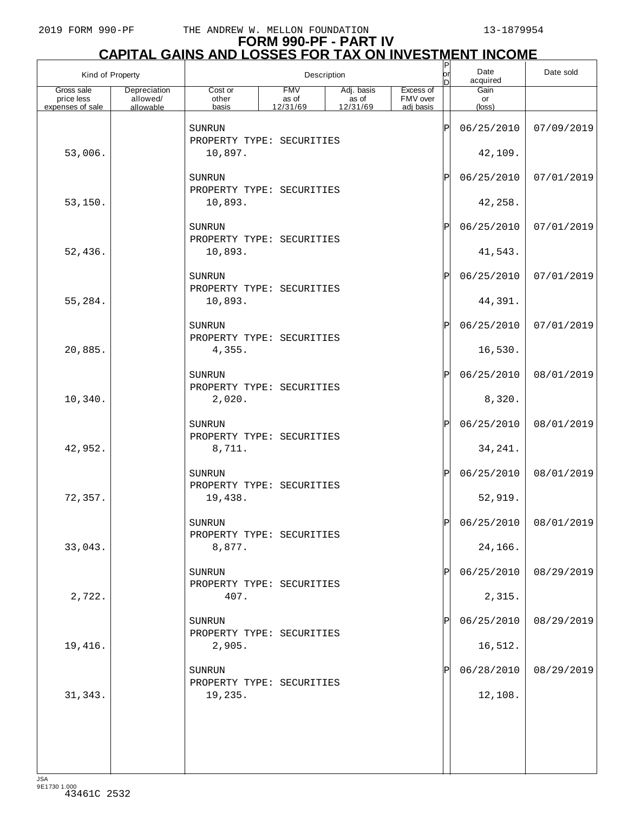# **FORM 990-PF - PART IV CAPITAL GAINS AND LOSSES FOR TAX ON INVESTMENT INCOME** P

| Kind of Property         |                          |                                             |                     | Description                               |                       | P<br>or<br>ln | Date<br>acquired | Date sold             |
|--------------------------|--------------------------|---------------------------------------------|---------------------|-------------------------------------------|-----------------------|---------------|------------------|-----------------------|
| Gross sale<br>price less | Depreciation<br>allowed/ | Cost or<br>other                            | <b>FMV</b><br>as of | Adj. basis<br>as of<br>$\frac{12}{31/69}$ | Excess of<br>FMV over |               | Gain<br>or       |                       |
| expenses of sale         | allowable                | basis                                       | 12/31/69            |                                           | adi basis             |               | $(\text{loss})$  |                       |
|                          |                          | SUNRUN<br>PROPERTY TYPE: SECURITIES         |                     |                                           |                       | ΙP            | 06/25/2010       | 07/09/2019            |
| 53,006.                  |                          | 10,897.                                     |                     |                                           |                       |               | 42,109.          |                       |
|                          |                          | SUNRUN<br>PROPERTY TYPE: SECURITIES         |                     |                                           |                       | ΙP            | 06/25/2010       | 07/01/2019            |
| 53,150.                  |                          | 10,893.                                     |                     |                                           |                       |               | 42,258.          |                       |
|                          |                          | SUNRUN<br>PROPERTY TYPE: SECURITIES         |                     |                                           |                       | ΙP            | 06/25/2010       | 07/01/2019            |
| 52,436.                  |                          | 10,893.                                     |                     |                                           |                       |               | 41,543.          |                       |
|                          |                          | SUNRUN<br>PROPERTY TYPE: SECURITIES         |                     |                                           |                       | ΙP            | 06/25/2010       | 07/01/2019            |
| 55,284.                  |                          | 10,893.                                     |                     |                                           |                       |               | 44,391.          |                       |
|                          |                          | SUNRUN<br>PROPERTY TYPE: SECURITIES         |                     |                                           |                       | ΙP            | 06/25/2010       | 07/01/2019            |
| 20,885.                  |                          | 4,355.                                      |                     |                                           |                       |               | 16,530.          |                       |
|                          |                          | SUNRUN<br>PROPERTY TYPE: SECURITIES         |                     |                                           |                       | ΙP            | 06/25/2010       | 08/01/2019            |
| 10,340.                  |                          | 2,020.                                      |                     |                                           |                       |               | 8,320.           |                       |
|                          |                          | SUNRUN<br>PROPERTY TYPE: SECURITIES         |                     |                                           |                       | ΙP            | 06/25/2010       | 08/01/2019            |
| 42,952.                  |                          | 8,711.                                      |                     |                                           |                       |               | 34, 241.         |                       |
|                          |                          | SUNRUN<br>PROPERTY TYPE: SECURITIES         |                     |                                           |                       | ΙP            | 06/25/2010       | 08/01/2019            |
| 72,357.                  |                          | 19,438.                                     |                     |                                           |                       |               | 52,919.          |                       |
|                          |                          | ${\tt SUNRUN}$<br>PROPERTY TYPE: SECURITIES |                     |                                           |                       | Ð             |                  | 06/25/2010 08/01/2019 |
| 33,043.                  |                          | 8,877.                                      |                     |                                           |                       |               | 24,166.          |                       |
|                          |                          | SUNRUN<br>PROPERTY TYPE: SECURITIES         |                     |                                           |                       | P             | 06/25/2010       | 08/29/2019            |
| 2,722.                   |                          | 407.                                        |                     |                                           |                       |               | 2,315.           |                       |
|                          |                          | SUNRUN<br>PROPERTY TYPE: SECURITIES         |                     |                                           |                       | P             | 06/25/2010       | 08/29/2019            |
| 19,416.                  |                          | 2,905.                                      |                     |                                           |                       |               | 16,512.          |                       |
|                          |                          | SUNRUN<br>PROPERTY TYPE: SECURITIES         |                     |                                           |                       | Þ             | 06/28/2010       | 08/29/2019            |
| 31, 343.                 |                          | 19,235.                                     |                     |                                           |                       |               | 12,108.          |                       |
|                          |                          |                                             |                     |                                           |                       |               |                  |                       |
|                          |                          |                                             |                     |                                           |                       |               |                  |                       |
|                          |                          |                                             |                     |                                           |                       |               |                  |                       |
| 10A                      |                          |                                             |                     |                                           |                       |               |                  |                       |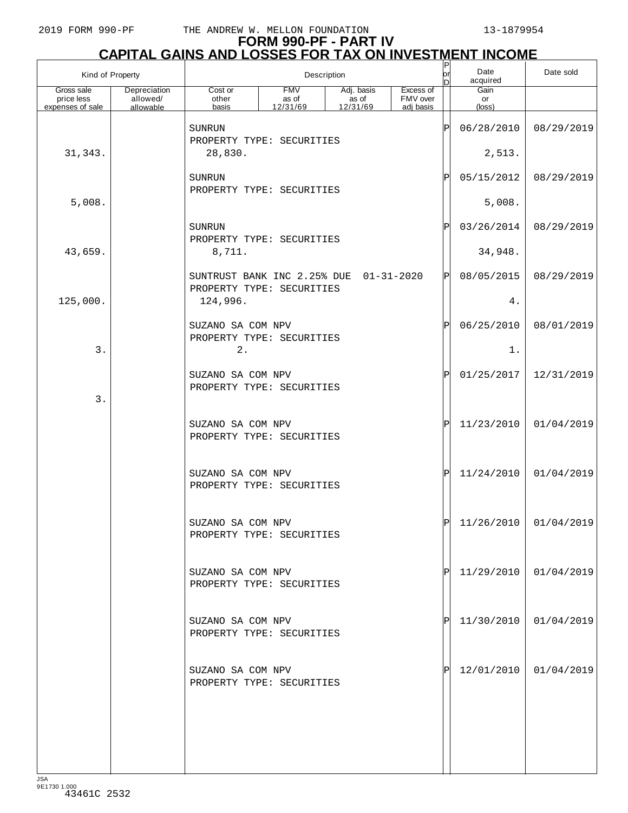| Kind of Property                             |                                       |                           |                                                                     | Description                               |                                    | $\sf P$<br>lor<br>D         | Date<br>acquired              | Date sold               |
|----------------------------------------------|---------------------------------------|---------------------------|---------------------------------------------------------------------|-------------------------------------------|------------------------------------|-----------------------------|-------------------------------|-------------------------|
| Gross sale<br>price less<br>expenses of sale | Depreciation<br>allowed/<br>allowable | Cost or<br>other<br>basis | <b>FMV</b><br>as of<br>12/31/69                                     | Adj. basis<br>as of<br>$\frac{12}{31/69}$ | Excess of<br>FMV over<br>adj basis |                             | Gain<br>or<br>$(\text{loss})$ |                         |
|                                              |                                       | <b>SUNRUN</b>             |                                                                     |                                           |                                    | ΙP                          | 06/28/2010                    | 08/29/2019              |
| 31, 343.                                     |                                       | 28,830.                   | PROPERTY TYPE: SECURITIES                                           |                                           |                                    |                             | 2,513.                        |                         |
|                                              |                                       | <b>SUNRUN</b>             |                                                                     |                                           |                                    | ΙP                          | 05/15/2012                    | 08/29/2019              |
| 5,008.                                       |                                       |                           | PROPERTY TYPE: SECURITIES                                           |                                           |                                    |                             | 5,008.                        |                         |
|                                              |                                       | SUNRUN                    | PROPERTY TYPE: SECURITIES                                           |                                           |                                    |                             |                               | 08/29/2019              |
| 43,659.                                      |                                       | 8,711.                    |                                                                     |                                           |                                    |                             |                               |                         |
|                                              |                                       |                           | SUNTRUST BANK INC 2.25% DUE 01-31-2020<br>PROPERTY TYPE: SECURITIES |                                           |                                    | P                           | 08/05/2015                    | 08/29/2019              |
| 125,000.                                     |                                       | 124,996.                  |                                                                     |                                           |                                    |                             | $4$ .                         |                         |
|                                              |                                       | SUZANO SA COM NPV         | PROPERTY TYPE: SECURITIES                                           |                                           |                                    | $\mathsf{P}% _{\mathsf{P}}$ | 06/25/2010                    | 08/01/2019              |
| 3.                                           |                                       | 2.                        |                                                                     |                                           |                                    |                             | $1$ .                         |                         |
|                                              |                                       | SUZANO SA COM NPV         | PROPERTY TYPE: SECURITIES                                           |                                           |                                    | ΙP                          | 01/25/2017                    | 12/31/2019              |
| 3.                                           |                                       |                           |                                                                     |                                           |                                    |                             |                               |                         |
|                                              |                                       | SUZANO SA COM NPV         | PROPERTY TYPE: SECURITIES                                           |                                           |                                    | ΙÞΙ                         | 11/23/2010                    | 01/04/2019              |
|                                              |                                       |                           |                                                                     |                                           |                                    |                             |                               |                         |
|                                              |                                       | SUZANO SA COM NPV         | PROPERTY TYPE: SECURITIES                                           |                                           |                                    | ΙPΙ                         | 11/24/2010                    | 01/04/2019              |
|                                              |                                       | SUZANO SA COM NPV         |                                                                     |                                           |                                    | ורו                         |                               | $11/26/2010$ 01/04/2019 |
|                                              |                                       |                           | PROPERTY TYPE: SECURITIES                                           |                                           |                                    |                             |                               |                         |
|                                              |                                       | SUZANO SA COM NPV         |                                                                     |                                           |                                    | ΙPΙ                         | 11/29/2010                    | 01/04/2019              |
|                                              |                                       |                           | PROPERTY TYPE: SECURITIES                                           |                                           |                                    |                             |                               |                         |
|                                              |                                       | SUZANO SA COM NPV         |                                                                     |                                           |                                    | ΙPΙ                         | 11/30/2010                    | 01/04/2019              |
|                                              |                                       |                           | PROPERTY TYPE: SECURITIES                                           |                                           |                                    |                             |                               |                         |
|                                              |                                       | SUZANO SA COM NPV         |                                                                     |                                           |                                    | ΙPΙ                         | 12/01/2010                    | 01/04/2019              |
|                                              |                                       |                           | PROPERTY TYPE: SECURITIES                                           |                                           |                                    |                             |                               |                         |
|                                              |                                       |                           |                                                                     |                                           |                                    |                             |                               |                         |
|                                              |                                       |                           |                                                                     |                                           |                                    |                             |                               |                         |
|                                              |                                       |                           |                                                                     |                                           |                                    |                             |                               |                         |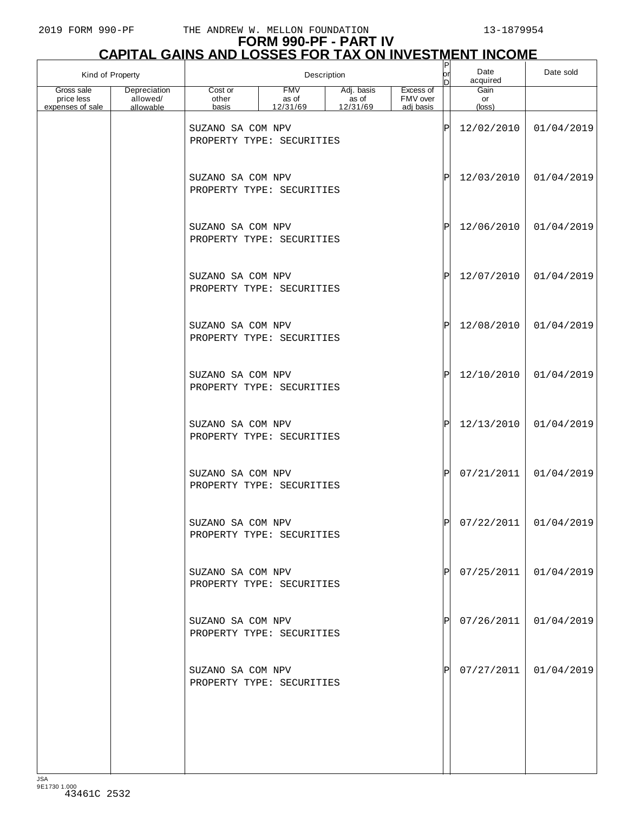# **FORM 990-PF - PART IV**

| <b>CAPITAL GAINS AND LOSSES FOR TAX ON INVESTMENT INCOME</b> |                                       |                                                |                                 |                                 |                                    |         |                             |            |  |  |
|--------------------------------------------------------------|---------------------------------------|------------------------------------------------|---------------------------------|---------------------------------|------------------------------------|---------|-----------------------------|------------|--|--|
| Kind of Property                                             |                                       |                                                |                                 | Description                     |                                    | юr<br>D | Date<br>acquired            | Date sold  |  |  |
| Gross sale<br>price less<br>expenses of sale                 | Depreciation<br>allowed/<br>allowable | Cost or<br>other<br>basis                      | <b>FMV</b><br>as of<br>12/31/69 | Adj. basis<br>as of<br>12/31/69 | Excess of<br>FMV over<br>adj basis |         | Gain<br>or<br>(loss)        |            |  |  |
|                                                              |                                       | SUZANO SA COM NPV<br>PROPERTY TYPE: SECURITIES |                                 |                                 |                                    | ΙP      | 12/02/2010                  | 01/04/2019 |  |  |
|                                                              |                                       | SUZANO SA COM NPV<br>PROPERTY TYPE: SECURITIES |                                 |                                 |                                    | ΙP      | 12/03/2010                  | 01/04/2019 |  |  |
|                                                              |                                       | SUZANO SA COM NPV<br>PROPERTY TYPE: SECURITIES |                                 |                                 |                                    | ΙÞΙ     | 12/06/2010                  | 01/04/2019 |  |  |
|                                                              |                                       | SUZANO SA COM NPV<br>PROPERTY TYPE: SECURITIES |                                 |                                 |                                    | ΙÞΙ     | 12/07/2010                  | 01/04/2019 |  |  |
|                                                              |                                       | SUZANO SA COM NPV<br>PROPERTY TYPE: SECURITIES |                                 |                                 |                                    | ΙÞΙ     | 12/08/2010                  | 01/04/2019 |  |  |
|                                                              |                                       | SUZANO SA COM NPV<br>PROPERTY TYPE: SECURITIES |                                 |                                 |                                    | ΙÞΙ     | 12/10/2010                  | 01/04/2019 |  |  |
|                                                              |                                       | SUZANO SA COM NPV<br>PROPERTY TYPE: SECURITIES |                                 |                                 |                                    | ΙÞΙ     | 12/13/2010                  | 01/04/2019 |  |  |
|                                                              |                                       | SUZANO SA COM NPV<br>PROPERTY TYPE: SECURITIES |                                 |                                 |                                    | ΙÞΙ     | 07/21/2011                  | 01/04/2019 |  |  |
|                                                              |                                       | SUZANO SA COM NPV<br>PROPERTY TYPE: SECURITIES |                                 |                                 |                                    |         | $ P $ 07/22/2011 01/04/2019 |            |  |  |
|                                                              |                                       | SUZANO SA COM NPV<br>PROPERTY TYPE: SECURITIES |                                 |                                 |                                    | ΙPΙ     | 07/25/2011                  | 01/04/2019 |  |  |
|                                                              |                                       | SUZANO SA COM NPV<br>PROPERTY TYPE: SECURITIES |                                 |                                 |                                    | ΙPΙ     | 07/26/2011                  | 01/04/2019 |  |  |
|                                                              |                                       | SUZANO SA COM NPV<br>PROPERTY TYPE: SECURITIES |                                 |                                 |                                    | IPI     | 07/27/2011                  | 01/04/2019 |  |  |
|                                                              |                                       |                                                |                                 |                                 |                                    |         |                             |            |  |  |
|                                                              |                                       |                                                |                                 |                                 |                                    |         |                             |            |  |  |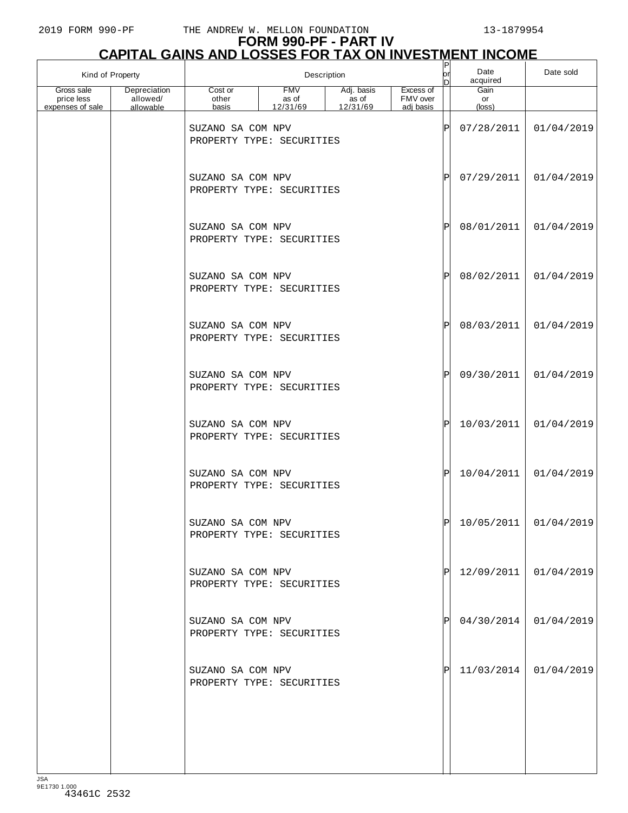| Kind of Property         |                          |                                                |                     | Description         |                       | P<br>lor<br>D | Date<br>acquired | Date sold               |
|--------------------------|--------------------------|------------------------------------------------|---------------------|---------------------|-----------------------|---------------|------------------|-------------------------|
| Gross sale<br>price less | Depreciation<br>allowed/ | Cost or<br>other                               | <b>FMV</b><br>as of | Adj. basis<br>as of | Excess of<br>FMV over |               | Gain<br>or       |                         |
| expenses of sale         | allowable                | basis                                          | 12/31/69            | 12/31/69            | adj basis             |               | $(\text{loss})$  |                         |
|                          |                          | SUZANO SA COM NPV<br>PROPERTY TYPE: SECURITIES |                     |                     |                       | ΙP            | 07/28/2011       | 01/04/2019              |
|                          |                          | SUZANO SA COM NPV<br>PROPERTY TYPE: SECURITIES |                     |                     |                       | ΙP            | 07/29/2011       | 01/04/2019              |
|                          |                          | SUZANO SA COM NPV<br>PROPERTY TYPE: SECURITIES |                     |                     |                       | ΙP            | 08/01/2011       | 01/04/2019              |
|                          |                          | SUZANO SA COM NPV<br>PROPERTY TYPE: SECURITIES |                     |                     |                       | ΙP            | 08/02/2011       | 01/04/2019              |
|                          |                          | SUZANO SA COM NPV<br>PROPERTY TYPE: SECURITIES |                     |                     |                       | ΙP            | 08/03/2011       | 01/04/2019              |
|                          |                          | SUZANO SA COM NPV<br>PROPERTY TYPE: SECURITIES |                     |                     |                       | ΙP            | 09/30/2011       | 01/04/2019              |
|                          |                          | SUZANO SA COM NPV<br>PROPERTY TYPE: SECURITIES |                     |                     |                       | ΙP            | 10/03/2011       | 01/04/2019              |
|                          |                          | SUZANO SA COM NPV<br>PROPERTY TYPE: SECURITIES |                     |                     |                       | ΙP            | 10/04/2011       | 01/04/2019              |
|                          |                          | SUZANO SA COM NPV<br>PROPERTY TYPE: SECURITIES |                     |                     |                       |               |                  | $10/05/2011$ 01/04/2019 |
|                          |                          | SUZANO SA COM NPV<br>PROPERTY TYPE: SECURITIES |                     |                     |                       | ΙPΙ           | 12/09/2011       | 01/04/2019              |
|                          |                          | SUZANO SA COM NPV<br>PROPERTY TYPE: SECURITIES |                     |                     |                       | ΙPΙ           | 04/30/2014       | 01/04/2019              |
|                          |                          | SUZANO SA COM NPV<br>PROPERTY TYPE: SECURITIES |                     |                     |                       | IPI           | 11/03/2014       | 01/04/2019              |
|                          |                          |                                                |                     |                     |                       |               |                  |                         |
|                          |                          |                                                |                     |                     |                       |               |                  |                         |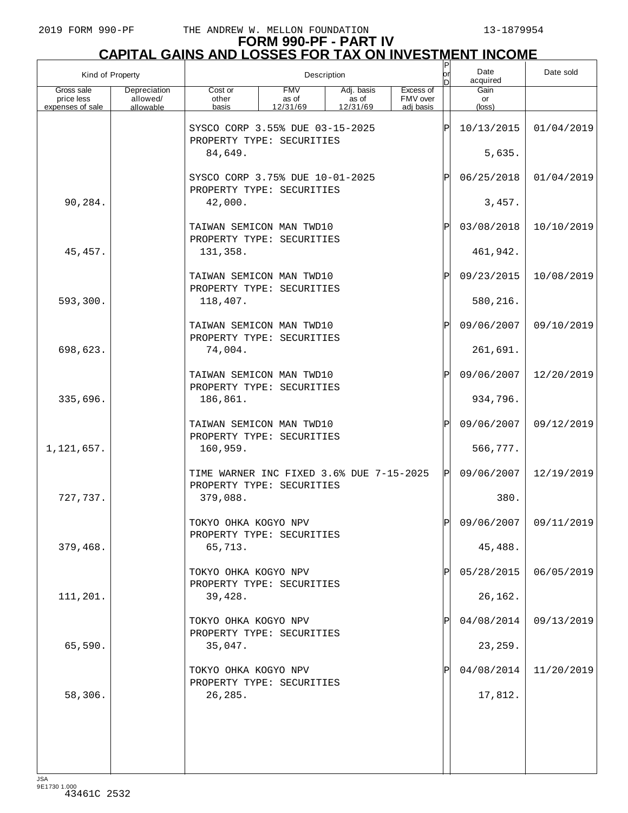# **FORM 990-PF - PART IV CAPITAL GAINS AND LOSSES FOR TAX ON INVESTMENT INCOME** P

| Kind of Property                             |                                       |                                                                       |                                 | Description                     |                                    | P<br>lor<br>D | Date<br>acquired              | Date sold             |
|----------------------------------------------|---------------------------------------|-----------------------------------------------------------------------|---------------------------------|---------------------------------|------------------------------------|---------------|-------------------------------|-----------------------|
| Gross sale<br>price less<br>expenses of sale | Depreciation<br>allowed/<br>allowable | Cost or<br>other<br>basis                                             | <b>FMV</b><br>as of<br>12/31/69 | Adj. basis<br>as of<br>12/31/69 | Excess of<br>FMV over<br>adi basis |               | Gain<br>or<br>$(\text{loss})$ |                       |
|                                              |                                       | SYSCO CORP 3.55% DUE 03-15-2025<br>PROPERTY TYPE: SECURITIES          |                                 |                                 |                                    | ΙP            | 10/13/2015                    | 01/04/2019            |
|                                              |                                       | 84,649.                                                               |                                 |                                 |                                    |               | 5,635.                        |                       |
|                                              |                                       | SYSCO CORP 3.75% DUE 10-01-2025<br>PROPERTY TYPE: SECURITIES          |                                 |                                 |                                    | $\mathbf P$   | 06/25/2018                    | 01/04/2019            |
| 90,284.                                      |                                       | 42,000.                                                               |                                 |                                 |                                    |               | 3,457.                        |                       |
|                                              |                                       | TAIWAN SEMICON MAN TWD10<br>PROPERTY TYPE: SECURITIES                 |                                 |                                 |                                    | ΙP            | 03/08/2018                    | 10/10/2019            |
| 45, 457.                                     |                                       | 131,358.                                                              |                                 |                                 |                                    |               | 461,942.                      |                       |
|                                              |                                       | TAIWAN SEMICON MAN TWD10<br>PROPERTY TYPE: SECURITIES                 |                                 |                                 |                                    | P             | 09/23/2015                    | 10/08/2019            |
| 593,300.                                     |                                       | 118,407.                                                              |                                 |                                 |                                    |               | 580,216.                      |                       |
|                                              |                                       | TAIWAN SEMICON MAN TWD10<br>PROPERTY TYPE: SECURITIES                 |                                 |                                 |                                    | ΙP            | 09/06/2007                    | 09/10/2019            |
| 698,623.                                     |                                       | 74,004.                                                               |                                 |                                 |                                    |               | 261,691.                      |                       |
|                                              |                                       | TAIWAN SEMICON MAN TWD10<br>PROPERTY TYPE: SECURITIES                 |                                 |                                 |                                    | ΙP            | 09/06/2007                    | 12/20/2019            |
| 335,696.                                     |                                       | 186,861.                                                              |                                 |                                 |                                    |               | 934,796.                      |                       |
|                                              |                                       | TAIWAN SEMICON MAN TWD10<br>PROPERTY TYPE: SECURITIES                 |                                 |                                 |                                    | ΙP            | 09/06/2007                    | 09/12/2019            |
| 1,121,657.                                   |                                       | 160,959.                                                              |                                 |                                 |                                    |               | 566,777.                      |                       |
|                                              |                                       | TIME WARNER INC FIXED 3.6% DUE 7-15-2025<br>PROPERTY TYPE: SECURITIES |                                 |                                 |                                    | ΙÞΙ           | 09/06/2007                    | 12/19/2019            |
| 727,737.                                     |                                       | 379,088.                                                              |                                 |                                 |                                    |               | 380.                          |                       |
|                                              |                                       | TOKYO OHKA KOGYO NPV<br>PROPERTY TYPE: SECURITIES                     |                                 |                                 |                                    | ום            |                               | 09/06/2007 09/11/2019 |
| 379,468.                                     |                                       | 65,713.                                                               |                                 |                                 |                                    |               | 45,488.                       |                       |
|                                              |                                       | TOKYO OHKA KOGYO NPV<br>PROPERTY TYPE: SECURITIES                     |                                 |                                 |                                    |               | 05/28/2015                    | 06/05/2019            |
| 111,201.                                     |                                       | 39,428.                                                               |                                 |                                 |                                    |               | 26,162.                       |                       |
|                                              |                                       | TOKYO OHKA KOGYO NPV<br>PROPERTY TYPE: SECURITIES                     |                                 |                                 |                                    |               | 04/08/2014                    | 09/13/2019            |
| 65,590.                                      |                                       | 35,047.                                                               |                                 |                                 |                                    |               | 23, 259.                      |                       |
|                                              |                                       | TOKYO OHKA KOGYO NPV<br>PROPERTY TYPE: SECURITIES                     |                                 |                                 |                                    |               | 04/08/2014                    | 11/20/2019            |
| 58,306.                                      |                                       | 26,285.                                                               |                                 |                                 |                                    |               | 17,812.                       |                       |
|                                              |                                       |                                                                       |                                 |                                 |                                    |               |                               |                       |
|                                              |                                       |                                                                       |                                 |                                 |                                    |               |                               |                       |
|                                              |                                       |                                                                       |                                 |                                 |                                    |               |                               |                       |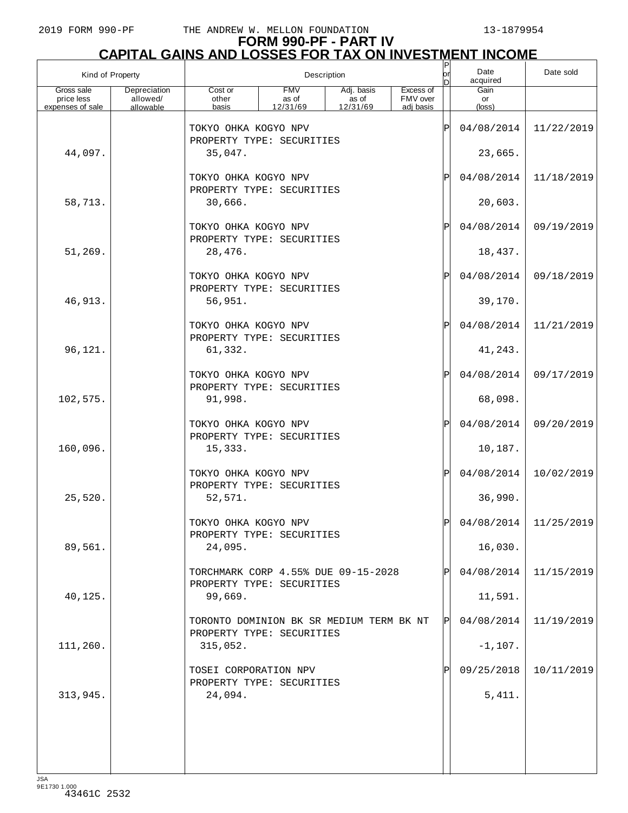| Kind of Property         |                          |                                                                       |                     | Description         |                       | $\sf P$<br>lor | Date<br>acquired      | Date sold               |
|--------------------------|--------------------------|-----------------------------------------------------------------------|---------------------|---------------------|-----------------------|----------------|-----------------------|-------------------------|
| Gross sale<br>price less | Depreciation<br>allowed/ | Cost or<br>other                                                      | <b>FMV</b><br>as of | Adj. basis<br>as of | Excess of<br>FMV over |                | Gain<br>or            |                         |
| expenses of sale         | allowable                | basis                                                                 | 12/31/69            | 12/31/69            | adj basis             |                | (loss)                |                         |
|                          |                          | TOKYO OHKA KOGYO NPV<br>PROPERTY TYPE: SECURITIES                     |                     |                     |                       | ΙP             | 04/08/2014            | 11/22/2019              |
| 44,097.                  |                          | 35,047.                                                               |                     |                     |                       |                | 23,665.               |                         |
|                          |                          | TOKYO OHKA KOGYO NPV<br>PROPERTY TYPE: SECURITIES                     |                     |                     |                       | Ρ              | 04/08/2014            | 11/18/2019              |
| 58,713.                  |                          | 30,666.                                                               |                     |                     |                       |                | 20,603.               |                         |
|                          |                          | TOKYO OHKA KOGYO NPV<br>PROPERTY TYPE: SECURITIES                     |                     |                     |                       | Ρ              | 04/08/2014            | 09/19/2019              |
| 51,269.                  |                          | 28,476.                                                               |                     |                     |                       |                | 18,437.               |                         |
|                          |                          | TOKYO OHKA KOGYO NPV<br>PROPERTY TYPE: SECURITIES                     |                     |                     |                       | Ρ              | 04/08/2014            | 09/18/2019              |
| 46,913.                  |                          | 56,951.                                                               |                     |                     |                       |                | 39,170.               |                         |
|                          |                          | TOKYO OHKA KOGYO NPV<br>PROPERTY TYPE: SECURITIES                     |                     |                     |                       | Ρ              | 04/08/2014            | 11/21/2019              |
| 96,121.                  |                          | 61,332.                                                               |                     |                     |                       |                | 41,243.               |                         |
|                          |                          | TOKYO OHKA KOGYO NPV<br>PROPERTY TYPE: SECURITIES                     |                     |                     |                       | Ρ              | 04/08/2014            | 09/17/2019              |
| 102,575.                 |                          | 91,998.                                                               |                     |                     |                       |                | 68,098.               |                         |
| 160,096.                 |                          | TOKYO OHKA KOGYO NPV<br>PROPERTY TYPE: SECURITIES<br>15,333.          |                     |                     |                       | Ρ              | 04/08/2014<br>10,187. | 09/20/2019              |
|                          |                          | TOKYO OHKA KOGYO NPV                                                  |                     |                     |                       | Ρ              | 04/08/2014            | 10/02/2019              |
| 25,520.                  |                          | PROPERTY TYPE: SECURITIES<br>52,571.                                  |                     |                     |                       |                | 36,990.               |                         |
|                          |                          | TOKYO OHKA KOGYO NPV<br>PROPERTY TYPE: SECURITIES                     |                     |                     |                       | D              |                       | $04/08/2014$ 11/25/2019 |
| 89,561.                  |                          | 24,095.                                                               |                     |                     |                       |                | 16,030.               |                         |
|                          |                          | TORCHMARK CORP 4.55% DUE 09-15-2028<br>PROPERTY TYPE: SECURITIES      |                     |                     |                       |                | 04/08/2014            | 11/15/2019              |
| 40,125.                  |                          | 99,669.                                                               |                     |                     |                       |                | 11,591.               |                         |
|                          |                          | TORONTO DOMINION BK SR MEDIUM TERM BK NT<br>PROPERTY TYPE: SECURITIES |                     |                     |                       | ΙPΙ            | 04/08/2014            | 11/19/2019              |
| 111,260.                 |                          | 315,052.                                                              |                     |                     |                       |                | $-1,107.$             |                         |
|                          |                          | TOSEI CORPORATION NPV<br>PROPERTY TYPE: SECURITIES                    |                     |                     |                       |                | 09/25/2018            | 10/11/2019              |
| 313,945.                 |                          | 24,094.                                                               |                     |                     |                       |                | 5,411.                |                         |
|                          |                          |                                                                       |                     |                     |                       |                |                       |                         |
|                          |                          |                                                                       |                     |                     |                       |                |                       |                         |
|                          |                          |                                                                       |                     |                     |                       |                |                       |                         |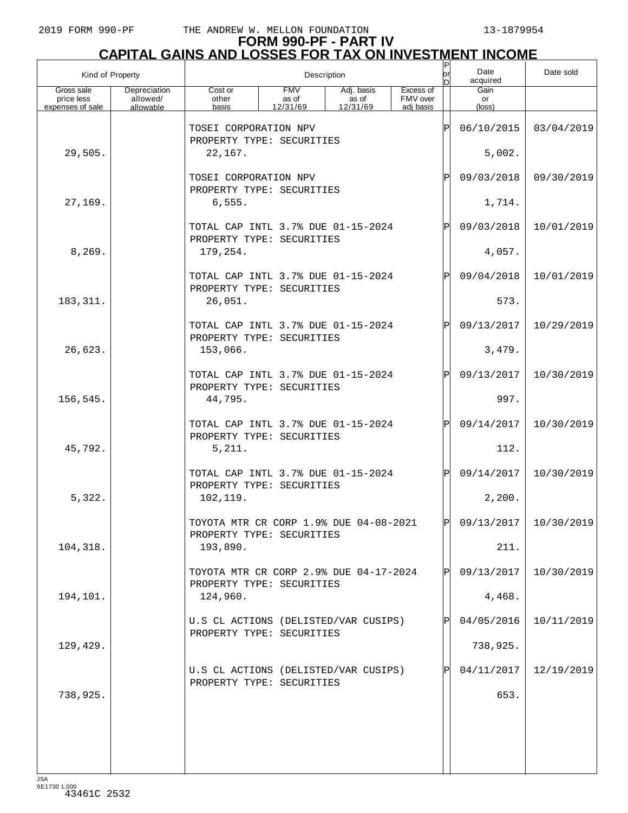| Kind of Property                             |                                       |                                                                     |                                 | Description                     |                                    | Ρ<br>lor     | Date<br>acquired              | Date sold  |
|----------------------------------------------|---------------------------------------|---------------------------------------------------------------------|---------------------------------|---------------------------------|------------------------------------|--------------|-------------------------------|------------|
| Gross sale<br>price less<br>expenses of sale | Depreciation<br>allowed/<br>allowable | Cost or<br>other<br>basis                                           | <b>FMV</b><br>as of<br>12/31/69 | Adj. basis<br>as of<br>12/31/69 | Excess of<br>FMV over<br>adi basis |              | Gain<br>or<br>$(\text{loss})$ |            |
|                                              |                                       | TOSEI CORPORATION NPV                                               |                                 |                                 |                                    | ΙP           | 06/10/2015                    | 03/04/2019 |
| 29,505.                                      |                                       | PROPERTY TYPE: SECURITIES<br>22,167.                                |                                 |                                 |                                    |              | 5,002.                        |            |
|                                              |                                       | TOSEI CORPORATION NPV                                               |                                 |                                 |                                    | P            | 09/03/2018                    | 09/30/2019 |
| 27,169.                                      |                                       | PROPERTY TYPE: SECURITIES<br>6,555.                                 |                                 |                                 |                                    |              | 1,714.                        |            |
|                                              |                                       | TOTAL CAP INTL 3.7% DUE 01-15-2024                                  |                                 |                                 |                                    | $\mathbf P$  | 09/03/2018                    | 10/01/2019 |
| 8, 269.                                      |                                       | PROPERTY TYPE: SECURITIES<br>179,254.                               |                                 |                                 |                                    |              | 4,057.                        |            |
|                                              |                                       | TOTAL CAP INTL 3.7% DUE 01-15-2024<br>PROPERTY TYPE: SECURITIES     |                                 |                                 |                                    | $\mathbf P$  | 09/04/2018                    | 10/01/2019 |
| 183, 311.                                    |                                       | 26,051.                                                             |                                 |                                 |                                    |              | 573.                          |            |
|                                              |                                       | TOTAL CAP INTL 3.7% DUE 01-15-2024<br>PROPERTY TYPE: SECURITIES     |                                 |                                 |                                    | $\mathsf{P}$ | 09/13/2017                    | 10/29/2019 |
| 26,623.                                      |                                       | 153,066.                                                            |                                 |                                 |                                    |              | 3,479.                        |            |
|                                              |                                       | TOTAL CAP INTL 3.7% DUE 01-15-2024<br>PROPERTY TYPE: SECURITIES     |                                 |                                 |                                    | $\mathsf{P}$ | 09/13/2017                    | 10/30/2019 |
| 156,545.                                     |                                       | 44,795.                                                             |                                 |                                 |                                    |              | 997.                          |            |
|                                              |                                       | TOTAL CAP INTL 3.7% DUE 01-15-2024<br>PROPERTY TYPE: SECURITIES     |                                 |                                 |                                    | $\mathsf{P}$ | 09/14/2017                    | 10/30/2019 |
| 45,792.                                      |                                       | 5,211.                                                              |                                 |                                 |                                    |              | 112.                          |            |
|                                              |                                       | TOTAL CAP INTL 3.7% DUE 01-15-2024<br>PROPERTY TYPE: SECURITIES     |                                 |                                 |                                    | $\mathsf{P}$ | 09/14/2017                    | 10/30/2019 |
| 5,322.                                       |                                       | 102,119.                                                            |                                 |                                 |                                    |              | 2,200.                        |            |
|                                              |                                       | TOYOTA MTR CR CORP 1.9% DUE 04-08-2021<br>PROPERTY TYPE: SECURITIES |                                 |                                 |                                    | וח           | 09/13/2017                    | 10/30/2019 |
| 104,318.                                     |                                       | 193,890.                                                            |                                 |                                 |                                    |              | 211.                          |            |
|                                              |                                       | TOYOTA MTR CR CORP 2.9% DUE 04-17-2024<br>PROPERTY TYPE: SECURITIES |                                 |                                 |                                    | ΙPΙ          | 09/13/2017                    | 10/30/2019 |
| 194,101.                                     |                                       | 124,960.                                                            |                                 |                                 |                                    |              | 4,468.                        |            |
|                                              |                                       | U.S CL ACTIONS (DELISTED/VAR CUSIPS)<br>PROPERTY TYPE: SECURITIES   |                                 |                                 |                                    |              | 04/05/2016                    | 10/11/2019 |
| 129,429.                                     |                                       |                                                                     |                                 |                                 |                                    |              | 738,925.                      |            |
| 738,925.                                     |                                       | U.S CL ACTIONS (DELISTED/VAR CUSIPS)<br>PROPERTY TYPE: SECURITIES   |                                 |                                 |                                    |              | 04/11/2017<br>653.            | 12/19/2019 |
|                                              |                                       |                                                                     |                                 |                                 |                                    |              |                               |            |
|                                              |                                       |                                                                     |                                 |                                 |                                    |              |                               |            |
|                                              |                                       |                                                                     |                                 |                                 |                                    |              |                               |            |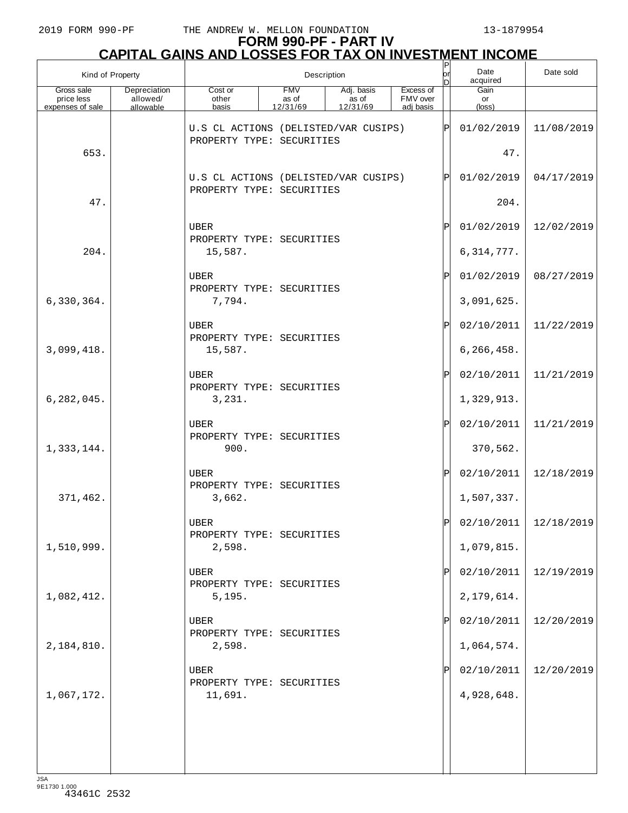# **FORM 990-PF - PART IV CAPITAL GAINS AND LOSSES FOR TAX ON INVESTMENT INCOME** P

| Kind of Property                             |                                       | Description                                                       |                                 |                                 |                                    | $_{\sf or}^{\sf  P }$<br>D | Date<br>acquired              | Date sold                 |
|----------------------------------------------|---------------------------------------|-------------------------------------------------------------------|---------------------------------|---------------------------------|------------------------------------|----------------------------|-------------------------------|---------------------------|
| Gross sale<br>price less<br>expenses of sale | Depreciation<br>allowed/<br>allowable | Cost or<br>other<br>basis                                         | <b>FMV</b><br>as of<br>12/31/69 | Adj. basis<br>as of<br>12/31/69 | Excess of<br>FMV over<br>adi basis |                            | Gain<br>or<br>$(\text{loss})$ |                           |
|                                              |                                       | U.S CL ACTIONS (DELISTED/VAR CUSIPS)<br>PROPERTY TYPE: SECURITIES |                                 |                                 |                                    | $ {\rm P} $                | 01/02/2019                    | 11/08/2019                |
| 653.                                         |                                       |                                                                   |                                 |                                 |                                    |                            | 47.                           |                           |
| 47.                                          |                                       | U.S CL ACTIONS (DELISTED/VAR CUSIPS)<br>PROPERTY TYPE: SECURITIES |                                 |                                 |                                    | $\mathbf P$                | 01/02/2019<br>204.            | 04/17/2019                |
|                                              |                                       | UBER<br>PROPERTY TYPE: SECURITIES                                 |                                 |                                 |                                    | Ρ                          | 01/02/2019                    | 12/02/2019                |
| 204.                                         |                                       | 15,587.                                                           |                                 |                                 |                                    |                            | 6, 314, 777.                  |                           |
|                                              |                                       | UBER<br>PROPERTY TYPE: SECURITIES                                 |                                 |                                 |                                    | Ρ                          | 01/02/2019                    | 08/27/2019                |
| 6,330,364.                                   |                                       | 7,794.                                                            |                                 |                                 |                                    |                            | 3,091,625.                    |                           |
|                                              |                                       | <b>UBER</b><br>PROPERTY TYPE: SECURITIES                          |                                 |                                 |                                    | Ρ                          | 02/10/2011                    | 11/22/2019                |
| 3,099,418.                                   |                                       | 15,587.                                                           |                                 |                                 |                                    |                            | 6, 266, 458.                  |                           |
|                                              |                                       | <b>UBER</b><br>PROPERTY TYPE: SECURITIES                          |                                 |                                 |                                    | Ρ                          | 02/10/2011                    | 11/21/2019                |
| 6, 282, 045.                                 |                                       | 3,231.                                                            |                                 |                                 |                                    |                            | 1,329,913.                    |                           |
| 1,333,144.                                   |                                       | <b>UBER</b><br>PROPERTY TYPE: SECURITIES<br>900.                  |                                 |                                 |                                    | Ρ                          | 02/10/2011<br>370,562.        | 11/21/2019                |
|                                              |                                       | <b>UBER</b>                                                       |                                 |                                 |                                    | Ρ                          | 02/10/2011                    | 12/18/2019                |
| 371,462.                                     |                                       | PROPERTY TYPE: SECURITIES<br>3,662.                               |                                 |                                 |                                    |                            | 1,507,337.                    |                           |
|                                              |                                       | UBER                                                              |                                 |                                 |                                    | Ы                          |                               | $02/10/2011$   12/18/2019 |
| 1,510,999.                                   |                                       | PROPERTY TYPE: SECURITIES<br>2,598.                               |                                 |                                 |                                    |                            | 1,079,815.                    |                           |
|                                              |                                       | <b>UBER</b><br>PROPERTY TYPE: SECURITIES                          |                                 |                                 |                                    |                            | 02/10/2011                    | 12/19/2019                |
| 1,082,412.                                   |                                       | 5,195.                                                            |                                 |                                 |                                    |                            | 2,179,614.                    |                           |
|                                              |                                       | <b>UBER</b>                                                       |                                 |                                 |                                    |                            | 02/10/2011                    | 12/20/2019                |
| 2,184,810.                                   |                                       | PROPERTY TYPE: SECURITIES<br>2,598.                               |                                 |                                 |                                    |                            | 1,064,574.                    |                           |
|                                              |                                       | <b>UBER</b><br>PROPERTY TYPE: SECURITIES                          |                                 |                                 |                                    |                            | 02/10/2011                    | 12/20/2019                |
| 1,067,172.                                   |                                       | 11,691.                                                           |                                 |                                 |                                    |                            | 4,928,648.                    |                           |
|                                              |                                       |                                                                   |                                 |                                 |                                    |                            |                               |                           |
|                                              |                                       |                                                                   |                                 |                                 |                                    |                            |                               |                           |
| 1C                                           |                                       |                                                                   |                                 |                                 |                                    |                            |                               |                           |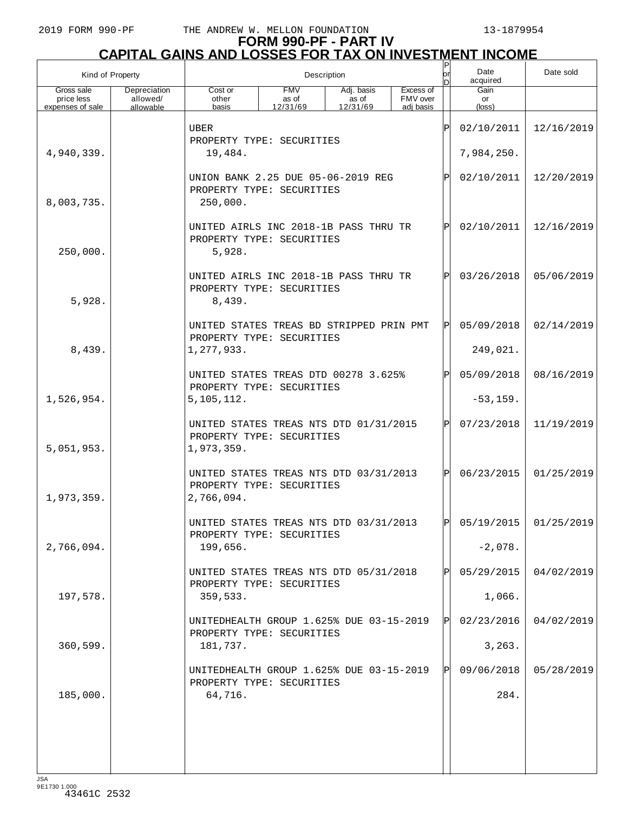| Kind of Property         |                          | Description                                                                       |                     |                     |                       |     | Date<br>acquired | Date sold               |
|--------------------------|--------------------------|-----------------------------------------------------------------------------------|---------------------|---------------------|-----------------------|-----|------------------|-------------------------|
| Gross sale<br>price less | Depreciation<br>allowed/ | Cost or<br>other                                                                  | <b>FMV</b><br>as of | Adj. basis<br>as of | Excess of<br>FMV over |     | Gain<br>or       |                         |
| expenses of sale         | allowable                | basis                                                                             | 12/31/69            | 12/31/69            | adi basis             |     | (loss)           |                         |
|                          |                          | <b>UBER</b><br>PROPERTY TYPE: SECURITIES                                          |                     |                     |                       | ΙP  | 02/10/2011       | 12/16/2019              |
| 4,940,339.               |                          | 19,484.                                                                           |                     |                     | 7,984,250.            |     |                  |                         |
| 8,003,735.               |                          | UNION BANK 2.25 DUE 05-06-2019 REG<br>PROPERTY TYPE: SECURITIES<br>250,000.       |                     |                     |                       |     | 02/10/2011       | 12/20/2019              |
| 250,000.                 |                          | UNITED AIRLS INC 2018-1B PASS THRU TR<br>PROPERTY TYPE: SECURITIES<br>5,928.      |                     |                     |                       | P   | 02/10/2011       | 12/16/2019              |
| 5,928.                   |                          | UNITED AIRLS INC 2018-1B PASS THRU TR<br>PROPERTY TYPE: SECURITIES<br>8,439.      |                     |                     |                       | P   | 03/26/2018       | 05/06/2019              |
|                          |                          | UNITED STATES TREAS BD STRIPPED PRIN PMT<br>PROPERTY TYPE: SECURITIES             |                     |                     |                       | ΙP  | 05/09/2018       | 02/14/2019              |
| 8,439.                   |                          | 1,277,933.                                                                        |                     |                     |                       |     | 249,021.         |                         |
|                          |                          | UNITED STATES TREAS DTD 00278 3.625%<br>PROPERTY TYPE: SECURITIES                 |                     |                     |                       | ΙP  | 05/09/2018       | 08/16/2019              |
| 1,526,954.               |                          | 5, 105, 112.                                                                      |                     |                     |                       |     | $-53, 159.$      |                         |
| 5,051,953.               |                          | UNITED STATES TREAS NTS DTD 01/31/2015<br>PROPERTY TYPE: SECURITIES<br>1,973,359. |                     |                     |                       | ΙP  | 07/23/2018       | 11/19/2019              |
| 1,973,359.               |                          | UNITED STATES TREAS NTS DTD 03/31/2013<br>PROPERTY TYPE: SECURITIES<br>2,766,094. |                     |                     |                       | ΙP  | 06/23/2015       | 01/25/2019              |
|                          |                          | UNITED STATES TREAS NTS DTD 03/31/2013<br>PROPERTY TYPE: SECURITIES               |                     |                     |                       |     |                  | $05/19/2015$ 01/25/2019 |
| 2,766,094.               |                          | 199,656.                                                                          |                     |                     |                       |     | $-2,078.$        |                         |
|                          |                          | UNITED STATES TREAS NTS DTD 05/31/2018<br>PROPERTY TYPE: SECURITIES               |                     |                     |                       | IP  | 05/29/2015       | 04/02/2019              |
| 197,578.                 |                          | 359,533.                                                                          |                     |                     |                       |     | 1,066.           |                         |
|                          |                          | UNITEDHEALTH GROUP 1.625% DUE 03-15-2019<br>PROPERTY TYPE: SECURITIES             |                     |                     |                       | IPI | 02/23/2016       | 04/02/2019              |
| 360,599.                 |                          | 181,737.                                                                          |                     |                     |                       |     | 3, 263.          |                         |
|                          |                          | UNITEDHEALTH GROUP 1.625% DUE 03-15-2019<br>PROPERTY TYPE: SECURITIES             |                     |                     |                       | IPI | 09/06/2018       | 05/28/2019              |
| 185,000.                 |                          | 64,716.                                                                           |                     |                     |                       |     | 284.             |                         |
|                          |                          |                                                                                   |                     |                     |                       |     |                  |                         |
|                          |                          |                                                                                   |                     |                     |                       |     |                  |                         |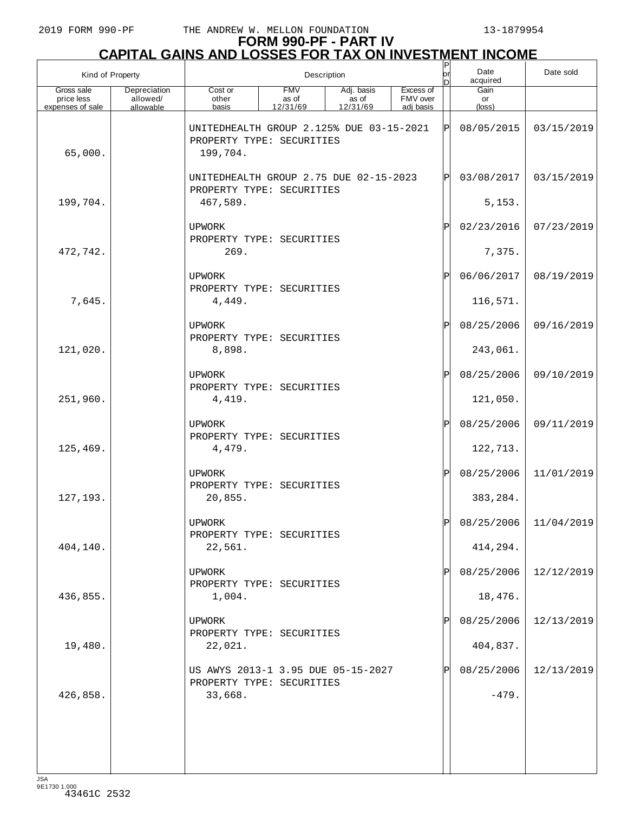| Kind of Property                             |                                       | Description                                                                       |                                 |                                 |                                    |            | Date<br>acquired       | Date sold             |
|----------------------------------------------|---------------------------------------|-----------------------------------------------------------------------------------|---------------------------------|---------------------------------|------------------------------------|------------|------------------------|-----------------------|
| Gross sale<br>price less<br>expenses of sale | Depreciation<br>allowed/<br>allowable | Cost or<br>other<br>basis                                                         | <b>FMV</b><br>as of<br>12/31/69 | Adj. basis<br>as of<br>12/31/69 | Excess of<br>FMV over<br>adj basis |            | Gain<br>or<br>(loss)   |                       |
| 65,000.                                      |                                       | UNITEDHEALTH GROUP 2.125% DUE 03-15-2021<br>PROPERTY TYPE: SECURITIES<br>199,704. |                                 |                                 |                                    | ΙÞΙ        | 08/05/2015             | 03/15/2019            |
|                                              |                                       | UNITEDHEALTH GROUP 2.75 DUE 02-15-2023<br>PROPERTY TYPE: SECURITIES               |                                 | ΙÞΙ                             | 03/08/2017                         | 03/15/2019 |                        |                       |
| 199,704.                                     |                                       | 467,589.                                                                          |                                 |                                 |                                    |            |                        |                       |
|                                              |                                       | <b>UPWORK</b><br>PROPERTY TYPE: SECURITIES                                        |                                 |                                 |                                    | ΙÞΙ        | 02/23/2016             | 07/23/2019            |
| 472,742.                                     |                                       | 269.                                                                              |                                 |                                 |                                    |            | 7,375.                 |                       |
| 7,645.                                       |                                       | <b>UPWORK</b><br>PROPERTY TYPE: SECURITIES<br>4,449.                              |                                 |                                 |                                    | ΙÞΙ        | 06/06/2017<br>116,571. | 08/19/2019            |
|                                              |                                       |                                                                                   |                                 |                                 |                                    |            |                        | 09/16/2019            |
| 121,020.                                     |                                       | <b>UPWORK</b><br>PROPERTY TYPE: SECURITIES<br>8,898.                              |                                 |                                 |                                    | ΙÞΙ        | 08/25/2006<br>243,061. |                       |
|                                              |                                       | <b>UPWORK</b>                                                                     |                                 |                                 |                                    | ΙÞΙ        | 08/25/2006             | 09/10/2019            |
| 251,960.                                     |                                       | PROPERTY TYPE: SECURITIES<br>4,419.                                               |                                 |                                 |                                    |            | 121,050.               |                       |
|                                              |                                       | <b>UPWORK</b><br>PROPERTY TYPE: SECURITIES                                        |                                 |                                 |                                    | ΙÞΙ        | 08/25/2006             | 09/11/2019            |
| 125,469.                                     |                                       | 4,479.                                                                            |                                 |                                 |                                    |            | 122,713.               |                       |
|                                              |                                       | <b>UPWORK</b><br>PROPERTY TYPE: SECURITIES                                        |                                 |                                 |                                    | P          | 08/25/2006             | 11/01/2019            |
| 127, 193.                                    |                                       | 20,855.                                                                           |                                 |                                 |                                    |            | 383, 284.              |                       |
|                                              |                                       | UPWORK<br>PROPERTY TYPE: SECURITIES                                               |                                 |                                 |                                    | ldl        |                        | 08/25/2006 11/04/2019 |
| 404,140.                                     |                                       | 22,561.                                                                           |                                 |                                 |                                    |            | 414,294.               |                       |
|                                              |                                       | UPWORK<br>PROPERTY TYPE: SECURITIES                                               |                                 |                                 |                                    | ΙPΙ        | 08/25/2006             | 12/12/2019            |
| 436,855.                                     |                                       | 1,004.                                                                            |                                 |                                 |                                    |            | 18,476.                |                       |
|                                              |                                       | <b>UPWORK</b><br>PROPERTY TYPE: SECURITIES                                        |                                 |                                 |                                    | ΙPΙ        | 08/25/2006             | 12/13/2019            |
| 19,480.                                      |                                       | 22,021.                                                                           |                                 |                                 |                                    |            | 404,837.               |                       |
|                                              |                                       | US AWYS 2013-1 3.95 DUE 05-15-2027<br>PROPERTY TYPE: SECURITIES                   |                                 |                                 |                                    | ΙPΙ        | 08/25/2006             | 12/13/2019            |
| 426,858.                                     |                                       | 33,668.                                                                           |                                 |                                 |                                    |            | $-479.$                |                       |
|                                              |                                       |                                                                                   |                                 |                                 |                                    |            |                        |                       |
|                                              |                                       |                                                                                   |                                 |                                 |                                    |            |                        |                       |
|                                              |                                       |                                                                                   |                                 |                                 |                                    |            |                        |                       |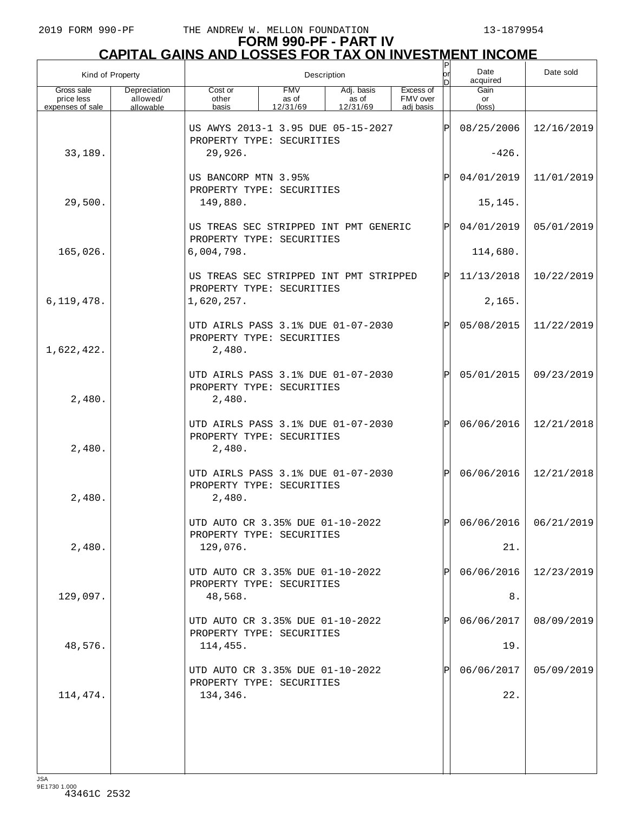## **FORM 990-PF - PART IV CAPITAL GAINS AND LOSSES FOR TAX ON INVESTMENT INCOME**

| Kind of Property                             |                                       |                                                                           |                                 | Description                     |                                    | P<br>lorl   | Date<br>acquired     | Date sold               |
|----------------------------------------------|---------------------------------------|---------------------------------------------------------------------------|---------------------------------|---------------------------------|------------------------------------|-------------|----------------------|-------------------------|
| Gross sale<br>price less<br>expenses of sale | Depreciation<br>allowed/<br>allowable | Cost or<br>other<br>basis                                                 | <b>FMV</b><br>as of<br>12/31/69 | Adj. basis<br>as of<br>12/31/69 | Excess of<br>FMV over<br>adj basis |             | Gain<br>or<br>(loss) |                         |
|                                              |                                       | US AWYS 2013-1 3.95 DUE 05-15-2027<br>PROPERTY TYPE: SECURITIES           |                                 |                                 |                                    | ΙPΙ         | 08/25/2006           | 12/16/2019              |
| 33,189.                                      |                                       | 29,926.                                                                   |                                 |                                 |                                    | $-426.$     |                      |                         |
|                                              |                                       | US BANCORP MTN 3.95%<br>PROPERTY TYPE: SECURITIES                         |                                 |                                 |                                    | P           | 04/01/2019           | 11/01/2019              |
| 29,500.                                      |                                       | 149,880.                                                                  |                                 |                                 |                                    |             | 15,145.              |                         |
|                                              |                                       | US TREAS SEC STRIPPED INT PMT GENERIC<br>PROPERTY TYPE: SECURITIES        |                                 |                                 |                                    | $\mathbf P$ | 04/01/2019           | 05/01/2019              |
| 165,026.                                     |                                       | 6,004,798.                                                                |                                 |                                 |                                    |             | 114,680.             |                         |
|                                              |                                       | US TREAS SEC STRIPPED INT PMT STRIPPED<br>PROPERTY TYPE: SECURITIES       |                                 |                                 |                                    | ΙÞΙ         | 11/13/2018           | 10/22/2019              |
| 6, 119, 478.                                 |                                       | 1,620,257.                                                                |                                 |                                 |                                    |             | 2,165.               |                         |
| 1,622,422.                                   |                                       | UTD AIRLS PASS 3.1% DUE 01-07-2030<br>PROPERTY TYPE: SECURITIES<br>2,480. |                                 |                                 |                                    | $\mathbf P$ | 05/08/2015           | 11/22/2019              |
| 2,480.                                       |                                       | UTD AIRLS PASS 3.1% DUE 01-07-2030<br>PROPERTY TYPE: SECURITIES<br>2,480. |                                 |                                 |                                    | $\mathbf P$ | 05/01/2015           | 09/23/2019              |
| 2,480.                                       |                                       | UTD AIRLS PASS 3.1% DUE 01-07-2030<br>PROPERTY TYPE: SECURITIES<br>2,480. |                                 |                                 |                                    | $\mathbf P$ | 06/06/2016           | 12/21/2018              |
| 2,480.                                       |                                       | UTD AIRLS PASS 3.1% DUE 01-07-2030<br>PROPERTY TYPE: SECURITIES<br>2,480. |                                 |                                 |                                    | $\mathbf P$ | 06/06/2016           | 12/21/2018              |
|                                              |                                       | UTD AUTO CR 3.35% DUE 01-10-2022<br>PROPERTY TYPE: SECURITIES             |                                 |                                 |                                    | Þl          |                      | $06/06/2016$ 06/21/2019 |
| 2,480.                                       |                                       | 129,076.                                                                  |                                 |                                 |                                    |             | 21.                  |                         |
|                                              |                                       | UTD AUTO CR 3.35% DUE 01-10-2022<br>PROPERTY TYPE: SECURITIES             |                                 |                                 |                                    |             | 06/06/2016           | 12/23/2019              |
| 129,097.                                     |                                       | 48,568.                                                                   |                                 |                                 |                                    |             | 8.                   |                         |
|                                              |                                       | UTD AUTO CR 3.35% DUE 01-10-2022<br>PROPERTY TYPE: SECURITIES             |                                 |                                 |                                    |             | 06/06/2017           | 08/09/2019              |
| 48,576.                                      |                                       | 114,455.                                                                  |                                 |                                 |                                    |             | 19.                  |                         |
|                                              |                                       | UTD AUTO CR 3.35% DUE 01-10-2022<br>PROPERTY TYPE: SECURITIES             |                                 |                                 |                                    |             | 06/06/2017           | 05/09/2019              |
| 114,474.                                     |                                       | 134,346.                                                                  |                                 |                                 |                                    |             | 22.                  |                         |
|                                              |                                       |                                                                           |                                 |                                 |                                    |             |                      |                         |
|                                              |                                       |                                                                           |                                 |                                 |                                    |             |                      |                         |
|                                              |                                       |                                                                           |                                 |                                 |                                    |             |                      |                         |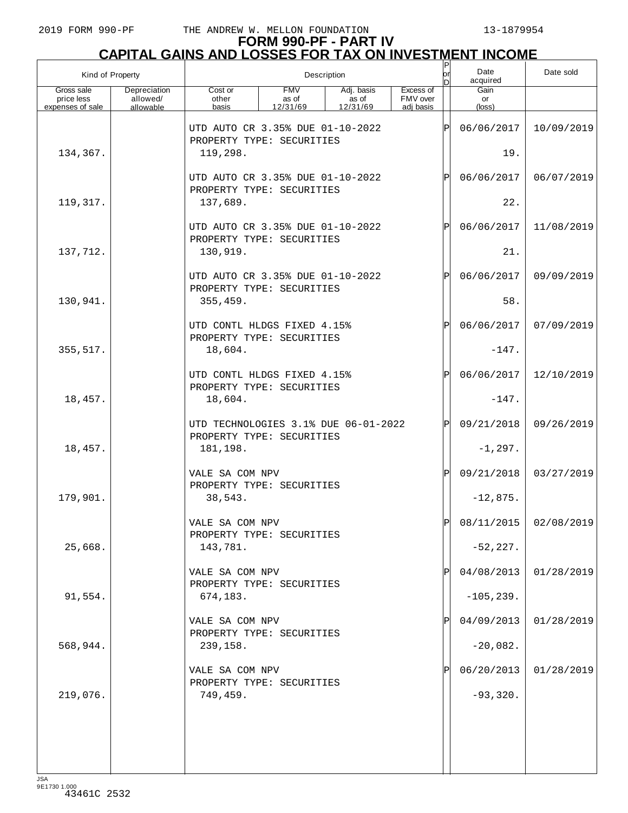## **FORM 990-PF - PART IV CAPITAL GAINS AND LOSSES FOR TAX ON INVESTMENT INCOME**

| Kind of Property                             |                                       |                                                                   |                                  | Description                     |                                    | P<br>lor     | Date<br>acquired     | Date sold               |
|----------------------------------------------|---------------------------------------|-------------------------------------------------------------------|----------------------------------|---------------------------------|------------------------------------|--------------|----------------------|-------------------------|
| Gross sale<br>price less<br>expenses of sale | Depreciation<br>allowed/<br>allowable | Cost or<br>other<br>basis                                         | <b>FMV</b><br>as of<br>12/31/69  | Adj. basis<br>as of<br>12/31/69 | Excess of<br>FMV over<br>adj basis |              | Gain<br>or<br>(loss) |                         |
|                                              |                                       | UTD AUTO CR 3.35% DUE 01-10-2022<br>PROPERTY TYPE: SECURITIES     |                                  |                                 |                                    | ΙP           | 06/06/2017           | 10/09/2019              |
| 134,367.                                     |                                       | 119,298.                                                          |                                  |                                 |                                    | 19.          |                      |                         |
|                                              |                                       |                                                                   | UTD AUTO CR 3.35% DUE 01-10-2022 |                                 |                                    |              |                      | 06/07/2019              |
| 119,317.                                     |                                       | 137,689.                                                          | PROPERTY TYPE: SECURITIES        |                                 |                                    |              |                      |                         |
|                                              |                                       | UTD AUTO CR 3.35% DUE 01-10-2022<br>PROPERTY TYPE: SECURITIES     |                                  |                                 |                                    | $\mathbf P$  | 06/06/2017           | 11/08/2019              |
| 137,712.                                     |                                       | 130,919.                                                          |                                  |                                 |                                    |              | 21.                  |                         |
|                                              |                                       | UTD AUTO CR 3.35% DUE 01-10-2022<br>PROPERTY TYPE: SECURITIES     |                                  |                                 |                                    | $\mathbf P$  | 06/06/2017           | 09/09/2019              |
| 130,941.                                     |                                       | 355, 459.                                                         |                                  |                                 |                                    |              | 58.                  |                         |
|                                              |                                       | UTD CONTL HLDGS FIXED 4.15%<br>PROPERTY TYPE: SECURITIES          |                                  |                                 |                                    | $\mathbf P$  | 06/06/2017           | 07/09/2019              |
| 355, 517.                                    |                                       | 18,604.                                                           |                                  |                                 |                                    |              | $-147.$              |                         |
|                                              |                                       | UTD CONTL HLDGS FIXED 4.15%<br>PROPERTY TYPE: SECURITIES          |                                  |                                 |                                    | $\mathbf P$  | 06/06/2017           | 12/10/2019              |
| 18,457.                                      |                                       | 18,604.                                                           |                                  |                                 |                                    |              | $-147.$              |                         |
|                                              |                                       | UTD TECHNOLOGIES 3.1% DUE 06-01-2022<br>PROPERTY TYPE: SECURITIES |                                  |                                 |                                    | $\mathsf{P}$ | 09/21/2018           | 09/26/2019              |
| 18,457.                                      |                                       | 181,198.                                                          |                                  |                                 |                                    |              | $-1, 297.$           |                         |
|                                              |                                       | VALE SA COM NPV<br>PROPERTY TYPE: SECURITIES                      |                                  |                                 |                                    | P            | 09/21/2018           | 03/27/2019              |
| 179,901.                                     |                                       | 38,543.                                                           |                                  |                                 |                                    |              | $-12,875.$           |                         |
|                                              |                                       | VALE SA COM NPV<br>PROPERTY TYPE: SECURITIES                      |                                  |                                 |                                    | Þl           |                      | 08/11/2015   02/08/2019 |
| 25,668.                                      |                                       | 143,781.                                                          |                                  |                                 |                                    |              | $-52, 227.$          |                         |
|                                              |                                       | VALE SA COM NPV<br>PROPERTY TYPE: SECURITIES                      |                                  |                                 |                                    |              | 04/08/2013           | 01/28/2019              |
| 91,554.                                      |                                       | 674,183.                                                          |                                  |                                 |                                    |              | $-105, 239.$         |                         |
|                                              |                                       | VALE SA COM NPV<br>PROPERTY TYPE: SECURITIES                      |                                  |                                 |                                    |              | 04/09/2013           | 01/28/2019              |
| 568,944.                                     |                                       | 239,158.                                                          |                                  |                                 |                                    |              | $-20,082.$           |                         |
|                                              |                                       | VALE SA COM NPV<br>PROPERTY TYPE: SECURITIES                      |                                  |                                 |                                    |              | 06/20/2013           | 01/28/2019              |
| 219,076.                                     |                                       | 749,459.                                                          |                                  |                                 |                                    |              | $-93,320.$           |                         |
|                                              |                                       |                                                                   |                                  |                                 |                                    |              |                      |                         |
|                                              |                                       |                                                                   |                                  |                                 |                                    |              |                      |                         |
| <b>JSA</b>                                   |                                       |                                                                   |                                  |                                 |                                    |              |                      |                         |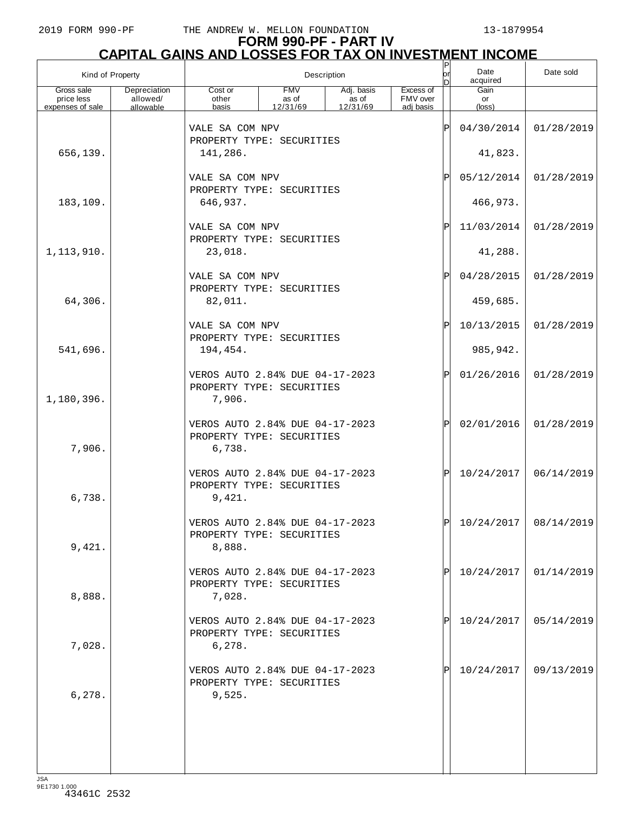| Kind of Property         |                          |                                                                        |                                                              | Description         | Date sold             |            |                 |                         |
|--------------------------|--------------------------|------------------------------------------------------------------------|--------------------------------------------------------------|---------------------|-----------------------|------------|-----------------|-------------------------|
| Gross sale<br>price less | Depreciation<br>allowed/ | Cost or<br>other                                                       | <b>FMV</b><br>as of                                          | Adj. basis<br>as of | Excess of<br>FMV over |            | Gain<br>or      |                         |
| expenses of sale         | allowable                | basis                                                                  | 12/31/69                                                     | 12/31/69            | adj basis             |            | $(\text{loss})$ |                         |
|                          |                          | VALE SA COM NPV<br>PROPERTY TYPE: SECURITIES                           |                                                              |                     |                       | ΙÞΙ        | 04/30/2014      | 01/28/2019              |
| 656,139.                 |                          | 141,286.                                                               |                                                              |                     |                       |            | 41,823.         |                         |
|                          |                          | VALE SA COM NPV                                                        |                                                              | ΙPΙ                 | 05/12/2014            | 01/28/2019 |                 |                         |
| 183,109.                 |                          | 646,937.                                                               | PROPERTY TYPE: SECURITIES                                    |                     |                       |            |                 |                         |
|                          |                          | VALE SA COM NPV<br>PROPERTY TYPE: SECURITIES                           |                                                              |                     |                       | ΙPΙ        | 11/03/2014      | 01/28/2019              |
| 1,113,910.               |                          | 23,018.                                                                |                                                              |                     |                       |            | 41,288.         |                         |
|                          |                          | VALE SA COM NPV<br>PROPERTY TYPE: SECURITIES                           |                                                              |                     |                       | ΙPΙ        | 04/28/2015      | 01/28/2019              |
| 64,306.                  |                          | 82,011.                                                                |                                                              |                     |                       |            | 459,685.        |                         |
|                          |                          | VALE SA COM NPV<br>PROPERTY TYPE: SECURITIES                           |                                                              |                     |                       | ΙPΙ        | 10/13/2015      | 01/28/2019              |
| 541,696.                 |                          | 194,454.                                                               |                                                              |                     |                       |            | 985,942.        |                         |
| 1,180,396.               |                          | VEROS AUTO 2.84% DUE 04-17-2023<br>PROPERTY TYPE: SECURITIES<br>7,906. |                                                              |                     |                       | ΙPΙ        | 01/26/2016      | 01/28/2019              |
| 7,906.                   |                          | VEROS AUTO 2.84% DUE 04-17-2023<br>PROPERTY TYPE: SECURITIES<br>6,738. |                                                              |                     |                       | ΙPΙ        | 02/01/2016      | 01/28/2019              |
| 6,738.                   |                          | VEROS AUTO 2.84% DUE 04-17-2023<br>PROPERTY TYPE: SECURITIES<br>9,421. |                                                              |                     |                       | IPI        | 10/24/2017      | 06/14/2019              |
| 9,421.                   |                          | VEROS AUTO 2.84% DUE 04-17-2023<br>PROPERTY TYPE: SECURITIES<br>8,888. |                                                              |                     |                       |            |                 | $10/24/2017$ 08/14/2019 |
| 8,888.                   |                          | VEROS AUTO 2.84% DUE 04-17-2023<br>PROPERTY TYPE: SECURITIES<br>7,028. |                                                              |                     |                       |            | 10/24/2017      | 01/14/2019              |
| 7,028.                   |                          | 6,278.                                                                 | VEROS AUTO 2.84% DUE 04-17-2023<br>PROPERTY TYPE: SECURITIES |                     |                       |            | 10/24/2017      | 05/14/2019              |
| 6,278.                   |                          | VEROS AUTO 2.84% DUE 04-17-2023<br>PROPERTY TYPE: SECURITIES<br>9,525. |                                                              |                     |                       |            | 10/24/2017      | 09/13/2019              |
|                          |                          |                                                                        |                                                              |                     |                       |            |                 |                         |
|                          |                          |                                                                        |                                                              |                     |                       |            |                 |                         |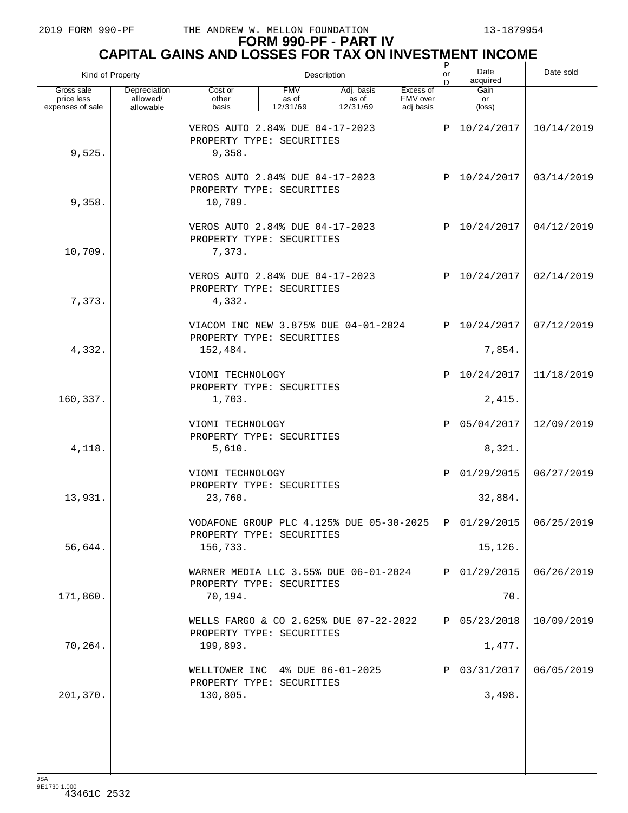| Kind of Property                             |                                       |                                                                               |                                                              | Description                     |                                    | P<br>lor     | Date<br>acquired                                                            | Date sold  |
|----------------------------------------------|---------------------------------------|-------------------------------------------------------------------------------|--------------------------------------------------------------|---------------------------------|------------------------------------|--------------|-----------------------------------------------------------------------------|------------|
| Gross sale<br>price less<br>expenses of sale | Depreciation<br>allowed/<br>allowable | Cost or<br>other<br>basis                                                     | <b>FMV</b><br>as of<br>12/31/69                              | Adj. basis<br>as of<br>12/31/69 | Excess of<br>FMV over<br>adi basis |              | Gain<br>or<br>(loss)                                                        |            |
| 9,525.                                       |                                       | VEROS AUTO 2.84% DUE 04-17-2023<br>PROPERTY TYPE: SECURITIES<br>9,358.        |                                                              |                                 | ΙP                                 | 10/24/2017   | 10/14/2019                                                                  |            |
| 9,358.                                       |                                       | 10,709.                                                                       | VEROS AUTO 2.84% DUE 04-17-2023<br>PROPERTY TYPE: SECURITIES |                                 |                                    |              |                                                                             | 03/14/2019 |
| 10,709.                                      |                                       | VEROS AUTO 2.84% DUE 04-17-2023<br>PROPERTY TYPE: SECURITIES<br>7,373.        |                                                              |                                 |                                    | $\mathbf P$  | 10/24/2017                                                                  | 04/12/2019 |
| 7,373.                                       |                                       | VEROS AUTO 2.84% DUE 04-17-2023<br>PROPERTY TYPE: SECURITIES<br>4,332.        |                                                              |                                 |                                    | $\mathbf P$  | 10/24/2017                                                                  | 02/14/2019 |
| 4,332.                                       |                                       | VIACOM INC NEW 3.875% DUE 04-01-2024<br>PROPERTY TYPE: SECURITIES<br>152,484. |                                                              |                                 |                                    | $\mathsf{P}$ | 10/24/2017<br>7,854.                                                        | 07/12/2019 |
|                                              |                                       | VIOMI TECHNOLOGY<br>PROPERTY TYPE: SECURITIES                                 |                                                              |                                 |                                    | Ρ            | 10/24/2017                                                                  | 11/18/2019 |
| 160,337.                                     |                                       | 1,703.<br>VIOMI TECHNOLOGY<br>PROPERTY TYPE: SECURITIES                       |                                                              |                                 |                                    | $\mathbf{P}$ | 2,415.<br>05/04/2017                                                        | 12/09/2019 |
| 4,118.                                       |                                       | 5,610.<br>VIOMI TECHNOLOGY                                                    |                                                              |                                 |                                    | Ρ            | 8,321.<br>01/29/2015                                                        | 06/27/2019 |
| 13,931.                                      |                                       | PROPERTY TYPE: SECURITIES<br>23,760.                                          |                                                              |                                 |                                    |              | 32,884.                                                                     |            |
| 56,644.                                      |                                       | PROPERTY TYPE: SECURITIES<br>156,733.                                         |                                                              |                                 |                                    |              | VODAFONE GROUP PLC 4.125% DUE 05-30-2025 P 01/29/2015 06/25/2019<br>15,126. |            |
| 171,860.                                     |                                       | WARNER MEDIA LLC 3.55% DUE 06-01-2024<br>PROPERTY TYPE: SECURITIES<br>70,194. |                                                              |                                 |                                    |              | 01/29/2015<br>70.                                                           | 06/26/2019 |
|                                              |                                       | WELLS FARGO & CO 2.625% DUE 07-22-2022<br>PROPERTY TYPE: SECURITIES           |                                                              |                                 |                                    | P            | 05/23/2018                                                                  | 10/09/2019 |
| 70,264.                                      |                                       | 199,893.<br>WELLTOWER INC 4% DUE 06-01-2025                                   |                                                              |                                 |                                    |              | 1,477.<br>03/31/2017                                                        | 06/05/2019 |
| 201,370.                                     |                                       | PROPERTY TYPE: SECURITIES<br>130,805.                                         |                                                              |                                 |                                    |              | 3,498.                                                                      |            |
|                                              |                                       |                                                                               |                                                              |                                 |                                    |              |                                                                             |            |
|                                              |                                       |                                                                               |                                                              |                                 |                                    |              |                                                                             |            |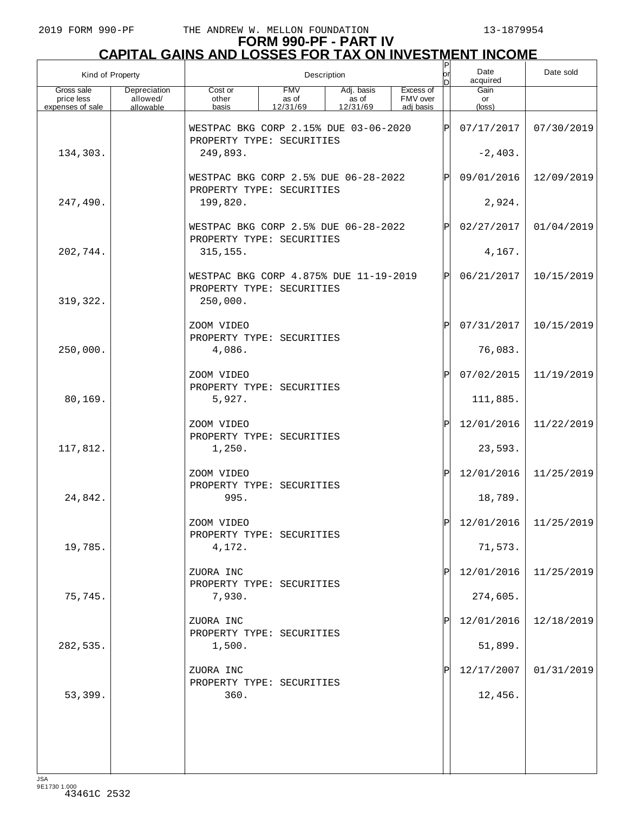| Kind of Property                             |                                       |                                                                                 |                                 | Description                     |                                    | P<br>or<br>ln | Date<br>acquired      | Date sold               |
|----------------------------------------------|---------------------------------------|---------------------------------------------------------------------------------|---------------------------------|---------------------------------|------------------------------------|---------------|-----------------------|-------------------------|
| Gross sale<br>price less<br>expenses of sale | Depreciation<br>allowed/<br>allowable | Cost or<br>other<br>basis                                                       | <b>FMV</b><br>as of<br>12/31/69 | Adj. basis<br>as of<br>12/31/69 | Excess of<br>FMV over<br>adi basis |               | Gain<br>or<br>(loss)  |                         |
|                                              |                                       | WESTPAC BKG CORP 2.15% DUE 03-06-2020                                           |                                 |                                 |                                    | ΙP            | 07/17/2017            | 07/30/2019              |
| 134,303.                                     |                                       | PROPERTY TYPE: SECURITIES<br>249,893.                                           |                                 |                                 |                                    | $-2,403.$     |                       |                         |
|                                              |                                       | WESTPAC BKG CORP 2.5% DUE 06-28-2022                                            |                                 |                                 | P                                  | 09/01/2016    | 12/09/2019            |                         |
| 247,490.                                     |                                       | 199,820.                                                                        | PROPERTY TYPE: SECURITIES       |                                 |                                    |               |                       |                         |
|                                              |                                       | WESTPAC BKG CORP 2.5% DUE 06-28-2022<br>PROPERTY TYPE: SECURITIES               |                                 |                                 |                                    | P             | 02/27/2017            | 01/04/2019              |
| 202,744.                                     |                                       | 315, 155.                                                                       |                                 |                                 |                                    |               | 4,167.                |                         |
| 319, 322.                                    |                                       | WESTPAC BKG CORP 4.875% DUE 11-19-2019<br>PROPERTY TYPE: SECURITIES<br>250,000. |                                 |                                 |                                    | ΙPΙ           | 06/21/2017            | 10/15/2019              |
|                                              |                                       | ZOOM VIDEO                                                                      |                                 |                                 |                                    | P             | 07/31/2017            | 10/15/2019              |
| 250,000.                                     |                                       | PROPERTY TYPE: SECURITIES<br>4,086.                                             |                                 |                                 |                                    |               | 76,083.               |                         |
|                                              |                                       | ZOOM VIDEO<br>PROPERTY TYPE: SECURITIES                                         |                                 |                                 |                                    | ΙP            | 07/02/2015            | 11/19/2019              |
| 80,169.                                      |                                       | 5,927.                                                                          |                                 |                                 |                                    |               | 111,885.              |                         |
|                                              |                                       | ZOOM VIDEO<br>PROPERTY TYPE: SECURITIES                                         |                                 |                                 |                                    | ΙP            | 12/01/2016            | 11/22/2019              |
| 117,812.                                     |                                       | 1,250.                                                                          |                                 |                                 |                                    |               | 23,593.               |                         |
|                                              |                                       | ZOOM VIDEO<br>PROPERTY TYPE: SECURITIES                                         |                                 |                                 |                                    | ΙP            | 12/01/2016            | 11/25/2019              |
| 24,842.                                      |                                       | 995.                                                                            |                                 |                                 |                                    |               | 18,789.               |                         |
|                                              |                                       | ZOOM VIDEO<br>PROPERTY TYPE: SECURITIES                                         |                                 |                                 |                                    | ldl           |                       | $12/01/2016$ 11/25/2019 |
| 19,785.                                      |                                       | 4,172.<br>ZUORA INC                                                             |                                 |                                 |                                    |               | 71,573.<br>12/01/2016 | 11/25/2019              |
| 75,745.                                      |                                       | PROPERTY TYPE: SECURITIES<br>7,930.                                             |                                 |                                 |                                    |               | 274,605.              |                         |
|                                              |                                       | ZUORA INC                                                                       |                                 |                                 |                                    |               | 12/01/2016            | 12/18/2019              |
| 282,535.                                     |                                       | PROPERTY TYPE: SECURITIES<br>1,500.                                             |                                 |                                 |                                    |               | 51,899.               |                         |
|                                              |                                       | ZUORA INC                                                                       |                                 |                                 |                                    |               | 12/17/2007            | 01/31/2019              |
| 53,399.                                      |                                       | PROPERTY TYPE: SECURITIES<br>360.                                               |                                 |                                 |                                    |               | 12,456.               |                         |
|                                              |                                       |                                                                                 |                                 |                                 |                                    |               |                       |                         |
|                                              |                                       |                                                                                 |                                 |                                 |                                    |               |                       |                         |
|                                              |                                       |                                                                                 |                                 |                                 |                                    |               |                       |                         |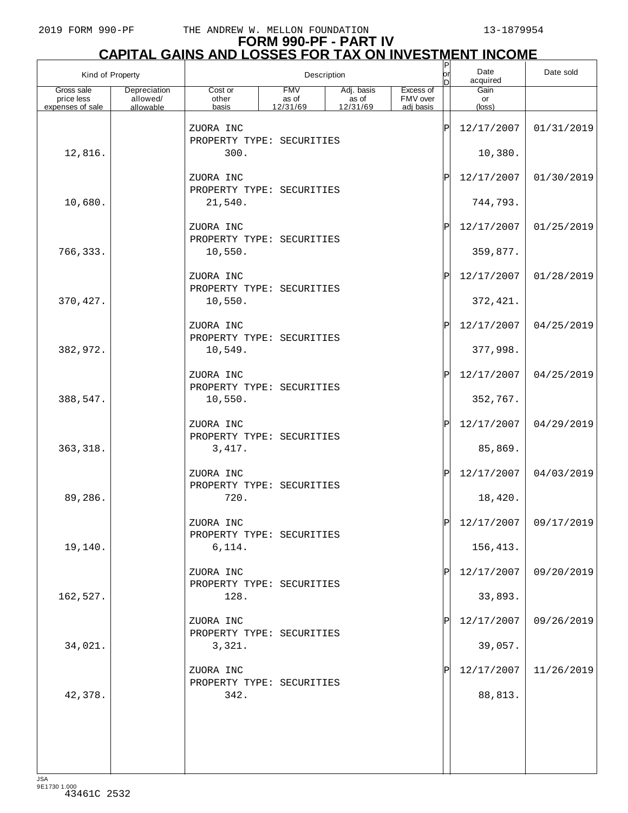| Kind of Property         |                          |                                        |                     | Description         |                       | P<br>lor<br>D | Date<br>acquired | Date sold             |
|--------------------------|--------------------------|----------------------------------------|---------------------|---------------------|-----------------------|---------------|------------------|-----------------------|
| Gross sale<br>price less | Depreciation<br>allowed/ | Cost or<br>other                       | <b>FMV</b><br>as of | Adj. basis<br>as of | Excess of<br>FMV over |               | Gain<br>or       |                       |
| expenses of sale         | allowable                | basis                                  | 12/31/69            | 12/31/69            | adi basis             |               | $(\text{loss})$  |                       |
|                          |                          | ZUORA INC<br>PROPERTY TYPE: SECURITIES |                     |                     |                       | ΙP            | 12/17/2007       | 01/31/2019            |
| 12,816.                  |                          | 300.                                   |                     |                     |                       |               | 10,380.          |                       |
|                          |                          | ZUORA INC<br>PROPERTY TYPE: SECURITIES |                     |                     |                       | ΙP            | 12/17/2007       | 01/30/2019            |
| 10,680.                  |                          | 21,540.                                |                     |                     |                       |               | 744,793.         |                       |
|                          |                          | ZUORA INC<br>PROPERTY TYPE: SECURITIES |                     |                     |                       | ΙP            | 12/17/2007       | 01/25/2019            |
| 766,333.                 |                          | 10,550.                                |                     |                     |                       |               | 359,877.         |                       |
|                          |                          | ZUORA INC<br>PROPERTY TYPE: SECURITIES |                     |                     |                       | ΙP            | 12/17/2007       | 01/28/2019            |
| 370, 427.                |                          | 10,550.                                |                     |                     |                       |               | 372, 421.        |                       |
|                          |                          | ZUORA INC<br>PROPERTY TYPE: SECURITIES |                     |                     |                       | ΙP            | 12/17/2007       | 04/25/2019            |
| 382,972.                 |                          | 10,549.                                |                     |                     |                       |               | 377,998.         |                       |
|                          |                          | ZUORA INC<br>PROPERTY TYPE: SECURITIES |                     |                     |                       | ΙP            | 12/17/2007       | 04/25/2019            |
| 388,547.                 |                          | 10,550.                                |                     |                     |                       |               | 352,767.         |                       |
|                          |                          | ZUORA INC<br>PROPERTY TYPE: SECURITIES |                     |                     |                       | ΙP            | 12/17/2007       | 04/29/2019            |
| 363, 318.                |                          | 3,417.                                 |                     |                     |                       |               | 85,869.          |                       |
|                          |                          | ZUORA INC<br>PROPERTY TYPE: SECURITIES |                     |                     |                       | ΙP            | 12/17/2007       | 04/03/2019            |
| 89,286.                  |                          | 720.                                   |                     |                     |                       |               | 18,420.          |                       |
|                          |                          | ZUORA INC<br>PROPERTY TYPE: SECURITIES |                     |                     |                       |               |                  | 12/17/2007 09/17/2019 |
| 19,140.                  |                          | 6,114.                                 |                     |                     |                       |               | 156,413.         |                       |
|                          |                          | ZUORA INC<br>PROPERTY TYPE: SECURITIES |                     |                     |                       |               | 12/17/2007       | 09/20/2019            |
| 162,527.                 |                          | 128.                                   |                     |                     |                       |               | 33,893.          |                       |
|                          |                          | ZUORA INC<br>PROPERTY TYPE: SECURITIES |                     |                     |                       | IP            | 12/17/2007       | 09/26/2019            |
| 34,021.                  |                          | 3,321.                                 |                     |                     |                       |               | 39,057.          |                       |
|                          |                          | ZUORA INC<br>PROPERTY TYPE: SECURITIES |                     |                     |                       |               | 12/17/2007       | 11/26/2019            |
| 42,378.                  |                          | 342.                                   |                     |                     |                       |               | 88,813.          |                       |
|                          |                          |                                        |                     |                     |                       |               |                  |                       |
|                          |                          |                                        |                     |                     |                       |               |                  |                       |
|                          |                          |                                        |                     |                     |                       |               |                  |                       |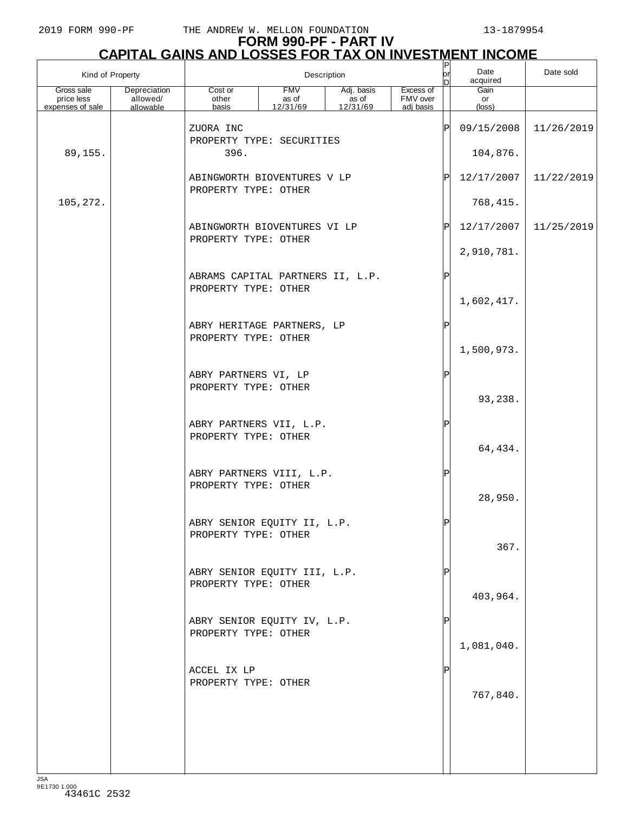|                                              | Kind of Property                      | Description                                              |                                                                                                          |  |            | $\mathsf{P}$<br>Date<br>lor<br>acquired<br>n |                      | Date sold  |
|----------------------------------------------|---------------------------------------|----------------------------------------------------------|----------------------------------------------------------------------------------------------------------|--|------------|----------------------------------------------|----------------------|------------|
| Gross sale<br>price less<br>expenses of sale | Depreciation<br>allowed/<br>allowable | Cost or<br>other<br>basis                                | <b>FMV</b><br>Excess of<br>Adj. basis<br>as of<br>FMV over<br>as of<br>12/31/69<br>12/31/69<br>adj basis |  |            |                                              | Gain<br>or<br>(loss) |            |
|                                              |                                       | ZUORA INC                                                |                                                                                                          |  |            | ΙP                                           | 09/15/2008           | 11/26/2019 |
| 89,155.                                      |                                       | PROPERTY TYPE: SECURITIES<br>396.                        |                                                                                                          |  |            |                                              | 104,876.             |            |
|                                              |                                       | ABINGWORTH BIOVENTURES V LP                              |                                                                                                          |  | 12/17/2007 | 11/22/2019                                   |                      |            |
| 105,272.                                     |                                       |                                                          | PROPERTY TYPE: OTHER                                                                                     |  |            |                                              |                      |            |
|                                              |                                       | ABINGWORTH BIOVENTURES VI LP<br>PROPERTY TYPE: OTHER     |                                                                                                          |  |            | P                                            | 12/17/2007           | 11/25/2019 |
|                                              |                                       |                                                          |                                                                                                          |  |            |                                              | 2,910,781.           |            |
|                                              |                                       | ABRAMS CAPITAL PARTNERS II, L.P.<br>PROPERTY TYPE: OTHER |                                                                                                          |  |            |                                              |                      |            |
|                                              |                                       |                                                          |                                                                                                          |  |            |                                              | 1,602,417.           |            |
|                                              |                                       | ABRY HERITAGE PARTNERS, LP<br>PROPERTY TYPE: OTHER       |                                                                                                          |  |            | ΙP                                           | 1,500,973.           |            |
|                                              |                                       | ABRY PARTNERS VI, LP                                     |                                                                                                          |  |            | ΙP                                           |                      |            |
|                                              |                                       | PROPERTY TYPE: OTHER                                     |                                                                                                          |  |            |                                              | 93,238.              |            |
|                                              |                                       | ABRY PARTNERS VII, L.P.<br>PROPERTY TYPE: OTHER          |                                                                                                          |  |            |                                              | 64,434.              |            |
|                                              |                                       | ABRY PARTNERS VIII, L.P.<br>PROPERTY TYPE: OTHER         |                                                                                                          |  |            |                                              | 28,950.              |            |
|                                              |                                       | ABRY SENIOR EQUITY II, L.P.<br>PROPERTY TYPE: OTHER      |                                                                                                          |  |            |                                              | 367.                 |            |
|                                              |                                       | ABRY SENIOR EQUITY III, L.P.<br>PROPERTY TYPE: OTHER     |                                                                                                          |  |            |                                              | 403,964.             |            |
|                                              |                                       | ABRY SENIOR EQUITY IV, L.P.<br>PROPERTY TYPE: OTHER      |                                                                                                          |  |            |                                              | 1,081,040.           |            |
|                                              |                                       | ACCEL IX LP<br>PROPERTY TYPE: OTHER                      |                                                                                                          |  |            |                                              | 767,840.             |            |
|                                              |                                       |                                                          |                                                                                                          |  |            |                                              |                      |            |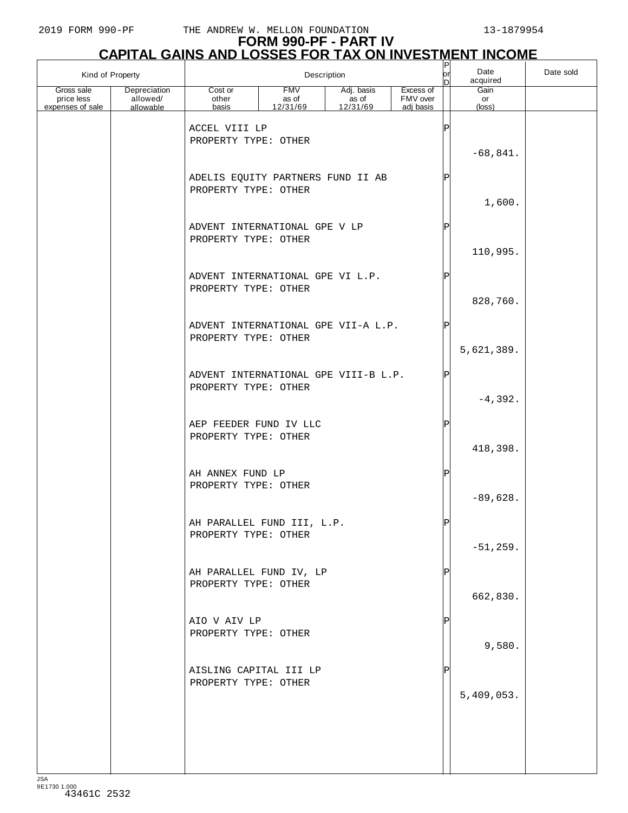| Kind of Property                             |                                       |                                                              | Description                     |                                               |                                    | P<br> or | Date<br>acquired     | Date sold |
|----------------------------------------------|---------------------------------------|--------------------------------------------------------------|---------------------------------|-----------------------------------------------|------------------------------------|----------|----------------------|-----------|
| Gross sale<br>price less<br>expenses of sale | Depreciation<br>allowed/<br>allowable | Cost or<br>other<br>basis                                    | <b>FMV</b><br>as of<br>12/31/69 | Adj. basis<br>$\overline{a}$ s of<br>12/31/69 | Excess of<br>FMV over<br>adj basis |          | Gain<br>or<br>(loss) |           |
|                                              |                                       | ACCEL VIII LP<br>PROPERTY TYPE: OTHER                        |                                 |                                               |                                    | ΙP       | $-68,841.$           |           |
|                                              |                                       | ADELIS EQUITY PARTNERS FUND II AB<br>PROPERTY TYPE: OTHER    |                                 |                                               |                                    | Þ        | 1,600.               |           |
|                                              |                                       | ADVENT INTERNATIONAL GPE V LP<br>PROPERTY TYPE: OTHER        |                                 |                                               |                                    | P        | 110,995.             |           |
|                                              |                                       | ADVENT INTERNATIONAL GPE VI L.P.<br>PROPERTY TYPE: OTHER     |                                 |                                               |                                    | Þ        | 828,760.             |           |
|                                              |                                       | ADVENT INTERNATIONAL GPE VII-A L.P.<br>PROPERTY TYPE: OTHER  |                                 |                                               |                                    | Þ        | 5,621,389.           |           |
|                                              |                                       | ADVENT INTERNATIONAL GPE VIII-B L.P.<br>PROPERTY TYPE: OTHER |                                 |                                               |                                    | ΙP       | $-4,392.$            |           |
|                                              |                                       | AEP FEEDER FUND IV LLC<br>PROPERTY TYPE: OTHER               |                                 |                                               |                                    | ΙP       | 418,398.             |           |
|                                              |                                       | AH ANNEX FUND LP<br>PROPERTY TYPE: OTHER                     |                                 |                                               |                                    | ΙP       | $-89,628.$           |           |
|                                              |                                       | AH PARALLEL FUND III, L.P.<br>PROPERTY TYPE: OTHER           |                                 |                                               |                                    | ldl      | $-51, 259.$          |           |
|                                              |                                       | AH PARALLEL FUND IV, LP<br>PROPERTY TYPE: OTHER              |                                 |                                               |                                    |          | 662,830.             |           |
|                                              |                                       | AIO V AIV LP<br>PROPERTY TYPE: OTHER                         |                                 |                                               |                                    |          | 9,580.               |           |
|                                              |                                       | AISLING CAPITAL III LP<br>PROPERTY TYPE: OTHER               |                                 |                                               |                                    |          | 5,409,053.           |           |
|                                              |                                       |                                                              |                                 |                                               |                                    |          |                      |           |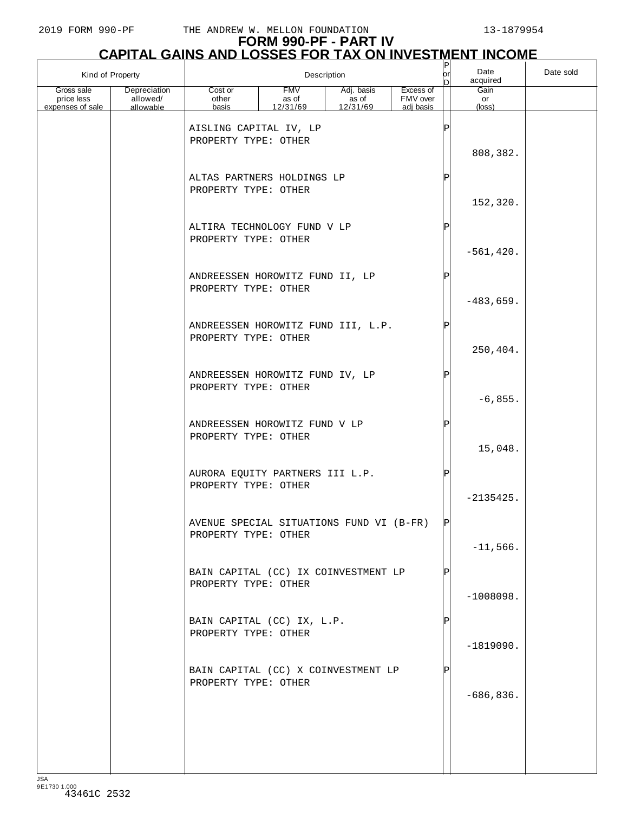|                                              | Kind of Property                      |                                                                                   |                                 | Description                     |                                    | P<br>or<br>n     | Date<br>acquired     | Date sold |
|----------------------------------------------|---------------------------------------|-----------------------------------------------------------------------------------|---------------------------------|---------------------------------|------------------------------------|------------------|----------------------|-----------|
| Gross sale<br>price less<br>expenses of sale | Depreciation<br>allowed/<br>allowable | Cost or<br>other<br>basis                                                         | <b>FMV</b><br>as of<br>12/31/69 | Adj. basis<br>as of<br>12/31/69 | Excess of<br>FMV over<br>adj basis |                  | Gain<br>or<br>(loss) |           |
|                                              |                                       | AISLING CAPITAL IV, LP<br>PROPERTY TYPE: OTHER                                    |                                 |                                 |                                    | Þ                | 808,382.             |           |
|                                              |                                       | ALTAS PARTNERS HOLDINGS LP<br>PROPERTY TYPE: OTHER<br>ALTIRA TECHNOLOGY FUND V LP |                                 |                                 |                                    | P<br>$\mathbf P$ | 152,320.             |           |
|                                              |                                       | PROPERTY TYPE: OTHER                                                              |                                 |                                 |                                    |                  | $-561, 420.$         |           |
|                                              |                                       | ANDREESSEN HOROWITZ FUND II, LP<br>PROPERTY TYPE: OTHER                           |                                 |                                 |                                    | Þ                | $-483,659.$          |           |
|                                              |                                       | ANDREESSEN HOROWITZ FUND III, L.P.<br>PROPERTY TYPE: OTHER                        |                                 |                                 |                                    |                  | 250,404.             |           |
|                                              |                                       | ANDREESSEN HOROWITZ FUND IV, LP<br>PROPERTY TYPE: OTHER                           |                                 |                                 |                                    | Þ                | $-6,855.$            |           |
|                                              |                                       | ANDREESSEN HOROWITZ FUND V LP<br>PROPERTY TYPE: OTHER                             |                                 |                                 |                                    | P                | 15,048.              |           |
|                                              |                                       | AURORA EQUITY PARTNERS III L.P.<br>PROPERTY TYPE: OTHER                           |                                 |                                 |                                    | P                | $-2135425.$          |           |
|                                              |                                       | AVENUE SPECIAL SITUATIONS FUND VI (B-FR)<br>PROPERTY TYPE: OTHER                  |                                 |                                 |                                    | ורו              | $-11,566.$           |           |
|                                              |                                       | BAIN CAPITAL (CC) IX COINVESTMENT LP<br>PROPERTY TYPE: OTHER                      |                                 |                                 |                                    |                  | $-1008098.$          |           |
|                                              |                                       | BAIN CAPITAL (CC) IX, L.P.<br>PROPERTY TYPE: OTHER                                |                                 |                                 |                                    |                  | $-1819090.$          |           |
|                                              |                                       | BAIN CAPITAL (CC) X COINVESTMENT LP<br>PROPERTY TYPE: OTHER                       |                                 |                                 |                                    |                  | $-686, 836.$         |           |
|                                              |                                       |                                                                                   |                                 |                                 |                                    |                  |                      |           |
|                                              |                                       |                                                                                   |                                 |                                 |                                    |                  |                      |           |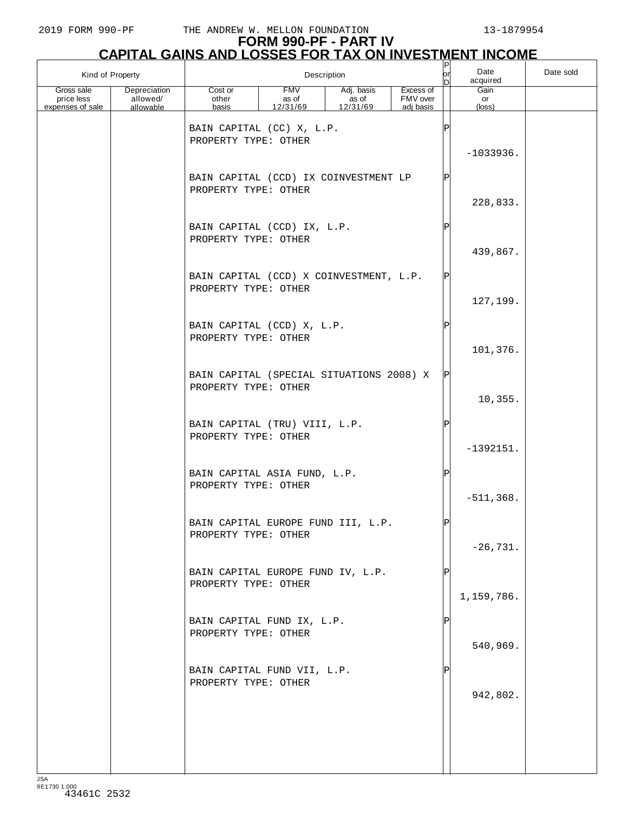| Kind of Property                             |                                       | Description                                                      |                                 |                                 |                                    | P<br> or <br>In | Date<br>acquired              | Date sold |
|----------------------------------------------|---------------------------------------|------------------------------------------------------------------|---------------------------------|---------------------------------|------------------------------------|-----------------|-------------------------------|-----------|
| Gross sale<br>price less<br>expenses of sale | Depreciation<br>allowed/<br>allowable | Cost or<br>other<br>basis                                        | <b>FMV</b><br>as of<br>12/31/69 | Adj. basis<br>as of<br>12/31/69 | Excess of<br>FMV over<br>adj basis |                 | Gain<br>or<br>$(\text{loss})$ |           |
|                                              |                                       | BAIN CAPITAL (CC) X, L.P.<br>PROPERTY TYPE: OTHER                |                                 |                                 |                                    | $_\mathrm{P}$   | $-1033936.$                   |           |
|                                              |                                       | BAIN CAPITAL (CCD) IX COINVESTMENT LP<br>PROPERTY TYPE: OTHER    |                                 |                                 |                                    | P               | 228,833.                      |           |
|                                              |                                       | BAIN CAPITAL (CCD) IX, L.P.<br>PROPERTY TYPE: OTHER              |                                 |                                 |                                    | P               | 439,867.                      |           |
|                                              |                                       | BAIN CAPITAL (CCD) X COINVESTMENT, L.P.<br>PROPERTY TYPE: OTHER  |                                 |                                 |                                    | ΙPΙ             | 127,199.                      |           |
|                                              |                                       | BAIN CAPITAL (CCD) X, L.P.<br>PROPERTY TYPE: OTHER               |                                 |                                 |                                    | P               | 101,376.                      |           |
|                                              |                                       | BAIN CAPITAL (SPECIAL SITUATIONS 2008) X<br>PROPERTY TYPE: OTHER |                                 |                                 |                                    | P               | 10,355.                       |           |
|                                              |                                       | BAIN CAPITAL (TRU) VIII, L.P.<br>PROPERTY TYPE: OTHER            |                                 |                                 |                                    | P               | $-1392151.$                   |           |
|                                              |                                       | BAIN CAPITAL ASIA FUND, L.P.<br>PROPERTY TYPE: OTHER             |                                 |                                 |                                    | ΙP              | $-511, 368.$                  |           |
|                                              |                                       | BAIN CAPITAL EUROPE FUND III, L.P.<br>PROPERTY TYPE: OTHER       |                                 |                                 |                                    | ldl             | $-26,731.$                    |           |
|                                              |                                       | BAIN CAPITAL EUROPE FUND IV, L.P.<br>PROPERTY TYPE: OTHER        |                                 |                                 |                                    | ΙP              | 1,159,786.                    |           |
|                                              |                                       | BAIN CAPITAL FUND IX, L.P.<br>PROPERTY TYPE: OTHER               |                                 |                                 |                                    | ΙP              | 540,969.                      |           |
|                                              |                                       | BAIN CAPITAL FUND VII, L.P.<br>PROPERTY TYPE: OTHER              |                                 |                                 |                                    | Ρ               | 942,802.                      |           |
|                                              |                                       |                                                                  |                                 |                                 |                                    |                 |                               |           |
|                                              |                                       |                                                                  |                                 |                                 |                                    |                 |                               |           |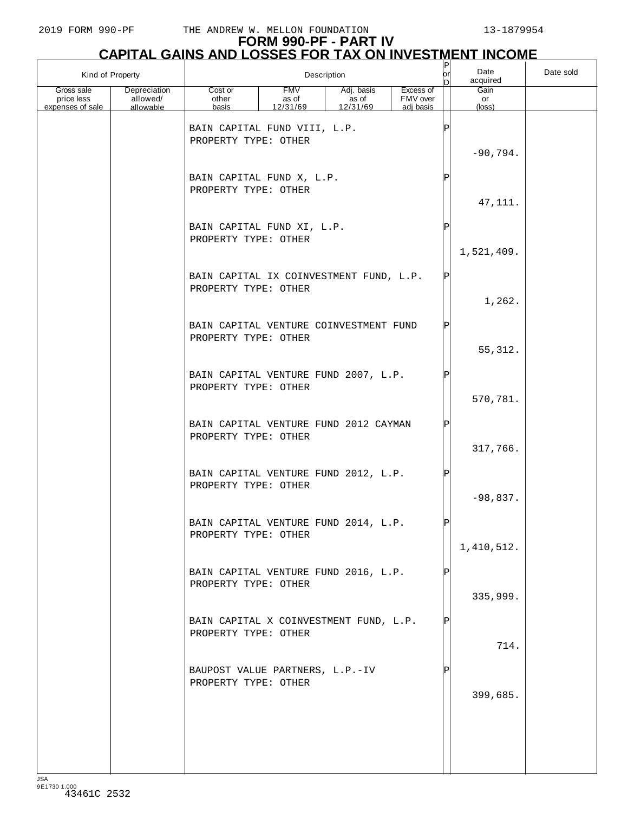|                          | Kind of Property         |                                                                 |                     | Description         |                       | P<br>or<br>D | Date<br>acquired | Date sold |
|--------------------------|--------------------------|-----------------------------------------------------------------|---------------------|---------------------|-----------------------|--------------|------------------|-----------|
| Gross sale<br>price less | Depreciation<br>allowed/ | Cost or<br>other                                                | <b>FMV</b><br>as of | Adj. basis<br>as of | Excess of<br>FMV over |              | Gain<br>or       |           |
| expenses of sale         | allowable                | basis<br>BAIN CAPITAL FUND VIII, L.P.<br>PROPERTY TYPE: OTHER   | 12/31/69            | 12/31/69            | adj basis             | $\mathsf P$  | $(\text{loss})$  |           |
|                          |                          | BAIN CAPITAL FUND X, L.P.<br>PROPERTY TYPE: OTHER               |                     |                     |                       | P            | $-90,794.$       |           |
|                          |                          |                                                                 |                     |                     |                       |              | 47, 111.         |           |
|                          |                          | BAIN CAPITAL FUND XI, L.P.<br>PROPERTY TYPE: OTHER              |                     |                     |                       | Ρ            | 1,521,409.       |           |
|                          |                          | BAIN CAPITAL IX COINVESTMENT FUND, L.P.<br>PROPERTY TYPE: OTHER |                     |                     |                       | ΙP           | 1,262.           |           |
|                          |                          | BAIN CAPITAL VENTURE COINVESTMENT FUND<br>PROPERTY TYPE: OTHER  |                     |                     |                       | ΙP           | 55, 312.         |           |
|                          |                          | BAIN CAPITAL VENTURE FUND 2007, L.P.<br>PROPERTY TYPE: OTHER    |                     |                     |                       | ΙP           | 570,781.         |           |
|                          |                          | BAIN CAPITAL VENTURE FUND 2012 CAYMAN<br>PROPERTY TYPE: OTHER   |                     |                     |                       | P            | 317,766.         |           |
|                          |                          | BAIN CAPITAL VENTURE FUND 2012, L.P.<br>PROPERTY TYPE: OTHER    |                     |                     |                       | ΙP           | $-98,837.$       |           |
|                          |                          | BAIN CAPITAL VENTURE FUND 2014, L.P.<br>PROPERTY TYPE: OTHER    |                     |                     |                       |              | 1,410,512.       |           |
|                          |                          | BAIN CAPITAL VENTURE FUND 2016, L.P.<br>PROPERTY TYPE: OTHER    |                     |                     |                       |              | 335,999.         |           |
|                          |                          | BAIN CAPITAL X COINVESTMENT FUND, L.P.<br>PROPERTY TYPE: OTHER  |                     |                     |                       | IP           | 714.             |           |
|                          |                          | BAUPOST VALUE PARTNERS, L.P.-IV<br>PROPERTY TYPE: OTHER         |                     |                     |                       |              | 399,685.         |           |
|                          |                          |                                                                 |                     |                     |                       |              |                  |           |
|                          |                          |                                                                 |                     |                     |                       |              |                  |           |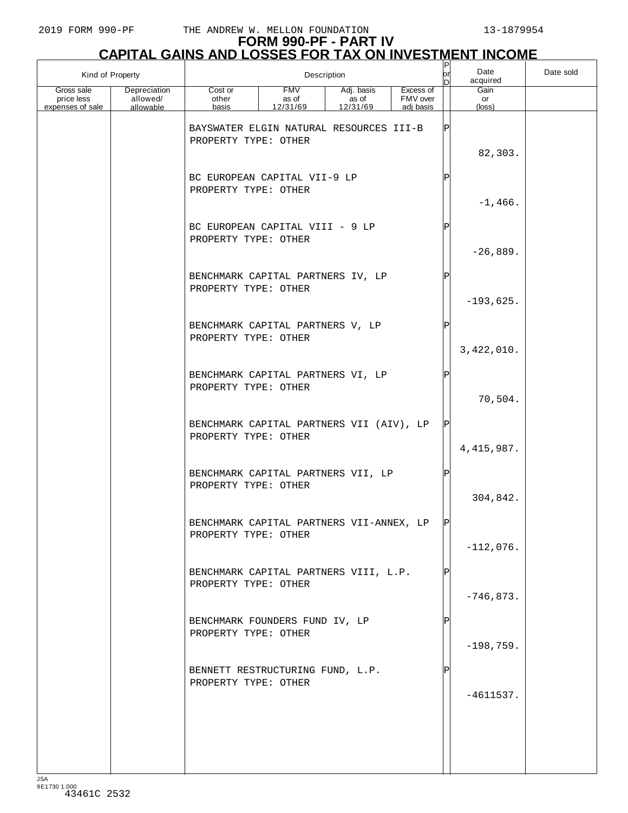# **FORM 990-PF - PART IV**

|                                              | <b>CAPITAL GAINS AND LOSSES FOR TAX ON INVESTMENT INCOME</b> |                                                                  |                                 |                                 |                                    |               |                      |           |  |  |  |
|----------------------------------------------|--------------------------------------------------------------|------------------------------------------------------------------|---------------------------------|---------------------------------|------------------------------------|---------------|----------------------|-----------|--|--|--|
| Kind of Property                             |                                                              |                                                                  |                                 | Description                     |                                    | юr<br>D       | Date<br>acquired     | Date sold |  |  |  |
| Gross sale<br>price less<br>expenses of sale | Depreciation<br>allowed/<br>allowable                        | Cost or<br>other<br>basis                                        | <b>FMV</b><br>as of<br>12/31/69 | Adj. basis<br>as of<br>12/31/69 | Excess of<br>FMV over<br>adj basis |               | Gain<br>or<br>(loss) |           |  |  |  |
|                                              |                                                              | BAYSWATER ELGIN NATURAL RESOURCES III-B<br>PROPERTY TYPE: OTHER  |                                 |                                 |                                    | $_\mathrm{P}$ | 82,303.              |           |  |  |  |
|                                              |                                                              | BC EUROPEAN CAPITAL VII-9 LP<br>PROPERTY TYPE: OTHER             |                                 |                                 |                                    | Ρ             | $-1,466.$            |           |  |  |  |
|                                              |                                                              | BC EUROPEAN CAPITAL VIII - 9 LP<br>PROPERTY TYPE: OTHER          |                                 |                                 |                                    | Ρ             | $-26,889.$           |           |  |  |  |
|                                              |                                                              | BENCHMARK CAPITAL PARTNERS IV, LP<br>PROPERTY TYPE: OTHER        |                                 |                                 |                                    | Ρ             | $-193,625.$          |           |  |  |  |
|                                              |                                                              | BENCHMARK CAPITAL PARTNERS V, LP<br>PROPERTY TYPE: OTHER         |                                 |                                 |                                    | ΙP            | 3,422,010.           |           |  |  |  |
|                                              |                                                              | BENCHMARK CAPITAL PARTNERS VI, LP<br>PROPERTY TYPE: OTHER        |                                 |                                 |                                    | Ρ             | 70,504.              |           |  |  |  |
|                                              |                                                              | BENCHMARK CAPITAL PARTNERS VII (AIV), LP<br>PROPERTY TYPE: OTHER |                                 |                                 |                                    | ΙP            | 4, 415, 987.         |           |  |  |  |
|                                              |                                                              | BENCHMARK CAPITAL PARTNERS VII, LP<br>PROPERTY TYPE: OTHER       |                                 |                                 |                                    | Ρ             | 304,842.             |           |  |  |  |
|                                              |                                                              | BENCHMARK CAPITAL PARTNERS VII-ANNEX, LP<br>PROPERTY TYPE: OTHER |                                 |                                 |                                    | ΙPΙ           | $-112,076.$          |           |  |  |  |
|                                              |                                                              | BENCHMARK CAPITAL PARTNERS VIII, L.P.<br>PROPERTY TYPE: OTHER    |                                 |                                 |                                    |               | $-746,873.$          |           |  |  |  |
|                                              |                                                              | BENCHMARK FOUNDERS FUND IV, LP<br>PROPERTY TYPE: OTHER           |                                 |                                 |                                    |               | $-198,759.$          |           |  |  |  |
|                                              |                                                              | BENNETT RESTRUCTURING FUND, L.P.<br>PROPERTY TYPE: OTHER         |                                 |                                 |                                    |               | $-4611537.$          |           |  |  |  |
|                                              |                                                              |                                                                  |                                 |                                 |                                    |               |                      |           |  |  |  |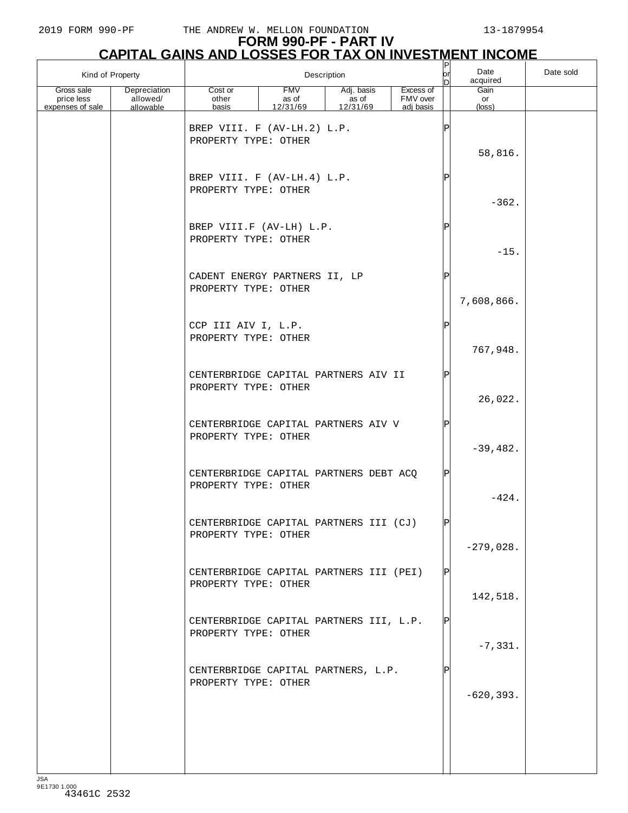|                                              | Kind of Property                      | Description                                                                        |                                 |                                 |                                    |        | Date<br>acquired              | Date sold |
|----------------------------------------------|---------------------------------------|------------------------------------------------------------------------------------|---------------------------------|---------------------------------|------------------------------------|--------|-------------------------------|-----------|
| Gross sale<br>price less<br>expenses of sale | Depreciation<br>allowed/<br>allowable | Cost or<br>other<br>basis                                                          | <b>FMV</b><br>as of<br>12/31/69 | Adj. basis<br>as of<br>12/31/69 | Excess of<br>FMV over<br>adj basis |        | Gain<br>or<br>$(\text{loss})$ |           |
|                                              |                                       | BREP VIII. F (AV-LH.2) L.P.<br>PROPERTY TYPE: OTHER<br>BREP VIII. F (AV-LH.4) L.P. |                                 |                                 |                                    | Ρ<br>P | 58,816.                       |           |
|                                              |                                       | PROPERTY TYPE: OTHER                                                               |                                 |                                 |                                    |        | $-362.$                       |           |
|                                              |                                       | BREP VIII.F (AV-LH) L.P.<br>PROPERTY TYPE: OTHER                                   |                                 |                                 |                                    | Ρ      | $-15.$                        |           |
|                                              |                                       | CADENT ENERGY PARTNERS II, LP<br>PROPERTY TYPE: OTHER                              |                                 |                                 |                                    | Ρ      | 7,608,866.                    |           |
|                                              |                                       | CCP III AIV I, L.P.<br>PROPERTY TYPE: OTHER                                        |                                 |                                 |                                    | Ρ      | 767,948.                      |           |
|                                              |                                       | CENTERBRIDGE CAPITAL PARTNERS AIV II<br>PROPERTY TYPE: OTHER                       |                                 |                                 |                                    | P      | 26,022.                       |           |
|                                              |                                       | CENTERBRIDGE CAPITAL PARTNERS AIV V<br>PROPERTY TYPE: OTHER                        |                                 |                                 |                                    | Ρ      | $-39,482.$                    |           |
|                                              |                                       | CENTERBRIDGE CAPITAL PARTNERS DEBT ACQ<br>PROPERTY TYPE: OTHER                     |                                 |                                 |                                    | Ρ      | $-424.$                       |           |
|                                              |                                       | CENTERBRIDGE CAPITAL PARTNERS III (CJ)<br>PROPERTY TYPE: OTHER                     |                                 |                                 |                                    |        | $-279,028.$                   |           |
|                                              |                                       | CENTERBRIDGE CAPITAL PARTNERS III (PEI)<br>PROPERTY TYPE: OTHER                    |                                 |                                 |                                    | ΙPΙ    | 142,518.                      |           |
|                                              |                                       | CENTERBRIDGE CAPITAL PARTNERS III, L.P.<br>PROPERTY TYPE: OTHER                    |                                 |                                 |                                    | ΙPΙ    | $-7,331.$                     |           |
|                                              |                                       | CENTERBRIDGE CAPITAL PARTNERS, L.P.<br>PROPERTY TYPE: OTHER                        |                                 |                                 |                                    |        | $-620, 393.$                  |           |
|                                              |                                       |                                                                                    |                                 |                                 |                                    |        |                               |           |
|                                              |                                       |                                                                                    |                                 |                                 |                                    |        |                               |           |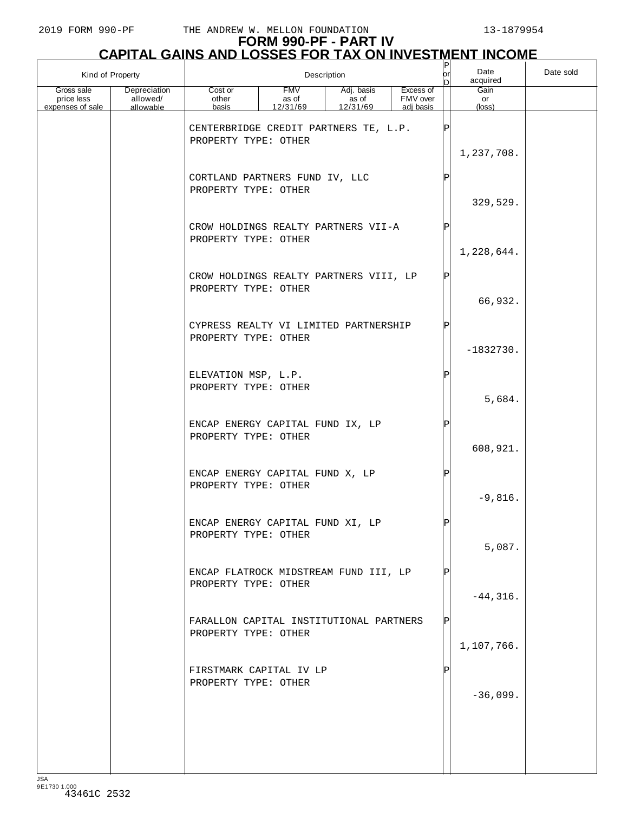| Kind of Property                             |                                       |                                                                 |                          | Description                     |                                    | or  | Date<br>acquired              | Date sold |
|----------------------------------------------|---------------------------------------|-----------------------------------------------------------------|--------------------------|---------------------------------|------------------------------------|-----|-------------------------------|-----------|
| Gross sale<br>price less<br>expenses of sale | Depreciation<br>allowed/<br>allowable | Cost or<br>other<br>basis                                       | FMV<br>as of<br>12/31/69 | Adj. basis<br>as of<br>12/31/69 | Excess of<br>FMV over<br>adj basis |     | Gain<br>or<br>$(\text{loss})$ |           |
|                                              |                                       | CENTERBRIDGE CREDIT PARTNERS TE, L.P.<br>PROPERTY TYPE: OTHER   |                          |                                 |                                    | IP  | 1,237,708.                    |           |
|                                              |                                       | CORTLAND PARTNERS FUND IV, LLC<br>PROPERTY TYPE: OTHER          |                          |                                 |                                    |     | 329,529.                      |           |
|                                              |                                       | CROW HOLDINGS REALTY PARTNERS VII-A<br>PROPERTY TYPE: OTHER     |                          |                                 |                                    | Þ   | 1,228,644.                    |           |
|                                              |                                       | CROW HOLDINGS REALTY PARTNERS VIII, LP<br>PROPERTY TYPE: OTHER  |                          |                                 |                                    | IPI | 66,932.                       |           |
|                                              |                                       | CYPRESS REALTY VI LIMITED PARTNERSHIP<br>PROPERTY TYPE: OTHER   |                          |                                 |                                    |     | $-1832730.$                   |           |
|                                              |                                       | ELEVATION MSP, L.P.<br>PROPERTY TYPE: OTHER                     |                          |                                 |                                    |     | 5,684.                        |           |
|                                              |                                       | ENCAP ENERGY CAPITAL FUND IX, LP<br>PROPERTY TYPE: OTHER        |                          |                                 |                                    | Þ   | 608,921.                      |           |
|                                              |                                       | ENCAP ENERGY CAPITAL FUND X, LP<br>PROPERTY TYPE: OTHER         |                          |                                 |                                    | IP  | $-9,816.$                     |           |
|                                              |                                       | ENCAP ENERGY CAPITAL FUND XI, LP<br>PROPERTY TYPE: OTHER        |                          |                                 |                                    | IÞI | 5,087.                        |           |
|                                              |                                       | ENCAP FLATROCK MIDSTREAM FUND III, LP<br>PROPERTY TYPE: OTHER   |                          |                                 |                                    |     | $-44, 316.$                   |           |
|                                              |                                       | FARALLON CAPITAL INSTITUTIONAL PARTNERS<br>PROPERTY TYPE: OTHER |                          |                                 |                                    | IP  | 1,107,766.                    |           |
|                                              |                                       | FIRSTMARK CAPITAL IV LP<br>PROPERTY TYPE: OTHER                 |                          |                                 |                                    |     | $-36,099.$                    |           |
|                                              |                                       |                                                                 |                          |                                 |                                    |     |                               |           |
|                                              |                                       |                                                                 |                          |                                 |                                    |     |                               |           |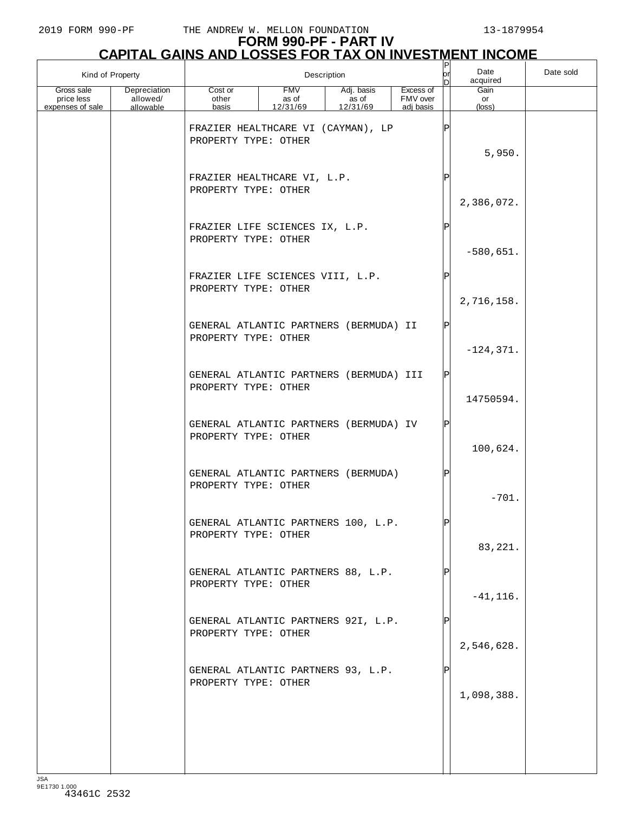## **FORM 990-PF - PART IV**

| <b>CAPITAL GAINS AND LOSSES FOR TAX ON INVESTMENT INCOME</b> |                                              |                                                                 |                                 |                                 |                                    |    |                               |           |  |
|--------------------------------------------------------------|----------------------------------------------|-----------------------------------------------------------------|---------------------------------|---------------------------------|------------------------------------|----|-------------------------------|-----------|--|
| Kind of Property                                             |                                              |                                                                 |                                 | Description                     |                                    | or | Date<br>acquired              | Date sold |  |
| Gross sale<br>price less<br>expenses of sale                 | <b>Depreciation</b><br>allowed/<br>allowable | Cost or<br>other<br>basis                                       | <b>FMV</b><br>as of<br>12/31/69 | Adj. basis<br>as of<br>12/31/69 | Excess of<br>FMV over<br>adj basis |    | Gain<br>or<br>$(\text{loss})$ |           |  |
|                                                              |                                              | FRAZIER HEALTHCARE VI (CAYMAN), LP<br>PROPERTY TYPE: OTHER      |                                 |                                 |                                    |    | 5,950.                        |           |  |
|                                                              |                                              | FRAZIER HEALTHCARE VI, L.P.<br>PROPERTY TYPE: OTHER             |                                 |                                 |                                    |    | 2,386,072.                    |           |  |
|                                                              |                                              | FRAZIER LIFE SCIENCES IX, L.P.<br>PROPERTY TYPE: OTHER          |                                 |                                 |                                    | Þ  | $-580,651.$                   |           |  |
|                                                              |                                              | FRAZIER LIFE SCIENCES VIII, L.P.<br>PROPERTY TYPE: OTHER        |                                 |                                 |                                    |    | 2,716,158.                    |           |  |
|                                                              |                                              | GENERAL ATLANTIC PARTNERS (BERMUDA) II<br>PROPERTY TYPE: OTHER  |                                 |                                 |                                    |    | $-124, 371.$                  |           |  |
|                                                              |                                              | GENERAL ATLANTIC PARTNERS (BERMUDA) III<br>PROPERTY TYPE: OTHER |                                 |                                 |                                    |    | 14750594.                     |           |  |
|                                                              |                                              | GENERAL ATLANTIC PARTNERS (BERMUDA) IV<br>PROPERTY TYPE: OTHER  |                                 |                                 |                                    |    | 100,624.                      |           |  |
|                                                              |                                              | GENERAL ATLANTIC PARTNERS (BERMUDA)<br>PROPERTY TYPE: OTHER     |                                 |                                 |                                    |    | $-701.$                       |           |  |
|                                                              |                                              | GENERAL ATLANTIC PARTNERS 100, L.P.<br>PROPERTY TYPE: OTHER     |                                 |                                 |                                    |    | 83,221.                       |           |  |
|                                                              |                                              | GENERAL ATLANTIC PARTNERS 88, L.P.<br>PROPERTY TYPE: OTHER      |                                 |                                 |                                    |    | $-41, 116.$                   |           |  |
|                                                              |                                              | GENERAL ATLANTIC PARTNERS 92I, L.P.<br>PROPERTY TYPE: OTHER     |                                 |                                 |                                    |    | 2,546,628.                    |           |  |
|                                                              |                                              | GENERAL ATLANTIC PARTNERS 93, L.P.<br>PROPERTY TYPE: OTHER      |                                 |                                 |                                    |    | 1,098,388.                    |           |  |
|                                                              |                                              |                                                                 |                                 |                                 |                                    |    |                               |           |  |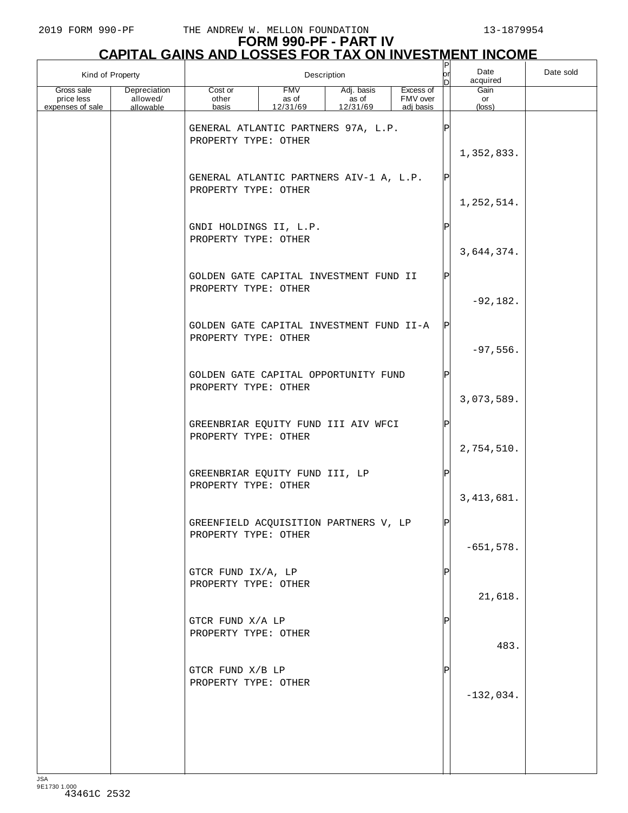# **FORM 990-PF - PART IV**

|                                              | <b>CAPITAL GAINS AND LOSSES FOR TAX ON INVESTMENT INCOME</b> |                                                                  |                                 |                                 |                                    |    |                      |           |  |  |  |
|----------------------------------------------|--------------------------------------------------------------|------------------------------------------------------------------|---------------------------------|---------------------------------|------------------------------------|----|----------------------|-----------|--|--|--|
| Kind of Property                             |                                                              |                                                                  |                                 | Description                     |                                    | or | Date<br>acquired     | Date sold |  |  |  |
| Gross sale<br>price less<br>expenses of sale | Depreciation<br>allowed/<br>allowable                        | Cost or<br>other<br>basis                                        | <b>FMV</b><br>as of<br>12/31/69 | Adj. basis<br>as of<br>12/31/69 | Excess of<br>FMV over<br>adj basis |    | Gain<br>or<br>(loss) |           |  |  |  |
|                                              |                                                              | GENERAL ATLANTIC PARTNERS 97A, L.P.<br>PROPERTY TYPE: OTHER      |                                 |                                 |                                    |    | 1,352,833.           |           |  |  |  |
|                                              |                                                              | GENERAL ATLANTIC PARTNERS AIV-1 A, L.P.<br>PROPERTY TYPE: OTHER  |                                 |                                 |                                    |    | 1,252,514.           |           |  |  |  |
|                                              |                                                              | GNDI HOLDINGS II, L.P.<br>PROPERTY TYPE: OTHER                   |                                 |                                 |                                    |    | 3,644,374.           |           |  |  |  |
|                                              |                                                              | GOLDEN GATE CAPITAL INVESTMENT FUND II<br>PROPERTY TYPE: OTHER   |                                 |                                 |                                    |    | $-92,182.$           |           |  |  |  |
|                                              |                                                              | GOLDEN GATE CAPITAL INVESTMENT FUND II-A<br>PROPERTY TYPE: OTHER |                                 |                                 |                                    |    | $-97,556.$           |           |  |  |  |
|                                              |                                                              | GOLDEN GATE CAPITAL OPPORTUNITY FUND<br>PROPERTY TYPE: OTHER     |                                 |                                 |                                    |    | 3,073,589.           |           |  |  |  |
|                                              |                                                              | GREENBRIAR EQUITY FUND III AIV WFCI<br>PROPERTY TYPE: OTHER      |                                 |                                 |                                    |    | 2,754,510.           |           |  |  |  |
|                                              |                                                              | GREENBRIAR EQUITY FUND III, LP<br>PROPERTY TYPE: OTHER           |                                 |                                 |                                    |    | 3, 413, 681.         |           |  |  |  |
|                                              |                                                              | GREENFIELD ACQUISITION PARTNERS V, LP<br>PROPERTY TYPE: OTHER    |                                 |                                 |                                    |    | $-651,578.$          |           |  |  |  |
|                                              |                                                              | GTCR FUND IX/A, LP<br>PROPERTY TYPE: OTHER                       |                                 |                                 |                                    |    | 21,618.              |           |  |  |  |
|                                              |                                                              | GTCR FUND X/A LP<br>PROPERTY TYPE: OTHER                         |                                 |                                 |                                    |    | 483.                 |           |  |  |  |
|                                              |                                                              | GTCR FUND X/B LP<br>PROPERTY TYPE: OTHER                         |                                 |                                 |                                    |    | $-132,034.$          |           |  |  |  |
|                                              |                                                              |                                                                  |                                 |                                 |                                    |    |                      |           |  |  |  |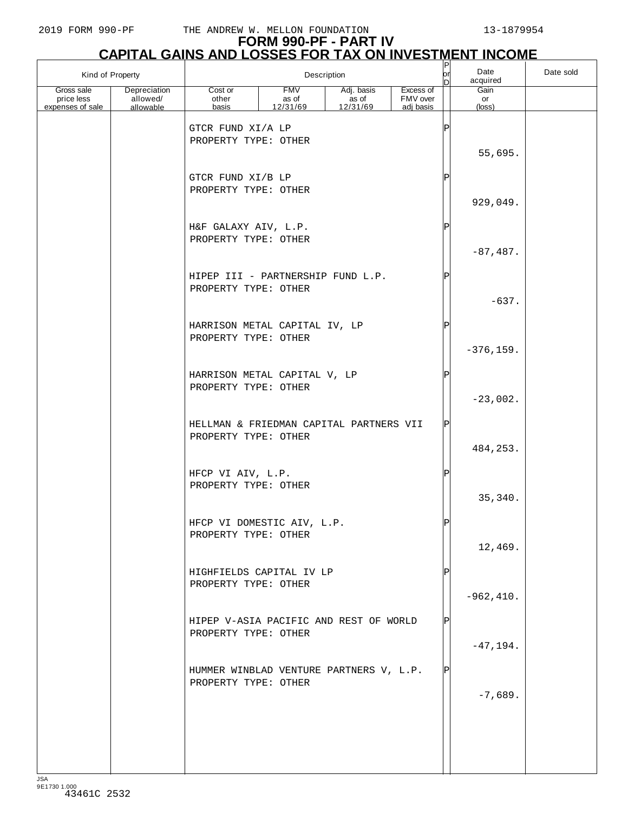| Kind of Property                             |                                       |                                                                 |                                 | Description                     |                                    | $ \mathsf{P} $<br>Date<br>or<br>acquired<br>In |                      | Date sold |
|----------------------------------------------|---------------------------------------|-----------------------------------------------------------------|---------------------------------|---------------------------------|------------------------------------|------------------------------------------------|----------------------|-----------|
| Gross sale<br>price less<br>expenses of sale | Depreciation<br>allowed/<br>allowable | Cost or<br>other<br>basis                                       | <b>FMV</b><br>as of<br>12/31/69 | Adj. basis<br>as of<br>12/31/69 | Excess of<br>FMV over<br>adj basis |                                                | Gain<br>or<br>(loss) |           |
|                                              |                                       | GTCR FUND XI/A LP<br>PROPERTY TYPE: OTHER                       |                                 |                                 |                                    | Ρ                                              | 55,695.              |           |
|                                              |                                       | GTCR FUND XI/B LP<br>PROPERTY TYPE: OTHER                       |                                 |                                 |                                    | Ρ                                              | 929,049.             |           |
|                                              |                                       | H&F GALAXY AIV, L.P.<br>PROPERTY TYPE: OTHER                    |                                 |                                 |                                    | Ρ                                              | $-87,487.$           |           |
|                                              |                                       | HIPEP III - PARTNERSHIP FUND L.P.<br>PROPERTY TYPE: OTHER       |                                 |                                 |                                    | Ρ                                              | $-637.$              |           |
|                                              |                                       | HARRISON METAL CAPITAL IV, LP<br>PROPERTY TYPE: OTHER           |                                 |                                 |                                    | Ρ                                              | $-376, 159.$         |           |
|                                              |                                       | HARRISON METAL CAPITAL V, LP<br>PROPERTY TYPE: OTHER            |                                 |                                 |                                    | Ρ                                              | $-23,002.$           |           |
|                                              |                                       | HELLMAN & FRIEDMAN CAPITAL PARTNERS VII<br>PROPERTY TYPE: OTHER |                                 |                                 |                                    | P                                              | 484,253.             |           |
|                                              |                                       | HFCP VI AIV, L.P.<br>PROPERTY TYPE: OTHER                       |                                 |                                 |                                    | Ρ                                              | 35, 340.             |           |
|                                              |                                       | HFCP VI DOMESTIC AIV, L.P.<br>PROPERTY TYPE: OTHER              |                                 |                                 |                                    |                                                | 12,469.              |           |
|                                              |                                       | HIGHFIELDS CAPITAL IV LP<br>PROPERTY TYPE: OTHER                |                                 |                                 |                                    |                                                | $-962, 410.$         |           |
|                                              |                                       | HIPEP V-ASIA PACIFIC AND REST OF WORLD<br>PROPERTY TYPE: OTHER  |                                 |                                 |                                    | ΙP                                             | $-47, 194.$          |           |
|                                              |                                       | HUMMER WINBLAD VENTURE PARTNERS V, L.P.<br>PROPERTY TYPE: OTHER |                                 |                                 |                                    | ΙPΙ                                            | $-7,689.$            |           |
|                                              |                                       |                                                                 |                                 |                                 |                                    |                                                |                      |           |
|                                              |                                       |                                                                 |                                 |                                 |                                    |                                                |                      |           |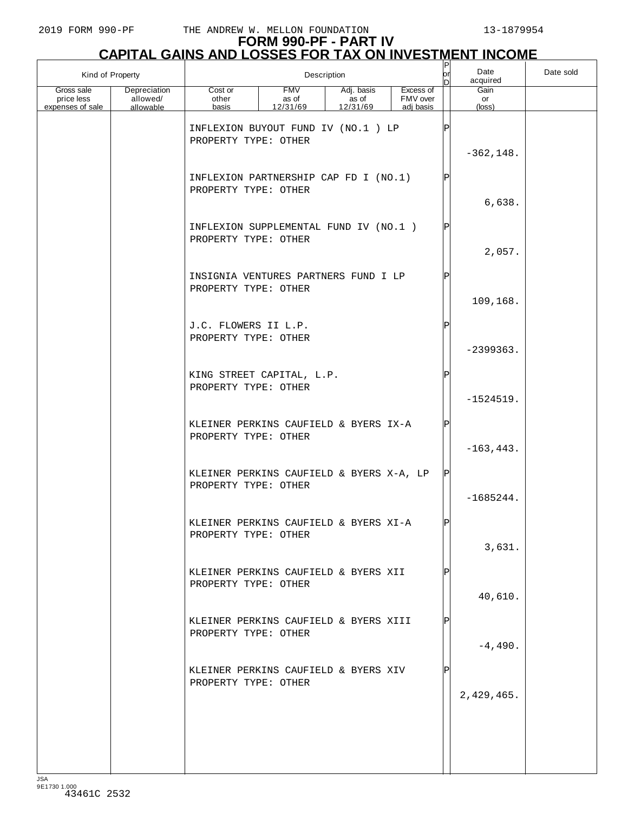|                                              | Kind of Property                      |                                                                                                     |                                 | Description                     |                                    | $ \mathsf{P} $<br> or<br>In | Date<br>acquired     | Date sold |
|----------------------------------------------|---------------------------------------|-----------------------------------------------------------------------------------------------------|---------------------------------|---------------------------------|------------------------------------|-----------------------------|----------------------|-----------|
| Gross sale<br>price less<br>expenses of sale | Depreciation<br>allowed/<br>allowable | Cost or<br>other<br>basis                                                                           | <b>FMV</b><br>as of<br>12/31/69 | Adj. basis<br>as of<br>12/31/69 | Excess of<br>FMV over<br>adj basis |                             | Gain<br>or<br>(loss) |           |
|                                              |                                       | INFLEXION BUYOUT FUND IV (NO.1) LP<br>PROPERTY TYPE: OTHER<br>INFLEXION PARTNERSHIP CAP FD I (NO.1) |                                 |                                 |                                    | Þ<br>Þ                      | $-362, 148.$         |           |
|                                              |                                       | PROPERTY TYPE: OTHER                                                                                |                                 |                                 |                                    |                             | 6,638.               |           |
|                                              |                                       | INFLEXION SUPPLEMENTAL FUND IV (NO.1)<br>PROPERTY TYPE: OTHER                                       |                                 |                                 |                                    | ΙP                          | 2,057.               |           |
|                                              |                                       | INSIGNIA VENTURES PARTNERS FUND I LP<br>PROPERTY TYPE: OTHER                                        |                                 |                                 |                                    | Þ                           | 109,168.             |           |
|                                              |                                       | J.C. FLOWERS II L.P.<br>PROPERTY TYPE: OTHER                                                        |                                 |                                 |                                    | P                           | $-2399363.$          |           |
|                                              |                                       | KING STREET CAPITAL, L.P.<br>PROPERTY TYPE: OTHER                                                   |                                 |                                 |                                    | P                           | $-1524519.$          |           |
|                                              |                                       | KLEINER PERKINS CAUFIELD & BYERS IX-A<br>PROPERTY TYPE: OTHER                                       |                                 |                                 |                                    |                             | $-163, 443.$         |           |
|                                              |                                       | KLEINER PERKINS CAUFIELD & BYERS X-A, LP<br>PROPERTY TYPE: OTHER                                    |                                 |                                 |                                    |                             | $-1685244.$          |           |
|                                              |                                       | KLEINER PERKINS CAUFIELD & BYERS XI-A<br>PROPERTY TYPE: OTHER                                       |                                 |                                 |                                    |                             | 3,631.               |           |
|                                              |                                       | KLEINER PERKINS CAUFIELD & BYERS XII<br>PROPERTY TYPE: OTHER                                        |                                 |                                 |                                    |                             | 40,610.              |           |
|                                              |                                       | KLEINER PERKINS CAUFIELD & BYERS XIII<br>PROPERTY TYPE: OTHER                                       |                                 |                                 |                                    |                             | $-4,490.$            |           |
|                                              |                                       | KLEINER PERKINS CAUFIELD & BYERS XIV<br>PROPERTY TYPE: OTHER                                        |                                 |                                 |                                    |                             | 2,429,465.           |           |
|                                              |                                       |                                                                                                     |                                 |                                 |                                    |                             |                      |           |
|                                              |                                       |                                                                                                     |                                 |                                 |                                    |                             |                      |           |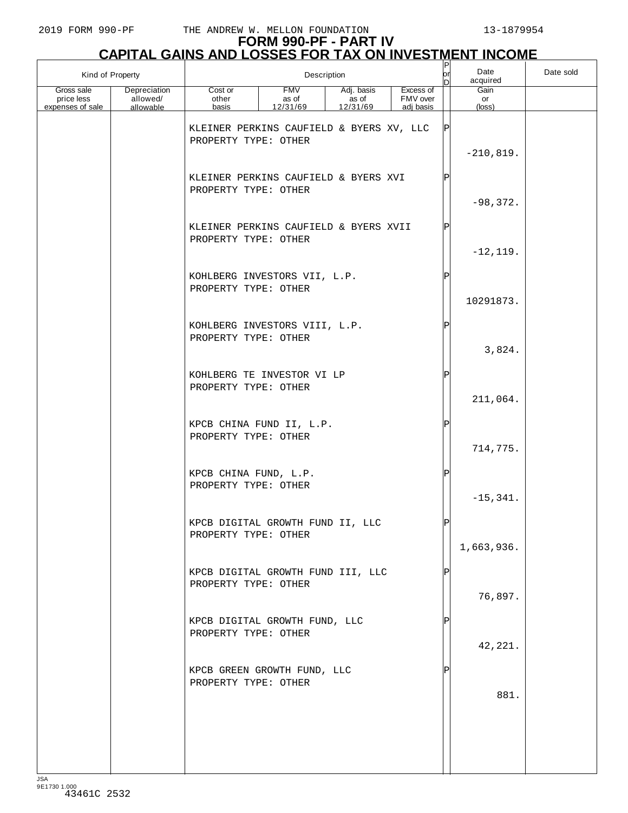| Kind of Property                             |                                       |                                                                  |                          | Description                     |                                    | or<br>In | Date<br>acquired     | Date sold |
|----------------------------------------------|---------------------------------------|------------------------------------------------------------------|--------------------------|---------------------------------|------------------------------------|----------|----------------------|-----------|
| Gross sale<br>price less<br>expenses of sale | Depreciation<br>allowed/<br>allowable | Cost or<br>other<br>basis                                        | FMV<br>as of<br>12/31/69 | Adj. basis<br>as of<br>12/31/69 | Excess of<br>FMV over<br>adj basis |          | Gain<br>or<br>(loss) |           |
|                                              |                                       | KLEINER PERKINS CAUFIELD & BYERS XV, LLC<br>PROPERTY TYPE: OTHER |                          |                                 |                                    |          | $-210,819.$          |           |
|                                              |                                       | KLEINER PERKINS CAUFIELD & BYERS XVI<br>PROPERTY TYPE: OTHER     |                          |                                 |                                    | IÞ       | $-98,372.$           |           |
|                                              |                                       | KLEINER PERKINS CAUFIELD & BYERS XVII<br>PROPERTY TYPE: OTHER    |                          |                                 |                                    | ΙPΙ      | $-12, 119.$          |           |
|                                              |                                       | KOHLBERG INVESTORS VII, L.P.<br>PROPERTY TYPE: OTHER             |                          |                                 |                                    | ΙP       | 10291873.            |           |
|                                              |                                       | KOHLBERG INVESTORS VIII, L.P.<br>PROPERTY TYPE: OTHER            |                          |                                 |                                    | ΙP       | 3,824.               |           |
|                                              |                                       | KOHLBERG TE INVESTOR VI LP<br>PROPERTY TYPE: OTHER               |                          |                                 |                                    | ΙP       | 211,064.             |           |
|                                              |                                       | KPCB CHINA FUND II, L.P.<br>PROPERTY TYPE: OTHER                 |                          |                                 |                                    | ΙP       | 714,775.             |           |
|                                              |                                       | KPCB CHINA FUND, L.P.<br>PROPERTY TYPE: OTHER                    |                          |                                 |                                    | ΙP       | $-15, 341.$          |           |
|                                              |                                       | KPCB DIGITAL GROWTH FUND II, LLC<br>PROPERTY TYPE: OTHER         |                          |                                 |                                    | lÞl      | 1,663,936.           |           |
|                                              |                                       | KPCB DIGITAL GROWTH FUND III, LLC<br>PROPERTY TYPE: OTHER        |                          |                                 |                                    |          | 76,897.              |           |
|                                              |                                       | KPCB DIGITAL GROWTH FUND, LLC<br>PROPERTY TYPE: OTHER            |                          |                                 |                                    | IP       | 42,221.              |           |
|                                              |                                       | KPCB GREEN GROWTH FUND, LLC<br>PROPERTY TYPE: OTHER              |                          |                                 |                                    |          | 881.                 |           |
|                                              |                                       |                                                                  |                          |                                 |                                    |          |                      |           |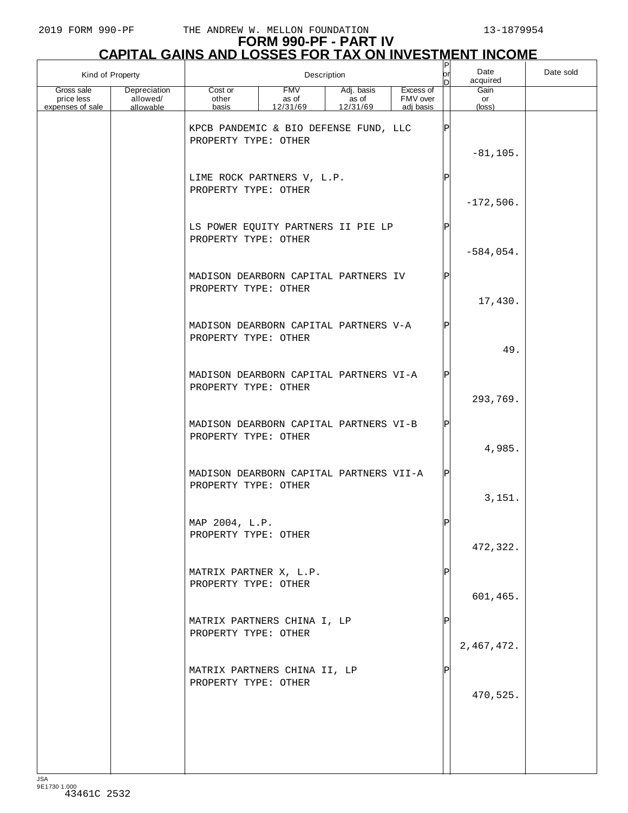| Kind of Property                             |                                       |                                                                 |                                 | Description                     |                                    | P<br> or | Date<br>acquired              | Date sold |
|----------------------------------------------|---------------------------------------|-----------------------------------------------------------------|---------------------------------|---------------------------------|------------------------------------|----------|-------------------------------|-----------|
| Gross sale<br>price less<br>expenses of sale | Depreciation<br>allowed/<br>allowable | Cost or<br>other<br>basis                                       | <b>FMV</b><br>as of<br>12/31/69 | Adj. basis<br>as of<br>12/31/69 | Excess of<br>FMV over<br>adj basis |          | Gain<br>or<br>$(\text{loss})$ |           |
|                                              |                                       | KPCB PANDEMIC & BIO DEFENSE FUND, LLC<br>PROPERTY TYPE: OTHER   |                                 |                                 |                                    | ΙP       | $-81, 105.$                   |           |
|                                              |                                       | LIME ROCK PARTNERS V, L.P.<br>PROPERTY TYPE: OTHER              |                                 |                                 |                                    | ΙP       | $-172,506.$                   |           |
|                                              |                                       | LS POWER EQUITY PARTNERS II PIE LP<br>PROPERTY TYPE: OTHER      |                                 |                                 |                                    | סו       | $-584,054.$                   |           |
|                                              |                                       | MADISON DEARBORN CAPITAL PARTNERS IV<br>PROPERTY TYPE: OTHER    |                                 |                                 |                                    | Þ        | 17,430.                       |           |
|                                              |                                       | MADISON DEARBORN CAPITAL PARTNERS V-A<br>PROPERTY TYPE: OTHER   |                                 |                                 |                                    |          | 49.                           |           |
|                                              |                                       | MADISON DEARBORN CAPITAL PARTNERS VI-A<br>PROPERTY TYPE: OTHER  |                                 |                                 |                                    |          | 293,769.                      |           |
|                                              |                                       | MADISON DEARBORN CAPITAL PARTNERS VI-B<br>PROPERTY TYPE: OTHER  |                                 |                                 |                                    |          | 4,985.                        |           |
|                                              |                                       | MADISON DEARBORN CAPITAL PARTNERS VII-A<br>PROPERTY TYPE: OTHER |                                 |                                 |                                    |          | 3,151.                        |           |
|                                              |                                       | MAP 2004, L.P.<br>PROPERTY TYPE: OTHER                          |                                 |                                 |                                    | Þl       | 472,322.                      |           |
|                                              |                                       | MATRIX PARTNER X, L.P.<br>PROPERTY TYPE: OTHER                  |                                 |                                 |                                    |          | 601,465.                      |           |
|                                              |                                       | MATRIX PARTNERS CHINA I, LP<br>PROPERTY TYPE: OTHER             |                                 |                                 |                                    |          | 2,467,472.                    |           |
|                                              |                                       | MATRIX PARTNERS CHINA II, LP<br>PROPERTY TYPE: OTHER            |                                 |                                 |                                    |          | 470,525.                      |           |
|                                              |                                       |                                                                 |                                 |                                 |                                    |          |                               |           |
|                                              |                                       |                                                                 |                                 |                                 |                                    |          |                               |           |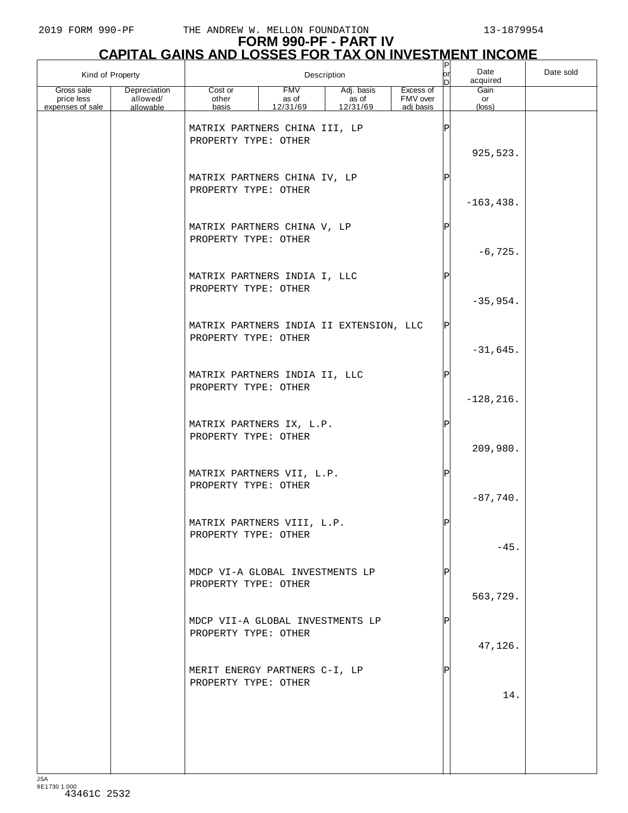# **FORM 990-PF - PART IV**

|                                              | <b>CAPITAL GAINS AND LOSSES FOR TAX ON INVESTMENT INCOME</b> |                                                                 |                                 |                                 |                                    |          |                      |           |  |  |  |
|----------------------------------------------|--------------------------------------------------------------|-----------------------------------------------------------------|---------------------------------|---------------------------------|------------------------------------|----------|----------------------|-----------|--|--|--|
| Kind of Property                             |                                                              |                                                                 |                                 | Description                     |                                    | orl<br>D | Date<br>acquired     | Date sold |  |  |  |
| Gross sale<br>price less<br>expenses of sale | Depreciation<br>allowed/<br>allowable                        | Cost or<br>other<br>basis                                       | <b>FMV</b><br>as of<br>12/31/69 | Adj. basis<br>as of<br>12/31/69 | Excess of<br>FMV over<br>adj basis |          | Gain<br>or<br>(loss) |           |  |  |  |
|                                              |                                                              | MATRIX PARTNERS CHINA III, LP<br>PROPERTY TYPE: OTHER           |                                 |                                 |                                    |          | 925,523.             |           |  |  |  |
|                                              |                                                              | MATRIX PARTNERS CHINA IV, LP<br>PROPERTY TYPE: OTHER            |                                 |                                 |                                    |          | $-163, 438.$         |           |  |  |  |
|                                              |                                                              | MATRIX PARTNERS CHINA V, LP<br>PROPERTY TYPE: OTHER             |                                 |                                 |                                    |          | $-6, 725.$           |           |  |  |  |
|                                              |                                                              | MATRIX PARTNERS INDIA I, LLC<br>PROPERTY TYPE: OTHER            |                                 |                                 |                                    |          | $-35,954.$           |           |  |  |  |
|                                              |                                                              | MATRIX PARTNERS INDIA II EXTENSION, LLC<br>PROPERTY TYPE: OTHER |                                 |                                 |                                    | P        | $-31,645.$           |           |  |  |  |
|                                              |                                                              | MATRIX PARTNERS INDIA II, LLC<br>PROPERTY TYPE: OTHER           |                                 |                                 |                                    |          | $-128, 216.$         |           |  |  |  |
|                                              |                                                              | MATRIX PARTNERS IX, L.P.<br>PROPERTY TYPE: OTHER                |                                 |                                 |                                    |          | 209,980.             |           |  |  |  |
|                                              |                                                              | MATRIX PARTNERS VII, L.P.<br>PROPERTY TYPE: OTHER               |                                 |                                 |                                    | ΙP       | $-87,740.$           |           |  |  |  |
|                                              |                                                              | MATRIX PARTNERS VIII, L.P.<br>PROPERTY TYPE: OTHER              |                                 |                                 |                                    |          | $-45.$               |           |  |  |  |
|                                              |                                                              | MDCP VI-A GLOBAL INVESTMENTS LP<br>PROPERTY TYPE: OTHER         |                                 |                                 |                                    |          | 563,729.             |           |  |  |  |
|                                              |                                                              | MDCP VII-A GLOBAL INVESTMENTS LP<br>PROPERTY TYPE: OTHER        |                                 |                                 |                                    |          | 47,126.              |           |  |  |  |
|                                              |                                                              | MERIT ENERGY PARTNERS C-I, LP<br>PROPERTY TYPE: OTHER           |                                 |                                 |                                    |          | 14.                  |           |  |  |  |
|                                              |                                                              |                                                                 |                                 |                                 |                                    |          |                      |           |  |  |  |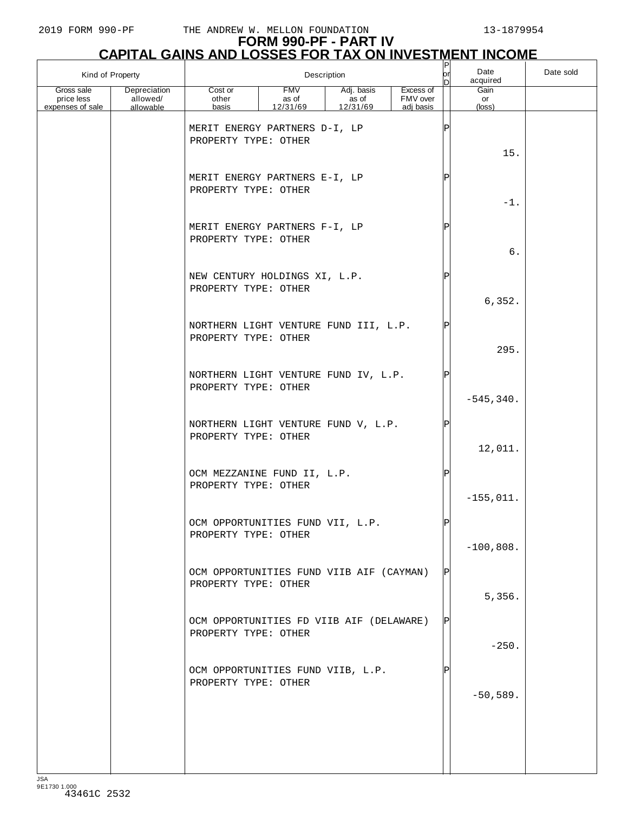### **FORM 990-PF - PART IV**

|                                              | <b>CAPITAL GAINS AND LOSSES FOR TAX ON INVESTMENT INCOME</b> |                                                                  |                                 |                                 |                                    |             |                      |           |  |  |  |
|----------------------------------------------|--------------------------------------------------------------|------------------------------------------------------------------|---------------------------------|---------------------------------|------------------------------------|-------------|----------------------|-----------|--|--|--|
| Kind of Property                             |                                                              |                                                                  |                                 | Description                     |                                    | lor<br>n    | Date<br>acquired     | Date sold |  |  |  |
| Gross sale<br>price less<br>expenses of sale | Depreciation<br>allowed/<br>allowable                        | Cost or<br>other<br>basis                                        | <b>FMV</b><br>as of<br>12/31/69 | Adj. basis<br>as of<br>12/31/69 | Excess of<br>FMV over<br>adj basis |             | Gain<br>or<br>(loss) |           |  |  |  |
|                                              |                                                              | MERIT ENERGY PARTNERS D-I, LP<br>PROPERTY TYPE: OTHER            |                                 |                                 |                                    | $\mathbf P$ | 15.                  |           |  |  |  |
|                                              |                                                              | MERIT ENERGY PARTNERS E-I, LP<br>PROPERTY TYPE: OTHER            |                                 |                                 |                                    | Þ           | $-1$ .               |           |  |  |  |
|                                              |                                                              | MERIT ENERGY PARTNERS F-I, LP<br>PROPERTY TYPE: OTHER            |                                 |                                 |                                    | Þ           | 6.                   |           |  |  |  |
|                                              |                                                              | NEW CENTURY HOLDINGS XI, L.P.<br>PROPERTY TYPE: OTHER            |                                 |                                 |                                    | Þ           | 6,352.               |           |  |  |  |
|                                              |                                                              | NORTHERN LIGHT VENTURE FUND III, L.P.<br>PROPERTY TYPE: OTHER    |                                 |                                 |                                    | Þ           | 295.                 |           |  |  |  |
|                                              |                                                              | NORTHERN LIGHT VENTURE FUND IV, L.P.<br>PROPERTY TYPE: OTHER     |                                 |                                 |                                    |             | $-545, 340.$         |           |  |  |  |
|                                              |                                                              | NORTHERN LIGHT VENTURE FUND V, L.P.<br>PROPERTY TYPE: OTHER      |                                 |                                 |                                    |             | 12,011.              |           |  |  |  |
|                                              |                                                              | OCM MEZZANINE FUND II, L.P.<br>PROPERTY TYPE: OTHER              |                                 |                                 |                                    | $\mathbf P$ | $-155,011.$          |           |  |  |  |
|                                              |                                                              | OCM OPPORTUNITIES FUND VII, L.P.<br>PROPERTY TYPE: OTHER         |                                 |                                 |                                    |             | $-100,808.$          |           |  |  |  |
|                                              |                                                              | OCM OPPORTUNITIES FUND VIIB AIF (CAYMAN)<br>PROPERTY TYPE: OTHER |                                 |                                 |                                    |             | 5,356.               |           |  |  |  |
|                                              |                                                              | OCM OPPORTUNITIES FD VIIB AIF (DELAWARE)<br>PROPERTY TYPE: OTHER |                                 |                                 |                                    |             | $-250.$              |           |  |  |  |
|                                              |                                                              | OCM OPPORTUNITIES FUND VIIB, L.P.<br>PROPERTY TYPE: OTHER        |                                 |                                 |                                    |             | $-50,589.$           |           |  |  |  |
|                                              |                                                              |                                                                  |                                 |                                 |                                    |             |                      |           |  |  |  |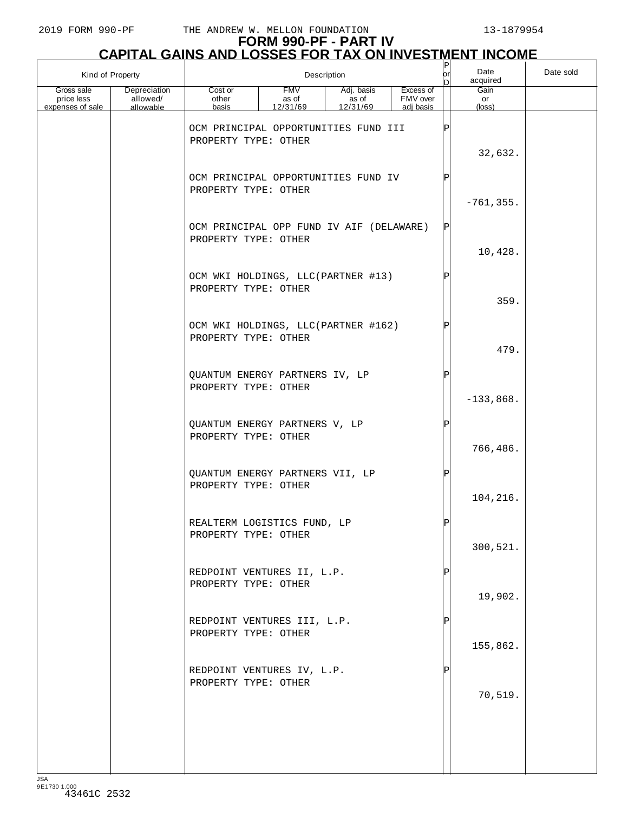| Kind of Property<br>Description              |                                       |                           |                                          | $ \mathsf{P} $<br> or<br>n      | Date<br>acquired                   | Date sold |                      |  |
|----------------------------------------------|---------------------------------------|---------------------------|------------------------------------------|---------------------------------|------------------------------------|-----------|----------------------|--|
| Gross sale<br>price less<br>expenses of sale | Depreciation<br>allowed/<br>allowable | Cost or<br>other<br>basis | <b>FMV</b><br>as of<br>12/31/69          | Adj. basis<br>as of<br>12/31/69 | Excess of<br>FMV over<br>adj basis |           | Gain<br>or<br>(loss) |  |
|                                              |                                       | PROPERTY TYPE: OTHER      | OCM PRINCIPAL OPPORTUNITIES FUND III     |                                 |                                    |           | 32,632.              |  |
|                                              |                                       | PROPERTY TYPE: OTHER      | OCM PRINCIPAL OPPORTUNITIES FUND IV      |                                 |                                    |           | $-761, 355.$         |  |
|                                              |                                       | PROPERTY TYPE: OTHER      | OCM PRINCIPAL OPP FUND IV AIF (DELAWARE) |                                 |                                    | ΙPΙ       |                      |  |
|                                              |                                       | PROPERTY TYPE: OTHER      | OCM WKI HOLDINGS, LLC(PARTNER #13)       |                                 |                                    |           | 10,428.              |  |
|                                              |                                       | PROPERTY TYPE: OTHER      | OCM WKI HOLDINGS, LLC(PARTNER #162)      |                                 |                                    |           | 359.                 |  |
|                                              |                                       | PROPERTY TYPE: OTHER      | QUANTUM ENERGY PARTNERS IV, LP           |                                 |                                    | Þ         | 479.                 |  |
|                                              |                                       | PROPERTY TYPE: OTHER      | QUANTUM ENERGY PARTNERS V, LP            |                                 |                                    | Þ         | $-133,868.$          |  |
|                                              |                                       |                           | QUANTUM ENERGY PARTNERS VII, LP          |                                 |                                    | P         | 766,486.             |  |
|                                              |                                       | PROPERTY TYPE: OTHER      | REALTERM LOGISTICS FUND, LP              |                                 |                                    | פ         | 104,216.             |  |
|                                              |                                       | PROPERTY TYPE: OTHER      |                                          |                                 |                                    |           | 300,521.             |  |
|                                              |                                       | PROPERTY TYPE: OTHER      | REDPOINT VENTURES II, L.P.               |                                 |                                    |           | 19,902.              |  |
|                                              |                                       | PROPERTY TYPE: OTHER      | REDPOINT VENTURES III, L.P.              |                                 |                                    |           | 155,862.             |  |
|                                              |                                       | PROPERTY TYPE: OTHER      | REDPOINT VENTURES IV, L.P.               |                                 |                                    |           | 70,519.              |  |
|                                              |                                       |                           |                                          |                                 |                                    |           |                      |  |
|                                              |                                       |                           |                                          |                                 |                                    |           |                      |  |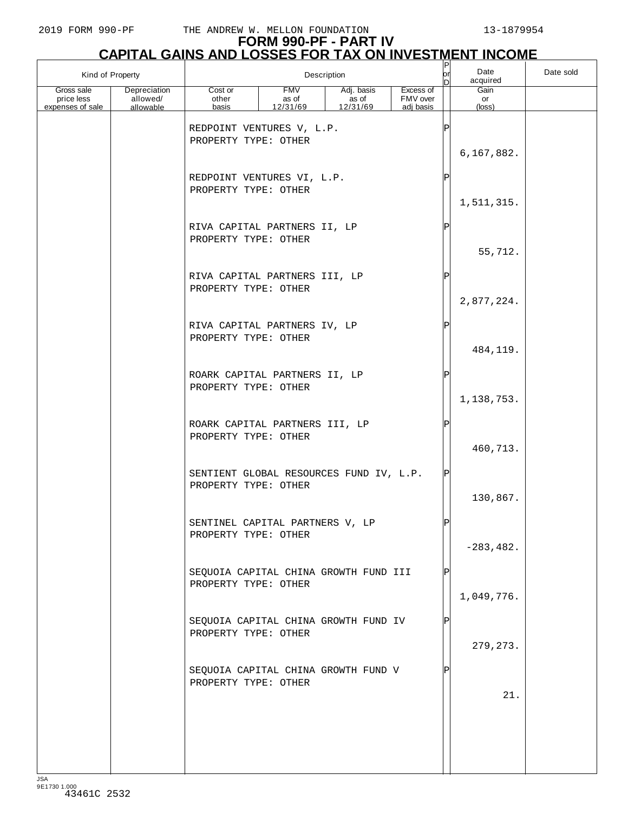|                                              | Kind of Property                      |                           | Description                             |                                 |                                    | P<br>lor<br>n | Date<br>acquired              | Date sold |
|----------------------------------------------|---------------------------------------|---------------------------|-----------------------------------------|---------------------------------|------------------------------------|---------------|-------------------------------|-----------|
| Gross sale<br>price less<br>expenses of sale | Depreciation<br>allowed/<br>allowable | Cost or<br>other<br>basis | <b>FMV</b><br>as of<br>12/31/69         | Adj. basis<br>as of<br>12/31/69 | Excess of<br>FMV over<br>adj basis |               | Gain<br>or<br>$(\text{loss})$ |           |
|                                              |                                       | PROPERTY TYPE: OTHER      | REDPOINT VENTURES V, L.P.               |                                 |                                    | Þ             | 6,167,882.                    |           |
|                                              |                                       | PROPERTY TYPE: OTHER      | REDPOINT VENTURES VI, L.P.              |                                 |                                    | $_\mathrm{P}$ | 1,511,315.                    |           |
|                                              |                                       | PROPERTY TYPE: OTHER      | RIVA CAPITAL PARTNERS II, LP            |                                 |                                    | P             | 55,712.                       |           |
|                                              |                                       | PROPERTY TYPE: OTHER      | RIVA CAPITAL PARTNERS III, LP           |                                 |                                    | $_\mathrm{P}$ | 2,877,224.                    |           |
|                                              |                                       | PROPERTY TYPE: OTHER      | RIVA CAPITAL PARTNERS IV, LP            |                                 |                                    | $_\mathrm{P}$ | 484,119.                      |           |
|                                              |                                       | PROPERTY TYPE: OTHER      | ROARK CAPITAL PARTNERS II, LP           |                                 |                                    | $_\mathrm{P}$ | 1,138,753.                    |           |
|                                              |                                       | PROPERTY TYPE: OTHER      | ROARK CAPITAL PARTNERS III, LP          |                                 |                                    | P             | 460,713.                      |           |
|                                              |                                       | PROPERTY TYPE: OTHER      | SENTIENT GLOBAL RESOURCES FUND IV, L.P. |                                 |                                    | P             | 130,867.                      |           |
|                                              |                                       | PROPERTY TYPE: OTHER      | SENTINEL CAPITAL PARTNERS V, LP         |                                 |                                    |               | $-283, 482.$                  |           |
|                                              |                                       | PROPERTY TYPE: OTHER      | SEQUOIA CAPITAL CHINA GROWTH FUND III   |                                 |                                    |               | 1,049,776.                    |           |
|                                              |                                       | PROPERTY TYPE: OTHER      | SEQUOIA CAPITAL CHINA GROWTH FUND IV    |                                 |                                    |               | 279, 273.                     |           |
|                                              |                                       | PROPERTY TYPE: OTHER      | SEQUOIA CAPITAL CHINA GROWTH FUND V     |                                 |                                    |               | 21.                           |           |
|                                              |                                       |                           |                                         |                                 |                                    |               |                               |           |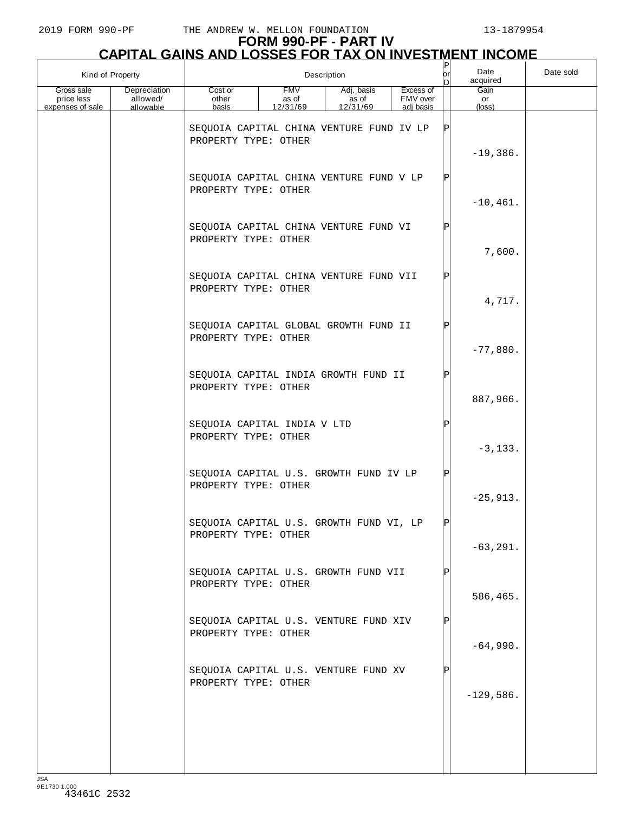| Kind of Property<br>Description              |                                       |                                                                  |                                 | P<br>or                         | Date<br>acquired                   | Date sold |                      |  |
|----------------------------------------------|---------------------------------------|------------------------------------------------------------------|---------------------------------|---------------------------------|------------------------------------|-----------|----------------------|--|
| Gross sale<br>price less<br>expenses of sale | Depreciation<br>allowed/<br>allowable | Cost or<br>other<br>basis                                        | <b>FMV</b><br>as of<br>12/31/69 | Adj. basis<br>as of<br>12/31/69 | Excess of<br>FMV over<br>adj basis |           | Gain<br>or<br>(loss) |  |
|                                              |                                       | SEQUOIA CAPITAL CHINA VENTURE FUND IV LP<br>PROPERTY TYPE: OTHER |                                 |                                 |                                    |           | $-19,386.$           |  |
|                                              |                                       | SEQUOIA CAPITAL CHINA VENTURE FUND V LP<br>PROPERTY TYPE: OTHER  |                                 |                                 |                                    | ΙPΙ       | $-10, 461.$          |  |
|                                              |                                       | SEQUOIA CAPITAL CHINA VENTURE FUND VI<br>PROPERTY TYPE: OTHER    |                                 |                                 |                                    | ΙP        | 7,600.               |  |
|                                              |                                       | SEQUOIA CAPITAL CHINA VENTURE FUND VII<br>PROPERTY TYPE: OTHER   |                                 |                                 |                                    | ΙP        | 4,717.               |  |
|                                              |                                       | SEQUOIA CAPITAL GLOBAL GROWTH FUND II<br>PROPERTY TYPE: OTHER    |                                 |                                 |                                    | ΙPΙ       | $-77,880.$           |  |
|                                              |                                       | SEQUOIA CAPITAL INDIA GROWTH FUND II<br>PROPERTY TYPE: OTHER     |                                 |                                 |                                    | ΙP        | 887,966.             |  |
|                                              |                                       | SEQUOIA CAPITAL INDIA V LTD<br>PROPERTY TYPE: OTHER              |                                 |                                 |                                    | ΙP        | $-3, 133.$           |  |
|                                              |                                       | SEQUOIA CAPITAL U.S. GROWTH FUND IV LP<br>PROPERTY TYPE: OTHER   |                                 |                                 |                                    | ΙPΙ       | $-25,913.$           |  |
|                                              |                                       | SEQUOIA CAPITAL U.S. GROWTH FUND VI, LP<br>PROPERTY TYPE: OTHER  |                                 |                                 |                                    | ldl       | $-63, 291.$          |  |
|                                              |                                       | SEQUOIA CAPITAL U.S. GROWTH FUND VII<br>PROPERTY TYPE: OTHER     |                                 |                                 |                                    |           | 586,465.             |  |
|                                              |                                       | SEQUOIA CAPITAL U.S. VENTURE FUND XIV<br>PROPERTY TYPE: OTHER    |                                 |                                 |                                    |           | $-64,990.$           |  |
|                                              |                                       | SEQUOIA CAPITAL U.S. VENTURE FUND XV<br>PROPERTY TYPE: OTHER     |                                 |                                 |                                    |           | $-129,586.$          |  |
|                                              |                                       |                                                                  |                                 |                                 |                                    |           |                      |  |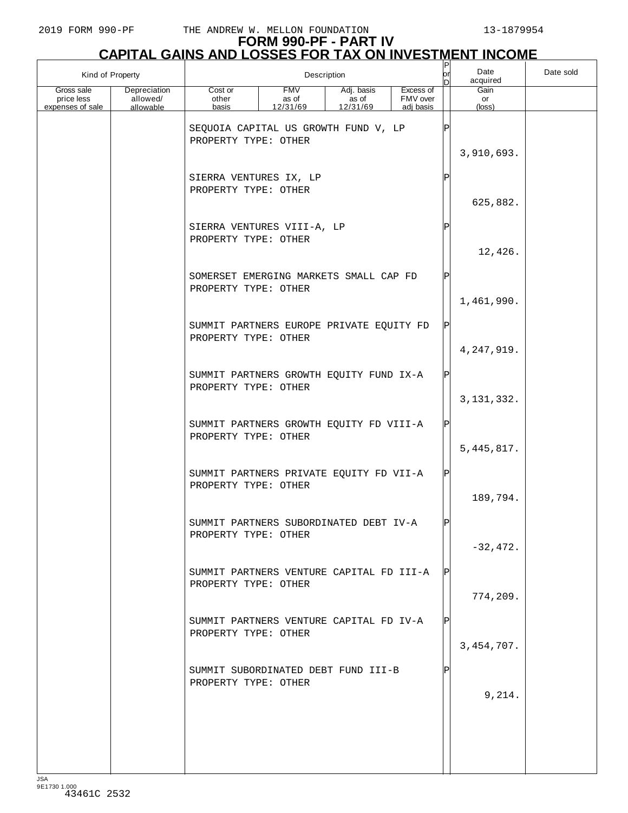### **FORM 990-PF - PART IV**

|                                              |                                       | <b>CAPITAL GAINS AND LOSSES FOR TAX ON INVESTMENT INCOME</b>     |                                 |                                 |                                    |               |                      |           |
|----------------------------------------------|---------------------------------------|------------------------------------------------------------------|---------------------------------|---------------------------------|------------------------------------|---------------|----------------------|-----------|
| Kind of Property                             |                                       |                                                                  |                                 | Description                     |                                    | юr<br>D       | Date<br>acquired     | Date sold |
| Gross sale<br>price less<br>expenses of sale | Depreciation<br>allowed/<br>allowable | Cost or<br>other<br>basis                                        | <b>FMV</b><br>as of<br>12/31/69 | Adj. basis<br>as of<br>12/31/69 | Excess of<br>FMV over<br>adj basis |               | Gain<br>or<br>(loss) |           |
|                                              |                                       | SEQUOIA CAPITAL US GROWTH FUND V, LP<br>PROPERTY TYPE: OTHER     |                                 |                                 |                                    |               | 3,910,693.           |           |
|                                              |                                       | SIERRA VENTURES IX, LP<br>PROPERTY TYPE: OTHER                   |                                 |                                 |                                    | $_\mathrm{P}$ | 625,882.             |           |
|                                              |                                       | SIERRA VENTURES VIII-A, LP<br>PROPERTY TYPE: OTHER               |                                 | Ρ                               | 12,426.                            |               |                      |           |
|                                              |                                       | SOMERSET EMERGING MARKETS SMALL CAP FD<br>PROPERTY TYPE: OTHER   |                                 |                                 |                                    | Ρ             | 1,461,990.           |           |
|                                              |                                       | SUMMIT PARTNERS EUROPE PRIVATE EQUITY FD<br>PROPERTY TYPE: OTHER |                                 |                                 |                                    | ΙP            | 4, 247, 919.         |           |
|                                              |                                       | SUMMIT PARTNERS GROWTH EQUITY FUND IX-A<br>PROPERTY TYPE: OTHER  |                                 |                                 |                                    | ΙP            | 3, 131, 332.         |           |
|                                              |                                       | SUMMIT PARTNERS GROWTH EQUITY FD VIII-A<br>PROPERTY TYPE: OTHER  |                                 |                                 |                                    | ΙP            | 5, 445, 817.         |           |
|                                              |                                       | SUMMIT PARTNERS PRIVATE EQUITY FD VII-A<br>PROPERTY TYPE: OTHER  |                                 |                                 |                                    | ΙP            | 189,794.             |           |
|                                              |                                       | SUMMIT PARTNERS SUBORDINATED DEBT IV-A<br>PROPERTY TYPE: OTHER   |                                 |                                 |                                    |               | $-32,472.$           |           |
|                                              |                                       | SUMMIT PARTNERS VENTURE CAPITAL FD III-A<br>PROPERTY TYPE: OTHER |                                 |                                 |                                    |               | 774,209.             |           |
|                                              |                                       | SUMMIT PARTNERS VENTURE CAPITAL FD IV-A<br>PROPERTY TYPE: OTHER  |                                 |                                 |                                    | IP            | 3, 454, 707.         |           |
|                                              |                                       | SUMMIT SUBORDINATED DEBT FUND III-B<br>PROPERTY TYPE: OTHER      |                                 |                                 |                                    |               | 9,214.               |           |
|                                              |                                       |                                                                  |                                 |                                 |                                    |               |                      |           |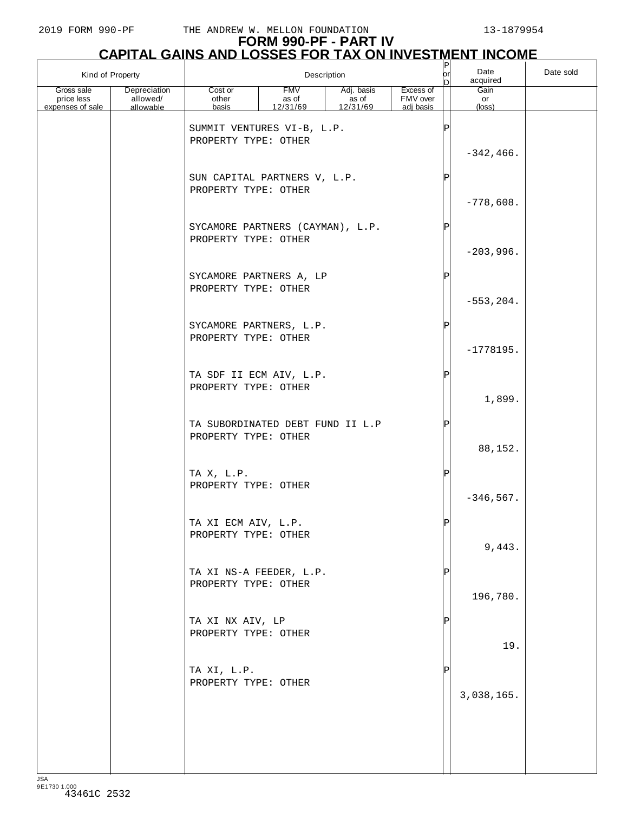| Kind of Property<br>Description |                          |                                                          |                     | P<br>or<br>In       | Date<br>acquired      | Date sold |              |  |
|---------------------------------|--------------------------|----------------------------------------------------------|---------------------|---------------------|-----------------------|-----------|--------------|--|
| Gross sale<br>price less        | Depreciation<br>allowed/ | Cost or<br>other                                         | <b>FMV</b><br>as of | Adj. basis<br>as of | Excess of<br>FMV over |           | Gain<br>or   |  |
| expenses of sale                | allowable                | basis                                                    | 12/31/69            | 12/31/69            | adj basis             |           | (loss)       |  |
|                                 |                          | SUMMIT VENTURES VI-B, L.P.<br>PROPERTY TYPE: OTHER       |                     |                     |                       |           |              |  |
|                                 |                          |                                                          |                     |                     |                       |           | $-342, 466.$ |  |
|                                 |                          | SUN CAPITAL PARTNERS V, L.P.<br>PROPERTY TYPE: OTHER     |                     |                     |                       | Þ         |              |  |
|                                 |                          |                                                          |                     |                     |                       |           | $-778,608.$  |  |
|                                 |                          | SYCAMORE PARTNERS (CAYMAN), L.P.<br>PROPERTY TYPE: OTHER |                     |                     |                       |           | $-203,996.$  |  |
|                                 |                          | SYCAMORE PARTNERS A, LP                                  |                     |                     |                       | IP        |              |  |
|                                 |                          | PROPERTY TYPE: OTHER                                     |                     |                     |                       |           | $-553, 204.$ |  |
|                                 |                          | SYCAMORE PARTNERS, L.P.<br>PROPERTY TYPE: OTHER          |                     |                     |                       | l P       |              |  |
|                                 |                          | TA SDF II ECM AIV, L.P.                                  |                     |                     |                       |           | $-1778195.$  |  |
|                                 |                          | PROPERTY TYPE: OTHER                                     |                     |                     |                       |           | 1,899.       |  |
|                                 |                          | TA SUBORDINATED DEBT FUND II L.P<br>PROPERTY TYPE: OTHER |                     |                     |                       |           | 88,152.      |  |
|                                 |                          | TA X, L.P.<br>PROPERTY TYPE: OTHER                       |                     |                     |                       |           | $-346, 567.$ |  |
|                                 |                          | TA XI ECM AIV, L.P.<br>PROPERTY TYPE: OTHER              |                     |                     |                       |           |              |  |
|                                 |                          |                                                          |                     |                     |                       |           | 9,443.       |  |
|                                 |                          | TA XI NS-A FEEDER, L.P.<br>PROPERTY TYPE: OTHER          |                     |                     |                       |           | 196,780.     |  |
|                                 |                          | TA XI NX AIV, LP<br>PROPERTY TYPE: OTHER                 |                     |                     |                       |           | 19.          |  |
|                                 |                          | TA XI, L.P.<br>PROPERTY TYPE: OTHER                      |                     |                     |                       |           |              |  |
|                                 |                          |                                                          |                     |                     |                       |           | 3,038,165.   |  |
|                                 |                          |                                                          |                     |                     |                       |           |              |  |
|                                 |                          |                                                          |                     |                     |                       |           |              |  |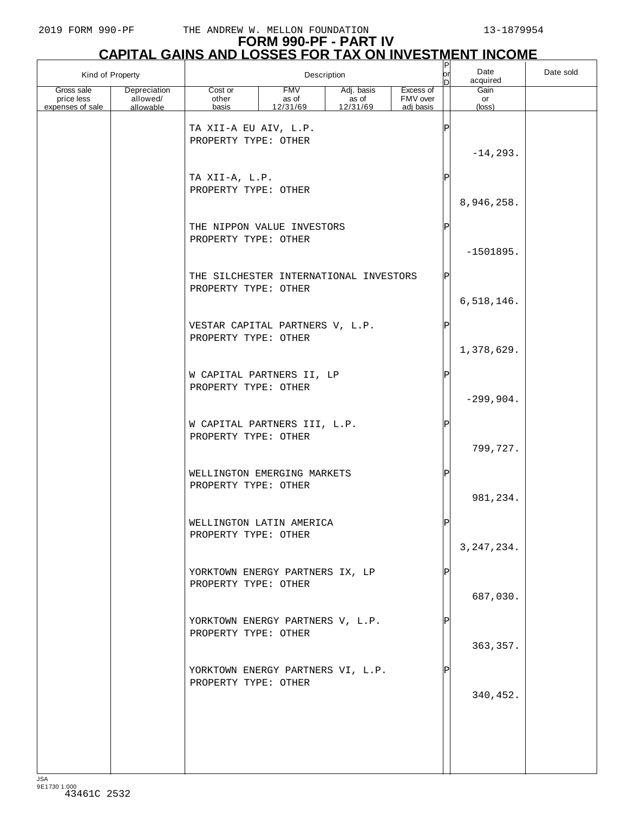| Kind of Property                                                                      |                                                                | Description                     |                                 |                                    |            | Date<br>acquired     | Date sold |
|---------------------------------------------------------------------------------------|----------------------------------------------------------------|---------------------------------|---------------------------------|------------------------------------|------------|----------------------|-----------|
| Gross sale<br>Depreciation<br>allowed/<br>price less<br>expenses of sale<br>allowable | Cost or<br>other<br>basis                                      | <b>FMV</b><br>as of<br>12/31/69 | Adj. basis<br>as of<br>12/31/69 | Excess of<br>FMV over<br>adi basis |            | Gain<br>or<br>(loss) |           |
|                                                                                       | TA XII-A EU AIV, L.P.<br>PROPERTY TYPE: OTHER                  |                                 |                                 |                                    | ΙP         | $-14, 293.$          |           |
|                                                                                       | TA XII-A, L.P.<br>PROPERTY TYPE: OTHER                         |                                 |                                 |                                    | P          | 8,946,258.           |           |
|                                                                                       | THE NIPPON VALUE INVESTORS<br>PROPERTY TYPE: OTHER             |                                 |                                 |                                    | $_{\rm P}$ | $-1501895.$          |           |
|                                                                                       | THE SILCHESTER INTERNATIONAL INVESTORS<br>PROPERTY TYPE: OTHER |                                 |                                 |                                    | Ρ          | 6,518,146.           |           |
|                                                                                       | VESTAR CAPITAL PARTNERS V, L.P.<br>PROPERTY TYPE: OTHER        |                                 |                                 |                                    | Ρ          | 1,378,629.           |           |
|                                                                                       | W CAPITAL PARTNERS II, LP<br>PROPERTY TYPE: OTHER              |                                 |                                 |                                    | P          | $-299,904.$          |           |
|                                                                                       | W CAPITAL PARTNERS III, L.P.<br>PROPERTY TYPE: OTHER           |                                 |                                 |                                    | P          | 799,727.             |           |
|                                                                                       | WELLINGTON EMERGING MARKETS<br>PROPERTY TYPE: OTHER            |                                 |                                 |                                    | Ρ          | 981,234.             |           |
|                                                                                       | WELLINGTON LATIN AMERICA<br>PROPERTY TYPE: OTHER               |                                 |                                 |                                    |            | 3, 247, 234.         |           |
|                                                                                       | YORKTOWN ENERGY PARTNERS IX, LP<br>PROPERTY TYPE: OTHER        |                                 |                                 |                                    |            | 687,030.             |           |
|                                                                                       | YORKTOWN ENERGY PARTNERS V, L.P.<br>PROPERTY TYPE: OTHER       |                                 |                                 |                                    |            | 363, 357.            |           |
|                                                                                       | YORKTOWN ENERGY PARTNERS VI, L.P.<br>PROPERTY TYPE: OTHER      |                                 |                                 |                                    |            | 340,452.             |           |
|                                                                                       |                                                                |                                 |                                 |                                    |            |                      |           |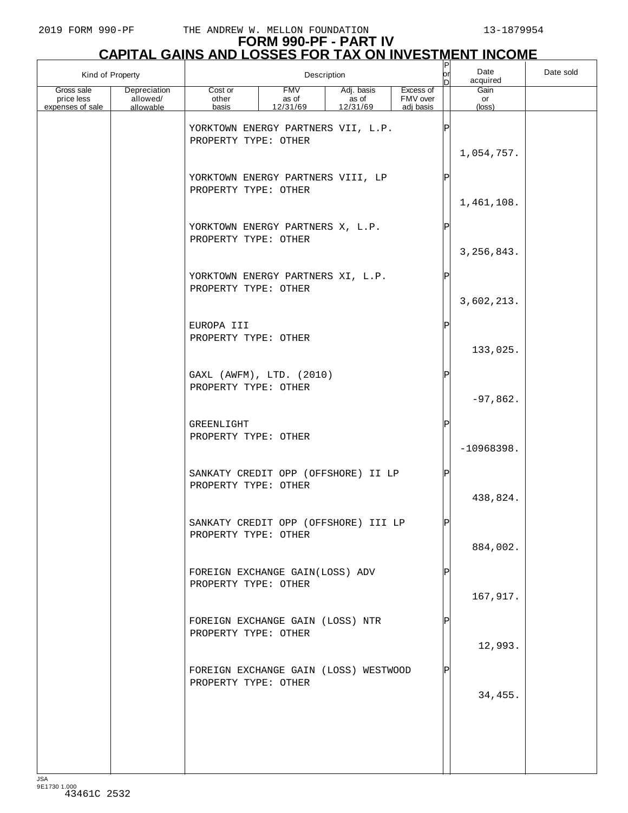| Kind of Property                             |                                       | Description                                                   |                          |                                      |                                    |    | Date<br>acquired     | Date sold |
|----------------------------------------------|---------------------------------------|---------------------------------------------------------------|--------------------------|--------------------------------------|------------------------------------|----|----------------------|-----------|
| Gross sale<br>price less<br>expenses of sale | Depreciation<br>allowed/<br>allowable | Cost or<br>other<br>basis                                     | FMV<br>as of<br>12/31/69 | Adj. basis<br>as of<br>12/31/69      | Excess of<br>FMV over<br>adj basis |    | Gain<br>or<br>(loss) |           |
|                                              |                                       | PROPERTY TYPE: OTHER                                          |                          | YORKTOWN ENERGY PARTNERS VII, L.P.   |                                    |    | 1,054,757.           |           |
|                                              |                                       | YORKTOWN ENERGY PARTNERS VIII, LP<br>PROPERTY TYPE: OTHER     |                          |                                      |                                    |    | 1,461,108.           |           |
|                                              |                                       | YORKTOWN ENERGY PARTNERS X, L.P.<br>PROPERTY TYPE: OTHER      |                          |                                      |                                    | ΙP | 3, 256, 843.         |           |
|                                              |                                       | YORKTOWN ENERGY PARTNERS XI, L.P.<br>PROPERTY TYPE: OTHER     |                          |                                      |                                    | Þ  | 3,602,213.           |           |
|                                              |                                       | EUROPA III<br>PROPERTY TYPE: OTHER                            |                          |                                      |                                    | ΙP | 133,025.             |           |
|                                              |                                       | GAXL (AWFM), LTD. (2010)<br>PROPERTY TYPE: OTHER              |                          |                                      |                                    | P  | $-97,862.$           |           |
|                                              |                                       | GREENLIGHT<br>PROPERTY TYPE: OTHER                            |                          |                                      |                                    | P  | $-10968398.$         |           |
|                                              |                                       | PROPERTY TYPE: OTHER                                          |                          | SANKATY CREDIT OPP (OFFSHORE) II LP  |                                    |    | 438,824.             |           |
|                                              |                                       | PROPERTY TYPE: OTHER                                          |                          | SANKATY CREDIT OPP (OFFSHORE) III LP |                                    | DI | 884,002.             |           |
|                                              |                                       | FOREIGN EXCHANGE GAIN(LOSS) ADV<br>PROPERTY TYPE: OTHER       |                          |                                      |                                    |    | 167,917.             |           |
|                                              |                                       | FOREIGN EXCHANGE GAIN (LOSS) NTR<br>PROPERTY TYPE: OTHER      |                          |                                      |                                    |    | 12,993.              |           |
|                                              |                                       | FOREIGN EXCHANGE GAIN (LOSS) WESTWOOD<br>PROPERTY TYPE: OTHER |                          |                                      |                                    |    | 34,455.              |           |
|                                              |                                       |                                                               |                          |                                      |                                    |    |                      |           |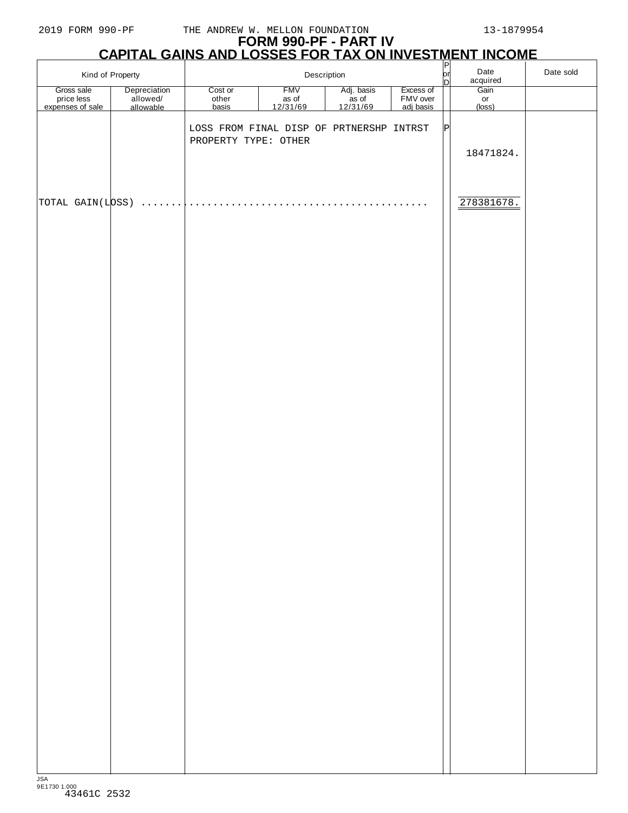# **FORM 990-PF - PART IV**

| <u>CAPITAL GAINS AND LOSSES FOR TAX ON INVESTMENT INCOMET</u> |                                       |                                          |                                 |                                           |                                    |           |                               |           |  |
|---------------------------------------------------------------|---------------------------------------|------------------------------------------|---------------------------------|-------------------------------------------|------------------------------------|-----------|-------------------------------|-----------|--|
|                                                               | Kind of Property                      |                                          | Description                     |                                           |                                    | or <br>bl | Date<br>acquired              | Date sold |  |
| Gross sale<br>price less<br>expenses of sale                  | Depreciation<br>allowed/<br>allowable | Cost or<br>other<br>basis                | <b>FMV</b><br>as of<br>12/31/69 | Adj. basis<br>as of<br>$\frac{12}{31/69}$ | Excess of<br>FMV over<br>adj basis |           | Gain<br>or<br>$(\text{loss})$ |           |  |
|                                                               |                                       | LOSS FROM FINAL DISP OF PRTNERSHP INTRST |                                 |                                           |                                    | P         |                               |           |  |
|                                                               |                                       | PROPERTY TYPE: OTHER                     |                                 |                                           |                                    |           | 18471824.                     |           |  |
|                                                               |                                       |                                          |                                 |                                           |                                    |           |                               |           |  |
| TOTAL GAIN(LOSS)                                              |                                       |                                          |                                 | 1.1.1.1.1.1.1.1.1                         |                                    |           | 278381678.                    |           |  |
|                                                               |                                       |                                          |                                 |                                           |                                    |           |                               |           |  |
|                                                               |                                       |                                          |                                 |                                           |                                    |           |                               |           |  |
|                                                               |                                       |                                          |                                 |                                           |                                    |           |                               |           |  |
|                                                               |                                       |                                          |                                 |                                           |                                    |           |                               |           |  |
|                                                               |                                       |                                          |                                 |                                           |                                    |           |                               |           |  |
|                                                               |                                       |                                          |                                 |                                           |                                    |           |                               |           |  |
|                                                               |                                       |                                          |                                 |                                           |                                    |           |                               |           |  |
|                                                               |                                       |                                          |                                 |                                           |                                    |           |                               |           |  |
|                                                               |                                       |                                          |                                 |                                           |                                    |           |                               |           |  |
|                                                               |                                       |                                          |                                 |                                           |                                    |           |                               |           |  |
|                                                               |                                       |                                          |                                 |                                           |                                    |           |                               |           |  |
|                                                               |                                       |                                          |                                 |                                           |                                    |           |                               |           |  |
|                                                               |                                       |                                          |                                 |                                           |                                    |           |                               |           |  |
|                                                               |                                       |                                          |                                 |                                           |                                    |           |                               |           |  |
|                                                               |                                       |                                          |                                 |                                           |                                    |           |                               |           |  |
|                                                               |                                       |                                          |                                 |                                           |                                    |           |                               |           |  |
|                                                               |                                       |                                          |                                 |                                           |                                    |           |                               |           |  |
|                                                               |                                       |                                          |                                 |                                           |                                    |           |                               |           |  |
|                                                               |                                       |                                          |                                 |                                           |                                    |           |                               |           |  |
|                                                               |                                       |                                          |                                 |                                           |                                    |           |                               |           |  |
|                                                               |                                       |                                          |                                 |                                           |                                    |           |                               |           |  |
|                                                               |                                       |                                          |                                 |                                           |                                    |           |                               |           |  |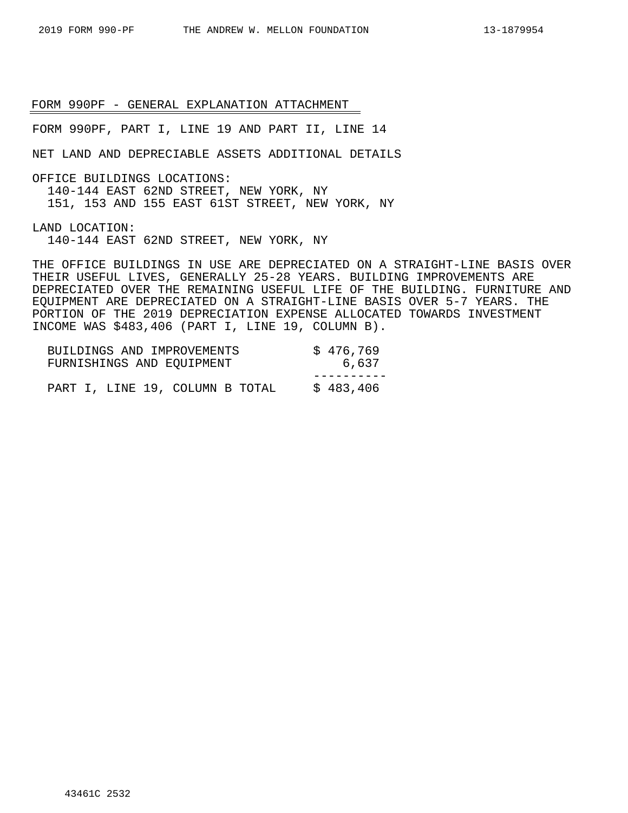FORM 990PF, PART I, LINE 19 AND PART II, LINE 14

NET LAND AND DEPRECIABLE ASSETS ADDITIONAL DETAILS

OFFICE BUILDINGS LOCATIONS:

140-144 EAST 62ND STREET, NEW YORK, NY

151, 153 AND 155 EAST 61ST STREET, NEW YORK, NY

LAND LOCATION:

140-144 EAST 62ND STREET, NEW YORK, NY

THE OFFICE BUILDINGS IN USE ARE DEPRECIATED ON A STRAIGHT-LINE BASIS OVER THEIR USEFUL LIVES, GENERALLY 25-28 YEARS. BUILDING IMPROVEMENTS ARE DEPRECIATED OVER THE REMAINING USEFUL LIFE OF THE BUILDING. FURNITURE AND EQUIPMENT ARE DEPRECIATED ON A STRAIGHT-LINE BASIS OVER 5-7 YEARS. THE PORTION OF THE 2019 DEPRECIATION EXPENSE ALLOCATED TOWARDS INVESTMENT INCOME WAS \$483,406 (PART I, LINE 19, COLUMN B).

| BUILDINGS AND IMPROVEMENTS<br>FURNISHINGS AND EQUIPMENT | \$476,769<br>6,637 |
|---------------------------------------------------------|--------------------|
|                                                         |                    |
| PART I, LINE 19, COLUMN B TOTAL                         | \$483,406          |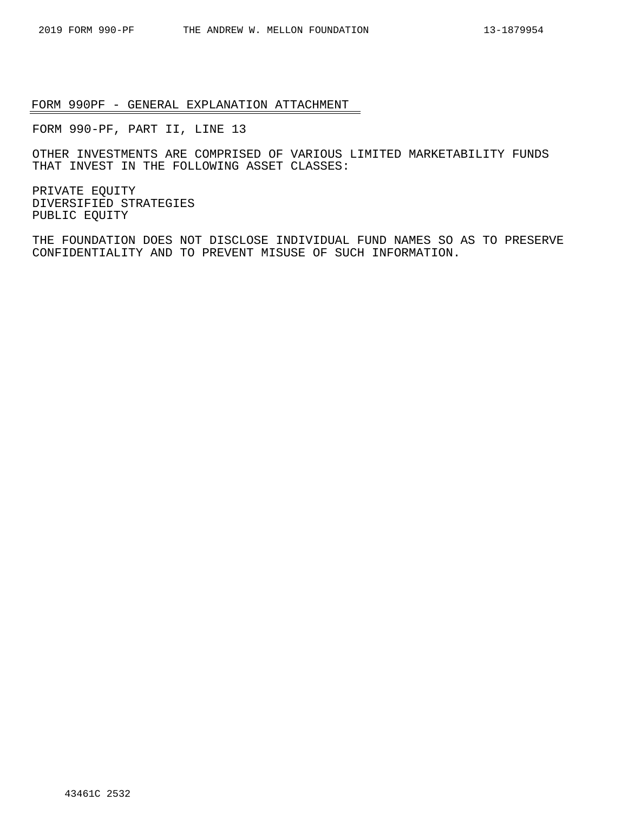FORM 990-PF, PART II, LINE 13

OTHER INVESTMENTS ARE COMPRISED OF VARIOUS LIMITED MARKETABILITY FUNDS THAT INVEST IN THE FOLLOWING ASSET CLASSES:

PRIVATE EQUITY DIVERSIFIED STRATEGIES PUBLIC EQUITY

THE FOUNDATION DOES NOT DISCLOSE INDIVIDUAL FUND NAMES SO AS TO PRESERVE CONFIDENTIALITY AND TO PREVENT MISUSE OF SUCH INFORMATION.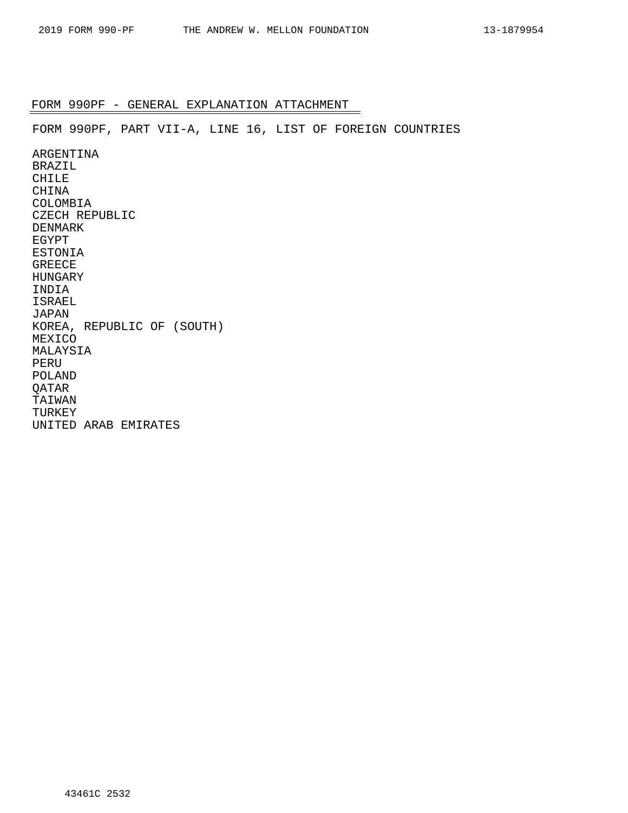FORM 990PF, PART VII-A, LINE 16, LIST OF FOREIGN COUNTRIES

ARGENTINA BRAZIL CHILE CHINA COLOMBIA CZECH REPUBLIC DENMARK EGYPT ESTONIA GREECE HUNGARY INDIA ISRAEL JAPAN KOREA, REPUBLIC OF (SOUTH) MEXICO MALAYSIA PERU POLAND QATAR TAIWAN TURKEY UNITED ARAB EMIRATES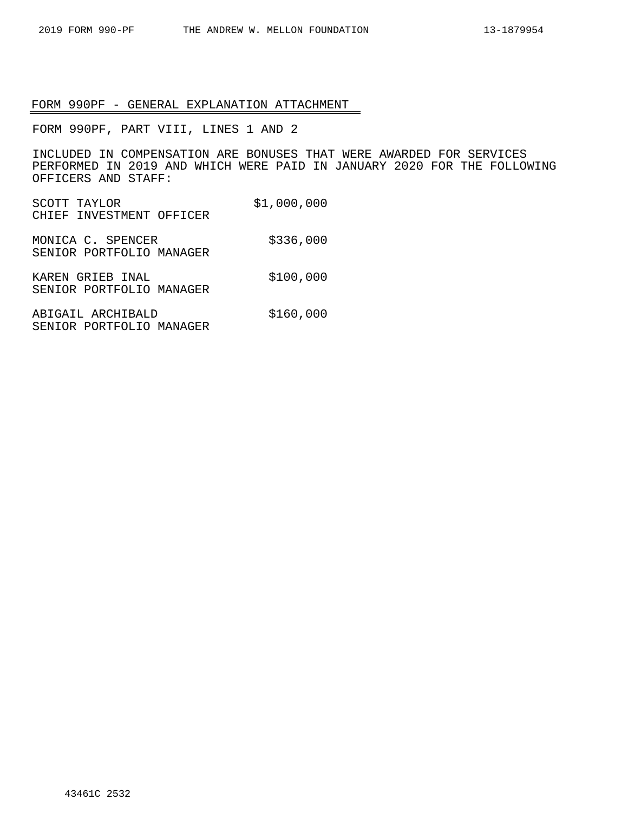FORM 990PF, PART VIII, LINES 1 AND 2

INCLUDED IN COMPENSATION ARE BONUSES THAT WERE AWARDED FOR SERVICES PERFORMED IN 2019 AND WHICH WERE PAID IN JANUARY 2020 FOR THE FOLLOWING OFFICERS AND STAFF:

- SCOTT TAYLOR \$1,000,000 CHIEF INVESTMENT OFFICER
- MONICA C. SPENCER \$336,000 SENIOR PORTFOLIO MANAGER
- KAREN GRIEB INAL \$100,000 SENIOR PORTFOLIO MANAGER
- ABIGAIL ARCHIBALD \$160,000 SENIOR PORTFOLIO MANAGER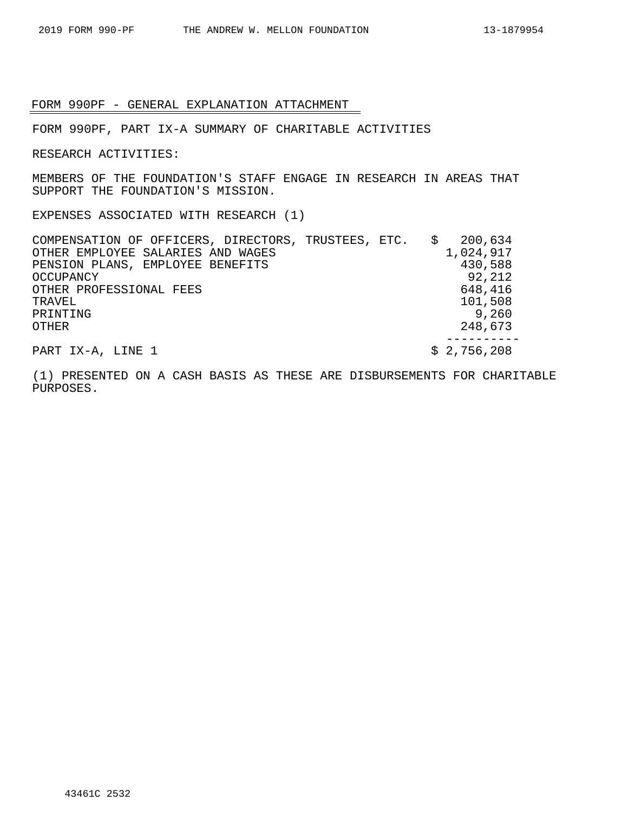FORM 990PF, PART IX-A SUMMARY OF CHARITABLE ACTIVITIES

RESEARCH ACTIVITIES:

MEMBERS OF THE FOUNDATION'S STAFF ENGAGE IN RESEARCH IN AREAS THAT SUPPORT THE FOUNDATION'S MISSION.

EXPENSES ASSOCIATED WITH RESEARCH (1)

COMPENSATION OF OFFICERS, DIRECTORS, TRUSTEES, ETC. \$ 200,634 OTHER EMPLOYEE SALARIES AND WAGES 1,024,917<br>PENSION PLANS, EMPLOYEE BENEFITS 430,588 PENSION PLANS, EMPLOYEE BENEFITS OCCUPANCY 92, 212 OTHER PROFESSIONAL FEES 648,416 TRAVEL 101,508 PRINTING 9,260 OTHER 248,673 ---------- PART IX-A, LINE 1 \$ 2,756,208

(1) PRESENTED ON A CASH BASIS AS THESE ARE DISBURSEMENTS FOR CHARITABLE PURPOSES.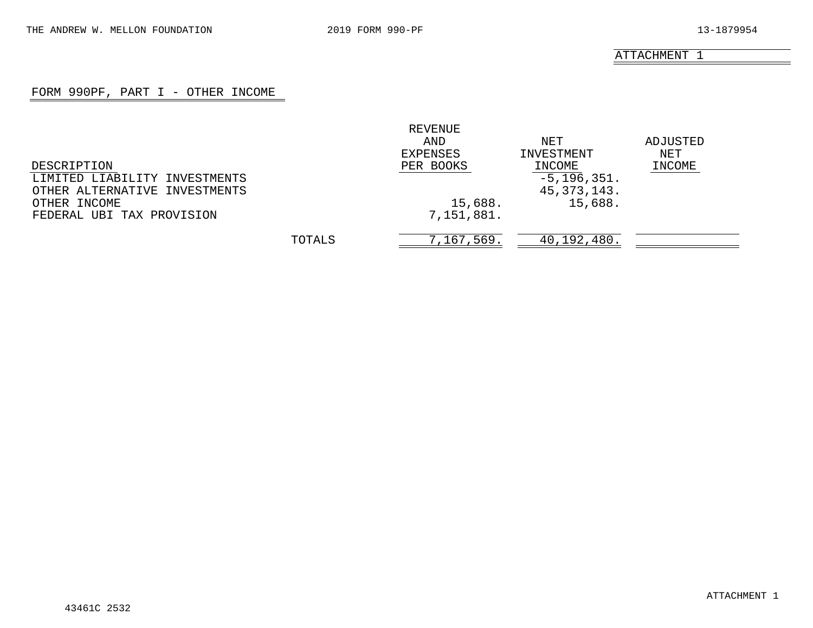### FORM 990PF, PART I - OTHER INCOME

|                               |        | REVENUE    |                 |          |
|-------------------------------|--------|------------|-----------------|----------|
|                               |        | AND        | NET             | ADJUSTED |
|                               |        | EXPENSES   | INVESTMENT      | NET      |
| DESCRIPTION                   |        | PER BOOKS  | INCOME          | INCOME   |
| LIMITED LIABILITY INVESTMENTS |        |            | $-5, 196, 351.$ |          |
| OTHER ALTERNATIVE INVESTMENTS |        |            | 45, 373, 143.   |          |
| OTHER INCOME                  |        | 15,688.    | 15,688.         |          |
| FEDERAL UBI TAX PROVISION     |        | 7,151,881. |                 |          |
|                               | TOTALS | 7,167,569. | 40,192,480.     |          |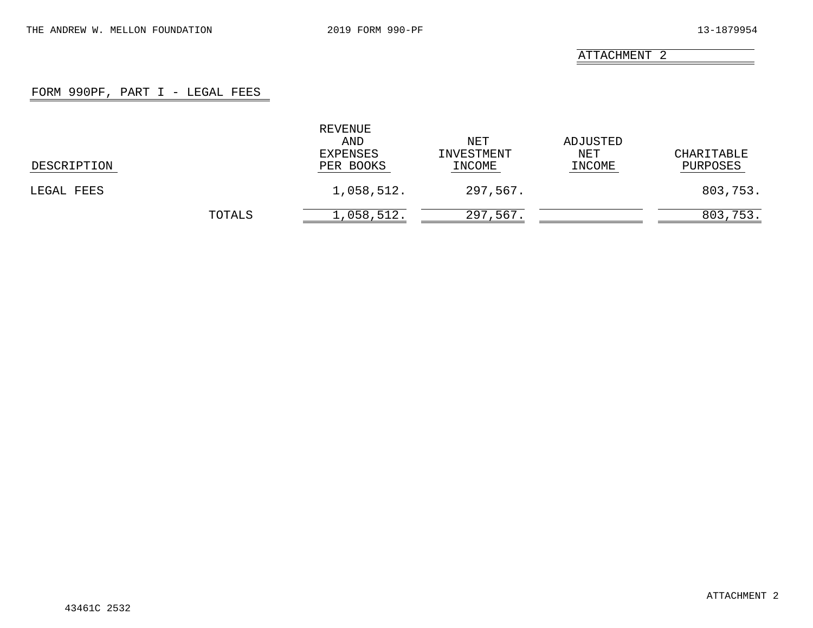### FORM 990PF, PART I - LEGAL FEES

|             |        | REVENUE<br>AND<br>EXPENSES | NET<br>INVESTMENT | ADJUSTED<br>NET | CHARITABLE |
|-------------|--------|----------------------------|-------------------|-----------------|------------|
| DESCRIPTION |        | PER BOOKS                  | INCOME            | INCOME          | PURPOSES   |
| LEGAL FEES  |        | 1,058,512.                 | 297,567.          |                 | 803,753.   |
|             | TOTALS | 1,058,512.                 | 297,567.          |                 | 803,753.   |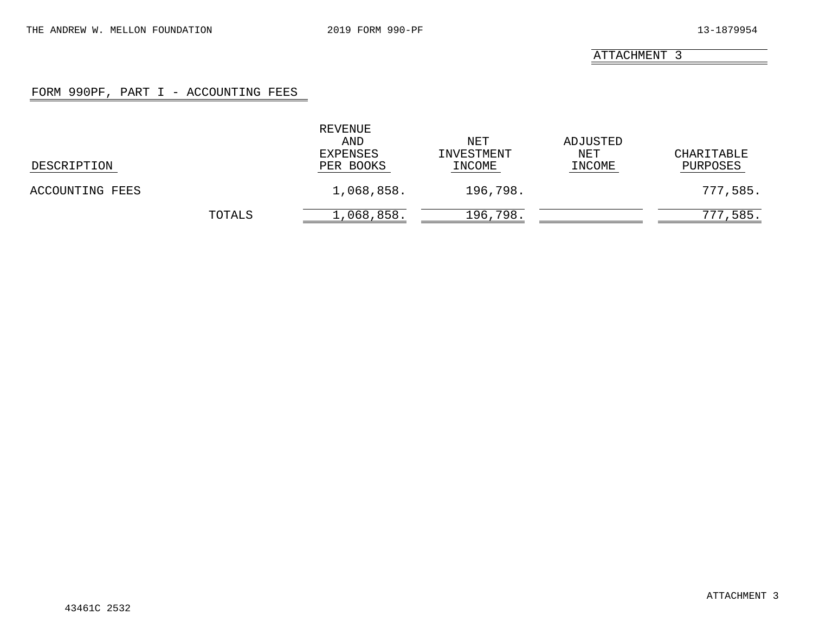### FORM 990PF, PART I - ACCOUNTING FEES

|                 |        | REVENUE<br>AND<br>EXPENSES | NET<br>INVESTMENT | ADJUSTED<br>NET | CHARITABLE   |
|-----------------|--------|----------------------------|-------------------|-----------------|--------------|
| DESCRIPTION     |        | PER BOOKS                  | INCOME            | INCOME          | PURPOSES     |
| ACCOUNTING FEES |        | 1,068,858.                 | 196,798.          |                 | 777,585.     |
|                 | TOTALS | 1,068,858.                 | 196,798.          |                 | ,585.<br>777 |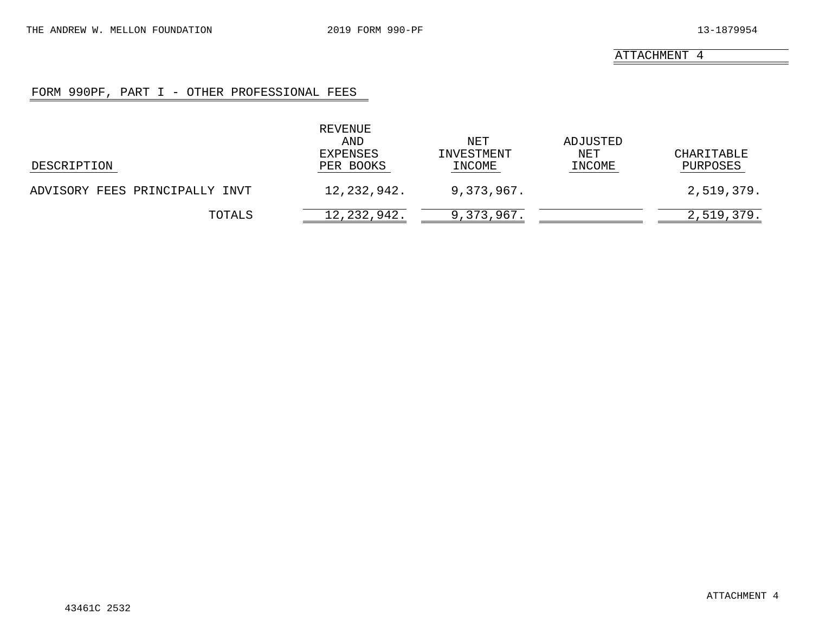### FORM 990PF, PART I - OTHER PROFESSIONAL FEES

|                                | REVENUE<br>AND<br>EXPENSES | NET<br>INVESTMENT | ADJUSTED<br>NET | CHARITABLE |
|--------------------------------|----------------------------|-------------------|-----------------|------------|
| DESCRIPTION                    | PER BOOKS                  | INCOME            | INCOME          | PURPOSES   |
| ADVISORY FEES PRINCIPALLY INVT | 12,232,942.                | 9,373,967.        |                 | 2,519,379. |
| TOTALS                         | 12, 232, 942.              | 9,373,967.        |                 | 2,519,379. |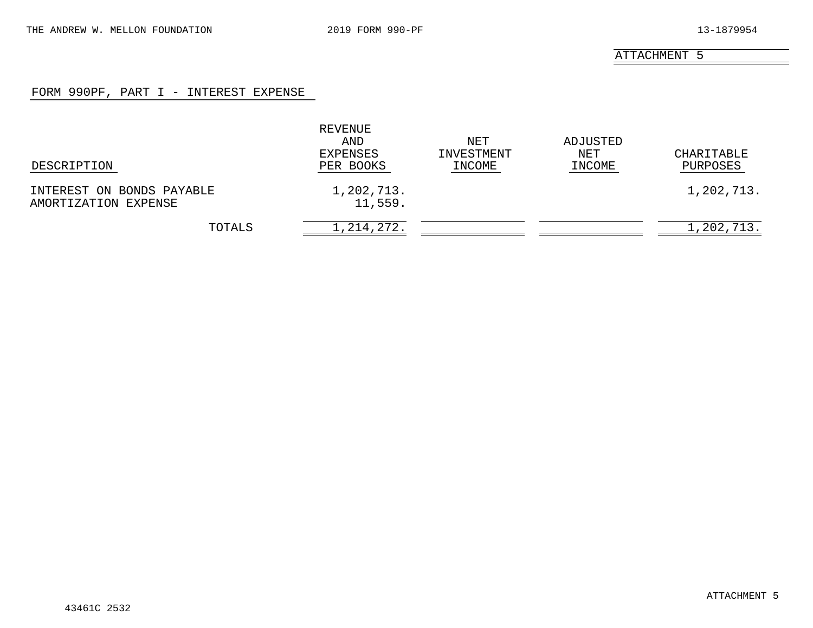### FORM 990PF, PART I - INTEREST EXPENSE

| DESCRIPTION                                       | REVENUE<br>AND<br>EXPENSES<br>PER BOOKS | NET<br>INVESTMENT<br>INCOME | ADJUSTED<br>NET<br>INCOME | CHARITABLE<br>PURPOSES |
|---------------------------------------------------|-----------------------------------------|-----------------------------|---------------------------|------------------------|
| INTEREST ON BONDS PAYABLE<br>AMORTIZATION EXPENSE | 1,202,713.<br>11,559.                   |                             |                           | 1,202,713.             |
| TOTALS                                            | 1, 214, 272.                            |                             |                           | 1,202,713.             |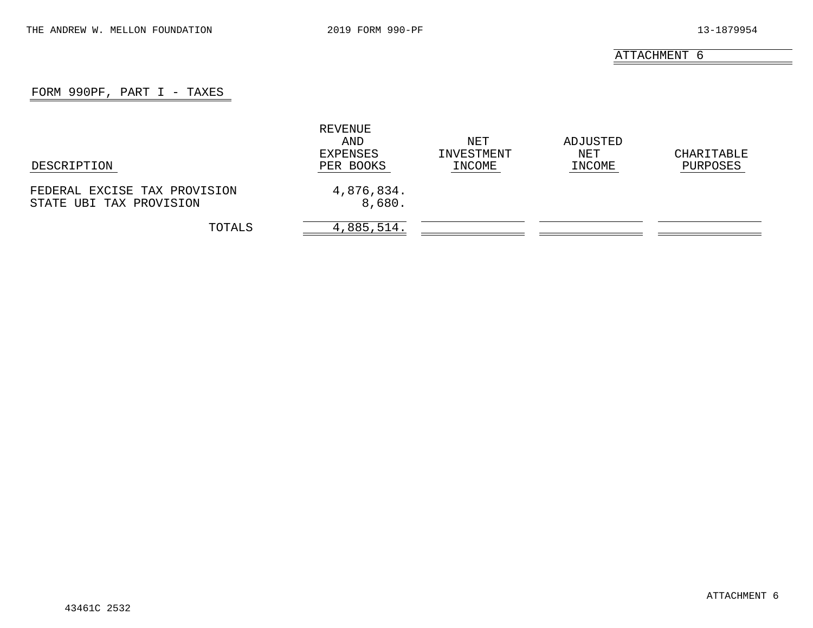### FORM 990PF, PART  $I$  - TAXES

|                                                         | REVENUE<br>AND<br>EXPENSES | NET<br>INVESTMENT | ADJUSTED<br>NET | CHARITABLE |
|---------------------------------------------------------|----------------------------|-------------------|-----------------|------------|
| DESCRIPTION                                             | PER BOOKS                  | INCOME            | INCOME          | PURPOSES   |
| FEDERAL EXCISE TAX PROVISION<br>STATE UBI TAX PROVISION | 4,876,834.<br>8,680.       |                   |                 |            |
| TOTALS                                                  | 4,885,514.                 |                   |                 |            |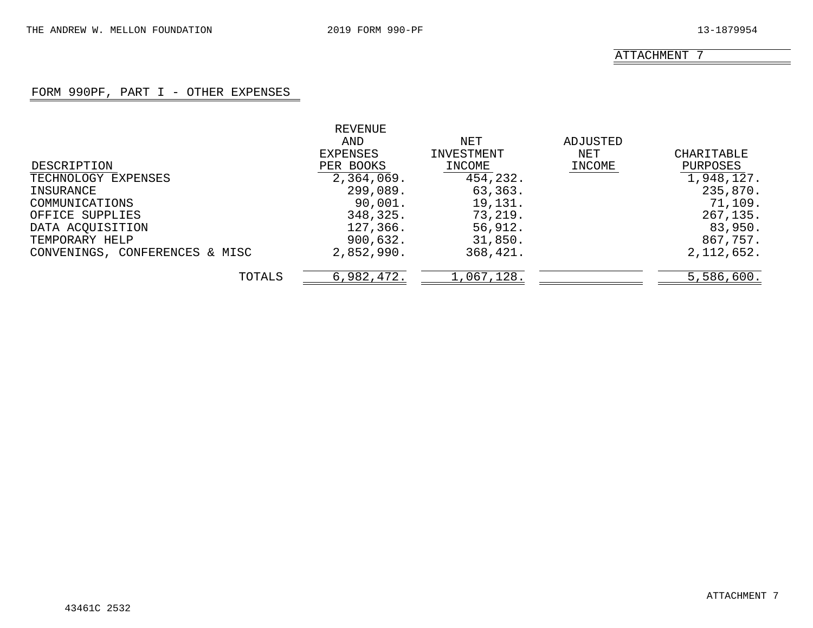### FORM 990PF, PART I - OTHER EXPENSES

|                                | REVENUE    |            |          |              |
|--------------------------------|------------|------------|----------|--------------|
|                                | AND        | NET        | ADJUSTED |              |
|                                | EXPENSES   | INVESTMENT | NET      | CHARITABLE   |
| DESCRIPTION                    | PER BOOKS  | INCOME     | INCOME   | PURPOSES     |
| TECHNOLOGY EXPENSES            | 2,364,069. | 454,232.   |          | 1,948,127.   |
| INSURANCE                      | 299,089.   | 63,363.    |          | 235,870.     |
| COMMUNICATIONS                 | 90,001.    | 19,131.    |          | 71,109.      |
| OFFICE SUPPLIES                | 348,325.   | 73,219.    |          | 267,135.     |
| DATA ACQUISITION               | 127,366.   | 56,912.    |          | 83,950.      |
| TEMPORARY HELP                 | 900,632.   | 31,850.    |          | 867,757.     |
| CONVENINGS, CONFERENCES & MISC | 2,852,990. | 368,421.   |          | 2, 112, 652. |
| TOTALS                         | 6,982,472. | 1,067,128. |          | 5,586,600.   |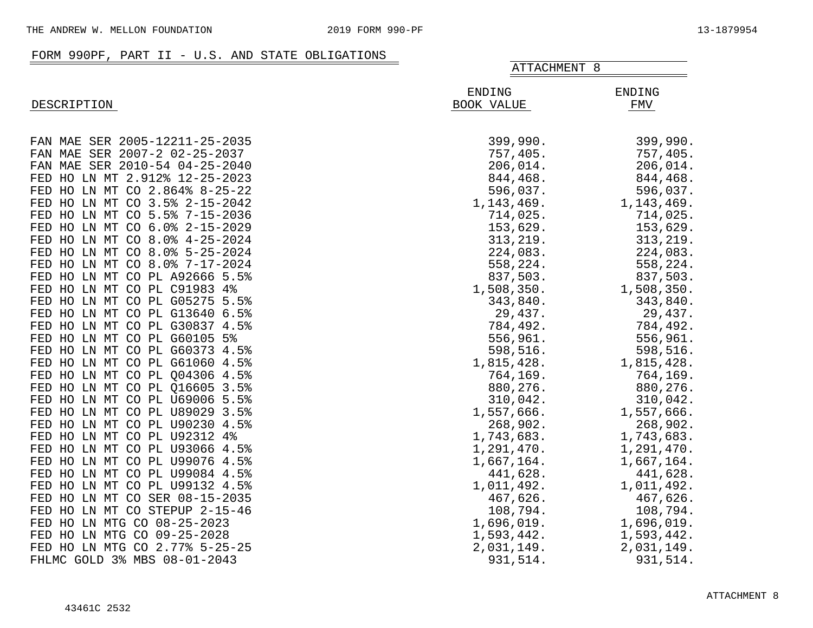|                                |                      | ATTACHMENT 8         |  |  |
|--------------------------------|----------------------|----------------------|--|--|
| DESCRIPTION                    | ENDING<br>BOOK VALUE | <b>ENDING</b><br>FMV |  |  |
| FAN MAE SER 2005-12211-25-2035 | 399,990.             | 399,990.             |  |  |
|                                |                      |                      |  |  |
| FAN MAE SER 2007-2 02-25-2037  | 757,405.             | 757,405.             |  |  |
| FAN MAE SER 2010-54 04-25-2040 | 206,014.             | 206,014.             |  |  |
| FED HO LN MT 2.912% 12-25-2023 | 844,468.             | 844,468.             |  |  |
| FED HO LN MT CO 2.864% 8-25-22 | 596,037.             | 596,037.             |  |  |
| FED HO LN MT CO 3.5% 2-15-2042 | 1, 143, 469.         | 1, 143, 469.         |  |  |
| FED HO LN MT CO 5.5% 7-15-2036 | 714,025.             | 714,025.             |  |  |
| FED HO LN MT CO 6.0% 2-15-2029 | 153,629.             | 153,629.             |  |  |
| FED HO LN MT CO 8.0% 4-25-2024 | 313,219.             | 313,219.             |  |  |
| FED HO LN MT CO 8.0% 5-25-2024 | 224,083.             | 224,083.             |  |  |
| FED HO LN MT CO 8.0% 7-17-2024 | 558,224.             | 558,224.             |  |  |
| FED HO LN MT CO PL A92666 5.5% | 837,503.             | 837,503.             |  |  |
| FED HO LN MT CO PL C91983 4%   | 1,508,350.           | 1,508,350.           |  |  |
| FED HO LN MT CO PL G05275 5.5% | 343,840.             | 343,840.             |  |  |
| FED HO LN MT CO PL G13640 6.5% | 29,437.              | 29,437.              |  |  |
| FED HO LN MT CO PL G30837 4.5% | 784,492.             | 784,492.             |  |  |
| FED HO LN MT CO PL G60105 5%   | 556,961.             | 556,961.             |  |  |
| FED HO LN MT CO PL G60373 4.5% | 598,516.             | 598,516.             |  |  |
| FED HO LN MT CO PL G61060 4.5% | 1,815,428.           | 1,815,428.           |  |  |
| FED HO LN MT CO PL Q04306 4.5% | 764,169.             | 764,169.             |  |  |
| FED HO LN MT CO PL 016605 3.5% | 880,276.             | 880,276.             |  |  |
| FED HO LN MT CO PL U69006 5.5% | 310,042.             | 310,042.             |  |  |
| FED HO LN MT CO PL U89029 3.5% | 1,557,666.           | 1,557,666.           |  |  |
| FED HO LN MT CO PL U90230 4.5% | 268,902.             | 268,902.             |  |  |
| FED HO LN MT CO PL U92312 4%   | 1,743,683.           | 1,743,683.           |  |  |
| FED HO LN MT CO PL U93066 4.5% | 1,291,470.           | 1,291,470.           |  |  |
| FED HO LN MT CO PL U99076 4.5% | 1,667,164.           | 1,667,164.           |  |  |
| FED HO LN MT CO PL U99084 4.5% | 441,628.             | 441,628.             |  |  |
| FED HO LN MT CO PL U99132 4.5% | 1,011,492.           | 1,011,492.           |  |  |
| FED HO LN MT CO SER 08-15-2035 | 467,626.             | 467,626.             |  |  |
| FED HO LN MT CO STEPUP 2-15-46 | 108,794.             | 108,794.             |  |  |
| FED HO LN MTG CO 08-25-2023    | 1,696,019.           | 1,696,019.           |  |  |
| FED HO LN MTG CO 09-25-2028    |                      |                      |  |  |
|                                | 1,593,442.           | 1,593,442.           |  |  |
| FED HO LN MTG CO 2.77% 5-25-25 | 2,031,149.           | 2,031,149.           |  |  |
| FHLMC GOLD 3% MBS 08-01-2043   | 931,514.             | 931,514.             |  |  |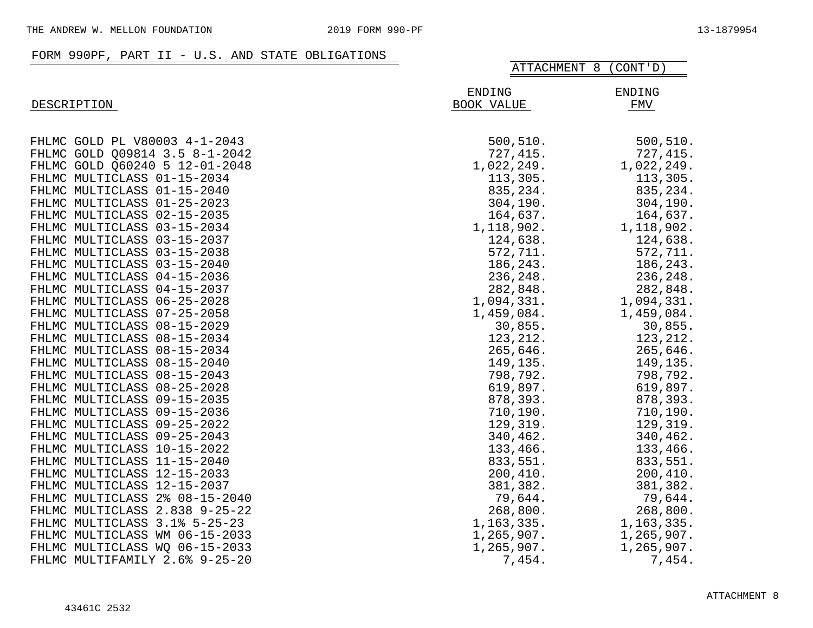|                                | ATTACHMENT 8 (CONT'D)       |               |  |
|--------------------------------|-----------------------------|---------------|--|
| DESCRIPTION                    | <b>ENDING</b><br>BOOK VALUE | ENDING<br>FMV |  |
| FHLMC GOLD PL V80003 4-1-2043  | 500, 510.                   | 500, 510.     |  |
| FHLMC GOLD Q09814 3.5 8-1-2042 | 727, 415.                   | 727, 415.     |  |
| FHLMC GOLD Q60240 5 12-01-2048 | 1,022,249.                  | 1,022,249.    |  |
| FHLMC MULTICLASS 01-15-2034    | 113,305.                    | 113,305.      |  |
| FHLMC MULTICLASS 01-15-2040    | 835, 234.                   | 835,234.      |  |
| FHLMC MULTICLASS 01-25-2023    | 304, 190.                   | 304, 190.     |  |
| FHLMC MULTICLASS 02-15-2035    | 164,637.                    | 164,637.      |  |
| FHLMC MULTICLASS 03-15-2034    | 1,118,902.                  | 1,118,902.    |  |
| FHLMC MULTICLASS 03-15-2037    | 124,638.                    | 124,638.      |  |
| FHLMC MULTICLASS 03-15-2038    | 572,711.                    | 572,711.      |  |
| FHLMC MULTICLASS 03-15-2040    | 186,243.                    | 186,243.      |  |
| FHLMC MULTICLASS 04-15-2036    | 236,248.                    | 236,248.      |  |
| FHLMC MULTICLASS 04-15-2037    | 282,848.                    | 282,848.      |  |
| FHLMC MULTICLASS 06-25-2028    | 1,094,331.                  | 1,094,331.    |  |
| FHLMC MULTICLASS 07-25-2058    | 1,459,084.                  | 1,459,084.    |  |
| FHLMC MULTICLASS 08-15-2029    | 30,855.                     | 30,855.       |  |
| FHLMC MULTICLASS 08-15-2034    | 123, 212.                   | 123, 212.     |  |
| FHLMC MULTICLASS 08-15-2034    | 265,646.                    | 265,646.      |  |
| FHLMC MULTICLASS 08-15-2040    | 149,135.                    | 149,135.      |  |
| FHLMC MULTICLASS 08-15-2043    | 798,792.                    | 798,792.      |  |
| FHLMC MULTICLASS 08-25-2028    | 619,897.                    | 619,897.      |  |
| FHLMC MULTICLASS 09-15-2035    | 878,393.                    | 878,393.      |  |
| FHLMC MULTICLASS 09-15-2036    | 710,190.                    | 710,190.      |  |
| FHLMC MULTICLASS 09-25-2022    | 129,319.                    | 129,319.      |  |
| FHLMC MULTICLASS 09-25-2043    | 340,462.                    | 340,462.      |  |
| FHLMC MULTICLASS 10-15-2022    | 133,466.                    | 133,466.      |  |
| FHLMC MULTICLASS 11-15-2040    | 833,551.                    | 833,551.      |  |
| FHLMC MULTICLASS 12-15-2033    | 200,410.                    | 200,410.      |  |
| FHLMC MULTICLASS 12-15-2037    | 381,382.                    | 381,382.      |  |
| FHLMC MULTICLASS 2% 08-15-2040 | 79,644.                     | 79,644.       |  |
| FHLMC MULTICLASS 2.838 9-25-22 | 268,800.                    | 268,800.      |  |
| FHLMC MULTICLASS 3.1% 5-25-23  | 1,163,335.                  | 1, 163, 335.  |  |
| FHLMC MULTICLASS WM 06-15-2033 | 1,265,907.                  | 1,265,907.    |  |
| FHLMC MULTICLASS WQ 06-15-2033 | 1,265,907.                  | 1,265,907.    |  |
| FHLMC MULTIFAMILY 2.6% 9-25-20 | 7,454.                      | 7,454.        |  |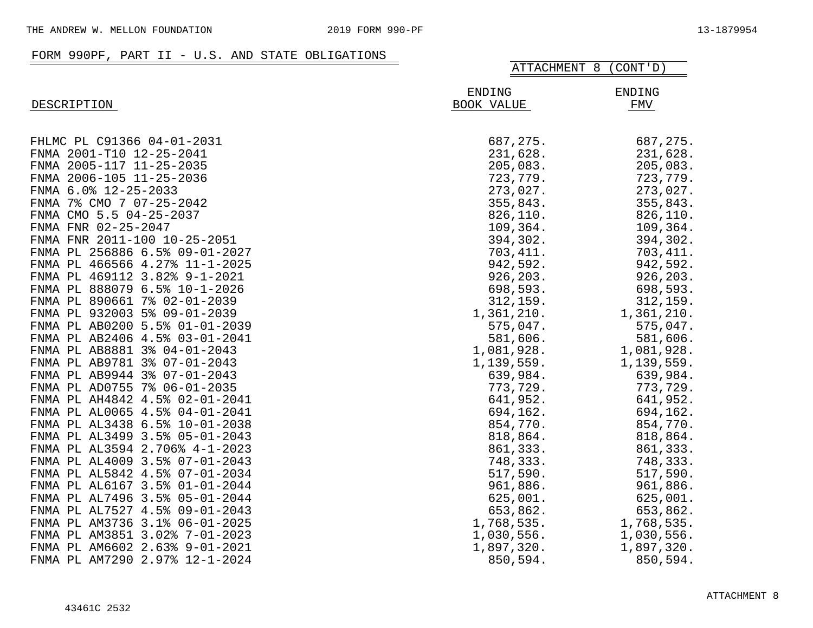|                                | ATTACHMENT 8<br>(CONT' D)   |                      |
|--------------------------------|-----------------------------|----------------------|
| DESCRIPTION                    | <b>ENDING</b><br>BOOK VALUE | <b>ENDING</b><br>FMV |
| FHLMC PL C91366 04-01-2031     | 687,275.                    | 687,275.             |
| FNMA 2001-T10 12-25-2041       | 231,628.                    | 231,628.             |
| FNMA 2005-117 11-25-2035       | 205,083.                    | 205,083.             |
| FNMA 2006-105 11-25-2036       | 723,779.                    | 723,779.             |
| FNMA 6.0% 12-25-2033           | 273,027.                    | 273,027.             |
| FNMA 7% CMO 7 07-25-2042       | 355,843.                    | 355,843.             |
| FNMA CMO 5.5 04-25-2037        | 826,110.                    | 826,110.             |
| FNMA FNR 02-25-2047            | 109,364.                    | 109,364.             |
| FNMA FNR 2011-100 10-25-2051   | 394,302.                    | 394,302.             |
| FNMA PL 256886 6.5% 09-01-2027 | 703, 411.                   | 703, 411.            |
| FNMA PL 466566 4.27% 11-1-2025 | 942,592.                    | 942,592.             |
| FNMA PL 469112 3.82% 9-1-2021  | 926,203.                    | 926,203.             |
| FNMA PL 888079 6.5% 10-1-2026  | 698,593.                    | 698,593.             |
| FNMA PL 890661 7% 02-01-2039   | 312, 159.                   | 312, 159.            |
| FNMA PL 932003 5% 09-01-2039   | 1,361,210.                  | 1,361,210.           |
| FNMA PL AB0200 5.5% 01-01-2039 | 575,047.                    | 575,047.             |
| FNMA PL AB2406 4.5% 03-01-2041 | 581,606.                    | 581,606.             |
| FNMA PL AB8881 3% 04-01-2043   | 1,081,928.                  | 1,081,928.           |
| FNMA PL AB9781 3% 07-01-2043   | 1,139,559.                  | 1, 139, 559.         |
| FNMA PL AB9944 3% 07-01-2043   | 639,984.                    | 639,984.             |
| FNMA PL AD0755 7% 06-01-2035   | 773,729.                    | 773,729.             |
| FNMA PL AH4842 4.5% 02-01-2041 | 641,952.                    | 641,952.             |
| FNMA PL AL0065 4.5% 04-01-2041 | 694,162.                    | 694,162.             |
| FNMA PL AL3438 6.5% 10-01-2038 | 854,770.                    | 854,770.             |
| FNMA PL AL3499 3.5% 05-01-2043 | 818,864.                    | 818,864.             |
| FNMA PL AL3594 2.706% 4-1-2023 | 861,333.                    | 861,333.             |
| FNMA PL AL4009 3.5% 07-01-2043 | 748,333.                    | 748,333.             |
| FNMA PL AL5842 4.5% 07-01-2034 | 517,590.                    | 517,590.             |
| FNMA PL AL6167 3.5% 01-01-2044 | 961,886.                    | 961,886.             |
| FNMA PL AL7496 3.5% 05-01-2044 | 625,001.                    | 625,001.             |
| FNMA PL AL7527 4.5% 09-01-2043 | 653,862.                    | 653,862.             |
| FNMA PL AM3736 3.1% 06-01-2025 | 1,768,535.                  | 1,768,535.           |
| FNMA PL AM3851 3.02% 7-01-2023 | 1,030,556.                  | 1,030,556.           |
| FNMA PL AM6602 2.63% 9-01-2021 | 1,897,320.                  | 1,897,320.           |
| FNMA PL AM7290 2.97% 12-1-2024 | 850,594.                    | 850,594.             |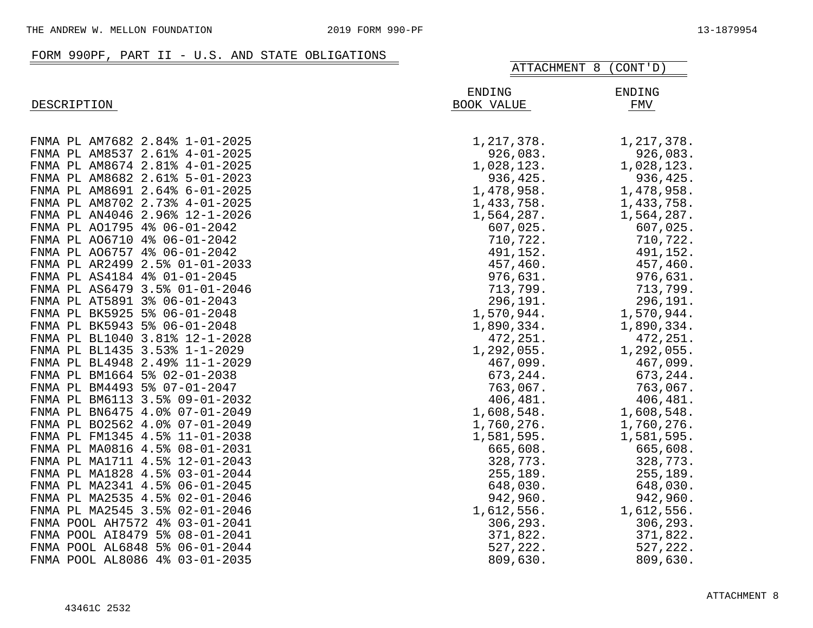|                                | ATTACHMENT 8<br>(CONT' D)   |                      |  |
|--------------------------------|-----------------------------|----------------------|--|
| DESCRIPTION                    | <b>ENDING</b><br>BOOK VALUE | <b>ENDING</b><br>FMV |  |
| FNMA PL AM7682 2.84% 1-01-2025 | 1, 217, 378.                | 1, 217, 378.         |  |
| FNMA PL AM8537 2.61% 4-01-2025 | 926,083.                    | 926,083.             |  |
| FNMA PL AM8674 2.81% 4-01-2025 | 1,028,123.                  | 1,028,123.           |  |
| FNMA PL AM8682 2.61% 5-01-2023 | 936,425.                    | 936,425.             |  |
| FNMA PL AM8691 2.64% 6-01-2025 | 1,478,958.                  | 1,478,958.           |  |
| FNMA PL AM8702 2.73% 4-01-2025 | 1,433,758.                  | 1,433,758.           |  |
| FNMA PL AN4046 2.96% 12-1-2026 | 1,564,287.                  | 1,564,287.           |  |
| FNMA PL A01795 4% 06-01-2042   | 607,025.                    | 607,025.             |  |
| FNMA PL A06710 4% 06-01-2042   | 710,722.                    | 710,722.             |  |
| FNMA PL A06757 4% 06-01-2042   | 491,152.                    | 491,152.             |  |
| FNMA PL AR2499 2.5% 01-01-2033 | 457,460.                    | 457,460.             |  |
| FNMA PL AS4184 4% 01-01-2045   | 976,631.                    | 976,631.             |  |
| FNMA PL AS6479 3.5% 01-01-2046 | 713,799.                    | 713,799.             |  |
| FNMA PL AT5891 3% 06-01-2043   | 296,191.                    | 296,191.             |  |
| FNMA PL BK5925 5% 06-01-2048   | 1,570,944.                  | 1,570,944.           |  |
| FNMA PL BK5943 5% 06-01-2048   | 1,890,334.                  | 1,890,334.           |  |
| FNMA PL BL1040 3.81% 12-1-2028 | 472,251.                    | 472,251.             |  |
| FNMA PL BL1435 3.53% 1-1-2029  | 1,292,055.                  | 1,292,055.           |  |
| FNMA PL BL4948 2.49% 11-1-2029 | 467,099.                    | 467,099.             |  |
| FNMA PL BM1664 5% 02-01-2038   | 673,244.                    | 673,244.             |  |
| FNMA PL BM4493 5% 07-01-2047   | 763,067.                    | 763,067.             |  |
| FNMA PL BM6113 3.5% 09-01-2032 | 406,481.                    | 406,481.             |  |
| FNMA PL BN6475 4.0% 07-01-2049 | 1,608,548.                  | 1,608,548.           |  |
| FNMA PL B02562 4.0% 07-01-2049 | 1,760,276.                  | 1,760,276.           |  |
| FNMA PL FM1345 4.5% 11-01-2038 | 1,581,595.                  | 1,581,595.           |  |
| FNMA PL MA0816 4.5% 08-01-2031 | 665,608.                    | 665,608.             |  |
| FNMA PL MA1711 4.5% 12-01-2043 | 328,773.                    | 328,773.             |  |
| FNMA PL MA1828 4.5% 03-01-2044 | 255,189.                    | 255,189.             |  |
| FNMA PL MA2341 4.5% 06-01-2045 | 648,030.                    | 648,030.             |  |
| FNMA PL MA2535 4.5% 02-01-2046 | 942,960.                    | 942,960.             |  |
| FNMA PL MA2545 3.5% 02-01-2046 | 1,612,556.                  | 1,612,556.           |  |
| FNMA POOL AH7572 4% 03-01-2041 | 306,293.                    | 306,293.             |  |
| FNMA POOL AI8479 5% 08-01-2041 | 371,822.                    | 371,822.             |  |
| FNMA POOL AL6848 5% 06-01-2044 | 527,222.                    | 527,222.             |  |
| FNMA POOL AL8086 4% 03-01-2035 | 809,630.                    | 809,630.             |  |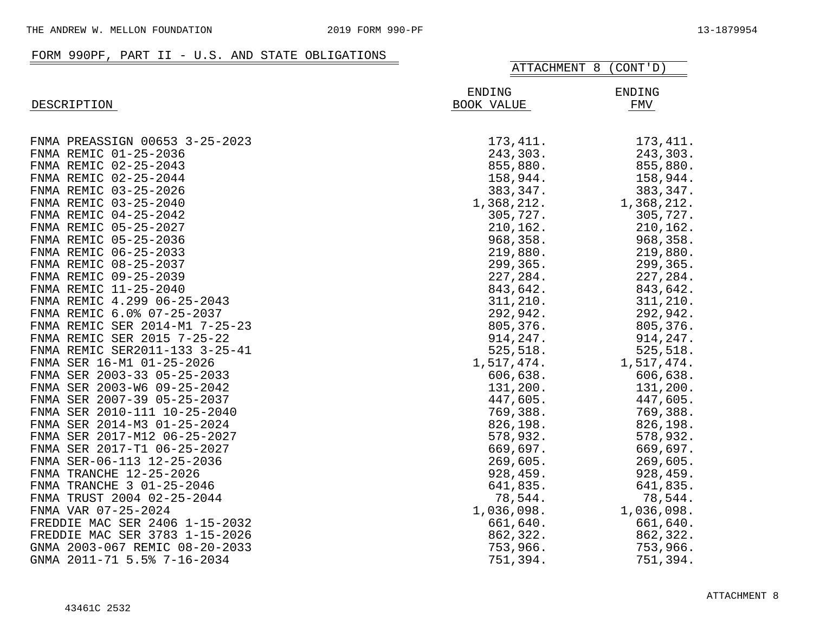## FORM 990PF, PART II - U.S. AND STATE OBLIGATIONS

|                                | ATTACHMENT 8                | (CONT' D)     |
|--------------------------------|-----------------------------|---------------|
| DESCRIPTION                    | <b>ENDING</b><br>BOOK VALUE | ENDING<br>FMV |
|                                |                             |               |
| FNMA PREASSIGN 00653 3-25-2023 | 173, 411.                   | 173, 411.     |
| FNMA REMIC 01-25-2036          | 243,303.                    | 243,303.      |
| FNMA REMIC 02-25-2043          | 855,880.                    | 855,880.      |
| FNMA REMIC 02-25-2044          | 158,944.                    | 158,944.      |
| FNMA REMIC 03-25-2026          | 383,347.                    | 383,347.      |
| FNMA REMIC 03-25-2040          | 1,368,212.                  | 1,368,212.    |
| FNMA REMIC 04-25-2042          | 305,727.                    | 305,727.      |
| FNMA REMIC 05-25-2027          | 210,162.                    | 210,162.      |
| FNMA REMIC 05-25-2036          | 968,358.                    | 968,358.      |
| FNMA REMIC 06-25-2033          | 219,880.                    | 219,880.      |
| FNMA REMIC 08-25-2037          | 299,365.                    | 299,365.      |
| FNMA REMIC 09-25-2039          | 227,284.                    | 227,284.      |
| FNMA REMIC 11-25-2040          | 843,642.                    | 843,642.      |
| FNMA REMIC 4.299 06-25-2043    | 311, 210.                   | 311,210.      |
| FNMA REMIC 6.0% 07-25-2037     | 292,942.                    | 292,942.      |
| FNMA REMIC SER 2014-M1 7-25-23 | 805,376.                    | 805,376.      |
| FNMA REMIC SER 2015 7-25-22    | 914,247.                    | 914,247.      |
| FNMA REMIC SER2011-133 3-25-41 | 525,518.                    | 525,518.      |
| FNMA SER 16-M1 01-25-2026      | 1,517,474.                  | 1,517,474.    |
| FNMA SER 2003-33 05-25-2033    | 606,638.                    | 606,638.      |
| FNMA SER 2003-W6 09-25-2042    | 131,200.                    | 131,200.      |
| FNMA SER 2007-39 05-25-2037    | 447,605.                    | 447,605.      |
| FNMA SER 2010-111 10-25-2040   | 769,388.                    | 769,388.      |
| FNMA SER 2014-M3 01-25-2024    | 826,198.                    | 826,198.      |
| FNMA SER 2017-M12 06-25-2027   | 578,932.                    | 578,932.      |
| FNMA SER 2017-T1 06-25-2027    | 669,697.                    | 669,697.      |
| FNMA SER-06-113 12-25-2036     | 269,605.                    | 269,605.      |
| FNMA TRANCHE 12-25-2026        | 928,459.                    | 928,459.      |
| FNMA TRANCHE 3 01-25-2046      | 641,835.                    | 641,835.      |
| FNMA TRUST 2004 02-25-2044     | 78,544.                     | 78,544.       |
| FNMA VAR 07-25-2024            | 1,036,098.                  | 1,036,098.    |
| FREDDIE MAC SER 2406 1-15-2032 | 661,640.                    | 661,640.      |
| FREDDIE MAC SER 3783 1-15-2026 | 862,322.                    | 862,322.      |
| GNMA 2003-067 REMIC 08-20-2033 | 753,966.                    | 753,966.      |
| GNMA 2011-71 5.5% 7-16-2034    | 751,394.                    | 751,394.      |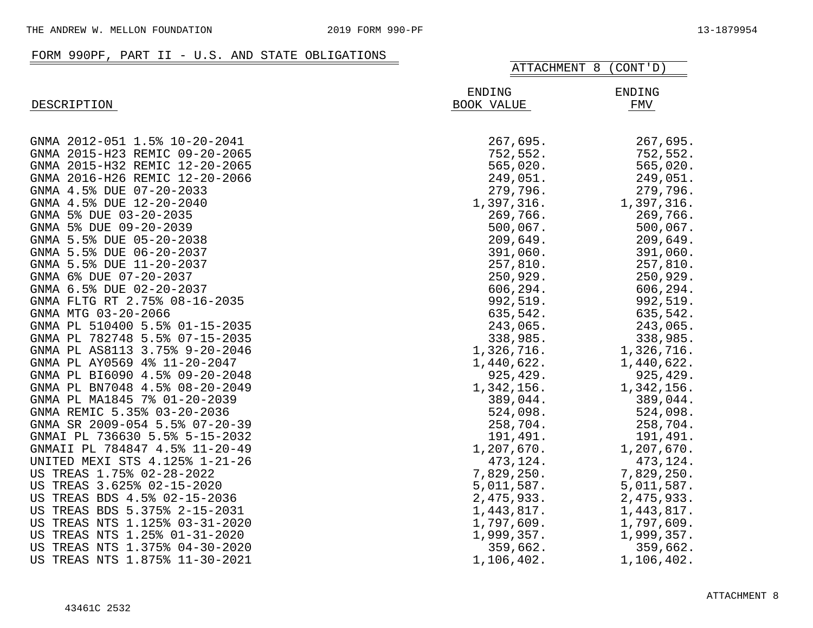## FORM 990PF, PART II - U.S. AND STATE OBLIGATIONS

|                                | ATTACHMENT 8<br>(CONT' D) |               |
|--------------------------------|---------------------------|---------------|
| DESCRIPTION                    | ENDING<br>BOOK VALUE      | ENDING<br>FMV |
| GNMA 2012-051 1.5% 10-20-2041  | 267,695.                  | 267,695.      |
| GNMA 2015-H23 REMIC 09-20-2065 | 752,552.                  | 752,552.      |
| GNMA 2015-H32 REMIC 12-20-2065 | 565,020.                  | 565,020.      |
| GNMA 2016-H26 REMIC 12-20-2066 | 249,051.                  | 249,051.      |
| GNMA 4.5% DUE 07-20-2033       | 279,796.                  | 279,796.      |
| GNMA 4.5% DUE 12-20-2040       | 1,397,316.                | 1,397,316.    |
| GNMA 5% DUE 03-20-2035         | 269,766.                  | 269,766.      |
| GNMA 5% DUE 09-20-2039         | 500,067.                  | 500,067.      |
| GNMA 5.5% DUE 05-20-2038       | 209,649.                  | 209,649.      |
| GNMA 5.5% DUE 06-20-2037       | 391,060.                  | 391,060.      |
| GNMA 5.5% DUE 11-20-2037       | 257,810.                  | 257,810.      |
| GNMA 6% DUE 07-20-2037         | 250,929.                  | 250,929.      |
| GNMA 6.5% DUE 02-20-2037       | 606,294.                  | 606,294.      |
| GNMA FLTG RT 2.75% 08-16-2035  | 992,519.                  | 992,519.      |
| GNMA MTG 03-20-2066            | 635,542.                  | 635,542.      |
| GNMA PL 510400 5.5% 01-15-2035 | 243,065.                  | 243,065.      |
| GNMA PL 782748 5.5% 07-15-2035 | 338,985.                  | 338,985.      |
| GNMA PL AS8113 3.75% 9-20-2046 | 1,326,716.                | 1,326,716.    |
| GNMA PL AY0569 4% 11-20-2047   | 1,440,622.                | 1,440,622.    |
| GNMA PL BI6090 4.5% 09-20-2048 | 925,429.                  | 925,429.      |
| GNMA PL BN7048 4.5% 08-20-2049 | 1,342,156.                | 1,342,156.    |
| GNMA PL MA1845 7% 01-20-2039   | 389,044.                  | 389,044.      |
| GNMA REMIC 5.35% 03-20-2036    | 524,098.                  | 524,098.      |
| GNMA SR 2009-054 5.5% 07-20-39 | 258,704.                  | 258,704.      |
| GNMAI PL 736630 5.5% 5-15-2032 | 191,491.                  | 191,491.      |
| GNMAII PL 784847 4.5% 11-20-49 | 1,207,670.                | 1,207,670.    |
| UNITED MEXI STS 4.125% 1-21-26 | 473,124.                  | 473,124.      |
| US TREAS 1.75% 02-28-2022      | 7,829,250.                | 7,829,250.    |
| US TREAS 3.625% 02-15-2020     | 5,011,587.                | 5,011,587.    |
| US TREAS BDS 4.5% 02-15-2036   | 2,475,933.                | 2,475,933.    |
| US TREAS BDS 5.375% 2-15-2031  | 1,443,817.                | 1,443,817.    |
| US TREAS NTS 1.125% 03-31-2020 | 1,797,609.                | 1,797,609.    |
| US TREAS NTS 1.25% 01-31-2020  | 1,999,357.                | 1,999,357.    |
| US TREAS NTS 1.375% 04-30-2020 | 359,662.                  | 359,662.      |
| US TREAS NTS 1.875% 11-30-2021 | 1,106,402.                | 1,106,402.    |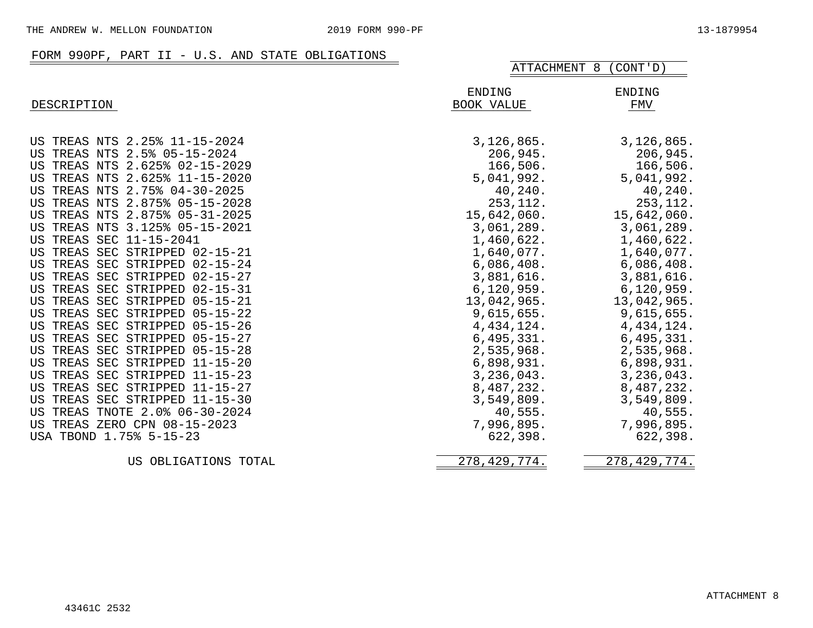#### FORM 990PF, PART II - U.S. AND STATE OBLIGATIONS

|                                         | ATTACHMENT 8<br>(CONT' D) |                |
|-----------------------------------------|---------------------------|----------------|
|                                         | ENDING                    | <b>ENDING</b>  |
| DESCRIPTION                             | BOOK VALUE                | FMV            |
|                                         |                           |                |
| US TREAS NTS 2.25% 11-15-2024           | 3,126,865.                | 3,126,865.     |
| US TREAS NTS 2.5% 05-15-2024            | 206,945.                  | 206,945.       |
| US TREAS NTS 2.625% 02-15-2029          | 166,506.                  | 166,506.       |
| US TREAS NTS 2.625% 11-15-2020          | 5,041,992.                | 5,041,992.     |
| US TREAS NTS 2.75% 04-30-2025           | 40,240.                   | 40,240.        |
| US TREAS NTS 2.875% 05-15-2028          | 253, 112.                 | 253, 112.      |
| US TREAS NTS 2.875% 05-31-2025          | 15,642,060.               | 15,642,060.    |
| US TREAS NTS 3.125% 05-15-2021          | 3,061,289.                | 3,061,289.     |
| US TREAS SEC 11-15-2041                 | 1,460,622.                | 1,460,622.     |
| US TREAS SEC STRIPPED 02-15-21          | 1,640,077.                | 1,640,077.     |
| US TREAS SEC STRIPPED 02-15-24          | 6,086,408.                | 6,086,408.     |
| US TREAS SEC STRIPPED 02-15-27          | 3,881,616.                | 3,881,616.     |
| US TREAS SEC STRIPPED 02-15-31          | 6, 120, 959.              | 6, 120, 959.   |
| US TREAS SEC STRIPPED<br>$05 - 15 - 21$ | 13,042,965.               | 13,042,965.    |
| US TREAS SEC STRIPPED 05-15-22          | 9,615,655.                | 9,615,655.     |
| US TREAS SEC STRIPPED 05-15-26          | 4, 434, 124.              | 4, 434, 124.   |
| US TREAS SEC STRIPPED 05-15-27          | 6,495,331.                | 6,495,331.     |
| US TREAS SEC STRIPPED 05-15-28          | 2,535,968.                | 2,535,968.     |
| US TREAS SEC STRIPPED 11-15-20          | 6,898,931.                | 6,898,931.     |
| US TREAS SEC STRIPPED 11-15-23          | 3,236,043.                | 3,236,043.     |
| US TREAS SEC STRIPPED 11-15-27          | 8,487,232.                | 8,487,232.     |
| US TREAS SEC STRIPPED 11-15-30          | 3,549,809.                | 3,549,809.     |
| US TREAS TNOTE 2.0% 06-30-2024          | 40,555.                   | 40,555.        |
| US TREAS ZERO CPN 08-15-2023            | 7,996,895.                | 7,996,895.     |
| USA TBOND 1.75% 5-15-23                 | 622,398.                  | 622,398.       |
| OBLIGATIONS TOTAL<br>US                 | 278, 429, 774.            | 278, 429, 774. |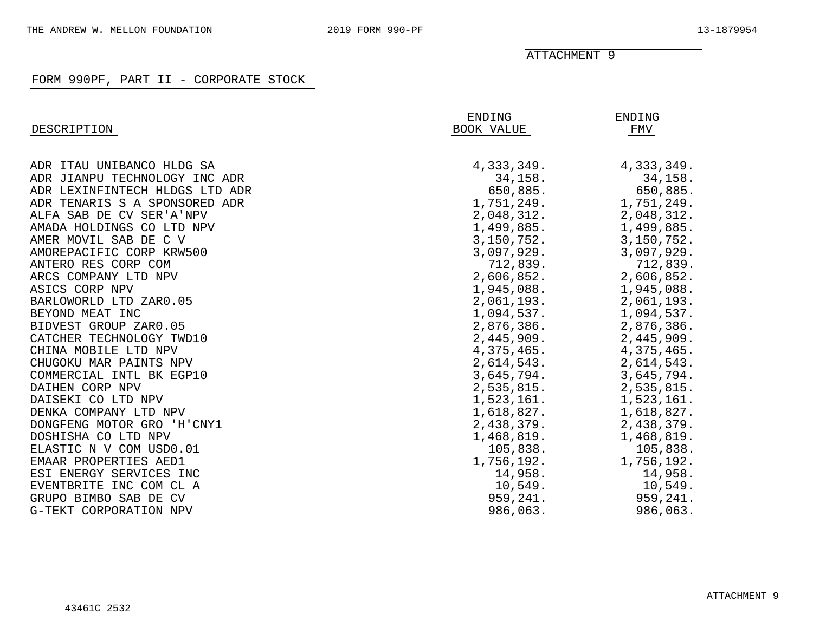ATTACHMENT 9

| DESCRIPTION                    | ENDING<br>BOOK VALUE | ENDING<br>FMV |
|--------------------------------|----------------------|---------------|
| ADR ITAU UNIBANCO HLDG SA      | 4,333,349.           | 4,333,349.    |
| ADR JIANPU TECHNOLOGY INC ADR  | 34,158.              | 34,158.       |
| ADR LEXINFINTECH HLDGS LTD ADR | 650,885.             | 650,885.      |
| ADR TENARIS S A SPONSORED ADR  | 1,751,249.           | 1,751,249.    |
| ALFA SAB DE CV SER'A'NPV       | 2,048,312.           | 2,048,312.    |
| AMADA HOLDINGS CO LTD NPV      | 1,499,885.           | 1,499,885.    |
| AMER MOVIL SAB DE C V          | 3,150,752.           | 3,150,752.    |
| AMOREPACIFIC CORP KRW500       | 3,097,929.           | 3,097,929.    |
| ANTERO RES CORP COM            | 712,839.             | 712,839.      |
| ARCS COMPANY LTD NPV           | 2,606,852.           | 2,606,852.    |
| ASICS CORP NPV                 | 1,945,088.           | 1,945,088.    |
| BARLOWORLD LTD ZAR0.05         | 2,061,193.           | 2,061,193.    |
| BEYOND MEAT INC                | 1,094,537.           | 1,094,537.    |
| BIDVEST GROUP ZAR0.05          | 2,876,386.           | 2,876,386.    |
| CATCHER TECHNOLOGY TWD10       | 2,445,909.           | 2,445,909.    |
| CHINA MOBILE LTD NPV           | 4,375,465.           | 4,375,465.    |
| CHUGOKU MAR PAINTS NPV         | 2,614,543.           | 2,614,543.    |
| COMMERCIAL INTL BK EGP10       | 3,645,794.           | 3,645,794.    |
| DAIHEN CORP NPV                | 2,535,815.           | 2,535,815.    |
| DAISEKI CO LTD NPV             | 1,523,161.           | 1,523,161.    |
| DENKA COMPANY LTD NPV          | 1,618,827.           | 1,618,827.    |
| DONGFENG MOTOR GRO 'H'CNY1     | 2,438,379.           | 2,438,379.    |
| DOSHISHA CO LTD NPV            | 1,468,819.           | 1,468,819.    |
| ELASTIC N V COM USD0.01        | 105,838.             | 105,838.      |
| EMAAR PROPERTIES AED1          | 1,756,192.           | 1,756,192.    |
| ESI ENERGY SERVICES INC        | 14,958.              | 14,958.       |
| EVENTBRITE INC COM CL A        | 10,549.              | 10,549.       |
| GRUPO BIMBO SAB DE CV          | 959,241.             | 959,241.      |
| G-TEKT CORPORATION NPV         | 986,063.             | 986,063.      |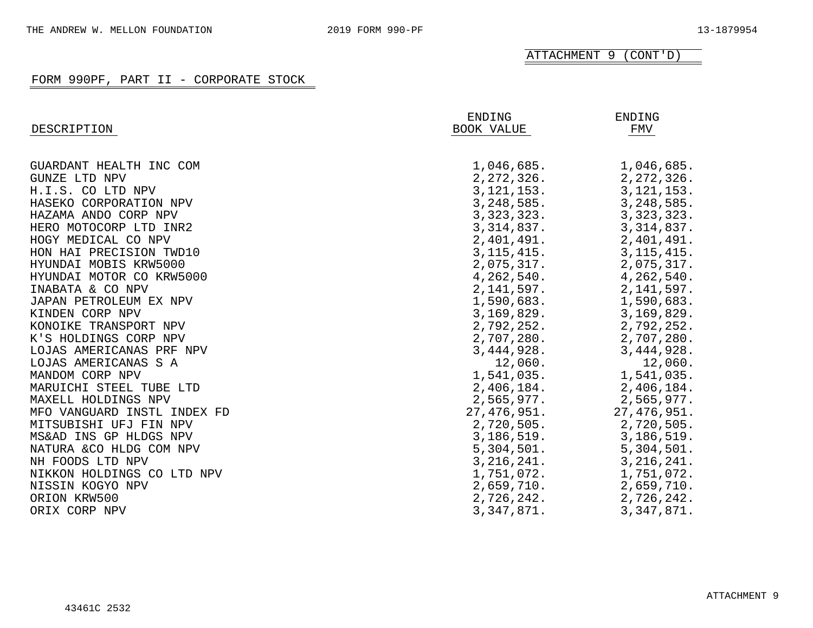| DESCRIPTION                 | ENDING<br>BOOK VALUE | ENDING<br>FMV |
|-----------------------------|----------------------|---------------|
|                             |                      |               |
| GUARDANT HEALTH INC COM     | 1,046,685.           | 1,046,685.    |
| <b>GUNZE LTD NPV</b>        | 2,272,326.           | 2, 272, 326.  |
| H.I.S. CO LTD NPV           | 3,121,153.           | 3,121,153.    |
| HASEKO CORPORATION NPV      | 3, 248, 585.         | 3,248,585.    |
| HAZAMA ANDO CORP NPV        | 3,323,323.           | 3, 323, 323.  |
| HERO MOTOCORP LTD INR2      | 3,314,837.           | 3, 314, 837.  |
| HOGY MEDICAL CO NPV         | 2,401,491.           | 2,401,491.    |
| HON HAI PRECISION TWD10     | 3, 115, 415.         | 3, 115, 415.  |
| HYUNDAI MOBIS KRW5000       | 2,075,317.           | 2,075,317.    |
| HYUNDAI MOTOR CO KRW5000    | 4, 262, 540.         | 4,262,540.    |
| INABATA & CO NPV            | 2,141,597.           | 2,141,597.    |
| JAPAN PETROLEUM EX NPV      | 1,590,683.           | 1,590,683.    |
| KINDEN CORP NPV             | 3,169,829.           | 3,169,829.    |
| KONOIKE TRANSPORT NPV       | 2,792,252.           | 2,792,252.    |
| K'S HOLDINGS CORP NPV       | 2,707,280.           | 2,707,280.    |
| LOJAS AMERICANAS PRF NPV    | 3, 444, 928.         | 3,444,928.    |
| LOJAS AMERICANAS S A        | 12,060.              | 12,060.       |
| MANDOM CORP NPV             | 1,541,035.           | 1,541,035.    |
| MARUICHI STEEL TUBE LTD     | 2,406,184.           | 2,406,184.    |
| MAXELL HOLDINGS NPV         | 2,565,977.           | 2,565,977.    |
| MFO VANGUARD INSTL INDEX FD | 27,476,951.          | 27, 476, 951. |
| MITSUBISHI UFJ FIN NPV      | 2,720,505.           | 2,720,505.    |
| MS&AD INS GP HLDGS NPV      | 3,186,519.           | 3,186,519.    |
| NATURA & CO HLDG COM NPV    | 5,304,501.           | 5,304,501.    |
| NH FOODS LTD NPV            | 3,216,241.           | 3, 216, 241.  |
| NIKKON HOLDINGS CO LTD NPV  | 1,751,072.           | 1,751,072.    |
| NISSIN KOGYO NPV            | 2,659,710.           | 2,659,710.    |
| ORION KRW500                | 2,726,242.           | 2,726,242.    |
| ORIX CORP NPV               | 3,347,871.           | 3,347,871.    |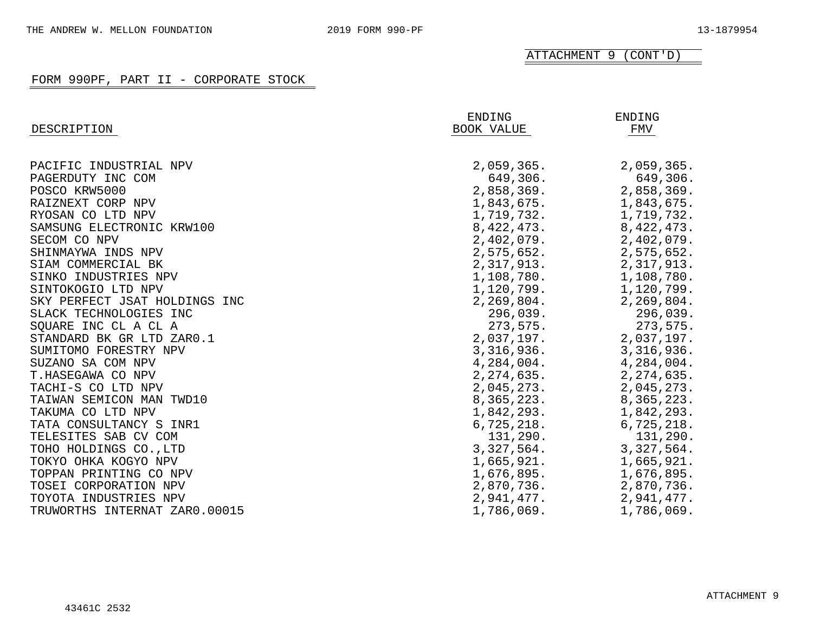|                               | ENDING       | ENDING       |
|-------------------------------|--------------|--------------|
| DESCRIPTION                   | BOOK VALUE   | FMV          |
|                               |              |              |
| PACIFIC INDUSTRIAL NPV        | 2,059,365.   | 2,059,365.   |
| PAGERDUTY INC COM             | 649,306.     | 649,306.     |
| POSCO KRW5000                 | 2,858,369.   | 2,858,369.   |
| RAIZNEXT CORP NPV             | 1,843,675.   | 1,843,675.   |
| RYOSAN CO LTD NPV             | 1,719,732.   | 1,719,732.   |
| SAMSUNG ELECTRONIC KRW100     | 8, 422, 473. | 8, 422, 473. |
| SECOM CO NPV                  | 2,402,079.   | 2,402,079.   |
| SHINMAYWA INDS NPV            | 2,575,652.   | 2,575,652.   |
| SIAM COMMERCIAL BK            | 2,317,913.   | 2,317,913.   |
| SINKO INDUSTRIES NPV          | 1,108,780.   | 1,108,780.   |
| SINTOKOGIO LTD NPV            | 1,120,799.   | 1,120,799.   |
| SKY PERFECT JSAT HOLDINGS INC | 2, 269, 804. | 2,269,804.   |
| SLACK TECHNOLOGIES INC        | 296,039.     | 296,039.     |
| SQUARE INC CL A CL A          | 273,575.     | 273,575.     |
| STANDARD BK GR LTD ZAR0.1     | 2,037,197.   | 2,037,197.   |
| SUMITOMO FORESTRY NPV         | 3,316,936.   | 3,316,936.   |
| SUZANO SA COM NPV             | 4,284,004.   | 4,284,004.   |
| T.HASEGAWA CO NPV             | 2, 274, 635. | 2, 274, 635. |
| TACHI-S CO LTD NPV            | 2,045,273.   | 2,045,273.   |
| TAIWAN SEMICON MAN TWD10      | 8,365,223.   | 8,365,223.   |
| TAKUMA CO LTD NPV             | 1,842,293.   | 1,842,293.   |
| TATA CONSULTANCY S INR1       | 6,725,218.   | 6,725,218.   |
| TELESITES SAB CV COM          | 131,290.     | 131,290.     |
| TOHO HOLDINGS CO., LTD        | 3,327,564.   | 3,327,564.   |
| TOKYO OHKA KOGYO NPV          | 1,665,921.   | 1,665,921.   |
| TOPPAN PRINTING CO NPV        | 1,676,895.   | 1,676,895.   |
| TOSEI CORPORATION NPV         | 2,870,736.   | 2,870,736.   |
| TOYOTA INDUSTRIES NPV         | 2,941,477.   | 2,941,477.   |
| TRUWORTHS INTERNAT ZAR0.00015 | 1,786,069.   | 1,786,069.   |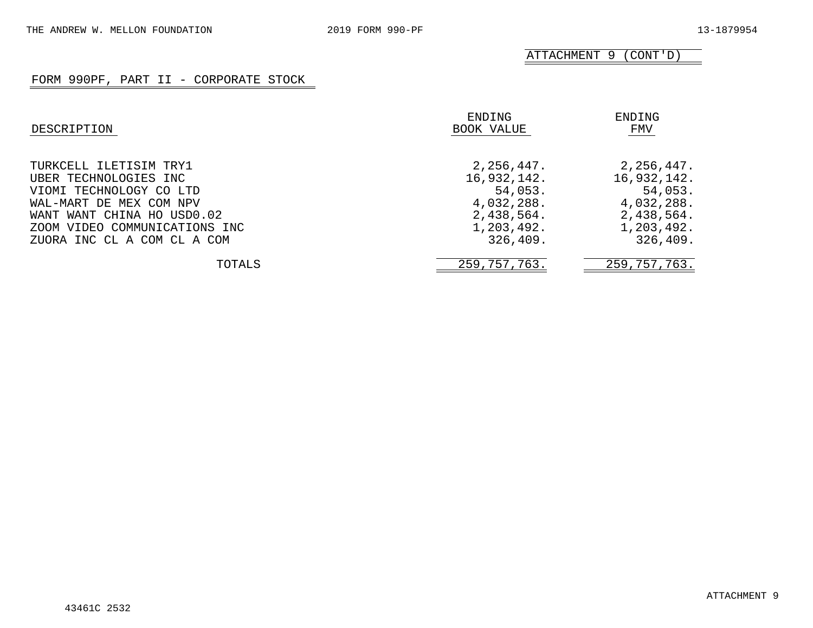| DESCRIPTION                   | ENDING<br>BOOK VALUE | ENDING<br>FMV |
|-------------------------------|----------------------|---------------|
| TURKCELL ILETISIM TRY1        | 2,256,447.           | 2,256,447.    |
| UBER TECHNOLOGIES INC         | 16,932,142.          | 16,932,142.   |
| VIOMI TECHNOLOGY CO LTD       | 54,053.              | 54,053.       |
| WAL-MART DE MEX COM NPV       | 4,032,288.           | 4,032,288.    |
| WANT WANT CHINA HO USD0.02    | 2,438,564.           | 2,438,564.    |
| ZOOM VIDEO COMMUNICATIONS INC | 1,203,492.           | 1,203,492.    |
| ZUORA INC CL A COM CL A COM   | 326, 409.            | 326, 409.     |
| TOTALS                        | 259,757,763.         | 259,757,763.  |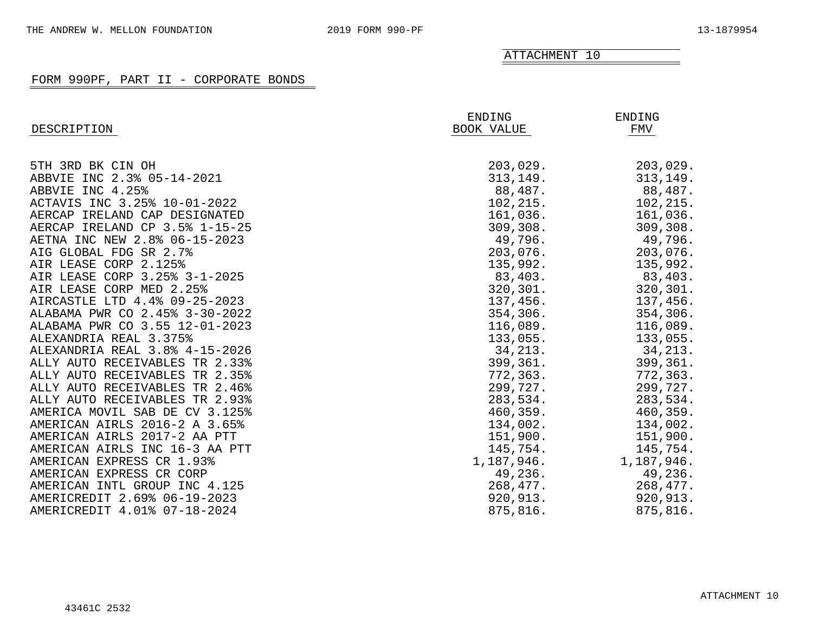## ATTACHMENT 10

| DESCRIPTION                    | ENDING<br><b>BOOK VALUE</b> | ENDING<br>FMV |
|--------------------------------|-----------------------------|---------------|
|                                |                             |               |
| 5TH 3RD BK CIN OH              | 203,029.                    | 203,029.      |
| ABBVIE INC 2.3% 05-14-2021     | 313, 149.                   | 313, 149.     |
| ABBVIE INC 4.25%               | 88,487.                     | 88,487.       |
| ACTAVIS INC 3.25% 10-01-2022   | 102, 215.                   | 102, 215.     |
| AERCAP IRELAND CAP DESIGNATED  | 161,036.                    | 161,036.      |
| AERCAP IRELAND CP 3.5% 1-15-25 | 309, 308.                   | 309, 308.     |
| AETNA INC NEW 2.8% 06-15-2023  | 49,796.                     | 49,796.       |
| AIG GLOBAL FDG SR 2.7%         | 203,076.                    | 203,076.      |
| AIR LEASE CORP 2.125%          | 135,992.                    | 135,992.      |
| AIR LEASE CORP 3.25% 3-1-2025  | 83,403.                     | 83,403.       |
| AIR LEASE CORP MED 2.25%       | 320, 301.                   | 320,301.      |
| AIRCASTLE LTD 4.4% 09-25-2023  | 137,456.                    | 137,456.      |
| ALABAMA PWR CO 2.45% 3-30-2022 | 354, 306.                   | 354,306.      |
| ALABAMA PWR CO 3.55 12-01-2023 | 116,089.                    | 116,089.      |
| ALEXANDRIA REAL 3.375%         | 133,055.                    | 133,055.      |
| ALEXANDRIA REAL 3.8% 4-15-2026 | 34,213.                     | 34,213.       |
| ALLY AUTO RECEIVABLES TR 2.33% | 399,361.                    | 399,361.      |
| ALLY AUTO RECEIVABLES TR 2.35% | 772,363.                    | 772,363.      |
| ALLY AUTO RECEIVABLES TR 2.46% | 299,727.                    | 299,727.      |
| ALLY AUTO RECEIVABLES TR 2.93% | 283,534.                    | 283,534.      |
| AMERICA MOVIL SAB DE CV 3.125% | 460,359.                    | 460, 359.     |
| AMERICAN AIRLS 2016-2 A 3.65%  | 134,002.                    | 134,002.      |
| AMERICAN AIRLS 2017-2 AA PTT   | 151,900.                    | 151,900.      |
| AMERICAN AIRLS INC 16-3 AA PTT | 145,754.                    | 145,754.      |
| AMERICAN EXPRESS CR 1.93%      | 1,187,946.                  | 1,187,946.    |
| AMERICAN EXPRESS CR CORP       | 49,236.                     | 49,236.       |
| AMERICAN INTL GROUP INC 4.125  | 268,477.                    | 268,477.      |
| AMERICREDIT 2.69% 06-19-2023   | 920,913.                    | 920,913.      |
| AMERICREDIT 4.01% 07-18-2024   | 875,816.                    | 875,816.      |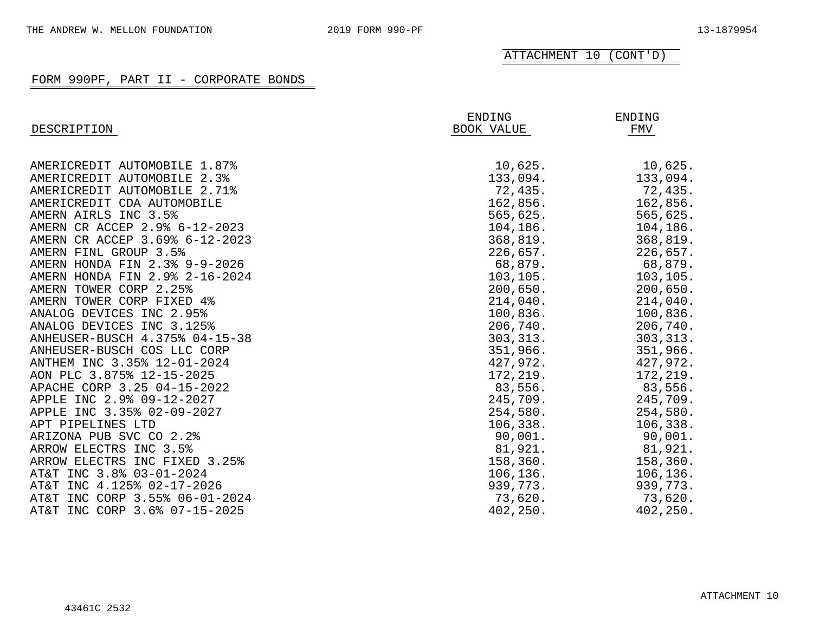|                                | ENDING     | ENDING              |
|--------------------------------|------------|---------------------|
| DESCRIPTION                    | BOOK VALUE | FMV                 |
| AMERICREDIT AUTOMOBILE 1.87%   | 10,625.    | 10,625.             |
| AMERICREDIT AUTOMOBILE 2.3%    | 133,094.   |                     |
| AMERICREDIT AUTOMOBILE 2.71%   | 72,435.    | 133,094.<br>72,435. |
| AMERICREDIT CDA AUTOMOBILE     | 162,856.   | 162,856.            |
| AMERN AIRLS INC 3.5%           |            |                     |
| AMERN CR ACCEP 2.9% 6-12-2023  | 565,625.   | 565,625.            |
|                                | 104,186.   | 104,186.            |
| AMERN CR ACCEP 3.69% 6-12-2023 | 368,819.   | 368,819.            |
| AMERN FINL GROUP 3.5%          | 226,657.   | 226,657.            |
| AMERN HONDA FIN 2.3% 9-9-2026  | 68,879.    | 68,879.             |
| AMERN HONDA FIN 2.9% 2-16-2024 | 103, 105.  | 103,105.            |
| AMERN TOWER CORP 2.25%         | 200,650.   | 200,650.            |
| AMERN TOWER CORP FIXED 4%      | 214,040.   | 214,040.            |
| ANALOG DEVICES INC 2.95%       | 100,836.   | 100,836.            |
| ANALOG DEVICES INC 3.125%      | 206,740.   | 206,740.            |
| ANHEUSER-BUSCH 4.375% 04-15-38 | 303, 313.  | 303, 313.           |
| ANHEUSER-BUSCH COS LLC CORP    | 351,966.   | 351,966.            |
| ANTHEM INC 3.35% 12-01-2024    | 427,972.   | 427,972.            |
| AON PLC 3.875% 12-15-2025      | 172,219.   | 172,219.            |
| APACHE CORP 3.25 04-15-2022    | 83,556.    | 83,556.             |
| APPLE INC 2.9% 09-12-2027      | 245,709.   | 245,709.            |
| APPLE INC 3.35% 02-09-2027     | 254,580.   | 254,580.            |
| APT PIPELINES LTD              | 106,338.   | 106,338.            |
| ARIZONA PUB SVC CO 2.2%        | 90,001.    | 90,001.             |
| ARROW ELECTRS INC 3.5%         | 81,921.    | 81,921.             |
| ARROW ELECTRS INC FIXED 3.25%  | 158,360.   | 158,360.            |
| AT&T INC 3.8% 03-01-2024       | 106, 136.  | 106,136.            |
| AT&T INC 4.125% 02-17-2026     | 939,773.   | 939,773.            |
| AT&T INC CORP 3.55% 06-01-2024 | 73,620.    | 73,620.             |
| AT&T INC CORP 3.6% 07-15-2025  | 402,250.   | 402,250.            |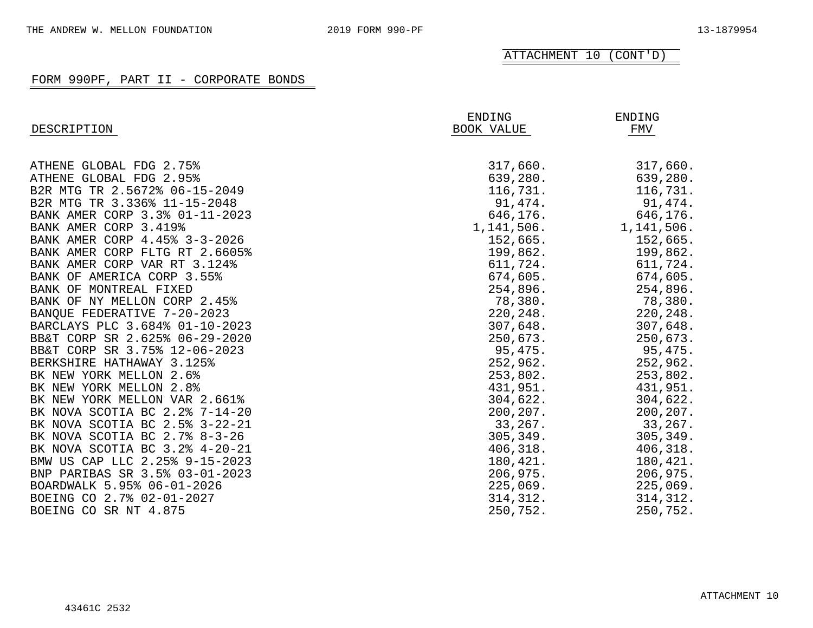| DESCRIPTION                    | ENDING<br><b>BOOK VALUE</b> | ENDING<br>FMV |
|--------------------------------|-----------------------------|---------------|
| ATHENE GLOBAL FDG 2.75%        | 317,660.                    | 317,660.      |
| ATHENE GLOBAL FDG 2.95%        | 639,280.                    | 639,280.      |
| B2R MTG TR 2.5672% 06-15-2049  | 116,731.                    | 116,731.      |
| B2R MTG TR 3.336% 11-15-2048   | 91,474.                     | 91,474.       |
| BANK AMER CORP 3.3% 01-11-2023 | 646,176.                    | 646,176.      |
| BANK AMER CORP 3.419%          | 1,141,506.                  | 1,141,506.    |
| BANK AMER CORP 4.45% 3-3-2026  | 152,665.                    | 152,665.      |
| BANK AMER CORP FLTG RT 2.6605% | 199,862.                    | 199,862.      |
| BANK AMER CORP VAR RT 3.124%   | 611,724.                    | 611,724.      |
| BANK OF AMERICA CORP 3.55%     | 674,605.                    | 674,605.      |
| BANK OF MONTREAL FIXED         | 254,896.                    | 254,896.      |
| BANK OF NY MELLON CORP 2.45%   | 78,380.                     | 78,380.       |
| BANQUE FEDERATIVE 7-20-2023    | 220,248.                    | 220, 248.     |
| BARCLAYS PLC 3.684% 01-10-2023 | 307,648.                    | 307,648.      |
| BB&T CORP SR 2.625% 06-29-2020 | 250,673.                    | 250,673.      |
| BB&T CORP SR 3.75% 12-06-2023  | 95,475.                     | 95,475.       |
| BERKSHIRE HATHAWAY 3.125%      | 252,962.                    | 252,962.      |
| BK NEW YORK MELLON 2.6%        | 253,802.                    | 253,802.      |
| BK NEW YORK MELLON 2.8%        | 431,951.                    | 431,951.      |
| BK NEW YORK MELLON VAR 2.661%  | 304,622.                    | 304,622.      |
| BK NOVA SCOTIA BC 2.2% 7-14-20 | 200, 207.                   | 200, 207.     |
| BK NOVA SCOTIA BC 2.5% 3-22-21 | 33, 267.                    | 33,267.       |
| BK NOVA SCOTIA BC 2.7% 8-3-26  | 305, 349.                   | 305, 349.     |
| BK NOVA SCOTIA BC 3.2% 4-20-21 | 406, 318.                   | 406, 318.     |
| BMW US CAP LLC 2.25% 9-15-2023 | 180, 421.                   | 180,421.      |
| BNP PARIBAS SR 3.5% 03-01-2023 | 206,975.                    | 206,975.      |
| BOARDWALK 5.95% 06-01-2026     | 225,069.                    | 225,069.      |
| BOEING CO 2.7% 02-01-2027      | 314, 312.                   | 314,312.      |
| BOEING CO SR NT 4.875          | 250,752.                    | 250,752.      |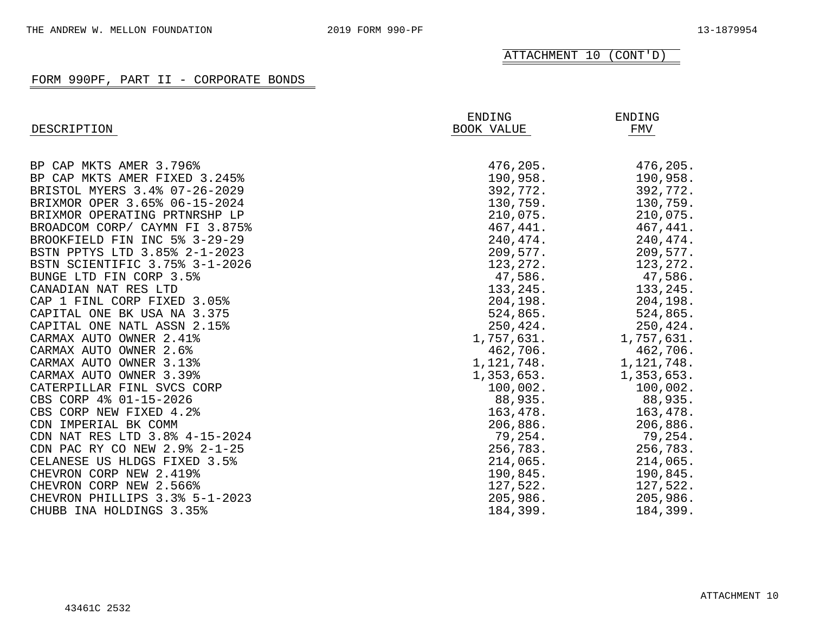| DESCRIPTION                    | ENDING<br>BOOK VALUE | ENDING<br>FMV |
|--------------------------------|----------------------|---------------|
|                                |                      |               |
| BP CAP MKTS AMER 3.796%        | 476,205.             | 476,205.      |
| BP CAP MKTS AMER FIXED 3.245%  | 190,958.             | 190,958.      |
| BRISTOL MYERS 3.4% 07-26-2029  | 392,772.             | 392,772.      |
| BRIXMOR OPER 3.65% 06-15-2024  | 130,759.             | 130,759.      |
| BRIXMOR OPERATING PRTNRSHP LP  | 210,075.             | 210,075.      |
| BROADCOM CORP/ CAYMN FI 3.875% | 467,441.             | 467,441.      |
| BROOKFIELD FIN INC 5% 3-29-29  | 240, 474.            | 240, 474.     |
| BSTN PPTYS LTD 3.85% 2-1-2023  | 209,577.             | 209,577.      |
| BSTN SCIENTIFIC 3.75% 3-1-2026 | 123, 272.            | 123,272.      |
| BUNGE LTD FIN CORP 3.5%        | 47,586.              | 47,586.       |
| CANADIAN NAT RES LTD           | 133,245.             | 133,245.      |
| CAP 1 FINL CORP FIXED 3.05%    | 204,198.             | 204,198.      |
| CAPITAL ONE BK USA NA 3.375    | 524,865.             | 524,865.      |
| CAPITAL ONE NATL ASSN 2.15%    | 250,424.             | 250,424.      |
| CARMAX AUTO OWNER 2.41%        | 1,757,631.           | 1,757,631.    |
| CARMAX AUTO OWNER 2.6%         | 462,706.             | 462,706.      |
| CARMAX AUTO OWNER 3.13%        | 1,121,748.           | 1,121,748.    |
| CARMAX AUTO OWNER 3.39%        | 1,353,653.           | 1,353,653.    |
| CATERPILLAR FINL SVCS CORP     | 100,002.             | 100,002.      |
| CBS CORP 4% 01-15-2026         | 88,935.              | 88,935.       |
| CBS CORP NEW FIXED 4.2%        | 163,478.             | 163,478.      |
| CDN IMPERIAL BK COMM           | 206,886.             | 206,886.      |
| CDN NAT RES LTD 3.8% 4-15-2024 | 79,254.              | 79,254.       |
| CDN PAC RY CO NEW 2.9% 2-1-25  | 256,783.             | 256,783.      |
| CELANESE US HLDGS FIXED 3.5%   | 214,065.             | 214,065.      |
| CHEVRON CORP NEW 2.419%        | 190,845.             | 190,845.      |
| CHEVRON CORP NEW 2.566%        | 127,522.             | 127,522.      |
| CHEVRON PHILLIPS 3.3% 5-1-2023 | 205,986.             | 205,986.      |
| CHUBB INA HOLDINGS 3.35%       | 184,399.             | 184,399.      |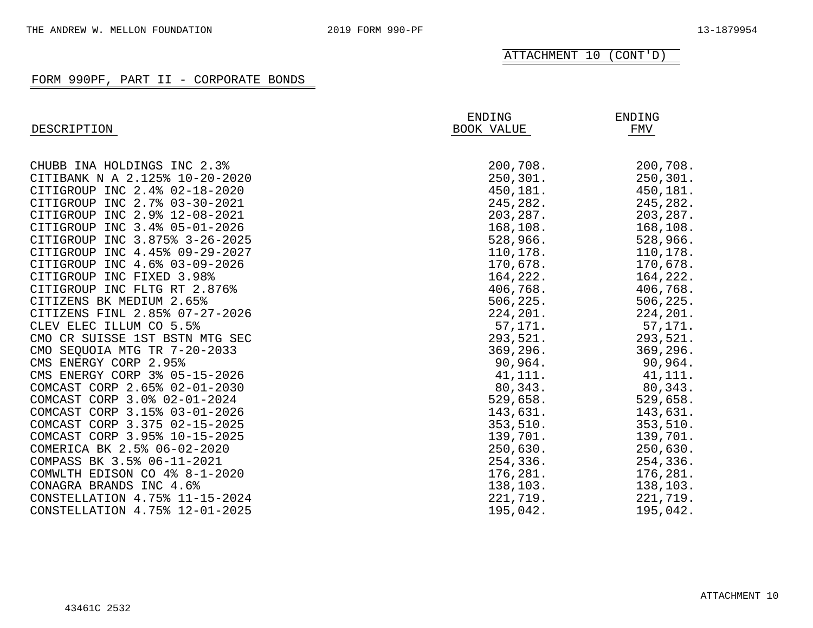| DESCRIPTION                    | ENDING<br>BOOK VALUE | ENDING<br>FMV |
|--------------------------------|----------------------|---------------|
|                                |                      |               |
| CHUBB INA HOLDINGS INC 2.3%    | 200,708.             | 200,708.      |
| CITIBANK N A 2.125% 10-20-2020 | 250, 301.            | 250, 301.     |
| CITIGROUP INC 2.4% 02-18-2020  | 450,181.             | 450,181.      |
| CITIGROUP INC 2.7% 03-30-2021  | 245,282.             | 245,282.      |
| CITIGROUP INC 2.9% 12-08-2021  | 203, 287.            | 203,287.      |
| CITIGROUP INC 3.4% 05-01-2026  | 168,108.             | 168,108.      |
| CITIGROUP INC 3.875% 3-26-2025 | 528,966.             | 528,966.      |
| CITIGROUP INC 4.45% 09-29-2027 | 110,178.             | 110,178.      |
| CITIGROUP INC 4.6% 03-09-2026  | 170,678.             | 170,678.      |
| CITIGROUP INC FIXED 3.98%      | 164,222.             | 164,222.      |
| CITIGROUP INC FLTG RT 2.876%   | 406,768.             | 406,768.      |
| CITIZENS BK MEDIUM 2.65%       | 506, 225.            | 506,225.      |
| CITIZENS FINL 2.85% 07-27-2026 | 224,201.             | 224,201.      |
| CLEV ELEC ILLUM CO 5.5%        | 57,171.              | 57,171.       |
| CMO CR SUISSE 1ST BSTN MTG SEC | 293,521.             | 293,521.      |
| CMO SEQUOIA MTG TR 7-20-2033   | 369, 296.            | 369,296.      |
| CMS ENERGY CORP 2.95%          | 90,964.              | 90,964.       |
| CMS ENERGY CORP 3% 05-15-2026  | 41,111.              | 41,111.       |
| COMCAST CORP 2.65% 02-01-2030  | 80,343.              | 80,343.       |
| COMCAST CORP 3.0% 02-01-2024   | 529,658.             | 529,658.      |
| COMCAST CORP 3.15% 03-01-2026  | 143,631.             | 143,631.      |
| COMCAST CORP 3.375 02-15-2025  | 353,510.             | 353,510.      |
| COMCAST CORP 3.95% 10-15-2025  | 139,701.             | 139,701.      |
| COMERICA BK 2.5% 06-02-2020    | 250,630.             | 250,630.      |
| COMPASS BK 3.5% 06-11-2021     | 254,336.             | 254,336.      |
| COMWLTH EDISON CO 4% 8-1-2020  | 176,281.             | 176,281.      |
| CONAGRA BRANDS INC 4.6%        | 138,103.             | 138,103.      |
| CONSTELLATION 4.75% 11-15-2024 | 221,719.             | 221,719.      |
| CONSTELLATION 4.75% 12-01-2025 | 195,042.             | 195,042.      |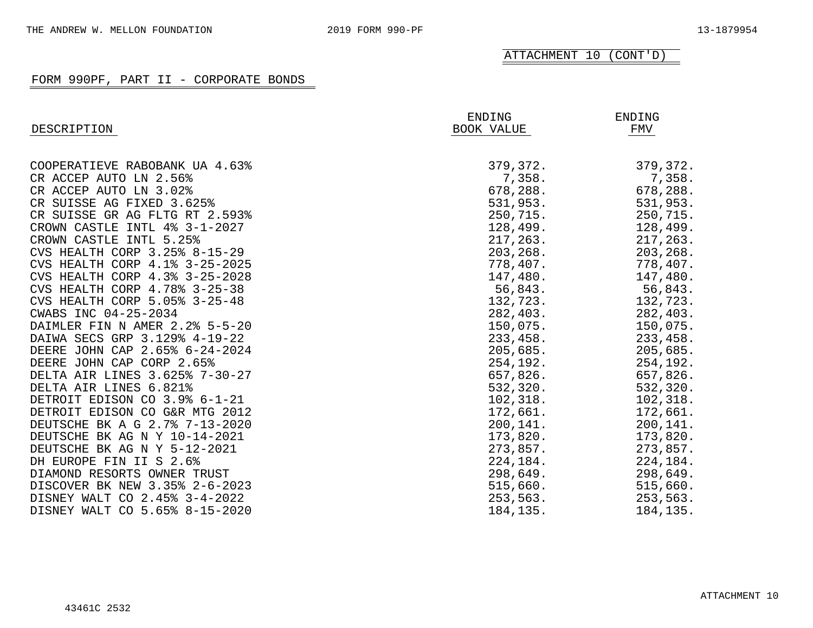| DESCRIPTION                    | ENDING<br>BOOK VALUE | ENDING<br>FMV |
|--------------------------------|----------------------|---------------|
|                                |                      |               |
| COOPERATIEVE RABOBANK UA 4.63% | 379,372.             | 379,372.      |
| CR ACCEP AUTO LN 2.56%         | 7,358.               | 7,358.        |
| CR ACCEP AUTO LN 3.02%         | 678,288.             | 678,288.      |
| CR SUISSE AG FIXED 3.625%      | 531,953.             | 531,953.      |
| CR SUISSE GR AG FLTG RT 2.593% | 250,715.             | 250,715.      |
| CROWN CASTLE INTL 4% 3-1-2027  | 128,499.             | 128,499.      |
| CROWN CASTLE INTL 5.25%        | 217,263.             | 217,263.      |
| CVS HEALTH CORP 3.25% 8-15-29  | 203,268.             | 203,268.      |
| CVS HEALTH CORP 4.1% 3-25-2025 | 778,407.             | 778,407.      |
| CVS HEALTH CORP 4.3% 3-25-2028 | 147,480.             | 147,480.      |
| CVS HEALTH CORP 4.78% 3-25-38  | 56,843.              | 56,843.       |
| CVS HEALTH CORP 5.05% 3-25-48  | 132,723.             | 132,723.      |
| CWABS INC 04-25-2034           | 282,403.             | 282,403.      |
| DAIMLER FIN N AMER 2.2% 5-5-20 | 150,075.             | 150,075.      |
| DAIWA SECS GRP 3.129% 4-19-22  | 233,458.             | 233,458.      |
| DEERE JOHN CAP 2.65% 6-24-2024 | 205,685.             | 205,685.      |
| DEERE JOHN CAP CORP 2.65%      | 254,192.             | 254,192.      |
| DELTA AIR LINES 3.625% 7-30-27 | 657,826.             | 657,826.      |
| DELTA AIR LINES 6.821%         | 532,320.             | 532,320.      |
| DETROIT EDISON CO 3.9% 6-1-21  | 102, 318.            | 102, 318.     |
| DETROIT EDISON CO G&R MTG 2012 | 172,661.             | 172,661.      |
| DEUTSCHE BK A G 2.7% 7-13-2020 | 200,141.             | 200,141.      |
| DEUTSCHE BK AG N Y 10-14-2021  | 173,820.             | 173,820.      |
| DEUTSCHE BK AG N Y 5-12-2021   | 273,857.             | 273,857.      |
| DH EUROPE FIN II S 2.6%        | 224,184.             | 224,184.      |
| DIAMOND RESORTS OWNER TRUST    | 298,649.             | 298,649.      |
| DISCOVER BK NEW 3.35% 2-6-2023 | 515,660.             | 515,660.      |
| DISNEY WALT CO 2.45% 3-4-2022  | 253,563.             | 253,563.      |
| DISNEY WALT CO 5.65% 8-15-2020 | 184, 135.            | 184,135.      |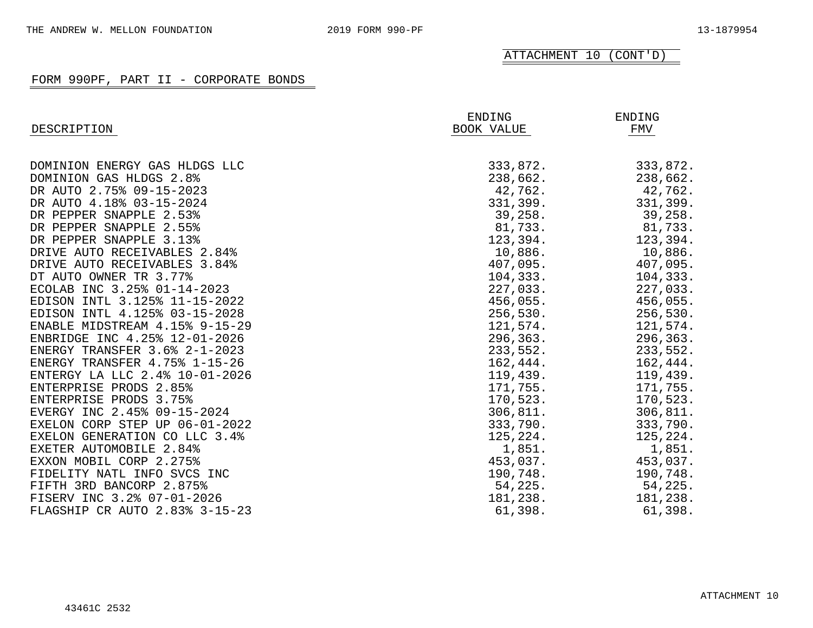|                                | ENDING     | ENDING    |
|--------------------------------|------------|-----------|
| DESCRIPTION                    | BOOK VALUE | FMV       |
|                                |            |           |
| DOMINION ENERGY GAS HLDGS LLC  | 333,872.   | 333,872.  |
| DOMINION GAS HLDGS 2.8%        | 238,662.   | 238,662.  |
| DR AUTO 2.75% 09-15-2023       | 42,762.    | 42,762.   |
| DR AUTO 4.18% 03-15-2024       | 331,399.   | 331,399.  |
| DR PEPPER SNAPPLE 2.53%        | 39,258.    | 39,258.   |
| DR PEPPER SNAPPLE 2.55%        | 81,733.    | 81,733.   |
| DR PEPPER SNAPPLE 3.13%        | 123,394.   | 123,394.  |
| DRIVE AUTO RECEIVABLES 2.84%   | 10,886.    | 10,886.   |
| DRIVE AUTO RECEIVABLES 3.84%   | 407,095.   | 407,095.  |
| DT AUTO OWNER TR 3.77%         | 104,333.   | 104,333.  |
| ECOLAB INC 3.25% 01-14-2023    | 227,033.   | 227,033.  |
| EDISON INTL 3.125% 11-15-2022  | 456,055.   | 456,055.  |
| EDISON INTL 4.125% 03-15-2028  | 256,530.   | 256,530.  |
| ENABLE MIDSTREAM 4.15% 9-15-29 | 121,574.   | 121,574.  |
| ENBRIDGE INC 4.25% 12-01-2026  | 296,363.   | 296,363.  |
| ENERGY TRANSFER 3.6% 2-1-2023  | 233,552.   | 233,552.  |
| ENERGY TRANSFER 4.75% 1-15-26  | 162,444.   | 162,444.  |
| ENTERGY LA LLC 2.4% 10-01-2026 | 119,439.   | 119,439.  |
| ENTERPRISE PRODS 2.85%         | 171,755.   | 171,755.  |
| ENTERPRISE PRODS 3.75%         | 170,523.   | 170,523.  |
| EVERGY INC 2.45% 09-15-2024    | 306, 811.  | 306, 811. |
| EXELON CORP STEP UP 06-01-2022 | 333,790.   | 333,790.  |
| EXELON GENERATION CO LLC 3.4%  | 125,224.   | 125,224.  |
| EXETER AUTOMOBILE 2.84%        | 1,851.     | 1,851.    |
| EXXON MOBIL CORP 2.275%        | 453,037.   | 453,037.  |
| FIDELITY NATL INFO SVCS INC    | 190,748.   | 190,748.  |
| FIFTH 3RD BANCORP 2.875%       | 54,225.    | 54,225.   |
| FISERV INC 3.2% 07-01-2026     | 181,238.   | 181,238.  |
| FLAGSHIP CR AUTO 2.83% 3-15-23 | 61,398.    | 61,398.   |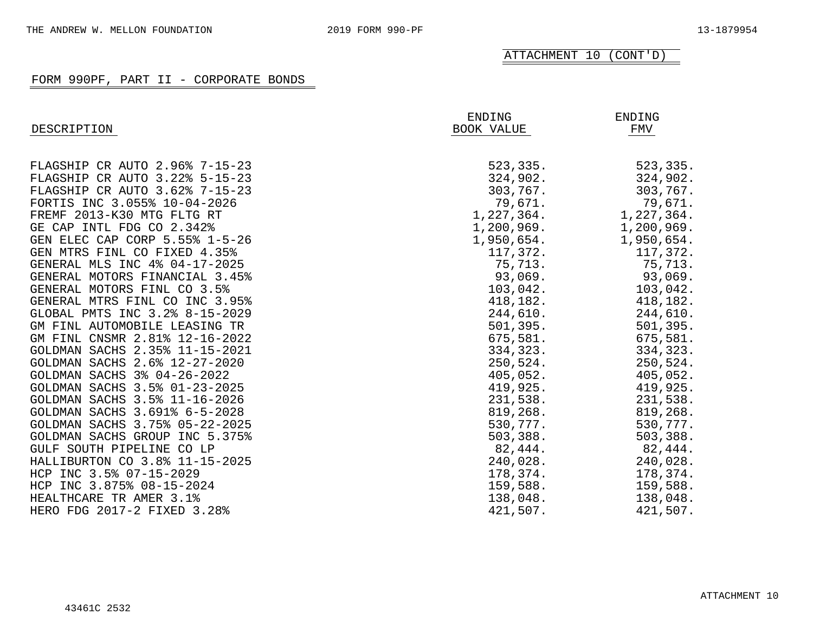| DESCRIPTION                    | ENDING<br><b>BOOK VALUE</b> | ENDING<br>FMV |
|--------------------------------|-----------------------------|---------------|
| FLAGSHIP CR AUTO 2.96% 7-15-23 | 523,335.                    | 523,335.      |
| FLAGSHIP CR AUTO 3.22% 5-15-23 | 324,902.                    | 324,902.      |
| FLAGSHIP CR AUTO 3.62% 7-15-23 | 303,767.                    | 303,767.      |
| FORTIS INC 3.055% 10-04-2026   | 79,671.                     | 79,671.       |
| FREMF 2013-K30 MTG FLTG RT     | 1,227,364.                  | 1,227,364.    |
| GE CAP INTL FDG CO 2.342%      | 1,200,969.                  | 1,200,969.    |
| GEN ELEC CAP CORP 5.55% 1-5-26 | 1,950,654.                  | 1,950,654.    |
| GEN MTRS FINL CO FIXED 4.35%   | 117,372.                    | 117,372.      |
| GENERAL MLS INC 4% 04-17-2025  | 75,713.                     | 75,713.       |
| GENERAL MOTORS FINANCIAL 3.45% | 93,069.                     | 93,069.       |
| GENERAL MOTORS FINL CO 3.5%    | 103,042.                    | 103,042.      |
| GENERAL MTRS FINL CO INC 3.95% | 418,182.                    | 418,182.      |
| GLOBAL PMTS INC 3.2% 8-15-2029 | 244,610.                    | 244,610.      |
| GM FINL AUTOMOBILE LEASING TR  | 501, 395.                   | 501, 395.     |
| GM FINL CNSMR 2.81% 12-16-2022 | 675,581.                    | 675,581.      |
| GOLDMAN SACHS 2.35% 11-15-2021 | 334,323.                    | 334,323.      |
| GOLDMAN SACHS 2.6% 12-27-2020  | 250,524.                    | 250,524.      |
| GOLDMAN SACHS 3% 04-26-2022    | 405,052.                    | 405,052.      |
| GOLDMAN SACHS 3.5% 01-23-2025  | 419,925.                    | 419,925.      |
| GOLDMAN SACHS 3.5% 11-16-2026  | 231,538.                    | 231,538.      |
| GOLDMAN SACHS 3.691% 6-5-2028  | 819,268.                    | 819,268.      |
| GOLDMAN SACHS 3.75% 05-22-2025 | 530,777.                    | 530,777.      |
| GOLDMAN SACHS GROUP INC 5.375% | 503, 388.                   | 503,388.      |
| GULF SOUTH PIPELINE CO LP      | 82,444.                     | 82,444.       |
| HALLIBURTON CO 3.8% 11-15-2025 | 240,028.                    | 240,028.      |
| HCP INC 3.5% 07-15-2029        | 178,374.                    | 178,374.      |
| HCP INC 3.875% 08-15-2024      | 159,588.                    | 159,588.      |
| HEALTHCARE TR AMER 3.1%        | 138,048.                    | 138,048.      |
| HERO FDG 2017-2 FIXED 3.28%    | 421,507.                    | 421,507.      |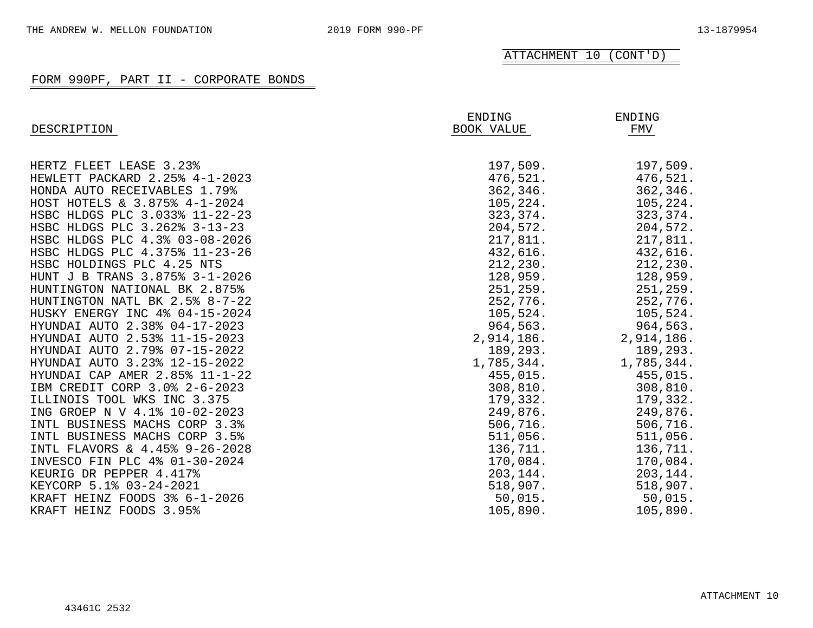| DESCRIPTION                    | ENDING<br><b>BOOK VALUE</b> | <b>ENDING</b><br>FMV |
|--------------------------------|-----------------------------|----------------------|
|                                |                             |                      |
| HERTZ FLEET LEASE 3.23%        | 197,509.                    | 197,509.             |
| HEWLETT PACKARD 2.25% 4-1-2023 | 476,521.                    | 476,521.             |
| HONDA AUTO RECEIVABLES 1.79%   | 362, 346.                   | 362, 346.            |
| HOST HOTELS & 3.875% 4-1-2024  | 105, 224.                   | 105, 224.            |
| HSBC HLDGS PLC 3.033% 11-22-23 | 323,374.                    | 323, 374.            |
| HSBC HLDGS PLC 3.262% 3-13-23  | 204,572.                    | 204,572.             |
| HSBC HLDGS PLC 4.3% 03-08-2026 | 217,811.                    | 217,811.             |
| HSBC HLDGS PLC 4.375% 11-23-26 | 432,616.                    | 432,616.             |
| HSBC HOLDINGS PLC 4.25 NTS     | 212,230.                    | 212,230.             |
| HUNT J B TRANS 3.875% 3-1-2026 | 128,959.                    | 128,959.             |
| HUNTINGTON NATIONAL BK 2.875%  | 251, 259.                   | 251, 259.            |
| HUNTINGTON NATL BK 2.5% 8-7-22 | 252,776.                    | 252,776.             |
| HUSKY ENERGY INC 4% 04-15-2024 | 105,524.                    | 105,524.             |
| HYUNDAI AUTO 2.38% 04-17-2023  | 964,563.                    | 964,563.             |
| HYUNDAI AUTO 2.53% 11-15-2023  | 2,914,186.                  | 2,914,186.           |
| HYUNDAI AUTO 2.79% 07-15-2022  | 189,293.                    | 189,293.             |
| HYUNDAI AUTO 3.23% 12-15-2022  | 1,785,344.                  | 1,785,344.           |
| HYUNDAI CAP AMER 2.85% 11-1-22 | 455,015.                    | 455,015.             |
| IBM CREDIT CORP 3.0% 2-6-2023  | 308, 810.                   | 308, 810.            |
| ILLINOIS TOOL WKS INC 3.375    | 179,332.                    | 179,332.             |
| ING GROEP N V 4.1% 10-02-2023  | 249,876.                    | 249,876.             |
| INTL BUSINESS MACHS CORP 3.3%  | 506,716.                    | 506,716.             |
| INTL BUSINESS MACHS CORP 3.5%  | 511,056.                    | 511,056.             |
| INTL FLAVORS & 4.45% 9-26-2028 | 136,711.                    | 136,711.             |
| INVESCO FIN PLC 4% 01-30-2024  | 170,084.                    | 170,084.             |
| KEURIG DR PEPPER 4.417%        | 203,144.                    | 203,144.             |
| KEYCORP 5.1% 03-24-2021        | 518,907.                    | 518,907.             |
| KRAFT HEINZ FOODS 3% 6-1-2026  | 50,015.                     | 50,015.              |
| KRAFT HEINZ FOODS 3.95%        | 105,890.                    | 105,890.             |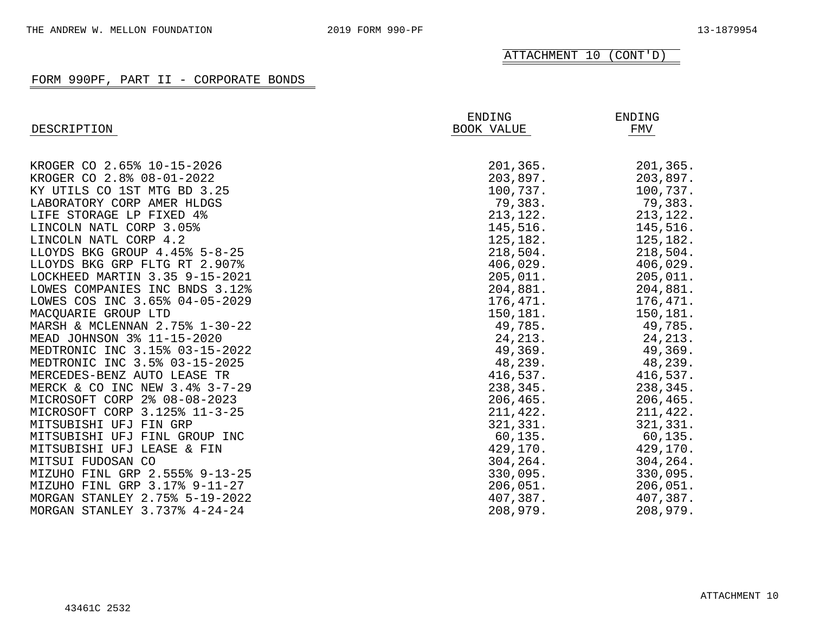| DESCRIPTION                    | ENDING<br>BOOK VALUE | ENDING<br>FMV |
|--------------------------------|----------------------|---------------|
|                                |                      |               |
| KROGER CO 2.65% 10-15-2026     | 201,365.             | 201,365.      |
| KROGER CO 2.8% 08-01-2022      | 203,897.             | 203,897.      |
| KY UTILS CO 1ST MTG BD 3.25    | 100,737.             | 100,737.      |
| LABORATORY CORP AMER HLDGS     | 79,383.              | 79,383.       |
| LIFE STORAGE LP FIXED 4%       | 213, 122.            | 213, 122.     |
| LINCOLN NATL CORP 3.05%        | 145,516.             | 145,516.      |
| LINCOLN NATL CORP 4.2          | 125,182.             | 125,182.      |
| LLOYDS BKG GROUP 4.45% 5-8-25  | 218,504.             | 218,504.      |
| LLOYDS BKG GRP FLTG RT 2.907%  | 406,029.             | 406,029.      |
| LOCKHEED MARTIN 3.35 9-15-2021 | 205,011.             | 205,011.      |
| LOWES COMPANIES INC BNDS 3.12% | 204,881.             | 204,881.      |
| LOWES COS INC 3.65% 04-05-2029 | 176,471.             | 176,471.      |
| MACOUARIE GROUP LTD            | 150,181.             | 150,181.      |
| MARSH & MCLENNAN 2.75% 1-30-22 | 49,785.              | 49,785.       |
| MEAD JOHNSON 3% 11-15-2020     | 24, 213.             | 24, 213.      |
| MEDTRONIC INC 3.15% 03-15-2022 | 49,369.              | 49,369.       |
| MEDTRONIC INC 3.5% 03-15-2025  | 48,239.              | 48,239.       |
| MERCEDES-BENZ AUTO LEASE TR    | 416,537.             | 416,537.      |
| MERCK & CO INC NEW 3.4% 3-7-29 | 238,345.             | 238,345.      |
| MICROSOFT CORP 2% 08-08-2023   | 206, 465.            | 206, 465.     |
| MICROSOFT CORP 3.125% 11-3-25  | 211,422.             | 211,422.      |
| MITSUBISHI UFJ FIN GRP         | 321, 331.            | 321,331.      |
| MITSUBISHI UFJ FINL GROUP INC  | 60, 135.             | 60, 135.      |
| MITSUBISHI UFJ LEASE & FIN     | 429,170.             | 429,170.      |
| MITSUI FUDOSAN CO              | 304,264.             | 304, 264.     |
| MIZUHO FINL GRP 2.555% 9-13-25 | 330,095.             | 330,095.      |
| MIZUHO FINL GRP 3.17% 9-11-27  | 206,051.             | 206,051.      |
| MORGAN STANLEY 2.75% 5-19-2022 | 407,387.             | 407,387.      |
| MORGAN STANLEY 3.737% 4-24-24  | 208,979.             | 208,979.      |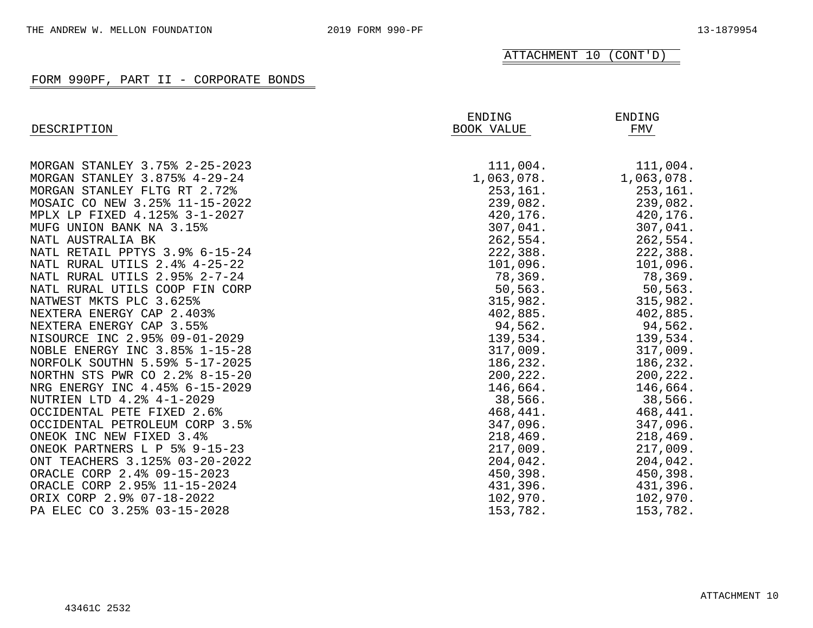| DESCRIPTION                    | ENDING<br><b>BOOK VALUE</b> | <b>ENDING</b><br>FMV |
|--------------------------------|-----------------------------|----------------------|
|                                |                             |                      |
| MORGAN STANLEY 3.75% 2-25-2023 | 111,004.                    | 111,004.             |
| MORGAN STANLEY 3.875% 4-29-24  | 1,063,078.                  | 1,063,078.           |
| MORGAN STANLEY FLTG RT 2.72%   | 253, 161.                   | 253,161.             |
| MOSAIC CO NEW 3.25% 11-15-2022 | 239,082.                    | 239,082.             |
| MPLX LP FIXED 4.125% 3-1-2027  | 420,176.                    | 420,176.             |
| MUFG UNION BANK NA 3.15%       | 307,041.                    | 307,041.             |
| NATL AUSTRALIA BK              | 262,554.                    | 262,554.             |
| NATL RETAIL PPTYS 3.9% 6-15-24 | 222,388.                    | 222,388.             |
| NATL RURAL UTILS 2.4% 4-25-22  | 101,096.                    | 101,096.             |
| NATL RURAL UTILS 2.95% 2-7-24  | 78,369.                     | 78,369.              |
| NATL RURAL UTILS COOP FIN CORP | 50, 563.                    | 50,563.              |
| NATWEST MKTS PLC 3.625%        | 315,982.                    | 315,982.             |
| NEXTERA ENERGY CAP 2.403%      | 402,885.                    | 402,885.             |
| NEXTERA ENERGY CAP 3.55%       | 94,562.                     | 94,562.              |
| NISOURCE INC 2.95% 09-01-2029  | 139,534.                    | 139,534.             |
| NOBLE ENERGY INC 3.85% 1-15-28 | 317,009.                    | 317,009.             |
| NORFOLK SOUTHN 5.59% 5-17-2025 | 186,232.                    | 186,232.             |
| NORTHN STS PWR CO 2.2% 8-15-20 | 200, 222.                   | 200,222.             |
| NRG ENERGY INC 4.45% 6-15-2029 | 146,664.                    | 146,664.             |
| NUTRIEN LTD 4.2% 4-1-2029      | 38,566.                     | 38,566.              |
| OCCIDENTAL PETE FIXED 2.6%     | 468,441.                    | 468,441.             |
| OCCIDENTAL PETROLEUM CORP 3.5% | 347,096.                    | 347,096.             |
| ONEOK INC NEW FIXED 3.4%       | 218,469.                    | 218,469.             |
| ONEOK PARTNERS L P 5% 9-15-23  | 217,009.                    | 217,009.             |
| ONT TEACHERS 3.125% 03-20-2022 | 204,042.                    | 204,042.             |
| ORACLE CORP 2.4% 09-15-2023    | 450,398.                    | 450,398.             |
| ORACLE CORP 2.95% 11-15-2024   | 431,396.                    | 431,396.             |
| ORIX CORP 2.9% 07-18-2022      | 102,970.                    | 102,970.             |
| PA ELEC CO 3.25% 03-15-2028    | 153,782.                    | 153,782.             |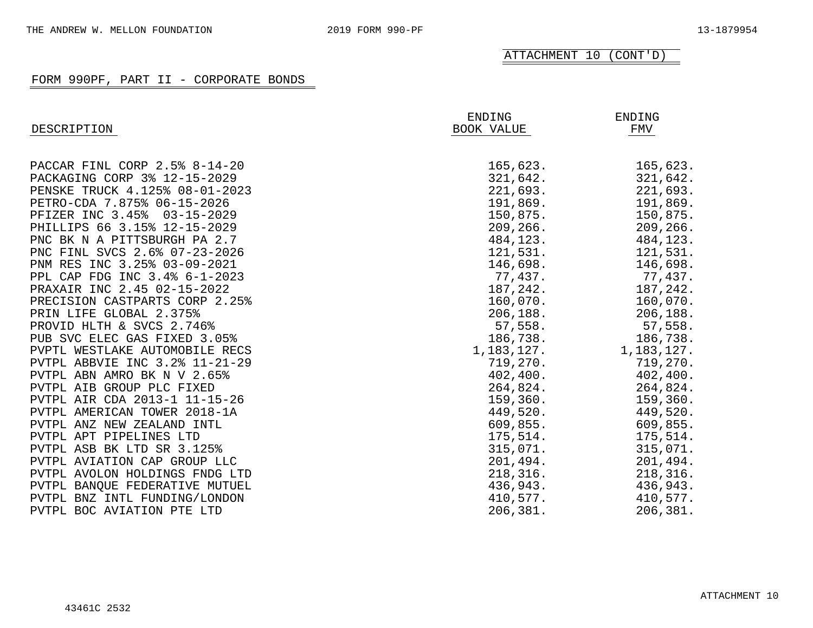| DESCRIPTION                    | ENDING<br><b>BOOK VALUE</b> | <b>ENDING</b><br>FMV |
|--------------------------------|-----------------------------|----------------------|
|                                |                             |                      |
| PACCAR FINL CORP 2.5% 8-14-20  | 165,623.                    | 165,623.             |
| PACKAGING CORP 3% 12-15-2029   | 321,642.                    | 321,642.             |
| PENSKE TRUCK 4.125% 08-01-2023 | 221,693.                    | 221,693.             |
| PETRO-CDA 7.875% 06-15-2026    | 191,869.                    | 191,869.             |
| PFIZER INC 3.45% 03-15-2029    | 150,875.                    | 150,875.             |
| PHILLIPS 66 3.15% 12-15-2029   | 209, 266.                   | 209,266.             |
| PNC BK N A PITTSBURGH PA 2.7   | 484,123.                    | 484,123.             |
| PNC FINL SVCS 2.6% 07-23-2026  | 121,531.                    | 121,531.             |
| PNM RES INC 3.25% 03-09-2021   | 146,698.                    | 146,698.             |
| PPL CAP FDG INC 3.4% 6-1-2023  | 77,437.                     | 77,437.              |
| PRAXAIR INC 2.45 02-15-2022    | 187,242.                    | 187,242.             |
| PRECISION CASTPARTS CORP 2.25% | 160,070.                    | 160,070.             |
| PRIN LIFE GLOBAL 2.375%        | 206, 188.                   | 206, 188.            |
| PROVID HLTH & SVCS 2.746%      | 57,558.                     | 57,558.              |
| PUB SVC ELEC GAS FIXED 3.05%   | 186,738.                    | 186,738.             |
| PVPTL WESTLAKE AUTOMOBILE RECS | 1,183,127.                  | 1,183,127.           |
| PVTPL ABBVIE INC 3.2% 11-21-29 | 719,270.                    | 719,270.             |
| PVTPL ABN AMRO BK N V 2.65%    | 402, 400.                   | 402, 400.            |
| PVTPL AIB GROUP PLC FIXED      | 264,824.                    | 264,824.             |
| PVTPL AIR CDA 2013-1 11-15-26  | 159,360.                    | 159, 360.            |
| PVTPL AMERICAN TOWER 2018-1A   | 449,520.                    | 449,520.             |
| PVTPL ANZ NEW ZEALAND INTL     | 609,855.                    | 609,855.             |
| PVTPL APT PIPELINES LTD        | 175,514.                    | 175,514.             |
| PVTPL ASB BK LTD SR 3.125%     | 315,071.                    | 315,071.             |
| PVTPL AVIATION CAP GROUP LLC   | 201,494.                    | 201,494.             |
| PVTPL AVOLON HOLDINGS FNDG LTD | 218, 316.                   | 218, 316.            |
| PVTPL BANQUE FEDERATIVE MUTUEL | 436,943.                    | 436,943.             |
| PVTPL BNZ INTL FUNDING/LONDON  | 410,577.                    | 410,577.             |
| PVTPL BOC AVIATION PTE LTD     | 206,381.                    | 206,381.             |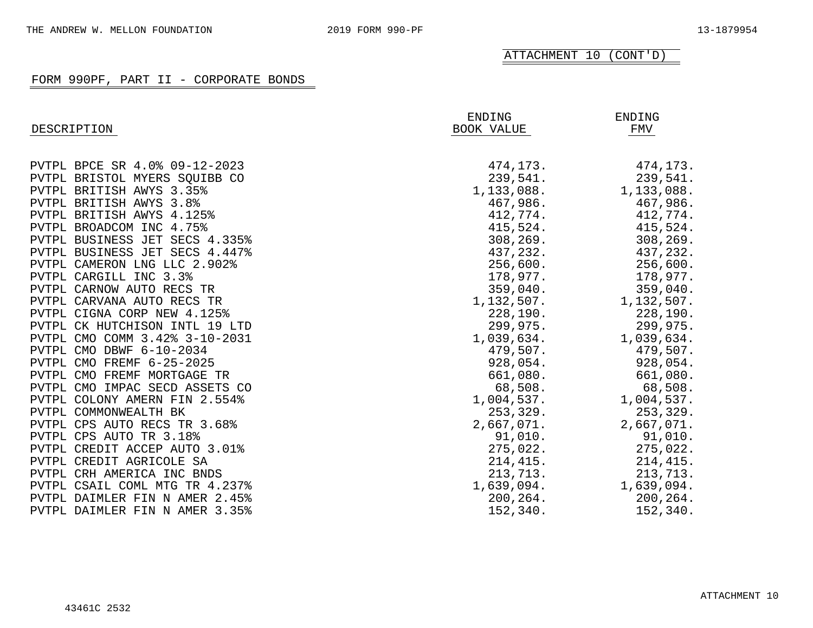| DESCRIPTION                    | ENDING<br>BOOK VALUE | ENDING<br>FMV |
|--------------------------------|----------------------|---------------|
|                                |                      |               |
| PVTPL BPCE SR 4.0% 09-12-2023  | 474,173.             | 474,173.      |
| PVTPL BRISTOL MYERS SQUIBB CO  | 239,541.             | 239,541.      |
| PVTPL BRITISH AWYS 3.35%       | 1,133,088.           | 1,133,088.    |
| PVTPL BRITISH AWYS 3.8%        | 467,986.             | 467,986.      |
| PVTPL BRITISH AWYS 4.125%      | 412,774.             | 412,774.      |
| PVTPL BROADCOM INC 4.75%       | 415,524.             | 415,524.      |
| PVTPL BUSINESS JET SECS 4.335% | 308,269.             | 308,269.      |
| PVTPL BUSINESS JET SECS 4.447% | 437,232.             | 437,232.      |
| PVTPL CAMERON LNG LLC 2.902%   | 256,600.             | 256,600.      |
| PVTPL CARGILL INC 3.3%         | 178,977.             | 178,977.      |
| PVTPL CARNOW AUTO RECS TR      | 359,040.             | 359,040.      |
| PVTPL CARVANA AUTO RECS TR     | 1,132,507.           | 1,132,507.    |
| PVTPL CIGNA CORP NEW 4.125%    | 228,190.             | 228,190.      |
| PVTPL CK HUTCHISON INTL 19 LTD | 299,975.             | 299,975.      |
| PVTPL CMO COMM 3.42% 3-10-2031 | 1,039,634.           | 1,039,634.    |
| PVTPL CMO DBWF 6-10-2034       | 479,507.             | 479,507.      |
| PVTPL CMO FREMF 6-25-2025      | 928,054.             | 928,054.      |
| PVTPL CMO FREMF MORTGAGE TR    | 661,080.             | 661,080.      |
| PVTPL CMO IMPAC SECD ASSETS CO | 68,508.              | 68,508.       |
| PVTPL COLONY AMERN FIN 2.554%  | 1,004,537.           | 1,004,537.    |
| PVTPL COMMONWEALTH BK          | 253, 329.            | 253, 329.     |
| PVTPL CPS AUTO RECS TR 3.68%   | 2,667,071.           | 2,667,071.    |
| PVTPL CPS AUTO TR 3.18%        | 91,010.              | 91,010.       |
| PVTPL CREDIT ACCEP AUTO 3.01%  | 275,022.             | 275,022.      |
| PVTPL CREDIT AGRICOLE SA       | 214, 415.            | 214,415.      |
| PVTPL CRH AMERICA INC BNDS     | 213,713.             | 213,713.      |
| PVTPL CSAIL COML MTG TR 4.237% | 1,639,094.           | 1,639,094.    |
| PVTPL DAIMLER FIN N AMER 2.45% | 200,264.             | 200,264.      |
| PVTPL DAIMLER FIN N AMER 3.35% | 152,340.             | 152,340.      |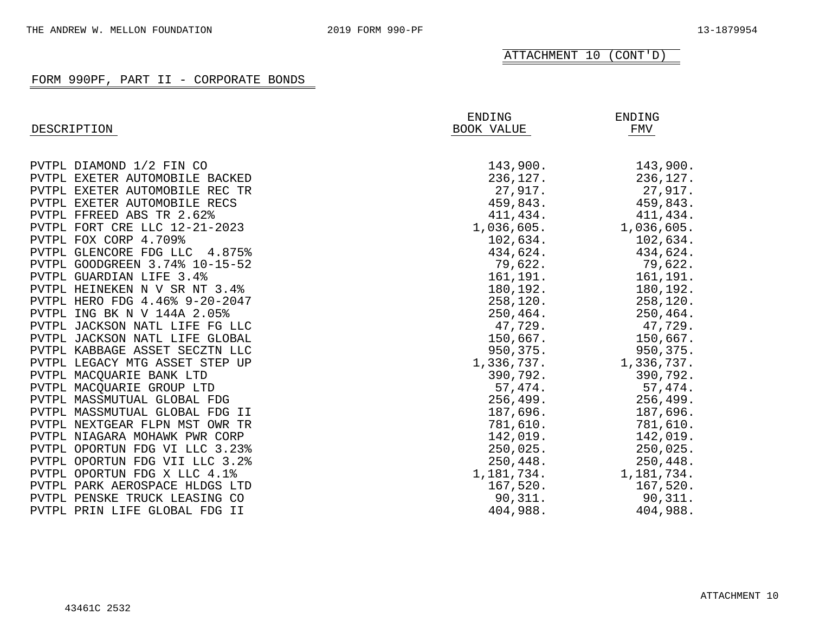| DESCRIPTION                    | ENDING<br>BOOK VALUE | ENDING<br>FMV |
|--------------------------------|----------------------|---------------|
|                                |                      |               |
| PVTPL DIAMOND 1/2 FIN CO       | 143,900.             | 143,900.      |
| PVTPL EXETER AUTOMOBILE BACKED | 236,127.             | 236,127.      |
| PVTPL EXETER AUTOMOBILE REC TR | 27,917.              | 27,917.       |
| PVTPL EXETER AUTOMOBILE RECS   | 459,843.             | 459,843.      |
| PVTPL FFREED ABS TR 2.62%      | 411,434.             | 411,434.      |
| PVTPL FORT CRE LLC 12-21-2023  | 1,036,605.           | 1,036,605.    |
| PVTPL FOX CORP 4.709%          | 102,634.             | 102,634.      |
| PVTPL GLENCORE FDG LLC 4.875%  | 434,624.             | 434,624.      |
| PVTPL GOODGREEN 3.74% 10-15-52 | 79,622.              | 79,622.       |
| PVTPL GUARDIAN LIFE 3.4%       | 161,191.             | 161,191.      |
| PVTPL HEINEKEN N V SR NT 3.4%  | 180,192.             | 180,192.      |
| PVTPL HERO FDG 4.46% 9-20-2047 | 258, 120.            | 258, 120.     |
| PVTPL ING BK N V 144A 2.05%    | 250,464.             | 250,464.      |
| PVTPL JACKSON NATL LIFE FG LLC | 47,729.              | 47,729.       |
| PVTPL JACKSON NATL LIFE GLOBAL | 150,667.             | 150,667.      |
| PVTPL KABBAGE ASSET SECZTN LLC | 950,375.             | 950,375.      |
| PVTPL LEGACY MTG ASSET STEP UP | 1,336,737.           | 1,336,737.    |
| PVTPL MACQUARIE BANK LTD       | 390,792.             | 390,792.      |
| PVTPL MACQUARIE GROUP LTD      | 57,474.              | 57,474.       |
| PVTPL MASSMUTUAL GLOBAL FDG    | 256, 499.            | 256, 499.     |
| PVTPL MASSMUTUAL GLOBAL FDG II | 187,696.             | 187,696.      |
| PVTPL NEXTGEAR FLPN MST OWR TR | 781,610.             | 781,610.      |
| PVTPL NIAGARA MOHAWK PWR CORP  | 142,019.             | 142,019.      |
| PVTPL OPORTUN FDG VI LLC 3.23% | 250,025.             | 250,025.      |
| PVTPL OPORTUN FDG VII LLC 3.2% | 250, 448.            | 250,448.      |
| PVTPL OPORTUN FDG X LLC 4.1%   | 1,181,734.           | 1,181,734.    |
| PVTPL PARK AEROSPACE HLDGS LTD | 167,520.             | 167,520.      |
| PVTPL PENSKE TRUCK LEASING CO  | 90, 311.             | 90,311.       |
| PVTPL PRIN LIFE GLOBAL FDG II  | 404,988.             | 404,988.      |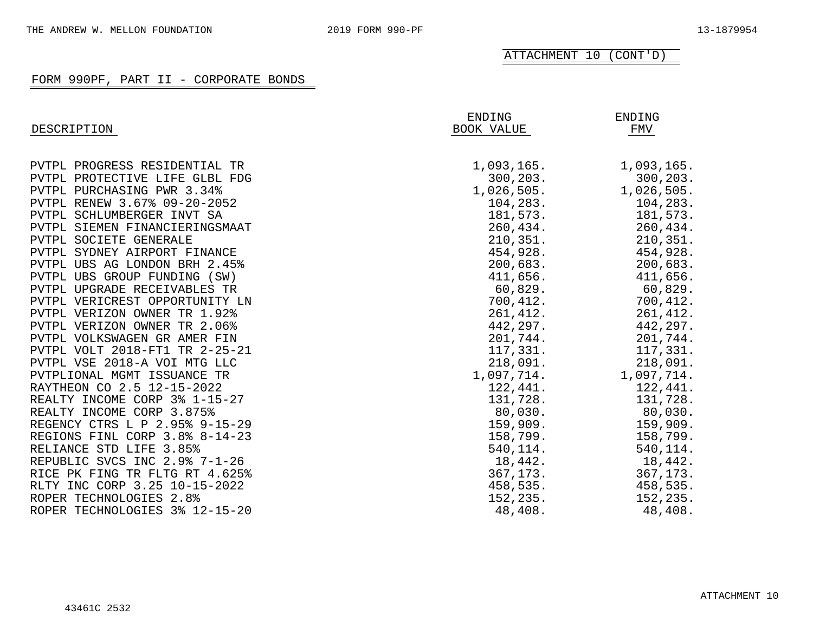| DESCRIPTION                    | ENDING<br>BOOK VALUE | ENDING<br>FMV |
|--------------------------------|----------------------|---------------|
|                                |                      |               |
| PVTPL PROGRESS RESIDENTIAL TR  | 1,093,165.           | 1,093,165.    |
| PVTPL PROTECTIVE LIFE GLBL FDG | 300, 203.            | 300, 203.     |
| PVTPL PURCHASING PWR 3.34%     | 1,026,505.           | 1,026,505.    |
| PVTPL RENEW 3.67% 09-20-2052   | 104,283.             | 104,283.      |
| PVTPL SCHLUMBERGER INVT SA     | 181,573.             | 181,573.      |
| PVTPL SIEMEN FINANCIERINGSMAAT | 260,434.             | 260,434.      |
| PVTPL SOCIETE GENERALE         | 210, 351.            | 210, 351.     |
| PVTPL SYDNEY AIRPORT FINANCE   | 454,928.             | 454,928.      |
| PVTPL UBS AG LONDON BRH 2.45%  | 200,683.             | 200,683.      |
| PVTPL UBS GROUP FUNDING (SW)   | 411,656.             | 411,656.      |
| PVTPL UPGRADE RECEIVABLES TR   | 60,829.              | 60,829.       |
| PVTPL VERICREST OPPORTUNITY LN | 700,412.             | 700, 412.     |
| PVTPL VERIZON OWNER TR 1.92%   | 261,412.             | 261, 412.     |
| PVTPL VERIZON OWNER TR 2.06%   | 442,297.             | 442,297.      |
| PVTPL VOLKSWAGEN GR AMER FIN   | 201,744.             | 201,744.      |
| PVTPL VOLT 2018-FT1 TR 2-25-21 | 117,331.             | 117,331.      |
| PVTPL VSE 2018-A VOI MTG LLC   | 218,091.             | 218,091.      |
| PVTPLIONAL MGMT ISSUANCE TR    | 1,097,714.           | 1,097,714.    |
| RAYTHEON CO 2.5 12-15-2022     | 122,441.             | 122,441.      |
| REALTY INCOME CORP 3% 1-15-27  | 131,728.             | 131,728.      |
| REALTY INCOME CORP 3.875%      | 80,030.              | $80,030$ .    |
| REGENCY CTRS L P 2.95% 9-15-29 | 159,909.             | 159,909.      |
| REGIONS FINL CORP 3.8% 8-14-23 | 158,799.             | 158,799.      |
| RELIANCE STD LIFE 3.85%        | 540,114.             | 540,114.      |
| REPUBLIC SVCS INC 2.9% 7-1-26  | 18,442.              | 18,442.       |
| RICE PK FING TR FLTG RT 4.625% | 367,173.             | 367,173.      |
| RLTY INC CORP 3.25 10-15-2022  | 458,535.             | 458,535.      |
| ROPER TECHNOLOGIES 2.8%        | 152,235.             | 152,235.      |
| ROPER TECHNOLOGIES 3% 12-15-20 | 48,408.              | 48,408.       |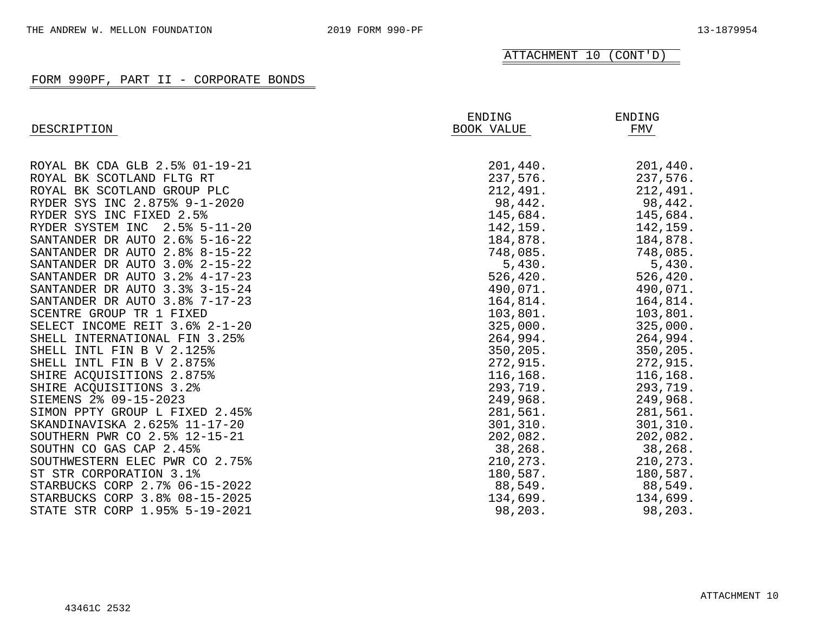| DESCRIPTION                    | ENDING<br>BOOK VALUE | ENDING<br>FMV |
|--------------------------------|----------------------|---------------|
|                                |                      |               |
| ROYAL BK CDA GLB 2.5% 01-19-21 | 201,440.             | 201,440.      |
| ROYAL BK SCOTLAND FLTG RT      | 237,576.             | 237,576.      |
| ROYAL BK SCOTLAND GROUP PLC    | 212,491.             | 212,491.      |
| RYDER SYS INC 2.875% 9-1-2020  | 98,442.              | 98,442.       |
| RYDER SYS INC FIXED 2.5%       | 145,684.             | 145,684.      |
| RYDER SYSTEM INC 2.5% 5-11-20  | 142,159.             | 142,159.      |
| SANTANDER DR AUTO 2.6% 5-16-22 | 184,878.             | 184,878.      |
| SANTANDER DR AUTO 2.8% 8-15-22 | 748,085.             | 748,085.      |
| SANTANDER DR AUTO 3.0% 2-15-22 | 5,430.               | 5,430.        |
| SANTANDER DR AUTO 3.2% 4-17-23 | 526, 420.            | 526, 420.     |
| SANTANDER DR AUTO 3.3% 3-15-24 | 490,071.             | 490,071.      |
| SANTANDER DR AUTO 3.8% 7-17-23 | 164,814.             | 164,814.      |
| SCENTRE GROUP TR 1 FIXED       | 103,801.             | 103,801.      |
| SELECT INCOME REIT 3.6% 2-1-20 | 325,000.             | 325,000.      |
| SHELL INTERNATIONAL FIN 3.25%  | 264,994.             | 264,994.      |
| SHELL INTL FIN B V 2.125%      | 350, 205.            | 350, 205.     |
| SHELL INTL FIN B V 2.875%      | 272,915.             | 272,915.      |
| SHIRE ACQUISITIONS 2.875%      | 116, 168.            | 116,168.      |
| SHIRE ACOUISITIONS 3.2%        | 293,719.             | 293,719.      |
| SIEMENS 2% 09-15-2023          | 249,968.             | 249,968.      |
| SIMON PPTY GROUP L FIXED 2.45% | 281,561.             | 281,561.      |
| SKANDINAVISKA 2.625% 11-17-20  | 301, 310.            | 301,310.      |
| SOUTHERN PWR CO 2.5% 12-15-21  | 202,082.             | 202,082.      |
| SOUTHN CO GAS CAP 2.45%        | 38,268.              | 38, 268.      |
| SOUTHWESTERN ELEC PWR CO 2.75% | 210, 273.            | 210,273.      |
| ST STR CORPORATION 3.1%        | 180,587.             | 180,587.      |
| STARBUCKS CORP 2.7% 06-15-2022 | 88,549.              | 88,549.       |
| STARBUCKS CORP 3.8% 08-15-2025 | 134,699.             | 134,699.      |
| STATE STR CORP 1.95% 5-19-2021 | 98,203.              | 98,203.       |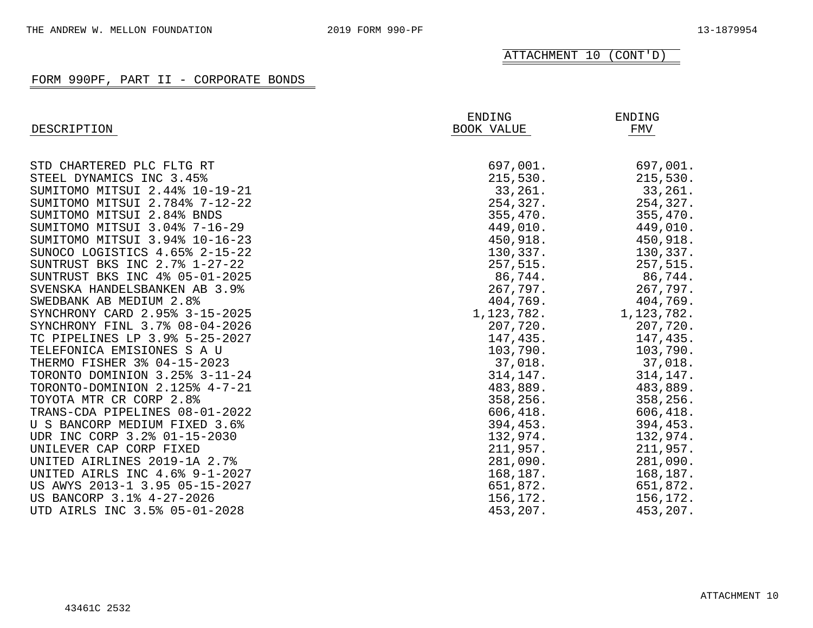| DESCRIPTION                    | ENDING<br>BOOK VALUE | ENDING<br>FMV |
|--------------------------------|----------------------|---------------|
|                                |                      |               |
| STD CHARTERED PLC FLTG RT      | 697,001.             | 697,001.      |
| STEEL DYNAMICS INC 3.45%       | 215,530.             | 215,530.      |
| SUMITOMO MITSUI 2.44% 10-19-21 | 33,261.              | 33,261.       |
| SUMITOMO MITSUI 2.784% 7-12-22 | 254,327.             | 254,327.      |
| SUMITOMO MITSUI 2.84% BNDS     | 355,470.             | 355,470.      |
| SUMITOMO MITSUI 3.04% 7-16-29  | 449,010.             | 449,010.      |
| SUMITOMO MITSUI 3.94% 10-16-23 | 450,918.             | 450,918.      |
| SUNOCO LOGISTICS 4.65% 2-15-22 | 130,337.             | 130,337.      |
| SUNTRUST BKS INC 2.7% 1-27-22  | 257,515.             | 257,515.      |
| SUNTRUST BKS INC 4% 05-01-2025 | 86,744.              | 86,744.       |
| SVENSKA HANDELSBANKEN AB 3.9%  | 267,797.             | 267,797.      |
| SWEDBANK AB MEDIUM 2.8%        | 404,769.             | 404,769.      |
| SYNCHRONY CARD 2.95% 3-15-2025 | 1, 123, 782.         | 1,123,782.    |
| SYNCHRONY FINL 3.7% 08-04-2026 | 207,720.             | 207,720.      |
| TC PIPELINES LP 3.9% 5-25-2027 | 147,435.             | 147,435.      |
| TELEFONICA EMISIONES S A U     | 103,790.             | 103,790.      |
| THERMO FISHER 3% 04-15-2023    | 37,018.              | 37,018.       |
| TORONTO DOMINION 3.25% 3-11-24 | 314, 147.            | 314,147.      |
| TORONTO-DOMINION 2.125% 4-7-21 | 483,889.             | 483,889.      |
| TOYOTA MTR CR CORP 2.8%        | 358,256.             | 358,256.      |
| TRANS-CDA PIPELINES 08-01-2022 | 606, 418.            | 606, 418.     |
| U S BANCORP MEDIUM FIXED 3.6%  | 394,453.             | 394,453.      |
| UDR INC CORP 3.2% 01-15-2030   | 132,974.             | 132,974.      |
| UNILEVER CAP CORP FIXED        | 211,957.             | 211,957.      |
| UNITED AIRLINES 2019-1A 2.7%   | 281,090.             | 281,090.      |
| UNITED AIRLS INC 4.6% 9-1-2027 | 168,187.             | 168,187.      |
| US AWYS 2013-1 3.95 05-15-2027 | 651,872.             | 651,872.      |
| US BANCORP 3.1% 4-27-2026      | 156,172.             | 156,172.      |
| UTD AIRLS INC 3.5% 05-01-2028  | 453,207.             | 453,207.      |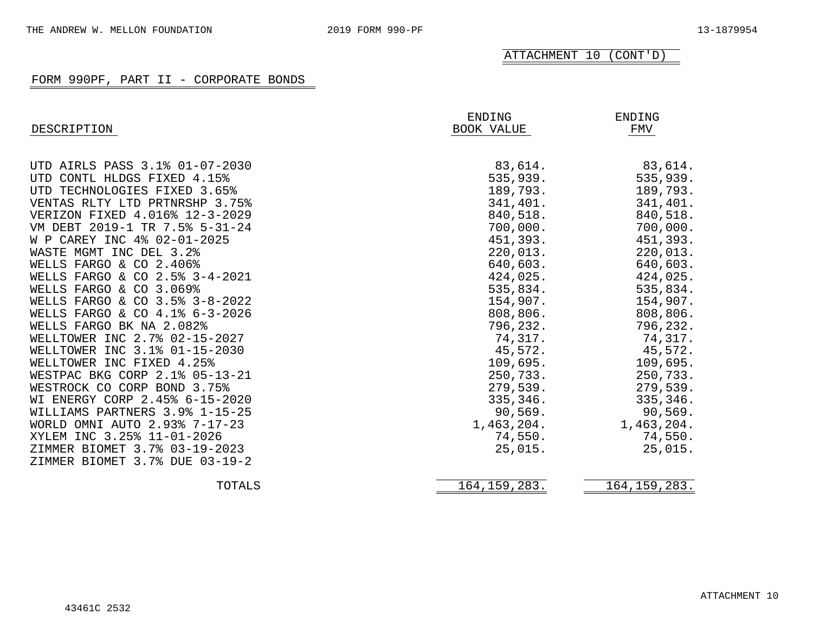| DESCRIPTION                    | ENDING<br>BOOK VALUE | ENDING<br>FMV  |  |
|--------------------------------|----------------------|----------------|--|
| UTD AIRLS PASS 3.1% 01-07-2030 | 83,614.              | 83,614.        |  |
| UTD CONTL HLDGS FIXED 4.15%    | 535,939.             | 535,939.       |  |
| UTD TECHNOLOGIES FIXED 3.65%   | 189,793.             | 189,793.       |  |
| VENTAS RLTY LTD PRTNRSHP 3.75% | 341,401.             | 341,401.       |  |
| VERIZON FIXED 4.016% 12-3-2029 | 840,518.             | 840,518.       |  |
| VM DEBT 2019-1 TR 7.5% 5-31-24 | 700,000.             | 700,000.       |  |
| W P CAREY INC 4% 02-01-2025    | 451,393.             | 451,393.       |  |
| WASTE MGMT INC DEL 3.2%        | 220,013.             | 220,013.       |  |
| WELLS FARGO & CO 2.406%        | 640,603.             | 640,603.       |  |
| WELLS FARGO & CO 2.5% 3-4-2021 | 424,025.             | 424,025.       |  |
| WELLS FARGO & CO 3.069%        | 535,834.             | 535,834.       |  |
| WELLS FARGO & CO 3.5% 3-8-2022 | 154,907.             | 154,907.       |  |
| WELLS FARGO & CO 4.1% 6-3-2026 | 808,806.             | 808,806.       |  |
| WELLS FARGO BK NA 2.082%       | 796,232.             | 796,232.       |  |
| WELLTOWER INC 2.7% 02-15-2027  | 74,317.              | 74,317.        |  |
| WELLTOWER INC 3.1% 01-15-2030  | 45,572.              | 45,572.        |  |
| WELLTOWER INC FIXED 4.25%      | 109,695.             | 109,695.       |  |
| WESTPAC BKG CORP 2.1% 05-13-21 | 250,733.             | 250,733.       |  |
| WESTROCK CO CORP BOND 3.75%    | 279,539.             | 279,539.       |  |
| WI ENERGY CORP 2.45% 6-15-2020 | 335,346.             | 335,346.       |  |
| WILLIAMS PARTNERS 3.9% 1-15-25 | 90,569.              | 90,569.        |  |
| WORLD OMNI AUTO 2.93% 7-17-23  | 1,463,204.           | 1,463,204.     |  |
| XYLEM INC 3.25% 11-01-2026     | 74,550.              | 74,550.        |  |
| ZIMMER BIOMET 3.7% 03-19-2023  | 25,015.              | 25,015.        |  |
| ZIMMER BIOMET 3.7% DUE 03-19-2 |                      |                |  |
| TOTALS                         | 164, 159, 283.       | 164, 159, 283. |  |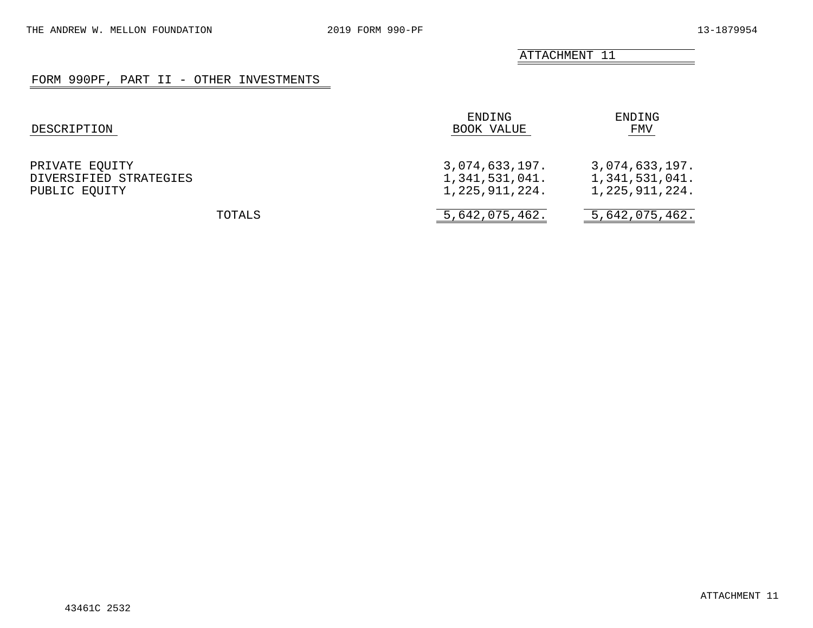ATTACHMENT 11

## FORM 990PF, PART II - OTHER INVESTMENTS

| DESCRIPTION                                               | ENDING<br>BOOK VALUE                               | ENDING<br>FMV                                         |
|-----------------------------------------------------------|----------------------------------------------------|-------------------------------------------------------|
| PRIVATE EQUITY<br>DIVERSIFIED STRATEGIES<br>PUBLIC EQUITY | 3,074,633,197.<br>1,341,531,041.<br>1,225,911,224. | 3,074,633,197.<br>1,341,531,041.<br>1, 225, 911, 224. |
| TOTALS                                                    | 5,642,075,462.                                     | 5,642,075,462.                                        |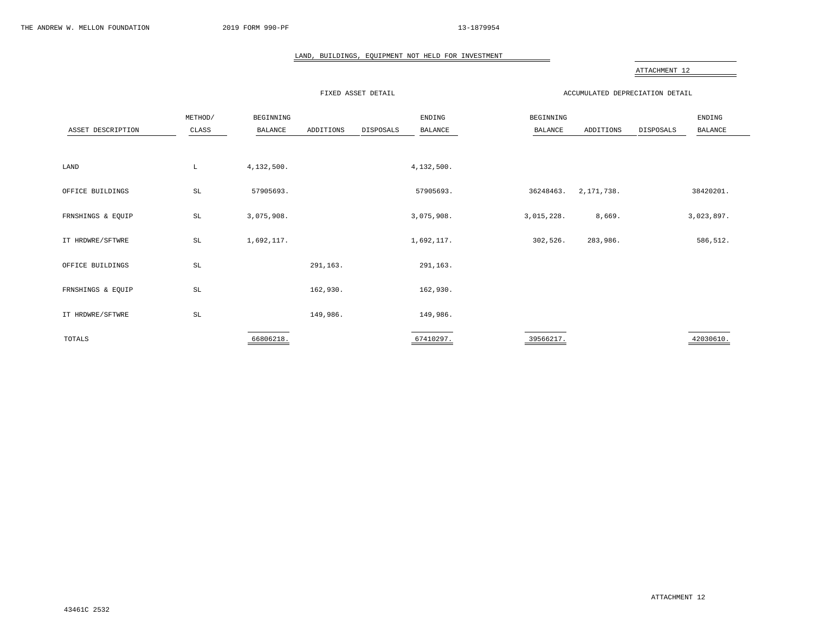#### LAND, BUILDINGS, EQUIPMENT NOT HELD FOR INVESTMENT

#### ATTACHMENT 12

FIXED ASSET DETAIL ACCUMULATED DEPRECIATION DETAIL

| ASSET DESCRIPTION | METHOD/<br>CLASS    | BEGINNING<br>BALANCE | ADDITIONS | DISPOSALS | ENDING<br>BALANCE | BEGINNING<br>BALANCE | ADDITIONS    | DISPOSALS | ENDING<br>BALANCE |  |
|-------------------|---------------------|----------------------|-----------|-----------|-------------------|----------------------|--------------|-----------|-------------------|--|
|                   |                     |                      |           |           |                   |                      |              |           |                   |  |
| LAND              | L                   | 4,132,500.           |           |           | 4,132,500.        |                      |              |           |                   |  |
| OFFICE BUILDINGS  | $\operatorname{SL}$ | 57905693.            |           |           | 57905693.         | 36248463.            | 2, 171, 738. |           | 38420201.         |  |
| FRNSHINGS & EQUIP | $\operatorname{SL}$ | 3,075,908.           |           |           | 3,075,908.        | 3,015,228.           | 8,669.       |           | 3,023,897.        |  |
| IT HRDWRE/SFTWRE  | $\operatorname{SL}$ | 1,692,117.           |           |           | 1,692,117.        | 302,526.             | 283,986.     |           | 586,512.          |  |
| OFFICE BUILDINGS  | SL                  |                      | 291,163.  |           | 291,163.          |                      |              |           |                   |  |
| FRNSHINGS & EQUIP | $\operatorname{SL}$ |                      | 162,930.  |           | 162,930.          |                      |              |           |                   |  |
| IT HRDWRE/SFTWRE  | $\operatorname{SL}$ |                      | 149,986.  |           | 149,986.          |                      |              |           |                   |  |
| TOTALS            |                     | 66806218.            |           |           | 67410297.         | 39566217.            |              |           | 42030610.         |  |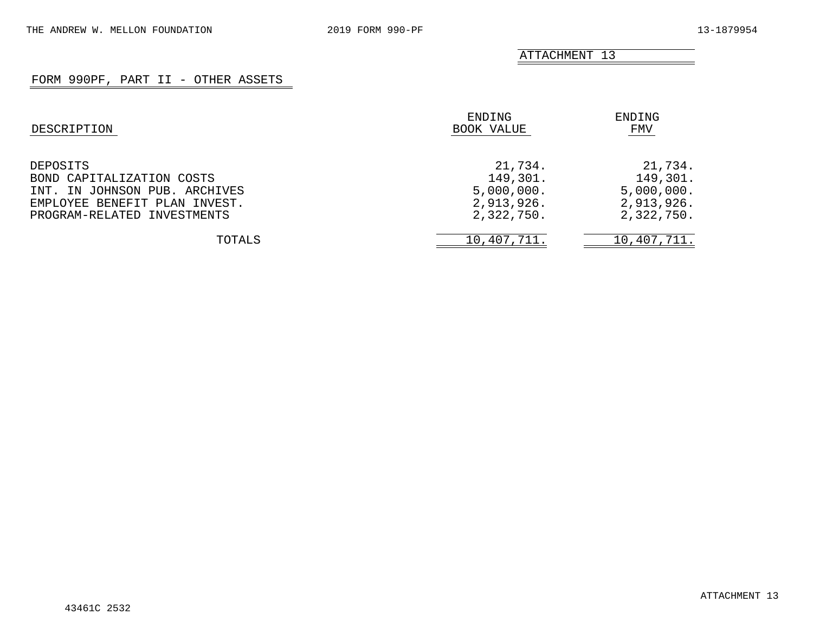ATTACHMENT 13

## FORM 990PF, PART II - OTHER ASSETS

| DESCRIPTION                                                                                                                            | ENDING<br>BOOK VALUE                                          | ENDING<br>FMV                                                 |  |
|----------------------------------------------------------------------------------------------------------------------------------------|---------------------------------------------------------------|---------------------------------------------------------------|--|
| DEPOSITS<br>BOND CAPITALIZATION COSTS<br>INT. IN JOHNSON PUB. ARCHIVES<br>EMPLOYEE BENEFIT PLAN INVEST.<br>PROGRAM-RELATED INVESTMENTS | 21,734.<br>149,301.<br>5,000,000.<br>2,913,926.<br>2,322,750. | 21,734.<br>149,301.<br>5,000,000.<br>2,913,926.<br>2,322,750. |  |
| TOTALS                                                                                                                                 | 10,407,711.                                                   | 10,407,711.                                                   |  |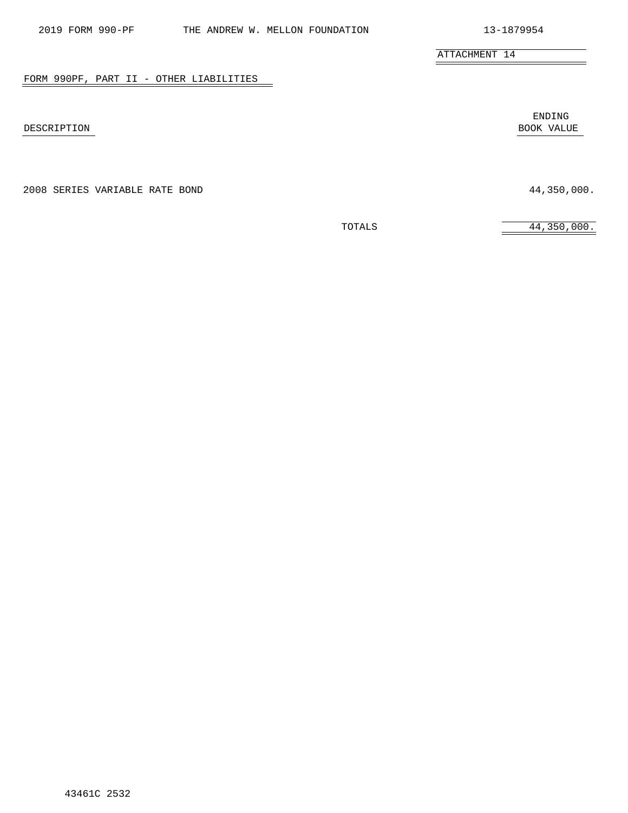|             | ENDING     |
|-------------|------------|
| DESCRIPTION | BOOK VALUE |

FORM 990PF, PART II - OTHER LIABILITIES

2008 SERIES VARIABLE RATE BOND 44,350,000.

ATTACHMENT 14

TOTALS 44,350,000.

ENDING

 $\overline{\phantom{a}}$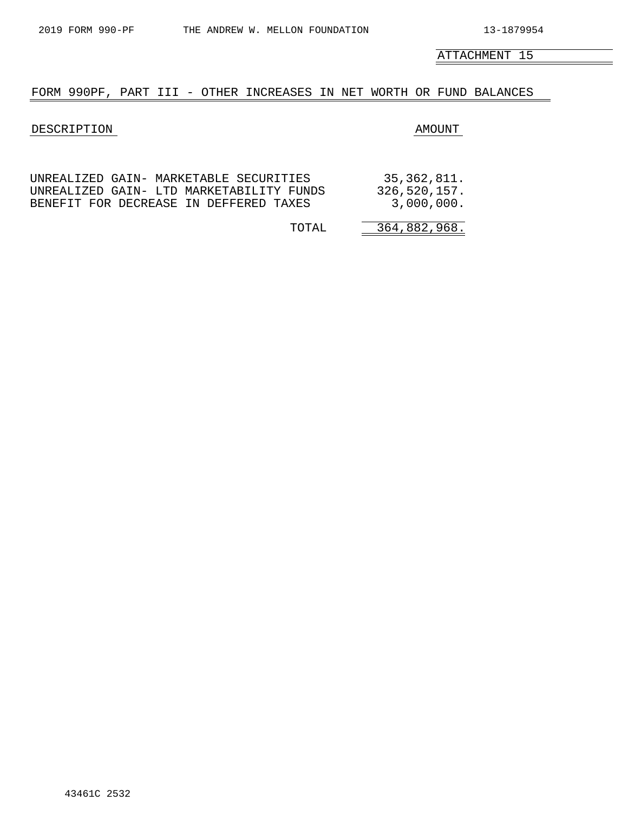$\equiv$ 

ATTACHMENT 15

#### FORM 990PF, PART III - OTHER INCREASES IN NET WORTH OR FUND BALANCES

#### DESCRIPTION AMOUNT

|                                          | 35,362,811.  |
|------------------------------------------|--------------|
| UNREALIZED GAIN- LTD MARKETABILITY FUNDS | 326,520,157. |
| BENEFIT FOR DECREASE IN DEFFERED TAXES   | 3,000,000.   |

| റ<br>$\mathbf{U}$ |
|-------------------|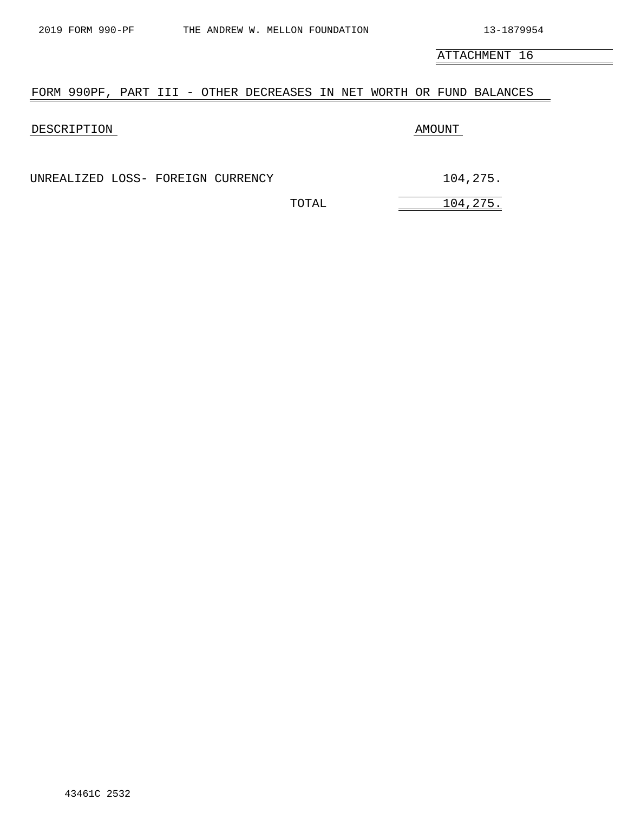ATTACHMENT 16

#### FORM 990PF, PART III - OTHER DECREASES IN NET WORTH OR FUND BALANCES

#### DESCRIPTION AMOUNT

UNREALIZED LOSS- FOREIGN CURRENCY 104,275.

TOTAL 104,275.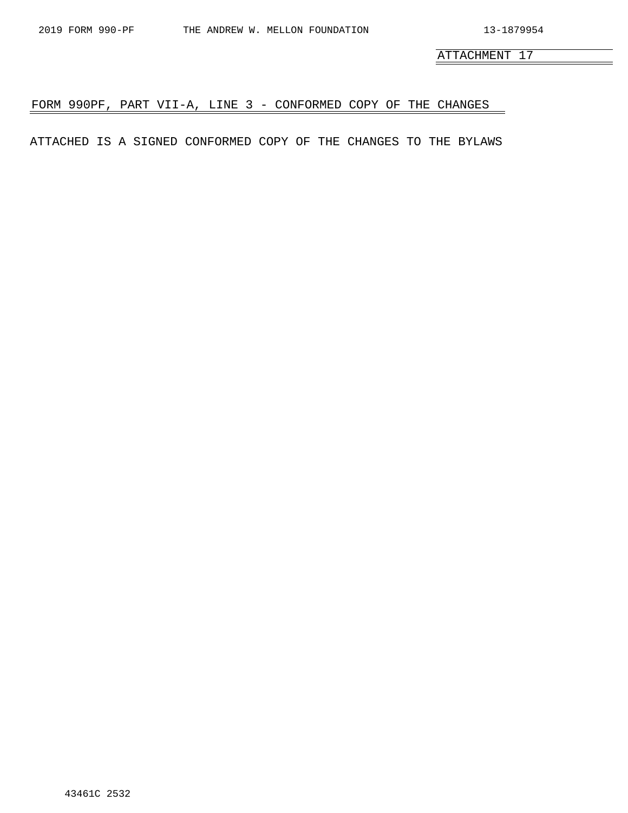$\overline{\phantom{0}}$ 

ATTACHMENT 17

# FORM 990PF, PART VII-A, LINE 3 - CONFORMED COPY OF THE CHANGES

ATTACHED IS A SIGNED CONFORMED COPY OF THE CHANGES TO THE BYLAWS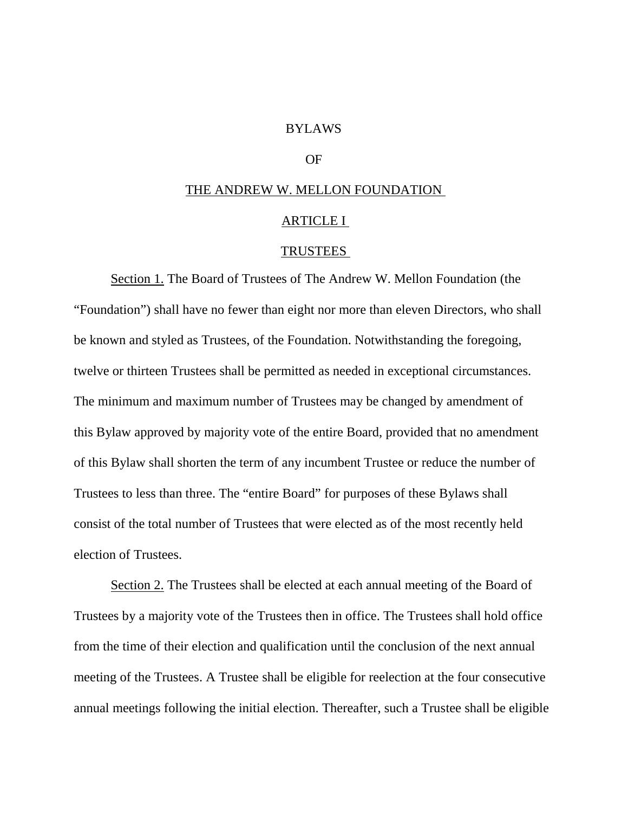## BYLAWS

# OF

# THE ANDREW W. MELLON FOUNDATION

# ARTICLE I

## TRUSTEES

Section 1. The Board of Trustees of The Andrew W. Mellon Foundation (the "Foundation") shall have no fewer than eight nor more than eleven Directors, who shall be known and styled as Trustees, of the Foundation. Notwithstanding the foregoing, twelve or thirteen Trustees shall be permitted as needed in exceptional circumstances. The minimum and maximum number of Trustees may be changed by amendment of this Bylaw approved by majority vote of the entire Board, provided that no amendment of this Bylaw shall shorten the term of any incumbent Trustee or reduce the number of Trustees to less than three. The "entire Board" for purposes of these Bylaws shall consist of the total number of Trustees that were elected as of the most recently held election of Trustees.

Section 2. The Trustees shall be elected at each annual meeting of the Board of Trustees by a majority vote of the Trustees then in office. The Trustees shall hold office from the time of their election and qualification until the conclusion of the next annual meeting of the Trustees. A Trustee shall be eligible for reelection at the four consecutive annual meetings following the initial election. Thereafter, such a Trustee shall be eligible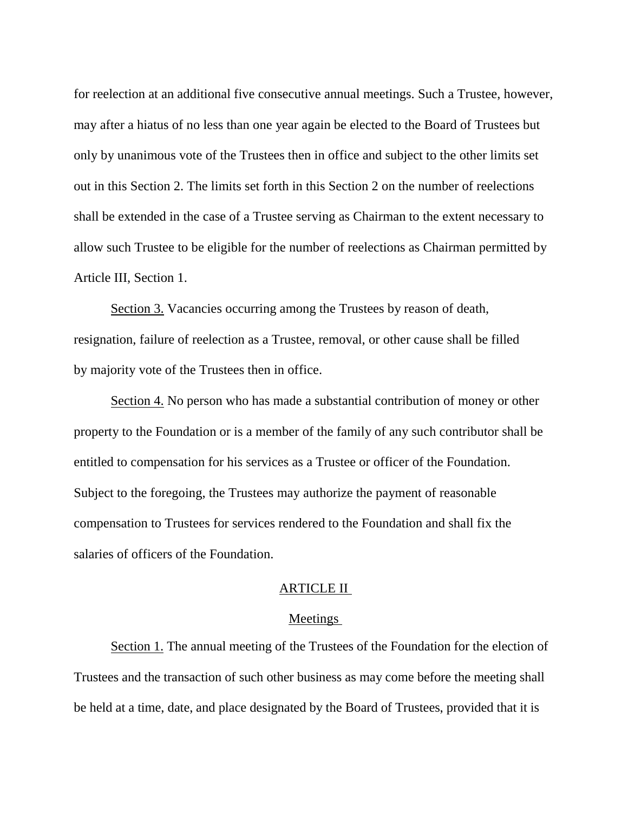for reelection at an additional five consecutive annual meetings. Such a Trustee, however, may after a hiatus of no less than one year again be elected to the Board of Trustees but only by unanimous vote of the Trustees then in office and subject to the other limits set out in this Section 2. The limits set forth in this Section 2 on the number of reelections shall be extended in the case of a Trustee serving as Chairman to the extent necessary to allow such Trustee to be eligible for the number of reelections as Chairman permitted by Article III, Section 1.

Section 3. Vacancies occurring among the Trustees by reason of death, resignation, failure of reelection as a Trustee, removal, or other cause shall be filled by majority vote of the Trustees then in office.

Section 4. No person who has made a substantial contribution of money or other property to the Foundation or is a member of the family of any such contributor shall be entitled to compensation for his services as a Trustee or officer of the Foundation. Subject to the foregoing, the Trustees may authorize the payment of reasonable compensation to Trustees for services rendered to the Foundation and shall fix the salaries of officers of the Foundation.

# ARTICLE II

## Meetings

Section 1. The annual meeting of the Trustees of the Foundation for the election of Trustees and the transaction of such other business as may come before the meeting shall be held at a time, date, and place designated by the Board of Trustees, provided that it is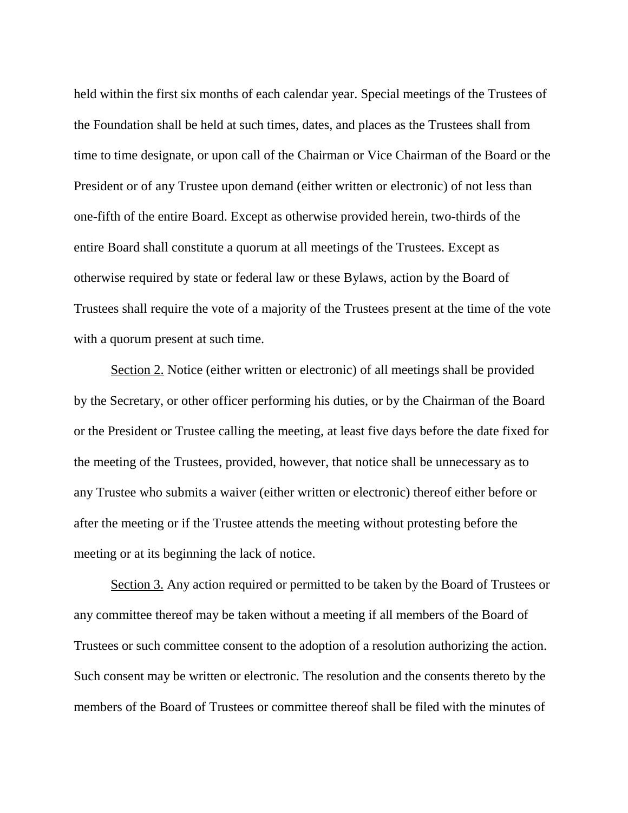held within the first six months of each calendar year. Special meetings of the Trustees of the Foundation shall be held at such times, dates, and places as the Trustees shall from time to time designate, or upon call of the Chairman or Vice Chairman of the Board or the President or of any Trustee upon demand (either written or electronic) of not less than one-fifth of the entire Board. Except as otherwise provided herein, two-thirds of the entire Board shall constitute a quorum at all meetings of the Trustees. Except as otherwise required by state or federal law or these Bylaws, action by the Board of Trustees shall require the vote of a majority of the Trustees present at the time of the vote with a quorum present at such time.

Section 2. Notice (either written or electronic) of all meetings shall be provided by the Secretary, or other officer performing his duties, or by the Chairman of the Board or the President or Trustee calling the meeting, at least five days before the date fixed for the meeting of the Trustees, provided, however, that notice shall be unnecessary as to any Trustee who submits a waiver (either written or electronic) thereof either before or after the meeting or if the Trustee attends the meeting without protesting before the meeting or at its beginning the lack of notice.

Section 3. Any action required or permitted to be taken by the Board of Trustees or any committee thereof may be taken without a meeting if all members of the Board of Trustees or such committee consent to the adoption of a resolution authorizing the action. Such consent may be written or electronic. The resolution and the consents thereto by the members of the Board of Trustees or committee thereof shall be filed with the minutes of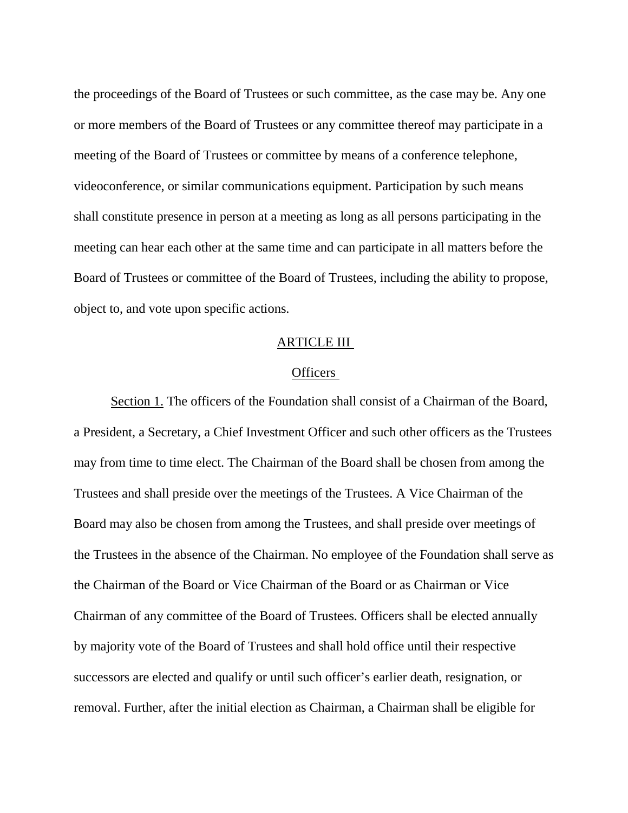the proceedings of the Board of Trustees or such committee, as the case may be. Any one or more members of the Board of Trustees or any committee thereof may participate in a meeting of the Board of Trustees or committee by means of a conference telephone, videoconference, or similar communications equipment. Participation by such means shall constitute presence in person at a meeting as long as all persons participating in the meeting can hear each other at the same time and can participate in all matters before the Board of Trustees or committee of the Board of Trustees, including the ability to propose, object to, and vote upon specific actions.

# ARTICLE III

# **Officers**

Section 1. The officers of the Foundation shall consist of a Chairman of the Board, a President, a Secretary, a Chief Investment Officer and such other officers as the Trustees may from time to time elect. The Chairman of the Board shall be chosen from among the Trustees and shall preside over the meetings of the Trustees. A Vice Chairman of the Board may also be chosen from among the Trustees, and shall preside over meetings of the Trustees in the absence of the Chairman. No employee of the Foundation shall serve as the Chairman of the Board or Vice Chairman of the Board or as Chairman or Vice Chairman of any committee of the Board of Trustees. Officers shall be elected annually by majority vote of the Board of Trustees and shall hold office until their respective successors are elected and qualify or until such officer's earlier death, resignation, or removal. Further, after the initial election as Chairman, a Chairman shall be eligible for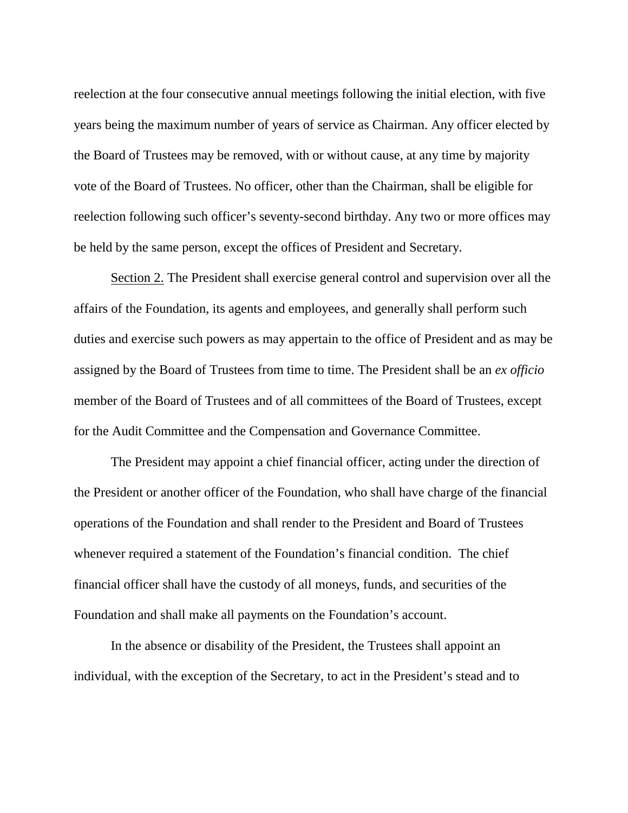reelection at the four consecutive annual meetings following the initial election, with five years being the maximum number of years of service as Chairman. Any officer elected by the Board of Trustees may be removed, with or without cause, at any time by majority vote of the Board of Trustees. No officer, other than the Chairman, shall be eligible for reelection following such officer's seventy-second birthday. Any two or more offices may be held by the same person, except the offices of President and Secretary.

Section 2. The President shall exercise general control and supervision over all the affairs of the Foundation, its agents and employees, and generally shall perform such duties and exercise such powers as may appertain to the office of President and as may be assigned by the Board of Trustees from time to time. The President shall be an *ex officio*  member of the Board of Trustees and of all committees of the Board of Trustees, except for the Audit Committee and the Compensation and Governance Committee.

The President may appoint a chief financial officer, acting under the direction of the President or another officer of the Foundation, who shall have charge of the financial operations of the Foundation and shall render to the President and Board of Trustees whenever required a statement of the Foundation's financial condition. The chief financial officer shall have the custody of all moneys, funds, and securities of the Foundation and shall make all payments on the Foundation's account.

In the absence or disability of the President, the Trustees shall appoint an individual, with the exception of the Secretary, to act in the President's stead and to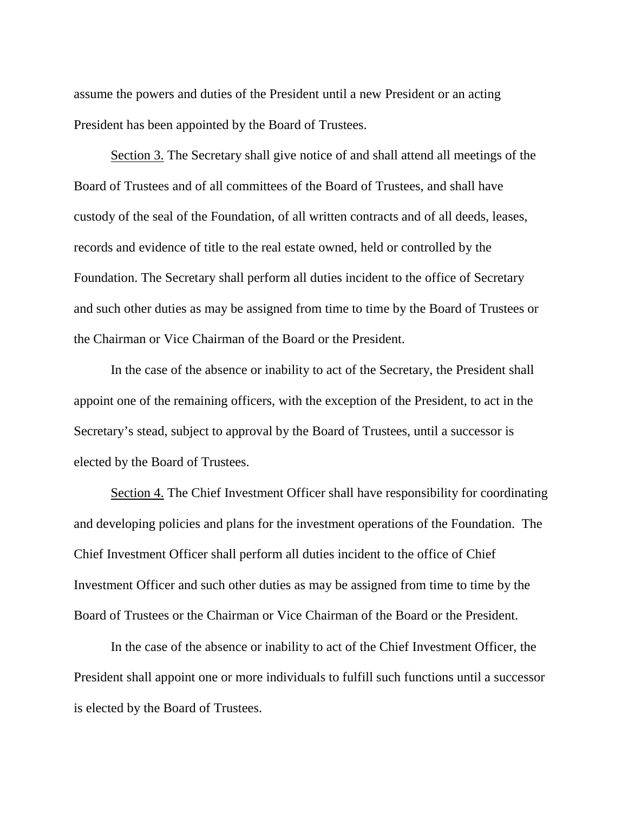assume the powers and duties of the President until a new President or an acting President has been appointed by the Board of Trustees.

Section 3. The Secretary shall give notice of and shall attend all meetings of the Board of Trustees and of all committees of the Board of Trustees, and shall have custody of the seal of the Foundation, of all written contracts and of all deeds, leases, records and evidence of title to the real estate owned, held or controlled by the Foundation. The Secretary shall perform all duties incident to the office of Secretary and such other duties as may be assigned from time to time by the Board of Trustees or the Chairman or Vice Chairman of the Board or the President.

In the case of the absence or inability to act of the Secretary, the President shall appoint one of the remaining officers, with the exception of the President, to act in the Secretary's stead, subject to approval by the Board of Trustees, until a successor is elected by the Board of Trustees.

Section 4. The Chief Investment Officer shall have responsibility for coordinating and developing policies and plans for the investment operations of the Foundation. The Chief Investment Officer shall perform all duties incident to the office of Chief Investment Officer and such other duties as may be assigned from time to time by the Board of Trustees or the Chairman or Vice Chairman of the Board or the President.

In the case of the absence or inability to act of the Chief Investment Officer, the President shall appoint one or more individuals to fulfill such functions until a successor is elected by the Board of Trustees.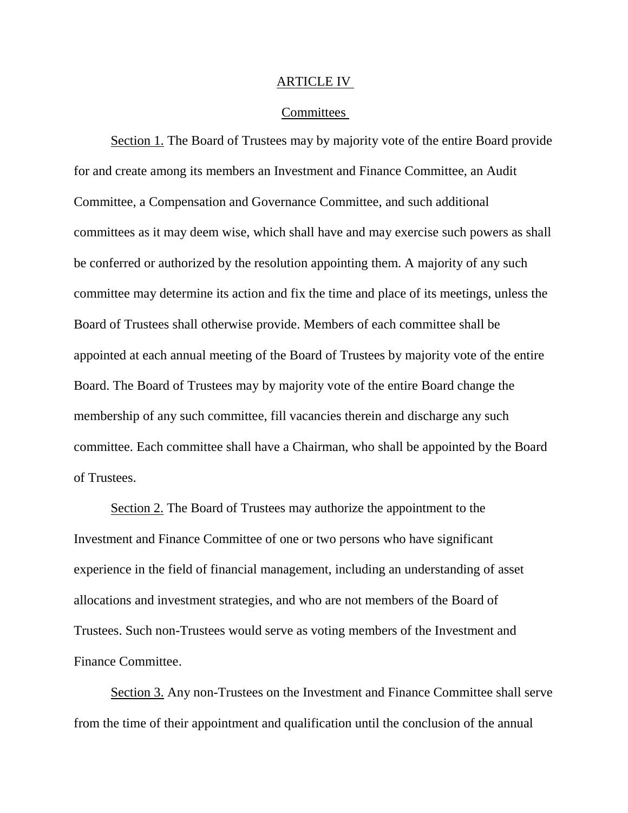## ARTICLE IV

# Committees

Section 1. The Board of Trustees may by majority vote of the entire Board provide for and create among its members an Investment and Finance Committee, an Audit Committee, a Compensation and Governance Committee, and such additional committees as it may deem wise, which shall have and may exercise such powers as shall be conferred or authorized by the resolution appointing them. A majority of any such committee may determine its action and fix the time and place of its meetings, unless the Board of Trustees shall otherwise provide. Members of each committee shall be appointed at each annual meeting of the Board of Trustees by majority vote of the entire Board. The Board of Trustees may by majority vote of the entire Board change the membership of any such committee, fill vacancies therein and discharge any such committee. Each committee shall have a Chairman, who shall be appointed by the Board of Trustees.

Section 2. The Board of Trustees may authorize the appointment to the Investment and Finance Committee of one or two persons who have significant experience in the field of financial management, including an understanding of asset allocations and investment strategies, and who are not members of the Board of Trustees. Such non-Trustees would serve as voting members of the Investment and Finance Committee.

Section 3. Any non-Trustees on the Investment and Finance Committee shall serve from the time of their appointment and qualification until the conclusion of the annual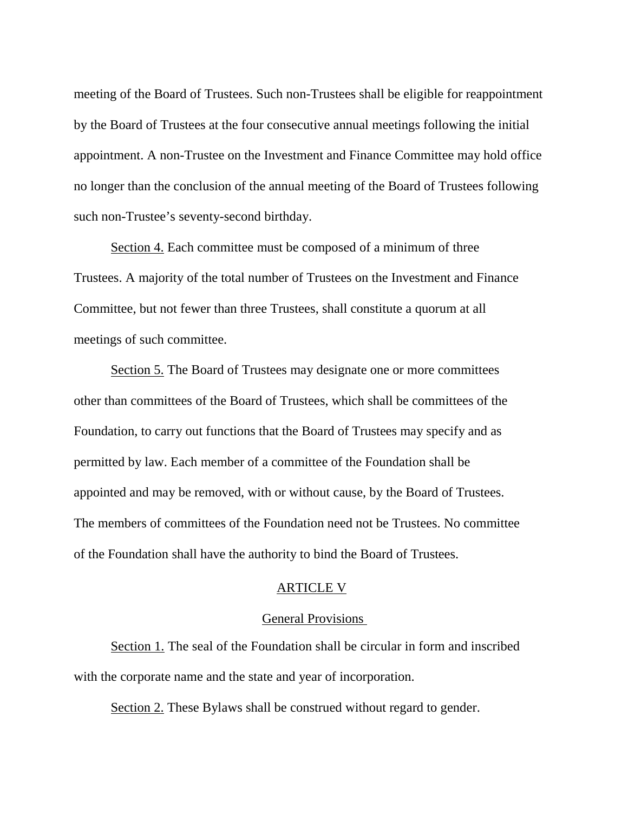meeting of the Board of Trustees. Such non-Trustees shall be eligible for reappointment by the Board of Trustees at the four consecutive annual meetings following the initial appointment. A non-Trustee on the Investment and Finance Committee may hold office no longer than the conclusion of the annual meeting of the Board of Trustees following such non-Trustee's seventy-second birthday.

Section 4. Each committee must be composed of a minimum of three Trustees. A majority of the total number of Trustees on the Investment and Finance Committee, but not fewer than three Trustees, shall constitute a quorum at all meetings of such committee.

Section 5. The Board of Trustees may designate one or more committees other than committees of the Board of Trustees, which shall be committees of the Foundation, to carry out functions that the Board of Trustees may specify and as permitted by law. Each member of a committee of the Foundation shall be appointed and may be removed, with or without cause, by the Board of Trustees. The members of committees of the Foundation need not be Trustees. No committee of the Foundation shall have the authority to bind the Board of Trustees.

# ARTICLE V

## General Provisions

Section 1. The seal of the Foundation shall be circular in form and inscribed with the corporate name and the state and year of incorporation.

Section 2. These Bylaws shall be construed without regard to gender.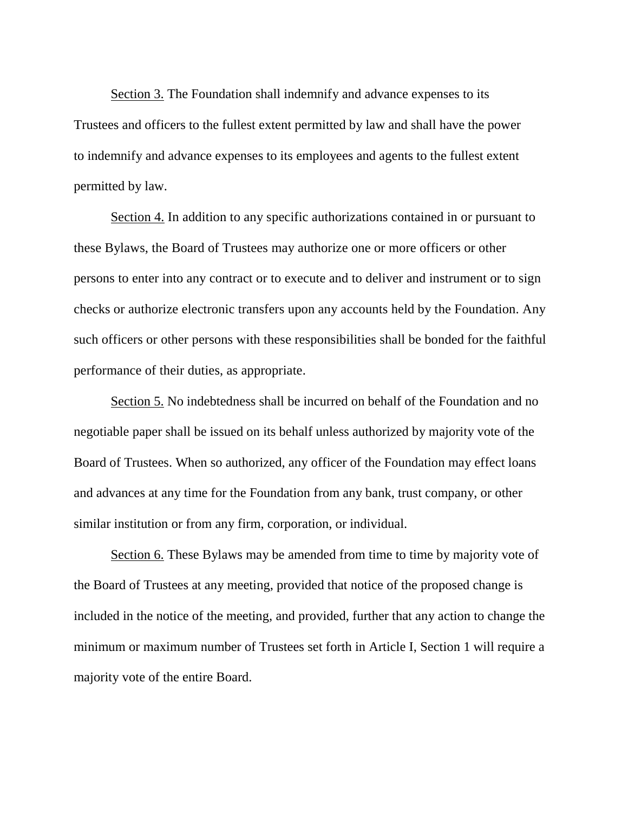Section 3. The Foundation shall indemnify and advance expenses to its Trustees and officers to the fullest extent permitted by law and shall have the power to indemnify and advance expenses to its employees and agents to the fullest extent permitted by law.

Section 4. In addition to any specific authorizations contained in or pursuant to these Bylaws, the Board of Trustees may authorize one or more officers or other persons to enter into any contract or to execute and to deliver and instrument or to sign checks or authorize electronic transfers upon any accounts held by the Foundation. Any such officers or other persons with these responsibilities shall be bonded for the faithful performance of their duties, as appropriate.

Section 5. No indebtedness shall be incurred on behalf of the Foundation and no negotiable paper shall be issued on its behalf unless authorized by majority vote of the Board of Trustees. When so authorized, any officer of the Foundation may effect loans and advances at any time for the Foundation from any bank, trust company, or other similar institution or from any firm, corporation, or individual.

Section 6. These Bylaws may be amended from time to time by majority vote of the Board of Trustees at any meeting, provided that notice of the proposed change is included in the notice of the meeting, and provided, further that any action to change the minimum or maximum number of Trustees set forth in Article I, Section 1 will require a majority vote of the entire Board.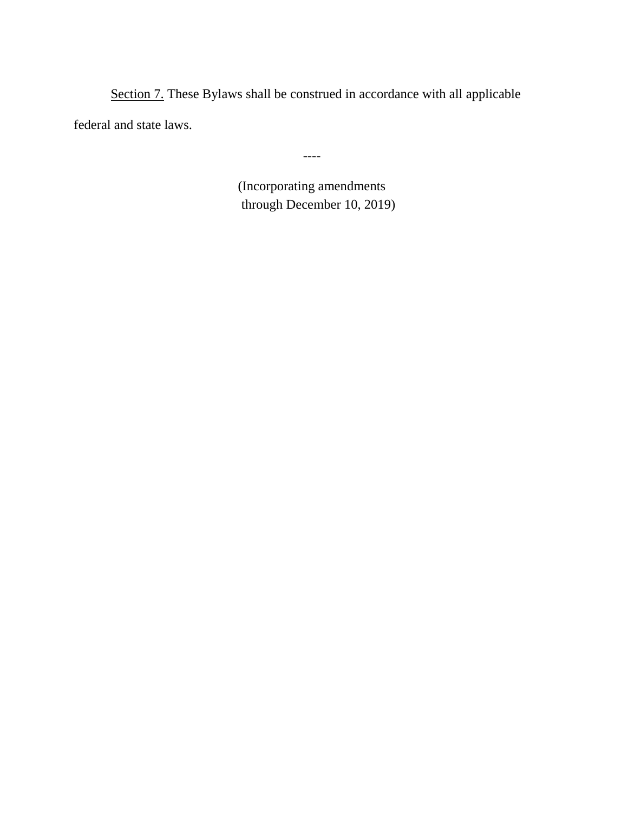Section 7. These Bylaws shall be construed in accordance with all applicable federal and state laws.

----

(Incorporating amendments through December 10, 2019)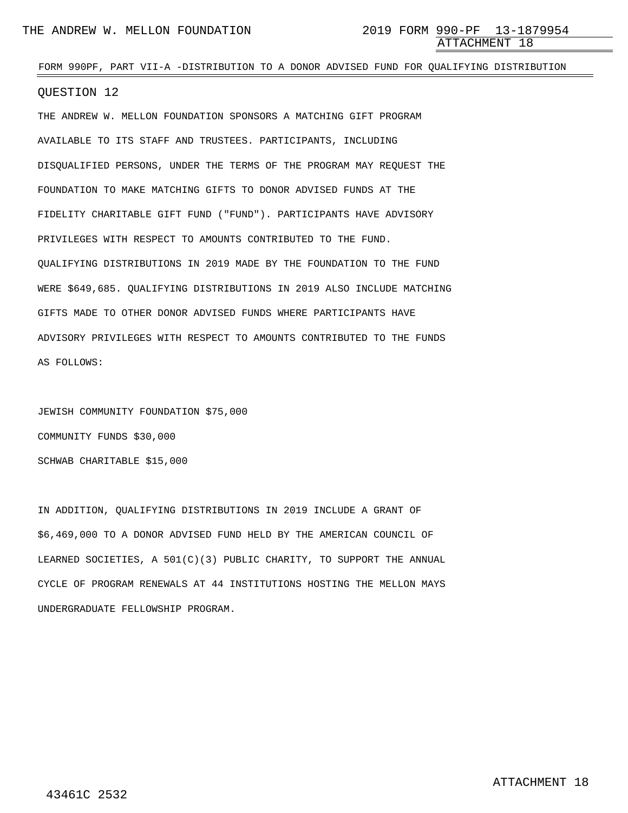## FORM 990PF, PART VII-A -DISTRIBUTION TO A DONOR ADVISED FUND FOR QUALIFYING DISTRIBUTION

### QUESTION 12

THE ANDREW W. MELLON FOUNDATION SPONSORS A MATCHING GIFT PROGRAM AVAILABLE TO ITS STAFF AND TRUSTEES. PARTICIPANTS, INCLUDING DISQUALIFIED PERSONS, UNDER THE TERMS OF THE PROGRAM MAY REQUEST THE FOUNDATION TO MAKE MATCHING GIFTS TO DONOR ADVISED FUNDS AT THE FIDELITY CHARITABLE GIFT FUND ("FUND"). PARTICIPANTS HAVE ADVISORY PRIVILEGES WITH RESPECT TO AMOUNTS CONTRIBUTED TO THE FUND. QUALIFYING DISTRIBUTIONS IN 2019 MADE BY THE FOUNDATION TO THE FUND WERE \$649,685. QUALIFYING DISTRIBUTIONS IN 2019 ALSO INCLUDE MATCHING GIFTS MADE TO OTHER DONOR ADVISED FUNDS WHERE PARTICIPANTS HAVE ADVISORY PRIVILEGES WITH RESPECT TO AMOUNTS CONTRIBUTED TO THE FUNDS AS FOLLOWS:

JEWISH COMMUNITY FOUNDATION \$75,000 COMMUNITY FUNDS \$30,000 SCHWAB CHARITABLE \$15,000

IN ADDITION, QUALIFYING DISTRIBUTIONS IN 2019 INCLUDE A GRANT OF \$6,469,000 TO A DONOR ADVISED FUND HELD BY THE AMERICAN COUNCIL OF LEARNED SOCIETIES, A 501(C)(3) PUBLIC CHARITY, TO SUPPORT THE ANNUAL CYCLE OF PROGRAM RENEWALS AT 44 INSTITUTIONS HOSTING THE MELLON MAYS UNDERGRADUATE FELLOWSHIP PROGRAM.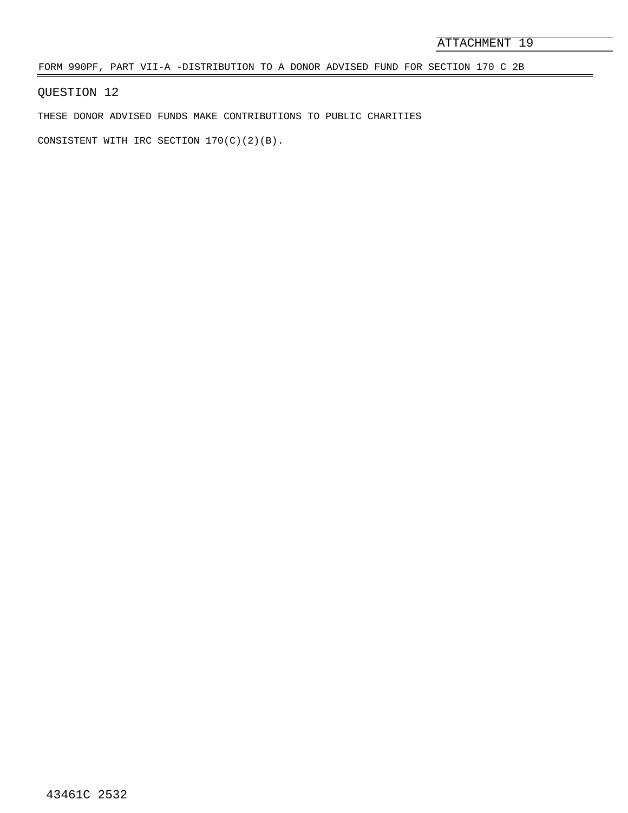FORM 990PF, PART VII-A -DISTRIBUTION TO A DONOR ADVISED FUND FOR SECTION 170 C 2B

QUESTION 12

THESE DONOR ADVISED FUNDS MAKE CONTRIBUTIONS TO PUBLIC CHARITIES

CONSISTENT WITH IRC SECTION 170(C)(2)(B).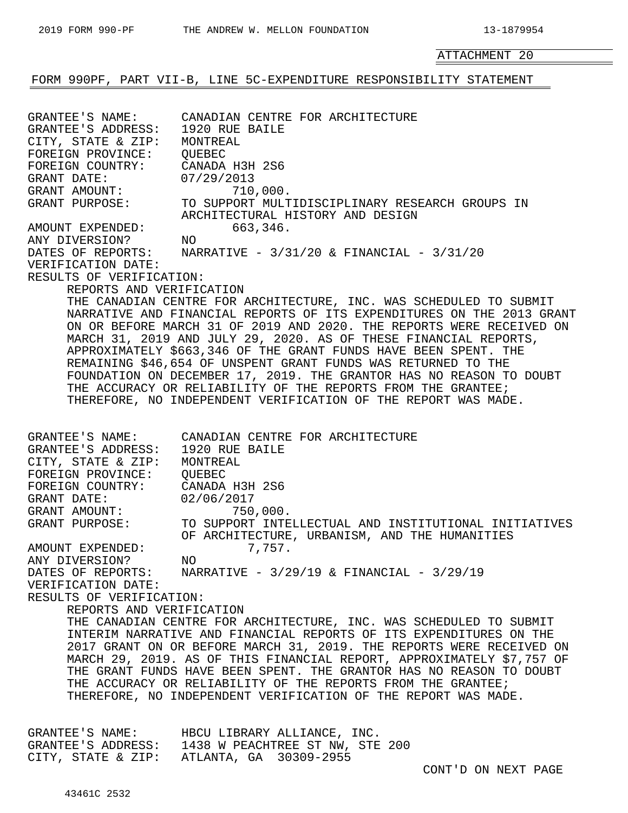$\equiv$ 

ATTACHMENT 20

# FORM 990PF, PART VII-B, LINE 5C-EXPENDITURE RESPONSIBILITY STATEMENT

| GRANTEE'S NAME:<br>GRANTEE'S ADDRESS: 1920 RUE BAILE<br>CITY, STATE & ZIP:<br>FOREIGN PROVINCE: QUEBEC<br>FOREIGN COUNTRY:<br>GRANT DATE:<br>GRANT AMOUNT:<br>GRANT PURPOSE:<br>AMOUNT EXPENDED:<br>ANY DIVERSION?<br>DATES OF REPORTS:<br>VERIFICATION DATE:<br>RESULTS OF VERIFICATION:<br>REPORTS AND VERIFICATION | CANADIAN CENTRE FOR ARCHITECTURE<br>MONTREAL<br>CANADA H3H 2S6<br>07/29/2013<br>710,000.<br>TO SUPPORT MULTIDISCIPLINARY RESEARCH GROUPS IN<br>ARCHITECTURAL HISTORY AND DESIGN<br>663,346.<br>NO<br>NARRATIVE - 3/31/20 & FINANCIAL - 3/31/20<br>THE CANADIAN CENTRE FOR ARCHITECTURE, INC. WAS SCHEDULED TO SUBMIT<br>NARRATIVE AND FINANCIAL REPORTS OF ITS EXPENDITURES ON THE 2013 GRANT<br>ON OR BEFORE MARCH 31 OF 2019 AND 2020. THE REPORTS WERE RECEIVED ON<br>MARCH 31, 2019 AND JULY 29, 2020. AS OF THESE FINANCIAL REPORTS,<br>APPROXIMATELY \$663,346 OF THE GRANT FUNDS HAVE BEEN SPENT. THE<br>REMAINING \$46,654 OF UNSPENT GRANT FUNDS WAS RETURNED TO THE<br>FOUNDATION ON DECEMBER 17, 2019. THE GRANTOR HAS NO REASON TO DOUBT<br>THE ACCURACY OR RELIABILITY OF THE REPORTS FROM THE GRANTEE;<br>THEREFORE, NO INDEPENDENT VERIFICATION OF THE REPORT WAS MADE. |
|-----------------------------------------------------------------------------------------------------------------------------------------------------------------------------------------------------------------------------------------------------------------------------------------------------------------------|----------------------------------------------------------------------------------------------------------------------------------------------------------------------------------------------------------------------------------------------------------------------------------------------------------------------------------------------------------------------------------------------------------------------------------------------------------------------------------------------------------------------------------------------------------------------------------------------------------------------------------------------------------------------------------------------------------------------------------------------------------------------------------------------------------------------------------------------------------------------------------------|
| GRANTEE'S ADDRESS: 1920 RUE BAILE<br>CITY, STATE & ZIP: MONTREAL<br>FOREIGN PROVINCE: QUEBEC<br>FOREIGN COUNTRY:<br>GRANT DATE:<br>GRANT AMOUNT:<br>GRANT PURPOSE:<br>AMOUNT EXPENDED:<br>ANY DIVERSION?<br>VERIFICATION DATE:<br>RESULTS OF VERIFICATION:<br>REPORTS AND VERIFICATION                                | GRANTEE'S NAME: CANADIAN CENTRE FOR ARCHITECTURE<br>CANADA H3H 2S6<br>02/06/2017<br>750,000.<br>TO SUPPORT INTELLECTUAL AND INSTITUTIONAL INITIATIVES<br>OF ARCHITECTURE, URBANISM, AND THE HUMANITIES<br>7,757.<br>ΝO<br>DATES OF REPORTS: NARRATIVE - 3/29/19 & FINANCIAL - 3/29/19<br>THE CANADIAN CENTRE FOR ARCHITECTURE, INC. WAS SCHEDULED TO SUBMIT<br>INTERIM NARRATIVE AND FINANCIAL REPORTS OF ITS EXPENDITURES ON THE<br>2017 GRANT ON OR BEFORE MARCH 31, 2019. THE REPORTS WERE RECEIVED ON<br>MARCH 29, 2019. AS OF THIS FINANCIAL REPORT, APPROXIMATELY \$7,757 OF<br>THE GRANT FUNDS HAVE BEEN SPENT. THE GRANTOR HAS NO REASON TO DOUBT<br>THE ACCURACY OR RELIABILITY OF THE REPORTS FROM THE GRANTEE;<br>THEREFORE, NO INDEPENDENT VERIFICATION OF THE REPORT WAS MADE.                                                                                            |
|                                                                                                                                                                                                                                                                                                                       | GRANTEE'S NAME: HBCU LIBRARY ALLIANCE, INC.<br>GRANTEE'S ADDRESS: 1438 W PEACHTREE ST NW, STE 200<br>CITY, STATE & ZIP: ATLANTA, GA 30309-2955                                                                                                                                                                                                                                                                                                                                                                                                                                                                                                                                                                                                                                                                                                                                         |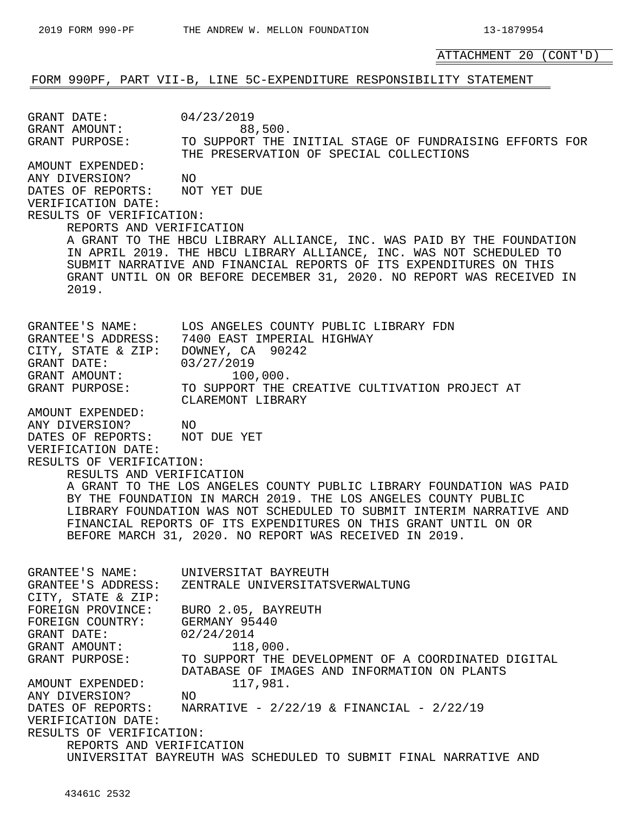ATTACHMENT 20 (CONT'D)

## FORM 990PF, PART VII-B, LINE 5C-EXPENDITURE RESPONSIBILITY STATEMENT

GRANT DATE: 04/23/2019 GRANT AMOUNT: 88,500.<br>GRANT PURPOSE: TO SUPPORT THE TO SUPPORT THE INITIAL STAGE OF FUNDRAISING EFFORTS FOR THE PRESERVATION OF SPECIAL COLLECTIONS AMOUNT EXPENDED: ANY DIVERSION? NO DATES OF REPORTS: NOT YET DUE VERIFICATION DATE: RESULTS OF VERIFICATION: REPORTS AND VERIFICATION A GRANT TO THE HBCU LIBRARY ALLIANCE, INC. WAS PAID BY THE FOUNDATION IN APRIL 2019. THE HBCU LIBRARY ALLIANCE, INC. WAS NOT SCHEDULED TO SUBMIT NARRATIVE AND FINANCIAL REPORTS OF ITS EXPENDITURES ON THIS GRANT UNTIL ON OR BEFORE DECEMBER 31, 2020. NO REPORT WAS RECEIVED IN 2019. GRANTEE'S NAME: LOS ANGELES COUNTY PUBLIC LIBRARY FDN GRANTEE'S ADDRESS: 7400 EAST IMPERIAL HIGHWAY CITY, STATE & ZIP: DOWNEY, CA 90242 GRANT DATE: 03/27/2019 GRANT AMOUNT: 100,000. GRANT AMOUNT:  $100,000$ .<br>GRANT PURPOSE: TO SUPPORT THE CREATIVE CULTIVATION PROJECT AT CLAREMONT LIBRARY AMOUNT EXPENDED: ANY DIVERSION? NO DATES OF REPORTS: NOT DUE YET VERIFICATION DATE: RESULTS OF VERIFICATION: RESULTS AND VERIFICATION A GRANT TO THE LOS ANGELES COUNTY PUBLIC LIBRARY FOUNDATION WAS PAID BY THE FOUNDATION IN MARCH 2019. THE LOS ANGELES COUNTY PUBLIC LIBRARY FOUNDATION WAS NOT SCHEDULED TO SUBMIT INTERIM NARRATIVE AND FINANCIAL REPORTS OF ITS EXPENDITURES ON THIS GRANT UNTIL ON OR BEFORE MARCH 31, 2020. NO REPORT WAS RECEIVED IN 2019. GRANTEE'S NAME: UNIVERSITAT BAYREUTH GRANTEE'S ADDRESS: ZENTRALE UNIVERSITATSVERWALTUNG CITY, STATE & ZIP: FOREIGN PROVINCE: BURO 2.05, BAYREUTH FOREIGN COUNTRY: GERMANY 95440 GRANT DATE: 02/24/2014 GRANT AMOUNT: 118,000. GRANT PURPOSE: TO SUPPORT THE DEVELOPMENT OF A COORDINATED DIGITAL DATABASE OF IMAGES AND INFORMATION ON PLANTS AMOUNT EXPENDED: 117,981. ANY DIVERSION? NO<br>DATES OF REPORTS: NAR NARRATIVE -  $2/22/19$  & FINANCIAL -  $2/22/19$ VERIFICATION DATE: RESULTS OF VERIFICATION: REPORTS AND VERIFICATION UNIVERSITAT BAYREUTH WAS SCHEDULED TO SUBMIT FINAL NARRATIVE AND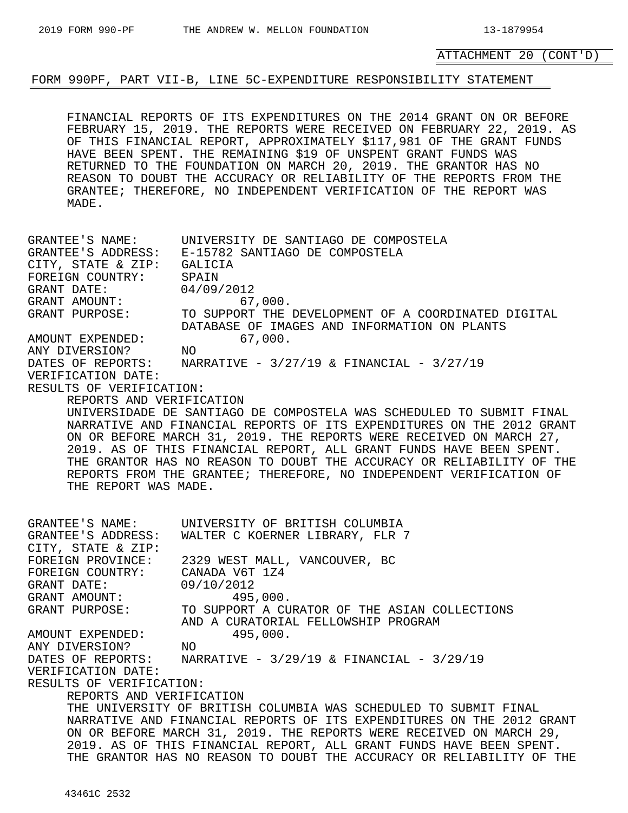## ATTACHMENT 20 (CONT'D)

## FORM 990PF, PART VII-B, LINE 5C-EXPENDITURE RESPONSIBILITY STATEMENT

FINANCIAL REPORTS OF ITS EXPENDITURES ON THE 2014 GRANT ON OR BEFORE FEBRUARY 15, 2019. THE REPORTS WERE RECEIVED ON FEBRUARY 22, 2019. AS OF THIS FINANCIAL REPORT, APPROXIMATELY \$117,981 OF THE GRANT FUNDS HAVE BEEN SPENT. THE REMAINING \$19 OF UNSPENT GRANT FUNDS WAS RETURNED TO THE FOUNDATION ON MARCH 20, 2019. THE GRANTOR HAS NO REASON TO DOUBT THE ACCURACY OR RELIABILITY OF THE REPORTS FROM THE GRANTEE; THEREFORE, NO INDEPENDENT VERIFICATION OF THE REPORT WAS MADE.

GRANTEE'S NAME: UNIVERSITY DE SANTIAGO DE COMPOSTELA GRANTEE'S ADDRESS: E-15782 SANTIAGO DE COMPOSTELA CITY, STATE & ZIP: GALICIA FOREIGN COUNTRY: SPAIN<br>GRANT DATE: 04/09/2012 GRANT DATE: 04/09/2012 GRANT AMOUNT: 67,000.<br>GRANT PURPOSE: TO SUPPORT THE TO SUPPORT THE DEVELOPMENT OF A COORDINATED DIGITAL DATABASE OF IMAGES AND INFORMATION ON PLANTS AMOUNT EXPENDED: 67,000. ANY DIVERSION? NO DATES OF REPORTS: NARRATIVE - 3/27/19 & FINANCIAL - 3/27/19 VERIFICATION DATE: RESULTS OF VERIFICATION: REPORTS AND VERIFICATION UNIVERSIDADE DE SANTIAGO DE COMPOSTELA WAS SCHEDULED TO SUBMIT FINAL NARRATIVE AND FINANCIAL REPORTS OF ITS EXPENDITURES ON THE 2012 GRANT ON OR BEFORE MARCH 31, 2019. THE REPORTS WERE RECEIVED ON MARCH 27, 2019. AS OF THIS FINANCIAL REPORT, ALL GRANT FUNDS HAVE BEEN SPENT. THE GRANTOR HAS NO REASON TO DOUBT THE ACCURACY OR RELIABILITY OF THE REPORTS FROM THE GRANTEE; THEREFORE, NO INDEPENDENT VERIFICATION OF THE REPORT WAS MADE. GRANTEE'S NAME: UNIVERSITY OF BRITISH COLUMBIA GRANTEE'S ADDRESS: WALTER C KOERNER LIBRARY, FLR 7 CITY, STATE & ZIP: FOREIGN PROVINCE: 2329 WEST MALL, VANCOUVER, BC<br>FOREIGN COUNTRY: CANADA V6T 1Z4<br>GRANT DATE: 09/10/2012 FOREIGN COUNTRY: GRANT DATE: 09/10/2012 GRANT AMOUNT: 495,000.<br>GRANT PURPOSE: TO SUPPORT A CU TO SUPPORT A CURATOR OF THE ASIAN COLLECTIONS AND A CURATORIAL FELLOWSHIP PROGRAM AMOUNT EXPENDED: 495,000. ANY DIVERSION? NO NARRATIVE -  $3/29/19$  & FINANCIAL -  $3/29/19$ VERIFICATION DATE: RESULTS OF VERIFICATION: REPORTS AND VERIFICATION THE UNIVERSITY OF BRITISH COLUMBIA WAS SCHEDULED TO SUBMIT FINAL NARRATIVE AND FINANCIAL REPORTS OF ITS EXPENDITURES ON THE 2012 GRANT ON OR BEFORE MARCH 31, 2019. THE REPORTS WERE RECEIVED ON MARCH 29, 2019. AS OF THIS FINANCIAL REPORT, ALL GRANT FUNDS HAVE BEEN SPENT. THE GRANTOR HAS NO REASON TO DOUBT THE ACCURACY OR RELIABILITY OF THE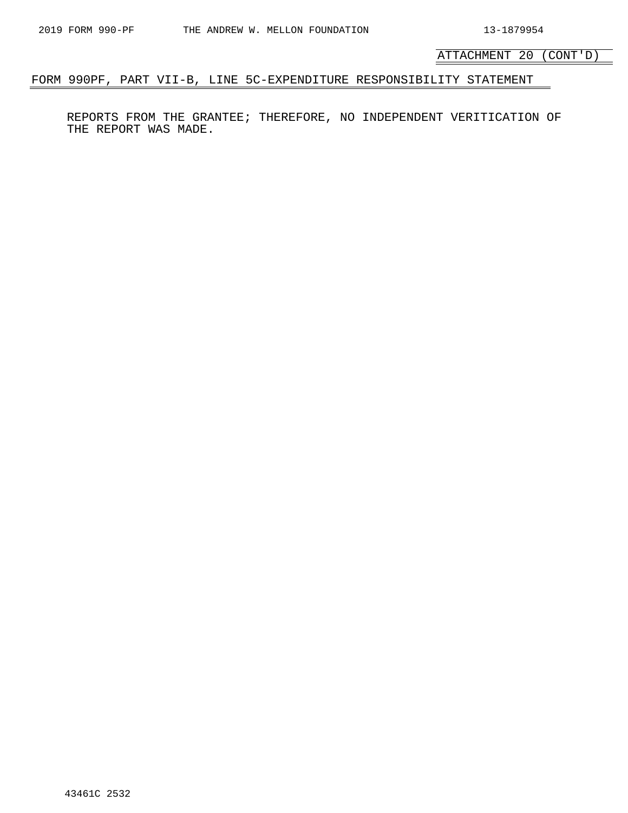ATTACHMENT 20 (CONT'D)

# FORM 990PF, PART VII-B, LINE 5C-EXPENDITURE RESPONSIBILITY STATEMENT

REPORTS FROM THE GRANTEE; THEREFORE, NO INDEPENDENT VERITICATION OF THE REPORT WAS MADE.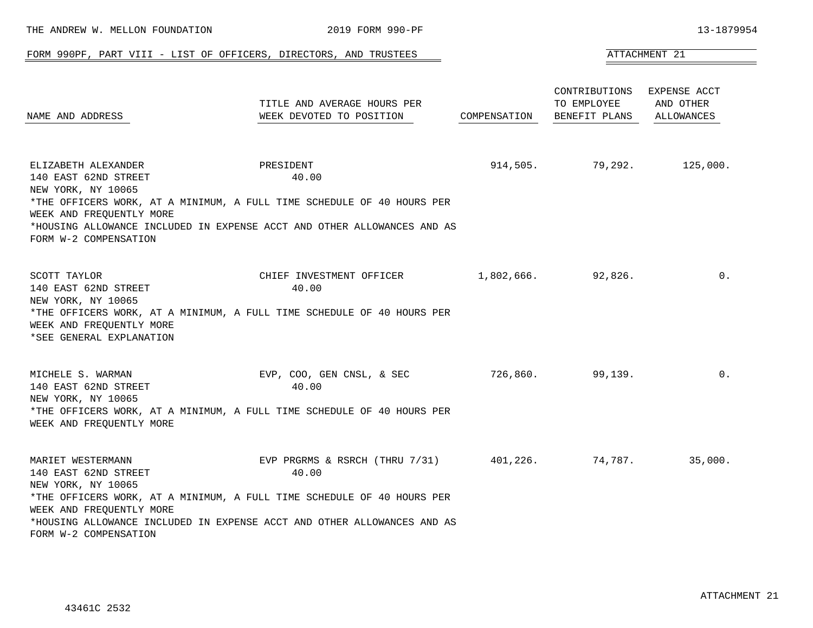|                                                                                                                        | FORM 990PF, PART VIII - LIST OF OFFICERS, DIRECTORS, AND TRUSTEES                                                                                                                                        |              |                                               | ATTACHMENT 21                                  |
|------------------------------------------------------------------------------------------------------------------------|----------------------------------------------------------------------------------------------------------------------------------------------------------------------------------------------------------|--------------|-----------------------------------------------|------------------------------------------------|
| NAME AND ADDRESS                                                                                                       | TITLE AND AVERAGE HOURS PER<br>WEEK DEVOTED TO POSITION                                                                                                                                                  | COMPENSATION | CONTRIBUTIONS<br>TO EMPLOYEE<br>BENEFIT PLANS | EXPENSE ACCT<br>AND OTHER<br><b>ALLOWANCES</b> |
| ELIZABETH ALEXANDER<br>140 EAST 62ND STREET<br>NEW YORK, NY 10065<br>WEEK AND FREQUENTLY MORE<br>FORM W-2 COMPENSATION | PRESIDENT<br>40.00<br>*THE OFFICERS WORK, AT A MINIMUM, A FULL TIME SCHEDULE OF 40 HOURS PER<br>*HOUSING ALLOWANCE INCLUDED IN EXPENSE ACCT AND OTHER ALLOWANCES AND AS                                  | 914,505.     |                                               | 79,292. 125,000.                               |
| SCOTT TAYLOR<br>140 EAST 62ND STREET<br>NEW YORK, NY 10065<br>WEEK AND FREQUENTLY MORE<br>*SEE GENERAL EXPLANATION     | CHIEF INVESTMENT OFFICER<br>40.00<br>*THE OFFICERS WORK, AT A MINIMUM, A FULL TIME SCHEDULE OF 40 HOURS PER                                                                                              | 1,802,666.   | 92,826.                                       | 0.                                             |
| MICHELE S. WARMAN<br>140 EAST 62ND STREET<br>NEW YORK, NY 10065<br>WEEK AND FREQUENTLY MORE                            | EVP, COO, GEN CNSL, & SEC<br>40.00<br>*THE OFFICERS WORK, AT A MINIMUM, A FULL TIME SCHEDULE OF 40 HOURS PER                                                                                             | 726,860.     | 99,139.                                       | $0$ .                                          |
| MARIET WESTERMANN<br>140 EAST 62ND STREET<br>NEW YORK, NY 10065<br>WEEK AND FREQUENTLY MORE<br>FORM W-2 COMPENSATION   | EVP PRGRMS & RSRCH (THRU $7/31$ ) 401,226.<br>40.00<br>*THE OFFICERS WORK, AT A MINIMUM, A FULL TIME SCHEDULE OF 40 HOURS PER<br>*HOUSING ALLOWANCE INCLUDED IN EXPENSE ACCT AND OTHER ALLOWANCES AND AS |              | 74,787.                                       | 35,000.                                        |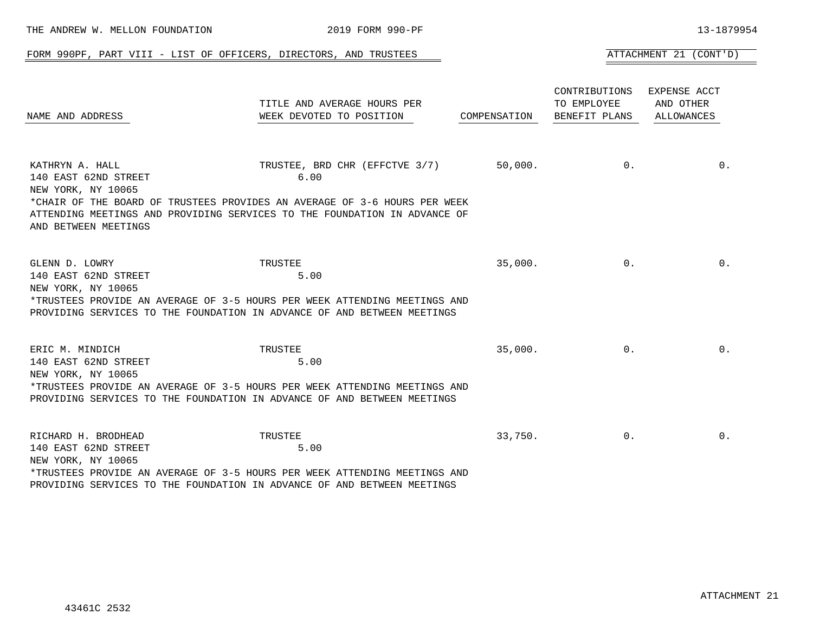|                                                                                       | FORM 990PF, PART VIII - LIST OF OFFICERS, DIRECTORS, AND TRUSTEES                                                                                                                                |              |                                                            | ATTACHMENT 21 (CONT'D)  |
|---------------------------------------------------------------------------------------|--------------------------------------------------------------------------------------------------------------------------------------------------------------------------------------------------|--------------|------------------------------------------------------------|-------------------------|
| NAME AND ADDRESS                                                                      | TITLE AND AVERAGE HOURS PER<br>WEEK DEVOTED TO POSITION                                                                                                                                          | COMPENSATION | CONTRIBUTIONS EXPENSE ACCT<br>TO EMPLOYEE<br>BENEFIT PLANS | AND OTHER<br>ALLOWANCES |
| KATHRYN A. HALL<br>140 EAST 62ND STREET<br>NEW YORK, NY 10065<br>AND BETWEEN MEETINGS | TRUSTEE, BRD CHR (EFFCTVE 3/7)<br>6.00<br>*CHAIR OF THE BOARD OF TRUSTEES PROVIDES AN AVERAGE OF 3-6 HOURS PER WEEK<br>ATTENDING MEETINGS AND PROVIDING SERVICES TO THE FOUNDATION IN ADVANCE OF | 50,000.      | $0$ .                                                      | $0$ .                   |
| GLENN D. LOWRY<br>140 EAST 62ND STREET<br>NEW YORK, NY 10065                          | TRUSTEE<br>5.00<br>*TRUSTEES PROVIDE AN AVERAGE OF 3-5 HOURS PER WEEK ATTENDING MEETINGS AND<br>PROVIDING SERVICES TO THE FOUNDATION IN ADVANCE OF AND BETWEEN MEETINGS                          | 35,000.      | $0$ .                                                      | 0.                      |
| ERIC M. MINDICH<br>140 EAST 62ND STREET<br>NEW YORK, NY 10065                         | TRUSTEE<br>5.00<br>*TRUSTEES PROVIDE AN AVERAGE OF 3-5 HOURS PER WEEK ATTENDING MEETINGS AND<br>PROVIDING SERVICES TO THE FOUNDATION IN ADVANCE OF AND BETWEEN MEETINGS                          | 35,000.      | $0$ .                                                      | $0$ .                   |
| RICHARD H. BRODHEAD<br>140 EAST 62ND STREET<br>NEW YORK, NY 10065                     | TRUSTEE<br>5.00<br>*TRUSTEES PROVIDE AN AVERAGE OF 3-5 HOURS PER WEEK ATTENDING MEETINGS AND                                                                                                     | 33,750.      | 0 <sub>1</sub>                                             | $0$ .                   |

THE ANDREW W. MELLON FOUNDATION 2019 FORM 990-PF 13-1879954

PROVIDING SERVICES TO THE FOUNDATION IN ADVANCE OF AND BETWEEN MEETINGS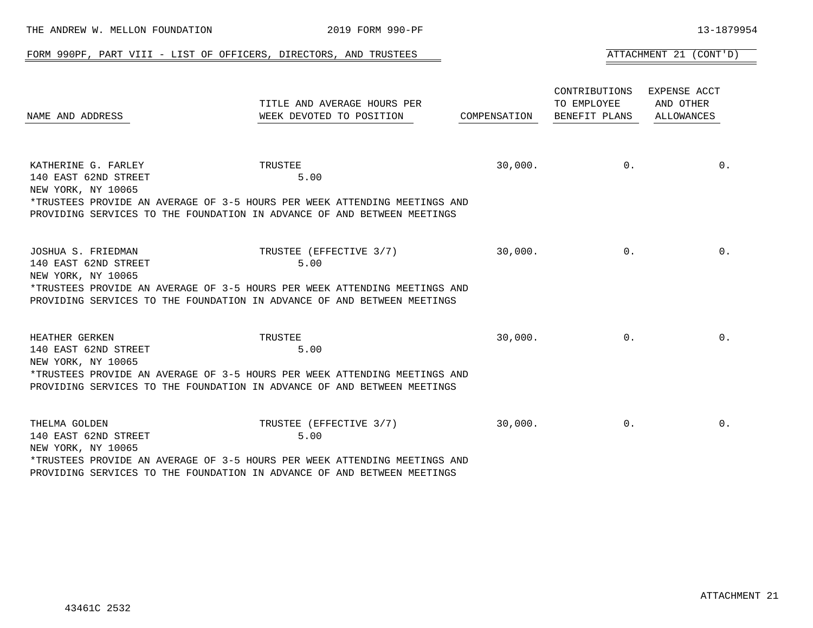|                                                                   | FORM 990PF, PART VIII - LIST OF OFFICERS, DIRECTORS, AND TRUSTEES                                                                                                                       |              |                                               | ATTACHMENT 21 (CONT'D)                         |
|-------------------------------------------------------------------|-----------------------------------------------------------------------------------------------------------------------------------------------------------------------------------------|--------------|-----------------------------------------------|------------------------------------------------|
| NAME AND ADDRESS                                                  | TITLE AND AVERAGE HOURS PER<br>WEEK DEVOTED TO POSITION                                                                                                                                 | COMPENSATION | CONTRIBUTIONS<br>TO EMPLOYEE<br>BENEFIT PLANS | EXPENSE ACCT<br>AND OTHER<br><b>ALLOWANCES</b> |
| KATHERINE G. FARLEY<br>140 EAST 62ND STREET<br>NEW YORK, NY 10065 | TRUSTEE<br>5.00<br>*TRUSTEES PROVIDE AN AVERAGE OF 3-5 HOURS PER WEEK ATTENDING MEETINGS AND<br>PROVIDING SERVICES TO THE FOUNDATION IN ADVANCE OF AND BETWEEN MEETINGS                 | 30,000.      | 0.                                            | 0.                                             |
| JOSHUA S. FRIEDMAN<br>140 EAST 62ND STREET<br>NEW YORK, NY 10065  | TRUSTEE (EFFECTIVE 3/7)<br>5.00<br>*TRUSTEES PROVIDE AN AVERAGE OF 3-5 HOURS PER WEEK ATTENDING MEETINGS AND<br>PROVIDING SERVICES TO THE FOUNDATION IN ADVANCE OF AND BETWEEN MEETINGS | 30,000.      | $0$ .                                         | 0.                                             |
| HEATHER GERKEN<br>140 EAST 62ND STREET<br>NEW YORK, NY 10065      | TRUSTEE<br>5.00<br>*TRUSTEES PROVIDE AN AVERAGE OF 3-5 HOURS PER WEEK ATTENDING MEETINGS AND<br>PROVIDING SERVICES TO THE FOUNDATION IN ADVANCE OF AND BETWEEN MEETINGS                 | 30,000.      | 0.                                            | 0.                                             |
| THELMA GOLDEN<br>140 EAST 62ND STREET<br>NEW YORK, NY 10065       | TRUSTEE (EFFECTIVE 3/7)<br>5.00<br>*TRUSTEES PROVIDE AN AVERAGE OF 3-5 HOURS PER WEEK ATTENDING MEETINGS AND<br>PROVIDING SERVICES TO THE FOUNDATION IN ADVANCE OF AND BETWEEN MEETINGS | 30,000.      | $0$ .                                         | 0.                                             |

--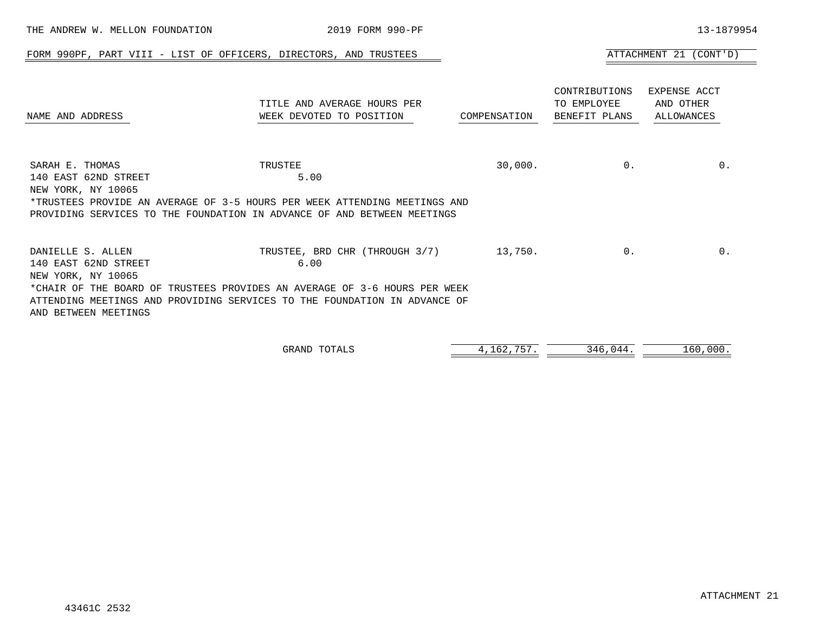| FORM 990PF, PART VIII - LIST OF OFFICERS, DIRECTORS, AND TRUSTEES                                                                                                                                                                                 |                                                         |              |                                               | ATTACHMENT 21 (CONT'D)                         |  |
|---------------------------------------------------------------------------------------------------------------------------------------------------------------------------------------------------------------------------------------------------|---------------------------------------------------------|--------------|-----------------------------------------------|------------------------------------------------|--|
| NAME AND ADDRESS                                                                                                                                                                                                                                  | TITLE AND AVERAGE HOURS PER<br>WEEK DEVOTED TO POSITION | COMPENSATION | CONTRIBUTIONS<br>TO EMPLOYEE<br>BENEFIT PLANS | EXPENSE ACCT<br>AND OTHER<br><b>ALLOWANCES</b> |  |
| SARAH E. THOMAS<br>140 EAST 62ND STREET<br>NEW YORK, NY 10065<br>*TRUSTEES PROVIDE AN AVERAGE OF 3-5 HOURS PER WEEK ATTENDING MEETINGS AND<br>PROVIDING SERVICES TO THE FOUNDATION IN ADVANCE OF AND BETWEEN MEETINGS                             | TRUSTEE<br>5.00                                         | 30,000.      | $0$ .                                         | 0.                                             |  |
| DANIELLE S. ALLEN<br>140 EAST 62ND STREET<br>NEW YORK, NY 10065<br>*CHAIR OF THE BOARD OF TRUSTEES PROVIDES AN AVERAGE OF 3-6 HOURS PER WEEK<br>ATTENDING MEETINGS AND PROVIDING SERVICES TO THE FOUNDATION IN ADVANCE OF<br>AND BETWEEN MEETINGS | TRUSTEE, BRD CHR (THROUGH 3/7)<br>6.00                  | 13,750.      | $0$ .                                         | 0.                                             |  |

THE ANDREW W. MELLON FOUNDATION 2019 FORM 990-PF 13-1879954

| GRAND<br>111<br>---<br>$\sim$ | --- | - - | $\sim$ |
|-------------------------------|-----|-----|--------|
|                               |     |     |        |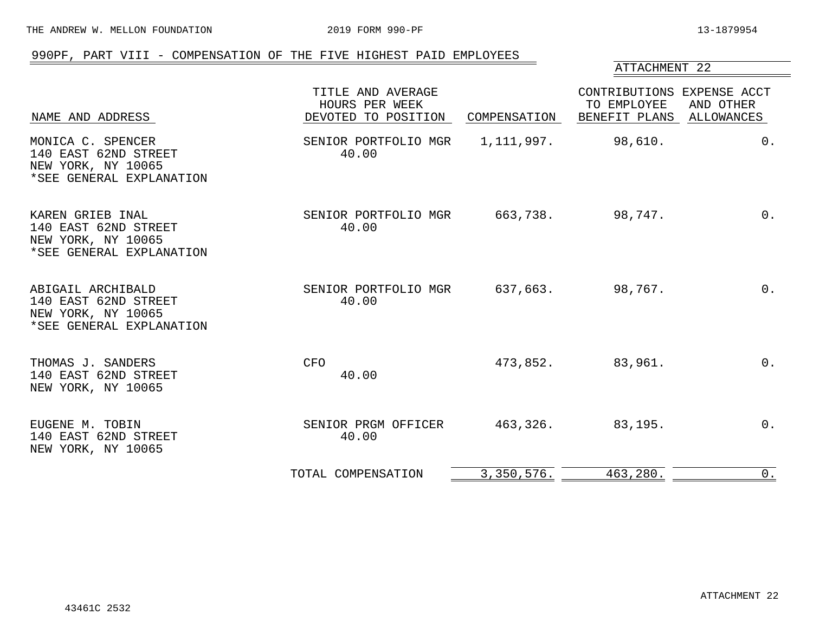THE ANDREW W. MELLON FOUNDATION 2019 FORM 990-PF 13-1879954

## 990PF, PART VIII - COMPENSATION OF THE FIVE HIGHEST PAID EMPLOYEES

## ATTACHMENT 22

| NAME AND ADDRESS                                                                            | TITLE AND AVERAGE<br>HOURS PER WEEK<br>DEVOTED TO POSITION | COMPENSATION | CONTRIBUTIONS EXPENSE ACCT<br>TO EMPLOYEE<br>BENEFIT PLANS | AND OTHER<br>ALLOWANCES |
|---------------------------------------------------------------------------------------------|------------------------------------------------------------|--------------|------------------------------------------------------------|-------------------------|
| MONICA C. SPENCER<br>140 EAST 62ND STREET<br>NEW YORK, NY 10065<br>*SEE GENERAL EXPLANATION | SENIOR PORTFOLIO MGR<br>40.00                              | 1,111,997.   | 98,610.                                                    | $0$ .                   |
| KAREN GRIEB INAL<br>140 EAST 62ND STREET<br>NEW YORK, NY 10065<br>*SEE GENERAL EXPLANATION  | SENIOR PORTFOLIO MGR 663,738.<br>40.00                     |              | 98,747.                                                    | $0$ .                   |
| ABIGAIL ARCHIBALD<br>140 EAST 62ND STREET<br>NEW YORK, NY 10065<br>*SEE GENERAL EXPLANATION | SENIOR PORTFOLIO MGR<br>40.00                              | 637,663.     | 98,767.                                                    | $0$ .                   |
| THOMAS J. SANDERS<br>140 EAST 62ND STREET<br>NEW YORK, NY 10065                             | CFO<br>40.00                                               | 473,852.     | 83,961.                                                    | $0$ .                   |
| EUGENE M. TOBIN<br>140 EAST 62ND STREET<br>NEW YORK, NY 10065                               | SENIOR PRGM OFFICER<br>40.00                               | 463,326.     | 83,195.                                                    | $0$ .                   |
|                                                                                             | TOTAL COMPENSATION                                         | 3,350,576.   | 463,280.                                                   | $0$ .                   |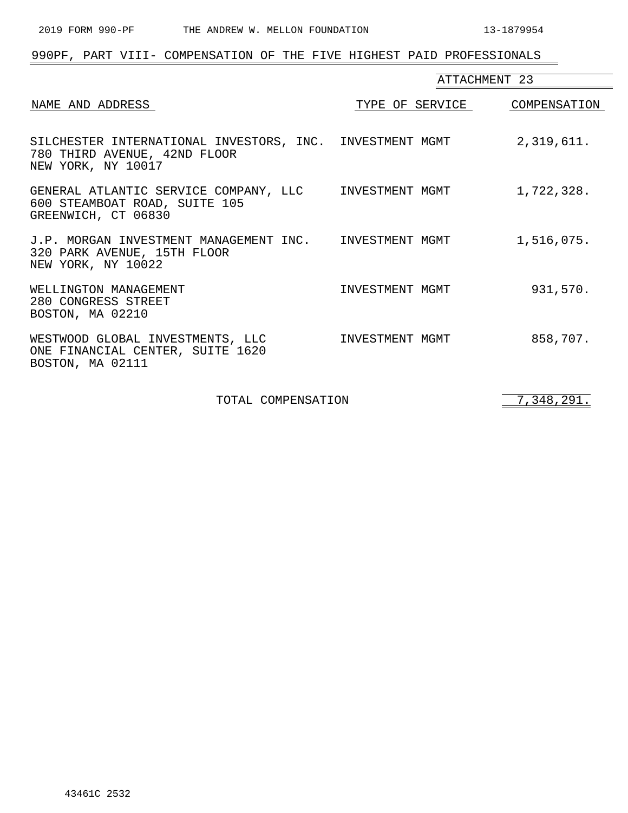| 990PF, PART VIII- COMPENSATION OF THE FIVE HIGHEST PAID PROFESSIONALS                                          |                 |               |
|----------------------------------------------------------------------------------------------------------------|-----------------|---------------|
|                                                                                                                |                 | ATTACHMENT 23 |
| NAME AND ADDRESS                                                                                               | TYPE OF SERVICE | COMPENSATION  |
| SILCHESTER INTERNATIONAL INVESTORS, INC. INVESTMENT MGMT<br>780 THIRD AVENUE, 42ND FLOOR<br>NEW YORK, NY 10017 |                 | 2,319,611.    |
| GENERAL ATLANTIC SERVICE COMPANY, LLC INVESTMENT MGMT<br>600 STEAMBOAT ROAD, SUITE 105<br>GREENWICH, CT 06830  |                 | 1,722,328.    |
| J.P. MORGAN INVESTMENT MANAGEMENT INC.    INVESTMENT MGMT<br>320 PARK AVENUE, 15TH FLOOR<br>NEW YORK, NY 10022 |                 | 1,516,075.    |
| WELLINGTON MANAGEMENT<br>280 CONGRESS STREET<br>BOSTON, MA 02210                                               | INVESTMENT MGMT | 931,570.      |
| WESTWOOD GLOBAL INVESTMENTS, LLC<br>ONE FINANCIAL CENTER, SUITE 1620<br>BOSTON, MA 02111                       | INVESTMENT MGMT | 858,707.      |

TOTAL COMPENSATION 7,348,291.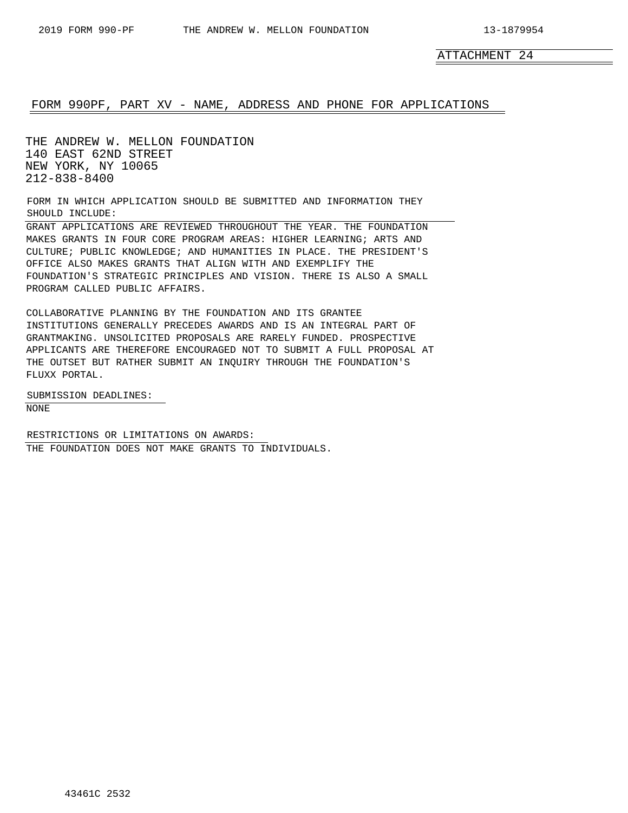ATTACHMENT 24

## FORM 990PF, PART XV - NAME, ADDRESS AND PHONE FOR APPLICATIONS

THE ANDREW W. MELLON FOUNDATION 140 EAST 62ND STREET NEW YORK, NY 10065 212-838-8400

FORM IN WHICH APPLICATION SHOULD BE SUBMITTED AND INFORMATION THEY SHOULD INCLUDE:

GRANT APPLICATIONS ARE REVIEWED THROUGHOUT THE YEAR. THE FOUNDATION MAKES GRANTS IN FOUR CORE PROGRAM AREAS: HIGHER LEARNING; ARTS AND CULTURE; PUBLIC KNOWLEDGE; AND HUMANITIES IN PLACE. THE PRESIDENT'S OFFICE ALSO MAKES GRANTS THAT ALIGN WITH AND EXEMPLIFY THE FOUNDATION'S STRATEGIC PRINCIPLES AND VISION. THERE IS ALSO A SMALL PROGRAM CALLED PUBLIC AFFAIRS.

COLLABORATIVE PLANNING BY THE FOUNDATION AND ITS GRANTEE INSTITUTIONS GENERALLY PRECEDES AWARDS AND IS AN INTEGRAL PART OF GRANTMAKING. UNSOLICITED PROPOSALS ARE RARELY FUNDED. PROSPECTIVE APPLICANTS ARE THEREFORE ENCOURAGED NOT TO SUBMIT A FULL PROPOSAL AT THE OUTSET BUT RATHER SUBMIT AN INQUIRY THROUGH THE FOUNDATION'S FLUXX PORTAL.

SUBMISSION DEADLINES: NONE

RESTRICTIONS OR LIMITATIONS ON AWARDS: THE FOUNDATION DOES NOT MAKE GRANTS TO INDIVIDUALS.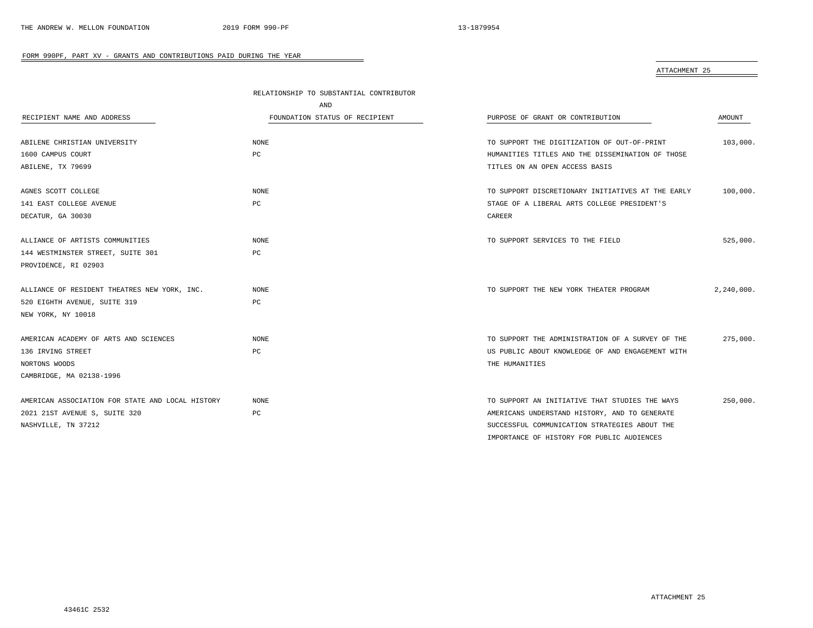| ATTACHMENT 25 |  |
|---------------|--|
|               |  |

|                                                  | RELATIONSHIP TO SUBSTANTIAL CONTRIBUTOR |                                                   |            |
|--------------------------------------------------|-----------------------------------------|---------------------------------------------------|------------|
|                                                  | AND                                     |                                                   |            |
| RECIPIENT NAME AND ADDRESS                       | FOUNDATION STATUS OF RECIPIENT          | PURPOSE OF GRANT OR CONTRIBUTION                  | AMOUNT     |
|                                                  |                                         |                                                   |            |
| ABILENE CHRISTIAN UNIVERSITY                     | NONE                                    | TO SUPPORT THE DIGITIZATION OF OUT-OF-PRINT       | 103,000.   |
| 1600 CAMPUS COURT                                | PC                                      | HUMANITIES TITLES AND THE DISSEMINATION OF THOSE  |            |
| ABILENE, TX 79699                                |                                         | TITLES ON AN OPEN ACCESS BASIS                    |            |
| AGNES SCOTT COLLEGE                              | NONE                                    | TO SUPPORT DISCRETIONARY INITIATIVES AT THE EARLY | 100,000.   |
| 141 EAST COLLEGE AVENUE                          | PC                                      | STAGE OF A LIBERAL ARTS COLLEGE PRESIDENT'S       |            |
| DECATUR, GA 30030                                |                                         | CAREER                                            |            |
| ALLIANCE OF ARTISTS COMMUNITIES                  | NONE                                    | TO SUPPORT SERVICES TO THE FIELD                  | 525,000.   |
| 144 WESTMINSTER STREET, SUITE 301                | РC                                      |                                                   |            |
| PROVIDENCE, RI 02903                             |                                         |                                                   |            |
|                                                  |                                         |                                                   |            |
| ALLIANCE OF RESIDENT THEATRES NEW YORK, INC.     | <b>NONE</b>                             | TO SUPPORT THE NEW YORK THEATER PROGRAM           | 2,240,000. |
| 520 EIGHTH AVENUE, SUITE 319                     | PC                                      |                                                   |            |
| NEW YORK, NY 10018                               |                                         |                                                   |            |
| AMERICAN ACADEMY OF ARTS AND SCIENCES            | NONE                                    | TO SUPPORT THE ADMINISTRATION OF A SURVEY OF THE  | 275,000.   |
| 136 IRVING STREET                                | PC                                      | US PUBLIC ABOUT KNOWLEDGE OF AND ENGAGEMENT WITH  |            |
| NORTONS WOODS                                    |                                         | THE HUMANITIES                                    |            |
| CAMBRIDGE, MA 02138-1996                         |                                         |                                                   |            |
|                                                  |                                         |                                                   |            |
| AMERICAN ASSOCIATION FOR STATE AND LOCAL HISTORY | <b>NONE</b>                             | TO SUPPORT AN INITIATIVE THAT STUDIES THE WAYS    | 250,000.   |
| 2021 21ST AVENUE S, SUITE 320                    | PC                                      | AMERICANS UNDERSTAND HISTORY, AND TO GENERATE     |            |
| NASHVILLE, TN 37212                              |                                         | SUCCESSFUL COMMUNICATION STRATEGIES ABOUT THE     |            |
|                                                  |                                         | IMPORTANCE OF HISTORY FOR PUBLIC AUDIENCES        |            |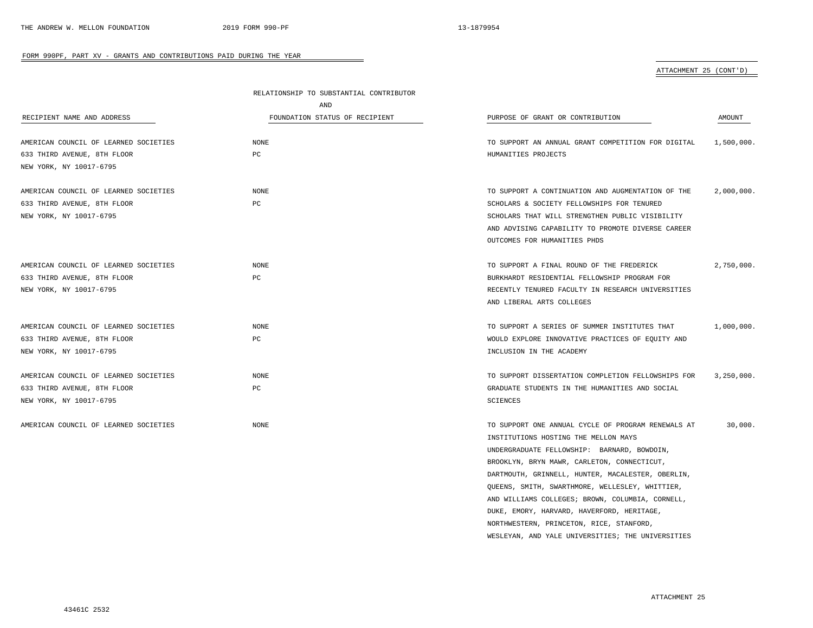ATTACHMENT 25 (CONT'D)

|                                       | RELATIONSHIP TO SUBSTANTIAL CONTRIBUTOR |                                                    |            |
|---------------------------------------|-----------------------------------------|----------------------------------------------------|------------|
|                                       | AND                                     |                                                    |            |
| RECIPIENT NAME AND ADDRESS            | FOUNDATION STATUS OF RECIPIENT          | PURPOSE OF GRANT OR CONTRIBUTION                   | AMOUNT     |
| AMERICAN COUNCIL OF LEARNED SOCIETIES | <b>NONE</b>                             | TO SUPPORT AN ANNUAL GRANT COMPETITION FOR DIGITAL | 1,500,000. |
| 633 THIRD AVENUE, 8TH FLOOR           | PC                                      | HUMANITIES PROJECTS                                |            |
| NEW YORK, NY 10017-6795               |                                         |                                                    |            |
| AMERICAN COUNCIL OF LEARNED SOCIETIES | NONE                                    | TO SUPPORT A CONTINUATION AND AUGMENTATION OF THE  | 2,000,000. |
| 633 THIRD AVENUE, 8TH FLOOR           | $_{\rm PC}$                             | SCHOLARS & SOCIETY FELLOWSHIPS FOR TENURED         |            |
| NEW YORK, NY 10017-6795               |                                         | SCHOLARS THAT WILL STRENGTHEN PUBLIC VISIBILITY    |            |
|                                       |                                         | AND ADVISING CAPABILITY TO PROMOTE DIVERSE CAREER  |            |
|                                       |                                         | OUTCOMES FOR HUMANITIES PHDS                       |            |
| AMERICAN COUNCIL OF LEARNED SOCIETIES | <b>NONE</b>                             | TO SUPPORT A FINAL ROUND OF THE FREDERICK          | 2,750,000. |
| 633 THIRD AVENUE, 8TH FLOOR           | $_{\rm PC}$                             | BURKHARDT RESIDENTIAL FELLOWSHIP PROGRAM FOR       |            |
| NEW YORK, NY 10017-6795               |                                         | RECENTLY TENURED FACULTY IN RESEARCH UNIVERSITIES  |            |
|                                       |                                         | AND LIBERAL ARTS COLLEGES                          |            |
| AMERICAN COUNCIL OF LEARNED SOCIETIES | <b>NONE</b>                             | TO SUPPORT A SERIES OF SUMMER INSTITUTES THAT      | 1,000,000. |
| 633 THIRD AVENUE, 8TH FLOOR           | PC                                      | WOULD EXPLORE INNOVATIVE PRACTICES OF EQUITY AND   |            |
| NEW YORK, NY 10017-6795               |                                         | INCLUSION IN THE ACADEMY                           |            |
| AMERICAN COUNCIL OF LEARNED SOCIETIES | <b>NONE</b>                             | TO SUPPORT DISSERTATION COMPLETION FELLOWSHIPS FOR | 3,250,000. |
| 633 THIRD AVENUE, 8TH FLOOR           | $_{\rm PC}$                             | GRADUATE STUDENTS IN THE HUMANITIES AND SOCIAL     |            |
| NEW YORK, NY 10017-6795               |                                         | SCIENCES                                           |            |
| AMERICAN COUNCIL OF LEARNED SOCIETIES | <b>NONE</b>                             | TO SUPPORT ONE ANNUAL CYCLE OF PROGRAM RENEWALS AT | 30.000.    |
|                                       |                                         | INSTITUTIONS HOSTING THE MELLON MAYS               |            |
|                                       |                                         | UNDERGRADUATE FELLOWSHIP: BARNARD, BOWDOIN,        |            |
|                                       |                                         | BROOKLYN, BRYN MAWR, CARLETON, CONNECTICUT,        |            |
|                                       |                                         | DARTMOUTH, GRINNELL, HUNTER, MACALESTER, OBERLIN,  |            |
|                                       |                                         | QUEENS, SMITH, SWARTHMORE, WELLESLEY, WHITTIER,    |            |
|                                       |                                         | AND WILLIAMS COLLEGES; BROWN, COLUMBIA, CORNELL,   |            |
|                                       |                                         | DUKE, EMORY, HARVARD, HAVERFORD, HERITAGE,         |            |
|                                       |                                         | NORTHWESTERN, PRINCETON, RICE, STANFORD,           |            |
|                                       |                                         | WESLEYAN, AND YALE UNIVERSITIES; THE UNIVERSITIES  |            |

÷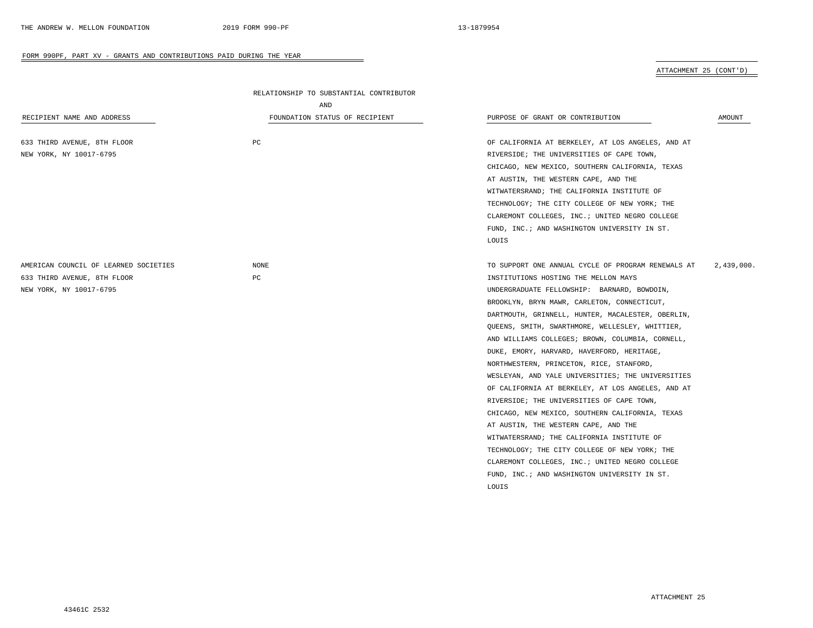ATTACHMENT 25 (CONT'D)

| RECIPIENT NAME AND ADDRESS                                                                      | RELATIONSHIP TO SUBSTANTIAL CONTRIBUTOR<br>AND<br>FOUNDATION STATUS OF RECIPIENT | PURPOSE OF GRANT OR CONTRIBUTION                                                                                                                                                                                                                                                                                                                                                                                                                                                                                                                                                                                                                                                                                                                                                                                                                                                                           | AMOUNT     |
|-------------------------------------------------------------------------------------------------|----------------------------------------------------------------------------------|------------------------------------------------------------------------------------------------------------------------------------------------------------------------------------------------------------------------------------------------------------------------------------------------------------------------------------------------------------------------------------------------------------------------------------------------------------------------------------------------------------------------------------------------------------------------------------------------------------------------------------------------------------------------------------------------------------------------------------------------------------------------------------------------------------------------------------------------------------------------------------------------------------|------------|
| 633 THIRD AVENUE, 8TH FLOOR<br>NEW YORK, NY 10017-6795                                          | PC                                                                               | OF CALIFORNIA AT BERKELEY, AT LOS ANGELES, AND AT<br>RIVERSIDE; THE UNIVERSITIES OF CAPE TOWN,<br>CHICAGO, NEW MEXICO, SOUTHERN CALIFORNIA, TEXAS<br>AT AUSTIN, THE WESTERN CAPE, AND THE<br>WITWATERSRAND; THE CALIFORNIA INSTITUTE OF<br>TECHNOLOGY; THE CITY COLLEGE OF NEW YORK; THE<br>CLAREMONT COLLEGES, INC.; UNITED NEGRO COLLEGE<br>FUND, INC.; AND WASHINGTON UNIVERSITY IN ST.<br>LOUIS                                                                                                                                                                                                                                                                                                                                                                                                                                                                                                        |            |
| AMERICAN COUNCIL OF LEARNED SOCIETIES<br>633 THIRD AVENUE, 8TH FLOOR<br>NEW YORK, NY 10017-6795 | NONE<br>$_{\rm PC}$                                                              | TO SUPPORT ONE ANNUAL CYCLE OF PROGRAM RENEWALS AT<br>INSTITUTIONS HOSTING THE MELLON MAYS<br>UNDERGRADUATE FELLOWSHIP: BARNARD, BOWDOIN,<br>BROOKLYN, BRYN MAWR, CARLETON, CONNECTICUT,<br>DARTMOUTH, GRINNELL, HUNTER, MACALESTER, OBERLIN,<br>QUEENS, SMITH, SWARTHMORE, WELLESLEY, WHITTIER,<br>AND WILLIAMS COLLEGES; BROWN, COLUMBIA, CORNELL,<br>DUKE, EMORY, HARVARD, HAVERFORD, HERITAGE,<br>NORTHWESTERN, PRINCETON, RICE, STANFORD,<br>WESLEYAN, AND YALE UNIVERSITIES; THE UNIVERSITIES<br>OF CALIFORNIA AT BERKELEY, AT LOS ANGELES, AND AT<br>RIVERSIDE; THE UNIVERSITIES OF CAPE TOWN,<br>CHICAGO, NEW MEXICO, SOUTHERN CALIFORNIA, TEXAS<br>AT AUSTIN, THE WESTERN CAPE, AND THE<br>WITWATERSRAND; THE CALIFORNIA INSTITUTE OF<br>TECHNOLOGY; THE CITY COLLEGE OF NEW YORK; THE<br>CLAREMONT COLLEGES, INC.; UNITED NEGRO COLLEGE<br>FUND, INC.; AND WASHINGTON UNIVERSITY IN ST.<br>LOUIS | 2,439,000. |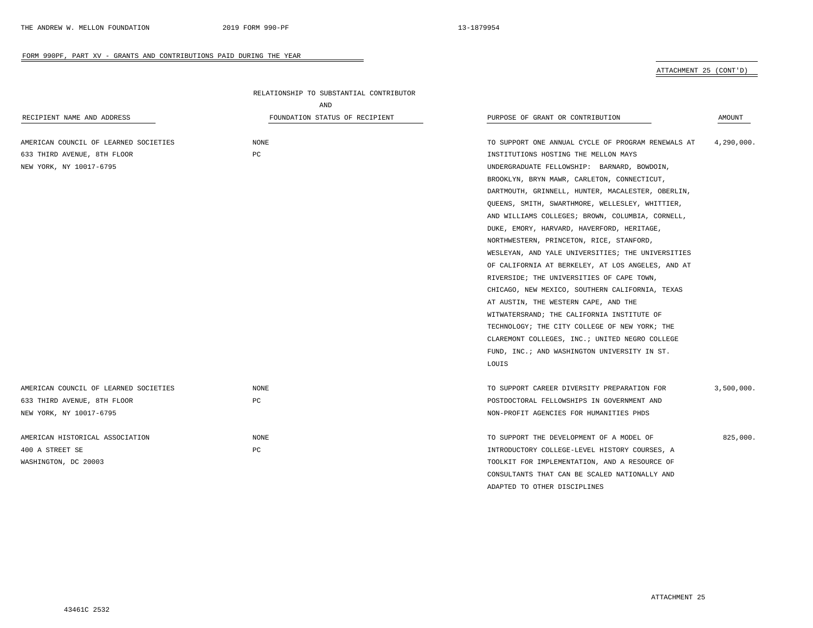ATTACHMENT 25 (CONT'D)

| RECIPIENT NAME AND ADDRESS            | RELATIONSHIP TO SUBSTANTIAL CONTRIBUTOR<br>AND<br>FOUNDATION STATUS OF RECIPIENT | PURPOSE OF GRANT OR CONTRIBUTION                   | <b>AMOUNT</b> |
|---------------------------------------|----------------------------------------------------------------------------------|----------------------------------------------------|---------------|
| AMERICAN COUNCIL OF LEARNED SOCIETIES | NONE                                                                             | TO SUPPORT ONE ANNUAL CYCLE OF PROGRAM RENEWALS AT | 4,290,000.    |
| 633 THIRD AVENUE, 8TH FLOOR           | PC                                                                               | INSTITUTIONS HOSTING THE MELLON MAYS               |               |
| NEW YORK, NY 10017-6795               |                                                                                  | UNDERGRADUATE FELLOWSHIP: BARNARD, BOWDOIN,        |               |
|                                       |                                                                                  | BROOKLYN, BRYN MAWR, CARLETON, CONNECTICUT,        |               |
|                                       |                                                                                  | DARTMOUTH, GRINNELL, HUNTER, MACALESTER, OBERLIN,  |               |
|                                       |                                                                                  | QUEENS, SMITH, SWARTHMORE, WELLESLEY, WHITTIER,    |               |
|                                       |                                                                                  | AND WILLIAMS COLLEGES; BROWN, COLUMBIA, CORNELL,   |               |
|                                       |                                                                                  | DUKE, EMORY, HARVARD, HAVERFORD, HERITAGE,         |               |
|                                       |                                                                                  | NORTHWESTERN, PRINCETON, RICE, STANFORD,           |               |
|                                       |                                                                                  | WESLEYAN, AND YALE UNIVERSITIES; THE UNIVERSITIES  |               |
|                                       |                                                                                  | OF CALIFORNIA AT BERKELEY, AT LOS ANGELES, AND AT  |               |
|                                       |                                                                                  | RIVERSIDE; THE UNIVERSITIES OF CAPE TOWN,          |               |
|                                       |                                                                                  | CHICAGO, NEW MEXICO, SOUTHERN CALIFORNIA, TEXAS    |               |
|                                       |                                                                                  | AT AUSTIN, THE WESTERN CAPE, AND THE               |               |
|                                       |                                                                                  | WITWATERSRAND; THE CALIFORNIA INSTITUTE OF         |               |
|                                       |                                                                                  | TECHNOLOGY; THE CITY COLLEGE OF NEW YORK; THE      |               |
|                                       |                                                                                  | CLAREMONT COLLEGES, INC.; UNITED NEGRO COLLEGE     |               |
|                                       |                                                                                  | FUND, INC.; AND WASHINGTON UNIVERSITY IN ST.       |               |
|                                       |                                                                                  | LOUIS                                              |               |
| AMERICAN COUNCIL OF LEARNED SOCIETIES | NONE                                                                             | TO SUPPORT CAREER DIVERSITY PREPARATION FOR        | 3,500,000.    |
| 633 THIRD AVENUE, 8TH FLOOR           | PC                                                                               | POSTDOCTORAL FELLOWSHIPS IN GOVERNMENT AND         |               |
| NEW YORK, NY 10017-6795               |                                                                                  | NON-PROFIT AGENCIES FOR HUMANITIES PHDS            |               |
| AMERICAN HISTORICAL ASSOCIATION       | NONE                                                                             | TO SUPPORT THE DEVELOPMENT OF A MODEL OF           | 825,000.      |
| 400 A STREET SE                       | PC                                                                               | INTRODUCTORY COLLEGE-LEVEL HISTORY COURSES, A      |               |
| WASHINGTON, DC 20003                  |                                                                                  | TOOLKIT FOR IMPLEMENTATION, AND A RESOURCE OF      |               |
|                                       |                                                                                  | CONSULTANTS THAT CAN BE SCALED NATIONALLY AND      |               |
|                                       |                                                                                  |                                                    |               |

 $\overline{\phantom{a}}$ 

ADAPTED TO OTHER DISCIPLINES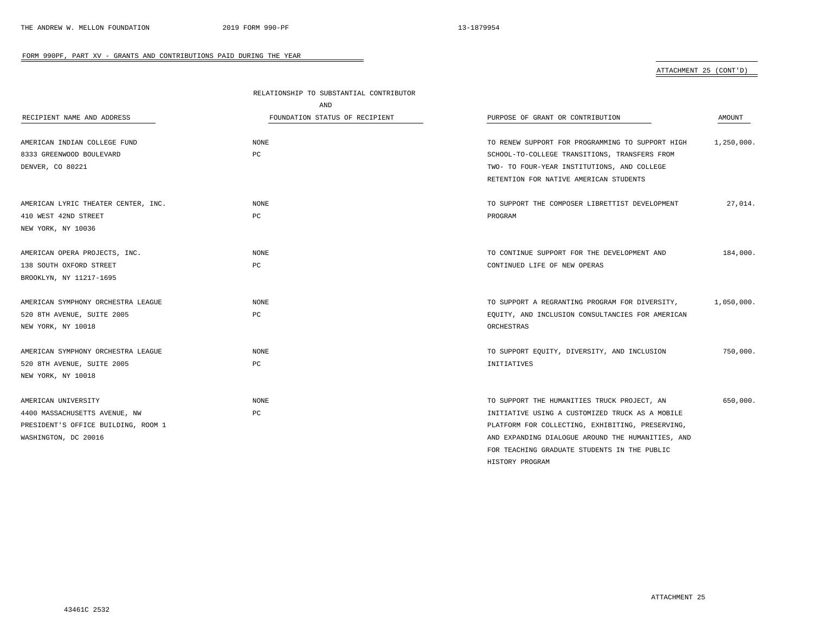HISTORY PROGRAM

#### FORM 990PF, PART XV - GRANTS AND CONTRIBUTIONS PAID DURING THE YEAR

## ATTACHMENT 25 (CONT'D)

|                                     | RELATIONSHIP TO SUBSTANTIAL CONTRIBUTOR |                                                   |            |
|-------------------------------------|-----------------------------------------|---------------------------------------------------|------------|
|                                     | AND                                     |                                                   |            |
| RECIPIENT NAME AND ADDRESS          | FOUNDATION STATUS OF RECIPIENT          | PURPOSE OF GRANT OR CONTRIBUTION                  | AMOUNT     |
| AMERICAN INDIAN COLLEGE FUND        | NONE                                    | TO RENEW SUPPORT FOR PROGRAMMING TO SUPPORT HIGH  | 1,250,000. |
| 8333 GREENWOOD BOULEVARD            | PC                                      |                                                   |            |
|                                     |                                         | SCHOOL-TO-COLLEGE TRANSITIONS, TRANSFERS FROM     |            |
| DENVER, CO 80221                    |                                         | TWO- TO FOUR-YEAR INSTITUTIONS, AND COLLEGE       |            |
|                                     |                                         | RETENTION FOR NATIVE AMERICAN STUDENTS            |            |
| AMERICAN LYRIC THEATER CENTER, INC. | <b>NONE</b>                             | TO SUPPORT THE COMPOSER LIBRETTIST DEVELOPMENT    | 27,014.    |
| 410 WEST 42ND STREET                | $_{\rm PC}$                             | PROGRAM                                           |            |
| NEW YORK, NY 10036                  |                                         |                                                   |            |
| AMERICAN OPERA PROJECTS, INC.       | NONE                                    | TO CONTINUE SUPPORT FOR THE DEVELOPMENT AND       | 184,000.   |
| 138 SOUTH OXFORD STREET             | PC                                      | CONTINUED LIFE OF NEW OPERAS                      |            |
| BROOKLYN, NY 11217-1695             |                                         |                                                   |            |
| AMERICAN SYMPHONY ORCHESTRA LEAGUE  | <b>NONE</b>                             | TO SUPPORT A REGRANTING PROGRAM FOR DIVERSITY,    | 1,050,000. |
| 520 8TH AVENUE, SUITE 2005          | PC                                      | EQUITY, AND INCLUSION CONSULTANCIES FOR AMERICAN  |            |
|                                     |                                         |                                                   |            |
| NEW YORK, NY 10018                  |                                         | ORCHESTRAS                                        |            |
| AMERICAN SYMPHONY ORCHESTRA LEAGUE  | NONE                                    | TO SUPPORT EQUITY, DIVERSITY, AND INCLUSION       | 750,000.   |
| 520 8TH AVENUE, SUITE 2005          | PC                                      | INITIATIVES                                       |            |
| NEW YORK, NY 10018                  |                                         |                                                   |            |
| AMERICAN UNIVERSITY                 | <b>NONE</b>                             | TO SUPPORT THE HUMANITIES TRUCK PROJECT, AN       | 650,000.   |
| 4400 MASSACHUSETTS AVENUE, NW       | PC                                      | INITIATIVE USING A CUSTOMIZED TRUCK AS A MOBILE   |            |
| PRESIDENT'S OFFICE BUILDING, ROOM 1 |                                         | PLATFORM FOR COLLECTING, EXHIBITING, PRESERVING,  |            |
| WASHINGTON, DC 20016                |                                         | AND EXPANDING DIALOGUE AROUND THE HUMANITIES, AND |            |
|                                     |                                         | FOR TEACHING GRADUATE STUDENTS IN THE PUBLIC      |            |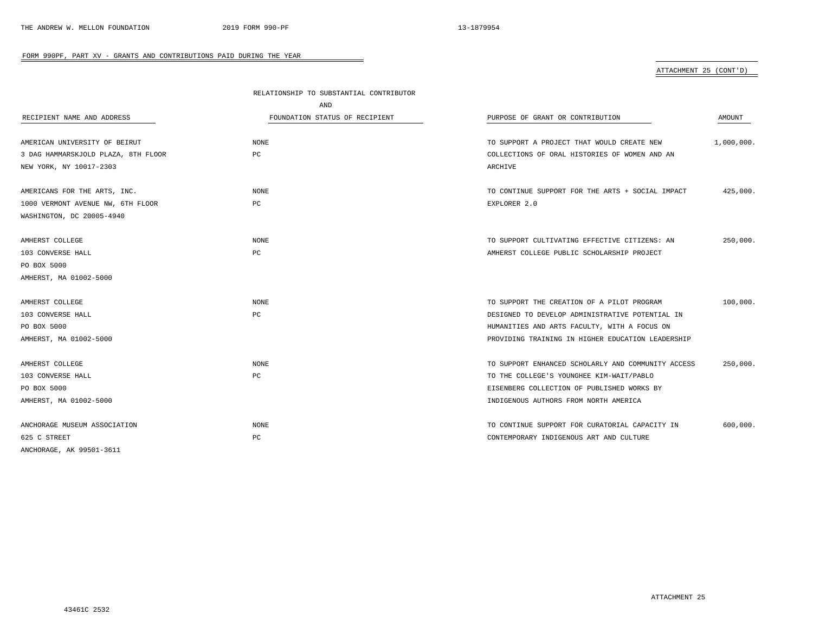## ATTACHMENT 25 (CONT'D)

|                                     | RELATIONSHIP TO SUBSTANTIAL CONTRIBUTOR |                                                    |            |
|-------------------------------------|-----------------------------------------|----------------------------------------------------|------------|
|                                     | AND                                     |                                                    |            |
| RECIPIENT NAME AND ADDRESS          | FOUNDATION STATUS OF RECIPIENT          | PURPOSE OF GRANT OR CONTRIBUTION                   | AMOUNT     |
| AMERICAN UNIVERSITY OF BEIRUT       | NONE                                    | TO SUPPORT A PROJECT THAT WOULD CREATE NEW         | 1,000,000. |
| 3 DAG HAMMARSKJOLD PLAZA, 8TH FLOOR | PC                                      | COLLECTIONS OF ORAL HISTORIES OF WOMEN AND AN      |            |
| NEW YORK, NY 10017-2303             |                                         | ARCHIVE                                            |            |
| AMERICANS FOR THE ARTS, INC.        | NONE                                    | TO CONTINUE SUPPORT FOR THE ARTS + SOCIAL IMPACT   | 425,000.   |
| 1000 VERMONT AVENUE NW, 6TH FLOOR   | PC                                      | EXPLORER 2.0                                       |            |
| WASHINGTON, DC 20005-4940           |                                         |                                                    |            |
| AMHERST COLLEGE                     | NONE                                    | TO SUPPORT CULTIVATING EFFECTIVE CITIZENS: AN      | 250,000.   |
| 103 CONVERSE HALL                   | PC                                      | AMHERST COLLEGE PUBLIC SCHOLARSHIP PROJECT         |            |
| PO BOX 5000                         |                                         |                                                    |            |
| AMHERST, MA 01002-5000              |                                         |                                                    |            |
| AMHERST COLLEGE                     | NONE                                    | TO SUPPORT THE CREATION OF A PILOT PROGRAM         | 100,000.   |
| 103 CONVERSE HALL                   | PC                                      | DESIGNED TO DEVELOP ADMINISTRATIVE POTENTIAL IN    |            |
| PO BOX 5000                         |                                         | HUMANITIES AND ARTS FACULTY, WITH A FOCUS ON       |            |
| AMHERST, MA 01002-5000              |                                         | PROVIDING TRAINING IN HIGHER EDUCATION LEADERSHIP  |            |
| AMHERST COLLEGE                     | NONE                                    | TO SUPPORT ENHANCED SCHOLARLY AND COMMUNITY ACCESS | 250,000.   |
| 103 CONVERSE HALL                   | PC                                      | TO THE COLLEGE'S YOUNGHEE KIM-WAIT/PABLO           |            |
| PO BOX 5000                         |                                         | EISENBERG COLLECTION OF PUBLISHED WORKS BY         |            |
| AMHERST, MA 01002-5000              |                                         | INDIGENOUS AUTHORS FROM NORTH AMERICA              |            |
| ANCHORAGE MUSEUM ASSOCIATION        | <b>NONE</b>                             | TO CONTINUE SUPPORT FOR CURATORIAL CAPACITY IN     | 600,000.   |
| 625 C STREET                        | PC                                      | CONTEMPORARY INDIGENOUS ART AND CULTURE            |            |
| ANCHORAGE, AK 99501-3611            |                                         |                                                    |            |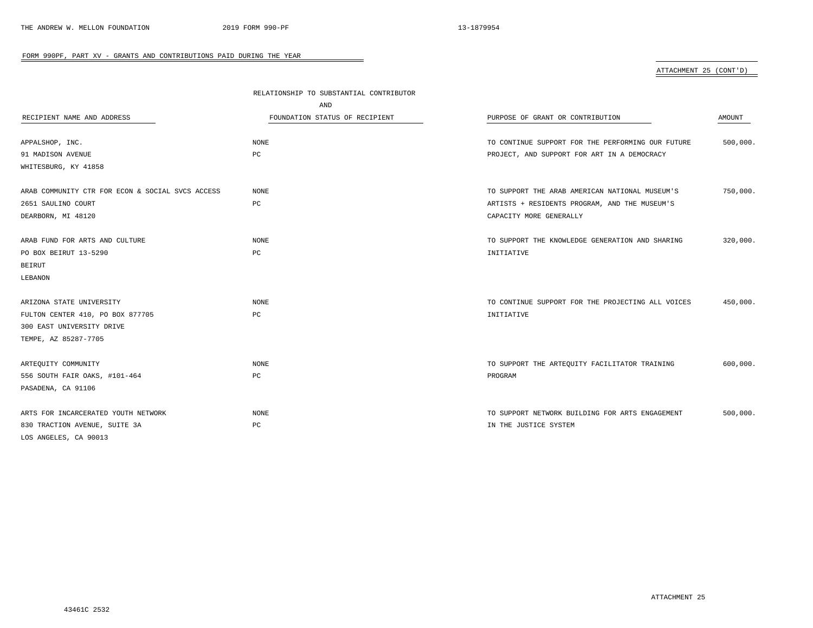ATTACHMENT 25 (CONT'D)

|                                                  | RELATIONSHIP TO SUBSTANTIAL CONTRIBUTOR |                                                   |          |
|--------------------------------------------------|-----------------------------------------|---------------------------------------------------|----------|
|                                                  | AND                                     |                                                   |          |
| RECIPIENT NAME AND ADDRESS                       | FOUNDATION STATUS OF RECIPIENT          | PURPOSE OF GRANT OR CONTRIBUTION                  | AMOUNT   |
|                                                  | NONE                                    | TO CONTINUE SUPPORT FOR THE PERFORMING OUR FUTURE | 500,000. |
| APPALSHOP, INC.                                  | PC                                      |                                                   |          |
| 91 MADISON AVENUE                                |                                         | PROJECT, AND SUPPORT FOR ART IN A DEMOCRACY       |          |
| WHITESBURG, KY 41858                             |                                         |                                                   |          |
| ARAB COMMUNITY CTR FOR ECON & SOCIAL SVCS ACCESS | <b>NONE</b>                             | TO SUPPORT THE ARAB AMERICAN NATIONAL MUSEUM'S    | 750,000. |
| 2651 SAULINO COURT                               | PC                                      | ARTISTS + RESIDENTS PROGRAM, AND THE MUSEUM'S     |          |
| DEARBORN, MI 48120                               |                                         | CAPACITY MORE GENERALLY                           |          |
|                                                  |                                         |                                                   |          |
| ARAB FUND FOR ARTS AND CULTURE                   | NONE                                    | TO SUPPORT THE KNOWLEDGE GENERATION AND SHARING   | 320,000. |
| PO BOX BEIRUT 13-5290                            | PC                                      | INITIATIVE                                        |          |
| BEIRUT                                           |                                         |                                                   |          |
| LEBANON                                          |                                         |                                                   |          |
|                                                  |                                         |                                                   |          |
| ARIZONA STATE UNIVERSITY                         | NONE                                    | TO CONTINUE SUPPORT FOR THE PROJECTING ALL VOICES | 450,000. |
| FULTON CENTER 410, PO BOX 877705                 | PC                                      | INITIATIVE                                        |          |
| 300 EAST UNIVERSITY DRIVE                        |                                         |                                                   |          |
| TEMPE, AZ 85287-7705                             |                                         |                                                   |          |
|                                                  |                                         |                                                   |          |
| ARTEQUITY COMMUNITY                              | NONE                                    | TO SUPPORT THE ARTEQUITY FACILITATOR TRAINING     | 600,000. |
| 556 SOUTH FAIR OAKS, #101-464                    | PC                                      | PROGRAM                                           |          |
| PASADENA, CA 91106                               |                                         |                                                   |          |
|                                                  |                                         |                                                   |          |
| ARTS FOR INCARCERATED YOUTH NETWORK              | NONE                                    | TO SUPPORT NETWORK BUILDING FOR ARTS ENGAGEMENT   | 500,000. |
| 830 TRACTION AVENUE, SUITE 3A                    | $_{\rm PC}$                             | IN THE JUSTICE SYSTEM                             |          |
| LOS ANGELES, CA 90013                            |                                         |                                                   |          |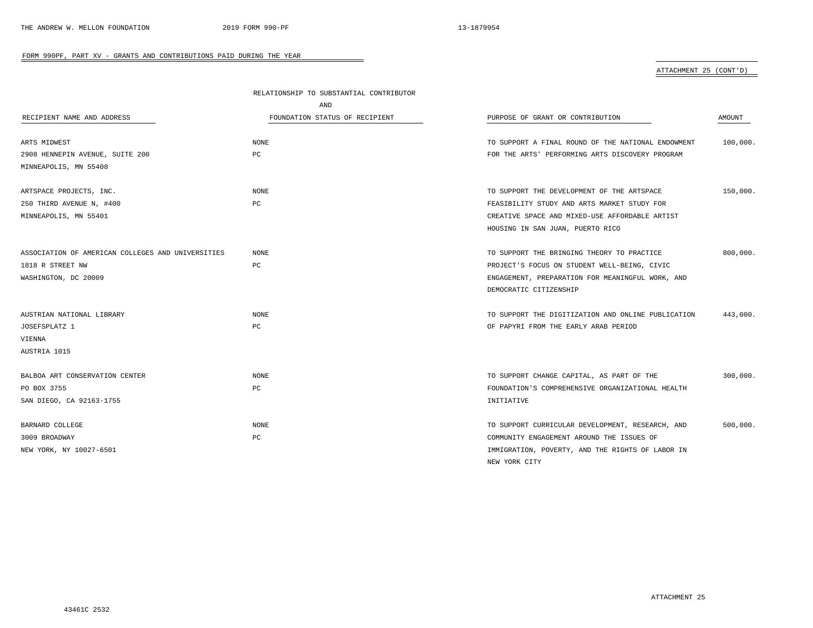## ATTACHMENT 25 (CONT'D)

|                                                   | RELATIONSHIP TO SUBSTANTIAL CONTRIBUTOR |                                                    |          |  |
|---------------------------------------------------|-----------------------------------------|----------------------------------------------------|----------|--|
|                                                   | AND                                     |                                                    |          |  |
| RECIPIENT NAME AND ADDRESS                        | FOUNDATION STATUS OF RECIPIENT          | PURPOSE OF GRANT OR CONTRIBUTION                   | AMOUNT   |  |
| ARTS MIDWEST                                      | NONE                                    | TO SUPPORT A FINAL ROUND OF THE NATIONAL ENDOWMENT | 100,000. |  |
| 2908 HENNEPIN AVENUE, SUITE 200                   | PC                                      | FOR THE ARTS' PERFORMING ARTS DISCOVERY PROGRAM    |          |  |
| MINNEAPOLIS, MN 55408                             |                                         |                                                    |          |  |
| ARTSPACE PROJECTS, INC.                           | <b>NONE</b>                             | TO SUPPORT THE DEVELOPMENT OF THE ARTSPACE         | 150,000. |  |
| 250 THIRD AVENUE N, #400                          | PC                                      | FEASIBILITY STUDY AND ARTS MARKET STUDY FOR        |          |  |
| MINNEAPOLIS, MN 55401                             |                                         | CREATIVE SPACE AND MIXED-USE AFFORDABLE ARTIST     |          |  |
|                                                   |                                         | HOUSING IN SAN JUAN, PUERTO RICO                   |          |  |
| ASSOCIATION OF AMERICAN COLLEGES AND UNIVERSITIES | NONE                                    | TO SUPPORT THE BRINGING THEORY TO PRACTICE         | 800,000. |  |
| 1818 R STREET NW                                  | PC                                      | PROJECT'S FOCUS ON STUDENT WELL-BEING, CIVIC       |          |  |
| WASHINGTON, DC 20009                              |                                         | ENGAGEMENT, PREPARATION FOR MEANINGFUL WORK, AND   |          |  |
|                                                   |                                         | DEMOCRATIC CITIZENSHIP                             |          |  |
| AUSTRIAN NATIONAL LIBRARY                         | NONE                                    | TO SUPPORT THE DIGITIZATION AND ONLINE PUBLICATION | 443,000. |  |
| JOSEFSPLATZ 1                                     | PC                                      | OF PAPYRI FROM THE EARLY ARAB PERIOD               |          |  |
| VIENNA                                            |                                         |                                                    |          |  |
| AUSTRIA 1015                                      |                                         |                                                    |          |  |
| BALBOA ART CONSERVATION CENTER                    | <b>NONE</b>                             | TO SUPPORT CHANGE CAPITAL, AS PART OF THE          | 300,000. |  |
| PO BOX 3755                                       | PC                                      | FOUNDATION'S COMPREHENSIVE ORGANIZATIONAL HEALTH   |          |  |
| SAN DIEGO, CA 92163-1755                          |                                         | INITIATIVE                                         |          |  |
| BARNARD COLLEGE                                   | <b>NONE</b>                             | TO SUPPORT CURRICULAR DEVELOPMENT, RESEARCH, AND   | 500,000. |  |
| 3009 BROADWAY                                     | PC                                      | COMMUNITY ENGAGEMENT AROUND THE ISSUES OF          |          |  |
| NEW YORK, NY 10027-6501                           |                                         | IMMIGRATION, POVERTY, AND THE RIGHTS OF LABOR IN   |          |  |
|                                                   |                                         | NEW YORK CITY                                      |          |  |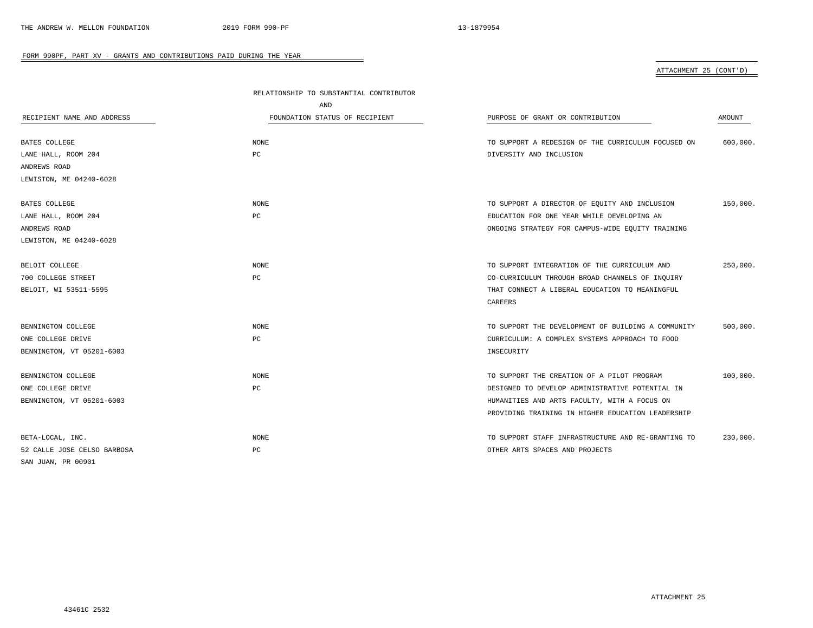ATTACHMENT 25 (CONT'D)

|                             | RELATIONSHIP TO SUBSTANTIAL CONTRIBUTOR |                                                    |          |
|-----------------------------|-----------------------------------------|----------------------------------------------------|----------|
|                             | AND                                     |                                                    |          |
| RECIPIENT NAME AND ADDRESS  | FOUNDATION STATUS OF RECIPIENT          | PURPOSE OF GRANT OR CONTRIBUTION                   | AMOUNT   |
|                             |                                         |                                                    |          |
| BATES COLLEGE               | <b>NONE</b>                             | TO SUPPORT A REDESIGN OF THE CURRICULUM FOCUSED ON | 600,000. |
| LANE HALL, ROOM 204         | PC                                      | DIVERSITY AND INCLUSION                            |          |
| ANDREWS ROAD                |                                         |                                                    |          |
| LEWISTON, ME 04240-6028     |                                         |                                                    |          |
| BATES COLLEGE               | NONE                                    | TO SUPPORT A DIRECTOR OF EQUITY AND INCLUSION      | 150,000. |
| LANE HALL, ROOM 204         | PC                                      | EDUCATION FOR ONE YEAR WHILE DEVELOPING AN         |          |
| ANDREWS ROAD                |                                         | ONGOING STRATEGY FOR CAMPUS-WIDE EQUITY TRAINING   |          |
| LEWISTON, ME 04240-6028     |                                         |                                                    |          |
| BELOIT COLLEGE              | <b>NONE</b>                             | TO SUPPORT INTEGRATION OF THE CURRICULUM AND       | 250,000. |
| 700 COLLEGE STREET          | $_{\rm PC}$                             | CO-CURRICULUM THROUGH BROAD CHANNELS OF INQUIRY    |          |
| BELOIT, WI 53511-5595       |                                         | THAT CONNECT A LIBERAL EDUCATION TO MEANINGFUL     |          |
|                             |                                         | CAREERS                                            |          |
|                             |                                         |                                                    |          |
| BENNINGTON COLLEGE          | <b>NONE</b>                             | TO SUPPORT THE DEVELOPMENT OF BUILDING A COMMUNITY | 500,000. |
| ONE COLLEGE DRIVE           | PC                                      | CURRICULUM: A COMPLEX SYSTEMS APPROACH TO FOOD     |          |
| BENNINGTON, VT 05201-6003   |                                         | INSECURITY                                         |          |
| BENNINGTON COLLEGE          | <b>NONE</b>                             | TO SUPPORT THE CREATION OF A PILOT PROGRAM         | 100,000. |
| ONE COLLEGE DRIVE           | $_{\rm PC}$                             | DESIGNED TO DEVELOP ADMINISTRATIVE POTENTIAL IN    |          |
| BENNINGTON, VT 05201-6003   |                                         | HUMANITIES AND ARTS FACULTY, WITH A FOCUS ON       |          |
|                             |                                         | PROVIDING TRAINING IN HIGHER EDUCATION LEADERSHIP  |          |
|                             |                                         |                                                    |          |
| BETA-LOCAL, INC.            | <b>NONE</b>                             | TO SUPPORT STAFF INFRASTRUCTURE AND RE-GRANTING TO | 230,000. |
| 52 CALLE JOSE CELSO BARBOSA | PC                                      | OTHER ARTS SPACES AND PROJECTS                     |          |
| SAN JUAN, PR 00901          |                                         |                                                    |          |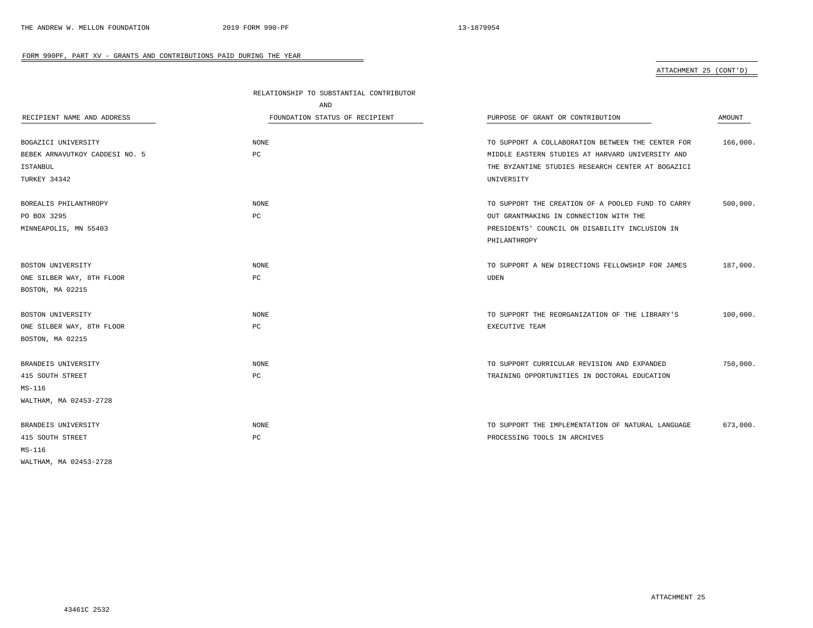## ATTACHMENT 25 (CONT'D)

|                                | RELATIONSHIP TO SUBSTANTIAL CONTRIBUTOR |                                                   |          |
|--------------------------------|-----------------------------------------|---------------------------------------------------|----------|
|                                | AND                                     |                                                   |          |
| RECIPIENT NAME AND ADDRESS     | FOUNDATION STATUS OF RECIPIENT          | PURPOSE OF GRANT OR CONTRIBUTION                  | AMOUNT   |
| BOGAZICI UNIVERSITY            | NONE                                    | TO SUPPORT A COLLABORATION BETWEEN THE CENTER FOR | 166,000. |
| BEBEK ARNAVUTKOY CADDESI NO. 5 | PC                                      | MIDDLE EASTERN STUDIES AT HARVARD UNIVERSITY AND  |          |
| ISTANBUL                       |                                         | THE BYZANTINE STUDIES RESEARCH CENTER AT BOGAZICI |          |
| TURKEY 34342                   |                                         | UNIVERSITY                                        |          |
| BOREALIS PHILANTHROPY          | NONE                                    | TO SUPPORT THE CREATION OF A POOLED FUND TO CARRY | 500,000. |
| PO BOX 3295                    | PC                                      | OUT GRANTMAKING IN CONNECTION WITH THE            |          |
| MINNEAPOLIS, MN 55403          |                                         | PRESIDENTS' COUNCIL ON DISABILITY INCLUSION IN    |          |
|                                |                                         | PHILANTHROPY                                      |          |
| BOSTON UNIVERSITY              | NONE                                    | TO SUPPORT A NEW DIRECTIONS FELLOWSHIP FOR JAMES  | 187,000. |
| ONE SILBER WAY, 8TH FLOOR      | PC                                      | <b>UDEN</b>                                       |          |
| BOSTON, MA 02215               |                                         |                                                   |          |
| BOSTON UNIVERSITY              | <b>NONE</b>                             | TO SUPPORT THE REORGANIZATION OF THE LIBRARY'S    | 100,000. |
| ONE SILBER WAY, 8TH FLOOR      | PC                                      | EXECUTIVE TEAM                                    |          |
| BOSTON, MA 02215               |                                         |                                                   |          |
| BRANDEIS UNIVERSITY            | <b>NONE</b>                             | TO SUPPORT CURRICULAR REVISION AND EXPANDED       | 750,000. |
| 415 SOUTH STREET               | PC                                      | TRAINING OPPORTUNITIES IN DOCTORAL EDUCATION      |          |
| MS-116                         |                                         |                                                   |          |
| WALTHAM, MA 02453-2728         |                                         |                                                   |          |
| BRANDEIS UNIVERSITY            | <b>NONE</b>                             | TO SUPPORT THE IMPLEMENTATION OF NATURAL LANGUAGE | 673,000. |
| 415 SOUTH STREET               | PC                                      | PROCESSING TOOLS IN ARCHIVES                      |          |
| $MS-116$                       |                                         |                                                   |          |
| WALTHAM, MA 02453-2728         |                                         |                                                   |          |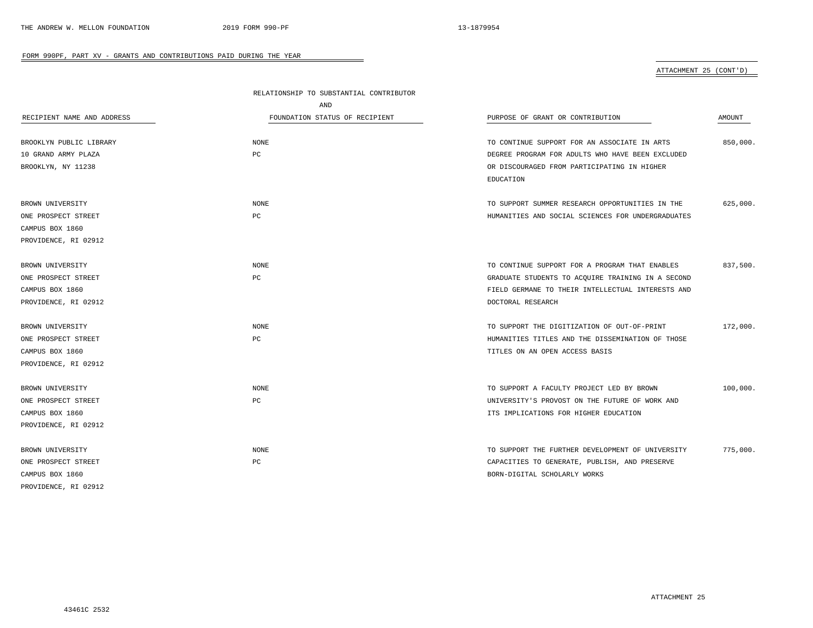## ATTACHMENT 25 (CONT'D)

|                            | RELATIONSHIP TO SUBSTANTIAL CONTRIBUTOR |                                                   |          |  |
|----------------------------|-----------------------------------------|---------------------------------------------------|----------|--|
|                            | AND                                     |                                                   |          |  |
| RECIPIENT NAME AND ADDRESS | FOUNDATION STATUS OF RECIPIENT          | PURPOSE OF GRANT OR CONTRIBUTION                  | AMOUNT   |  |
|                            |                                         |                                                   |          |  |
| BROOKLYN PUBLIC LIBRARY    | <b>NONE</b>                             | TO CONTINUE SUPPORT FOR AN ASSOCIATE IN ARTS      | 850,000. |  |
| 10 GRAND ARMY PLAZA        | PC                                      | DEGREE PROGRAM FOR ADULTS WHO HAVE BEEN EXCLUDED  |          |  |
| BROOKLYN, NY 11238         |                                         | OR DISCOURAGED FROM PARTICIPATING IN HIGHER       |          |  |
|                            |                                         | EDUCATION                                         |          |  |
| BROWN UNIVERSITY           | NONE                                    | TO SUPPORT SUMMER RESEARCH OPPORTUNITIES IN THE   | 625,000. |  |
| ONE PROSPECT STREET        | PC                                      | HUMANITIES AND SOCIAL SCIENCES FOR UNDERGRADUATES |          |  |
| CAMPUS BOX 1860            |                                         |                                                   |          |  |
| PROVIDENCE, RI 02912       |                                         |                                                   |          |  |
| BROWN UNIVERSITY           | NONE                                    | TO CONTINUE SUPPORT FOR A PROGRAM THAT ENABLES    | 837,500. |  |
| ONE PROSPECT STREET        | PC                                      | GRADUATE STUDENTS TO ACQUIRE TRAINING IN A SECOND |          |  |
| CAMPUS BOX 1860            |                                         | FIELD GERMANE TO THEIR INTELLECTUAL INTERESTS AND |          |  |
| PROVIDENCE, RI 02912       |                                         | DOCTORAL RESEARCH                                 |          |  |
|                            |                                         |                                                   |          |  |
| BROWN UNIVERSITY           | NONE                                    | TO SUPPORT THE DIGITIZATION OF OUT-OF-PRINT       | 172,000. |  |
| ONE PROSPECT STREET        | РC                                      | HUMANITIES TITLES AND THE DISSEMINATION OF THOSE  |          |  |
| CAMPUS BOX 1860            |                                         | TITLES ON AN OPEN ACCESS BASIS                    |          |  |
| PROVIDENCE, RI 02912       |                                         |                                                   |          |  |
| BROWN UNIVERSITY           | <b>NONE</b>                             | TO SUPPORT A FACULTY PROJECT LED BY BROWN         | 100,000. |  |
| ONE PROSPECT STREET        | $_{\rm PC}$                             | UNIVERSITY'S PROVOST ON THE FUTURE OF WORK AND    |          |  |
| CAMPUS BOX 1860            |                                         | ITS IMPLICATIONS FOR HIGHER EDUCATION             |          |  |
| PROVIDENCE, RI 02912       |                                         |                                                   |          |  |
| BROWN UNIVERSITY           | <b>NONE</b>                             | TO SUPPORT THE FURTHER DEVELOPMENT OF UNIVERSITY  | 775,000. |  |
| ONE PROSPECT STREET        | PC                                      | CAPACITIES TO GENERATE, PUBLISH, AND PRESERVE     |          |  |
| CAMPUS BOX 1860            |                                         | BORN-DIGITAL SCHOLARLY WORKS                      |          |  |
| PROVIDENCE, RI 02912       |                                         |                                                   |          |  |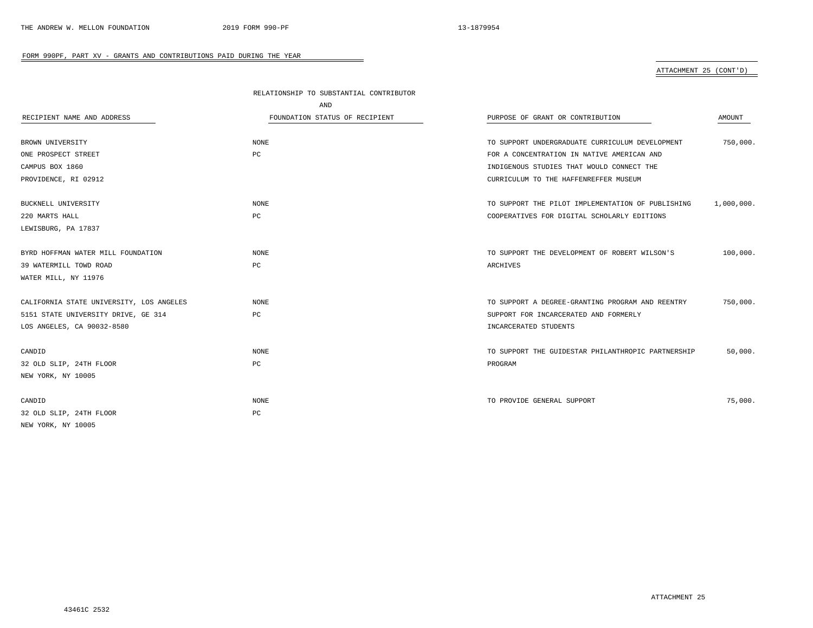## ATTACHMENT 25 (CONT'D)

|                                          | RELATIONSHIP TO SUBSTANTIAL CONTRIBUTOR |                                                    |            |
|------------------------------------------|-----------------------------------------|----------------------------------------------------|------------|
|                                          | AND                                     |                                                    |            |
| RECIPIENT NAME AND ADDRESS               | FOUNDATION STATUS OF RECIPIENT          | PURPOSE OF GRANT OR CONTRIBUTION                   | AMOUNT     |
|                                          |                                         |                                                    |            |
| BROWN UNIVERSITY                         | <b>NONE</b>                             | TO SUPPORT UNDERGRADUATE CURRICULUM DEVELOPMENT    | 750,000.   |
| ONE PROSPECT STREET                      | PC                                      | FOR A CONCENTRATION IN NATIVE AMERICAN AND         |            |
| CAMPUS BOX 1860                          |                                         | INDIGENOUS STUDIES THAT WOULD CONNECT THE          |            |
| PROVIDENCE, RI 02912                     |                                         | CURRICULUM TO THE HAFFENREFFER MUSEUM              |            |
| BUCKNELL UNIVERSITY                      | NONE                                    | TO SUPPORT THE PILOT IMPLEMENTATION OF PUBLISHING  | 1,000,000. |
| 220 MARTS HALL                           | PC                                      | COOPERATIVES FOR DIGITAL SCHOLARLY EDITIONS        |            |
| LEWISBURG, PA 17837                      |                                         |                                                    |            |
| BYRD HOFFMAN WATER MILL FOUNDATION       | <b>NONE</b>                             | TO SUPPORT THE DEVELOPMENT OF ROBERT WILSON'S      | 100,000.   |
| 39 WATERMILL TOWD ROAD                   | PC                                      | ARCHIVES                                           |            |
| WATER MILL, NY 11976                     |                                         |                                                    |            |
| CALIFORNIA STATE UNIVERSITY, LOS ANGELES | NONE                                    | TO SUPPORT A DEGREE-GRANTING PROGRAM AND REENTRY   | 750,000.   |
| 5151 STATE UNIVERSITY DRIVE, GE 314      | PC                                      | SUPPORT FOR INCARCERATED AND FORMERLY              |            |
| LOS ANGELES, CA 90032-8580               |                                         | INCARCERATED STUDENTS                              |            |
| CANDID                                   | <b>NONE</b>                             | TO SUPPORT THE GUIDESTAR PHILANTHROPIC PARTNERSHIP | 50,000.    |
| 32 OLD SLIP, 24TH FLOOR                  | PC                                      | PROGRAM                                            |            |
| NEW YORK, NY 10005                       |                                         |                                                    |            |
| CANDID                                   | NONE                                    | TO PROVIDE GENERAL SUPPORT                         | 75,000.    |
| 32 OLD SLIP, 24TH FLOOR                  | PC                                      |                                                    |            |
| NEW YORK, NY 10005                       |                                         |                                                    |            |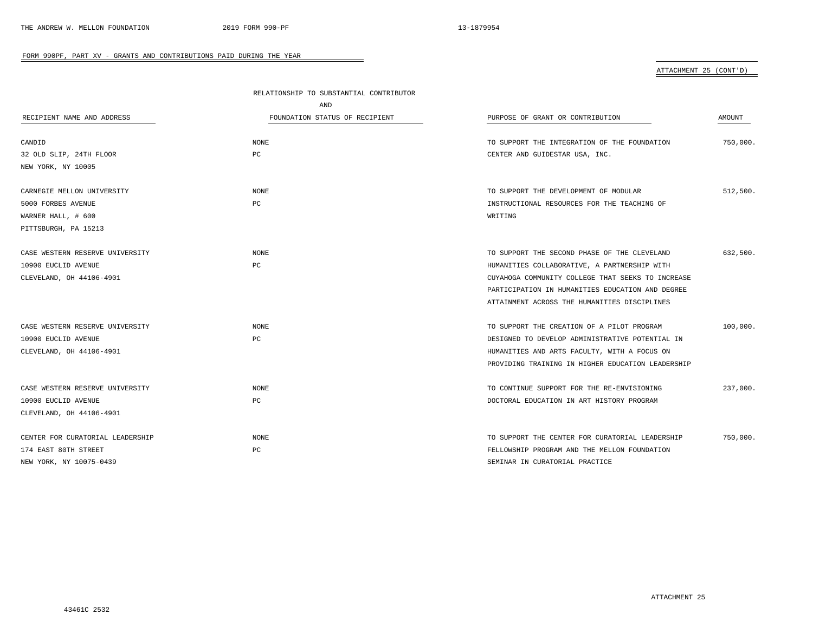## ATTACHMENT 25 (CONT'D)

|                                  | RELATIONSHIP TO SUBSTANTIAL CONTRIBUTOR |                                                   |          |
|----------------------------------|-----------------------------------------|---------------------------------------------------|----------|
|                                  | AND                                     |                                                   |          |
| RECIPIENT NAME AND ADDRESS       | FOUNDATION STATUS OF RECIPIENT          | PURPOSE OF GRANT OR CONTRIBUTION                  | AMOUNT   |
| CANDID                           | NONE                                    | TO SUPPORT THE INTEGRATION OF THE FOUNDATION      | 750,000. |
| 32 OLD SLIP, 24TH FLOOR          | PC                                      | CENTER AND GUIDESTAR USA, INC.                    |          |
| NEW YORK, NY 10005               |                                         |                                                   |          |
| CARNEGIE MELLON UNIVERSITY       | NONE                                    | TO SUPPORT THE DEVELOPMENT OF MODULAR             | 512,500. |
| 5000 FORBES AVENUE               | PC                                      | INSTRUCTIONAL RESOURCES FOR THE TEACHING OF       |          |
| WARNER HALL, # 600               |                                         | WRITING                                           |          |
| PITTSBURGH, PA 15213             |                                         |                                                   |          |
| CASE WESTERN RESERVE UNIVERSITY  | <b>NONE</b>                             | TO SUPPORT THE SECOND PHASE OF THE CLEVELAND      | 632,500. |
| 10900 EUCLID AVENUE              | PC                                      | HUMANITIES COLLABORATIVE, A PARTNERSHIP WITH      |          |
| CLEVELAND, OH 44106-4901         |                                         | CUYAHOGA COMMUNITY COLLEGE THAT SEEKS TO INCREASE |          |
|                                  |                                         | PARTICIPATION IN HUMANITIES EDUCATION AND DEGREE  |          |
|                                  |                                         | ATTAINMENT ACROSS THE HUMANITIES DISCIPLINES      |          |
| CASE WESTERN RESERVE UNIVERSITY  | <b>NONE</b>                             | TO SUPPORT THE CREATION OF A PILOT PROGRAM        | 100,000. |
| 10900 EUCLID AVENUE              | PC                                      | DESIGNED TO DEVELOP ADMINISTRATIVE POTENTIAL IN   |          |
| CLEVELAND, OH 44106-4901         |                                         | HUMANITIES AND ARTS FACULTY, WITH A FOCUS ON      |          |
|                                  |                                         | PROVIDING TRAINING IN HIGHER EDUCATION LEADERSHIP |          |
| CASE WESTERN RESERVE UNIVERSITY  | <b>NONE</b>                             | TO CONTINUE SUPPORT FOR THE RE-ENVISIONING        | 237,000. |
| 10900 EUCLID AVENUE              | PC                                      | DOCTORAL EDUCATION IN ART HISTORY PROGRAM         |          |
| CLEVELAND, OH 44106-4901         |                                         |                                                   |          |
| CENTER FOR CURATORIAL LEADERSHIP | <b>NONE</b>                             | TO SUPPORT THE CENTER FOR CURATORIAL LEADERSHIP   | 750,000. |
| 174 EAST 80TH STREET             | PC                                      | FELLOWSHIP PROGRAM AND THE MELLON FOUNDATION      |          |
| NEW YORK, NY 10075-0439          |                                         | SEMINAR IN CURATORIAL PRACTICE                    |          |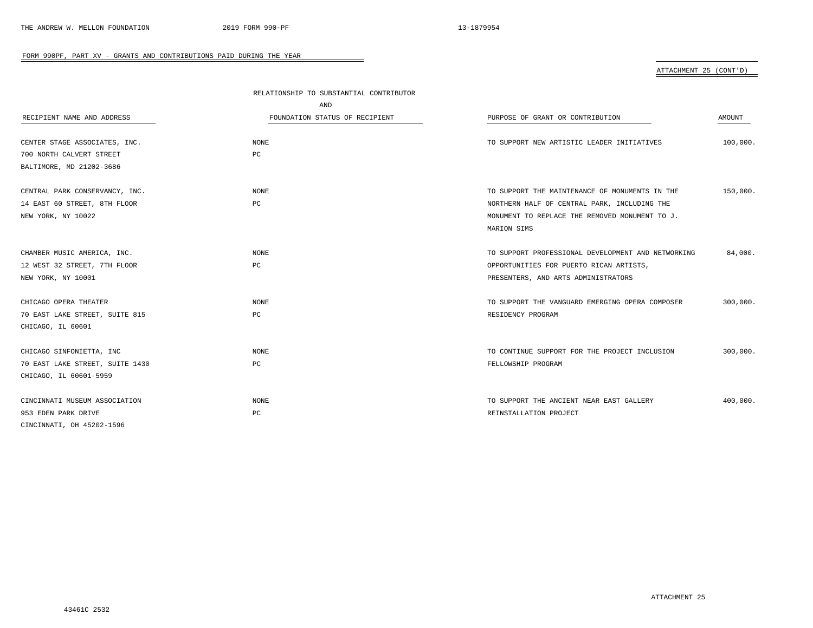ATTACHMENT 25 (CONT'D)

|                                 | RELATIONSHIP TO SUBSTANTIAL CONTRIBUTOR |                                                    |          |
|---------------------------------|-----------------------------------------|----------------------------------------------------|----------|
|                                 | AND                                     |                                                    |          |
| RECIPIENT NAME AND ADDRESS      | FOUNDATION STATUS OF RECIPIENT          | PURPOSE OF GRANT OR CONTRIBUTION                   | AMOUNT   |
|                                 |                                         |                                                    |          |
| CENTER STAGE ASSOCIATES, INC.   | <b>NONE</b>                             | TO SUPPORT NEW ARTISTIC LEADER INITIATIVES         | 100,000. |
| 700 NORTH CALVERT STREET        | PC                                      |                                                    |          |
| BALTIMORE, MD 21202-3686        |                                         |                                                    |          |
|                                 |                                         |                                                    |          |
| CENTRAL PARK CONSERVANCY, INC.  | NONE                                    | TO SUPPORT THE MAINTENANCE OF MONUMENTS IN THE     | 150,000. |
| 14 EAST 60 STREET, 8TH FLOOR    | PC                                      | NORTHERN HALF OF CENTRAL PARK, INCLUDING THE       |          |
| NEW YORK, NY 10022              |                                         | MONUMENT TO REPLACE THE REMOVED MONUMENT TO J.     |          |
|                                 |                                         | MARION SIMS                                        |          |
|                                 |                                         |                                                    |          |
| CHAMBER MUSIC AMERICA, INC.     | <b>NONE</b>                             | TO SUPPORT PROFESSIONAL DEVELOPMENT AND NETWORKING | 84,000.  |
| 12 WEST 32 STREET, 7TH FLOOR    | PC                                      | OPPORTUNITIES FOR PUERTO RICAN ARTISTS,            |          |
| NEW YORK, NY 10001              |                                         | PRESENTERS, AND ARTS ADMINISTRATORS                |          |
|                                 |                                         |                                                    |          |
| CHICAGO OPERA THEATER           | NONE                                    | TO SUPPORT THE VANGUARD EMERGING OPERA COMPOSER    | 300,000. |
| 70 EAST LAKE STREET, SUITE 815  | PC                                      | RESIDENCY PROGRAM                                  |          |
| CHICAGO, IL 60601               |                                         |                                                    |          |
|                                 |                                         |                                                    |          |
| CHICAGO SINFONIETTA, INC        | <b>NONE</b>                             | TO CONTINUE SUPPORT FOR THE PROJECT INCLUSION      | 300,000. |
| 70 EAST LAKE STREET, SUITE 1430 | PC                                      | FELLOWSHIP PROGRAM                                 |          |
| CHICAGO, IL 60601-5959          |                                         |                                                    |          |
|                                 |                                         |                                                    |          |
| CINCINNATI MUSEUM ASSOCIATION   | <b>NONE</b>                             | TO SUPPORT THE ANCIENT NEAR EAST GALLERY           | 400,000. |
| 953 EDEN PARK DRIVE             | PC                                      | REINSTALLATION PROJECT                             |          |
| CINCINNATI, OH 45202-1596       |                                         |                                                    |          |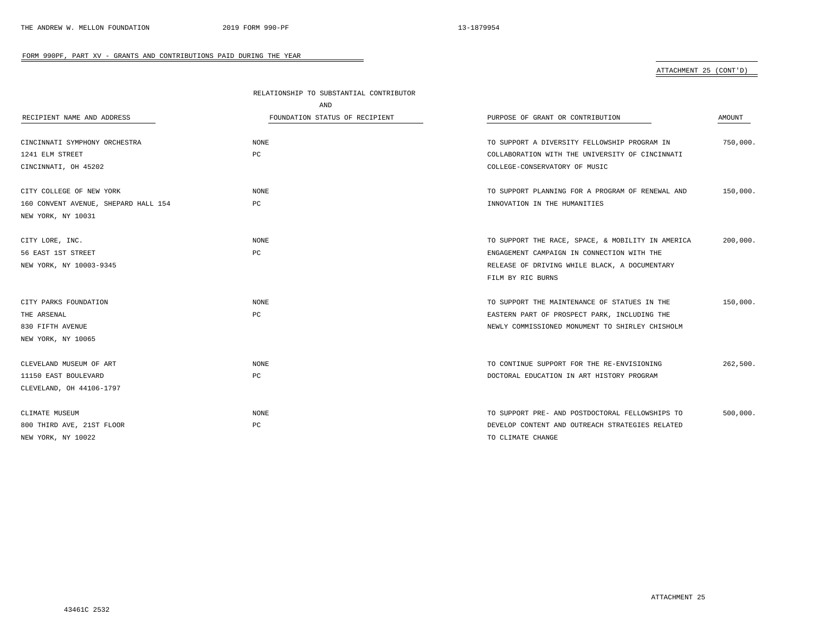## ATTACHMENT 25 (CONT'D)

|                                      | RELATIONSHIP TO SUBSTANTIAL CONTRIBUTOR |                                                   |               |
|--------------------------------------|-----------------------------------------|---------------------------------------------------|---------------|
|                                      | AND                                     |                                                   |               |
| RECIPIENT NAME AND ADDRESS           | FOUNDATION STATUS OF RECIPIENT          | PURPOSE OF GRANT OR CONTRIBUTION                  | <b>AMOUNT</b> |
| CINCINNATI SYMPHONY ORCHESTRA        | NONE                                    | TO SUPPORT A DIVERSITY FELLOWSHIP PROGRAM IN      | 750,000.      |
| 1241 ELM STREET                      | PC                                      | COLLABORATION WITH THE UNIVERSITY OF CINCINNATI   |               |
| CINCINNATI, OH 45202                 |                                         | COLLEGE-CONSERVATORY OF MUSIC                     |               |
| CITY COLLEGE OF NEW YORK             | <b>NONE</b>                             | TO SUPPORT PLANNING FOR A PROGRAM OF RENEWAL AND  | 150,000.      |
| 160 CONVENT AVENUE, SHEPARD HALL 154 | PC                                      | INNOVATION IN THE HUMANITIES                      |               |
| NEW YORK, NY 10031                   |                                         |                                                   |               |
| CITY LORE, INC.                      | <b>NONE</b>                             | TO SUPPORT THE RACE, SPACE, & MOBILITY IN AMERICA | 200,000.      |
| 56 EAST 1ST STREET                   | PC                                      | ENGAGEMENT CAMPAIGN IN CONNECTION WITH THE        |               |
| NEW YORK, NY 10003-9345              |                                         | RELEASE OF DRIVING WHILE BLACK, A DOCUMENTARY     |               |
|                                      |                                         | FILM BY RIC BURNS                                 |               |
| CITY PARKS FOUNDATION                | <b>NONE</b>                             | TO SUPPORT THE MAINTENANCE OF STATUES IN THE      | 150,000.      |
| THE ARSENAL                          | PC                                      | EASTERN PART OF PROSPECT PARK, INCLUDING THE      |               |
| 830 FIFTH AVENUE                     |                                         | NEWLY COMMISSIONED MONUMENT TO SHIRLEY CHISHOLM   |               |
| NEW YORK, NY 10065                   |                                         |                                                   |               |
| CLEVELAND MUSEUM OF ART              | <b>NONE</b>                             | TO CONTINUE SUPPORT FOR THE RE-ENVISIONING        | 262,500.      |
| 11150 EAST BOULEVARD                 | PC                                      | DOCTORAL EDUCATION IN ART HISTORY PROGRAM         |               |
| CLEVELAND, OH 44106-1797             |                                         |                                                   |               |
| CLIMATE MUSEUM                       | <b>NONE</b>                             | TO SUPPORT PRE- AND POSTDOCTORAL FELLOWSHIPS TO   | 500,000.      |
| 800 THIRD AVE, 21ST FLOOR            | PC                                      | DEVELOP CONTENT AND OUTREACH STRATEGIES RELATED   |               |
| NEW YORK, NY 10022                   |                                         | TO CLIMATE CHANGE                                 |               |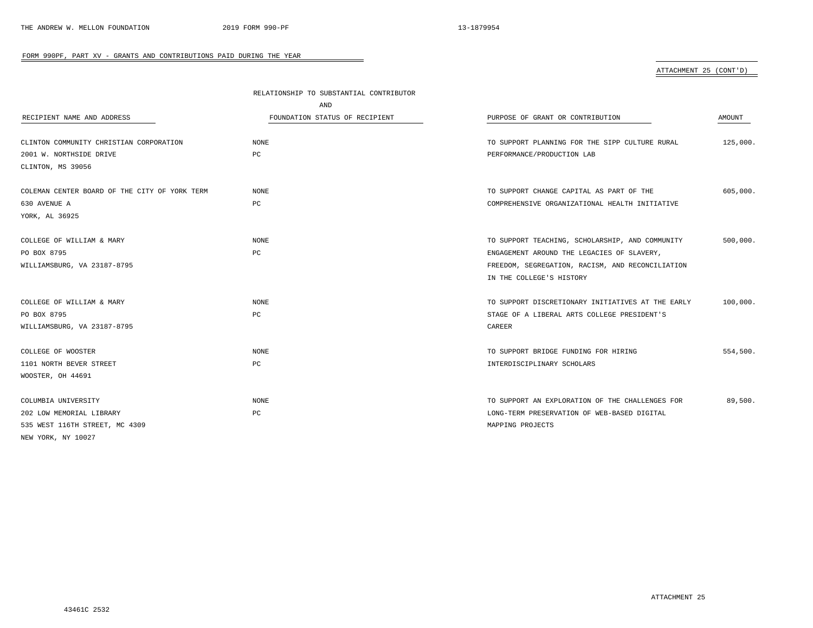## ATTACHMENT 25 (CONT'D)

|                                               | RELATIONSHIP TO SUBSTANTIAL CONTRIBUTOR |                                                   |          |
|-----------------------------------------------|-----------------------------------------|---------------------------------------------------|----------|
|                                               | AND                                     |                                                   |          |
| RECIPIENT NAME AND ADDRESS                    | FOUNDATION STATUS OF RECIPIENT          | PURPOSE OF GRANT OR CONTRIBUTION                  | AMOUNT   |
| CLINTON COMMUNITY CHRISTIAN CORPORATION       | <b>NONE</b>                             | TO SUPPORT PLANNING FOR THE SIPP CULTURE RURAL    | 125,000. |
| 2001 W. NORTHSIDE DRIVE                       | PC                                      | PERFORMANCE/PRODUCTION LAB                        |          |
| CLINTON, MS 39056                             |                                         |                                                   |          |
| COLEMAN CENTER BOARD OF THE CITY OF YORK TERM | <b>NONE</b>                             | TO SUPPORT CHANGE CAPITAL AS PART OF THE          | 605,000. |
| 630 AVENUE A                                  | PC                                      | COMPREHENSIVE ORGANIZATIONAL HEALTH INITIATIVE    |          |
| YORK, AL 36925                                |                                         |                                                   |          |
| COLLEGE OF WILLIAM & MARY                     | <b>NONE</b>                             | TO SUPPORT TEACHING, SCHOLARSHIP, AND COMMUNITY   | 500,000. |
| PO BOX 8795                                   | PC                                      | ENGAGEMENT AROUND THE LEGACIES OF SLAVERY,        |          |
| WILLIAMSBURG, VA 23187-8795                   |                                         | FREEDOM, SEGREGATION, RACISM, AND RECONCILIATION  |          |
|                                               |                                         | IN THE COLLEGE'S HISTORY                          |          |
| COLLEGE OF WILLIAM & MARY                     | <b>NONE</b>                             | TO SUPPORT DISCRETIONARY INITIATIVES AT THE EARLY | 100,000. |
| PO BOX 8795                                   | PC                                      | STAGE OF A LIBERAL ARTS COLLEGE PRESIDENT'S       |          |
| WILLIAMSBURG, VA 23187-8795                   |                                         | CAREER                                            |          |
| COLLEGE OF WOOSTER                            | <b>NONE</b>                             | TO SUPPORT BRIDGE FUNDING FOR HIRING              | 554,500. |
| 1101 NORTH BEVER STREET                       | PC                                      | INTERDISCIPLINARY SCHOLARS                        |          |
| WOOSTER, OH 44691                             |                                         |                                                   |          |
| COLUMBIA UNIVERSITY                           | <b>NONE</b>                             | TO SUPPORT AN EXPLORATION OF THE CHALLENGES FOR   | 89,500.  |
| 202 LOW MEMORIAL LIBRARY                      | PC                                      | LONG-TERM PRESERVATION OF WEB-BASED DIGITAL       |          |
| 535 WEST 116TH STREET, MC 4309                |                                         | MAPPING PROJECTS                                  |          |
| NEW YORK, NY 10027                            |                                         |                                                   |          |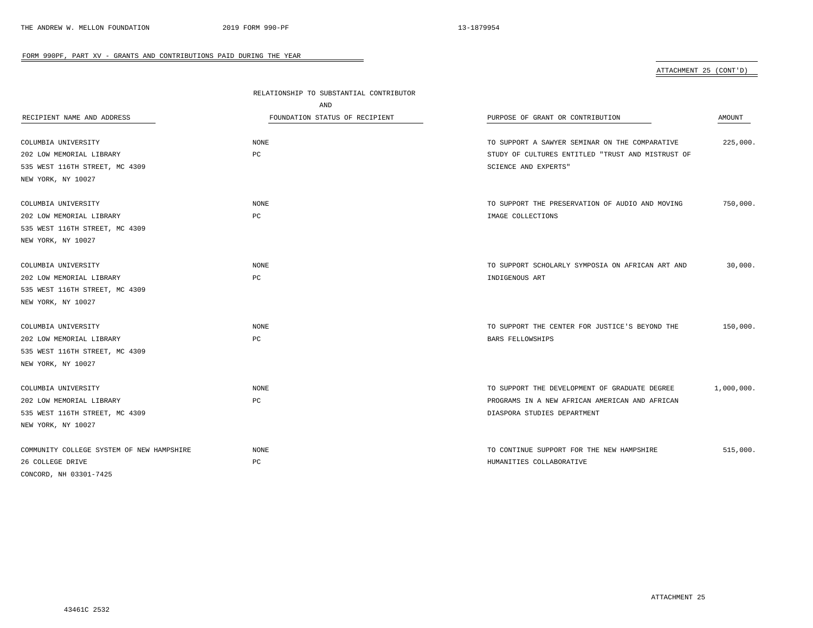## ATTACHMENT 25 (CONT'D)

|                                           | RELATIONSHIP TO SUBSTANTIAL CONTRIBUTOR<br>AND |                                                   |            |
|-------------------------------------------|------------------------------------------------|---------------------------------------------------|------------|
|                                           |                                                |                                                   |            |
| COLUMBIA UNIVERSITY                       | <b>NONE</b>                                    | TO SUPPORT A SAWYER SEMINAR ON THE COMPARATIVE    | 225,000.   |
| 202 LOW MEMORIAL LIBRARY                  | PC                                             | STUDY OF CULTURES ENTITLED "TRUST AND MISTRUST OF |            |
| 535 WEST 116TH STREET, MC 4309            |                                                | SCIENCE AND EXPERTS"                              |            |
| NEW YORK, NY 10027                        |                                                |                                                   |            |
| COLUMBIA UNIVERSITY                       | $\rm{NONE}$                                    | TO SUPPORT THE PRESERVATION OF AUDIO AND MOVING   | 750,000.   |
| 202 LOW MEMORIAL LIBRARY                  | PC                                             | IMAGE COLLECTIONS                                 |            |
| 535 WEST 116TH STREET, MC 4309            |                                                |                                                   |            |
| NEW YORK, NY 10027                        |                                                |                                                   |            |
| COLUMBIA UNIVERSITY                       | <b>NONE</b>                                    | TO SUPPORT SCHOLARLY SYMPOSIA ON AFRICAN ART AND  | 30,000.    |
| 202 LOW MEMORIAL LIBRARY                  | PC                                             | INDIGENOUS ART                                    |            |
| 535 WEST 116TH STREET, MC 4309            |                                                |                                                   |            |
| NEW YORK, NY 10027                        |                                                |                                                   |            |
| COLUMBIA UNIVERSITY                       | <b>NONE</b>                                    | TO SUPPORT THE CENTER FOR JUSTICE'S BEYOND THE    | 150,000.   |
| 202 LOW MEMORIAL LIBRARY                  | PC                                             | <b>BARS FELLOWSHIPS</b>                           |            |
| 535 WEST 116TH STREET, MC 4309            |                                                |                                                   |            |
| NEW YORK, NY 10027                        |                                                |                                                   |            |
| COLUMBIA UNIVERSITY                       | <b>NONE</b>                                    | TO SUPPORT THE DEVELOPMENT OF GRADUATE DEGREE     | 1,000,000. |
| 202 LOW MEMORIAL LIBRARY                  | PC                                             | PROGRAMS IN A NEW AFRICAN AMERICAN AND AFRICAN    |            |
| 535 WEST 116TH STREET, MC 4309            |                                                | DIASPORA STUDIES DEPARTMENT                       |            |
| NEW YORK, NY 10027                        |                                                |                                                   |            |
| COMMUNITY COLLEGE SYSTEM OF NEW HAMPSHIRE | <b>NONE</b>                                    | TO CONTINUE SUPPORT FOR THE NEW HAMPSHIRE         | 515,000.   |
| 26 COLLEGE DRIVE                          | РC                                             | HUMANITIES COLLABORATIVE                          |            |
| CONCORD, NH 03301-7425                    |                                                |                                                   |            |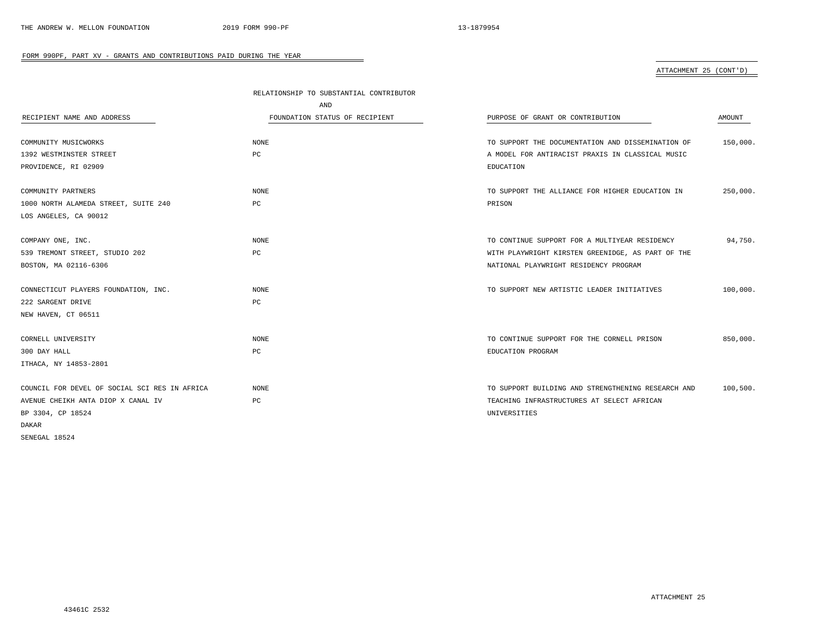# ATTACHMENT 25 (CONT'D)

|                                               | RELATIONSHIP TO SUBSTANTIAL CONTRIBUTOR |                                                    |          |
|-----------------------------------------------|-----------------------------------------|----------------------------------------------------|----------|
|                                               | AND                                     |                                                    |          |
| RECIPIENT NAME AND ADDRESS                    | FOUNDATION STATUS OF RECIPIENT          | PURPOSE OF GRANT OR CONTRIBUTION                   | AMOUNT   |
|                                               |                                         |                                                    |          |
| COMMUNITY MUSICWORKS                          | NONE                                    | TO SUPPORT THE DOCUMENTATION AND DISSEMINATION OF  | 150,000. |
| 1392 WESTMINSTER STREET                       | PC                                      | A MODEL FOR ANTIRACIST PRAXIS IN CLASSICAL MUSIC   |          |
| PROVIDENCE, RI 02909                          |                                         | EDUCATION                                          |          |
| COMMUNITY PARTNERS                            | NONE                                    | TO SUPPORT THE ALLIANCE FOR HIGHER EDUCATION IN    | 250,000. |
| 1000 NORTH ALAMEDA STREET, SUITE 240          | PC                                      | PRISON                                             |          |
| LOS ANGELES, CA 90012                         |                                         |                                                    |          |
|                                               |                                         |                                                    |          |
| COMPANY ONE, INC.                             | NONE                                    | TO CONTINUE SUPPORT FOR A MULTIYEAR RESIDENCY      | 94,750.  |
| 539 TREMONT STREET, STUDIO 202                | PC                                      | WITH PLAYWRIGHT KIRSTEN GREENIDGE, AS PART OF THE  |          |
| BOSTON, MA 02116-6306                         |                                         | NATIONAL PLAYWRIGHT RESIDENCY PROGRAM              |          |
| CONNECTICUT PLAYERS FOUNDATION, INC.          | NONE                                    | TO SUPPORT NEW ARTISTIC LEADER INITIATIVES         | 100,000. |
| 222 SARGENT DRIVE                             | PC                                      |                                                    |          |
|                                               |                                         |                                                    |          |
| NEW HAVEN, CT 06511                           |                                         |                                                    |          |
| CORNELL UNIVERSITY                            | NONE                                    | TO CONTINUE SUPPORT FOR THE CORNELL PRISON         | 850,000. |
| 300 DAY HALL                                  | PC                                      | EDUCATION PROGRAM                                  |          |
| ITHACA, NY 14853-2801                         |                                         |                                                    |          |
|                                               |                                         |                                                    |          |
| COUNCIL FOR DEVEL OF SOCIAL SCI RES IN AFRICA | NONE                                    | TO SUPPORT BUILDING AND STRENGTHENING RESEARCH AND | 100,500. |
| AVENUE CHEIKH ANTA DIOP X CANAL IV            | $_{\rm PC}$                             | TEACHING INFRASTRUCTURES AT SELECT AFRICAN         |          |
| BP 3304, CP 18524                             |                                         | UNIVERSITIES                                       |          |
| DAKAR                                         |                                         |                                                    |          |
| SENEGAL 18524                                 |                                         |                                                    |          |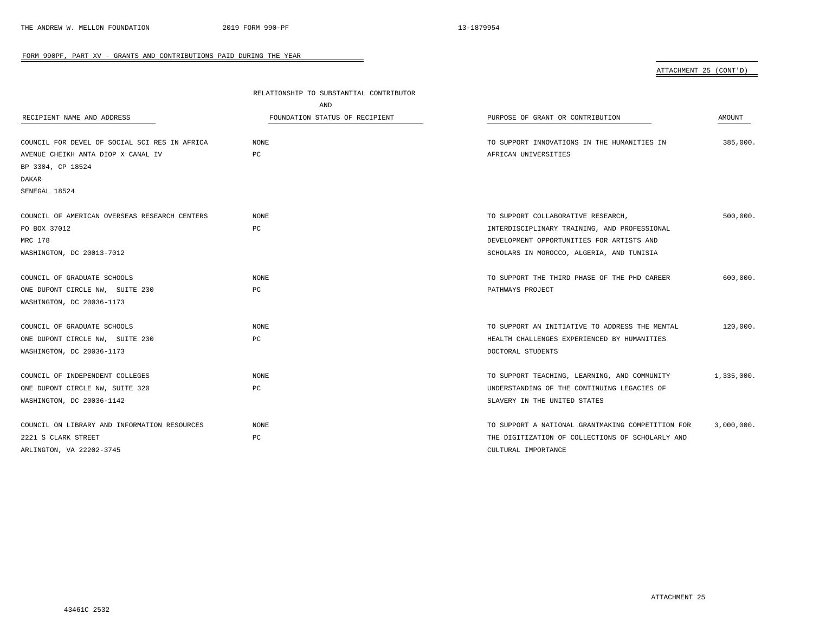ATTACHMENT 25 (CONT'D)

|                                               | RELATIONSHIP TO SUBSTANTIAL CONTRIBUTOR |                                                   |            |
|-----------------------------------------------|-----------------------------------------|---------------------------------------------------|------------|
|                                               | AND                                     |                                                   |            |
| RECIPIENT NAME AND ADDRESS                    | FOUNDATION STATUS OF RECIPIENT          | PURPOSE OF GRANT OR CONTRIBUTION                  | AMOUNT     |
|                                               |                                         |                                                   |            |
| COUNCIL FOR DEVEL OF SOCIAL SCI RES IN AFRICA | <b>NONE</b>                             | TO SUPPORT INNOVATIONS IN THE HUMANITIES IN       | 385,000.   |
| AVENUE CHEIKH ANTA DIOP X CANAL IV            | PC                                      | AFRICAN UNIVERSITIES                              |            |
| BP 3304, CP 18524                             |                                         |                                                   |            |
| DAKAR                                         |                                         |                                                   |            |
| SENEGAL 18524                                 |                                         |                                                   |            |
| COUNCIL OF AMERICAN OVERSEAS RESEARCH CENTERS | NONE                                    | TO SUPPORT COLLABORATIVE RESEARCH,                | 500,000.   |
| PO BOX 37012                                  | PC                                      | INTERDISCIPLINARY TRAINING, AND PROFESSIONAL      |            |
| MRC 178                                       |                                         | DEVELOPMENT OPPORTUNITIES FOR ARTISTS AND         |            |
| WASHINGTON, DC 20013-7012                     |                                         | SCHOLARS IN MOROCCO, ALGERIA, AND TUNISIA         |            |
| COUNCIL OF GRADUATE SCHOOLS                   | <b>NONE</b>                             | TO SUPPORT THE THIRD PHASE OF THE PHD CAREER      | 600,000.   |
| ONE DUPONT CIRCLE NW, SUITE 230               | PC                                      | PATHWAYS PROJECT                                  |            |
| WASHINGTON, DC 20036-1173                     |                                         |                                                   |            |
|                                               |                                         |                                                   |            |
| COUNCIL OF GRADUATE SCHOOLS                   | <b>NONE</b>                             | TO SUPPORT AN INITIATIVE TO ADDRESS THE MENTAL    | 120,000.   |
| ONE DUPONT CIRCLE NW, SUITE 230               | PC                                      | HEALTH CHALLENGES EXPERIENCED BY HUMANITIES       |            |
| WASHINGTON, DC 20036-1173                     |                                         | DOCTORAL STUDENTS                                 |            |
| COUNCIL OF INDEPENDENT COLLEGES               | NONE                                    | TO SUPPORT TEACHING, LEARNING, AND COMMUNITY      | 1,335,000. |
| ONE DUPONT CIRCLE NW, SUITE 320               | PC                                      | UNDERSTANDING OF THE CONTINUING LEGACIES OF       |            |
| WASHINGTON, DC 20036-1142                     |                                         | SLAVERY IN THE UNITED STATES                      |            |
| COUNCIL ON LIBRARY AND INFORMATION RESOURCES  | <b>NONE</b>                             | TO SUPPORT A NATIONAL GRANTMAKING COMPETITION FOR | 3,000,000. |
| 2221 S CLARK STREET                           | PC                                      | THE DIGITIZATION OF COLLECTIONS OF SCHOLARLY AND  |            |
| ARLINGTON, VA 22202-3745                      |                                         | CULTURAL IMPORTANCE                               |            |
|                                               |                                         |                                                   |            |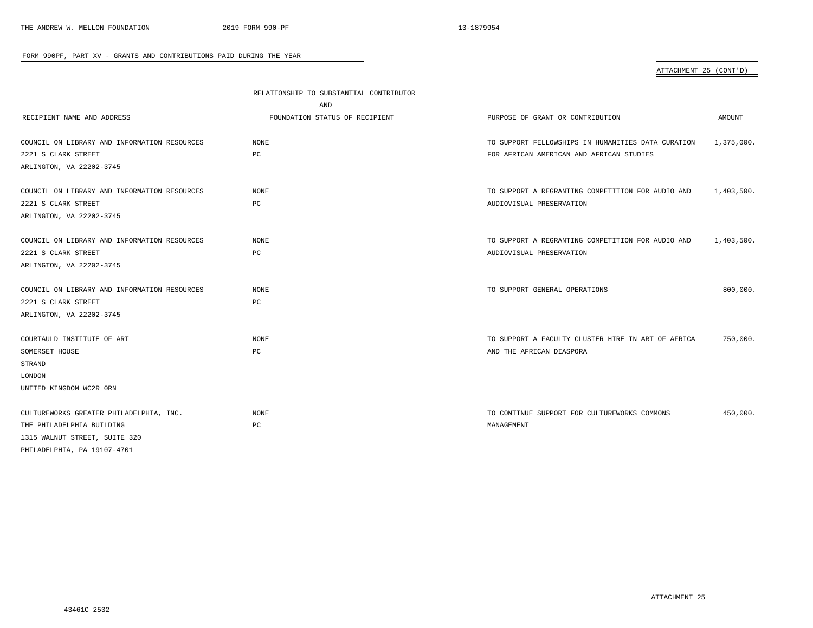ATTACHMENT 25 (CONT'D)

|                                              | RELATIONSHIP TO SUBSTANTIAL CONTRIBUTOR |                                                    |            |
|----------------------------------------------|-----------------------------------------|----------------------------------------------------|------------|
| AND                                          |                                         |                                                    |            |
| RECIPIENT NAME AND ADDRESS                   | FOUNDATION STATUS OF RECIPIENT          | PURPOSE OF GRANT OR CONTRIBUTION                   | AMOUNT     |
|                                              |                                         |                                                    |            |
| COUNCIL ON LIBRARY AND INFORMATION RESOURCES | NONE                                    | TO SUPPORT FELLOWSHIPS IN HUMANITIES DATA CURATION | 1,375,000. |
| 2221 S CLARK STREET                          | PC                                      | FOR AFRICAN AMERICAN AND AFRICAN STUDIES           |            |
| ARLINGTON, VA 22202-3745                     |                                         |                                                    |            |
| COUNCIL ON LIBRARY AND INFORMATION RESOURCES | NONE                                    | TO SUPPORT A REGRANTING COMPETITION FOR AUDIO AND  | 1,403,500. |
| 2221 S CLARK STREET                          | РC                                      | AUDIOVISUAL PRESERVATION                           |            |
| ARLINGTON, VA 22202-3745                     |                                         |                                                    |            |
|                                              |                                         |                                                    |            |
| COUNCIL ON LIBRARY AND INFORMATION RESOURCES | <b>NONE</b>                             | TO SUPPORT A REGRANTING COMPETITION FOR AUDIO AND  | 1,403,500. |
| 2221 S CLARK STREET                          | PC                                      | AUDIOVISUAL PRESERVATION                           |            |
| ARLINGTON, VA 22202-3745                     |                                         |                                                    |            |
|                                              |                                         |                                                    |            |
| COUNCIL ON LIBRARY AND INFORMATION RESOURCES | <b>NONE</b>                             | TO SUPPORT GENERAL OPERATIONS                      | 800,000.   |
| 2221 S CLARK STREET                          | PC                                      |                                                    |            |
| ARLINGTON, VA 22202-3745                     |                                         |                                                    |            |
|                                              |                                         |                                                    |            |
| COURTAULD INSTITUTE OF ART                   | NONE                                    | TO SUPPORT A FACULTY CLUSTER HIRE IN ART OF AFRICA | 750,000.   |
| SOMERSET HOUSE                               | PC                                      | AND THE AFRICAN DIASPORA                           |            |
| STRAND                                       |                                         |                                                    |            |
| LONDON                                       |                                         |                                                    |            |
| UNITED KINGDOM WC2R ORN                      |                                         |                                                    |            |
|                                              |                                         |                                                    |            |
| CULTUREWORKS GREATER PHILADELPHIA, INC.      | NONE                                    | TO CONTINUE SUPPORT FOR CULTUREWORKS COMMONS       | 450,000.   |
| THE PHILADELPHIA BUILDING                    | PC                                      | MANAGEMENT                                         |            |
| 1315 WALNUT STREET, SUITE 320                |                                         |                                                    |            |
| PHILADELPHIA, PA 19107-4701                  |                                         |                                                    |            |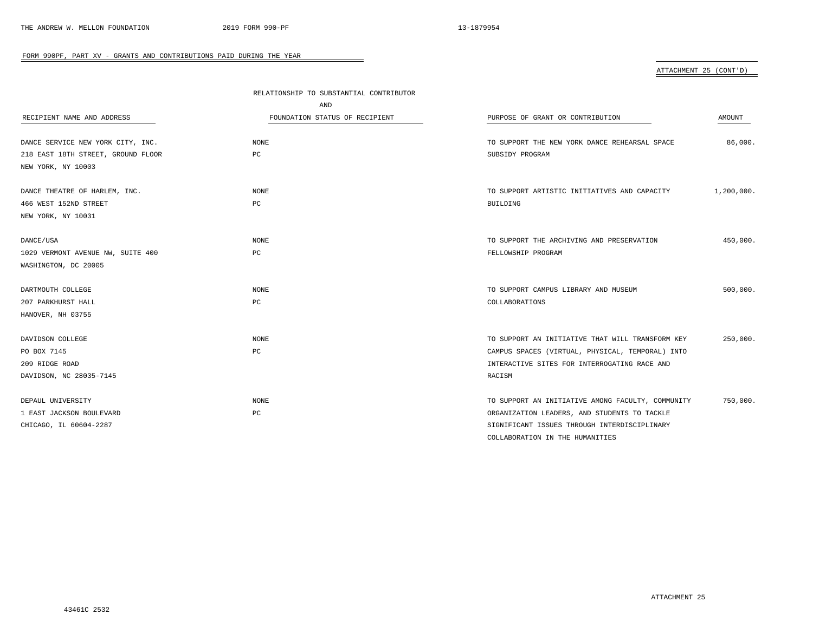### ATTACHMENT 25 (CONT'D)

|                                    | RELATIONSHIP TO SUBSTANTIAL CONTRIBUTOR |                                                   |            |
|------------------------------------|-----------------------------------------|---------------------------------------------------|------------|
|                                    | AND                                     |                                                   |            |
| RECIPIENT NAME AND ADDRESS         | FOUNDATION STATUS OF RECIPIENT          | PURPOSE OF GRANT OR CONTRIBUTION                  | AMOUNT     |
|                                    |                                         |                                                   |            |
| DANCE SERVICE NEW YORK CITY, INC.  | <b>NONE</b>                             | TO SUPPORT THE NEW YORK DANCE REHEARSAL SPACE     | 86,000.    |
| 218 EAST 18TH STREET, GROUND FLOOR | PC                                      | SUBSIDY PROGRAM                                   |            |
| NEW YORK, NY 10003                 |                                         |                                                   |            |
| DANCE THEATRE OF HARLEM, INC.      | <b>NONE</b>                             | TO SUPPORT ARTISTIC INITIATIVES AND CAPACITY      | 1,200,000. |
| 466 WEST 152ND STREET              | PC                                      | BUILDING                                          |            |
| NEW YORK, NY 10031                 |                                         |                                                   |            |
|                                    |                                         |                                                   |            |
| DANCE/USA                          | <b>NONE</b>                             | TO SUPPORT THE ARCHIVING AND PRESERVATION         | 450,000.   |
| 1029 VERMONT AVENUE NW, SUITE 400  | PC                                      | FELLOWSHIP PROGRAM                                |            |
| WASHINGTON, DC 20005               |                                         |                                                   |            |
| DARTMOUTH COLLEGE                  | <b>NONE</b>                             | TO SUPPORT CAMPUS LIBRARY AND MUSEUM              | 500,000.   |
| 207 PARKHURST HALL                 | PC                                      | COLLABORATIONS                                    |            |
| HANOVER, NH 03755                  |                                         |                                                   |            |
| DAVIDSON COLLEGE                   | <b>NONE</b>                             | TO SUPPORT AN INITIATIVE THAT WILL TRANSFORM KEY  | 250,000.   |
| PO BOX 7145                        | PC                                      | CAMPUS SPACES (VIRTUAL, PHYSICAL, TEMPORAL) INTO  |            |
| 209 RIDGE ROAD                     |                                         | INTERACTIVE SITES FOR INTERROGATING RACE AND      |            |
| DAVIDSON, NC 28035-7145            |                                         | RACISM                                            |            |
|                                    |                                         |                                                   |            |
| DEPAUL UNIVERSITY                  | <b>NONE</b>                             | TO SUPPORT AN INITIATIVE AMONG FACULTY, COMMUNITY | 750,000.   |
| 1 EAST JACKSON BOULEVARD           | PC                                      | ORGANIZATION LEADERS, AND STUDENTS TO TACKLE      |            |
| CHICAGO, IL 60604-2287             |                                         | SIGNIFICANT ISSUES THROUGH INTERDISCIPLINARY      |            |
|                                    |                                         | COLLABORATION IN THE HUMANITIES                   |            |

÷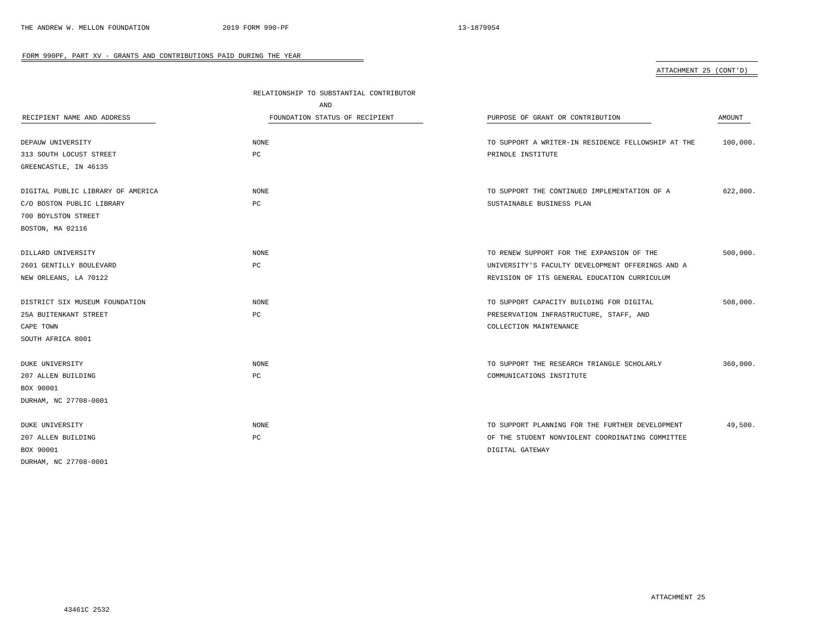ATTACHMENT 25 (CONT'D)

|                                   | RELATIONSHIP TO SUBSTANTIAL CONTRIBUTOR |                                                    |          |
|-----------------------------------|-----------------------------------------|----------------------------------------------------|----------|
|                                   | AND                                     |                                                    |          |
| RECIPIENT NAME AND ADDRESS        | FOUNDATION STATUS OF RECIPIENT          | PURPOSE OF GRANT OR CONTRIBUTION                   | AMOUNT   |
| DEPAUW UNIVERSITY                 | NONE                                    | TO SUPPORT A WRITER-IN RESIDENCE FELLOWSHIP AT THE | 100,000. |
| 313 SOUTH LOCUST STREET           | PС                                      | PRINDLE INSTITUTE                                  |          |
| GREENCASTLE, IN 46135             |                                         |                                                    |          |
| DIGITAL PUBLIC LIBRARY OF AMERICA | NONE                                    | TO SUPPORT THE CONTINUED IMPLEMENTATION OF A       | 622,000. |
| C/O BOSTON PUBLIC LIBRARY         | РC                                      | SUSTAINABLE BUSINESS PLAN                          |          |
| 700 BOYLSTON STREET               |                                         |                                                    |          |
| BOSTON, MA 02116                  |                                         |                                                    |          |
| DILLARD UNIVERSITY                | NONE                                    | TO RENEW SUPPORT FOR THE EXPANSION OF THE          | 500,000. |
| 2601 GENTILLY BOULEVARD           | PC                                      | UNIVERSITY'S FACULTY DEVELOPMENT OFFERINGS AND A   |          |
| NEW ORLEANS, LA 70122             |                                         | REVISION OF ITS GENERAL EDUCATION CURRICULUM       |          |
| DISTRICT SIX MUSEUM FOUNDATION    | NONE                                    | TO SUPPORT CAPACITY BUILDING FOR DIGITAL           | 508,000. |
| 25A BUITENKANT STREET             | РC                                      | PRESERVATION INFRASTRUCTURE, STAFF, AND            |          |
| CAPE TOWN                         |                                         | COLLECTION MAINTENANCE                             |          |
| SOUTH AFRICA 8001                 |                                         |                                                    |          |
| <b>DUKE UNIVERSITY</b>            | <b>NONE</b>                             | TO SUPPORT THE RESEARCH TRIANGLE SCHOLARLY         | 360,000. |
| 207 ALLEN BUILDING                | PC                                      | COMMUNICATIONS INSTITUTE                           |          |
| BOX 90001                         |                                         |                                                    |          |
| DURHAM, NC 27708-0001             |                                         |                                                    |          |
| DUKE UNIVERSITY                   | <b>NONE</b>                             | TO SUPPORT PLANNING FOR THE FURTHER DEVELOPMENT    | 49,500.  |
| 207 ALLEN BUILDING                | PC                                      | OF THE STUDENT NONVIOLENT COORDINATING COMMITTEE   |          |
| BOX 90001                         |                                         | DIGITAL GATEWAY                                    |          |
| DURHAM, NC 27708-0001             |                                         |                                                    |          |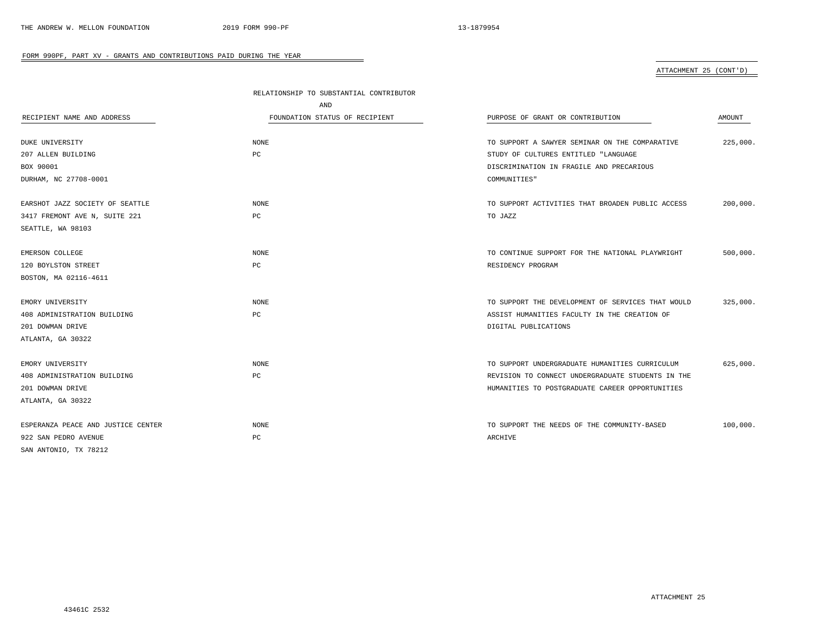# ATTACHMENT 25 (CONT'D)

|                                    | RELATIONSHIP TO SUBSTANTIAL CONTRIBUTOR |                                                   |          |
|------------------------------------|-----------------------------------------|---------------------------------------------------|----------|
|                                    | AND                                     |                                                   |          |
| RECIPIENT NAME AND ADDRESS         | FOUNDATION STATUS OF RECIPIENT          | PURPOSE OF GRANT OR CONTRIBUTION                  | AMOUNT   |
|                                    |                                         |                                                   |          |
| DUKE UNIVERSITY                    | NONE                                    | TO SUPPORT A SAWYER SEMINAR ON THE COMPARATIVE    | 225,000. |
| 207 ALLEN BUILDING                 | PC                                      | STUDY OF CULTURES ENTITLED "LANGUAGE              |          |
| BOX 90001                          |                                         | DISCRIMINATION IN FRAGILE AND PRECARIOUS          |          |
| DURHAM, NC 27708-0001              |                                         | COMMUNITIES"                                      |          |
| EARSHOT JAZZ SOCIETY OF SEATTLE    | <b>NONE</b>                             | TO SUPPORT ACTIVITIES THAT BROADEN PUBLIC ACCESS  | 200,000. |
| 3417 FREMONT AVE N, SUITE 221      | $_{\rm PC}$                             | TO JAZZ                                           |          |
| SEATTLE, WA 98103                  |                                         |                                                   |          |
| EMERSON COLLEGE                    | <b>NONE</b>                             | TO CONTINUE SUPPORT FOR THE NATIONAL PLAYWRIGHT   | 500,000. |
| 120 BOYLSTON STREET                | PC                                      | RESIDENCY PROGRAM                                 |          |
| BOSTON, MA 02116-4611              |                                         |                                                   |          |
|                                    |                                         |                                                   |          |
| EMORY UNIVERSITY                   | <b>NONE</b>                             | TO SUPPORT THE DEVELOPMENT OF SERVICES THAT WOULD | 325,000. |
| 408 ADMINISTRATION BUILDING        | PC                                      | ASSIST HUMANITIES FACULTY IN THE CREATION OF      |          |
| 201 DOWMAN DRIVE                   |                                         | DIGITAL PUBLICATIONS                              |          |
| ATLANTA, GA 30322                  |                                         |                                                   |          |
| EMORY UNIVERSITY                   | <b>NONE</b>                             | TO SUPPORT UNDERGRADUATE HUMANITIES CURRICULUM    | 625,000. |
| 408 ADMINISTRATION BUILDING        | $_{\rm PC}$                             | REVISION TO CONNECT UNDERGRADUATE STUDENTS IN THE |          |
| 201 DOWMAN DRIVE                   |                                         | HUMANITIES TO POSTGRADUATE CAREER OPPORTUNITIES   |          |
| ATLANTA, GA 30322                  |                                         |                                                   |          |
|                                    |                                         |                                                   |          |
| ESPERANZA PEACE AND JUSTICE CENTER | <b>NONE</b>                             | TO SUPPORT THE NEEDS OF THE COMMUNITY-BASED       | 100,000. |
| 922 SAN PEDRO AVENUE               | PC                                      | ARCHIVE                                           |          |
| SAN ANTONIO, TX 78212              |                                         |                                                   |          |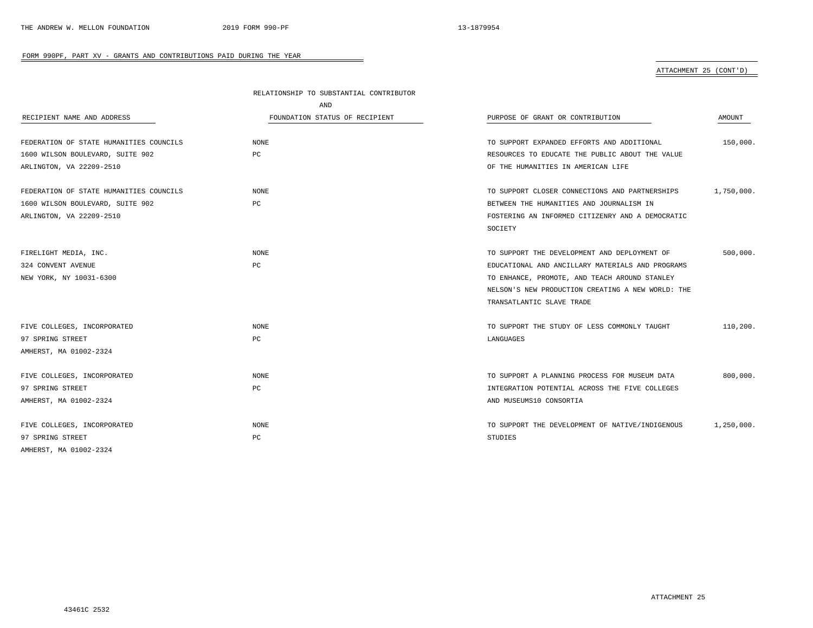# ATTACHMENT 25 (CONT'D)

|                                         | RELATIONSHIP TO SUBSTANTIAL CONTRIBUTOR |                                                   |            |
|-----------------------------------------|-----------------------------------------|---------------------------------------------------|------------|
|                                         | AND                                     |                                                   |            |
| RECIPIENT NAME AND ADDRESS              | FOUNDATION STATUS OF RECIPIENT          | PURPOSE OF GRANT OR CONTRIBUTION                  | AMOUNT     |
|                                         |                                         |                                                   |            |
| FEDERATION OF STATE HUMANITIES COUNCILS | NONE                                    | TO SUPPORT EXPANDED EFFORTS AND ADDITIONAL        | 150,000.   |
| 1600 WILSON BOULEVARD, SUITE 902        | PC                                      | RESOURCES TO EDUCATE THE PUBLIC ABOUT THE VALUE   |            |
| ARLINGTON, VA 22209-2510                |                                         | OF THE HUMANITIES IN AMERICAN LIFE                |            |
| FEDERATION OF STATE HUMANITIES COUNCILS | <b>NONE</b>                             | TO SUPPORT CLOSER CONNECTIONS AND PARTNERSHIPS    | 1,750,000. |
| 1600 WILSON BOULEVARD, SUITE 902        | PC                                      | BETWEEN THE HUMANITIES AND JOURNALISM IN          |            |
| ARLINGTON, VA 22209-2510                |                                         | FOSTERING AN INFORMED CITIZENRY AND A DEMOCRATIC  |            |
|                                         |                                         | SOCIETY                                           |            |
|                                         |                                         |                                                   |            |
| FIRELIGHT MEDIA, INC.                   | NONE                                    | TO SUPPORT THE DEVELOPMENT AND DEPLOYMENT OF      | 500,000.   |
| 324 CONVENT AVENUE                      | PC                                      | EDUCATIONAL AND ANCILLARY MATERIALS AND PROGRAMS  |            |
| NEW YORK, NY 10031-6300                 |                                         | TO ENHANCE, PROMOTE, AND TEACH AROUND STANLEY     |            |
|                                         |                                         | NELSON'S NEW PRODUCTION CREATING A NEW WORLD: THE |            |
|                                         |                                         | TRANSATLANTIC SLAVE TRADE                         |            |
|                                         |                                         |                                                   |            |
| FIVE COLLEGES, INCORPORATED             | NONE                                    | TO SUPPORT THE STUDY OF LESS COMMONLY TAUGHT      | 110,200.   |
| 97 SPRING STREET                        | PC                                      | LANGUAGES                                         |            |
| AMHERST, MA 01002-2324                  |                                         |                                                   |            |
|                                         |                                         |                                                   |            |
| FIVE COLLEGES, INCORPORATED             | <b>NONE</b>                             | TO SUPPORT A PLANNING PROCESS FOR MUSEUM DATA     | 800,000.   |
| 97 SPRING STREET                        | РC                                      | INTEGRATION POTENTIAL ACROSS THE FIVE COLLEGES    |            |
| AMHERST, MA 01002-2324                  |                                         | AND MUSEUMS10 CONSORTIA                           |            |
| FIVE COLLEGES, INCORPORATED             | <b>NONE</b>                             | TO SUPPORT THE DEVELOPMENT OF NATIVE/INDIGENOUS   | 1,250,000. |
| 97 SPRING STREET                        | PC                                      | STUDIES                                           |            |
| AMHERST, MA 01002-2324                  |                                         |                                                   |            |

-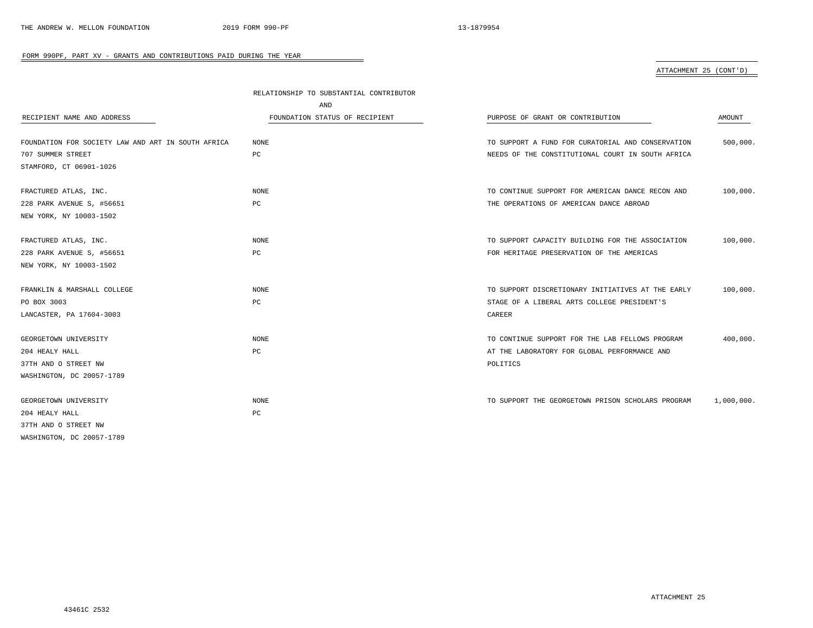# ATTACHMENT 25 (CONT'D)

|                                                    | RELATIONSHIP TO SUBSTANTIAL CONTRIBUTOR |                                                   |            |
|----------------------------------------------------|-----------------------------------------|---------------------------------------------------|------------|
|                                                    | AND                                     |                                                   |            |
| RECIPIENT NAME AND ADDRESS                         | FOUNDATION STATUS OF RECIPIENT          | PURPOSE OF GRANT OR CONTRIBUTION                  | AMOUNT     |
| FOUNDATION FOR SOCIETY LAW AND ART IN SOUTH AFRICA | NONE                                    | TO SUPPORT A FUND FOR CURATORIAL AND CONSERVATION | 500,000.   |
| 707 SUMMER STREET                                  | PC                                      | NEEDS OF THE CONSTITUTIONAL COURT IN SOUTH AFRICA |            |
| STAMFORD, CT 06901-1026                            |                                         |                                                   |            |
| FRACTURED ATLAS, INC.                              | NONE                                    | TO CONTINUE SUPPORT FOR AMERICAN DANCE RECON AND  | 100,000.   |
| 228 PARK AVENUE S, #56651                          | PC                                      | THE OPERATIONS OF AMERICAN DANCE ABROAD           |            |
| NEW YORK, NY 10003-1502                            |                                         |                                                   |            |
| FRACTURED ATLAS, INC.                              | <b>NONE</b>                             | TO SUPPORT CAPACITY BUILDING FOR THE ASSOCIATION  | 100,000.   |
| 228 PARK AVENUE S, #56651                          | PC                                      | FOR HERITAGE PRESERVATION OF THE AMERICAS         |            |
| NEW YORK, NY 10003-1502                            |                                         |                                                   |            |
| FRANKLIN & MARSHALL COLLEGE                        | NONE                                    | TO SUPPORT DISCRETIONARY INITIATIVES AT THE EARLY | 100,000.   |
| PO BOX 3003                                        | PC                                      | STAGE OF A LIBERAL ARTS COLLEGE PRESIDENT'S       |            |
| LANCASTER, PA 17604-3003                           |                                         | CAREER                                            |            |
| GEORGETOWN UNIVERSITY                              | NONE                                    | TO CONTINUE SUPPORT FOR THE LAB FELLOWS PROGRAM   | 400,000.   |
| 204 HEALY HALL                                     | PC                                      | AT THE LABORATORY FOR GLOBAL PERFORMANCE AND      |            |
| 37TH AND O STREET NW                               |                                         | POLITICS                                          |            |
| WASHINGTON, DC 20057-1789                          |                                         |                                                   |            |
| GEORGETOWN UNIVERSITY                              | <b>NONE</b>                             | TO SUPPORT THE GEORGETOWN PRISON SCHOLARS PROGRAM | 1,000,000. |
| 204 HEALY HALL                                     | PC                                      |                                                   |            |
| 37TH AND O STREET NW                               |                                         |                                                   |            |
| WASHINGTON, DC 20057-1789                          |                                         |                                                   |            |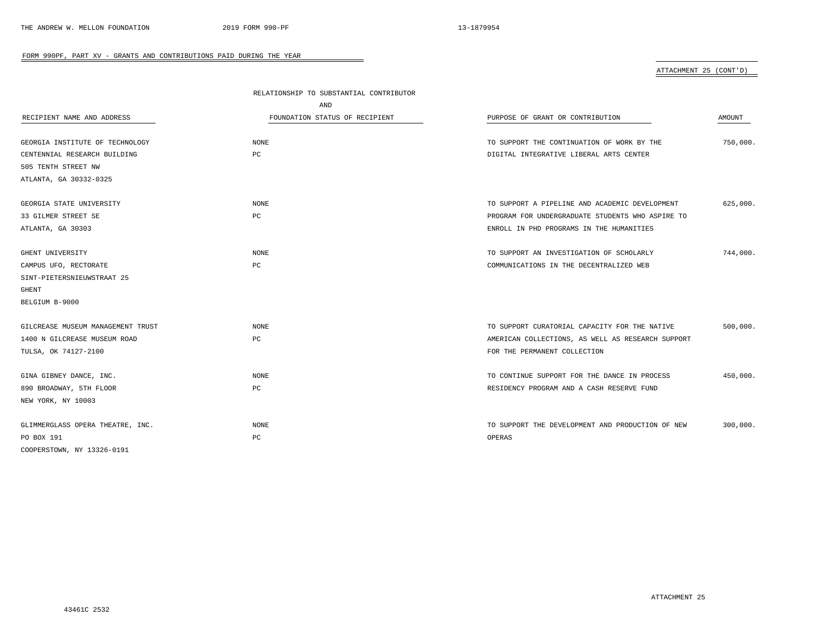# ATTACHMENT 25 (CONT'D)

|                                   | RELATIONSHIP TO SUBSTANTIAL CONTRIBUTOR |                                                   |          |
|-----------------------------------|-----------------------------------------|---------------------------------------------------|----------|
|                                   | AND                                     |                                                   |          |
| RECIPIENT NAME AND ADDRESS        | FOUNDATION STATUS OF RECIPIENT          | PURPOSE OF GRANT OR CONTRIBUTION                  | AMOUNT   |
|                                   |                                         |                                                   |          |
| GEORGIA INSTITUTE OF TECHNOLOGY   | NONE                                    | TO SUPPORT THE CONTINUATION OF WORK BY THE        | 750,000. |
| CENTENNIAL RESEARCH BUILDING      | PC                                      | DIGITAL INTEGRATIVE LIBERAL ARTS CENTER           |          |
| 505 TENTH STREET NW               |                                         |                                                   |          |
| ATLANTA, GA 30332-0325            |                                         |                                                   |          |
| GEORGIA STATE UNIVERSITY          | NONE                                    | TO SUPPORT A PIPELINE AND ACADEMIC DEVELOPMENT    | 625,000. |
| 33 GILMER STREET SE               | PC                                      | PROGRAM FOR UNDERGRADUATE STUDENTS WHO ASPIRE TO  |          |
| ATLANTA, GA 30303                 |                                         | ENROLL IN PHD PROGRAMS IN THE HUMANITIES          |          |
|                                   |                                         |                                                   |          |
| GHENT UNIVERSITY                  | NONE                                    | TO SUPPORT AN INVESTIGATION OF SCHOLARLY          | 744,000. |
| CAMPUS UFO, RECTORATE             | PC                                      | COMMUNICATIONS IN THE DECENTRALIZED WEB           |          |
| SINT-PIETERSNIEUWSTRAAT 25        |                                         |                                                   |          |
| GHENT                             |                                         |                                                   |          |
| BELGIUM B-9000                    |                                         |                                                   |          |
| GILCREASE MUSEUM MANAGEMENT TRUST | NONE                                    | TO SUPPORT CURATORIAL CAPACITY FOR THE NATIVE     | 500,000. |
| 1400 N GILCREASE MUSEUM ROAD      | PC                                      | AMERICAN COLLECTIONS, AS WELL AS RESEARCH SUPPORT |          |
| TULSA, OK 74127-2100              |                                         | FOR THE PERMANENT COLLECTION                      |          |
| GINA GIBNEY DANCE, INC.           | NONE                                    | TO CONTINUE SUPPORT FOR THE DANCE IN PROCESS      | 450,000. |
| 890 BROADWAY, 5TH FLOOR           | PC                                      | RESIDENCY PROGRAM AND A CASH RESERVE FUND         |          |
| NEW YORK, NY 10003                |                                         |                                                   |          |
|                                   |                                         |                                                   |          |
| GLIMMERGLASS OPERA THEATRE, INC.  | <b>NONE</b>                             | TO SUPPORT THE DEVELOPMENT AND PRODUCTION OF NEW  | 300,000. |
| PO BOX 191                        | PC                                      | OPERAS                                            |          |
| COOPERSTOWN, NY 13326-0191        |                                         |                                                   |          |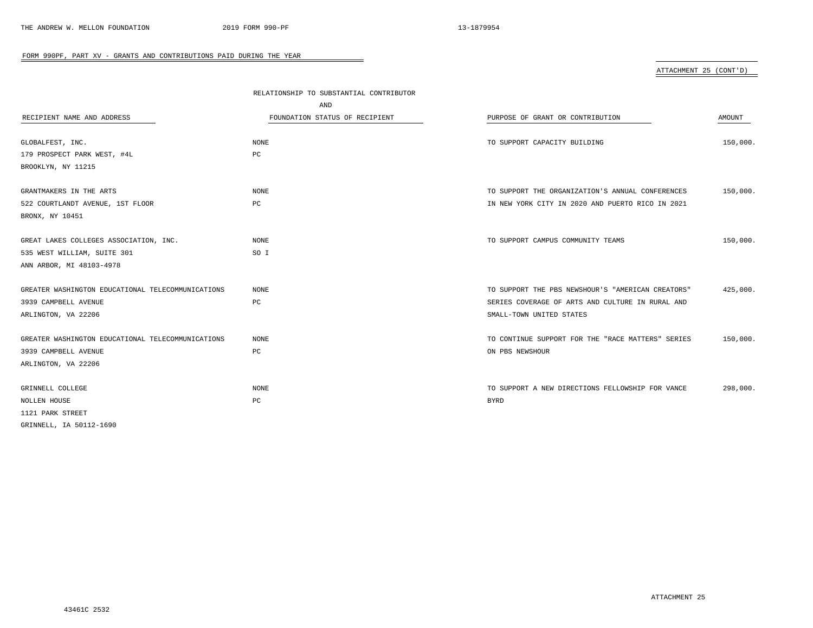# ATTACHMENT 25 (CONT'D)

|                                                   | RELATIONSHIP TO SUBSTANTIAL CONTRIBUTOR |                                                   |          |  |
|---------------------------------------------------|-----------------------------------------|---------------------------------------------------|----------|--|
|                                                   | AND                                     |                                                   |          |  |
| RECIPIENT NAME AND ADDRESS                        | FOUNDATION STATUS OF RECIPIENT          | PURPOSE OF GRANT OR CONTRIBUTION                  | AMOUNT   |  |
|                                                   |                                         |                                                   |          |  |
| GLOBALFEST, INC.                                  | NONE                                    | TO SUPPORT CAPACITY BUILDING                      | 150,000. |  |
| 179 PROSPECT PARK WEST, #4L                       | PC                                      |                                                   |          |  |
| BROOKLYN, NY 11215                                |                                         |                                                   |          |  |
| GRANTMAKERS IN THE ARTS                           | <b>NONE</b>                             | TO SUPPORT THE ORGANIZATION'S ANNUAL CONFERENCES  | 150,000. |  |
| 522 COURTLANDT AVENUE, 1ST FLOOR                  | PC                                      | IN NEW YORK CITY IN 2020 AND PUERTO RICO IN 2021  |          |  |
| BRONX, NY 10451                                   |                                         |                                                   |          |  |
| GREAT LAKES COLLEGES ASSOCIATION, INC.            | <b>NONE</b>                             | TO SUPPORT CAMPUS COMMUNITY TEAMS                 | 150,000. |  |
| 535 WEST WILLIAM, SUITE 301                       | SO I                                    |                                                   |          |  |
| ANN ARBOR, MI 48103-4978                          |                                         |                                                   |          |  |
| GREATER WASHINGTON EDUCATIONAL TELECOMMUNICATIONS | NONE                                    | TO SUPPORT THE PBS NEWSHOUR'S "AMERICAN CREATORS" | 425,000. |  |
| 3939 CAMPBELL AVENUE                              | PC                                      | SERIES COVERAGE OF ARTS AND CULTURE IN RURAL AND  |          |  |
| ARLINGTON, VA 22206                               |                                         | SMALL-TOWN UNITED STATES                          |          |  |
| GREATER WASHINGTON EDUCATIONAL TELECOMMUNICATIONS | NONE                                    | TO CONTINUE SUPPORT FOR THE "RACE MATTERS" SERIES | 150,000. |  |
| 3939 CAMPBELL AVENUE                              | PC                                      | ON PBS NEWSHOUR                                   |          |  |
| ARLINGTON, VA 22206                               |                                         |                                                   |          |  |
| GRINNELL COLLEGE                                  | <b>NONE</b>                             | TO SUPPORT A NEW DIRECTIONS FELLOWSHIP FOR VANCE  | 298,000. |  |
| NOLLEN HOUSE                                      | $_{\rm PC}$                             | <b>BYRD</b>                                       |          |  |
| 1121 PARK STREET                                  |                                         |                                                   |          |  |
| GRINNELL, IA 50112-1690                           |                                         |                                                   |          |  |
|                                                   |                                         |                                                   |          |  |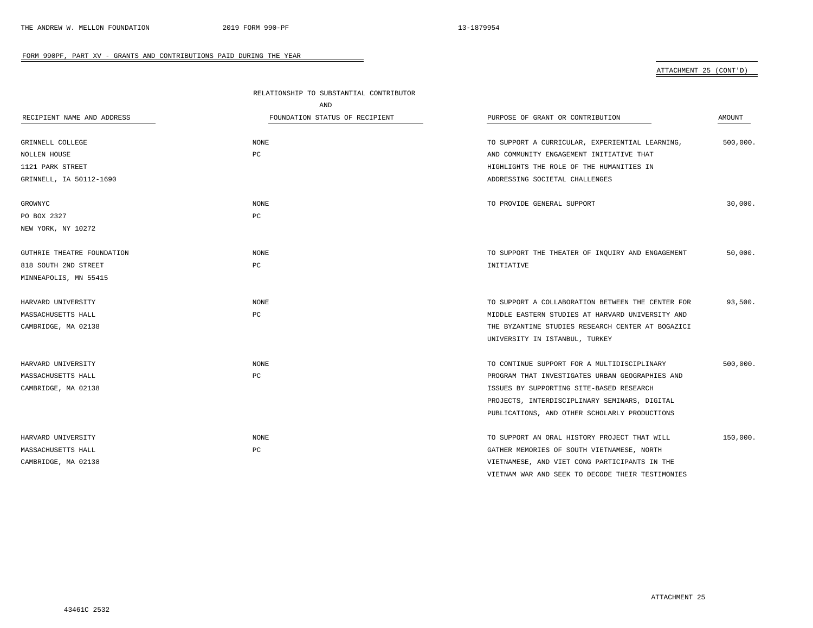### ATTACHMENT 25 (CONT'D)

|                            | RELATIONSHIP TO SUBSTANTIAL CONTRIBUTOR |                                                   |          |
|----------------------------|-----------------------------------------|---------------------------------------------------|----------|
|                            | AND                                     |                                                   |          |
| RECIPIENT NAME AND ADDRESS | FOUNDATION STATUS OF RECIPIENT          | PURPOSE OF GRANT OR CONTRIBUTION                  | AMOUNT   |
|                            |                                         |                                                   |          |
| GRINNELL COLLEGE           | <b>NONE</b>                             | TO SUPPORT A CURRICULAR, EXPERIENTIAL LEARNING,   | 500,000. |
| NOLLEN HOUSE               | PC                                      | AND COMMUNITY ENGAGEMENT INITIATIVE THAT          |          |
| 1121 PARK STREET           |                                         | HIGHLIGHTS THE ROLE OF THE HUMANITIES IN          |          |
| GRINNELL, IA 50112-1690    |                                         | ADDRESSING SOCIETAL CHALLENGES                    |          |
| GROWNYC                    | <b>NONE</b>                             | TO PROVIDE GENERAL SUPPORT                        | 30,000.  |
| PO BOX 2327                | PC                                      |                                                   |          |
| NEW YORK, NY 10272         |                                         |                                                   |          |
| GUTHRIE THEATRE FOUNDATION | NONE                                    | TO SUPPORT THE THEATER OF INQUIRY AND ENGAGEMENT  | 50,000.  |
| 818 SOUTH 2ND STREET       | PC                                      | INITIATIVE                                        |          |
| MINNEAPOLIS, MN 55415      |                                         |                                                   |          |
| HARVARD UNIVERSITY         | NONE                                    | TO SUPPORT A COLLABORATION BETWEEN THE CENTER FOR | 93,500.  |
| MASSACHUSETTS HALL         | PC                                      | MIDDLE EASTERN STUDIES AT HARVARD UNIVERSITY AND  |          |
| CAMBRIDGE, MA 02138        |                                         | THE BYZANTINE STUDIES RESEARCH CENTER AT BOGAZICI |          |
|                            |                                         | UNIVERSITY IN ISTANBUL, TURKEY                    |          |
| HARVARD UNIVERSITY         | <b>NONE</b>                             | TO CONTINUE SUPPORT FOR A MULTIDISCIPLINARY       | 500,000. |
| MASSACHUSETTS HALL         | PC                                      | PROGRAM THAT INVESTIGATES URBAN GEOGRAPHIES AND   |          |
| CAMBRIDGE, MA 02138        |                                         | ISSUES BY SUPPORTING SITE-BASED RESEARCH          |          |
|                            |                                         | PROJECTS, INTERDISCIPLINARY SEMINARS, DIGITAL     |          |
|                            |                                         | PUBLICATIONS, AND OTHER SCHOLARLY PRODUCTIONS     |          |
| HARVARD UNIVERSITY         | <b>NONE</b>                             | TO SUPPORT AN ORAL HISTORY PROJECT THAT WILL      | 150,000. |
| MASSACHUSETTS HALL         | PC                                      | GATHER MEMORIES OF SOUTH VIETNAMESE, NORTH        |          |
| CAMBRIDGE, MA 02138        |                                         | VIETNAMESE, AND VIET CONG PARTICIPANTS IN THE     |          |
|                            |                                         | VIETNAM WAR AND SEEK TO DECODE THEIR TESTIMONIES  |          |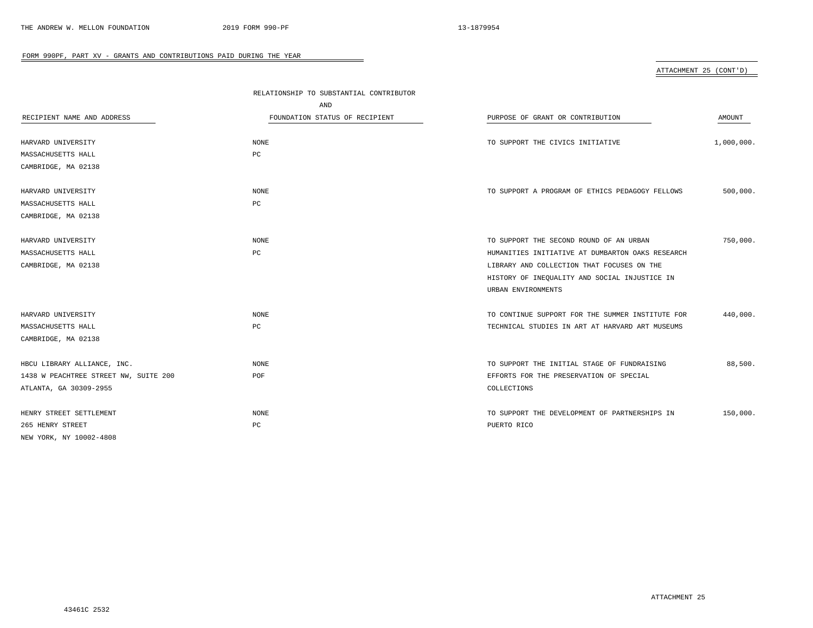| ATTACHMENT 25 (CONT'D) |  |
|------------------------|--|
|                        |  |

|                                       | RELATIONSHIP TO SUBSTANTIAL CONTRIBUTOR |                                                  |               |
|---------------------------------------|-----------------------------------------|--------------------------------------------------|---------------|
|                                       | AND                                     |                                                  |               |
| RECIPIENT NAME AND ADDRESS            | FOUNDATION STATUS OF RECIPIENT          | PURPOSE OF GRANT OR CONTRIBUTION                 | <b>AMOUNT</b> |
|                                       |                                         |                                                  |               |
| HARVARD UNIVERSITY                    | <b>NONE</b>                             | TO SUPPORT THE CIVICS INITIATIVE                 | 1,000,000.    |
| MASSACHUSETTS HALL                    | $_{\rm PC}$                             |                                                  |               |
| CAMBRIDGE, MA 02138                   |                                         |                                                  |               |
| HARVARD UNIVERSITY                    | <b>NONE</b>                             | TO SUPPORT A PROGRAM OF ETHICS PEDAGOGY FELLOWS  | 500,000.      |
| MASSACHUSETTS HALL                    | $_{\rm PC}$                             |                                                  |               |
| CAMBRIDGE, MA 02138                   |                                         |                                                  |               |
| HARVARD UNIVERSITY                    | <b>NONE</b>                             | TO SUPPORT THE SECOND ROUND OF AN URBAN          | 750,000.      |
| MASSACHUSETTS HALL                    | PC                                      | HUMANITIES INITIATIVE AT DUMBARTON OAKS RESEARCH |               |
| CAMBRIDGE, MA 02138                   |                                         | LIBRARY AND COLLECTION THAT FOCUSES ON THE       |               |
|                                       |                                         | HISTORY OF INEQUALITY AND SOCIAL INJUSTICE IN    |               |
|                                       |                                         | URBAN ENVIRONMENTS                               |               |
| HARVARD UNIVERSITY                    | <b>NONE</b>                             | TO CONTINUE SUPPORT FOR THE SUMMER INSTITUTE FOR | 440,000.      |
| MASSACHUSETTS HALL                    | PC                                      | TECHNICAL STUDIES IN ART AT HARVARD ART MUSEUMS  |               |
| CAMBRIDGE, MA 02138                   |                                         |                                                  |               |
|                                       |                                         |                                                  |               |
| HBCU LIBRARY ALLIANCE, INC.           | <b>NONE</b>                             | TO SUPPORT THE INITIAL STAGE OF FUNDRAISING      | 88,500.       |
| 1438 W PEACHTREE STREET NW, SUITE 200 | POF                                     | EFFORTS FOR THE PRESERVATION OF SPECIAL          |               |
| ATLANTA, GA 30309-2955                |                                         | COLLECTIONS                                      |               |
| HENRY STREET SETTLEMENT               | <b>NONE</b>                             | TO SUPPORT THE DEVELOPMENT OF PARTNERSHIPS IN    | 150,000.      |
| 265 HENRY STREET                      | PC                                      | PUERTO RICO                                      |               |
| NEW YORK, NY 10002-4808               |                                         |                                                  |               |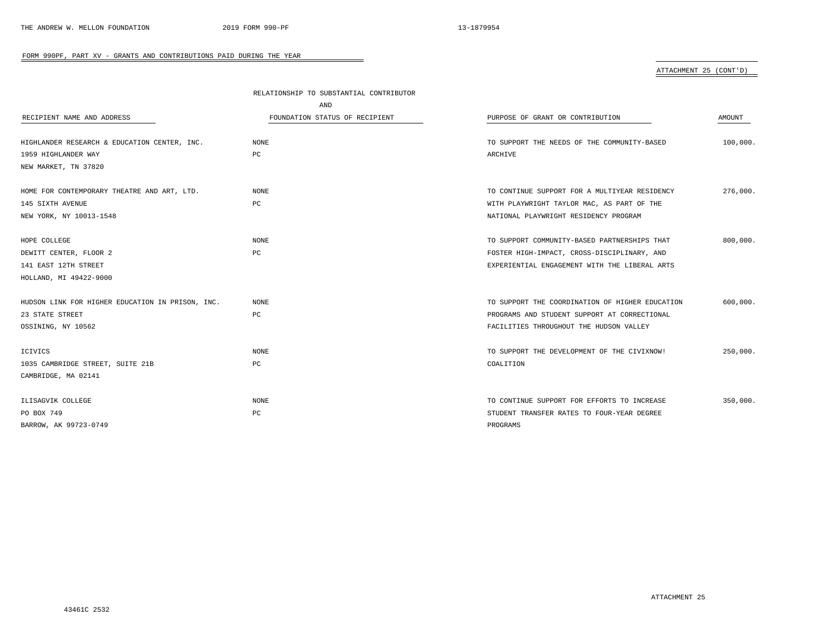# ATTACHMENT 25 (CONT'D)

| RELATIONSHIP TO SUBSTANTIAL CONTRIBUTOR |                                                |                                                                                                                                                                                                                                                                                                                                        |
|-----------------------------------------|------------------------------------------------|----------------------------------------------------------------------------------------------------------------------------------------------------------------------------------------------------------------------------------------------------------------------------------------------------------------------------------------|
| AND                                     |                                                |                                                                                                                                                                                                                                                                                                                                        |
| FOUNDATION STATUS OF RECIPIENT          | PURPOSE OF GRANT OR CONTRIBUTION               | AMOUNT                                                                                                                                                                                                                                                                                                                                 |
|                                         |                                                |                                                                                                                                                                                                                                                                                                                                        |
| <b>NONE</b>                             | TO SUPPORT THE NEEDS OF THE COMMUNITY-BASED    | 100,000.                                                                                                                                                                                                                                                                                                                               |
| PC                                      | ARCHIVE                                        |                                                                                                                                                                                                                                                                                                                                        |
|                                         |                                                |                                                                                                                                                                                                                                                                                                                                        |
|                                         |                                                | 276,000.                                                                                                                                                                                                                                                                                                                               |
| PC                                      |                                                |                                                                                                                                                                                                                                                                                                                                        |
|                                         | NATIONAL PLAYWRIGHT RESIDENCY PROGRAM          |                                                                                                                                                                                                                                                                                                                                        |
|                                         |                                                |                                                                                                                                                                                                                                                                                                                                        |
| <b>NONE</b>                             | TO SUPPORT COMMUNITY-BASED PARTNERSHIPS THAT   | 800,000.                                                                                                                                                                                                                                                                                                                               |
| PC                                      | FOSTER HIGH-IMPACT, CROSS-DISCIPLINARY, AND    |                                                                                                                                                                                                                                                                                                                                        |
|                                         | EXPERIENTIAL ENGAGEMENT WITH THE LIBERAL ARTS  |                                                                                                                                                                                                                                                                                                                                        |
|                                         |                                                |                                                                                                                                                                                                                                                                                                                                        |
|                                         |                                                | 600,000.                                                                                                                                                                                                                                                                                                                               |
|                                         |                                                |                                                                                                                                                                                                                                                                                                                                        |
|                                         |                                                |                                                                                                                                                                                                                                                                                                                                        |
|                                         |                                                |                                                                                                                                                                                                                                                                                                                                        |
| <b>NONE</b>                             | TO SUPPORT THE DEVELOPMENT OF THE CIVIXNOW!    | 250,000.                                                                                                                                                                                                                                                                                                                               |
| PC                                      | COALITION                                      |                                                                                                                                                                                                                                                                                                                                        |
|                                         |                                                |                                                                                                                                                                                                                                                                                                                                        |
|                                         |                                                | 350,000.                                                                                                                                                                                                                                                                                                                               |
|                                         |                                                |                                                                                                                                                                                                                                                                                                                                        |
|                                         | PROGRAMS                                       |                                                                                                                                                                                                                                                                                                                                        |
|                                         | <b>NONE</b><br>NONE<br>PC<br><b>NONE</b><br>PC | TO CONTINUE SUPPORT FOR A MULTIYEAR RESIDENCY<br>WITH PLAYWRIGHT TAYLOR MAC, AS PART OF THE<br>TO SUPPORT THE COORDINATION OF HIGHER EDUCATION<br>PROGRAMS AND STUDENT SUPPORT AT CORRECTIONAL<br>FACILITIES THROUGHOUT THE HUDSON VALLEY<br>TO CONTINUE SUPPORT FOR EFFORTS TO INCREASE<br>STUDENT TRANSFER RATES TO FOUR-YEAR DEGREE |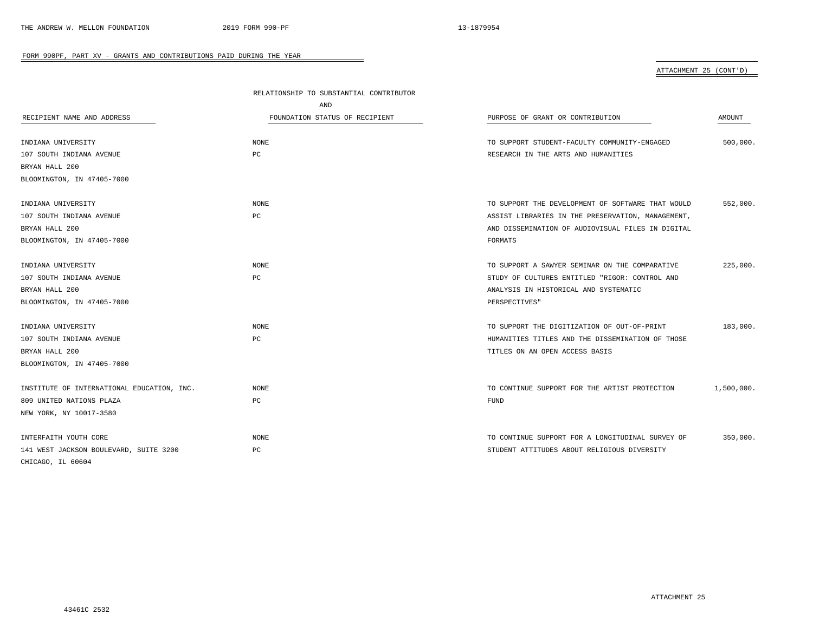# ATTACHMENT 25 (CONT'D)

|                                            | RELATIONSHIP TO SUBSTANTIAL CONTRIBUTOR |                                                   |            |
|--------------------------------------------|-----------------------------------------|---------------------------------------------------|------------|
|                                            | AND                                     |                                                   |            |
| RECIPIENT NAME AND ADDRESS                 | FOUNDATION STATUS OF RECIPIENT          | PURPOSE OF GRANT OR CONTRIBUTION                  | AMOUNT     |
| INDIANA UNIVERSITY                         | <b>NONE</b>                             | TO SUPPORT STUDENT-FACULTY COMMUNITY-ENGAGED      | 500,000.   |
| 107 SOUTH INDIANA AVENUE                   | PC                                      | RESEARCH IN THE ARTS AND HUMANITIES               |            |
| BRYAN HALL 200                             |                                         |                                                   |            |
| BLOOMINGTON, IN 47405-7000                 |                                         |                                                   |            |
| INDIANA UNIVERSITY                         | <b>NONE</b>                             | TO SUPPORT THE DEVELOPMENT OF SOFTWARE THAT WOULD | 552,000.   |
| 107 SOUTH INDIANA AVENUE                   | PC                                      | ASSIST LIBRARIES IN THE PRESERVATION, MANAGEMENT, |            |
| BRYAN HALL 200                             |                                         | AND DISSEMINATION OF AUDIOVISUAL FILES IN DIGITAL |            |
| BLOOMINGTON, IN 47405-7000                 |                                         | FORMATS                                           |            |
| INDIANA UNIVERSITY                         | <b>NONE</b>                             | TO SUPPORT A SAWYER SEMINAR ON THE COMPARATIVE    | 225,000.   |
| 107 SOUTH INDIANA AVENUE                   | PC                                      | STUDY OF CULTURES ENTITLED "RIGOR: CONTROL AND    |            |
| BRYAN HALL 200                             |                                         | ANALYSIS IN HISTORICAL AND SYSTEMATIC             |            |
| BLOOMINGTON, IN 47405-7000                 |                                         | PERSPECTIVES"                                     |            |
| INDIANA UNIVERSITY                         | <b>NONE</b>                             | TO SUPPORT THE DIGITIZATION OF OUT-OF-PRINT       | 183,000.   |
| 107 SOUTH INDIANA AVENUE                   | PC                                      | HUMANITIES TITLES AND THE DISSEMINATION OF THOSE  |            |
| BRYAN HALL 200                             |                                         | TITLES ON AN OPEN ACCESS BASIS                    |            |
| BLOOMINGTON, IN 47405-7000                 |                                         |                                                   |            |
| INSTITUTE OF INTERNATIONAL EDUCATION, INC. | <b>NONE</b>                             | TO CONTINUE SUPPORT FOR THE ARTIST PROTECTION     | 1,500,000. |
| 809 UNITED NATIONS PLAZA                   | PC                                      | <b>FUND</b>                                       |            |
| NEW YORK, NY 10017-3580                    |                                         |                                                   |            |
| INTERFAITH YOUTH CORE                      | <b>NONE</b>                             | TO CONTINUE SUPPORT FOR A LONGITUDINAL SURVEY OF  | 350,000.   |
| 141 WEST JACKSON BOULEVARD, SUITE 3200     | РC                                      | STUDENT ATTITUDES ABOUT RELIGIOUS DIVERSITY       |            |
| CHICAGO, IL 60604                          |                                         |                                                   |            |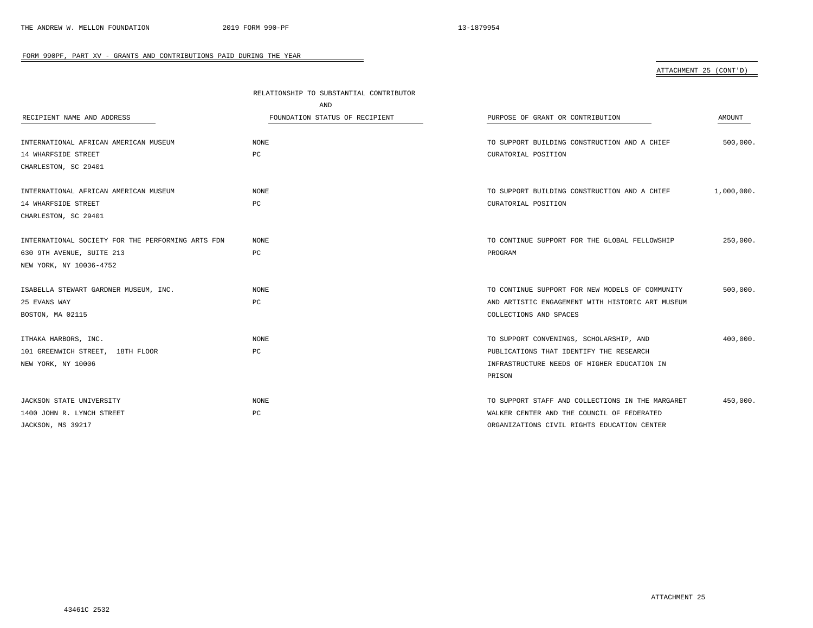# ATTACHMENT 25 (CONT'D)

|                                                   | RELATIONSHIP TO SUBSTANTIAL CONTRIBUTOR |                                                  |            |
|---------------------------------------------------|-----------------------------------------|--------------------------------------------------|------------|
|                                                   | <b>AND</b>                              |                                                  |            |
| RECIPIENT NAME AND ADDRESS                        | FOUNDATION STATUS OF RECIPIENT          | PURPOSE OF GRANT OR CONTRIBUTION                 | AMOUNT     |
|                                                   |                                         |                                                  |            |
| INTERNATIONAL AFRICAN AMERICAN MUSEUM             | NONE                                    | TO SUPPORT BUILDING CONSTRUCTION AND A CHIEF     | 500,000.   |
| 14 WHARFSIDE STREET                               | PC                                      | CURATORIAL POSITION                              |            |
| CHARLESTON, SC 29401                              |                                         |                                                  |            |
|                                                   |                                         |                                                  |            |
| INTERNATIONAL AFRICAN AMERICAN MUSEUM             | NONE                                    | TO SUPPORT BUILDING CONSTRUCTION AND A CHIEF     | 1,000,000. |
| 14 WHARFSIDE STREET                               | PC                                      | CURATORIAL POSITION                              |            |
| CHARLESTON, SC 29401                              |                                         |                                                  |            |
|                                                   |                                         |                                                  |            |
| INTERNATIONAL SOCIETY FOR THE PERFORMING ARTS FDN | NONE                                    | TO CONTINUE SUPPORT FOR THE GLOBAL FELLOWSHIP    | 250,000.   |
| 630 9TH AVENUE, SUITE 213                         | PC                                      | PROGRAM                                          |            |
| NEW YORK, NY 10036-4752                           |                                         |                                                  |            |
|                                                   |                                         |                                                  |            |
| ISABELLA STEWART GARDNER MUSEUM, INC.             | NONE                                    | TO CONTINUE SUPPORT FOR NEW MODELS OF COMMUNITY  | 500,000.   |
| 25 EVANS WAY                                      | PC                                      | AND ARTISTIC ENGAGEMENT WITH HISTORIC ART MUSEUM |            |
| BOSTON, MA 02115                                  |                                         | COLLECTIONS AND SPACES                           |            |
|                                                   |                                         |                                                  |            |
| ITHAKA HARBORS, INC.                              | NONE                                    | TO SUPPORT CONVENINGS, SCHOLARSHIP, AND          | 400,000.   |
| 101 GREENWICH STREET, 18TH FLOOR                  | PC                                      | PUBLICATIONS THAT IDENTIFY THE RESEARCH          |            |
| NEW YORK, NY 10006                                |                                         | INFRASTRUCTURE NEEDS OF HIGHER EDUCATION IN      |            |
|                                                   |                                         | PRISON                                           |            |
|                                                   |                                         |                                                  |            |
| JACKSON STATE UNIVERSITY                          | NONE                                    | TO SUPPORT STAFF AND COLLECTIONS IN THE MARGARET | 450,000.   |
| 1400 JOHN R. LYNCH STREET                         | PC                                      | WALKER CENTER AND THE COUNCIL OF FEDERATED       |            |
| JACKSON, MS 39217                                 |                                         | ORGANIZATIONS CIVIL RIGHTS EDUCATION CENTER      |            |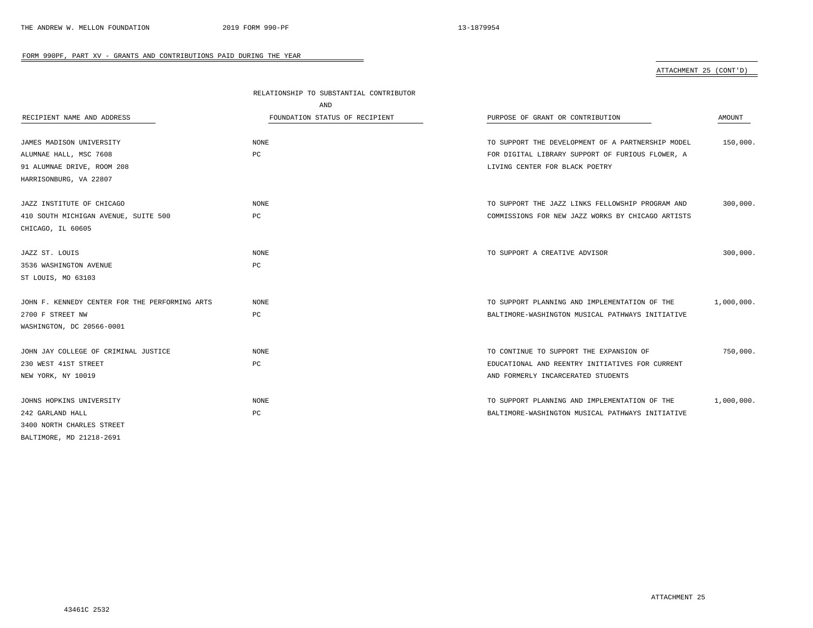# ATTACHMENT 25 (CONT'D)

|                                                | RELATIONSHIP TO SUBSTANTIAL CONTRIBUTOR |                                                   |            |
|------------------------------------------------|-----------------------------------------|---------------------------------------------------|------------|
|                                                | AND                                     |                                                   |            |
| RECIPIENT NAME AND ADDRESS                     | FOUNDATION STATUS OF RECIPIENT          | PURPOSE OF GRANT OR CONTRIBUTION                  | AMOUNT     |
|                                                |                                         |                                                   |            |
| JAMES MADISON UNIVERSITY                       | <b>NONE</b>                             | TO SUPPORT THE DEVELOPMENT OF A PARTNERSHIP MODEL | 150,000.   |
| ALUMNAE HALL, MSC 7608                         | PC                                      | FOR DIGITAL LIBRARY SUPPORT OF FURIOUS FLOWER, A  |            |
| 91 ALUMNAE DRIVE, ROOM 208                     |                                         | LIVING CENTER FOR BLACK POETRY                    |            |
| HARRISONBURG, VA 22807                         |                                         |                                                   |            |
| JAZZ INSTITUTE OF CHICAGO                      | <b>NONE</b>                             | TO SUPPORT THE JAZZ LINKS FELLOWSHIP PROGRAM AND  | 300,000.   |
| 410 SOUTH MICHIGAN AVENUE, SUITE 500           | PC                                      | COMMISSIONS FOR NEW JAZZ WORKS BY CHICAGO ARTISTS |            |
| CHICAGO, IL 60605                              |                                         |                                                   |            |
|                                                |                                         |                                                   |            |
| JAZZ ST. LOUIS                                 | <b>NONE</b>                             | TO SUPPORT A CREATIVE ADVISOR                     | 300,000.   |
| 3536 WASHINGTON AVENUE                         | PC                                      |                                                   |            |
| ST LOUIS, MO 63103                             |                                         |                                                   |            |
| JOHN F. KENNEDY CENTER FOR THE PERFORMING ARTS | <b>NONE</b>                             | TO SUPPORT PLANNING AND IMPLEMENTATION OF THE     | 1,000,000. |
| 2700 F STREET NW                               | PC                                      | BALTIMORE-WASHINGTON MUSICAL PATHWAYS INITIATIVE  |            |
| WASHINGTON, DC 20566-0001                      |                                         |                                                   |            |
|                                                |                                         |                                                   |            |
| JOHN JAY COLLEGE OF CRIMINAL JUSTICE           | <b>NONE</b>                             | TO CONTINUE TO SUPPORT THE EXPANSION OF           | 750,000.   |
| 230 WEST 41ST STREET                           | $_{\rm PC}$                             | EDUCATIONAL AND REENTRY INITIATIVES FOR CURRENT   |            |
| NEW YORK, NY 10019                             |                                         | AND FORMERLY INCARCERATED STUDENTS                |            |
|                                                |                                         |                                                   |            |
| JOHNS HOPKINS UNIVERSITY                       | <b>NONE</b>                             | TO SUPPORT PLANNING AND IMPLEMENTATION OF THE     | 1,000,000. |
| 242 GARLAND HALL                               | PC                                      | BALTIMORE-WASHINGTON MUSICAL PATHWAYS INITIATIVE  |            |
| 3400 NORTH CHARLES STREET                      |                                         |                                                   |            |
| BALTIMORE, MD 21218-2691                       |                                         |                                                   |            |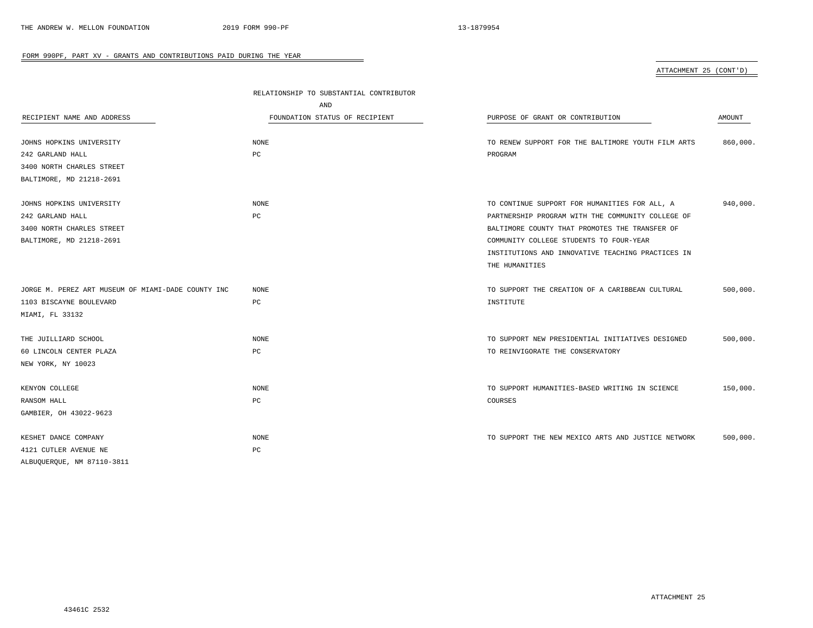ATTACHMENT 25 (CONT'D)

|                                                    | RELATIONSHIP TO SUBSTANTIAL CONTRIBUTOR |                                                    |          |  |
|----------------------------------------------------|-----------------------------------------|----------------------------------------------------|----------|--|
|                                                    | AND                                     |                                                    |          |  |
| RECIPIENT NAME AND ADDRESS                         | FOUNDATION STATUS OF RECIPIENT          | PURPOSE OF GRANT OR CONTRIBUTION                   | AMOUNT   |  |
|                                                    |                                         |                                                    |          |  |
| JOHNS HOPKINS UNIVERSITY                           | <b>NONE</b>                             | TO RENEW SUPPORT FOR THE BALTIMORE YOUTH FILM ARTS | 860,000. |  |
| 242 GARLAND HALL                                   | PC                                      | PROGRAM                                            |          |  |
| 3400 NORTH CHARLES STREET                          |                                         |                                                    |          |  |
| BALTIMORE, MD 21218-2691                           |                                         |                                                    |          |  |
| JOHNS HOPKINS UNIVERSITY                           | <b>NONE</b>                             | TO CONTINUE SUPPORT FOR HUMANITIES FOR ALL, A      | 940,000. |  |
| 242 GARLAND HALL                                   | PC                                      | PARTNERSHIP PROGRAM WITH THE COMMUNITY COLLEGE OF  |          |  |
| 3400 NORTH CHARLES STREET                          |                                         | BALTIMORE COUNTY THAT PROMOTES THE TRANSFER OF     |          |  |
| BALTIMORE, MD 21218-2691                           |                                         | COMMUNITY COLLEGE STUDENTS TO FOUR-YEAR            |          |  |
|                                                    |                                         | INSTITUTIONS AND INNOVATIVE TEACHING PRACTICES IN  |          |  |
|                                                    |                                         | THE HUMANITIES                                     |          |  |
|                                                    |                                         |                                                    |          |  |
| JORGE M. PEREZ ART MUSEUM OF MIAMI-DADE COUNTY INC | <b>NONE</b>                             | TO SUPPORT THE CREATION OF A CARIBBEAN CULTURAL    | 500.000. |  |
| 1103 BISCAYNE BOULEVARD                            | PC                                      | INSTITUTE                                          |          |  |
| MIAMI, FL 33132                                    |                                         |                                                    |          |  |
|                                                    |                                         |                                                    |          |  |
| THE JUILLIARD SCHOOL                               | <b>NONE</b>                             | TO SUPPORT NEW PRESIDENTIAL INITIATIVES DESIGNED   | 500,000. |  |
| 60 LINCOLN CENTER PLAZA                            | PC                                      | TO REINVIGORATE THE CONSERVATORY                   |          |  |
| NEW YORK, NY 10023                                 |                                         |                                                    |          |  |
|                                                    |                                         |                                                    |          |  |
| KENYON COLLEGE                                     | <b>NONE</b>                             | TO SUPPORT HUMANITIES-BASED WRITING IN SCIENCE     | 150,000. |  |
| RANSOM HALL                                        | PC                                      | COURSES                                            |          |  |
| GAMBIER, OH 43022-9623                             |                                         |                                                    |          |  |
|                                                    |                                         |                                                    |          |  |
| KESHET DANCE COMPANY                               | <b>NONE</b>                             | TO SUPPORT THE NEW MEXICO ARTS AND JUSTICE NETWORK | 500,000. |  |
| 4121 CUTLER AVENUE NE                              | PC                                      |                                                    |          |  |
| ALBUQUERQUE, NM 87110-3811                         |                                         |                                                    |          |  |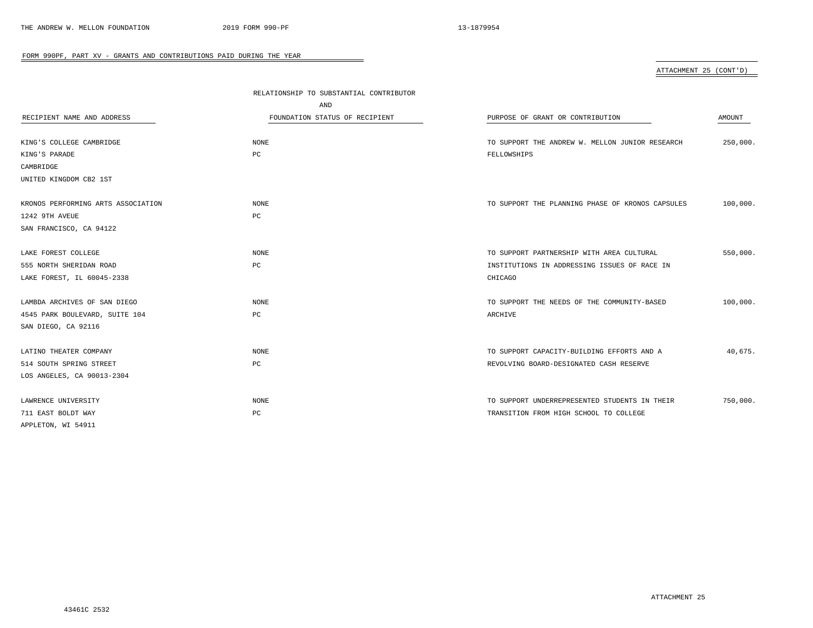| ATTACHMENT 25 (CONT'D) |  |
|------------------------|--|
|                        |  |

|                                    | RELATIONSHIP TO SUBSTANTIAL CONTRIBUTOR |                                                  |          |
|------------------------------------|-----------------------------------------|--------------------------------------------------|----------|
|                                    | AND                                     |                                                  |          |
| RECIPIENT NAME AND ADDRESS         | FOUNDATION STATUS OF RECIPIENT          | PURPOSE OF GRANT OR CONTRIBUTION                 | AMOUNT   |
|                                    |                                         |                                                  |          |
| KING'S COLLEGE CAMBRIDGE           | <b>NONE</b>                             | TO SUPPORT THE ANDREW W. MELLON JUNIOR RESEARCH  | 250,000. |
| KING'S PARADE                      | PC                                      | FELLOWSHIPS                                      |          |
| CAMBRIDGE                          |                                         |                                                  |          |
| UNITED KINGDOM CB2 1ST             |                                         |                                                  |          |
| KRONOS PERFORMING ARTS ASSOCIATION | <b>NONE</b>                             | TO SUPPORT THE PLANNING PHASE OF KRONOS CAPSULES | 100,000. |
| 1242 9TH AVEUE                     | PC                                      |                                                  |          |
| SAN FRANCISCO, CA 94122            |                                         |                                                  |          |
|                                    |                                         |                                                  |          |
| LAKE FOREST COLLEGE                | <b>NONE</b>                             | TO SUPPORT PARTNERSHIP WITH AREA CULTURAL        | 550,000. |
| 555 NORTH SHERIDAN ROAD            | PC                                      | INSTITUTIONS IN ADDRESSING ISSUES OF RACE IN     |          |
| LAKE FOREST, IL 60045-2338         |                                         | CHICAGO                                          |          |
|                                    |                                         |                                                  |          |
| LAMBDA ARCHIVES OF SAN DIEGO       | <b>NONE</b>                             | TO SUPPORT THE NEEDS OF THE COMMUNITY-BASED      | 100,000. |
| 4545 PARK BOULEVARD, SUITE 104     | PC                                      | ARCHIVE                                          |          |
| SAN DIEGO, CA 92116                |                                         |                                                  |          |
| LATINO THEATER COMPANY             | <b>NONE</b>                             | TO SUPPORT CAPACITY-BUILDING EFFORTS AND A       | 40,675.  |
| 514 SOUTH SPRING STREET            | PC                                      | REVOLVING BOARD-DESIGNATED CASH RESERVE          |          |
| LOS ANGELES, CA 90013-2304         |                                         |                                                  |          |
| LAWRENCE UNIVERSITY                | <b>NONE</b>                             | TO SUPPORT UNDERREPRESENTED STUDENTS IN THEIR    | 750,000. |
| 711 EAST BOLDT WAY                 | PC                                      | TRANSITION FROM HIGH SCHOOL TO COLLEGE           |          |
| APPLETON, WI 54911                 |                                         |                                                  |          |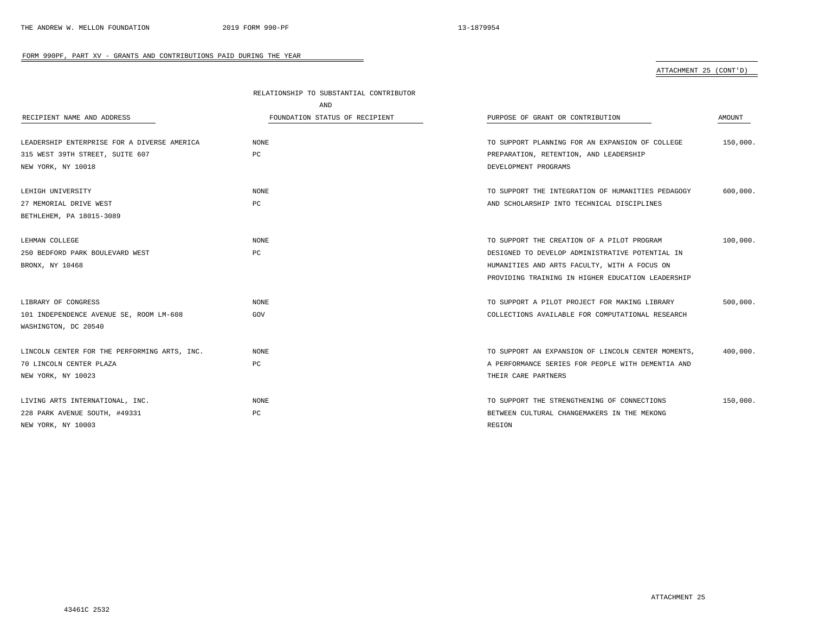# ATTACHMENT 25 (CONT'D)

|                                              | RELATIONSHIP TO SUBSTANTIAL CONTRIBUTOR |                                                    |          |
|----------------------------------------------|-----------------------------------------|----------------------------------------------------|----------|
|                                              | AND                                     |                                                    |          |
| RECIPIENT NAME AND ADDRESS                   | FOUNDATION STATUS OF RECIPIENT          | PURPOSE OF GRANT OR CONTRIBUTION                   | AMOUNT   |
| LEADERSHIP ENTERPRISE FOR A DIVERSE AMERICA  | <b>NONE</b>                             | TO SUPPORT PLANNING FOR AN EXPANSION OF COLLEGE    | 150,000. |
| 315 WEST 39TH STREET, SUITE 607              | PC                                      | PREPARATION, RETENTION, AND LEADERSHIP             |          |
| NEW YORK, NY 10018                           |                                         | DEVELOPMENT PROGRAMS                               |          |
| LEHIGH UNIVERSITY                            | <b>NONE</b>                             | TO SUPPORT THE INTEGRATION OF HUMANITIES PEDAGOGY  | 600,000. |
| 27 MEMORIAL DRIVE WEST                       | PC                                      | AND SCHOLARSHIP INTO TECHNICAL DISCIPLINES         |          |
| BETHLEHEM, PA 18015-3089                     |                                         |                                                    |          |
| LEHMAN COLLEGE                               | <b>NONE</b>                             | TO SUPPORT THE CREATION OF A PILOT PROGRAM         | 100,000. |
| 250 BEDFORD PARK BOULEVARD WEST              | PC                                      | DESIGNED TO DEVELOP ADMINISTRATIVE POTENTIAL IN    |          |
| BRONX, NY 10468                              |                                         | HUMANITIES AND ARTS FACULTY, WITH A FOCUS ON       |          |
|                                              |                                         | PROVIDING TRAINING IN HIGHER EDUCATION LEADERSHIP  |          |
| LIBRARY OF CONGRESS                          | <b>NONE</b>                             | TO SUPPORT A PILOT PROJECT FOR MAKING LIBRARY      | 500,000. |
| 101 INDEPENDENCE AVENUE SE, ROOM LM-608      | GOV                                     | COLLECTIONS AVAILABLE FOR COMPUTATIONAL RESEARCH   |          |
| WASHINGTON, DC 20540                         |                                         |                                                    |          |
| LINCOLN CENTER FOR THE PERFORMING ARTS, INC. | <b>NONE</b>                             | TO SUPPORT AN EXPANSION OF LINCOLN CENTER MOMENTS, | 400,000. |
| 70 LINCOLN CENTER PLAZA                      | PC                                      | A PERFORMANCE SERIES FOR PEOPLE WITH DEMENTIA AND  |          |
| NEW YORK, NY 10023                           |                                         | THEIR CARE PARTNERS                                |          |
| LIVING ARTS INTERNATIONAL, INC.              | <b>NONE</b>                             | TO SUPPORT THE STRENGTHENING OF CONNECTIONS        | 150,000. |
| 228 PARK AVENUE SOUTH, #49331                | PC                                      | BETWEEN CULTURAL CHANGEMAKERS IN THE MEKONG        |          |
| NEW YORK, NY 10003                           |                                         | REGION                                             |          |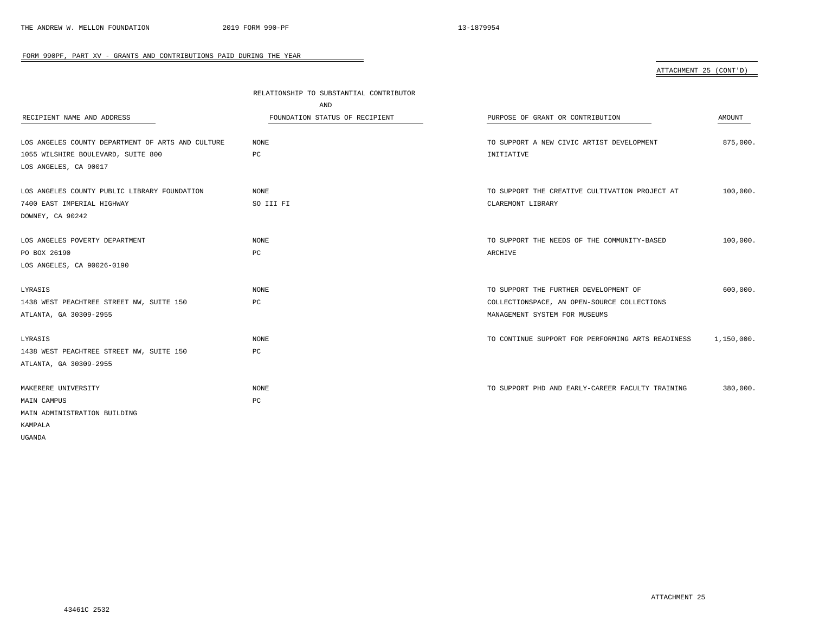# ATTACHMENT 25 (CONT'D)

|                                                   | RELATIONSHIP TO SUBSTANTIAL CONTRIBUTOR |                                                   |            |
|---------------------------------------------------|-----------------------------------------|---------------------------------------------------|------------|
|                                                   | AND                                     |                                                   |            |
| RECIPIENT NAME AND ADDRESS                        | FOUNDATION STATUS OF RECIPIENT          | PURPOSE OF GRANT OR CONTRIBUTION                  | AMOUNT     |
|                                                   |                                         |                                                   |            |
| LOS ANGELES COUNTY DEPARTMENT OF ARTS AND CULTURE | NONE                                    | TO SUPPORT A NEW CIVIC ARTIST DEVELOPMENT         | 875,000.   |
| 1055 WILSHIRE BOULEVARD, SUITE 800                | PC                                      | INITIATIVE                                        |            |
| LOS ANGELES, CA 90017                             |                                         |                                                   |            |
| LOS ANGELES COUNTY PUBLIC LIBRARY FOUNDATION      | NONE                                    | TO SUPPORT THE CREATIVE CULTIVATION PROJECT AT    | 100,000.   |
| 7400 EAST IMPERIAL HIGHWAY                        | SO III FI                               | CLAREMONT LIBRARY                                 |            |
| DOWNEY, CA 90242                                  |                                         |                                                   |            |
|                                                   |                                         |                                                   |            |
| LOS ANGELES POVERTY DEPARTMENT                    | NONE                                    | TO SUPPORT THE NEEDS OF THE COMMUNITY-BASED       | 100,000.   |
| PO BOX 26190                                      | PC                                      | ARCHIVE                                           |            |
| LOS ANGELES, CA 90026-0190                        |                                         |                                                   |            |
| LYRASIS                                           | NONE                                    | TO SUPPORT THE FURTHER DEVELOPMENT OF             | 600,000.   |
| 1438 WEST PEACHTREE STREET NW, SUITE 150          | РC                                      | COLLECTIONSPACE, AN OPEN-SOURCE COLLECTIONS       |            |
| ATLANTA, GA 30309-2955                            |                                         | MANAGEMENT SYSTEM FOR MUSEUMS                     |            |
|                                                   |                                         |                                                   |            |
| LYRASIS                                           | NONE                                    | TO CONTINUE SUPPORT FOR PERFORMING ARTS READINESS | 1,150,000. |
| 1438 WEST PEACHTREE STREET NW, SUITE 150          | РC                                      |                                                   |            |
| ATLANTA, GA 30309-2955                            |                                         |                                                   |            |
| MAKERERE UNIVERSITY                               | NONE                                    | TO SUPPORT PHD AND EARLY-CAREER FACULTY TRAINING  | 380,000.   |
| MAIN CAMPUS                                       | PC                                      |                                                   |            |
| MAIN ADMINISTRATION BUILDING                      |                                         |                                                   |            |
| KAMPALA                                           |                                         |                                                   |            |
| UGANDA                                            |                                         |                                                   |            |
|                                                   |                                         |                                                   |            |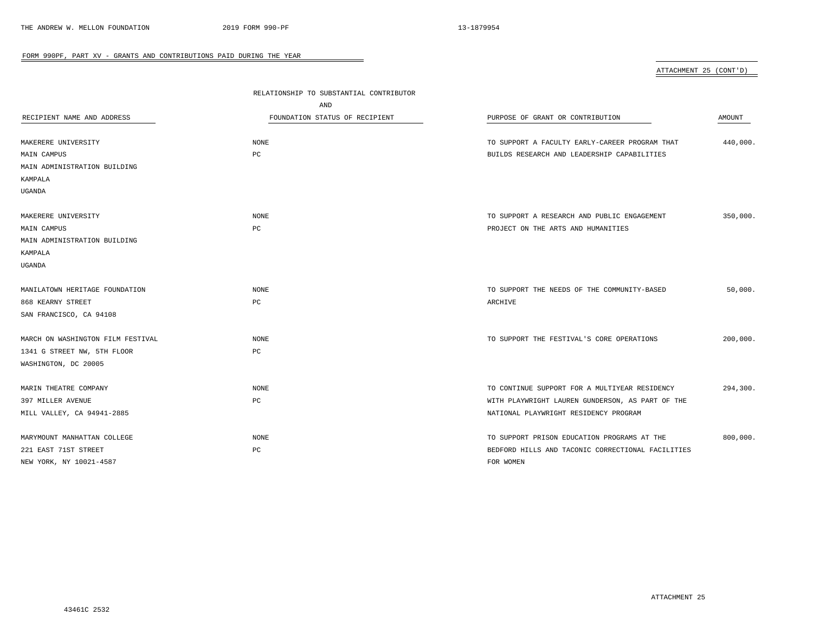ATTACHMENT 25 (CONT'D)

|                                   | RELATIONSHIP TO SUBSTANTIAL CONTRIBUTOR |                                                   |          |
|-----------------------------------|-----------------------------------------|---------------------------------------------------|----------|
|                                   | AND                                     |                                                   |          |
| RECIPIENT NAME AND ADDRESS        | FOUNDATION STATUS OF RECIPIENT          | PURPOSE OF GRANT OR CONTRIBUTION                  | AMOUNT   |
|                                   |                                         |                                                   |          |
| MAKERERE UNIVERSITY               | <b>NONE</b>                             | TO SUPPORT A FACULTY EARLY-CAREER PROGRAM THAT    | 440,000. |
| MAIN CAMPUS                       | PC                                      | BUILDS RESEARCH AND LEADERSHIP CAPABILITIES       |          |
| MAIN ADMINISTRATION BUILDING      |                                         |                                                   |          |
| KAMPALA                           |                                         |                                                   |          |
| UGANDA                            |                                         |                                                   |          |
| MAKERERE UNIVERSITY               | <b>NONE</b>                             | TO SUPPORT A RESEARCH AND PUBLIC ENGAGEMENT       | 350,000. |
| MAIN CAMPUS                       | PC                                      | PROJECT ON THE ARTS AND HUMANITIES                |          |
| MAIN ADMINISTRATION BUILDING      |                                         |                                                   |          |
| KAMPALA                           |                                         |                                                   |          |
| UGANDA                            |                                         |                                                   |          |
|                                   |                                         |                                                   |          |
| MANILATOWN HERITAGE FOUNDATION    | <b>NONE</b>                             | TO SUPPORT THE NEEDS OF THE COMMUNITY-BASED       | 50,000.  |
| 868 KEARNY STREET                 | PC                                      | ARCHIVE                                           |          |
| SAN FRANCISCO, CA 94108           |                                         |                                                   |          |
|                                   |                                         |                                                   |          |
| MARCH ON WASHINGTON FILM FESTIVAL | <b>NONE</b>                             | TO SUPPORT THE FESTIVAL'S CORE OPERATIONS         | 200,000. |
| 1341 G STREET NW, 5TH FLOOR       | $_{\rm PC}$                             |                                                   |          |
| WASHINGTON, DC 20005              |                                         |                                                   |          |
| MARIN THEATRE COMPANY             | <b>NONE</b>                             | TO CONTINUE SUPPORT FOR A MULTIYEAR RESIDENCY     | 294,300. |
| 397 MILLER AVENUE                 | PC                                      | WITH PLAYWRIGHT LAUREN GUNDERSON, AS PART OF THE  |          |
| MILL VALLEY, CA 94941-2885        |                                         | NATIONAL PLAYWRIGHT RESIDENCY PROGRAM             |          |
|                                   |                                         |                                                   |          |
| MARYMOUNT MANHATTAN COLLEGE       | <b>NONE</b>                             | TO SUPPORT PRISON EDUCATION PROGRAMS AT THE       | 800,000. |
| 221 EAST 71ST STREET              | PC                                      | BEDFORD HILLS AND TACONIC CORRECTIONAL FACILITIES |          |
| NEW YORK, NY 10021-4587           |                                         | FOR WOMEN                                         |          |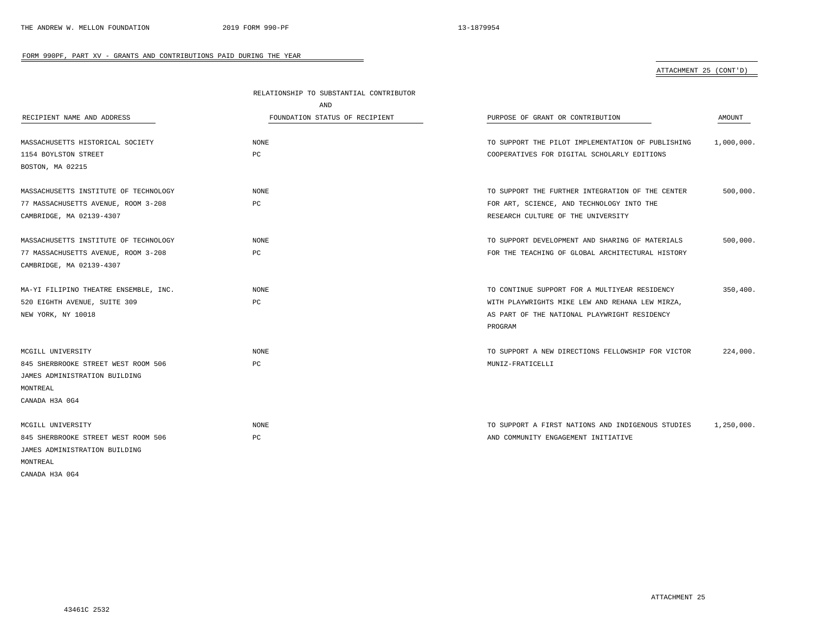# ATTACHMENT 25 (CONT'D)

|                                       | RELATIONSHIP TO SUBSTANTIAL CONTRIBUTOR |                                                   |            |
|---------------------------------------|-----------------------------------------|---------------------------------------------------|------------|
|                                       | AND                                     |                                                   |            |
| RECIPIENT NAME AND ADDRESS            | FOUNDATION STATUS OF RECIPIENT          | PURPOSE OF GRANT OR CONTRIBUTION                  | AMOUNT     |
|                                       |                                         |                                                   |            |
| MASSACHUSETTS HISTORICAL SOCIETY      | NONE                                    | TO SUPPORT THE PILOT IMPLEMENTATION OF PUBLISHING | 1,000,000. |
| 1154 BOYLSTON STREET                  | PС                                      | COOPERATIVES FOR DIGITAL SCHOLARLY EDITIONS       |            |
| BOSTON, MA 02215                      |                                         |                                                   |            |
| MASSACHUSETTS INSTITUTE OF TECHNOLOGY | <b>NONE</b>                             | TO SUPPORT THE FURTHER INTEGRATION OF THE CENTER  | 500,000.   |
| 77 MASSACHUSETTS AVENUE, ROOM 3-208   | РC                                      | FOR ART, SCIENCE, AND TECHNOLOGY INTO THE         |            |
| CAMBRIDGE, MA 02139-4307              |                                         | RESEARCH CULTURE OF THE UNIVERSITY                |            |
| MASSACHUSETTS INSTITUTE OF TECHNOLOGY | <b>NONE</b>                             | TO SUPPORT DEVELOPMENT AND SHARING OF MATERIALS   | 500,000.   |
| 77 MASSACHUSETTS AVENUE, ROOM 3-208   | РC                                      | FOR THE TEACHING OF GLOBAL ARCHITECTURAL HISTORY  |            |
| CAMBRIDGE, MA 02139-4307              |                                         |                                                   |            |
| MA-YI FILIPINO THEATRE ENSEMBLE, INC. | NONE                                    | TO CONTINUE SUPPORT FOR A MULTIYEAR RESIDENCY     | 350.400.   |
| 520 EIGHTH AVENUE, SUITE 309          | PC                                      | WITH PLAYWRIGHTS MIKE LEW AND REHANA LEW MIRZA,   |            |
| NEW YORK, NY 10018                    |                                         | AS PART OF THE NATIONAL PLAYWRIGHT RESIDENCY      |            |
|                                       |                                         | PROGRAM                                           |            |
| MCGILL UNIVERSITY                     | NONE                                    | TO SUPPORT A NEW DIRECTIONS FELLOWSHIP FOR VICTOR | 224,000.   |
| 845 SHERBROOKE STREET WEST ROOM 506   | PC                                      | MUNIZ-FRATICELLI                                  |            |
| JAMES ADMINISTRATION BUILDING         |                                         |                                                   |            |
| MONTREAL                              |                                         |                                                   |            |
| CANADA H3A 0G4                        |                                         |                                                   |            |
| MCGILL UNIVERSITY                     | NONE                                    | TO SUPPORT A FIRST NATIONS AND INDIGENOUS STUDIES | 1,250,000. |
| 845 SHERBROOKE STREET WEST ROOM 506   | PC                                      | AND COMMUNITY ENGAGEMENT INITIATIVE               |            |
| JAMES ADMINISTRATION BUILDING         |                                         |                                                   |            |
| MONTREAL                              |                                         |                                                   |            |
| CANADA H3A 0G4                        |                                         |                                                   |            |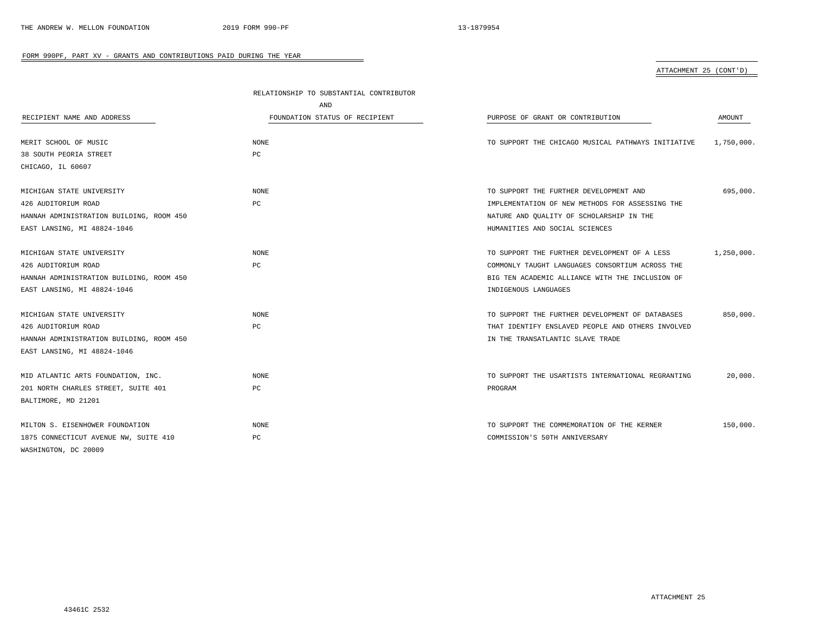# ATTACHMENT 25 (CONT'D)

|                                          | RELATIONSHIP TO SUBSTANTIAL CONTRIBUTOR |                                                    |            |
|------------------------------------------|-----------------------------------------|----------------------------------------------------|------------|
|                                          | AND                                     |                                                    |            |
| RECIPIENT NAME AND ADDRESS               | FOUNDATION STATUS OF RECIPIENT          | PURPOSE OF GRANT OR CONTRIBUTION                   | AMOUNT     |
| MERIT SCHOOL OF MUSIC                    | NONE                                    | TO SUPPORT THE CHICAGO MUSICAL PATHWAYS INITIATIVE | 1,750,000. |
| 38 SOUTH PEORIA STREET                   | PC                                      |                                                    |            |
| CHICAGO, IL 60607                        |                                         |                                                    |            |
| MICHIGAN STATE UNIVERSITY                | NONE                                    | TO SUPPORT THE FURTHER DEVELOPMENT AND             | 695,000.   |
| 426 AUDITORIUM ROAD                      | PC                                      | IMPLEMENTATION OF NEW METHODS FOR ASSESSING THE    |            |
| HANNAH ADMINISTRATION BUILDING, ROOM 450 |                                         | NATURE AND QUALITY OF SCHOLARSHIP IN THE           |            |
| EAST LANSING, MI 48824-1046              |                                         | HUMANITIES AND SOCIAL SCIENCES                     |            |
| MICHIGAN STATE UNIVERSITY                | <b>NONE</b>                             | TO SUPPORT THE FURTHER DEVELOPMENT OF A LESS       | 1,250,000. |
| 426 AUDITORIUM ROAD                      | PC                                      | COMMONLY TAUGHT LANGUAGES CONSORTIUM ACROSS THE    |            |
| HANNAH ADMINISTRATION BUILDING, ROOM 450 |                                         | BIG TEN ACADEMIC ALLIANCE WITH THE INCLUSION OF    |            |
| EAST LANSING, MI 48824-1046              |                                         | INDIGENOUS LANGUAGES                               |            |
| MICHIGAN STATE UNIVERSITY                | <b>NONE</b>                             | TO SUPPORT THE FURTHER DEVELOPMENT OF DATABASES    | 850,000.   |
| 426 AUDITORIUM ROAD                      | PC                                      | THAT IDENTIFY ENSLAVED PEOPLE AND OTHERS INVOLVED  |            |
| HANNAH ADMINISTRATION BUILDING, ROOM 450 |                                         | IN THE TRANSATLANTIC SLAVE TRADE                   |            |
| EAST LANSING, MI 48824-1046              |                                         |                                                    |            |
| MID ATLANTIC ARTS FOUNDATION, INC.       | <b>NONE</b>                             | TO SUPPORT THE USARTISTS INTERNATIONAL REGRANTING  | 20,000.    |
| 201 NORTH CHARLES STREET, SUITE 401      | PC                                      | PROGRAM                                            |            |
| BALTIMORE, MD 21201                      |                                         |                                                    |            |
| MILTON S. EISENHOWER FOUNDATION          | <b>NONE</b>                             | TO SUPPORT THE COMMEMORATION OF THE KERNER         | 150,000.   |
| 1875 CONNECTICUT AVENUE NW, SUITE 410    | РC                                      | COMMISSION'S 50TH ANNIVERSARY                      |            |
| WASHINGTON, DC 20009                     |                                         |                                                    |            |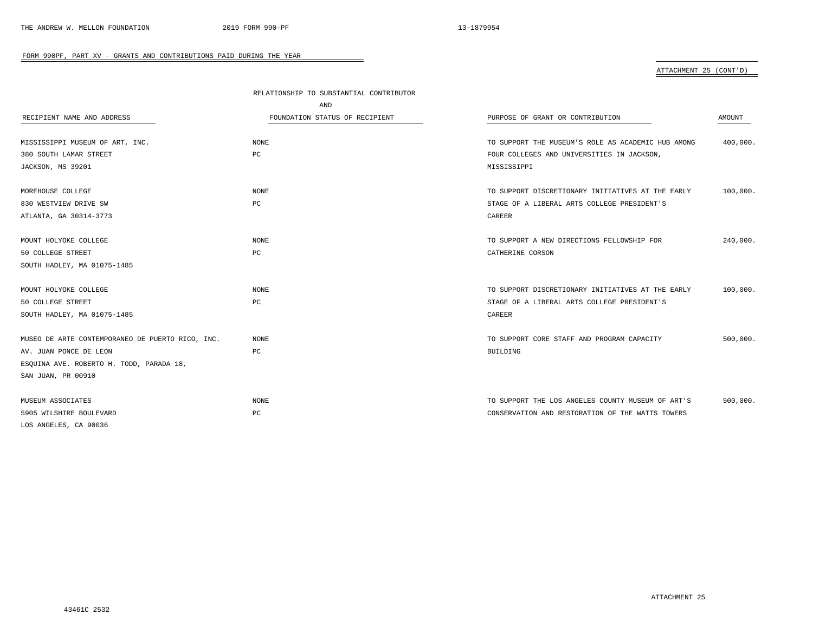### ATTACHMENT 25 (CONT'D)

|                                                  | RELATIONSHIP TO SUBSTANTIAL CONTRIBUTOR |                                                    |          |
|--------------------------------------------------|-----------------------------------------|----------------------------------------------------|----------|
|                                                  | AND                                     |                                                    |          |
| RECIPIENT NAME AND ADDRESS                       | FOUNDATION STATUS OF RECIPIENT          | PURPOSE OF GRANT OR CONTRIBUTION                   | AMOUNT   |
|                                                  |                                         |                                                    |          |
| MISSISSIPPI MUSEUM OF ART, INC.                  | NONE                                    | TO SUPPORT THE MUSEUM'S ROLE AS ACADEMIC HUB AMONG | 400,000. |
| 380 SOUTH LAMAR STREET                           | PC                                      | FOUR COLLEGES AND UNIVERSITIES IN JACKSON,         |          |
| JACKSON, MS 39201                                |                                         | MISSISSIPPI                                        |          |
|                                                  |                                         |                                                    |          |
| MOREHOUSE COLLEGE                                | <b>NONE</b>                             | TO SUPPORT DISCRETIONARY INITIATIVES AT THE EARLY  | 100,000. |
| 830 WESTVIEW DRIVE SW                            | PC                                      | STAGE OF A LIBERAL ARTS COLLEGE PRESIDENT'S        |          |
| ATLANTA, GA 30314-3773                           |                                         | CAREER                                             |          |
|                                                  |                                         |                                                    |          |
| MOUNT HOLYOKE COLLEGE                            | <b>NONE</b>                             | TO SUPPORT A NEW DIRECTIONS FELLOWSHIP FOR         | 240,000. |
| 50 COLLEGE STREET                                | PC                                      | CATHERINE CORSON                                   |          |
| SOUTH HADLEY, MA 01075-1485                      |                                         |                                                    |          |
|                                                  |                                         |                                                    |          |
| MOUNT HOLYOKE COLLEGE                            | <b>NONE</b>                             | TO SUPPORT DISCRETIONARY INITIATIVES AT THE EARLY  | 100,000. |
| 50 COLLEGE STREET                                | PC                                      | STAGE OF A LIBERAL ARTS COLLEGE PRESIDENT'S        |          |
| SOUTH HADLEY, MA 01075-1485                      |                                         | CAREER                                             |          |
|                                                  |                                         |                                                    |          |
| MUSEO DE ARTE CONTEMPORANEO DE PUERTO RICO, INC. | <b>NONE</b>                             | TO SUPPORT CORE STAFF AND PROGRAM CAPACITY         | 500,000. |
| AV. JUAN PONCE DE LEON                           | PC                                      | <b>BUILDING</b>                                    |          |
| ESQUINA AVE. ROBERTO H. TODD, PARADA 18,         |                                         |                                                    |          |
| SAN JUAN, PR 00910                               |                                         |                                                    |          |
|                                                  |                                         |                                                    |          |
| MUSEUM ASSOCIATES                                | NONE                                    | TO SUPPORT THE LOS ANGELES COUNTY MUSEUM OF ART'S  | 500,000. |
| 5905 WILSHIRE BOULEVARD                          | PC                                      | CONSERVATION AND RESTORATION OF THE WATTS TOWERS   |          |
| LOS ANGELES, CA 90036                            |                                         |                                                    |          |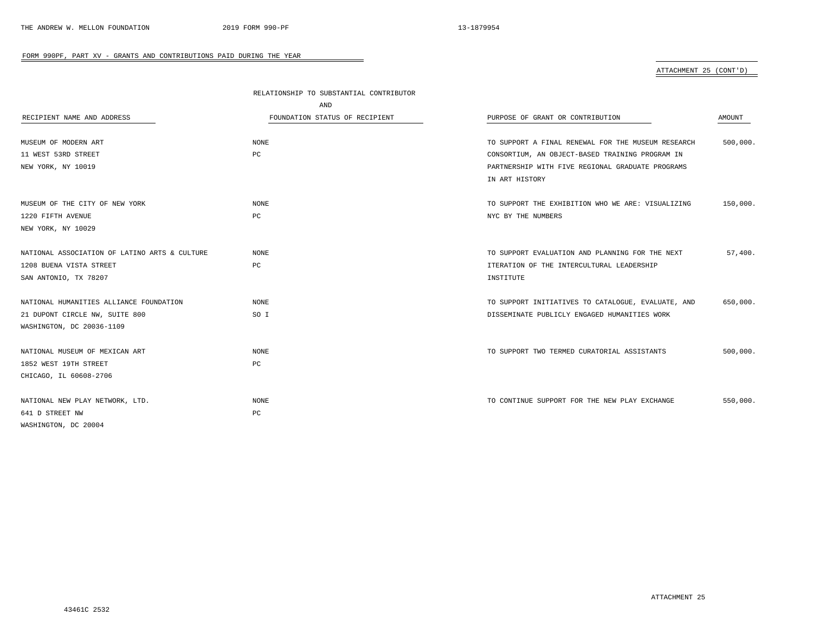# ATTACHMENT 25 (CONT'D)

|                                               | RELATIONSHIP TO SUBSTANTIAL CONTRIBUTOR |                                                    |          |
|-----------------------------------------------|-----------------------------------------|----------------------------------------------------|----------|
|                                               | AND                                     |                                                    |          |
| RECIPIENT NAME AND ADDRESS                    | FOUNDATION STATUS OF RECIPIENT          | PURPOSE OF GRANT OR CONTRIBUTION                   | AMOUNT   |
|                                               |                                         |                                                    |          |
| MUSEUM OF MODERN ART                          | <b>NONE</b>                             | TO SUPPORT A FINAL RENEWAL FOR THE MUSEUM RESEARCH | 500,000. |
| 11 WEST 53RD STREET                           | PC                                      | CONSORTIUM, AN OBJECT-BASED TRAINING PROGRAM IN    |          |
| NEW YORK, NY 10019                            |                                         | PARTNERSHIP WITH FIVE REGIONAL GRADUATE PROGRAMS   |          |
|                                               |                                         | IN ART HISTORY                                     |          |
| MUSEUM OF THE CITY OF NEW YORK                | <b>NONE</b>                             | TO SUPPORT THE EXHIBITION WHO WE ARE: VISUALIZING  | 150,000. |
| 1220 FIFTH AVENUE                             | PC                                      | NYC BY THE NUMBERS                                 |          |
| NEW YORK, NY 10029                            |                                         |                                                    |          |
| NATIONAL ASSOCIATION OF LATINO ARTS & CULTURE | <b>NONE</b>                             | TO SUPPORT EVALUATION AND PLANNING FOR THE NEXT    | 57.400.  |
| 1208 BUENA VISTA STREET                       | PC                                      | ITERATION OF THE INTERCULTURAL LEADERSHIP          |          |
| SAN ANTONIO, TX 78207                         |                                         | INSTITUTE                                          |          |
| NATIONAL HUMANITIES ALLIANCE FOUNDATION       | <b>NONE</b>                             | TO SUPPORT INITIATIVES TO CATALOGUE, EVALUATE, AND | 650,000. |
| 21 DUPONT CIRCLE NW, SUITE 800                | SO I                                    | DISSEMINATE PUBLICLY ENGAGED HUMANITIES WORK       |          |
| WASHINGTON, DC 20036-1109                     |                                         |                                                    |          |
| NATIONAL MUSEUM OF MEXICAN ART                | <b>NONE</b>                             | TO SUPPORT TWO TERMED CURATORIAL ASSISTANTS        | 500,000. |
| 1852 WEST 19TH STREET                         | PC                                      |                                                    |          |
| CHICAGO, IL 60608-2706                        |                                         |                                                    |          |
|                                               |                                         |                                                    |          |
| NATIONAL NEW PLAY NETWORK, LTD.               | NONE                                    | TO CONTINUE SUPPORT FOR THE NEW PLAY EXCHANGE      | 550,000. |
| 641 D STREET NW                               | PC                                      |                                                    |          |
| WASHINGTON, DC 20004                          |                                         |                                                    |          |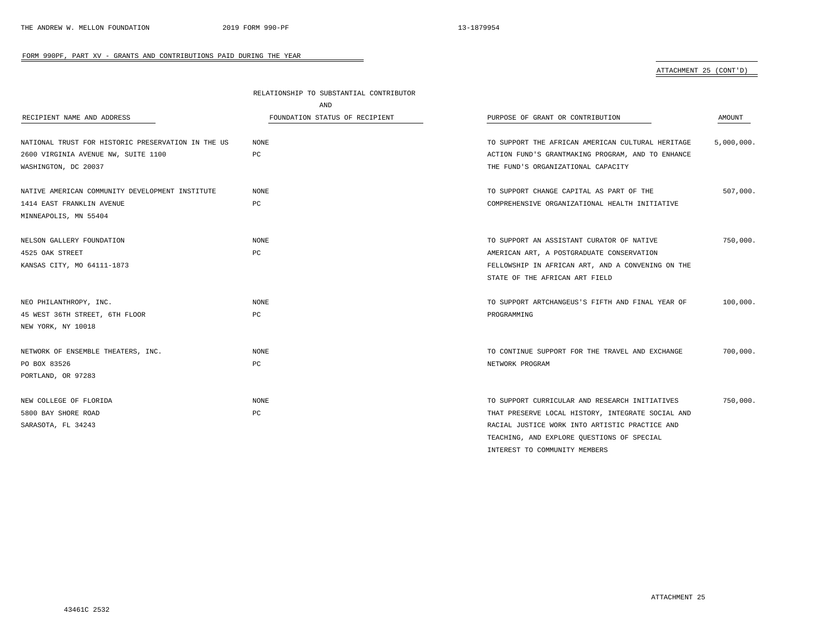# ATTACHMENT 25 (CONT'D)

|                                                    | RELATIONSHIP TO SUBSTANTIAL CONTRIBUTOR |                                                   |            |
|----------------------------------------------------|-----------------------------------------|---------------------------------------------------|------------|
|                                                    | AND                                     |                                                   |            |
| RECIPIENT NAME AND ADDRESS                         | FOUNDATION STATUS OF RECIPIENT          | PURPOSE OF GRANT OR CONTRIBUTION                  | AMOUNT     |
| NATIONAL TRUST FOR HISTORIC PRESERVATION IN THE US | NONE                                    | TO SUPPORT THE AFRICAN AMERICAN CULTURAL HERITAGE | 5,000,000. |
| 2600 VIRGINIA AVENUE NW, SUITE 1100                | PC                                      | ACTION FUND'S GRANTMAKING PROGRAM, AND TO ENHANCE |            |
| WASHINGTON, DC 20037                               |                                         | THE FUND'S ORGANIZATIONAL CAPACITY                |            |
| NATIVE AMERICAN COMMUNITY DEVELOPMENT INSTITUTE    | NONE                                    | TO SUPPORT CHANGE CAPITAL AS PART OF THE          | 507,000.   |
| 1414 EAST FRANKLIN AVENUE                          | PC                                      | COMPREHENSIVE ORGANIZATIONAL HEALTH INITIATIVE    |            |
| MINNEAPOLIS, MN 55404                              |                                         |                                                   |            |
| NELSON GALLERY FOUNDATION                          | NONE                                    | TO SUPPORT AN ASSISTANT CURATOR OF NATIVE         | 750,000.   |
| 4525 OAK STREET                                    | PC                                      | AMERICAN ART, A POSTGRADUATE CONSERVATION         |            |
| KANSAS CITY, MO 64111-1873                         |                                         | FELLOWSHIP IN AFRICAN ART, AND A CONVENING ON THE |            |
|                                                    |                                         | STATE OF THE AFRICAN ART FIELD                    |            |
| NEO PHILANTHROPY, INC.                             | <b>NONE</b>                             | TO SUPPORT ARTCHANGEUS'S FIFTH AND FINAL YEAR OF  | 100,000.   |
| 45 WEST 36TH STREET, 6TH FLOOR                     | PC                                      | PROGRAMMING                                       |            |
| NEW YORK, NY 10018                                 |                                         |                                                   |            |
| NETWORK OF ENSEMBLE THEATERS, INC.                 | <b>NONE</b>                             | TO CONTINUE SUPPORT FOR THE TRAVEL AND EXCHANGE   | 700,000.   |
| PO BOX 83526                                       | PC                                      | NETWORK PROGRAM                                   |            |
| PORTLAND, OR 97283                                 |                                         |                                                   |            |
| NEW COLLEGE OF FLORIDA                             | <b>NONE</b>                             | TO SUPPORT CURRICULAR AND RESEARCH INITIATIVES    | 750,000.   |
| 5800 BAY SHORE ROAD                                | PC                                      | THAT PRESERVE LOCAL HISTORY, INTEGRATE SOCIAL AND |            |
| SARASOTA, FL 34243                                 |                                         | RACIAL JUSTICE WORK INTO ARTISTIC PRACTICE AND    |            |
|                                                    |                                         | TEACHING, AND EXPLORE QUESTIONS OF SPECIAL        |            |
|                                                    |                                         | INTEREST TO COMMUNITY MEMBERS                     |            |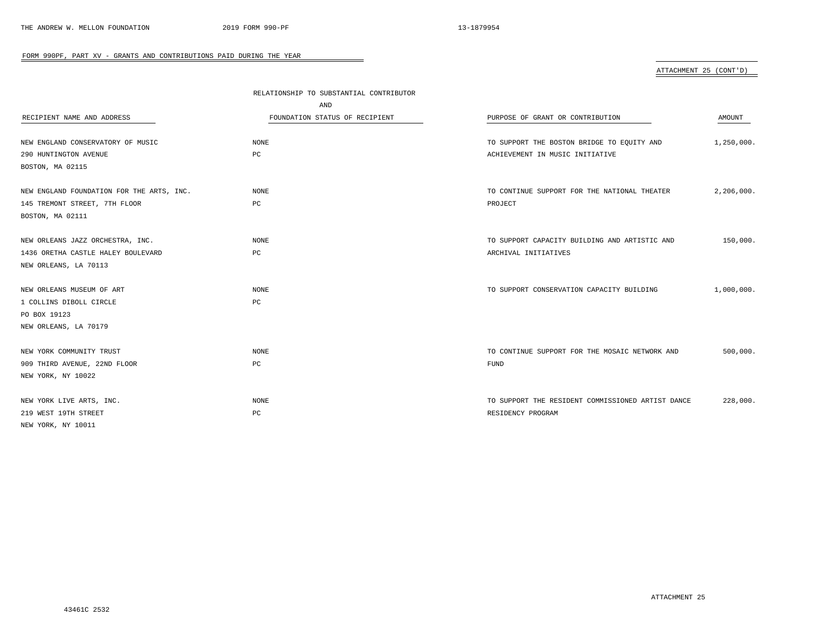# ATTACHMENT 25 (CONT'D)

|                                           | RELATIONSHIP TO SUBSTANTIAL CONTRIBUTOR |                                                   |            |
|-------------------------------------------|-----------------------------------------|---------------------------------------------------|------------|
|                                           | AND                                     |                                                   |            |
| RECIPIENT NAME AND ADDRESS                | FOUNDATION STATUS OF RECIPIENT          | PURPOSE OF GRANT OR CONTRIBUTION                  | AMOUNT     |
|                                           |                                         |                                                   |            |
| NEW ENGLAND CONSERVATORY OF MUSIC         | NONE                                    | TO SUPPORT THE BOSTON BRIDGE TO EQUITY AND        | 1,250,000. |
| 290 HUNTINGTON AVENUE                     | PC                                      | ACHIEVEMENT IN MUSIC INITIATIVE                   |            |
| BOSTON, MA 02115                          |                                         |                                                   |            |
| NEW ENGLAND FOUNDATION FOR THE ARTS, INC. | NONE                                    | TO CONTINUE SUPPORT FOR THE NATIONAL THEATER      | 2,206,000. |
| 145 TREMONT STREET, 7TH FLOOR             | PC                                      | PROJECT                                           |            |
| BOSTON, MA 02111                          |                                         |                                                   |            |
| NEW ORLEANS JAZZ ORCHESTRA, INC.          | NONE                                    | TO SUPPORT CAPACITY BUILDING AND ARTISTIC AND     | 150,000.   |
| 1436 ORETHA CASTLE HALEY BOULEVARD        | PC                                      | ARCHIVAL INITIATIVES                              |            |
| NEW ORLEANS, LA 70113                     |                                         |                                                   |            |
|                                           |                                         |                                                   |            |
| NEW ORLEANS MUSEUM OF ART                 | NONE                                    | TO SUPPORT CONSERVATION CAPACITY BUILDING         | 1,000,000. |
| 1 COLLINS DIBOLL CIRCLE                   | PC                                      |                                                   |            |
| PO BOX 19123                              |                                         |                                                   |            |
| NEW ORLEANS, LA 70179                     |                                         |                                                   |            |
| NEW YORK COMMUNITY TRUST                  | <b>NONE</b>                             | TO CONTINUE SUPPORT FOR THE MOSAIC NETWORK AND    | 500,000.   |
| 909 THIRD AVENUE, 22ND FLOOR              | PC                                      | <b>FUND</b>                                       |            |
| NEW YORK, NY 10022                        |                                         |                                                   |            |
| NEW YORK LIVE ARTS, INC.                  | NONE                                    | TO SUPPORT THE RESIDENT COMMISSIONED ARTIST DANCE | 228,000.   |
| 219 WEST 19TH STREET                      | PC                                      | RESIDENCY PROGRAM                                 |            |
| NEW YORK, NY 10011                        |                                         |                                                   |            |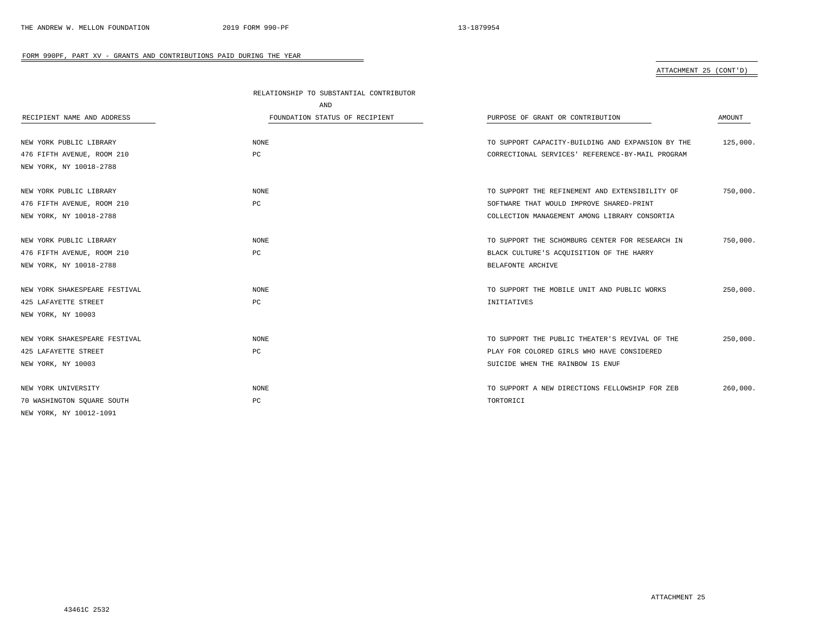# ATTACHMENT 25 (CONT'D)

|                               | RELATIONSHIP TO SUBSTANTIAL CONTRIBUTOR |                                                   |          |
|-------------------------------|-----------------------------------------|---------------------------------------------------|----------|
|                               | AND                                     |                                                   |          |
| RECIPIENT NAME AND ADDRESS    | FOUNDATION STATUS OF RECIPIENT          | PURPOSE OF GRANT OR CONTRIBUTION                  | AMOUNT   |
|                               |                                         |                                                   |          |
| NEW YORK PUBLIC LIBRARY       | NONE                                    | TO SUPPORT CAPACITY-BUILDING AND EXPANSION BY THE | 125,000. |
| 476 FIFTH AVENUE, ROOM 210    | PC                                      | CORRECTIONAL SERVICES' REFERENCE-BY-MAIL PROGRAM  |          |
| NEW YORK, NY 10018-2788       |                                         |                                                   |          |
|                               |                                         |                                                   |          |
| NEW YORK PUBLIC LIBRARY       | <b>NONE</b>                             | TO SUPPORT THE REFINEMENT AND EXTENSIBILITY OF    | 750,000. |
| 476 FIFTH AVENUE, ROOM 210    | PC                                      | SOFTWARE THAT WOULD IMPROVE SHARED-PRINT          |          |
| NEW YORK, NY 10018-2788       |                                         | COLLECTION MANAGEMENT AMONG LIBRARY CONSORTIA     |          |
| NEW YORK PUBLIC LIBRARY       | <b>NONE</b>                             | TO SUPPORT THE SCHOMBURG CENTER FOR RESEARCH IN   | 750,000. |
| 476 FIFTH AVENUE, ROOM 210    | PC                                      | BLACK CULTURE'S ACQUISITION OF THE HARRY          |          |
| NEW YORK, NY 10018-2788       |                                         | BELAFONTE ARCHIVE                                 |          |
|                               |                                         |                                                   |          |
| NEW YORK SHAKESPEARE FESTIVAL | NONE                                    | TO SUPPORT THE MOBILE UNIT AND PUBLIC WORKS       | 250,000. |
| 425 LAFAYETTE STREET          | PC                                      | INITIATIVES                                       |          |
| NEW YORK, NY 10003            |                                         |                                                   |          |
| NEW YORK SHAKESPEARE FESTIVAL | <b>NONE</b>                             | TO SUPPORT THE PUBLIC THEATER'S REVIVAL OF THE    | 250,000. |
|                               |                                         |                                                   |          |
| 425 LAFAYETTE STREET          | PC                                      | PLAY FOR COLORED GIRLS WHO HAVE CONSIDERED        |          |
| NEW YORK, NY 10003            |                                         | SUICIDE WHEN THE RAINBOW IS ENUF                  |          |
| NEW YORK UNIVERSITY           | <b>NONE</b>                             | TO SUPPORT A NEW DIRECTIONS FELLOWSHIP FOR ZEB    | 260,000. |
| 70 WASHINGTON SQUARE SOUTH    | PC                                      | TORTORICI                                         |          |
| NEW YORK, NY 10012-1091       |                                         |                                                   |          |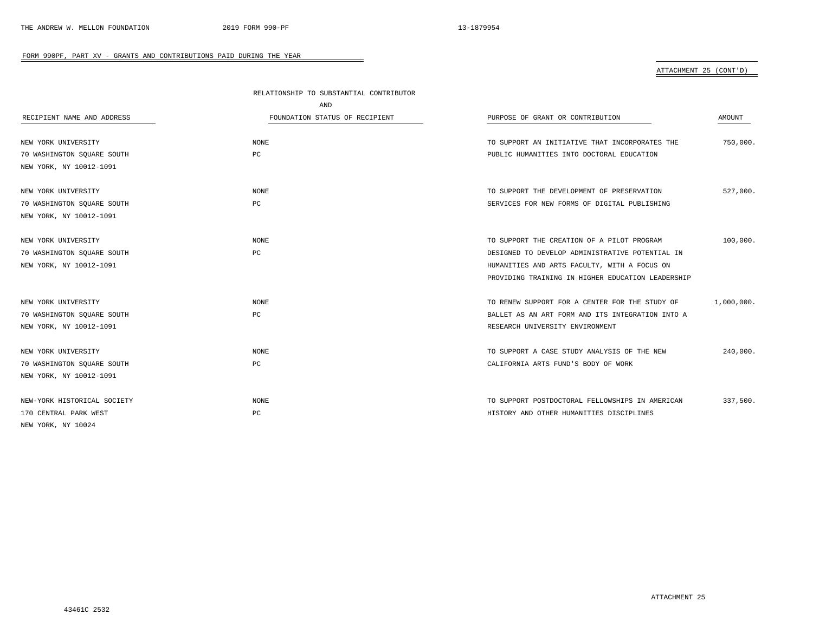# ATTACHMENT 25 (CONT'D)

|                             | RELATIONSHIP TO SUBSTANTIAL CONTRIBUTOR |                                                   |            |
|-----------------------------|-----------------------------------------|---------------------------------------------------|------------|
|                             | AND                                     |                                                   |            |
| RECIPIENT NAME AND ADDRESS  | FOUNDATION STATUS OF RECIPIENT          | PURPOSE OF GRANT OR CONTRIBUTION                  | AMOUNT     |
|                             |                                         |                                                   |            |
| NEW YORK UNIVERSITY         | NONE                                    | TO SUPPORT AN INITIATIVE THAT INCORPORATES THE    | 750,000.   |
| 70 WASHINGTON SQUARE SOUTH  | PC                                      | PUBLIC HUMANITIES INTO DOCTORAL EDUCATION         |            |
| NEW YORK, NY 10012-1091     |                                         |                                                   |            |
| NEW YORK UNIVERSITY         | <b>NONE</b>                             | TO SUPPORT THE DEVELOPMENT OF PRESERVATION        | 527,000.   |
| 70 WASHINGTON SQUARE SOUTH  | PC                                      | SERVICES FOR NEW FORMS OF DIGITAL PUBLISHING      |            |
| NEW YORK, NY 10012-1091     |                                         |                                                   |            |
| NEW YORK UNIVERSITY         | <b>NONE</b>                             | TO SUPPORT THE CREATION OF A PILOT PROGRAM        | 100,000.   |
| 70 WASHINGTON SQUARE SOUTH  | PC                                      | DESIGNED TO DEVELOP ADMINISTRATIVE POTENTIAL IN   |            |
| NEW YORK, NY 10012-1091     |                                         | HUMANITIES AND ARTS FACULTY, WITH A FOCUS ON      |            |
|                             |                                         | PROVIDING TRAINING IN HIGHER EDUCATION LEADERSHIP |            |
| NEW YORK UNIVERSITY         | NONE                                    | TO RENEW SUPPORT FOR A CENTER FOR THE STUDY OF    | 1,000,000. |
| 70 WASHINGTON SQUARE SOUTH  | PC                                      | BALLET AS AN ART FORM AND ITS INTEGRATION INTO A  |            |
| NEW YORK, NY 10012-1091     |                                         | RESEARCH UNIVERSITY ENVIRONMENT                   |            |
| NEW YORK UNIVERSITY         | <b>NONE</b>                             | TO SUPPORT A CASE STUDY ANALYSIS OF THE NEW       | 240,000.   |
| 70 WASHINGTON SOUARE SOUTH  | PC                                      | CALIFORNIA ARTS FUND'S BODY OF WORK               |            |
| NEW YORK, NY 10012-1091     |                                         |                                                   |            |
| NEW-YORK HISTORICAL SOCIETY | NONE                                    | TO SUPPORT POSTDOCTORAL FELLOWSHIPS IN AMERICAN   | 337,500.   |
| 170 CENTRAL PARK WEST       | PC                                      | HISTORY AND OTHER HUMANITIES DISCIPLINES          |            |
| NEW YORK, NY 10024          |                                         |                                                   |            |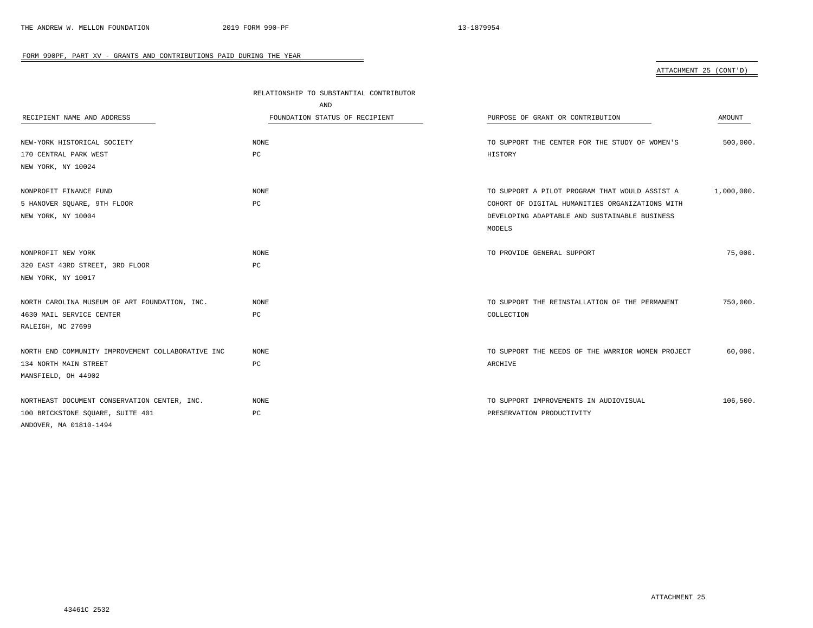ATTACHMENT 25 (CONT'D)

|                                                   | RELATIONSHIP TO SUBSTANTIAL CONTRIBUTOR |                                                   |            |
|---------------------------------------------------|-----------------------------------------|---------------------------------------------------|------------|
|                                                   | AND                                     |                                                   |            |
| RECIPIENT NAME AND ADDRESS                        | FOUNDATION STATUS OF RECIPIENT          | PURPOSE OF GRANT OR CONTRIBUTION                  | AMOUNT     |
|                                                   |                                         |                                                   |            |
| NEW-YORK HISTORICAL SOCIETY                       | NONE                                    | TO SUPPORT THE CENTER FOR THE STUDY OF WOMEN'S    | 500,000.   |
| 170 CENTRAL PARK WEST                             | PC                                      | HISTORY                                           |            |
| NEW YORK, NY 10024                                |                                         |                                                   |            |
|                                                   |                                         |                                                   |            |
| NONPROFIT FINANCE FUND                            | NONE                                    | TO SUPPORT A PILOT PROGRAM THAT WOULD ASSIST A    | 1,000,000. |
| 5 HANOVER SQUARE, 9TH FLOOR                       | PC                                      | COHORT OF DIGITAL HUMANITIES ORGANIZATIONS WITH   |            |
| NEW YORK, NY 10004                                |                                         | DEVELOPING ADAPTABLE AND SUSTAINABLE BUSINESS     |            |
|                                                   |                                         | MODELS                                            |            |
|                                                   |                                         |                                                   |            |
| NONPROFIT NEW YORK                                | <b>NONE</b>                             | TO PROVIDE GENERAL SUPPORT                        | 75,000.    |
| 320 EAST 43RD STREET, 3RD FLOOR                   | PC                                      |                                                   |            |
| NEW YORK, NY 10017                                |                                         |                                                   |            |
|                                                   |                                         |                                                   |            |
| NORTH CAROLINA MUSEUM OF ART FOUNDATION, INC.     | <b>NONE</b>                             | TO SUPPORT THE REINSTALLATION OF THE PERMANENT    | 750,000.   |
| 4630 MAIL SERVICE CENTER                          | PC                                      | COLLECTION                                        |            |
| RALEIGH, NC 27699                                 |                                         |                                                   |            |
|                                                   |                                         |                                                   |            |
| NORTH END COMMUNITY IMPROVEMENT COLLABORATIVE INC | NONE                                    | TO SUPPORT THE NEEDS OF THE WARRIOR WOMEN PROJECT | 60,000.    |
| 134 NORTH MAIN STREET                             | PC                                      | ARCHIVE                                           |            |
| MANSFIELD, OH 44902                               |                                         |                                                   |            |
|                                                   |                                         |                                                   |            |
| NORTHEAST DOCUMENT CONSERVATION CENTER, INC.      | NONE                                    | TO SUPPORT IMPROVEMENTS IN AUDIOVISUAL            | 106,500.   |
| 100 BRICKSTONE SQUARE, SUITE 401                  | PC                                      | PRESERVATION PRODUCTIVITY                         |            |
| ANDOVER, MA 01810-1494                            |                                         |                                                   |            |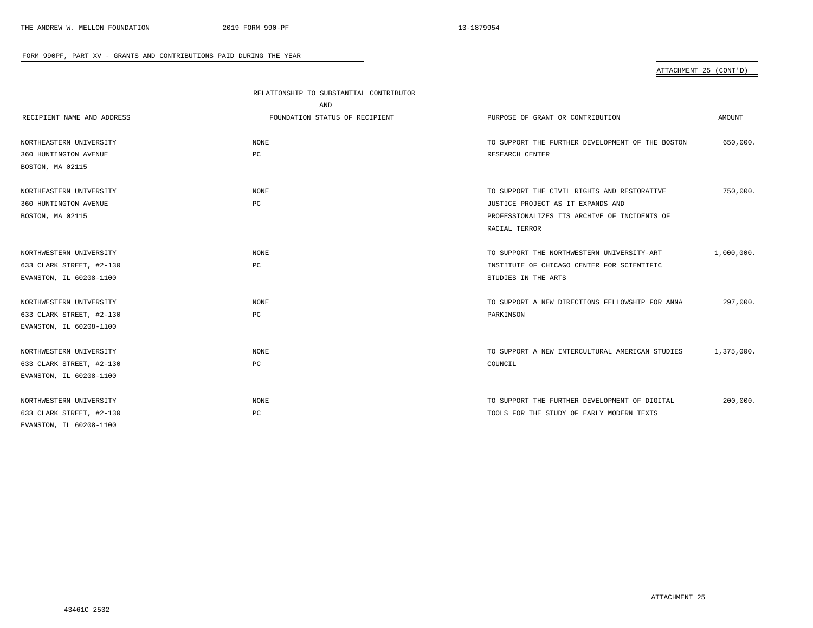ATTACHMENT 25 (CONT'D)

|                            | RELATIONSHIP TO SUBSTANTIAL CONTRIBUTOR |                                                  |            |
|----------------------------|-----------------------------------------|--------------------------------------------------|------------|
|                            | AND                                     |                                                  |            |
| RECIPIENT NAME AND ADDRESS | FOUNDATION STATUS OF RECIPIENT          | PURPOSE OF GRANT OR CONTRIBUTION                 | AMOUNT     |
|                            |                                         |                                                  |            |
| NORTHEASTERN UNIVERSITY    | NONE                                    | TO SUPPORT THE FURTHER DEVELOPMENT OF THE BOSTON | 650,000.   |
| 360 HUNTINGTON AVENUE      | PC                                      | RESEARCH CENTER                                  |            |
| BOSTON, MA 02115           |                                         |                                                  |            |
| NORTHEASTERN UNIVERSITY    | <b>NONE</b>                             | TO SUPPORT THE CIVIL RIGHTS AND RESTORATIVE      | 750,000.   |
| 360 HUNTINGTON AVENUE      | РC                                      | JUSTICE PROJECT AS IT EXPANDS AND                |            |
| BOSTON, MA 02115           |                                         | PROFESSIONALIZES ITS ARCHIVE OF INCIDENTS OF     |            |
|                            |                                         | RACIAL TERROR                                    |            |
| NORTHWESTERN UNIVERSITY    | NONE                                    | TO SUPPORT THE NORTHWESTERN UNIVERSITY-ART       | 1,000,000. |
| 633 CLARK STREET, #2-130   | PC                                      | INSTITUTE OF CHICAGO CENTER FOR SCIENTIFIC       |            |
| EVANSTON, IL 60208-1100    |                                         | STUDIES IN THE ARTS                              |            |
|                            |                                         |                                                  |            |
| NORTHWESTERN UNIVERSITY    | NONE                                    | TO SUPPORT A NEW DIRECTIONS FELLOWSHIP FOR ANNA  | 297,000.   |
| 633 CLARK STREET, #2-130   | PC                                      | PARKINSON                                        |            |
| EVANSTON, IL 60208-1100    |                                         |                                                  |            |
| NORTHWESTERN UNIVERSITY    | <b>NONE</b>                             | TO SUPPORT A NEW INTERCULTURAL AMERICAN STUDIES  | 1,375,000. |
| 633 CLARK STREET, #2-130   | РC                                      | COUNCIL                                          |            |
| EVANSTON, IL 60208-1100    |                                         |                                                  |            |
|                            |                                         |                                                  |            |
| NORTHWESTERN UNIVERSITY    | <b>NONE</b>                             | TO SUPPORT THE FURTHER DEVELOPMENT OF DIGITAL    | 200,000.   |
| 633 CLARK STREET, #2-130   | PC                                      | TOOLS FOR THE STUDY OF EARLY MODERN TEXTS        |            |
| EVANSTON, IL 60208-1100    |                                         |                                                  |            |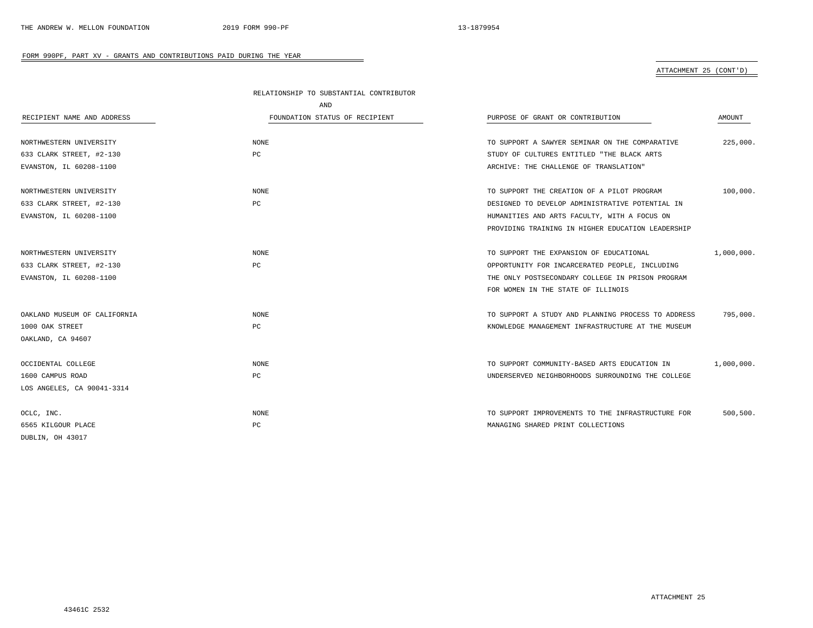# ATTACHMENT 25 (CONT'D)

|                              | RELATIONSHIP TO SUBSTANTIAL CONTRIBUTOR |                                                    |            |
|------------------------------|-----------------------------------------|----------------------------------------------------|------------|
|                              | AND                                     |                                                    |            |
| RECIPIENT NAME AND ADDRESS   | FOUNDATION STATUS OF RECIPIENT          | PURPOSE OF GRANT OR CONTRIBUTION                   | AMOUNT     |
|                              |                                         |                                                    |            |
| NORTHWESTERN UNIVERSITY      | <b>NONE</b>                             | TO SUPPORT A SAWYER SEMINAR ON THE COMPARATIVE     | 225,000.   |
| 633 CLARK STREET, #2-130     | PC                                      | STUDY OF CULTURES ENTITLED "THE BLACK ARTS         |            |
| EVANSTON, IL 60208-1100      |                                         | ARCHIVE: THE CHALLENGE OF TRANSLATION"             |            |
| NORTHWESTERN UNIVERSITY      | <b>NONE</b>                             | TO SUPPORT THE CREATION OF A PILOT PROGRAM         | 100,000.   |
| 633 CLARK STREET, #2-130     | PC                                      | DESIGNED TO DEVELOP ADMINISTRATIVE POTENTIAL IN    |            |
| EVANSTON, IL 60208-1100      |                                         | HUMANITIES AND ARTS FACULTY, WITH A FOCUS ON       |            |
|                              |                                         | PROVIDING TRAINING IN HIGHER EDUCATION LEADERSHIP  |            |
| NORTHWESTERN UNIVERSITY      | <b>NONE</b>                             | TO SUPPORT THE EXPANSION OF EDUCATIONAL            | 1,000,000. |
| 633 CLARK STREET, #2-130     | PC                                      | OPPORTUNITY FOR INCARCERATED PEOPLE, INCLUDING     |            |
| EVANSTON, IL 60208-1100      |                                         | THE ONLY POSTSECONDARY COLLEGE IN PRISON PROGRAM   |            |
|                              |                                         | FOR WOMEN IN THE STATE OF ILLINOIS                 |            |
| OAKLAND MUSEUM OF CALIFORNIA | NONE                                    | TO SUPPORT A STUDY AND PLANNING PROCESS TO ADDRESS | 795,000.   |
| 1000 OAK STREET              | PC                                      | KNOWLEDGE MANAGEMENT INFRASTRUCTURE AT THE MUSEUM  |            |
| OAKLAND, CA 94607            |                                         |                                                    |            |
| OCCIDENTAL COLLEGE           | <b>NONE</b>                             | TO SUPPORT COMMUNITY-BASED ARTS EDUCATION IN       | 1,000,000. |
| 1600 CAMPUS ROAD             | PC                                      | UNDERSERVED NEIGHBORHOODS SURROUNDING THE COLLEGE  |            |
| LOS ANGELES, CA 90041-3314   |                                         |                                                    |            |
| OCLC, INC.                   | NONE                                    | TO SUPPORT IMPROVEMENTS TO THE INFRASTRUCTURE FOR  | 500,500.   |
| 6565 KILGOUR PLACE           | PC                                      | MANAGING SHARED PRINT COLLECTIONS                  |            |
| DUBLIN, OH 43017             |                                         |                                                    |            |

-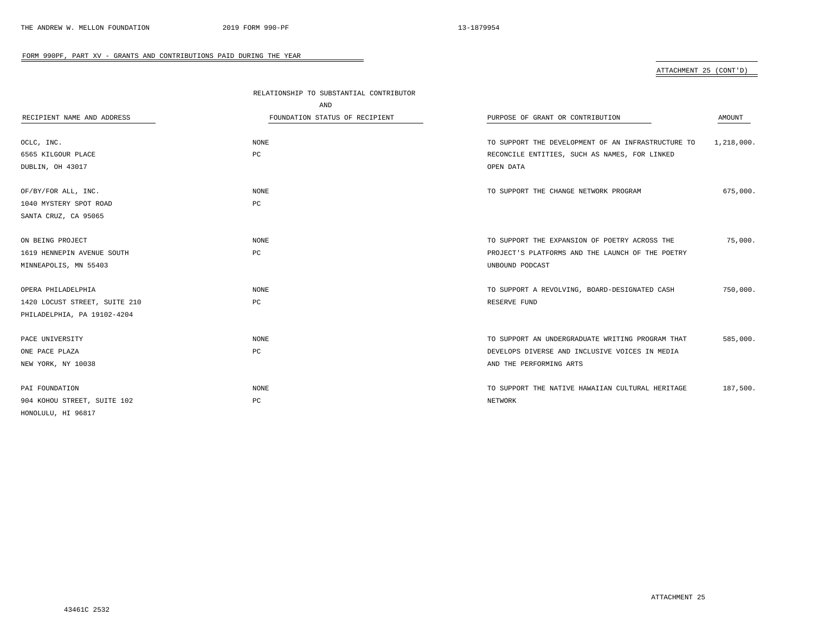# ATTACHMENT 25 (CONT'D)

|                               | RELATIONSHIP TO SUBSTANTIAL CONTRIBUTOR |                                                    |            |
|-------------------------------|-----------------------------------------|----------------------------------------------------|------------|
|                               | AND                                     |                                                    |            |
| RECIPIENT NAME AND ADDRESS    | FOUNDATION STATUS OF RECIPIENT          | PURPOSE OF GRANT OR CONTRIBUTION                   | AMOUNT     |
| OCLC, INC.                    | <b>NONE</b>                             | TO SUPPORT THE DEVELOPMENT OF AN INFRASTRUCTURE TO | 1,218,000. |
| 6565 KILGOUR PLACE            | PC                                      | RECONCILE ENTITIES, SUCH AS NAMES, FOR LINKED      |            |
| DUBLIN, OH 43017              |                                         | OPEN DATA                                          |            |
| OF/BY/FOR ALL, INC.           | <b>NONE</b>                             | TO SUPPORT THE CHANGE NETWORK PROGRAM              | 675,000.   |
| 1040 MYSTERY SPOT ROAD        | PC                                      |                                                    |            |
| SANTA CRUZ, CA 95065          |                                         |                                                    |            |
| ON BEING PROJECT              | <b>NONE</b>                             | TO SUPPORT THE EXPANSION OF POETRY ACROSS THE      | 75,000.    |
| 1619 HENNEPIN AVENUE SOUTH    | PC                                      | PROJECT'S PLATFORMS AND THE LAUNCH OF THE POETRY   |            |
| MINNEAPOLIS, MN 55403         |                                         | UNBOUND PODCAST                                    |            |
| OPERA PHILADELPHIA            | <b>NONE</b>                             | TO SUPPORT A REVOLVING, BOARD-DESIGNATED CASH      | 750,000.   |
| 1420 LOCUST STREET, SUITE 210 | PC                                      | RESERVE FUND                                       |            |
| PHILADELPHIA, PA 19102-4204   |                                         |                                                    |            |
| PACE UNIVERSITY               | <b>NONE</b>                             | TO SUPPORT AN UNDERGRADUATE WRITING PROGRAM THAT   | 585,000.   |
| ONE PACE PLAZA                | PC                                      | DEVELOPS DIVERSE AND INCLUSIVE VOICES IN MEDIA     |            |
| NEW YORK, NY 10038            |                                         | AND THE PERFORMING ARTS                            |            |
| PAI FOUNDATION                | <b>NONE</b>                             | TO SUPPORT THE NATIVE HAWAIIAN CULTURAL HERITAGE   | 187,500.   |
| 904 KOHOU STREET, SUITE 102   | PC                                      | NETWORK                                            |            |
| HONOLULU, HI 96817            |                                         |                                                    |            |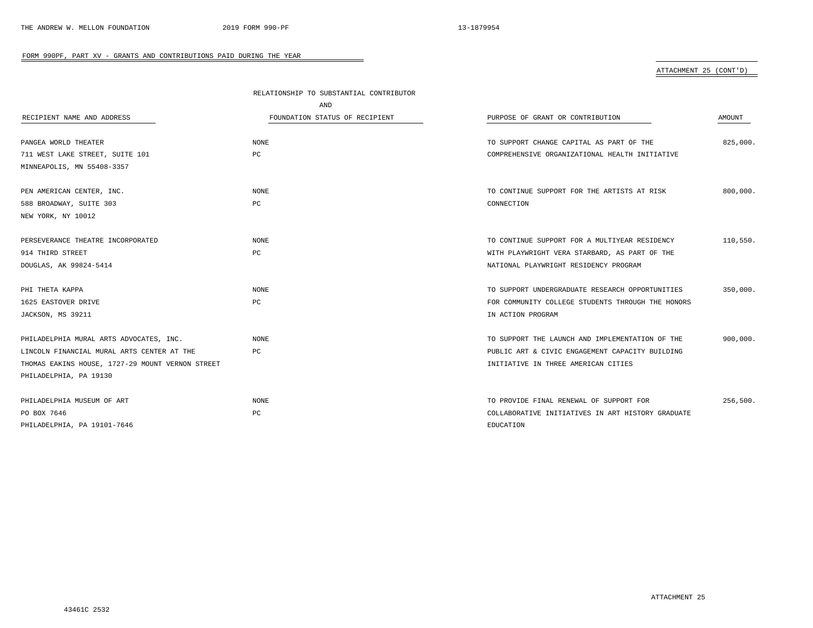# ATTACHMENT 25 (CONT'D)

|                                                  | RELATIONSHIP TO SUBSTANTIAL CONTRIBUTOR |                                                   |          |
|--------------------------------------------------|-----------------------------------------|---------------------------------------------------|----------|
|                                                  | AND                                     |                                                   |          |
| RECIPIENT NAME AND ADDRESS                       | FOUNDATION STATUS OF RECIPIENT          | PURPOSE OF GRANT OR CONTRIBUTION                  | AMOUNT   |
|                                                  |                                         |                                                   |          |
| PANGEA WORLD THEATER                             | NONE                                    | TO SUPPORT CHANGE CAPITAL AS PART OF THE          | 825,000. |
| 711 WEST LAKE STREET, SUITE 101                  | PC                                      | COMPREHENSIVE ORGANIZATIONAL HEALTH INITIATIVE    |          |
| MINNEAPOLIS, MN 55408-3357                       |                                         |                                                   |          |
| PEN AMERICAN CENTER, INC.                        | <b>NONE</b>                             | TO CONTINUE SUPPORT FOR THE ARTISTS AT RISK       | 800,000. |
| 588 BROADWAY, SUITE 303                          | PC                                      | CONNECTION                                        |          |
| NEW YORK, NY 10012                               |                                         |                                                   |          |
| PERSEVERANCE THEATRE INCORPORATED                | NONE                                    | TO CONTINUE SUPPORT FOR A MULTIYEAR RESIDENCY     | 110,550. |
| 914 THIRD STREET                                 | PC                                      | WITH PLAYWRIGHT VERA STARBARD, AS PART OF THE     |          |
| DOUGLAS, AK 99824-5414                           |                                         | NATIONAL PLAYWRIGHT RESIDENCY PROGRAM             |          |
| PHI THETA KAPPA                                  | <b>NONE</b>                             | TO SUPPORT UNDERGRADUATE RESEARCH OPPORTUNITIES   | 350,000  |
| 1625 EASTOVER DRIVE                              | PC                                      | FOR COMMUNITY COLLEGE STUDENTS THROUGH THE HONORS |          |
| JACKSON, MS 39211                                |                                         | IN ACTION PROGRAM                                 |          |
| PHILADELPHIA MURAL ARTS ADVOCATES, INC.          | <b>NONE</b>                             | TO SUPPORT THE LAUNCH AND IMPLEMENTATION OF THE   | 900,000. |
| LINCOLN FINANCIAL MURAL ARTS CENTER AT THE       | PC                                      | PUBLIC ART & CIVIC ENGAGEMENT CAPACITY BUILDING   |          |
| THOMAS EAKINS HOUSE, 1727-29 MOUNT VERNON STREET |                                         | INITIATIVE IN THREE AMERICAN CITIES               |          |
| PHILADELPHIA, PA 19130                           |                                         |                                                   |          |
| PHILADELPHIA MUSEUM OF ART                       | NONE                                    | TO PROVIDE FINAL RENEWAL OF SUPPORT FOR           | 256,500. |
| PO BOX 7646                                      | PC                                      | COLLABORATIVE INITIATIVES IN ART HISTORY GRADUATE |          |
| PHILADELPHIA, PA 19101-7646                      |                                         | EDUCATION                                         |          |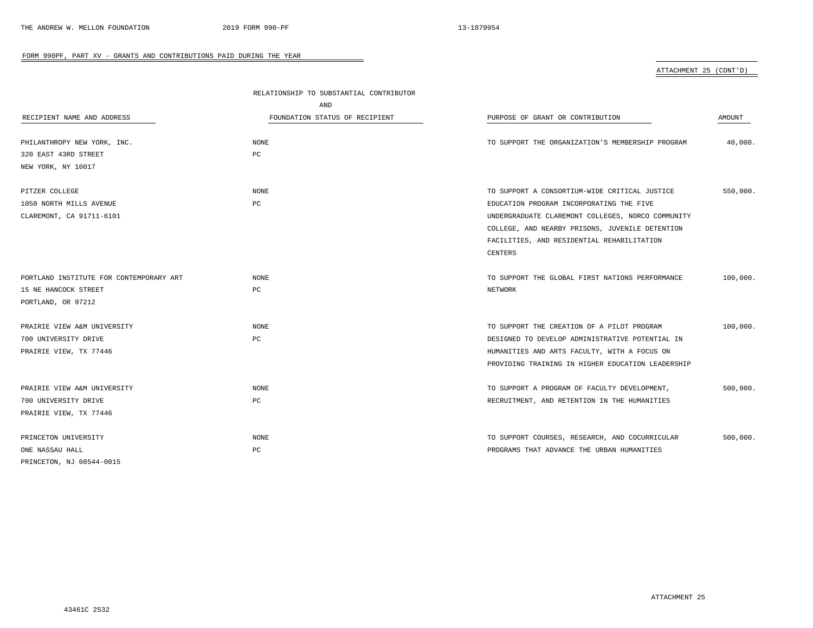ATTACHMENT 25 (CONT'D)

| RECIPIENT NAME AND ADDRESS              | RELATIONSHIP TO SUBSTANTIAL CONTRIBUTOR |                                                   |          |
|-----------------------------------------|-----------------------------------------|---------------------------------------------------|----------|
|                                         | AND                                     |                                                   |          |
|                                         | FOUNDATION STATUS OF RECIPIENT          | PURPOSE OF GRANT OR CONTRIBUTION                  | AMOUNT   |
| PHILANTHROPY NEW YORK, INC.             | NONE                                    | TO SUPPORT THE ORGANIZATION'S MEMBERSHIP PROGRAM  | 40,000.  |
| 320 EAST 43RD STREET                    | РC                                      |                                                   |          |
| NEW YORK, NY 10017                      |                                         |                                                   |          |
| PITZER COLLEGE                          | <b>NONE</b>                             | TO SUPPORT A CONSORTIUM-WIDE CRITICAL JUSTICE     | 550,000. |
| 1050 NORTH MILLS AVENUE                 | PC                                      | EDUCATION PROGRAM INCORPORATING THE FIVE          |          |
| CLAREMONT, CA 91711-6101                |                                         | UNDERGRADUATE CLAREMONT COLLEGES, NORCO COMMUNITY |          |
|                                         |                                         | COLLEGE, AND NEARBY PRISONS, JUVENILE DETENTION   |          |
|                                         |                                         | FACILITIES, AND RESIDENTIAL REHABILITATION        |          |
|                                         |                                         | CENTERS                                           |          |
| PORTLAND INSTITUTE FOR CONTEMPORARY ART | NONE                                    | TO SUPPORT THE GLOBAL FIRST NATIONS PERFORMANCE   | 100,000. |
| 15 NE HANCOCK STREET                    | PC                                      | NETWORK                                           |          |
| PORTLAND, OR 97212                      |                                         |                                                   |          |
| PRAIRIE VIEW A&M UNIVERSITY             | <b>NONE</b>                             | TO SUPPORT THE CREATION OF A PILOT PROGRAM        | 100,000. |
| 700 UNIVERSITY DRIVE                    | РC                                      | DESIGNED TO DEVELOP ADMINISTRATIVE POTENTIAL IN   |          |
| PRAIRIE VIEW, TX 77446                  |                                         | HUMANITIES AND ARTS FACULTY, WITH A FOCUS ON      |          |
|                                         |                                         | PROVIDING TRAINING IN HIGHER EDUCATION LEADERSHIP |          |
| PRAIRIE VIEW A&M UNIVERSITY             | NONE                                    | TO SUPPORT A PROGRAM OF FACULTY DEVELOPMENT,      | 500,000. |
| 700 UNIVERSITY DRIVE                    | РC                                      | RECRUITMENT, AND RETENTION IN THE HUMANITIES      |          |
| PRAIRIE VIEW, TX 77446                  |                                         |                                                   |          |
| PRINCETON UNIVERSITY                    | <b>NONE</b>                             | TO SUPPORT COURSES, RESEARCH, AND COCURRICULAR    | 500,000. |
| ONE NASSAU HALL                         | PC                                      | PROGRAMS THAT ADVANCE THE URBAN HUMANITIES        |          |
| PRINCETON, NJ 08544-0015                |                                         |                                                   |          |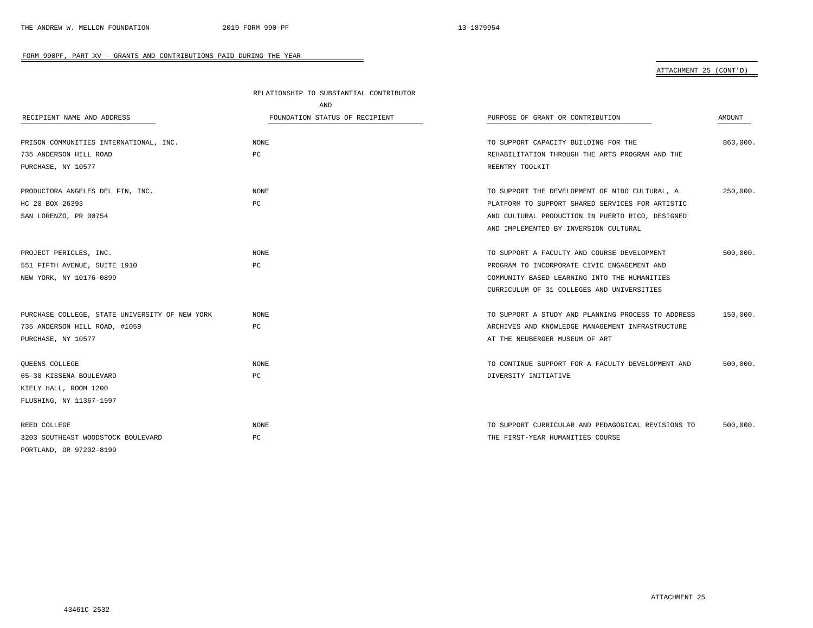# ATTACHMENT 25 (CONT'D)

|                                                | RELATIONSHIP TO SUBSTANTIAL CONTRIBUTOR |                                                    |          |
|------------------------------------------------|-----------------------------------------|----------------------------------------------------|----------|
|                                                | AND                                     |                                                    |          |
| RECIPIENT NAME AND ADDRESS                     | FOUNDATION STATUS OF RECIPIENT          | PURPOSE OF GRANT OR CONTRIBUTION                   | AMOUNT   |
|                                                |                                         |                                                    |          |
| PRISON COMMUNITIES INTERNATIONAL, INC.         | NONE                                    | TO SUPPORT CAPACITY BUILDING FOR THE               | 863,000. |
| 735 ANDERSON HILL ROAD                         | PC                                      | REHABILITATION THROUGH THE ARTS PROGRAM AND THE    |          |
| PURCHASE, NY 10577                             |                                         | REENTRY TOOLKIT                                    |          |
| PRODUCTORA ANGELES DEL FIN, INC.               | <b>NONE</b>                             | TO SUPPORT THE DEVELOPMENT OF NIDO CULTURAL, A     | 250,000. |
| HC 20 BOX 26393                                | PC                                      | PLATFORM TO SUPPORT SHARED SERVICES FOR ARTISTIC   |          |
| SAN LORENZO, PR 00754                          |                                         | AND CULTURAL PRODUCTION IN PUERTO RICO, DESIGNED   |          |
|                                                |                                         | AND IMPLEMENTED BY INVERSION CULTURAL              |          |
|                                                |                                         |                                                    |          |
| PROJECT PERICLES, INC.                         | <b>NONE</b>                             | TO SUPPORT A FACULTY AND COURSE DEVELOPMENT        | 500.000. |
| 551 FIFTH AVENUE, SUITE 1910                   | PC                                      | PROGRAM TO INCORPORATE CIVIC ENGAGEMENT AND        |          |
| NEW YORK, NY 10176-0899                        |                                         | COMMUNITY-BASED LEARNING INTO THE HUMANITIES       |          |
|                                                |                                         | CURRICULUM OF 31 COLLEGES AND UNIVERSITIES         |          |
| PURCHASE COLLEGE, STATE UNIVERSITY OF NEW YORK | <b>NONE</b>                             | TO SUPPORT A STUDY AND PLANNING PROCESS TO ADDRESS | 150,000. |
| 735 ANDERSON HILL ROAD, #1059                  | PC                                      | ARCHIVES AND KNOWLEDGE MANAGEMENT INFRASTRUCTURE   |          |
| PURCHASE, NY 10577                             |                                         | AT THE NEUBERGER MUSEUM OF ART                     |          |
|                                                |                                         |                                                    |          |
| QUEENS COLLEGE                                 | <b>NONE</b>                             | TO CONTINUE SUPPORT FOR A FACULTY DEVELOPMENT AND  | 500,000. |
| 65-30 KISSENA BOULEVARD                        | PC                                      | DIVERSITY INITIATIVE                               |          |
| KIELY HALL, ROOM 1200                          |                                         |                                                    |          |
| FLUSHING, NY 11367-1597                        |                                         |                                                    |          |
| REED COLLEGE                                   | <b>NONE</b>                             | TO SUPPORT CURRICULAR AND PEDAGOGICAL REVISIONS TO | 500,000. |
| 3203 SOUTHEAST WOODSTOCK BOULEVARD             | PC                                      | THE FIRST-YEAR HUMANITIES COURSE                   |          |
| PORTLAND, OR 97202-8199                        |                                         |                                                    |          |
|                                                |                                         |                                                    |          |

-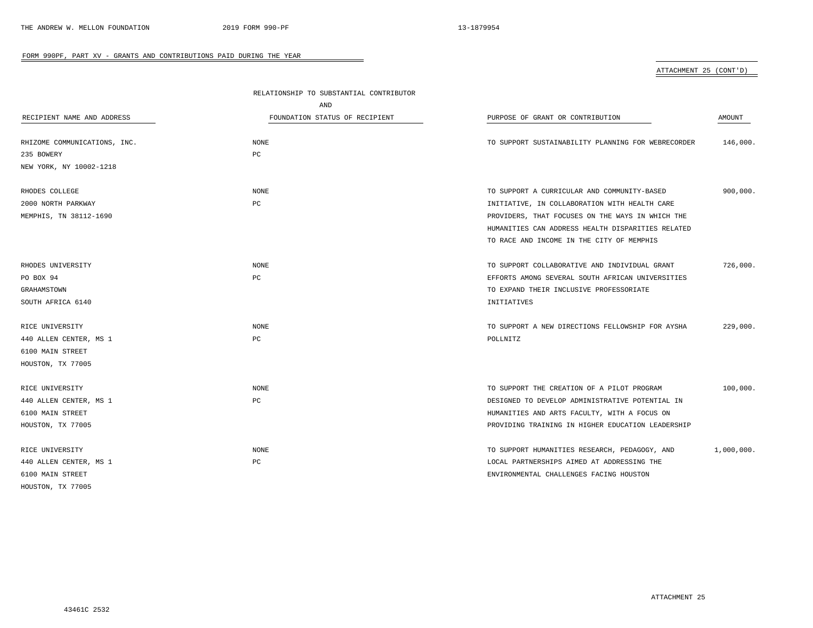ATTACHMENT 25 (CONT'D)

|                              | RELATIONSHIP TO SUBSTANTIAL CONTRIBUTOR |                                                    |            |  |
|------------------------------|-----------------------------------------|----------------------------------------------------|------------|--|
|                              | AND                                     |                                                    |            |  |
| RECIPIENT NAME AND ADDRESS   | FOUNDATION STATUS OF RECIPIENT          | PURPOSE OF GRANT OR CONTRIBUTION                   | AMOUNT     |  |
| RHIZOME COMMUNICATIONS, INC. | NONE                                    | TO SUPPORT SUSTAINABILITY PLANNING FOR WEBRECORDER | 146,000.   |  |
| 235 BOWERY                   | PC                                      |                                                    |            |  |
| NEW YORK, NY 10002-1218      |                                         |                                                    |            |  |
| RHODES COLLEGE               | NONE                                    | TO SUPPORT A CURRICULAR AND COMMUNITY-BASED        | 900,000.   |  |
| 2000 NORTH PARKWAY           | PC                                      | INITIATIVE, IN COLLABORATION WITH HEALTH CARE      |            |  |
| MEMPHIS, TN 38112-1690       |                                         | PROVIDERS, THAT FOCUSES ON THE WAYS IN WHICH THE   |            |  |
|                              |                                         | HUMANITIES CAN ADDRESS HEALTH DISPARITIES RELATED  |            |  |
|                              |                                         | TO RACE AND INCOME IN THE CITY OF MEMPHIS          |            |  |
| RHODES UNIVERSITY            | NONE                                    | TO SUPPORT COLLABORATIVE AND INDIVIDUAL GRANT      | 726,000.   |  |
| PO BOX 94                    | PC                                      | EFFORTS AMONG SEVERAL SOUTH AFRICAN UNIVERSITIES   |            |  |
| GRAHAMSTOWN                  |                                         | TO EXPAND THEIR INCLUSIVE PROFESSORIATE            |            |  |
| SOUTH AFRICA 6140            |                                         | INITIATIVES                                        |            |  |
| RICE UNIVERSITY              | NONE                                    | TO SUPPORT A NEW DIRECTIONS FELLOWSHIP FOR AYSHA   | 229,000.   |  |
| 440 ALLEN CENTER, MS 1       | PC                                      | POLLNITZ                                           |            |  |
| 6100 MAIN STREET             |                                         |                                                    |            |  |
| HOUSTON, TX 77005            |                                         |                                                    |            |  |
| RICE UNIVERSITY              | NONE                                    | TO SUPPORT THE CREATION OF A PILOT PROGRAM         | 100,000.   |  |
| 440 ALLEN CENTER, MS 1       | PC                                      | DESIGNED TO DEVELOP ADMINISTRATIVE POTENTIAL IN    |            |  |
| 6100 MAIN STREET             |                                         | HUMANITIES AND ARTS FACULTY, WITH A FOCUS ON       |            |  |
| HOUSTON, TX 77005            |                                         | PROVIDING TRAINING IN HIGHER EDUCATION LEADERSHIP  |            |  |
| RICE UNIVERSITY              | NONE                                    | TO SUPPORT HUMANITIES RESEARCH, PEDAGOGY, AND      | 1,000,000. |  |
| 440 ALLEN CENTER, MS 1       | РC                                      | LOCAL PARTNERSHIPS AIMED AT ADDRESSING THE         |            |  |
| 6100 MAIN STREET             |                                         | ENVIRONMENTAL CHALLENGES FACING HOUSTON            |            |  |
| HOUSTON, TX 77005            |                                         |                                                    |            |  |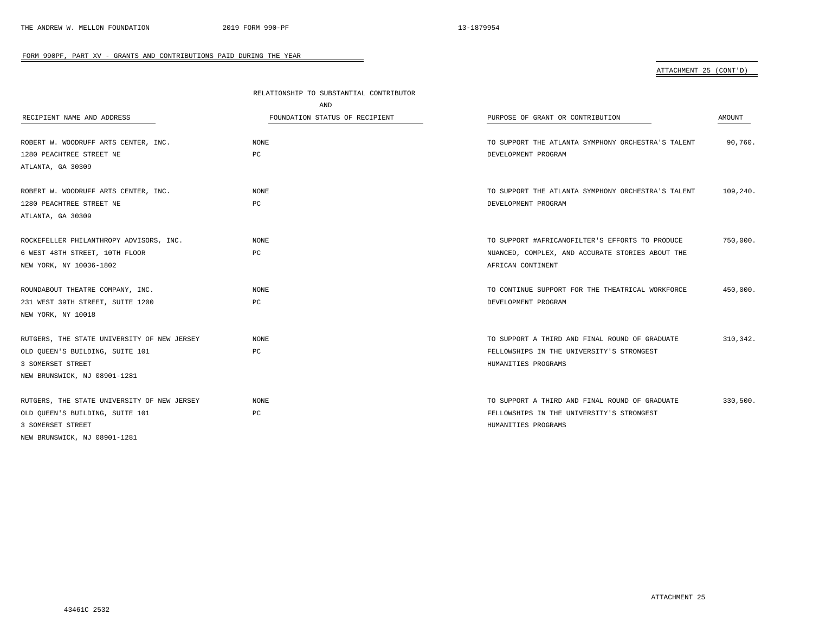ATTACHMENT 25 (CONT'D)

|                                             | RELATIONSHIP TO SUBSTANTIAL CONTRIBUTOR |                                                    |           |  |
|---------------------------------------------|-----------------------------------------|----------------------------------------------------|-----------|--|
|                                             | AND                                     |                                                    |           |  |
| RECIPIENT NAME AND ADDRESS                  | FOUNDATION STATUS OF RECIPIENT          | PURPOSE OF GRANT OR CONTRIBUTION                   | AMOUNT    |  |
|                                             |                                         |                                                    |           |  |
| ROBERT W. WOODRUFF ARTS CENTER, INC.        | NONE                                    | TO SUPPORT THE ATLANTA SYMPHONY ORCHESTRA'S TALENT | 90,760.   |  |
| 1280 PEACHTREE STREET NE                    | PC                                      | DEVELOPMENT PROGRAM                                |           |  |
| ATLANTA, GA 30309                           |                                         |                                                    |           |  |
| ROBERT W. WOODRUFF ARTS CENTER, INC.        | NONE                                    | TO SUPPORT THE ATLANTA SYMPHONY ORCHESTRA'S TALENT | 109,240.  |  |
| 1280 PEACHTREE STREET NE                    | PC                                      | DEVELOPMENT PROGRAM                                |           |  |
| ATLANTA, GA 30309                           |                                         |                                                    |           |  |
| ROCKEFELLER PHILANTHROPY ADVISORS, INC.     | <b>NONE</b>                             | TO SUPPORT #AFRICANOFILTER'S EFFORTS TO PRODUCE    | 750,000.  |  |
| 6 WEST 48TH STREET, 10TH FLOOR              | PC                                      | NUANCED, COMPLEX, AND ACCURATE STORIES ABOUT THE   |           |  |
| NEW YORK, NY 10036-1802                     |                                         | AFRICAN CONTINENT                                  |           |  |
|                                             |                                         |                                                    |           |  |
| ROUNDABOUT THEATRE COMPANY, INC.            | NONE                                    | TO CONTINUE SUPPORT FOR THE THEATRICAL WORKFORCE   | 450,000.  |  |
| 231 WEST 39TH STREET, SUITE 1200            | PC                                      | DEVELOPMENT PROGRAM                                |           |  |
| NEW YORK, NY 10018                          |                                         |                                                    |           |  |
| RUTGERS, THE STATE UNIVERSITY OF NEW JERSEY | <b>NONE</b>                             | TO SUPPORT A THIRD AND FINAL ROUND OF GRADUATE     | 310, 342. |  |
| OLD QUEEN'S BUILDING, SUITE 101             | PC                                      | FELLOWSHIPS IN THE UNIVERSITY'S STRONGEST          |           |  |
| 3 SOMERSET STREET                           |                                         | HUMANITIES PROGRAMS                                |           |  |
| NEW BRUNSWICK, NJ 08901-1281                |                                         |                                                    |           |  |
|                                             |                                         |                                                    |           |  |
| RUTGERS, THE STATE UNIVERSITY OF NEW JERSEY | <b>NONE</b>                             | TO SUPPORT A THIRD AND FINAL ROUND OF GRADUATE     | 330,500.  |  |
| OLD OUEEN'S BUILDING, SUITE 101             | PC                                      | FELLOWSHIPS IN THE UNIVERSITY'S STRONGEST          |           |  |
| 3 SOMERSET STREET                           |                                         | HUMANITIES PROGRAMS                                |           |  |
| NEW BRUNSWICK, NJ 08901-1281                |                                         |                                                    |           |  |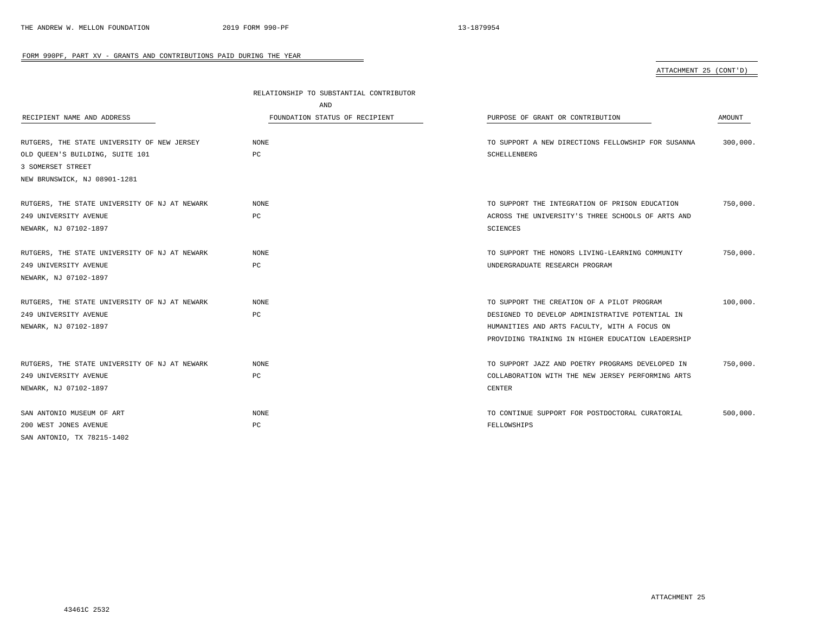# ATTACHMENT 25 (CONT'D)

|                                               | RELATIONSHIP TO SUBSTANTIAL CONTRIBUTOR |                                                    |          |
|-----------------------------------------------|-----------------------------------------|----------------------------------------------------|----------|
|                                               | AND                                     |                                                    |          |
| RECIPIENT NAME AND ADDRESS                    | FOUNDATION STATUS OF RECIPIENT          | PURPOSE OF GRANT OR CONTRIBUTION                   | AMOUNT   |
| RUTGERS, THE STATE UNIVERSITY OF NEW JERSEY   | <b>NONE</b>                             | TO SUPPORT A NEW DIRECTIONS FELLOWSHIP FOR SUSANNA | 300,000. |
| OLD OUEEN'S BUILDING, SUITE 101               | PC                                      | SCHELLENBERG                                       |          |
| 3 SOMERSET STREET                             |                                         |                                                    |          |
| NEW BRUNSWICK, NJ 08901-1281                  |                                         |                                                    |          |
| RUTGERS, THE STATE UNIVERSITY OF NJ AT NEWARK | NONE                                    | TO SUPPORT THE INTEGRATION OF PRISON EDUCATION     | 750,000. |
| 249 UNIVERSITY AVENUE                         | PC                                      | ACROSS THE UNIVERSITY'S THREE SCHOOLS OF ARTS AND  |          |
| NEWARK, NJ 07102-1897                         |                                         | SCIENCES                                           |          |
| RUTGERS, THE STATE UNIVERSITY OF NJ AT NEWARK | <b>NONE</b>                             | TO SUPPORT THE HONORS LIVING-LEARNING COMMUNITY    | 750,000. |
| 249 UNIVERSITY AVENUE                         | $_{\rm PC}$                             | UNDERGRADUATE RESEARCH PROGRAM                     |          |
| NEWARK, NJ 07102-1897                         |                                         |                                                    |          |
| RUTGERS, THE STATE UNIVERSITY OF NJ AT NEWARK | <b>NONE</b>                             | TO SUPPORT THE CREATION OF A PILOT PROGRAM         | 100,000. |
| 249 UNIVERSITY AVENUE                         | PC                                      | DESIGNED TO DEVELOP ADMINISTRATIVE POTENTIAL IN    |          |
| NEWARK, NJ 07102-1897                         |                                         | HUMANITIES AND ARTS FACULTY, WITH A FOCUS ON       |          |
|                                               |                                         | PROVIDING TRAINING IN HIGHER EDUCATION LEADERSHIP  |          |
| RUTGERS, THE STATE UNIVERSITY OF NJ AT NEWARK | NONE                                    | TO SUPPORT JAZZ AND POETRY PROGRAMS DEVELOPED IN   | 750,000. |
| 249 UNIVERSITY AVENUE                         | PC                                      | COLLABORATION WITH THE NEW JERSEY PERFORMING ARTS  |          |
| NEWARK, NJ 07102-1897                         |                                         | <b>CENTER</b>                                      |          |
| SAN ANTONIO MUSEUM OF ART                     | NONE                                    | TO CONTINUE SUPPORT FOR POSTDOCTORAL CURATORIAL    | 500,000. |
| 200 WEST JONES AVENUE                         | PC                                      | FELLOWSHIPS                                        |          |
| SAN ANTONIO, TX 78215-1402                    |                                         |                                                    |          |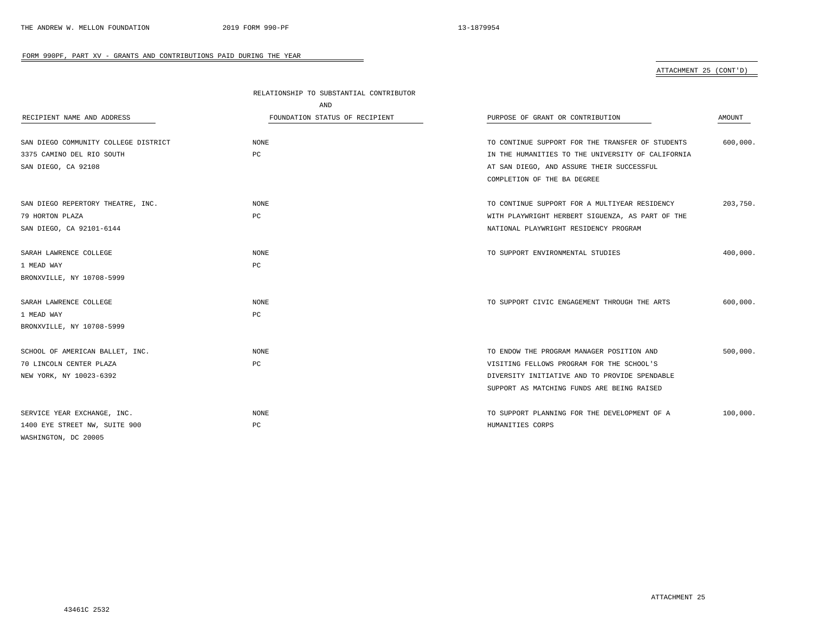## ATTACHMENT 25 (CONT'D)

|                                      | RELATIONSHIP TO SUBSTANTIAL CONTRIBUTOR |                                                   |          |
|--------------------------------------|-----------------------------------------|---------------------------------------------------|----------|
|                                      | AND                                     |                                                   |          |
| RECIPIENT NAME AND ADDRESS           | FOUNDATION STATUS OF RECIPIENT          | PURPOSE OF GRANT OR CONTRIBUTION                  | AMOUNT   |
| SAN DIEGO COMMUNITY COLLEGE DISTRICT | <b>NONE</b>                             | TO CONTINUE SUPPORT FOR THE TRANSFER OF STUDENTS  | 600,000. |
| 3375 CAMINO DEL RIO SOUTH            | PC                                      | IN THE HUMANITIES TO THE UNIVERSITY OF CALIFORNIA |          |
| SAN DIEGO, CA 92108                  |                                         | AT SAN DIEGO, AND ASSURE THEIR SUCCESSFUL         |          |
|                                      |                                         | COMPLETION OF THE BA DEGREE                       |          |
| SAN DIEGO REPERTORY THEATRE, INC.    | <b>NONE</b>                             | TO CONTINUE SUPPORT FOR A MULTIYEAR RESIDENCY     | 203,750. |
| 79 HORTON PLAZA                      | PC                                      | WITH PLAYWRIGHT HERBERT SIGUENZA, AS PART OF THE  |          |
| SAN DIEGO, CA 92101-6144             |                                         | NATIONAL PLAYWRIGHT RESIDENCY PROGRAM             |          |
| SARAH LAWRENCE COLLEGE               | <b>NONE</b>                             | TO SUPPORT ENVIRONMENTAL STUDIES                  | 400,000. |
| 1 MEAD WAY                           | PC                                      |                                                   |          |
| BRONXVILLE, NY 10708-5999            |                                         |                                                   |          |
| SARAH LAWRENCE COLLEGE               | <b>NONE</b>                             | TO SUPPORT CIVIC ENGAGEMENT THROUGH THE ARTS      | 600,000. |
| 1 MEAD WAY                           | PC                                      |                                                   |          |
| BRONXVILLE, NY 10708-5999            |                                         |                                                   |          |
| SCHOOL OF AMERICAN BALLET, INC.      | <b>NONE</b>                             | TO ENDOW THE PROGRAM MANAGER POSITION AND         | 500,000. |
| 70 LINCOLN CENTER PLAZA              | PC                                      | VISITING FELLOWS PROGRAM FOR THE SCHOOL'S         |          |
| NEW YORK, NY 10023-6392              |                                         | DIVERSITY INITIATIVE AND TO PROVIDE SPENDABLE     |          |
|                                      |                                         | SUPPORT AS MATCHING FUNDS ARE BEING RAISED        |          |
| SERVICE YEAR EXCHANGE, INC.          | NONE                                    | TO SUPPORT PLANNING FOR THE DEVELOPMENT OF A      | 100,000. |
| 1400 EYE STREET NW, SUITE 900        | PC                                      | HUMANITIES CORPS                                  |          |
| WASHINGTON, DC 20005                 |                                         |                                                   |          |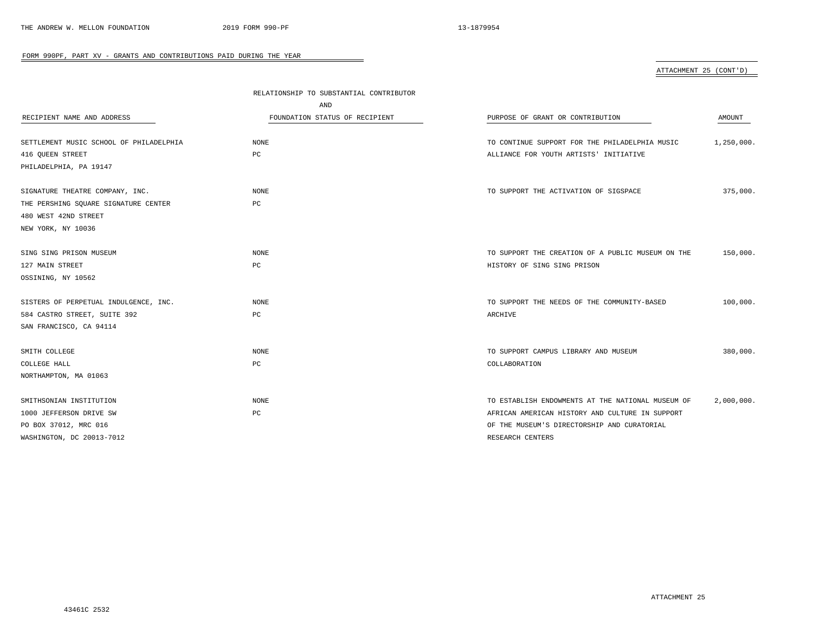ATTACHMENT 25 (CONT'D)

|                                         | RELATIONSHIP TO SUBSTANTIAL CONTRIBUTOR |                                                   |            |
|-----------------------------------------|-----------------------------------------|---------------------------------------------------|------------|
|                                         | AND                                     |                                                   |            |
| RECIPIENT NAME AND ADDRESS              | FOUNDATION STATUS OF RECIPIENT          | PURPOSE OF GRANT OR CONTRIBUTION                  | AMOUNT     |
|                                         |                                         |                                                   |            |
| SETTLEMENT MUSIC SCHOOL OF PHILADELPHIA | <b>NONE</b>                             | TO CONTINUE SUPPORT FOR THE PHILADELPHIA MUSIC    | 1,250,000. |
| 416 OUEEN STREET                        | $_{\rm PC}$                             | ALLIANCE FOR YOUTH ARTISTS' INITIATIVE            |            |
| PHILADELPHIA, PA 19147                  |                                         |                                                   |            |
|                                         |                                         |                                                   |            |
| SIGNATURE THEATRE COMPANY, INC.         | NONE                                    | TO SUPPORT THE ACTIVATION OF SIGSPACE             | 375,000.   |
| THE PERSHING SQUARE SIGNATURE CENTER    | PC                                      |                                                   |            |
| 480 WEST 42ND STREET                    |                                         |                                                   |            |
| NEW YORK, NY 10036                      |                                         |                                                   |            |
|                                         |                                         |                                                   |            |
| SING SING PRISON MUSEUM                 | NONE                                    | TO SUPPORT THE CREATION OF A PUBLIC MUSEUM ON THE | 150,000.   |
| 127 MAIN STREET                         | PC                                      | HISTORY OF SING SING PRISON                       |            |
| OSSINING, NY 10562                      |                                         |                                                   |            |
| SISTERS OF PERPETUAL INDULGENCE, INC.   | NONE                                    | TO SUPPORT THE NEEDS OF THE COMMUNITY-BASED       | 100,000.   |
| 584 CASTRO STREET, SUITE 392            | PC                                      | ARCHIVE                                           |            |
| SAN FRANCISCO, CA 94114                 |                                         |                                                   |            |
|                                         |                                         |                                                   |            |
| SMITH COLLEGE                           | <b>NONE</b>                             | TO SUPPORT CAMPUS LIBRARY AND MUSEUM              | 380,000.   |
| COLLEGE HALL                            | PC                                      | COLLABORATION                                     |            |
| NORTHAMPTON, MA 01063                   |                                         |                                                   |            |
|                                         |                                         |                                                   |            |
| SMITHSONIAN INSTITUTION                 | NONE                                    | TO ESTABLISH ENDOWMENTS AT THE NATIONAL MUSEUM OF | 2,000,000. |
| 1000 JEFFERSON DRIVE SW                 | PC                                      | AFRICAN AMERICAN HISTORY AND CULTURE IN SUPPORT   |            |
| PO BOX 37012, MRC 016                   |                                         | OF THE MUSEUM'S DIRECTORSHIP AND CURATORIAL       |            |
| WASHINGTON, DC 20013-7012               |                                         | RESEARCH CENTERS                                  |            |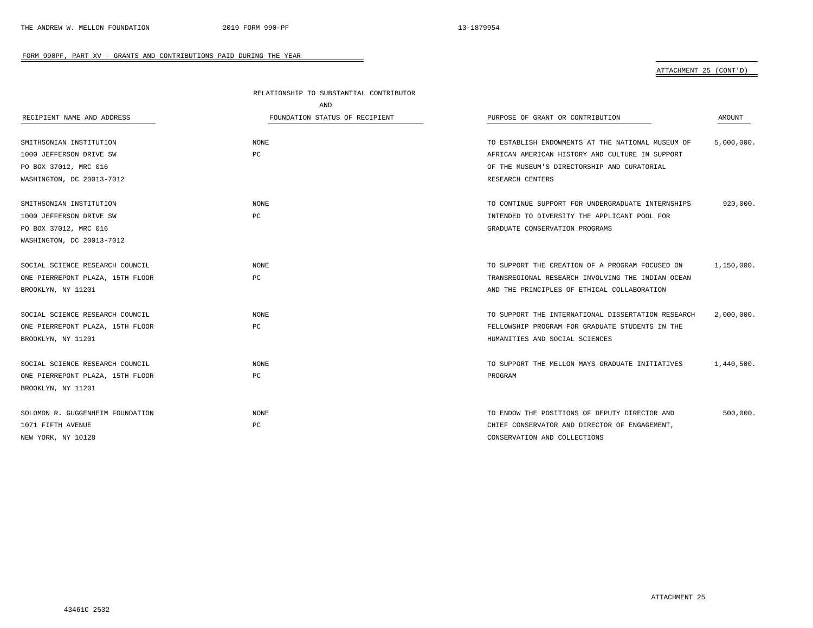# ATTACHMENT 25 (CONT'D)

|                                  | RELATIONSHIP TO SUBSTANTIAL CONTRIBUTOR |                                                    |            |
|----------------------------------|-----------------------------------------|----------------------------------------------------|------------|
|                                  | AND                                     |                                                    |            |
| RECIPIENT NAME AND ADDRESS       | FOUNDATION STATUS OF RECIPIENT          | PURPOSE OF GRANT OR CONTRIBUTION                   | AMOUNT     |
|                                  | NONE                                    |                                                    |            |
| SMITHSONIAN INSTITUTION          |                                         | TO ESTABLISH ENDOWMENTS AT THE NATIONAL MUSEUM OF  | 5,000,000. |
| 1000 JEFFERSON DRIVE SW          | PC                                      | AFRICAN AMERICAN HISTORY AND CULTURE IN SUPPORT    |            |
| PO BOX 37012, MRC 016            |                                         | OF THE MUSEUM'S DIRECTORSHIP AND CURATORIAL        |            |
| WASHINGTON, DC 20013-7012        |                                         | RESEARCH CENTERS                                   |            |
| SMITHSONIAN INSTITUTION          | <b>NONE</b>                             | TO CONTINUE SUPPORT FOR UNDERGRADUATE INTERNSHIPS  | 920,000.   |
| 1000 JEFFERSON DRIVE SW          | РC                                      | INTENDED TO DIVERSITY THE APPLICANT POOL FOR       |            |
| PO BOX 37012, MRC 016            |                                         | GRADUATE CONSERVATION PROGRAMS                     |            |
| WASHINGTON, DC 20013-7012        |                                         |                                                    |            |
| SOCIAL SCIENCE RESEARCH COUNCIL  | <b>NONE</b>                             | TO SUPPORT THE CREATION OF A PROGRAM FOCUSED ON    | 1,150,000. |
| ONE PIERREPONT PLAZA, 15TH FLOOR | РC                                      | TRANSREGIONAL RESEARCH INVOLVING THE INDIAN OCEAN  |            |
| BROOKLYN, NY 11201               |                                         | AND THE PRINCIPLES OF ETHICAL COLLABORATION        |            |
| SOCIAL SCIENCE RESEARCH COUNCIL  | <b>NONE</b>                             | TO SUPPORT THE INTERNATIONAL DISSERTATION RESEARCH | 2,000,000. |
| ONE PIERREPONT PLAZA, 15TH FLOOR | РC                                      | FELLOWSHIP PROGRAM FOR GRADUATE STUDENTS IN THE    |            |
| BROOKLYN, NY 11201               |                                         | HUMANITIES AND SOCIAL SCIENCES                     |            |
| SOCIAL SCIENCE RESEARCH COUNCIL  | <b>NONE</b>                             | TO SUPPORT THE MELLON MAYS GRADUATE INITIATIVES    | 1,440,500. |
| ONE PIERREPONT PLAZA, 15TH FLOOR | РC                                      | PROGRAM                                            |            |
| BROOKLYN, NY 11201               |                                         |                                                    |            |
| SOLOMON R. GUGGENHEIM FOUNDATION | NONE                                    | TO ENDOW THE POSITIONS OF DEPUTY DIRECTOR AND      | 500,000.   |
| 1071 FIFTH AVENUE                | РC                                      | CHIEF CONSERVATOR AND DIRECTOR OF ENGAGEMENT,      |            |
| NEW YORK, NY 10128               |                                         | CONSERVATION AND COLLECTIONS                       |            |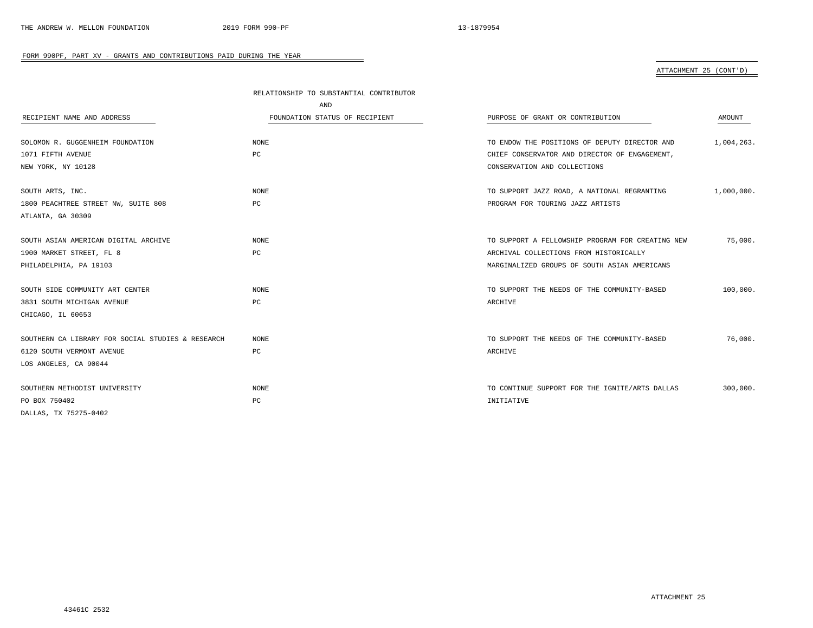# ATTACHMENT 25 (CONT'D)

|                                                   | RELATIONSHIP TO SUBSTANTIAL CONTRIBUTOR |                                                  |            |
|---------------------------------------------------|-----------------------------------------|--------------------------------------------------|------------|
|                                                   | AND                                     |                                                  |            |
| RECIPIENT NAME AND ADDRESS                        | FOUNDATION STATUS OF RECIPIENT          | PURPOSE OF GRANT OR CONTRIBUTION                 | AMOUNT     |
|                                                   |                                         |                                                  |            |
| SOLOMON R. GUGGENHEIM FOUNDATION                  | <b>NONE</b>                             | TO ENDOW THE POSITIONS OF DEPUTY DIRECTOR AND    | 1,004,263. |
| 1071 FIFTH AVENUE                                 | PC                                      | CHIEF CONSERVATOR AND DIRECTOR OF ENGAGEMENT,    |            |
| NEW YORK, NY 10128                                |                                         | CONSERVATION AND COLLECTIONS                     |            |
| SOUTH ARTS, INC.                                  | <b>NONE</b>                             | TO SUPPORT JAZZ ROAD, A NATIONAL REGRANTING      | 1,000,000. |
| 1800 PEACHTREE STREET NW, SUITE 808               | PC                                      | PROGRAM FOR TOURING JAZZ ARTISTS                 |            |
| ATLANTA, GA 30309                                 |                                         |                                                  |            |
| SOUTH ASIAN AMERICAN DIGITAL ARCHIVE              | <b>NONE</b>                             | TO SUPPORT A FELLOWSHIP PROGRAM FOR CREATING NEW | 75,000.    |
| 1900 MARKET STREET, FL 8                          | PC                                      | ARCHIVAL COLLECTIONS FROM HISTORICALLY           |            |
| PHILADELPHIA, PA 19103                            |                                         | MARGINALIZED GROUPS OF SOUTH ASIAN AMERICANS     |            |
|                                                   |                                         |                                                  |            |
| SOUTH SIDE COMMUNITY ART CENTER                   | <b>NONE</b>                             | TO SUPPORT THE NEEDS OF THE COMMUNITY-BASED      | 100,000.   |
| 3831 SOUTH MICHIGAN AVENUE                        | PC                                      | ARCHIVE                                          |            |
| CHICAGO, IL 60653                                 |                                         |                                                  |            |
| SOUTHERN CA LIBRARY FOR SOCIAL STUDIES & RESEARCH | NONE                                    | TO SUPPORT THE NEEDS OF THE COMMUNITY-BASED      | 76,000.    |
| 6120 SOUTH VERMONT AVENUE                         | PC                                      | ARCHIVE                                          |            |
| LOS ANGELES, CA 90044                             |                                         |                                                  |            |
|                                                   |                                         |                                                  |            |
| SOUTHERN METHODIST UNIVERSITY                     | <b>NONE</b>                             | TO CONTINUE SUPPORT FOR THE IGNITE/ARTS DALLAS   | 300,000.   |
| PO BOX 750402                                     | PC                                      | INITIATIVE                                       |            |
| DALLAS, TX 75275-0402                             |                                         |                                                  |            |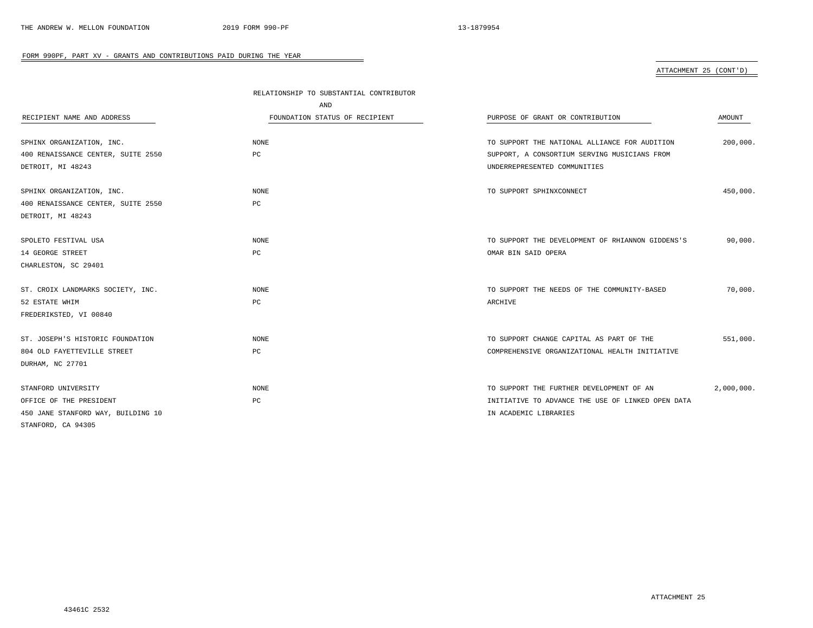# ATTACHMENT 25 (CONT'D)

|                                    | RELATIONSHIP TO SUBSTANTIAL CONTRIBUTOR |                                                   |            |
|------------------------------------|-----------------------------------------|---------------------------------------------------|------------|
|                                    | AND                                     |                                                   |            |
| RECIPIENT NAME AND ADDRESS         | FOUNDATION STATUS OF RECIPIENT          | PURPOSE OF GRANT OR CONTRIBUTION                  | AMOUNT     |
|                                    |                                         |                                                   |            |
| SPHINX ORGANIZATION, INC.          | <b>NONE</b>                             | TO SUPPORT THE NATIONAL ALLIANCE FOR AUDITION     | 200,000.   |
| 400 RENAISSANCE CENTER, SUITE 2550 | PC                                      | SUPPORT, A CONSORTIUM SERVING MUSICIANS FROM      |            |
| DETROIT, MI 48243                  |                                         | UNDERREPRESENTED COMMUNITIES                      |            |
| SPHINX ORGANIZATION, INC.          | <b>NONE</b>                             | TO SUPPORT SPHINXCONNECT                          | 450,000.   |
| 400 RENAISSANCE CENTER, SUITE 2550 | PC                                      |                                                   |            |
| DETROIT, MI 48243                  |                                         |                                                   |            |
| SPOLETO FESTIVAL USA               | <b>NONE</b>                             | TO SUPPORT THE DEVELOPMENT OF RHIANNON GIDDENS'S  | 90,000.    |
| 14 GEORGE STREET                   | PC                                      | OMAR BIN SAID OPERA                               |            |
| CHARLESTON, SC 29401               |                                         |                                                   |            |
| ST. CROIX LANDMARKS SOCIETY, INC.  | <b>NONE</b>                             | TO SUPPORT THE NEEDS OF THE COMMUNITY-BASED       | 70,000.    |
| 52 ESTATE WHIM                     | PC                                      | ARCHIVE                                           |            |
| FREDERIKSTED, VI 00840             |                                         |                                                   |            |
| ST. JOSEPH'S HISTORIC FOUNDATION   | <b>NONE</b>                             | TO SUPPORT CHANGE CAPITAL AS PART OF THE          | 551,000.   |
| 804 OLD FAYETTEVILLE STREET        | PC                                      | COMPREHENSIVE ORGANIZATIONAL HEALTH INITIATIVE    |            |
| DURHAM, NC 27701                   |                                         |                                                   |            |
| STANFORD UNIVERSITY                | <b>NONE</b>                             | TO SUPPORT THE FURTHER DEVELOPMENT OF AN          | 2,000,000. |
| OFFICE OF THE PRESIDENT            | PC                                      | INITIATIVE TO ADVANCE THE USE OF LINKED OPEN DATA |            |
| 450 JANE STANFORD WAY, BUILDING 10 |                                         | IN ACADEMIC LIBRARIES                             |            |
| STANFORD, CA 94305                 |                                         |                                                   |            |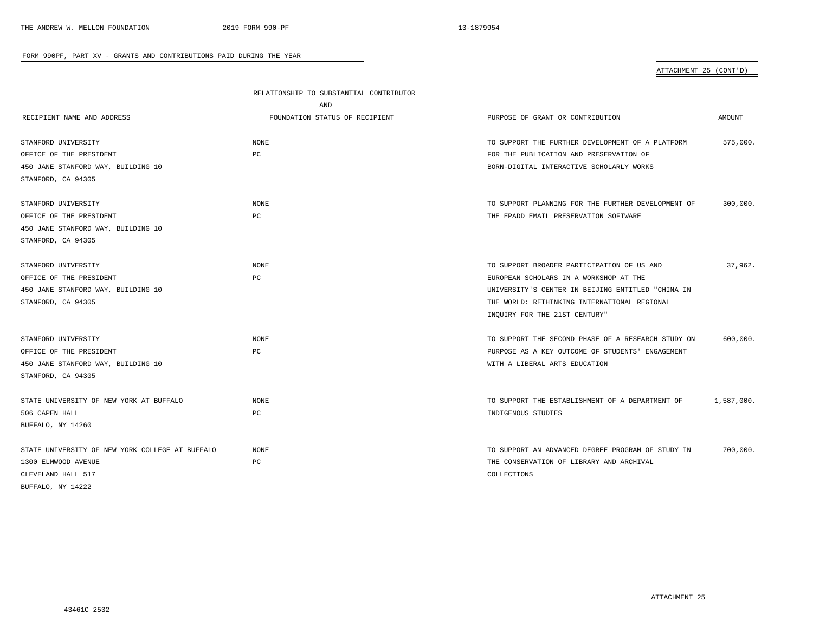# ATTACHMENT 25 (CONT'D)

|                                                 | RELATIONSHIP TO SUBSTANTIAL CONTRIBUTOR |                                                    |            |
|-------------------------------------------------|-----------------------------------------|----------------------------------------------------|------------|
|                                                 | AND                                     |                                                    |            |
| RECIPIENT NAME AND ADDRESS                      | FOUNDATION STATUS OF RECIPIENT          | PURPOSE OF GRANT OR CONTRIBUTION                   | AMOUNT     |
|                                                 |                                         |                                                    |            |
| STANFORD UNIVERSITY                             | <b>NONE</b>                             | TO SUPPORT THE FURTHER DEVELOPMENT OF A PLATFORM   | 575,000.   |
| OFFICE OF THE PRESIDENT                         | PC                                      | FOR THE PUBLICATION AND PRESERVATION OF            |            |
| 450 JANE STANFORD WAY, BUILDING 10              |                                         | BORN-DIGITAL INTERACTIVE SCHOLARLY WORKS           |            |
| STANFORD, CA 94305                              |                                         |                                                    |            |
| STANFORD UNIVERSITY                             | <b>NONE</b>                             | TO SUPPORT PLANNING FOR THE FURTHER DEVELOPMENT OF | 300,000.   |
| OFFICE OF THE PRESIDENT                         | PC                                      | THE EPADD EMAIL PRESERVATION SOFTWARE              |            |
| 450 JANE STANFORD WAY, BUILDING 10              |                                         |                                                    |            |
| STANFORD, CA 94305                              |                                         |                                                    |            |
| STANFORD UNIVERSITY                             | <b>NONE</b>                             | TO SUPPORT BROADER PARTICIPATION OF US AND         | 37,962.    |
| OFFICE OF THE PRESIDENT                         | PC                                      | EUROPEAN SCHOLARS IN A WORKSHOP AT THE             |            |
| 450 JANE STANFORD WAY, BUILDING 10              |                                         | UNIVERSITY'S CENTER IN BEIJING ENTITLED "CHINA IN  |            |
| STANFORD, CA 94305                              |                                         | THE WORLD: RETHINKING INTERNATIONAL REGIONAL       |            |
|                                                 |                                         | INQUIRY FOR THE 21ST CENTURY"                      |            |
| STANFORD UNIVERSITY                             | <b>NONE</b>                             | TO SUPPORT THE SECOND PHASE OF A RESEARCH STUDY ON | 600,000.   |
| OFFICE OF THE PRESIDENT                         | PC                                      | PURPOSE AS A KEY OUTCOME OF STUDENTS' ENGAGEMENT   |            |
| 450 JANE STANFORD WAY, BUILDING 10              |                                         | WITH A LIBERAL ARTS EDUCATION                      |            |
| STANFORD, CA 94305                              |                                         |                                                    |            |
| STATE UNIVERSITY OF NEW YORK AT BUFFALO         | <b>NONE</b>                             | TO SUPPORT THE ESTABLISHMENT OF A DEPARTMENT OF    | 1,587,000. |
| 506 CAPEN HALL                                  | PC                                      | INDIGENOUS STUDIES                                 |            |
| BUFFALO, NY 14260                               |                                         |                                                    |            |
| STATE UNIVERSITY OF NEW YORK COLLEGE AT BUFFALO | <b>NONE</b>                             | TO SUPPORT AN ADVANCED DEGREE PROGRAM OF STUDY IN  | 700,000.   |
| 1300 ELMWOOD AVENUE                             | PC                                      | THE CONSERVATION OF LIBRARY AND ARCHIVAL           |            |
| CLEVELAND HALL 517                              |                                         | COLLECTIONS                                        |            |
| BUFFALO, NY 14222                               |                                         |                                                    |            |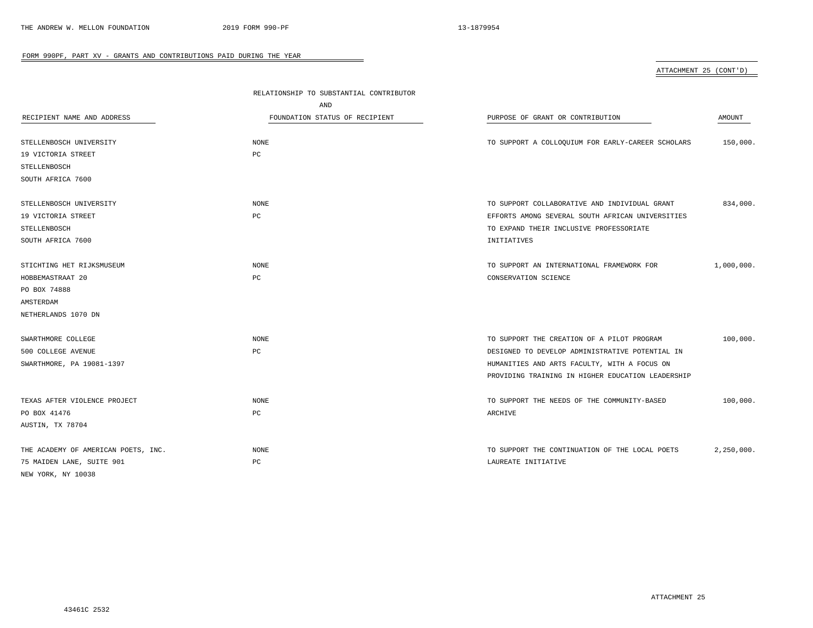# ATTACHMENT 25 (CONT'D)

| RECIPIENT NAME AND ADDRESS          | RELATIONSHIP TO SUBSTANTIAL CONTRIBUTOR<br>AND<br>FOUNDATION STATUS OF RECIPIENT | PURPOSE OF GRANT OR CONTRIBUTION                  | AMOUNT     |
|-------------------------------------|----------------------------------------------------------------------------------|---------------------------------------------------|------------|
| STELLENBOSCH UNIVERSITY             | <b>NONE</b>                                                                      | TO SUPPORT A COLLOQUIUM FOR EARLY-CAREER SCHOLARS | 150,000.   |
| 19 VICTORIA STREET                  | PC                                                                               |                                                   |            |
| STELLENBOSCH                        |                                                                                  |                                                   |            |
| SOUTH AFRICA 7600                   |                                                                                  |                                                   |            |
| STELLENBOSCH UNIVERSITY             | <b>NONE</b>                                                                      | TO SUPPORT COLLABORATIVE AND INDIVIDUAL GRANT     | 834,000.   |
| 19 VICTORIA STREET                  | $_{\rm PC}$                                                                      | EFFORTS AMONG SEVERAL SOUTH AFRICAN UNIVERSITIES  |            |
| STELLENBOSCH                        |                                                                                  | TO EXPAND THEIR INCLUSIVE PROFESSORIATE           |            |
| SOUTH AFRICA 7600                   |                                                                                  | INITIATIVES                                       |            |
| STICHTING HET RIJKSMUSEUM           | <b>NONE</b>                                                                      | TO SUPPORT AN INTERNATIONAL FRAMEWORK FOR         | 1,000,000. |
| HOBBEMASTRAAT 20                    | PC                                                                               | CONSERVATION SCIENCE                              |            |
| PO BOX 74888                        |                                                                                  |                                                   |            |
| AMSTERDAM                           |                                                                                  |                                                   |            |
| NETHERLANDS 1070 DN                 |                                                                                  |                                                   |            |
| SWARTHMORE COLLEGE                  | <b>NONE</b>                                                                      | TO SUPPORT THE CREATION OF A PILOT PROGRAM        | 100,000.   |
| 500 COLLEGE AVENUE                  | PC                                                                               | DESIGNED TO DEVELOP ADMINISTRATIVE POTENTIAL IN   |            |
| SWARTHMORE, PA 19081-1397           |                                                                                  | HUMANITIES AND ARTS FACULTY, WITH A FOCUS ON      |            |
|                                     |                                                                                  | PROVIDING TRAINING IN HIGHER EDUCATION LEADERSHIP |            |
| TEXAS AFTER VIOLENCE PROJECT        | <b>NONE</b>                                                                      | TO SUPPORT THE NEEDS OF THE COMMUNITY-BASED       | 100,000.   |
| PO BOX 41476                        | PC                                                                               | ARCHIVE                                           |            |
| AUSTIN, TX 78704                    |                                                                                  |                                                   |            |
| THE ACADEMY OF AMERICAN POETS, INC. | <b>NONE</b>                                                                      | TO SUPPORT THE CONTINUATION OF THE LOCAL POETS    | 2,250,000. |
| 75 MAIDEN LANE, SUITE 901           | PC                                                                               | LAUREATE INITIATIVE                               |            |
| NEW YORK, NY 10038                  |                                                                                  |                                                   |            |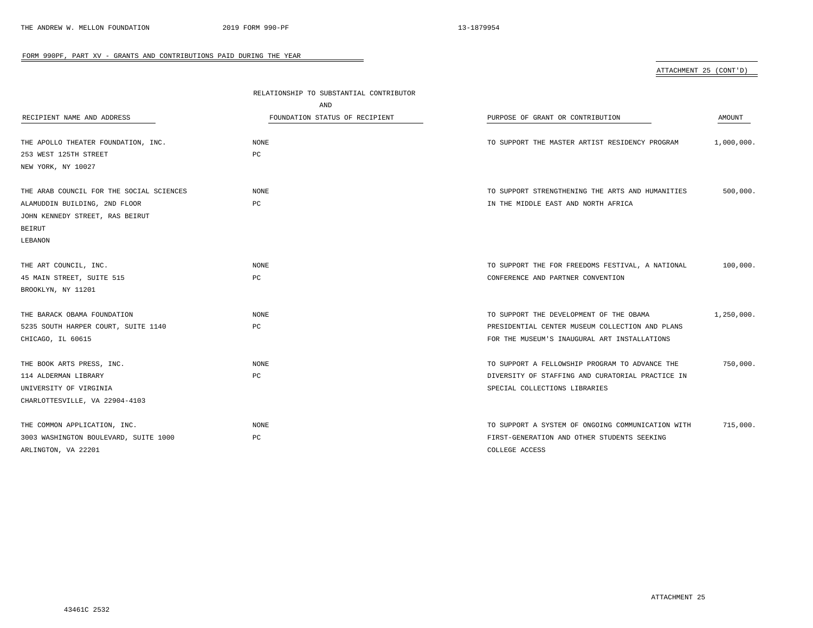# ATTACHMENT 25 (CONT'D)

|                                          | RELATIONSHIP TO SUBSTANTIAL CONTRIBUTOR |                                                   |            |
|------------------------------------------|-----------------------------------------|---------------------------------------------------|------------|
|                                          | AND                                     |                                                   |            |
| RECIPIENT NAME AND ADDRESS               | FOUNDATION STATUS OF RECIPIENT          | PURPOSE OF GRANT OR CONTRIBUTION                  | AMOUNT     |
|                                          |                                         |                                                   |            |
| THE APOLLO THEATER FOUNDATION, INC.      | NONE                                    | TO SUPPORT THE MASTER ARTIST RESIDENCY PROGRAM    | 1,000,000. |
| 253 WEST 125TH STREET                    | РC                                      |                                                   |            |
| NEW YORK, NY 10027                       |                                         |                                                   |            |
|                                          |                                         |                                                   |            |
| THE ARAB COUNCIL FOR THE SOCIAL SCIENCES | <b>NONE</b>                             | TO SUPPORT STRENGTHENING THE ARTS AND HUMANITIES  | 500,000.   |
| ALAMUDDIN BUILDING, 2ND FLOOR            | PC                                      | IN THE MIDDLE EAST AND NORTH AFRICA               |            |
| JOHN KENNEDY STREET, RAS BEIRUT          |                                         |                                                   |            |
| <b>BEIRUT</b>                            |                                         |                                                   |            |
| LEBANON                                  |                                         |                                                   |            |
|                                          |                                         |                                                   |            |
| THE ART COUNCIL, INC.                    | NONE                                    | TO SUPPORT THE FOR FREEDOMS FESTIVAL, A NATIONAL  | 100,000.   |
| 45 MAIN STREET, SUITE 515                | PC                                      | CONFERENCE AND PARTNER CONVENTION                 |            |
| BROOKLYN, NY 11201                       |                                         |                                                   |            |
|                                          |                                         |                                                   |            |
| THE BARACK OBAMA FOUNDATION              | <b>NONE</b>                             | TO SUPPORT THE DEVELOPMENT OF THE OBAMA           | 1,250,000. |
| 5235 SOUTH HARPER COURT, SUITE 1140      | PC                                      | PRESIDENTIAL CENTER MUSEUM COLLECTION AND PLANS   |            |
| CHICAGO, IL 60615                        |                                         | FOR THE MUSEUM'S INAUGURAL ART INSTALLATIONS      |            |
|                                          |                                         |                                                   |            |
| THE BOOK ARTS PRESS, INC.                | <b>NONE</b>                             | TO SUPPORT A FELLOWSHIP PROGRAM TO ADVANCE THE    | 750,000.   |
| 114 ALDERMAN LIBRARY                     | PC                                      | DIVERSITY OF STAFFING AND CURATORIAL PRACTICE IN  |            |
| UNIVERSITY OF VIRGINIA                   |                                         | SPECIAL COLLECTIONS LIBRARIES                     |            |
| CHARLOTTESVILLE, VA 22904-4103           |                                         |                                                   |            |
|                                          |                                         |                                                   |            |
| THE COMMON APPLICATION, INC.             | <b>NONE</b>                             | TO SUPPORT A SYSTEM OF ONGOING COMMUNICATION WITH | 715,000.   |
| 3003 WASHINGTON BOULEVARD, SUITE 1000    | PC                                      | FIRST-GENERATION AND OTHER STUDENTS SEEKING       |            |
| ARLINGTON, VA 22201                      |                                         | COLLEGE ACCESS                                    |            |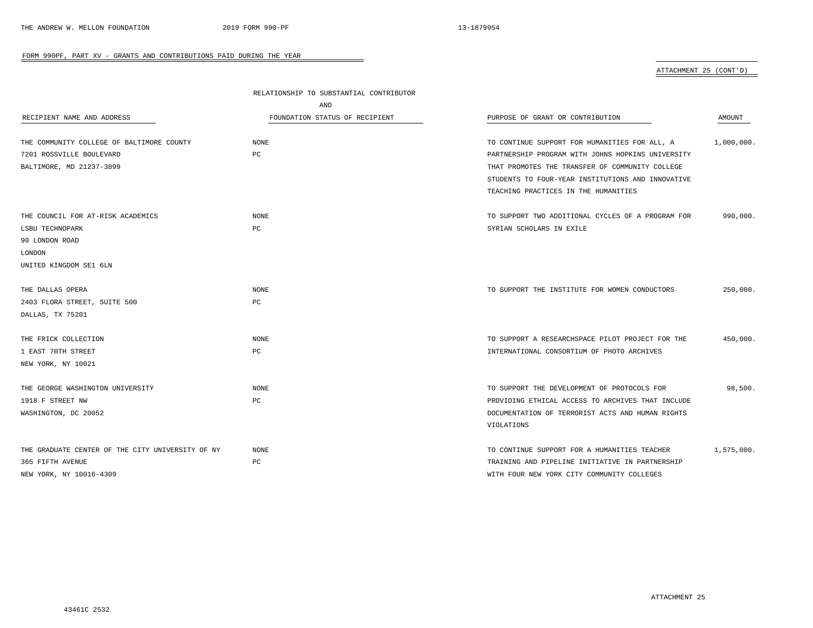ATTACHMENT 25 (CONT'D)

|                                                  | RELATIONSHIP TO SUBSTANTIAL CONTRIBUTOR |                                                   |            |
|--------------------------------------------------|-----------------------------------------|---------------------------------------------------|------------|
|                                                  | AND                                     |                                                   |            |
| RECIPIENT NAME AND ADDRESS                       | FOUNDATION STATUS OF RECIPIENT          | PURPOSE OF GRANT OR CONTRIBUTION                  | AMOUNT     |
| THE COMMUNITY COLLEGE OF BALTIMORE COUNTY        | <b>NONE</b>                             | TO CONTINUE SUPPORT FOR HUMANITIES FOR ALL, A     | 1,000,000. |
| 7201 ROSSVILLE BOULEVARD                         | PC                                      | PARTNERSHIP PROGRAM WITH JOHNS HOPKINS UNIVERSITY |            |
| BALTIMORE, MD 21237-3899                         |                                         | THAT PROMOTES THE TRANSFER OF COMMUNITY COLLEGE   |            |
|                                                  |                                         | STUDENTS TO FOUR-YEAR INSTITUTIONS AND INNOVATIVE |            |
|                                                  |                                         | TEACHING PRACTICES IN THE HUMANITIES              |            |
| THE COUNCIL FOR AT-RISK ACADEMICS                | <b>NONE</b>                             | TO SUPPORT TWO ADDITIONAL CYCLES OF A PROGRAM FOR | 990,000.   |
| LSBU TECHNOPARK                                  | PC                                      | SYRIAN SCHOLARS IN EXILE                          |            |
| 90 LONDON ROAD                                   |                                         |                                                   |            |
| LONDON                                           |                                         |                                                   |            |
| UNITED KINGDOM SE1 6LN                           |                                         |                                                   |            |
| THE DALLAS OPERA                                 | <b>NONE</b>                             | TO SUPPORT THE INSTITUTE FOR WOMEN CONDUCTORS     | 250,000.   |
| 2403 FLORA STREET, SUITE 500                     | PC                                      |                                                   |            |
| DALLAS, TX 75201                                 |                                         |                                                   |            |
| THE FRICK COLLECTION                             | <b>NONE</b>                             | TO SUPPORT A RESEARCHSPACE PILOT PROJECT FOR THE  | 450,000.   |
| 1 EAST 70TH STREET                               | PC                                      | INTERNATIONAL CONSORTIUM OF PHOTO ARCHIVES        |            |
| NEW YORK, NY 10021                               |                                         |                                                   |            |
| THE GEORGE WASHINGTON UNIVERSITY                 | <b>NONE</b>                             | TO SUPPORT THE DEVELOPMENT OF PROTOCOLS FOR       | 98,500.    |
| 1918 F STREET NW                                 | PC                                      | PROVIDING ETHICAL ACCESS TO ARCHIVES THAT INCLUDE |            |
| WASHINGTON, DC 20052                             |                                         | DOCUMENTATION OF TERRORIST ACTS AND HUMAN RIGHTS  |            |
|                                                  |                                         | VIOLATIONS                                        |            |
| THE GRADUATE CENTER OF THE CITY UNIVERSITY OF NY | <b>NONE</b>                             | TO CONTINUE SUPPORT FOR A HUMANITIES TEACHER      | 1,575,000. |
| 365 FIFTH AVENUE                                 | $_{\rm PC}$                             | TRAINING AND PIPELINE INITIATIVE IN PARTNERSHIP   |            |
| NEW YORK, NY 10016-4309                          |                                         | WITH FOUR NEW YORK CITY COMMUNITY COLLEGES        |            |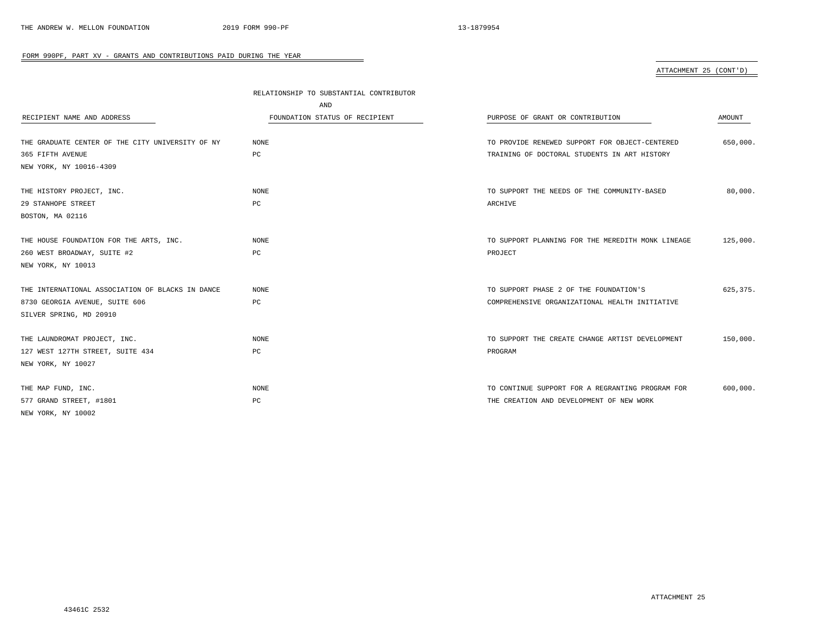# ATTACHMENT 25 (CONT'D)

|                                                  | RELATIONSHIP TO SUBSTANTIAL CONTRIBUTOR |                                                   |           |
|--------------------------------------------------|-----------------------------------------|---------------------------------------------------|-----------|
|                                                  | AND                                     |                                                   |           |
| RECIPIENT NAME AND ADDRESS                       | FOUNDATION STATUS OF RECIPIENT          | PURPOSE OF GRANT OR CONTRIBUTION                  | AMOUNT    |
| THE GRADUATE CENTER OF THE CITY UNIVERSITY OF NY | <b>NONE</b>                             | TO PROVIDE RENEWED SUPPORT FOR OBJECT-CENTERED    | 650,000.  |
| 365 FIFTH AVENUE                                 | PC                                      | TRAINING OF DOCTORAL STUDENTS IN ART HISTORY      |           |
| NEW YORK, NY 10016-4309                          |                                         |                                                   |           |
| THE HISTORY PROJECT, INC.                        | NONE                                    | TO SUPPORT THE NEEDS OF THE COMMUNITY-BASED       | 80,000.   |
| 29 STANHOPE STREET                               | PC                                      | ARCHIVE                                           |           |
| BOSTON, MA 02116                                 |                                         |                                                   |           |
| THE HOUSE FOUNDATION FOR THE ARTS, INC.          | NONE                                    | TO SUPPORT PLANNING FOR THE MEREDITH MONK LINEAGE | 125,000.  |
| 260 WEST BROADWAY, SUITE #2                      | $_{\rm PC}$                             | PROJECT                                           |           |
| NEW YORK, NY 10013                               |                                         |                                                   |           |
| THE INTERNATIONAL ASSOCIATION OF BLACKS IN DANCE | <b>NONE</b>                             | TO SUPPORT PHASE 2 OF THE FOUNDATION'S            | 625, 375. |
| 8730 GEORGIA AVENUE, SUITE 606                   | $_{\rm PC}$                             | COMPREHENSIVE ORGANIZATIONAL HEALTH INITIATIVE    |           |
| SILVER SPRING, MD 20910                          |                                         |                                                   |           |
| THE LAUNDROMAT PROJECT, INC.                     | <b>NONE</b>                             | TO SUPPORT THE CREATE CHANGE ARTIST DEVELOPMENT   | 150,000.  |
| 127 WEST 127TH STREET, SUITE 434                 | $_{\rm PC}$                             | PROGRAM                                           |           |
| NEW YORK, NY 10027                               |                                         |                                                   |           |
| THE MAP FUND, INC.                               | NONE                                    | TO CONTINUE SUPPORT FOR A REGRANTING PROGRAM FOR  | 600,000.  |
| 577 GRAND STREET, #1801                          | РC                                      | THE CREATION AND DEVELOPMENT OF NEW WORK          |           |
| NEW YORK, NY 10002                               |                                         |                                                   |           |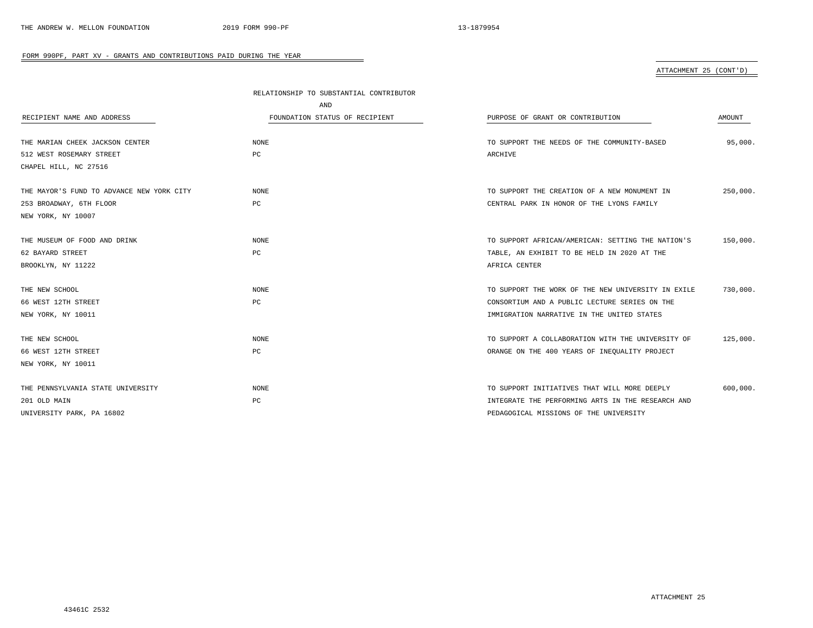ATTACHMENT 25 (CONT'D)

|                                           | RELATIONSHIP TO SUBSTANTIAL CONTRIBUTOR |                                                    |          |
|-------------------------------------------|-----------------------------------------|----------------------------------------------------|----------|
|                                           | AND                                     |                                                    |          |
| RECIPIENT NAME AND ADDRESS                | FOUNDATION STATUS OF RECIPIENT          | PURPOSE OF GRANT OR CONTRIBUTION                   | AMOUNT   |
|                                           |                                         |                                                    |          |
| THE MARIAN CHEEK JACKSON CENTER           | NONE                                    | TO SUPPORT THE NEEDS OF THE COMMUNITY-BASED        | 95,000.  |
| 512 WEST ROSEMARY STREET                  | $_{\rm PC}$                             | ARCHIVE                                            |          |
| CHAPEL HILL, NC 27516                     |                                         |                                                    |          |
|                                           |                                         |                                                    |          |
| THE MAYOR'S FUND TO ADVANCE NEW YORK CITY | NONE                                    | TO SUPPORT THE CREATION OF A NEW MONUMENT IN       | 250,000. |
| 253 BROADWAY, 6TH FLOOR                   | PC                                      | CENTRAL PARK IN HONOR OF THE LYONS FAMILY          |          |
| NEW YORK, NY 10007                        |                                         |                                                    |          |
|                                           |                                         |                                                    |          |
| THE MUSEUM OF FOOD AND DRINK              | NONE                                    | TO SUPPORT AFRICAN/AMERICAN: SETTING THE NATION'S  | 150,000. |
| 62 BAYARD STREET                          | PC                                      | TABLE, AN EXHIBIT TO BE HELD IN 2020 AT THE        |          |
| BROOKLYN, NY 11222                        |                                         | AFRICA CENTER                                      |          |
|                                           |                                         |                                                    |          |
| THE NEW SCHOOL                            | <b>NONE</b>                             | TO SUPPORT THE WORK OF THE NEW UNIVERSITY IN EXILE | 730,000. |
| 66 WEST 12TH STREET                       | $_{\rm PC}$                             | CONSORTIUM AND A PUBLIC LECTURE SERIES ON THE      |          |
| NEW YORK, NY 10011                        |                                         | IMMIGRATION NARRATIVE IN THE UNITED STATES         |          |
|                                           |                                         |                                                    |          |
| THE NEW SCHOOL                            | <b>NONE</b>                             | TO SUPPORT A COLLABORATION WITH THE UNIVERSITY OF  | 125,000. |
| 66 WEST 12TH STREET                       | $_{\rm PC}$                             | ORANGE ON THE 400 YEARS OF INEQUALITY PROJECT      |          |
| NEW YORK, NY 10011                        |                                         |                                                    |          |
|                                           |                                         |                                                    |          |
| THE PENNSYLVANIA STATE UNIVERSITY         | NONE                                    | TO SUPPORT INITIATIVES THAT WILL MORE DEEPLY       | 600,000. |
| 201 OLD MAIN                              | $_{\rm PC}$                             | INTEGRATE THE PERFORMING ARTS IN THE RESEARCH AND  |          |
| UNIVERSITY PARK, PA 16802                 |                                         | PEDAGOGICAL MISSIONS OF THE UNIVERSITY             |          |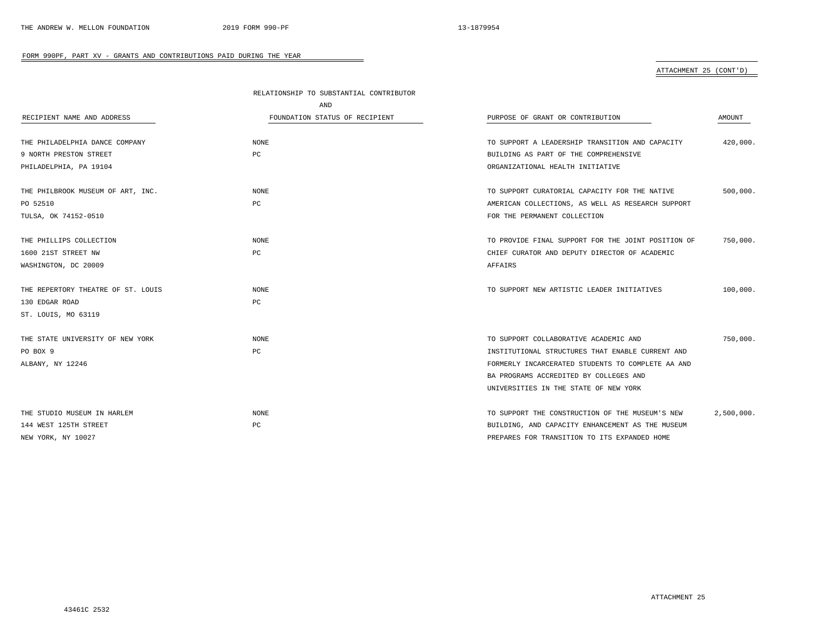# ATTACHMENT 25 (CONT'D)

|                                    | RELATIONSHIP TO SUBSTANTIAL CONTRIBUTOR |                                                    |            |
|------------------------------------|-----------------------------------------|----------------------------------------------------|------------|
|                                    | AND                                     |                                                    |            |
| RECIPIENT NAME AND ADDRESS         | FOUNDATION STATUS OF RECIPIENT          | PURPOSE OF GRANT OR CONTRIBUTION                   | AMOUNT     |
| THE PHILADELPHIA DANCE COMPANY     | <b>NONE</b>                             | TO SUPPORT A LEADERSHIP TRANSITION AND CAPACITY    | 420,000.   |
| 9 NORTH PRESTON STREET             | PC                                      | BUILDING AS PART OF THE COMPREHENSIVE              |            |
| PHILADELPHIA, PA 19104             |                                         | ORGANIZATIONAL HEALTH INITIATIVE                   |            |
|                                    |                                         |                                                    |            |
| THE PHILBROOK MUSEUM OF ART, INC.  | <b>NONE</b>                             | TO SUPPORT CURATORIAL CAPACITY FOR THE NATIVE      | 500,000.   |
| PO 52510                           | PC                                      | AMERICAN COLLECTIONS, AS WELL AS RESEARCH SUPPORT  |            |
| TULSA, OK 74152-0510               |                                         | FOR THE PERMANENT COLLECTION                       |            |
|                                    |                                         |                                                    |            |
| THE PHILLIPS COLLECTION            | <b>NONE</b>                             | TO PROVIDE FINAL SUPPORT FOR THE JOINT POSITION OF | 750,000.   |
| 1600 21ST STREET NW                | PC                                      | CHIEF CURATOR AND DEPUTY DIRECTOR OF ACADEMIC      |            |
| WASHINGTON, DC 20009               |                                         | AFFAIRS                                            |            |
| THE REPERTORY THEATRE OF ST. LOUIS | <b>NONE</b>                             | TO SUPPORT NEW ARTISTIC LEADER INITIATIVES         | 100,000.   |
| 130 EDGAR ROAD                     | PC                                      |                                                    |            |
| ST. LOUIS, MO 63119                |                                         |                                                    |            |
| THE STATE UNIVERSITY OF NEW YORK   | <b>NONE</b>                             | TO SUPPORT COLLABORATIVE ACADEMIC AND              | 750,000.   |
| PO BOX 9                           | PC                                      | INSTITUTIONAL STRUCTURES THAT ENABLE CURRENT AND   |            |
| ALBANY, NY 12246                   |                                         | FORMERLY INCARCERATED STUDENTS TO COMPLETE AA AND  |            |
|                                    |                                         | BA PROGRAMS ACCREDITED BY COLLEGES AND             |            |
|                                    |                                         |                                                    |            |
|                                    |                                         | UNIVERSITIES IN THE STATE OF NEW YORK              |            |
| THE STUDIO MUSEUM IN HARLEM        | <b>NONE</b>                             | TO SUPPORT THE CONSTRUCTION OF THE MUSEUM'S NEW    | 2,500,000. |
| 144 WEST 125TH STREET              | PC                                      | BUILDING, AND CAPACITY ENHANCEMENT AS THE MUSEUM   |            |
| NEW YORK, NY 10027                 |                                         | PREPARES FOR TRANSITION TO ITS EXPANDED HOME       |            |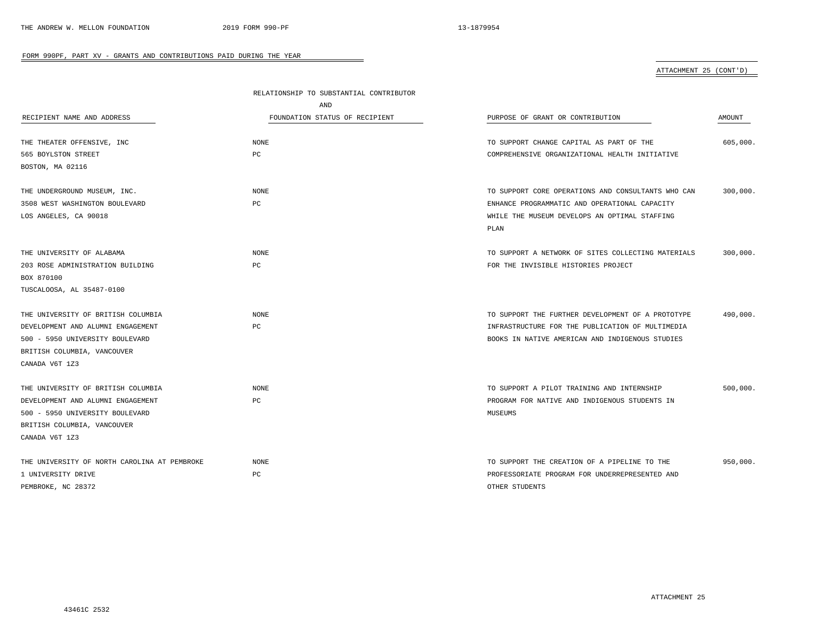# ATTACHMENT 25 (CONT'D)

|                                              | RELATIONSHIP TO SUBSTANTIAL CONTRIBUTOR |                                                    |          |  |
|----------------------------------------------|-----------------------------------------|----------------------------------------------------|----------|--|
|                                              | AND                                     |                                                    |          |  |
| RECIPIENT NAME AND ADDRESS                   | FOUNDATION STATUS OF RECIPIENT          | PURPOSE OF GRANT OR CONTRIBUTION                   | AMOUNT   |  |
| THE THEATER OFFENSIVE, INC                   | NONE                                    | TO SUPPORT CHANGE CAPITAL AS PART OF THE           | 605,000. |  |
| 565 BOYLSTON STREET                          | PC                                      | COMPREHENSIVE ORGANIZATIONAL HEALTH INITIATIVE     |          |  |
| BOSTON, MA 02116                             |                                         |                                                    |          |  |
|                                              |                                         |                                                    |          |  |
| THE UNDERGROUND MUSEUM, INC.                 | NONE                                    | TO SUPPORT CORE OPERATIONS AND CONSULTANTS WHO CAN | 300,000. |  |
| 3508 WEST WASHINGTON BOULEVARD               | PC                                      | ENHANCE PROGRAMMATIC AND OPERATIONAL CAPACITY      |          |  |
| LOS ANGELES, CA 90018                        |                                         | WHILE THE MUSEUM DEVELOPS AN OPTIMAL STAFFING      |          |  |
|                                              |                                         | PLAN                                               |          |  |
| THE UNIVERSITY OF ALABAMA                    | NONE                                    | TO SUPPORT A NETWORK OF SITES COLLECTING MATERIALS | 300,000. |  |
| 203 ROSE ADMINISTRATION BUILDING             | PC                                      | FOR THE INVISIBLE HISTORIES PROJECT                |          |  |
| BOX 870100                                   |                                         |                                                    |          |  |
| TUSCALOOSA, AL 35487-0100                    |                                         |                                                    |          |  |
|                                              |                                         |                                                    |          |  |
| THE UNIVERSITY OF BRITISH COLUMBIA           | NONE                                    | TO SUPPORT THE FURTHER DEVELOPMENT OF A PROTOTYPE  | 490,000. |  |
| DEVELOPMENT AND ALUMNI ENGAGEMENT            | PC                                      | INFRASTRUCTURE FOR THE PUBLICATION OF MULTIMEDIA   |          |  |
| 500 - 5950 UNIVERSITY BOULEVARD              |                                         | BOOKS IN NATIVE AMERICAN AND INDIGENOUS STUDIES    |          |  |
| BRITISH COLUMBIA, VANCOUVER                  |                                         |                                                    |          |  |
| CANADA V6T 1Z3                               |                                         |                                                    |          |  |
| THE UNIVERSITY OF BRITISH COLUMBIA           | NONE                                    | TO SUPPORT A PILOT TRAINING AND INTERNSHIP         | 500,000. |  |
| DEVELOPMENT AND ALUMNI ENGAGEMENT            | PC                                      | PROGRAM FOR NATIVE AND INDIGENOUS STUDENTS IN      |          |  |
| 500 - 5950 UNIVERSITY BOULEVARD              |                                         | MUSEUMS                                            |          |  |
| BRITISH COLUMBIA, VANCOUVER                  |                                         |                                                    |          |  |
| CANADA V6T 1Z3                               |                                         |                                                    |          |  |
| THE UNIVERSITY OF NORTH CAROLINA AT PEMBROKE | NONE                                    | TO SUPPORT THE CREATION OF A PIPELINE TO THE       | 950,000. |  |
| 1 UNIVERSITY DRIVE                           | РC                                      | PROFESSORIATE PROGRAM FOR UNDERREPRESENTED AND     |          |  |
| PEMBROKE, NC 28372                           |                                         | OTHER STUDENTS                                     |          |  |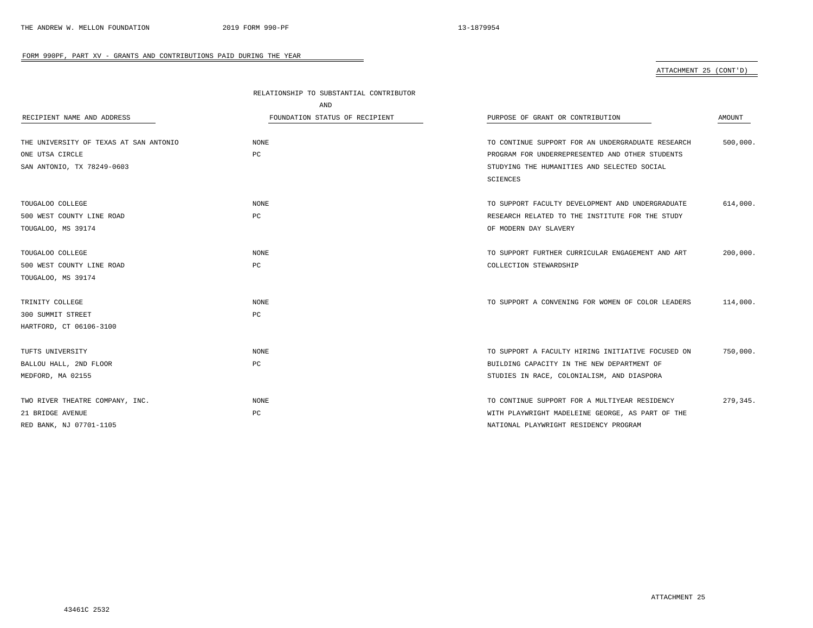# ATTACHMENT 25 (CONT'D)

|                                        | RELATIONSHIP TO SUBSTANTIAL CONTRIBUTOR |                                                   |          |
|----------------------------------------|-----------------------------------------|---------------------------------------------------|----------|
|                                        | AND                                     |                                                   |          |
| RECIPIENT NAME AND ADDRESS             | FOUNDATION STATUS OF RECIPIENT          | PURPOSE OF GRANT OR CONTRIBUTION                  | AMOUNT   |
|                                        |                                         |                                                   |          |
| THE UNIVERSITY OF TEXAS AT SAN ANTONIO | NONE                                    | TO CONTINUE SUPPORT FOR AN UNDERGRADUATE RESEARCH | 500,000. |
| ONE UTSA CIRCLE                        | PC                                      | PROGRAM FOR UNDERREPRESENTED AND OTHER STUDENTS   |          |
| SAN ANTONIO, TX 78249-0603             |                                         | STUDYING THE HUMANITIES AND SELECTED SOCIAL       |          |
|                                        |                                         | SCIENCES                                          |          |
| TOUGALOO COLLEGE                       | <b>NONE</b>                             | TO SUPPORT FACULTY DEVELOPMENT AND UNDERGRADUATE  | 614,000. |
| 500 WEST COUNTY LINE ROAD              | PC                                      | RESEARCH RELATED TO THE INSTITUTE FOR THE STUDY   |          |
| TOUGALOO, MS 39174                     |                                         | OF MODERN DAY SLAVERY                             |          |
| TOUGALOO COLLEGE                       | <b>NONE</b>                             | TO SUPPORT FURTHER CURRICULAR ENGAGEMENT AND ART  | 200,000. |
| 500 WEST COUNTY LINE ROAD              | PC                                      | COLLECTION STEWARDSHIP                            |          |
| TOUGALOO, MS 39174                     |                                         |                                                   |          |
| TRINITY COLLEGE                        | <b>NONE</b>                             | TO SUPPORT A CONVENING FOR WOMEN OF COLOR LEADERS | 114,000. |
| 300 SUMMIT STREET                      | РC                                      |                                                   |          |
| HARTFORD, CT 06106-3100                |                                         |                                                   |          |
| TUFTS UNIVERSITY                       | <b>NONE</b>                             | TO SUPPORT A FACULTY HIRING INITIATIVE FOCUSED ON | 750,000. |
| BALLOU HALL, 2ND FLOOR                 | РC                                      | BUILDING CAPACITY IN THE NEW DEPARTMENT OF        |          |
| MEDFORD, MA 02155                      |                                         | STUDIES IN RACE, COLONIALISM, AND DIASPORA        |          |
| TWO RIVER THEATRE COMPANY, INC.        | <b>NONE</b>                             | TO CONTINUE SUPPORT FOR A MULTIYEAR RESIDENCY     | 279,345. |
| 21 BRIDGE AVENUE                       | PC                                      | WITH PLAYWRIGHT MADELEINE GEORGE, AS PART OF THE  |          |
| RED BANK, NJ 07701-1105                |                                         | NATIONAL PLAYWRIGHT RESIDENCY PROGRAM             |          |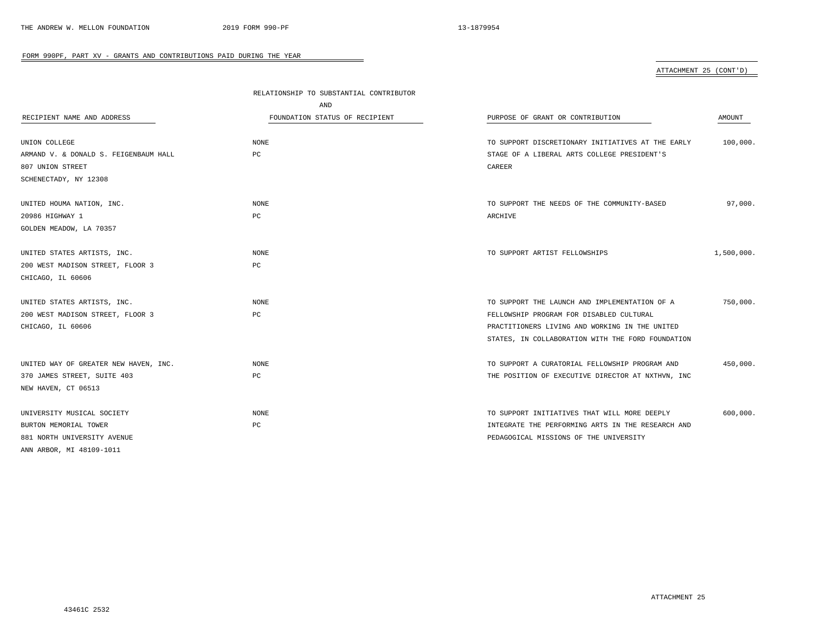# ATTACHMENT 25 (CONT'D)

|                                       | RELATIONSHIP TO SUBSTANTIAL CONTRIBUTOR |                                                   |            |
|---------------------------------------|-----------------------------------------|---------------------------------------------------|------------|
|                                       | AND                                     |                                                   |            |
| RECIPIENT NAME AND ADDRESS            | FOUNDATION STATUS OF RECIPIENT          | PURPOSE OF GRANT OR CONTRIBUTION                  | AMOUNT     |
| UNION COLLEGE                         | NONE                                    | TO SUPPORT DISCRETIONARY INITIATIVES AT THE EARLY | 100,000.   |
| ARMAND V. & DONALD S. FEIGENBAUM HALL | PC                                      | STAGE OF A LIBERAL ARTS COLLEGE PRESIDENT'S       |            |
| 807 UNION STREET                      |                                         | CAREER                                            |            |
| SCHENECTADY, NY 12308                 |                                         |                                                   |            |
| UNITED HOUMA NATION, INC.             | NONE                                    | TO SUPPORT THE NEEDS OF THE COMMUNITY-BASED       | 97,000.    |
| 20986 HIGHWAY 1                       | PC                                      | ARCHIVE                                           |            |
| GOLDEN MEADOW, LA 70357               |                                         |                                                   |            |
| UNITED STATES ARTISTS, INC.           | <b>NONE</b>                             | TO SUPPORT ARTIST FELLOWSHIPS                     | 1,500,000. |
| 200 WEST MADISON STREET, FLOOR 3      | PC                                      |                                                   |            |
| CHICAGO, IL 60606                     |                                         |                                                   |            |
| UNITED STATES ARTISTS, INC.           | NONE                                    | TO SUPPORT THE LAUNCH AND IMPLEMENTATION OF A     | 750,000.   |
| 200 WEST MADISON STREET, FLOOR 3      | PC                                      | FELLOWSHIP PROGRAM FOR DISABLED CULTURAL          |            |
| CHICAGO, IL 60606                     |                                         | PRACTITIONERS LIVING AND WORKING IN THE UNITED    |            |
|                                       |                                         | STATES, IN COLLABORATION WITH THE FORD FOUNDATION |            |
| UNITED WAY OF GREATER NEW HAVEN, INC. | NONE                                    | TO SUPPORT A CURATORIAL FELLOWSHIP PROGRAM AND    | 450,000.   |
| 370 JAMES STREET, SUITE 403           | PC                                      | THE POSITION OF EXECUTIVE DIRECTOR AT NXTHVN, INC |            |
| NEW HAVEN, CT 06513                   |                                         |                                                   |            |
| UNIVERSITY MUSICAL SOCIETY            | <b>NONE</b>                             | TO SUPPORT INITIATIVES THAT WILL MORE DEEPLY      | 600,000.   |
| BURTON MEMORIAL TOWER                 | PC                                      | INTEGRATE THE PERFORMING ARTS IN THE RESEARCH AND |            |
| 881 NORTH UNIVERSITY AVENUE           |                                         | PEDAGOGICAL MISSIONS OF THE UNIVERSITY            |            |
| ANN ARBOR, MI 48109-1011              |                                         |                                                   |            |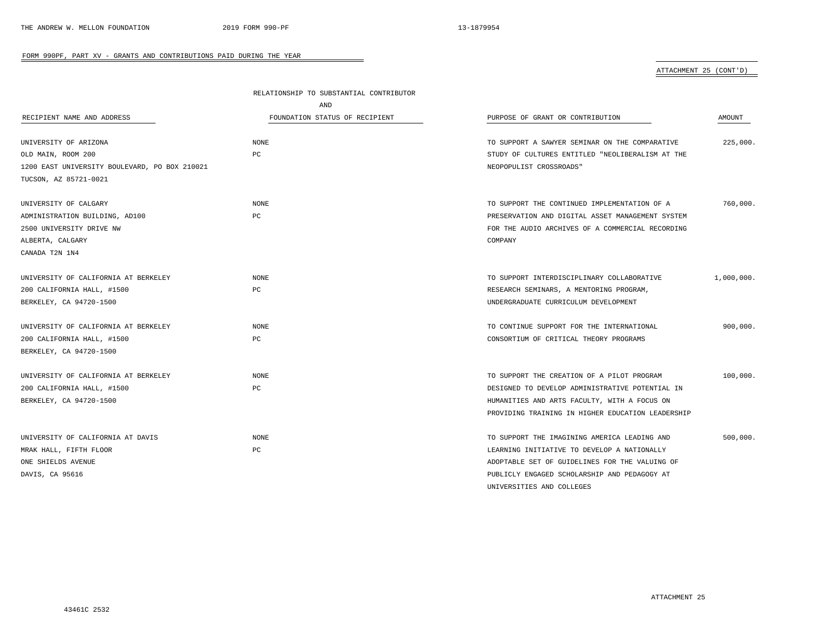## ATTACHMENT 25 (CONT'D)

|                                               | RELATIONSHIP TO SUBSTANTIAL CONTRIBUTOR |                                                   |            |
|-----------------------------------------------|-----------------------------------------|---------------------------------------------------|------------|
|                                               | AND                                     |                                                   |            |
| RECIPIENT NAME AND ADDRESS                    | FOUNDATION STATUS OF RECIPIENT          | PURPOSE OF GRANT OR CONTRIBUTION                  | AMOUNT     |
| UNIVERSITY OF ARIZONA                         | NONE                                    | TO SUPPORT A SAWYER SEMINAR ON THE COMPARATIVE    | 225,000.   |
| OLD MAIN, ROOM 200                            | PC                                      | STUDY OF CULTURES ENTITLED "NEOLIBERALISM AT THE  |            |
| 1200 EAST UNIVERSITY BOULEVARD, PO BOX 210021 |                                         | NEOPOPULIST CROSSROADS"                           |            |
| TUCSON, AZ 85721-0021                         |                                         |                                                   |            |
| UNIVERSITY OF CALGARY                         | <b>NONE</b>                             | TO SUPPORT THE CONTINUED IMPLEMENTATION OF A      | 760,000.   |
| ADMINISTRATION BUILDING, AD100                | PC                                      | PRESERVATION AND DIGITAL ASSET MANAGEMENT SYSTEM  |            |
| 2500 UNIVERSITY DRIVE NW                      |                                         | FOR THE AUDIO ARCHIVES OF A COMMERCIAL RECORDING  |            |
| ALBERTA, CALGARY                              |                                         | COMPANY                                           |            |
| CANADA T2N 1N4                                |                                         |                                                   |            |
| UNIVERSITY OF CALIFORNIA AT BERKELEY          | NONE                                    | TO SUPPORT INTERDISCIPLINARY COLLABORATIVE        | 1,000,000. |
| 200 CALIFORNIA HALL, #1500                    | PC                                      | RESEARCH SEMINARS, A MENTORING PROGRAM,           |            |
| BERKELEY, CA 94720-1500                       |                                         | UNDERGRADUATE CURRICULUM DEVELOPMENT              |            |
| UNIVERSITY OF CALIFORNIA AT BERKELEY          | <b>NONE</b>                             | TO CONTINUE SUPPORT FOR THE INTERNATIONAL         | 900,000.   |
| 200 CALIFORNIA HALL, #1500                    | PC                                      | CONSORTIUM OF CRITICAL THEORY PROGRAMS            |            |
| BERKELEY, CA 94720-1500                       |                                         |                                                   |            |
| UNIVERSITY OF CALIFORNIA AT BERKELEY          | <b>NONE</b>                             | TO SUPPORT THE CREATION OF A PILOT PROGRAM        | 100,000.   |
| 200 CALIFORNIA HALL, #1500                    | PC                                      | DESIGNED TO DEVELOP ADMINISTRATIVE POTENTIAL IN   |            |
| BERKELEY, CA 94720-1500                       |                                         | HUMANITIES AND ARTS FACULTY, WITH A FOCUS ON      |            |
|                                               |                                         | PROVIDING TRAINING IN HIGHER EDUCATION LEADERSHIP |            |
| UNIVERSITY OF CALIFORNIA AT DAVIS             | <b>NONE</b>                             | TO SUPPORT THE IMAGINING AMERICA LEADING AND      | 500,000.   |
| MRAK HALL, FIFTH FLOOR                        | PC                                      | LEARNING INITIATIVE TO DEVELOP A NATIONALLY       |            |
| ONE SHIELDS AVENUE                            |                                         | ADOPTABLE SET OF GUIDELINES FOR THE VALUING OF    |            |
| DAVIS, CA 95616                               |                                         | PUBLICLY ENGAGED SCHOLARSHIP AND PEDAGOGY AT      |            |
|                                               |                                         | UNIVERSITIES AND COLLEGES                         |            |

÷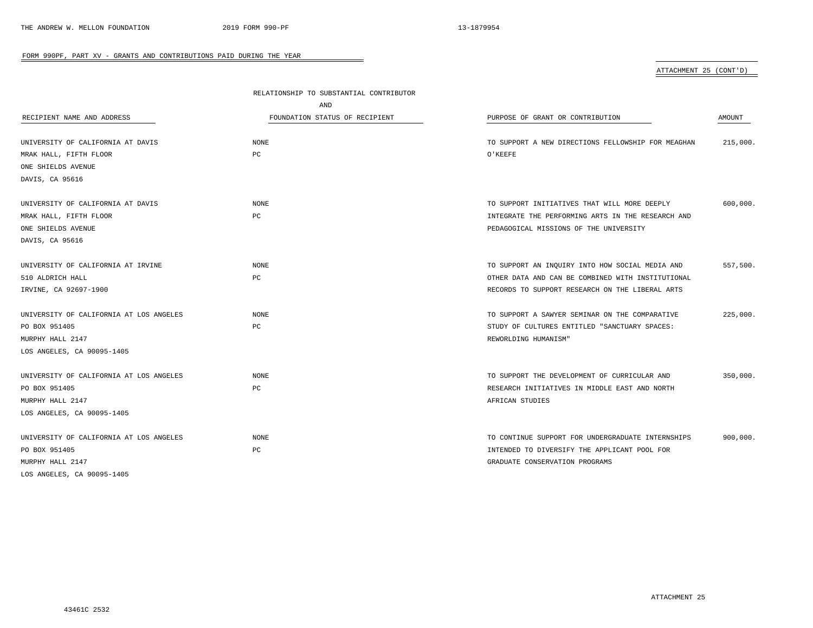# ATTACHMENT 25 (CONT'D)

|                                         | RELATIONSHIP TO SUBSTANTIAL CONTRIBUTOR |                                                    |          |  |  |
|-----------------------------------------|-----------------------------------------|----------------------------------------------------|----------|--|--|
|                                         | AND                                     |                                                    |          |  |  |
| RECIPIENT NAME AND ADDRESS              | FOUNDATION STATUS OF RECIPIENT          | PURPOSE OF GRANT OR CONTRIBUTION                   | AMOUNT   |  |  |
| UNIVERSITY OF CALIFORNIA AT DAVIS       | <b>NONE</b>                             | TO SUPPORT A NEW DIRECTIONS FELLOWSHIP FOR MEAGHAN | 215,000. |  |  |
| MRAK HALL, FIFTH FLOOR                  | PC                                      | O'KEEFE                                            |          |  |  |
| ONE SHIELDS AVENUE                      |                                         |                                                    |          |  |  |
| DAVIS, CA 95616                         |                                         |                                                    |          |  |  |
| UNIVERSITY OF CALIFORNIA AT DAVIS       | <b>NONE</b>                             | TO SUPPORT INITIATIVES THAT WILL MORE DEEPLY       | 600,000. |  |  |
| MRAK HALL, FIFTH FLOOR                  | PC                                      | INTEGRATE THE PERFORMING ARTS IN THE RESEARCH AND  |          |  |  |
| ONE SHIELDS AVENUE                      |                                         | PEDAGOGICAL MISSIONS OF THE UNIVERSITY             |          |  |  |
| DAVIS, CA 95616                         |                                         |                                                    |          |  |  |
| UNIVERSITY OF CALIFORNIA AT IRVINE      | NONE                                    | TO SUPPORT AN INQUIRY INTO HOW SOCIAL MEDIA AND    | 557,500. |  |  |
| 510 ALDRICH HALL                        | PC                                      | OTHER DATA AND CAN BE COMBINED WITH INSTITUTIONAL  |          |  |  |
| IRVINE, CA 92697-1900                   |                                         | RECORDS TO SUPPORT RESEARCH ON THE LIBERAL ARTS    |          |  |  |
| UNIVERSITY OF CALIFORNIA AT LOS ANGELES | <b>NONE</b>                             | TO SUPPORT A SAWYER SEMINAR ON THE COMPARATIVE     | 225,000. |  |  |
| PO BOX 951405                           | PC                                      | STUDY OF CULTURES ENTITLED "SANCTUARY SPACES:      |          |  |  |
| MURPHY HALL 2147                        |                                         | REWORLDING HUMANISM"                               |          |  |  |
| LOS ANGELES, CA 90095-1405              |                                         |                                                    |          |  |  |
| UNIVERSITY OF CALIFORNIA AT LOS ANGELES | <b>NONE</b>                             | TO SUPPORT THE DEVELOPMENT OF CURRICULAR AND       | 350,000. |  |  |
| PO BOX 951405                           | PC                                      | RESEARCH INITIATIVES IN MIDDLE EAST AND NORTH      |          |  |  |
| MURPHY HALL 2147                        |                                         | AFRICAN STUDIES                                    |          |  |  |
| LOS ANGELES, CA 90095-1405              |                                         |                                                    |          |  |  |
| UNIVERSITY OF CALIFORNIA AT LOS ANGELES | <b>NONE</b>                             | TO CONTINUE SUPPORT FOR UNDERGRADUATE INTERNSHIPS  | 900,000. |  |  |
| PO BOX 951405                           | $_{\rm PC}$                             | INTENDED TO DIVERSIFY THE APPLICANT POOL FOR       |          |  |  |
| MURPHY HALL 2147                        |                                         | GRADUATE CONSERVATION PROGRAMS                     |          |  |  |
| LOS ANGELES, CA 90095-1405              |                                         |                                                    |          |  |  |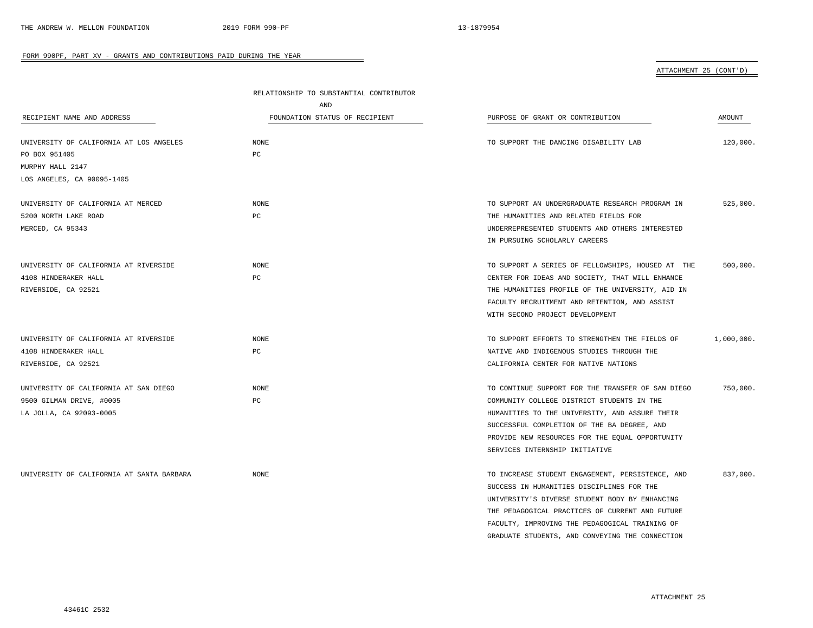ATTACHMENT 25 (CONT'D)

|                                           | RELATIONSHIP TO SUBSTANTIAL CONTRIBUTOR |                                                   |               |
|-------------------------------------------|-----------------------------------------|---------------------------------------------------|---------------|
|                                           | AND                                     |                                                   |               |
| RECIPIENT NAME AND ADDRESS                | FOUNDATION STATUS OF RECIPIENT          | PURPOSE OF GRANT OR CONTRIBUTION                  | <b>AMOUNT</b> |
|                                           |                                         |                                                   |               |
| UNIVERSITY OF CALIFORNIA AT LOS ANGELES   | $\rm{NONE}$                             | TO SUPPORT THE DANCING DISABILITY LAB             | 120,000.      |
| PO BOX 951405                             | PC                                      |                                                   |               |
| MURPHY HALL 2147                          |                                         |                                                   |               |
| LOS ANGELES, CA 90095-1405                |                                         |                                                   |               |
|                                           |                                         |                                                   |               |
| UNIVERSITY OF CALIFORNIA AT MERCED        | NONE                                    | TO SUPPORT AN UNDERGRADUATE RESEARCH PROGRAM IN   | 525,000.      |
| 5200 NORTH LAKE ROAD                      | РC                                      | THE HUMANITIES AND RELATED FIELDS FOR             |               |
| MERCED, CA 95343                          |                                         | UNDERREPRESENTED STUDENTS AND OTHERS INTERESTED   |               |
|                                           |                                         | IN PURSUING SCHOLARLY CAREERS                     |               |
|                                           |                                         |                                                   |               |
| UNIVERSITY OF CALIFORNIA AT RIVERSIDE     | NONE                                    | TO SUPPORT A SERIES OF FELLOWSHIPS, HOUSED AT THE | 500,000.      |
| 4108 HINDERAKER HALL                      | $_{\rm PC}$                             | CENTER FOR IDEAS AND SOCIETY, THAT WILL ENHANCE   |               |
| RIVERSIDE, CA 92521                       |                                         | THE HUMANITIES PROFILE OF THE UNIVERSITY, AID IN  |               |
|                                           |                                         | FACULTY RECRUITMENT AND RETENTION, AND ASSIST     |               |
|                                           |                                         | WITH SECOND PROJECT DEVELOPMENT                   |               |
| UNIVERSITY OF CALIFORNIA AT RIVERSIDE     | NONE                                    | TO SUPPORT EFFORTS TO STRENGTHEN THE FIELDS OF    | 1,000,000.    |
| 4108 HINDERAKER HALL                      | РC                                      | NATIVE AND INDIGENOUS STUDIES THROUGH THE         |               |
| RIVERSIDE, CA 92521                       |                                         | CALIFORNIA CENTER FOR NATIVE NATIONS              |               |
|                                           |                                         |                                                   |               |
| UNIVERSITY OF CALIFORNIA AT SAN DIEGO     | NONE                                    | TO CONTINUE SUPPORT FOR THE TRANSFER OF SAN DIEGO | 750,000.      |
| 9500 GILMAN DRIVE, #0005                  | PC                                      | COMMUNITY COLLEGE DISTRICT STUDENTS IN THE        |               |
| LA JOLLA, CA 92093-0005                   |                                         | HUMANITIES TO THE UNIVERSITY, AND ASSURE THEIR    |               |
|                                           |                                         | SUCCESSFUL COMPLETION OF THE BA DEGREE, AND       |               |
|                                           |                                         | PROVIDE NEW RESOURCES FOR THE EQUAL OPPORTUNITY   |               |
|                                           |                                         | SERVICES INTERNSHIP INITIATIVE                    |               |
|                                           |                                         |                                                   |               |
| UNIVERSITY OF CALIFORNIA AT SANTA BARBARA | NONE                                    | TO INCREASE STUDENT ENGAGEMENT, PERSISTENCE, AND  | 837,000.      |
|                                           |                                         | SUCCESS IN HUMANITIES DISCIPLINES FOR THE         |               |
|                                           |                                         | UNIVERSITY'S DIVERSE STUDENT BODY BY ENHANCING    |               |
|                                           |                                         | THE PEDAGOGICAL PRACTICES OF CURRENT AND FUTURE   |               |
|                                           |                                         | FACULTY, IMPROVING THE PEDAGOGICAL TRAINING OF    |               |

 $\overline{\phantom{a}}$ 

GRADUATE STUDENTS, AND CONVEYING THE CONNECTION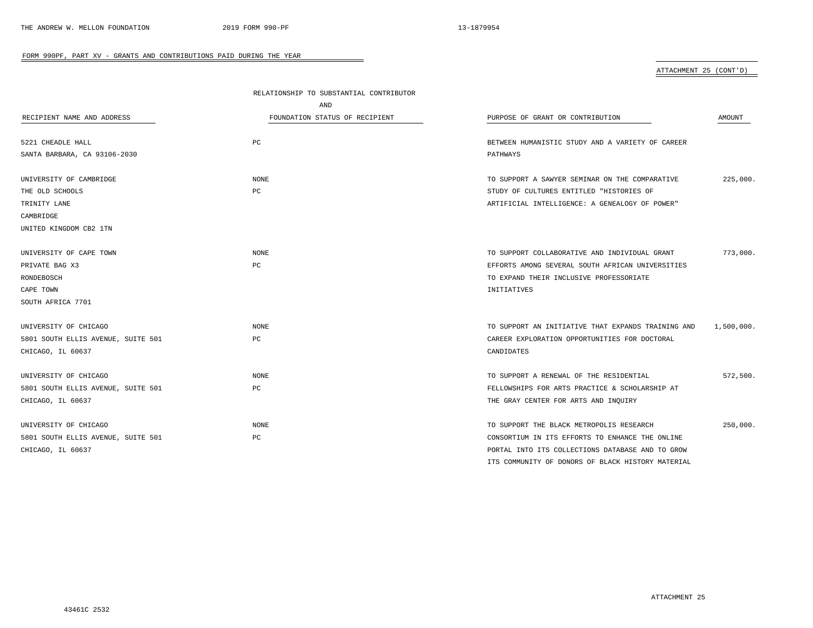ATTACHMENT 25 (CONT'D)

|                                    | RELATIONSHIP TO SUBSTANTIAL CONTRIBUTOR |                                                    |            |
|------------------------------------|-----------------------------------------|----------------------------------------------------|------------|
|                                    | AND                                     |                                                    |            |
| RECIPIENT NAME AND ADDRESS         | FOUNDATION STATUS OF RECIPIENT          | PURPOSE OF GRANT OR CONTRIBUTION                   | AMOUNT     |
|                                    |                                         |                                                    |            |
| 5221 CHEADLE HALL                  | PC                                      | BETWEEN HUMANISTIC STUDY AND A VARIETY OF CAREER   |            |
| SANTA BARBARA, CA 93106-2030       |                                         | PATHWAYS                                           |            |
| UNIVERSITY OF CAMBRIDGE            | NONE                                    | TO SUPPORT A SAWYER SEMINAR ON THE COMPARATIVE     | 225,000.   |
| THE OLD SCHOOLS                    | PC                                      | STUDY OF CULTURES ENTITLED "HISTORIES OF           |            |
| TRINITY LANE                       |                                         | ARTIFICIAL INTELLIGENCE: A GENEALOGY OF POWER"     |            |
| CAMBRIDGE                          |                                         |                                                    |            |
| UNITED KINGDOM CB2 1TN             |                                         |                                                    |            |
| UNIVERSITY OF CAPE TOWN            | NONE                                    | TO SUPPORT COLLABORATIVE AND INDIVIDUAL GRANT      | 773,000.   |
| PRIVATE BAG X3                     | PC                                      | EFFORTS AMONG SEVERAL SOUTH AFRICAN UNIVERSITIES   |            |
| RONDEBOSCH                         |                                         | TO EXPAND THEIR INCLUSIVE PROFESSORIATE            |            |
| CAPE TOWN                          |                                         | INITIATIVES                                        |            |
| SOUTH AFRICA 7701                  |                                         |                                                    |            |
| UNIVERSITY OF CHICAGO              | NONE                                    | TO SUPPORT AN INITIATIVE THAT EXPANDS TRAINING AND | 1,500,000. |
| 5801 SOUTH ELLIS AVENUE, SUITE 501 | PC                                      | CAREER EXPLORATION OPPORTUNITIES FOR DOCTORAL      |            |
| CHICAGO, IL 60637                  |                                         | CANDIDATES                                         |            |
| UNIVERSITY OF CHICAGO              | <b>NONE</b>                             | TO SUPPORT A RENEWAL OF THE RESIDENTIAL            | 572,500.   |
| 5801 SOUTH ELLIS AVENUE, SUITE 501 | PC                                      | FELLOWSHIPS FOR ARTS PRACTICE & SCHOLARSHIP AT     |            |
| CHICAGO, IL 60637                  |                                         | THE GRAY CENTER FOR ARTS AND INQUIRY               |            |
| UNIVERSITY OF CHICAGO              | NONE                                    | TO SUPPORT THE BLACK METROPOLIS RESEARCH           | 250,000.   |
| 5801 SOUTH ELLIS AVENUE, SUITE 501 | PC                                      | CONSORTIUM IN ITS EFFORTS TO ENHANCE THE ONLINE    |            |
| CHICAGO, IL 60637                  |                                         | PORTAL INTO ITS COLLECTIONS DATABASE AND TO GROW   |            |
|                                    |                                         | ITS COMMUNITY OF DONORS OF BLACK HISTORY MATERIAL  |            |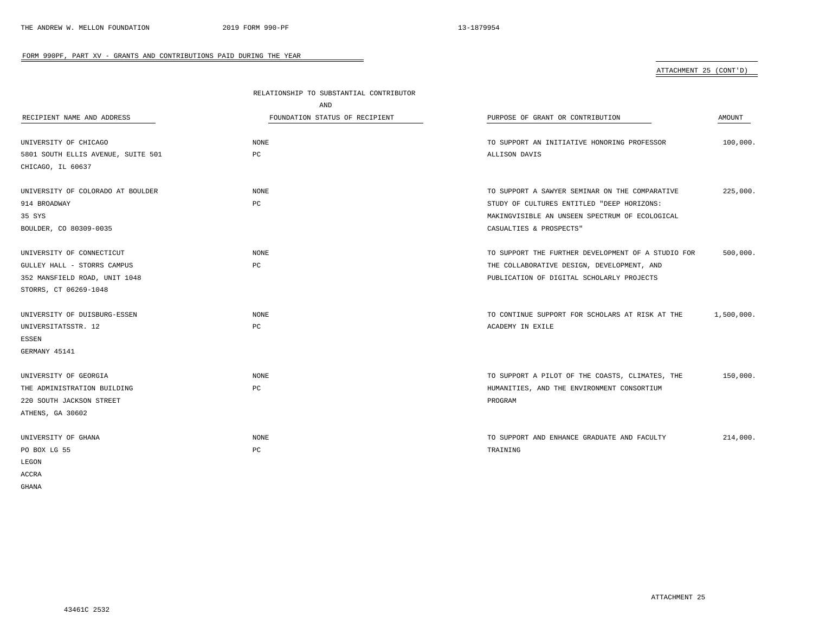ATTACHMENT 25 (CONT'D)

|                                    | RELATIONSHIP TO SUBSTANTIAL CONTRIBUTOR |                                                    |            |
|------------------------------------|-----------------------------------------|----------------------------------------------------|------------|
|                                    | AND                                     |                                                    |            |
| RECIPIENT NAME AND ADDRESS         | FOUNDATION STATUS OF RECIPIENT          | PURPOSE OF GRANT OR CONTRIBUTION                   | AMOUNT     |
|                                    |                                         |                                                    |            |
| UNIVERSITY OF CHICAGO              | NONE                                    | TO SUPPORT AN INITIATIVE HONORING PROFESSOR        | 100,000.   |
| 5801 SOUTH ELLIS AVENUE, SUITE 501 | PC                                      | ALLISON DAVIS                                      |            |
| CHICAGO, IL 60637                  |                                         |                                                    |            |
|                                    |                                         |                                                    |            |
| UNIVERSITY OF COLORADO AT BOULDER  | NONE                                    | TO SUPPORT A SAWYER SEMINAR ON THE COMPARATIVE     | 225,000.   |
| 914 BROADWAY                       | PC                                      | STUDY OF CULTURES ENTITLED "DEEP HORIZONS:         |            |
| 35 SYS                             |                                         | MAKINGVISIBLE AN UNSEEN SPECTRUM OF ECOLOGICAL     |            |
| BOULDER, CO 80309-0035             |                                         | CASUALTIES & PROSPECTS"                            |            |
|                                    |                                         |                                                    |            |
| UNIVERSITY OF CONNECTICUT          | NONE                                    | TO SUPPORT THE FURTHER DEVELOPMENT OF A STUDIO FOR | 500,000.   |
| GULLEY HALL - STORRS CAMPUS        | PC                                      | THE COLLABORATIVE DESIGN, DEVELOPMENT, AND         |            |
| 352 MANSFIELD ROAD, UNIT 1048      |                                         | PUBLICATION OF DIGITAL SCHOLARLY PROJECTS          |            |
| STORRS, CT 06269-1048              |                                         |                                                    |            |
|                                    |                                         |                                                    |            |
| UNIVERSITY OF DUISBURG-ESSEN       | NONE                                    | TO CONTINUE SUPPORT FOR SCHOLARS AT RISK AT THE    | 1,500,000. |
| UNIVERSITATSSTR. 12                | PC                                      | ACADEMY IN EXILE                                   |            |
| <b>ESSEN</b>                       |                                         |                                                    |            |
| GERMANY 45141                      |                                         |                                                    |            |
|                                    |                                         |                                                    |            |
| UNIVERSITY OF GEORGIA              | NONE                                    | TO SUPPORT A PILOT OF THE COASTS, CLIMATES, THE    | 150,000.   |
| THE ADMINISTRATION BUILDING        | PC                                      | HUMANITIES, AND THE ENVIRONMENT CONSORTIUM         |            |
| 220 SOUTH JACKSON STREET           |                                         | PROGRAM                                            |            |
| ATHENS, GA 30602                   |                                         |                                                    |            |
|                                    |                                         |                                                    |            |
| UNIVERSITY OF GHANA                | NONE                                    | TO SUPPORT AND ENHANCE GRADUATE AND FACULTY        | 214,000.   |
| PO BOX LG 55                       | PC                                      | TRAINING                                           |            |
| LEGON                              |                                         |                                                    |            |
| ACCRA                              |                                         |                                                    |            |
| GHANA                              |                                         |                                                    |            |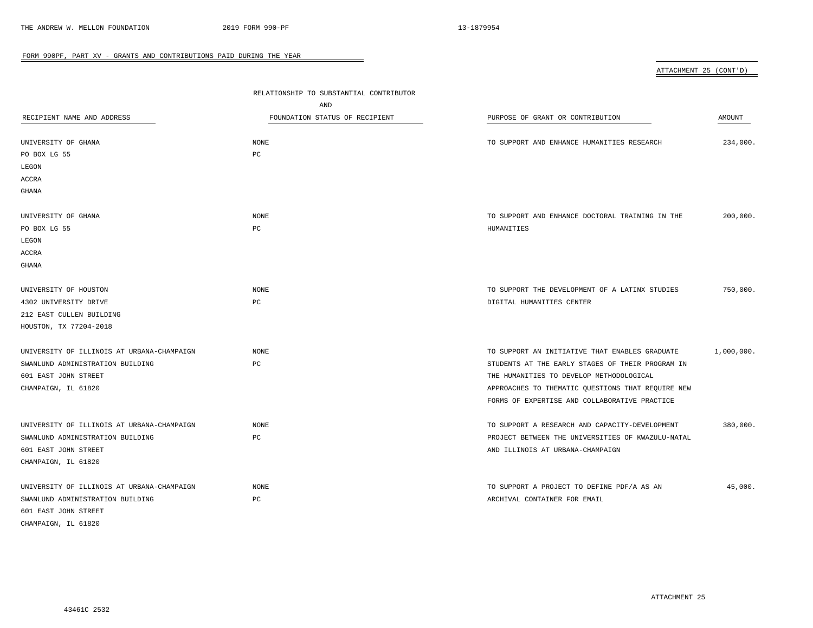| ATTACHMENT 25 (CONT'D) |  |
|------------------------|--|
|                        |  |

| RECIPIENT NAME AND ADDRESS<br>UNIVERSITY OF GHANA<br>PO BOX LG 55<br>LEGON<br><b>ACCRA</b>                                    | RELATIONSHIP TO SUBSTANTIAL CONTRIBUTOR<br>AND<br>FOUNDATION STATUS OF RECIPIENT<br><b>NONE</b><br>$_{\rm PC}$ | PURPOSE OF GRANT OR CONTRIBUTION<br>TO SUPPORT AND ENHANCE HUMANITIES RESEARCH                                                                                                                                                                       | AMOUNT<br>234,000. |
|-------------------------------------------------------------------------------------------------------------------------------|----------------------------------------------------------------------------------------------------------------|------------------------------------------------------------------------------------------------------------------------------------------------------------------------------------------------------------------------------------------------------|--------------------|
| GHANA                                                                                                                         |                                                                                                                |                                                                                                                                                                                                                                                      |                    |
| UNIVERSITY OF GHANA<br>PO BOX LG 55<br>LEGON<br><b>ACCRA</b><br><b>GHANA</b>                                                  | <b>NONE</b><br>PC                                                                                              | TO SUPPORT AND ENHANCE DOCTORAL TRAINING IN THE<br>HUMANITIES                                                                                                                                                                                        | 200,000.           |
| UNIVERSITY OF HOUSTON<br>4302 UNIVERSITY DRIVE<br>212 EAST CULLEN BUILDING<br>HOUSTON, TX 77204-2018                          | <b>NONE</b><br>$_{\rm PC}$                                                                                     | TO SUPPORT THE DEVELOPMENT OF A LATINX STUDIES<br>DIGITAL HUMANITIES CENTER                                                                                                                                                                          | 750,000.           |
| UNIVERSITY OF ILLINOIS AT URBANA-CHAMPAIGN<br>SWANLUND ADMINISTRATION BUILDING<br>601 EAST JOHN STREET<br>CHAMPAIGN, IL 61820 | <b>NONE</b><br>PC                                                                                              | TO SUPPORT AN INITIATIVE THAT ENABLES GRADUATE<br>STUDENTS AT THE EARLY STAGES OF THEIR PROGRAM IN<br>THE HUMANITIES TO DEVELOP METHODOLOGICAL<br>APPROACHES TO THEMATIC QUESTIONS THAT REQUIRE NEW<br>FORMS OF EXPERTISE AND COLLABORATIVE PRACTICE | 1,000,000.         |
| UNIVERSITY OF ILLINOIS AT URBANA-CHAMPAIGN<br>SWANLUND ADMINISTRATION BUILDING<br>601 EAST JOHN STREET<br>CHAMPAIGN, IL 61820 | <b>NONE</b><br>$_{\rm PC}$                                                                                     | TO SUPPORT A RESEARCH AND CAPACITY-DEVELOPMENT<br>PROJECT BETWEEN THE UNIVERSITIES OF KWAZULU-NATAL<br>AND ILLINOIS AT URBANA-CHAMPAIGN                                                                                                              | 380,000.           |
| UNIVERSITY OF ILLINOIS AT URBANA-CHAMPAIGN<br>SWANLUND ADMINISTRATION BUILDING<br>601 EAST JOHN STREET<br>CHAMPAIGN, IL 61820 | <b>NONE</b><br>$_{\rm PC}$                                                                                     | TO SUPPORT A PROJECT TO DEFINE PDF/A AS AN<br>ARCHIVAL CONTAINER FOR EMAIL                                                                                                                                                                           | 45,000.            |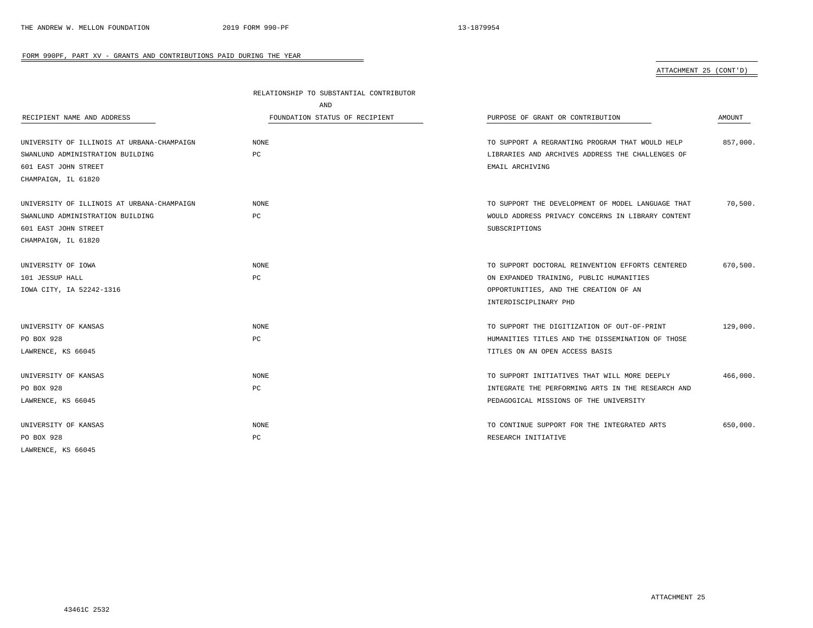# ATTACHMENT 25 (CONT'D)

|                                            | RELATIONSHIP TO SUBSTANTIAL CONTRIBUTOR |                                                   |          |
|--------------------------------------------|-----------------------------------------|---------------------------------------------------|----------|
|                                            | AND                                     |                                                   |          |
| RECIPIENT NAME AND ADDRESS                 | FOUNDATION STATUS OF RECIPIENT          | PURPOSE OF GRANT OR CONTRIBUTION                  | AMOUNT   |
| UNIVERSITY OF ILLINOIS AT URBANA-CHAMPAIGN | <b>NONE</b>                             | TO SUPPORT A REGRANTING PROGRAM THAT WOULD HELP   | 857,000. |
| SWANLUND ADMINISTRATION BUILDING           | PC                                      | LIBRARIES AND ARCHIVES ADDRESS THE CHALLENGES OF  |          |
| 601 EAST JOHN STREET                       |                                         | EMAIL ARCHIVING                                   |          |
| CHAMPAIGN, IL 61820                        |                                         |                                                   |          |
| UNIVERSITY OF ILLINOIS AT URBANA-CHAMPAIGN | NONE                                    | TO SUPPORT THE DEVELOPMENT OF MODEL LANGUAGE THAT | 70,500.  |
| SWANLUND ADMINISTRATION BUILDING           | PC                                      | WOULD ADDRESS PRIVACY CONCERNS IN LIBRARY CONTENT |          |
| 601 EAST JOHN STREET                       |                                         | SUBSCRIPTIONS                                     |          |
| CHAMPAIGN, IL 61820                        |                                         |                                                   |          |
| UNIVERSITY OF IOWA                         | <b>NONE</b>                             | TO SUPPORT DOCTORAL REINVENTION EFFORTS CENTERED  | 670,500. |
| 101 JESSUP HALL                            | PC                                      | ON EXPANDED TRAINING, PUBLIC HUMANITIES           |          |
| IOWA CITY, IA 52242-1316                   |                                         | OPPORTUNITIES, AND THE CREATION OF AN             |          |
|                                            |                                         | INTERDISCIPLINARY PHD                             |          |
| UNIVERSITY OF KANSAS                       | NONE                                    | TO SUPPORT THE DIGITIZATION OF OUT-OF-PRINT       | 129,000. |
| PO BOX 928                                 | PC                                      | HUMANITIES TITLES AND THE DISSEMINATION OF THOSE  |          |
| LAWRENCE, KS 66045                         |                                         | TITLES ON AN OPEN ACCESS BASIS                    |          |
| UNIVERSITY OF KANSAS                       | NONE                                    | TO SUPPORT INITIATIVES THAT WILL MORE DEEPLY      | 466,000. |
| PO BOX 928                                 | PC                                      | INTEGRATE THE PERFORMING ARTS IN THE RESEARCH AND |          |
| LAWRENCE, KS 66045                         |                                         | PEDAGOGICAL MISSIONS OF THE UNIVERSITY            |          |
| UNIVERSITY OF KANSAS                       | NONE                                    | TO CONTINUE SUPPORT FOR THE INTEGRATED ARTS       | 650,000. |
| PO BOX 928                                 | PC                                      | RESEARCH INITIATIVE                               |          |
| LAWRENCE, KS 66045                         |                                         |                                                   |          |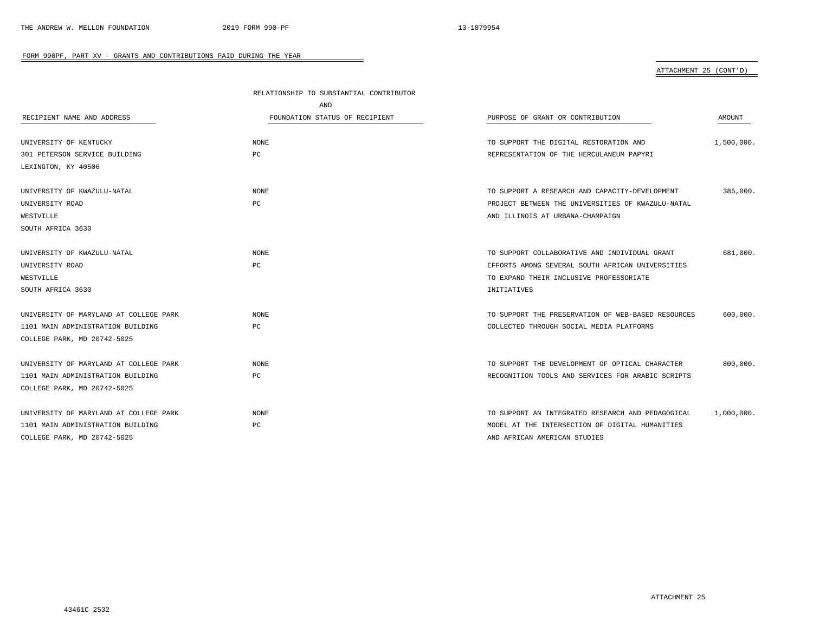# ATTACHMENT 25 (CONT'D)

|                                        | RELATIONSHIP TO SUBSTANTIAL CONTRIBUTOR |                                                    |            |
|----------------------------------------|-----------------------------------------|----------------------------------------------------|------------|
|                                        | AND                                     |                                                    |            |
| RECIPIENT NAME AND ADDRESS             | FOUNDATION STATUS OF RECIPIENT          | PURPOSE OF GRANT OR CONTRIBUTION                   | AMOUNT     |
|                                        |                                         |                                                    |            |
| UNIVERSITY OF KENTUCKY                 | <b>NONE</b>                             | TO SUPPORT THE DIGITAL RESTORATION AND             | 1,500,000. |
| 301 PETERSON SERVICE BUILDING          | PC                                      | REPRESENTATION OF THE HERCULANEUM PAPYRI           |            |
| LEXINGTON, KY 40506                    |                                         |                                                    |            |
| UNIVERSITY OF KWAZULU-NATAL            | $\rm{NONE}$                             | TO SUPPORT A RESEARCH AND CAPACITY-DEVELOPMENT     | 385,000.   |
| UNIVERSITY ROAD                        | PC                                      | PROJECT BETWEEN THE UNIVERSITIES OF KWAZULU-NATAL  |            |
| WESTVILLE                              |                                         | AND ILLINOIS AT URBANA-CHAMPAIGN                   |            |
| SOUTH AFRICA 3630                      |                                         |                                                    |            |
| UNIVERSITY OF KWAZULU-NATAL            | <b>NONE</b>                             | TO SUPPORT COLLABORATIVE AND INDIVIDUAL GRANT      | 681,000.   |
| UNIVERSITY ROAD                        | PC                                      | EFFORTS AMONG SEVERAL SOUTH AFRICAN UNIVERSITIES   |            |
| WESTVILLE                              |                                         | TO EXPAND THEIR INCLUSIVE PROFESSORIATE            |            |
| SOUTH AFRICA 3630                      |                                         | INITIATIVES                                        |            |
| UNIVERSITY OF MARYLAND AT COLLEGE PARK | <b>NONE</b>                             | TO SUPPORT THE PRESERVATION OF WEB-BASED RESOURCES | 600,000    |
| 1101 MAIN ADMINISTRATION BUILDING      | PC                                      | COLLECTED THROUGH SOCIAL MEDIA PLATFORMS           |            |
| COLLEGE PARK, MD 20742-5025            |                                         |                                                    |            |
| UNIVERSITY OF MARYLAND AT COLLEGE PARK | <b>NONE</b>                             | TO SUPPORT THE DEVELOPMENT OF OPTICAL CHARACTER    | 800,000.   |
| 1101 MAIN ADMINISTRATION BUILDING      | PC                                      | RECOGNITION TOOLS AND SERVICES FOR ARABIC SCRIPTS  |            |
| COLLEGE PARK, MD 20742-5025            |                                         |                                                    |            |
| UNIVERSITY OF MARYLAND AT COLLEGE PARK | <b>NONE</b>                             | TO SUPPORT AN INTEGRATED RESEARCH AND PEDAGOGICAL  | 1,000,000. |
| 1101 MAIN ADMINISTRATION BUILDING      | PC                                      | MODEL AT THE INTERSECTION OF DIGITAL HUMANITIES    |            |
| COLLEGE PARK, MD 20742-5025            |                                         | AND AFRICAN AMERICAN STUDIES                       |            |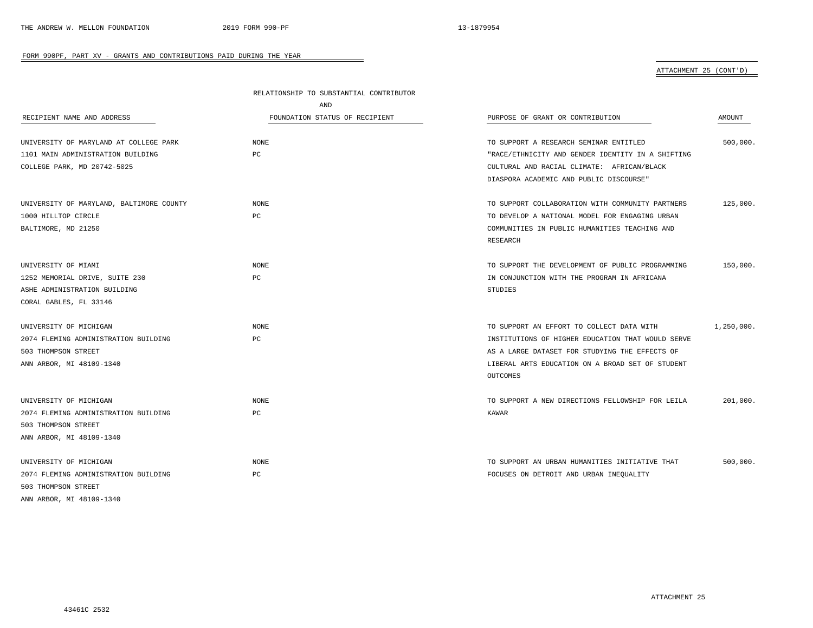# ATTACHMENT 25 (CONT'D)

|                                          | RELATIONSHIP TO SUBSTANTIAL CONTRIBUTOR |                                                   |            |
|------------------------------------------|-----------------------------------------|---------------------------------------------------|------------|
|                                          | AND                                     |                                                   |            |
| RECIPIENT NAME AND ADDRESS               | FOUNDATION STATUS OF RECIPIENT          | PURPOSE OF GRANT OR CONTRIBUTION                  | AMOUNT     |
| UNIVERSITY OF MARYLAND AT COLLEGE PARK   | NONE                                    | TO SUPPORT A RESEARCH SEMINAR ENTITLED            | 500,000.   |
| 1101 MAIN ADMINISTRATION BUILDING        | PC                                      | "RACE/ETHNICITY AND GENDER IDENTITY IN A SHIFTING |            |
| COLLEGE PARK, MD 20742-5025              |                                         | CULTURAL AND RACIAL CLIMATE: AFRICAN/BLACK        |            |
|                                          |                                         | DIASPORA ACADEMIC AND PUBLIC DISCOURSE"           |            |
| UNIVERSITY OF MARYLAND, BALTIMORE COUNTY | <b>NONE</b>                             | TO SUPPORT COLLABORATION WITH COMMUNITY PARTNERS  | 125,000.   |
| 1000 HILLTOP CIRCLE                      | PC                                      | TO DEVELOP A NATIONAL MODEL FOR ENGAGING URBAN    |            |
| BALTIMORE, MD 21250                      |                                         | COMMUNITIES IN PUBLIC HUMANITIES TEACHING AND     |            |
|                                          |                                         | RESEARCH                                          |            |
| UNIVERSITY OF MIAMI                      | NONE                                    | TO SUPPORT THE DEVELOPMENT OF PUBLIC PROGRAMMING  | 150,000    |
| 1252 MEMORIAL DRIVE, SUITE 230           | $_{\rm PC}$                             | IN CONJUNCTION WITH THE PROGRAM IN AFRICANA       |            |
| ASHE ADMINISTRATION BUILDING             |                                         | STUDIES                                           |            |
| CORAL GABLES, FL 33146                   |                                         |                                                   |            |
| UNIVERSITY OF MICHIGAN                   | <b>NONE</b>                             | TO SUPPORT AN EFFORT TO COLLECT DATA WITH         | 1,250,000. |
| 2074 FLEMING ADMINISTRATION BUILDING     | PC                                      | INSTITUTIONS OF HIGHER EDUCATION THAT WOULD SERVE |            |
| 503 THOMPSON STREET                      |                                         | AS A LARGE DATASET FOR STUDYING THE EFFECTS OF    |            |
| ANN ARBOR, MI 48109-1340                 |                                         | LIBERAL ARTS EDUCATION ON A BROAD SET OF STUDENT  |            |
|                                          |                                         | OUTCOMES                                          |            |
| UNIVERSITY OF MICHIGAN                   | <b>NONE</b>                             | TO SUPPORT A NEW DIRECTIONS FELLOWSHIP FOR LEILA  | 201,000.   |
| 2074 FLEMING ADMINISTRATION BUILDING     | PC                                      | KAWAR                                             |            |
| 503 THOMPSON STREET                      |                                         |                                                   |            |
| ANN ARBOR, MI 48109-1340                 |                                         |                                                   |            |
| UNIVERSITY OF MICHIGAN                   | NONE                                    | TO SUPPORT AN URBAN HUMANITIES INITIATIVE THAT    | 500,000.   |
| 2074 FLEMING ADMINISTRATION BUILDING     | $_{\rm PC}$                             | FOCUSES ON DETROIT AND URBAN INEQUALITY           |            |
| 503 THOMPSON STREET                      |                                         |                                                   |            |
| ANN ARBOR, MI 48109-1340                 |                                         |                                                   |            |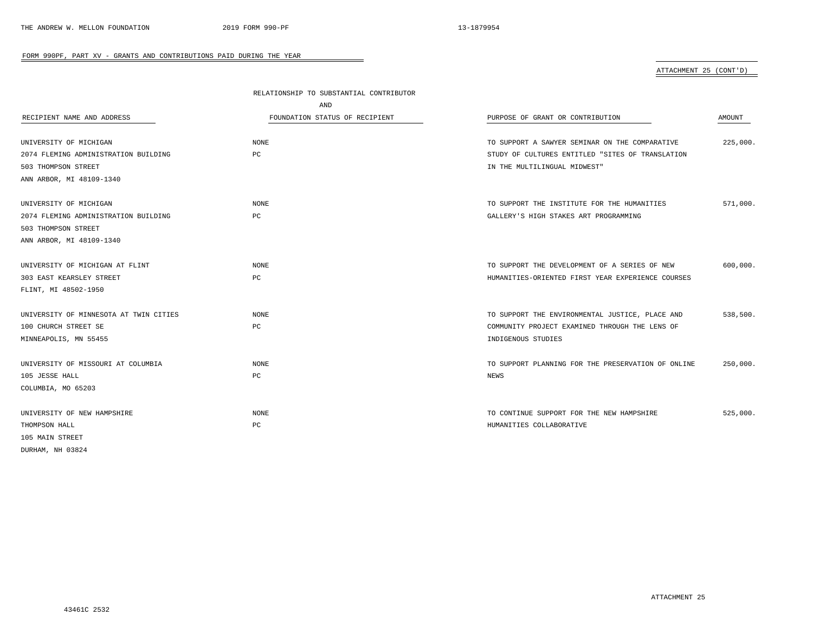# ATTACHMENT 25 (CONT'D)

|                                        | RELATIONSHIP TO SUBSTANTIAL CONTRIBUTOR |                                                    |          |
|----------------------------------------|-----------------------------------------|----------------------------------------------------|----------|
|                                        | AND                                     |                                                    |          |
| RECIPIENT NAME AND ADDRESS             | FOUNDATION STATUS OF RECIPIENT          | PURPOSE OF GRANT OR CONTRIBUTION                   | AMOUNT   |
| UNIVERSITY OF MICHIGAN                 | <b>NONE</b>                             | TO SUPPORT A SAWYER SEMINAR ON THE COMPARATIVE     | 225,000. |
| 2074 FLEMING ADMINISTRATION BUILDING   | $_{\rm PC}$                             | STUDY OF CULTURES ENTITLED "SITES OF TRANSLATION   |          |
| 503 THOMPSON STREET                    |                                         | IN THE MULTILINGUAL MIDWEST"                       |          |
| ANN ARBOR, MI 48109-1340               |                                         |                                                    |          |
| UNIVERSITY OF MICHIGAN                 | NONE                                    | TO SUPPORT THE INSTITUTE FOR THE HUMANITIES        | 571,000. |
| 2074 FLEMING ADMINISTRATION BUILDING   | PC                                      | GALLERY'S HIGH STAKES ART PROGRAMMING              |          |
| 503 THOMPSON STREET                    |                                         |                                                    |          |
| ANN ARBOR, MI 48109-1340               |                                         |                                                    |          |
| UNIVERSITY OF MICHIGAN AT FLINT        | NONE                                    | TO SUPPORT THE DEVELOPMENT OF A SERIES OF NEW      | 600,000. |
| 303 EAST KEARSLEY STREET               | PC                                      | HUMANITIES-ORIENTED FIRST YEAR EXPERIENCE COURSES  |          |
| FLINT, MI 48502-1950                   |                                         |                                                    |          |
| UNIVERSITY OF MINNESOTA AT TWIN CITIES | <b>NONE</b>                             | TO SUPPORT THE ENVIRONMENTAL JUSTICE, PLACE AND    | 538,500. |
| 100 CHURCH STREET SE                   | PC                                      | COMMUNITY PROJECT EXAMINED THROUGH THE LENS OF     |          |
| MINNEAPOLIS, MN 55455                  |                                         | INDIGENOUS STUDIES                                 |          |
| UNIVERSITY OF MISSOURI AT COLUMBIA     | NONE                                    | TO SUPPORT PLANNING FOR THE PRESERVATION OF ONLINE | 250,000. |
| 105 JESSE HALL                         | PC                                      | <b>NEWS</b>                                        |          |
| COLUMBIA, MO 65203                     |                                         |                                                    |          |
| UNIVERSITY OF NEW HAMPSHIRE            | NONE                                    | TO CONTINUE SUPPORT FOR THE NEW HAMPSHIRE          | 525,000. |
| THOMPSON HALL                          | PC                                      | HUMANITIES COLLABORATIVE                           |          |
| 105 MAIN STREET                        |                                         |                                                    |          |
| DURHAM, NH 03824                       |                                         |                                                    |          |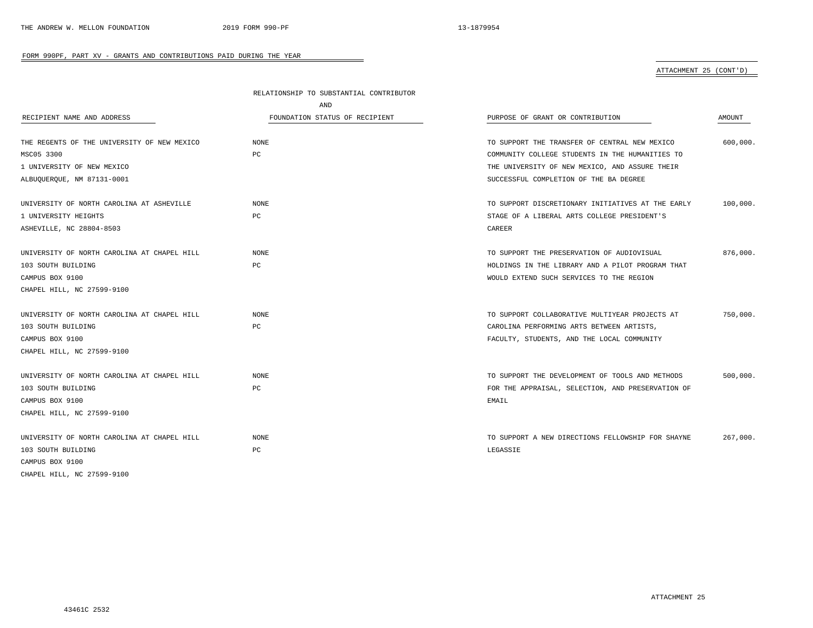# ATTACHMENT 25 (CONT'D)

|                                             | RELATIONSHIP TO SUBSTANTIAL CONTRIBUTOR |                                                   |               |
|---------------------------------------------|-----------------------------------------|---------------------------------------------------|---------------|
|                                             | AND                                     |                                                   |               |
| RECIPIENT NAME AND ADDRESS                  | FOUNDATION STATUS OF RECIPIENT          | PURPOSE OF GRANT OR CONTRIBUTION                  | <b>AMOUNT</b> |
| THE REGENTS OF THE UNIVERSITY OF NEW MEXICO | <b>NONE</b>                             | TO SUPPORT THE TRANSFER OF CENTRAL NEW MEXICO     | 600,000.      |
| MSC05 3300                                  | РC                                      | COMMUNITY COLLEGE STUDENTS IN THE HUMANITIES TO   |               |
| 1 UNIVERSITY OF NEW MEXICO                  |                                         | THE UNIVERSITY OF NEW MEXICO, AND ASSURE THEIR    |               |
| ALBUQUERQUE, NM 87131-0001                  |                                         | SUCCESSFUL COMPLETION OF THE BA DEGREE            |               |
| UNIVERSITY OF NORTH CAROLINA AT ASHEVILLE   | <b>NONE</b>                             | TO SUPPORT DISCRETIONARY INITIATIVES AT THE EARLY | 100,000.      |
| 1 UNIVERSITY HEIGHTS                        | PC                                      | STAGE OF A LIBERAL ARTS COLLEGE PRESIDENT'S       |               |
| ASHEVILLE, NC 28804-8503                    |                                         | CAREER                                            |               |
| UNIVERSITY OF NORTH CAROLINA AT CHAPEL HILL | NONE                                    | TO SUPPORT THE PRESERVATION OF AUDIOVISUAL        | 876,000.      |
| 103 SOUTH BUILDING                          | PC                                      | HOLDINGS IN THE LIBRARY AND A PILOT PROGRAM THAT  |               |
| CAMPUS BOX 9100                             |                                         | WOULD EXTEND SUCH SERVICES TO THE REGION          |               |
| CHAPEL HILL, NC 27599-9100                  |                                         |                                                   |               |
| UNIVERSITY OF NORTH CAROLINA AT CHAPEL HILL | <b>NONE</b>                             | TO SUPPORT COLLABORATIVE MULTIYEAR PROJECTS AT    | 750,000.      |
| 103 SOUTH BUILDING                          | PC                                      | CAROLINA PERFORMING ARTS BETWEEN ARTISTS,         |               |
| CAMPUS BOX 9100                             |                                         | FACULTY, STUDENTS, AND THE LOCAL COMMUNITY        |               |
| CHAPEL HILL, NC 27599-9100                  |                                         |                                                   |               |
| UNIVERSITY OF NORTH CAROLINA AT CHAPEL HILL | <b>NONE</b>                             | TO SUPPORT THE DEVELOPMENT OF TOOLS AND METHODS   | 500,000.      |
| 103 SOUTH BUILDING                          | PC                                      | FOR THE APPRAISAL, SELECTION, AND PRESERVATION OF |               |
| CAMPUS BOX 9100                             |                                         | EMAIL                                             |               |
| CHAPEL HILL, NC 27599-9100                  |                                         |                                                   |               |
| UNIVERSITY OF NORTH CAROLINA AT CHAPEL HILL | NONE.                                   | TO SUPPORT A NEW DIRECTIONS FELLOWSHIP FOR SHAYNE | 267,000.      |
| 103 SOUTH BUILDING                          | PC                                      | LEGASSIE                                          |               |
| CAMPUS BOX 9100                             |                                         |                                                   |               |
| CHAPEL HILL, NC 27599-9100                  |                                         |                                                   |               |

-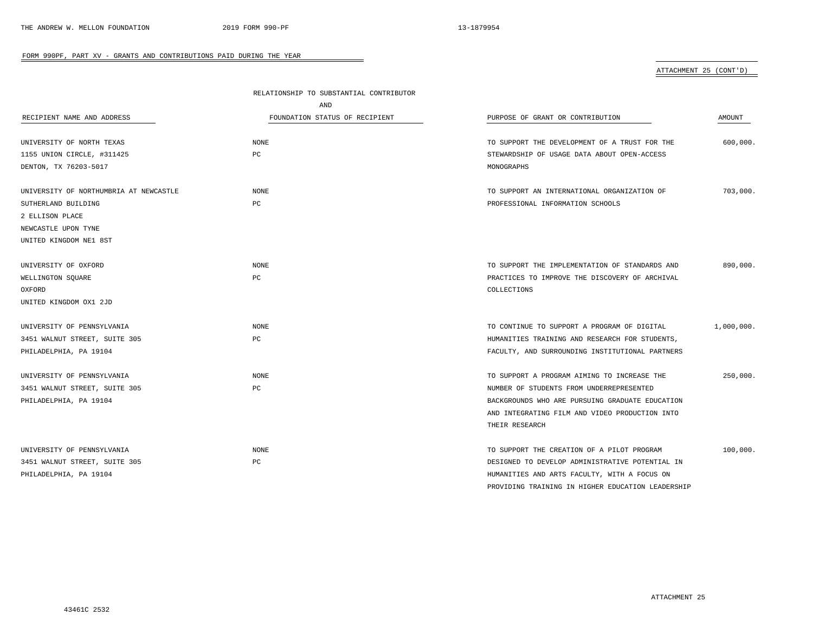## ATTACHMENT 25 (CONT'D)

|                                        | RELATIONSHIP TO SUBSTANTIAL CONTRIBUTOR |                                                                                               |            |
|----------------------------------------|-----------------------------------------|-----------------------------------------------------------------------------------------------|------------|
|                                        | AND                                     |                                                                                               |            |
| RECIPIENT NAME AND ADDRESS             | FOUNDATION STATUS OF RECIPIENT          | PURPOSE OF GRANT OR CONTRIBUTION                                                              | AMOUNT     |
| UNIVERSITY OF NORTH TEXAS              | <b>NONE</b>                             | TO SUPPORT THE DEVELOPMENT OF A TRUST FOR THE                                                 | 600,000.   |
| 1155 UNION CIRCLE, #311425             | PC                                      | STEWARDSHIP OF USAGE DATA ABOUT OPEN-ACCESS                                                   |            |
| DENTON, TX 76203-5017                  |                                         | MONOGRAPHS                                                                                    |            |
|                                        |                                         |                                                                                               |            |
| UNIVERSITY OF NORTHUMBRIA AT NEWCASTLE | <b>NONE</b>                             | TO SUPPORT AN INTERNATIONAL ORGANIZATION OF                                                   | 703,000.   |
| SUTHERLAND BUILDING                    | PC                                      | PROFESSIONAL INFORMATION SCHOOLS                                                              |            |
| 2 ELLISON PLACE                        |                                         |                                                                                               |            |
| NEWCASTLE UPON TYNE                    |                                         |                                                                                               |            |
| UNITED KINGDOM NE1 8ST                 |                                         |                                                                                               |            |
| UNIVERSITY OF OXFORD                   | <b>NONE</b>                             | TO SUPPORT THE IMPLEMENTATION OF STANDARDS AND                                                | 890,000.   |
| WELLINGTON SQUARE                      | PC                                      | PRACTICES TO IMPROVE THE DISCOVERY OF ARCHIVAL                                                |            |
| OXFORD                                 |                                         | COLLECTIONS                                                                                   |            |
| UNITED KINGDOM OX1 2JD                 |                                         |                                                                                               |            |
| UNIVERSITY OF PENNSYLVANIA             | <b>NONE</b>                             | TO CONTINUE TO SUPPORT A PROGRAM OF DIGITAL                                                   | 1,000,000. |
| 3451 WALNUT STREET, SUITE 305          | PC                                      | HUMANITIES TRAINING AND RESEARCH FOR STUDENTS,                                                |            |
| PHILADELPHIA, PA 19104                 |                                         | FACULTY, AND SURROUNDING INSTITUTIONAL PARTNERS                                               |            |
| UNIVERSITY OF PENNSYLVANIA             | <b>NONE</b>                             | TO SUPPORT A PROGRAM AIMING TO INCREASE THE                                                   | 250.000.   |
| 3451 WALNUT STREET, SUITE 305          | PC                                      | NUMBER OF STUDENTS FROM UNDERREPRESENTED                                                      |            |
| PHILADELPHIA, PA 19104                 |                                         | BACKGROUNDS WHO ARE PURSUING GRADUATE EDUCATION                                               |            |
|                                        |                                         | AND INTEGRATING FILM AND VIDEO PRODUCTION INTO                                                |            |
|                                        |                                         | THEIR RESEARCH                                                                                |            |
| UNIVERSITY OF PENNSYLVANIA             | <b>NONE</b>                             |                                                                                               | 100,000.   |
| 3451 WALNUT STREET, SUITE 305          | PC                                      | TO SUPPORT THE CREATION OF A PILOT PROGRAM<br>DESIGNED TO DEVELOP ADMINISTRATIVE POTENTIAL IN |            |
| PHILADELPHIA, PA 19104                 |                                         | HUMANITIES AND ARTS FACULTY, WITH A FOCUS ON                                                  |            |
|                                        |                                         | PROVIDING TRAINING IN HIGHER EDUCATION LEADERSHIP                                             |            |
|                                        |                                         |                                                                                               |            |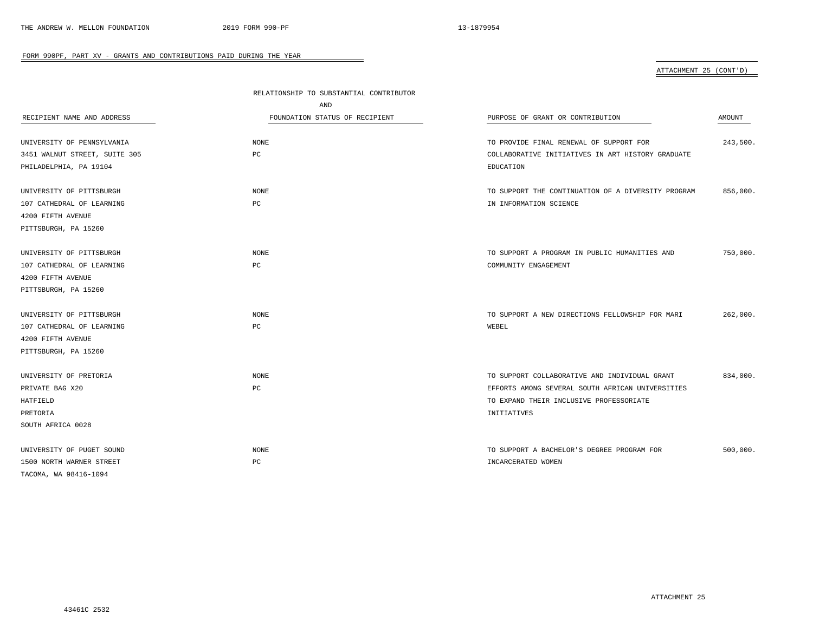# ATTACHMENT 25 (CONT'D)

|                               | RELATIONSHIP TO SUBSTANTIAL CONTRIBUTOR |                                                    |          |
|-------------------------------|-----------------------------------------|----------------------------------------------------|----------|
|                               | AND                                     |                                                    |          |
| RECIPIENT NAME AND ADDRESS    | FOUNDATION STATUS OF RECIPIENT          | PURPOSE OF GRANT OR CONTRIBUTION                   | AMOUNT   |
| UNIVERSITY OF PENNSYLVANIA    | NONE                                    | TO PROVIDE FINAL RENEWAL OF SUPPORT FOR            | 243,500. |
| 3451 WALNUT STREET, SUITE 305 | PC                                      | COLLABORATIVE INITIATIVES IN ART HISTORY GRADUATE  |          |
| PHILADELPHIA, PA 19104        |                                         | EDUCATION                                          |          |
| UNIVERSITY OF PITTSBURGH      | NONE                                    | TO SUPPORT THE CONTINUATION OF A DIVERSITY PROGRAM | 856,000. |
| 107 CATHEDRAL OF LEARNING     | PC                                      | IN INFORMATION SCIENCE                             |          |
| 4200 FIFTH AVENUE             |                                         |                                                    |          |
| PITTSBURGH, PA 15260          |                                         |                                                    |          |
| UNIVERSITY OF PITTSBURGH      | <b>NONE</b>                             | TO SUPPORT A PROGRAM IN PUBLIC HUMANITIES AND      | 750,000. |
| 107 CATHEDRAL OF LEARNING     | $_{\rm PC}$                             | COMMUNITY ENGAGEMENT                               |          |
| 4200 FIFTH AVENUE             |                                         |                                                    |          |
| PITTSBURGH, PA 15260          |                                         |                                                    |          |
| UNIVERSITY OF PITTSBURGH      | <b>NONE</b>                             | TO SUPPORT A NEW DIRECTIONS FELLOWSHIP FOR MARI    | 262,000. |
| 107 CATHEDRAL OF LEARNING     | PC                                      | WEBEL                                              |          |
| 4200 FIFTH AVENUE             |                                         |                                                    |          |
| PITTSBURGH, PA 15260          |                                         |                                                    |          |
| UNIVERSITY OF PRETORIA        | NONE                                    | TO SUPPORT COLLABORATIVE AND INDIVIDUAL GRANT      | 834,000. |
| PRIVATE BAG X20               | PC                                      | EFFORTS AMONG SEVERAL SOUTH AFRICAN UNIVERSITIES   |          |
| HATFIELD                      |                                         | TO EXPAND THEIR INCLUSIVE PROFESSORIATE            |          |
| PRETORIA                      |                                         | INITIATIVES                                        |          |
| SOUTH AFRICA 0028             |                                         |                                                    |          |
| UNIVERSITY OF PUGET SOUND     | NONE                                    | TO SUPPORT A BACHELOR'S DEGREE PROGRAM FOR         | 500,000. |
| 1500 NORTH WARNER STREET      | PC                                      | INCARCERATED WOMEN                                 |          |
| TACOMA, WA 98416-1094         |                                         |                                                    |          |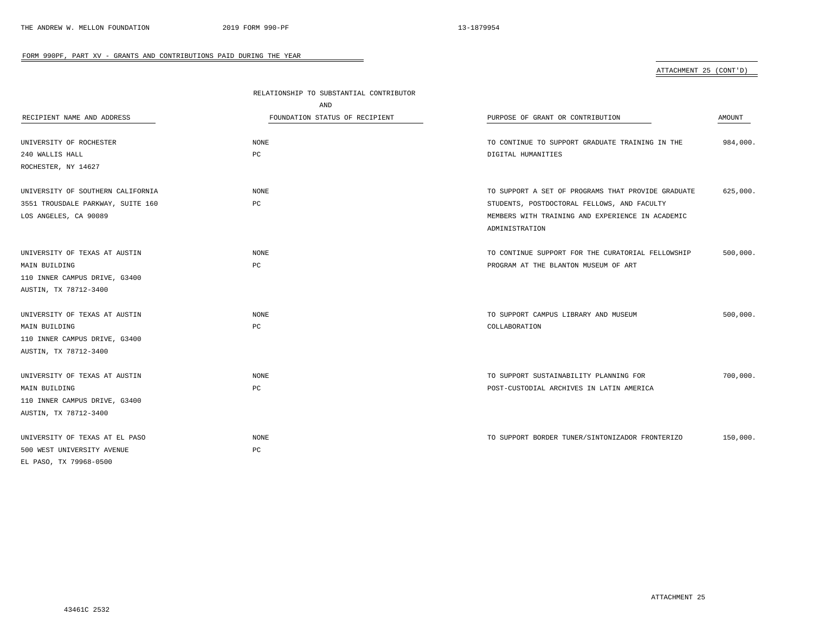ATTACHMENT 25 (CONT'D)

|                                   | RELATIONSHIP TO SUBSTANTIAL CONTRIBUTOR |                                                    |          |
|-----------------------------------|-----------------------------------------|----------------------------------------------------|----------|
|                                   | AND                                     |                                                    |          |
| RECIPIENT NAME AND ADDRESS        | FOUNDATION STATUS OF RECIPIENT          | PURPOSE OF GRANT OR CONTRIBUTION                   | AMOUNT   |
| UNIVERSITY OF ROCHESTER           | NONE                                    | TO CONTINUE TO SUPPORT GRADUATE TRAINING IN THE    | 984,000. |
| 240 WALLIS HALL                   | РC                                      | DIGITAL HUMANITIES                                 |          |
| ROCHESTER, NY 14627               |                                         |                                                    |          |
| UNIVERSITY OF SOUTHERN CALIFORNIA | NONE                                    | TO SUPPORT A SET OF PROGRAMS THAT PROVIDE GRADUATE | 625,000. |
| 3551 TROUSDALE PARKWAY, SUITE 160 | РC                                      | STUDENTS, POSTDOCTORAL FELLOWS, AND FACULTY        |          |
| LOS ANGELES, CA 90089             |                                         | MEMBERS WITH TRAINING AND EXPERIENCE IN ACADEMIC   |          |
|                                   |                                         | ADMINISTRATION                                     |          |
| UNIVERSITY OF TEXAS AT AUSTIN     | NONE                                    | TO CONTINUE SUPPORT FOR THE CURATORIAL FELLOWSHIP  | 500,000. |
| MAIN BUILDING                     | PC                                      | PROGRAM AT THE BLANTON MUSEUM OF ART               |          |
| 110 INNER CAMPUS DRIVE, G3400     |                                         |                                                    |          |
| AUSTIN, TX 78712-3400             |                                         |                                                    |          |
| UNIVERSITY OF TEXAS AT AUSTIN     | NONE                                    | TO SUPPORT CAMPUS LIBRARY AND MUSEUM               | 500,000. |
| MAIN BUILDING                     | PC                                      | COLLABORATION                                      |          |
| 110 INNER CAMPUS DRIVE, G3400     |                                         |                                                    |          |
| AUSTIN, TX 78712-3400             |                                         |                                                    |          |
| UNIVERSITY OF TEXAS AT AUSTIN     | NONE                                    | TO SUPPORT SUSTAINABILITY PLANNING FOR             | 700,000. |
| MAIN BUILDING                     | РC                                      | POST-CUSTODIAL ARCHIVES IN LATIN AMERICA           |          |
| 110 INNER CAMPUS DRIVE, G3400     |                                         |                                                    |          |
| AUSTIN, TX 78712-3400             |                                         |                                                    |          |
| UNIVERSITY OF TEXAS AT EL PASO    | NONE                                    | TO SUPPORT BORDER TUNER/SINTONIZADOR FRONTERIZO    | 150,000. |
| 500 WEST UNIVERSITY AVENUE        | PC                                      |                                                    |          |
| EL PASO, TX 79968-0500            |                                         |                                                    |          |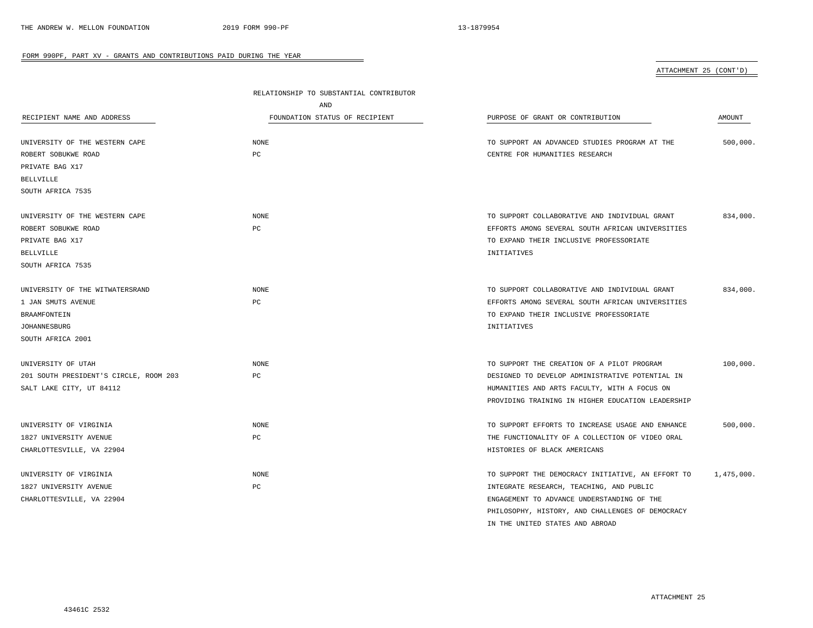ATTACHMENT 25 (CONT'D)

|                                        | RELATIONSHIP TO SUBSTANTIAL CONTRIBUTOR |                                                   |            |
|----------------------------------------|-----------------------------------------|---------------------------------------------------|------------|
|                                        | AND                                     |                                                   |            |
| RECIPIENT NAME AND ADDRESS             | FOUNDATION STATUS OF RECIPIENT          | PURPOSE OF GRANT OR CONTRIBUTION                  | AMOUNT     |
|                                        |                                         |                                                   |            |
| UNIVERSITY OF THE WESTERN CAPE         | <b>NONE</b>                             | TO SUPPORT AN ADVANCED STUDIES PROGRAM AT THE     | 500,000.   |
| ROBERT SOBUKWE ROAD                    | $_{\rm PC}$                             | CENTRE FOR HUMANITIES RESEARCH                    |            |
| PRIVATE BAG X17                        |                                         |                                                   |            |
| <b>BELLVILLE</b>                       |                                         |                                                   |            |
| SOUTH AFRICA 7535                      |                                         |                                                   |            |
| UNIVERSITY OF THE WESTERN CAPE         | <b>NONE</b>                             | TO SUPPORT COLLABORATIVE AND INDIVIDUAL GRANT     | 834,000.   |
| ROBERT SOBUKWE ROAD                    | PC                                      | EFFORTS AMONG SEVERAL SOUTH AFRICAN UNIVERSITIES  |            |
| PRIVATE BAG X17                        |                                         | TO EXPAND THEIR INCLUSIVE PROFESSORIATE           |            |
| <b>BELLVILLE</b>                       |                                         | INITIATIVES                                       |            |
| SOUTH AFRICA 7535                      |                                         |                                                   |            |
|                                        |                                         |                                                   |            |
| UNIVERSITY OF THE WITWATERSRAND        | NONE                                    | TO SUPPORT COLLABORATIVE AND INDIVIDUAL GRANT     | 834,000.   |
| 1 JAN SMUTS AVENUE                     | $_{\rm PC}$                             | EFFORTS AMONG SEVERAL SOUTH AFRICAN UNIVERSITIES  |            |
| BRAAMFONTEIN                           |                                         | TO EXPAND THEIR INCLUSIVE PROFESSORIATE           |            |
| <b>JOHANNESBURG</b>                    |                                         | INITIATIVES                                       |            |
| SOUTH AFRICA 2001                      |                                         |                                                   |            |
|                                        |                                         |                                                   |            |
| UNIVERSITY OF UTAH                     | <b>NONE</b>                             | TO SUPPORT THE CREATION OF A PILOT PROGRAM        | 100,000.   |
| 201 SOUTH PRESIDENT'S CIRCLE, ROOM 203 | PC                                      | DESIGNED TO DEVELOP ADMINISTRATIVE POTENTIAL IN   |            |
| SALT LAKE CITY, UT 84112               |                                         | HUMANITIES AND ARTS FACULTY, WITH A FOCUS ON      |            |
|                                        |                                         | PROVIDING TRAINING IN HIGHER EDUCATION LEADERSHIP |            |
| UNIVERSITY OF VIRGINIA                 | <b>NONE</b>                             | TO SUPPORT EFFORTS TO INCREASE USAGE AND ENHANCE  | 500,000.   |
| 1827 UNIVERSITY AVENUE                 | PC                                      | THE FUNCTIONALITY OF A COLLECTION OF VIDEO ORAL   |            |
| CHARLOTTESVILLE, VA 22904              |                                         | HISTORIES OF BLACK AMERICANS                      |            |
| UNIVERSITY OF VIRGINIA                 | NONE                                    | TO SUPPORT THE DEMOCRACY INITIATIVE, AN EFFORT TO | 1,475,000. |
| 1827 UNIVERSITY AVENUE                 | PC                                      | INTEGRATE RESEARCH, TEACHING, AND PUBLIC          |            |
| CHARLOTTESVILLE, VA 22904              |                                         | ENGAGEMENT TO ADVANCE UNDERSTANDING OF THE        |            |
|                                        |                                         | PHILOSOPHY, HISTORY, AND CHALLENGES OF DEMOCRACY  |            |
|                                        |                                         |                                                   |            |

 $\overline{\phantom{a}}$ 

IN THE UNITED STATES AND ABROAD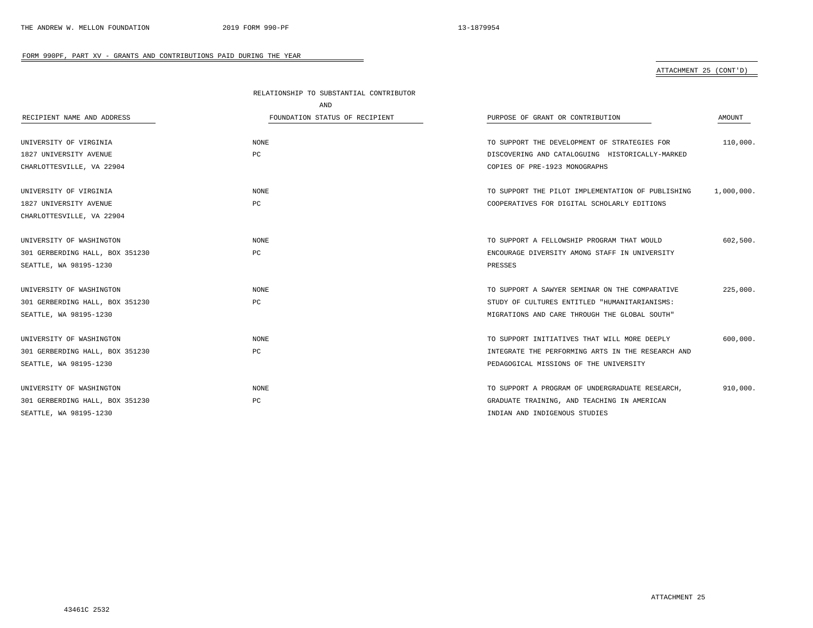# ATTACHMENT 25 (CONT'D)

|                                 | RELATIONSHIP TO SUBSTANTIAL CONTRIBUTOR |                                                   |            |
|---------------------------------|-----------------------------------------|---------------------------------------------------|------------|
|                                 | AND                                     |                                                   |            |
| RECIPIENT NAME AND ADDRESS      | FOUNDATION STATUS OF RECIPIENT          | PURPOSE OF GRANT OR CONTRIBUTION                  | AMOUNT     |
|                                 |                                         |                                                   |            |
| UNIVERSITY OF VIRGINIA          | NONE                                    | TO SUPPORT THE DEVELOPMENT OF STRATEGIES FOR      | 110,000.   |
| 1827 UNIVERSITY AVENUE          | PC                                      | DISCOVERING AND CATALOGUING HISTORICALLY-MARKED   |            |
| CHARLOTTESVILLE, VA 22904       |                                         | COPIES OF PRE-1923 MONOGRAPHS                     |            |
| UNIVERSITY OF VIRGINIA          | NONE                                    | TO SUPPORT THE PILOT IMPLEMENTATION OF PUBLISHING | 1,000,000. |
| 1827 UNIVERSITY AVENUE          | PC                                      | COOPERATIVES FOR DIGITAL SCHOLARLY EDITIONS       |            |
| CHARLOTTESVILLE, VA 22904       |                                         |                                                   |            |
| UNIVERSITY OF WASHINGTON        | NONE                                    | TO SUPPORT A FELLOWSHIP PROGRAM THAT WOULD        | 602,500.   |
| 301 GERBERDING HALL, BOX 351230 | PC                                      | ENCOURAGE DIVERSITY AMONG STAFF IN UNIVERSITY     |            |
| SEATTLE, WA 98195-1230          |                                         | PRESSES                                           |            |
| UNIVERSITY OF WASHINGTON        | NONE                                    | TO SUPPORT A SAWYER SEMINAR ON THE COMPARATIVE    | 225,000.   |
| 301 GERBERDING HALL, BOX 351230 | PC                                      | STUDY OF CULTURES ENTITLED "HUMANITARIANISMS:     |            |
| SEATTLE, WA 98195-1230          |                                         | MIGRATIONS AND CARE THROUGH THE GLOBAL SOUTH"     |            |
| UNIVERSITY OF WASHINGTON        | <b>NONE</b>                             | TO SUPPORT INITIATIVES THAT WILL MORE DEEPLY      | 600,000.   |
| 301 GERBERDING HALL, BOX 351230 | PC                                      | INTEGRATE THE PERFORMING ARTS IN THE RESEARCH AND |            |
| SEATTLE, WA 98195-1230          |                                         | PEDAGOGICAL MISSIONS OF THE UNIVERSITY            |            |
| UNIVERSITY OF WASHINGTON        | <b>NONE</b>                             | TO SUPPORT A PROGRAM OF UNDERGRADUATE RESEARCH,   | 910,000.   |
| 301 GERBERDING HALL, BOX 351230 | PC                                      | GRADUATE TRAINING, AND TEACHING IN AMERICAN       |            |
| SEATTLE, WA 98195-1230          |                                         | INDIAN AND INDIGENOUS STUDIES                     |            |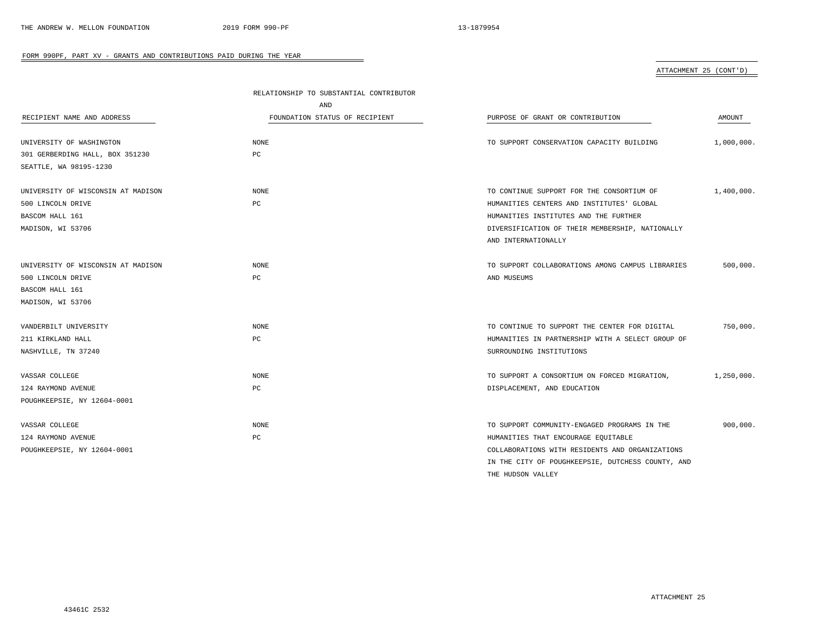# ATTACHMENT 25 (CONT'D)

| RELATIONSHIP TO SUBSTANTIAL CONTRIBUTOR |                                                   |            |
|-----------------------------------------|---------------------------------------------------|------------|
| AND                                     |                                                   |            |
| FOUNDATION STATUS OF RECIPIENT          | PURPOSE OF GRANT OR CONTRIBUTION                  | AMOUNT     |
| <b>NONE</b>                             | TO SUPPORT CONSERVATION CAPACITY BUILDING         | 1,000,000. |
| PC                                      |                                                   |            |
|                                         |                                                   |            |
| <b>NONE</b>                             | TO CONTINUE SUPPORT FOR THE CONSORTIUM OF         | 1,400,000. |
| PC                                      | HUMANITIES CENTERS AND INSTITUTES' GLOBAL         |            |
|                                         | HUMANITIES INSTITUTES AND THE FURTHER             |            |
|                                         | DIVERSIFICATION OF THEIR MEMBERSHIP, NATIONALLY   |            |
|                                         | AND INTERNATIONALLY                               |            |
|                                         |                                                   |            |
| <b>NONE</b>                             | TO SUPPORT COLLABORATIONS AMONG CAMPUS LIBRARIES  | 500,000.   |
| PC                                      | AND MUSEUMS                                       |            |
|                                         |                                                   |            |
|                                         |                                                   |            |
|                                         |                                                   |            |
| NONE                                    | TO CONTINUE TO SUPPORT THE CENTER FOR DIGITAL     | 750,000.   |
| PC                                      | HUMANITIES IN PARTNERSHIP WITH A SELECT GROUP OF  |            |
|                                         | SURROUNDING INSTITUTIONS                          |            |
|                                         |                                                   |            |
| <b>NONE</b>                             | TO SUPPORT A CONSORTIUM ON FORCED MIGRATION,      | 1,250,000. |
| PC                                      | DISPLACEMENT, AND EDUCATION                       |            |
|                                         |                                                   |            |
|                                         |                                                   |            |
| <b>NONE</b>                             | TO SUPPORT COMMUNITY-ENGAGED PROGRAMS IN THE      | 900,000.   |
| PC                                      | HUMANITIES THAT ENCOURAGE EQUITABLE               |            |
|                                         | COLLABORATIONS WITH RESIDENTS AND ORGANIZATIONS   |            |
|                                         | IN THE CITY OF POUGHKEEPSIE, DUTCHESS COUNTY, AND |            |
|                                         |                                                   |            |

 $\overline{\phantom{a}}$ 

THE HUDSON VALLEY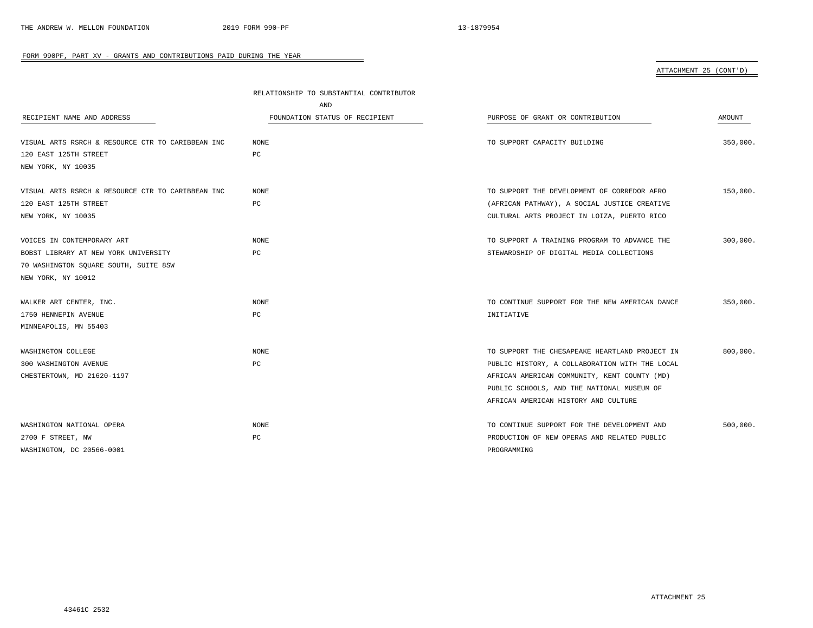ATTACHMENT 25 (CONT'D)

|                                                   | RELATIONSHIP TO SUBSTANTIAL CONTRIBUTOR |                                                |          |
|---------------------------------------------------|-----------------------------------------|------------------------------------------------|----------|
|                                                   | AND                                     |                                                |          |
| RECIPIENT NAME AND ADDRESS                        | FOUNDATION STATUS OF RECIPIENT          | PURPOSE OF GRANT OR CONTRIBUTION               | AMOUNT   |
| VISUAL ARTS RSRCH & RESOURCE CTR TO CARIBBEAN INC | NONE                                    | TO SUPPORT CAPACITY BUILDING                   | 350,000. |
| 120 EAST 125TH STREET                             | РC                                      |                                                |          |
| NEW YORK, NY 10035                                |                                         |                                                |          |
| VISUAL ARTS RSRCH & RESOURCE CTR TO CARIBBEAN INC | <b>NONE</b>                             | TO SUPPORT THE DEVELOPMENT OF CORREDOR AFRO    | 150,000. |
| 120 EAST 125TH STREET                             | PC                                      | (AFRICAN PATHWAY), A SOCIAL JUSTICE CREATIVE   |          |
| NEW YORK, NY 10035                                |                                         | CULTURAL ARTS PROJECT IN LOIZA, PUERTO RICO    |          |
| VOICES IN CONTEMPORARY ART                        | <b>NONE</b>                             | TO SUPPORT A TRAINING PROGRAM TO ADVANCE THE   | 300,000. |
| BOBST LIBRARY AT NEW YORK UNIVERSITY              | PC                                      | STEWARDSHIP OF DIGITAL MEDIA COLLECTIONS       |          |
| 70 WASHINGTON SQUARE SOUTH, SUITE 8SW             |                                         |                                                |          |
| NEW YORK, NY 10012                                |                                         |                                                |          |
| WALKER ART CENTER, INC.                           | NONE                                    | TO CONTINUE SUPPORT FOR THE NEW AMERICAN DANCE | 350,000. |
| 1750 HENNEPIN AVENUE                              | PC                                      | INITIATIVE                                     |          |
| MINNEAPOLIS, MN 55403                             |                                         |                                                |          |
| WASHINGTON COLLEGE                                | <b>NONE</b>                             | TO SUPPORT THE CHESAPEAKE HEARTLAND PROJECT IN | 800,000. |
| 300 WASHINGTON AVENUE                             | PС                                      | PUBLIC HISTORY, A COLLABORATION WITH THE LOCAL |          |
| CHESTERTOWN, MD 21620-1197                        |                                         | AFRICAN AMERICAN COMMUNITY, KENT COUNTY (MD)   |          |
|                                                   |                                         | PUBLIC SCHOOLS, AND THE NATIONAL MUSEUM OF     |          |
|                                                   |                                         | AFRICAN AMERICAN HISTORY AND CULTURE           |          |
| WASHINGTON NATIONAL OPERA                         | NONE                                    | TO CONTINUE SUPPORT FOR THE DEVELOPMENT AND    | 500,000. |
| 2700 F STREET, NW                                 | PC                                      | PRODUCTION OF NEW OPERAS AND RELATED PUBLIC    |          |
| WASHINGTON, DC 20566-0001                         |                                         | PROGRAMMING                                    |          |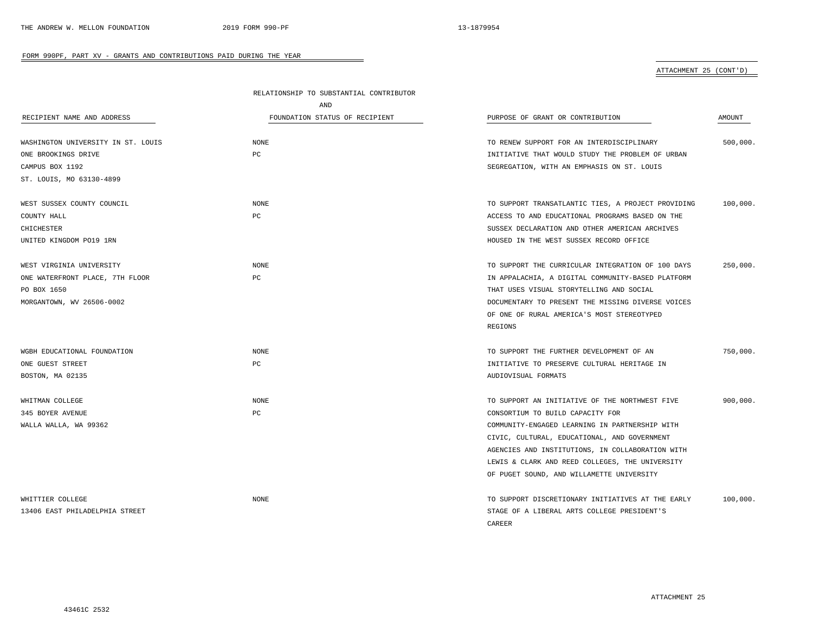# ATTACHMENT 25 (CONT'D)

|                                    | RELATIONSHIP TO SUBSTANTIAL CONTRIBUTOR |                                                    |          |  |
|------------------------------------|-----------------------------------------|----------------------------------------------------|----------|--|
|                                    | AND                                     |                                                    |          |  |
| RECIPIENT NAME AND ADDRESS         | FOUNDATION STATUS OF RECIPIENT          | PURPOSE OF GRANT OR CONTRIBUTION                   | AMOUNT   |  |
| WASHINGTON UNIVERSITY IN ST. LOUIS | <b>NONE</b>                             | TO RENEW SUPPORT FOR AN INTERDISCIPLINARY          | 500,000. |  |
| ONE BROOKINGS DRIVE                | PC                                      | INITIATIVE THAT WOULD STUDY THE PROBLEM OF URBAN   |          |  |
| CAMPUS BOX 1192                    |                                         | SEGREGATION, WITH AN EMPHASIS ON ST. LOUIS         |          |  |
| ST. LOUIS, MO 63130-4899           |                                         |                                                    |          |  |
| WEST SUSSEX COUNTY COUNCIL         | <b>NONE</b>                             | TO SUPPORT TRANSATLANTIC TIES, A PROJECT PROVIDING | 100,000. |  |
| COUNTY HALL                        | PC                                      | ACCESS TO AND EDUCATIONAL PROGRAMS BASED ON THE    |          |  |
| CHICHESTER                         |                                         | SUSSEX DECLARATION AND OTHER AMERICAN ARCHIVES     |          |  |
| UNITED KINGDOM PO19 1RN            |                                         | HOUSED IN THE WEST SUSSEX RECORD OFFICE            |          |  |
| WEST VIRGINIA UNIVERSITY           | NONE                                    | TO SUPPORT THE CURRICULAR INTEGRATION OF 100 DAYS  | 250,000. |  |
| ONE WATERFRONT PLACE, 7TH FLOOR    | PC                                      | IN APPALACHIA, A DIGITAL COMMUNITY-BASED PLATFORM  |          |  |
| PO BOX 1650                        |                                         | THAT USES VISUAL STORYTELLING AND SOCIAL           |          |  |
| MORGANTOWN, WV 26506-0002          |                                         | DOCUMENTARY TO PRESENT THE MISSING DIVERSE VOICES  |          |  |
|                                    |                                         | OF ONE OF RURAL AMERICA'S MOST STEREOTYPED         |          |  |
|                                    |                                         | REGIONS                                            |          |  |
| WGBH EDUCATIONAL FOUNDATION        | NONE                                    | TO SUPPORT THE FURTHER DEVELOPMENT OF AN           | 750,000. |  |
| ONE GUEST STREET                   | PC                                      | INITIATIVE TO PRESERVE CULTURAL HERITAGE IN        |          |  |
| BOSTON, MA 02135                   |                                         | AUDIOVISUAL FORMATS                                |          |  |
| WHITMAN COLLEGE                    | <b>NONE</b>                             | TO SUPPORT AN INITIATIVE OF THE NORTHWEST FIVE     | 900,000. |  |
| 345 BOYER AVENUE                   | PC                                      | CONSORTIUM TO BUILD CAPACITY FOR                   |          |  |
| WALLA WALLA, WA 99362              |                                         | COMMUNITY-ENGAGED LEARNING IN PARTNERSHIP WITH     |          |  |
|                                    |                                         | CIVIC, CULTURAL, EDUCATIONAL, AND GOVERNMENT       |          |  |
|                                    |                                         | AGENCIES AND INSTITUTIONS, IN COLLABORATION WITH   |          |  |
|                                    |                                         | LEWIS & CLARK AND REED COLLEGES, THE UNIVERSITY    |          |  |
|                                    |                                         | OF PUGET SOUND, AND WILLAMETTE UNIVERSITY          |          |  |
| WHITTIER COLLEGE                   | <b>NONE</b>                             | TO SUPPORT DISCRETIONARY INITIATIVES AT THE EARLY  | 100,000. |  |
| 13406 EAST PHILADELPHIA STREET     |                                         | STAGE OF A LIBERAL ARTS COLLEGE PRESIDENT'S        |          |  |
|                                    |                                         | CAREER                                             |          |  |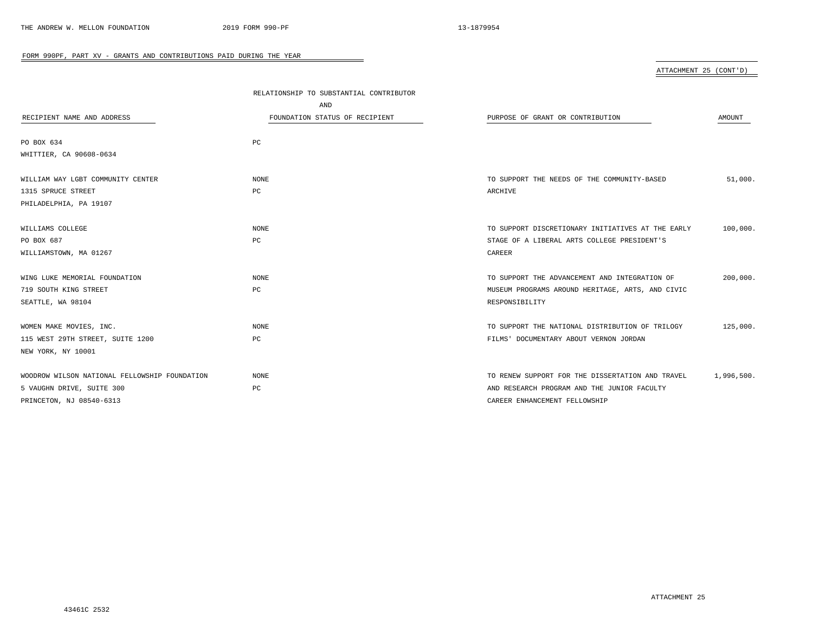|                                               | RELATIONSHIP TO SUBSTANTIAL CONTRIBUTOR |                                                   |            |
|-----------------------------------------------|-----------------------------------------|---------------------------------------------------|------------|
|                                               | AND                                     |                                                   |            |
| RECIPIENT NAME AND ADDRESS                    | FOUNDATION STATUS OF RECIPIENT          | PURPOSE OF GRANT OR CONTRIBUTION                  | AMOUNT     |
|                                               |                                         |                                                   |            |
| PO BOX 634                                    | PC                                      |                                                   |            |
| WHITTIER, CA 90608-0634                       |                                         |                                                   |            |
|                                               |                                         |                                                   |            |
| WILLIAM WAY LGBT COMMUNITY CENTER             | NONE                                    | TO SUPPORT THE NEEDS OF THE COMMUNITY-BASED       | 51,000.    |
| 1315 SPRUCE STREET                            | PC                                      | ARCHIVE                                           |            |
| PHILADELPHIA, PA 19107                        |                                         |                                                   |            |
|                                               |                                         |                                                   |            |
| WILLIAMS COLLEGE                              | <b>NONE</b>                             | TO SUPPORT DISCRETIONARY INITIATIVES AT THE EARLY | 100,000.   |
| PO BOX 687                                    | PC                                      | STAGE OF A LIBERAL ARTS COLLEGE PRESIDENT'S       |            |
| WILLIAMSTOWN, MA 01267                        |                                         | CAREER                                            |            |
|                                               |                                         |                                                   |            |
| WING LUKE MEMORIAL FOUNDATION                 | <b>NONE</b>                             | TO SUPPORT THE ADVANCEMENT AND INTEGRATION OF     | 200,000.   |
| 719 SOUTH KING STREET                         | PC                                      | MUSEUM PROGRAMS AROUND HERITAGE, ARTS, AND CIVIC  |            |
| SEATTLE, WA 98104                             |                                         | RESPONSIBILITY                                    |            |
|                                               |                                         |                                                   |            |
| WOMEN MAKE MOVIES, INC.                       | NONE                                    | TO SUPPORT THE NATIONAL DISTRIBUTION OF TRILOGY   | 125,000.   |
| 115 WEST 29TH STREET, SUITE 1200              | PC                                      | FILMS' DOCUMENTARY ABOUT VERNON JORDAN            |            |
| NEW YORK, NY 10001                            |                                         |                                                   |            |
|                                               |                                         |                                                   |            |
| WOODROW WILSON NATIONAL FELLOWSHIP FOUNDATION | NONE                                    | TO RENEW SUPPORT FOR THE DISSERTATION AND TRAVEL  | 1,996,500. |
| 5 VAUGHN DRIVE, SUITE 300                     | PC                                      | AND RESEARCH PROGRAM AND THE JUNIOR FACULTY       |            |
| PRINCETON, NJ 08540-6313                      |                                         | CAREER ENHANCEMENT FELLOWSHIP                     |            |

÷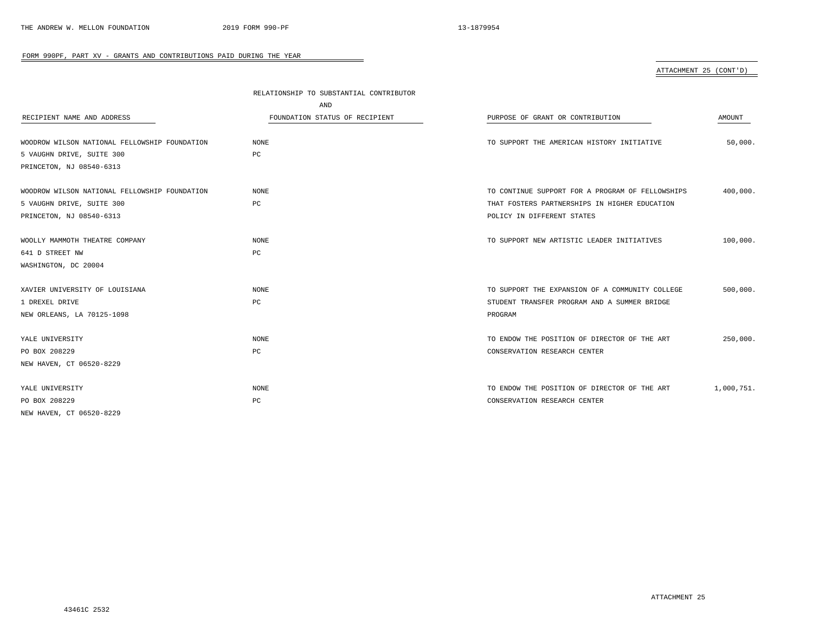# ATTACHMENT 25 (CONT'D)

|                                               | RELATIONSHIP TO SUBSTANTIAL CONTRIBUTOR |                                                  |            |  |
|-----------------------------------------------|-----------------------------------------|--------------------------------------------------|------------|--|
|                                               | AND                                     |                                                  |            |  |
| RECIPIENT NAME AND ADDRESS                    | FOUNDATION STATUS OF RECIPIENT          | PURPOSE OF GRANT OR CONTRIBUTION                 | AMOUNT     |  |
| WOODROW WILSON NATIONAL FELLOWSHIP FOUNDATION | NONE                                    | TO SUPPORT THE AMERICAN HISTORY INITIATIVE       | 50,000.    |  |
| 5 VAUGHN DRIVE, SUITE 300                     | РC                                      |                                                  |            |  |
| PRINCETON, NJ 08540-6313                      |                                         |                                                  |            |  |
| WOODROW WILSON NATIONAL FELLOWSHIP FOUNDATION | <b>NONE</b>                             | TO CONTINUE SUPPORT FOR A PROGRAM OF FELLOWSHIPS | 400,000.   |  |
| 5 VAUGHN DRIVE, SUITE 300                     | PC                                      | THAT FOSTERS PARTNERSHIPS IN HIGHER EDUCATION    |            |  |
| PRINCETON, NJ 08540-6313                      |                                         | POLICY IN DIFFERENT STATES                       |            |  |
| WOOLLY MAMMOTH THEATRE COMPANY                | NONE                                    | TO SUPPORT NEW ARTISTIC LEADER INITIATIVES       | 100,000.   |  |
| 641 D STREET NW                               | PC                                      |                                                  |            |  |
| WASHINGTON, DC 20004                          |                                         |                                                  |            |  |
| XAVIER UNIVERSITY OF LOUISIANA                | NONE                                    | TO SUPPORT THE EXPANSION OF A COMMUNITY COLLEGE  | 500,000.   |  |
| 1 DREXEL DRIVE                                | РC                                      | STUDENT TRANSFER PROGRAM AND A SUMMER BRIDGE     |            |  |
| NEW ORLEANS, LA 70125-1098                    |                                         | PROGRAM                                          |            |  |
| YALE UNIVERSITY                               | NONE                                    | TO ENDOW THE POSITION OF DIRECTOR OF THE ART     | 250,000.   |  |
| PO BOX 208229                                 | PC                                      | CONSERVATION RESEARCH CENTER                     |            |  |
| NEW HAVEN, CT 06520-8229                      |                                         |                                                  |            |  |
| YALE UNIVERSITY                               | NONE                                    | TO ENDOW THE POSITION OF DIRECTOR OF THE ART     | 1,000,751. |  |
| PO BOX 208229                                 | РC                                      | CONSERVATION RESEARCH CENTER                     |            |  |
| NEW HAVEN, CT 06520-8229                      |                                         |                                                  |            |  |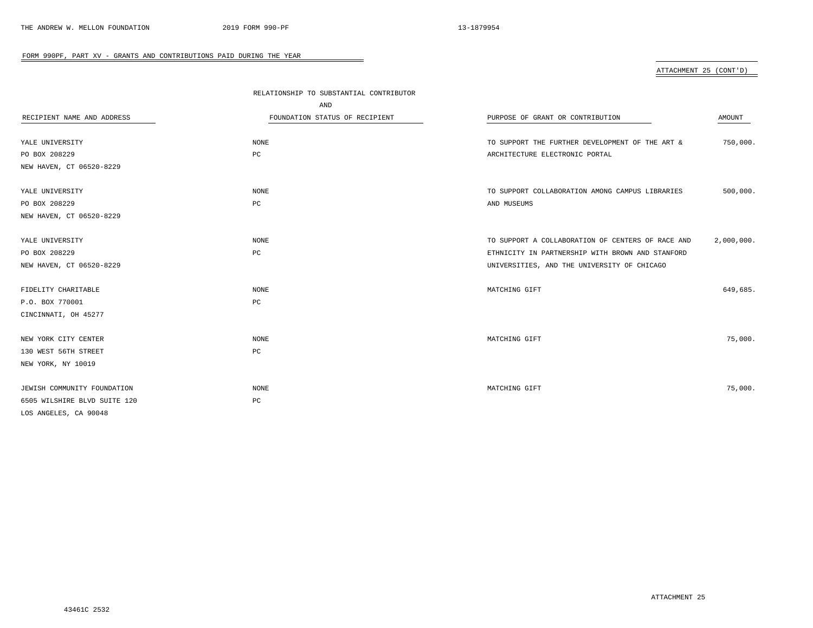ATTACHMENT 25 (CONT'D)

|                              | RELATIONSHIP TO SUBSTANTIAL CONTRIBUTOR |                                                   |            |
|------------------------------|-----------------------------------------|---------------------------------------------------|------------|
|                              | AND                                     |                                                   |            |
| RECIPIENT NAME AND ADDRESS   | FOUNDATION STATUS OF RECIPIENT          | PURPOSE OF GRANT OR CONTRIBUTION                  | AMOUNT     |
|                              |                                         |                                                   |            |
| YALE UNIVERSITY              | NONE                                    | TO SUPPORT THE FURTHER DEVELOPMENT OF THE ART &   | 750,000.   |
| PO BOX 208229                | PC                                      | ARCHITECTURE ELECTRONIC PORTAL                    |            |
| NEW HAVEN, CT 06520-8229     |                                         |                                                   |            |
|                              |                                         |                                                   |            |
| YALE UNIVERSITY              | NONE                                    | TO SUPPORT COLLABORATION AMONG CAMPUS LIBRARIES   | 500,000.   |
| PO BOX 208229                | PC                                      | AND MUSEUMS                                       |            |
| NEW HAVEN, CT 06520-8229     |                                         |                                                   |            |
|                              |                                         |                                                   |            |
| YALE UNIVERSITY              | NONE                                    | TO SUPPORT A COLLABORATION OF CENTERS OF RACE AND | 2,000,000. |
| PO BOX 208229                | PC                                      | ETHNICITY IN PARTNERSHIP WITH BROWN AND STANFORD  |            |
| NEW HAVEN, CT 06520-8229     |                                         | UNIVERSITIES, AND THE UNIVERSITY OF CHICAGO       |            |
|                              |                                         |                                                   |            |
| FIDELITY CHARITABLE          | NONE                                    | MATCHING GIFT                                     | 649.685.   |
| P.O. BOX 770001              | $_{\rm PC}$                             |                                                   |            |
| CINCINNATI, OH 45277         |                                         |                                                   |            |
|                              |                                         |                                                   |            |
| NEW YORK CITY CENTER         | <b>NONE</b>                             | MATCHING GIFT                                     | 75,000.    |
| 130 WEST 56TH STREET         | PC                                      |                                                   |            |
| NEW YORK, NY 10019           |                                         |                                                   |            |
|                              |                                         |                                                   |            |
| JEWISH COMMUNITY FOUNDATION  | NONE                                    | MATCHING GIFT                                     | 75,000.    |
| 6505 WILSHIRE BLVD SUITE 120 | PC                                      |                                                   |            |
| LOS ANGELES, CA 90048        |                                         |                                                   |            |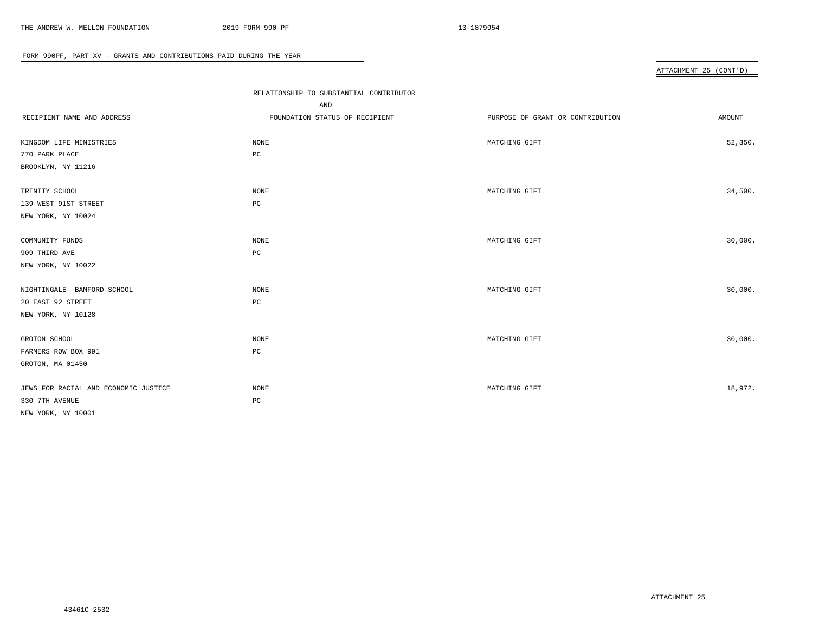# ATTACHMENT 25 (CONT'D)

|                                      | RELATIONSHIP TO SUBSTANTIAL CONTRIBUTOR<br>AND |                                  |         |
|--------------------------------------|------------------------------------------------|----------------------------------|---------|
| RECIPIENT NAME AND ADDRESS           | FOUNDATION STATUS OF RECIPIENT                 | PURPOSE OF GRANT OR CONTRIBUTION | AMOUNT  |
|                                      |                                                |                                  |         |
| KINGDOM LIFE MINISTRIES              | NONE                                           | MATCHING GIFT                    | 52,350. |
| 770 PARK PLACE                       | $_{\rm PC}$                                    |                                  |         |
| BROOKLYN, NY 11216                   |                                                |                                  |         |
| TRINITY SCHOOL                       | $\rm{NONE}$                                    | MATCHING GIFT                    | 34,500. |
| 139 WEST 91ST STREET                 | $_{\rm PC}$                                    |                                  |         |
| NEW YORK, NY 10024                   |                                                |                                  |         |
| COMMUNITY FUNDS                      | $\rm{NONE}$                                    | MATCHING GIFT                    | 30,000. |
| 909 THIRD AVE                        | $_{\rm PC}$                                    |                                  |         |
| NEW YORK, NY 10022                   |                                                |                                  |         |
| NIGHTINGALE- BAMFORD SCHOOL          | NONE                                           | MATCHING GIFT                    | 30,000. |
| 20 EAST 92 STREET                    | $_{\rm PC}$                                    |                                  |         |
| NEW YORK, NY 10128                   |                                                |                                  |         |
| GROTON SCHOOL                        | NONE                                           | MATCHING GIFT                    | 30,000. |
| FARMERS ROW BOX 991                  | $_{\rm PC}$                                    |                                  |         |
| GROTON, MA 01450                     |                                                |                                  |         |
| JEWS FOR RACIAL AND ECONOMIC JUSTICE | $\rm{NONE}$                                    | MATCHING GIFT                    | 18,972. |
| 330 7TH AVENUE                       | $_{\rm PC}$                                    |                                  |         |
| NEW YORK, NY 10001                   |                                                |                                  |         |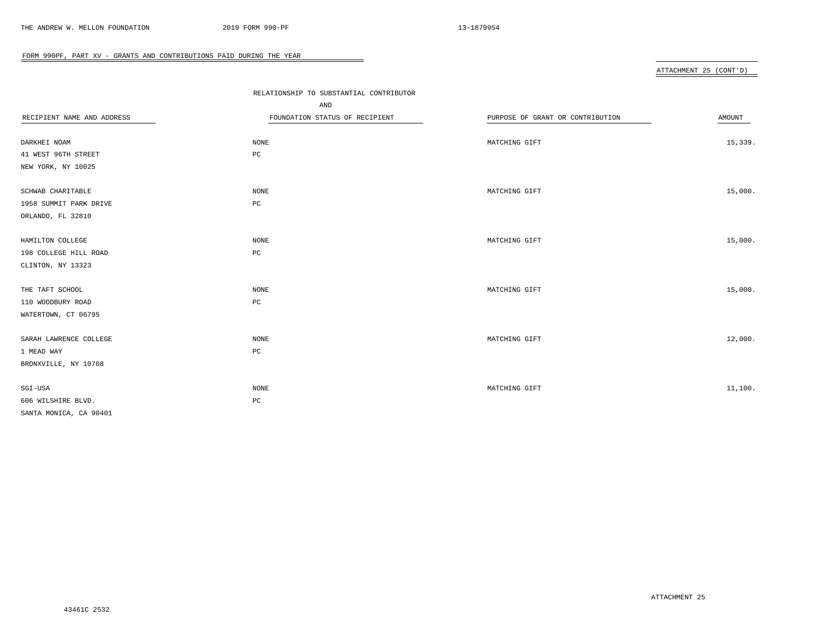# ATTACHMENT 25 (CONT'D)

|                            | RELATIONSHIP TO SUBSTANTIAL CONTRIBUTOR |                                  |         |
|----------------------------|-----------------------------------------|----------------------------------|---------|
|                            | AND                                     |                                  |         |
| RECIPIENT NAME AND ADDRESS | FOUNDATION STATUS OF RECIPIENT          | PURPOSE OF GRANT OR CONTRIBUTION | AMOUNT  |
|                            |                                         |                                  |         |
| DARKHEI NOAM               | NONE                                    | MATCHING GIFT                    | 15,339. |
| 41 WEST 96TH STREET        | $_{\rm PC}$                             |                                  |         |
| NEW YORK, NY 10025         |                                         |                                  |         |
|                            |                                         |                                  |         |
| SCHWAB CHARITABLE          | NONE                                    | MATCHING GIFT                    | 15,000. |
| 1958 SUMMIT PARK DRIVE     | $_{\rm PC}$                             |                                  |         |
| ORLANDO, FL 32810          |                                         |                                  |         |
|                            |                                         |                                  |         |
| HAMILTON COLLEGE           | NONE                                    | MATCHING GIFT                    | 15,000. |
| 198 COLLEGE HILL ROAD      | $_{\rm PC}$                             |                                  |         |
| CLINTON, NY 13323          |                                         |                                  |         |
|                            |                                         |                                  |         |
| THE TAFT SCHOOL            | NONE                                    | MATCHING GIFT                    | 15,000. |
| 110 WOODBURY ROAD          | $_{\rm PC}$                             |                                  |         |
| WATERTOWN, CT 06795        |                                         |                                  |         |
|                            |                                         |                                  |         |
| SARAH LAWRENCE COLLEGE     | $\rm{NONE}$                             | MATCHING GIFT                    | 12,000. |
| 1 MEAD WAY                 | $_{\rm PC}$                             |                                  |         |
| BRONXVILLE, NY 10708       |                                         |                                  |         |
|                            |                                         |                                  |         |
| SGI-USA                    | NONE                                    | MATCHING GIFT                    | 11,100. |
| 606 WILSHIRE BLVD.         | $_{\rm PC}$                             |                                  |         |
| SANTA MONICA, CA 90401     |                                         |                                  |         |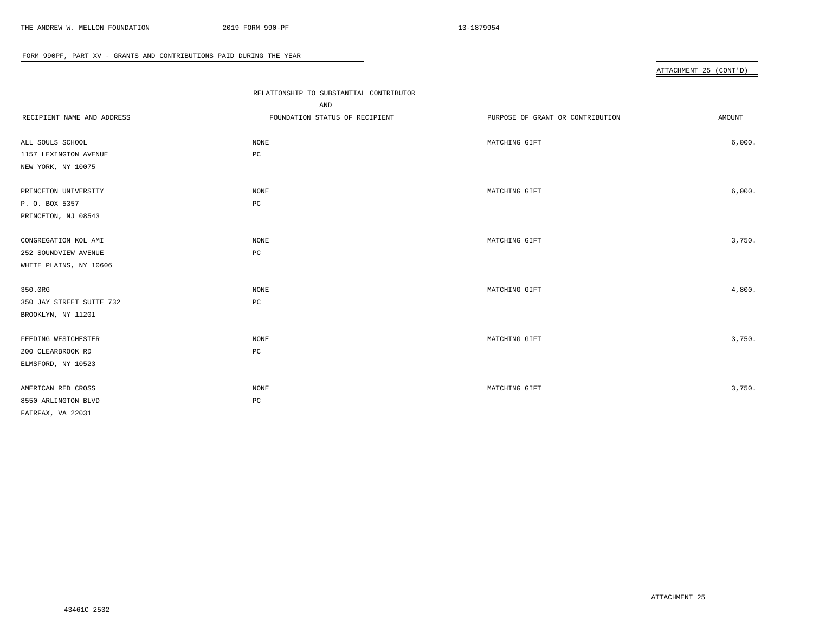# ATTACHMENT 25 (CONT'D)

|                            | RELATIONSHIP TO SUBSTANTIAL CONTRIBUTOR<br>AND |                                  |        |
|----------------------------|------------------------------------------------|----------------------------------|--------|
| RECIPIENT NAME AND ADDRESS | FOUNDATION STATUS OF RECIPIENT                 | PURPOSE OF GRANT OR CONTRIBUTION | AMOUNT |
|                            |                                                |                                  |        |
| ALL SOULS SCHOOL           | NONE                                           | MATCHING GIFT                    | 6,000. |
| 1157 LEXINGTON AVENUE      | $_{\rm PC}$                                    |                                  |        |
| NEW YORK, NY 10075         |                                                |                                  |        |
| PRINCETON UNIVERSITY       | NONE                                           | MATCHING GIFT                    | 6,000. |
| P. O. BOX 5357             | $_{\rm PC}$                                    |                                  |        |
| PRINCETON, NJ 08543        |                                                |                                  |        |
| CONGREGATION KOL AMI       | NONE                                           | MATCHING GIFT                    | 3,750. |
| 252 SOUNDVIEW AVENUE       | $_{\rm PC}$                                    |                                  |        |
| WHITE PLAINS, NY 10606     |                                                |                                  |        |
|                            |                                                |                                  |        |
| 350.0RG                    | NONE                                           | MATCHING GIFT                    | 4,800. |
| 350 JAY STREET SUITE 732   | $_{\rm PC}$                                    |                                  |        |
| BROOKLYN, NY 11201         |                                                |                                  |        |
| FEEDING WESTCHESTER        | NONE                                           | MATCHING GIFT                    | 3,750. |
| 200 CLEARBROOK RD          | $_{\rm PC}$                                    |                                  |        |
| ELMSFORD, NY 10523         |                                                |                                  |        |
|                            |                                                |                                  |        |
| AMERICAN RED CROSS         | NONE                                           | MATCHING GIFT                    | 3,750. |
| 8550 ARLINGTON BLVD        | $_{\rm PC}$                                    |                                  |        |
| FAIRFAX, VA 22031          |                                                |                                  |        |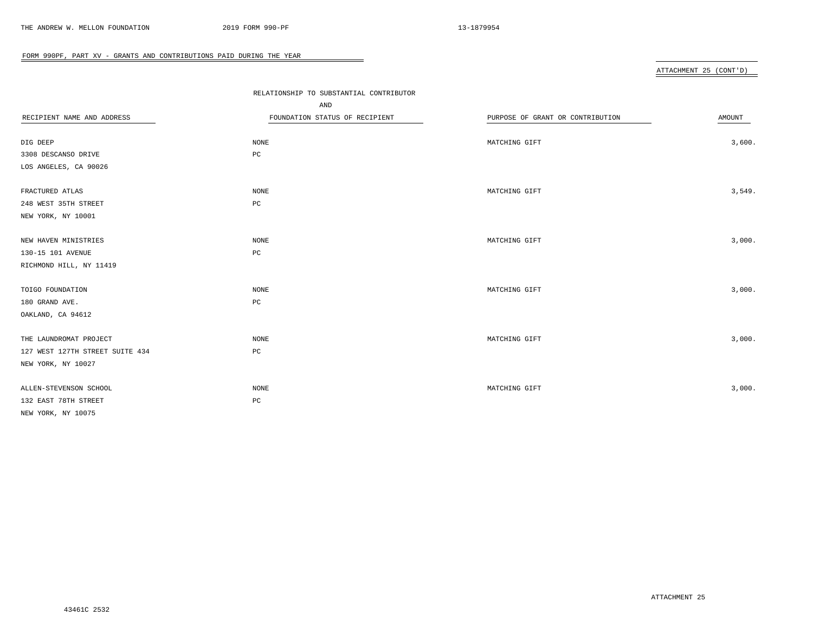# ATTACHMENT 25 (CONT'D)

|                                 | RELATIONSHIP TO SUBSTANTIAL CONTRIBUTOR<br>AND |                                  |        |
|---------------------------------|------------------------------------------------|----------------------------------|--------|
| RECIPIENT NAME AND ADDRESS      | FOUNDATION STATUS OF RECIPIENT                 | PURPOSE OF GRANT OR CONTRIBUTION | AMOUNT |
|                                 |                                                |                                  |        |
| DIG DEEP                        | NONE                                           | MATCHING GIFT                    | 3,600. |
| 3308 DESCANSO DRIVE             | PC                                             |                                  |        |
| LOS ANGELES, CA 90026           |                                                |                                  |        |
|                                 |                                                |                                  |        |
| FRACTURED ATLAS                 | NONE                                           | MATCHING GIFT                    | 3,549. |
| 248 WEST 35TH STREET            | $_{\rm PC}$                                    |                                  |        |
| NEW YORK, NY 10001              |                                                |                                  |        |
|                                 |                                                |                                  |        |
| NEW HAVEN MINISTRIES            | NONE                                           | MATCHING GIFT                    | 3,000. |
| 130-15 101 AVENUE               | $_{\rm PC}$                                    |                                  |        |
| RICHMOND HILL, NY 11419         |                                                |                                  |        |
|                                 |                                                |                                  |        |
| TOIGO FOUNDATION                | NONE                                           | MATCHING GIFT                    | 3,000. |
| 180 GRAND AVE.                  | $_{\rm PC}$                                    |                                  |        |
| OAKLAND, CA 94612               |                                                |                                  |        |
|                                 |                                                |                                  |        |
| THE LAUNDROMAT PROJECT          | <b>NONE</b>                                    | MATCHING GIFT                    | 3,000. |
| 127 WEST 127TH STREET SUITE 434 | $_{\rm PC}$                                    |                                  |        |
| NEW YORK, NY 10027              |                                                |                                  |        |
|                                 |                                                |                                  |        |
| ALLEN-STEVENSON SCHOOL          | <b>NONE</b>                                    | MATCHING GIFT                    | 3,000. |
| 132 EAST 78TH STREET            | PC                                             |                                  |        |
| NEW YORK, NY 10075              |                                                |                                  |        |
|                                 |                                                |                                  |        |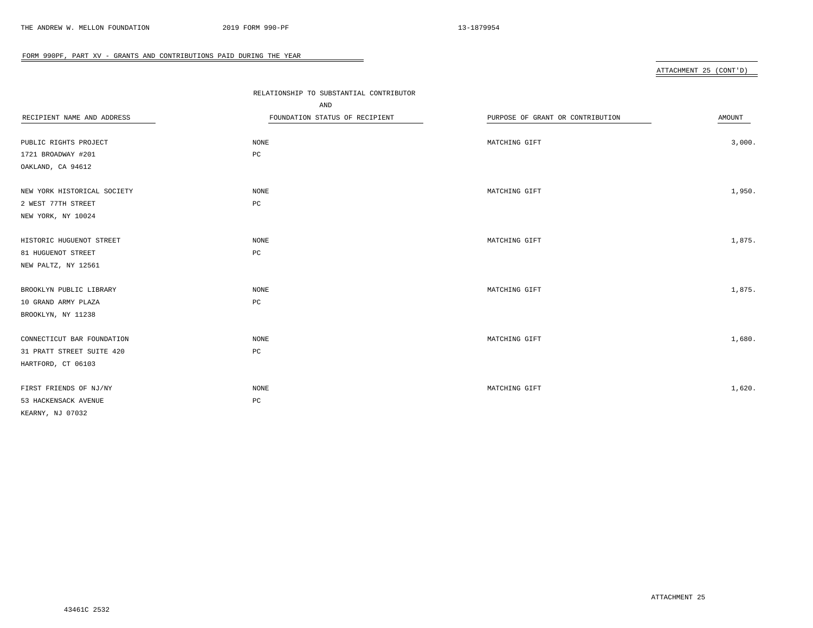# ATTACHMENT 25 (CONT'D)

|                             | RELATIONSHIP TO SUBSTANTIAL CONTRIBUTOR |                                  |        |
|-----------------------------|-----------------------------------------|----------------------------------|--------|
|                             | AND                                     |                                  |        |
| RECIPIENT NAME AND ADDRESS  | FOUNDATION STATUS OF RECIPIENT          | PURPOSE OF GRANT OR CONTRIBUTION | AMOUNT |
|                             |                                         |                                  |        |
| PUBLIC RIGHTS PROJECT       | NONE                                    | MATCHING GIFT                    | 3,000. |
| 1721 BROADWAY #201          | $_{\rm PC}$                             |                                  |        |
| OAKLAND, CA 94612           |                                         |                                  |        |
|                             |                                         |                                  |        |
| NEW YORK HISTORICAL SOCIETY | NONE                                    | MATCHING GIFT                    | 1,950. |
| 2 WEST 77TH STREET          | $_{\rm PC}$                             |                                  |        |
| NEW YORK, NY 10024          |                                         |                                  |        |
|                             |                                         |                                  |        |
| HISTORIC HUGUENOT STREET    | NONE                                    | MATCHING GIFT                    | 1,875. |
| 81 HUGUENOT STREET          | $_{\rm PC}$                             |                                  |        |
| NEW PALTZ, NY 12561         |                                         |                                  |        |
|                             |                                         |                                  |        |
| BROOKLYN PUBLIC LIBRARY     | NONE                                    | MATCHING GIFT                    | 1,875. |
| 10 GRAND ARMY PLAZA         | PC                                      |                                  |        |
| BROOKLYN, NY 11238          |                                         |                                  |        |
| CONNECTICUT BAR FOUNDATION  | $\rm{NONE}$                             | MATCHING GIFT                    | 1,680. |
| 31 PRATT STREET SUITE 420   | $_{\rm PC}$                             |                                  |        |
| HARTFORD, CT 06103          |                                         |                                  |        |
|                             |                                         |                                  |        |
| FIRST FRIENDS OF NJ/NY      | NONE                                    | MATCHING GIFT                    | 1,620. |
| 53 HACKENSACK AVENUE        | $_{\rm PC}$                             |                                  |        |
| KEARNY, NJ 07032            |                                         |                                  |        |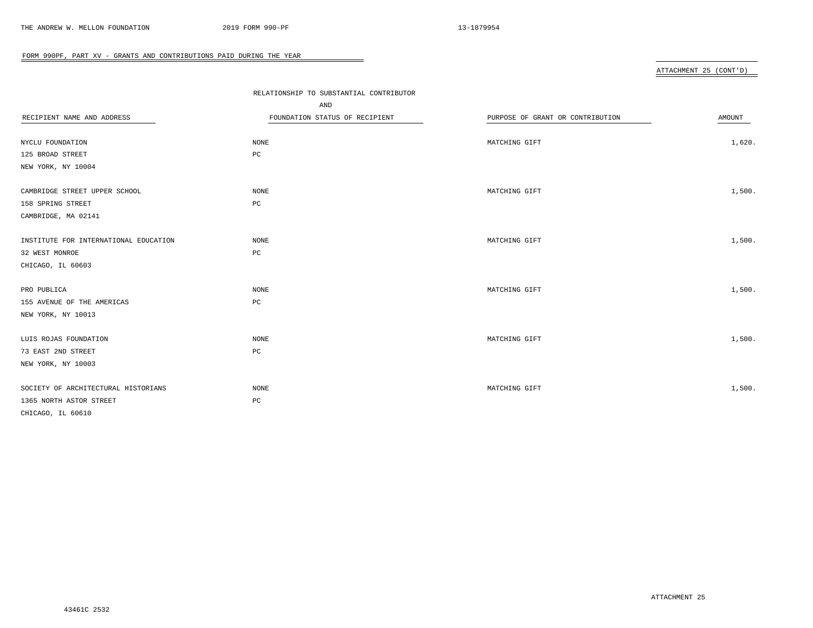# ATTACHMENT 25 (CONT'D)

|                                       | RELATIONSHIP TO SUBSTANTIAL CONTRIBUTOR<br>AND |                                  |        |
|---------------------------------------|------------------------------------------------|----------------------------------|--------|
| RECIPIENT NAME AND ADDRESS            | FOUNDATION STATUS OF RECIPIENT                 | PURPOSE OF GRANT OR CONTRIBUTION | AMOUNT |
|                                       |                                                |                                  |        |
| NYCLU FOUNDATION                      | NONE                                           | MATCHING GIFT                    | 1,620. |
| 125 BROAD STREET                      | PC                                             |                                  |        |
| NEW YORK, NY 10004                    |                                                |                                  |        |
| CAMBRIDGE STREET UPPER SCHOOL         | NONE                                           | MATCHING GIFT                    | 1,500. |
| 158 SPRING STREET                     | PC                                             |                                  |        |
| CAMBRIDGE, MA 02141                   |                                                |                                  |        |
| INSTITUTE FOR INTERNATIONAL EDUCATION | <b>NONE</b>                                    | MATCHING GIFT                    | 1,500. |
| 32 WEST MONROE                        | PC                                             |                                  |        |
| CHICAGO, IL 60603                     |                                                |                                  |        |
|                                       |                                                |                                  |        |
| PRO PUBLICA                           | NONE                                           | MATCHING GIFT                    | 1,500. |
| 155 AVENUE OF THE AMERICAS            | $_{\rm PC}$                                    |                                  |        |
| NEW YORK, NY 10013                    |                                                |                                  |        |
| LUIS ROJAS FOUNDATION                 | NONE                                           | MATCHING GIFT                    | 1,500. |
| 73 EAST 2ND STREET                    | PC                                             |                                  |        |
| NEW YORK, NY 10003                    |                                                |                                  |        |
|                                       |                                                |                                  |        |
| SOCIETY OF ARCHITECTURAL HISTORIANS   | NONE                                           | MATCHING GIFT                    | 1,500. |
| 1365 NORTH ASTOR STREET               | $_{\rm PC}$                                    |                                  |        |
| CHICAGO, IL 60610                     |                                                |                                  |        |
|                                       |                                                |                                  |        |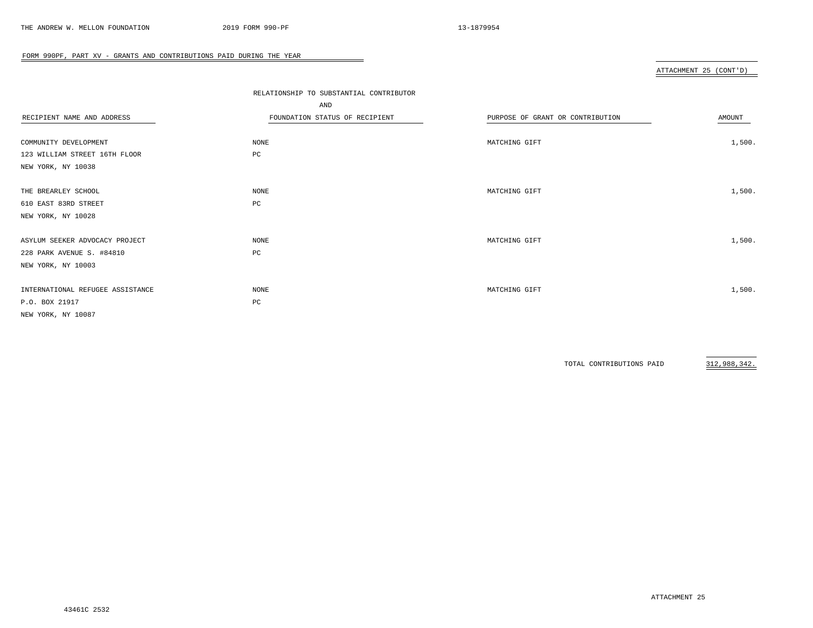# ATTACHMENT 25 (CONT'D)

|                                  | RELATIONSHIP TO SUBSTANTIAL CONTRIBUTOR |                                  |        |
|----------------------------------|-----------------------------------------|----------------------------------|--------|
|                                  | AND                                     |                                  |        |
| RECIPIENT NAME AND ADDRESS       | FOUNDATION STATUS OF RECIPIENT          | PURPOSE OF GRANT OR CONTRIBUTION | AMOUNT |
|                                  |                                         |                                  |        |
| COMMUNITY DEVELOPMENT            | NONE                                    | MATCHING GIFT                    | 1,500. |
| 123 WILLIAM STREET 16TH FLOOR    | PC                                      |                                  |        |
| NEW YORK, NY 10038               |                                         |                                  |        |
|                                  |                                         |                                  |        |
| THE BREARLEY SCHOOL              | NONE                                    | MATCHING GIFT                    | 1,500. |
| 610 EAST 83RD STREET             | PC                                      |                                  |        |
| NEW YORK, NY 10028               |                                         |                                  |        |
|                                  |                                         |                                  |        |
| ASYLUM SEEKER ADVOCACY PROJECT   | NONE                                    | MATCHING GIFT                    | 1,500. |
| 228 PARK AVENUE S. #84810        | PC                                      |                                  |        |
| NEW YORK, NY 10003               |                                         |                                  |        |
|                                  |                                         |                                  |        |
| INTERNATIONAL REFUGEE ASSISTANCE | NONE                                    | MATCHING GIFT                    | 1,500. |
| P.O. BOX 21917                   | PC                                      |                                  |        |
| NEW YORK, NY 10087               |                                         |                                  |        |
|                                  |                                         |                                  |        |

 $\overline{\phantom{a}}$ 

TOTAL CONTRIBUTIONS PAID 312,988,342.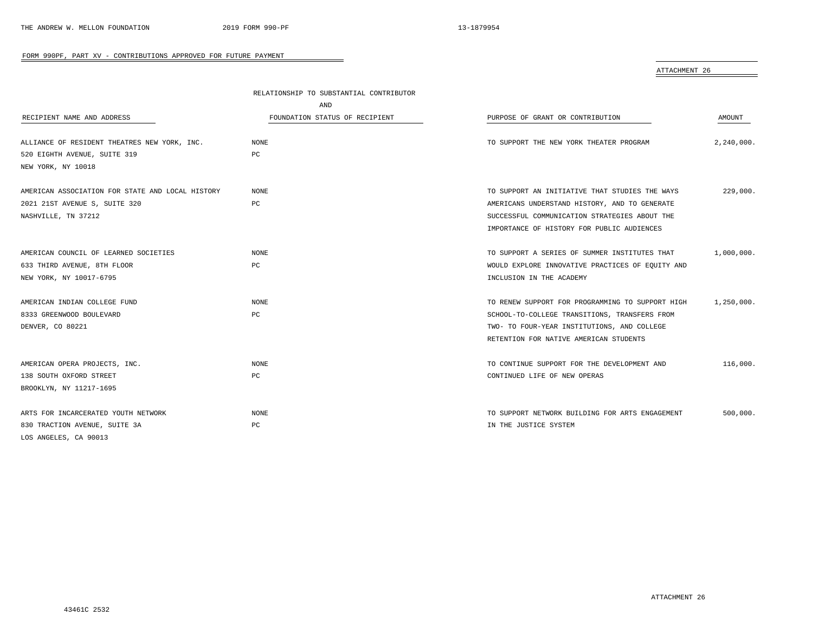|                                                  | RELATIONSHIP TO SUBSTANTIAL CONTRIBUTOR |                                                  |            |
|--------------------------------------------------|-----------------------------------------|--------------------------------------------------|------------|
|                                                  | AND                                     |                                                  |            |
| RECIPIENT NAME AND ADDRESS                       | FOUNDATION STATUS OF RECIPIENT          | PURPOSE OF GRANT OR CONTRIBUTION                 | AMOUNT     |
| ALLIANCE OF RESIDENT THEATRES NEW YORK, INC.     | NONE                                    | TO SUPPORT THE NEW YORK THEATER PROGRAM          | 2,240,000. |
| 520 EIGHTH AVENUE, SUITE 319                     | PC                                      |                                                  |            |
| NEW YORK, NY 10018                               |                                         |                                                  |            |
| AMERICAN ASSOCIATION FOR STATE AND LOCAL HISTORY | NONE                                    | TO SUPPORT AN INITIATIVE THAT STUDIES THE WAYS   | 229,000.   |
| 2021 21ST AVENUE S, SUITE 320                    | PC                                      | AMERICANS UNDERSTAND HISTORY, AND TO GENERATE    |            |
| NASHVILLE, TN 37212                              |                                         | SUCCESSFUL COMMUNICATION STRATEGIES ABOUT THE    |            |
|                                                  |                                         | IMPORTANCE OF HISTORY FOR PUBLIC AUDIENCES       |            |
| AMERICAN COUNCIL OF LEARNED SOCIETIES            | NONE                                    | TO SUPPORT A SERIES OF SUMMER INSTITUTES THAT    | 1,000,000. |
| 633 THIRD AVENUE, 8TH FLOOR                      | PC                                      | WOULD EXPLORE INNOVATIVE PRACTICES OF EQUITY AND |            |
| NEW YORK, NY 10017-6795                          |                                         | INCLUSION IN THE ACADEMY                         |            |
| AMERICAN INDIAN COLLEGE FUND                     | NONE                                    | TO RENEW SUPPORT FOR PROGRAMMING TO SUPPORT HIGH | 1,250,000. |
| 8333 GREENWOOD BOULEVARD                         | PC                                      | SCHOOL-TO-COLLEGE TRANSITIONS, TRANSFERS FROM    |            |
| DENVER, CO 80221                                 |                                         | TWO- TO FOUR-YEAR INSTITUTIONS, AND COLLEGE      |            |
|                                                  |                                         | RETENTION FOR NATIVE AMERICAN STUDENTS           |            |
| AMERICAN OPERA PROJECTS, INC.                    | NONE                                    | TO CONTINUE SUPPORT FOR THE DEVELOPMENT AND      | 116,000.   |
| 138 SOUTH OXFORD STREET                          | PC                                      | CONTINUED LIFE OF NEW OPERAS                     |            |
| BROOKLYN, NY 11217-1695                          |                                         |                                                  |            |
| ARTS FOR INCARCERATED YOUTH NETWORK              | NONE                                    | TO SUPPORT NETWORK BUILDING FOR ARTS ENGAGEMENT  | 500,000.   |
| 830 TRACTION AVENUE, SUITE 3A                    | PC                                      | IN THE JUSTICE SYSTEM                            |            |
| LOS ANGELES, CA 90013                            |                                         |                                                  |            |

 $\overline{\phantom{0}}$ 

ATTACHMENT 26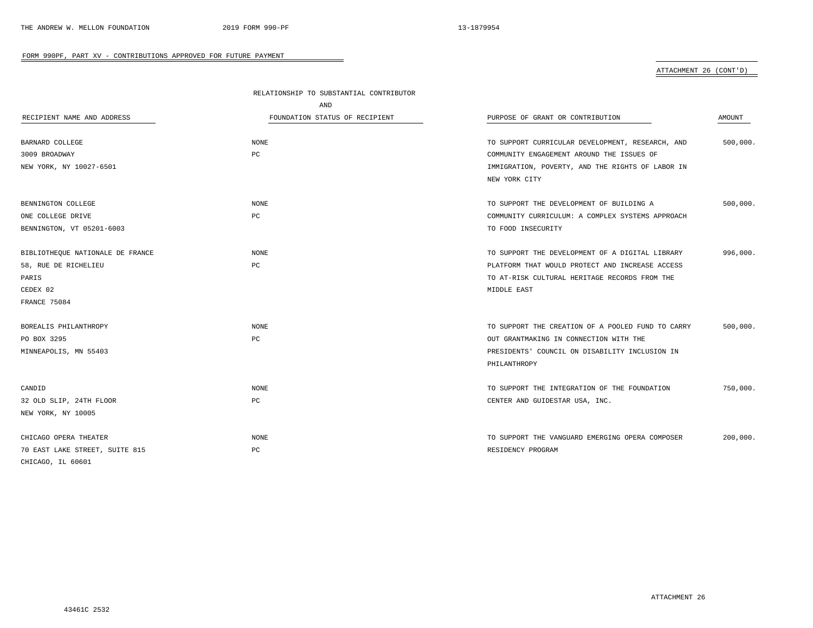|                                  | RELATIONSHIP TO SUBSTANTIAL CONTRIBUTOR |                                                   |          |
|----------------------------------|-----------------------------------------|---------------------------------------------------|----------|
|                                  | <b>AND</b>                              |                                                   |          |
| RECIPIENT NAME AND ADDRESS       | FOUNDATION STATUS OF RECIPIENT          | PURPOSE OF GRANT OR CONTRIBUTION                  | AMOUNT   |
| BARNARD COLLEGE                  | NONE                                    | TO SUPPORT CURRICULAR DEVELOPMENT, RESEARCH, AND  | 500,000. |
| 3009 BROADWAY                    | PC.                                     | COMMUNITY ENGAGEMENT AROUND THE ISSUES OF         |          |
| NEW YORK, NY 10027-6501          |                                         | IMMIGRATION, POVERTY, AND THE RIGHTS OF LABOR IN  |          |
|                                  |                                         | NEW YORK CITY                                     |          |
| BENNINGTON COLLEGE               | <b>NONE</b>                             | TO SUPPORT THE DEVELOPMENT OF BUILDING A          | 500,000. |
| ONE COLLEGE DRIVE                | PC                                      | COMMUNITY CURRICULUM: A COMPLEX SYSTEMS APPROACH  |          |
| BENNINGTON, VT 05201-6003        |                                         | TO FOOD INSECURITY                                |          |
| BIBLIOTHEQUE NATIONALE DE FRANCE | NONE                                    | TO SUPPORT THE DEVELOPMENT OF A DIGITAL LIBRARY   | 996,000. |
| 58, RUE DE RICHELIEU             | PC                                      | PLATFORM THAT WOULD PROTECT AND INCREASE ACCESS   |          |
| PARIS                            |                                         | TO AT-RISK CULTURAL HERITAGE RECORDS FROM THE     |          |
| CEDEX 02                         |                                         | MIDDLE EAST                                       |          |
| FRANCE 75084                     |                                         |                                                   |          |
| BOREALIS PHILANTHROPY            | NONE                                    | TO SUPPORT THE CREATION OF A POOLED FUND TO CARRY | 500,000. |
| PO BOX 3295                      | PC                                      | OUT GRANTMAKING IN CONNECTION WITH THE            |          |
| MINNEAPOLIS, MN 55403            |                                         | PRESIDENTS' COUNCIL ON DISABILITY INCLUSION IN    |          |
|                                  |                                         | PHILANTHROPY                                      |          |
| CANDID                           | NONE                                    | TO SUPPORT THE INTEGRATION OF THE FOUNDATION      | 750,000. |
| 32 OLD SLIP, 24TH FLOOR          | PC                                      | CENTER AND GUIDESTAR USA, INC.                    |          |
| NEW YORK, NY 10005               |                                         |                                                   |          |
| CHICAGO OPERA THEATER            | NONE                                    | TO SUPPORT THE VANGUARD EMERGING OPERA COMPOSER   | 200,000. |
| 70 EAST LAKE STREET, SUITE 815   | РC                                      | RESIDENCY PROGRAM                                 |          |
| CHICAGO, IL 60601                |                                         |                                                   |          |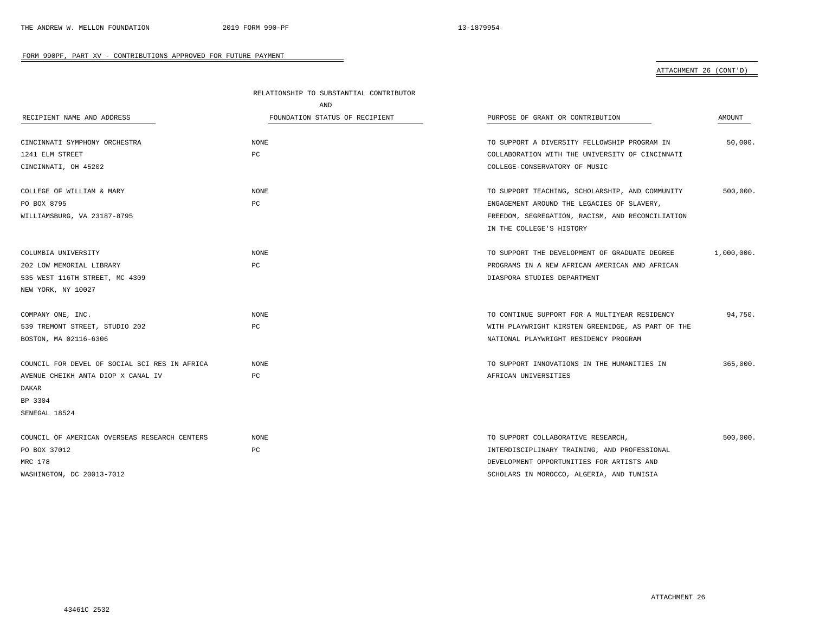|                                               | RELATIONSHIP TO SUBSTANTIAL CONTRIBUTOR |                                                   |            |  |
|-----------------------------------------------|-----------------------------------------|---------------------------------------------------|------------|--|
|                                               | AND                                     |                                                   |            |  |
| RECIPIENT NAME AND ADDRESS                    | FOUNDATION STATUS OF RECIPIENT          | PURPOSE OF GRANT OR CONTRIBUTION                  | AMOUNT     |  |
|                                               |                                         |                                                   |            |  |
| CINCINNATI SYMPHONY ORCHESTRA                 | <b>NONE</b>                             | TO SUPPORT A DIVERSITY FELLOWSHIP PROGRAM IN      | 50,000.    |  |
| 1241 ELM STREET                               | PC                                      | COLLABORATION WITH THE UNIVERSITY OF CINCINNATI   |            |  |
| CINCINNATI, OH 45202                          |                                         | COLLEGE-CONSERVATORY OF MUSIC                     |            |  |
| COLLEGE OF WILLIAM & MARY                     | <b>NONE</b>                             | TO SUPPORT TEACHING, SCHOLARSHIP, AND COMMUNITY   | 500,000.   |  |
| PO BOX 8795                                   | РC                                      | ENGAGEMENT AROUND THE LEGACIES OF SLAVERY,        |            |  |
| WILLIAMSBURG, VA 23187-8795                   |                                         | FREEDOM, SEGREGATION, RACISM, AND RECONCILIATION  |            |  |
|                                               |                                         | IN THE COLLEGE'S HISTORY                          |            |  |
| COLUMBIA UNIVERSITY                           | NONE                                    | TO SUPPORT THE DEVELOPMENT OF GRADUATE DEGREE     | 1,000,000. |  |
| 202 LOW MEMORIAL LIBRARY                      | PC                                      | PROGRAMS IN A NEW AFRICAN AMERICAN AND AFRICAN    |            |  |
| 535 WEST 116TH STREET, MC 4309                |                                         | DIASPORA STUDIES DEPARTMENT                       |            |  |
| NEW YORK, NY 10027                            |                                         |                                                   |            |  |
| COMPANY ONE, INC.                             | NONE                                    | TO CONTINUE SUPPORT FOR A MULTIYEAR RESIDENCY     | 94,750.    |  |
| 539 TREMONT STREET, STUDIO 202                | РC                                      | WITH PLAYWRIGHT KIRSTEN GREENIDGE, AS PART OF THE |            |  |
| BOSTON, MA 02116-6306                         |                                         | NATIONAL PLAYWRIGHT RESIDENCY PROGRAM             |            |  |
| COUNCIL FOR DEVEL OF SOCIAL SCI RES IN AFRICA | <b>NONE</b>                             | TO SUPPORT INNOVATIONS IN THE HUMANITIES IN       | 365,000.   |  |
| AVENUE CHEIKH ANTA DIOP X CANAL IV            | PC                                      | AFRICAN UNIVERSITIES                              |            |  |
| DAKAR                                         |                                         |                                                   |            |  |
| BP 3304                                       |                                         |                                                   |            |  |
| SENEGAL 18524                                 |                                         |                                                   |            |  |
| COUNCIL OF AMERICAN OVERSEAS RESEARCH CENTERS | NONE                                    | TO SUPPORT COLLABORATIVE RESEARCH,                | 500,000.   |  |
| PO BOX 37012                                  | PC                                      | INTERDISCIPLINARY TRAINING, AND PROFESSIONAL      |            |  |
| MRC 178                                       |                                         | DEVELOPMENT OPPORTUNITIES FOR ARTISTS AND         |            |  |
| WASHINGTON, DC 20013-7012                     |                                         | SCHOLARS IN MOROCCO, ALGERIA, AND TUNISIA         |            |  |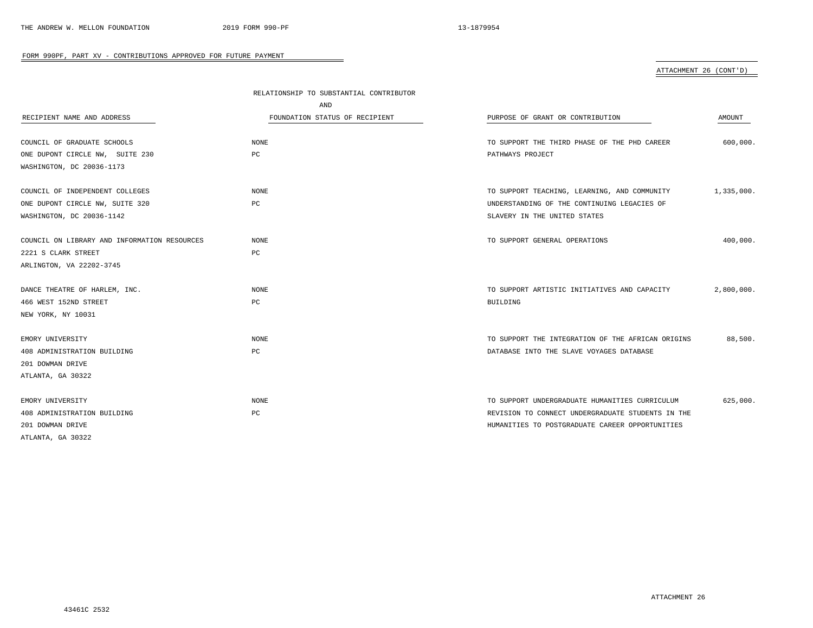|                                              | RELATIONSHIP TO SUBSTANTIAL CONTRIBUTOR |                                                   |            |
|----------------------------------------------|-----------------------------------------|---------------------------------------------------|------------|
|                                              | AND                                     |                                                   |            |
| RECIPIENT NAME AND ADDRESS                   | FOUNDATION STATUS OF RECIPIENT          | PURPOSE OF GRANT OR CONTRIBUTION                  | AMOUNT     |
|                                              |                                         |                                                   |            |
| COUNCIL OF GRADUATE SCHOOLS                  | <b>NONE</b>                             | TO SUPPORT THE THIRD PHASE OF THE PHD CAREER      | 600,000.   |
| ONE DUPONT CIRCLE NW, SUITE 230              | PC                                      | PATHWAYS PROJECT                                  |            |
| WASHINGTON, DC 20036-1173                    |                                         |                                                   |            |
|                                              |                                         |                                                   |            |
| COUNCIL OF INDEPENDENT COLLEGES              | <b>NONE</b>                             | TO SUPPORT TEACHING, LEARNING, AND COMMUNITY      | 1,335,000. |
| ONE DUPONT CIRCLE NW, SUITE 320              | PC                                      | UNDERSTANDING OF THE CONTINUING LEGACIES OF       |            |
| WASHINGTON, DC 20036-1142                    |                                         | SLAVERY IN THE UNITED STATES                      |            |
|                                              |                                         |                                                   |            |
| COUNCIL ON LIBRARY AND INFORMATION RESOURCES | <b>NONE</b>                             | TO SUPPORT GENERAL OPERATIONS                     | 400,000.   |
| 2221 S CLARK STREET                          | PC                                      |                                                   |            |
| ARLINGTON, VA 22202-3745                     |                                         |                                                   |            |
|                                              |                                         |                                                   |            |
| DANCE THEATRE OF HARLEM, INC.                | <b>NONE</b>                             | TO SUPPORT ARTISTIC INITIATIVES AND CAPACITY      | 2,800,000. |
| 466 WEST 152ND STREET                        | PC                                      | <b>BUILDING</b>                                   |            |
| NEW YORK, NY 10031                           |                                         |                                                   |            |
|                                              |                                         |                                                   |            |
| EMORY UNIVERSITY                             | NONE                                    | TO SUPPORT THE INTEGRATION OF THE AFRICAN ORIGINS | 88,500.    |
| 408 ADMINISTRATION BUILDING                  | PC                                      | DATABASE INTO THE SLAVE VOYAGES DATABASE          |            |
| 201 DOWMAN DRIVE                             |                                         |                                                   |            |
| ATLANTA, GA 30322                            |                                         |                                                   |            |
|                                              |                                         |                                                   |            |
| EMORY UNIVERSITY                             | <b>NONE</b>                             | TO SUPPORT UNDERGRADUATE HUMANITIES CURRICULUM    | 625,000.   |
| 408 ADMINISTRATION BUILDING                  | PC                                      | REVISION TO CONNECT UNDERGRADUATE STUDENTS IN THE |            |
| 201 DOWMAN DRIVE                             |                                         | HUMANITIES TO POSTGRADUATE CAREER OPPORTUNITIES   |            |
| ATLANTA, GA 30322                            |                                         |                                                   |            |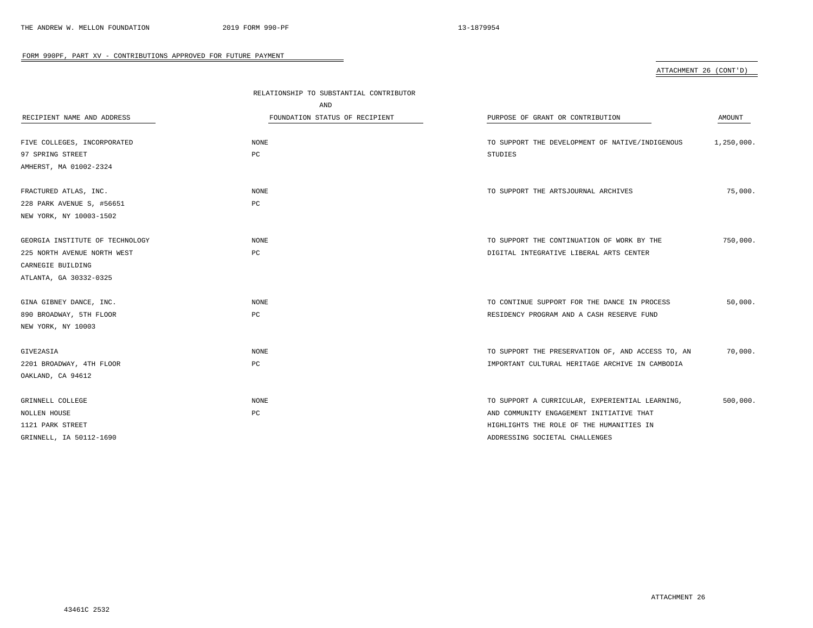|                                 | RELATIONSHIP TO SUBSTANTIAL CONTRIBUTOR |                                                   |            |
|---------------------------------|-----------------------------------------|---------------------------------------------------|------------|
|                                 | AND                                     |                                                   |            |
| RECIPIENT NAME AND ADDRESS      | FOUNDATION STATUS OF RECIPIENT          | PURPOSE OF GRANT OR CONTRIBUTION                  | AMOUNT     |
|                                 |                                         |                                                   |            |
| FIVE COLLEGES, INCORPORATED     | NONE                                    | TO SUPPORT THE DEVELOPMENT OF NATIVE/INDIGENOUS   | 1,250,000. |
| 97 SPRING STREET                | PC                                      | STUDIES                                           |            |
| AMHERST, MA 01002-2324          |                                         |                                                   |            |
| FRACTURED ATLAS, INC.           | <b>NONE</b>                             | TO SUPPORT THE ARTSJOURNAL ARCHIVES               | 75,000.    |
| 228 PARK AVENUE S, #56651       | PC                                      |                                                   |            |
| NEW YORK, NY 10003-1502         |                                         |                                                   |            |
| GEORGIA INSTITUTE OF TECHNOLOGY | <b>NONE</b>                             | TO SUPPORT THE CONTINUATION OF WORK BY THE        | 750,000.   |
| 225 NORTH AVENUE NORTH WEST     | PC                                      | DIGITAL INTEGRATIVE LIBERAL ARTS CENTER           |            |
| CARNEGIE BUILDING               |                                         |                                                   |            |
| ATLANTA, GA 30332-0325          |                                         |                                                   |            |
| GINA GIBNEY DANCE, INC.         | NONE                                    | TO CONTINUE SUPPORT FOR THE DANCE IN PROCESS      | 50,000.    |
| 890 BROADWAY, 5TH FLOOR         | PC                                      | RESIDENCY PROGRAM AND A CASH RESERVE FUND         |            |
| NEW YORK, NY 10003              |                                         |                                                   |            |
| GIVE2ASIA                       | NONE                                    | TO SUPPORT THE PRESERVATION OF, AND ACCESS TO, AN | 70,000.    |
| 2201 BROADWAY, 4TH FLOOR        | $_{\rm PC}$                             | IMPORTANT CULTURAL HERITAGE ARCHIVE IN CAMBODIA   |            |
| OAKLAND, CA 94612               |                                         |                                                   |            |
| GRINNELL COLLEGE                | <b>NONE</b>                             | TO SUPPORT A CURRICULAR, EXPERIENTIAL LEARNING,   | 500,000.   |
| NOLLEN HOUSE                    | $_{\rm PC}$                             | AND COMMUNITY ENGAGEMENT INITIATIVE THAT          |            |
| 1121 PARK STREET                |                                         | HIGHLIGHTS THE ROLE OF THE HUMANITIES IN          |            |
| GRINNELL, IA 50112-1690         |                                         | ADDRESSING SOCIETAL CHALLENGES                    |            |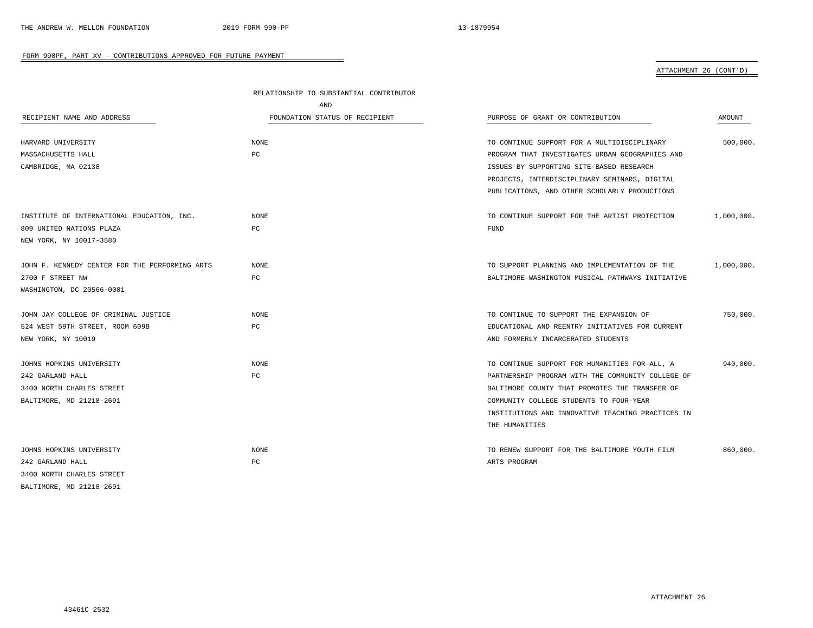|                                                | RELATIONSHIP TO SUBSTANTIAL CONTRIBUTOR |                                                   |            |
|------------------------------------------------|-----------------------------------------|---------------------------------------------------|------------|
|                                                | AND                                     |                                                   |            |
| RECIPIENT NAME AND ADDRESS                     | FOUNDATION STATUS OF RECIPIENT          | PURPOSE OF GRANT OR CONTRIBUTION                  | AMOUNT     |
| HARVARD UNIVERSITY                             | $\rm{NONE}$                             | TO CONTINUE SUPPORT FOR A MULTIDISCIPLINARY       | 500,000.   |
| MASSACHUSETTS HALL                             | PC                                      | PROGRAM THAT INVESTIGATES URBAN GEOGRAPHIES AND   |            |
| CAMBRIDGE, MA 02138                            |                                         | ISSUES BY SUPPORTING SITE-BASED RESEARCH          |            |
|                                                |                                         | PROJECTS, INTERDISCIPLINARY SEMINARS, DIGITAL     |            |
|                                                |                                         | PUBLICATIONS, AND OTHER SCHOLARLY PRODUCTIONS     |            |
| INSTITUTE OF INTERNATIONAL EDUCATION, INC.     | <b>NONE</b>                             | TO CONTINUE SUPPORT FOR THE ARTIST PROTECTION     | 1,000,000. |
| 809 UNITED NATIONS PLAZA                       | PC                                      | FUND                                              |            |
| NEW YORK, NY 10017-3580                        |                                         |                                                   |            |
| JOHN F. KENNEDY CENTER FOR THE PERFORMING ARTS | <b>NONE</b>                             | TO SUPPORT PLANNING AND IMPLEMENTATION OF THE     | 1,000,000. |
| 2700 F STREET NW                               | РC                                      | BALTIMORE-WASHINGTON MUSICAL PATHWAYS INITIATIVE  |            |
| WASHINGTON, DC 20566-0001                      |                                         |                                                   |            |
| JOHN JAY COLLEGE OF CRIMINAL JUSTICE           | <b>NONE</b>                             | TO CONTINUE TO SUPPORT THE EXPANSION OF           | 750,000.   |
| 524 WEST 59TH STREET, ROOM 609B                | РC                                      | EDUCATIONAL AND REENTRY INITIATIVES FOR CURRENT   |            |
| NEW YORK, NY 10019                             |                                         | AND FORMERLY INCARCERATED STUDENTS                |            |
| JOHNS HOPKINS UNIVERSITY                       | <b>NONE</b>                             | TO CONTINUE SUPPORT FOR HUMANITIES FOR ALL, A     | 940,000.   |
| 242 GARLAND HALL                               | РC                                      | PARTNERSHIP PROGRAM WITH THE COMMUNITY COLLEGE OF |            |
| 3400 NORTH CHARLES STREET                      |                                         | BALTIMORE COUNTY THAT PROMOTES THE TRANSFER OF    |            |
| BALTIMORE, MD 21218-2691                       |                                         | COMMUNITY COLLEGE STUDENTS TO FOUR-YEAR           |            |
|                                                |                                         | INSTITUTIONS AND INNOVATIVE TEACHING PRACTICES IN |            |
|                                                |                                         | THE HUMANITIES                                    |            |
| JOHNS HOPKINS UNIVERSITY                       | <b>NONE</b>                             | TO RENEW SUPPORT FOR THE BALTIMORE YOUTH FILM     | 860,000.   |
| 242 GARLAND HALL                               | PC                                      | ARTS PROGRAM                                      |            |
| 3400 NORTH CHARLES STREET                      |                                         |                                                   |            |
| BALTIMORE, MD 21218-2691                       |                                         |                                                   |            |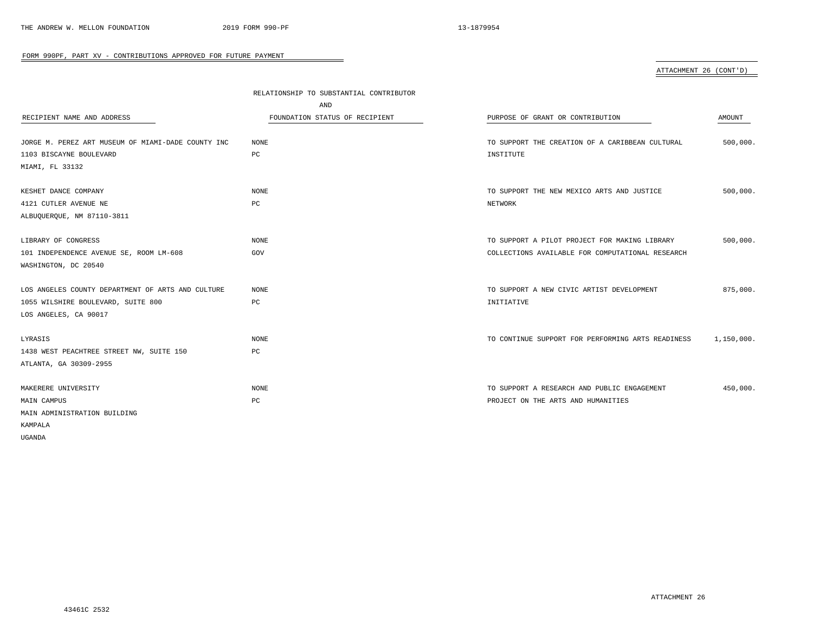|                                                    | RELATIONSHIP TO SUBSTANTIAL CONTRIBUTOR |                                                   |            |
|----------------------------------------------------|-----------------------------------------|---------------------------------------------------|------------|
|                                                    | AND                                     |                                                   |            |
| RECIPIENT NAME AND ADDRESS                         | FOUNDATION STATUS OF RECIPIENT          | PURPOSE OF GRANT OR CONTRIBUTION                  | AMOUNT     |
|                                                    |                                         |                                                   |            |
| JORGE M. PEREZ ART MUSEUM OF MIAMI-DADE COUNTY INC | NONE                                    | TO SUPPORT THE CREATION OF A CARIBBEAN CULTURAL   | 500,000.   |
| 1103 BISCAYNE BOULEVARD                            | $_{\rm PC}$                             | INSTITUTE                                         |            |
| MIAMI, FL 33132                                    |                                         |                                                   |            |
| KESHET DANCE COMPANY                               | <b>NONE</b>                             | TO SUPPORT THE NEW MEXICO ARTS AND JUSTICE        | 500,000.   |
| 4121 CUTLER AVENUE NE                              | PC                                      | NETWORK                                           |            |
| ALBUQUERQUE, NM 87110-3811                         |                                         |                                                   |            |
| LIBRARY OF CONGRESS                                | $\rm{NONE}$                             | TO SUPPORT A PILOT PROJECT FOR MAKING LIBRARY     | 500,000.   |
| 101 INDEPENDENCE AVENUE SE, ROOM LM-608            | GOV                                     | COLLECTIONS AVAILABLE FOR COMPUTATIONAL RESEARCH  |            |
| WASHINGTON, DC 20540                               |                                         |                                                   |            |
|                                                    |                                         |                                                   |            |
| LOS ANGELES COUNTY DEPARTMENT OF ARTS AND CULTURE  | NONE                                    | TO SUPPORT A NEW CIVIC ARTIST DEVELOPMENT         | 875,000.   |
| 1055 WILSHIRE BOULEVARD, SUITE 800                 | РC                                      | INITIATIVE                                        |            |
| LOS ANGELES, CA 90017                              |                                         |                                                   |            |
| LYRASIS                                            | NONE                                    | TO CONTINUE SUPPORT FOR PERFORMING ARTS READINESS | 1,150,000. |
| 1438 WEST PEACHTREE STREET NW, SUITE 150           | PC                                      |                                                   |            |
| ATLANTA, GA 30309-2955                             |                                         |                                                   |            |
|                                                    |                                         |                                                   |            |
| MAKERERE UNIVERSITY                                | NONE                                    | TO SUPPORT A RESEARCH AND PUBLIC ENGAGEMENT       | 450,000.   |
| MAIN CAMPUS                                        | PC                                      | PROJECT ON THE ARTS AND HUMANITIES                |            |
| MAIN ADMINISTRATION BUILDING                       |                                         |                                                   |            |
| KAMPALA                                            |                                         |                                                   |            |
| <b>UGANDA</b>                                      |                                         |                                                   |            |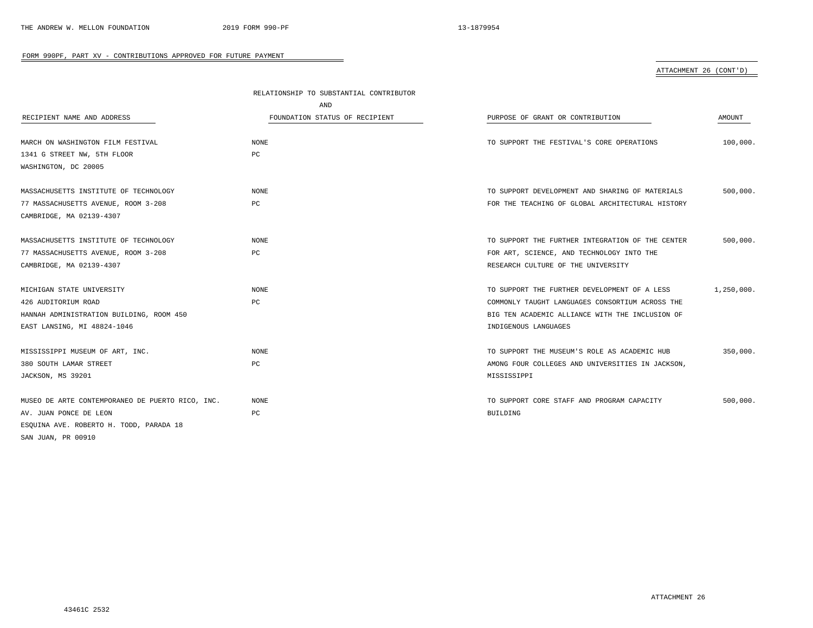|                                                  | RELATIONSHIP TO SUBSTANTIAL CONTRIBUTOR |                                                  |            |
|--------------------------------------------------|-----------------------------------------|--------------------------------------------------|------------|
|                                                  | AND                                     |                                                  |            |
| RECIPIENT NAME AND ADDRESS                       | FOUNDATION STATUS OF RECIPIENT          | PURPOSE OF GRANT OR CONTRIBUTION                 | AMOUNT     |
| MARCH ON WASHINGTON FILM FESTIVAL                | NONE                                    | TO SUPPORT THE FESTIVAL'S CORE OPERATIONS        | 100,000.   |
| 1341 G STREET NW, 5TH FLOOR                      | PC                                      |                                                  |            |
| WASHINGTON, DC 20005                             |                                         |                                                  |            |
| MASSACHUSETTS INSTITUTE OF TECHNOLOGY            | NONE                                    | TO SUPPORT DEVELOPMENT AND SHARING OF MATERIALS  | 500,000.   |
| 77 MASSACHUSETTS AVENUE, ROOM 3-208              | РC                                      | FOR THE TEACHING OF GLOBAL ARCHITECTURAL HISTORY |            |
| CAMBRIDGE, MA 02139-4307                         |                                         |                                                  |            |
| MASSACHUSETTS INSTITUTE OF TECHNOLOGY            | <b>NONE</b>                             | TO SUPPORT THE FURTHER INTEGRATION OF THE CENTER | 500,000.   |
| 77 MASSACHUSETTS AVENUE, ROOM 3-208              | РC                                      | FOR ART, SCIENCE, AND TECHNOLOGY INTO THE        |            |
| CAMBRIDGE, MA 02139-4307                         |                                         | RESEARCH CULTURE OF THE UNIVERSITY               |            |
| MICHIGAN STATE UNIVERSITY                        | <b>NONE</b>                             | TO SUPPORT THE FURTHER DEVELOPMENT OF A LESS     | 1,250,000. |
| 426 AUDITORIUM ROAD                              | PC                                      | COMMONLY TAUGHT LANGUAGES CONSORTIUM ACROSS THE  |            |
| HANNAH ADMINISTRATION BUILDING, ROOM 450         |                                         | BIG TEN ACADEMIC ALLIANCE WITH THE INCLUSION OF  |            |
| EAST LANSING, MI 48824-1046                      |                                         | INDIGENOUS LANGUAGES                             |            |
| MISSISSIPPI MUSEUM OF ART, INC.                  | <b>NONE</b>                             | TO SUPPORT THE MUSEUM'S ROLE AS ACADEMIC HUB     | 350,000.   |
| 380 SOUTH LAMAR STREET                           | РC                                      | AMONG FOUR COLLEGES AND UNIVERSITIES IN JACKSON, |            |
| JACKSON, MS 39201                                |                                         | MISSISSIPPI                                      |            |
| MUSEO DE ARTE CONTEMPORANEO DE PUERTO RICO, INC. | NONE                                    | TO SUPPORT CORE STAFF AND PROGRAM CAPACITY       | 500,000.   |
| AV. JUAN PONCE DE LEON                           | РC                                      | BUILDING                                         |            |
| ESQUINA AVE. ROBERTO H. TODD, PARADA 18          |                                         |                                                  |            |
| SAN JUAN, PR 00910                               |                                         |                                                  |            |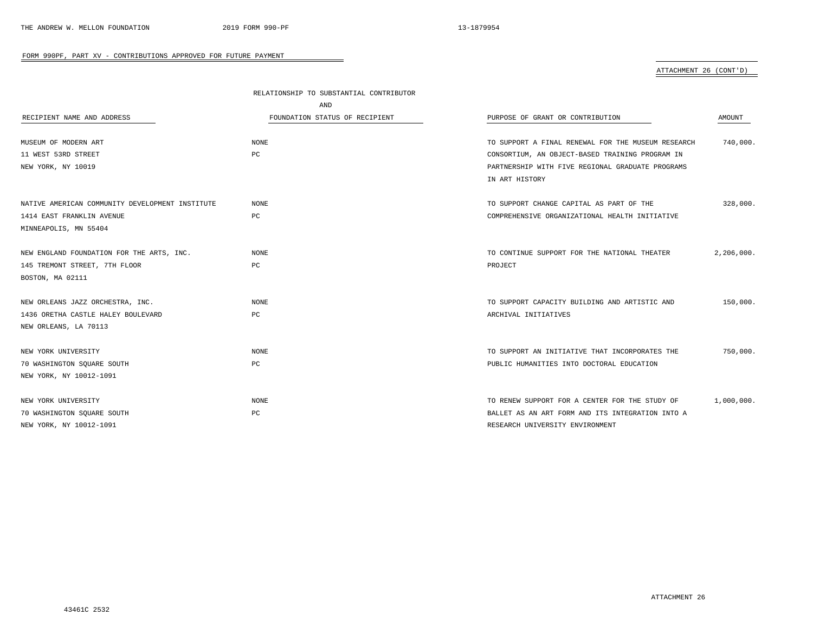|                                                 | RELATIONSHIP TO SUBSTANTIAL CONTRIBUTOR |                                                    |            |
|-------------------------------------------------|-----------------------------------------|----------------------------------------------------|------------|
|                                                 | AND                                     |                                                    |            |
| RECIPIENT NAME AND ADDRESS                      | FOUNDATION STATUS OF RECIPIENT          | PURPOSE OF GRANT OR CONTRIBUTION                   | AMOUNT     |
| MUSEUM OF MODERN ART                            | <b>NONE</b>                             | TO SUPPORT A FINAL RENEWAL FOR THE MUSEUM RESEARCH | 740,000    |
| 11 WEST 53RD STREET                             | PC                                      | CONSORTIUM, AN OBJECT-BASED TRAINING PROGRAM IN    |            |
| NEW YORK, NY 10019                              |                                         | PARTNERSHIP WITH FIVE REGIONAL GRADUATE PROGRAMS   |            |
|                                                 |                                         | IN ART HISTORY                                     |            |
| NATIVE AMERICAN COMMUNITY DEVELOPMENT INSTITUTE | <b>NONE</b>                             | TO SUPPORT CHANGE CAPITAL AS PART OF THE           | 328,000.   |
| 1414 EAST FRANKLIN AVENUE                       | PC                                      | COMPREHENSIVE ORGANIZATIONAL HEALTH INITIATIVE     |            |
| MINNEAPOLIS, MN 55404                           |                                         |                                                    |            |
| NEW ENGLAND FOUNDATION FOR THE ARTS, INC.       | NONE                                    | TO CONTINUE SUPPORT FOR THE NATIONAL THEATER       | 2,206,000. |
| 145 TREMONT STREET, 7TH FLOOR                   | PC                                      | PROJECT                                            |            |
| BOSTON, MA 02111                                |                                         |                                                    |            |
| NEW ORLEANS JAZZ ORCHESTRA, INC.                | NONE                                    | TO SUPPORT CAPACITY BUILDING AND ARTISTIC AND      | 150,000.   |
| 1436 ORETHA CASTLE HALEY BOULEVARD              | PC                                      | ARCHIVAL INITIATIVES                               |            |
| NEW ORLEANS, LA 70113                           |                                         |                                                    |            |
| NEW YORK UNIVERSITY                             | NONE                                    | TO SUPPORT AN INITIATIVE THAT INCORPORATES THE     | 750,000.   |
| 70 WASHINGTON SQUARE SOUTH                      | PC                                      | PUBLIC HUMANITIES INTO DOCTORAL EDUCATION          |            |
| NEW YORK, NY 10012-1091                         |                                         |                                                    |            |
| NEW YORK UNIVERSITY                             | NONE                                    | TO RENEW SUPPORT FOR A CENTER FOR THE STUDY OF     | 1,000,000. |
| 70 WASHINGTON SQUARE SOUTH                      | PC                                      | BALLET AS AN ART FORM AND ITS INTEGRATION INTO A   |            |
| NEW YORK, NY 10012-1091                         |                                         | RESEARCH UNIVERSITY ENVIRONMENT                    |            |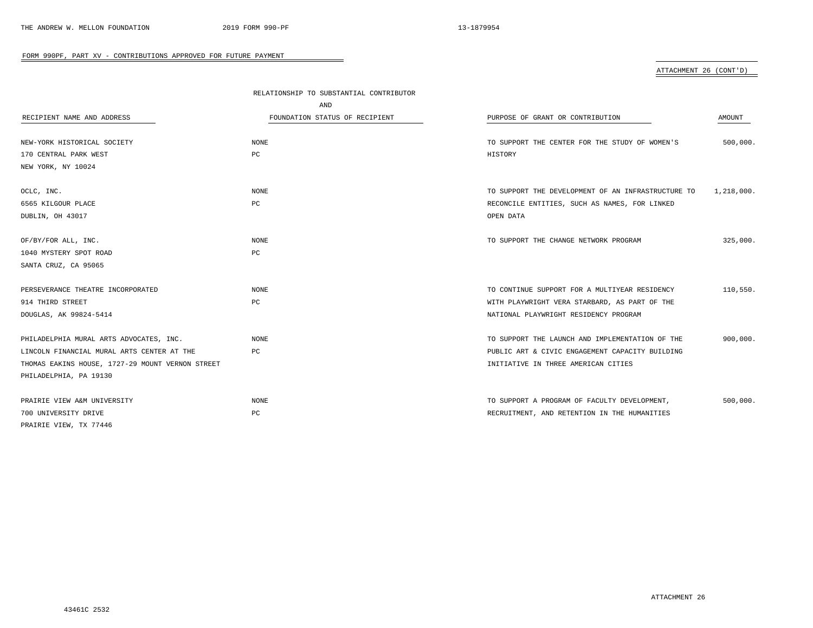|                                                  | RELATIONSHIP TO SUBSTANTIAL CONTRIBUTOR |                                                    |            |
|--------------------------------------------------|-----------------------------------------|----------------------------------------------------|------------|
|                                                  | AND                                     |                                                    |            |
| RECIPIENT NAME AND ADDRESS                       | FOUNDATION STATUS OF RECIPIENT          | PURPOSE OF GRANT OR CONTRIBUTION                   | AMOUNT     |
|                                                  |                                         |                                                    |            |
| NEW-YORK HISTORICAL SOCIETY                      | <b>NONE</b>                             | TO SUPPORT THE CENTER FOR THE STUDY OF WOMEN'S     | 500,000.   |
| 170 CENTRAL PARK WEST                            | PC                                      | HISTORY                                            |            |
| NEW YORK, NY 10024                               |                                         |                                                    |            |
| OCLC, INC.                                       | <b>NONE</b>                             | TO SUPPORT THE DEVELOPMENT OF AN INFRASTRUCTURE TO | 1,218,000. |
| 6565 KILGOUR PLACE                               | PC                                      | RECONCILE ENTITIES, SUCH AS NAMES, FOR LINKED      |            |
| DUBLIN, OH 43017                                 |                                         | OPEN DATA                                          |            |
| OF/BY/FOR ALL, INC.                              | NONE                                    | TO SUPPORT THE CHANGE NETWORK PROGRAM              | 325,000.   |
| 1040 MYSTERY SPOT ROAD                           | PC                                      |                                                    |            |
| SANTA CRUZ, CA 95065                             |                                         |                                                    |            |
|                                                  |                                         |                                                    |            |
| PERSEVERANCE THEATRE INCORPORATED                | <b>NONE</b>                             | TO CONTINUE SUPPORT FOR A MULTIYEAR RESIDENCY      | 110,550.   |
| 914 THIRD STREET                                 | PC                                      | WITH PLAYWRIGHT VERA STARBARD, AS PART OF THE      |            |
| DOUGLAS, AK 99824-5414                           |                                         | NATIONAL PLAYWRIGHT RESIDENCY PROGRAM              |            |
| PHILADELPHIA MURAL ARTS ADVOCATES, INC.          | <b>NONE</b>                             | TO SUPPORT THE LAUNCH AND IMPLEMENTATION OF THE    | 900,000.   |
| LINCOLN FINANCIAL MURAL ARTS CENTER AT THE       | PC                                      | PUBLIC ART & CIVIC ENGAGEMENT CAPACITY BUILDING    |            |
| THOMAS EAKINS HOUSE, 1727-29 MOUNT VERNON STREET |                                         | INITIATIVE IN THREE AMERICAN CITIES                |            |
| PHILADELPHIA, PA 19130                           |                                         |                                                    |            |
| PRAIRIE VIEW A&M UNIVERSITY                      | <b>NONE</b>                             | TO SUPPORT A PROGRAM OF FACULTY DEVELOPMENT,       | 500,000.   |
| 700 UNIVERSITY DRIVE                             | $_{\rm PC}$                             | RECRUITMENT, AND RETENTION IN THE HUMANITIES       |            |
| PRAIRIE VIEW, TX 77446                           |                                         |                                                    |            |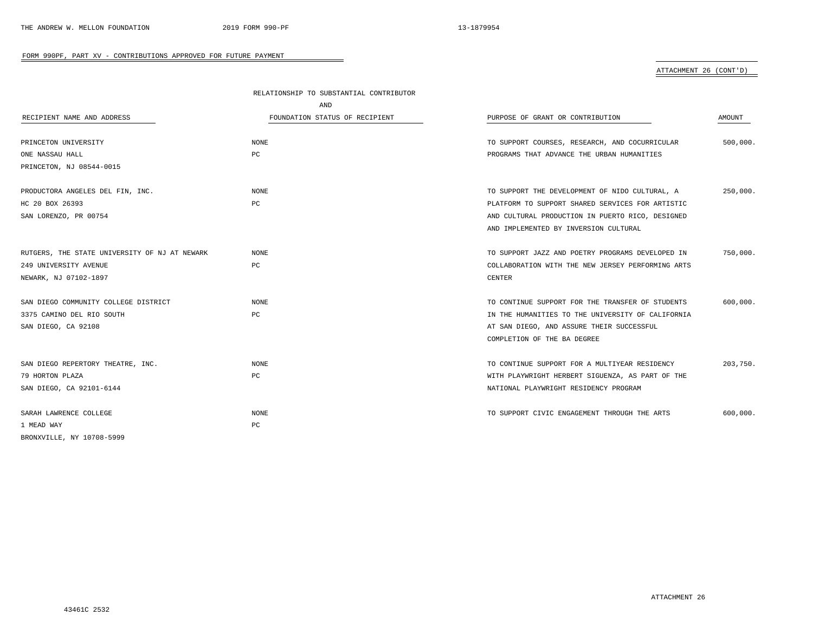|                                               | RELATIONSHIP TO SUBSTANTIAL CONTRIBUTOR |                                                   |          |
|-----------------------------------------------|-----------------------------------------|---------------------------------------------------|----------|
|                                               | AND                                     |                                                   |          |
| RECIPIENT NAME AND ADDRESS                    | FOUNDATION STATUS OF RECIPIENT          | PURPOSE OF GRANT OR CONTRIBUTION                  | AMOUNT   |
| PRINCETON UNIVERSITY                          | <b>NONE</b>                             | TO SUPPORT COURSES, RESEARCH, AND COCURRICULAR    | 500,000. |
| ONE NASSAU HALL                               | PC                                      | PROGRAMS THAT ADVANCE THE URBAN HUMANITIES        |          |
| PRINCETON, NJ 08544-0015                      |                                         |                                                   |          |
| PRODUCTORA ANGELES DEL FIN, INC.              | <b>NONE</b>                             | TO SUPPORT THE DEVELOPMENT OF NIDO CULTURAL, A    | 250,000. |
| HC 20 BOX 26393                               | PC                                      | PLATFORM TO SUPPORT SHARED SERVICES FOR ARTISTIC  |          |
| SAN LORENZO, PR 00754                         |                                         | AND CULTURAL PRODUCTION IN PUERTO RICO, DESIGNED  |          |
|                                               |                                         | AND IMPLEMENTED BY INVERSION CULTURAL             |          |
| RUTGERS, THE STATE UNIVERSITY OF NJ AT NEWARK | NONE                                    | TO SUPPORT JAZZ AND POETRY PROGRAMS DEVELOPED IN  | 750,000. |
| 249 UNIVERSITY AVENUE                         | PC                                      | COLLABORATION WITH THE NEW JERSEY PERFORMING ARTS |          |
| NEWARK, NJ 07102-1897                         |                                         | <b>CENTER</b>                                     |          |
| SAN DIEGO COMMUNITY COLLEGE DISTRICT          | <b>NONE</b>                             | TO CONTINUE SUPPORT FOR THE TRANSFER OF STUDENTS  | 600,000. |
| 3375 CAMINO DEL RIO SOUTH                     | PC                                      | IN THE HUMANITIES TO THE UNIVERSITY OF CALIFORNIA |          |
| SAN DIEGO, CA 92108                           |                                         | AT SAN DIEGO, AND ASSURE THEIR SUCCESSFUL         |          |
|                                               |                                         | COMPLETION OF THE BA DEGREE                       |          |
| SAN DIEGO REPERTORY THEATRE, INC.             | NONE                                    | TO CONTINUE SUPPORT FOR A MULTIYEAR RESIDENCY     | 203,750. |
| 79 HORTON PLAZA                               | PC                                      | WITH PLAYWRIGHT HERBERT SIGUENZA, AS PART OF THE  |          |
| SAN DIEGO, CA 92101-6144                      |                                         | NATIONAL PLAYWRIGHT RESIDENCY PROGRAM             |          |
| SARAH LAWRENCE COLLEGE                        | NONE                                    | TO SUPPORT CIVIC ENGAGEMENT THROUGH THE ARTS      | 600,000. |
| 1 MEAD WAY                                    | PC                                      |                                                   |          |
| BRONXVILLE, NY 10708-5999                     |                                         |                                                   |          |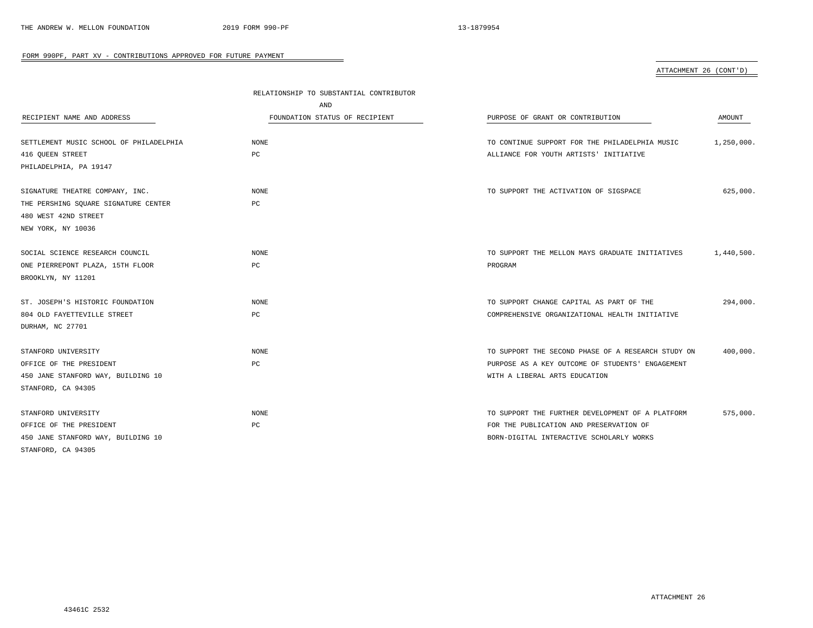| ATTACHMENT 26 (CONT'D) |  |
|------------------------|--|
|                        |  |

| RECIPIENT NAME AND ADDRESS              | RELATIONSHIP TO SUBSTANTIAL CONTRIBUTOR<br>AND<br>FOUNDATION STATUS OF RECIPIENT | PURPOSE OF GRANT OR CONTRIBUTION                   | AMOUNT     |
|-----------------------------------------|----------------------------------------------------------------------------------|----------------------------------------------------|------------|
| SETTLEMENT MUSIC SCHOOL OF PHILADELPHIA | NONE                                                                             | TO CONTINUE SUPPORT FOR THE PHILADELPHIA MUSIC     | 1,250,000. |
| 416 QUEEN STREET                        | PC                                                                               | ALLIANCE FOR YOUTH ARTISTS' INITIATIVE             |            |
| PHILADELPHIA, PA 19147                  |                                                                                  |                                                    |            |
| SIGNATURE THEATRE COMPANY, INC.         | NONE                                                                             | TO SUPPORT THE ACTIVATION OF SIGSPACE              | 625,000.   |
| THE PERSHING SQUARE SIGNATURE CENTER    | PC                                                                               |                                                    |            |
| 480 WEST 42ND STREET                    |                                                                                  |                                                    |            |
| NEW YORK, NY 10036                      |                                                                                  |                                                    |            |
| SOCIAL SCIENCE RESEARCH COUNCIL         | <b>NONE</b>                                                                      | TO SUPPORT THE MELLON MAYS GRADUATE INITIATIVES    | 1,440,500. |
| ONE PIERREPONT PLAZA, 15TH FLOOR        | PC                                                                               | PROGRAM                                            |            |
| BROOKLYN, NY 11201                      |                                                                                  |                                                    |            |
| ST. JOSEPH'S HISTORIC FOUNDATION        | <b>NONE</b>                                                                      | TO SUPPORT CHANGE CAPITAL AS PART OF THE           | 294,000.   |
| 804 OLD FAYETTEVILLE STREET             | PC                                                                               | COMPREHENSIVE ORGANIZATIONAL HEALTH INITIATIVE     |            |
| DURHAM, NC 27701                        |                                                                                  |                                                    |            |
| STANFORD UNIVERSITY                     | NONE                                                                             | TO SUPPORT THE SECOND PHASE OF A RESEARCH STUDY ON | 400,000.   |
| OFFICE OF THE PRESIDENT                 | PC                                                                               | PURPOSE AS A KEY OUTCOME OF STUDENTS' ENGAGEMENT   |            |
| 450 JANE STANFORD WAY, BUILDING 10      |                                                                                  | WITH A LIBERAL ARTS EDUCATION                      |            |
| STANFORD, CA 94305                      |                                                                                  |                                                    |            |
| STANFORD UNIVERSITY                     | NONE                                                                             | TO SUPPORT THE FURTHER DEVELOPMENT OF A PLATFORM   | 575,000.   |
| OFFICE OF THE PRESIDENT                 | РC                                                                               | FOR THE PUBLICATION AND PRESERVATION OF            |            |
| 450 JANE STANFORD WAY, BUILDING 10      |                                                                                  | BORN-DIGITAL INTERACTIVE SCHOLARLY WORKS           |            |
| STANFORD, CA 94305                      |                                                                                  |                                                    |            |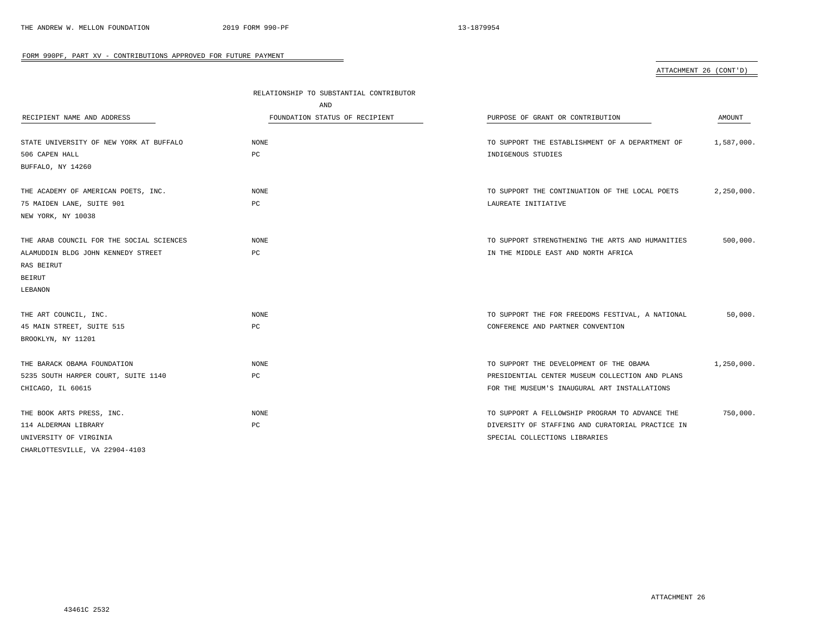|                                          | RELATIONSHIP TO SUBSTANTIAL CONTRIBUTOR |                                                  |            |
|------------------------------------------|-----------------------------------------|--------------------------------------------------|------------|
|                                          | AND                                     |                                                  |            |
| RECIPIENT NAME AND ADDRESS               | FOUNDATION STATUS OF RECIPIENT          | PURPOSE OF GRANT OR CONTRIBUTION                 | AMOUNT     |
|                                          |                                         |                                                  |            |
| STATE UNIVERSITY OF NEW YORK AT BUFFALO  | NONE                                    | TO SUPPORT THE ESTABLISHMENT OF A DEPARTMENT OF  | 1,587,000. |
| 506 CAPEN HALL                           | PC                                      | INDIGENOUS STUDIES                               |            |
| BUFFALO, NY 14260                        |                                         |                                                  |            |
| THE ACADEMY OF AMERICAN POETS, INC.      | NONE                                    | TO SUPPORT THE CONTINUATION OF THE LOCAL POETS   | 2,250,000. |
| 75 MAIDEN LANE, SUITE 901                | PC                                      | LAUREATE INITIATIVE                              |            |
| NEW YORK, NY 10038                       |                                         |                                                  |            |
| THE ARAB COUNCIL FOR THE SOCIAL SCIENCES | <b>NONE</b>                             | TO SUPPORT STRENGTHENING THE ARTS AND HUMANITIES | 500,000.   |
| ALAMUDDIN BLDG JOHN KENNEDY STREET       | PC                                      | IN THE MIDDLE EAST AND NORTH AFRICA              |            |
| RAS BEIRUT                               |                                         |                                                  |            |
| <b>BEIRUT</b>                            |                                         |                                                  |            |
| LEBANON                                  |                                         |                                                  |            |
|                                          |                                         |                                                  |            |
| THE ART COUNCIL, INC.                    | NONE                                    | TO SUPPORT THE FOR FREEDOMS FESTIVAL, A NATIONAL | 50,000.    |
| 45 MAIN STREET, SUITE 515                | $_{\rm PC}$                             | CONFERENCE AND PARTNER CONVENTION                |            |
| BROOKLYN, NY 11201                       |                                         |                                                  |            |
| THE BARACK OBAMA FOUNDATION              | NONE                                    | TO SUPPORT THE DEVELOPMENT OF THE OBAMA          | 1,250,000. |
| 5235 SOUTH HARPER COURT, SUITE 1140      | РC                                      | PRESIDENTIAL CENTER MUSEUM COLLECTION AND PLANS  |            |
| CHICAGO, IL 60615                        |                                         | FOR THE MUSEUM'S INAUGURAL ART INSTALLATIONS     |            |
|                                          |                                         |                                                  |            |
| THE BOOK ARTS PRESS, INC.                | NONE                                    | TO SUPPORT A FELLOWSHIP PROGRAM TO ADVANCE THE   | 750,000.   |
| 114 ALDERMAN LIBRARY                     | РC                                      | DIVERSITY OF STAFFING AND CURATORIAL PRACTICE IN |            |
| UNIVERSITY OF VIRGINIA                   |                                         | SPECIAL COLLECTIONS LIBRARIES                    |            |
| CHARLOTTESVILLE, VA 22904-4103           |                                         |                                                  |            |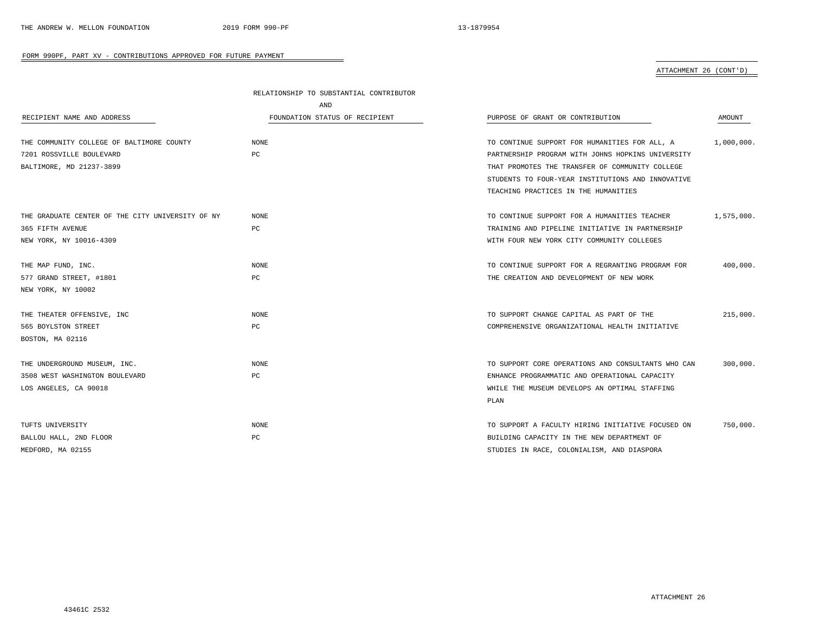|                                                  | RELATIONSHIP TO SUBSTANTIAL CONTRIBUTOR |                                                    |            |
|--------------------------------------------------|-----------------------------------------|----------------------------------------------------|------------|
|                                                  | AND                                     |                                                    |            |
| RECIPIENT NAME AND ADDRESS                       | FOUNDATION STATUS OF RECIPIENT          | PURPOSE OF GRANT OR CONTRIBUTION                   | AMOUNT     |
|                                                  |                                         |                                                    |            |
| THE COMMUNITY COLLEGE OF BALTIMORE COUNTY        | <b>NONE</b>                             | TO CONTINUE SUPPORT FOR HUMANITIES FOR ALL, A      | 1,000,000. |
| 7201 ROSSVILLE BOULEVARD                         | PC                                      | PARTNERSHIP PROGRAM WITH JOHNS HOPKINS UNIVERSITY  |            |
| BALTIMORE, MD 21237-3899                         |                                         | THAT PROMOTES THE TRANSFER OF COMMUNITY COLLEGE    |            |
|                                                  |                                         | STUDENTS TO FOUR-YEAR INSTITUTIONS AND INNOVATIVE  |            |
|                                                  |                                         | TEACHING PRACTICES IN THE HUMANITIES               |            |
| THE GRADUATE CENTER OF THE CITY UNIVERSITY OF NY | NONE                                    | TO CONTINUE SUPPORT FOR A HUMANITIES TEACHER       | 1,575,000. |
| 365 FIFTH AVENUE                                 | РC                                      | TRAINING AND PIPELINE INITIATIVE IN PARTNERSHIP    |            |
| NEW YORK, NY 10016-4309                          |                                         | WITH FOUR NEW YORK CITY COMMUNITY COLLEGES         |            |
|                                                  |                                         |                                                    |            |
| THE MAP FUND, INC.                               | <b>NONE</b>                             | TO CONTINUE SUPPORT FOR A REGRANTING PROGRAM FOR   | 400,000.   |
| 577 GRAND STREET, #1801                          | PC                                      | THE CREATION AND DEVELOPMENT OF NEW WORK           |            |
| NEW YORK, NY 10002                               |                                         |                                                    |            |
| THE THEATER OFFENSIVE, INC                       | NONE                                    | TO SUPPORT CHANGE CAPITAL AS PART OF THE           | 215,000.   |
| 565 BOYLSTON STREET                              | РC                                      | COMPREHENSIVE ORGANIZATIONAL HEALTH INITIATIVE     |            |
|                                                  |                                         |                                                    |            |
| BOSTON, MA 02116                                 |                                         |                                                    |            |
| THE UNDERGROUND MUSEUM, INC.                     | NONE                                    | TO SUPPORT CORE OPERATIONS AND CONSULTANTS WHO CAN | 300,000.   |
| 3508 WEST WASHINGTON BOULEVARD                   | PC                                      | ENHANCE PROGRAMMATIC AND OPERATIONAL CAPACITY      |            |
| LOS ANGELES, CA 90018                            |                                         | WHILE THE MUSEUM DEVELOPS AN OPTIMAL STAFFING      |            |
|                                                  |                                         | PLAN                                               |            |
| TUFTS UNIVERSITY                                 | <b>NONE</b>                             | TO SUPPORT A FACULTY HIRING INITIATIVE FOCUSED ON  |            |
|                                                  |                                         |                                                    | 750,000.   |
| BALLOU HALL, 2ND FLOOR                           | РC                                      | BUILDING CAPACITY IN THE NEW DEPARTMENT OF         |            |
| MEDFORD, MA 02155                                |                                         | STUDIES IN RACE, COLONIALISM, AND DIASPORA         |            |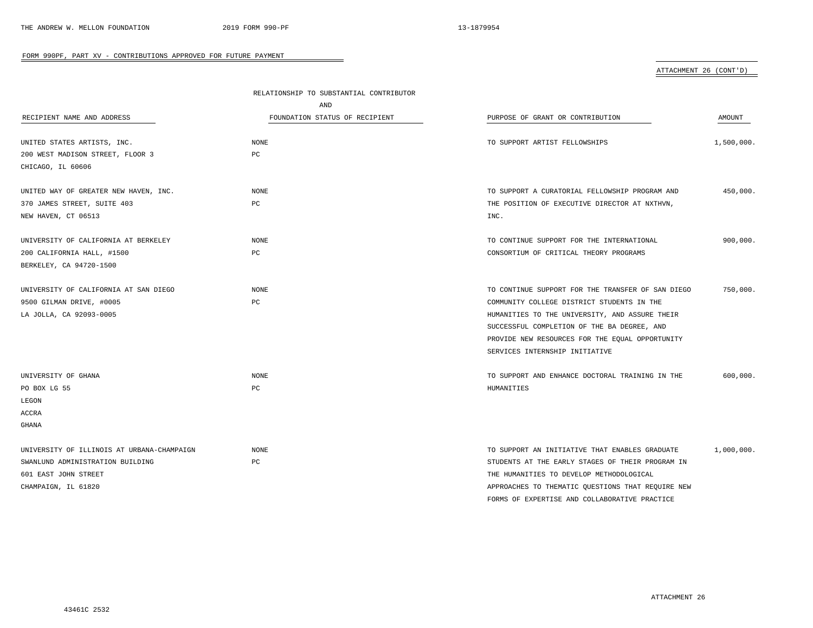| RECIPIENT NAME AND ADDRESS                            | RELATIONSHIP TO SUBSTANTIAL CONTRIBUTOR<br>AND<br>FOUNDATION STATUS OF RECIPIENT | PURPOSE OF GRANT OR CONTRIBUTION                  | AMOUNT     |
|-------------------------------------------------------|----------------------------------------------------------------------------------|---------------------------------------------------|------------|
| UNITED STATES ARTISTS, INC.                           | NONE                                                                             | TO SUPPORT ARTIST FELLOWSHIPS                     | 1,500,000. |
| 200 WEST MADISON STREET, FLOOR 3<br>CHICAGO, IL 60606 | PC                                                                               |                                                   |            |
|                                                       |                                                                                  |                                                   |            |
| UNITED WAY OF GREATER NEW HAVEN, INC.                 | <b>NONE</b>                                                                      | TO SUPPORT A CURATORIAL FELLOWSHIP PROGRAM AND    | 450,000.   |
| 370 JAMES STREET, SUITE 403                           | PC                                                                               | THE POSITION OF EXECUTIVE DIRECTOR AT NXTHVN,     |            |
| NEW HAVEN, CT 06513                                   |                                                                                  | INC.                                              |            |
| UNIVERSITY OF CALIFORNIA AT BERKELEY                  | NONE                                                                             | TO CONTINUE SUPPORT FOR THE INTERNATIONAL         | 900,000.   |
| 200 CALIFORNIA HALL, #1500                            | PC                                                                               | CONSORTIUM OF CRITICAL THEORY PROGRAMS            |            |
| BERKELEY, CA 94720-1500                               |                                                                                  |                                                   |            |
| UNIVERSITY OF CALIFORNIA AT SAN DIEGO                 | <b>NONE</b>                                                                      | TO CONTINUE SUPPORT FOR THE TRANSFER OF SAN DIEGO | 750,000.   |
| 9500 GILMAN DRIVE, #0005                              | PC                                                                               | COMMUNITY COLLEGE DISTRICT STUDENTS IN THE        |            |
| LA JOLLA, CA 92093-0005                               |                                                                                  | HUMANITIES TO THE UNIVERSITY, AND ASSURE THEIR    |            |
|                                                       |                                                                                  | SUCCESSFUL COMPLETION OF THE BA DEGREE, AND       |            |
|                                                       |                                                                                  | PROVIDE NEW RESOURCES FOR THE EQUAL OPPORTUNITY   |            |
|                                                       |                                                                                  | SERVICES INTERNSHIP INITIATIVE                    |            |
| UNIVERSITY OF GHANA                                   | <b>NONE</b>                                                                      | TO SUPPORT AND ENHANCE DOCTORAL TRAINING IN THE   | 600,000.   |
| PO BOX LG 55                                          | PC                                                                               | HUMANITIES                                        |            |
| LEGON                                                 |                                                                                  |                                                   |            |
| ACCRA                                                 |                                                                                  |                                                   |            |
| <b>GHANA</b>                                          |                                                                                  |                                                   |            |
| UNIVERSITY OF ILLINOIS AT URBANA-CHAMPAIGN            | <b>NONE</b>                                                                      | TO SUPPORT AN INITIATIVE THAT ENABLES GRADUATE    | 1,000,000. |
| SWANLUND ADMINISTRATION BUILDING                      | PC                                                                               | STUDENTS AT THE EARLY STAGES OF THEIR PROGRAM IN  |            |
| 601 EAST JOHN STREET                                  |                                                                                  | THE HUMANITIES TO DEVELOP METHODOLOGICAL          |            |
| CHAMPAIGN, IL 61820                                   |                                                                                  | APPROACHES TO THEMATIC QUESTIONS THAT REQUIRE NEW |            |
|                                                       |                                                                                  | FORMS OF EXPERTISE AND COLLABORATIVE PRACTICE     |            |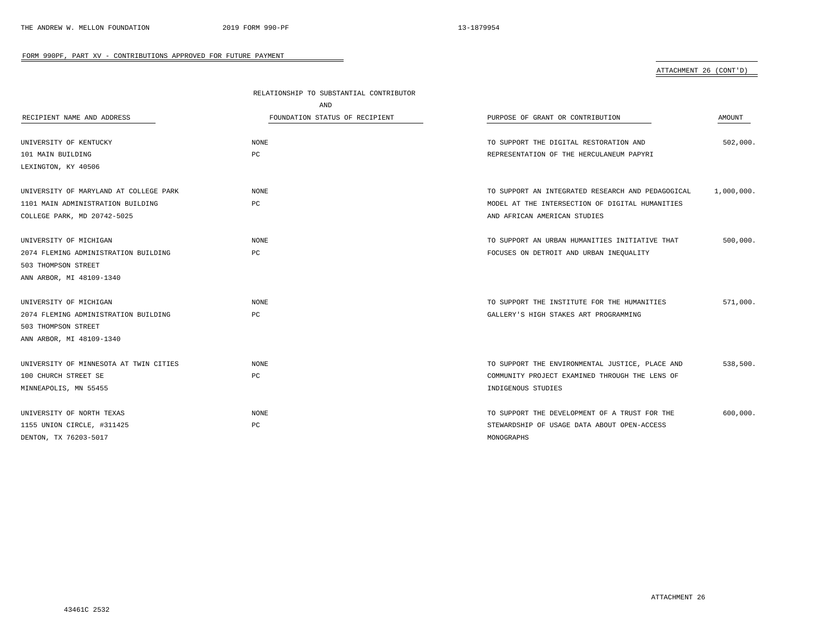|                                        | RELATIONSHIP TO SUBSTANTIAL CONTRIBUTOR |                                                   |            |
|----------------------------------------|-----------------------------------------|---------------------------------------------------|------------|
|                                        | AND                                     |                                                   |            |
| RECIPIENT NAME AND ADDRESS             | FOUNDATION STATUS OF RECIPIENT          | PURPOSE OF GRANT OR CONTRIBUTION                  | AMOUNT     |
|                                        |                                         |                                                   |            |
| UNIVERSITY OF KENTUCKY                 | NONE                                    | TO SUPPORT THE DIGITAL RESTORATION AND            | 502,000.   |
| 101 MAIN BUILDING                      | РC                                      | REPRESENTATION OF THE HERCULANEUM PAPYRI          |            |
| LEXINGTON, KY 40506                    |                                         |                                                   |            |
| UNIVERSITY OF MARYLAND AT COLLEGE PARK | <b>NONE</b>                             | TO SUPPORT AN INTEGRATED RESEARCH AND PEDAGOGICAL | 1,000,000. |
| 1101 MAIN ADMINISTRATION BUILDING      | РC                                      | MODEL AT THE INTERSECTION OF DIGITAL HUMANITIES   |            |
| COLLEGE PARK, MD 20742-5025            |                                         | AND AFRICAN AMERICAN STUDIES                      |            |
|                                        |                                         |                                                   |            |
| UNIVERSITY OF MICHIGAN                 | NONE                                    | TO SUPPORT AN URBAN HUMANITIES INITIATIVE THAT    | 500,000.   |
| 2074 FLEMING ADMINISTRATION BUILDING   | PC                                      | FOCUSES ON DETROIT AND URBAN INEQUALITY           |            |
| 503 THOMPSON STREET                    |                                         |                                                   |            |
| ANN ARBOR, MI 48109-1340               |                                         |                                                   |            |
| UNIVERSITY OF MICHIGAN                 | NONE                                    | TO SUPPORT THE INSTITUTE FOR THE HUMANITIES       | 571,000.   |
| 2074 FLEMING ADMINISTRATION BUILDING   | PC                                      | GALLERY'S HIGH STAKES ART PROGRAMMING             |            |
| 503 THOMPSON STREET                    |                                         |                                                   |            |
| ANN ARBOR, MI 48109-1340               |                                         |                                                   |            |
| UNIVERSITY OF MINNESOTA AT TWIN CITIES | <b>NONE</b>                             | TO SUPPORT THE ENVIRONMENTAL JUSTICE, PLACE AND   | 538,500.   |
| 100 CHURCH STREET SE                   | PC                                      | COMMUNITY PROJECT EXAMINED THROUGH THE LENS OF    |            |
| MINNEAPOLIS, MN 55455                  |                                         | INDIGENOUS STUDIES                                |            |
|                                        |                                         |                                                   |            |
| UNIVERSITY OF NORTH TEXAS              | <b>NONE</b>                             | TO SUPPORT THE DEVELOPMENT OF A TRUST FOR THE     | 600,000.   |
| 1155 UNION CIRCLE, #311425             | РC                                      | STEWARDSHIP OF USAGE DATA ABOUT OPEN-ACCESS       |            |
| DENTON, TX 76203-5017                  |                                         | MONOGRAPHS                                        |            |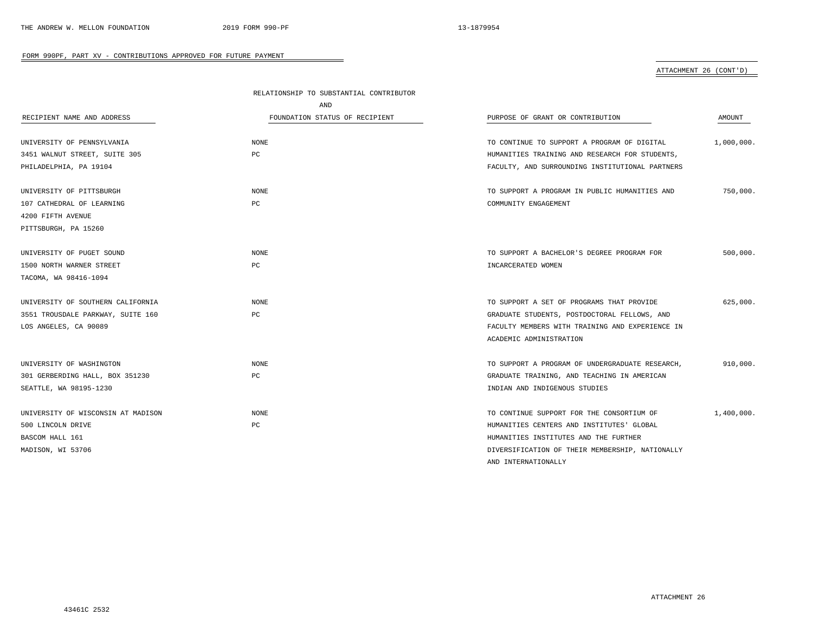|                                    | RELATIONSHIP TO SUBSTANTIAL CONTRIBUTOR |                                                 |            |  |
|------------------------------------|-----------------------------------------|-------------------------------------------------|------------|--|
|                                    | AND                                     |                                                 |            |  |
| RECIPIENT NAME AND ADDRESS         | FOUNDATION STATUS OF RECIPIENT          | PURPOSE OF GRANT OR CONTRIBUTION                | AMOUNT     |  |
| UNIVERSITY OF PENNSYLVANIA         | NONE                                    | TO CONTINUE TO SUPPORT A PROGRAM OF DIGITAL     | 1,000,000. |  |
| 3451 WALNUT STREET, SUITE 305      | PC                                      | HUMANITIES TRAINING AND RESEARCH FOR STUDENTS,  |            |  |
| PHILADELPHIA, PA 19104             |                                         | FACULTY, AND SURROUNDING INSTITUTIONAL PARTNERS |            |  |
| UNIVERSITY OF PITTSBURGH           | NONE                                    | TO SUPPORT A PROGRAM IN PUBLIC HUMANITIES AND   | 750,000.   |  |
| 107 CATHEDRAL OF LEARNING          | PC                                      | COMMUNITY ENGAGEMENT                            |            |  |
| 4200 FIFTH AVENUE                  |                                         |                                                 |            |  |
| PITTSBURGH, PA 15260               |                                         |                                                 |            |  |
| UNIVERSITY OF PUGET SOUND          | NONE                                    | TO SUPPORT A BACHELOR'S DEGREE PROGRAM FOR      | 500,000.   |  |
| 1500 NORTH WARNER STREET           | PC                                      | INCARCERATED WOMEN                              |            |  |
| TACOMA, WA 98416-1094              |                                         |                                                 |            |  |
| UNIVERSITY OF SOUTHERN CALIFORNIA  | <b>NONE</b>                             | TO SUPPORT A SET OF PROGRAMS THAT PROVIDE       | 625,000.   |  |
| 3551 TROUSDALE PARKWAY, SUITE 160  | PC                                      | GRADUATE STUDENTS, POSTDOCTORAL FELLOWS, AND    |            |  |
| LOS ANGELES, CA 90089              |                                         | FACULTY MEMBERS WITH TRAINING AND EXPERIENCE IN |            |  |
|                                    |                                         | ACADEMIC ADMINISTRATION                         |            |  |
| UNIVERSITY OF WASHINGTON           | NONE                                    | TO SUPPORT A PROGRAM OF UNDERGRADUATE RESEARCH, | 910,000.   |  |
| 301 GERBERDING HALL, BOX 351230    | PC                                      | GRADUATE TRAINING, AND TEACHING IN AMERICAN     |            |  |
| SEATTLE, WA 98195-1230             |                                         | INDIAN AND INDIGENOUS STUDIES                   |            |  |
| UNIVERSITY OF WISCONSIN AT MADISON | NONE                                    | TO CONTINUE SUPPORT FOR THE CONSORTIUM OF       | 1,400,000. |  |
| 500 LINCOLN DRIVE                  | PC                                      | HUMANITIES CENTERS AND INSTITUTES' GLOBAL       |            |  |
| BASCOM HALL 161                    |                                         | HUMANITIES INSTITUTES AND THE FURTHER           |            |  |
| MADISON, WI 53706                  |                                         | DIVERSIFICATION OF THEIR MEMBERSHIP, NATIONALLY |            |  |
|                                    |                                         | AND INTERNATIONALLY                             |            |  |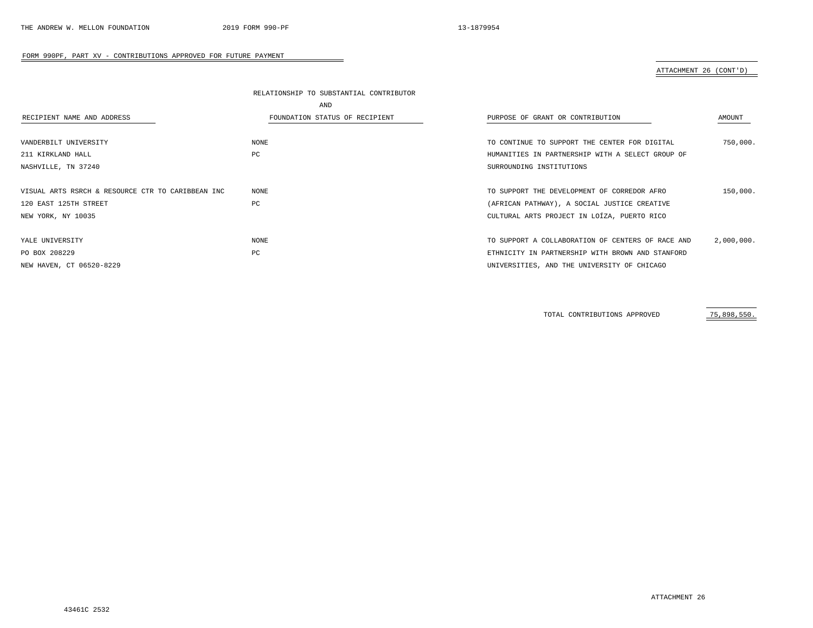### ATTACHMENT 26 (CONT'D)

|                                                   | RELATIONSHIP TO SUBSTANTIAL CONTRIBUTOR |                                                   |            |  |  |  |
|---------------------------------------------------|-----------------------------------------|---------------------------------------------------|------------|--|--|--|
| AND                                               |                                         |                                                   |            |  |  |  |
| RECIPIENT NAME AND ADDRESS                        | FOUNDATION STATUS OF RECIPIENT          | PURPOSE OF GRANT OR CONTRIBUTION                  | AMOUNT     |  |  |  |
|                                                   |                                         |                                                   |            |  |  |  |
| VANDERBILT UNIVERSITY                             | NONE                                    | TO CONTINUE TO SUPPORT THE CENTER FOR DIGITAL     | 750,000.   |  |  |  |
| 211 KIRKLAND HALL                                 | PC                                      | HUMANITIES IN PARTNERSHIP WITH A SELECT GROUP OF  |            |  |  |  |
| NASHVILLE, TN 37240                               |                                         | SURROUNDING INSTITUTIONS                          |            |  |  |  |
|                                                   |                                         |                                                   |            |  |  |  |
| VISUAL ARTS RSRCH & RESOURCE CTR TO CARIBBEAN INC | NONE                                    | TO SUPPORT THE DEVELOPMENT OF CORREDOR AFRO       | 150,000.   |  |  |  |
| 120 EAST 125TH STREET                             | PC                                      | (AFRICAN PATHWAY), A SOCIAL JUSTICE CREATIVE      |            |  |  |  |
| NEW YORK, NY 10035                                |                                         | CULTURAL ARTS PROJECT IN LOÍZA, PUERTO RICO       |            |  |  |  |
|                                                   |                                         |                                                   |            |  |  |  |
| YALE UNIVERSITY                                   | NONE                                    | TO SUPPORT A COLLABORATION OF CENTERS OF RACE AND | 2,000,000. |  |  |  |
| PO BOX 208229                                     | PC                                      | ETHNICITY IN PARTNERSHIP WITH BROWN AND STANFORD  |            |  |  |  |
| NEW HAVEN, CT 06520-8229                          |                                         | UNIVERSITIES, AND THE UNIVERSITY OF CHICAGO       |            |  |  |  |

TOTAL CONTRIBUTIONS APPROVED 75,898,550.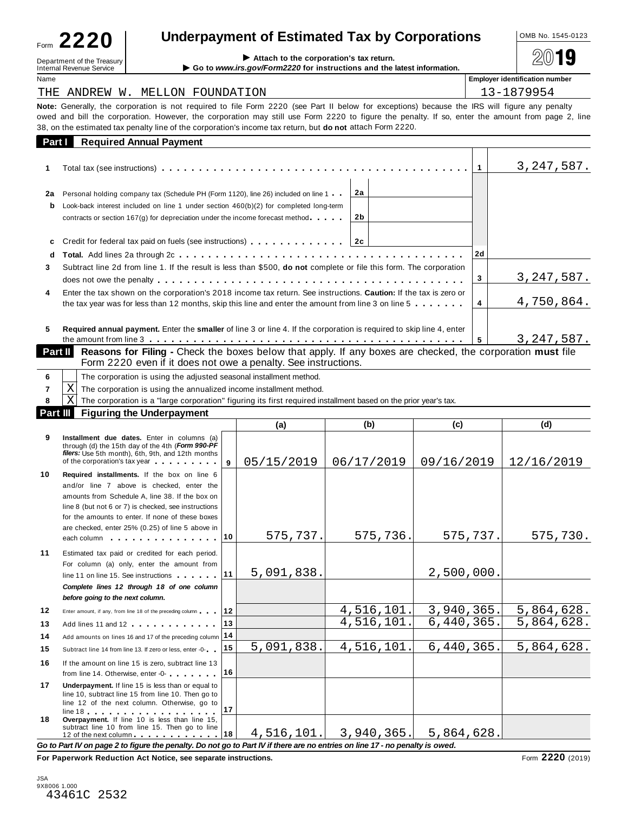| Form 2220 | <b>Underpayment of Estimated Ta</b> |  |
|-----------|-------------------------------------|--|
|-----------|-------------------------------------|--|

**Ax by Corporations** <u>LOMB No. 1545-0123</u>

**Internal Revenue Service Corporation's tax return.**<br>Internal Revenue Service **Department Corporation:** Department of the Corporations and the Internal Revenue Service I **Go to** *www.irs.gov/Form2220* for instructions and the latest information.

**Employer identification number** THE ANDREW W. MELLON FOUNDATION 13-1879954

|         | ING ANDROW W. MGODON POONDAIION                                                                                                                                                                                                                                                                                                                                                                                               |          |                | エコーエロノシンコ    |
|---------|-------------------------------------------------------------------------------------------------------------------------------------------------------------------------------------------------------------------------------------------------------------------------------------------------------------------------------------------------------------------------------------------------------------------------------|----------|----------------|--------------|
|         | <b>Note:</b> Generally, the corporation is not required to file Form 2220 (see Part II below for exceptions) because the IRS will figure any penalty<br>owed and bill the corporation. However, the corporation may still use Form 2220 to figure the penalty. If so, enter the amount from page 2, line<br>38, on the estimated tax penalty line of the corporation's income tax return, but <b>do not</b> attach Form 2220. |          |                |              |
| Part I  | <b>Required Annual Payment</b>                                                                                                                                                                                                                                                                                                                                                                                                |          |                |              |
| 1.      |                                                                                                                                                                                                                                                                                                                                                                                                                               |          | $\overline{1}$ | 3, 247, 587. |
| 2a<br>b | Personal holding company tax (Schedule PH (Form 1120), line 26) included on line 1<br>Look-back interest included on line 1 under section $460(b)(2)$ for completed long-term<br>contracts or section $167(g)$ for depreciation under the income forecast method $\cdots$                                                                                                                                                     | 2a<br>2b |                |              |
| c<br>d  | Credit for federal tax paid on fuels (see instructions) $\ldots$ , $\ldots$ , $\ldots$ , $\ldots$                                                                                                                                                                                                                                                                                                                             |          | 2d             |              |
| 3.      | Subtract line 2d from line 1. If the result is less than \$500, do not complete or file this form. The corporation                                                                                                                                                                                                                                                                                                            |          | 3              | 3, 247, 587. |
| 4       | Enter the tax shown on the corporation's 2018 income tax return. See instructions. Caution: If the tax is zero or<br>the tax year was for less than 12 months, skip this line and enter the amount from line 3 on line $5 \ldots \ldots$                                                                                                                                                                                      |          | 4              | 4,750,864.   |
| 5.      | Required annual payment. Enter the smaller of line 3 or line 4. If the corporation is required to skip line 4, enter                                                                                                                                                                                                                                                                                                          |          | 5              | 3,247,587.   |
| Part II | Reasons for Filing - Check the boxes below that apply. If any boxes are checked, the corporation must file<br>$\Gamma$ -are 0000 -ees if it deep wet componentable Originational in                                                                                                                                                                                                                                           |          |                |              |

Form 2220 even if it does not owe a penalty. See instructions. **Part II** Reasons for Filing - Check the boxes below that apply. If any boxes are checked, the corporation must file

|    | $\mathbf{L}$                                                                                                    |  |  |  |  |  |
|----|-----------------------------------------------------------------------------------------------------------------|--|--|--|--|--|
|    | <b>Part III</b> Figuring the Underpayment                                                                       |  |  |  |  |  |
| ΧI | The corporation is a "large corporation" figuring its first required installment based on the prior year's tax. |  |  |  |  |  |
|    | , $X $ The corporation is using the annualized income installment method.                                       |  |  |  |  |  |
|    | The corporation is using the adjusted seasonal installment method.                                              |  |  |  |  |  |

|          | The corporation is using the annualized income installment method.<br>X                                                                                                                                                                                                                                                                                        |    |            |            |            |                       |
|----------|----------------------------------------------------------------------------------------------------------------------------------------------------------------------------------------------------------------------------------------------------------------------------------------------------------------------------------------------------------------|----|------------|------------|------------|-----------------------|
|          | X<br>The corporation is a "large corporation" figuring its first required installment based on the prior year's tax.                                                                                                                                                                                                                                           |    |            |            |            |                       |
| Part III | <b>Figuring the Underpayment</b>                                                                                                                                                                                                                                                                                                                               |    |            |            |            |                       |
|          |                                                                                                                                                                                                                                                                                                                                                                |    | (a)        | (b)        | (c)        | (d)                   |
| 9        | Installment due dates. Enter in columns (a)<br>through (d) the 15th day of the 4th (Form 990-PF<br>filers: Use 5th month), 6th, 9th, and 12th months<br>of the corporation's tax year                                                                                                                                                                          | q  | 05/15/2019 | 06/17/2019 | 09/16/2019 | 12/16/2019            |
| 10       | Required installments. If the box on line 6<br>and/or line 7 above is checked, enter the<br>amounts from Schedule A, line 38. If the box on<br>line 8 (but not 6 or 7) is checked, see instructions<br>for the amounts to enter. If none of these boxes<br>are checked, enter 25% (0.25) of line 5 above in<br>each column $\cdots$ $\cdots$ $\cdots$ $\cdots$ | 10 | 575,737.   | 575,736.   | 575,737.   | 575,730.              |
| 11       | Estimated tax paid or credited for each period.<br>For column (a) only, enter the amount from<br>line 11 on line 15. See instructions<br>Complete lines 12 through 18 of one column<br>before going to the next column.                                                                                                                                        | 11 | 5,091,838. |            | 2,500,000. |                       |
| 12       | Enter amount, if any, from line 18 of the preceding column                                                                                                                                                                                                                                                                                                     | 12 |            | 4,516,101. | 3,940,365. | 5,864,628.            |
| 13       | Add lines 11 and 12                                                                                                                                                                                                                                                                                                                                            | 13 |            | 4,516,101. | 6,440,365. | 5,864,628.            |
| 14       | Add amounts on lines 16 and 17 of the preceding column                                                                                                                                                                                                                                                                                                         | 14 |            |            |            |                       |
| 15       | Subtract line 14 from line 13. If zero or less, enter -0-                                                                                                                                                                                                                                                                                                      | 15 | 5,091,838. | 4,516,101. | 6,440,365. | 5,864,628.            |
| 16       | If the amount on line 15 is zero, subtract line 13<br>from line 14. Otherwise, enter -0-                                                                                                                                                                                                                                                                       | 16 |            |            |            |                       |
| 17       | Underpayment. If line 15 is less than or equal to<br>line 10, subtract line 15 from line 10. Then go to<br>line 12 of the next column. Otherwise, go to<br>$line 18$                                                                                                                                                                                           | 17 |            |            |            |                       |
| 18       | Overpayment. If line 10 is less than line 15,<br>subtract line 10 from line 15. Then go to line<br>12 of the next column 18                                                                                                                                                                                                                                    |    | 4,516,101. | 3,940,365. | 5,864,628. |                       |
|          | Go to Part IV on page 2 to figure the penalty. Do not go to Part IV if there are no entries on line 17 - no penalty is owed.<br>Esa Benemikal, Bedization Ast Notice, and accounts fundament                                                                                                                                                                   |    |            |            |            | $2220 \text{ s}^{-1}$ |

**For Paperwork Reduction Act Notice, see separate instructions.** The contract of the set of 2220 (2019)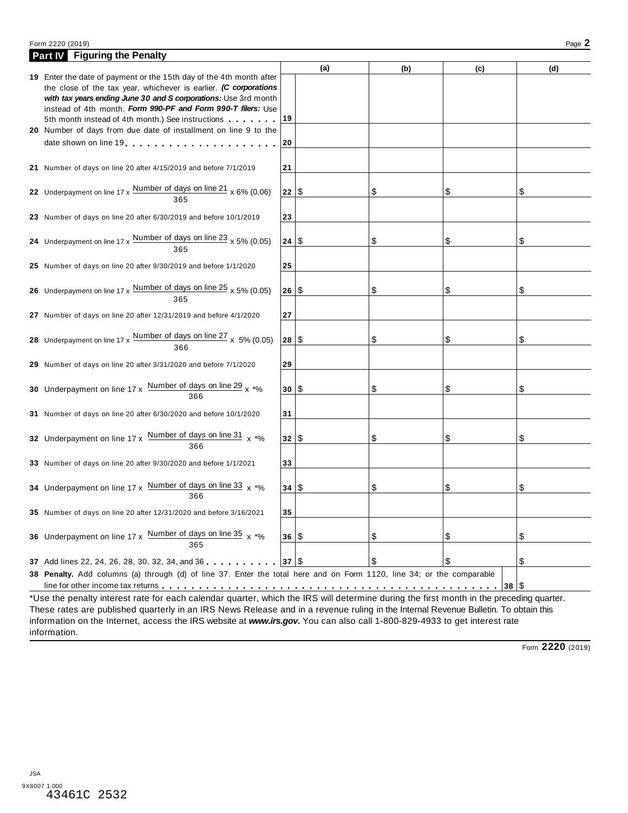### Form 2220 (2019) Page **2**

| <b>Part IV</b> Figuring the Penalty                                                                                                                                                                        |      |     |     |     |     |
|------------------------------------------------------------------------------------------------------------------------------------------------------------------------------------------------------------|------|-----|-----|-----|-----|
| 19 Enter the date of payment or the 15th day of the 4th month after<br>the close of the tax year, whichever is earlier. (C corporations<br>with tax years ending June 30 and S corporations: Use 3rd month |      | (a) | (b) | (c) | (d) |
| instead of 4th month. Form 990-PF and Form 990-T filers: Use<br>5th month instead of 4th month.) See instructions                                                                                          | 19   |     |     |     |     |
| 20 Number of days from due date of installment on line 9 to the<br>date shown on line 19                                                                                                                   | 20   |     |     |     |     |
| 21 Number of days on line 20 after 4/15/2019 and before 7/1/2019                                                                                                                                           | 21   |     |     |     |     |
| 22 Underpayment on line $17 \times \frac{\text{Number of days on line 21}}{365} \times 6\% (0.06)$                                                                                                         | 22   |     | \$  | \$  | \$  |
| 23 Number of days on line 20 after 6/30/2019 and before 10/1/2019                                                                                                                                          | 23   |     |     |     |     |
| 24 Underpayment on line $17 \times \frac{\text{Number of days on line 23}}{365} \times 5\% (0.05)$                                                                                                         | 24   | 1\$ | \$  | \$  | \$  |
| 25 Number of days on line 20 after 9/30/2019 and before 1/1/2020                                                                                                                                           | 25   |     |     |     |     |
| 26 Underpayment on line $17 \times \frac{\text{Number of days on line 25}}{365} \times 5\% (0.05)$                                                                                                         | 26   | 1\$ | \$  | \$  | \$  |
| 27 Number of days on line 20 after 12/31/2019 and before 4/1/2020                                                                                                                                          | 27   |     |     |     |     |
| 28 Underpayment on line $17 \times \frac{\text{Number of days on line } 27}{366} \times 5\% (0.05)$                                                                                                        | 28   | 1\$ | \$  | \$  | \$  |
| 29 Number of days on line 20 after 3/31/2020 and before 7/1/2020                                                                                                                                           | 29   |     |     |     |     |
| 30 Underpayment on line $17 \times \frac{\text{Number of days on line 29}}{366} \times \frac{1}{100}$                                                                                                      | 30   | 1\$ | \$  | \$  | \$  |
| 31 Number of days on line 20 after 6/30/2020 and before 10/1/2020                                                                                                                                          | 31   |     |     |     |     |
| 32 Underpayment on line 17 x $\frac{Number\ of\ days\ on\ line\ 31}{x\ * \%}$<br>366                                                                                                                       | 32 S |     | \$  | \$  | \$  |
| 33 Number of days on line 20 after 9/30/2020 and before 1/1/2021                                                                                                                                           | 33   |     |     |     |     |
| 34 Underpayment on line 17 x Number of days on line 33 $x *$ %<br>366                                                                                                                                      | 34   | 1\$ | \$  | \$  | \$  |
| 35 Number of days on line 20 after 12/31/2020 and before 3/16/2021                                                                                                                                         | 35   |     |     |     |     |
| 36 Underpayment on line 17 x $\frac{Number\ of\ days\ on\ line\ 35}{x \rightarrow 6x}$<br>365                                                                                                              | 36 S |     | \$  | \$  | \$  |
| 37 Add lines 22, 24, 26, 28, 30, 32, 34, and 36 $\vert$ 37 $\vert$ \$                                                                                                                                      |      |     | \$  | \$  | \$  |
| 38 Penalty. Add columns (a) through (d) of line 37. Enter the total here and on Form 1120, line 34; or the comparable                                                                                      |      |     |     |     |     |

These rates are published quarterly in an IRS News Release and in a revenue ruling in the Internal Revenue Bulletin. To obtain this information on the Internet, access the IRS website at *www.irs.gov***.** You can also call 1-800-829-4933 to get interest rate information.

Form **2220** (2019)